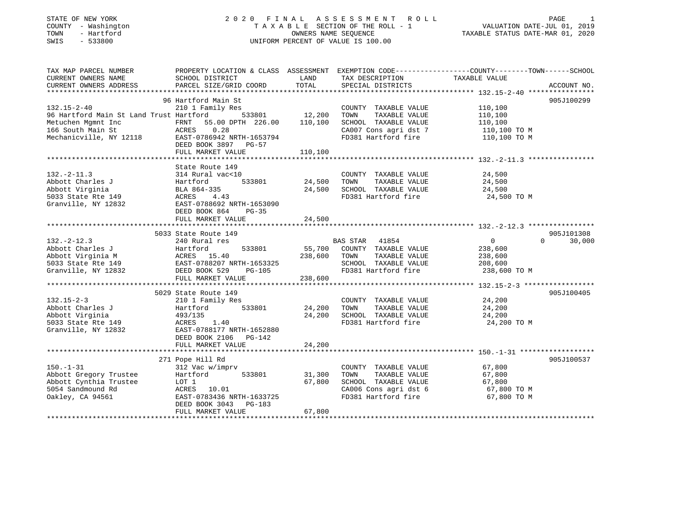# STATE OF NEW YORK 2 0 2 0 F I N A L A S S E S S M E N T R O L L PAGE 1 COUNTY - Washington T A X A B L E SECTION OF THE ROLL - 1 VALUATION DATE-JUL 01, 2019 TOWN - Hartford OWNERS NAME SEQUENCE TAXABLE STATUS DATE-MAR 01, 2020 SWIS - 533800 UNIFORM PERCENT OF VALUE IS 100.00

| TAX MAP PARCEL NUMBER                                            | PROPERTY LOCATION & CLASS ASSESSMENT EXEMPTION CODE---------------COUNTY-------TOWN------SCHOOL |               |                                    |                |                    |
|------------------------------------------------------------------|-------------------------------------------------------------------------------------------------|---------------|------------------------------------|----------------|--------------------|
| CURRENT OWNERS NAME                                              | SCHOOL DISTRICT                                                                                 | LAND          | TAX DESCRIPTION                    | TAXABLE VALUE  |                    |
| CURRENT OWNERS ADDRESS                                           | PARCEL SIZE/GRID COORD                                                                          | TOTAL         | SPECIAL DISTRICTS                  |                | ACCOUNT NO.        |
|                                                                  |                                                                                                 |               |                                    |                |                    |
|                                                                  | 96 Hartford Main St                                                                             |               |                                    |                | 905J100299         |
| $132.15 - 2 - 40$                                                | 210 1 Family Res                                                                                |               | COUNTY TAXABLE VALUE               | 110,100        |                    |
| 96 Hartford Main St Land Trust Hartford                          |                                                                                                 | 533801 12,200 | TAXABLE VALUE<br>TOWN              | 110,100        |                    |
| Metuchen Mgmnt Inc                                               | FRNT 55.00 DPTH 226.00                                                                          | 110,100       | SCHOOL TAXABLE VALUE               | 110,100        |                    |
| 166 South Main St                                                |                                                                                                 |               | CA007 Cons agri dst 7 110,100 TO M |                |                    |
| Mechanicville, NY 12118                                          | ACRES 0.28<br>118 EAST-0786942 NRTH-1653794                                                     |               | FD381 Hartford fire                | 110,100 TO M   |                    |
|                                                                  | DEED BOOK 3897 PG-57                                                                            |               |                                    |                |                    |
|                                                                  | FULL MARKET VALUE                                                                               | 110,100       |                                    |                |                    |
|                                                                  |                                                                                                 |               |                                    |                |                    |
|                                                                  |                                                                                                 |               |                                    |                |                    |
|                                                                  | State Route 149                                                                                 |               |                                    |                |                    |
| $132. - 2 - 11.3$                                                | 314 Rural vac<10                                                                                |               | COUNTY TAXABLE VALUE               | 24,500         |                    |
| Abbott Charles J                                                 | 533801<br>Hartford                                                                              | 24,500        | TOWN<br>TAXABLE VALUE              | 24,500         |                    |
| Abbott Virginia                                                  | BLA 864-335                                                                                     |               | 24,500 SCHOOL TAXABLE VALUE        | 24,500         |                    |
| 5033 State Rte 149                                               | ACRES<br>4.43                                                                                   |               | FD381 Hartford fire                | 24,500 TO M    |                    |
| Granville, NY 12832                                              | EAST-0788692 NRTH-1653090                                                                       |               |                                    |                |                    |
|                                                                  | DEED BOOK 864<br>$PG-35$                                                                        |               |                                    |                |                    |
|                                                                  | FULL MARKET VALUE                                                                               | 24,500        |                                    |                |                    |
|                                                                  |                                                                                                 |               |                                    |                |                    |
|                                                                  | 5033 State Route 149                                                                            |               |                                    |                | 905J101308         |
| $132 - 2 - 12.3$                                                 | 240 Rural res                                                                                   |               | BAS STAR 41854                     | $\overline{0}$ | $\Omega$<br>30,000 |
| Abbott Charles J                                                 | 533801<br>Hartford                                                                              |               | 55,700 COUNTY TAXABLE VALUE        | 238,600        |                    |
|                                                                  |                                                                                                 |               | 238,600 TOWN<br>TAXABLE VALUE      | 238,600        |                    |
|                                                                  |                                                                                                 |               | SCHOOL TAXABLE VALUE               | 208,600        |                    |
| Granville, NY 12832                                              | DEED BOOK 529<br>PG-105                                                                         |               | FD381 Hartford fire 238,600 TO M   |                |                    |
|                                                                  | FULL MARKET VALUE                                                                               | 238,600       |                                    |                |                    |
|                                                                  |                                                                                                 |               |                                    |                |                    |
|                                                                  | 5029 State Route 149                                                                            |               |                                    |                | 905J100405         |
| $132.15 - 2 - 3$                                                 | 210 1 Family Res                                                                                |               | COUNTY TAXABLE VALUE               | 24,200         |                    |
| Abbott Charles J                                                 | 533801<br>Hartford                                                                              | 24,200        | TOWN<br>TAXABLE VALUE              | 24,200         |                    |
| Abbott Virginia                                                  | 493/135                                                                                         | 24,200        | SCHOOL TAXABLE VALUE               | 24,200         |                    |
|                                                                  | 1.40<br>ACRES                                                                                   |               | FD381 Hartford fire                | 24,200 TO M    |                    |
| 5033 State Rte 149<br>Granville, NY 12832<br>Granville, NY 12832 | EAST-0788177 NRTH-1652880                                                                       |               |                                    |                |                    |
|                                                                  | DEED BOOK 2106 PG-142                                                                           |               |                                    |                |                    |
|                                                                  | FULL MARKET VALUE                                                                               |               |                                    |                |                    |
|                                                                  |                                                                                                 | 24,200        |                                    |                |                    |
|                                                                  |                                                                                                 |               |                                    |                |                    |
|                                                                  | 271 Pope Hill Rd                                                                                |               |                                    |                | 905J100537         |
| $150. - 1 - 31$                                                  | 312 Vac w/imprv                                                                                 |               | COUNTY TAXABLE VALUE               | 67,800         |                    |
| Abbott Gregory Trustee                                           | Hartford<br>533801                                                                              | 31,300        | TOWN<br>TAXABLE VALUE              | 67,800         |                    |
| Abbott Cynthia Trustee                                           | LOT 1                                                                                           | 67,800        | SCHOOL TAXABLE VALUE               | 67,800         |                    |
| 5054 Sandmound Rd                                                | ACRES 10.01                                                                                     |               | CA006 Cons agri dst 6 67,800 TO M  |                |                    |
| Oakley, CA 94561                                                 | EAST-0783436 NRTH-1633725                                                                       |               | FD381 Hartford fire                | 67,800 TO M    |                    |
|                                                                  | DEED BOOK 3043 PG-183                                                                           |               |                                    |                |                    |
|                                                                  | FULL MARKET VALUE                                                                               | 67,800        |                                    |                |                    |
|                                                                  |                                                                                                 |               |                                    |                |                    |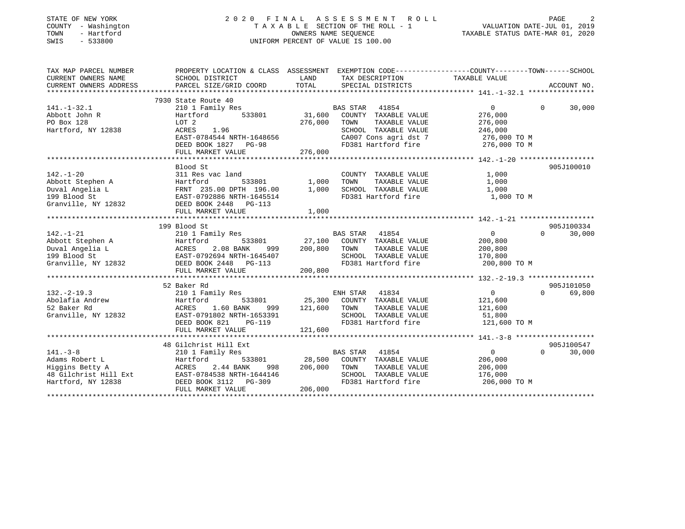| STATE OF NEW YORK<br>COUNTY - Washington<br>- Hartford<br>TOWN<br>$-533800$<br>SWIS |                                                                                                 |         | 2020 FINAL ASSESSMENT<br>ROLL<br>TAXABLE SECTION OF THE ROLL - 1<br>OWNERS NAME SEQUENCE<br>UNIFORM PERCENT OF VALUE IS 100.00 | VALUATION DATE-JUL 01, 2019<br>TAXABLE STATUS DATE-MAR 01, 2020 | PAGE               |
|-------------------------------------------------------------------------------------|-------------------------------------------------------------------------------------------------|---------|--------------------------------------------------------------------------------------------------------------------------------|-----------------------------------------------------------------|--------------------|
| TAX MAP PARCEL NUMBER                                                               | PROPERTY LOCATION & CLASS ASSESSMENT EXEMPTION CODE---------------COUNTY-------TOWN------SCHOOL |         |                                                                                                                                |                                                                 |                    |
| CURRENT OWNERS NAME                                                                 | SCHOOL DISTRICT                                                                                 | LAND    | TAX DESCRIPTION                                                                                                                | TAXABLE VALUE                                                   |                    |
| CURRENT OWNERS ADDRESS                                                              | PARCEL SIZE/GRID COORD                                                                          | TOTAL   | SPECIAL DISTRICTS                                                                                                              |                                                                 | ACCOUNT NO.        |
|                                                                                     |                                                                                                 |         |                                                                                                                                |                                                                 |                    |
|                                                                                     | 7930 State Route 40                                                                             |         |                                                                                                                                |                                                                 |                    |
| $141. - 1 - 32.1$                                                                   | 210 1 Family Res                                                                                |         | BAS STAR<br>41854                                                                                                              | $\overline{0}$                                                  | 30,000<br>0        |
| Abbott John R                                                                       | Hartford<br>533801                                                                              | 31,600  | COUNTY TAXABLE VALUE                                                                                                           | 276,000                                                         |                    |
| PO Box 128<br>Hartford, NY 12838                                                    | LOT 2<br>ACRES<br>1.96                                                                          | 276,000 | TAXABLE VALUE<br>TOWN<br>SCHOOL TAXABLE VALUE                                                                                  | 276,000                                                         |                    |
|                                                                                     | EAST-0784544 NRTH-1648656                                                                       |         | CA007 Cons agri dst 7                                                                                                          | 246,000<br>276,000 ТО М                                         |                    |
|                                                                                     | DEED BOOK 1827 PG-98                                                                            |         | FD381 Hartford fire                                                                                                            | 276,000 TO M                                                    |                    |
|                                                                                     | FULL MARKET VALUE                                                                               | 276,000 |                                                                                                                                |                                                                 |                    |
|                                                                                     |                                                                                                 |         |                                                                                                                                |                                                                 |                    |
|                                                                                     | Blood St                                                                                        |         |                                                                                                                                |                                                                 | 905J100010         |
| $142. - 1 - 20$                                                                     | 311 Res vac land                                                                                |         | COUNTY TAXABLE VALUE                                                                                                           | 1,000                                                           |                    |
| Abbott Stephen A                                                                    | Hartford<br>533801                                                                              | 1,000   | TAXABLE VALUE<br>TOWN                                                                                                          | 1,000                                                           |                    |
| Duval Angelia L                                                                     | FRNT 235.00 DPTH 196.00                                                                         | 1,000   | SCHOOL TAXABLE VALUE                                                                                                           | 1,000                                                           |                    |
| 199 Blood St                                                                        | EAST-0792886 NRTH-1645514                                                                       |         | FD381 Hartford fire                                                                                                            | 1,000 TO M                                                      |                    |
| Granville, NY 12832                                                                 | DEED BOOK 2448 PG-113                                                                           |         |                                                                                                                                |                                                                 |                    |
|                                                                                     | FULL MARKET VALUE                                                                               | 1,000   |                                                                                                                                |                                                                 |                    |
|                                                                                     |                                                                                                 |         |                                                                                                                                |                                                                 |                    |
|                                                                                     | 199 Blood St                                                                                    |         |                                                                                                                                |                                                                 | 905J100334         |
| $142. - 1 - 21$                                                                     | 210 1 Family Res                                                                                |         | BAS STAR 41854                                                                                                                 | $\overline{0}$                                                  | 30,000<br>$\Omega$ |
| Abbott Stephen A                                                                    | Hartford<br>533801                                                                              | 27,100  | COUNTY TAXABLE VALUE                                                                                                           | 200,800                                                         |                    |
| Duval Angelia L                                                                     | ACRES<br>2.08 BANK<br>999                                                                       | 200,800 | TAXABLE VALUE<br>TOWN                                                                                                          | 200,800                                                         |                    |
| 199 Blood St                                                                        | EAST-0792694 NRTH-1645407                                                                       |         | SCHOOL TAXABLE VALUE                                                                                                           | 170,800                                                         |                    |
| Granville, NY 12832                                                                 | DEED BOOK 2448 PG-113                                                                           |         | FD381 Hartford fire                                                                                                            | 200,800 TO M                                                    |                    |
|                                                                                     | FULL MARKET VALUE                                                                               | 200,800 |                                                                                                                                |                                                                 |                    |
|                                                                                     |                                                                                                 |         |                                                                                                                                |                                                                 |                    |
|                                                                                     | 52 Baker Rd                                                                                     |         |                                                                                                                                |                                                                 | 905J101050         |
| $132. -2 - 19.3$                                                                    | 210 1 Family Res                                                                                |         | ENH STAR<br>41834                                                                                                              | $\overline{0}$                                                  | $\Omega$<br>69,800 |
| Abolafia Andrew                                                                     | Hartford<br>533801                                                                              | 25,300  | COUNTY TAXABLE VALUE                                                                                                           | 121,600                                                         |                    |
| 52 Baker Rd                                                                         | ACRES<br>1.60 BANK<br>999                                                                       | 121,600 | TOWN<br>TAXABLE VALUE                                                                                                          | 121,600                                                         |                    |
| Granville, NY 12832                                                                 | EAST-0791802 NRTH-1653391                                                                       |         | SCHOOL TAXABLE VALUE                                                                                                           | 51,800                                                          |                    |
|                                                                                     | DEED BOOK 821<br>$PG-119$                                                                       |         | FD381 Hartford fire                                                                                                            | 121,600 TO M                                                    |                    |
|                                                                                     | FULL MARKET VALUE                                                                               | 121,600 |                                                                                                                                |                                                                 |                    |
|                                                                                     | 48 Gilchrist Hill Ext                                                                           |         |                                                                                                                                |                                                                 | 905J100547         |
| $141. - 3 - 8$                                                                      |                                                                                                 |         | BAS STAR<br>41854                                                                                                              | $\mathbf 0$                                                     | $\Omega$<br>30,000 |
| Adams Robert L                                                                      | 210 1 Family Res<br>Hartford<br>533801                                                          | 28,500  | COUNTY TAXABLE VALUE                                                                                                           | 206,000                                                         |                    |
| Higgins Betty A                                                                     | ACRES<br>2.44 BANK<br>998                                                                       | 206,000 | TOWN<br>TAXABLE VALUE                                                                                                          | 206,000                                                         |                    |
| 48 Gilchrist Hill Ext                                                               | EAST-0784538 NRTH-1644146                                                                       |         | SCHOOL TAXABLE VALUE                                                                                                           | 176,000                                                         |                    |
| Hartford, NY 12838                                                                  | DEED BOOK 3112<br>$PG-309$                                                                      |         | FD381 Hartford fire                                                                                                            | 206,000 TO M                                                    |                    |
|                                                                                     | FULL MARKET VALUE                                                                               | 206,000 |                                                                                                                                |                                                                 |                    |
|                                                                                     |                                                                                                 |         |                                                                                                                                |                                                                 |                    |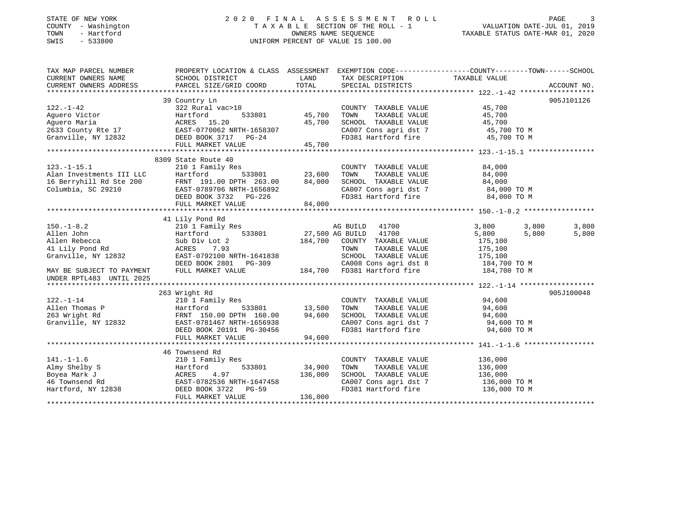#### STATE OF NEW YORK 2 0 2 0 F I N A L A S S E S S M E N T R O L L PAGE 3COUNTY - Washington  $T A X A B L E$  SECTION OF THE ROLL - 1<br>TOWN - Hartford OWNERS NAME SEQUENCE TAXABLE STATUS DATE-MAR 01, 2020 SWIS - 533800 UNIFORM PERCENT OF VALUE IS 100.00

VALUATION DATE-JUL 01, 2019

| TAX MAP PARCEL NUMBER    |                                                                                                                                                                                                                                                                                                                                                                                                                                                                                                                                   |               |                                                                        | PROPERTY LOCATION & CLASS ASSESSMENT EXEMPTION CODE---------------COUNTY-------TOWN------SCHOOL |            |
|--------------------------|-----------------------------------------------------------------------------------------------------------------------------------------------------------------------------------------------------------------------------------------------------------------------------------------------------------------------------------------------------------------------------------------------------------------------------------------------------------------------------------------------------------------------------------|---------------|------------------------------------------------------------------------|-------------------------------------------------------------------------------------------------|------------|
|                          |                                                                                                                                                                                                                                                                                                                                                                                                                                                                                                                                   |               |                                                                        |                                                                                                 |            |
|                          |                                                                                                                                                                                                                                                                                                                                                                                                                                                                                                                                   |               |                                                                        |                                                                                                 |            |
|                          |                                                                                                                                                                                                                                                                                                                                                                                                                                                                                                                                   |               |                                                                        |                                                                                                 |            |
|                          | 39 Country Ln                                                                                                                                                                                                                                                                                                                                                                                                                                                                                                                     |               |                                                                        |                                                                                                 | 905J101126 |
| $122. - 1 - 42$          | $322$ Rural vac > 10                                                                                                                                                                                                                                                                                                                                                                                                                                                                                                              |               | COUNTY TAXABLE VALUE 45,700                                            |                                                                                                 |            |
|                          |                                                                                                                                                                                                                                                                                                                                                                                                                                                                                                                                   | 533801 45,700 | TOWN                                                                   | TAXABLE VALUE 45,700                                                                            |            |
|                          |                                                                                                                                                                                                                                                                                                                                                                                                                                                                                                                                   |               |                                                                        |                                                                                                 |            |
|                          | Aguero Victor<br>Aguero Maria (ACRES 15.20 15.700<br>2633 County Rte 17 EAST-0770062 NRTH-1658307<br>Granville, NY 12832 DEED BOOK 3717 PG-24                                                                                                                                                                                                                                                                                                                                                                                     |               | SCHOOL TAXABLE VALUE 45,700<br>CA007 Cons agri dst 7 45,700 TO M       |                                                                                                 |            |
|                          |                                                                                                                                                                                                                                                                                                                                                                                                                                                                                                                                   |               | FD381 Hartford fire 45,700 TO M                                        |                                                                                                 |            |
|                          | FULL MARKET VALUE 45,700                                                                                                                                                                                                                                                                                                                                                                                                                                                                                                          |               |                                                                        |                                                                                                 |            |
|                          |                                                                                                                                                                                                                                                                                                                                                                                                                                                                                                                                   |               |                                                                        |                                                                                                 |            |
|                          |                                                                                                                                                                                                                                                                                                                                                                                                                                                                                                                                   |               |                                                                        |                                                                                                 |            |
|                          | 8309 State Route 40                                                                                                                                                                                                                                                                                                                                                                                                                                                                                                               |               |                                                                        |                                                                                                 |            |
|                          | $\begin{tabular}{lllllllllllllllllllllll} \textbf{123.-1-15.1} & \textbf{2101 Family Res} & \textbf{COUNT} \\ \textbf{Alan Investments III LLC} & \textbf{Hartford} & \textbf{533801} & \textbf{23,600 TOWN} \\ \textbf{16 Berryhill Rd Ste 200} & \textbf{FRNT 191.00 DPTH 263.00} & \textbf{84,000 SCH00} \\ \textbf{Columbia, SC 29210} & \textbf{EAST-0789706 NRTH-1656892} & \textbf{CA007} \\ & \textbf{DE$                                                                                                                 |               | COUNTY TAXABLE VALUE                                                   | 84,000                                                                                          |            |
|                          |                                                                                                                                                                                                                                                                                                                                                                                                                                                                                                                                   |               |                                                                        | TAXABLE VALUE 84,000                                                                            |            |
|                          |                                                                                                                                                                                                                                                                                                                                                                                                                                                                                                                                   |               | SCHOOL TAXABLE VALUE 84,000                                            |                                                                                                 |            |
|                          |                                                                                                                                                                                                                                                                                                                                                                                                                                                                                                                                   |               | CA007 Cons agri dst 7 84,000 TO M<br>FD381 Hartford fire 84,000 TO M   | 84,000 TO M                                                                                     |            |
|                          |                                                                                                                                                                                                                                                                                                                                                                                                                                                                                                                                   |               |                                                                        |                                                                                                 |            |
|                          | FULL MARKET VALUE                                                                                                                                                                                                                                                                                                                                                                                                                                                                                                                 | 84,000        |                                                                        |                                                                                                 |            |
|                          |                                                                                                                                                                                                                                                                                                                                                                                                                                                                                                                                   |               |                                                                        |                                                                                                 |            |
|                          | 41 Lily Pond Rd<br>$\begin{tabular}{lllllllllllll} \multicolumn{4}{c}{\begin{tabular}{l} \multicolumn{4}{c}{\begin{tabular}{l} \multicolumn{4}{c}{\begin{tabular}{l} \multicolumn{4}{c}{\begin{tabular}{l} \multicolumn{4}{c}{\begin{tabular}{l} \multicolumn{4}{c}{\begin{tabular}{l} \multicolumn{4}{c}{\begin{tabular}{l} \multicolumn{4}{c}{\begin{tabular}{l} \multicolumn{4}{c}{\begin{tabular}{l} \multicolumn{4}{c}{\begin{tabular}{l} \multicolumn{4}{c}{\begin{tabular}{l} \multicolumn{4}{c}{\begin{tabular}{c} \mult$ |               |                                                                        |                                                                                                 |            |
|                          |                                                                                                                                                                                                                                                                                                                                                                                                                                                                                                                                   |               |                                                                        | 3,800<br>3,800                                                                                  | 3,800      |
|                          | 150.-1-8.2<br>Allen John Hartford 533801<br>Hamily Res AG BUILD 41700<br>Hartford 533801<br>Allen Rebecca Sub Div Lot 2<br>41 Lily Pond Rd ACRES 7.93<br>Granville, NY 12832<br>EAST-0792100 NRTH-1641838<br>BEED BOOK 2801<br>PG-309<br>MAY BE SU                                                                                                                                                                                                                                                                                |               |                                                                        | 5,800                                                                                           | 5,800      |
|                          |                                                                                                                                                                                                                                                                                                                                                                                                                                                                                                                                   |               |                                                                        |                                                                                                 |            |
|                          |                                                                                                                                                                                                                                                                                                                                                                                                                                                                                                                                   |               |                                                                        |                                                                                                 |            |
|                          |                                                                                                                                                                                                                                                                                                                                                                                                                                                                                                                                   |               |                                                                        |                                                                                                 |            |
|                          |                                                                                                                                                                                                                                                                                                                                                                                                                                                                                                                                   |               |                                                                        |                                                                                                 |            |
|                          |                                                                                                                                                                                                                                                                                                                                                                                                                                                                                                                                   |               |                                                                        |                                                                                                 |            |
| UNDER RPTL483 UNTIL 2025 |                                                                                                                                                                                                                                                                                                                                                                                                                                                                                                                                   |               |                                                                        |                                                                                                 |            |
|                          |                                                                                                                                                                                                                                                                                                                                                                                                                                                                                                                                   |               |                                                                        |                                                                                                 |            |
|                          | 263 Wright Rd                                                                                                                                                                                                                                                                                                                                                                                                                                                                                                                     |               |                                                                        |                                                                                                 | 905J100048 |
| $122. - 1 - 14$          | 210 1 Family Res                                                                                                                                                                                                                                                                                                                                                                                                                                                                                                                  |               | COUNTY TAXABLE VALUE 94,600                                            |                                                                                                 |            |
|                          |                                                                                                                                                                                                                                                                                                                                                                                                                                                                                                                                   |               | TOWN                                                                   | TAXABLE VALUE 94,600                                                                            |            |
|                          |                                                                                                                                                                                                                                                                                                                                                                                                                                                                                                                                   |               |                                                                        |                                                                                                 |            |
|                          | Allen Thomas P<br>263 Wright Rd<br>263 Wright Rd<br>37.500 EAST-0781467 NRTH-1656938<br>263 Wright Rd<br>34,600 EAST-0781467 NRTH-1656938<br>268ST-0781467 NRTH-1656938<br>268ST-0781467 NRTH-1656938<br>268ST-0781467 NRTH-1656938<br>2000 DEED                                                                                                                                                                                                                                                                                  |               | SCHOOL TAXABLE VALUE 94,600<br>CA007 Cons agri dst 7 94,600 TO M       |                                                                                                 |            |
|                          |                                                                                                                                                                                                                                                                                                                                                                                                                                                                                                                                   |               |                                                                        |                                                                                                 |            |
|                          |                                                                                                                                                                                                                                                                                                                                                                                                                                                                                                                                   |               | FD381 Hartford fire 94,600 TO M                                        |                                                                                                 |            |
|                          | FULL MARKET VALUE                                                                                                                                                                                                                                                                                                                                                                                                                                                                                                                 | 94,600        |                                                                        |                                                                                                 |            |
|                          |                                                                                                                                                                                                                                                                                                                                                                                                                                                                                                                                   |               |                                                                        |                                                                                                 |            |
|                          | 46 Townsend Rd                                                                                                                                                                                                                                                                                                                                                                                                                                                                                                                    |               |                                                                        |                                                                                                 |            |
| $141. - 1 - 1.6$         | 210 1 Family Res                                                                                                                                                                                                                                                                                                                                                                                                                                                                                                                  |               | COUNTY TAXABLE VALUE                                                   | 136,000                                                                                         |            |
|                          | 141.-1-1.6 210 1 Family Res<br>Almy Shelby S Hartford 533801 34,900<br>Boyea Mark J ACRES 4.97 136,000<br>46 Townsend Rd EAST-0782536 NRTH-1647458<br>Hartford, NY 12838 DEED BOOK 3722 PG-59<br>THE DISCORD PROTOCORY 126,000                                                                                                                                                                                                                                                                                                    | 533801 34,900 | TOWN<br>TAXABLE VALUE                                                  | 136,000                                                                                         |            |
|                          |                                                                                                                                                                                                                                                                                                                                                                                                                                                                                                                                   |               | SCHOOL TAXABLE VALUE 136,000                                           |                                                                                                 |            |
|                          |                                                                                                                                                                                                                                                                                                                                                                                                                                                                                                                                   |               |                                                                        |                                                                                                 |            |
|                          |                                                                                                                                                                                                                                                                                                                                                                                                                                                                                                                                   |               | CA007 Cons agri dst 7 136,000 TO M<br>FD381 Hartford fire 136,000 TO M |                                                                                                 |            |
|                          | FULL MARKET VALUE                                                                                                                                                                                                                                                                                                                                                                                                                                                                                                                 | 136,000       |                                                                        |                                                                                                 |            |
|                          |                                                                                                                                                                                                                                                                                                                                                                                                                                                                                                                                   |               |                                                                        |                                                                                                 |            |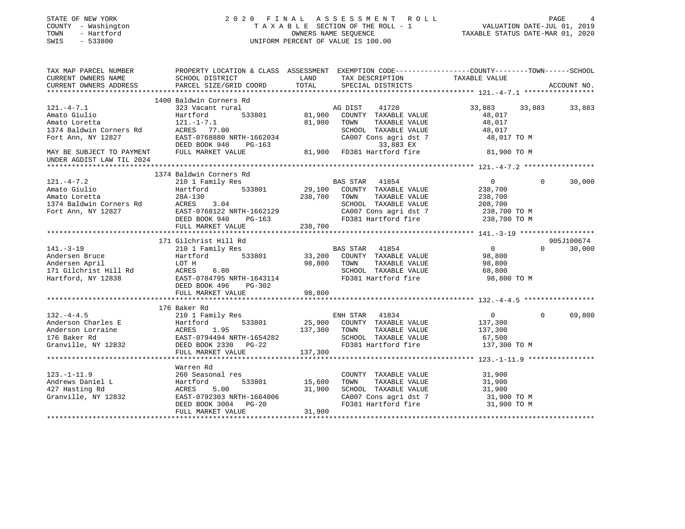| STATE OF NEW YORK<br>COUNTY - Washington<br>- Hartford<br>TOWN<br>SWIS<br>$-533800$ |                                                                                                                                                                                                                                          | 2020 FINAL ASSESSMENT ROLL<br>T A X A B L E SECTION OF THE ROLL - 1<br>OWNERS NAME SEQUENCE<br>UNIFORM PERCENT OF VALUE IS 100.00 |                                                    | ¥<br>19.0 VALUATION DATE-JUL<br>2019 TAXABLE STATUS DATE-MAR       | PAGE     |               |
|-------------------------------------------------------------------------------------|------------------------------------------------------------------------------------------------------------------------------------------------------------------------------------------------------------------------------------------|-----------------------------------------------------------------------------------------------------------------------------------|----------------------------------------------------|--------------------------------------------------------------------|----------|---------------|
|                                                                                     | TAX MAP PARCEL NUMBER THE PROPERTY LOCATION & CLASS ASSESSMENT EXEMPTION CODE---------------COUNTY--------TOWN------SCHOOL                                                                                                               |                                                                                                                                   |                                                    |                                                                    |          |               |
| CURRENT OWNERS NAME<br>CURRENT OWNERS ADDRESS                                       | SCHOOL DISTRICT<br>PARCEL SIZE/GRID COORD                                                                                                                                                                                                | LAND<br>TOTAL                                                                                                                     | TAX DESCRIPTION TAXABLE VALUE<br>SPECIAL DISTRICTS |                                                                    |          | ACCOUNT NO.   |
|                                                                                     | 1400 Baldwin Corners Rd                                                                                                                                                                                                                  |                                                                                                                                   |                                                    |                                                                    |          |               |
| $121. -4 - 7.1$                                                                     | 323 Vacant rural                                                                                                                                                                                                                         | AG DIST 41720                                                                                                                     |                                                    | 33,883                                                             | 33,883   | 33,883        |
| Amato Giulio                                                                        | Hartford 533801                                                                                                                                                                                                                          | 81,900 COUNTY TAXABLE VALUE                                                                                                       |                                                    | 48,017                                                             |          |               |
| Amato Giulio<br>Amato Loretta                                                       |                                                                                                                                                                                                                                          |                                                                                                                                   |                                                    | 48,017                                                             |          |               |
|                                                                                     |                                                                                                                                                                                                                                          |                                                                                                                                   |                                                    | 48,017                                                             |          |               |
|                                                                                     |                                                                                                                                                                                                                                          |                                                                                                                                   | CA007 Cons agri dst 7                              | 48,017 TO M                                                        |          |               |
|                                                                                     |                                                                                                                                                                                                                                          |                                                                                                                                   |                                                    |                                                                    |          |               |
| UNDER AGDIST LAW TIL 2024                                                           | Amato Loretta<br>1374 Baldwin Corners Rd<br>Fort Ann, NY 12827 EAST-0768880 NRTH-1662034 CA007 Cons agri dst 7<br>Text Ann, NY 12827 EAST-0768880 NRTH-1662034 CA007 Cons agri dst 7<br>DEED BOOK 940 PG-163 33,883 EX<br>FULL MARKET VA |                                                                                                                                   |                                                    | 81,900 TO M                                                        |          |               |
|                                                                                     |                                                                                                                                                                                                                                          |                                                                                                                                   |                                                    |                                                                    |          |               |
|                                                                                     | 1374 Baldwin Corners Rd                                                                                                                                                                                                                  |                                                                                                                                   |                                                    |                                                                    |          |               |
| $121. - 4 - 7.2$                                                                    | 210 1 Family Res                                                                                                                                                                                                                         | BAS STAR 41854                                                                                                                    |                                                    | $\overline{0}$                                                     | $\Omega$ | 30,000        |
| Amato Giulio                                                                        | Hartford 533801                                                                                                                                                                                                                          | 29,100 COUNTY TAXABLE VALUE                                                                                                       |                                                    | 238,700                                                            |          |               |
|                                                                                     |                                                                                                                                                                                                                                          | 238,700 TOWN TAXABLE VALUE                                                                                                        |                                                    | 238,700                                                            |          |               |
|                                                                                     |                                                                                                                                                                                                                                          |                                                                                                                                   |                                                    |                                                                    |          |               |
|                                                                                     |                                                                                                                                                                                                                                          |                                                                                                                                   |                                                    | SCHOOL TAXABLE VALUE 208,700<br>CA007 Cons agri dst 7 238,700 TO M |          |               |
|                                                                                     | Amato Loretta<br>1374 Baldwin Corners Rd<br>Fort Ann, NY 12827<br>DEED BOOK 940 PG-163<br>DEED BOOK 940 PG-163                                                                                                                           |                                                                                                                                   | FD381 Hartford fire                                | 238,700 TO M                                                       |          |               |
|                                                                                     | FULL MARKET VALUE 238,700                                                                                                                                                                                                                |                                                                                                                                   |                                                    |                                                                    |          |               |
|                                                                                     |                                                                                                                                                                                                                                          |                                                                                                                                   |                                                    |                                                                    |          |               |
|                                                                                     | 171 Gilchrist Hill Rd                                                                                                                                                                                                                    |                                                                                                                                   |                                                    | $\overline{0}$                                                     |          | 905J100674    |
|                                                                                     |                                                                                                                                                                                                                                          | BAS STAR 41854<br>33,200 COUNTY TAXABLE VALUE                                                                                     |                                                    | 98,800                                                             |          | $0 \t 30,000$ |
|                                                                                     |                                                                                                                                                                                                                                          | 98,800 TOWN TAXABLE VALUE                                                                                                         |                                                    | 98,800                                                             |          |               |
|                                                                                     |                                                                                                                                                                                                                                          |                                                                                                                                   | SCHOOL TAXABLE VALUE                               | 68,800                                                             |          |               |
|                                                                                     |                                                                                                                                                                                                                                          |                                                                                                                                   | FD381 Hartford fire                                | 98,800 TO M                                                        |          |               |
|                                                                                     |                                                                                                                                                                                                                                          |                                                                                                                                   |                                                    |                                                                    |          |               |
|                                                                                     | 141.-3-19<br>Andersen Bruce<br>Andersen April<br>171 Gilchrist Hill Rd<br>171 Gilchrist Hill Rd<br>171 Gilchrist Hill Rd<br>18238<br>1825-0784795 NRTH-1643114<br>DEED BOOK 496<br>195-302<br>195-202                                    | 98,800                                                                                                                            |                                                    |                                                                    |          |               |
|                                                                                     |                                                                                                                                                                                                                                          |                                                                                                                                   |                                                    |                                                                    |          |               |
|                                                                                     | 176 Baker Rd                                                                                                                                                                                                                             |                                                                                                                                   |                                                    |                                                                    |          |               |
| $132. -4 - 4.5$                                                                     | 210 1 Family Res                                                                                                                                                                                                                         | ENH STAR 41834                                                                                                                    |                                                    | $\overline{0}$                                                     | $\Omega$ | 69,800        |
|                                                                                     |                                                                                                                                                                                                                                          | 25,900 COUNTY TAXABLE VALUE                                                                                                       |                                                    | 137,300                                                            |          |               |
|                                                                                     | Anderson Charles E<br>Anderson Lorraine ACRES 1.95 137,300<br>176 Baker Rd EAST-0794494 NRTH-1654282<br>Granville, NY 12832 DEED BOOK 2330 PG-22<br>FIILL MARKET VALUE 137 300                                                           | 137,300 TOWN                                                                                                                      | TAXABLE VALUE                                      | 137,300                                                            |          |               |
|                                                                                     |                                                                                                                                                                                                                                          |                                                                                                                                   | SCHOOL TAXABLE VALUE                               | 67,500                                                             |          |               |
|                                                                                     |                                                                                                                                                                                                                                          |                                                                                                                                   |                                                    | FD381 Hartford fire 137,300 TO M                                   |          |               |
|                                                                                     | FULL MARKET VALUE                                                                                                                                                                                                                        | 137,300                                                                                                                           |                                                    |                                                                    |          |               |
|                                                                                     |                                                                                                                                                                                                                                          |                                                                                                                                   |                                                    |                                                                    |          |               |
|                                                                                     | Warren Rd                                                                                                                                                                                                                                |                                                                                                                                   |                                                    |                                                                    |          |               |
| $123. -1 - 11.9$                                                                    | 260 Seasonal res                                                                                                                                                                                                                         |                                                                                                                                   | COUNTY TAXABLE VALUE 31,900                        |                                                                    |          |               |
|                                                                                     |                                                                                                                                                                                                                                          | 533801 15,600<br>31,900 SCHOOL TAXABLE VALUE                                                                                      | TOWN TAXABLE VALUE                                 | 31,900                                                             |          |               |
|                                                                                     | 123.-1-11.9<br>Andrews Daniel L<br>427 Hasting Rd<br>Granville, NY 12832<br>EAST-0792303 NRTH-1664006<br>EAST-0792303 NRTH-1664006                                                                                                       |                                                                                                                                   | CA007 Cons agri dst 7                              | 31,900<br>31,900 TO M                                              |          |               |
|                                                                                     | DEED BOOK 3004 PG-20                                                                                                                                                                                                                     |                                                                                                                                   | FD381 Hartford fire                                | 31,900 TO M                                                        |          |               |
|                                                                                     | FULL MARKET VALUE                                                                                                                                                                                                                        | 31,900                                                                                                                            |                                                    |                                                                    |          |               |
|                                                                                     |                                                                                                                                                                                                                                          |                                                                                                                                   |                                                    |                                                                    |          |               |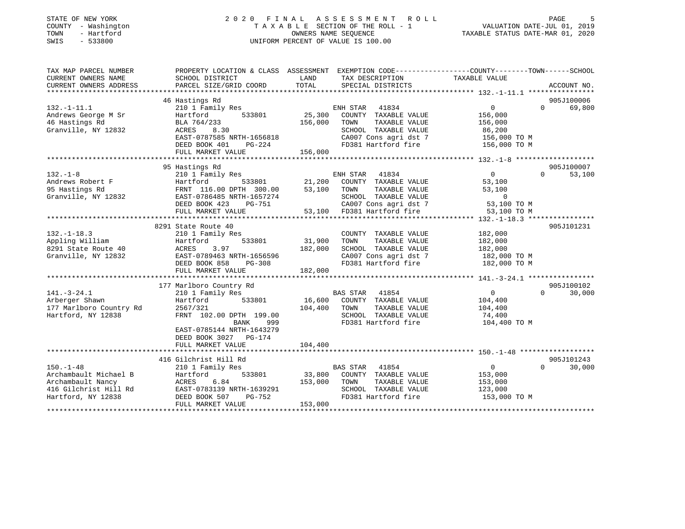| STATE OF NEW YORK<br>COUNTY - Washington<br>- Hartford<br>TOWN<br>SWIS<br>$-533800$ |                                                                                                                    | OWNERS NAME SEOUENCE | 2020 FINAL ASSESSMENT<br><b>ROLL</b><br>TAXABLE SECTION OF THE ROLL - 1<br>UNIFORM PERCENT OF VALUE IS 100.00 | VALUATION DATE-JUL 01, 2019<br>TAXABLE STATUS DATE-MAR 01, 2020 | PAGE               |
|-------------------------------------------------------------------------------------|--------------------------------------------------------------------------------------------------------------------|----------------------|---------------------------------------------------------------------------------------------------------------|-----------------------------------------------------------------|--------------------|
| TAX MAP PARCEL NUMBER<br>CURRENT OWNERS NAME                                        | PROPERTY LOCATION & CLASS ASSESSMENT EXEMPTION CODE----------------COUNTY-------TOWN-----SCHOOL<br>SCHOOL DISTRICT | LAND                 | TAX DESCRIPTION                                                                                               | TAXABLE VALUE                                                   |                    |
| CURRENT OWNERS ADDRESS                                                              | PARCEL SIZE/GRID COORD                                                                                             | TOTAL                | SPECIAL DISTRICTS                                                                                             |                                                                 | ACCOUNT NO.        |
| ****************                                                                    |                                                                                                                    |                      |                                                                                                               | ************ 132.-1-11.1 ****************                       |                    |
|                                                                                     | 46 Hastings Rd                                                                                                     |                      |                                                                                                               |                                                                 | 905J100006         |
| $132. - 1 - 11.1$                                                                   | 210 1 Family Res                                                                                                   |                      | ENH STAR<br>41834                                                                                             | $\mathbf{0}$                                                    | $\Omega$<br>69,800 |
| Andrews George M Sr                                                                 | Hartford<br>533801                                                                                                 | 25,300               | COUNTY TAXABLE VALUE                                                                                          | 156,000                                                         |                    |
| 46 Hastings Rd                                                                      | BLA 764/233<br>ACRES                                                                                               | 156,000              | TAXABLE VALUE<br>TOWN<br>SCHOOL TAXABLE VALUE                                                                 | 156,000                                                         |                    |
| Granville, NY 12832                                                                 | 8.30<br>EAST-0787585 NRTH-1656818                                                                                  |                      | CA007 Cons agri dst 7                                                                                         | 86,200<br>156,000 TO M                                          |                    |
|                                                                                     | DEED BOOK 401<br>PG-224                                                                                            |                      | FD381 Hartford fire                                                                                           | 156,000 TO M                                                    |                    |
|                                                                                     | FULL MARKET VALUE                                                                                                  | 156,000              |                                                                                                               |                                                                 |                    |
|                                                                                     | ***********************                                                                                            |                      |                                                                                                               |                                                                 |                    |
|                                                                                     | 95 Hastings Rd                                                                                                     |                      |                                                                                                               |                                                                 | 905J100007         |
| $132. - 1 - 8$                                                                      | 210 1 Family Res                                                                                                   |                      | ENH STAR<br>41834                                                                                             | $\mathbf{0}$                                                    | $\Omega$<br>53,100 |
| Andrews Robert F                                                                    | 533801<br>Hartford                                                                                                 | 21,200               | COUNTY TAXABLE VALUE                                                                                          | 53,100                                                          |                    |
| 95 Hastings Rd                                                                      | FRNT 116.00 DPTH 300.00                                                                                            | 53,100               | TAXABLE VALUE<br>TOWN                                                                                         | 53,100                                                          |                    |
| Granville, NY 12832                                                                 | EAST-0786485 NRTH-1657274                                                                                          |                      | SCHOOL TAXABLE VALUE                                                                                          | $\mathbf 0$                                                     |                    |
|                                                                                     | DEED BOOK 423 PG-751<br>FULL MARKET VALUE                                                                          | 53,100               | CA007 Cons agri dst 7<br>FD381 Hartford fire                                                                  | 53,100 TO M<br>53,100 TO M                                      |                    |
|                                                                                     | ************************                                                                                           | *************        |                                                                                                               |                                                                 |                    |
|                                                                                     | 8291 State Route 40                                                                                                |                      |                                                                                                               |                                                                 | 905J101231         |
| $132. - 1 - 18.3$                                                                   | 210 1 Family Res                                                                                                   |                      | COUNTY TAXABLE VALUE                                                                                          | 182,000                                                         |                    |
| Appling William                                                                     | Hartford<br>533801                                                                                                 | 31,900               | TOWN<br>TAXABLE VALUE                                                                                         | 182,000                                                         |                    |
| 8291 State Route 40                                                                 | 3.97<br>ACRES                                                                                                      | 182,000              | SCHOOL TAXABLE VALUE                                                                                          | 182,000                                                         |                    |
| Granville, NY 12832                                                                 | EAST-0789463 NRTH-1656596                                                                                          |                      | CA007 Cons agri dst 7                                                                                         | 182,000 TO M                                                    |                    |
|                                                                                     | DEED BOOK 858<br>$PG-308$                                                                                          |                      | FD381 Hartford fire                                                                                           | 182,000 TO M                                                    |                    |
|                                                                                     | FULL MARKET VALUE                                                                                                  | 182,000              |                                                                                                               |                                                                 |                    |
|                                                                                     | 177 Marlboro Country Rd                                                                                            |                      |                                                                                                               |                                                                 | 905J100102         |
| $141. - 3 - 24.1$                                                                   | 210 1 Family Res                                                                                                   |                      | 41854<br>BAS STAR                                                                                             | $\overline{0}$                                                  | $\Omega$<br>30,000 |
| Arberger Shawn                                                                      | Hartford<br>533801                                                                                                 | 16,600               | COUNTY TAXABLE VALUE                                                                                          | 104,400                                                         |                    |
| 177 Marlboro Country Rd                                                             | 2567/321                                                                                                           | 104,400              | TAXABLE VALUE<br>TOWN                                                                                         | 104,400                                                         |                    |
| Hartford, NY 12838                                                                  | FRNT 102.00 DPTH 199.00                                                                                            |                      | SCHOOL TAXABLE VALUE                                                                                          | 74,400                                                          |                    |
|                                                                                     | BANK<br>999                                                                                                        |                      | FD381 Hartford fire                                                                                           | 104,400 TO M                                                    |                    |
|                                                                                     | EAST-0785144 NRTH-1643279                                                                                          |                      |                                                                                                               |                                                                 |                    |
|                                                                                     | DEED BOOK 3027 PG-174                                                                                              |                      |                                                                                                               |                                                                 |                    |
|                                                                                     | FULL MARKET VALUE                                                                                                  | 104,400              |                                                                                                               |                                                                 |                    |
|                                                                                     | 416 Gilchrist Hill Rd                                                                                              |                      |                                                                                                               |                                                                 | 905J101243         |
| $150. - 1 - 48$                                                                     | 210 1 Family Res                                                                                                   |                      | BAS STAR<br>41854                                                                                             | $\overline{0}$                                                  | $\Omega$<br>30,000 |
| Archambault Michael B                                                               | 533801<br>Hartford                                                                                                 | 33,800               | COUNTY TAXABLE VALUE                                                                                          | 153,000                                                         |                    |
| Archambault Nancy                                                                   | <b>ACRES</b><br>6.84                                                                                               | 153,000              | TAXABLE VALUE<br>TOWN                                                                                         | 153,000                                                         |                    |
| 416 Gilchrist Hill Rd                                                               | EAST-0783139 NRTH-1639291                                                                                          |                      | SCHOOL TAXABLE VALUE                                                                                          | 123,000                                                         |                    |
| Hartford, NY 12838                                                                  | DEED BOOK 507<br>PG-752                                                                                            |                      | FD381 Hartford fire                                                                                           | 153,000 TO M                                                    |                    |
|                                                                                     | FULL MARKET VALUE                                                                                                  | 153,000              |                                                                                                               |                                                                 |                    |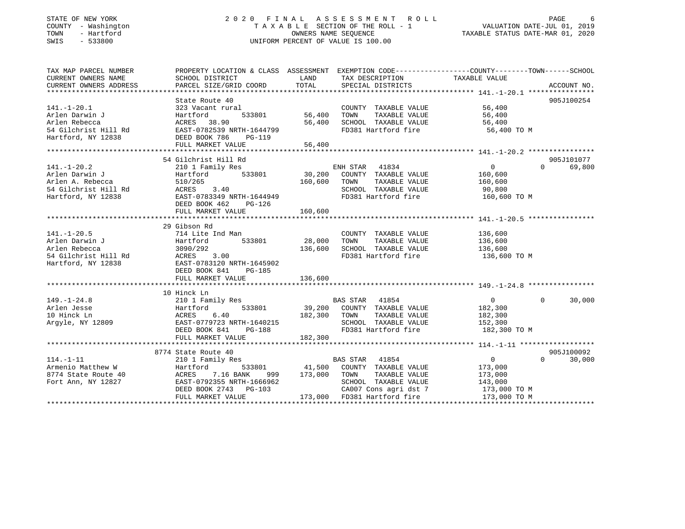#### STATE OF NEW YORK GALL A LOCK CONTROLL A S S AGE S S M E N T R O L L CORRECT CONTROLL CONTROLL CONTROLL CONTROLLER COUNTY - Washington T A X A B L E SECTION OF THE ROLL - 1 VALUATION DATE-JUL 01, 2019 OWNERS NAME SEQUENCE TAXABLE STATUS DATE-MAR 01, 2020 SWIS - 533800 UNIFORM PERCENT OF VALUE IS 100.00

VALUATION DATE-JUL 01, 2019

| TAX MAP PARCEL NUMBER |                                                                                                                                        |               |                                                          | PROPERTY LOCATION & CLASS ASSESSMENT EXEMPTION CODE--------------COUNTY-------TOWN------SCHOOL |            |
|-----------------------|----------------------------------------------------------------------------------------------------------------------------------------|---------------|----------------------------------------------------------|------------------------------------------------------------------------------------------------|------------|
| CURRENT OWNERS NAME   | SCHOOL DISTRICT                                                                                                                        | LAND          | TAX DESCRIPTION                                          | TAXABLE VALUE                                                                                  |            |
|                       |                                                                                                                                        |               |                                                          |                                                                                                |            |
|                       |                                                                                                                                        |               |                                                          |                                                                                                |            |
|                       | State Route 40                                                                                                                         |               |                                                          |                                                                                                | 905J100254 |
| $141. - 1 - 20.1$     | 323 Vacant rural                                                                                                                       |               | COUNTY TAXABLE VALUE 56,400                              |                                                                                                |            |
| Arlen Darwin J        |                                                                                                                                        | 533801 56,400 | TOWN                                                     | TAXABLE VALUE 56,400                                                                           |            |
|                       |                                                                                                                                        | 56,400        |                                                          | 56,400                                                                                         |            |
|                       | Arlen Darwin James (Europa Hartford 1933801)<br>Arlen Rebecca (Europa ACRES 18.90)<br>54 Gilchrist Hill Rd (EAST-0782539 NRTH-1644799) |               | SCHOOL TAXABLE VALUE<br>FD381 Hartford fire              | 56,400 TO M                                                                                    |            |
| Hartford, NY 12838    | DEED BOOK 786<br>PG-119                                                                                                                |               |                                                          |                                                                                                |            |
|                       | FULL MARKET VALUE                                                                                                                      | 56,400        |                                                          |                                                                                                |            |
|                       |                                                                                                                                        |               |                                                          |                                                                                                |            |
|                       | 54 Gilchrist Hill Rd                                                                                                                   |               |                                                          |                                                                                                | 905J101077 |
| $141. - 1 - 20.2$     | 210 1 Family Res                                                                                                                       |               | ENH STAR 41834                                           | 0<br>$\Omega$                                                                                  | 69,800     |
|                       |                                                                                                                                        |               |                                                          | 160,600                                                                                        |            |
|                       |                                                                                                                                        | 160,600       | TOWN<br>TAXABLE VALUE                                    | 160,600                                                                                        |            |
|                       |                                                                                                                                        |               | SCHOOL TAXABLE VALUE                                     | 90,800                                                                                         |            |
|                       |                                                                                                                                        |               | FD381 Hartford fire 160,600 TO M                         |                                                                                                |            |
|                       | DEED BOOK 462<br>PG-126                                                                                                                |               |                                                          |                                                                                                |            |
|                       | FULL MARKET VALUE                                                                                                                      | 160,600       |                                                          |                                                                                                |            |
|                       |                                                                                                                                        |               |                                                          |                                                                                                |            |
|                       | 29 Gibson Rd                                                                                                                           |               |                                                          |                                                                                                |            |
| $141. - 1 - 20.5$     | 714 Lite Ind Man                                                                                                                       |               | COUNTY TAXABLE VALUE 136,600                             |                                                                                                |            |
| Arlen Darwin J        | Hartford                                                                                                                               | 533801 28,000 | TOWN<br>TAXABLE VALUE                                    | 136,600                                                                                        |            |
|                       |                                                                                                                                        |               | 136,600 SCHOOL TAXABLE VALUE                             | 136,600                                                                                        |            |
|                       |                                                                                                                                        |               | FD381 Hartford fire                                      | 136,600 TO M                                                                                   |            |
|                       | Hartford, NY 12838 EAST-0783120 NRTH-1645902                                                                                           |               |                                                          |                                                                                                |            |
|                       | DEED BOOK 841<br>PG-185                                                                                                                |               |                                                          |                                                                                                |            |
|                       | FULL MARKET VALUE                                                                                                                      | 136,600       |                                                          |                                                                                                |            |
|                       |                                                                                                                                        |               |                                                          |                                                                                                |            |
|                       | 10 Hinck Ln                                                                                                                            |               |                                                          |                                                                                                |            |
| $149. - 1 - 24.8$     | 210 1 Family Res                                                                                                                       |               | BAS STAR 41854                                           | $\overline{0}$<br>$\Omega$                                                                     | 30,000     |
|                       |                                                                                                                                        |               | 533801 39,200 COUNTY TAXABLE VALUE                       | 182,300                                                                                        |            |
|                       |                                                                                                                                        | 182,300 TOWN  | TAXABLE VALUE                                            | 182,300                                                                                        |            |
|                       |                                                                                                                                        |               | SCHOOL TAXABLE VALUE                                     | 152,300                                                                                        |            |
|                       | DEED BOOK 841<br>PG-188                                                                                                                |               | FD381 Hartford fire                                      | 182,300 TO M                                                                                   |            |
|                       | FULL MARKET VALUE                                                                                                                      | 182,300       |                                                          |                                                                                                |            |
|                       |                                                                                                                                        |               |                                                          |                                                                                                |            |
|                       | 8774 State Route 40                                                                                                                    |               |                                                          |                                                                                                | 905J100092 |
| $114. - 1 - 11$       | state Route 40<br>210 1 Family Res                                                                                                     |               | BAS STAR 41854                                           | $\overline{0}$<br>$\Omega$                                                                     | 30,000     |
| Armenio Matthew W     | Hartford                                                                                                                               |               | 533801 41,500 COUNTY TAXABLE VALUE                       | 173,000                                                                                        |            |
| 8774 State Route 40   |                                                                                                                                        |               | 999 173,000 TOWN TAXABLE VALUE                           | 173,000                                                                                        |            |
| Fort Ann, NY 12827    | ACRES        7.16  BANK         999<br>EAST-0792355  NRTH-1666962                                                                      |               | SCHOOL TAXABLE VALUE                                     | 143,000                                                                                        |            |
|                       | DEED BOOK 2743 PG-103                                                                                                                  |               | CA007 Cons agri dst 7 173,000 TO M                       |                                                                                                |            |
|                       | FULL MARKET VALUE                                                                                                                      |               | 103 CA007 Cons agri dst 7<br>173,000 FD381 Hartford fire | 173,000 TO M                                                                                   |            |
|                       |                                                                                                                                        |               |                                                          |                                                                                                |            |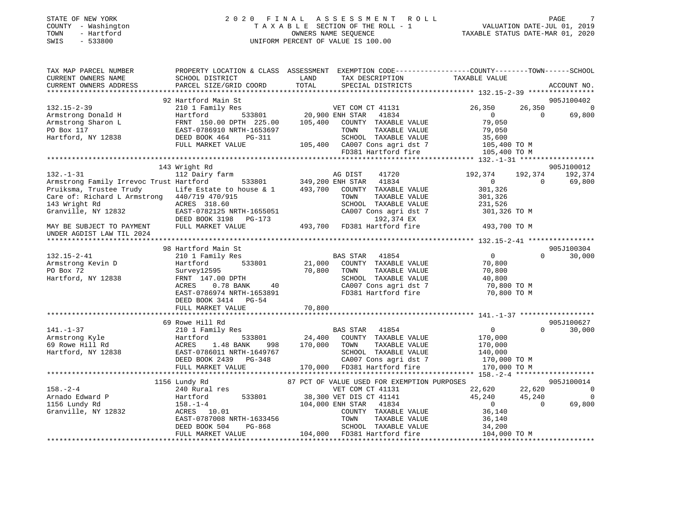| TOWN<br>SWIS | STATE OF NEW YORK<br>COUNTY - Washington<br>- Hartford<br>$-533800$ |                 |      | 2020 FINAL ASSESSMENT ROLL<br>TAXABLE SECTION OF THE ROLL - 1<br>OWNERS NAME SEOUENCE<br>UNIFORM PERCENT OF VALUE IS 100.00 |                                                                                                                  | VALUATION DATE-JUL 01, 2019<br>TAXABLE STATUS DATE-MAR 01, 2020 | PAGE | 7 |
|--------------|---------------------------------------------------------------------|-----------------|------|-----------------------------------------------------------------------------------------------------------------------------|------------------------------------------------------------------------------------------------------------------|-----------------------------------------------------------------|------|---|
|              | TAX MAP PARCEL NUMBER<br>CURRENT OWNERS NAME                        | SCHOOL DISTRICT | LAND | TAX DESCRIPTION                                                                                                             | PROPERTY LOCATION & CLASS ASSESSMENT EXEMPTION CODE---------------COUNTY--------TOWN-----SCHOOL<br>TAXABLE VALUE |                                                                 |      |   |

| CURRENT OWNERS ADDRESS                                                                                                                                                                                                                                                                                                                                                                                              | PARCEL SIZE/GRID COORD                                                                                                                                                                    | TOTAL | SPECIAL DISTRICTS                                                                                                  |                                                                                                                                                          | ACCOUNT NO.                      |
|---------------------------------------------------------------------------------------------------------------------------------------------------------------------------------------------------------------------------------------------------------------------------------------------------------------------------------------------------------------------------------------------------------------------|-------------------------------------------------------------------------------------------------------------------------------------------------------------------------------------------|-------|--------------------------------------------------------------------------------------------------------------------|----------------------------------------------------------------------------------------------------------------------------------------------------------|----------------------------------|
|                                                                                                                                                                                                                                                                                                                                                                                                                     |                                                                                                                                                                                           |       |                                                                                                                    |                                                                                                                                                          |                                  |
| 132.15-2-39                                                                                                                                                                                                                                                                                                                                                                                                         | 210 1 Family Res<br>Hartford 533801 20,900 ENH STAR 41834<br>FRNT 150.00 DPTH 225.00 105,400 COUNTY TAXABLE VALUE<br>EAST-0786910 NRTH-1653697 TOWN TAXABLE VALUE<br>DEED BOOK 464 PG-311 |       |                                                                                                                    | 26,350                                                                                                                                                   | 905J100402<br>26,350<br>$\sim$ 0 |
| Armstrong Donald H                                                                                                                                                                                                                                                                                                                                                                                                  |                                                                                                                                                                                           |       |                                                                                                                    | $\overline{0}$                                                                                                                                           | $\Omega$<br>69,800               |
| Armstrong Sharon L                                                                                                                                                                                                                                                                                                                                                                                                  |                                                                                                                                                                                           |       |                                                                                                                    | 79,050                                                                                                                                                   |                                  |
| PO Box 117                                                                                                                                                                                                                                                                                                                                                                                                          |                                                                                                                                                                                           |       |                                                                                                                    |                                                                                                                                                          |                                  |
| Hartford, NY 12838                                                                                                                                                                                                                                                                                                                                                                                                  |                                                                                                                                                                                           |       |                                                                                                                    |                                                                                                                                                          |                                  |
|                                                                                                                                                                                                                                                                                                                                                                                                                     | EAST-0786910 NRTH-1653697<br>DEED BOOK 464 PG-311 SCHOOL TAXABLE VALUE 79,050<br>PULL MARKET VALUE 105,400 CA007 Cons agri dst 7 105,400 TO M                                             |       |                                                                                                                    |                                                                                                                                                          |                                  |
|                                                                                                                                                                                                                                                                                                                                                                                                                     |                                                                                                                                                                                           |       |                                                                                                                    |                                                                                                                                                          |                                  |
|                                                                                                                                                                                                                                                                                                                                                                                                                     |                                                                                                                                                                                           |       |                                                                                                                    |                                                                                                                                                          |                                  |
|                                                                                                                                                                                                                                                                                                                                                                                                                     | 143 Wright Rd                                                                                                                                                                             |       |                                                                                                                    |                                                                                                                                                          | 905J100012                       |
| $132. - 1 - 31$                                                                                                                                                                                                                                                                                                                                                                                                     | 112 Dairy farm                                                                                                                                                                            |       | 41720<br>AG DIST                                                                                                   | 192,374                                                                                                                                                  | 192,374 192,374                  |
|                                                                                                                                                                                                                                                                                                                                                                                                                     |                                                                                                                                                                                           |       |                                                                                                                    | $\overline{0}$                                                                                                                                           | $\overline{0}$<br>69,800         |
|                                                                                                                                                                                                                                                                                                                                                                                                                     |                                                                                                                                                                                           |       |                                                                                                                    | 301,326                                                                                                                                                  |                                  |
|                                                                                                                                                                                                                                                                                                                                                                                                                     |                                                                                                                                                                                           |       |                                                                                                                    |                                                                                                                                                          |                                  |
|                                                                                                                                                                                                                                                                                                                                                                                                                     |                                                                                                                                                                                           |       |                                                                                                                    |                                                                                                                                                          |                                  |
|                                                                                                                                                                                                                                                                                                                                                                                                                     |                                                                                                                                                                                           |       |                                                                                                                    |                                                                                                                                                          |                                  |
|                                                                                                                                                                                                                                                                                                                                                                                                                     |                                                                                                                                                                                           |       |                                                                                                                    |                                                                                                                                                          |                                  |
|                                                                                                                                                                                                                                                                                                                                                                                                                     |                                                                                                                                                                                           |       |                                                                                                                    |                                                                                                                                                          |                                  |
|                                                                                                                                                                                                                                                                                                                                                                                                                     |                                                                                                                                                                                           |       |                                                                                                                    |                                                                                                                                                          |                                  |
| Pruiksma, Trustee 1.1, 2007<br>Care of: Richard L Armstrong 440/719 470/222<br>ACRES 318.60<br>Granville, NY 12832 EAST-0782125 NRTH-1655051 CA007 Cons agri dst 7<br>DEED BOOK 3198 PG-173 192,374 EX<br>- PIILT, MARKET VALUE 493,700                                                                                                                                                                             |                                                                                                                                                                                           |       |                                                                                                                    |                                                                                                                                                          |                                  |
|                                                                                                                                                                                                                                                                                                                                                                                                                     | 98 Hartford Main St                                                                                                                                                                       |       |                                                                                                                    |                                                                                                                                                          | 905J100304                       |
| 132.15-2-41                                                                                                                                                                                                                                                                                                                                                                                                         | 210 1 Family Res                                                                                                                                                                          |       |                                                                                                                    | $\overline{0}$                                                                                                                                           | $\Omega$<br>30,000               |
| Armstrong Kevin D                                                                                                                                                                                                                                                                                                                                                                                                   | Hartford                                                                                                                                                                                  |       |                                                                                                                    | 70,800<br>70,800                                                                                                                                         |                                  |
| PO Box 72                                                                                                                                                                                                                                                                                                                                                                                                           | $\frac{12595}{12595}$<br>12595<br>147.00 DPTH 70,800 TOWN<br>0.78 BANK 40 CA007<br>Survey12595                                                                                            |       | TAXABLE VALUE                                                                                                      |                                                                                                                                                          |                                  |
| Hartford, NY 12838                                                                                                                                                                                                                                                                                                                                                                                                  | FRNT 147.00 DPTH                                                                                                                                                                          |       |                                                                                                                    | SCHOOL TAXABLE VALUE 40,800<br>CA007 Cons agri dst 7 70,800 TO M                                                                                         |                                  |
|                                                                                                                                                                                                                                                                                                                                                                                                                     | ACRES                                                                                                                                                                                     |       |                                                                                                                    |                                                                                                                                                          |                                  |
|                                                                                                                                                                                                                                                                                                                                                                                                                     | EAST-0786974 NRTH-1653891                                                                                                                                                                 |       |                                                                                                                    | FD381 Hartford fire 70,800 TO M                                                                                                                          |                                  |
|                                                                                                                                                                                                                                                                                                                                                                                                                     | DEED BOOK 3414 PG-54                                                                                                                                                                      |       |                                                                                                                    |                                                                                                                                                          |                                  |
|                                                                                                                                                                                                                                                                                                                                                                                                                     |                                                                                                                                                                                           |       |                                                                                                                    |                                                                                                                                                          |                                  |
|                                                                                                                                                                                                                                                                                                                                                                                                                     |                                                                                                                                                                                           |       |                                                                                                                    |                                                                                                                                                          |                                  |
|                                                                                                                                                                                                                                                                                                                                                                                                                     | 69 Rowe Hill Rd                                                                                                                                                                           |       | <b>BAS STAR 41854</b>                                                                                              |                                                                                                                                                          | 905J100627<br>$\Omega$           |
| $141. - 1 - 37$                                                                                                                                                                                                                                                                                                                                                                                                     | 210 1 Family Res                                                                                                                                                                          |       |                                                                                                                    | $\overline{0}$                                                                                                                                           | 30,000                           |
|                                                                                                                                                                                                                                                                                                                                                                                                                     |                                                                                                                                                                                           |       |                                                                                                                    |                                                                                                                                                          |                                  |
|                                                                                                                                                                                                                                                                                                                                                                                                                     |                                                                                                                                                                                           |       |                                                                                                                    |                                                                                                                                                          |                                  |
|                                                                                                                                                                                                                                                                                                                                                                                                                     |                                                                                                                                                                                           |       |                                                                                                                    |                                                                                                                                                          |                                  |
|                                                                                                                                                                                                                                                                                                                                                                                                                     |                                                                                                                                                                                           |       |                                                                                                                    |                                                                                                                                                          |                                  |
| $\begin{array}{cccccccc} \texttt{141.-1-37} & \texttt{2101} & \texttt{ram11y} & \texttt{kes} & \texttt{BAD} & \texttt{DIAR} & \texttt{11024} & \texttt{11034} \\ \texttt{Armstrong Kyle} & \texttt{Hartford} & \texttt{ACRES} & 1.48 BANK & 998 & 170,000 & \texttt{TONITY} & \texttt{TAXABLE VALUE} & 170,000 & \texttt{170,000} \\ \texttt{69 Rowe Hill Rd} & \texttt{ACRES} & 1.48 BANK & 998 & 170,000 & \text$ |                                                                                                                                                                                           |       |                                                                                                                    |                                                                                                                                                          |                                  |
|                                                                                                                                                                                                                                                                                                                                                                                                                     | 1156 Lundy Rd                                                                                                                                                                             |       | 87 PCT OF VALUE USED FOR EXEMPTION PURPOSES                                                                        |                                                                                                                                                          | 905J100014                       |
|                                                                                                                                                                                                                                                                                                                                                                                                                     |                                                                                                                                                                                           |       | VET COM CT 41131                                                                                                   |                                                                                                                                                          |                                  |
| 158.-2-4<br>Arnado Edward P<br>Islamic Robert Rd                                                                                                                                                                                                                                                                                                                                                                    | 150 Lunay Ru (1988)<br>240 Rartford 533801 (1989) 88,300 VET DIS CT 41141<br>104 000 ENH STAR 41834                                                                                       |       |                                                                                                                    | $\begin{array}{cccc} 22\,,620 & \quad & 22\,,620 & \quad & 0 \\ 45\,,240 & \quad & 45\,,240 & \quad & 0 \\ 0 & \quad & 0 & \quad & 69\,,800 \end{array}$ | $\overline{0}$                   |
|                                                                                                                                                                                                                                                                                                                                                                                                                     | 158. -1-4<br>10.01 104,000 ENH STAR 41834<br>ACRES 10.01 COUNTY TAXABLE                                                                                                                   |       |                                                                                                                    |                                                                                                                                                          |                                  |
| Granville, NY 12832                                                                                                                                                                                                                                                                                                                                                                                                 |                                                                                                                                                                                           |       | COUNTY TAXABLE VALUE                                                                                               | $\begin{array}{c} 0 \\ 36,140 \end{array}$                                                                                                               |                                  |
|                                                                                                                                                                                                                                                                                                                                                                                                                     |                                                                                                                                                                                           |       |                                                                                                                    |                                                                                                                                                          |                                  |
|                                                                                                                                                                                                                                                                                                                                                                                                                     | EAST-0787008 NRTH-1633456<br>DEED BOOK 504 PG-868                                                                                                                                         |       |                                                                                                                    |                                                                                                                                                          |                                  |
|                                                                                                                                                                                                                                                                                                                                                                                                                     | FULL MARKET VALUE                                                                                                                                                                         |       | 1633456 TOWN TAXABLE VALUE 36,140<br>3-868 SCHOOL TAXABLE VALUE 34,200<br>104,000 FD381 Hartford fire 104,000 TO M |                                                                                                                                                          |                                  |
|                                                                                                                                                                                                                                                                                                                                                                                                                     |                                                                                                                                                                                           |       |                                                                                                                    |                                                                                                                                                          |                                  |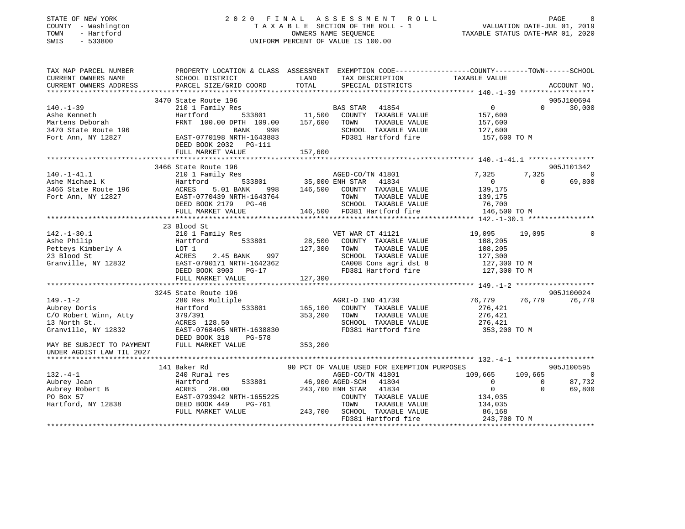| STATE OF NEW YORK<br>COUNTY - Washington<br>TOWN<br>- Hartford<br>SWIS<br>$-533800$ |                                                                                                                                                                                                                                                                                | 2020 FINAL ASSESSMENT ROLL<br>PAGE 8<br>TAXABLE SECTION OF THE ROLL - 1 VALUATION DATE-JUL 01, 2019<br>OWNERS NAME SEQUENCE TAXABLE STATUS DATE-MAR 01, 2020<br>UNIFORM PERCENT OF VALUE IS 100.00                                           | PAGE                                                                                          |
|-------------------------------------------------------------------------------------|--------------------------------------------------------------------------------------------------------------------------------------------------------------------------------------------------------------------------------------------------------------------------------|----------------------------------------------------------------------------------------------------------------------------------------------------------------------------------------------------------------------------------------------|-----------------------------------------------------------------------------------------------|
| CURRENT OWNERS NAME<br>CURRENT OWNERS ADDRESS                                       | SCHOOL DISTRICT<br>PARCEL SIZE/GRID COORD                                                                                                                                                                                                                                      | TAX MAP PARCEL NUMBER THE PROPERTY LOCATION & CLASS ASSESSMENT EXEMPTION CODE---------------COUNTY--------TOWN------SCHOOL<br>TAX DESCRIPTION<br>LAND<br>TOTAL<br>SPECIAL DISTRICTS                                                          | TAXABLE VALUE<br>ACCOUNT NO.                                                                  |
| ******************                                                                  |                                                                                                                                                                                                                                                                                |                                                                                                                                                                                                                                              |                                                                                               |
|                                                                                     | 3470 State Route 196                                                                                                                                                                                                                                                           |                                                                                                                                                                                                                                              | 905J100694<br>$\overline{0}$<br>$\Omega$                                                      |
|                                                                                     | 140.-1-39<br>Ashe Kenneth<br>Martens Deborah<br>3470 State Route 196<br>Fort Ann, NY 12827<br>Fort Ann, NY 12827<br>Ashe Kennet 100.00 DPTH 109.00<br>EAST-0770198 NRTH-1643883<br>FRNT 100.00 DPTH 109.00 157,600 TOWN<br>BANK 998<br>DEED BOOK 2032    PG-111                | $\begin{tabular}{lllllllllll} \texttt{s} & \texttt{BAS STAR} & \texttt{41854} \\ \texttt{533801} & \texttt{11,500} & \texttt{COUNTY} & \texttt{TAXABLE VALUE} \end{tabular}$<br>TAXABLE VALUE<br>SCHOOL TAXABLE VALUE<br>FD381 Hartford fire | 30,000<br>157,600<br>157,600<br>127,600<br>157,600 TO M                                       |
|                                                                                     | FULL MARKET VALUE                                                                                                                                                                                                                                                              | 157,600                                                                                                                                                                                                                                      |                                                                                               |
|                                                                                     |                                                                                                                                                                                                                                                                                |                                                                                                                                                                                                                                              |                                                                                               |
| $140. - 1 - 41.1$<br>140.-1-41.1<br>Ashe Michael K                                  | 3466 State Route 196<br>210 1 Family Res<br>AGED-CO/T (AGED-CO/T<br>Hartford 533801 35,000 ENH STAR<br>ACRES 5.01 BANK 998 146,500 COUNTY                                                                                                                                      | AGED-CO/TN 41801<br>41834                                                                                                                                                                                                                    | 905J101342<br>7,325<br>7,325<br>$\sim$ 0<br>$\overline{0}$<br>69,800<br>$\overline{0}$        |
| 3466 State Route 196                                                                | FULL MARKET VALUE                                                                                                                                                                                                                                                              | 5.01 BANK 998 146,500 COUNTY TAXABLE VALUE<br>Fort Ann, NY 12827<br>EAST-0770439 NRTH-1643764<br>DEED BOOK 2179 PG-46<br>DEED BOOK 2179 PG-46<br>TAXABLE VALUE<br>146,500 FD381 Hartford fire                                                | 139,175<br>139,175<br>رب <sub>1991</sub><br>76,700<br>146,500 TO M                            |
|                                                                                     | **************************                                                                                                                                                                                                                                                     |                                                                                                                                                                                                                                              |                                                                                               |
|                                                                                     | 23 Blood St<br>142.-1-30.1<br>Ashe Philip<br>Ashe Philip<br>Petteys Kimberly A<br>23 Blood St<br>Cranville, NY 12832<br>Cranville, NY 12832<br>Peter BOOK 3903<br>Peter David ACRES<br>2.45 BANK<br>997<br>Granville, NY 12832<br>DEED BOOK 3903<br>PG-17<br>FULL MARKET VALUE | VET WAR CT 41121<br>28,500 COUNTY TAXABLE VALUE<br>127,300 TOWN<br>TAXABLE VALUE<br>SCHOOL TAXABLE VALUE<br>CA008 Cons agri dst 8<br>FD381 Hartford fire<br>127,300                                                                          | 19,095<br>19,095<br>$\Omega$<br>108,205<br>108,205<br>127,300<br>127,300 TO M<br>127,300 TO M |
|                                                                                     |                                                                                                                                                                                                                                                                                |                                                                                                                                                                                                                                              |                                                                                               |
| $149. - 1 - 2$<br>Aubrey Doris<br>MAY BE SUBJECT TO PAYMENT FULL MARKET VALUE       | 3245 State Route 196                                                                                                                                                                                                                                                           | 280 Res Multiple<br>280 Res Multiple<br>Hartford 533801 165,100 COUNTY TAXABLE VALUE<br>AGRI-D IND 41730<br>353,200<br>TOWN<br>TAXABLE VALUE<br>SCHOOL TAXABLE VALUE<br>FD381 Hartford fire<br>353,200                                       | 905J100024<br>76,779<br>76,779<br>76,779<br>276,421<br>276,421<br>276,421<br>353,200 TO M     |
| UNDER AGDIST LAW TIL 2027                                                           |                                                                                                                                                                                                                                                                                |                                                                                                                                                                                                                                              |                                                                                               |
|                                                                                     | 141 Baker Rd                                                                                                                                                                                                                                                                   | 90 PCT OF VALUE USED FOR EXEMPTION PURPOSES                                                                                                                                                                                                  | 905J100595                                                                                    |
|                                                                                     |                                                                                                                                                                                                                                                                                | AGED-CO/TN 41801                                                                                                                                                                                                                             | 109,665<br>109,665 0                                                                          |
|                                                                                     |                                                                                                                                                                                                                                                                                | 46,900 AGED-SCH 41804                                                                                                                                                                                                                        | 87,732                                                                                        |
|                                                                                     |                                                                                                                                                                                                                                                                                | 243,700 ENH STAR<br>41834                                                                                                                                                                                                                    | $109,665$<br>0 0<br>0 0<br>69,800                                                             |
|                                                                                     | 132.-4-1<br>Aubrey Jean Martford 533801 46,900<br>Aubrey Robert B<br>PO Box 57 EAST-0793942 NRTH-1655225<br>Hartford, NY 12838 DEED BOOK 449 PG-761<br>FULL MARKET VALUE 243,700                                                                                               | COUNTY TAXABLE VALUE<br>TOWN<br>TAXABLE VALUE<br>243,700 SCHOOL TAXABLE VALUE                                                                                                                                                                | 134,035<br>134,035<br>86,168                                                                  |
|                                                                                     |                                                                                                                                                                                                                                                                                | FD381 Hartford fire                                                                                                                                                                                                                          | 243,700 TO M                                                                                  |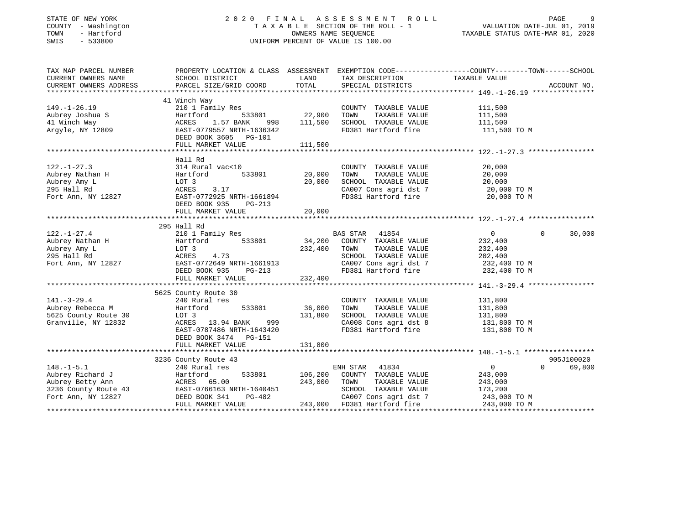# STATE OF NEW YORK 2 0 2 0 F I N A L A S S E S S M E N T R O L L PAGE 9 COUNTY - Washington T A X A B L E SECTION OF THE ROLL - 1 VALUATION DATE-JUL 01, 2019 TOWN - Hartford OWNERS NAME SEQUENCE TAXABLE STATUS DATE-MAR 01, 2020 SWIS - 533800 UNIFORM PERCENT OF VALUE IS 100.00

| TAX MAP PARCEL NUMBER                                   | PROPERTY LOCATION & CLASS ASSESSMENT EXEMPTION CODE---------------COUNTY-------TOWN-----SCHOOL                                        |                |                                                                       |                         |                    |
|---------------------------------------------------------|---------------------------------------------------------------------------------------------------------------------------------------|----------------|-----------------------------------------------------------------------|-------------------------|--------------------|
| CURRENT OWNERS NAME                                     | SCHOOL DISTRICT                                                                                                                       | LAND           | TAX DESCRIPTION                                                       | TAXABLE VALUE           |                    |
| CURRENT OWNERS ADDRESS                                  | PARCEL SIZE/GRID COORD                                                                                                                | TOTAL          | SPECIAL DISTRICTS                                                     |                         | ACCOUNT NO.        |
|                                                         |                                                                                                                                       |                |                                                                       |                         |                    |
|                                                         | 41 Winch Way                                                                                                                          |                |                                                                       |                         |                    |
| $149. - 1 - 26.19$                                      | 210 1 Family Res                                                                                                                      |                | COUNTY TAXABLE VALUE                                                  | 111,500                 |                    |
| Aubrey Joshua S                                         | Hartford                                                                                                                              | 533801 22,900  | TOWN<br>TAXABLE VALUE                                                 | 111,500                 |                    |
| 41 Winch Way                                            | 1.57 BANK<br>ACRES                                                                                                                    | 998 111,500    | SCHOOL TAXABLE VALUE                                                  | 111,500                 |                    |
| Argyle, NY 12809                                        | ACRES 1.37 2.2<br>EAST-0779557 NRTH-1636342<br>CASE DG-101                                                                            |                | FD381 Hartford fire                                                   | 111,500 TO M            |                    |
|                                                         | DEED BOOK 3605 PG-101                                                                                                                 |                |                                                                       |                         |                    |
|                                                         | FULL MARKET VALUE                                                                                                                     | 111,500        |                                                                       |                         |                    |
|                                                         |                                                                                                                                       |                |                                                                       |                         |                    |
|                                                         | Hall Rd                                                                                                                               |                |                                                                       |                         |                    |
| $122. - 1 - 27.3$                                       | 314 Rural vac<10                                                                                                                      |                | COUNTY TAXABLE VALUE                                                  | 20,000                  |                    |
| Aubrey Nathan H                                         | 533801<br>Hartford                                                                                                                    | 20,000         | TAXABLE VALUE<br>TOWN                                                 | 20,000                  |                    |
| Aubrey Amy L                                            | LOT 3                                                                                                                                 | 20,000         | SCHOOL TAXABLE VALUE                                                  | 20,000                  |                    |
| 295 Hall Rd                                             | ACRES<br>3.17                                                                                                                         |                | SCHOOL TAXABLE VALUE 20,000<br>CA007 Cons agri dst 7 20,000 TO M      |                         |                    |
| Fort Ann, NY 12827                                      | EAST-0772925 NRTH-1661894                                                                                                             |                | FD381 Hartford fire                                                   | 20,000 TO M             |                    |
|                                                         | DEED BOOK 935                                                                                                                         |                |                                                                       |                         |                    |
|                                                         | PG-213                                                                                                                                |                |                                                                       |                         |                    |
|                                                         | FULL MARKET VALUE                                                                                                                     | 20,000         |                                                                       |                         |                    |
|                                                         |                                                                                                                                       |                |                                                                       |                         |                    |
|                                                         | 295 Hall Rd                                                                                                                           |                |                                                                       |                         |                    |
| $122. - 1 - 27.4$<br>$122. -1 - 27.$<br>Aubrey Nathan H | 210 1 Family Res                                                                                                                      |                | BAS STAR 41854<br>34,200 COUNTY TAXABLE VALUE                         | $\overline{0}$          | $\Omega$<br>30,000 |
|                                                         | Hartford 533801                                                                                                                       |                |                                                                       | 232,400                 |                    |
|                                                         | LOT 3                                                                                                                                 | 232,400        | TAXABLE VALUE<br>TOWN                                                 | 232,400                 |                    |
| 295 Hall Rd                                             | ACRES<br>4.73                                                                                                                         |                | SCHOOL TAXABLE VALUE<br>VALUE<br>CA007 Cons agri dst 7<br>FD381 Portf | 202,400<br>232,400 TO M |                    |
| Fort Ann, NY 12827                                      | EAST-0772649 NRTH-1661913                                                                                                             |                |                                                                       |                         |                    |
|                                                         | PG-213<br>DEED BOOK 935                                                                                                               |                | FD381 Hartford fire 232,400 TO M                                      |                         |                    |
|                                                         | FULL MARKET VALUE                                                                                                                     | 232,400        |                                                                       |                         |                    |
|                                                         |                                                                                                                                       |                |                                                                       |                         |                    |
|                                                         | 5625 County Route 30                                                                                                                  |                |                                                                       |                         |                    |
| $141. - 3 - 29.4$                                       | 240 Rural res                                                                                                                         |                | COUNTY TAXABLE VALUE                                                  | 131,800                 |                    |
| Aubrey Rebecca M                                        | 533801<br>Hartford                                                                                                                    | 36,000         | TAXABLE VALUE<br>TOWN                                                 | 131,800                 |                    |
| 5625 County Route 30                                    | LOT 3                                                                                                                                 | 131,800        | SCHOOL TAXABLE VALUE                                                  | 131,800                 |                    |
| Granville, NY 12832                                     | ACRES 13.94 BANK<br>999                                                                                                               |                | CA008 Cons agri dst 8 131,800 TO M                                    |                         |                    |
|                                                         | EAST-0787486 NRTH-1643420                                                                                                             |                | FD381 Hartford fire                                                   | 131,800 TO M            |                    |
|                                                         |                                                                                                                                       |                |                                                                       |                         |                    |
|                                                         | DEED BOOK 3474 PG-151                                                                                                                 |                |                                                                       |                         |                    |
|                                                         | FULL MARKET VALUE                                                                                                                     | 131,800        |                                                                       |                         |                    |
|                                                         |                                                                                                                                       |                |                                                                       |                         |                    |
|                                                         | 3236 County Route 43<br>240 Rural res                                                                                                 |                |                                                                       |                         | 905J100020         |
| $148. - 1 - 5.1$                                        | 240 Rural res                                                                                                                         |                | ENH STAR 41834                                                        | $\overline{0}$          | $\Omega$<br>69,800 |
| Aubrey Richard J                                        | Hartford                                                                                                                              | 533801 106,200 | COUNTY TAXABLE VALUE                                                  | 243,000                 |                    |
|                                                         |                                                                                                                                       | 243,000        | TAXABLE VALUE<br>TOWN                                                 | 243,000                 |                    |
|                                                         |                                                                                                                                       |                | SCHOOL TAXABLE VALUE                                                  | 173,200                 |                    |
|                                                         | Aubrey Betty Ann MCRES 65.00<br>3236 County Route 43 EAST-0766163 NRTH-1640451<br>Fort Ann, NY 12827 DEED BOOK 341 PG-482<br>$PG-482$ |                | CA007 Cons agri dst 7 243,000 TO M                                    |                         |                    |
|                                                         | FULL MARKET VALUE                                                                                                                     |                | 243,000 FD381 Hartford fire                                           | 243,000 TO M            |                    |
|                                                         |                                                                                                                                       |                |                                                                       |                         |                    |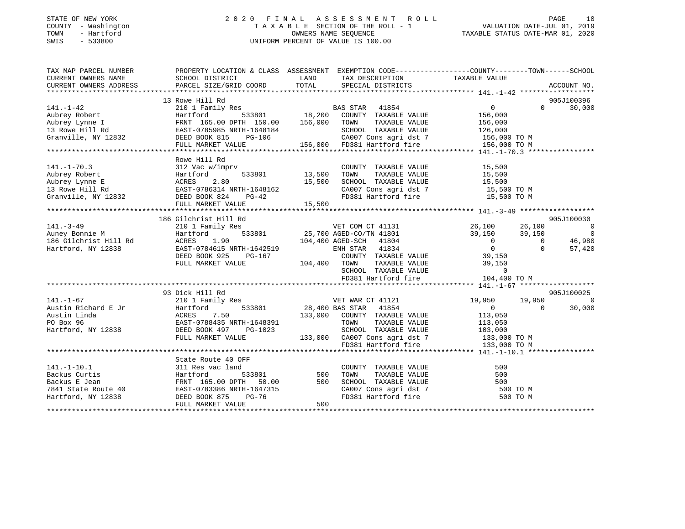# STATE OF NEW YORK 2 0 2 0 F I N A L A S S E S S M E N T R O L L PAGE 10 COUNTY - Washington T A X A B L E SECTION OF THE ROLL - 1 VALUATION DATE-JUL 01, 2019 TOWN - Hartford OWNERS NAME SEQUENCE TAXABLE STATUS DATE-MAR 01, 2020 SWIS - 533800 UNIFORM PERCENT OF VALUE IS 100.00

| TAX MAP PARCEL NUMBER                                                                                                                                                                                                          | PROPERTY LOCATION & CLASS ASSESSMENT EXEMPTION CODE-----------------COUNTY--------TOWN------SCHOOL                                                                                                                                                             |                                                                                                                       |                                                                                                                       |                                 |                |                              |
|--------------------------------------------------------------------------------------------------------------------------------------------------------------------------------------------------------------------------------|----------------------------------------------------------------------------------------------------------------------------------------------------------------------------------------------------------------------------------------------------------------|-----------------------------------------------------------------------------------------------------------------------|-----------------------------------------------------------------------------------------------------------------------|---------------------------------|----------------|------------------------------|
| CURRENT OWNERS NAME                                                                                                                                                                                                            | SCHOOL DISTRICT                                                                                                                                                                                                                                                | <b>EXAMPLE DESCRIPTION OF STREET AND STREET AND STREET AND STREET AND STREET AND STREET AND STREET AND STREET AND</b> | TAX DESCRIPTION                                                                                                       | TAXABLE VALUE                   |                |                              |
|                                                                                                                                                                                                                                | PARCEL SIZE/GRID COORD TOTAL SPECIAL DISTRICTS                                                                                                                                                                                                                 |                                                                                                                       |                                                                                                                       |                                 |                |                              |
|                                                                                                                                                                                                                                |                                                                                                                                                                                                                                                                |                                                                                                                       |                                                                                                                       |                                 |                |                              |
|                                                                                                                                                                                                                                | 13 Rowe Hill Rd                                                                                                                                                                                                                                                |                                                                                                                       |                                                                                                                       |                                 |                | 905J100396                   |
| $141. - 1 - 42$                                                                                                                                                                                                                |                                                                                                                                                                                                                                                                |                                                                                                                       |                                                                                                                       | $\overline{0}$                  | $\Omega$       | 30,000                       |
|                                                                                                                                                                                                                                |                                                                                                                                                                                                                                                                |                                                                                                                       |                                                                                                                       |                                 |                |                              |
|                                                                                                                                                                                                                                |                                                                                                                                                                                                                                                                |                                                                                                                       |                                                                                                                       |                                 |                |                              |
|                                                                                                                                                                                                                                |                                                                                                                                                                                                                                                                |                                                                                                                       |                                                                                                                       |                                 |                |                              |
|                                                                                                                                                                                                                                |                                                                                                                                                                                                                                                                |                                                                                                                       |                                                                                                                       |                                 |                |                              |
|                                                                                                                                                                                                                                |                                                                                                                                                                                                                                                                |                                                                                                                       |                                                                                                                       |                                 |                |                              |
|                                                                                                                                                                                                                                |                                                                                                                                                                                                                                                                |                                                                                                                       |                                                                                                                       |                                 |                |                              |
|                                                                                                                                                                                                                                | Rowe Hill Rd                                                                                                                                                                                                                                                   |                                                                                                                       |                                                                                                                       |                                 |                |                              |
| $141. - 1 - 70.3$<br>141.-1-70.3<br>Aubrey Robert<br>Aubrey Lynne E<br>13 Rowe Hill Rd<br>Granville, NY 12832<br>2.80<br>EAST-0786314 NRTH-1648162<br>EED BOOK 824<br>THE POOK 824<br>THE POOK 824<br>PG-42                    | 312 Vac w/imprv                                                                                                                                                                                                                                                |                                                                                                                       | COUNTY TAXABLE VALUE                                                                                                  | 15,500                          |                |                              |
|                                                                                                                                                                                                                                |                                                                                                                                                                                                                                                                |                                                                                                                       |                                                                                                                       | TAXABLE VALUE 15,500            |                |                              |
|                                                                                                                                                                                                                                |                                                                                                                                                                                                                                                                | 15,500                                                                                                                | SCHOOL TAXABLE VALUE<br>SCHOOL TAXABLE VALUE 15,500<br>CA007 Cons agri dst 7 15,500 TO M                              |                                 |                |                              |
|                                                                                                                                                                                                                                |                                                                                                                                                                                                                                                                |                                                                                                                       |                                                                                                                       |                                 |                |                              |
|                                                                                                                                                                                                                                |                                                                                                                                                                                                                                                                |                                                                                                                       | FD381 Hartford fire 15,500 TO M                                                                                       |                                 |                |                              |
|                                                                                                                                                                                                                                | FULL MARKET VALUE                                                                                                                                                                                                                                              | 15,500                                                                                                                |                                                                                                                       |                                 |                |                              |
|                                                                                                                                                                                                                                |                                                                                                                                                                                                                                                                |                                                                                                                       |                                                                                                                       |                                 |                |                              |
|                                                                                                                                                                                                                                | 186 Gilchrist Hill Rd                                                                                                                                                                                                                                          |                                                                                                                       | $VET COM CT 41131$ $26,100$ $26,100$<br>$39,150$ $39,150$                                                             |                                 |                | 905J100030                   |
| $141. - 3 - 49$                                                                                                                                                                                                                | 210 1 Family Res                                                                                                                                                                                                                                               |                                                                                                                       |                                                                                                                       |                                 |                | $\overline{0}$               |
| Auney Bonnie M<br>Auney Bonnie M<br>186 Gilchrist Hill Rd<br>Hartford NV 12838                                                                                                                                                 |                                                                                                                                                                                                                                                                |                                                                                                                       | 533801 25,700 AGED-CO/TN 41801 39,150 39,150                                                                          |                                 | $\overline{0}$ | $\overline{0}$               |
|                                                                                                                                                                                                                                |                                                                                                                                                                                                                                                                |                                                                                                                       |                                                                                                                       |                                 |                | 46,980                       |
| Hartford, NY 12838                                                                                                                                                                                                             |                                                                                                                                                                                                                                                                |                                                                                                                       |                                                                                                                       |                                 | $\Omega$       | 57,420                       |
|                                                                                                                                                                                                                                |                                                                                                                                                                                                                                                                |                                                                                                                       |                                                                                                                       |                                 |                |                              |
|                                                                                                                                                                                                                                |                                                                                                                                                                                                                                                                |                                                                                                                       |                                                                                                                       |                                 |                |                              |
|                                                                                                                                                                                                                                | Across 1.90<br>EAST -0784615 NRTH-1642519<br>DEED BOOK 925 PG-167<br>FULL MARKET VALUE<br>FULL MARKET VALUE<br>2014,400 NRTH STAR 41834<br>2020 NRTH-1642519<br>29,150<br>29,150<br>29,150<br>29,150<br>29,150<br>29,150<br>29,150<br>29,150<br>29,150<br>29,1 |                                                                                                                       |                                                                                                                       |                                 |                |                              |
|                                                                                                                                                                                                                                |                                                                                                                                                                                                                                                                |                                                                                                                       | FD381 Hartford fire                                                                                                   | 104,400 TO M                    |                |                              |
|                                                                                                                                                                                                                                |                                                                                                                                                                                                                                                                |                                                                                                                       |                                                                                                                       |                                 |                |                              |
|                                                                                                                                                                                                                                | 93 Dick Hill Rd<br>210 1 Family Res<br>210 1 Family Res VET WAR CT 41121                                                                                                                                                                                       |                                                                                                                       |                                                                                                                       |                                 |                | 905J100025<br>$\overline{0}$ |
| $141. - 1 - 67$                                                                                                                                                                                                                |                                                                                                                                                                                                                                                                |                                                                                                                       |                                                                                                                       | 19,950 19,950<br>$\overline{0}$ |                |                              |
| Particular Execution of Execution Contract of Execution Contract Contract Contract Contract Contract Contract Contract Contract Contract Contract Contract Contract Contract Contract Contract Contract Contract Contract Cont |                                                                                                                                                                                                                                                                |                                                                                                                       | 533801 28,400 BAS STAR 41854                                                                                          |                                 | $\Omega$       | 30,000                       |
|                                                                                                                                                                                                                                |                                                                                                                                                                                                                                                                |                                                                                                                       | 133,000 COUNTY TAXABLE VALUE                                                                                          | 113,050<br>113,050              |                |                              |
|                                                                                                                                                                                                                                |                                                                                                                                                                                                                                                                |                                                                                                                       | TOWN<br>TAXABLE VALUE                                                                                                 |                                 |                |                              |
| Hartford, NY 12838 DEED BOOK 497 PG-1023                                                                                                                                                                                       |                                                                                                                                                                                                                                                                |                                                                                                                       |                                                                                                                       |                                 |                |                              |
|                                                                                                                                                                                                                                | FULL MARKET VALUE                                                                                                                                                                                                                                              |                                                                                                                       | G-1023 SCHOOL TAXABLE VALUE 103,000<br>133,000 CA007 Cons agri dst 7 133,000 TO M<br>FD381 Hartford fire 133,000 TO M |                                 |                |                              |
|                                                                                                                                                                                                                                |                                                                                                                                                                                                                                                                |                                                                                                                       |                                                                                                                       |                                 |                |                              |
|                                                                                                                                                                                                                                | State Route 40 OFF                                                                                                                                                                                                                                             |                                                                                                                       |                                                                                                                       |                                 |                |                              |
|                                                                                                                                                                                                                                |                                                                                                                                                                                                                                                                |                                                                                                                       | COUNTY TAXABLE VALUE                                                                                                  | 500                             |                |                              |
|                                                                                                                                                                                                                                |                                                                                                                                                                                                                                                                |                                                                                                                       |                                                                                                                       | 500                             |                |                              |
|                                                                                                                                                                                                                                |                                                                                                                                                                                                                                                                |                                                                                                                       | TAXABLE VALUE<br>SCHOOL TAXABLE VALUE                                                                                 | 500                             |                |                              |
|                                                                                                                                                                                                                                |                                                                                                                                                                                                                                                                |                                                                                                                       |                                                                                                                       | 500 TO M                        |                |                              |
|                                                                                                                                                                                                                                |                                                                                                                                                                                                                                                                |                                                                                                                       | CA007 Cons agri dst 7<br>The limit ford fire                                                                          | 500 TO M                        |                |                              |
|                                                                                                                                                                                                                                | FULL MARKET VALUE                                                                                                                                                                                                                                              | 500                                                                                                                   |                                                                                                                       |                                 |                |                              |
|                                                                                                                                                                                                                                |                                                                                                                                                                                                                                                                |                                                                                                                       |                                                                                                                       |                                 |                |                              |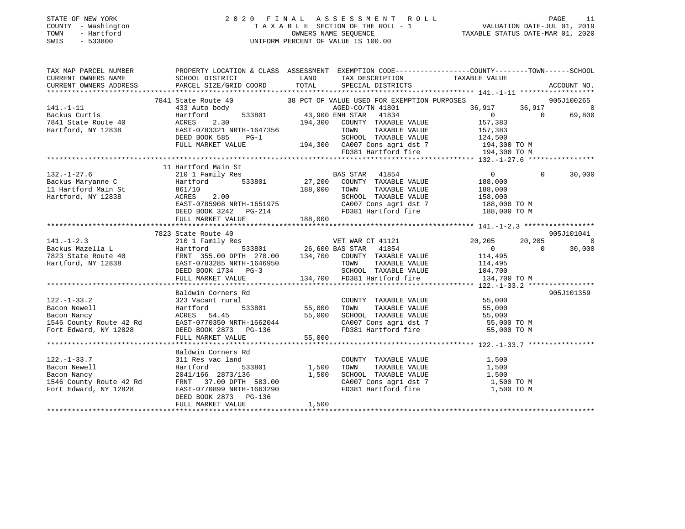# STATE OF NEW YORK 2 0 2 0 F I N A L A S S E S S M E N T R O L L PAGE 11 COUNTY - Washington T A X A B L E SECTION OF THE ROLL - 1 VALUATION DATE-JUL 01, 2019 TOWN - Hartford OWNERS NAME SEQUENCE TAXABLE STATUS DATE-MAR 01, 2020 SWIS - 533800 UNIFORM PERCENT OF VALUE IS 100.00UNIFORM PERCENT OF VALUE IS 100.00

| TAX MAP PARCEL NUMBER<br>CURRENT OWNERS NAME | PROPERTY LOCATION & CLASS ASSESSMENT EXEMPTION CODE-----------------COUNTY-------TOWN------SCHOOL<br>SCHOOL DISTRICT                         LAND       TAX DESCRIPTION         TAXABLE VALUE<br>CURRENT OWNERS ADDRESS PARCEL SIZE/GRID COORD TOTAL                        |                       | TAX DESCRIPTION TAXABLE VALUE SPECIAL DISTRICTS |                                                                                            | ACCOUNT NO. |                  |                  |                       |        |        |   |                     |                         |         |                      |    |  |  |  |  |
|----------------------------------------------|-----------------------------------------------------------------------------------------------------------------------------------------------------------------------------------------------------------------------------------------------------------------------------|-----------------------|-------------------------------------------------|--------------------------------------------------------------------------------------------|-------------|------------------|------------------|-----------------------|--------|--------|---|---------------------|-------------------------|---------|----------------------|----|--|--|--|--|
|                                              |                                                                                                                                                                                                                                                                             |                       |                                                 |                                                                                            |             |                  |                  |                       |        |        |   |                     |                         |         |                      |    |  |  |  |  |
|                                              |                                                                                                                                                                                                                                                                             |                       |                                                 |                                                                                            |             |                  |                  |                       |        |        |   |                     |                         |         |                      |    |  |  |  |  |
|                                              |                                                                                                                                                                                                                                                                             |                       |                                                 |                                                                                            |             |                  |                  |                       |        |        |   |                     |                         |         |                      |    |  |  |  |  |
|                                              |                                                                                                                                                                                                                                                                             |                       |                                                 |                                                                                            |             |                  |                  |                       |        |        |   |                     |                         |         |                      |    |  |  |  |  |
|                                              |                                                                                                                                                                                                                                                                             |                       |                                                 |                                                                                            |             |                  |                  |                       |        |        |   |                     |                         |         |                      |    |  |  |  |  |
|                                              |                                                                                                                                                                                                                                                                             |                       |                                                 |                                                                                            |             |                  |                  |                       |        |        |   |                     |                         |         |                      |    |  |  |  |  |
|                                              |                                                                                                                                                                                                                                                                             |                       |                                                 |                                                                                            |             |                  |                  |                       |        |        |   |                     |                         |         |                      |    |  |  |  |  |
|                                              |                                                                                                                                                                                                                                                                             |                       |                                                 |                                                                                            |             |                  |                  |                       |        |        |   |                     |                         |         |                      |    |  |  |  |  |
|                                              | 141.-1-11<br>141.-1-11<br>141.-1-11<br>14.7848 Motobody<br>143.900 DRED-CO/TN 41801<br>14.900 ENH STRR 41834<br>1624 Rocks Cuttis 433 Auto body<br>194,300 CDNF STRR 41834<br>194,300 CONTY TAXABLE VALUE<br>157,383<br>194,300 TOM TAXABLE VALUE<br>                       |                       |                                                 |                                                                                            |             |                  |                  |                       |        |        |   |                     |                         |         |                      |    |  |  |  |  |
|                                              |                                                                                                                                                                                                                                                                             |                       |                                                 |                                                                                            |             |                  |                  |                       |        |        |   |                     |                         |         |                      |    |  |  |  |  |
|                                              | 132.-1-27.6<br>132.-1-27.6<br>210 1 Family Res<br>132.-1-27.6<br>210 1 Family Res<br>27,200 COUNTY TAXABLE VALUE 188,000<br>27,200 COUNTY TAXABLE VALUE 188,000<br>27,200 COUNTY TAXABLE VALUE 188,000<br>27,200 COUNTY TAXABLE VALUE 188,0                                 |                       |                                                 |                                                                                            |             |                  |                  |                       |        |        |   |                     |                         |         |                      |    |  |  |  |  |
|                                              |                                                                                                                                                                                                                                                                             |                       |                                                 | $\Omega$                                                                                   | 30,000      |                  |                  |                       |        |        |   |                     |                         |         |                      |    |  |  |  |  |
|                                              |                                                                                                                                                                                                                                                                             |                       |                                                 |                                                                                            |             |                  |                  |                       |        |        |   |                     |                         |         |                      |    |  |  |  |  |
|                                              |                                                                                                                                                                                                                                                                             |                       |                                                 |                                                                                            |             |                  |                  |                       |        |        |   |                     |                         |         |                      |    |  |  |  |  |
|                                              |                                                                                                                                                                                                                                                                             |                       |                                                 |                                                                                            |             |                  |                  |                       |        |        |   |                     |                         |         |                      |    |  |  |  |  |
|                                              |                                                                                                                                                                                                                                                                             |                       |                                                 |                                                                                            |             |                  |                  |                       |        |        |   |                     |                         |         |                      |    |  |  |  |  |
|                                              |                                                                                                                                                                                                                                                                             |                       |                                                 |                                                                                            |             |                  |                  |                       |        |        |   |                     |                         |         |                      |    |  |  |  |  |
|                                              |                                                                                                                                                                                                                                                                             |                       |                                                 |                                                                                            |             |                  |                  |                       |        |        |   |                     |                         |         |                      |    |  |  |  |  |
|                                              |                                                                                                                                                                                                                                                                             |                       |                                                 |                                                                                            |             |                  |                  |                       |        |        |   |                     |                         |         |                      |    |  |  |  |  |
|                                              | 11 Hartford Main St and State of the Construction of the MARIE VALUE of Main St and ACRES 2.00<br>Hartford, NY 12838 ACRES 2.00<br>EXST-0785908 NRTH-1651975 CA007 Cons agri dst 7 188,000 TO M<br>EXST-0785908 NRTH-1651975 CA007 C                                        |                       |                                                 |                                                                                            |             |                  |                  |                       |        |        |   |                     |                         |         |                      |    |  |  |  |  |
|                                              | 7823 State Route 40                                                                                                                                                                                                                                                         |                       |                                                 |                                                                                            | 905J101041  |                  |                  |                       |        |        |   |                     |                         |         |                      |    |  |  |  |  |
|                                              |                                                                                                                                                                                                                                                                             |                       |                                                 |                                                                                            |             |                  |                  |                       |        |        |   |                     |                         |         |                      |    |  |  |  |  |
|                                              |                                                                                                                                                                                                                                                                             |                       |                                                 |                                                                                            |             |                  |                  |                       |        |        |   |                     |                         |         |                      |    |  |  |  |  |
|                                              |                                                                                                                                                                                                                                                                             |                       |                                                 |                                                                                            |             |                  |                  |                       |        |        |   |                     |                         |         |                      |    |  |  |  |  |
|                                              |                                                                                                                                                                                                                                                                             |                       |                                                 |                                                                                            |             |                  |                  |                       |        |        |   |                     |                         |         |                      |    |  |  |  |  |
|                                              |                                                                                                                                                                                                                                                                             |                       |                                                 |                                                                                            |             |                  |                  |                       |        |        |   |                     |                         |         |                      |    |  |  |  |  |
|                                              | $\n\n\n141.-1-2.3\n7823 State Route 40\n20,205\n20,205\n\n\nBackus Macella L\n210 I Family Res\n26,600 BAS STAR 41854\n20,205\n20,205\n0\n\n\n7823 State Route 40\nFRNT 355.00 DPTH 270.00\n134,700\nCOUNTY TAXABLE VALUE\n11$                                              | 141.-1-2.3            | 7823 State Route 40                             | 20,205                                                                                     | 20,205      | Backus Macella L | 210 I Family Res | 26,600 BAS STAR 41854 | 20,205 | 20,205 | 0 | 7823 State Route 40 | FRNT 355.00 DPTH 270.00 | 134,700 | COUNTY TAXABLE VALUE | 11 |  |  |  |  |
| 141.-1-2.3                                   | 7823 State Route 40                                                                                                                                                                                                                                                         | 20,205                | 20,205                                          |                                                                                            |             |                  |                  |                       |        |        |   |                     |                         |         |                      |    |  |  |  |  |
| Backus Macella L                             | 210 I Family Res                                                                                                                                                                                                                                                            | 26,600 BAS STAR 41854 | 20,205                                          | 20,205                                                                                     | 0           |                  |                  |                       |        |        |   |                     |                         |         |                      |    |  |  |  |  |
| 7823 State Route 40                          | FRNT 355.00 DPTH 270.00                                                                                                                                                                                                                                                     | 134,700               | COUNTY TAXABLE VALUE                            | 11                                                                                         |             |                  |                  |                       |        |        |   |                     |                         |         |                      |    |  |  |  |  |
|                                              |                                                                                                                                                                                                                                                                             |                       |                                                 |                                                                                            |             |                  |                  |                       |        |        |   |                     |                         |         |                      |    |  |  |  |  |
|                                              | Baldwin Corners Rd                                                                                                                                                                                                                                                          |                       |                                                 |                                                                                            | 905J101359  |                  |                  |                       |        |        |   |                     |                         |         |                      |    |  |  |  |  |
| $122. - 1 - 33.2$                            | 323 Vacant rural                                                                                                                                                                                                                                                            |                       | COUNTY TAXABLE VALUE 55,000                     |                                                                                            |             |                  |                  |                       |        |        |   |                     |                         |         |                      |    |  |  |  |  |
|                                              |                                                                                                                                                                                                                                                                             |                       |                                                 |                                                                                            |             |                  |                  |                       |        |        |   |                     |                         |         |                      |    |  |  |  |  |
|                                              |                                                                                                                                                                                                                                                                             |                       |                                                 |                                                                                            |             |                  |                  |                       |        |        |   |                     |                         |         |                      |    |  |  |  |  |
|                                              |                                                                                                                                                                                                                                                                             |                       |                                                 |                                                                                            |             |                  |                  |                       |        |        |   |                     |                         |         |                      |    |  |  |  |  |
|                                              |                                                                                                                                                                                                                                                                             |                       |                                                 |                                                                                            |             |                  |                  |                       |        |        |   |                     |                         |         |                      |    |  |  |  |  |
|                                              |                                                                                                                                                                                                                                                                             |                       |                                                 |                                                                                            |             |                  |                  |                       |        |        |   |                     |                         |         |                      |    |  |  |  |  |
|                                              | $\begin{array}{cccccccc} 122.-1-33.2 & 323&01 & 53.801 & 55,000 &0000 &0.0000 &0.0000 &0.0000 &0.0000 &0.0000 &0.0000 &0.0000 &0.0000 &0.0000 &0.0000 &0.0000 &0.0000 &0.0000 &0.0000 &0.0000 &0.0000 &0.0000 &0.0000 &0.0000 &0.0000 &0.0000 &0.0000 &0.0000 &0.0000 &0.0$ |                       |                                                 |                                                                                            |             |                  |                  |                       |        |        |   |                     |                         |         |                      |    |  |  |  |  |
|                                              |                                                                                                                                                                                                                                                                             |                       |                                                 |                                                                                            |             |                  |                  |                       |        |        |   |                     |                         |         |                      |    |  |  |  |  |
|                                              | Baldwin Corners Rd                                                                                                                                                                                                                                                          |                       |                                                 |                                                                                            |             |                  |                  |                       |        |        |   |                     |                         |         |                      |    |  |  |  |  |
| $122. - 1 - 33.7$                            | 311 Res vac land                                                                                                                                                                                                                                                            | d<br>533801 1,500     | COUNTY TAXABLE VALUE                            | 1,500                                                                                      |             |                  |                  |                       |        |        |   |                     |                         |         |                      |    |  |  |  |  |
| Bacon Newell                                 | Hartford                                                                                                                                                                                                                                                                    |                       |                                                 | TOWN TAXABLE VALUE 1,500<br>SCHOOL TAXABLE VALUE 1,500<br>CA007 Cons agri dst 7 1,500 TO M |             |                  |                  |                       |        |        |   |                     |                         |         |                      |    |  |  |  |  |
|                                              | Bacon Nancy<br>1,500<br>1,500<br>1,500<br>Fort Edward NY 12828<br>Face Content Content of Case of Case of Case of Case of Edward<br>Fort Edward NY 12828                                                                                                                    |                       |                                                 |                                                                                            |             |                  |                  |                       |        |        |   |                     |                         |         |                      |    |  |  |  |  |
|                                              |                                                                                                                                                                                                                                                                             |                       |                                                 |                                                                                            |             |                  |                  |                       |        |        |   |                     |                         |         |                      |    |  |  |  |  |
| Fort Edward, NY 12828                        | EAST-0770899 NRTH-1663290                                                                                                                                                                                                                                                   |                       | FD381 Hartford fire                             | 1,500 TO M                                                                                 |             |                  |                  |                       |        |        |   |                     |                         |         |                      |    |  |  |  |  |
|                                              | DEED BOOK 2873 PG-136                                                                                                                                                                                                                                                       |                       |                                                 |                                                                                            |             |                  |                  |                       |        |        |   |                     |                         |         |                      |    |  |  |  |  |
|                                              | FULL MARKET VALUE                                                                                                                                                                                                                                                           | 1,500                 |                                                 |                                                                                            |             |                  |                  |                       |        |        |   |                     |                         |         |                      |    |  |  |  |  |
|                                              |                                                                                                                                                                                                                                                                             |                       |                                                 |                                                                                            |             |                  |                  |                       |        |        |   |                     |                         |         |                      |    |  |  |  |  |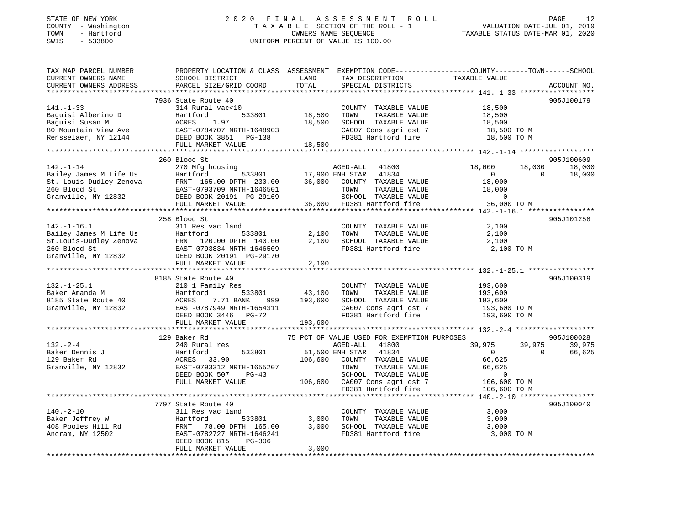# STATE OF NEW YORK 2 0 2 0 F I N A L A S S E S S M E N T R O L L PAGE 12 COUNTY - Washington T A X A B L E SECTION OF THE ROLL - 1 VALUATION DATE-JUL 01, 2019 TOWN - Hartford OWNERS NAME SEQUENCE TAXABLE STATUS DATE-MAR 01, 2020 SWIS - 533800 UNIFORM PERCENT OF VALUE IS 100.00

| TAX MAP PARCEL NUMBER<br>CURRENT OWNERS NAME<br>CURRENT OWNERS ADDRESS | PROPERTY LOCATION & CLASS ASSESSMENT EXEMPTION CODE----------------COUNTY-------TOWN-----SCHOOL<br>SCHOOL DISTRICT<br>PARCEL SIZE/GRID COORD                                                                                                  | LAND<br>TOTAL | TAX DESCRIPTION<br>SPECIAL DISTRICTS                                   | TAXABLE VALUE  |          | ACCOUNT NO. |
|------------------------------------------------------------------------|-----------------------------------------------------------------------------------------------------------------------------------------------------------------------------------------------------------------------------------------------|---------------|------------------------------------------------------------------------|----------------|----------|-------------|
|                                                                        |                                                                                                                                                                                                                                               |               |                                                                        |                |          |             |
|                                                                        | 7936 State Route 40                                                                                                                                                                                                                           |               |                                                                        |                |          | 905J100179  |
| $141. - 1 - 33$                                                        | 314 Rural vac<10                                                                                                                                                                                                                              |               | COUNTY TAXABLE VALUE                                                   | 18,500         |          |             |
| Baguisi Alberino D                                                     | Hartford                                                                                                                                                                                                                                      | 533801 18,500 | TOWN<br>TAXABLE VALUE                                                  | 18,500         |          |             |
| Baguisi Susan M                                                        | ACRES<br>1.97                                                                                                                                                                                                                                 | 18,500        | SCHOOL TAXABLE VALUE                                                   | 18,500         |          |             |
|                                                                        | 80 Mountain View Ave EAST-0784707 NRTH-1648903<br>Rensselaer, NY 12144 DEED BOOK 3851 PG-138                                                                                                                                                  |               | CA007 Cons agri dst 7                                                  | 18,500 TO M    |          |             |
|                                                                        |                                                                                                                                                                                                                                               |               | FD381 Hartford fire                                                    | 18,500 TO M    |          |             |
|                                                                        | FULL MARKET VALUE                                                                                                                                                                                                                             | 18,500        |                                                                        |                |          |             |
|                                                                        |                                                                                                                                                                                                                                               |               |                                                                        |                |          | 905J100609  |
| $142. - 1 - 14$                                                        | 260 Blood St<br>270 Mfg housing                                                                                                                                                                                                               |               | 41800<br>AGED-ALL                                                      | 18,000         | 18,000   | 18,000      |
|                                                                        |                                                                                                                                                                                                                                               |               | 17,900 ENH STAR 41834                                                  | $\overline{0}$ | $\Omega$ | 18,000      |
|                                                                        |                                                                                                                                                                                                                                               |               | 36,000 COUNTY TAXABLE VALUE                                            | 18,000         |          |             |
|                                                                        |                                                                                                                                                                                                                                               |               | TOWN<br>TAXABLE VALUE                                                  | 18,000         |          |             |
|                                                                        |                                                                                                                                                                                                                                               |               | SCHOOL TAXABLE VALUE                                                   | $\overline{0}$ |          |             |
|                                                                        | Fig. 1-1-1-4<br>Bailey James M Life Us Hartford 533801<br>St. Louis-Dudley Zenova FRNT 165.00 DPTH 230.00<br>260 Blood St EAST-0793709 NRTH-1646501<br>Granville, NY 12832 DEED BOOK 20191 PG-29169<br>FULL MARKET VALUE<br>FULL MARKET VALUE |               | 36,000 FD381 Hartford fire                                             | 36,000 TO M    |          |             |
|                                                                        |                                                                                                                                                                                                                                               |               |                                                                        |                |          |             |
|                                                                        | 258 Blood St                                                                                                                                                                                                                                  |               |                                                                        |                |          | 905J101258  |
| $142. - 1 - 16.1$                                                      | 311 Res vac land                                                                                                                                                                                                                              |               | COUNTY TAXABLE VALUE                                                   | 2,100          |          |             |
|                                                                        |                                                                                                                                                                                                                                               | 2,100         | TOWN<br>TAXABLE VALUE                                                  | 2,100          |          |             |
|                                                                        | Bailey James M Life Us Martford 533801<br>St.Louis-Dudley Zenova FRNT 120.00 DPTH 140.00<br>260 Blood St EAST-0793834 NRTH-1646509                                                                                                            | 2,100         | SCHOOL TAXABLE VALUE                                                   | 2,100          |          |             |
|                                                                        |                                                                                                                                                                                                                                               |               | FD381 Hartford fire                                                    | 2,100 TO M     |          |             |
|                                                                        | Granville, NY 12832 DEED BOOK 20191 PG-29170                                                                                                                                                                                                  |               |                                                                        |                |          |             |
|                                                                        | FULL MARKET VALUE                                                                                                                                                                                                                             | 2,100         |                                                                        |                |          |             |
|                                                                        |                                                                                                                                                                                                                                               |               |                                                                        |                |          | 905J100319  |
| $132. - 1 - 25.1$                                                      | 8185 State Route 40<br>210 1 Family Res                                                                                                                                                                                                       |               | COUNTY TAXABLE VALUE                                                   | 193,600        |          |             |
| Baker Amanda M                                                         | Hartford                                                                                                                                                                                                                                      | 533801 43,100 | TOWN<br>TAXABLE VALUE                                                  | 193,600        |          |             |
| 8185 State Route 40                                                    | ACRES<br>7.71 BANK                                                                                                                                                                                                                            | 999 193,600   | SCHOOL TAXABLE VALUE                                                   | 193,600        |          |             |
| Granville, NY 12832                                                    | EAST-0787949 NRTH-1654311                                                                                                                                                                                                                     |               |                                                                        |                |          |             |
|                                                                        | DEED BOOK 3446 PG-72                                                                                                                                                                                                                          |               | CA007 Cons agri dst 7 193,600 TO M<br>FD381 Hartford fire 193,600 TO M |                |          |             |
|                                                                        | FULL MARKET VALUE                                                                                                                                                                                                                             | 193,600       |                                                                        |                |          |             |
|                                                                        |                                                                                                                                                                                                                                               |               |                                                                        |                |          |             |
|                                                                        | 129 Baker Rd                                                                                                                                                                                                                                  |               | 75 PCT OF VALUE USED FOR EXEMPTION PURPOSES                            |                |          | 905J100028  |
| $132 - 2 - 4$                                                          | 240 Rural res                                                                                                                                                                                                                                 |               | AGED-ALL<br>41800                                                      | 39,975         | 39,975   | 39,975      |
| Baker Dennis J                                                         | Hartford<br>533801                                                                                                                                                                                                                            |               | 51,500 ENH STAR 41834                                                  | $\Omega$       | $\Omega$ | 66,625      |
| 129 Baker Rd                                                           | ACRES 33.90                                                                                                                                                                                                                                   | 106,600       | COUNTY TAXABLE VALUE                                                   | 66,625         |          |             |
| Granville, NY 12832                                                    | EAST-0793312 NRTH-1655207                                                                                                                                                                                                                     |               | TOWN<br>TAXABLE VALUE                                                  | 66,625         |          |             |
|                                                                        | DEED BOOK 507<br>PG-43                                                                                                                                                                                                                        |               | SCHOOL TAXABLE VALUE                                                   | $\mathbf{0}$   |          |             |
|                                                                        | FULL MARKET VALUE                                                                                                                                                                                                                             |               | 106,600 CA007 Cons agri dst 7                                          | 106,600 TO M   |          |             |
|                                                                        |                                                                                                                                                                                                                                               |               | FD381 Hartford fire                                                    | 106,600 TO M   |          |             |
|                                                                        | 7797 State Route 40                                                                                                                                                                                                                           |               |                                                                        |                |          | 905J100040  |
| $140. - 2 - 10$                                                        | 311 Res vac land                                                                                                                                                                                                                              |               | COUNTY TAXABLE VALUE                                                   | 3,000          |          |             |
| Baker Jeffrey W                                                        | Hartford<br>533801                                                                                                                                                                                                                            | 3,000         | TOWN<br>TAXABLE VALUE                                                  | 3,000          |          |             |
|                                                                        | FRNT 78.00 DPTH 165.00                                                                                                                                                                                                                        | 3,000         | SCHOOL TAXABLE VALUE                                                   | 3,000          |          |             |
| 408 Pooles Hill Rd<br>Anoram NY 12502                                  | EAST-0782727 NRTH-1646241                                                                                                                                                                                                                     |               | FD381 Hartford fire                                                    | 3,000 TO M     |          |             |
|                                                                        | DEED BOOK 815<br>PG-306                                                                                                                                                                                                                       |               |                                                                        |                |          |             |
|                                                                        | FULL MARKET VALUE                                                                                                                                                                                                                             | 3,000         |                                                                        |                |          |             |
|                                                                        |                                                                                                                                                                                                                                               |               |                                                                        |                |          |             |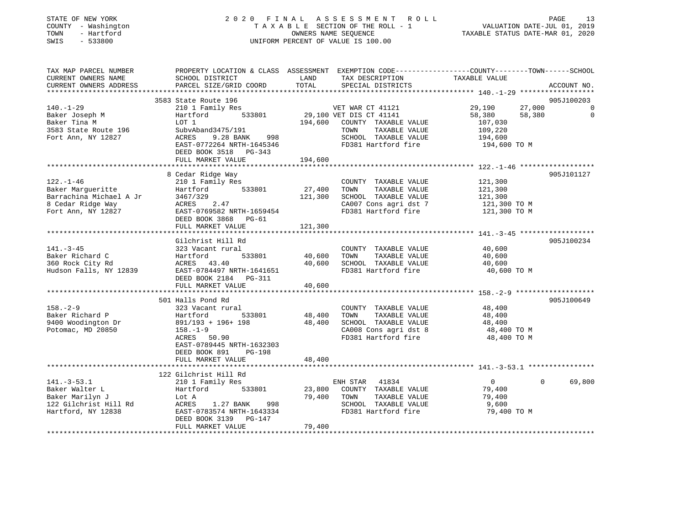| STATE OF NEW YORK |              |
|-------------------|--------------|
| COUNTY            | - Washington |
| TOWN              | - Hartford   |
| <b>CMTC</b>       | $-533800$    |

# STATE OF NEW YORK 2 0 2 0 F I N A L A S S E S S M E N T R O L L PAGE 13 COUNTY - Washington T A X A B L E SECTION OF THE ROLL - 1 VALUATION DATE-JUL 01, 2019 TOWN - Hartford OWNERS NAME SEQUENCE TAXABLE STATUS DATE-MAR 01, 2020 SWIS - 533800 UNIFORM PERCENT OF VALUE IS 100.00

| TAX MAP PARCEL NUMBER<br>CURRENT OWNERS NAME<br>CURRENT OWNERS ADDRESS                                     | SCHOOL DISTRICT<br>PARCEL SIZE/GRID COORD                                                                                                                                            | LAND<br>TOTAL                | PROPERTY LOCATION & CLASS ASSESSMENT EXEMPTION CODE----------------COUNTY-------TOWN------SCHOOL<br>TAX DESCRIPTION<br>SPECIAL DISTRICTS | TAXABLE VALUE                                                     | ACCOUNT NO.                  |
|------------------------------------------------------------------------------------------------------------|--------------------------------------------------------------------------------------------------------------------------------------------------------------------------------------|------------------------------|------------------------------------------------------------------------------------------------------------------------------------------|-------------------------------------------------------------------|------------------------------|
|                                                                                                            |                                                                                                                                                                                      |                              |                                                                                                                                          |                                                                   |                              |
| $140. - 1 - 29$                                                                                            | 3583 State Route 196<br>210 1 Family Res                                                                                                                                             |                              | VET WAR CT 41121                                                                                                                         | 27,000<br>29,190                                                  | 905J100203<br>$\overline{0}$ |
| Baker Joseph M<br>Baker Tina M<br>3583 State Route 196<br>Fort Ann, NY 12827                               | 533801<br>Hartford<br>LOT 1<br>SubvAband3475/191<br>ACRES<br>9.28 BANK<br>998<br>EAST-0772264 NRTH-1645346<br>DEED BOOK 3518 PG-343                                                  | 194,600<br>194,600           | 29,100 VET DIS CT 41141<br>COUNTY TAXABLE VALUE<br>TAXABLE VALUE<br>TOWN<br>SCHOOL TAXABLE VALUE<br>FD381 Hartford fire                  | 58,380<br>58,380<br>107,030<br>109,220<br>194,600<br>194,600 TO M | $\mathbf 0$                  |
|                                                                                                            | FULL MARKET VALUE                                                                                                                                                                    |                              |                                                                                                                                          |                                                                   |                              |
| $122. - 1 - 46$<br>Baker Marqueritte<br>Barrachina Michael A Jr<br>8 Cedar Ridge Way<br>Fort Ann, NY 12827 | 8 Cedar Ridge Way<br>210 1 Family Res<br>533801<br>Hartford<br>3467/329<br>ACRES<br>2.47<br>EAST-0769582 NRTH-1659454<br>DEED BOOK 3868 PG-61<br>FULL MARKET VALUE                   | 27,400<br>121,300<br>121,300 | COUNTY TAXABLE VALUE<br>TAXABLE VALUE<br>TOWN<br>SCHOOL TAXABLE VALUE<br>CA007 Cons agri dst 7<br>FD381 Hartford fire                    | 121,300<br>121,300<br>121,300<br>121,300 TO M<br>121,300 TO M     | 905J101127                   |
|                                                                                                            | Gilchrist Hill Rd                                                                                                                                                                    |                              |                                                                                                                                          |                                                                   | 905J100234                   |
| $141. - 3 - 45$<br>Baker Richard C<br>360 Rock City Rd<br>Hudson Falls, NY 12839                           | 323 Vacant rural<br>Hartford<br>533801<br>ACRES 43.40<br>EAST-0784497 NRTH-1641651<br>DEED BOOK 2184 PG-311<br>FULL MARKET VALUE                                                     | 40,600<br>40,600<br>40,600   | COUNTY TAXABLE VALUE<br>TAXABLE VALUE<br>TOWN<br>SCHOOL TAXABLE VALUE<br>FD381 Hartford fire                                             | 40,600<br>40,600<br>40,600<br>40,600 TO M                         |                              |
|                                                                                                            |                                                                                                                                                                                      |                              |                                                                                                                                          |                                                                   |                              |
| $158. - 2 - 9$<br>Baker Richard P<br>9400 Woodington Dr<br>Potomac, MD 20850                               | 501 Halls Pond Rd<br>323 Vacant rural<br>533801<br>Hartford<br>891/193 + 196+ 198<br>$158. - 1 - 9$<br>ACRES<br>50.90<br>EAST-0789445 NRTH-1632303<br>DEED BOOK 891<br><b>PG-198</b> | 48,400<br>48,400             | COUNTY TAXABLE VALUE<br>TAXABLE VALUE<br>TOWN<br>SCHOOL TAXABLE VALUE<br>CA008 Cons agri dst 8<br>FD381 Hartford fire                    | 48,400<br>48,400<br>48,400<br>48,400 TO M<br>48,400 TO M          | 905J100649                   |
|                                                                                                            | FULL MARKET VALUE                                                                                                                                                                    | 48,400                       |                                                                                                                                          |                                                                   |                              |
|                                                                                                            | 122 Gilchrist Hill Rd                                                                                                                                                                |                              |                                                                                                                                          |                                                                   |                              |
| $141. - 3 - 53.1$<br>Baker Walter L<br>Baker Marilyn J<br>122 Gilchrist Hill Rd<br>Hartford, NY 12838      | 210 1 Family Res<br>Hartford<br>533801<br>Lot A<br>1.27 BANK<br>998<br>ACRES<br>EAST-0783574 NRTH-1643334<br>DEED BOOK 3139<br>PG-147                                                | 23,800<br>79,400             | ENH STAR<br>41834<br>COUNTY TAXABLE VALUE<br>TOWN<br>TAXABLE VALUE<br>SCHOOL TAXABLE VALUE<br>FD381 Hartford fire                        | $\overline{0}$<br>79,400<br>79,400<br>9,600<br>79,400 TO M        | 69,800<br>$\Omega$           |
|                                                                                                            | FULL MARKET VALUE                                                                                                                                                                    | 79,400                       |                                                                                                                                          |                                                                   |                              |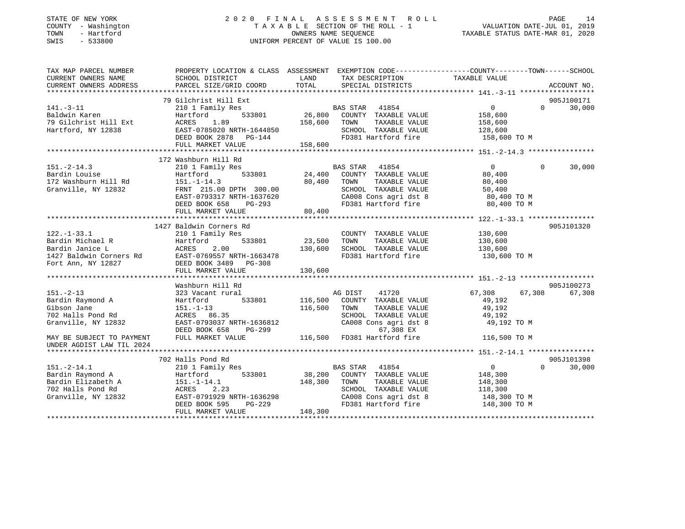# STATE OF NEW YORK 2 0 2 0 F I N A L A S S E S S M E N T R O L L PAGE 14 COUNTY - Washington T A X A B L E SECTION OF THE ROLL - 1 VALUATION DATE-JUL 01, 2019 TOWN - Hartford OWNERS NAME SEQUENCE TAXABLE STATUS DATE-MAR 01, 2020 SWIS - 533800 UNIFORM PERCENT OF VALUE IS 100.00

| TAX MAP PARCEL NUMBER                                | PROPERTY LOCATION & CLASS ASSESSMENT EXEMPTION CODE----------------COUNTY-------TOWN------SCHOOL |              |                                                                  |                   |                        |
|------------------------------------------------------|--------------------------------------------------------------------------------------------------|--------------|------------------------------------------------------------------|-------------------|------------------------|
| CURRENT OWNERS NAME                                  | SCHOOL DISTRICT                                                                                  | LAND         | TAX DESCRIPTION                                                  | TAXABLE VALUE     |                        |
|                                                      |                                                                                                  | TOTAL        |                                                                  |                   |                        |
|                                                      |                                                                                                  |              |                                                                  |                   |                        |
|                                                      | 79 Gilchrist Hill Ext                                                                            |              |                                                                  |                   | 905J100171<br>$\Omega$ |
| $141. - 3 - 11$                                      | 210 1 Family Res                                                                                 | 26,800       | BAS STAR 41854                                                   | $\overline{0}$    | 30,000                 |
| Baldwin Karen                                        | 533801<br>Hartford                                                                               |              | COUNTY TAXABLE VALUE                                             | 158,600           |                        |
| 79 Gilchrist Hill Ext                                | ACRES 1.89                                                                                       | 158,600 TOWN | TAXABLE VALUE                                                    | 158,600           |                        |
| Hartford, NY 12838                                   | ACRES 1.89<br>EAST-0785020 NRTH-1644850<br>DG-144                                                |              | SCHOOL TAXABLE VALUE                                             | 128,600           |                        |
|                                                      | FULL MARKET VALUE                                                                                | 158,600      | FD381 Hartford fire 158,600 TO M                                 |                   |                        |
|                                                      |                                                                                                  |              |                                                                  |                   |                        |
|                                                      | 172 Washburn Hill Rd                                                                             |              |                                                                  |                   |                        |
| $151 - 2 - 14.3$                                     | 210 1 Family Res                                                                                 |              | BAS STAR 41854                                                   | $0 \qquad \qquad$ | $\Omega$<br>30,000     |
| Bardin Louise                                        | 533801<br>Hartford                                                                               | 24,400       | COUNTY TAXABLE VALUE                                             | 80,400            |                        |
| 172 Washburn Hill Rd                                 | $151. - 1 - 14.3$                                                                                | 80,400       | TOWN<br>TAXABLE VALUE                                            | 80,400            |                        |
| Granville, NY 12832                                  | FRNT 215.00 DPTH 300.00                                                                          |              | SCHOOL TAXABLE VALUE                                             | 50,400            |                        |
|                                                      | EAST-0793317 NRTH-1637620                                                                        |              | SCHOOL TAXABLE VALUE<br>CA008 Cons agri dst 8                    | 80,400 TO M       |                        |
|                                                      | DEED BOOK 658<br>PG-293                                                                          |              | FD381 Hartford fire 80,400 TO M                                  |                   |                        |
|                                                      | FULL MARKET VALUE                                                                                | 80,400       |                                                                  |                   |                        |
|                                                      |                                                                                                  |              |                                                                  |                   |                        |
|                                                      | 1427 Baldwin Corners Rd                                                                          |              |                                                                  |                   | 905J101320             |
| $122. - 1 - 33.1$                                    | 210 1 Family Res                                                                                 |              | COUNTY TAXABLE VALUE                                             | 130,600           |                        |
| Bardin Michael R                                     | 533801<br>Hartford                                                                               | 23,500       | TOWN<br>TAXABLE VALUE                                            | 130,600           |                        |
| Bardin Janice L                                      | ACRES<br>2.00                                                                                    | 130,600      | SCHOOL TAXABLE VALUE                                             | 130,600           |                        |
| 1427 Baldwin Corners Rd                              |                                                                                                  |              | FD381 Hartford fire                                              | 130,600 TO M      |                        |
| Fort Ann, NY 12827                                   | EAST-0769557 NRTH-1663478<br>DEED BOOK 3489 PG-308<br>FULL MAPKET VALUE                          |              |                                                                  |                   |                        |
|                                                      | FULL MARKET VALUE                                                                                | 130,600      |                                                                  |                   |                        |
|                                                      |                                                                                                  |              |                                                                  |                   |                        |
|                                                      | Washburn Hill Rd                                                                                 |              |                                                                  |                   | 905J100273             |
| $151 - 2 - 13$                                       | 323 Vacant rural                                                                                 |              | AG DIST<br>41720                                                 | 67,308<br>67,308  | 67,308                 |
| Bardin Raymond A                                     | 533801<br>Hartford                                                                               | 116,500      | COUNTY TAXABLE VALUE                                             | 49,192            |                        |
| Gibson Jane                                          | $151.-1-13$                                                                                      | 116,500      | TOWN<br>TAXABLE VALUE                                            | 49,192            |                        |
| 702 Halls Pond Rd                                    | ACRES 86.35                                                                                      |              | SCHOOL TAXABLE VALUE                                             | 49,192            |                        |
| Granville, NY 12832                                  | EAST-0793037 NRTH-1636812                                                                        |              | CA008 Cons agri dst 8                                            | 49,192 TO M       |                        |
|                                                      | DEED BOOK 658                                                                                    |              | PG-299 67,308 EX<br>LUE 116,500 FD381 Hartford fire 116,500 TO M |                   |                        |
| MAY BE SUBJECT TO PAYMENT                            | FULL MARKET VALUE                                                                                |              |                                                                  |                   |                        |
| UNDER AGDIST LAW TIL 2024                            |                                                                                                  |              |                                                                  |                   |                        |
|                                                      | 702 Halls Pond Rd                                                                                |              |                                                                  |                   | 905J101398             |
| $151.-2-14.1$                                        | 210 1 Family Res                                                                                 |              | BAS STAR 41854                                                   | $\overline{0}$    | $\Omega$<br>30,000     |
| Bardin Raymond A                                     | 533801<br>Hartford                                                                               | 38,200       | COUNTY TAXABLE VALUE                                             | 148,300           |                        |
|                                                      | $151.-1-14.1$                                                                                    | 148,300      | TOWN<br>TAXABLE VALUE                                            | 148,300           |                        |
| Bardin Elizabeth A 151.-1<br>702 Halls Pond Rd ACRES | 2.23                                                                                             |              | SCHOOL TAXABLE VALUE                                             | 118,300           |                        |
|                                                      | EAST-0791929 NRTH-1636298                                                                        |              |                                                                  |                   |                        |
| Granville, NY 12832                                  |                                                                                                  |              | CA008 Cons agri dst 8                                            | 148,300 TO M      |                        |
|                                                      | DEED BOOK 595<br>PG-229                                                                          |              | FD381 Hartford fire                                              | 148,300 TO M      |                        |
|                                                      | FULL MARKET VALUE                                                                                | 148,300      |                                                                  |                   |                        |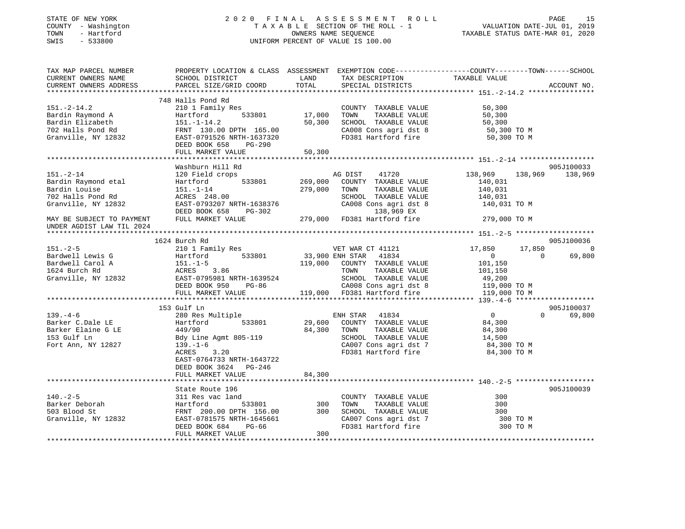| STATE OF NEW YORK<br>COUNTY - Washington<br>- Hartford<br>TOWN<br>SWIS<br>$-533800$ |                                                       |               | 2020 FINAL ASSESSMENT ROLL<br>TAXABLE SECTION OF THE ROLL - 1<br>OWNERS NAME SEOUENCE<br>UNIFORM PERCENT OF VALUE IS 100.00 | PAGE<br>VALUATION DATE-JUL 01, 2019<br>TAXABLE STATUS DATE-MAR 01, 2020                                                          | 15     |
|-------------------------------------------------------------------------------------|-------------------------------------------------------|---------------|-----------------------------------------------------------------------------------------------------------------------------|----------------------------------------------------------------------------------------------------------------------------------|--------|
| TAX MAP PARCEL NUMBER<br>CURRENT OWNERS NAME<br>CURRENT OWNERS ADDRESS              | SCHOOL DISTRICT<br>PARCEL SIZE/GRID COORD             | LAND<br>TOTAL | TAX DESCRIPTION<br>SPECIAL DISTRICTS                                                                                        | PROPERTY LOCATION & CLASS ASSESSMENT EXEMPTION CODE----------------COUNTY-------TOWN------SCHOOL<br>TAXABLE VALUE<br>ACCOUNT NO. |        |
|                                                                                     | 748 Halls Pond Rd                                     |               |                                                                                                                             |                                                                                                                                  |        |
| $151. - 2 - 14.2$                                                                   | 210 1 Family Res                                      |               | COUNTY TAXABLE VALUE                                                                                                        | 50,300                                                                                                                           |        |
| Bardin Raymond A                                                                    | 533801<br>Hartford                                    | 17,000        | TOWN<br>TAXABLE VALUE                                                                                                       | 50,300                                                                                                                           |        |
| Bardin Elizabeth                                                                    | $151. - 1 - 14.2$                                     | 50,300        | SCHOOL TAXABLE VALUE                                                                                                        | 50,300                                                                                                                           |        |
| 702 Halls Pond Rd                                                                   | FRNT 130.00 DPTH 165.00                               |               | CA008 Cons agri dst 8                                                                                                       | 50,300 TO M                                                                                                                      |        |
| Granville, NY 12832                                                                 | EAST-0791526 NRTH-1637320                             |               | FD381 Hartford fire                                                                                                         | 50,300 TO M                                                                                                                      |        |
|                                                                                     | DEED BOOK 658<br>PG-290<br>FULL MARKET VALUE          | 50,300        |                                                                                                                             |                                                                                                                                  |        |
|                                                                                     |                                                       |               |                                                                                                                             |                                                                                                                                  |        |
|                                                                                     | Washburn Hill Rd                                      |               |                                                                                                                             | 905J100033                                                                                                                       |        |
| $151. - 2 - 14$                                                                     | 120 Field crops                                       |               | AG DIST<br>41720                                                                                                            | 138,969<br>138,969<br>138,969                                                                                                    |        |
| Bardin Raymond etal                                                                 | 533801<br>Hartford                                    | 269,000       | COUNTY TAXABLE VALUE                                                                                                        | 140,031                                                                                                                          |        |
| Bardin Louise                                                                       | $151. - 1 - 14$                                       | 279,000       | TAXABLE VALUE<br>TOWN                                                                                                       | 140,031                                                                                                                          |        |
| 702 Halls Pond Rd                                                                   | ACRES 248.00                                          |               | SCHOOL TAXABLE VALUE                                                                                                        | 140,031                                                                                                                          |        |
| Granville, NY 12832                                                                 | EAST-0793207 NRTH-1638376                             |               | CA008 Cons agri dst 8                                                                                                       | 140,031 TO M                                                                                                                     |        |
| MAY BE SUBJECT TO PAYMENT                                                           | DEED BOOK 658<br>PG-302<br>FULL MARKET VALUE          | 279,000       | 138,969 EX<br>FD381 Hartford fire                                                                                           | 279,000 TO M                                                                                                                     |        |
| UNDER AGDIST LAW TIL 2024                                                           |                                                       |               |                                                                                                                             |                                                                                                                                  |        |
|                                                                                     |                                                       |               |                                                                                                                             |                                                                                                                                  |        |
|                                                                                     | 1624 Burch Rd                                         |               |                                                                                                                             | 905J100036                                                                                                                       |        |
| $151 - 2 - 5$                                                                       | 210 1 Family Res                                      |               | VET WAR CT 41121                                                                                                            | 17,850<br>17,850                                                                                                                 | - റ    |
| Bardwell Lewis G                                                                    | 533801<br>Hartford                                    |               | 33,900 ENH STAR 41834                                                                                                       | $\overline{0}$<br>$\mathbf{0}$                                                                                                   | 69,800 |
| Bardwell Carol A                                                                    | $151.-1-5$                                            | 119,000       | COUNTY TAXABLE VALUE                                                                                                        | 101,150                                                                                                                          |        |
| 1624 Burch Rd                                                                       | ACRES<br>3.86                                         |               | TAXABLE VALUE<br>TOWN                                                                                                       | 101,150                                                                                                                          |        |
| Granville, NY 12832                                                                 | EAST-0795981 NRTH-1639524<br>DEED BOOK 950 PG-86      |               | SCHOOL TAXABLE VALUE<br>CA008 Cons agri dst 8                                                                               | 49,200<br>119,000 TO M                                                                                                           |        |
|                                                                                     | FULL MARKET VALUE                                     |               | 119,000 FD381 Hartford fire                                                                                                 | 119,000 TO M                                                                                                                     |        |
|                                                                                     |                                                       |               |                                                                                                                             |                                                                                                                                  |        |
|                                                                                     | 153 Gulf Ln                                           |               |                                                                                                                             | 905J100037                                                                                                                       |        |
| $139. -4 - 6$                                                                       | 280 Res Multiple                                      |               | ENH STAR<br>41834                                                                                                           | $\overline{0}$<br>$\Omega$<br>69,800                                                                                             |        |
| Barker C.Dale LE                                                                    | 533801<br>Hartford                                    | 29,600        | COUNTY TAXABLE VALUE                                                                                                        | 84,300                                                                                                                           |        |
| Barker Elaine G LE                                                                  | 449/90                                                | 84,300        | TAXABLE VALUE<br>TOWN                                                                                                       | 84,300                                                                                                                           |        |
| 153 Gulf Ln                                                                         | Bdy Line Agmt 805-119                                 |               | SCHOOL TAXABLE VALUE                                                                                                        | 14,500                                                                                                                           |        |
| Fort Ann, NY 12827                                                                  | $139. - 1 - 6$<br>3.20<br>ACRES                       |               | CA007 Cons agri dst 7<br>FD381 Hartford fire                                                                                | 84,300 TO M<br>84,300 TO M                                                                                                       |        |
|                                                                                     | EAST-0764733 NRTH-1643722                             |               |                                                                                                                             |                                                                                                                                  |        |
|                                                                                     | DEED BOOK 3624 PG-246                                 |               |                                                                                                                             |                                                                                                                                  |        |
|                                                                                     | FULL MARKET VALUE                                     | 84,300        |                                                                                                                             |                                                                                                                                  |        |
|                                                                                     |                                                       |               |                                                                                                                             |                                                                                                                                  |        |
|                                                                                     | State Route 196                                       |               |                                                                                                                             | 905J100039                                                                                                                       |        |
| $140. - 2 - 5$                                                                      | 311 Res vac land                                      |               | COUNTY TAXABLE VALUE                                                                                                        | 300                                                                                                                              |        |
| Barker Deborah                                                                      | 533801<br>Hartford                                    | 300           | TAXABLE VALUE<br>TOWN                                                                                                       | 300                                                                                                                              |        |
| 503 Blood St                                                                        | FRNT 200.00 DPTH 156.00                               | 300           | SCHOOL TAXABLE VALUE                                                                                                        | 300                                                                                                                              |        |
| Granville, NY 12832                                                                 | EAST-0781575 NRTH-1645661<br>DEED BOOK 684<br>$PG-66$ |               | CA007 Cons agri dst 7<br>FD381 Hartford fire                                                                                | 300 TO M<br>300 TO M                                                                                                             |        |
|                                                                                     | FULL MARKET VALUE                                     | 300           |                                                                                                                             |                                                                                                                                  |        |

\*\*\*\*\*\*\*\*\*\*\*\*\*\*\*\*\*\*\*\*\*\*\*\*\*\*\*\*\*\*\*\*\*\*\*\*\*\*\*\*\*\*\*\*\*\*\*\*\*\*\*\*\*\*\*\*\*\*\*\*\*\*\*\*\*\*\*\*\*\*\*\*\*\*\*\*\*\*\*\*\*\*\*\*\*\*\*\*\*\*\*\*\*\*\*\*\*\*\*\*\*\*\*\*\*\*\*\*\*\*\*\*\*\*\*\*\*\*\*\*\*\*\*\*\*\*\*\*\*\*\*\*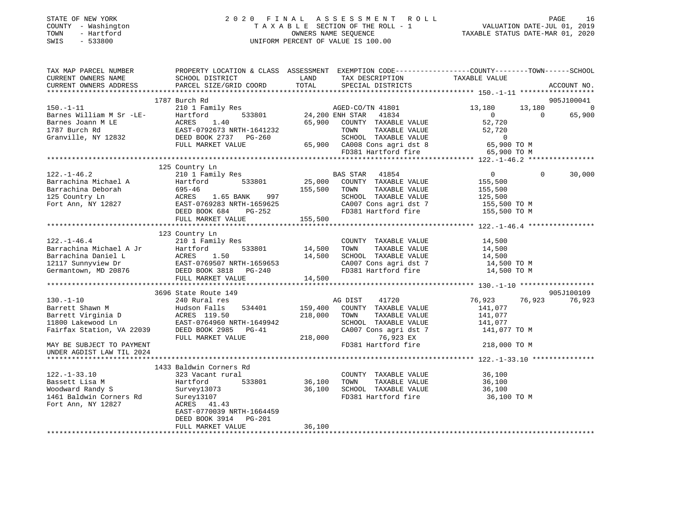| STATE OF NEW YORK<br>- Washington<br>COUNTY<br>TOWN<br>- Hartford<br>$-533800$<br>SWIS | 2020 FINAL                                                                                                          |         | A S S E S S M E N T R O L L<br>TAXABLE SECTION OF THE ROLL - 1 VALUATION DATE-JUL 01, 2019<br>OWNERS NAME SEQUENCE<br>UNIFORM PERCENT OF VALUE IS 100.00 | TAXABLE STATUS DATE-MAR 01, 2020 | PAGE     | 16             |
|----------------------------------------------------------------------------------------|---------------------------------------------------------------------------------------------------------------------|---------|----------------------------------------------------------------------------------------------------------------------------------------------------------|----------------------------------|----------|----------------|
| TAX MAP PARCEL NUMBER<br>CURRENT OWNERS NAME                                           | PROPERTY LOCATION & CLASS ASSESSMENT EXEMPTION CODE----------------COUNTY-------TOWN------SCHOOL<br>SCHOOL DISTRICT | LAND    | TAX DESCRIPTION TAXABLE VALUE                                                                                                                            |                                  |          |                |
| CURRENT OWNERS ADDRESS             PARCEL SIZE/GRID COORD         TOTAL                |                                                                                                                     |         | SPECIAL DISTRICTS                                                                                                                                        |                                  |          | ACCOUNT NO.    |
|                                                                                        |                                                                                                                     |         |                                                                                                                                                          |                                  |          |                |
|                                                                                        | 1787 Burch Rd                                                                                                       |         |                                                                                                                                                          |                                  |          | 905J100041     |
| $150.-1-11$                                                                            | 210 1 Family Res                                                                                                    |         | AGED-CO/TN 41801                                                                                                                                         | 13,180 13,180                    |          | $\overline{0}$ |
| Barnes William M Sr -LE-                                                               | Hartford 533801 24,200 ENH STAR 41834                                                                               |         |                                                                                                                                                          | $\bigcap$                        | $\Omega$ | 65,900         |
| Barnes Joann M LE                                                                      | ACRES 1.40                                                                                                          | 65,900  | COUNTY TAXABLE VALUE                                                                                                                                     | 52,720                           |          |                |
| 1787 Burch Rd                                                                          | EAST-0792673 NRTH-1641232                                                                                           |         | TAXABLE VALUE<br>TOWN                                                                                                                                    | 52,720                           |          |                |
| Granville, NY 12832                                                                    | DEED BOOK 2737 PG-260                                                                                               |         | SCHOOL TAXABLE VALUE                                                                                                                                     | 0                                |          |                |
|                                                                                        | FULL MARKET VALUE                                                                                                   | 65,900  | CA008 Cons agri dst 8 65,900 TO M                                                                                                                        |                                  |          |                |
|                                                                                        |                                                                                                                     |         | FD381 Hartford fire 65,900 TO M                                                                                                                          |                                  |          |                |
|                                                                                        |                                                                                                                     |         |                                                                                                                                                          |                                  |          |                |
|                                                                                        | 125 Country Ln                                                                                                      |         |                                                                                                                                                          |                                  |          |                |
| $122. - 1 - 46.2$                                                                      | 210 1 Family Res                                                                                                    |         | 41854<br>BAS STAR                                                                                                                                        | $\overline{0}$                   | $\Omega$ | 30,000         |
| Barrachina Michael A                                                                   | Hartford 533801 25,000                                                                                              |         | COUNTY TAXABLE VALUE                                                                                                                                     | 155,500                          |          |                |
| Barrachina Deborah                                                                     | $695 - 46$                                                                                                          | 155,500 | TAXABLE VALUE<br>TOWN                                                                                                                                    | 155,500                          |          |                |
| 125 Country Ln                                                                         | ACRES 1.65 BANK<br>997                                                                                              |         | TAXABLE VALUE<br>SCHOOL                                                                                                                                  | 125,500                          |          |                |
| Fort Ann, NY 12827                                                                     | EAST-0769283 NRTH-1659625                                                                                           |         | CA007 Cons agri dst 7 155,500 TO M                                                                                                                       |                                  |          |                |
|                                                                                        | DEED BOOK 684<br>PG-252                                                                                             |         | FD381 Hartford fire                                                                                                                                      | 155,500 TO M                     |          |                |

|                           | FULL MARKET VALUE                            | 155,500 |                         |                  |            |
|---------------------------|----------------------------------------------|---------|-------------------------|------------------|------------|
|                           |                                              |         |                         |                  |            |
|                           | 123 Country Ln                               |         |                         |                  |            |
| $122. - 1 - 46.4$         | 210 1 Family Res                             |         | COUNTY<br>TAXABLE VALUE | 14,500           |            |
| Barrachina Michael A Jr   | Hartford<br>533801                           | 14,500  | TOWN<br>TAXABLE VALUE   | 14,500           |            |
| Barrachina Daniel L       | ACRES 1.50                                   | 14,500  | SCHOOL TAXABLE VALUE    | 14,500           |            |
|                           | 12117 Sunnyview Dr EAST-0769507 NRTH-1659653 |         | CA007 Cons agri dst 7   | 14,500 TO M      |            |
| Germantown, MD 20876      | DEED BOOK 3818    PG-240                     |         | FD381 Hartford fire     | 14,500 TO M      |            |
|                           | FULL MARKET VALUE                            | 14,500  |                         |                  |            |
|                           |                                              |         |                         |                  |            |
|                           | 3696 State Route 149                         |         |                         |                  | 905J100109 |
| $130. - 1 - 10$           | 240 Rural res                                |         | 41720<br>AG DIST        | 76,923<br>76,923 | 76,923     |
| Barrett Shawn M           | Hudson Falls<br>534401                       | 159,400 | COUNTY<br>TAXABLE VALUE | 141,077          |            |
| Barrett Virginia D        | ACRES 119.50                                 | 218,000 | TOWN<br>TAXABLE VALUE   | 141,077          |            |
| 11800 Lakewood Ln         | EAST-0764960 NRTH-1649942                    |         | SCHOOL<br>TAXABLE VALUE | 141,077          |            |
| Fairfax Station, VA 22039 | DEED BOOK 2985<br>PG-41                      |         | CA007 Cons agri dst 7   | 141,077 TO M     |            |
|                           | FULL MARKET VALUE                            | 218,000 | 76,923 EX               |                  |            |
| MAY BE SUBJECT TO PAYMENT |                                              |         | FD381 Hartford fire     | 218,000 TO M     |            |
| UNDER AGDIST LAW TIL 2024 |                                              |         |                         |                  |            |
|                           |                                              |         |                         |                  |            |
|                           | 1433 Baldwin Corners Rd                      |         |                         |                  |            |
| $122. - 1 - 33.10$        | 323 Vacant rural                             |         | COUNTY<br>TAXABLE VALUE | 36,100           |            |
| Bassett Lisa M            | Hartford<br>533801                           | 36,100  | TOWN<br>TAXABLE VALUE   | 36,100           |            |
| Woodward Randy S          | Survey13073                                  | 36,100  | SCHOOL<br>TAXABLE VALUE | 36,100           |            |
| 1461 Baldwin Corners Rd   | Surey13107                                   |         | FD381 Hartford fire     | 36,100 TO M      |            |
| Fort Ann, NY 12827        | ACRES 41.43                                  |         |                         |                  |            |
|                           | EAST-0770039 NRTH-1664459                    |         |                         |                  |            |
|                           | DEED BOOK 3914 PG-201                        |         |                         |                  |            |
|                           | FULL MARKET VALUE                            | 36,100  |                         |                  |            |
|                           |                                              |         |                         |                  |            |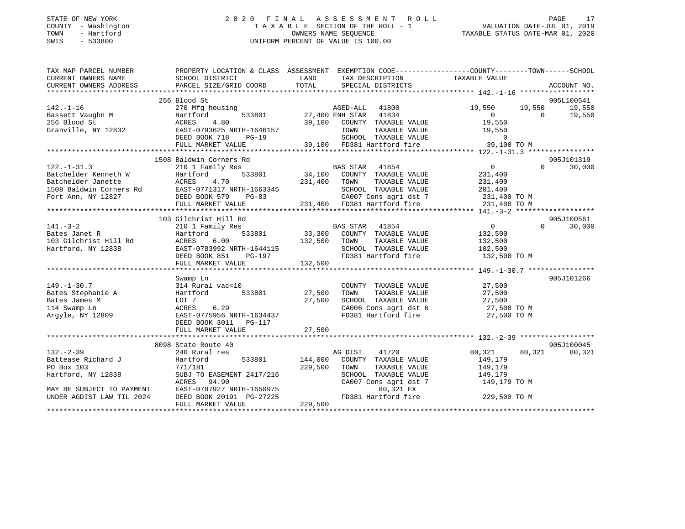# STATE OF NEW YORK 2 0 2 0 F I N A L A S S E S S M E N T R O L L PAGE 17 COUNTY - Washington T A X A B L E SECTION OF THE ROLL - 1 VALUATION DATE-JUL 01, 2019 TOWN - Hartford OWNERS NAME SEQUENCE TAXABLE STATUS DATE-MAR 01, 2020 SWIS - 533800 UNIFORM PERCENT OF VALUE IS 100.00

| TAX MAP PARCEL NUMBER<br>CURRENT OWNERS NAME | PROPERTY LOCATION & CLASS ASSESSMENT EXEMPTION CODE---------------COUNTY-------TOWN------SCHOOL<br>SCHOOL DISTRICT                                                                                                                     | <b>LAND</b>        | TAX DESCRIPTION                                                                                                                                | TAXABLE VALUE       |                                  |
|----------------------------------------------|----------------------------------------------------------------------------------------------------------------------------------------------------------------------------------------------------------------------------------------|--------------------|------------------------------------------------------------------------------------------------------------------------------------------------|---------------------|----------------------------------|
| CURRENT OWNERS ADDRESS                       |                                                                                                                                                                                                                                        |                    |                                                                                                                                                |                     |                                  |
|                                              | 256 Blood St                                                                                                                                                                                                                           |                    |                                                                                                                                                |                     | 905L100541                       |
|                                              | 142.-1-16<br>Bassett Vaughn M<br>256 Blood St<br>39,100<br>Granville, NY 12832<br>27,400 EAST-0793625 NRTH-1646157<br>DEED BOOK 718<br>PG-19<br>29 100                                                                                 |                    | AGED-ALL 41800<br>533801 27,400 ENH STAR 41834                                                                                                 | $19,550$ $19,550$ 0 | 19,550                           |
|                                              |                                                                                                                                                                                                                                        |                    | 99,100 ENH STAR 41834 0<br>39,100 COUNTY TAXABLE VALUE 19,550<br>H-1646157 morri – Transformation of the 19,550                                |                     | 19,550                           |
|                                              |                                                                                                                                                                                                                                        |                    |                                                                                                                                                |                     |                                  |
|                                              |                                                                                                                                                                                                                                        |                    |                                                                                                                                                |                     |                                  |
|                                              | Cranville, NY 12832<br>EAST-0793625 NRTH-1646157 TOWN TAXABLE VALUE 19,550<br>DEED BOOK 718 PG-19 SCHOOL TAXABLE VALUE 0<br>FULL MARKET VALUE 39,100 FD381 Hartford fire 39,100 TO M<br>FULL MARKET VALUE 39,100 FD381 Hartford fire 3 |                    |                                                                                                                                                |                     |                                  |
|                                              |                                                                                                                                                                                                                                        |                    |                                                                                                                                                |                     |                                  |
| $122. - 1 - 31.3$                            | 1508 Baldwin Corners Rd<br>210 1 Family Res                                                                                                                                                                                            |                    |                                                                                                                                                | $\overline{0}$      | 905J101319<br>$\Omega$<br>30,000 |
|                                              | 122.1-31.3<br>Batchelder Kenneth W Hartford 533801<br>Batchelder Janette Hartford 533801<br>533801<br>533801<br>Fort Ann, NY 12827<br>DEED BOOK 579<br>DEED BOOK 579                                                                   |                    | EAS STAR 41854<br>533801 34,100 COUNTY TAXABLE VALUE                                                                                           | 231,400             |                                  |
|                                              |                                                                                                                                                                                                                                        | 231,400            | TAXABLE VALUE<br>TOWN                                                                                                                          |                     |                                  |
|                                              |                                                                                                                                                                                                                                        |                    | SCHOOL TAXABLE VALUE                                                                                                                           | 231,400<br>201,400  |                                  |
|                                              |                                                                                                                                                                                                                                        |                    |                                                                                                                                                |                     |                                  |
|                                              | FULL MARKET VALUE                                                                                                                                                                                                                      |                    | WRTH-1663345 SCHOOL TAXABLE VALUE 201,400<br>PG-83 231,400 CA007 Cons agri dst 7 231,400 TO M<br>ALUE 231,400 FD381 Hartford fire 231,400 TO M |                     |                                  |
|                                              |                                                                                                                                                                                                                                        |                    |                                                                                                                                                |                     |                                  |
|                                              | 103 Gilchrist Hill Rd                                                                                                                                                                                                                  |                    | <b>BAS STAR</b> 41854                                                                                                                          | $\overline{0}$      | 905J100561<br>$\Omega$           |
| $141. - 3 - 2$                               | 210 1 Family Res                                                                                                                                                                                                                       |                    |                                                                                                                                                |                     | 30,000                           |
|                                              |                                                                                                                                                                                                                                        |                    |                                                                                                                                                |                     |                                  |
|                                              |                                                                                                                                                                                                                                        |                    |                                                                                                                                                |                     |                                  |
|                                              |                                                                                                                                                                                                                                        |                    |                                                                                                                                                |                     |                                  |
|                                              | Bates Jane R<br>Bates Martford 533801 33,300 COUNTY TAXABLE VALUE 132,500<br>Hartford, NY 12838 EAST-0783992 NRTH-1644115<br>Hartford, NY 12838 EAST-0783992 NRTH-1644115 SCHOOL TAXABLE VALUE 102,500<br>DEED BOOK 851 PG-197 FD381 H |                    |                                                                                                                                                |                     |                                  |
|                                              |                                                                                                                                                                                                                                        |                    |                                                                                                                                                |                     |                                  |
|                                              | Swamp Ln                                                                                                                                                                                                                               |                    |                                                                                                                                                |                     | 905J101266                       |
| $149. - 1 - 30.7$                            | 314 Rural vac<10                                                                                                                                                                                                                       |                    | COUNTY TAXABLE VALUE                                                                                                                           | 27,500              |                                  |
| Bates Stephanie A                            | 533801 27,500<br>Hartford                                                                                                                                                                                                              |                    | TOWN TAXABLE VALUE 27,500<br>SCHOOL TAXABLE VALUE 27,500<br>CA006 Cons agri dst 6 27,500 TO M                                                  |                     |                                  |
| Bates James M<br>114 Swamp Ln                | LOT 7                                                                                                                                                                                                                                  | 27,500             |                                                                                                                                                |                     |                                  |
| Argyle, NY 12809                             |                                                                                                                                                                                                                                        |                    | FD381 Hartford fire                                                                                                                            | 27,500 TO M         |                                  |
|                                              | $EAST-0775956$ NRTH-1634437<br>DEED BOOK 3011 DG-117                                                                                                                                                                                   |                    |                                                                                                                                                |                     |                                  |
|                                              |                                                                                                                                                                                                                                        |                    |                                                                                                                                                |                     |                                  |
|                                              |                                                                                                                                                                                                                                        |                    |                                                                                                                                                |                     |                                  |
|                                              | 8098 State Route 40                                                                                                                                                                                                                    |                    |                                                                                                                                                |                     | 905J100045                       |
| $132 - 2 - 39$                               | 240 Rural res                                                                                                                                                                                                                          |                    | AG DIST<br>41720                                                                                                                               | 80,321              | 80,321<br>80,321                 |
| Battease Richard J<br>PO Box 103             | 533801<br>Hartford                                                                                                                                                                                                                     | 144,000<br>229,500 | COUNTY TAXABLE VALUE<br>TAXABLE VALUE                                                                                                          | 149,179             |                                  |
| Hartford, NY 12838                           | 771/181<br>SUBJ TO EASEMENT 2417/216                                                                                                                                                                                                   |                    | TOWN<br>SCHOOL TAXABLE VALUE                                                                                                                   | 149,179<br>149,179  |                                  |
|                                              | ACRES<br>94.90                                                                                                                                                                                                                         |                    | CA007 Cons agri dst 7 149,179 TO M                                                                                                             |                     |                                  |
| MAY BE SUBJECT TO PAYMENT                    | EAST-0787927 NRTH-1650975                                                                                                                                                                                                              |                    | 80,321 EX                                                                                                                                      |                     |                                  |
| UNDER AGDIST LAW TIL 2024                    | DEED BOOK 20191 PG-27225                                                                                                                                                                                                               |                    | FD381 Hartford fire 229,500 TO M                                                                                                               |                     |                                  |
|                                              | FULL MARKET VALUE                                                                                                                                                                                                                      | 229,500            |                                                                                                                                                |                     |                                  |
|                                              |                                                                                                                                                                                                                                        |                    |                                                                                                                                                |                     |                                  |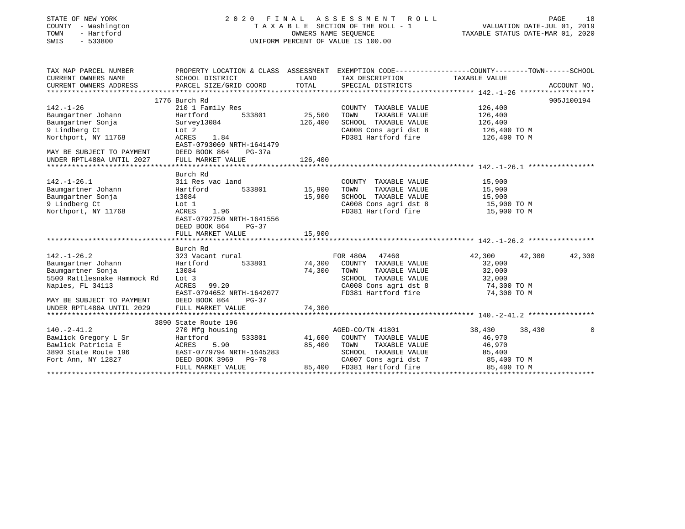| STATE OF NEW YORK<br>COUNTY - Washington<br>- Hartford<br>TOWN<br>SWIS<br>$-533800$                                                                                       |                                                                                                                                                                      | OWNERS NAME SEQUENCE       | 2020 FINAL ASSESSMENT ROLL<br>TAXABLE SECTION OF THE ROLL - 1<br>UNIFORM PERCENT OF VALUE IS 100.00                                     |                                                                    | PAGE<br>18<br>VALUATION DATE-JUL 01, 2019<br>TAXABLE STATUS DATE-MAR 01, 2020 |
|---------------------------------------------------------------------------------------------------------------------------------------------------------------------------|----------------------------------------------------------------------------------------------------------------------------------------------------------------------|----------------------------|-----------------------------------------------------------------------------------------------------------------------------------------|--------------------------------------------------------------------|-------------------------------------------------------------------------------|
| TAX MAP PARCEL NUMBER<br>CURRENT OWNERS NAME                                                                                                                              | PROPERTY LOCATION & CLASS ASSESSMENT EXEMPTION CODE-----------------COUNTY-------TOWN------SCHOOL<br>SCHOOL DISTRICT                                                 | LAND                       | TAX DESCRIPTION                                                                                                                         | TAXABLE VALUE                                                      |                                                                               |
| CURRENT OWNERS ADDRESS                                                                                                                                                    | PARCEL SIZE/GRID COORD                                                                                                                                               | TOTAL                      | SPECIAL DISTRICTS                                                                                                                       |                                                                    | ACCOUNT NO.                                                                   |
|                                                                                                                                                                           |                                                                                                                                                                      |                            |                                                                                                                                         |                                                                    |                                                                               |
| $142. - 1 - 26$<br>Baumgartner Johann<br>Baumgartner Sonja<br>9 Lindberg Ct<br>Northport, NY 11768<br>MAY BE SUBJECT TO PAYMENT                                           | 1776 Burch Rd<br>210 1 Family Res<br>Hartford<br>533801<br>Survey13084<br>Lot 2<br>ACRES<br>1.84<br>EAST-0793069 NRTH-1641479<br>DEED BOOK 864<br>PG-37a             | 25,500<br>126,400          | COUNTY TAXABLE VALUE<br>TOWN<br>TAXABLE VALUE<br>SCHOOL TAXABLE VALUE<br>CA008 Cons agri dst 8<br>FD381 Hartford fire                   | 126,400<br>126,400<br>126,400<br>$126,400$ TO M<br>126,400 TO M    | 905J100194                                                                    |
| UNDER RPTL480A UNTIL 2027                                                                                                                                                 | FULL MARKET VALUE                                                                                                                                                    | 126,400                    |                                                                                                                                         |                                                                    |                                                                               |
| $142. - 1 - 26.1$<br>Baumgartner Johann<br>Baumgartner Sonja<br>9 Lindberg Ct<br>Northport, NY 11768                                                                      | Burch Rd<br>311 Res vac land<br>Hartford<br>533801<br>13084<br>Lot 1<br>1.96<br>ACRES<br>EAST-0792750 NRTH-1641556<br>DEED BOOK 864<br>$PG-37$                       | 15,900<br>15,900           | COUNTY TAXABLE VALUE<br>TOWN<br>TAXABLE VALUE<br>SCHOOL TAXABLE VALUE<br>CA008 Cons agri dst 8<br>FD381 Hartford fire                   | 15,900<br>15,900<br>15,900<br>15,900 TO M<br>15,900 TO M           |                                                                               |
|                                                                                                                                                                           | FULL MARKET VALUE                                                                                                                                                    | 15,900                     |                                                                                                                                         |                                                                    |                                                                               |
| $142. - 1 - 26.2$<br>Baumgartner Johann<br>Baumgartner Sonja<br>5500 Rattlesnake Hammock Rd<br>Naples, FL 34113<br>MAY BE SUBJECT TO PAYMENT<br>UNDER RPTL480A UNTIL 2029 | Burch Rd<br>323 Vacant rural<br>Hartford<br>533801<br>13084<br>Lot 3<br>99.20<br>ACRES<br>EAST-0794652 NRTH-1642077<br>DEED BOOK 864<br>$PG-37$<br>FULL MARKET VALUE | 74,300<br>74,300<br>74,300 | FOR 480A 47460<br>COUNTY TAXABLE VALUE<br>TAXABLE VALUE<br>TOWN<br>SCHOOL TAXABLE VALUE<br>CA008 Cons agri dst 8<br>FD381 Hartford fire | 42,300<br>32,000<br>32,000<br>32,000<br>74,300 TO M<br>74,300 TO M | 42,300<br>42,300                                                              |
|                                                                                                                                                                           | 3890 State Route 196                                                                                                                                                 |                            |                                                                                                                                         |                                                                    |                                                                               |
| $140. - 2 - 41.2$<br>Bawlick Gregory L Sr                                                                                                                                 | 270 Mfg housing<br>Hartford<br>533801                                                                                                                                |                            | AGED-CO/TN 41801<br>41.600 COUNTY TAXABLE VALUE                                                                                         | 38,430<br>46.970                                                   | 38,430<br>$\Omega$                                                            |

| 140.-2-41.2          | 270 Mfg housing           |        | AGED-CO/TN 41801      | 38,430<br>38,430 |  |
|----------------------|---------------------------|--------|-----------------------|------------------|--|
| Bawlick Gregory L Sr | Hartford<br>533801        | 41,600 | COUNTY TAXABLE VALUE  | 46,970           |  |
| Bawlick Patricia E   | ACRES<br>5.90             | 85,400 | TAXABLE VALUE<br>TOWN | 46,970           |  |
| 3890 State Route 196 | EAST-0779794 NRTH-1645283 |        | SCHOOL TAXABLE VALUE  | 85,400           |  |
| Fort Ann, NY 12827   | DEED BOOK 3969 PG-70      |        | CA007 Cons agri dst 7 | 85,400 TO M      |  |
|                      | FULL MARKET VALUE         | 85,400 | FD381 Hartford fire   | 85,400 TO M      |  |
|                      |                           |        |                       |                  |  |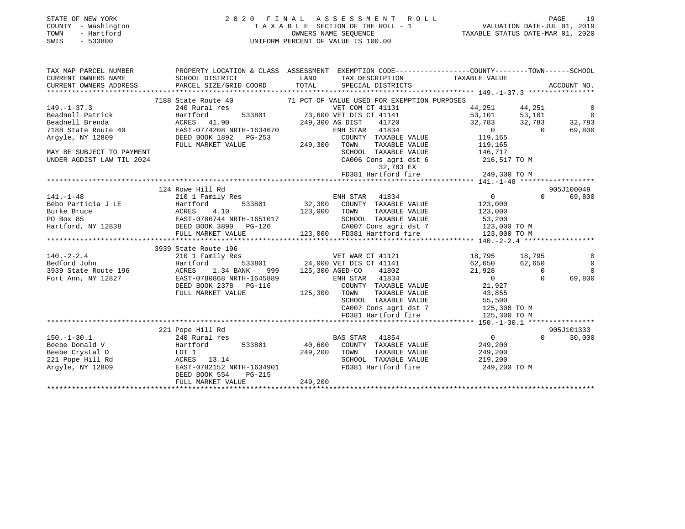#### STATE OF NEW YORK 2 0 2 0 F I N A L A S S E S S M E N T R O L L PAGE 19COUNTY - Washington T A X A B L E SECTION OF THE ROLL - 1<br>TOWN - Hartford COUNTERS NAME SEQUENCE TOWN - Hartford OWNERS NAME SEQUENCE TAXABLE STATUS DATE-MAR 01, 2020 SWIS - 533800 UNIFORM PERCENT OF VALUE IS 100.00

VALUATION DATE-JUL 01, 2019

| TAX MAP PARCEL NUMBER                | PROPERTY LOCATION & CLASS ASSESSMENT EXEMPTION CODE-----------------COUNTY--------TOWN------SCHOOL                              |              |                                    |                                                                                                                                                                                                                                                                                                                                    |          |                |
|--------------------------------------|---------------------------------------------------------------------------------------------------------------------------------|--------------|------------------------------------|------------------------------------------------------------------------------------------------------------------------------------------------------------------------------------------------------------------------------------------------------------------------------------------------------------------------------------|----------|----------------|
|                                      |                                                                                                                                 |              |                                    |                                                                                                                                                                                                                                                                                                                                    |          |                |
|                                      |                                                                                                                                 |              |                                    |                                                                                                                                                                                                                                                                                                                                    |          |                |
|                                      |                                                                                                                                 |              |                                    |                                                                                                                                                                                                                                                                                                                                    |          |                |
|                                      | 7188 State Route 40 71 PCT OF VALUE USED FOR EXEMPTION PURPOSES                                                                 |              |                                    |                                                                                                                                                                                                                                                                                                                                    |          |                |
| $149. - 1 - 37.3$                    | 240 Rural res                                                                                                                   |              | VET COM CT 41131                   | 44, 251 44, 251                                                                                                                                                                                                                                                                                                                    |          | $\overline{0}$ |
|                                      | Beadnell Patrick                       Hartford           533801           73,600 VET DIS CT 41141                              |              |                                    | 53,101 53,101 0                                                                                                                                                                                                                                                                                                                    |          |                |
| Beadnell Brenda                      | ACRES 41.90 249,300 AG DIST 41720                                                                                               |              |                                    | 32,783 32,783                                                                                                                                                                                                                                                                                                                      |          | 32,783         |
|                                      | 7188 State Route 40 EAST-0774208 NRTH-1634670                                                                                   |              | ENH STAR 41834                     | $\overline{0}$                                                                                                                                                                                                                                                                                                                     | $\sim$ 0 | 69,800         |
| Arqyle, NY 12809                     | DEED BOOK 1892 PG-253                                                                                                           |              | COUNTY TAXABLE VALUE 119,165       |                                                                                                                                                                                                                                                                                                                                    |          |                |
|                                      | FULL MARKET VALUE                                                                                                               | 249,300      | TOWN                               | TAXABLE VALUE 119,165                                                                                                                                                                                                                                                                                                              |          |                |
| MAY BE SUBJECT TO PAYMENT            |                                                                                                                                 |              | SCHOOL TAXABLE VALUE 146,717       |                                                                                                                                                                                                                                                                                                                                    |          |                |
| UNDER AGDIST LAW TIL 2024            |                                                                                                                                 |              | CA006 Cons agri dst 6 216,517 TO M |                                                                                                                                                                                                                                                                                                                                    |          |                |
|                                      |                                                                                                                                 |              | 32,783 EX                          |                                                                                                                                                                                                                                                                                                                                    |          |                |
|                                      |                                                                                                                                 |              |                                    |                                                                                                                                                                                                                                                                                                                                    |          |                |
|                                      |                                                                                                                                 |              |                                    |                                                                                                                                                                                                                                                                                                                                    |          |                |
|                                      | 124 Rowe Hill Rd                                                                                                                |              |                                    |                                                                                                                                                                                                                                                                                                                                    |          | 905J100049     |
| $141. -1 - 48$                       | 210 1 Family Res                                                                                                                |              | ENH STAR 41834                     | $\overline{0}$ and $\overline{0}$ and $\overline{0}$ and $\overline{0}$ and $\overline{0}$ and $\overline{0}$ and $\overline{0}$ and $\overline{0}$ and $\overline{0}$ and $\overline{0}$ and $\overline{0}$ and $\overline{0}$ and $\overline{0}$ and $\overline{0}$ and $\overline{0}$ and $\overline{0}$ and $\overline{0}$ and | $\Omega$ | 69,800         |
|                                      | Bebo Particia J LE                 Hartford           533801           32,300   COUNTY  TAXABLE VALUE                   123,000 |              |                                    |                                                                                                                                                                                                                                                                                                                                    |          |                |
| Burke Bruce                          | ACRES 4.10<br>123,000 TOWN                                                                                                      |              |                                    | TAXABLE VALUE 123,000                                                                                                                                                                                                                                                                                                              |          |                |
| PO Box 85                            | EAST-0786744 NRTH-1651017                                                                                                       |              | SCHOOL TAXABLE VALUE 53,200        |                                                                                                                                                                                                                                                                                                                                    |          |                |
|                                      |                                                                                                                                 |              | CA007 Cons agri dst 7 123,000 TO M |                                                                                                                                                                                                                                                                                                                                    |          |                |
|                                      |                                                                                                                                 |              |                                    |                                                                                                                                                                                                                                                                                                                                    |          |                |
|                                      |                                                                                                                                 |              |                                    |                                                                                                                                                                                                                                                                                                                                    |          |                |
|                                      | 3939 State Route 196                                                                                                            |              |                                    |                                                                                                                                                                                                                                                                                                                                    |          |                |
|                                      | 140.-2-2.4 210 1 Family Res VET WAR CT 41121                                                                                    |              |                                    | 18,795 18,795                                                                                                                                                                                                                                                                                                                      |          | $\overline{0}$ |
| Bedford John                         |                                                                                                                                 |              |                                    |                                                                                                                                                                                                                                                                                                                                    |          | $\overline{0}$ |
| 3939 State Route 196 MCRES 1.34 BANK |                                                                                                                                 |              | 999 125,300 AGED-CO 41802          | 21,928                                                                                                                                                                                                                                                                                                                             | $\sim$ 0 | $\Omega$       |
|                                      | Fort Ann, NY 12827 EAST-0780868 NRTH-1645889                                                                                    |              | ENH STAR 41834                     | $\overline{0}$                                                                                                                                                                                                                                                                                                                     | $\Omega$ | 69,800         |
|                                      | DEED BOOK 2378 PG-116                                                                                                           |              | COUNTY TAXABLE VALUE               | 21,927                                                                                                                                                                                                                                                                                                                             |          |                |
|                                      | FULL MARKET VALUE                                                                                                               | 125,300 TOWN |                                    | TAXABLE VALUE 43,855                                                                                                                                                                                                                                                                                                               |          |                |
|                                      |                                                                                                                                 |              | SCHOOL TAXABLE VALUE               | 55,500                                                                                                                                                                                                                                                                                                                             |          |                |
|                                      |                                                                                                                                 |              | CA007 Cons agri dst 7 125,300 TO M |                                                                                                                                                                                                                                                                                                                                    |          |                |
|                                      |                                                                                                                                 |              | FD381 Hartford fire                | 125,300 TO M                                                                                                                                                                                                                                                                                                                       |          |                |
|                                      | 221 Pope Hill Rd                                                                                                                |              |                                    |                                                                                                                                                                                                                                                                                                                                    |          | 905J101333     |
| $150. - 1 - 30.1$                    | 240 Rural res                                                                                                                   |              | 41854<br>BAS STAR                  | $0 \qquad \qquad$                                                                                                                                                                                                                                                                                                                  | $\Omega$ | 30,000         |
| Beebe Donald V                       | Hartford<br>533801                                                                                                              |              | 40,600 COUNTY TAXABLE VALUE        | 249,200                                                                                                                                                                                                                                                                                                                            |          |                |
|                                      |                                                                                                                                 |              |                                    |                                                                                                                                                                                                                                                                                                                                    |          |                |

Beebe Crystal D  $\begin{array}{cccc} \text{LOT} & 1 & 249,200 & \text{TOWN} & \text{TAXABLE VALUE} & 249,200 \\ 221 & \text{Pope Hill Rd} & \text{ACRES} & 13.14 & \text{SCROOL TAXABLE VALUE} & 219,200 \end{array}$ 221 Pope Hill Rd ACRES 13.14 SCHOOL TAXABLE VALUE 219,200 EAST-0782152 NRTH-1634901 DEED BOOK 554 PG-215 FULL MARKET VALUE 249,200

\*\*\*\*\*\*\*\*\*\*\*\*\*\*\*\*\*\*\*\*\*\*\*\*\*\*\*\*\*\*\*\*\*\*\*\*\*\*\*\*\*\*\*\*\*\*\*\*\*\*\*\*\*\*\*\*\*\*\*\*\*\*\*\*\*\*\*\*\*\*\*\*\*\*\*\*\*\*\*\*\*\*\*\*\*\*\*\*\*\*\*\*\*\*\*\*\*\*\*\*\*\*\*\*\*\*\*\*\*\*\*\*\*\*\*\*\*\*\*\*\*\*\*\*\*\*\*\*\*\*\*\*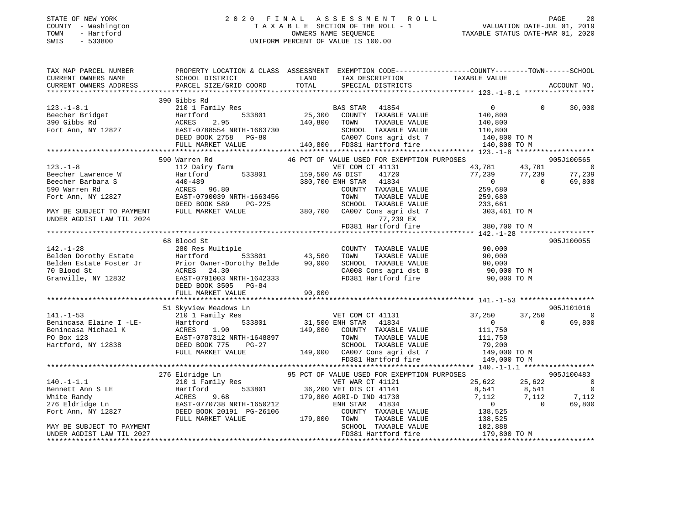#### STATE OF NEW YORK 2 0 2 0 F I N A L A S S E S S M E N T R O L L PAGE 20COUNTY - Washington  $\begin{array}{ccc}\n 1 & A & X & A & B & E & SECTION OF THE ROLL - 1\n\end{array}$ OWNERS NAME SEQUENCE TAXABLE STATUS DATE-MAR 01, 2020 SWIS - 533800 UNIFORM PERCENT OF VALUE IS 100.00

| TAX MAP PARCEL NUMBER<br>CURRENT OWNERS NAME | SCHOOL DISTRICT                                                                                                                                                                                                                                                                                                                  | LAND         | TAX DESCRIPTION TAXABLE VALUE                                                                     | PROPERTY LOCATION & CLASS ASSESSMENT EXEMPTION CODE----------------COUNTY-------TOWN------SCHOOL                                                                            |             |
|----------------------------------------------|----------------------------------------------------------------------------------------------------------------------------------------------------------------------------------------------------------------------------------------------------------------------------------------------------------------------------------|--------------|---------------------------------------------------------------------------------------------------|-----------------------------------------------------------------------------------------------------------------------------------------------------------------------------|-------------|
| CURRENT OWNERS ADDRESS                       | PARCEL SIZE/GRID COORD                                                                                                                                                                                                                                                                                                           | TOTAL        | SPECIAL DISTRICTS                                                                                 |                                                                                                                                                                             | ACCOUNT NO. |
|                                              |                                                                                                                                                                                                                                                                                                                                  |              |                                                                                                   |                                                                                                                                                                             |             |
|                                              | 390 Gibbs Rd                                                                                                                                                                                                                                                                                                                     |              |                                                                                                   |                                                                                                                                                                             |             |
|                                              | 210 1 Family Res BAS STAR 41854<br>Hartford 533801 25,300 COUNTY TAXABLE VALUE                                                                                                                                                                                                                                                   |              |                                                                                                   | $\Omega$                                                                                                                                                                    | 30,000      |
|                                              |                                                                                                                                                                                                                                                                                                                                  |              |                                                                                                   |                                                                                                                                                                             |             |
|                                              |                                                                                                                                                                                                                                                                                                                                  |              |                                                                                                   |                                                                                                                                                                             |             |
|                                              |                                                                                                                                                                                                                                                                                                                                  |              |                                                                                                   |                                                                                                                                                                             |             |
|                                              |                                                                                                                                                                                                                                                                                                                                  |              |                                                                                                   |                                                                                                                                                                             |             |
|                                              |                                                                                                                                                                                                                                                                                                                                  |              |                                                                                                   |                                                                                                                                                                             |             |
|                                              | $\begin{tabular}{lllllllllllll} \texttt{123. -1-8.1} & \texttt{21.23. -1-8.1} & \texttt{21.23. -1-8.1} & \texttt{21.23. -1-8.1} & \texttt{21.23. -1-8.1} & \texttt{21.23. -1-8.1} & \texttt{21.23. -1-8.1} & \texttt{21.23. -1-8.1} & \texttt{21.23. -1-8.1} & \texttt{21.23. -1-8.1} & \texttt{21.23. -1-8.1} & \texttt{21.23.$ |              |                                                                                                   |                                                                                                                                                                             |             |
|                                              |                                                                                                                                                                                                                                                                                                                                  |              |                                                                                                   |                                                                                                                                                                             | 905J100565  |
| $123. - 1 - 8$                               | 112 Dairy farm<br>VET COM VET COM<br>Hartford 533801 159,500 AG DIST                                                                                                                                                                                                                                                             |              | VET COM CT 41131                                                                                  |                                                                                                                                                                             |             |
| Beecher Lawrence W                           |                                                                                                                                                                                                                                                                                                                                  |              | 41720                                                                                             | $\begin{array}{cccc} 43\, , 781 & \quad & 43\, , 781 & \quad & 0 \\ 77\, , 239 & \quad & 77\, , 239 & \quad & 77\, , 239 \\ 0 & \quad & 0 & \quad & 69\, , 800 \end{array}$ |             |
| Beecher Barbara S                            | 440-489<br>ACRES 96.80                                                                                                                                                                                                                                                                                                           |              | 380,700 ENH STAR 41834                                                                            |                                                                                                                                                                             |             |
| 590 Warren Rd                                |                                                                                                                                                                                                                                                                                                                                  |              | COUNTY TAXABLE VALUE                                                                              | 259,680                                                                                                                                                                     |             |
| Fort Ann, NY 12827                           | EAST-0790039 NRTH-1663456                                                                                                                                                                                                                                                                                                        |              | TOWN<br>TAXABLE VALUE                                                                             | 259,680                                                                                                                                                                     |             |
|                                              | DEED BOOK 589                                                                                                                                                                                                                                                                                                                    |              | PG-225 SCHOOL TAXABLE VALUE<br>LIUE 380,700 CA007 Cons agri dst 7<br>SCHOOL TAXABLE VALUE 233,661 |                                                                                                                                                                             |             |
| MAY BE SUBJECT TO PAYMENT                    | FULL MARKET VALUE                                                                                                                                                                                                                                                                                                                |              |                                                                                                   | 303,461 TO M                                                                                                                                                                |             |
| UNDER AGDIST LAW TIL 2024                    |                                                                                                                                                                                                                                                                                                                                  |              | 77,239 EX                                                                                         |                                                                                                                                                                             |             |
|                                              |                                                                                                                                                                                                                                                                                                                                  |              | FD381 Hartford fire                                                                               | 380,700 TO M                                                                                                                                                                |             |
|                                              |                                                                                                                                                                                                                                                                                                                                  |              |                                                                                                   |                                                                                                                                                                             |             |
|                                              | 68 Blood St                                                                                                                                                                                                                                                                                                                      |              |                                                                                                   |                                                                                                                                                                             | 905J100055  |
|                                              |                                                                                                                                                                                                                                                                                                                                  |              | COUNTY TAXABLE VALUE 90,000                                                                       |                                                                                                                                                                             |             |
|                                              | 142.-1-28<br>Belden Dorothy Estate 1280 Res Multiple<br>Belden Estate Foster Jr<br>The Fort owner-Dorothy Belde<br>280 Res Multiple<br>533801<br>533801<br>43,500<br>43,500<br>70 Blood St<br>70 Blood St<br>Granville, NY 12832<br>EAST-0791003 NRTH-                                                                           |              | TAXABLE VALUE<br>TOWN                                                                             | 90,000                                                                                                                                                                      |             |
|                                              |                                                                                                                                                                                                                                                                                                                                  |              |                                                                                                   | SCHOOL TAXABLE VALUE 90,000<br>CA008 Cons agri dst 8 90,000 TO M<br>FD381 Hartford fire 90,000 TO M                                                                         |             |
|                                              |                                                                                                                                                                                                                                                                                                                                  |              |                                                                                                   |                                                                                                                                                                             |             |
|                                              | DEED BOOK 3505 PG-84                                                                                                                                                                                                                                                                                                             |              |                                                                                                   |                                                                                                                                                                             |             |
|                                              | FULL MARKET VALUE                                                                                                                                                                                                                                                                                                                | 90,000       |                                                                                                   |                                                                                                                                                                             |             |
|                                              |                                                                                                                                                                                                                                                                                                                                  |              |                                                                                                   |                                                                                                                                                                             |             |
|                                              | 51 Skyview Meadows Ln                                                                                                                                                                                                                                                                                                            |              |                                                                                                   |                                                                                                                                                                             | 905J101016  |
|                                              |                                                                                                                                                                                                                                                                                                                                  |              | VET COM CT 41131                                                                                  | 37,250                                                                                                                                                                      | 37,250 0    |
|                                              |                                                                                                                                                                                                                                                                                                                                  |              |                                                                                                   | $\overline{0}$<br>$\Omega$                                                                                                                                                  | 69,800      |
|                                              |                                                                                                                                                                                                                                                                                                                                  |              | $\frac{1}{100}$ 533801 31,500 ENH STAR 41834<br>90 149,000 COUNTY TAXABLE VALUE                   | 111,750                                                                                                                                                                     |             |
|                                              | EAST-0787312 NRTH-1648897                                                                                                                                                                                                                                                                                                        |              |                                                                                                   |                                                                                                                                                                             |             |
|                                              | 141.-1-53<br>Benincasa Elaine I -LE-<br>Benincasa Michael K<br>PO Box 123<br>Hartford, NY 12838<br>BEED BOOK 775<br>PO FOX 123<br>Hartford, NY 12838<br>PO FOX 123<br>PO BOX 123<br>PO FOX 123<br>PO FOX 123<br>PO FOX 123<br>PO FOX 123<br>PO FOX 123<br>PO                                                                     |              |                                                                                                   | TOWN TAXABLE VALUE<br>SCHOOL TAXABLE VALUE 79,200<br>TAXABLE VALUE 79,200<br>149,000 TO M                                                                                   |             |
|                                              | FULL MARKET VALUE                                                                                                                                                                                                                                                                                                                |              |                                                                                                   |                                                                                                                                                                             |             |
|                                              |                                                                                                                                                                                                                                                                                                                                  |              | SCHOOD Increase<br>149,000 CA007 Cons agri dst 7<br>FR201 Hartford fire<br>FD381 Hartford fire    | 149,000 TO M                                                                                                                                                                |             |
|                                              |                                                                                                                                                                                                                                                                                                                                  |              |                                                                                                   |                                                                                                                                                                             |             |
|                                              | 276 Eldridge Ln                                                                                                                                                                                                                                                                                                                  |              | 95 PCT OF VALUE USED FOR EXEMPTION PURPOSES                                                       |                                                                                                                                                                             | 905J100483  |
| $140. -1 - 1.1$                              | 210 1 Family Res                                                                                                                                                                                                                                                                                                                 |              | VET WAR CT 41121                                                                                  | 25,622 25,622                                                                                                                                                               | $\sim$ 0    |
|                                              |                                                                                                                                                                                                                                                                                                                                  |              | 533801 36,200 VET DIS CT 41141                                                                    |                                                                                                                                                                             |             |
|                                              |                                                                                                                                                                                                                                                                                                                                  |              | 179,800 AGRI-D IND 41730                                                                          | $\begin{array}{cccc} 8\,,541 & \qquad & 8\,,541 & \qquad & 0 \\ 7\,,112 & \qquad & 7\,,112 & \qquad & 7\,,112 \\ 0 & \qquad & 0 & \qquad & 69\,,800 \end{array}$            |             |
|                                              |                                                                                                                                                                                                                                                                                                                                  |              | ENH STAR 41834                                                                                    |                                                                                                                                                                             |             |
|                                              |                                                                                                                                                                                                                                                                                                                                  |              | COUNTY TAXABLE VALUE                                                                              | 138,525                                                                                                                                                                     |             |
|                                              | FULL MARKET VALUE                                                                                                                                                                                                                                                                                                                | 179,800 TOWN | TAXABLE VALUE                                                                                     |                                                                                                                                                                             |             |
| MAY BE SUBJECT TO PAYMENT                    |                                                                                                                                                                                                                                                                                                                                  |              | SCHOOL TAXABLE VALUE                                                                              | 138,525<br>102,888                                                                                                                                                          |             |
| UNDER AGDIST LAW TIL 2027                    |                                                                                                                                                                                                                                                                                                                                  |              | FD381 Hartford fire                                                                               | 179,800 TO M                                                                                                                                                                |             |
|                                              |                                                                                                                                                                                                                                                                                                                                  |              |                                                                                                   |                                                                                                                                                                             |             |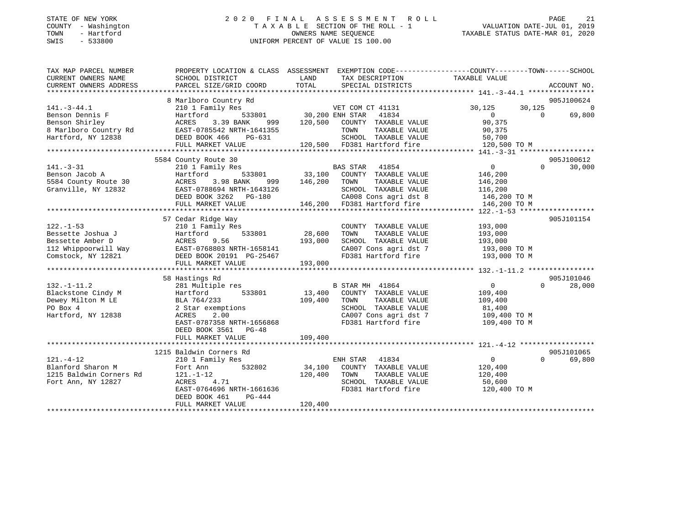# STATE OF NEW YORK 2 0 2 0 F I N A L A S S E S S M E N T R O L L PAGE 21 COUNTY - Washington T A X A B L E SECTION OF THE ROLL - 1 VALUATION DATE-JUL 01, 2019 TOWN - Hartford OWNERS NAME SEQUENCE TAXABLE STATUS DATE-MAR 01, 2020 SWIS - 533800 UNIFORM PERCENT OF VALUE IS 100.00UNIFORM PERCENT OF VALUE IS 100.00

| TAX MAP PARCEL NUMBER                                                                 |                                                                                                                                                                               |                                                                                                                              | PROPERTY LOCATION & CLASS ASSESSMENT EXEMPTION CODE----------------COUNTY-------TOWN------SCHOOL                                                                                                                                          |
|---------------------------------------------------------------------------------------|-------------------------------------------------------------------------------------------------------------------------------------------------------------------------------|------------------------------------------------------------------------------------------------------------------------------|-------------------------------------------------------------------------------------------------------------------------------------------------------------------------------------------------------------------------------------------|
| CURRENT OWNERS NAME                                                                   | SCHOOL DISTRICT                                                                                                                                                               | LAND<br>TAX DESCRIPTION TAXABLE VALUE                                                                                        |                                                                                                                                                                                                                                           |
| CURRENT OWNERS ADDRESS                                                                | PARCEL SIZE/GRID COORD                                                                                                                                                        | TOTAL<br>SPECIAL DISTRICTS                                                                                                   | ACCOUNT NO.                                                                                                                                                                                                                               |
|                                                                                       |                                                                                                                                                                               |                                                                                                                              |                                                                                                                                                                                                                                           |
|                                                                                       | 8 Marlboro Country Rd                                                                                                                                                         |                                                                                                                              | 905J100624                                                                                                                                                                                                                                |
| $141. - 3 - 44.1$                                                                     |                                                                                                                                                                               |                                                                                                                              | 30,125<br>30,125 0                                                                                                                                                                                                                        |
| Benson Dennis F                                                                       |                                                                                                                                                                               |                                                                                                                              | $\overline{0}$<br>$\overline{0}$<br>69,800                                                                                                                                                                                                |
|                                                                                       |                                                                                                                                                                               | ACRES 3.39 BANK 999 120,500 COUNTY TAXABLE VALUE 90,375<br>EAST-0785542 NRTH-1641355 TOWN TAXABLE VALUE 90,375               |                                                                                                                                                                                                                                           |
|                                                                                       |                                                                                                                                                                               |                                                                                                                              |                                                                                                                                                                                                                                           |
|                                                                                       |                                                                                                                                                                               |                                                                                                                              |                                                                                                                                                                                                                                           |
|                                                                                       |                                                                                                                                                                               |                                                                                                                              | Benson Shirley (ACRES 3.39 BANK 999 120,500 COUNTY TAXABLE VALUE 30,375<br>8 Marlboro Country Rd EAST-0785542 NRTH-1641355 TOWN TAXABLE VALUE 90,375<br>Hartford, NY 12838 DEED BOOK 466 PG-631 SCHOOL TAXABLE VALUE 50,700<br>FULL       |
|                                                                                       |                                                                                                                                                                               |                                                                                                                              |                                                                                                                                                                                                                                           |
|                                                                                       | 5584 County Route 30                                                                                                                                                          |                                                                                                                              | 905J100612                                                                                                                                                                                                                                |
| $141. - 3 - 31$                                                                       | 210 1 Family Res                                                                                                                                                              | s<br>533801 33,100 COUNTY TAXABLE                                                                                            | $\overline{0}$<br>$\Omega$<br>30,000                                                                                                                                                                                                      |
|                                                                                       | Benson Jacob A<br>Benson Jacob A<br>533801<br>5584 County Route 30<br>Granville, NY 12832<br>EAST-0788694 NRTH-1643126<br>EAST-0788694 NRTH-1643126<br>FIRE ROOK 3362 DO-1800 | COUNTY TAXABLE VALUE                                                                                                         | 146,200                                                                                                                                                                                                                                   |
|                                                                                       |                                                                                                                                                                               | 999 146,200 TOWN<br>TAXABLE VALUE                                                                                            | 146,200                                                                                                                                                                                                                                   |
|                                                                                       |                                                                                                                                                                               | SCHOOL TAXABLE VALUE 116,200                                                                                                 |                                                                                                                                                                                                                                           |
|                                                                                       | DEED BOOK 3262 PG-180                                                                                                                                                         |                                                                                                                              |                                                                                                                                                                                                                                           |
|                                                                                       | FULL MARKET VALUE                                                                                                                                                             | 116,200 SCHOOL TAXABLE VALUE 116,200<br>3-180 CA008 Cons agri dst 8 146,200 TO M<br>146,200 FD381 Hartford fire 146,200 TO M |                                                                                                                                                                                                                                           |
|                                                                                       |                                                                                                                                                                               |                                                                                                                              |                                                                                                                                                                                                                                           |
|                                                                                       | 57 Cedar Ridge Way                                                                                                                                                            |                                                                                                                              | 905J101154                                                                                                                                                                                                                                |
| $122. - 1 - 53$                                                                       | 210 1 Family Res                                                                                                                                                              | COUNTY TAXABLE VALUE                                                                                                         | 193,000                                                                                                                                                                                                                                   |
| Bessette Joshua J                                                                     | Hartford                                                                                                                                                                      | 533801 28,600<br>TOWN<br>TAXABLE VALUE                                                                                       | 193,000                                                                                                                                                                                                                                   |
|                                                                                       |                                                                                                                                                                               |                                                                                                                              |                                                                                                                                                                                                                                           |
|                                                                                       |                                                                                                                                                                               |                                                                                                                              |                                                                                                                                                                                                                                           |
|                                                                                       |                                                                                                                                                                               |                                                                                                                              |                                                                                                                                                                                                                                           |
|                                                                                       |                                                                                                                                                                               |                                                                                                                              |                                                                                                                                                                                                                                           |
|                                                                                       |                                                                                                                                                                               |                                                                                                                              | Example of the mber D<br>ACRES 9.56 193,000 SCHOOL TAXABLE VALUE 193,000 TO M<br>2201 20107 Constant CA007 Cons agri dst 7 193,000 TO M<br>221 DEED BOOK 20191 PG-25467 FD381 Hartford fire 193,000 TO M<br>FULL MARKET VALUE 193,000<br> |
|                                                                                       | 58 Hastings Rd                                                                                                                                                                |                                                                                                                              | 905J101046                                                                                                                                                                                                                                |
| $132. - 1 - 11.2$                                                                     | 281 Multiple res                                                                                                                                                              | <b>B STAR MH 41864</b>                                                                                                       | $0 \qquad \qquad$<br>$\overline{0}$<br>28,000                                                                                                                                                                                             |
|                                                                                       |                                                                                                                                                                               | 533801 13,400 COUNTY TAXABLE VALUE                                                                                           |                                                                                                                                                                                                                                           |
|                                                                                       |                                                                                                                                                                               | 109,400<br>TAXABLE VALUE<br>TOWN                                                                                             | 109,400<br>109,400                                                                                                                                                                                                                        |
| Blackstone Cindy M Hartford<br>Dewey Milton M LE BLA 764/233<br>PO Box 4 2 Star exemp |                                                                                                                                                                               | SCHOOL TAXABLE VALUE                                                                                                         | 81,400                                                                                                                                                                                                                                    |
| Hartford, NY 12838                                                                    | 2 Star exemptions<br>ACRES 2.00                                                                                                                                               |                                                                                                                              |                                                                                                                                                                                                                                           |
|                                                                                       | EAST-0787358 NRTH-1656868                                                                                                                                                     |                                                                                                                              | CA007 Cons agri dst 7 109,400 TO M<br>FD381 Hartford fire 109,400 TO M                                                                                                                                                                    |
|                                                                                       | DEED BOOK 3561 PG-48                                                                                                                                                          |                                                                                                                              |                                                                                                                                                                                                                                           |
|                                                                                       |                                                                                                                                                                               |                                                                                                                              |                                                                                                                                                                                                                                           |
|                                                                                       |                                                                                                                                                                               |                                                                                                                              |                                                                                                                                                                                                                                           |
|                                                                                       | 1215 Baldwin Corners Rd                                                                                                                                                       |                                                                                                                              | 905J101065                                                                                                                                                                                                                                |
| $121. - 4 - 12$                                                                       | 210 1 Family Res                                                                                                                                                              | ENH STAR 41834                                                                                                               | $\overline{0}$<br>$\Omega$<br>69,800                                                                                                                                                                                                      |
| Blanford Sharon M                                                                     | Fort Ann                                                                                                                                                                      | 532802 34,100 COUNTY TAXABLE VALUE                                                                                           | 120,400                                                                                                                                                                                                                                   |
| 1215 Baldwin Corners Rd                                                               | $121. - 1 - 12$                                                                                                                                                               | 120,400<br>TOWN<br>TAXABLE VALUE                                                                                             | 120,400                                                                                                                                                                                                                                   |
| Fort Ann, NY 12827                                                                    | ACRES 4.71                                                                                                                                                                    | SCHOOL TAXABLE VALUE 50,600                                                                                                  |                                                                                                                                                                                                                                           |
|                                                                                       | EAST-0764696 NRTH-1661636                                                                                                                                                     | FD381 Hartford fire                                                                                                          | 120,400 TO M                                                                                                                                                                                                                              |
|                                                                                       | PG-444<br>DEED BOOK 461                                                                                                                                                       |                                                                                                                              |                                                                                                                                                                                                                                           |
|                                                                                       | FULL MARKET VALUE                                                                                                                                                             | 120,400                                                                                                                      |                                                                                                                                                                                                                                           |
|                                                                                       |                                                                                                                                                                               |                                                                                                                              |                                                                                                                                                                                                                                           |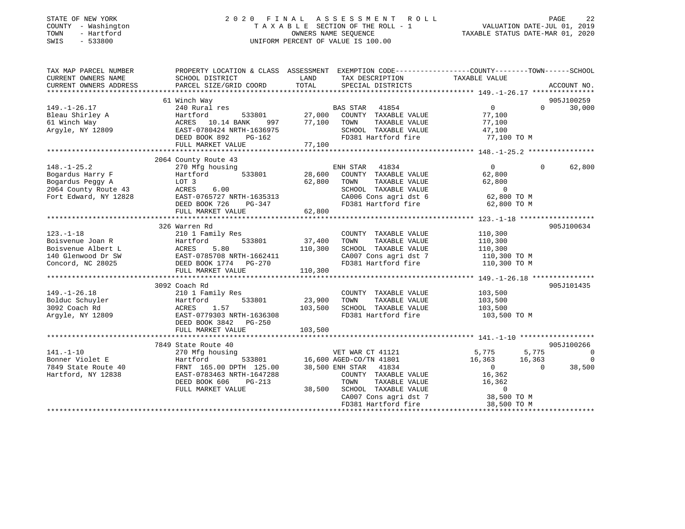| STATE OF NEW YORK |              |
|-------------------|--------------|
| <b>COUNTY</b>     | - Washington |
| TOWN              | - Hartford   |
| CM T C            | ECCOON       |

# STATE OF NEW YORK 2 0 2 0 F I N A L A S S E S S M E N T R O L L PAGE 22T A X A B L E SECTION OF THE ROLL - 1<br>OWNERS NAME SEQUENCE SWIS - 533800 UNIFORM PERCENT OF VALUE IS 100.00

TAXABLE STATUS DATE-MAR 01, 2020

| TAX MAP PARCEL NUMBER             | PROPERTY LOCATION & CLASS ASSESSMENT EXEMPTION CODE---------------COUNTY-------TOWN-----SCHOOL |         |                                             |                               |                |
|-----------------------------------|------------------------------------------------------------------------------------------------|---------|---------------------------------------------|-------------------------------|----------------|
| CURRENT OWNERS NAME               | SCHOOL DISTRICT                                                                                | LAND    | TAX DESCRIPTION                             | TAXABLE VALUE                 |                |
| CURRENT OWNERS ADDRESS            | PARCEL SIZE/GRID COORD                                                                         | TOTAL   | SPECIAL DISTRICTS                           |                               | ACCOUNT NO.    |
|                                   | 61 Winch Way                                                                                   |         |                                             |                               | 905J100259     |
| $149. - 1 - 26.17$                | 240 Rural res                                                                                  |         | BAS STAR 41854                              | $0 \qquad \qquad$<br>$\Omega$ | 30,000         |
| Bleau Shirley A                   | Hartford<br>533801                                                                             | 27,000  | COUNTY TAXABLE VALUE                        | 77,100                        |                |
| 61 Winch Way                      | ACRES 10.14 BANK<br>997                                                                        | 77,100  | TAXABLE VALUE<br>TOWN                       | 77,100                        |                |
| Argyle, NY 12809                  | EAST-0780424 NRTH-1636975                                                                      |         | SCHOOL TAXABLE VALUE                        | 47,100                        |                |
|                                   | DEED BOOK 892<br>PG-162                                                                        |         | FD381 Hartford fire                         | 77,100 TO M                   |                |
|                                   | FULL MARKET VALUE                                                                              | 77,100  |                                             |                               |                |
|                                   |                                                                                                |         |                                             |                               |                |
|                                   | 2064 County Route 43                                                                           |         |                                             |                               |                |
| $148. - 1 - 25.2$                 | 270 Mfg housing                                                                                |         | ENH STAR 41834                              | $\Omega$<br>$\Omega$          | 62,800         |
| Bogardus Harry F                  | Hartford<br>533801                                                                             | 28,600  | COUNTY TAXABLE VALUE                        | 62,800                        |                |
| Bogardus Peggy A                  | LOT 3                                                                                          | 62,800  | TOWN<br>TAXABLE VALUE                       | 62,800                        |                |
| 2064 County Route 43              | 6.00<br>ACRES                                                                                  |         | SCHOOL TAXABLE VALUE                        | $\sim$ 0                      |                |
| Fort Edward, NY 12828             | EAST-0765727 NRTH-1635313                                                                      |         | CA006 Cons agri dst 6                       | 62,800 TO M                   |                |
|                                   | DEED BOOK 726<br>PG-347                                                                        |         | FD381 Hartford fire                         | 62,800 TO M                   |                |
|                                   | FULL MARKET VALUE                                                                              | 62,800  |                                             |                               |                |
|                                   |                                                                                                |         |                                             |                               |                |
|                                   | 326 Warren Rd                                                                                  |         |                                             |                               | 905J100634     |
| $123. - 1 - 18$                   | 210 1 Family Res                                                                               |         | COUNTY TAXABLE VALUE                        | 110,300                       |                |
| Boisvenue Joan R                  | Hartford<br>533801                                                                             | 37,400  | TOWN<br>TAXABLE VALUE                       | 110,300                       |                |
| Boisvenue Albert L                | ACRES<br>5.80                                                                                  | 110,300 | SCHOOL TAXABLE VALUE                        | 110,300                       |                |
| 140 Glenwood Dr SW                | EAST-0785708 NRTH-1662411                                                                      |         | CA007 Cons agri dst 7                       | 110,300 TO M                  |                |
| Concord, NC 28025                 | DEED BOOK 1774 PG-270                                                                          |         | FD381 Hartford fire                         | 110,300 TO M                  |                |
|                                   | FULL MARKET VALUE                                                                              | 110,300 |                                             |                               |                |
|                                   |                                                                                                |         |                                             |                               |                |
|                                   | 3092 Coach Rd                                                                                  |         |                                             |                               | 905J101435     |
| $149. - 1 - 26.18$                | 210 1 Family Res                                                                               |         | COUNTY TAXABLE VALUE                        | 103,500                       |                |
| Bolduc Schuyler                   | 533801<br>Hartford                                                                             | 23,900  | TOWN<br>TAXABLE VALUE                       | 103,500                       |                |
| 3092 Coach Rd<br>Argyle, NY 12809 | 1.57<br>ACRES<br>EAST-0779303 NRTH-1636308                                                     | 103,500 | SCHOOL TAXABLE VALUE<br>FD381 Hartford fire | 103,500<br>103,500 TO M       |                |
|                                   | DEED BOOK 3842 PG-250                                                                          |         |                                             |                               |                |
|                                   | FULL MARKET VALUE                                                                              | 103,500 |                                             |                               |                |
|                                   |                                                                                                |         |                                             |                               |                |
|                                   | 7849 State Route 40                                                                            |         |                                             |                               | 905J100266     |
| $141. - 1 - 10$                   | 270 Mfg housing                                                                                |         | VET WAR CT 41121                            | 5,775<br>5,775                | $\overline{0}$ |
| Bonner Violet E                   | Hartford<br>533801                                                                             |         | 16,600 AGED-CO/TN 41801                     | 16,363<br>16,363              | $\overline{0}$ |
| 7849 State Route 40               | FRNT 165.00 DPTH 125.00                                                                        |         | 38,500 ENH STAR 41834                       | $\overline{0}$<br>$\Omega$    | 38,500         |
| Hartford, NY 12838                | EAST-0783463 NRTH-1647288                                                                      |         | COUNTY TAXABLE VALUE                        | 16,362                        |                |
|                                   | DEED BOOK 606<br>$PG-213$                                                                      |         | TOWN<br>TAXABLE VALUE                       | 16,362                        |                |
|                                   | FULL MARKET VALUE                                                                              | 38,500  | SCHOOL TAXABLE VALUE                        | $\mathbf 0$                   |                |
|                                   |                                                                                                |         | CA007 Cons agri dst 7                       | 38,500 TO M                   |                |
|                                   |                                                                                                |         | FD381 Hartford fire                         | 38,500 TO M                   |                |
|                                   |                                                                                                |         |                                             |                               |                |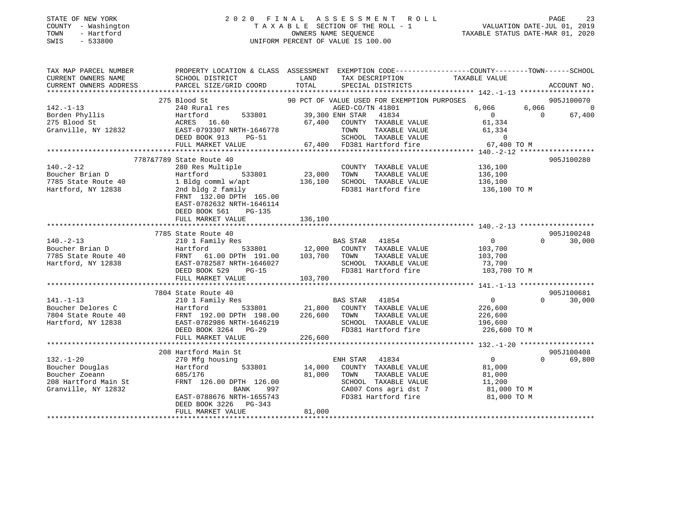# STATE OF NEW YORK 2 0 2 0 F I N A L A S S E S S M E N T R O L L PAGE 23 COUNTY - Washington T A X A B L E SECTION OF THE ROLL - 1 VALUATION DATE-JUL 01, 2019 TOWN - Hartford OWNERS NAME SEQUENCE TAXABLE STATUS DATE-MAR 01, 2020 SWIS - 533800 UNIFORM PERCENT OF VALUE IS 100.00

| TAX MAP PARCEL NUMBER<br>CURRENT OWNERS NAME | PROPERTY LOCATION & CLASS ASSESSMENT<br>SCHOOL DISTRICT | LAND<br>TAX DESCRIPTION                       | EXEMPTION CODE-----------------COUNTY-------TOWN------SCHOOL<br>TAXABLE VALUE |
|----------------------------------------------|---------------------------------------------------------|-----------------------------------------------|-------------------------------------------------------------------------------|
| CURRENT OWNERS ADDRESS                       | PARCEL SIZE/GRID COORD                                  | TOTAL<br>SPECIAL DISTRICTS                    | ACCOUNT NO.                                                                   |
|                                              |                                                         |                                               |                                                                               |
|                                              | 275 Blood St                                            | 90 PCT OF VALUE USED FOR EXEMPTION PURPOSES   | 905J100070                                                                    |
| $142. - 1 - 13$                              | 240 Rural res                                           | AGED-CO/TN 41801                              | 6,066<br>6,066<br>$\Omega$<br>$\overline{0}$<br>$\Omega$                      |
| Borden Phyllis<br>275 Blood St               | 533801<br>Hartford<br>ACRES 16.60                       | 39,300 ENH STAR<br>41834<br>67,400            | 67,400<br>61,334                                                              |
| Granville, NY 12832                          | EAST-0793307 NRTH-1646778                               | COUNTY TAXABLE VALUE<br>TOWN<br>TAXABLE VALUE | 61,334                                                                        |
|                                              | DEED BOOK 913<br>PG-51                                  | SCHOOL TAXABLE VALUE                          | $\overline{0}$                                                                |
|                                              | FULL MARKET VALUE                                       | 67,400 FD381 Hartford fire                    | 67,400 TO M                                                                   |
|                                              |                                                         |                                               |                                                                               |
|                                              | 7787&7789 State Route 40                                |                                               | 905J100280                                                                    |
| $140. -2 - 12$                               | 280 Res Multiple                                        | COUNTY TAXABLE VALUE                          | 136,100                                                                       |
| Boucher Brian D                              | 533801<br>Hartford                                      | 23,000<br>TAXABLE VALUE<br>TOWN               | 136,100                                                                       |
| 7785 State Route 40                          | 1 Bldg comml w/apt                                      | 136,100<br>SCHOOL TAXABLE VALUE               | 136,100                                                                       |
| Hartford, NY 12838                           | 2nd bldg 2 family                                       | FD381 Hartford fire                           | 136,100 TO M                                                                  |
|                                              | FRNT 132.00 DPTH 165.00                                 |                                               |                                                                               |
|                                              | EAST-0782632 NRTH-1646114                               |                                               |                                                                               |
|                                              | DEED BOOK 561<br>$PG-135$                               |                                               |                                                                               |
|                                              | FULL MARKET VALUE                                       | 136,100                                       |                                                                               |
|                                              |                                                         |                                               |                                                                               |
|                                              | 7785 State Route 40                                     |                                               | 905J100248                                                                    |
| $140. - 2 - 13$                              | 210 1 Family Res                                        | BAS STAR<br>41854                             | 30,000<br>$\overline{0}$<br>$\Omega$                                          |
| Boucher Brian D                              | Hartford<br>533801                                      | 12,000 COUNTY TAXABLE VALUE                   | 103,700                                                                       |
| 7785 State Route 40                          | FRNT<br>61.00 DPTH 191.00                               | 103,700<br>TOWN<br>TAXABLE VALUE              | 103,700                                                                       |
| Hartford, NY 12838                           | EAST-0782587 NRTH-1646027                               | SCHOOL TAXABLE VALUE                          | 73,700                                                                        |
|                                              | DEED BOOK 529<br>$PG-15$                                | FD381 Hartford fire                           | 103,700 TO M                                                                  |
|                                              | FULL MARKET VALUE                                       | 103,700                                       |                                                                               |
|                                              |                                                         |                                               |                                                                               |
|                                              | 7804 State Route 40                                     |                                               | 905J100681                                                                    |
| $141. - 1 - 13$                              | 210 1 Family Res                                        | BAS STAR 41854                                | $\overline{0}$<br>$\Omega$<br>30,000                                          |
| Boucher Delores C                            | Hartford<br>533801                                      | 21,800 COUNTY TAXABLE VALUE                   | 226,600                                                                       |
| 7804 State Route 40                          | FRNT 192.00 DPTH 198.00                                 | TAXABLE VALUE<br>226,600<br>TOWN              | 226,600                                                                       |
| Hartford, NY 12838                           | EAST-0782986 NRTH-1646219                               | SCHOOL TAXABLE VALUE                          | 196,600                                                                       |
|                                              | DEED BOOK 3264 PG-29                                    | FD381 Hartford fire                           | 226,600 TO M                                                                  |
|                                              | FULL MARKET VALUE                                       | 226,600                                       |                                                                               |
|                                              |                                                         |                                               |                                                                               |
|                                              | 208 Hartford Main St                                    |                                               | 905J100408                                                                    |
| $132. - 1 - 20$                              | 270 Mfg housing                                         | ENH STAR<br>41834                             | $\overline{0}$<br>69,800<br>$\cap$                                            |
| Boucher Douglas                              | Hartford<br>533801                                      | 14,000<br>COUNTY TAXABLE VALUE                | 81,000                                                                        |
| Boucher Zoeann                               | 685/176                                                 | 81,000<br>TOWN<br>TAXABLE VALUE               | 81,000                                                                        |
| 208 Hartford Main St                         | FRNT 126.00 DPTH 126.00                                 | SCHOOL TAXABLE VALUE                          | 11,200                                                                        |
| Granville, NY 12832                          | BANK<br>997                                             | CA007 Cons agri dst 7                         | 81,000 TO M                                                                   |
|                                              | EAST-0788676 NRTH-1655743                               | FD381 Hartford fire                           | 81,000 TO M                                                                   |
|                                              | DEED BOOK 3226<br>PG-343                                |                                               |                                                                               |
|                                              | FULL MARKET VALUE                                       | 81,000                                        |                                                                               |
|                                              |                                                         |                                               |                                                                               |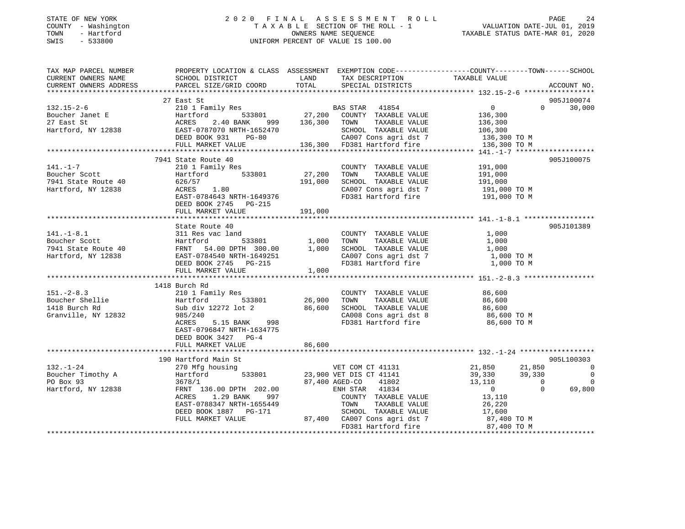# STATE OF NEW YORK 2 0 2 0 F I N A L A S S E S S M E N T R O L L PAGE 24 COUNTY - Washington T A X A B L E SECTION OF THE ROLL - 1 VALUATION DATE-JUL 01, 2019 TOWN - Hartford OWNERS NAME SEQUENCE TAXABLE STATUS DATE-MAR 01, 2020 SWIS - 533800 UNIFORM PERCENT OF VALUE IS 100.00

| TAX MAP PARCEL NUMBER                                                                                                                                                                                                                                 | PROPERTY LOCATION & CLASS ASSESSMENT EXEMPTION CODE----------------COUNTY-------TOWN------SCHOOL |                   |                                                                                                                                      |        |               |
|-------------------------------------------------------------------------------------------------------------------------------------------------------------------------------------------------------------------------------------------------------|--------------------------------------------------------------------------------------------------|-------------------|--------------------------------------------------------------------------------------------------------------------------------------|--------|---------------|
| CURRENT OWNERS NAME SCHOOL DISTRICT WE LAND TAX DESCRIPTION TAXABLE VALUE                                                                                                                                                                             |                                                                                                  |                   |                                                                                                                                      |        |               |
| CURRENT OWNERS ADDRESS PARCEL SIZE/GRID COORD                                                                                                                                                                                                         |                                                                                                  |                   | TOTAL SPECIAL DISTRICTS                                                                                                              |        | ACCOUNT NO.   |
|                                                                                                                                                                                                                                                       |                                                                                                  |                   |                                                                                                                                      |        |               |
|                                                                                                                                                                                                                                                       |                                                                                                  |                   |                                                                                                                                      |        | 905J100074    |
|                                                                                                                                                                                                                                                       |                                                                                                  |                   |                                                                                                                                      |        | $0 \t 30,000$ |
|                                                                                                                                                                                                                                                       |                                                                                                  |                   |                                                                                                                                      |        |               |
|                                                                                                                                                                                                                                                       |                                                                                                  |                   |                                                                                                                                      |        |               |
|                                                                                                                                                                                                                                                       |                                                                                                  |                   |                                                                                                                                      |        |               |
|                                                                                                                                                                                                                                                       |                                                                                                  |                   |                                                                                                                                      |        |               |
|                                                                                                                                                                                                                                                       |                                                                                                  |                   |                                                                                                                                      |        |               |
|                                                                                                                                                                                                                                                       |                                                                                                  |                   |                                                                                                                                      |        |               |
|                                                                                                                                                                                                                                                       | 7941 State Route 40                                                                              |                   |                                                                                                                                      |        | 905J100075    |
| 141.-1-7<br>Boucher Scott<br>7941 State Route 40<br>7941 State Route 40<br>7941 State Route 40<br>7941 State Route 40<br>7941 State Route 40<br>7941 State Route 40<br>7941 State Route 40<br>7941 State Route 40<br>7941 State Route 40<br>7945 ROR  | 210 1 Family Res                                                                                 |                   | COUNTY TAXABLE VALUE 191,000                                                                                                         |        |               |
|                                                                                                                                                                                                                                                       |                                                                                                  | 27,200<br>191,000 | TOWN TAXABLE VALUE 191,000<br>SCHOOL TAXABLE VALUE 191,000<br>CA007 Cons agri dst 7 191,000 TO M<br>FD381 Hartford fire 191,000 TO M |        |               |
|                                                                                                                                                                                                                                                       |                                                                                                  |                   |                                                                                                                                      |        |               |
|                                                                                                                                                                                                                                                       |                                                                                                  |                   |                                                                                                                                      |        |               |
|                                                                                                                                                                                                                                                       | EAST-0784643 NRTH-1649376                                                                        |                   |                                                                                                                                      |        |               |
|                                                                                                                                                                                                                                                       | DEED BOOK 2745 PG-215                                                                            |                   |                                                                                                                                      |        |               |
|                                                                                                                                                                                                                                                       | FULL MARKET VALUE                                                                                | 191,000           |                                                                                                                                      |        |               |
|                                                                                                                                                                                                                                                       |                                                                                                  |                   |                                                                                                                                      |        |               |
|                                                                                                                                                                                                                                                       | State Route 40                                                                                   |                   |                                                                                                                                      |        | 905J101389    |
|                                                                                                                                                                                                                                                       |                                                                                                  |                   | ac land the COUNTY TAXABLE VALUE 1,000<br>533801 1,000 TOWN TAXABLE VALUE 1,000                                                      |        |               |
|                                                                                                                                                                                                                                                       |                                                                                                  |                   |                                                                                                                                      |        |               |
|                                                                                                                                                                                                                                                       |                                                                                                  |                   |                                                                                                                                      |        |               |
|                                                                                                                                                                                                                                                       |                                                                                                  |                   |                                                                                                                                      |        |               |
| 141.-1-8.1 311 Res vac land COUNTY TAXABLE VALUE 1,000<br>Boucher Scott Hartford 533801 1,000 TOWN TAXABLE VALUE 1,000<br>7941 State Route 40 FRNT 54.00 DPTH 300.00 1,000 SCHOOL TAXABLE VALUE 1,000<br>Hartford, NY 12838 EAST-078                  |                                                                                                  |                   |                                                                                                                                      |        |               |
|                                                                                                                                                                                                                                                       |                                                                                                  |                   |                                                                                                                                      |        |               |
|                                                                                                                                                                                                                                                       |                                                                                                  |                   |                                                                                                                                      |        |               |
|                                                                                                                                                                                                                                                       | 1418 Burch Rd                                                                                    |                   |                                                                                                                                      |        |               |
| $151. - 2 - 8.3$                                                                                                                                                                                                                                      |                                                                                                  |                   |                                                                                                                                      |        |               |
| 151.-2-0.5<br>Boucher Shellie<br>1418 Burch Rd                                                                                                                                                                                                        |                                                                                                  |                   |                                                                                                                                      |        |               |
| 1418 Burch Rd                                                                                                                                                                                                                                         |                                                                                                  |                   |                                                                                                                                      |        |               |
| Granville, NY 12832                                                                                                                                                                                                                                   |                                                                                                  |                   | FD381 Hartford fire 36,600 TO M                                                                                                      |        |               |
|                                                                                                                                                                                                                                                       | ACRES 5.15 BANK 998                                                                              |                   |                                                                                                                                      |        |               |
|                                                                                                                                                                                                                                                       | EAST-0796847 NRTH-1634775                                                                        |                   |                                                                                                                                      |        |               |
|                                                                                                                                                                                                                                                       | DEED BOOK 3427 PG-4                                                                              |                   |                                                                                                                                      |        |               |
|                                                                                                                                                                                                                                                       |                                                                                                  |                   |                                                                                                                                      |        |               |
|                                                                                                                                                                                                                                                       |                                                                                                  |                   |                                                                                                                                      |        | 905L100303    |
|                                                                                                                                                                                                                                                       | 00 Hartford Main St<br>270 Mfg housing<br>190 Hartford Main St                                   |                   |                                                                                                                                      |        |               |
|                                                                                                                                                                                                                                                       |                                                                                                  |                   |                                                                                                                                      |        |               |
|                                                                                                                                                                                                                                                       |                                                                                                  |                   |                                                                                                                                      |        |               |
| 132.-1-24<br>Boucher Timothy A and Hartford 533801<br>PO Box 93<br>Hartford, NY 12838<br>Hartford, NY 12838<br>Hartford, NY 12838<br>PO Box 93<br>FRNT 136.00 DPTH 202.00<br>FRNT 136.00 DPTH 202.00<br>FRNT 136.00 DPTH 202.00<br>ENH STAR 41834<br> |                                                                                                  |                   |                                                                                                                                      |        |               |
|                                                                                                                                                                                                                                                       | 1.29 BANK<br>ACRES<br>997                                                                        |                   | U<br>COUNTY TAXABLE VALUE 13,110<br>TOWN TAXABLE VALUE                                                                               |        |               |
|                                                                                                                                                                                                                                                       | EAST-0788347 NRTH-1655449                                                                        |                   |                                                                                                                                      | 26,220 |               |
|                                                                                                                                                                                                                                                       |                                                                                                  |                   |                                                                                                                                      |        |               |
|                                                                                                                                                                                                                                                       | DEED BOOK 1887 PG-171 SCHOOL TAXABLE VALUE<br>FULL MARKET VALUE 87,400 CA007 Cons agri dst 7     |                   | SCHOOL TAXABLE VALUE 17,600<br>CA007 Cons agri dst 7 17,400 TO M                                                                     |        |               |
|                                                                                                                                                                                                                                                       |                                                                                                  |                   | FD381 Hartford fire 87,400 TO M                                                                                                      |        |               |
|                                                                                                                                                                                                                                                       |                                                                                                  |                   |                                                                                                                                      |        |               |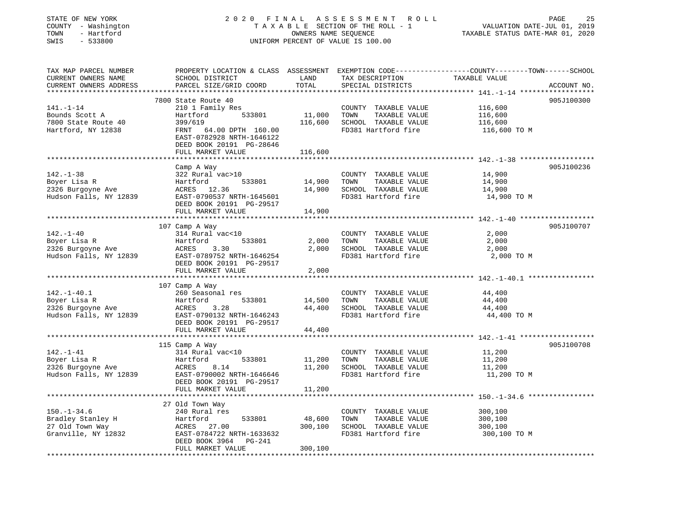| STATE OF NEW YORK<br>COUNTY - Washington<br>TOWN<br>- Hartford<br>SWIS<br>$-533800$ |                                                                                                                                                                | OWNERS NAME SEQUENCE         | 2020 FINAL ASSESSMENT ROLL<br>TAXABLE SECTION OF THE ROLL - 1<br>UNIFORM PERCENT OF VALUE IS 100.00 | 25<br>PAGE<br>VALUATION DATE-JUL 01, 2019<br>TAXABLE STATUS DATE-MAR 01, 2020                                                   |
|-------------------------------------------------------------------------------------|----------------------------------------------------------------------------------------------------------------------------------------------------------------|------------------------------|-----------------------------------------------------------------------------------------------------|---------------------------------------------------------------------------------------------------------------------------------|
| TAX MAP PARCEL NUMBER<br>CURRENT OWNERS NAME<br>CURRENT OWNERS ADDRESS              | SCHOOL DISTRICT<br>PARCEL SIZE/GRID COORD                                                                                                                      | LAND<br>TOTAL                | TAX DESCRIPTION<br>SPECIAL DISTRICTS                                                                | PROPERTY LOCATION & CLASS ASSESSMENT EXEMPTION CODE----------------COUNTY-------TOWN-----SCHOOL<br>TAXABLE VALUE<br>ACCOUNT NO. |
| **********************                                                              | **************************                                                                                                                                     |                              |                                                                                                     |                                                                                                                                 |
| $141. - 1 - 14$<br>Bounds Scott A<br>7800 State Route 40<br>Hartford, NY 12838      | 7800 State Route 40<br>210 1 Family Res<br>Hartford<br>533801<br>399/619<br>FRNT<br>64.00 DPTH 160.00<br>EAST-0782928 NRTH-1646122<br>DEED BOOK 20191 PG-28646 | 11,000<br>116,600            | COUNTY TAXABLE VALUE<br>TOWN<br>TAXABLE VALUE<br>SCHOOL TAXABLE VALUE<br>FD381 Hartford fire        | 905J100300<br>116,600<br>116,600<br>116,600<br>116,600 TO M                                                                     |
|                                                                                     | FULL MARKET VALUE<br>* * * * * * * * * * * * * * * * * *                                                                                                       | 116,600                      |                                                                                                     |                                                                                                                                 |
| $142. - 1 - 38$<br>Boyer Lisa R<br>2326 Burgoyne Ave<br>Hudson Falls, NY 12839      | Camp A Way<br>322 Rural vac>10<br>533801<br>Hartford<br>ACRES 12.36<br>EAST-0790537 NRTH-1645601<br>DEED BOOK 20191 PG-29517                                   | 14,900<br>14,900             | COUNTY TAXABLE VALUE<br>TAXABLE VALUE<br>TOWN<br>SCHOOL TAXABLE VALUE<br>FD381 Hartford fire        | 905J100236<br>14,900<br>14,900<br>14,900<br>14,900 TO M                                                                         |
|                                                                                     | FULL MARKET VALUE                                                                                                                                              | 14,900                       |                                                                                                     |                                                                                                                                 |
|                                                                                     | ******************                                                                                                                                             |                              |                                                                                                     |                                                                                                                                 |
|                                                                                     | 107 Camp A Way                                                                                                                                                 |                              |                                                                                                     | 905J100707                                                                                                                      |
| $142. - 1 - 40$<br>Boyer Lisa R<br>2326 Burgoyne Ave<br>Hudson Falls, NY 12839      | 314 Rural vac<10<br>533801<br>Hartford<br>ACRES<br>3.30<br>EAST-0789752 NRTH-1646254<br>DEED BOOK 20191 PG-29517                                               | 2,000<br>2,000               | COUNTY TAXABLE VALUE<br>TOWN<br>TAXABLE VALUE<br>SCHOOL TAXABLE VALUE<br>FD381 Hartford fire        | 2,000<br>2,000<br>2,000<br>2,000 TO M                                                                                           |
|                                                                                     | FULL MARKET VALUE                                                                                                                                              | 2,000                        |                                                                                                     |                                                                                                                                 |
|                                                                                     |                                                                                                                                                                | * * * * * * * *              |                                                                                                     | *********************** 142.-1-40.1 *****************                                                                           |
| $142.-1-40.1$<br>Boyer Lisa R<br>2326 Burgoyne Ave<br>Hudson Falls, NY 12839        | 107 Camp A Way<br>260 Seasonal res<br>Hartford<br>533801<br>ACRES 3.28<br>EAST-0790132 NRTH-1646243<br>DEED BOOK 20191 PG-29517<br>FULL MARKET VALUE           | 14,500<br>44,400<br>44,400   | COUNTY TAXABLE VALUE<br>TOWN<br>TAXABLE VALUE<br>SCHOOL TAXABLE VALUE<br>FD381 Hartford fire        | 44,400<br>44,400<br>44,400<br>44,400 TO M                                                                                       |
|                                                                                     |                                                                                                                                                                |                              |                                                                                                     | *********** 142.-1-41 *******************                                                                                       |
| $142. - 1 - 41$<br>Boyer Lisa R<br>2326 Burgoyne Ave<br>Hudson Falls, NY 12839      | 115 Camp A Way<br>314 Rural vac<10<br>533801<br>Hartford<br>ACRES<br>8.14<br>EAST-0790002 NRTH-1646646<br>DEED BOOK 20191 PG-29517<br>FULL MARKET VALUE        | 11,200<br>11,200<br>11,200   | COUNTY TAXABLE VALUE<br>TOWN<br>TAXABLE VALUE<br>SCHOOL TAXABLE VALUE<br>FD381 Hartford fire        | 905J100708<br>11,200<br>11,200<br>11,200<br>11,200 TO M                                                                         |
|                                                                                     | ********************                                                                                                                                           | ************                 |                                                                                                     |                                                                                                                                 |
| $150. - 1 - 34.6$<br>Bradley Stanley H<br>27 Old Town Way<br>Granville, NY 12832    | 27 Old Town Way<br>240 Rural res<br>Hartford<br>533801<br>ACRES 27.00<br>EAST-0784722 NRTH-1633632<br>DEED BOOK 3964<br>PG-241<br>FULL MARKET VALUE            | 48,600<br>300,100<br>300,100 | COUNTY TAXABLE VALUE<br>TOWN<br>TAXABLE VALUE<br>SCHOOL TAXABLE VALUE<br>FD381 Hartford fire        | 300,100<br>300,100<br>300,100<br>300,100 TO M                                                                                   |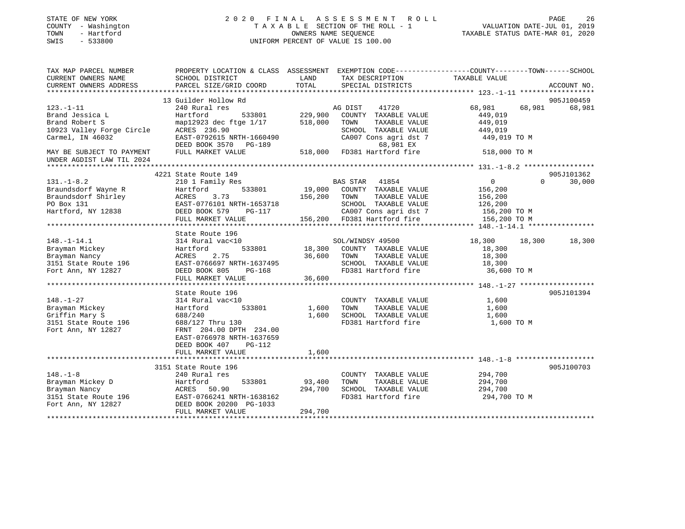| STATE OF NEW YORK<br>COUNTY - Washington<br>TOWN<br>- Hartford<br>SWIS<br>$-533800$ | 2020 FINAL                                                                                             | OWNERS NAME SEOUENCE | ASSESSMENT ROLL<br>TAXABLE SECTION OF THE ROLL - 1<br>UNIFORM PERCENT OF VALUE IS 100.00 | VALUATION DATE-JUL 01, 2019<br>TAXABLE STATUS DATE-MAR 01, 2020                                                  | PAGE<br>26  |
|-------------------------------------------------------------------------------------|--------------------------------------------------------------------------------------------------------|----------------------|------------------------------------------------------------------------------------------|------------------------------------------------------------------------------------------------------------------|-------------|
| TAX MAP PARCEL NUMBER                                                               |                                                                                                        | LAND                 |                                                                                          | PROPERTY LOCATION & CLASS ASSESSMENT EXEMPTION CODE---------------COUNTY-------TOWN------SCHOOL<br>TAXABLE VALUE |             |
| CURRENT OWNERS NAME<br>CURRENT OWNERS ADDRESS                                       | SCHOOL DISTRICT<br>PARCEL SIZE/GRID COORD                                                              | TOTAL                | TAX DESCRIPTION<br>SPECIAL DISTRICTS                                                     |                                                                                                                  | ACCOUNT NO. |
|                                                                                     |                                                                                                        |                      |                                                                                          |                                                                                                                  |             |
|                                                                                     | 13 Guilder Hollow Rd                                                                                   |                      |                                                                                          |                                                                                                                  | 905J100459  |
| $123. - 1 - 11$                                                                     | 240 Rural res                                                                                          |                      | AG DIST<br>41720                                                                         | 68,981<br>68,981                                                                                                 | 68,981      |
| Brand Jessica L                                                                     | Hartford<br>533801                                                                                     | 229,900              | COUNTY TAXABLE VALUE                                                                     | 449,019                                                                                                          |             |
| Brand Robert S                                                                      | map12923 dec ftge 1/17                                                                                 | 518,000              | TOWN<br>TAXABLE VALUE                                                                    | 449,019                                                                                                          |             |
| 10923 Valley Forge Circle                                                           | ACRES 236.90                                                                                           |                      | SCHOOL TAXABLE VALUE                                                                     | 449,019                                                                                                          |             |
| Carmel, IN 46032                                                                    | EAST-0792615 NRTH-1660490<br>DEED BOOK 3570 PG-189                                                     |                      | CA007 Cons agri dst 7<br>68,981 EX                                                       | 449,019 TO M                                                                                                     |             |
| MAY BE SUBJECT TO PAYMENT<br>UNDER AGDIST LAW TIL 2024                              | FULL MARKET VALUE                                                                                      |                      | 518,000 FD381 Hartford fire                                                              | 518,000 TO M                                                                                                     |             |
|                                                                                     |                                                                                                        |                      |                                                                                          |                                                                                                                  |             |
|                                                                                     | 4221 State Route 149                                                                                   |                      |                                                                                          |                                                                                                                  | 905J101362  |
| $131. - 1 - 8.2$                                                                    | 210 1 Family Res<br>533801                                                                             |                      | BAS STAR 41854<br>19,000 COUNTY TAXABLE VALUE                                            | $\overline{0}$<br>$\Omega$                                                                                       | 30,000      |
| Braundsdorf Wayne R<br>Braundsdorf Shirley                                          | Hartford<br>ACRES<br>3.73                                                                              |                      | 156,200 TOWN<br>TAXABLE VALUE                                                            | 156,200<br>156,200                                                                                               |             |
| PO Box 131                                                                          | EAST-0776101 NRTH-1653718                                                                              |                      | SCHOOL TAXABLE VALUE                                                                     | 126,200                                                                                                          |             |
| Hartford, NY 12838                                                                  | DEED BOOK 579<br>PG-117                                                                                |                      | CA007 Cons agri dst 7                                                                    | 156,200 TO M                                                                                                     |             |
|                                                                                     | FULL MARKET VALUE                                                                                      |                      | 156,200 FD381 Hartford fire                                                              | 156,200 TO M                                                                                                     |             |
|                                                                                     |                                                                                                        |                      |                                                                                          |                                                                                                                  |             |
|                                                                                     | State Route 196                                                                                        |                      |                                                                                          |                                                                                                                  |             |
| $148. - 1 - 14.1$                                                                   | 314 Rural vac<10                                                                                       |                      | SOL/WINDSY 49500                                                                         | 18,300<br>18,300                                                                                                 | 18,300      |
| Brayman Mickey                                                                      | 533801<br>Hartford                                                                                     | 18,300               | COUNTY TAXABLE VALUE                                                                     | 18,300                                                                                                           |             |
| Brayman Nancy                                                                       | 2.75<br>ACRES                                                                                          | 36,600               | TOWN<br>TAXABLE VALUE                                                                    | 18,300                                                                                                           |             |
| 3151 State Route 196                                                                | EAST-0766697 NRTH-1637495                                                                              |                      | SCHOOL TAXABLE VALUE                                                                     | 18,300                                                                                                           |             |
| Fort Ann, NY 12827                                                                  | DEED BOOK 805<br>PG-168                                                                                |                      | FD381 Hartford fire                                                                      | 36,600 TO M                                                                                                      |             |
|                                                                                     | FULL MARKET VALUE                                                                                      | 36,600               |                                                                                          |                                                                                                                  |             |
|                                                                                     |                                                                                                        |                      |                                                                                          |                                                                                                                  |             |
|                                                                                     | State Route 196                                                                                        |                      |                                                                                          |                                                                                                                  | 905J101394  |
| $148. - 1 - 27$<br>Brayman Mickey                                                   | 314 Rural vac<10<br>Hartford<br>533801                                                                 | 1,600                | COUNTY TAXABLE VALUE<br>TAXABLE VALUE<br>TOWN                                            | 1,600<br>1,600                                                                                                   |             |
| Griffin Mary S                                                                      | 688/240                                                                                                | 1,600                | SCHOOL TAXABLE VALUE                                                                     | 1,600                                                                                                            |             |
| 3151 State Route 196                                                                | 688/127 Thru 130                                                                                       |                      | FD381 Hartford fire                                                                      | 1,600 TO M                                                                                                       |             |
| Fort Ann, NY 12827                                                                  | FRNT 204.00 DPTH 234.00<br>EAST-0766978 NRTH-1637659<br>DEED BOOK 407<br>$PG-112$<br>FULL MARKET VALUE | 1,600                |                                                                                          |                                                                                                                  |             |
|                                                                                     |                                                                                                        |                      |                                                                                          |                                                                                                                  |             |
|                                                                                     | 3151 State Route 196                                                                                   |                      |                                                                                          |                                                                                                                  | 905J100703  |
| $148. - 1 - 8$                                                                      | 240 Rural res                                                                                          |                      | COUNTY TAXABLE VALUE                                                                     | 294,700                                                                                                          |             |
| Brayman Mickey D                                                                    | 533801<br>Hartford                                                                                     | 93,400               | TOWN<br>TAXABLE VALUE                                                                    | 294,700                                                                                                          |             |
| Brayman Nancy                                                                       | ACRES<br>50.90                                                                                         | 294,700              | SCHOOL TAXABLE VALUE                                                                     | 294,700                                                                                                          |             |
| $3151$ State Route 196                                                              | EAST-0766241 NRTH-1638162                                                                              |                      | FD381 Hartford fire                                                                      | 294,700 TO M                                                                                                     |             |
| Fort Ann, NY 12827                                                                  | DEED BOOK 20200 PG-1033<br>FULL MARKET VALUE                                                           | 294,700              |                                                                                          |                                                                                                                  |             |
| <b>++++++++++++</b>                                                                 |                                                                                                        |                      |                                                                                          |                                                                                                                  |             |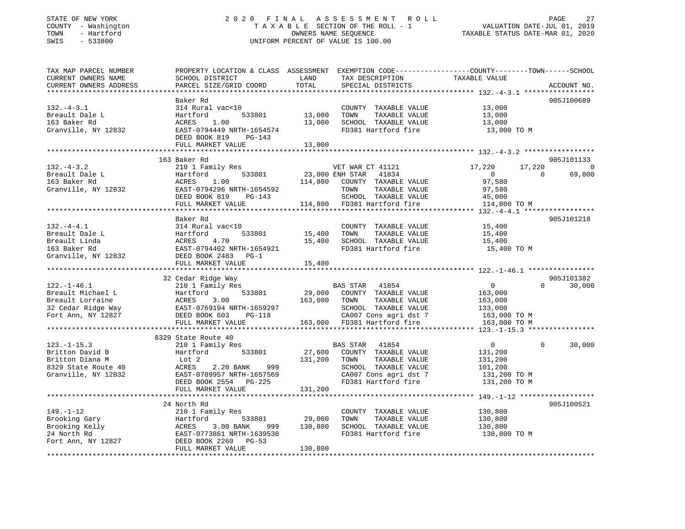# STATE OF NEW YORK 2 0 2 0 F I N A L A S S E S S M E N T R O L L PAGE 27 COUNTY - Washington T A X A B L E SECTION OF THE ROLL - 1 VALUATION DATE-JUL 01, 2019 TOWN - Hartford OWNERS NAME SEQUENCE TAXABLE STATUS DATE-MAR 01, 2020 SWIS - 533800 UNIFORM PERCENT OF VALUE IS 100.00

| TAX MAP PARCEL NUMBER  | PROPERTY LOCATION & CLASS ASSESSMENT EXEMPTION CODE----------------COUNTY-------TOWN------SCHOOL |              |                             |                |                          |
|------------------------|--------------------------------------------------------------------------------------------------|--------------|-----------------------------|----------------|--------------------------|
| CURRENT OWNERS NAME    | SCHOOL DISTRICT                                                                                  | LAND         | TAX DESCRIPTION             | TAXABLE VALUE  |                          |
| CURRENT OWNERS ADDRESS | PARCEL SIZE/GRID COORD                                                                           | TOTAL        | SPECIAL DISTRICTS           |                | ACCOUNT NO.              |
|                        |                                                                                                  |              |                             |                |                          |
|                        | Baker Rd                                                                                         |              |                             |                | 905J100689               |
| $132 - 4 - 3.1$        | 314 Rural vac<10                                                                                 |              | COUNTY TAXABLE VALUE        | 13,000         |                          |
| Breault Dale L         | 533801<br>Hartford                                                                               | 13,000       | TOWN<br>TAXABLE VALUE       | 13,000         |                          |
| 163 Baker Rd           | 1.00<br>ACRES                                                                                    | 13,000       | SCHOOL TAXABLE VALUE        | 13,000         |                          |
| Granville, NY 12832    | EAST-0794449 NRTH-1654574                                                                        |              | FD381 Hartford fire         | 13,000 TO M    |                          |
|                        | DEED BOOK 819<br>PG-143                                                                          |              |                             |                |                          |
|                        | FULL MARKET VALUE                                                                                | 13,000       |                             |                |                          |
|                        |                                                                                                  |              |                             |                |                          |
|                        | 163 Baker Rd                                                                                     |              |                             |                | 905J101133               |
| $132. - 4 - 3.2$       | 210 1 Family Res                                                                                 |              | VET WAR CT 41121            | 17,220         | 17,220<br>$\overline{0}$ |
| Breault Dale L         | Hartford<br>533801                                                                               |              | 23,000 ENH STAR 41834       | $\overline{0}$ | 69,800<br>$\Omega$       |
| 163 Baker Rd           | ACRES<br>1.00                                                                                    | 114,800      | COUNTY TAXABLE VALUE        | 97,580         |                          |
| Granville, NY 12832    | EAST-0794296 NRTH-1654592                                                                        |              | TOWN<br>TAXABLE VALUE       | 97,580         |                          |
|                        | DEED BOOK 819<br>PG-143                                                                          |              | SCHOOL TAXABLE VALUE        | 45,000         |                          |
|                        | FULL MARKET VALUE                                                                                |              | 114,800 FD381 Hartford fire | 114,800 TO M   |                          |
|                        |                                                                                                  |              |                             |                |                          |
|                        | Baker Rd                                                                                         |              |                             |                | 905J101218               |
| $132. -4 - 4.1$        | 314 Rural vac<10                                                                                 |              | COUNTY TAXABLE VALUE        | 15,400         |                          |
| Breault Dale L         | 533801<br>Hartford                                                                               | 15,400       | TOWN<br>TAXABLE VALUE       | 15,400         |                          |
| Breault Linda          | ACRES<br>4.70                                                                                    | 15,400       | SCHOOL TAXABLE VALUE        | 15,400         |                          |
| 163 Baker Rd           | EAST-0794402 NRTH-1654921                                                                        |              | FD381 Hartford fire         | 15,400 TO M    |                          |
| Granville, NY 12832    | DEED BOOK 2483 PG-1                                                                              |              |                             |                |                          |
|                        | FULL MARKET VALUE                                                                                | 15,400       |                             |                |                          |
|                        | ******************************                                                                   | ************ |                             |                |                          |
|                        | 32 Cedar Ridge Way                                                                               |              |                             |                | 905J101382               |
| $122. - 1 - 46.1$      | 210 1 Family Res                                                                                 |              | BAS STAR<br>41854           | $\overline{0}$ | $\Omega$<br>30,000       |
| Breault Michael L      | 533801<br>Hartford                                                                               | 29,000       | COUNTY TAXABLE VALUE        | 163,000        |                          |
| Breault Lorraine       | ACRES<br>3.00                                                                                    | 163,000      | TOWN<br>TAXABLE VALUE       | 163,000        |                          |
| 32 Cedar Ridge Way     | EAST-0769194 NRTH-1659297                                                                        |              | SCHOOL TAXABLE VALUE        | 133,000        |                          |
| Fort Ann, NY 12827     | DEED BOOK 603<br>PG-118                                                                          |              | CA007 Cons agri dst 7       | 163,000 TO M   |                          |
|                        | FULL MARKET VALUE                                                                                |              | 163,000 FD381 Hartford fire | 163,000 TO M   |                          |
|                        |                                                                                                  |              |                             |                |                          |
|                        | 8329 State Route 40                                                                              |              |                             |                |                          |
| $123. - 1 - 15.3$      | 210 1 Family Res                                                                                 |              | 41854<br>BAS STAR           | $\mathbf 0$    | 30,000<br>$\Omega$       |
| Britton David B        | 533801<br>Hartford                                                                               | 27,600       | COUNTY TAXABLE VALUE        | 131,200        |                          |
| Britton Diana M        | Lot 2                                                                                            | 131,200      | TOWN<br>TAXABLE VALUE       | 131,200        |                          |
| 8329 State Route 40    | ACRES<br>2.20 BANK<br>999                                                                        |              | SCHOOL TAXABLE VALUE        | 101,200        |                          |
| Granville, NY 12832    | EAST-0789957 NRTH-1657569                                                                        |              | CA007 Cons agri dst 7       | 131,200 TO M   |                          |
|                        | DEED BOOK 2554<br>PG-225                                                                         |              | FD381 Hartford fire         | 131,200 TO M   |                          |
|                        | FULL MARKET VALUE                                                                                | 131,200      |                             |                |                          |
|                        |                                                                                                  |              |                             |                |                          |
|                        | 24 North Rd                                                                                      |              |                             |                | 905J100521               |
| $149. - 1 - 12$        | 210 1 Family Res                                                                                 |              | COUNTY TAXABLE VALUE        | 130,800        |                          |
| Brooking Gary          | Hartford<br>533801                                                                               | 29,000       | TOWN<br>TAXABLE VALUE       | 130,800        |                          |
| Brooking Kelly         |                                                                                                  | 130,800      | SCHOOL TAXABLE VALUE        | 130,800        |                          |
| 24 North Rd            | ACRES 3.00 BANK 999<br>EAST-0773861 NRTH-1639530                                                 |              | FD381 Hartford fire         | 130,800 TO M   |                          |
| Fort Ann, NY 12827     | DEED BOOK 2260<br>PG-53                                                                          |              |                             |                |                          |
|                        | FULL MARKET VALUE                                                                                | 130,800      |                             |                |                          |
|                        |                                                                                                  |              |                             |                |                          |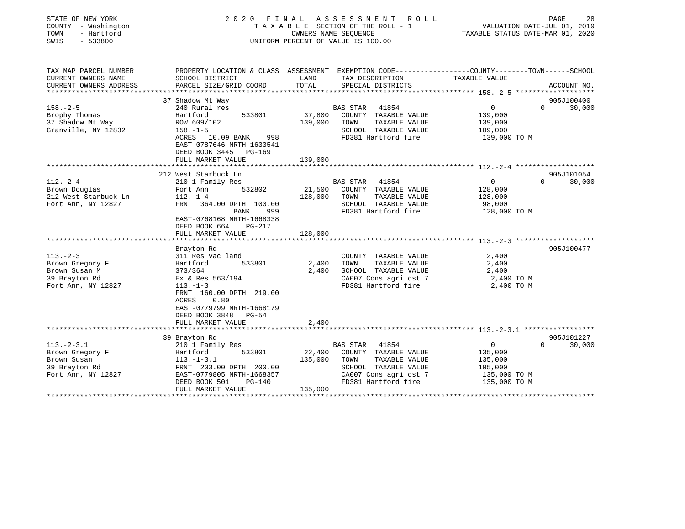| COUNTY - Washington<br>TOWN<br>- Hartford<br>$-533800$<br>SWIS                            | 2020<br>FINAL                                                                                                                                                                                             | OWNERS NAME SEQUENCE | A S S E S S M E N T<br>R O L L<br>TAXABLE SECTION OF THE ROLL - 1<br>UNIFORM PERCENT OF VALUE IS 100.00                                           | TAXABLE STATUS DATE-MAR 01, 2020                                             | 28<br>PAGE<br>VALUATION DATE-JUL 01, 2019 |
|-------------------------------------------------------------------------------------------|-----------------------------------------------------------------------------------------------------------------------------------------------------------------------------------------------------------|----------------------|---------------------------------------------------------------------------------------------------------------------------------------------------|------------------------------------------------------------------------------|-------------------------------------------|
| TAX MAP PARCEL NUMBER<br>CURRENT OWNERS NAME                                              | PROPERTY LOCATION & CLASS ASSESSMENT EXEMPTION CODE---------------COUNTY-------TOWN-----SCHOOL<br>SCHOOL DISTRICT                                                                                         | LAND                 | TAX DESCRIPTION                                                                                                                                   | TAXABLE VALUE                                                                |                                           |
| CURRENT OWNERS ADDRESS                                                                    | PARCEL SIZE/GRID COORD                                                                                                                                                                                    | TOTAL                | SPECIAL DISTRICTS                                                                                                                                 | ********************** 158.-2-5 ********************                         | ACCOUNT NO.                               |
|                                                                                           | 37 Shadow Mt Way                                                                                                                                                                                          |                      |                                                                                                                                                   |                                                                              | 905J100400                                |
| $158. - 2 - 5$<br>Brophy Thomas<br>37 Shadow Mt Way<br>Granville, NY 12832                | 240 Rural res<br>533801<br>Hartford<br>ROW 609/102<br>$158. - 1 - 5$<br>ACRES<br>10.09 BANK<br>998<br>EAST-0787646 NRTH-1633541<br>DEED BOOK 3445<br>PG-169                                               | 37,800<br>139,000    | BAS STAR<br>41854<br>COUNTY TAXABLE VALUE<br>TOWN<br>TAXABLE VALUE<br>SCHOOL TAXABLE VALUE<br>FD381 Hartford fire                                 | $\overline{0}$<br>139,000<br>139,000<br>109,000<br>139,000 TO M              | $\Omega$<br>30,000                        |
|                                                                                           | FULL MARKET VALUE<br>************************                                                                                                                                                             | 139,000              |                                                                                                                                                   |                                                                              |                                           |
|                                                                                           | 212 West Starbuck Ln                                                                                                                                                                                      |                      |                                                                                                                                                   |                                                                              | 905J101054                                |
| $112. - 2 - 4$<br>Brown Douglas<br>212 West Starbuck Ln<br>Fort Ann, NY 12827             | 210 1 Family Res<br>532802<br>Fort Ann<br>$112. - 1 - 4$<br>FRNT 364.00 DPTH 100.00<br>BANK<br>999<br>EAST-0768168 NRTH-1668338<br>DEED BOOK 664<br>PG-217                                                | 21,500<br>128,000    | 41854<br>BAS STAR<br>COUNTY TAXABLE VALUE<br>TOWN<br>TAXABLE VALUE<br>SCHOOL TAXABLE VALUE<br>FD381 Hartford fire                                 | $\mathbf{0}$<br>128,000<br>128,000<br>98,000<br>128,000 TO M                 | 30,000<br>$\Omega$                        |
|                                                                                           | FULL MARKET VALUE                                                                                                                                                                                         | 128,000              |                                                                                                                                                   |                                                                              |                                           |
|                                                                                           |                                                                                                                                                                                                           |                      |                                                                                                                                                   |                                                                              |                                           |
| $113. - 2 - 3$<br>Brown Gregory F<br>Brown Susan M<br>39 Brayton Rd<br>Fort Ann, NY 12827 | Brayton Rd<br>311 Res vac land<br>533801<br>Hartford<br>373/364<br>Ex & Res 563/194<br>$113. - 1 - 3$<br>FRNT 160.00 DPTH 219.00<br>0.80<br>ACRES<br>EAST-0779799 NRTH-1668179<br>DEED BOOK 3848<br>PG-54 | 2,400<br>2,400       | COUNTY TAXABLE VALUE<br>TOWN<br>TAXABLE VALUE<br>SCHOOL TAXABLE VALUE<br>CA007 Cons agri dst 7<br>FD381 Hartford fire                             | 2,400<br>2,400<br>2,400<br>2,400 TO M<br>2,400 TO M                          | 905J100477                                |
|                                                                                           | FULL MARKET VALUE                                                                                                                                                                                         | 2,400                |                                                                                                                                                   |                                                                              |                                           |
|                                                                                           | 39 Brayton Rd                                                                                                                                                                                             |                      |                                                                                                                                                   |                                                                              | 905J101227                                |
| $113.-2-3.1$<br>Brown Gregory F<br>Brown Susan<br>39 Brayton Rd<br>Fort Ann, NY 12827     | 210 1 Family Res<br>533801<br>Hartford<br>$113.-1-3.1$<br>FRNT 203.00 DPTH 200.00<br>EAST-0779805 NRTH-1668357<br>DEED BOOK 501<br>PG-140                                                                 | 22,400<br>135,000    | 41854<br><b>BAS STAR</b><br>COUNTY TAXABLE VALUE<br>TOWN<br>TAXABLE VALUE<br>SCHOOL TAXABLE VALUE<br>CA007 Cons agri dst 7<br>FD381 Hartford fire | $\mathbf 0$<br>135,000<br>135,000<br>105,000<br>135,000 TO M<br>135,000 TO M | $\Omega$<br>30,000                        |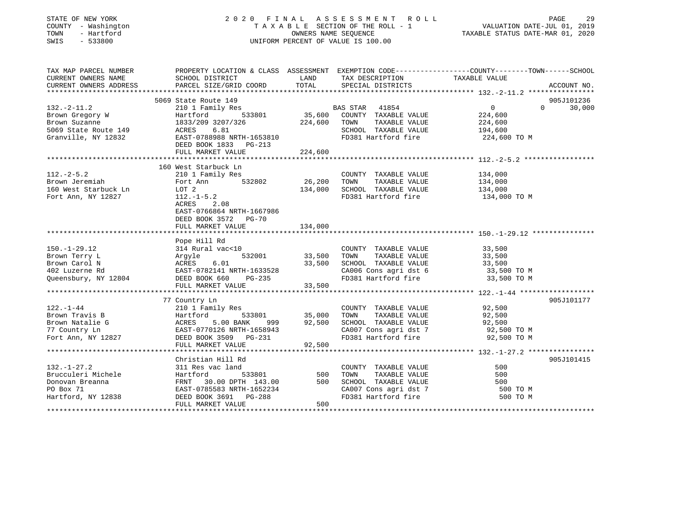# STATE OF NEW YORK 2 0 2 0 F I N A L A S S E S S M E N T R O L L PAGE 29 COUNTY - Washington T A X A B L E SECTION OF THE ROLL - 1 VALUATION DATE-JUL 01, 2019 TOWN - Hartford OWNERS NAME SEQUENCE TAXABLE STATUS DATE-MAR 01, 2020 SWIS - 533800 UNIFORM PERCENT OF VALUE IS 100.00UNIFORM PERCENT OF VALUE IS 100.00

| TAX MAP PARCEL NUMBER<br>CURRENT OWNERS NAME<br>CURRENT OWNERS ADDRESS                                                                                                                                                                       | SCHOOL DISTRICT<br>PARCEL SIZE/GRID COORD                | LAND<br>TOTAL                                         | TAX DESCRIPTION TAXABLE VALUE SPECIAL DISTRICTS          | PROPERTY LOCATION & CLASS ASSESSMENT EXEMPTION CODE----------------COUNTY-------TOWN------SCHOOL<br>ACCOUNT NO. |
|----------------------------------------------------------------------------------------------------------------------------------------------------------------------------------------------------------------------------------------------|----------------------------------------------------------|-------------------------------------------------------|----------------------------------------------------------|-----------------------------------------------------------------------------------------------------------------|
|                                                                                                                                                                                                                                              |                                                          |                                                       |                                                          |                                                                                                                 |
|                                                                                                                                                                                                                                              | 5069 State Route 149                                     |                                                       |                                                          | 905J101236                                                                                                      |
| $132. - 2 - 11.2$                                                                                                                                                                                                                            | 210 1 Family Res                                         | $33801$ B.                                            | BAS STAR<br>41854                                        | $\Omega$<br>30,000<br>$\overline{0}$                                                                            |
| Brown Gregory W<br>Brown Suzanne                                                                                                                                                                                                             | 533801<br>Hartford                                       |                                                       | COUNTY TAXABLE VALUE                                     | 224,600                                                                                                         |
| Brown Suzanne                                                                                                                                                                                                                                | 1833/209 3207/326                                        | 224,600                                               | TAXABLE VALUE<br>TOWN                                    | 224,600                                                                                                         |
|                                                                                                                                                                                                                                              |                                                          |                                                       | SCHOOL TAXABLE VALUE                                     | 194,600                                                                                                         |
|                                                                                                                                                                                                                                              |                                                          |                                                       | FD381 Hartford fire                                      | 224,600 TO M                                                                                                    |
|                                                                                                                                                                                                                                              | DEED BOOK 1833 PG-213                                    |                                                       |                                                          |                                                                                                                 |
|                                                                                                                                                                                                                                              |                                                          |                                                       |                                                          |                                                                                                                 |
|                                                                                                                                                                                                                                              |                                                          |                                                       |                                                          |                                                                                                                 |
|                                                                                                                                                                                                                                              | 160 West Starbuck Ln                                     |                                                       |                                                          |                                                                                                                 |
| $112. - 2 - 5.2$                                                                                                                                                                                                                             | 210 1 Family Res                                         |                                                       | COUNTY TAXABLE VALUE                                     | 134,000                                                                                                         |
| Brown Jeremiah                                                                                                                                                                                                                               | 532802 26,200<br>Fort Ann                                |                                                       | TOWN<br>TAXABLE VALUE                                    | 134,000                                                                                                         |
| 160 West Starbuck Ln                                                                                                                                                                                                                         | LOT 2                                                    | 134,000                                               | SCHOOL TAXABLE VALUE                                     | 134,000                                                                                                         |
| Fort Ann, NY 12827                                                                                                                                                                                                                           | $112.-1-5.2$                                             |                                                       | FD381 Hartford fire 134,000 TO M                         |                                                                                                                 |
|                                                                                                                                                                                                                                              | ACRES<br>2.08                                            |                                                       |                                                          |                                                                                                                 |
|                                                                                                                                                                                                                                              | EAST-0766864 NRTH-1667986                                |                                                       |                                                          |                                                                                                                 |
|                                                                                                                                                                                                                                              | DEED BOOK 3572 PG-70                                     |                                                       |                                                          |                                                                                                                 |
|                                                                                                                                                                                                                                              | FULL MARKET VALUE                                        | 134,000                                               |                                                          |                                                                                                                 |
|                                                                                                                                                                                                                                              |                                                          |                                                       |                                                          |                                                                                                                 |
|                                                                                                                                                                                                                                              | Pope Hill Rd                                             |                                                       |                                                          |                                                                                                                 |
| $150.-1-29.12$                                                                                                                                                                                                                               | 314 Rural vac<10                                         |                                                       | COUNTY TAXABLE VALUE                                     | 33,500                                                                                                          |
| Brown Terry L                                                                                                                                                                                                                                |                                                          | 532001 33,500                                         | TOWN<br>TAXABLE VALUE                                    | 33,500                                                                                                          |
| Brown Carol N                                                                                                                                                                                                                                | Argyle 532001<br>ACRES 6.01<br>EAST-0782141 NRTH-1633528 | 33,500                                                | SCHOOL TAXABLE VALUE                                     | 33,500                                                                                                          |
| 402 Luzerne Rd                                                                                                                                                                                                                               |                                                          |                                                       | $CA006$ Cons agri dst 6 33,500 TO M                      |                                                                                                                 |
| Queensbury, NY 12804 DEED BOOK 660                                                                                                                                                                                                           | PG-235                                                   |                                                       | FD381 Hartford fire                                      | 33,500 TO M                                                                                                     |
|                                                                                                                                                                                                                                              | FULL MARKET VALUE                                        | 33,500                                                |                                                          |                                                                                                                 |
|                                                                                                                                                                                                                                              |                                                          |                                                       |                                                          |                                                                                                                 |
|                                                                                                                                                                                                                                              | 77 Country Ln                                            |                                                       |                                                          | 905J101177                                                                                                      |
| $122. - 1 - 44$                                                                                                                                                                                                                              | 210 1 Family Res                                         |                                                       | COUNTY TAXABLE VALUE 92,500                              |                                                                                                                 |
|                                                                                                                                                                                                                                              |                                                          |                                                       | TOWN                                                     |                                                                                                                 |
| Brown Travis B<br>Brown Natalie G<br>The Martford 533801 35,000<br>Brown Natalie G<br>To Martford 533801 35,000<br>Providence Same Bastron 2000 2000 92,500<br>Fort Ann, NY 12827 DEED BOOK 3509 PG-231<br>Fort Ann, NY 12827 DEED BOOK 3509 |                                                          | 533801     35,000<br>\NK        999            92,500 | TOWN TAXABLE VALUE 92,500<br>SCHOOL TAXABLE VALUE 92,500 |                                                                                                                 |
|                                                                                                                                                                                                                                              |                                                          |                                                       | CA007 Cons agri dst 7 92,500 TO M                        |                                                                                                                 |
|                                                                                                                                                                                                                                              |                                                          |                                                       | FD381 Hartford fire                                      | 92,500 TO M                                                                                                     |
|                                                                                                                                                                                                                                              | FULL MARKET VALUE                                        | 92,500                                                |                                                          |                                                                                                                 |
|                                                                                                                                                                                                                                              |                                                          |                                                       |                                                          |                                                                                                                 |
|                                                                                                                                                                                                                                              | Christian Hill Rd                                        |                                                       |                                                          | 905J101415                                                                                                      |
| $132. - 1 - 27.2$                                                                                                                                                                                                                            | 311 Res vac land                                         |                                                       | COUNTY TAXABLE VALUE                                     | 500                                                                                                             |
| Brucculeri Michele                                                                                                                                                                                                                           | 533801<br>Hartford                                       | 500                                                   | TAXABLE VALUE<br>TOWN                                    | 500                                                                                                             |
| Donovan Breanna                                                                                                                                                                                                                              | 30.00 DPTH 143.00<br>FRNT                                | 500                                                   | SCHOOL TAXABLE VALUE                                     | 500                                                                                                             |
|                                                                                                                                                                                                                                              | EAST-0785583 NRTH-1652234                                |                                                       |                                                          | 500 TO M                                                                                                        |
| PO Box 71<br>Hartford, NY 12838                                                                                                                                                                                                              | DEED BOOK 3691 PG-288                                    |                                                       | CA007 Cons agri dst 7<br>FD381 Hartford fire             | 500 TO M                                                                                                        |
|                                                                                                                                                                                                                                              | FULL MARKET VALUE                                        | 500                                                   |                                                          |                                                                                                                 |
|                                                                                                                                                                                                                                              |                                                          |                                                       |                                                          |                                                                                                                 |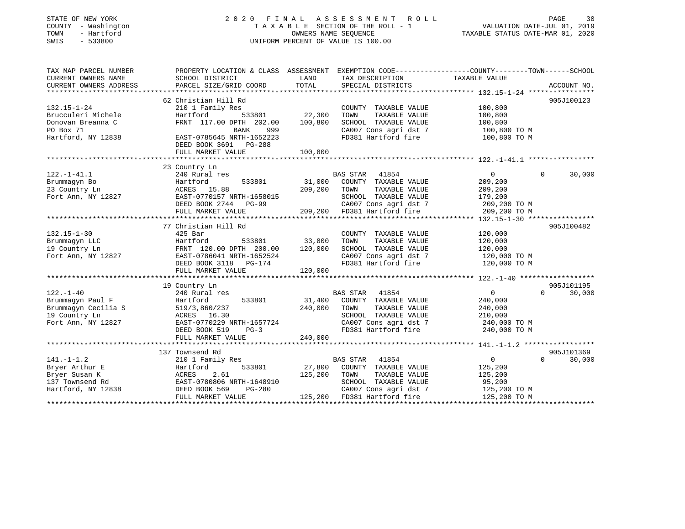#### STATE OF NEW YORK 2 0 2 0 F I N A L A S S E S S M E N T R O L L PAGE 30COUNTY - Washington  $T A X A B L E$  SECTION OF THE ROLL - 1<br>TOWN - Hartford TOWN - Hartford **Taxable STATUS DATE-MAR 01, 2020** OWNERS NAME SEQUENCE TAXABLE STATUS DATE-MAR 01, 2020 SWIS - 533800 UNIFORM PERCENT OF VALUE IS 100.00

VALUATION DATE-JUL 01, 2019

| TAX MAP PARCEL NUMBER  | PROPERTY LOCATION & CLASS ASSESSMENT EXEMPTION CODE----------------COUNTY-------TOWN------SCHOOL |               |                             |                   |                    |
|------------------------|--------------------------------------------------------------------------------------------------|---------------|-----------------------------|-------------------|--------------------|
| CURRENT OWNERS NAME    | SCHOOL DISTRICT                                                                                  | LAND          | TAX DESCRIPTION             | TAXABLE VALUE     |                    |
| CURRENT OWNERS ADDRESS | PARCEL SIZE/GRID COORD                                                                           | TOTAL         | SPECIAL DISTRICTS           |                   | ACCOUNT NO.        |
|                        |                                                                                                  |               |                             |                   |                    |
|                        | 62 Christian Hill Rd                                                                             |               |                             |                   | 905J100123         |
| $132.15 - 1 - 24$      | 210 1 Family Res                                                                                 |               | COUNTY TAXABLE VALUE        | 100,800           |                    |
| Brucculeri Michele     | 533801<br>Hartford                                                                               | 22,300        | TOWN<br>TAXABLE VALUE       | 100,800           |                    |
| Donovan Breanna C      | FRNT 117.00 DPTH 202.00                                                                          | 100,800       | SCHOOL TAXABLE VALUE        | 100,800           |                    |
| PO Box 71              | BANK<br>999                                                                                      |               | CA007 Cons agri dst 7       | 100,800 TO M      |                    |
| Hartford, NY 12838     | EAST-0785645 NRTH-1652223                                                                        |               | FD381 Hartford fire         | 100,800 TO M      |                    |
|                        | DEED BOOK 3691 PG-288                                                                            |               |                             |                   |                    |
|                        | FULL MARKET VALUE                                                                                | 100,800       |                             |                   |                    |
|                        |                                                                                                  |               |                             |                   |                    |
|                        | 23 Country Ln                                                                                    |               |                             |                   |                    |
| $122. - 1 - 41.1$      | 240 Rural res                                                                                    |               | BAS STAR 41854              | $\overline{0}$    | $\Omega$<br>30,000 |
| Brummaqyn Bo           | 533801<br>Hartford                                                                               | 31,000        | COUNTY TAXABLE VALUE        | 209,200           |                    |
| 23 Country Ln          | ACRES 15.88                                                                                      | 209,200       | TAXABLE VALUE<br>TOWN       | 209,200           |                    |
| Fort Ann, NY 12827     | EAST-0770157 NRTH-1658015                                                                        |               | SCHOOL TAXABLE VALUE        | 179,200           |                    |
|                        | DEED BOOK 2744 PG-99                                                                             |               | CA007 Cons agri dst 7       | 209,200 TO M      |                    |
|                        | FULL MARKET VALUE                                                                                |               | 209,200 FD381 Hartford fire | 209,200 TO M      |                    |
|                        |                                                                                                  |               |                             |                   |                    |
|                        | 77 Christian Hill Rd                                                                             |               |                             |                   | 905J100482         |
| $132.15 - 1 - 30$      | $425$ Bar                                                                                        |               | COUNTY TAXABLE VALUE        | 120,000           |                    |
| Brummagyn LLC          | Hartford                                                                                         | 533801 33,800 | TAXABLE VALUE<br>TOWN       | 120,000           |                    |
| 19 Country Ln          | FRNT 120.00 DPTH 200.00                                                                          | 120,000       | SCHOOL TAXABLE VALUE        | 120,000           |                    |
| Fort Ann, NY 12827     | EAST-0786041 NRTH-1652524                                                                        |               | CA007 Cons agri dst 7       | 120,000 TO M      |                    |
|                        | DEED BOOK 3118 PG-174                                                                            |               | FD381 Hartford fire         | 120,000 TO M      |                    |
|                        | FULL MARKET VALUE                                                                                | 120,000       |                             |                   |                    |
|                        |                                                                                                  |               |                             |                   |                    |
|                        | 19 Country Ln                                                                                    |               |                             |                   | 905J101195         |
| $122. - 1 - 40$        | 240 Rural res                                                                                    |               | 41854<br>BAS STAR           | 0                 | 30,000<br>$\Omega$ |
| Brummagyn Paul F       | 533801<br>Hartford                                                                               | 31,400        | COUNTY TAXABLE VALUE        | 240,000           |                    |
| Brummagyn Cecilia S    | 519/3,860/237                                                                                    | 240,000       | TOWN<br>TAXABLE VALUE       | 240,000           |                    |
| 19 Country Ln          | ACRES 16.30                                                                                      |               | SCHOOL TAXABLE VALUE        | 210,000           |                    |
| Fort Ann, NY 12827     | EAST-0770229 NRTH-1657724                                                                        |               | CA007 Cons agri dst 7       | 240,000 TO M      |                    |
|                        | DEED BOOK 519<br>$PG-3$                                                                          |               | FD381 Hartford fire         | 240,000 TO M      |                    |
|                        | FULL MARKET VALUE                                                                                | 240,000       |                             |                   |                    |
|                        |                                                                                                  |               |                             |                   |                    |
|                        | 137 Townsend Rd                                                                                  |               |                             |                   | 905J101369         |
| $141. -1 - 1.2$        | 210 1 Family Res                                                                                 |               | BAS STAR 41854              | $0 \qquad \qquad$ | $\Omega$<br>30,000 |
| Bryer Arthur E         | 533801<br>Hartford                                                                               | 27,800        | COUNTY TAXABLE VALUE        | 125,200           |                    |
| Bryer Susan K          | ACRES<br>2.61                                                                                    | 125,200       | TOWN<br>TAXABLE VALUE       | 125,200           |                    |
| 137 Townsend Rd        | EAST-0780806 NRTH-1648910                                                                        |               | SCHOOL TAXABLE VALUE        | 95,200            |                    |
| Hartford, NY 12838     | DEED BOOK 569<br>PG-280                                                                          |               | CA007 Cons agri dst 7       | 125,200 TO M      |                    |
|                        | FULL MARKET VALUE                                                                                |               | 125,200 FD381 Hartford fire | 125,200 TO M      |                    |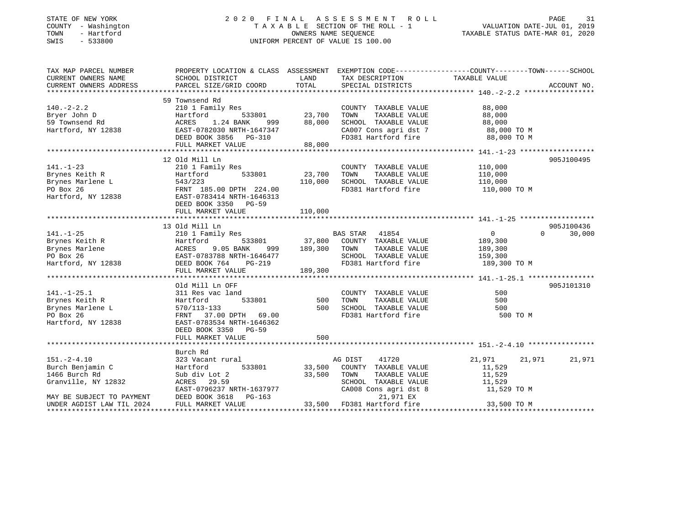# STATE OF NEW YORK 2 0 2 0 F I N A L A S S E S S M E N T R O L L PAGE 31 COUNTY - Washington T A X A B L E SECTION OF THE ROLL - 1 VALUATION DATE-JUL 01, 2019 TOWN - Hartford OWNERS NAME SEQUENCE TAXABLE STATUS DATE-MAR 01, 2020 SWIS - 533800 UNIFORM PERCENT OF VALUE IS 100.00

| TAX MAP PARCEL NUMBER                                                                                                                                  | PROPERTY LOCATION & CLASS ASSESSMENT EXEMPTION CODE----------------COUNTY-------TOWN------SCHOOL                      |                    |                                                                      |                                                     |             |
|--------------------------------------------------------------------------------------------------------------------------------------------------------|-----------------------------------------------------------------------------------------------------------------------|--------------------|----------------------------------------------------------------------|-----------------------------------------------------|-------------|
| CURRENT OWNERS NAME                                                                                                                                    | SCHOOL DISTRICT                                                                                                       | <b>LAND</b>        | TAX DESCRIPTION                                                      | TAXABLE VALUE                                       |             |
| CURRENT OWNERS ADDRESS                                                                                                                                 | PARCEL SIZE/GRID COORD TOTAL                                                                                          |                    | SPECIAL DISTRICTS                                                    |                                                     | ACCOUNT NO. |
|                                                                                                                                                        |                                                                                                                       |                    |                                                                      |                                                     |             |
|                                                                                                                                                        | 59 Townsend Rd                                                                                                        |                    |                                                                      |                                                     |             |
| $140. - 2 - 2.2$                                                                                                                                       | 210 1 Family Res                                                                                                      |                    | COUNTY TAXABLE VALUE                                                 | 88,000                                              |             |
|                                                                                                                                                        |                                                                                                                       | _<br>533801 23,700 | TOWN<br>TAXABLE VALUE                                                | 88,000                                              |             |
|                                                                                                                                                        |                                                                                                                       | 999 88,000         | SCHOOL TAXABLE VALUE 88,000                                          |                                                     |             |
|                                                                                                                                                        |                                                                                                                       |                    |                                                                      |                                                     |             |
|                                                                                                                                                        | AASI-0782030 NRTH-1647347<br>DEED BOOK 3856 PG-310<br>FULL MADYSE ----                                                |                    | CA007 Cons agri dst 7 88,000 TO M<br>FD381 Hartford fire 88,000 TO M |                                                     |             |
|                                                                                                                                                        | FULL MARKET VALUE 88,000                                                                                              |                    |                                                                      |                                                     |             |
|                                                                                                                                                        |                                                                                                                       |                    |                                                                      |                                                     |             |
|                                                                                                                                                        | 12 Old Mill Ln                                                                                                        |                    |                                                                      |                                                     | 905J100495  |
| $141. - 1 - 23$                                                                                                                                        | 210 1 Family Res                                                                                                      |                    | COUNTY TAXABLE VALUE 110,000                                         |                                                     |             |
|                                                                                                                                                        |                                                                                                                       |                    | TOWN<br>TAXABLE VALUE                                                | 110,000                                             |             |
|                                                                                                                                                        |                                                                                                                       | 110,000            | SCHOOL TAXABLE VALUE                                                 | 110,000                                             |             |
|                                                                                                                                                        |                                                                                                                       |                    | FD381 Hartford fire                                                  | $110,000$ TO M                                      |             |
|                                                                                                                                                        | Brynes Marlene L 543/223 110,000<br>PO Box 26 FRNT 185.00 DPTH 224.00<br>Hartford, NY 12838 EAST-0783414 NRTH-1646313 |                    |                                                                      |                                                     |             |
|                                                                                                                                                        | DEED BOOK 3350 PG-59                                                                                                  |                    |                                                                      |                                                     |             |
|                                                                                                                                                        | FULL MARKET VALUE                                                                                                     | 110,000            |                                                                      |                                                     |             |
|                                                                                                                                                        |                                                                                                                       |                    |                                                                      |                                                     |             |
|                                                                                                                                                        | 13 Old Mill Ln                                                                                                        |                    |                                                                      |                                                     | 905J100436  |
| 141.-1-25<br>Prynes Keith R<br>Brynes Marlene<br>PO Box 26<br>Hartford, NY 12838<br>PO Box 764<br>PO BOX 764<br>PO BOX 764<br>PO BOX 764<br>PO BOX 764 |                                                                                                                       |                    |                                                                      | $\Omega$                                            | 30,000      |
|                                                                                                                                                        |                                                                                                                       |                    |                                                                      | $\begin{smallmatrix}&&0\189\,,300\end{smallmatrix}$ |             |
|                                                                                                                                                        | 9.05 BANK                                                                                                             | 999 189,300        | TOWN<br>TAXABLE VALUE                                                | 189,300                                             |             |
|                                                                                                                                                        | EAST-0783788 NRTH-1646477                                                                                             |                    | SCHOOL TAXABLE VALUE                                                 |                                                     |             |
|                                                                                                                                                        | PG-219                                                                                                                | 77                 | FD381 Hartford fire                                                  | 159,300<br>189,300 TO M                             |             |
|                                                                                                                                                        | FULL MARKET VALUE                                                                                                     | 189,300            |                                                                      |                                                     |             |
|                                                                                                                                                        |                                                                                                                       |                    |                                                                      |                                                     |             |
|                                                                                                                                                        | Old Mill Ln OFF                                                                                                       |                    |                                                                      |                                                     | 905J101310  |
| $141. - 1 - 25.1$                                                                                                                                      | 311 Res vac land                                                                                                      |                    | COUNTY TAXABLE VALUE                                                 | 500                                                 |             |
| Brynes Keith R                                                                                                                                         | 533801<br>Hartford                                                                                                    | 500 TOWN           | TAXABLE VALUE                                                        | 500                                                 |             |
| Brynes Marlene L                                                                                                                                       |                                                                                                                       |                    | 500 SCHOOL TAXABLE VALUE 600                                         |                                                     |             |
| PO Box 26                                                                                                                                              | 570/113-133<br>FRNT 37.00<br>FRNT 37.00 DPTH 69.00                                                                    |                    | FD381 Hartford fire                                                  | 500 TO M                                            |             |
|                                                                                                                                                        |                                                                                                                       |                    |                                                                      |                                                     |             |
|                                                                                                                                                        |                                                                                                                       |                    |                                                                      |                                                     |             |
|                                                                                                                                                        | DEED BOOK 3350 PG-59                                                                                                  |                    |                                                                      |                                                     |             |
|                                                                                                                                                        | FULL MARKET VALUE                                                                                                     | 500                |                                                                      |                                                     |             |
|                                                                                                                                                        |                                                                                                                       |                    |                                                                      |                                                     |             |
|                                                                                                                                                        | Burch Rd                                                                                                              |                    |                                                                      |                                                     |             |
| $151. - 2 - 4.10$                                                                                                                                      | 323 Vacant rural                                                                                                      |                    | 41720<br>AG DIST                                                     | 21,971<br>21,971                                    | 21,971      |
| Burch Benjamin C                                                                                                                                       | Hartford<br>533801                                                                                                    | 33,500             | COUNTY TAXABLE VALUE                                                 | 11,529                                              |             |
| 1466 Burch Rd                                                                                                                                          | Sub div Lot 2                                                                                                         | 33,500             | TOWN<br>TAXABLE VALUE                                                | 11,529                                              |             |
| Granville, NY 12832                                                                                                                                    | ACRES 29.59<br>ACRES 29.59<br>EAST-0796237 NRTH-1637977                                                               |                    | SCHOOL TAXABLE VALUE 11,529                                          |                                                     |             |
|                                                                                                                                                        |                                                                                                                       |                    | $CA008$ Cons agri dst 8                                              | 11,529 TO M                                         |             |
| MAY BE SUBJECT TO PAYMENT                                                                                                                              | DEED BOOK 3618 PG-163                                                                                                 |                    | 21,971 EX                                                            |                                                     |             |
| UNDER AGDIST LAW TIL 2024                                                                                                                              | FULL MARKET VALUE                                                                                                     |                    | 33,500 FD381 Hartford fire 33,500 TO M                               |                                                     |             |
|                                                                                                                                                        |                                                                                                                       |                    |                                                                      |                                                     |             |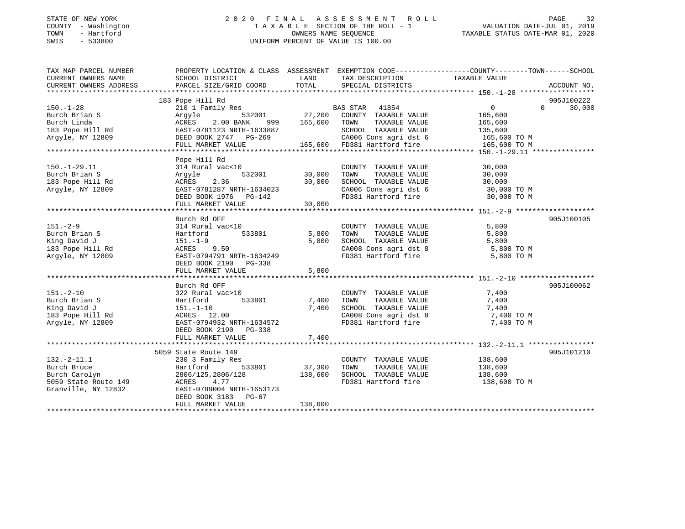# STATE OF NEW YORK 2 0 2 0 F I N A L A S S E S S M E N T R O L L PAGE 32 COUNTY - Washington T A X A B L E SECTION OF THE ROLL - 1 VALUATION DATE-JUL 01, 2019 TOWN - Hartford OWNERS NAME SEQUENCE TAXABLE STATUS DATE-MAR 01, 2020 SWIS - 533800 UNIFORM PERCENT OF VALUE IS 100.00UNIFORM PERCENT OF VALUE IS 100.00

| TAX MAP PARCEL NUMBER                                                                                                                                                                                                               | PROPERTY LOCATION & CLASS ASSESSMENT EXEMPTION CODE---------------COUNTY-------TOWN------SCHOOL |                                       |                                                                                                                                                                      |                                   |               |
|-------------------------------------------------------------------------------------------------------------------------------------------------------------------------------------------------------------------------------------|-------------------------------------------------------------------------------------------------|---------------------------------------|----------------------------------------------------------------------------------------------------------------------------------------------------------------------|-----------------------------------|---------------|
| CURRENT OWNERS NAME                                                                                                                                                                                                                 | SCHOOL DISTRICT                                                                                 | LAND<br>TAX DESCRIPTION TAXABLE VALUE |                                                                                                                                                                      |                                   |               |
|                                                                                                                                                                                                                                     |                                                                                                 |                                       |                                                                                                                                                                      |                                   |               |
|                                                                                                                                                                                                                                     |                                                                                                 |                                       |                                                                                                                                                                      |                                   |               |
|                                                                                                                                                                                                                                     | 183 Pope Hill Rd                                                                                |                                       |                                                                                                                                                                      |                                   | 905J100222    |
| $150. - 1 - 28$                                                                                                                                                                                                                     |                                                                                                 |                                       |                                                                                                                                                                      | $\overline{0}$                    | $0 \t 30,000$ |
|                                                                                                                                                                                                                                     | Argyle 532001 27,200 COUNTY TAXABLE VALUE                                                       |                                       |                                                                                                                                                                      |                                   |               |
|                                                                                                                                                                                                                                     |                                                                                                 |                                       |                                                                                                                                                                      |                                   |               |
|                                                                                                                                                                                                                                     |                                                                                                 |                                       |                                                                                                                                                                      |                                   |               |
|                                                                                                                                                                                                                                     |                                                                                                 |                                       |                                                                                                                                                                      |                                   |               |
|                                                                                                                                                                                                                                     |                                                                                                 |                                       |                                                                                                                                                                      |                                   |               |
| Part and Server Country TAXABLE VALUE 165,600<br>Burch Linda and ACRES 2.00 BANK 999 165,600 TOWN TAXABLE VALUE 165,600<br>183 Pope Hill Rd EAST-0781123 NRTH-1633887 SCHOOL TAXABLE VALUE 135,600<br>Argyle, NY 12809 DEED BOOK 27 |                                                                                                 |                                       |                                                                                                                                                                      |                                   |               |
|                                                                                                                                                                                                                                     | Pope Hill Rd                                                                                    |                                       |                                                                                                                                                                      |                                   |               |
| $150.-1-29.11$                                                                                                                                                                                                                      | 314 Rural vac<10                                                                                |                                       | COUNTY TAXABLE VALUE                                                                                                                                                 | 30,000                            |               |
| Burch Brian S                                                                                                                                                                                                                       | Arqyle                                                                                          | 532001 30,000                         | TAXABLE VALUE<br>TOWN                                                                                                                                                | 30,000                            |               |
| 183 Pope Hill Rd                                                                                                                                                                                                                    | ACRES 2.36                                                                                      | 30,000                                | SCHOOL TAXABLE VALUE                                                                                                                                                 | 30,000                            |               |
| Argyle, NY 12809                                                                                                                                                                                                                    | EAST-0781287 NRTH-1634023                                                                       |                                       |                                                                                                                                                                      | CA006 Cons agri dst 6 30,000 TO M |               |
|                                                                                                                                                                                                                                     |                                                                                                 |                                       |                                                                                                                                                                      |                                   |               |
|                                                                                                                                                                                                                                     |                                                                                                 | 30,000                                | FD381 Hartford fire 30,000 TO M                                                                                                                                      |                                   |               |
|                                                                                                                                                                                                                                     | FULL MARKET VALUE                                                                               |                                       |                                                                                                                                                                      |                                   |               |
|                                                                                                                                                                                                                                     |                                                                                                 |                                       |                                                                                                                                                                      |                                   |               |
|                                                                                                                                                                                                                                     | Burch Rd OFF                                                                                    |                                       |                                                                                                                                                                      |                                   | 905J100105    |
| $151. - 2 - 9$                                                                                                                                                                                                                      | 314 Rural vac<10                                                                                |                                       | COUNTY TAXABLE VALUE                                                                                                                                                 | 5,800                             |               |
| Burch Brian S                                                                                                                                                                                                                       | Hartford 533801 5,800                                                                           |                                       | TOWN<br>TAXABLE VALUE                                                                                                                                                | 5,800                             |               |
| King David J                                                                                                                                                                                                                        | 151.-1-9                                                                                        | 5,800                                 | SCHOOL TAXABLE VALUE                                                                                                                                                 | 5,800                             |               |
| 183 Pope Hill Rd                                                                                                                                                                                                                    | ACRES 9.50                                                                                      |                                       |                                                                                                                                                                      | CA008 Cons agri dst 8 5,800 TO M  |               |
| Argyle, NY 12809                                                                                                                                                                                                                    | EAST-0794791 NRTH-1634249                                                                       |                                       | FD381 Hartford fire                                                                                                                                                  | 5,800 TO M                        |               |
|                                                                                                                                                                                                                                     | DEED BOOK 2190 PG-338                                                                           |                                       |                                                                                                                                                                      |                                   |               |
|                                                                                                                                                                                                                                     | FULL MARKET VALUE                                                                               | 5,800                                 |                                                                                                                                                                      |                                   |               |
|                                                                                                                                                                                                                                     |                                                                                                 |                                       |                                                                                                                                                                      |                                   |               |
|                                                                                                                                                                                                                                     | Burch Rd OFF                                                                                    |                                       |                                                                                                                                                                      |                                   | 905J100062    |
| $151. - 2 - 10$                                                                                                                                                                                                                     | 322 Rural vac>10                                                                                |                                       |                                                                                                                                                                      | 7,400<br>7,400                    |               |
| Burch Brian S                                                                                                                                                                                                                       | $\frac{322 \text{ } \text{Rultal}}{2,400}$ 533801 7,400                                         |                                       | COUNTY TAXABLE VALUE<br>TOWN      TAXABLE VALUE<br>TOWN                                                                                                              | 7,400                             |               |
| King David J                                                                                                                                                                                                                        |                                                                                                 | 7,400                                 | SCHOOL TAXABLE VALUE                                                                                                                                                 | 7,400                             |               |
| 183 Pope Hill Rd                                                                                                                                                                                                                    | 151.-1-10<br>ACRES 12.00                                                                        |                                       |                                                                                                                                                                      |                                   |               |
| Argyle, NY 12809 EAST-0794932 NRTH-1634572                                                                                                                                                                                          |                                                                                                 |                                       | $\begin{array}{llll}\n\text{CA008} & \text{Cons}\n\text{ a grid dist 8} & \text{7,400 T0 M} \\ \text{FD381} & \text{Hartford five} & \text{7,400 T0 M}\n\end{array}$ |                                   |               |
|                                                                                                                                                                                                                                     | DEED BOOK 2190 PG-338                                                                           |                                       |                                                                                                                                                                      |                                   |               |
|                                                                                                                                                                                                                                     |                                                                                                 |                                       |                                                                                                                                                                      |                                   |               |
|                                                                                                                                                                                                                                     |                                                                                                 |                                       |                                                                                                                                                                      |                                   |               |
|                                                                                                                                                                                                                                     | 5059 State Route 149                                                                            |                                       |                                                                                                                                                                      |                                   | 905J101210    |
| $132. -2 - 11.1$                                                                                                                                                                                                                    | 230 3 Family Res                                                                                |                                       | COUNTY TAXABLE VALUE 138,600                                                                                                                                         |                                   |               |
| Burch Bruce                                                                                                                                                                                                                         | 533801<br>Hartford                                                                              | 37,300                                | TAXABLE VALUE<br>TOWN                                                                                                                                                | 138,600                           |               |
| Burch Carolyn                                                                                                                                                                                                                       | 2806/125,2806/128                                                                               | 138,600                               | SCHOOL TAXABLE VALUE                                                                                                                                                 | 138,600                           |               |
| 5059 State Route 149                                                                                                                                                                                                                | ACRES 4.77                                                                                      |                                       |                                                                                                                                                                      | FD381 Hartford fire 138,600 TO M  |               |
| Granville, NY 12832                                                                                                                                                                                                                 | EAST-0789004 NRTH-1653173                                                                       |                                       |                                                                                                                                                                      |                                   |               |
|                                                                                                                                                                                                                                     | DEED BOOK 3183 PG-67                                                                            |                                       |                                                                                                                                                                      |                                   |               |
|                                                                                                                                                                                                                                     |                                                                                                 |                                       |                                                                                                                                                                      |                                   |               |
|                                                                                                                                                                                                                                     | FULL MARKET VALUE                                                                               | 138,600                               |                                                                                                                                                                      |                                   |               |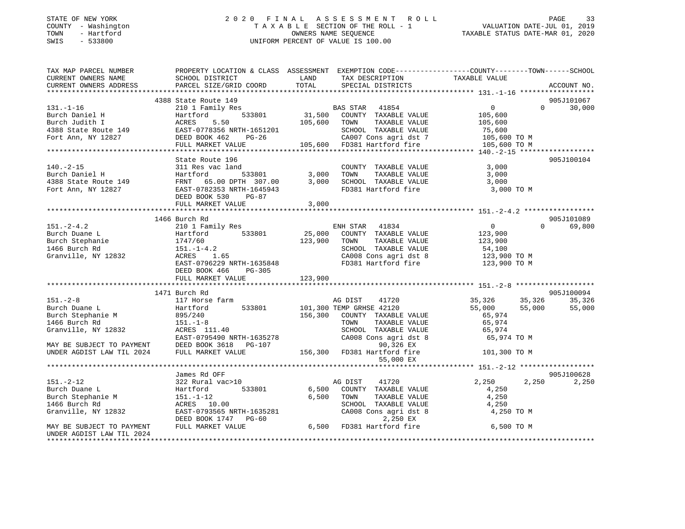# STATE OF NEW YORK 2 0 2 0 F I N A L A S S E S S M E N T R O L L PAGE 33 COUNTY - Washington T A X A B L E SECTION OF THE ROLL - 1 VALUATION DATE-JUL 01, 2019 TOWN - Hartford OWNERS NAME SEQUENCE TAXABLE STATUS DATE-MAR 01, 2020 SWIS - 533800 UNIFORM PERCENT OF VALUE IS 100.00

| TAX MAP PARCEL NUMBER                                                                                                                                                                                                                                          | PROPERTY LOCATION & CLASS ASSESSMENT EXEMPTION CODE----------------COUNTY-------TOWN------SCHOOL |                                                |                                                                                                                                                                                       |                                                                        |                    |
|----------------------------------------------------------------------------------------------------------------------------------------------------------------------------------------------------------------------------------------------------------------|--------------------------------------------------------------------------------------------------|------------------------------------------------|---------------------------------------------------------------------------------------------------------------------------------------------------------------------------------------|------------------------------------------------------------------------|--------------------|
|                                                                                                                                                                                                                                                                |                                                                                                  |                                                |                                                                                                                                                                                       |                                                                        |                    |
|                                                                                                                                                                                                                                                                |                                                                                                  |                                                |                                                                                                                                                                                       |                                                                        |                    |
|                                                                                                                                                                                                                                                                |                                                                                                  |                                                |                                                                                                                                                                                       |                                                                        |                    |
|                                                                                                                                                                                                                                                                | 4388 State Route 149                                                                             |                                                |                                                                                                                                                                                       |                                                                        | 905J101067         |
|                                                                                                                                                                                                                                                                |                                                                                                  |                                                |                                                                                                                                                                                       |                                                                        | $\Omega$<br>30,000 |
|                                                                                                                                                                                                                                                                |                                                                                                  |                                                |                                                                                                                                                                                       |                                                                        |                    |
|                                                                                                                                                                                                                                                                |                                                                                                  |                                                |                                                                                                                                                                                       |                                                                        |                    |
|                                                                                                                                                                                                                                                                |                                                                                                  |                                                |                                                                                                                                                                                       |                                                                        |                    |
|                                                                                                                                                                                                                                                                |                                                                                                  |                                                |                                                                                                                                                                                       |                                                                        |                    |
|                                                                                                                                                                                                                                                                |                                                                                                  |                                                |                                                                                                                                                                                       |                                                                        |                    |
|                                                                                                                                                                                                                                                                |                                                                                                  |                                                |                                                                                                                                                                                       |                                                                        |                    |
|                                                                                                                                                                                                                                                                | State Route 196                                                                                  |                                                |                                                                                                                                                                                       |                                                                        | 905J100104         |
| $140. - 2 - 15$                                                                                                                                                                                                                                                | 311 Res vac land                                                                                 | 1 COUNT<br>533801 3,000 TOWN<br>THE 20 20 2000 | COUNTY TAXABLE VALUE 3,000<br>TOWN TAXABLE VALUE 3,000                                                                                                                                |                                                                        |                    |
|                                                                                                                                                                                                                                                                |                                                                                                  |                                                |                                                                                                                                                                                       |                                                                        |                    |
|                                                                                                                                                                                                                                                                |                                                                                                  |                                                |                                                                                                                                                                                       | 3,000                                                                  |                    |
|                                                                                                                                                                                                                                                                |                                                                                                  |                                                | FD381 Hartford fire                                                                                                                                                                   | 3,000 TO M                                                             |                    |
|                                                                                                                                                                                                                                                                |                                                                                                  |                                                |                                                                                                                                                                                       |                                                                        |                    |
|                                                                                                                                                                                                                                                                | FULL MARKET VALUE                                                                                | 3,000                                          |                                                                                                                                                                                       |                                                                        |                    |
|                                                                                                                                                                                                                                                                |                                                                                                  |                                                |                                                                                                                                                                                       |                                                                        |                    |
|                                                                                                                                                                                                                                                                | 1466 Burch Rd                                                                                    |                                                |                                                                                                                                                                                       |                                                                        | 905J101089         |
| 151.-2-4.2 210 1 Family Res<br>Burch Duane L Hartford 533801 25,000 COUNTY TAXABLE VALUE 123,900<br>Burch Stephanie 1747/60 123,900 TOWN TAXABLE VALUE 123,900<br>1466 Burch Rd 151.-1-4.2 25,000 COUNTY TAXABLE VALUE 123,900<br>Gran                         |                                                                                                  |                                                |                                                                                                                                                                                       | $\overline{0}$                                                         | $\Omega$<br>69,800 |
|                                                                                                                                                                                                                                                                |                                                                                                  |                                                |                                                                                                                                                                                       |                                                                        |                    |
|                                                                                                                                                                                                                                                                |                                                                                                  |                                                |                                                                                                                                                                                       |                                                                        |                    |
|                                                                                                                                                                                                                                                                |                                                                                                  |                                                |                                                                                                                                                                                       |                                                                        |                    |
|                                                                                                                                                                                                                                                                |                                                                                                  |                                                |                                                                                                                                                                                       | 54,100<br>123,900 TO M                                                 |                    |
|                                                                                                                                                                                                                                                                | EAST-0796229 NRTH-1635848                                                                        |                                                |                                                                                                                                                                                       | CA008 Cons agri dst 8 123,900 TO M<br>FD381 Hartford fire 123,900 TO M |                    |
|                                                                                                                                                                                                                                                                | DEED BOOK 466<br>PG-305                                                                          |                                                |                                                                                                                                                                                       |                                                                        |                    |
|                                                                                                                                                                                                                                                                |                                                                                                  |                                                |                                                                                                                                                                                       |                                                                        |                    |
|                                                                                                                                                                                                                                                                |                                                                                                  |                                                |                                                                                                                                                                                       |                                                                        |                    |
|                                                                                                                                                                                                                                                                | 1471 Burch Rd                                                                                    |                                                |                                                                                                                                                                                       |                                                                        | 905J100094         |
| $151. - 2 - 8$                                                                                                                                                                                                                                                 | 117 Horse farm                                                                                   |                                                | AG DIST 41720                                                                                                                                                                         | $35,326$ $35,326$ $35,326$ $35,326$<br>55,000 $55,000$ 55,000 55,000   |                    |
|                                                                                                                                                                                                                                                                |                                                                                                  |                                                |                                                                                                                                                                                       |                                                                        |                    |
|                                                                                                                                                                                                                                                                |                                                                                                  |                                                |                                                                                                                                                                                       |                                                                        |                    |
|                                                                                                                                                                                                                                                                |                                                                                                  |                                                |                                                                                                                                                                                       |                                                                        |                    |
|                                                                                                                                                                                                                                                                |                                                                                                  |                                                | $\begin{tabular}{lllllll} \textsc{TONN} & \textsc{TAXABLE} & \textsc{VALUE} & \textsc{65,974} \\ \textsc{SCHOOL} & \textsc{TAXABLE} & \textsc{VALUE} & \textsc{65,974} \end{tabular}$ |                                                                        |                    |
|                                                                                                                                                                                                                                                                |                                                                                                  |                                                |                                                                                                                                                                                       |                                                                        |                    |
|                                                                                                                                                                                                                                                                |                                                                                                  |                                                |                                                                                                                                                                                       | 65,974 TO M                                                            |                    |
|                                                                                                                                                                                                                                                                |                                                                                                  |                                                |                                                                                                                                                                                       |                                                                        |                    |
| 151.-2-8<br>Burch Duane L<br>Burch Stephanie M<br>166 Burch Rd<br>166 Burch Rd<br>151.-1-8<br>Granville, NY 12832<br>MAY BE SUBJECT TO PAYMENT<br>168 BURGE TRIP 1635278<br>168 BURGE VALUE<br>2024<br>2024<br>FULL MARKET VALUE<br>2024<br>2024<br>2024<br>20 |                                                                                                  |                                                |                                                                                                                                                                                       | 101,300 TO M                                                           |                    |
|                                                                                                                                                                                                                                                                |                                                                                                  |                                                | 55,000 EX                                                                                                                                                                             |                                                                        |                    |
|                                                                                                                                                                                                                                                                |                                                                                                  |                                                |                                                                                                                                                                                       |                                                                        |                    |
|                                                                                                                                                                                                                                                                | James Rd OFF<br>322 Rural vac>10                                                                 |                                                |                                                                                                                                                                                       |                                                                        | 905J100628         |
| $151. - 2 - 12$                                                                                                                                                                                                                                                |                                                                                                  |                                                | AG DIST 41720                                                                                                                                                                         | 2,250                                                                  | 2,250 2,250        |
|                                                                                                                                                                                                                                                                |                                                                                                  |                                                |                                                                                                                                                                                       | 4,250                                                                  |                    |
|                                                                                                                                                                                                                                                                |                                                                                                  |                                                |                                                                                                                                                                                       | 4,250                                                                  |                    |
|                                                                                                                                                                                                                                                                |                                                                                                  |                                                | SCHOOL TAXABLE VALUE 4,250                                                                                                                                                            |                                                                        |                    |
|                                                                                                                                                                                                                                                                |                                                                                                  |                                                |                                                                                                                                                                                       | 4,250 TO M                                                             |                    |
| 151.-2-12<br>Burch Duane L<br>Burch Stephanie M<br>151.1-1-12<br>1466 Burch Rd<br>CRES 10.00<br>Granville, NY 12832<br>MAY BE SUBJECT TO PAYMENT<br>MAY BE SUBJECT TO PAYMENT<br>THE CRES BOOK 1747<br>PULL MARKET VALUE<br>TULL MARKET VALUE<br>TULL          |                                                                                                  |                                                |                                                                                                                                                                                       |                                                                        |                    |
|                                                                                                                                                                                                                                                                |                                                                                                  |                                                |                                                                                                                                                                                       | 6,500 TO M                                                             |                    |
| UNDER AGDIST LAW TIL 2024                                                                                                                                                                                                                                      |                                                                                                  |                                                |                                                                                                                                                                                       |                                                                        |                    |
|                                                                                                                                                                                                                                                                |                                                                                                  |                                                |                                                                                                                                                                                       |                                                                        |                    |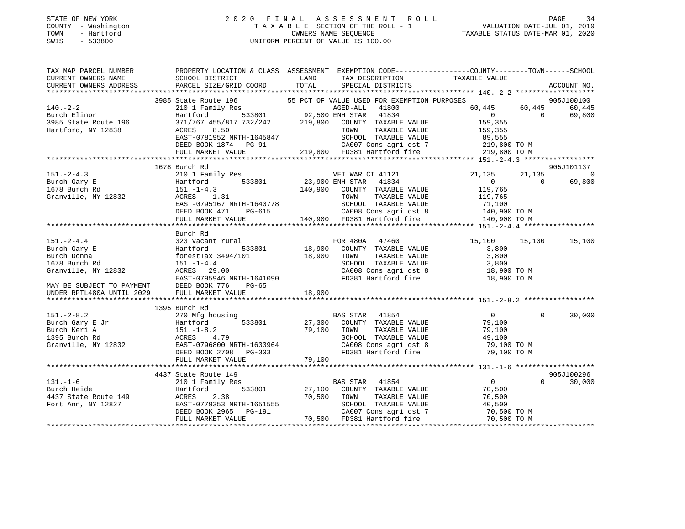# STATE OF NEW YORK 2 0 2 0 F I N A L A S S E S S M E N T R O L L PAGE 34 COUNTY - Washington T A X A B L E SECTION OF THE ROLL - 1 VALUATION DATE-JUL 01, 2019 TOWN - Hartford OWNERS NAME SEQUENCE TAXABLE STATUS DATE-MAR 01, 2020 SWIS - 533800 UNIFORM PERCENT OF VALUE IS 100.00

| TAX MAP PARCEL NUMBER<br>CURRENT OWNERS NAME                              | SCHOOL DISTRICT<br><b>EXAMPLE EXAMPLE EXAMPLE EXAMPLE EXAMPLE EXAMPLE EXAMPLE EXAMPLE EXAMPLE EXAMPLE EXAMPLE EXAMPLE EXAMPLE EXAMPLE EXAMPLE EXAMPLE EXAMPLE EXAMPLE EXAMPLE EXAMPLE EXAMPLE EXAMPLE EXAMPLE EXAMPLE EXAMPLE EXAMPLE EXAMPLE EXAMP</b> | TAX DESCRIPTION TAXABLE VALUE                                                                                                                                                                        | PROPERTY LOCATION & CLASS ASSESSMENT EXEMPTION CODE---------------COUNTY-------TOWN------SCHOOL |
|---------------------------------------------------------------------------|---------------------------------------------------------------------------------------------------------------------------------------------------------------------------------------------------------------------------------------------------------|------------------------------------------------------------------------------------------------------------------------------------------------------------------------------------------------------|-------------------------------------------------------------------------------------------------|
| CURRENT OWNERS ADDRESS                                                    | PARCEL SIZE/GRID COORD                                                                                                                                                                                                                                  | TOTAL<br>SPECIAL DISTRICTS                                                                                                                                                                           | ACCOUNT NO.                                                                                     |
|                                                                           |                                                                                                                                                                                                                                                         |                                                                                                                                                                                                      | 905J100100                                                                                      |
| $140. -2 - 2$                                                             |                                                                                                                                                                                                                                                         | 3985 State Route 196 55 PCT OF VALUE USED FOR EXEMPTION PURPOSES<br>210 1 Family Res AGED-ALL 41800<br>Hartford 533801 92,500 ENH STAR 41834<br>371/767 455/817 732/242 219,800 COUNTY TAXABLE VALUE | 60,445<br>60,445 60,445                                                                         |
| 140. - 2-2<br>Burch Elinor<br>3985 State Route 196<br>Hartford, NY 12838  |                                                                                                                                                                                                                                                         |                                                                                                                                                                                                      | $\begin{array}{ccc} & & 0 & \quad & 0 \end{array}$<br>69,800                                    |
|                                                                           |                                                                                                                                                                                                                                                         |                                                                                                                                                                                                      | 159,355                                                                                         |
|                                                                           | ACRES 8.50                                                                                                                                                                                                                                              | TAXABLE VALUE<br>TOWN                                                                                                                                                                                | 159,355                                                                                         |
|                                                                           |                                                                                                                                                                                                                                                         |                                                                                                                                                                                                      |                                                                                                 |
|                                                                           |                                                                                                                                                                                                                                                         |                                                                                                                                                                                                      |                                                                                                 |
|                                                                           | FULL MARKET VALUE                                                                                                                                                                                                                                       | 219,800 FD381 Hartford fire                                                                                                                                                                          | 219,800 TO M                                                                                    |
|                                                                           |                                                                                                                                                                                                                                                         |                                                                                                                                                                                                      |                                                                                                 |
|                                                                           | 1678 Burch Rd                                                                                                                                                                                                                                           |                                                                                                                                                                                                      | 905J101137                                                                                      |
| $151. - 2 - 4.3$                                                          |                                                                                                                                                                                                                                                         | 210 1 Family Res VET WAR CT 41121                                                                                                                                                                    | 21,135<br>21,135 0                                                                              |
| Burch Gary E                                                              | Hartford<br>151.-1-4.3                                                                                                                                                                                                                                  | Hartford 533801 23,900 ENH STAR 41834<br>151.-1-4.3 140,900 CONTY TAXABLE VALUE                                                                                                                      | $\overline{0}$<br>$\overline{0}$<br>69,800                                                      |
|                                                                           |                                                                                                                                                                                                                                                         |                                                                                                                                                                                                      | 119,765                                                                                         |
|                                                                           |                                                                                                                                                                                                                                                         | TAXABLE VALUE<br>TOWN                                                                                                                                                                                |                                                                                                 |
| 151.-1-4.3<br>Granville, NY 12832 ACRES 1.31<br>EAST-0795167 NPTH.1640770 | EAST-0795167 NRTH-1640778                                                                                                                                                                                                                               |                                                                                                                                                                                                      | 119,765<br>71,100                                                                               |
|                                                                           | DEED BOOK 471                                                                                                                                                                                                                                           |                                                                                                                                                                                                      |                                                                                                 |
|                                                                           | FULL MARKET VALUE                                                                                                                                                                                                                                       | RTH-1640778 SCHOOL TAXABLE VALUE 71,100<br>PG-615 CA008 Cons agri dst 8 140,900 TO M<br>LUE 140,900 FD381 Hartford fire 140,900 TO M                                                                 |                                                                                                 |
|                                                                           |                                                                                                                                                                                                                                                         |                                                                                                                                                                                                      |                                                                                                 |
|                                                                           | Burch Rd                                                                                                                                                                                                                                                |                                                                                                                                                                                                      |                                                                                                 |
| $151. - 2 - 4.4$                                                          | 323 Vacant rural                                                                                                                                                                                                                                        | FOR 480A 47460                                                                                                                                                                                       | 15,100 15,100 15,100                                                                            |
| Burch Gary E                                                              | Hartford 533801                                                                                                                                                                                                                                         | 18,900 COUNTY TAXABLE VALUE                                                                                                                                                                          | 3,800                                                                                           |
| Burch Donna                                                               | 16,900 COUNT1<br>forestTax 3494/101 18,900 TOWN<br>151.-1-4.4                                                                                                                                                                                           | TAXABLE VALUE                                                                                                                                                                                        | 3,800                                                                                           |
| 1678 Burch Rd                                                             | $151. - 1 - 4.4$                                                                                                                                                                                                                                        |                                                                                                                                                                                                      | SCHOOL TAXABLE VALUE 3,800<br>CA008 Cons agri dst 8 18,900 TO M                                 |
| Granville, NY 12832                                                       | ACRES 29.00                                                                                                                                                                                                                                             |                                                                                                                                                                                                      |                                                                                                 |
|                                                                           | EAST-0795946 NRTH-1641090                                                                                                                                                                                                                               | FD381 Hartford fire                                                                                                                                                                                  | 18,900 TO M                                                                                     |
| MAY BE SUBJECT TO PAYMENT<br>UNDER RPTL480A UNTIL 2029 FULL MARKET VALUE  |                                                                                                                                                                                                                                                         |                                                                                                                                                                                                      |                                                                                                 |
|                                                                           |                                                                                                                                                                                                                                                         | 18,900                                                                                                                                                                                               |                                                                                                 |
|                                                                           |                                                                                                                                                                                                                                                         |                                                                                                                                                                                                      |                                                                                                 |
|                                                                           | 1395 Burch Rd                                                                                                                                                                                                                                           |                                                                                                                                                                                                      |                                                                                                 |
|                                                                           |                                                                                                                                                                                                                                                         | BAS STAR 41854                                                                                                                                                                                       | $\overline{0}$<br>$\mathbf{0}$<br>30,000                                                        |
|                                                                           |                                                                                                                                                                                                                                                         | 533801 27,300<br>COUNTY TAXABLE VALUE 79,100                                                                                                                                                         |                                                                                                 |
|                                                                           |                                                                                                                                                                                                                                                         | 79,100 TOWN<br>TAXABLE VALUE                                                                                                                                                                         | 79,100                                                                                          |
|                                                                           |                                                                                                                                                                                                                                                         | SCHOOL TAXABLE VALUE 49,100                                                                                                                                                                          |                                                                                                 |
|                                                                           |                                                                                                                                                                                                                                                         |                                                                                                                                                                                                      | CA008 Cons agri dst 8 79,100 TO M<br>FD381 Hartford fire 79,100 TO M                            |
|                                                                           |                                                                                                                                                                                                                                                         |                                                                                                                                                                                                      |                                                                                                 |
|                                                                           |                                                                                                                                                                                                                                                         |                                                                                                                                                                                                      |                                                                                                 |
|                                                                           |                                                                                                                                                                                                                                                         |                                                                                                                                                                                                      | 905J100296                                                                                      |
|                                                                           | 4437 State Route 149                                                                                                                                                                                                                                    | BAS STAR 41854                                                                                                                                                                                       | $\overline{0}$<br>$\Omega$<br>30,000                                                            |
|                                                                           | 131.-1-6<br>Burch Heide 210 1 Family Res<br>4437 State Route 149<br>Fort Ann, NY 12827<br>Fort Ann, NY 12827<br>Fort Ann Alexander 2025 2.38<br>Fort Ann Alexander 2025<br>Part 2045 2.191                                                              | Hartford 533801 27,100 COUNTY TAXABLE VALUE                                                                                                                                                          |                                                                                                 |
|                                                                           |                                                                                                                                                                                                                                                         | 70,500<br>TAXABLE VALUE<br>TOWN                                                                                                                                                                      | 70,500<br>70,500                                                                                |
|                                                                           |                                                                                                                                                                                                                                                         |                                                                                                                                                                                                      |                                                                                                 |
|                                                                           | DEED BOOK 2965 PG-191                                                                                                                                                                                                                                   | SCHOOL TAXABLE VALUE 40,500<br>CA007 Cons agri dst 7                                                                                                                                                 | 70,500 TO M                                                                                     |
|                                                                           | FULL MARKET VALUE                                                                                                                                                                                                                                       | 70,500 FD381 Hartford fire 70,500 TO M                                                                                                                                                               |                                                                                                 |
|                                                                           |                                                                                                                                                                                                                                                         |                                                                                                                                                                                                      |                                                                                                 |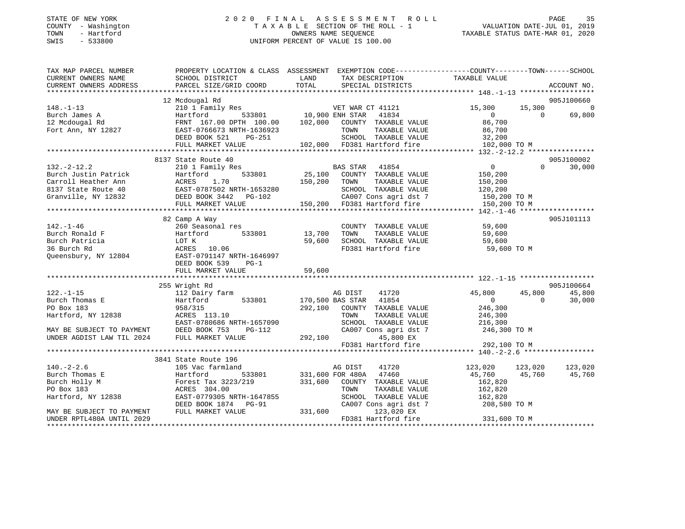#### STATE OF NEW YORK 2 0 2 0 F I N A L A S S E S S M E N T R O L L PAGE 35COUNTY - Washington  $T A X A B L E$  SECTION OF THE ROLL - 1<br>TOWN - Hartford TOWN - Hartford OWNERS NAME SEQUENCE TAXABLE STATUS DATE-MAR 01, 2020 SWIS - 533800 UNIFORM PERCENT OF VALUE IS 100.00

# VALUATION DATE-JUL 01, 2019

| TAX MAP PARCEL NUMBER                                 | PROPERTY LOCATION & CLASS ASSESSMENT EXEMPTION CODE----------------COUNTY-------TOWN------SCHOOL                                                                                                                                                     |                 |                                                                                                                    |                                         |          |                |
|-------------------------------------------------------|------------------------------------------------------------------------------------------------------------------------------------------------------------------------------------------------------------------------------------------------------|-----------------|--------------------------------------------------------------------------------------------------------------------|-----------------------------------------|----------|----------------|
| CURRENT OWNERS NAME                                   |                                                                                                                                                                                                                                                      |                 |                                                                                                                    |                                         |          |                |
|                                                       |                                                                                                                                                                                                                                                      |                 |                                                                                                                    |                                         |          |                |
|                                                       |                                                                                                                                                                                                                                                      |                 |                                                                                                                    |                                         |          |                |
|                                                       | 12 Mcdougal Rd                                                                                                                                                                                                                                       |                 |                                                                                                                    |                                         |          | 905J100660     |
| $148. - 1 - 13$                                       |                                                                                                                                                                                                                                                      |                 |                                                                                                                    |                                         |          | $\overline{0}$ |
|                                                       |                                                                                                                                                                                                                                                      |                 |                                                                                                                    |                                         |          | 69,800         |
| Burch James A<br>12 Mcdougal Rd<br>Fort Ann, NY 12827 |                                                                                                                                                                                                                                                      |                 |                                                                                                                    |                                         |          |                |
|                                                       | EAST-0766673 NRTH-1636923                                                                                                                                                                                                                            |                 | H-1636923 TOWN TAXABLE VALUE 86,700<br>PG-251 SCHOOL TAXABLE VALUE 32,200<br>E 102,000 FD381 Hartford fire 102,000 |                                         |          |                |
|                                                       | DEED BOOK 521                                                                                                                                                                                                                                        |                 |                                                                                                                    |                                         |          |                |
|                                                       | FULL MARKET VALUE                                                                                                                                                                                                                                    |                 |                                                                                                                    | 102,000 TO M                            |          |                |
|                                                       |                                                                                                                                                                                                                                                      |                 |                                                                                                                    |                                         |          |                |
|                                                       | 8137 State Route 40                                                                                                                                                                                                                                  |                 |                                                                                                                    |                                         |          | 905J100002     |
| $132. - 2 - 12.2$                                     |                                                                                                                                                                                                                                                      |                 |                                                                                                                    | $\overline{0}$                          | $\Omega$ | 30,000         |
|                                                       |                                                                                                                                                                                                                                                      |                 |                                                                                                                    |                                         |          |                |
|                                                       |                                                                                                                                                                                                                                                      |                 |                                                                                                                    |                                         |          |                |
|                                                       |                                                                                                                                                                                                                                                      |                 |                                                                                                                    |                                         |          |                |
|                                                       |                                                                                                                                                                                                                                                      |                 |                                                                                                                    |                                         |          |                |
|                                                       |                                                                                                                                                                                                                                                      |                 |                                                                                                                    |                                         |          |                |
|                                                       |                                                                                                                                                                                                                                                      |                 |                                                                                                                    |                                         |          |                |
|                                                       | 82 Camp A Way                                                                                                                                                                                                                                        |                 |                                                                                                                    |                                         |          | 905J101113     |
| 142.-1-46<br>Burch Ronald F                           | 260 Seasonal res                                                                                                                                                                                                                                     |                 | COUNTY TAXABLE VALUE 59,600<br>TOWN TAXABLE VALUE 59,600                                                           |                                         |          |                |
|                                                       |                                                                                                                                                                                                                                                      |                 | TAXABLE VALUE                                                                                                      |                                         |          |                |
|                                                       |                                                                                                                                                                                                                                                      |                 | 59,600 SCHOOL TAXABLE VALUE 59,600                                                                                 |                                         |          |                |
|                                                       | 142.-1-46<br>Burch Ronald F<br>Burch Patricia<br>36 Burch Rd<br>200 Seasonal res<br>1533801<br>200 Seasonal res<br>533801<br>533801<br>200 EAST-0791147 NRTH-1646997<br>2010 EAST-0791147 NRTH-1646997                                               |                 | FD381 Hartford fire                                                                                                | 59,600 TO M                             |          |                |
|                                                       |                                                                                                                                                                                                                                                      |                 |                                                                                                                    |                                         |          |                |
|                                                       | DEED BOOK 539 PG-1                                                                                                                                                                                                                                   |                 |                                                                                                                    |                                         |          |                |
|                                                       | FULL MARKET VALUE                                                                                                                                                                                                                                    | 59,600          |                                                                                                                    |                                         |          |                |
|                                                       |                                                                                                                                                                                                                                                      |                 |                                                                                                                    |                                         |          |                |
|                                                       |                                                                                                                                                                                                                                                      |                 |                                                                                                                    |                                         |          | 905J100664     |
|                                                       | 255 Wright Rd<br>255 Wright Rd<br>295 Minum Martford 212 Dairy farm<br>297,100 BAS STAR 41854<br>292,100 COUNTY TAXABLE VALUE<br>246,300<br>292,100 COUNTY TAXABLE VALUE<br>246,300<br>246,300<br>246,300<br>246,300<br>297,100 COUNTY TAXABLE VALUE |                 |                                                                                                                    |                                         | 45,800   | 45,800         |
|                                                       |                                                                                                                                                                                                                                                      |                 |                                                                                                                    |                                         |          | 30,000         |
|                                                       |                                                                                                                                                                                                                                                      |                 |                                                                                                                    |                                         |          |                |
|                                                       |                                                                                                                                                                                                                                                      |                 |                                                                                                                    |                                         |          |                |
|                                                       |                                                                                                                                                                                                                                                      |                 |                                                                                                                    |                                         |          |                |
|                                                       | EAST-0780686 NRTH-1657090<br>MAY BE SUBJECT TO PAYMENT DEED BOOK 753 PG-112                                                                                                                                                                          |                 |                                                                                                                    | 246,300 TO M                            |          |                |
| UNDER AGDIST LAW TIL 2024 FULL MARKET VALUE           |                                                                                                                                                                                                                                                      |                 | RTH-1657090 SCHOOL TAXABLE VALUE 216,300<br>PG-112 CA007 Cons agri dst 7 246,300<br>LUE 292,100 45,800 EX          |                                         |          |                |
|                                                       |                                                                                                                                                                                                                                                      |                 | FD381 Hartford fire                                                                                                | 292,100 TO M                            |          |                |
|                                                       |                                                                                                                                                                                                                                                      |                 |                                                                                                                    |                                         |          |                |
|                                                       | 3841 State Route 196                                                                                                                                                                                                                                 |                 |                                                                                                                    |                                         |          |                |
| $140. - 2 - 2.6$                                      | 105 Vac farmland                                                                                                                                                                                                                                     |                 | AG DIST<br>41720                                                                                                   | $123,020$ $123,020$ $123,020$ $123,020$ |          |                |
|                                                       |                                                                                                                                                                                                                                                      |                 |                                                                                                                    | 45,760 45,760                           |          | 45,760         |
|                                                       | Purch Thomas E<br>Burch Thomas E<br>Burch Holly M<br>PO Box 183<br>PO Box 183<br>Hartford, NY 12838<br>EAST-0779305 NRTH-1647855<br>EAST-0779305 NRTH-1647855<br>CHOOL TAXABLE VALUE<br>SCHOOL TAXABLE VALUE                                         |                 |                                                                                                                    | 162,820                                 |          |                |
|                                                       |                                                                                                                                                                                                                                                      |                 |                                                                                                                    |                                         |          |                |
|                                                       |                                                                                                                                                                                                                                                      |                 | TOWN TAXABLE VALUE 162,820<br>SCHOOL TAXABLE VALUE 162,820                                                         |                                         |          |                |
|                                                       | DEED BOOK 1874 PG-91                                                                                                                                                                                                                                 |                 | CA007 Cons agri dst 7 208,580 TO M                                                                                 |                                         |          |                |
| MAY BE SUBJECT TO PAYMENT                             | FULL MARKET VALUE                                                                                                                                                                                                                                    | $331,600$ CA007 | 123,020 EX                                                                                                         |                                         |          |                |
| UNDER RPTL480A UNTIL 2029                             |                                                                                                                                                                                                                                                      |                 | FD381 Hartford fire                                                                                                | 331,600 TO M                            |          |                |
|                                                       |                                                                                                                                                                                                                                                      |                 |                                                                                                                    |                                         |          |                |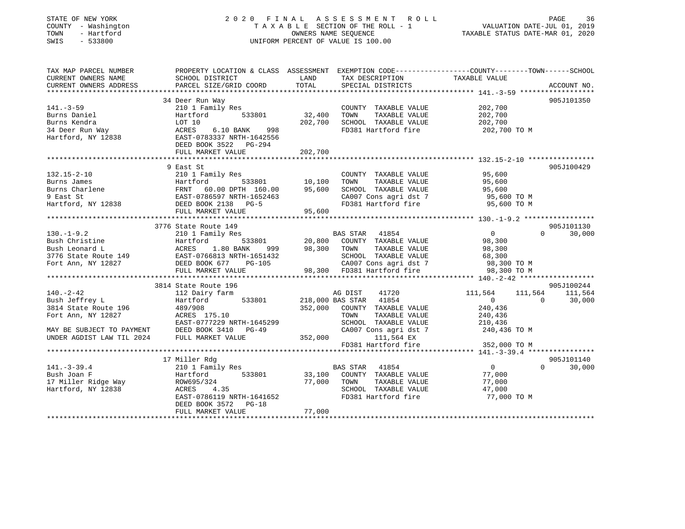| STATE OF NEW YORK |              |
|-------------------|--------------|
| COUNTY            | - Washington |
| TOWN              | - Hartford   |
| CLIT <sub>C</sub> | E 22000      |

# STATE OF NEW YORK CONTROLLER SOLUCION CONTROLLER SOLUCE A LOCAL CONTROLLER SOLUCE A LOCAL SOLUCE SOLUCE A LOCAL T A X A B L E SECTION OF THE ROLL - 1<br>OWNERS NAME SEQUENCE SWIS - 533800 UNIFORM PERCENT OF VALUE IS 100.00

# VALUATION DATE-JUL 01, 2019

TAXABLE STATUS DATE-MAR 01, 2020

| TAX MAP PARCEL NUMBER                         | PROPERTY LOCATION & CLASS ASSESSMENT EXEMPTION CODE---------------COUNTY-------TOWN-----SCHOOL                                                                                                                                                                    |                       |                                                    |                                                                  |                   |             |
|-----------------------------------------------|-------------------------------------------------------------------------------------------------------------------------------------------------------------------------------------------------------------------------------------------------------------------|-----------------------|----------------------------------------------------|------------------------------------------------------------------|-------------------|-------------|
| CURRENT OWNERS NAME<br>CURRENT OWNERS ADDRESS | SCHOOL DISTRICT<br>PARCEL SIZE/GRID COORD                                                                                                                                                                                                                         | LAND<br>TOTAL         | TAX DESCRIPTION TAXABLE VALUE<br>SPECIAL DISTRICTS |                                                                  |                   | ACCOUNT NO. |
|                                               |                                                                                                                                                                                                                                                                   |                       |                                                    |                                                                  |                   |             |
|                                               | 34 Deer Run Way                                                                                                                                                                                                                                                   |                       |                                                    |                                                                  | 905J101350        |             |
| $141. - 3 - 59$                               | 210 1 Family Res                                                                                                                                                                                                                                                  |                       | COUNTY TAXABLE VALUE                               | 202,700                                                          |                   |             |
| Burns Daniel                                  | Hartford                                                                                                                                                                                                                                                          | 533801 32,400<br>TOWN | TAXABLE VALUE 202,700                              |                                                                  |                   |             |
|                                               |                                                                                                                                                                                                                                                                   | 202,700               |                                                    |                                                                  |                   |             |
|                                               | 998                                                                                                                                                                                                                                                               |                       |                                                    | SCHOOL TAXABLE VALUE 202,700<br>FD381 Hartford fire 202,700 TO M |                   |             |
|                                               |                                                                                                                                                                                                                                                                   |                       |                                                    |                                                                  |                   |             |
|                                               | Burns Eendra<br>34 Deer Run Way<br>Hartford, NY 12838<br>Hartford, NY 12838<br>DEED BOOK 3522 PG-294                                                                                                                                                              |                       |                                                    |                                                                  |                   |             |
|                                               |                                                                                                                                                                                                                                                                   |                       |                                                    |                                                                  |                   |             |
|                                               |                                                                                                                                                                                                                                                                   |                       |                                                    |                                                                  |                   |             |
|                                               | 9 East St                                                                                                                                                                                                                                                         |                       |                                                    |                                                                  | 905J100429        |             |
| $132.15 - 2 - 10$                             | 210 1 Family Res                                                                                                                                                                                                                                                  |                       | COUNTY TAXABLE VALUE                               | 95,600<br>95,600                                                 |                   |             |
|                                               |                                                                                                                                                                                                                                                                   |                       | TOWN TAXABLE VALUE                                 |                                                                  |                   |             |
|                                               |                                                                                                                                                                                                                                                                   |                       |                                                    | SCHOOL TAXABLE VALUE 95,600<br>CA007 Cons agri dst 7 95,600 TO M |                   |             |
|                                               |                                                                                                                                                                                                                                                                   |                       |                                                    |                                                                  |                   |             |
|                                               | 132.15-2-10<br>Burns James<br>Burns Charlene<br>9 East St<br>Hartford, NY 12838<br>10,100<br>95,600<br>95,600<br>10,100<br>FRNT 60.00 DPTH 160.00<br>95,600<br>95,600<br>FULL MARKET VALUE<br>2000 2138<br>PG-5<br>FULL MARKET VALUE<br>2000 2138<br>PG-5<br>2000 |                       |                                                    | FD381 Hartford fire 95,600 TO M                                  |                   |             |
|                                               |                                                                                                                                                                                                                                                                   |                       |                                                    |                                                                  |                   |             |
|                                               | 3776 State Route 149                                                                                                                                                                                                                                              |                       |                                                    |                                                                  | 905J101130        |             |
| $130. -1 - 9.2$                               | 210 1 Family Res                                                                                                                                                                                                                                                  | BAS STAR 41854        |                                                    | $\overline{0}$                                                   | $0 \qquad \qquad$ | 30,000      |
|                                               |                                                                                                                                                                                                                                                                   |                       |                                                    |                                                                  |                   |             |
|                                               |                                                                                                                                                                                                                                                                   |                       |                                                    |                                                                  |                   |             |
|                                               |                                                                                                                                                                                                                                                                   |                       |                                                    |                                                                  |                   |             |
|                                               |                                                                                                                                                                                                                                                                   |                       |                                                    |                                                                  |                   |             |
|                                               | BAS SIAR 41854<br>Bush Christine Hartford 533801 20,800 COUNTY TAXABLE VALUE<br>Bush Leonard L<br>3776 State Route 149 EAST-0766813 NRTH-1651432 SCHOOL TAXABLE VALUE 98,300<br>FOT Ann, NY 12827 DEED BOOK 677 PG-105 (2007 Cons ag                              |                       |                                                    |                                                                  |                   |             |
|                                               |                                                                                                                                                                                                                                                                   |                       |                                                    |                                                                  |                   |             |
|                                               | 3814 State Route 196                                                                                                                                                                                                                                              |                       |                                                    |                                                                  | 905J100244        |             |
|                                               |                                                                                                                                                                                                                                                                   |                       | 41720<br>41854                                     | 111,564 111,564 111,564                                          |                   |             |
| 140.-2-42<br>Bush Jeffrey L                   |                                                                                                                                                                                                                                                                   |                       |                                                    | $\begin{array}{ccc} & & 0 & \quad & 0 \end{array}$               |                   | 30,000      |
|                                               |                                                                                                                                                                                                                                                                   |                       | COUNTY TAXABLE VALUE                               | 240,436                                                          |                   |             |
|                                               |                                                                                                                                                                                                                                                                   |                       | TAXABLE VALUE                                      | 240,436                                                          |                   |             |
|                                               |                                                                                                                                                                                                                                                                   |                       | SCHOOL TAXABLE VALUE 210,436                       |                                                                  |                   |             |
|                                               |                                                                                                                                                                                                                                                                   |                       | CA007 Cons agri dst 7                              | 240,436 TO M                                                     |                   |             |
|                                               | BUSH Jerrey L<br>3814 State Route 196 489/908 352,000 COUNTY<br>Fort Ann, NY 12827 ACRES 175.10 TOWN<br>EAST-0777229 NRTH-1645299 SCHOOL<br>MAY BE SUBJECT TO PAYMENT DEED BOOK 3410 PG-49 CA007<br>UNDER AGDIST LAW TIL 2024 FULL MARKE                          |                       | 111,564 EX                                         |                                                                  |                   |             |
|                                               |                                                                                                                                                                                                                                                                   |                       | FD381 Hartford fire                                | 352,000 TO M                                                     |                   |             |
|                                               |                                                                                                                                                                                                                                                                   |                       |                                                    |                                                                  |                   |             |
|                                               | 17 Miller Rdg                                                                                                                                                                                                                                                     |                       |                                                    |                                                                  |                   | 905J101140  |
| $141. - 3 - 39.4$                             | 210 1 Family Res                                                                                                                                                                                                                                                  | <b>BAS STAR</b> 41854 |                                                    | $\overline{0}$                                                   | $\Omega$          | 30,000      |
| Bush Joan F                                   | Hartford 533801 33,100 COUNTY TAXABLE VALUE 77,000                                                                                                                                                                                                                |                       |                                                    |                                                                  |                   |             |
|                                               | 17 Miller Ridge Way $ROW695/324$ 77,000<br>Hartford, NY 12838 ACRES 4.35                                                                                                                                                                                          | TOWN                  | TAXABLE VALUE<br>SCHOOL TAXABLE VALUE 47,000       | 77,000                                                           |                   |             |
|                                               |                                                                                                                                                                                                                                                                   |                       |                                                    |                                                                  |                   |             |
|                                               | EAST-0786119 NRTH-1641652                                                                                                                                                                                                                                         |                       | FD381 Hartford fire                                | 77,000 TO M                                                      |                   |             |
|                                               | DEED BOOK 3572 PG-18                                                                                                                                                                                                                                              |                       |                                                    |                                                                  |                   |             |
|                                               | FULL MARKET VALUE                                                                                                                                                                                                                                                 | 77,000                |                                                    |                                                                  |                   |             |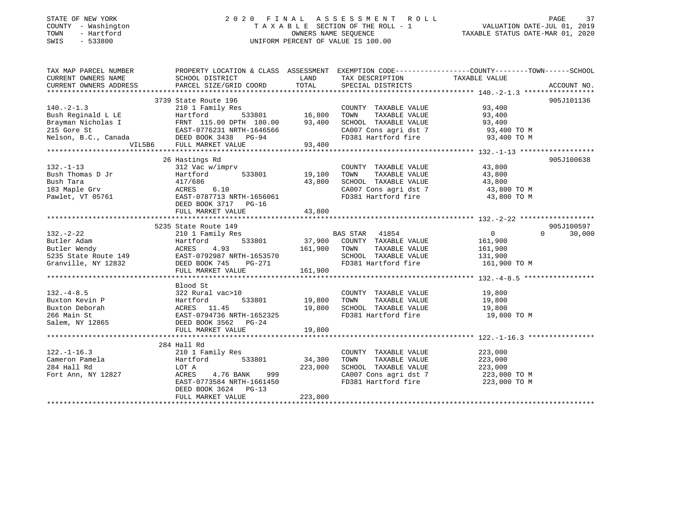# STATE OF NEW YORK 2 0 2 0 F I N A L A S S E S S M E N T R O L L PAGE 37COUNTY - Washington  $\begin{array}{ccc} 1 & 0 & 0 \\ -1 & 0 & 0 \end{array}$  T A X A B L E SECTION OF THE ROLL - 1 SWIS - 533800 UNIFORM PERCENT OF VALUE IS 100.00

VALUATION DATE-JUL 01, 2019

TAXABLE STATUS DATE-MAR 01, 2020

| TAX MAP PARCEL NUMBER                                                                                                                                                                                                                                                                                                                                                                                          |                                                                                                                                                                                                                                          |         |                                                                               | PROPERTY LOCATION & CLASS ASSESSMENT EXEMPTION CODE-----------------COUNTY-------TOWN------SCHOOL                                                                                                                                                                                                                                                                                                           |
|----------------------------------------------------------------------------------------------------------------------------------------------------------------------------------------------------------------------------------------------------------------------------------------------------------------------------------------------------------------------------------------------------------------|------------------------------------------------------------------------------------------------------------------------------------------------------------------------------------------------------------------------------------------|---------|-------------------------------------------------------------------------------|-------------------------------------------------------------------------------------------------------------------------------------------------------------------------------------------------------------------------------------------------------------------------------------------------------------------------------------------------------------------------------------------------------------|
| CURRENT OWNERS NAME SCHOOL DISTRICT                                                                                                                                                                                                                                                                                                                                                                            |                                                                                                                                                                                                                                          |         | LAND TAX DESCRIPTION TAXABLE VALUE                                            |                                                                                                                                                                                                                                                                                                                                                                                                             |
|                                                                                                                                                                                                                                                                                                                                                                                                                |                                                                                                                                                                                                                                          |         |                                                                               |                                                                                                                                                                                                                                                                                                                                                                                                             |
|                                                                                                                                                                                                                                                                                                                                                                                                                |                                                                                                                                                                                                                                          |         |                                                                               |                                                                                                                                                                                                                                                                                                                                                                                                             |
| 3739 State Route 196<br>210 1 Family Res<br>210 1 Family Res<br>210 1 Family Res<br>215 Gore St<br>215 Gore St<br>215 Gore St<br>215 Gore St<br>215 Gore St<br>215 Gore St<br>215 Gore St<br>215 Gore St<br>215 Gore St<br>215 Gore St<br>215 Gore St<br>215                                                                                                                                                   |                                                                                                                                                                                                                                          |         |                                                                               | 905J101136                                                                                                                                                                                                                                                                                                                                                                                                  |
|                                                                                                                                                                                                                                                                                                                                                                                                                |                                                                                                                                                                                                                                          |         |                                                                               |                                                                                                                                                                                                                                                                                                                                                                                                             |
|                                                                                                                                                                                                                                                                                                                                                                                                                |                                                                                                                                                                                                                                          |         |                                                                               |                                                                                                                                                                                                                                                                                                                                                                                                             |
|                                                                                                                                                                                                                                                                                                                                                                                                                |                                                                                                                                                                                                                                          |         |                                                                               |                                                                                                                                                                                                                                                                                                                                                                                                             |
|                                                                                                                                                                                                                                                                                                                                                                                                                |                                                                                                                                                                                                                                          |         |                                                                               |                                                                                                                                                                                                                                                                                                                                                                                                             |
|                                                                                                                                                                                                                                                                                                                                                                                                                |                                                                                                                                                                                                                                          |         | CA007 Cons agri dst 7 93,400 TO M<br>FD381 Hartford fire 93,400 TO M          |                                                                                                                                                                                                                                                                                                                                                                                                             |
|                                                                                                                                                                                                                                                                                                                                                                                                                | VIL5B6 FULL MARKET VALUE 93,400                                                                                                                                                                                                          |         |                                                                               |                                                                                                                                                                                                                                                                                                                                                                                                             |
|                                                                                                                                                                                                                                                                                                                                                                                                                |                                                                                                                                                                                                                                          |         |                                                                               |                                                                                                                                                                                                                                                                                                                                                                                                             |
|                                                                                                                                                                                                                                                                                                                                                                                                                | 26 Hastings Rd                                                                                                                                                                                                                           |         |                                                                               | 905J100638                                                                                                                                                                                                                                                                                                                                                                                                  |
| $\begin{array}{cccccccccccccccc} 132. -1-13 & 20 & 312 & \text{V} & \text{W} & \text{COMNTY} & \text{TAXABLE VALUE} & 43,800 \\ \text{Bush Thomas D Jr} & 312 & \text{V} & 533801 & 19,100 & \text{TOWN} & \text{TAXABLE VALUE} & 43,800 \\ \text{Bush Tara} & 417/686 & 533801 & 43,800 & \text{SCHOOL TAXABLE VALUE} & 43,800 \\ \text{183 Maple Grv} & \text{ACRES} & 6.10 & \text{CAO07 Cons agri dest 7}$ |                                                                                                                                                                                                                                          |         |                                                                               |                                                                                                                                                                                                                                                                                                                                                                                                             |
|                                                                                                                                                                                                                                                                                                                                                                                                                |                                                                                                                                                                                                                                          |         |                                                                               |                                                                                                                                                                                                                                                                                                                                                                                                             |
|                                                                                                                                                                                                                                                                                                                                                                                                                |                                                                                                                                                                                                                                          |         |                                                                               |                                                                                                                                                                                                                                                                                                                                                                                                             |
|                                                                                                                                                                                                                                                                                                                                                                                                                |                                                                                                                                                                                                                                          |         |                                                                               |                                                                                                                                                                                                                                                                                                                                                                                                             |
|                                                                                                                                                                                                                                                                                                                                                                                                                |                                                                                                                                                                                                                                          |         | CA007 Cons agri dst 7 <a><br/>FD381 Hartford fire <a><br/>43,800 TO M</a></a> |                                                                                                                                                                                                                                                                                                                                                                                                             |
|                                                                                                                                                                                                                                                                                                                                                                                                                |                                                                                                                                                                                                                                          |         |                                                                               |                                                                                                                                                                                                                                                                                                                                                                                                             |
|                                                                                                                                                                                                                                                                                                                                                                                                                | FULL MARKET VALUE                                                                                                                                                                                                                        | 43,800  |                                                                               |                                                                                                                                                                                                                                                                                                                                                                                                             |
|                                                                                                                                                                                                                                                                                                                                                                                                                |                                                                                                                                                                                                                                          |         |                                                                               |                                                                                                                                                                                                                                                                                                                                                                                                             |
|                                                                                                                                                                                                                                                                                                                                                                                                                |                                                                                                                                                                                                                                          |         |                                                                               | $\begin{tabular}{lllllllllllll} \textbf{132.}-2-22 & \textbf{5235 State Route 149} & \textbf{2101 Family Res} & \textbf{2101 Family Res} & \textbf{2101 Family Res} & \textbf{2101 Family Res} & \textbf{2101 Family Res} & \textbf{319.00} & \textbf{421.00} & \textbf{533801} & \textbf{533801} & \textbf{533801} & \textbf{537.900} & \textbf{161.900} & \textbf{161.900} & \textbf{161.900} & \textbf{$ |
|                                                                                                                                                                                                                                                                                                                                                                                                                |                                                                                                                                                                                                                                          |         |                                                                               |                                                                                                                                                                                                                                                                                                                                                                                                             |
|                                                                                                                                                                                                                                                                                                                                                                                                                |                                                                                                                                                                                                                                          |         |                                                                               |                                                                                                                                                                                                                                                                                                                                                                                                             |
|                                                                                                                                                                                                                                                                                                                                                                                                                |                                                                                                                                                                                                                                          |         |                                                                               |                                                                                                                                                                                                                                                                                                                                                                                                             |
|                                                                                                                                                                                                                                                                                                                                                                                                                |                                                                                                                                                                                                                                          |         |                                                                               |                                                                                                                                                                                                                                                                                                                                                                                                             |
|                                                                                                                                                                                                                                                                                                                                                                                                                |                                                                                                                                                                                                                                          |         |                                                                               |                                                                                                                                                                                                                                                                                                                                                                                                             |
|                                                                                                                                                                                                                                                                                                                                                                                                                |                                                                                                                                                                                                                                          |         |                                                                               |                                                                                                                                                                                                                                                                                                                                                                                                             |
|                                                                                                                                                                                                                                                                                                                                                                                                                |                                                                                                                                                                                                                                          |         |                                                                               |                                                                                                                                                                                                                                                                                                                                                                                                             |
|                                                                                                                                                                                                                                                                                                                                                                                                                | Blood St                                                                                                                                                                                                                                 |         |                                                                               |                                                                                                                                                                                                                                                                                                                                                                                                             |
|                                                                                                                                                                                                                                                                                                                                                                                                                |                                                                                                                                                                                                                                          |         |                                                                               |                                                                                                                                                                                                                                                                                                                                                                                                             |
|                                                                                                                                                                                                                                                                                                                                                                                                                |                                                                                                                                                                                                                                          |         |                                                                               |                                                                                                                                                                                                                                                                                                                                                                                                             |
|                                                                                                                                                                                                                                                                                                                                                                                                                |                                                                                                                                                                                                                                          |         |                                                                               |                                                                                                                                                                                                                                                                                                                                                                                                             |
|                                                                                                                                                                                                                                                                                                                                                                                                                |                                                                                                                                                                                                                                          |         |                                                                               | 19,800 TO M                                                                                                                                                                                                                                                                                                                                                                                                 |
|                                                                                                                                                                                                                                                                                                                                                                                                                |                                                                                                                                                                                                                                          |         |                                                                               |                                                                                                                                                                                                                                                                                                                                                                                                             |
| 132.-4-8.5<br>Buxton Kevin P<br>Buxton Deborah<br>266 Main St<br>266 Main St<br>266 Main St<br>266 Main St<br>266 Main St<br>266 Main St<br>266 Main St<br>266 Main St<br>266 Main St<br>266 Main St<br>266 Main St<br>266 Main St<br>266 Main St<br>266 Main                                                                                                                                                  |                                                                                                                                                                                                                                          |         |                                                                               |                                                                                                                                                                                                                                                                                                                                                                                                             |
|                                                                                                                                                                                                                                                                                                                                                                                                                |                                                                                                                                                                                                                                          |         |                                                                               |                                                                                                                                                                                                                                                                                                                                                                                                             |
|                                                                                                                                                                                                                                                                                                                                                                                                                | 284 Hall Rd                                                                                                                                                                                                                              |         |                                                                               |                                                                                                                                                                                                                                                                                                                                                                                                             |
| $122. - 1 - 16.3$                                                                                                                                                                                                                                                                                                                                                                                              |                                                                                                                                                                                                                                          |         |                                                                               |                                                                                                                                                                                                                                                                                                                                                                                                             |
| Cameron Pamela                                                                                                                                                                                                                                                                                                                                                                                                 |                                                                                                                                                                                                                                          |         |                                                                               |                                                                                                                                                                                                                                                                                                                                                                                                             |
| 284 Hall Rd                                                                                                                                                                                                                                                                                                                                                                                                    | 210 1 Family Res<br>223,000<br>Hartford 533801 34,300 TOWN TAXABLE VALUE 223,000<br>LOT A 223,000 SCHOOL TAXABLE VALUE 223,000<br>ACRES 4.76 BANK 999 CA007 Cons agri dst 7 223,000<br>EAST-0773584 NRTH-1661450 FD381 Hartford fire 223 |         |                                                                               |                                                                                                                                                                                                                                                                                                                                                                                                             |
| Fort Ann, NY 12827                                                                                                                                                                                                                                                                                                                                                                                             |                                                                                                                                                                                                                                          |         | CA007 Cons agri dst 7 223,000 TO M                                            |                                                                                                                                                                                                                                                                                                                                                                                                             |
|                                                                                                                                                                                                                                                                                                                                                                                                                |                                                                                                                                                                                                                                          |         |                                                                               | 223,000 TO M                                                                                                                                                                                                                                                                                                                                                                                                |
|                                                                                                                                                                                                                                                                                                                                                                                                                | DEED BOOK 3624 PG-13                                                                                                                                                                                                                     |         |                                                                               |                                                                                                                                                                                                                                                                                                                                                                                                             |
|                                                                                                                                                                                                                                                                                                                                                                                                                | FULL MARKET VALUE                                                                                                                                                                                                                        | 223,000 |                                                                               |                                                                                                                                                                                                                                                                                                                                                                                                             |
|                                                                                                                                                                                                                                                                                                                                                                                                                |                                                                                                                                                                                                                                          |         |                                                                               |                                                                                                                                                                                                                                                                                                                                                                                                             |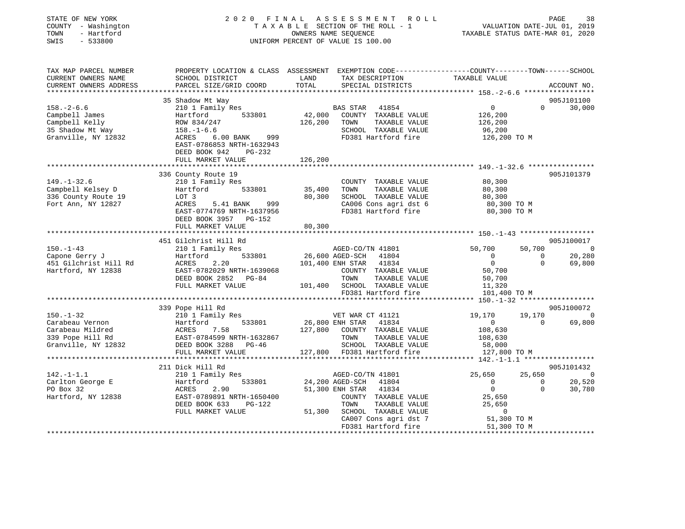| STATE OF NEW YORK<br>COUNTY - Washington<br>- Hartford<br>TOWN<br>$-533800$<br>SWIS                                                             |                                                                                                                                             |               | 2020 FINAL ASSESSMENT ROLL<br>TAXABLE SECTION OF THE ROLL - 1<br>OWNERS NAME SEQUENCE<br>UNIFORM PERCENT OF VALUE IS 100.00 | VALUATION DATE-JUL 01, 2019<br>TAXABLE STATUS DATE-MAR 01, 2020 | PAGE                                                                                                                                                                                                                                                                                                                                         | 38                       |
|-------------------------------------------------------------------------------------------------------------------------------------------------|---------------------------------------------------------------------------------------------------------------------------------------------|---------------|-----------------------------------------------------------------------------------------------------------------------------|-----------------------------------------------------------------|----------------------------------------------------------------------------------------------------------------------------------------------------------------------------------------------------------------------------------------------------------------------------------------------------------------------------------------------|--------------------------|
| TAX MAP PARCEL NUMBER<br>CURRENT OWNERS NAME<br>CURRENT OWNERS ADDRESS                                                                          | PROPERTY LOCATION & CLASS ASSESSMENT EXEMPTION CODE---------------COUNTY-------TOWN-----SCHOOL<br>SCHOOL DISTRICT<br>PARCEL SIZE/GRID COORD | LAND<br>TOTAL | TAX DESCRIPTION<br>SPECIAL DISTRICTS                                                                                        | TAXABLE VALUE                                                   | ACCOUNT NO.                                                                                                                                                                                                                                                                                                                                  |                          |
|                                                                                                                                                 |                                                                                                                                             |               |                                                                                                                             |                                                                 |                                                                                                                                                                                                                                                                                                                                              |                          |
|                                                                                                                                                 | 35 Shadow Mt Way                                                                                                                            |               |                                                                                                                             | $\overline{0}$                                                  | 905J101100                                                                                                                                                                                                                                                                                                                                   |                          |
| $158. - 2 - 6.6$<br>Campbell James                                                                                                              | 210 1 Family Res<br>533801<br>Hartford                                                                                                      |               | BAS STAR 41854<br>42,000 COUNTY TAXABLE VALUE                                                                               | 126,200                                                         | $0 \t30,000$                                                                                                                                                                                                                                                                                                                                 |                          |
|                                                                                                                                                 | ROW 834/247                                                                                                                                 | 126,200       | TOWN<br>TAXABLE VALUE                                                                                                       | 126,200                                                         |                                                                                                                                                                                                                                                                                                                                              |                          |
| Campbell Kelly<br>35 Shadow Mt Way<br>Cress in                                                                                                  | ROW 834/247<br>158.-1-6.6                                                                                                                   |               | SCHOOL TAXABLE VALUE                                                                                                        | 96,200                                                          |                                                                                                                                                                                                                                                                                                                                              |                          |
| Granville, NY 12832                                                                                                                             | ACRES 6.00 BANK<br>999<br>EAST-0786853 NRTH-1632943<br>DEED BOOK 942<br>PG-232<br>FULL MARKET VALUE                                         | 126,200       | FD381 Hartford fire                                                                                                         | 126,200 TO M                                                    |                                                                                                                                                                                                                                                                                                                                              |                          |
|                                                                                                                                                 |                                                                                                                                             |               |                                                                                                                             |                                                                 |                                                                                                                                                                                                                                                                                                                                              |                          |
|                                                                                                                                                 | 336 County Route 19                                                                                                                         |               |                                                                                                                             |                                                                 | 905J101379                                                                                                                                                                                                                                                                                                                                   |                          |
| $149. - 1 - 32.6$                                                                                                                               | 210 1 Family Res                                                                                                                            |               | COUNTY TAXABLE VALUE                                                                                                        | 80,300                                                          |                                                                                                                                                                                                                                                                                                                                              |                          |
| Campbell Kelsey D                                                                                                                               | 533801<br>Hartford                                                                                                                          | 35,400        | TOWN<br>TAXABLE VALUE                                                                                                       | 80,300                                                          |                                                                                                                                                                                                                                                                                                                                              |                          |
| 336 County Route 19                                                                                                                             | LOT 3                                                                                                                                       | 80,300        | SCHOOL TAXABLE VALUE                                                                                                        | 80,300                                                          |                                                                                                                                                                                                                                                                                                                                              |                          |
| Fort Ann, NY 12827                                                                                                                              | ACRES<br>999<br>5.41 BANK                                                                                                                   |               | CA006 Cons agri dst 6<br>FD381 Hartford fire                                                                                | 80,300 TO M                                                     |                                                                                                                                                                                                                                                                                                                                              |                          |
|                                                                                                                                                 | EAST-0774769 NRTH-1637956<br>DEED BOOK 3957 PG-152<br>FULL MARKET VALUE                                                                     | 80,300        |                                                                                                                             | 80,300 TO M                                                     |                                                                                                                                                                                                                                                                                                                                              |                          |
|                                                                                                                                                 |                                                                                                                                             |               |                                                                                                                             |                                                                 |                                                                                                                                                                                                                                                                                                                                              |                          |
|                                                                                                                                                 | 451 Gilchrist Hill Rd                                                                                                                       |               |                                                                                                                             |                                                                 | 905J100017                                                                                                                                                                                                                                                                                                                                   |                          |
| $150. - 1 - 43$                                                                                                                                 | 210 1 Family Res                                                                                                                            |               | AGED-CO/TN 41801                                                                                                            | 50,700                                                          | 50,700<br>$\sim$ 0                                                                                                                                                                                                                                                                                                                           |                          |
| Capone Gerry J                                                                                                                                  | 533801<br>Hartford                                                                                                                          |               | 26,600 AGED-SCH 41804                                                                                                       | $\overline{0}$                                                  | $\overline{0}$<br>20,280                                                                                                                                                                                                                                                                                                                     |                          |
| 451 Gilchrist Hill Rd                                                                                                                           | ACRES<br>2.20                                                                                                                               |               | 101,400 ENH STAR 41834                                                                                                      | $\overline{0}$                                                  | $\Omega$<br>69,800                                                                                                                                                                                                                                                                                                                           |                          |
| Hartford, NY 12838                                                                                                                              | EAST-0782029 NRTH-1639068                                                                                                                   |               | COUNTY TAXABLE VALUE                                                                                                        | 50,700                                                          |                                                                                                                                                                                                                                                                                                                                              |                          |
|                                                                                                                                                 | DEED BOOK 2852 PG-84                                                                                                                        |               | TOWN<br>TAXABLE VALUE                                                                                                       | 50,700                                                          |                                                                                                                                                                                                                                                                                                                                              |                          |
|                                                                                                                                                 | FULL MARKET VALUE                                                                                                                           |               | 101,400 SCHOOL TAXABLE VALUE<br>FD381 Hartford fire                                                                         | 11,320<br>101,400 TO M                                          |                                                                                                                                                                                                                                                                                                                                              |                          |
|                                                                                                                                                 |                                                                                                                                             |               |                                                                                                                             |                                                                 |                                                                                                                                                                                                                                                                                                                                              |                          |
|                                                                                                                                                 | 339 Pope Hill Rd                                                                                                                            |               |                                                                                                                             |                                                                 | 905J100072                                                                                                                                                                                                                                                                                                                                   |                          |
| $150. - 1 - 32$                                                                                                                                 | 210 1 Family Res                                                                                                                            |               | VET WAR CT 41121                                                                                                            | 19,170                                                          | 19,170                                                                                                                                                                                                                                                                                                                                       | $\overline{\phantom{0}}$ |
|                                                                                                                                                 |                                                                                                                                             |               | 26,800 ENH STAR 41834                                                                                                       | $\mathbf{0}$                                                    | 69,800<br>$\overline{0}$                                                                                                                                                                                                                                                                                                                     |                          |
|                                                                                                                                                 |                                                                                                                                             |               | 127,800 COUNTY TAXABLE VALUE                                                                                                | 108,630                                                         |                                                                                                                                                                                                                                                                                                                                              |                          |
|                                                                                                                                                 |                                                                                                                                             |               | TOWN<br>TAXABLE VALUE                                                                                                       | 108,630                                                         |                                                                                                                                                                                                                                                                                                                                              |                          |
| Carabeau Vernon<br>Carabeau Mildred<br>339 Pope Hill Rd<br>339 Pope Hill Rd<br>339 Pope Hill Rd<br>339 Pope Hill Rd<br>328 DEED BOOK 3288 PG-46 |                                                                                                                                             |               | SCHOOL TAXABLE VALUE                                                                                                        | 58,000                                                          |                                                                                                                                                                                                                                                                                                                                              |                          |
|                                                                                                                                                 | FULL MARKET VALUE<br>****************************                                                                                           |               | 127,800 FD381 Hartford fire                                                                                                 | 127,800 TO M                                                    |                                                                                                                                                                                                                                                                                                                                              |                          |
|                                                                                                                                                 | 211 Dick Hill Rd                                                                                                                            |               |                                                                                                                             |                                                                 | 905J101432                                                                                                                                                                                                                                                                                                                                   |                          |
| $142. - 1 - 1.1$                                                                                                                                | 210 1 Family Res                                                                                                                            |               | AGED-CO/TN 41801                                                                                                            | 25,650                                                          | 25,650<br>$\overline{a}$ and $\overline{a}$ and $\overline{a}$ and $\overline{a}$ and $\overline{a}$ and $\overline{a}$ and $\overline{a}$ and $\overline{a}$ and $\overline{a}$ and $\overline{a}$ and $\overline{a}$ and $\overline{a}$ and $\overline{a}$ and $\overline{a}$ and $\overline{a}$ and $\overline{a}$ and $\overline{a}$ and |                          |
| Carlton George E                                                                                                                                | 533801                                                                                                                                      |               | 24,200 AGED-SCH<br>41804                                                                                                    | $\overline{0}$                                                  | 20,520<br>$\Omega$                                                                                                                                                                                                                                                                                                                           |                          |
| PO Box 32                                                                                                                                       | Hartford<br>ACRES<br>2.90                                                                                                                   |               | 51,300 ENH STAR 41834                                                                                                       | $\overline{0}$                                                  | $\Omega$<br>30,780                                                                                                                                                                                                                                                                                                                           |                          |
| Hartford, NY 12838                                                                                                                              | EAST-0789891 NRTH-1650400                                                                                                                   |               | COUNTY TAXABLE VALUE                                                                                                        | 25,650                                                          |                                                                                                                                                                                                                                                                                                                                              |                          |
|                                                                                                                                                 | DEED BOOK 633<br>PG-122                                                                                                                     |               | TAXABLE VALUE<br>TOWN                                                                                                       | 25,650                                                          |                                                                                                                                                                                                                                                                                                                                              |                          |
|                                                                                                                                                 | FULL MARKET VALUE                                                                                                                           |               | 51,300 SCHOOL TAXABLE VALUE                                                                                                 | $\overline{0}$                                                  |                                                                                                                                                                                                                                                                                                                                              |                          |
|                                                                                                                                                 |                                                                                                                                             |               |                                                                                                                             |                                                                 |                                                                                                                                                                                                                                                                                                                                              |                          |
|                                                                                                                                                 |                                                                                                                                             |               | CA007 Cons agri dst 7                                                                                                       | 51,300 TO M<br>FD381 Hartford fire 51,300 TO M                  |                                                                                                                                                                                                                                                                                                                                              |                          |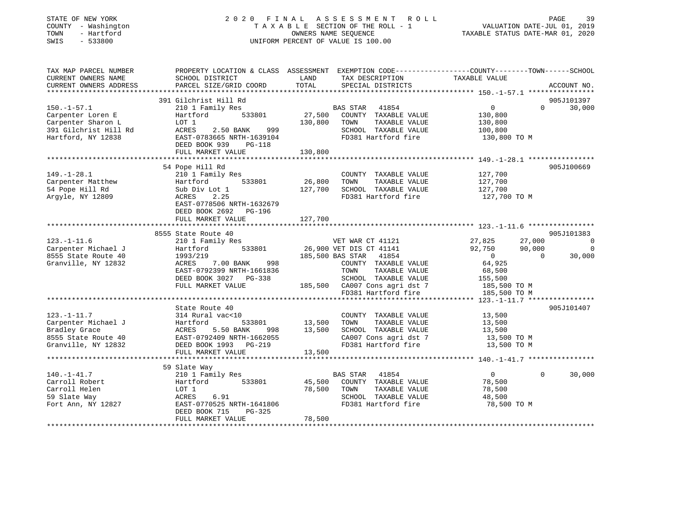### STATE OF NEW YORK 2 0 2 0 F I N A L A S S E S S M E N T R O L L PAGE 39 COUNTY - Washington T A X A B L E SECTION OF THE ROLL - 1 VALUATION DATE-JUL 01, 2019 TOWN - Hartford OWNERS NAME SEQUENCE TAXABLE STATUS DATE-MAR 01, 2020 SWIS - 533800 UNIFORM PERCENT OF VALUE IS 100.00

| TAX MAP PARCEL NUMBER                | PROPERTY LOCATION & CLASS ASSESSMENT EXEMPTION CODE---------------COUNTY-------TOWN-----SCHOOL                                                                                                                               |                                      |                                                                            |                         |                   |                |
|--------------------------------------|------------------------------------------------------------------------------------------------------------------------------------------------------------------------------------------------------------------------------|--------------------------------------|----------------------------------------------------------------------------|-------------------------|-------------------|----------------|
| CURRENT OWNERS NAME                  | SCHOOL DISTRICT                                                                                                                                                                                                              | LAND                                 | TAX DESCRIPTION                                                            | TAXABLE VALUE           |                   |                |
| CURRENT OWNERS ADDRESS               | PARCEL SIZE/GRID COORD                                                                                                                                                                                                       | TOTAL                                | SPECIAL DISTRICTS                                                          |                         |                   | ACCOUNT NO.    |
|                                      |                                                                                                                                                                                                                              |                                      |                                                                            |                         |                   | 905J101397     |
| $150. - 1 - 57.1$                    | 391 Gilchrist Hill Rd<br>210 1 Family Res                                                                                                                                                                                    |                                      | BAS STAR 41854                                                             | $\overline{0}$          | $0 \qquad \qquad$ | 30,000         |
| Carpenter Loren E                    | 533801<br>Hartford                                                                                                                                                                                                           |                                      | 27,500 COUNTY TAXABLE VALUE                                                | 130,800                 |                   |                |
| Carpenter Sharon L                   | LOT 1                                                                                                                                                                                                                        | 130,800 TOWN                         | TAXABLE VALUE                                                              | 130,800                 |                   |                |
|                                      | 2.50 BANK 999                                                                                                                                                                                                                |                                      | SCHOOL TAXABLE VALUE                                                       |                         |                   |                |
|                                      |                                                                                                                                                                                                                              |                                      | FD381 Hartford fire                                                        | 100,800<br>130,800 TO M |                   |                |
|                                      | Carpenter Sharon L<br>391 Gilchrist Hill Rd<br>391 Gilchrist Hill Rd<br>391 Gilchrist Hill Rd<br>391 Gilchrist Hill Rd<br>391 Gilchrist Hill Rd<br>391 Gilchrist Hill Rd<br>391 Gilchrist Hill Rd<br>DEED BOOK 939<br>PG-118 |                                      |                                                                            |                         |                   |                |
|                                      | FULL MARKET VALUE                                                                                                                                                                                                            | 130,800                              |                                                                            |                         |                   |                |
|                                      |                                                                                                                                                                                                                              |                                      |                                                                            |                         |                   |                |
|                                      | 54 Pope Hill Rd                                                                                                                                                                                                              |                                      |                                                                            |                         |                   | 905J100669     |
| $149. - 1 - 28.1$                    | 210 1 Family Res                                                                                                                                                                                                             |                                      | COUNTY TAXABLE VALUE 127,700                                               |                         |                   |                |
| Carpenter Matthew<br>54 Done Hill Rd | Hartford 533801                                                                                                                                                                                                              | 26,800 TOWN                          | TAXABLE VALUE                                                              | 127,700                 |                   |                |
|                                      | Sub Div Lot 1                                                                                                                                                                                                                |                                      | 127,700 SCHOOL TAXABLE VALUE                                               | 127,700                 |                   |                |
| Argyle, NY 12809                     | ACRES 2.25                                                                                                                                                                                                                   |                                      | FD381 Hartford fire 127,700 TO M                                           |                         |                   |                |
|                                      | EAST-0778506 NRTH-1632679                                                                                                                                                                                                    |                                      |                                                                            |                         |                   |                |
|                                      | DEED BOOK 2692 PG-196                                                                                                                                                                                                        |                                      |                                                                            |                         |                   |                |
|                                      | FULL MARKET VALUE                                                                                                                                                                                                            | 127,700                              |                                                                            |                         |                   |                |
|                                      |                                                                                                                                                                                                                              |                                      |                                                                            |                         |                   |                |
|                                      | 8555 State Route 40                                                                                                                                                                                                          |                                      |                                                                            |                         |                   | 905J101383     |
| $123. - 1 - 11.6$                    |                                                                                                                                                                                                                              |                                      |                                                                            | 27,825 27,000           |                   | $\sim$ 0       |
| Carpenter Michael J                  | 210 1 Family Res VET WAR CT 41121<br>Hartford 533801 26,900 VET DIS CT 41141                                                                                                                                                 |                                      |                                                                            | 92,750                  | 90,000            | $\overline{0}$ |
| 8555 State Route 40                  | 1993/219                                                                                                                                                                                                                     |                                      | 185,500 BAS STAR 41854                                                     | $\overline{0}$          | $\overline{0}$    | 30,000         |
| Granville, NY 12832                  | ACRES 7.00 BANK 998                                                                                                                                                                                                          |                                      | COUNTY TAXABLE VALUE                                                       | 64,925                  |                   |                |
|                                      | EAST-0792399 NRTH-1661836                                                                                                                                                                                                    |                                      | TOWN<br>TAXABLE VALUE                                                      | 68,500                  |                   |                |
|                                      | DEED BOOK 3027 PG-338                                                                                                                                                                                                        |                                      |                                                                            |                         |                   |                |
|                                      | FULL MARKET VALUE                                                                                                                                                                                                            |                                      | SCHOOL TAXABLE VALUE 155,500<br>185,500 CA007 Cons agri dst 7 185,500 TO M |                         |                   |                |
|                                      |                                                                                                                                                                                                                              |                                      | FD381 Hartford fire                                                        | 185,500 TO M            |                   |                |
|                                      |                                                                                                                                                                                                                              |                                      |                                                                            |                         |                   |                |
|                                      | State Route 40                                                                                                                                                                                                               |                                      |                                                                            |                         |                   | 905J101407     |
| $123. - 1 - 11.7$                    | 314 Rural vac<10                                                                                                                                                                                                             |                                      | COUNTY TAXABLE VALUE 13,500                                                |                         |                   |                |
|                                      |                                                                                                                                                                                                                              |                                      | TOWN<br>TAXABLE VALUE                                                      |                         |                   |                |
|                                      |                                                                                                                                                                                                                              | 0<br>533801 13,500<br>ANK 998 13,500 | SCHOOL TAXABLE VALUE                                                       | 13,500<br>13,500        |                   |                |
|                                      |                                                                                                                                                                                                                              |                                      | CA007 Cons agri dst 7 13,500 TO M                                          |                         |                   |                |
| Granville, NY 12832                  |                                                                                                                                                                                                                              |                                      | FD381 Hartford fire                                                        | 13,500 TO M             |                   |                |
|                                      | FULL MARKET VALUE                                                                                                                                                                                                            | 13,500                               |                                                                            |                         |                   |                |
|                                      |                                                                                                                                                                                                                              |                                      |                                                                            |                         |                   |                |
|                                      | 59 Slate Way                                                                                                                                                                                                                 |                                      |                                                                            |                         |                   |                |
| $140. - 1 - 41.7$                    | 210 1 Family Res                                                                                                                                                                                                             |                                      | BAS STAR 41854                                                             | $\overline{0}$          | $\Omega$          | 30,000         |
| Carroll Robert                       | Hartford 533801 45,500 COUNTY TAXABLE VALUE 78,500                                                                                                                                                                           |                                      |                                                                            |                         |                   |                |
| Carroll Helen                        | LOT 1                                                                                                                                                                                                                        | 78,500                               | TAXABLE VALUE<br>TOWN                                                      | 78,500                  |                   |                |
| 59 Slate Way                         | 6.91<br>ACRES                                                                                                                                                                                                                |                                      | SCHOOL TAXABLE VALUE                                                       | 48,500                  |                   |                |
| Fort Ann, NY 12827                   | EAST-0770525 NRTH-1641806                                                                                                                                                                                                    |                                      | FD381 Hartford fire                                                        | 78,500 TO M             |                   |                |
|                                      | PG-325<br>DEED BOOK 715                                                                                                                                                                                                      |                                      |                                                                            |                         |                   |                |
|                                      | FULL MARKET VALUE                                                                                                                                                                                                            | 78,500                               |                                                                            |                         |                   |                |
|                                      |                                                                                                                                                                                                                              |                                      |                                                                            |                         |                   |                |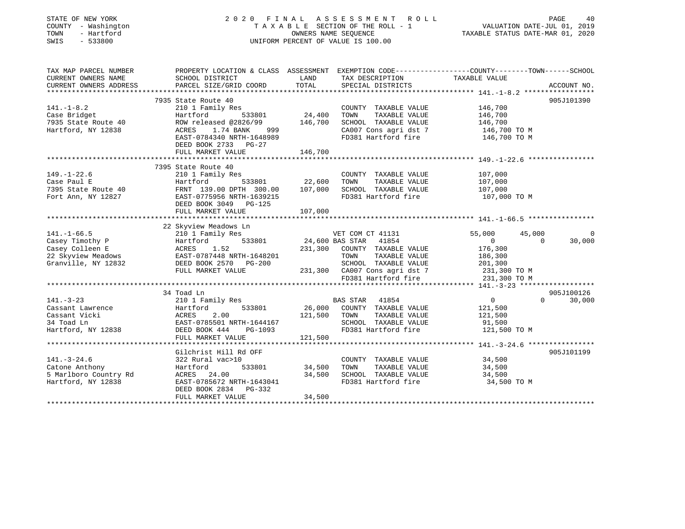| STATE OF NEW YORK<br>COUNTY - Washington<br>TOWN<br>- Hartford<br>SWIS<br>$-533800$ |                                                                                                  |                       | 2020 FINAL ASSESSMENT<br>R O L L<br>TAXABLE SECTION OF THE ROLL - 1<br>OWNERS NAME SEQUENCE<br>UNIFORM PERCENT OF VALUE IS 100.00 | VALUATION DATE-JUL 01, 2019<br>TAXABLE STATUS DATE-MAR 01, 2020 | PAGE     | 40          |
|-------------------------------------------------------------------------------------|--------------------------------------------------------------------------------------------------|-----------------------|-----------------------------------------------------------------------------------------------------------------------------------|-----------------------------------------------------------------|----------|-------------|
| TAX MAP PARCEL NUMBER                                                               | PROPERTY LOCATION & CLASS ASSESSMENT EXEMPTION CODE----------------COUNTY-------TOWN------SCHOOL |                       |                                                                                                                                   |                                                                 |          |             |
| CURRENT OWNERS NAME                                                                 | SCHOOL DISTRICT                                                                                  | LAND                  | TAX DESCRIPTION                                                                                                                   | TAXABLE VALUE                                                   |          |             |
| CURRENT OWNERS ADDRESS<br>**********************                                    | PARCEL SIZE/GRID COORD                                                                           | TOTAL                 | SPECIAL DISTRICTS                                                                                                                 |                                                                 |          | ACCOUNT NO. |
|                                                                                     |                                                                                                  |                       |                                                                                                                                   |                                                                 |          | 905J101390  |
| $141. - 1 - 8.2$                                                                    | 7935 State Route 40<br>210 1 Family Res                                                          |                       | COUNTY TAXABLE VALUE                                                                                                              | 146,700                                                         |          |             |
| Case Bridget                                                                        | Hartford<br>533801                                                                               | 24,400                | TOWN<br>TAXABLE VALUE                                                                                                             | 146,700                                                         |          |             |
| 7935 State Route 40                                                                 | ROW released @2826/99                                                                            | 146,700               | SCHOOL TAXABLE VALUE                                                                                                              | 146,700                                                         |          |             |
| Hartford, NY 12838                                                                  | ACRES<br>1.74 BANK<br>999                                                                        |                       | CA007 Cons agri dst 7                                                                                                             | 146,700 TO M                                                    |          |             |
|                                                                                     | EAST-0784340 NRTH-1648989                                                                        |                       | FD381 Hartford fire                                                                                                               | 146,700 TO M                                                    |          |             |
|                                                                                     | DEED BOOK 2733<br>$PG-27$                                                                        |                       |                                                                                                                                   |                                                                 |          |             |
|                                                                                     | FULL MARKET VALUE                                                                                | 146,700               |                                                                                                                                   |                                                                 |          |             |
|                                                                                     |                                                                                                  |                       |                                                                                                                                   |                                                                 |          |             |
|                                                                                     | 7395 State Route 40                                                                              |                       |                                                                                                                                   |                                                                 |          |             |
| $149. - 1 - 22.6$                                                                   | 210 1 Family Res                                                                                 |                       | COUNTY TAXABLE VALUE                                                                                                              | 107,000                                                         |          |             |
| Case Paul E                                                                         | Hartford<br>533801                                                                               | 22,600                | TAXABLE VALUE<br>TOWN                                                                                                             | 107,000                                                         |          |             |
| 7395 State Route 40                                                                 | FRNT 139.00 DPTH 300.00                                                                          | 107,000               | SCHOOL TAXABLE VALUE                                                                                                              | 107,000                                                         |          |             |
| Fort Ann, NY 12827                                                                  | EAST-0775956 NRTH-1639215<br>DEED BOOK 3049<br>$PG-125$                                          |                       | FD381 Hartford fire                                                                                                               | 107,000 TO M                                                    |          |             |
|                                                                                     | FULL MARKET VALUE                                                                                | 107,000<br>********** |                                                                                                                                   | ********************** 141.-1-66.5 ************                 |          |             |
|                                                                                     | 22 Skyview Meadows Ln                                                                            |                       |                                                                                                                                   |                                                                 |          |             |
| $141. - 1 - 66.5$                                                                   | 210 1 Family Res                                                                                 |                       | VET COM CT 41131                                                                                                                  | 55,000                                                          | 45,000   | $\Omega$    |
| Casey Timothy P                                                                     | 533801<br>Hartford                                                                               | 24,600 BAS STAR       | 41854                                                                                                                             | $\overline{0}$                                                  | $\Omega$ | 30,000      |
| Casey Colleen E                                                                     | 1.52<br>ACRES                                                                                    | 231,300               | COUNTY TAXABLE VALUE                                                                                                              | 176,300                                                         |          |             |
| 22 Skyview Meadows                                                                  | EAST-0787448 NRTH-1648201                                                                        |                       | TOWN<br>TAXABLE VALUE                                                                                                             | 186,300                                                         |          |             |
| Granville, NY 12832                                                                 | DEED BOOK 2570<br>PG-200                                                                         |                       | SCHOOL TAXABLE VALUE                                                                                                              | 201,300                                                         |          |             |
|                                                                                     | FULL MARKET VALUE                                                                                | 231,300               | CA007 Cons agri dst 7                                                                                                             | 231,300 TO M                                                    |          |             |
|                                                                                     |                                                                                                  |                       | FD381 Hartford fire                                                                                                               | 231,300 TO M                                                    |          |             |
|                                                                                     |                                                                                                  |                       |                                                                                                                                   |                                                                 |          |             |
|                                                                                     | 34 Toad Ln                                                                                       |                       |                                                                                                                                   |                                                                 |          | 905J100126  |
| $141. - 3 - 23$                                                                     | 210 1 Family Res                                                                                 |                       | <b>BAS STAR</b><br>41854                                                                                                          | $\overline{0}$                                                  | $\Omega$ | 30,000      |
| Cassant Lawrence                                                                    | 533801<br>Hartford                                                                               | 26,000                | COUNTY TAXABLE VALUE                                                                                                              | 121,500                                                         |          |             |
| Cassant Vicki                                                                       | 2.00<br>ACRES                                                                                    | 121,500               | TAXABLE VALUE<br>TOWN                                                                                                             | 121,500                                                         |          |             |
| 34 Toad Ln                                                                          | EAST-0785501 NRTH-1644167                                                                        |                       | SCHOOL TAXABLE VALUE                                                                                                              | 91,500                                                          |          |             |
| Hartford, NY 12838                                                                  | DEED BOOK 444<br>PG-1093                                                                         |                       | FD381 Hartford fire                                                                                                               | 121,500 TO M                                                    |          |             |
|                                                                                     | FULL MARKET VALUE                                                                                | 121,500               |                                                                                                                                   |                                                                 |          |             |
|                                                                                     | *************************                                                                        |                       |                                                                                                                                   |                                                                 |          |             |
|                                                                                     | Gilchrist Hill Rd OFF                                                                            |                       |                                                                                                                                   |                                                                 |          | 905J101199  |
| $141. - 3 - 24.6$<br>Catone Anthony                                                 | 322 Rural vac>10<br>Hartford<br>533801                                                           | 34,500                | COUNTY TAXABLE VALUE<br>TOWN<br>TAXABLE VALUE                                                                                     | 34,500<br>34,500                                                |          |             |
| 5 Marlboro Country Rd                                                               | ACRES 24.00                                                                                      | 34,500                | SCHOOL TAXABLE VALUE                                                                                                              | 34,500                                                          |          |             |
| Hartford, NY 12838                                                                  | EAST-0785672 NRTH-1643041                                                                        |                       | FD381 Hartford fire                                                                                                               | 34,500 TO M                                                     |          |             |
|                                                                                     | DEED BOOK 2834<br>PG-332                                                                         |                       |                                                                                                                                   |                                                                 |          |             |
|                                                                                     | FULL MARKET VALUE                                                                                | 34,500                |                                                                                                                                   |                                                                 |          |             |
|                                                                                     |                                                                                                  |                       |                                                                                                                                   |                                                                 |          |             |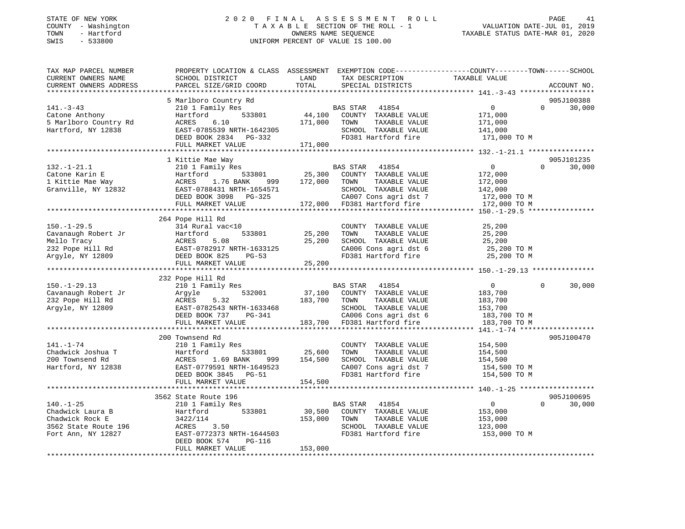#### STATE OF NEW YORK 2 0 2 0 F I N A L A S S E S S M E N T R O L L PAGE 41COUNTY - Washington T A X A B L E SECTION OF THE ROLL - 1 VALUATION DATE-JUL 01, 2019 TOWN - Hartford OWNERS NAME SEQUENCE TAXABLE STATUS DATE-MAR 01, 2020 SWIS - 533800 UNIFORM PERCENT OF VALUE IS 100.00

VALUATION DATE-JUL 01, 2019

| TAX MAP PARCEL NUMBER  | PROPERTY LOCATION & CLASS ASSESSMENT EXEMPTION CODE----------------COUNTY-------TOWN------SCHOOL |                  |                             |                |                    |
|------------------------|--------------------------------------------------------------------------------------------------|------------------|-----------------------------|----------------|--------------------|
| CURRENT OWNERS NAME    | SCHOOL DISTRICT                                                                                  | LAND             | TAX DESCRIPTION             | TAXABLE VALUE  |                    |
| CURRENT OWNERS ADDRESS | PARCEL SIZE/GRID COORD                                                                           | TOTAL            | SPECIAL DISTRICTS           |                | ACCOUNT NO.        |
|                        |                                                                                                  |                  |                             |                |                    |
|                        | 5 Marlboro Country Rd                                                                            |                  |                             |                | 905J100388         |
| $141. - 3 - 43$        | 210 1 Family Res                                                                                 |                  | BAS STAR 41854              | 0              | $\Omega$<br>30,000 |
| Catone Anthony         | 533801<br>Hartford                                                                               | 44,100           | COUNTY TAXABLE VALUE        | 171,000        |                    |
| 5 Marlboro Country Rd  | ACRES<br>6.10                                                                                    | 171,000          | TOWN<br>TAXABLE VALUE       | 171,000        |                    |
| Hartford, NY 12838     | EAST-0785539 NRTH-1642305<br>DEED BOOK 2834 PG-332                                               |                  | SCHOOL TAXABLE VALUE        | 141,000        |                    |
|                        |                                                                                                  |                  | FD381 Hartford fire         | 171,000 TO M   |                    |
|                        | FULL MARKET VALUE                                                                                | 171,000          |                             |                |                    |
|                        |                                                                                                  |                  |                             |                |                    |
|                        | 1 Kittie Mae Way                                                                                 |                  |                             |                | 905J101235         |
| $132. - 1 - 21.1$      | 210 1 Family Res                                                                                 |                  | BAS STAR 41854              | $\Omega$       | $\Omega$<br>30,000 |
| Catone Karin E         | 533801<br>Hartford                                                                               | 25,300           | COUNTY TAXABLE VALUE        | 172,000        |                    |
| 1 Kittie Mae Way       | ACRES 1.76 BANK                                                                                  | 999 172,000 TOWN | TAXABLE VALUE               | 172,000        |                    |
| Granville, NY 12832    | EAST-0788431 NRTH-1654571                                                                        |                  | SCHOOL TAXABLE VALUE        | 142,000        |                    |
|                        | DEED BOOK 3098 PG-325                                                                            |                  | CA007 Cons agri dst 7       | 172,000 TO M   |                    |
|                        | FULL MARKET VALUE                                                                                |                  | 172,000 FD381 Hartford fire | 172,000 TO M   |                    |
|                        |                                                                                                  |                  |                             |                |                    |
|                        | 264 Pope Hill Rd                                                                                 |                  |                             |                |                    |
| $150. - 1 - 29.5$      | 314 Rural vac<10                                                                                 |                  | COUNTY TAXABLE VALUE        | 25,200         |                    |
| Cavanaugh Robert Jr    | 533801<br>Hartford                                                                               | 25,200           | TOWN<br>TAXABLE VALUE       | 25,200         |                    |
| Mello Tracy            | ACRES<br>5.08                                                                                    | 25,200           | SCHOOL TAXABLE VALUE        | 25,200         |                    |
| 232 Pope Hill Rd       | EAST-0782917 NRTH-1633125                                                                        |                  | CA006 Cons agri dst 6       | 25,200 TO M    |                    |
| Argyle, NY 12809       | DEED BOOK 825<br>PG-53                                                                           |                  | FD381 Hartford fire         | 25,200 TO M    |                    |
|                        | FULL MARKET VALUE                                                                                | 25,200           |                             |                |                    |
|                        |                                                                                                  |                  |                             |                |                    |
|                        | 232 Pope Hill Rd                                                                                 |                  |                             |                |                    |
| $150.-1-29.13$         | 210 1 Family Res                                                                                 |                  | BAS STAR 41854              | $\overline{0}$ | $\Omega$<br>30,000 |
| Cavanaugh Robert Jr    | 532001<br>Argyle                                                                                 | 37,100           | COUNTY TAXABLE VALUE        | 183,700        |                    |
| 232 Pope Hill Rd       | 5.32<br>ACRES                                                                                    | 183,700          | TOWN<br>TAXABLE VALUE       | 183,700        |                    |
| Argyle, NY 12809       | EAST-0782543 NRTH-1633468                                                                        |                  | SCHOOL TAXABLE VALUE        | 153,700        |                    |
|                        | DEED BOOK 737 PG-341                                                                             |                  | CA006 Cons agri dst 6       | 183,700 TO M   |                    |
|                        | FULL MARKET VALUE                                                                                | 183,700          | FD381 Hartford fire         | 183,700 TO M   |                    |
|                        | ***************************                                                                      |                  |                             |                |                    |
|                        | 200 Townsend Rd                                                                                  |                  |                             |                | 905J100470         |
| $141. - 1 - 74$        | 210 1 Family Res                                                                                 |                  | COUNTY TAXABLE VALUE        | 154,500        |                    |
| Chadwick Joshua T      | Hartford                                                                                         | 533801 25,600    | TOWN<br>TAXABLE VALUE       | 154,500        |                    |
| 200 Townsend Rd        | ACRES<br>1.69 BANK                                                                               | 999 154,500      | SCHOOL TAXABLE VALUE        | 154,500        |                    |
| Hartford, NY 12838     | EAST-0779591 NRTH-1649523                                                                        |                  | CA007 Cons agri dst 7       | 154,500 TO M   |                    |
|                        | DEED BOOK 3845 PG-51                                                                             |                  | FD381 Hartford fire         | 154,500 TO M   |                    |
|                        | FULL MARKET VALUE                                                                                | 154,500          |                             |                |                    |
|                        |                                                                                                  |                  |                             |                |                    |
|                        | 3562 State Route 196                                                                             |                  |                             |                | 905J100695         |
| $140. - 1 - 25$        | 210 1 Family Res                                                                                 |                  | BAS STAR<br>41854           | $\overline{0}$ | $\Omega$<br>30,000 |
| Chadwick Laura B       | Hartford 533801                                                                                  | 30,500           | COUNTY TAXABLE VALUE        | 153,000        |                    |
| Chadwick Rock E        | 3422/114                                                                                         | 153,000          | TOWN<br>TAXABLE VALUE       | 153,000        |                    |
| 3562 State Route 196   | ACRES<br>3.50                                                                                    |                  | SCHOOL TAXABLE VALUE        | 123,000        |                    |
| Fort Ann, NY 12827     | EAST-0772373 NRTH-1644503                                                                        |                  | FD381 Hartford fire         | 153,000 TO M   |                    |
|                        | DEED BOOK 574<br>PG-116                                                                          |                  |                             |                |                    |
|                        | FULL MARKET VALUE                                                                                | 153,000          |                             |                |                    |
|                        |                                                                                                  |                  |                             |                |                    |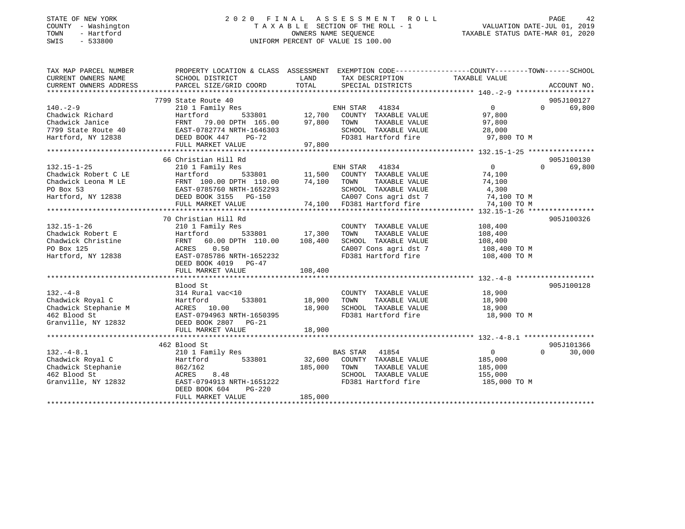### STATE OF NEW YORK 2 0 2 0 F I N A L A S S E S S M E N T R O L L PAGE 42 COUNTY - Washington T A X A B L E SECTION OF THE ROLL - 1 VALUATION DATE-JUL 01, 2019 TOWN - Hartford OWNERS NAME SEQUENCE TAXABLE STATUS DATE-MAR 01, 2020 SWIS - 533800 UNIFORM PERCENT OF VALUE IS 100.00

| TAX MAP PARCEL NUMBER                                                                                                                                                                                                                                | PROPERTY LOCATION & CLASS ASSESSMENT EXEMPTION CODE---------------COUNTY-------TOWN-----SCHOOL |         |                                                               |                |                    |
|------------------------------------------------------------------------------------------------------------------------------------------------------------------------------------------------------------------------------------------------------|------------------------------------------------------------------------------------------------|---------|---------------------------------------------------------------|----------------|--------------------|
| CURRENT OWNERS NAME                                                                                                                                                                                                                                  | SCHOOL DISTRICT                                                                                | LAND    | TAX DESCRIPTION                                               | TAXABLE VALUE  |                    |
| CURRENT OWNERS ADDRESS                                                                                                                                                                                                                               | PARCEL SIZE/GRID COORD TOTAL                                                                   |         | SPECIAL DISTRICTS                                             |                | ACCOUNT NO.        |
|                                                                                                                                                                                                                                                      |                                                                                                |         |                                                               |                |                    |
|                                                                                                                                                                                                                                                      | 7799 State Route 40                                                                            |         |                                                               |                | 905J100127         |
| $140. -2 - 9$                                                                                                                                                                                                                                        |                                                                                                |         |                                                               | $\overline{0}$ | 0 69,800           |
| Chadwick Richard                                                                                                                                                                                                                                     | Hartford                                                                                       |         |                                                               | 97,800         |                    |
|                                                                                                                                                                                                                                                      |                                                                                                |         | TAXABLE VALUE 97,800                                          |                |                    |
|                                                                                                                                                                                                                                                      |                                                                                                |         |                                                               | 28,000         |                    |
|                                                                                                                                                                                                                                                      |                                                                                                |         | SCHOOL TAXABLE VALUE<br>FD381 Hartford fire                   | 97,800 TO M    |                    |
| Chadwick Janice<br>Chadwick Janice<br>7799 State Route 40<br>Hartford, NY 12838<br>FULL MARKET VALUE<br>FULL MARKET VALUE<br>97,800<br>97,800<br>97,800<br>FULL MARKET VALUE<br>97,800                                                               |                                                                                                |         |                                                               |                |                    |
|                                                                                                                                                                                                                                                      |                                                                                                |         |                                                               |                |                    |
|                                                                                                                                                                                                                                                      | 66 Christian Hill Rd                                                                           |         |                                                               |                | 905J100130         |
|                                                                                                                                                                                                                                                      |                                                                                                |         |                                                               |                | $\Omega$<br>69,800 |
|                                                                                                                                                                                                                                                      |                                                                                                |         |                                                               |                |                    |
|                                                                                                                                                                                                                                                      |                                                                                                |         |                                                               |                |                    |
|                                                                                                                                                                                                                                                      |                                                                                                |         |                                                               |                |                    |
|                                                                                                                                                                                                                                                      |                                                                                                |         |                                                               |                |                    |
|                                                                                                                                                                                                                                                      |                                                                                                |         |                                                               |                |                    |
|                                                                                                                                                                                                                                                      |                                                                                                |         |                                                               |                |                    |
|                                                                                                                                                                                                                                                      | 70 Christian Hill Rd                                                                           |         |                                                               |                | 905J100326         |
| $132.15 - 1 - 26$                                                                                                                                                                                                                                    | 210 1 Family Res                                                                               |         | COUNTY TAXABLE VALUE 108,400                                  |                |                    |
| Chadwick Robert E                                                                                                                                                                                                                                    | Hartford 533801 17,300<br>FRNT 60.00 DPTH 110.00 108,400                                       |         | TAXABLE VALUE<br>TOWN                                         | 108,400        |                    |
| Chadwick Christine                                                                                                                                                                                                                                   |                                                                                                |         | SCHOOL TAXABLE VALUE                                          | 108,400        |                    |
| PO Box 125                                                                                                                                                                                                                                           | ACRES 0.50                                                                                     |         | CA007 Cons agri dst 7 108,400 TO M                            |                |                    |
| Hartford, NY 12838                                                                                                                                                                                                                                   | EAST-0785786 NRTH-1652232                                                                      |         | FD381 Hartford fire                                           | 108,400 TO M   |                    |
|                                                                                                                                                                                                                                                      | DEED BOOK 4019 PG-47                                                                           |         |                                                               |                |                    |
|                                                                                                                                                                                                                                                      |                                                                                                |         |                                                               |                |                    |
|                                                                                                                                                                                                                                                      |                                                                                                |         |                                                               |                |                    |
|                                                                                                                                                                                                                                                      | Blood St                                                                                       |         |                                                               |                | 905J100128         |
|                                                                                                                                                                                                                                                      |                                                                                                |         |                                                               |                |                    |
|                                                                                                                                                                                                                                                      | 314 Rural vac<10 COUNT<br>Hartford 533801 18,900 TOWN                                          |         | COUNTY TAXABLE VALUE 18,900<br>TOWN      TAXABLE VALUE 18,900 |                |                    |
|                                                                                                                                                                                                                                                      |                                                                                                |         | SCHOOL TAXABLE VALUE 18,900                                   |                |                    |
|                                                                                                                                                                                                                                                      | ACRES 10.00 18,900<br>EAST-0794963 NRTH-1650395 18,900                                         |         | FD381 Hartford fire                                           | 18,900 TO M    |                    |
| $\begin{tabular}{llllllll} 132.-4-8 & 314 Rural vacChadwick Royal C & Hartford \\ Chadwick Stephennie M & ACRES & 10.00 \\ 462 Blood St & EAST-0794963 N & Granville, NY & 12832 & DEED BOOK & 2807 \\ \end{tabular}$                                | DEED BOOK 2807 PG-21                                                                           |         |                                                               |                |                    |
|                                                                                                                                                                                                                                                      | FULL MARKET VALUE                                                                              | 18,900  |                                                               |                |                    |
|                                                                                                                                                                                                                                                      |                                                                                                |         |                                                               |                |                    |
|                                                                                                                                                                                                                                                      | 462 Blood St                                                                                   |         |                                                               |                | 905J101366         |
|                                                                                                                                                                                                                                                      |                                                                                                |         |                                                               | $\overline{0}$ | $0 \t 30,000$      |
| 132.-4-8.1<br>Chadwick Royal C<br>Chadwick Stephanie<br>Chadwick Stephanie<br>210 1 Family Res<br>32,600 COUNTY TAXABLE VALUE<br>210 1 Family Res<br>533801<br>232,600 COUNTY TAXABLE VALUE<br>262/162<br>285,000 TOWN TAXABLE VALUE<br>285,000 TOWN |                                                                                                |         |                                                               | 185,000        |                    |
|                                                                                                                                                                                                                                                      |                                                                                                |         | TAXABLE VALUE 185,000                                         |                |                    |
|                                                                                                                                                                                                                                                      |                                                                                                |         | SCHOOL TAXABLE VALUE 155,000                                  |                |                    |
|                                                                                                                                                                                                                                                      |                                                                                                |         |                                                               | 185,000 TO M   |                    |
|                                                                                                                                                                                                                                                      | DEED BOOK 604<br><b>PG-220</b>                                                                 |         |                                                               |                |                    |
|                                                                                                                                                                                                                                                      | FULL MARKET VALUE                                                                              | 185,000 |                                                               |                |                    |
|                                                                                                                                                                                                                                                      |                                                                                                |         |                                                               |                |                    |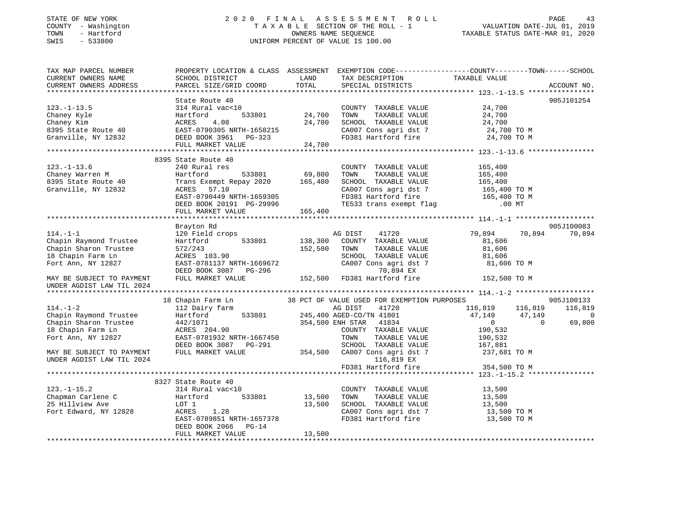## STATE OF NEW YORK 2 0 2 0 F I N A L A S S E S S M E N T R O L L PAGE 43 COUNTY - Washington T A X A B L E SECTION OF THE ROLL - 1 VALUATION DATE-JUL 01, 2019 TOWN - Hartford OWNERS NAME SEQUENCE TAXABLE STATUS DATE-MAR 01, 2020 SWIS - 533800 UNIFORM PERCENT OF VALUE IS 100.00

| TAX MAP PARCEL NUMBER<br>CURRENT OWNERS NAME                                                                 | PROPERTY LOCATION & CLASS ASSESSMENT EXEMPTION CODE----------------COUNTY-------TOWN------SCHOOL<br>SCHOOL DISTRICT                                                                        | LAND               | TAX DESCRIPTION                                                                                                                                                             | TAXABLE VALUE                                                 |                                         |
|--------------------------------------------------------------------------------------------------------------|--------------------------------------------------------------------------------------------------------------------------------------------------------------------------------------------|--------------------|-----------------------------------------------------------------------------------------------------------------------------------------------------------------------------|---------------------------------------------------------------|-----------------------------------------|
| CURRENT OWNERS ADDRESS                                                                                       | PARCEL SIZE/GRID COORD                                                                                                                                                                     | TOTAL              | SPECIAL DISTRICTS                                                                                                                                                           |                                                               | ACCOUNT NO.                             |
|                                                                                                              | State Route 40                                                                                                                                                                             |                    |                                                                                                                                                                             |                                                               | 905J101254                              |
| $123. - 1 - 13.5$<br>Chaney Kyle<br>Chaney Kim                                                               | 314 Rural vac<10<br>Hartford<br>533801<br>4.08<br>ACRES                                                                                                                                    | 24,700<br>24,700   | COUNTY TAXABLE VALUE<br>TOWN<br>TAXABLE VALUE<br>SCHOOL TAXABLE VALUE                                                                                                       | 24,700<br>24,700<br>24,700                                    |                                         |
| 8395 State Route 40<br>Granville, NY 12832                                                                   | EAST-0790305 NRTH-1658215<br>DEED BOOK 3961 PG-323<br>FULL MARKET VALUE                                                                                                                    | 24,700             | CA007 Cons agri dst 7<br>FD381 Hartford fire                                                                                                                                | 24,700 TO M<br>24,700 TO M                                    |                                         |
|                                                                                                              |                                                                                                                                                                                            |                    |                                                                                                                                                                             |                                                               |                                         |
| $123. - 1 - 13.6$<br>Chaney Warren M<br>8395 State Route 40<br>Granville, NY 12832                           | 8395 State Route 40<br>240 Rural res<br>Hartford<br>533801<br>Trans Exempt Repay 2020 165,400<br>ACRES 57.10<br>EAST-0790449 NRTH-1659305<br>DEED BOOK 20191 PG-29996<br>FULL MARKET VALUE | 69,800<br>165,400  | COUNTY TAXABLE VALUE<br>TOWN<br>TAXABLE VALUE<br>SCHOOL TAXABLE VALUE<br>CA007 Cons agri dst 7<br>FD381 Hartford fire 165,400 TO M<br>TE533 trans exempt flag 165,400 TO MT | 165,400<br>165,400<br>165,400<br>165,400 TO M                 |                                         |
|                                                                                                              |                                                                                                                                                                                            |                    |                                                                                                                                                                             |                                                               |                                         |
|                                                                                                              | Brayton Rd                                                                                                                                                                                 |                    |                                                                                                                                                                             |                                                               | 905J100083                              |
| $114. - 1 - 1$<br>Chapin Raymond Trustee<br>Chapin Sharon Trustee<br>18 Chapin Farm Ln<br>Fort Ann, NY 12827 | 120 Field crops<br>533801<br>Hartford<br>572/243<br>ACRES 103.90<br>EAST-0781137 NRTH-1669672<br>DEED BOOK 3087 PG-296                                                                     | 138,300<br>152,500 | 41720<br>AG DIST<br>COUNTY TAXABLE VALUE<br>TOWN<br>TAXABLE VALUE<br>SCHOOL TAXABLE VALUE<br>CA007 Cons agri dst 7<br>70,894 EX                                             | 70,894<br>70,894<br>81,606<br>81,606<br>81,606<br>81,606 TO M | 70,894                                  |
| MAY BE SUBJECT TO PAYMENT<br>UNDER AGDIST LAW TIL 2024                                                       | FULL MARKET VALUE                                                                                                                                                                          | 152,500            | FD381 Hartford fire                                                                                                                                                         | 152,500 TO M                                                  |                                         |
|                                                                                                              |                                                                                                                                                                                            |                    |                                                                                                                                                                             |                                                               |                                         |
| $114. - 1 - 2$<br>Chapin Raymond Trustee                                                                     | 18 Chapin Farm Ln<br>112 Dairy farm<br>Hartford<br>533801                                                                                                                                  |                    | 38 PCT OF VALUE USED FOR EXEMPTION PURPOSES<br>41720<br>AG DIST<br>245,400 AGED-CO/TN 41801                                                                                 | 116,819<br>116,819<br>47,149<br>47,149                        | 905J100133<br>116,819<br>$\overline{0}$ |
| Chapin Sharon Trustee<br>18 Chapin Farm Ln<br>Fort Ann, NY 12827                                             | 442/1071<br>ACRES 204.90<br>EAST-0781932 NRTH-1667450<br>DEED BOOK 3087 PG-291                                                                                                             |                    | 354,500 ENH STAR 41834<br>COUNTY TAXABLE VALUE<br>TOWN<br>TAXABLE VALUE<br>SCHOOL TAXABLE VALUE                                                                             | $\overline{0}$<br>$\Omega$<br>190,532<br>190,532<br>167,881   | 69,800                                  |
| MAY BE SUBJECT TO PAYMENT<br>UNDER AGDIST LAW TIL 2024                                                       | FULL MARKET VALUE                                                                                                                                                                          | 354,500            | CA007 Cons agri dst 7<br>116,819 EX<br>FD381 Hartford fire                                                                                                                  | 237,681 TO M<br>354,500 TO M                                  |                                         |
|                                                                                                              |                                                                                                                                                                                            |                    |                                                                                                                                                                             |                                                               |                                         |
| $123. - 1 - 15.2$<br>Chapman Carlene C<br>25 Hillview Ave<br>Fort Edward, NY 12828                           | 8327 State Route 40<br>314 Rural vac<10<br>Hartford<br>533801<br>LOT 1<br>ACRES<br>1.28<br>EAST-0789851 NRTH-1657378<br>DEED BOOK 2066<br>$PG-14$                                          | 13,500<br>13,500   | COUNTY TAXABLE VALUE<br>TAXABLE VALUE<br>TOWN<br>SCHOOL TAXABLE VALUE<br>CA007 Cons agri dst 7<br>FD381 Hartford fire                                                       | 13,500<br>13,500<br>13,500<br>13,500 TO M<br>13,500 TO M      |                                         |
|                                                                                                              | FULL MARKET VALUE                                                                                                                                                                          | 13,500             |                                                                                                                                                                             |                                                               |                                         |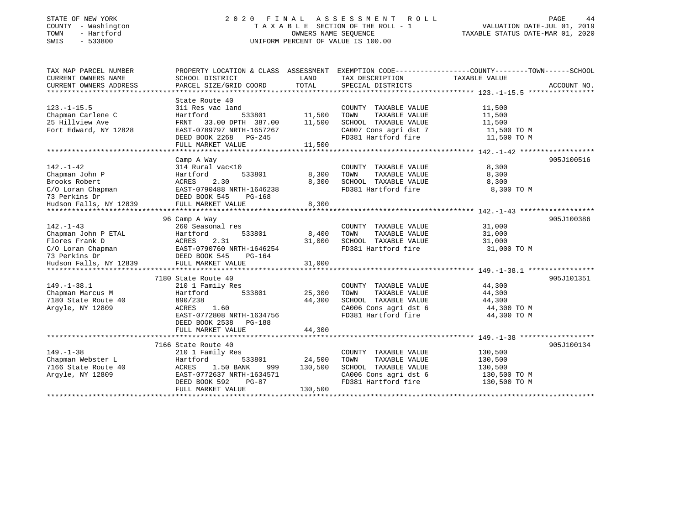### STATE OF NEW YORK 2 0 2 0 F I N A L A S S E S S M E N T R O L L PAGE 44 COUNTY - Washington T A X A B L E SECTION OF THE ROLL - 1 VALUATION DATE-JUL 01, 2019 TOWN - Hartford OWNERS NAME SEQUENCE TAXABLE STATUS DATE-MAR 01, 2020 SWIS - 533800 UNIFORM PERCENT OF VALUE IS 100.00

| TAX MAP PARCEL NUMBER                                 |                                                                                                                                                                    |         |                                   | PROPERTY LOCATION & CLASS ASSESSMENT EXEMPTION CODE---------------COUNTY-------TOWN------SCHOOL |  |
|-------------------------------------------------------|--------------------------------------------------------------------------------------------------------------------------------------------------------------------|---------|-----------------------------------|-------------------------------------------------------------------------------------------------|--|
| CURRENT OWNERS NAME                                   | SCHOOL DISTRICT                                                                                                                                                    | LAND    | TAX DESCRIPTION                   | TAXABLE VALUE                                                                                   |  |
| CURRENT OWNERS ADDRESS                                | PARCEL SIZE/GRID COORD                                                                                                                                             | TOTAL   | SPECIAL DISTRICTS                 | ACCOUNT NO.                                                                                     |  |
|                                                       |                                                                                                                                                                    |         |                                   |                                                                                                 |  |
|                                                       | State Route 40                                                                                                                                                     |         |                                   |                                                                                                 |  |
| $123. - 1 - 15.5$                                     | 311 Res vac land                                                                                                                                                   |         | COUNTY TAXABLE VALUE              | 11,500                                                                                          |  |
| Chapman Carlene C                                     | Hartford<br>533801                                                                                                                                                 | 11,500  | TOWN<br>TAXABLE VALUE             | 11,500                                                                                          |  |
| 25 Hillview Ave                                       | FRNT 33.00 DPTH 387.00                                                                                                                                             | 11,500  | SCHOOL TAXABLE VALUE              | 11,500                                                                                          |  |
| Fort Edward, NY 12828                                 | EAST-0789797 NRTH-1657267                                                                                                                                          |         | CA007 Cons agri dst 7             | 11,500 TO M                                                                                     |  |
|                                                       | DEED BOOK 2268 PG-245                                                                                                                                              |         | FD381 Hartford fire               | 11,500 TO M                                                                                     |  |
|                                                       | FULL MARKET VALUE                                                                                                                                                  | 11,500  |                                   |                                                                                                 |  |
|                                                       |                                                                                                                                                                    |         |                                   |                                                                                                 |  |
|                                                       | Camp A Way                                                                                                                                                         |         |                                   | 905J100516                                                                                      |  |
| $142. - 1 - 42$                                       | 314 Rural vac<10                                                                                                                                                   |         | COUNTY TAXABLE VALUE              | 8,300                                                                                           |  |
| Chapman John P                                        | 533801<br>Hartford                                                                                                                                                 | 8,300   | TOWN<br>TAXABLE VALUE             | 8,300                                                                                           |  |
| Brooks Robert                                         | ACRES 2.30                                                                                                                                                         | 8,300   | SCHOOL TAXABLE VALUE              | 8,300                                                                                           |  |
| C/O Loran Chapman                                     | EAST-0790488 NRTH-1646238                                                                                                                                          |         | FD381 Hartford fire               | 8,300 TO M                                                                                      |  |
|                                                       | PG-168                                                                                                                                                             |         |                                   |                                                                                                 |  |
| 73 Perkins Dr<br>Hudson Falls, NY 12839 FULL MARKET V | FULL MARKET VALUE                                                                                                                                                  | 8,300   |                                   |                                                                                                 |  |
|                                                       |                                                                                                                                                                    |         |                                   |                                                                                                 |  |
|                                                       | 96 Camp A Way                                                                                                                                                      |         |                                   | 905J100386                                                                                      |  |
| $142. - 1 - 43$                                       | 260 Seasonal res                                                                                                                                                   |         | COUNTY TAXABLE VALUE              | 31,000                                                                                          |  |
|                                                       | 142.-1-43<br>Chapman John P ETAL Hartford 533801<br>Flores Frank D ACRES 2.31<br>C/O Loran Chapman EAST-0790760 NRTH-1646254<br>T3 Perkins Dr DEED BOOK 545 PG-164 | 8,400   | TOWN<br>TAXABLE VALUE             | 31,000                                                                                          |  |
|                                                       |                                                                                                                                                                    | 31,000  | SCHOOL TAXABLE VALUE              | 31,000                                                                                          |  |
|                                                       |                                                                                                                                                                    |         | FD381 Hartford fire               | 31,000 TO M                                                                                     |  |
|                                                       |                                                                                                                                                                    |         |                                   |                                                                                                 |  |
| Hudson Falls, NY 12839                                | FULL MARKET VALUE                                                                                                                                                  | 31,000  |                                   |                                                                                                 |  |
|                                                       |                                                                                                                                                                    |         |                                   |                                                                                                 |  |
|                                                       | 7180 State Route 40                                                                                                                                                |         |                                   | 905J101351                                                                                      |  |
| $149. - 1 - 38.1$                                     | 210 1 Family Res                                                                                                                                                   |         | COUNTY TAXABLE VALUE              | 44,300                                                                                          |  |
| Chapman Marcus M                                      | 533801<br>Hartford                                                                                                                                                 | 25,300  | TOWN<br>TAXABLE VALUE             | 44,300                                                                                          |  |
| 7180 State Route 40                                   | 890/238                                                                                                                                                            | 44,300  | SCHOOL TAXABLE VALUE              | 44,300                                                                                          |  |
| Argyle, NY 12809                                      | 1.60<br>ACRES                                                                                                                                                      |         | CA006 Cons agri dst 6 44,300 TO M |                                                                                                 |  |
|                                                       | EAST-0772808 NRTH-1634756                                                                                                                                          |         | FD381 Hartford fire               | 44,300 TO M                                                                                     |  |
|                                                       | DEED BOOK 2538 PG-188                                                                                                                                              |         |                                   |                                                                                                 |  |
|                                                       | FULL MARKET VALUE                                                                                                                                                  | 44,300  |                                   |                                                                                                 |  |
|                                                       |                                                                                                                                                                    |         |                                   |                                                                                                 |  |
|                                                       | 7166 State Route 40                                                                                                                                                |         |                                   | 905J100134                                                                                      |  |
| $149. - 1 - 38$                                       | 210 1 Family Res                                                                                                                                                   |         | COUNTY TAXABLE VALUE              | 130,500                                                                                         |  |
| Chapman Webster L                                     | Hartford<br>533801                                                                                                                                                 | 24,500  | TOWN<br>TAXABLE VALUE             | 130,500                                                                                         |  |
| 7166 State Route 40                                   | ACRES 1.50 BANK<br>999                                                                                                                                             | 130,500 | SCHOOL TAXABLE VALUE              | 130,500                                                                                         |  |
| Argyle, NY 12809                                      | EAST-0772637 NRTH-1634571                                                                                                                                          |         | CA006 Cons agri dst 6             | 130,500 TO M                                                                                    |  |
|                                                       | DEED BOOK 592<br>PG-87                                                                                                                                             |         | FD381 Hartford fire 130,500 TO M  |                                                                                                 |  |
|                                                       | FULL MARKET VALUE                                                                                                                                                  | 130,500 |                                   |                                                                                                 |  |
|                                                       |                                                                                                                                                                    |         |                                   |                                                                                                 |  |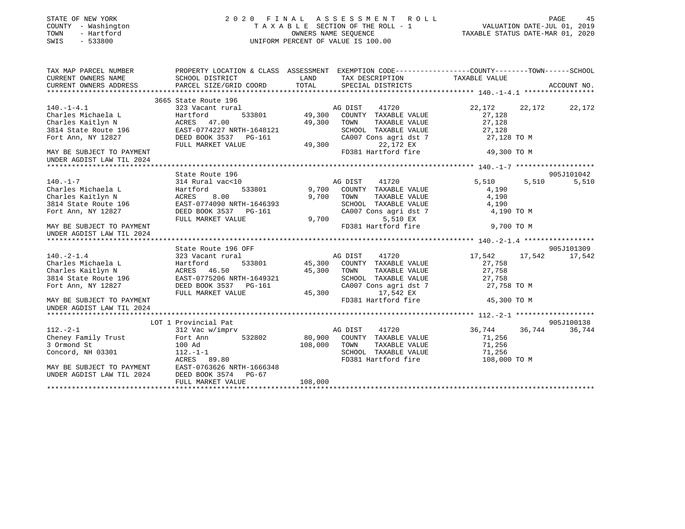| STATE OF NEW YORK<br>COUNTY - Washington<br>- Hartford<br>TOWN<br>SWIS<br>$-533800$ |                                                                                                                      | 2020 FINAL ASSESSMENT ROLL<br>UP TAXABLE SECTION OF THE ROLL - 1<br>TAXABLE SECTION OF THE ROLL - 1 VALUATION DATE-JUL 01, 2019<br>OWNERS NAME SEQUENCE TAXABLE STATUS DATE-MAR 01, 2020<br>UNIFORM PERCENT OF VALUE IS 100.00 |                                               |                  | PAGE<br>45    |
|-------------------------------------------------------------------------------------|----------------------------------------------------------------------------------------------------------------------|--------------------------------------------------------------------------------------------------------------------------------------------------------------------------------------------------------------------------------|-----------------------------------------------|------------------|---------------|
| TAX MAP PARCEL NUMBER<br>CURRENT OWNERS NAME                                        | PROPERTY LOCATION & CLASS ASSESSMENT EXEMPTION CODE-----------------COUNTY-------TOWN------SCHOOL<br>SCHOOL DISTRICT | LAND                                                                                                                                                                                                                           | TAX DESCRIPTION                               | TAXABLE VALUE    |               |
| CURRENT OWNERS ADDRESS                                                              | PARCEL SIZE/GRID COORD                                                                                               | TOTAL                                                                                                                                                                                                                          | SPECIAL DISTRICTS                             |                  | ACCOUNT NO.   |
|                                                                                     |                                                                                                                      |                                                                                                                                                                                                                                |                                               |                  |               |
| $140. - 1 - 4.1$                                                                    | 3665 State Route 196<br>323 Vacant rural                                                                             |                                                                                                                                                                                                                                | AG DIST<br>41720                              | 22,172           | 22,172 22,172 |
| Charles Michaela L                                                                  | 533801<br>Hartford                                                                                                   | 49,300                                                                                                                                                                                                                         | COUNTY TAXABLE VALUE                          | 27,128           |               |
| Charles Kaitlyn N                                                                   | ACRES 47.00                                                                                                          | 49,300                                                                                                                                                                                                                         | TOWN<br>TAXABLE VALUE                         | 27,128           |               |
| 3814 State Route 196                                                                | EAST-0774227 NRTH-1648121                                                                                            |                                                                                                                                                                                                                                | SCHOOL TAXABLE VALUE                          | 27,128           |               |
| Fort Ann, NY 12827                                                                  | DEED BOOK 3537 PG-161                                                                                                |                                                                                                                                                                                                                                | CA007 Cons agri dst 7                         | 27,128 TO M      |               |
|                                                                                     | FULL MARKET VALUE                                                                                                    | 49,300                                                                                                                                                                                                                         | 22,172 EX                                     |                  |               |
| MAY BE SUBJECT TO PAYMENT<br>UNDER AGDIST LAW TIL 2024                              |                                                                                                                      |                                                                                                                                                                                                                                | FD381 Hartford fire                           | 49,300 TO M      |               |
|                                                                                     |                                                                                                                      |                                                                                                                                                                                                                                |                                               |                  |               |
|                                                                                     | State Route 196                                                                                                      |                                                                                                                                                                                                                                |                                               |                  | 905J101042    |
| $140. - 1 - 7$                                                                      | 314 Rural vac<10                                                                                                     |                                                                                                                                                                                                                                | AG DIST<br>41720                              | 5,510<br>5,510   | 5,510         |
| Charles Michaela L                                                                  | 533801<br>Hartford                                                                                                   | 9,700                                                                                                                                                                                                                          | COUNTY TAXABLE VALUE                          | 4,190            |               |
| Charles Michaela D<br>Charles Kaitlyn N<br>- 196                                    | 8.00<br>ACRES                                                                                                        | 9,700                                                                                                                                                                                                                          | TOWN<br>TAXABLE VALUE                         | 4,190            |               |
| 3814 State Route 196                                                                | EAST-0774090 NRTH-1646393                                                                                            |                                                                                                                                                                                                                                | SCHOOL TAXABLE VALUE                          | 4,190            |               |
| Fort Ann, NY 12827                                                                  | DEED BOOK 3537 PG-161<br>FULL MARKET VALUE                                                                           |                                                                                                                                                                                                                                | CA007 Cons agri dst 7<br>9,700<br>5,510 EX    | 4,190 TO M       |               |
| MAY BE SUBJECT TO PAYMENT                                                           |                                                                                                                      |                                                                                                                                                                                                                                | FD381 Hartford fire                           | 9,700 TO M       |               |
| UNDER AGDIST LAW TIL 2024                                                           |                                                                                                                      |                                                                                                                                                                                                                                |                                               |                  |               |
|                                                                                     |                                                                                                                      |                                                                                                                                                                                                                                |                                               |                  |               |
|                                                                                     | State Route 196 OFF                                                                                                  |                                                                                                                                                                                                                                |                                               |                  | 905J101309    |
| $140. - 2 - 1.4$                                                                    | 323 Vacant rural                                                                                                     |                                                                                                                                                                                                                                | 41720<br>AG DIST                              | 17,542<br>17,542 | 17,542        |
| Charles Michaela L                                                                  | Hartford<br>533801                                                                                                   | 45,300                                                                                                                                                                                                                         | COUNTY TAXABLE VALUE                          | 27,758           |               |
| Charles Kaitlyn N                                                                   | ACRES 46.50                                                                                                          | 45,300                                                                                                                                                                                                                         | TAXABLE VALUE<br>TOWN                         | 27,758           |               |
| 3814 State Route 196                                                                | EAST-0775206 NRTH-1649321                                                                                            |                                                                                                                                                                                                                                | SCHOOL TAXABLE VALUE<br>CA007 Cons agri dst 7 | 27,758           |               |
| Fort Ann, NY 12827                                                                  | DEED BOOK 3537 PG-161<br>FULL MARKET VALUE                                                                           | 45,300                                                                                                                                                                                                                         | 17,542 EX                                     | 27,758 TO M      |               |
| MAY BE SUBJECT TO PAYMENT<br>UNDER AGDIST LAW TIL 2024                              |                                                                                                                      |                                                                                                                                                                                                                                | FD381 Hartford fire                           | 45,300 TO M      |               |
|                                                                                     |                                                                                                                      |                                                                                                                                                                                                                                |                                               |                  |               |
|                                                                                     | LOT 1 Provincial Pat                                                                                                 |                                                                                                                                                                                                                                |                                               |                  | 905J100138    |
| $112. - 2 - 1$                                                                      | 312 Vac w/imprv                                                                                                      |                                                                                                                                                                                                                                | 41720<br>AG DIST                              | 36,744<br>36,744 | 36,744        |
| Cheney Family Trust                                                                 | 532802<br>Fort Ann                                                                                                   | 80,900                                                                                                                                                                                                                         | COUNTY TAXABLE VALUE                          | 71,256           |               |
| 3 Ormond St                                                                         | 100 Ad                                                                                                               | 108,000                                                                                                                                                                                                                        | TOWN<br>TAXABLE VALUE                         | 71,256           |               |
| Concord, NH 03301                                                                   | $112.-1-1$                                                                                                           |                                                                                                                                                                                                                                | SCHOOL TAXABLE VALUE                          | 71,256           |               |
|                                                                                     | ACRES 89.80                                                                                                          |                                                                                                                                                                                                                                | FD381 Hartford fire                           | 108,000 TO M     |               |
| MAY BE SUBJECT TO PAYMENT<br>UNDER AGDIST LAW TIL 2024                              | EAST-0763626 NRTH-1666348                                                                                            |                                                                                                                                                                                                                                |                                               |                  |               |
|                                                                                     | DEED BOOK 3574<br>PG-67<br>FULL MARKET VALUE                                                                         | 108,000                                                                                                                                                                                                                        |                                               |                  |               |
|                                                                                     |                                                                                                                      |                                                                                                                                                                                                                                |                                               |                  |               |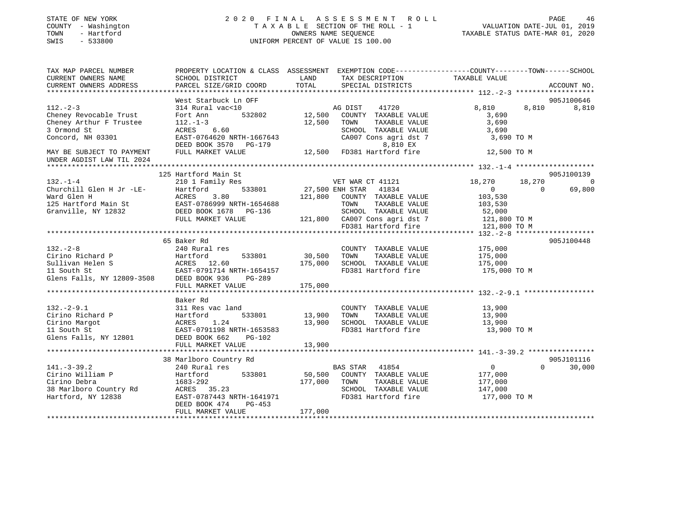| STATE OF NEW YORK<br>- Washington<br>COUNTY<br>- Hartford<br>TOWN<br>$-533800$<br>SWIS | 2020                                 | FINAL ASSESSMENT ROLL<br>T A X A B L E SECTION OF THE ROLL - 1 VALUATION DATE-JUL 01, 2019<br>OWNERS NAME SEQUENCE<br>UNIFORM PERCENT OF VALUE IS 100.00 | PAGE<br>46<br>TAXABLE STATUS DATE-MAR 01, 2020               |
|----------------------------------------------------------------------------------------|--------------------------------------|----------------------------------------------------------------------------------------------------------------------------------------------------------|--------------------------------------------------------------|
| TAX MAP PARCEL NUMBER                                                                  | PROPERTY LOCATION & CLASS ASSESSMENT |                                                                                                                                                          | EXEMPTION CODE-----------------COUNTY-------TOWN------SCHOOL |
| CURRENT OWNERS NAME                                                                    | SCHOOL DISTRICT                      | <b>LAND</b><br>TAX DESCRIPTION TAXABLE VALUE                                                                                                             |                                                              |
| CURRENT OWNERS ADDRESS                                                                 | PARCEL SIZE/GRID COORD TOTAL         | SPECIAL DISTRICTS                                                                                                                                        | ACCOUNT NO.                                                  |
|                                                                                        |                                      |                                                                                                                                                          |                                                              |
|                                                                                        | West Starbuck Ln OFF                 |                                                                                                                                                          | 905J100646                                                   |
| $112. - 2 - 3$                                                                         | 314 Rural vac<10                     | 41720<br>AG DIST                                                                                                                                         | 8,810<br>8,810<br>8,810                                      |
| Cheney Revocable Trust                                                                 | 532802<br>Fort Ann                   | 12,500<br>COUNTY<br>TAXABLE VALUE                                                                                                                        | 3,690                                                        |
| Cheney Arthur F Trustee $112.-1-3$                                                     |                                      | TAXABLE VALUE<br>12,500<br>TOWN                                                                                                                          | 3,690                                                        |
| 3 Ormond St                                                                            | ACRES 6.60                           | SCHOOL<br>TAXABLE VALUE                                                                                                                                  | 3,690                                                        |
| Concord, NH 03301                                                                      | EAST-0764620 NRTH-1667643            | CA007 Cons agri dst 7                                                                                                                                    | 3,690 TO M                                                   |
|                                                                                        | DEED BOOK 3570 PG-179                | 8,810 EX                                                                                                                                                 |                                                              |
| MAY BE SUBJECT TO PAYMENT                                                              | FULL MARKET VALUE                    | 12,500 FD381 Hartford fire                                                                                                                               | 12,500 TO M                                                  |
| UNDER AGDIST LAW TIL 2024                                                              |                                      |                                                                                                                                                          |                                                              |
|                                                                                        |                                      |                                                                                                                                                          |                                                              |
|                                                                                        | 125 Hartford Main St                 |                                                                                                                                                          | 905J100139                                                   |
| $132. -1 - 4$                                                                          | 210 1 Family Res                     | VET WAR CT 41121                                                                                                                                         | 18,270 18,270<br>$\overline{0}$                              |
| Churchill Glen H Jr -LE-                                                               | Hartford                             | 533801 27,500 ENH STAR 41834                                                                                                                             | $\overline{0}$<br>69,800<br>$\Omega$                         |
| Ward Glen H                                                                            | ACRES 3.80                           | 121,800<br>COUNTY<br>TAXABLE VALUE                                                                                                                       | 103,530                                                      |
| $1.25$ Up $x + f$ ord Moin Ct $F_1(x) = 0.706000$ NDTU $1.654600$                      |                                      | ™∩M™<br>סוז דגזו סופג עגידי                                                                                                                              | 102E20                                                       |

| Ward Glen H                                    | 3.80<br>ACRES                                                                      | 121,800 | COUNTY TAXABLE VALUE                       | 103,530      |                    |
|------------------------------------------------|------------------------------------------------------------------------------------|---------|--------------------------------------------|--------------|--------------------|
| 125 Hartford Main St EAST-0786999 NRTH-1654688 |                                                                                    |         | TOWN<br>TAXABLE VALUE                      | 103,530      |                    |
| Granville, NY 12832                            | DEED BOOK 1678 PG-136                                                              |         | SCHOOL TAXABLE VALUE 52,000                |              |                    |
|                                                | FULL MARKET VALUE                                                                  |         | 121,800 CA007 Cons agri dst 7 121,800 TO M |              |                    |
|                                                |                                                                                    |         | FD381 Hartford fire 121,800 TO M           |              |                    |
|                                                |                                                                                    |         |                                            |              |                    |
|                                                | 65 Baker Rd                                                                        |         |                                            |              | 905J100448         |
| $132 - 2 - 8$                                  | 240 Rural res                                                                      |         | COUNTY TAXABLE VALUE                       | 175,000      |                    |
| Hartford<br>Cirino Richard P                   | 533801 30,500                                                                      |         | TAXABLE VALUE<br>TOWN                      | 175,000      |                    |
| Sullivan Helen S                               | ACRES 12.60                                                                        | 175,000 | SCHOOL TAXABLE VALUE 175,000               |              |                    |
| 11 South St                                    | EAST-0791714 NRTH-1654157                                                          |         | FD381 Hartford fire                        | 175,000 TO M |                    |
| Glens Falls, NY 12809-3508 DEED BOOK 936       | PG-289                                                                             |         |                                            |              |                    |
|                                                | FULL MARKET VALUE                                                                  | 175,000 |                                            |              |                    |
|                                                |                                                                                    |         |                                            |              |                    |
|                                                | Baker Rd                                                                           |         |                                            |              |                    |
| $132. - 2 - 9.1$                               | 311 Res vac land                                                                   |         | COUNTY TAXABLE VALUE                       | 13,900       |                    |
| Cirino Richard P                               | 1 P<br>Hartford 533801<br>ACRES 1.24<br>EAST-0791198 NRTH-1653583<br>533801 13,900 |         | TOWN<br>TAXABLE VALUE                      | 13,900       |                    |
| Cirino Margot                                  |                                                                                    | 13,900  | SCHOOL TAXABLE VALUE                       | 13,900       |                    |
| 11 South St                                    |                                                                                    |         | FD381 Hartford fire                        | 13,900 TO M  |                    |
| Glens Falls, NY 12801 DEED BOOK 662            | $PG-102$                                                                           |         |                                            |              |                    |
|                                                | FULL MARKET VALUE                                                                  | 13,900  |                                            |              |                    |
|                                                |                                                                                    |         |                                            |              |                    |
|                                                | 38 Marlboro Country Rd                                                             |         |                                            |              | 905J101116         |
| $141. - 3 - 39.2$                              | 240 Rural res                                                                      |         | BAS STAR 41854                             | $\Omega$     | $\Omega$<br>30,000 |
| Cirino William P                               | Hartford 533801                                                                    |         | 50,500 COUNTY TAXABLE VALUE                | 177,000      |                    |
| Cirino Debra                                   | $1683 - 292$                                                                       | 177,000 | TOWN<br>TAXABLE VALUE 177,000              |              |                    |
| 38 Marlboro Country Rd                         | ACRES 35.23                                                                        |         | SCHOOL TAXABLE VALUE                       | 147,000      |                    |
| Hartford, NY 12838                             | EAST-0787443 NRTH-1641971                                                          |         | FD381 Hartford fire                        | 177,000 TO M |                    |
|                                                | DEED BOOK 474<br>$PG-453$                                                          |         |                                            |              |                    |
|                                                | FULL MARKET VALUE                                                                  | 177,000 |                                            |              |                    |
|                                                |                                                                                    |         |                                            |              |                    |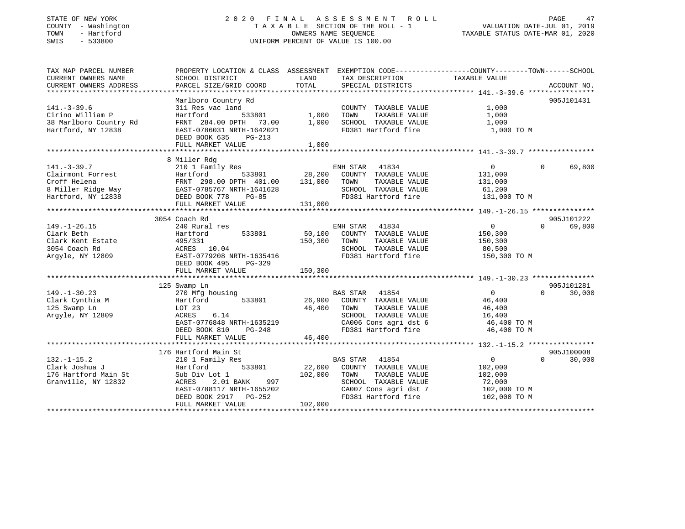### STATE OF NEW YORK 2 0 2 0 F I N A L A S S E S S M E N T R O L L PAGE 47 COUNTY - Washington T A X A B L E SECTION OF THE ROLL - 1 VALUATION DATE-JUL 01, 2019 TOWN - Hartford OWNERS NAME SEQUENCE TAXABLE STATUS DATE-MAR 01, 2020 SWIS - 533800 UNIFORM PERCENT OF VALUE IS 100.00UNIFORM PERCENT OF VALUE IS 100.00

| TAX MAP PARCEL NUMBER<br>CURRENT OWNERS NAME<br>CURRENT OWNERS ADDRESS             | PROPERTY LOCATION & CLASS ASSESSMENT EXEMPTION CODE----------------COUNTY-------TOWN------SCHOOL<br>SCHOOL DISTRICT<br>PARCEL SIZE/GRID COORD                      | LAND<br>TOTAL     | TAX DESCRIPTION<br>SPECIAL DISTRICTS                                                                                                              | TAXABLE VALUE                                                                | ACCOUNT NO.           |
|------------------------------------------------------------------------------------|--------------------------------------------------------------------------------------------------------------------------------------------------------------------|-------------------|---------------------------------------------------------------------------------------------------------------------------------------------------|------------------------------------------------------------------------------|-----------------------|
|                                                                                    |                                                                                                                                                                    |                   |                                                                                                                                                   |                                                                              |                       |
|                                                                                    | Marlboro Country Rd                                                                                                                                                |                   |                                                                                                                                                   |                                                                              | 905J101431            |
| $141. - 3 - 39.6$<br>Cirino William P<br>38 Marlboro Country Rd                    | 311 Res vac land<br>533801<br>Hartford<br>FRNT 284.00 DPTH 73.00                                                                                                   | 1,000<br>1,000    | COUNTY TAXABLE VALUE<br>TAXABLE VALUE<br>TOWN<br>SCHOOL TAXABLE VALUE                                                                             | 1,000<br>1,000<br>1,000                                                      |                       |
| Hartford, NY 12838                                                                 | EAST-0786031 NRTH-1642021<br>DEED BOOK 635<br>PG-213<br>FULL MARKET VALUE                                                                                          | 1,000             | FD381 Hartford fire                                                                                                                               | 1,000 TO M                                                                   |                       |
|                                                                                    |                                                                                                                                                                    |                   |                                                                                                                                                   |                                                                              |                       |
|                                                                                    | 8 Miller Rdg                                                                                                                                                       |                   |                                                                                                                                                   |                                                                              |                       |
| $141. - 3 - 39.7$<br>Clairmont Forrest<br>Croff Helena                             | 210 1 Family Res<br>Hartford<br>533801<br>FRNT 298.00 DPTH 401.00                                                                                                  | 28,200<br>131,000 | ENH STAR 41834<br>COUNTY TAXABLE VALUE<br>TOWN<br>TAXABLE VALUE                                                                                   | $\mathbf{0}$<br>131,000<br>131,000                                           | $\mathbf 0$<br>69,800 |
| 8 Miller Ridge Way<br>Hartford, NY 12838                                           | EAST-0785767 NRTH-1641628<br>DEED BOOK 778<br>$PG-85$                                                                                                              |                   | SCHOOL TAXABLE VALUE<br>FD381 Hartford fire                                                                                                       | 61,200<br>131,000 TO M                                                       |                       |
|                                                                                    | FULL MARKET VALUE                                                                                                                                                  | 131,000           |                                                                                                                                                   |                                                                              |                       |
|                                                                                    |                                                                                                                                                                    |                   |                                                                                                                                                   |                                                                              | 905J101222            |
| $149. - 1 - 26.15$                                                                 | 3054 Coach Rd<br>240 Rural res                                                                                                                                     |                   | 41834<br>ENH STAR                                                                                                                                 | $\overline{0}$                                                               | $\Omega$<br>69,800    |
| Clark Beth                                                                         | 533801<br>Hartford                                                                                                                                                 | 50,100            | COUNTY TAXABLE VALUE                                                                                                                              | 150,300                                                                      |                       |
| Clark Kent Estate                                                                  | 495/331                                                                                                                                                            | 150,300           | TOWN<br>TAXABLE VALUE                                                                                                                             | 150,300                                                                      |                       |
| 3054 Coach Rd                                                                      | ACRES 10.04                                                                                                                                                        |                   | SCHOOL TAXABLE VALUE                                                                                                                              | 80,500                                                                       |                       |
| Argyle, NY 12809                                                                   | EAST-0779208 NRTH-1635416<br>DEED BOOK 495<br>$PG-329$<br>FULL MARKET VALUE                                                                                        | 150,300           | FD381 Hartford fire                                                                                                                               | 150,300 TO M                                                                 |                       |
|                                                                                    |                                                                                                                                                                    |                   |                                                                                                                                                   |                                                                              |                       |
|                                                                                    | 125 Swamp Ln                                                                                                                                                       |                   |                                                                                                                                                   |                                                                              | 905J101281            |
| $149. - 1 - 30.23$<br>Clark Cynthia M<br>125 Swamp Ln<br>Argyle, NY 12809          | 270 Mfg housing<br>Hartford<br>533801<br>LOT 23<br>ACRES<br>6.14<br>EAST-0776848 NRTH-1635219<br>$PG-248$<br>DEED BOOK 810                                         | 26,900<br>46,400  | 41854<br>BAS STAR<br>COUNTY TAXABLE VALUE<br>TOWN<br>TAXABLE VALUE<br>SCHOOL TAXABLE VALUE<br>CA006 Cons agri dst 6<br>FD381 Hartford fire        | $\overline{0}$<br>46,400<br>46,400<br>16,400<br>46,400 TO M<br>46,400 TO M   | $\Omega$<br>30,000    |
|                                                                                    | FULL MARKET VALUE                                                                                                                                                  | 46,400            |                                                                                                                                                   |                                                                              |                       |
|                                                                                    |                                                                                                                                                                    |                   |                                                                                                                                                   |                                                                              | 905J100008            |
| $132. - 1 - 15.2$<br>Clark Joshua J<br>176 Hartford Main St<br>Granville, NY 12832 | 176 Hartford Main St<br>210 1 Family Res<br>533801<br>Hartford<br>Sub Div Lot 1<br>ACRES<br>2.01 BANK<br>997<br>EAST-0788117 NRTH-1655202<br>DEED BOOK 2917 PG-252 | 22,600<br>102,000 | 41854<br><b>BAS STAR</b><br>COUNTY TAXABLE VALUE<br>TAXABLE VALUE<br>TOWN<br>SCHOOL TAXABLE VALUE<br>CA007 Cons agri dst 7<br>FD381 Hartford fire | $\mathbf{0}$<br>102,000<br>102,000<br>72,000<br>102,000 TO M<br>102,000 TO M | $\Omega$<br>30,000    |
|                                                                                    | FULL MARKET VALUE                                                                                                                                                  | 102,000           |                                                                                                                                                   |                                                                              |                       |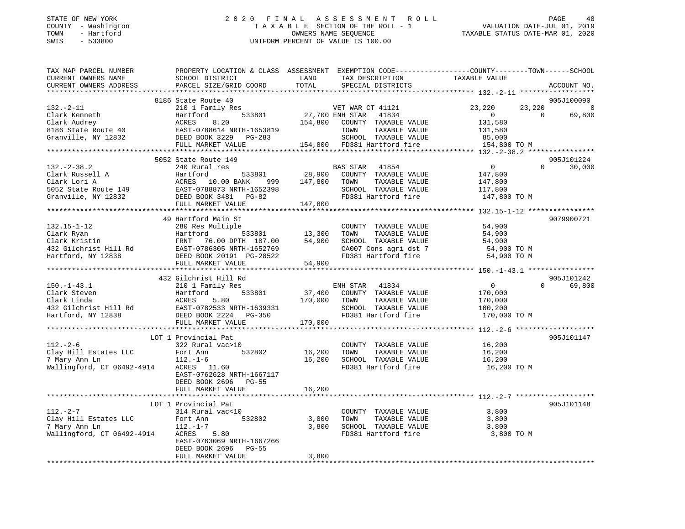### STATE OF NEW YORK 2 0 2 0 F I N A L A S S E S S M E N T R O L L PAGE 48 COUNTY - Washington T A X A B L E SECTION OF THE ROLL - 1 VALUATION DATE-JUL 01, 2019 TOWN - Hartford OWNERS NAME SEQUENCE TAXABLE STATUS DATE-MAR 01, 2020 SWIS - 533800 UNIFORM PERCENT OF VALUE IS 100.00

| TAXABLE VALUE<br>SCHOOL DISTRICT<br>LAND<br>TAX DESCRIPTION<br>TOTAL<br>PARCEL SIZE/GRID COORD<br>SPECIAL DISTRICTS<br>ACCOUNT NO.<br>905J100090<br>8186 State Route 40<br>210 1 Family Res<br>23,220<br>23,220<br>VET WAR CT 41121<br>$\overline{0}$<br>533801<br>27,700 ENH STAR<br>41834<br>Hartford<br>$\mathbf{0}$<br>$\Omega$<br>69,800<br>154,800<br>8.20<br>COUNTY TAXABLE VALUE<br>131,580<br>ACRES<br>EAST-0788614 NRTH-1653819<br>TOWN<br>TAXABLE VALUE<br>131,580<br>DEED BOOK 3229 PG-283<br>SCHOOL TAXABLE VALUE<br>85,000<br>FULL MARKET VALUE<br>154,800 TO M<br>5052 State Route 149<br>905J101224<br>$\overline{0}$<br>$\Omega$<br>30,000<br>240 Rural res<br><b>BAS STAR</b><br>41854<br>28,900<br>Hartford<br>533801<br>COUNTY TAXABLE VALUE<br>147,800<br>147,800<br>ACRES 10.00 BANK<br>TOWN<br>TAXABLE VALUE<br>147,800<br>999<br>EAST-0788873 NRTH-1652398<br>SCHOOL TAXABLE VALUE<br>117,800<br>DEED BOOK 3481 PG-82<br>FD381 Hartford fire<br>147,800 TO M<br>147,800<br>FULL MARKET VALUE<br>****************************<br>49 Hartford Main St<br>9079900721<br>$132.15 - 1 - 12$<br>54,900<br>280 Res Multiple<br>COUNTY TAXABLE VALUE<br>TAXABLE VALUE<br>Clark Ryan<br>Hartford<br>533801<br>13,300<br>TOWN<br>54,900<br>Clark Kristin<br>FRNT 76.00 DPTH 187.00<br>54,900<br>SCHOOL TAXABLE VALUE<br>54,900<br>432 Gilchrist Hill Rd<br>CA007 Cons agri dst 7<br>54,900 TO M<br>EAST-0786305 NRTH-1652769<br>FD381 Hartford fire<br>Hartford, NY 12838<br>DEED BOOK 20191 PG-28522<br>54,900 TO M<br>FULL MARKET VALUE<br>54,900<br>432 Gilchrist Hill Rd<br>905J101242<br>0<br>69,800<br>$150. - 1 - 43.1$<br>210 1 Family Res<br>ENH STAR<br>41834<br>$\Omega$<br>Clark Steven<br>Hartford<br>533801<br>37,400<br>COUNTY TAXABLE VALUE<br>170,000<br>5.80<br>170,000<br>TAXABLE VALUE<br>Clark Linda<br>ACRES<br>TOWN<br>170,000<br>432 Gilchrist Hill Rd<br>EAST-0782533 NRTH-1639331<br>SCHOOL TAXABLE VALUE<br>100,200<br>FD381 Hartford fire<br>Hartford, NY 12838<br>DEED BOOK 2224 PG-350<br>170,000 TO M<br>FULL MARKET VALUE<br>170,000<br>LOT 1 Provincial Pat<br>905J101147<br>$112. - 2 - 6$<br>16,200<br>322 Rural vac>10<br>COUNTY TAXABLE VALUE<br>Clay Hill Estates LLC<br>532802<br>16,200<br>TOWN<br>TAXABLE VALUE<br>16,200<br>Fort Ann<br>7 Mary Ann Ln<br>$112. - 1 - 6$<br>16,200<br>SCHOOL TAXABLE VALUE<br>16,200<br>Wallingford, CT 06492-4914<br>ACRES 11.60<br>FD381 Hartford fire<br>16,200 TO M<br>EAST-0762628 NRTH-1667117<br>DEED BOOK 2696 PG-55<br>16,200<br>FULL MARKET VALUE<br>905J101148<br>LOT 1 Provincial Pat<br>$112. - 2 - 7$<br>314 Rural vac<10<br>COUNTY TAXABLE VALUE<br>3,800<br>Clay Hill Estates LLC<br>Fort Ann<br>532802<br>3,800<br>TOWN<br>TAXABLE VALUE<br>3,800<br>7 Mary Ann Ln<br>$112. - 1 - 7$<br>3,800<br>SCHOOL TAXABLE VALUE<br>3,800<br>Wallingford, CT 06492-4914<br>ACRES<br>5.80<br>FD381 Hartford fire<br>3,800 TO M<br>EAST-0763069 NRTH-1667266<br>DEED BOOK 2696<br>$PG-55$<br>FULL MARKET VALUE<br>3,800 | TAX MAP PARCEL NUMBER  | PROPERTY LOCATION & CLASS ASSESSMENT EXEMPTION CODE----------------COUNTY-------TOWN------SCHOOL |  |  |
|--------------------------------------------------------------------------------------------------------------------------------------------------------------------------------------------------------------------------------------------------------------------------------------------------------------------------------------------------------------------------------------------------------------------------------------------------------------------------------------------------------------------------------------------------------------------------------------------------------------------------------------------------------------------------------------------------------------------------------------------------------------------------------------------------------------------------------------------------------------------------------------------------------------------------------------------------------------------------------------------------------------------------------------------------------------------------------------------------------------------------------------------------------------------------------------------------------------------------------------------------------------------------------------------------------------------------------------------------------------------------------------------------------------------------------------------------------------------------------------------------------------------------------------------------------------------------------------------------------------------------------------------------------------------------------------------------------------------------------------------------------------------------------------------------------------------------------------------------------------------------------------------------------------------------------------------------------------------------------------------------------------------------------------------------------------------------------------------------------------------------------------------------------------------------------------------------------------------------------------------------------------------------------------------------------------------------------------------------------------------------------------------------------------------------------------------------------------------------------------------------------------------------------------------------------------------------------------------------------------------------------------------------------------------------------------------------------------------------------------------------------------------------------------------------------------------------------------------------------------------------------------------------------------------------------------------------------------------------------------------------------------------|------------------------|--------------------------------------------------------------------------------------------------|--|--|
|                                                                                                                                                                                                                                                                                                                                                                                                                                                                                                                                                                                                                                                                                                                                                                                                                                                                                                                                                                                                                                                                                                                                                                                                                                                                                                                                                                                                                                                                                                                                                                                                                                                                                                                                                                                                                                                                                                                                                                                                                                                                                                                                                                                                                                                                                                                                                                                                                                                                                                                                                                                                                                                                                                                                                                                                                                                                                                                                                                                                                    | CURRENT OWNERS NAME    |                                                                                                  |  |  |
|                                                                                                                                                                                                                                                                                                                                                                                                                                                                                                                                                                                                                                                                                                                                                                                                                                                                                                                                                                                                                                                                                                                                                                                                                                                                                                                                                                                                                                                                                                                                                                                                                                                                                                                                                                                                                                                                                                                                                                                                                                                                                                                                                                                                                                                                                                                                                                                                                                                                                                                                                                                                                                                                                                                                                                                                                                                                                                                                                                                                                    | CURRENT OWNERS ADDRESS |                                                                                                  |  |  |
|                                                                                                                                                                                                                                                                                                                                                                                                                                                                                                                                                                                                                                                                                                                                                                                                                                                                                                                                                                                                                                                                                                                                                                                                                                                                                                                                                                                                                                                                                                                                                                                                                                                                                                                                                                                                                                                                                                                                                                                                                                                                                                                                                                                                                                                                                                                                                                                                                                                                                                                                                                                                                                                                                                                                                                                                                                                                                                                                                                                                                    |                        |                                                                                                  |  |  |
|                                                                                                                                                                                                                                                                                                                                                                                                                                                                                                                                                                                                                                                                                                                                                                                                                                                                                                                                                                                                                                                                                                                                                                                                                                                                                                                                                                                                                                                                                                                                                                                                                                                                                                                                                                                                                                                                                                                                                                                                                                                                                                                                                                                                                                                                                                                                                                                                                                                                                                                                                                                                                                                                                                                                                                                                                                                                                                                                                                                                                    |                        |                                                                                                  |  |  |
|                                                                                                                                                                                                                                                                                                                                                                                                                                                                                                                                                                                                                                                                                                                                                                                                                                                                                                                                                                                                                                                                                                                                                                                                                                                                                                                                                                                                                                                                                                                                                                                                                                                                                                                                                                                                                                                                                                                                                                                                                                                                                                                                                                                                                                                                                                                                                                                                                                                                                                                                                                                                                                                                                                                                                                                                                                                                                                                                                                                                                    | $132. - 2 - 11$        |                                                                                                  |  |  |
|                                                                                                                                                                                                                                                                                                                                                                                                                                                                                                                                                                                                                                                                                                                                                                                                                                                                                                                                                                                                                                                                                                                                                                                                                                                                                                                                                                                                                                                                                                                                                                                                                                                                                                                                                                                                                                                                                                                                                                                                                                                                                                                                                                                                                                                                                                                                                                                                                                                                                                                                                                                                                                                                                                                                                                                                                                                                                                                                                                                                                    | Clark Kenneth          |                                                                                                  |  |  |
|                                                                                                                                                                                                                                                                                                                                                                                                                                                                                                                                                                                                                                                                                                                                                                                                                                                                                                                                                                                                                                                                                                                                                                                                                                                                                                                                                                                                                                                                                                                                                                                                                                                                                                                                                                                                                                                                                                                                                                                                                                                                                                                                                                                                                                                                                                                                                                                                                                                                                                                                                                                                                                                                                                                                                                                                                                                                                                                                                                                                                    | Clark Audrey           |                                                                                                  |  |  |
|                                                                                                                                                                                                                                                                                                                                                                                                                                                                                                                                                                                                                                                                                                                                                                                                                                                                                                                                                                                                                                                                                                                                                                                                                                                                                                                                                                                                                                                                                                                                                                                                                                                                                                                                                                                                                                                                                                                                                                                                                                                                                                                                                                                                                                                                                                                                                                                                                                                                                                                                                                                                                                                                                                                                                                                                                                                                                                                                                                                                                    | 8186 State Route 40    |                                                                                                  |  |  |
|                                                                                                                                                                                                                                                                                                                                                                                                                                                                                                                                                                                                                                                                                                                                                                                                                                                                                                                                                                                                                                                                                                                                                                                                                                                                                                                                                                                                                                                                                                                                                                                                                                                                                                                                                                                                                                                                                                                                                                                                                                                                                                                                                                                                                                                                                                                                                                                                                                                                                                                                                                                                                                                                                                                                                                                                                                                                                                                                                                                                                    | Granville, NY 12832    |                                                                                                  |  |  |
|                                                                                                                                                                                                                                                                                                                                                                                                                                                                                                                                                                                                                                                                                                                                                                                                                                                                                                                                                                                                                                                                                                                                                                                                                                                                                                                                                                                                                                                                                                                                                                                                                                                                                                                                                                                                                                                                                                                                                                                                                                                                                                                                                                                                                                                                                                                                                                                                                                                                                                                                                                                                                                                                                                                                                                                                                                                                                                                                                                                                                    |                        |                                                                                                  |  |  |
|                                                                                                                                                                                                                                                                                                                                                                                                                                                                                                                                                                                                                                                                                                                                                                                                                                                                                                                                                                                                                                                                                                                                                                                                                                                                                                                                                                                                                                                                                                                                                                                                                                                                                                                                                                                                                                                                                                                                                                                                                                                                                                                                                                                                                                                                                                                                                                                                                                                                                                                                                                                                                                                                                                                                                                                                                                                                                                                                                                                                                    |                        |                                                                                                  |  |  |
|                                                                                                                                                                                                                                                                                                                                                                                                                                                                                                                                                                                                                                                                                                                                                                                                                                                                                                                                                                                                                                                                                                                                                                                                                                                                                                                                                                                                                                                                                                                                                                                                                                                                                                                                                                                                                                                                                                                                                                                                                                                                                                                                                                                                                                                                                                                                                                                                                                                                                                                                                                                                                                                                                                                                                                                                                                                                                                                                                                                                                    |                        |                                                                                                  |  |  |
|                                                                                                                                                                                                                                                                                                                                                                                                                                                                                                                                                                                                                                                                                                                                                                                                                                                                                                                                                                                                                                                                                                                                                                                                                                                                                                                                                                                                                                                                                                                                                                                                                                                                                                                                                                                                                                                                                                                                                                                                                                                                                                                                                                                                                                                                                                                                                                                                                                                                                                                                                                                                                                                                                                                                                                                                                                                                                                                                                                                                                    | $132. - 2 - 38.2$      |                                                                                                  |  |  |
|                                                                                                                                                                                                                                                                                                                                                                                                                                                                                                                                                                                                                                                                                                                                                                                                                                                                                                                                                                                                                                                                                                                                                                                                                                                                                                                                                                                                                                                                                                                                                                                                                                                                                                                                                                                                                                                                                                                                                                                                                                                                                                                                                                                                                                                                                                                                                                                                                                                                                                                                                                                                                                                                                                                                                                                                                                                                                                                                                                                                                    | Clark Russell A        |                                                                                                  |  |  |
|                                                                                                                                                                                                                                                                                                                                                                                                                                                                                                                                                                                                                                                                                                                                                                                                                                                                                                                                                                                                                                                                                                                                                                                                                                                                                                                                                                                                                                                                                                                                                                                                                                                                                                                                                                                                                                                                                                                                                                                                                                                                                                                                                                                                                                                                                                                                                                                                                                                                                                                                                                                                                                                                                                                                                                                                                                                                                                                                                                                                                    | Clark Lori A           |                                                                                                  |  |  |
|                                                                                                                                                                                                                                                                                                                                                                                                                                                                                                                                                                                                                                                                                                                                                                                                                                                                                                                                                                                                                                                                                                                                                                                                                                                                                                                                                                                                                                                                                                                                                                                                                                                                                                                                                                                                                                                                                                                                                                                                                                                                                                                                                                                                                                                                                                                                                                                                                                                                                                                                                                                                                                                                                                                                                                                                                                                                                                                                                                                                                    | 5052 State Route 149   |                                                                                                  |  |  |
|                                                                                                                                                                                                                                                                                                                                                                                                                                                                                                                                                                                                                                                                                                                                                                                                                                                                                                                                                                                                                                                                                                                                                                                                                                                                                                                                                                                                                                                                                                                                                                                                                                                                                                                                                                                                                                                                                                                                                                                                                                                                                                                                                                                                                                                                                                                                                                                                                                                                                                                                                                                                                                                                                                                                                                                                                                                                                                                                                                                                                    | Granville, NY 12832    |                                                                                                  |  |  |
|                                                                                                                                                                                                                                                                                                                                                                                                                                                                                                                                                                                                                                                                                                                                                                                                                                                                                                                                                                                                                                                                                                                                                                                                                                                                                                                                                                                                                                                                                                                                                                                                                                                                                                                                                                                                                                                                                                                                                                                                                                                                                                                                                                                                                                                                                                                                                                                                                                                                                                                                                                                                                                                                                                                                                                                                                                                                                                                                                                                                                    |                        |                                                                                                  |  |  |
|                                                                                                                                                                                                                                                                                                                                                                                                                                                                                                                                                                                                                                                                                                                                                                                                                                                                                                                                                                                                                                                                                                                                                                                                                                                                                                                                                                                                                                                                                                                                                                                                                                                                                                                                                                                                                                                                                                                                                                                                                                                                                                                                                                                                                                                                                                                                                                                                                                                                                                                                                                                                                                                                                                                                                                                                                                                                                                                                                                                                                    |                        |                                                                                                  |  |  |
|                                                                                                                                                                                                                                                                                                                                                                                                                                                                                                                                                                                                                                                                                                                                                                                                                                                                                                                                                                                                                                                                                                                                                                                                                                                                                                                                                                                                                                                                                                                                                                                                                                                                                                                                                                                                                                                                                                                                                                                                                                                                                                                                                                                                                                                                                                                                                                                                                                                                                                                                                                                                                                                                                                                                                                                                                                                                                                                                                                                                                    |                        |                                                                                                  |  |  |
|                                                                                                                                                                                                                                                                                                                                                                                                                                                                                                                                                                                                                                                                                                                                                                                                                                                                                                                                                                                                                                                                                                                                                                                                                                                                                                                                                                                                                                                                                                                                                                                                                                                                                                                                                                                                                                                                                                                                                                                                                                                                                                                                                                                                                                                                                                                                                                                                                                                                                                                                                                                                                                                                                                                                                                                                                                                                                                                                                                                                                    |                        |                                                                                                  |  |  |
|                                                                                                                                                                                                                                                                                                                                                                                                                                                                                                                                                                                                                                                                                                                                                                                                                                                                                                                                                                                                                                                                                                                                                                                                                                                                                                                                                                                                                                                                                                                                                                                                                                                                                                                                                                                                                                                                                                                                                                                                                                                                                                                                                                                                                                                                                                                                                                                                                                                                                                                                                                                                                                                                                                                                                                                                                                                                                                                                                                                                                    |                        |                                                                                                  |  |  |
|                                                                                                                                                                                                                                                                                                                                                                                                                                                                                                                                                                                                                                                                                                                                                                                                                                                                                                                                                                                                                                                                                                                                                                                                                                                                                                                                                                                                                                                                                                                                                                                                                                                                                                                                                                                                                                                                                                                                                                                                                                                                                                                                                                                                                                                                                                                                                                                                                                                                                                                                                                                                                                                                                                                                                                                                                                                                                                                                                                                                                    |                        |                                                                                                  |  |  |
|                                                                                                                                                                                                                                                                                                                                                                                                                                                                                                                                                                                                                                                                                                                                                                                                                                                                                                                                                                                                                                                                                                                                                                                                                                                                                                                                                                                                                                                                                                                                                                                                                                                                                                                                                                                                                                                                                                                                                                                                                                                                                                                                                                                                                                                                                                                                                                                                                                                                                                                                                                                                                                                                                                                                                                                                                                                                                                                                                                                                                    |                        |                                                                                                  |  |  |
|                                                                                                                                                                                                                                                                                                                                                                                                                                                                                                                                                                                                                                                                                                                                                                                                                                                                                                                                                                                                                                                                                                                                                                                                                                                                                                                                                                                                                                                                                                                                                                                                                                                                                                                                                                                                                                                                                                                                                                                                                                                                                                                                                                                                                                                                                                                                                                                                                                                                                                                                                                                                                                                                                                                                                                                                                                                                                                                                                                                                                    |                        |                                                                                                  |  |  |
|                                                                                                                                                                                                                                                                                                                                                                                                                                                                                                                                                                                                                                                                                                                                                                                                                                                                                                                                                                                                                                                                                                                                                                                                                                                                                                                                                                                                                                                                                                                                                                                                                                                                                                                                                                                                                                                                                                                                                                                                                                                                                                                                                                                                                                                                                                                                                                                                                                                                                                                                                                                                                                                                                                                                                                                                                                                                                                                                                                                                                    |                        |                                                                                                  |  |  |
|                                                                                                                                                                                                                                                                                                                                                                                                                                                                                                                                                                                                                                                                                                                                                                                                                                                                                                                                                                                                                                                                                                                                                                                                                                                                                                                                                                                                                                                                                                                                                                                                                                                                                                                                                                                                                                                                                                                                                                                                                                                                                                                                                                                                                                                                                                                                                                                                                                                                                                                                                                                                                                                                                                                                                                                                                                                                                                                                                                                                                    |                        |                                                                                                  |  |  |
|                                                                                                                                                                                                                                                                                                                                                                                                                                                                                                                                                                                                                                                                                                                                                                                                                                                                                                                                                                                                                                                                                                                                                                                                                                                                                                                                                                                                                                                                                                                                                                                                                                                                                                                                                                                                                                                                                                                                                                                                                                                                                                                                                                                                                                                                                                                                                                                                                                                                                                                                                                                                                                                                                                                                                                                                                                                                                                                                                                                                                    |                        |                                                                                                  |  |  |
|                                                                                                                                                                                                                                                                                                                                                                                                                                                                                                                                                                                                                                                                                                                                                                                                                                                                                                                                                                                                                                                                                                                                                                                                                                                                                                                                                                                                                                                                                                                                                                                                                                                                                                                                                                                                                                                                                                                                                                                                                                                                                                                                                                                                                                                                                                                                                                                                                                                                                                                                                                                                                                                                                                                                                                                                                                                                                                                                                                                                                    |                        |                                                                                                  |  |  |
|                                                                                                                                                                                                                                                                                                                                                                                                                                                                                                                                                                                                                                                                                                                                                                                                                                                                                                                                                                                                                                                                                                                                                                                                                                                                                                                                                                                                                                                                                                                                                                                                                                                                                                                                                                                                                                                                                                                                                                                                                                                                                                                                                                                                                                                                                                                                                                                                                                                                                                                                                                                                                                                                                                                                                                                                                                                                                                                                                                                                                    |                        |                                                                                                  |  |  |
|                                                                                                                                                                                                                                                                                                                                                                                                                                                                                                                                                                                                                                                                                                                                                                                                                                                                                                                                                                                                                                                                                                                                                                                                                                                                                                                                                                                                                                                                                                                                                                                                                                                                                                                                                                                                                                                                                                                                                                                                                                                                                                                                                                                                                                                                                                                                                                                                                                                                                                                                                                                                                                                                                                                                                                                                                                                                                                                                                                                                                    |                        |                                                                                                  |  |  |
|                                                                                                                                                                                                                                                                                                                                                                                                                                                                                                                                                                                                                                                                                                                                                                                                                                                                                                                                                                                                                                                                                                                                                                                                                                                                                                                                                                                                                                                                                                                                                                                                                                                                                                                                                                                                                                                                                                                                                                                                                                                                                                                                                                                                                                                                                                                                                                                                                                                                                                                                                                                                                                                                                                                                                                                                                                                                                                                                                                                                                    |                        |                                                                                                  |  |  |
|                                                                                                                                                                                                                                                                                                                                                                                                                                                                                                                                                                                                                                                                                                                                                                                                                                                                                                                                                                                                                                                                                                                                                                                                                                                                                                                                                                                                                                                                                                                                                                                                                                                                                                                                                                                                                                                                                                                                                                                                                                                                                                                                                                                                                                                                                                                                                                                                                                                                                                                                                                                                                                                                                                                                                                                                                                                                                                                                                                                                                    |                        |                                                                                                  |  |  |
|                                                                                                                                                                                                                                                                                                                                                                                                                                                                                                                                                                                                                                                                                                                                                                                                                                                                                                                                                                                                                                                                                                                                                                                                                                                                                                                                                                                                                                                                                                                                                                                                                                                                                                                                                                                                                                                                                                                                                                                                                                                                                                                                                                                                                                                                                                                                                                                                                                                                                                                                                                                                                                                                                                                                                                                                                                                                                                                                                                                                                    |                        |                                                                                                  |  |  |
|                                                                                                                                                                                                                                                                                                                                                                                                                                                                                                                                                                                                                                                                                                                                                                                                                                                                                                                                                                                                                                                                                                                                                                                                                                                                                                                                                                                                                                                                                                                                                                                                                                                                                                                                                                                                                                                                                                                                                                                                                                                                                                                                                                                                                                                                                                                                                                                                                                                                                                                                                                                                                                                                                                                                                                                                                                                                                                                                                                                                                    |                        |                                                                                                  |  |  |
|                                                                                                                                                                                                                                                                                                                                                                                                                                                                                                                                                                                                                                                                                                                                                                                                                                                                                                                                                                                                                                                                                                                                                                                                                                                                                                                                                                                                                                                                                                                                                                                                                                                                                                                                                                                                                                                                                                                                                                                                                                                                                                                                                                                                                                                                                                                                                                                                                                                                                                                                                                                                                                                                                                                                                                                                                                                                                                                                                                                                                    |                        |                                                                                                  |  |  |
|                                                                                                                                                                                                                                                                                                                                                                                                                                                                                                                                                                                                                                                                                                                                                                                                                                                                                                                                                                                                                                                                                                                                                                                                                                                                                                                                                                                                                                                                                                                                                                                                                                                                                                                                                                                                                                                                                                                                                                                                                                                                                                                                                                                                                                                                                                                                                                                                                                                                                                                                                                                                                                                                                                                                                                                                                                                                                                                                                                                                                    |                        |                                                                                                  |  |  |
|                                                                                                                                                                                                                                                                                                                                                                                                                                                                                                                                                                                                                                                                                                                                                                                                                                                                                                                                                                                                                                                                                                                                                                                                                                                                                                                                                                                                                                                                                                                                                                                                                                                                                                                                                                                                                                                                                                                                                                                                                                                                                                                                                                                                                                                                                                                                                                                                                                                                                                                                                                                                                                                                                                                                                                                                                                                                                                                                                                                                                    |                        |                                                                                                  |  |  |
|                                                                                                                                                                                                                                                                                                                                                                                                                                                                                                                                                                                                                                                                                                                                                                                                                                                                                                                                                                                                                                                                                                                                                                                                                                                                                                                                                                                                                                                                                                                                                                                                                                                                                                                                                                                                                                                                                                                                                                                                                                                                                                                                                                                                                                                                                                                                                                                                                                                                                                                                                                                                                                                                                                                                                                                                                                                                                                                                                                                                                    |                        |                                                                                                  |  |  |
|                                                                                                                                                                                                                                                                                                                                                                                                                                                                                                                                                                                                                                                                                                                                                                                                                                                                                                                                                                                                                                                                                                                                                                                                                                                                                                                                                                                                                                                                                                                                                                                                                                                                                                                                                                                                                                                                                                                                                                                                                                                                                                                                                                                                                                                                                                                                                                                                                                                                                                                                                                                                                                                                                                                                                                                                                                                                                                                                                                                                                    |                        |                                                                                                  |  |  |
|                                                                                                                                                                                                                                                                                                                                                                                                                                                                                                                                                                                                                                                                                                                                                                                                                                                                                                                                                                                                                                                                                                                                                                                                                                                                                                                                                                                                                                                                                                                                                                                                                                                                                                                                                                                                                                                                                                                                                                                                                                                                                                                                                                                                                                                                                                                                                                                                                                                                                                                                                                                                                                                                                                                                                                                                                                                                                                                                                                                                                    |                        |                                                                                                  |  |  |
|                                                                                                                                                                                                                                                                                                                                                                                                                                                                                                                                                                                                                                                                                                                                                                                                                                                                                                                                                                                                                                                                                                                                                                                                                                                                                                                                                                                                                                                                                                                                                                                                                                                                                                                                                                                                                                                                                                                                                                                                                                                                                                                                                                                                                                                                                                                                                                                                                                                                                                                                                                                                                                                                                                                                                                                                                                                                                                                                                                                                                    |                        |                                                                                                  |  |  |
|                                                                                                                                                                                                                                                                                                                                                                                                                                                                                                                                                                                                                                                                                                                                                                                                                                                                                                                                                                                                                                                                                                                                                                                                                                                                                                                                                                                                                                                                                                                                                                                                                                                                                                                                                                                                                                                                                                                                                                                                                                                                                                                                                                                                                                                                                                                                                                                                                                                                                                                                                                                                                                                                                                                                                                                                                                                                                                                                                                                                                    |                        |                                                                                                  |  |  |
|                                                                                                                                                                                                                                                                                                                                                                                                                                                                                                                                                                                                                                                                                                                                                                                                                                                                                                                                                                                                                                                                                                                                                                                                                                                                                                                                                                                                                                                                                                                                                                                                                                                                                                                                                                                                                                                                                                                                                                                                                                                                                                                                                                                                                                                                                                                                                                                                                                                                                                                                                                                                                                                                                                                                                                                                                                                                                                                                                                                                                    |                        |                                                                                                  |  |  |
|                                                                                                                                                                                                                                                                                                                                                                                                                                                                                                                                                                                                                                                                                                                                                                                                                                                                                                                                                                                                                                                                                                                                                                                                                                                                                                                                                                                                                                                                                                                                                                                                                                                                                                                                                                                                                                                                                                                                                                                                                                                                                                                                                                                                                                                                                                                                                                                                                                                                                                                                                                                                                                                                                                                                                                                                                                                                                                                                                                                                                    |                        |                                                                                                  |  |  |
|                                                                                                                                                                                                                                                                                                                                                                                                                                                                                                                                                                                                                                                                                                                                                                                                                                                                                                                                                                                                                                                                                                                                                                                                                                                                                                                                                                                                                                                                                                                                                                                                                                                                                                                                                                                                                                                                                                                                                                                                                                                                                                                                                                                                                                                                                                                                                                                                                                                                                                                                                                                                                                                                                                                                                                                                                                                                                                                                                                                                                    |                        |                                                                                                  |  |  |
|                                                                                                                                                                                                                                                                                                                                                                                                                                                                                                                                                                                                                                                                                                                                                                                                                                                                                                                                                                                                                                                                                                                                                                                                                                                                                                                                                                                                                                                                                                                                                                                                                                                                                                                                                                                                                                                                                                                                                                                                                                                                                                                                                                                                                                                                                                                                                                                                                                                                                                                                                                                                                                                                                                                                                                                                                                                                                                                                                                                                                    |                        |                                                                                                  |  |  |
|                                                                                                                                                                                                                                                                                                                                                                                                                                                                                                                                                                                                                                                                                                                                                                                                                                                                                                                                                                                                                                                                                                                                                                                                                                                                                                                                                                                                                                                                                                                                                                                                                                                                                                                                                                                                                                                                                                                                                                                                                                                                                                                                                                                                                                                                                                                                                                                                                                                                                                                                                                                                                                                                                                                                                                                                                                                                                                                                                                                                                    |                        |                                                                                                  |  |  |
|                                                                                                                                                                                                                                                                                                                                                                                                                                                                                                                                                                                                                                                                                                                                                                                                                                                                                                                                                                                                                                                                                                                                                                                                                                                                                                                                                                                                                                                                                                                                                                                                                                                                                                                                                                                                                                                                                                                                                                                                                                                                                                                                                                                                                                                                                                                                                                                                                                                                                                                                                                                                                                                                                                                                                                                                                                                                                                                                                                                                                    |                        |                                                                                                  |  |  |
|                                                                                                                                                                                                                                                                                                                                                                                                                                                                                                                                                                                                                                                                                                                                                                                                                                                                                                                                                                                                                                                                                                                                                                                                                                                                                                                                                                                                                                                                                                                                                                                                                                                                                                                                                                                                                                                                                                                                                                                                                                                                                                                                                                                                                                                                                                                                                                                                                                                                                                                                                                                                                                                                                                                                                                                                                                                                                                                                                                                                                    |                        |                                                                                                  |  |  |
|                                                                                                                                                                                                                                                                                                                                                                                                                                                                                                                                                                                                                                                                                                                                                                                                                                                                                                                                                                                                                                                                                                                                                                                                                                                                                                                                                                                                                                                                                                                                                                                                                                                                                                                                                                                                                                                                                                                                                                                                                                                                                                                                                                                                                                                                                                                                                                                                                                                                                                                                                                                                                                                                                                                                                                                                                                                                                                                                                                                                                    |                        |                                                                                                  |  |  |
|                                                                                                                                                                                                                                                                                                                                                                                                                                                                                                                                                                                                                                                                                                                                                                                                                                                                                                                                                                                                                                                                                                                                                                                                                                                                                                                                                                                                                                                                                                                                                                                                                                                                                                                                                                                                                                                                                                                                                                                                                                                                                                                                                                                                                                                                                                                                                                                                                                                                                                                                                                                                                                                                                                                                                                                                                                                                                                                                                                                                                    |                        |                                                                                                  |  |  |
|                                                                                                                                                                                                                                                                                                                                                                                                                                                                                                                                                                                                                                                                                                                                                                                                                                                                                                                                                                                                                                                                                                                                                                                                                                                                                                                                                                                                                                                                                                                                                                                                                                                                                                                                                                                                                                                                                                                                                                                                                                                                                                                                                                                                                                                                                                                                                                                                                                                                                                                                                                                                                                                                                                                                                                                                                                                                                                                                                                                                                    |                        |                                                                                                  |  |  |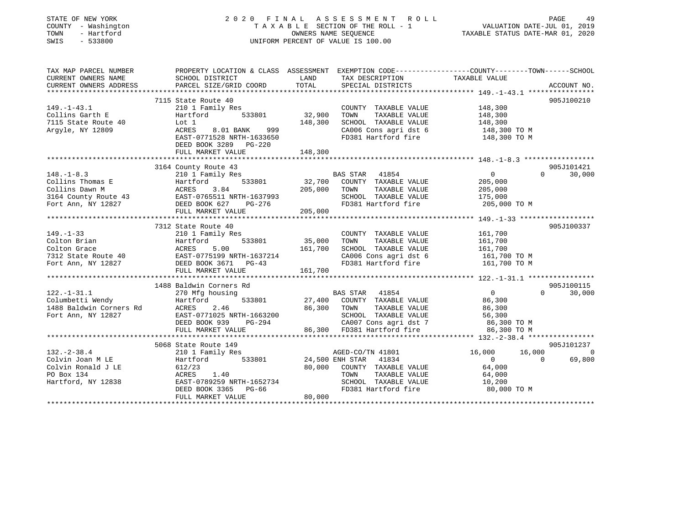| STATE OF NEW YORK<br>COUNTY - Washington<br>- Hartford<br>TOWN<br>SWIS<br>$-533800$                  | 2020 FINAL ASSESSMENT<br>R O L L<br>TAXABLE SECTION OF THE ROLL - 1<br>OWNERS NAME SEQUENCE<br>UNIFORM PERCENT OF VALUE IS 100.00                        |                              |                                                                                                                                              | PAGE<br>49<br>VALUATION DATE-JUL 01, 2019<br>TAXABLE STATUS DATE-MAR 01, 2020 |                                      |  |
|------------------------------------------------------------------------------------------------------|----------------------------------------------------------------------------------------------------------------------------------------------------------|------------------------------|----------------------------------------------------------------------------------------------------------------------------------------------|-------------------------------------------------------------------------------|--------------------------------------|--|
| TAX MAP PARCEL NUMBER<br>CURRENT OWNERS NAME<br>CURRENT OWNERS ADDRESS                               | PROPERTY LOCATION & CLASS ASSESSMENT EXEMPTION CODE----------------COUNTY-------TOWN------SCHOOL<br>SCHOOL DISTRICT<br>PARCEL SIZE/GRID COORD            | LAND<br>TOTAL                | TAX DESCRIPTION<br>SPECIAL DISTRICTS                                                                                                         | TAXABLE VALUE                                                                 | ACCOUNT NO.                          |  |
|                                                                                                      |                                                                                                                                                          |                              |                                                                                                                                              |                                                                               |                                      |  |
|                                                                                                      | 7115 State Route 40                                                                                                                                      |                              |                                                                                                                                              |                                                                               | 905J100210                           |  |
| $149. - 1 - 43.1$<br>Collins Garth E<br>7115 State Route 40<br>Argyle, NY 12809                      | 210 1 Family Res<br>533801<br>Hartford<br>Lot 1<br>ACRES<br>8.01 BANK<br>999<br>EAST-0771528 NRTH-1633650<br>DEED BOOK 3289 PG-220<br>FULL MARKET VALUE  | 32,900<br>148,300<br>148,300 | COUNTY TAXABLE VALUE<br>TAXABLE VALUE<br>TOWN<br>SCHOOL TAXABLE VALUE<br>CA006 Cons agri dst 6<br>FD381 Hartford fire                        | 148,300<br>148,300<br>148,300<br>148,300 TO M<br>148,300 TO M                 |                                      |  |
|                                                                                                      | *************************                                                                                                                                |                              |                                                                                                                                              |                                                                               |                                      |  |
|                                                                                                      | 3164 County Route 43                                                                                                                                     |                              |                                                                                                                                              |                                                                               | 905J101421                           |  |
| $148. - 1 - 8.3$<br>Collins Thomas E<br>Collins Dawn M<br>3164 County Route 43<br>Fort Ann, NY 12827 | 210 1 Family Res<br>533801<br>Hartford<br>ACRES<br>3.84<br>EAST-0765511 NRTH-1637993<br>DEED BOOK 627<br>PG-276<br>FULL MARKET VALUE                     | 205,000<br>205,000           | BAS STAR 41854<br>32,700 COUNTY TAXABLE VALUE<br>TOWN<br>TAXABLE VALUE<br>SCHOOL TAXABLE VALUE<br>FD381 Hartford fire                        | $\overline{0}$<br>205,000<br>205,000<br>175,000<br>205,000 TO M               | $\Omega$<br>30,000                   |  |
|                                                                                                      |                                                                                                                                                          |                              |                                                                                                                                              |                                                                               |                                      |  |
| $149. - 1 - 33$<br>Colton Brian<br>Colton Grace<br>7312 State Route 40<br>Fort Ann, NY 12827         | 7312 State Route 40<br>210 1 Family Res<br>533801<br>Hartford<br>ACRES<br>5.00<br>EAST-0775199 NRTH-1637214<br>DEED BOOK 3671 PG-43<br>FULL MARKET VALUE | 35,000<br>161,700<br>161,700 | COUNTY TAXABLE VALUE<br>TAXABLE VALUE<br>TOWN<br>SCHOOL TAXABLE VALUE<br>CA006 Cons agri dst 6<br>FD381 Hartford fire                        | 161,700<br>161,700<br>161,700<br>161,700 ТО М<br>161,700 TO M                 | 905J100337                           |  |
|                                                                                                      | 1488 Baldwin Corners Rd                                                                                                                                  |                              |                                                                                                                                              |                                                                               | 905J100115                           |  |
| $122. - 1 - 31.1$<br>Columbetti Wendy<br>1488 Baldwin Corners Rd<br>Fort Ann, NY 12827               | 270 Mfg housing<br>Hartford<br>533801<br>ACRES<br>2.46<br>EAST-0771025 NRTH-1663200<br>DEED BOOK 939<br>PG-294<br>FULL MARKET VALUE                      | 27,400<br>86,300 TOWN        | BAS STAR<br>41854<br>COUNTY TAXABLE VALUE<br>TAXABLE VALUE<br>SCHOOL TAXABLE VALUE<br>CA007 Cons agri dst 7<br>86,300 FD381 Hartford fire    | $\overline{0}$<br>86,300<br>86,300<br>56,300<br>86,300 TO M<br>86,300 TO M    | $\Omega$<br>30,000                   |  |
|                                                                                                      | ***********************                                                                                                                                  |                              |                                                                                                                                              |                                                                               |                                      |  |
|                                                                                                      | 5068 State Route 149                                                                                                                                     |                              |                                                                                                                                              |                                                                               | 905J101237                           |  |
| $132. - 2 - 38.4$<br>Colvin Joan M LE<br>Colvin Ronald J LE<br>PO Box 134<br>Hartford, NY 12838      | 210 1 Family Res<br>533801<br>Hartford<br>612/23<br>ACRES 1.40<br>EAST-0789259 NRTH-1652734<br>DEED BOOK 3365<br>PG-66                                   | 80,000                       | AGED-CO/TN 41801<br>24,500 ENH STAR<br>41834<br>COUNTY TAXABLE VALUE<br>TAXABLE VALUE<br>TOWN<br>SCHOOL TAXABLE VALUE<br>FD381 Hartford fire | 16,000<br>16,000<br>$\Omega$<br>64,000<br>64,000<br>10,200<br>80,000 TO M     | $\overline{0}$<br>$\Omega$<br>69,800 |  |
|                                                                                                      | FULL MARKET VALUE                                                                                                                                        | 80,000                       |                                                                                                                                              | ******************************                                                |                                      |  |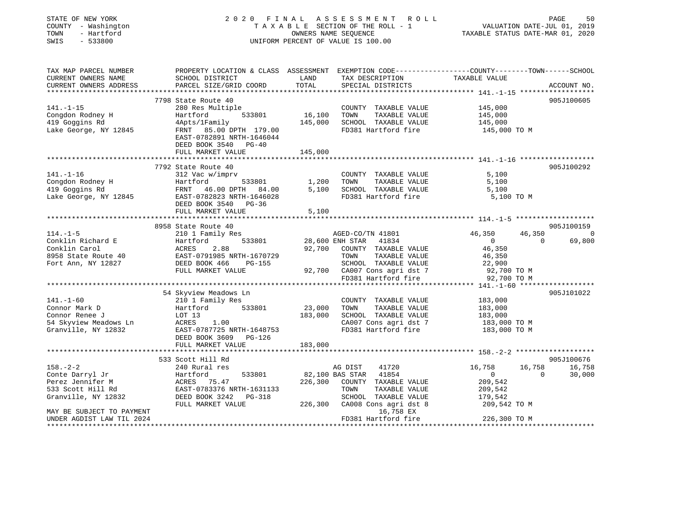| STATE OF NEW YORK<br>COUNTY - Washington<br>TOWN<br>- Hartford<br>SWIS<br>$-533800$                                                                                                                               |                                                                                                                                               |                              | 2020 FINAL ASSESSMENT ROLL<br>T A X A B L E SECTION OF THE ROLL - 1<br>OWNERS NAME SEQUENCE<br>UNIFORM PERCENT OF VALUE IS 100.00                                                                      | VALUATION DATE-JUL 01, 2019<br>TAXABLE STATUS DATE-MAR 01, 2020                                                  | PAGE<br>50                     |
|-------------------------------------------------------------------------------------------------------------------------------------------------------------------------------------------------------------------|-----------------------------------------------------------------------------------------------------------------------------------------------|------------------------------|--------------------------------------------------------------------------------------------------------------------------------------------------------------------------------------------------------|------------------------------------------------------------------------------------------------------------------|--------------------------------|
| TAX MAP PARCEL NUMBER<br>CURRENT OWNERS NAME<br>CURRENT OWNERS ADDRESS                                                                                                                                            | SCHOOL DISTRICT<br>PARCEL SIZE/GRID COORD                                                                                                     | LAND<br>TOTAL                | TAX DESCRIPTION TAXABLE VALUE<br>SPECIAL DISTRICTS                                                                                                                                                     | PROPERTY LOCATION & CLASS ASSESSMENT EXEMPTION CODE-----------------COUNTY-------TOWN------SCHOOL                | ACCOUNT NO.                    |
|                                                                                                                                                                                                                   |                                                                                                                                               |                              |                                                                                                                                                                                                        |                                                                                                                  |                                |
| $141. - 1 - 15$<br>Congdon Rodney H<br>419 Goggins Rd<br>419 Goggins Rd<br>Lake George, NY 12845                                                                                                                  | 7798 State Route 40<br>280 Res Multiple<br>533801<br>Hartford<br>4Apts/1Family<br>FRNT 85.00 DPTH 179.00<br>EAST-0782891 NRTH-1646044         | 16,100<br>145,000            | COUNTY TAXABLE VALUE<br>TOWN<br>TAXABLE VALUE<br>SCHOOL TAXABLE VALUE<br>FD381 Hartford fire                                                                                                           | 145,000<br>145,000<br>145,000<br>145,000 TO M                                                                    | 905J100605                     |
|                                                                                                                                                                                                                   | DEED BOOK 3540 PG-40                                                                                                                          |                              |                                                                                                                                                                                                        |                                                                                                                  |                                |
|                                                                                                                                                                                                                   | FULL MARKET VALUE                                                                                                                             | 145,000                      |                                                                                                                                                                                                        |                                                                                                                  |                                |
| $141. - 1 - 16$<br>Congdon Rodney H<br>1,200<br>419 Goggins Rd<br>Lake George, NY 12845<br>EAST-0782823 NRTH-1646028<br>DEED BOOK 3540 PG-36                                                                      | 7792 State Route 40<br>312 Vac w/imprv                                                                                                        |                              | COUNTY TAXABLE VALUE<br>TOWN<br>TAXABLE VALUE<br>SCHOOL TAXABLE VALUE<br>FD381 Hartford fire                                                                                                           | 5,100<br>5,100<br>5,100<br>5,100 TO M                                                                            | 905J100292                     |
|                                                                                                                                                                                                                   | FULL MARKET VALUE                                                                                                                             | 5,100                        |                                                                                                                                                                                                        |                                                                                                                  |                                |
|                                                                                                                                                                                                                   |                                                                                                                                               |                              |                                                                                                                                                                                                        |                                                                                                                  |                                |
|                                                                                                                                                                                                                   | 8958 State Route 40                                                                                                                           |                              |                                                                                                                                                                                                        |                                                                                                                  | 905J100159                     |
| $114. - 1 - 5$<br>Conklin Richard E Martford 533801<br>Conklin Carol ACRES 2.88<br>8958 State Route 40<br>Fort Ann, NY 12827<br>Fort Ann, NY 12827<br>FULL MARKET VALUE                                           | 210 1 Family Res                                                                                                                              |                              | AGED-CO/TN 41801<br>28,600 ENH STAR 41834<br>92,700 COUNTY TAXABLE<br>92,700 COUNTY TAXABLE VALUE<br>TOWN TAXABLE VALUE<br>SCHOOL TAXABLE VALUE<br>92,700 CA007 Cons agri dst 7<br>FD381 Hartford fire | 46,350<br>46,350<br>$\overline{0}$<br>$\overline{0}$<br>46,350<br>46,350<br>22,900<br>92,700 TO M<br>92,700 TO M | $\overline{0}$<br>69,800       |
|                                                                                                                                                                                                                   |                                                                                                                                               |                              |                                                                                                                                                                                                        |                                                                                                                  |                                |
| $141. - 1 - 60$<br>Connor Mark D<br>Connor Renee J<br>Connor kenee of the MCRES 1.00<br>54 Skyview Meadows Ln EAST-0787725 NRTH-1648753<br>Granville, NY 12832 EAST-0787725 NRTH-1648753<br>DEED BOOK 3609 PG-126 | 54 Skyview Meadows Ln<br>210 1 Family Res<br>533801<br>Hartford<br>LOT 13                                                                     | 23,000<br>183,000<br>183,000 | COUNTY TAXABLE VALUE<br>TOWN<br>TAXABLE VALUE<br>SCHOOL TAXABLE VALUE<br>CA007 Cons agri dst 7 183,000 TO M<br>FD381 Hartford fire 183,000 TO M                                                        | 183,000<br>183,000<br>183,000                                                                                    | 905J101022                     |
|                                                                                                                                                                                                                   |                                                                                                                                               |                              |                                                                                                                                                                                                        |                                                                                                                  |                                |
| $158. - 2 - 2$<br>Conte Darryl Jr<br>Perez Jennifer M<br>533 Scott Hill Rd<br>Granville, NY 12832                                                                                                                 | 533 Scott Hill Rd<br>- w kural res<br>Hartford<br>ACRES 75.47<br>EAST-0700000<br>533801<br>EAST-0783376 NRTH-1631133<br>DEED BOOK 3242 PG-318 |                              | 41720<br>AG DIST<br>82,100 BAS STAR 41854<br>226,300 COUNTY TAXABLE VALUE<br>TOWN<br>TAXABLE VALUE<br>SCHOOL TAXABLE VALUE                                                                             | 16,758<br>16,758<br>$\sim$ 0<br>$\sim$ 0<br>209,542<br>209,542<br>179,542                                        | 905J100676<br>16,758<br>30,000 |
| MAY BE SUBJECT TO PAYMENT<br>UNDER AGDIST LAW TIL 2024                                                                                                                                                            | FULL MARKET VALUE                                                                                                                             |                              | 226,300 CA008 Cons agri dst 8<br>16,758 EX<br>FD381 Hartford fire                                                                                                                                      | 209,542 TO M<br>226,300 TO M                                                                                     |                                |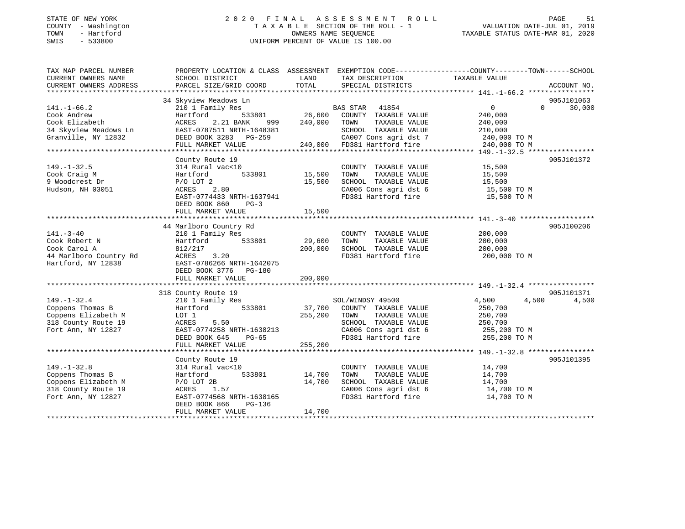### STATE OF NEW YORK 2 0 2 0 F I N A L A S S E S S M E N T R O L L PAGE 51 COUNTY - Washington T A X A B L E SECTION OF THE ROLL - 1 VALUATION DATE-JUL 01, 2019 TOWN - Hartford OWNERS NAME SEQUENCE TAXABLE STATUS DATE-MAR 01, 2020 SWIS - 533800 UNIFORM PERCENT OF VALUE IS 100.00

| TAX MAP PARCEL NUMBER  | PROPERTY LOCATION & CLASS ASSESSMENT EXEMPTION CODE----------------COUNTY-------TOWN------SCHOOL |             |                                                |                              |                |
|------------------------|--------------------------------------------------------------------------------------------------|-------------|------------------------------------------------|------------------------------|----------------|
| CURRENT OWNERS NAME    | SCHOOL DISTRICT                                                                                  | LAND        | TAX DESCRIPTION                                | TAXABLE VALUE                |                |
| CURRENT OWNERS ADDRESS | PARCEL SIZE/GRID COORD                                                                           | TOTAL       | SPECIAL DISTRICTS                              |                              | ACCOUNT NO.    |
|                        |                                                                                                  |             |                                                |                              |                |
|                        | 34 Skyview Meadows Ln                                                                            |             |                                                |                              | 905J101063     |
| $141. - 1 - 66.2$      | 210 1 Family Res                                                                                 |             | BAS STAR 41854                                 | $\overline{0}$               | $0 \t 30,000$  |
| Cook Andrew            | 533801<br>Hartford                                                                               | 26,600      | COUNTY TAXABLE VALUE                           | 240,000                      |                |
| Cook Elizabeth         | 2.21 BANK<br>ACRES                                                                               | 999 240,000 | TOWN<br>TAXABLE VALUE                          | 240,000                      |                |
| 34 Skyview Meadows Ln  | EAST-0787511 NRTH-1648381                                                                        |             | SCHOOL TAXABLE VALUE                           | 210,000                      |                |
| Granville, NY 12832    | DEED BOOK 3283 PG-259                                                                            |             | CA007 Cons agri dst 7                          | 240,000 TO M<br>240,000 TO M |                |
|                        | FULL MARKET VALUE                                                                                |             | 240,000 FD381 Hartford fire                    |                              |                |
|                        |                                                                                                  |             |                                                |                              |                |
|                        | County Route 19                                                                                  |             |                                                |                              | 905J101372     |
| $149. - 1 - 32.5$      | 314 Rural vac<10                                                                                 |             | COUNTY TAXABLE VALUE                           | 15,500                       |                |
| Cook Craig M           | 533801<br>Hartford                                                                               | 15,500      | TAXABLE VALUE<br>TOWN                          | 15,500                       |                |
| 9 Woodcrest Dr         | $P/O$ LOT $2$                                                                                    | 15,500      | SCHOOL TAXABLE VALUE                           | 15,500                       |                |
| Hudson, NH 03051       | ACRES 2.80                                                                                       |             | CA006 Cons agri dst 6<br>CA006 Cons agri dst 6 | 15,500 TO M                  |                |
|                        | EAST-0774433 NRTH-1637941                                                                        |             | FD381 Hartford fire                            | $15,500$ TO M                |                |
|                        | DEED BOOK 860<br>$PG-3$                                                                          |             |                                                |                              |                |
|                        | FULL MARKET VALUE                                                                                | 15,500      |                                                |                              |                |
|                        |                                                                                                  |             |                                                |                              |                |
|                        | 44 Marlboro Country Rd                                                                           |             |                                                |                              | 905J100206     |
| $141. - 3 - 40$        | 210 1 Family Res                                                                                 |             | COUNTY TAXABLE VALUE                           | 200,000                      |                |
| Cook Robert N          | Hartford<br>533801                                                                               | 29,600      | TOWN<br>TAXABLE VALUE                          | 200,000                      |                |
| Cook Carol A           | 812/217                                                                                          | 200,000     | SCHOOL TAXABLE VALUE                           | 200,000                      |                |
| 44 Marlboro Country Rd | 3.20<br>ACRES                                                                                    |             | FD381 Hartford fire                            | 200,000 TO M                 |                |
| Hartford, NY 12838     | EAST-0786266 NRTH-1642075                                                                        |             |                                                |                              |                |
|                        | DEED BOOK 3776 PG-180                                                                            |             |                                                |                              |                |
|                        | FULL MARKET VALUE                                                                                | 200,000     |                                                |                              |                |
|                        |                                                                                                  |             |                                                |                              |                |
|                        | 318 County Route 19                                                                              |             |                                                |                              | 905J101371     |
| $149. - 1 - 32.4$      | 210 1 Family Res                                                                                 |             | SOL/WINDSY 49500                               | 4,500                        | 4,500<br>4,500 |
| Coppens Thomas B       | 533801<br>Hartford                                                                               | 37,700      | COUNTY TAXABLE VALUE                           | 250,700                      |                |
| Coppens Elizabeth M    | LOT 1                                                                                            | 255,200     | TAXABLE VALUE<br>TOWN                          | 250,700                      |                |
| 318 County Route 19    | ACRES<br>5.50                                                                                    |             | SCHOOL TAXABLE VALUE                           | 250,700                      |                |
| Fort Ann, NY 12827     | EAST-0774258 NRTH-1638213                                                                        |             | CA006 Cons agri dst 6<br>FD381 Hartford fire   | 255,200 TO M                 |                |
|                        | DEED BOOK 645<br>PG-65                                                                           |             |                                                | 255,200 TO M                 |                |
|                        | FULL MARKET VALUE                                                                                | 255,200     |                                                |                              |                |
|                        |                                                                                                  |             |                                                |                              |                |
|                        | County Route 19                                                                                  |             |                                                |                              | 905J101395     |
| $149. - 1 - 32.8$      | 314 Rural vac<10                                                                                 |             | COUNTY TAXABLE VALUE                           | 14,700                       |                |
| Coppens Thomas B       | 533801<br>Hartford                                                                               | 14,700      | TOWN<br>TAXABLE VALUE                          | 14,700                       |                |
| Coppens Elizabeth M    | $P/O$ LOT 2B                                                                                     | 14,700      | SCHOOL TAXABLE VALUE                           | 14,700                       |                |
| 318 County Route 19    | 1.57<br>ACRES                                                                                    |             | CA006 Cons agri dst 6                          | 14,700 TO M                  |                |
| Fort Ann, NY 12827     | EAST-0774568 NRTH-1638165                                                                        |             | FD381 Hartford fire                            | 14,700 TO M                  |                |
|                        | DEED BOOK 866<br>PG-136                                                                          |             |                                                |                              |                |
|                        | FULL MARKET VALUE                                                                                | 14,700      |                                                |                              |                |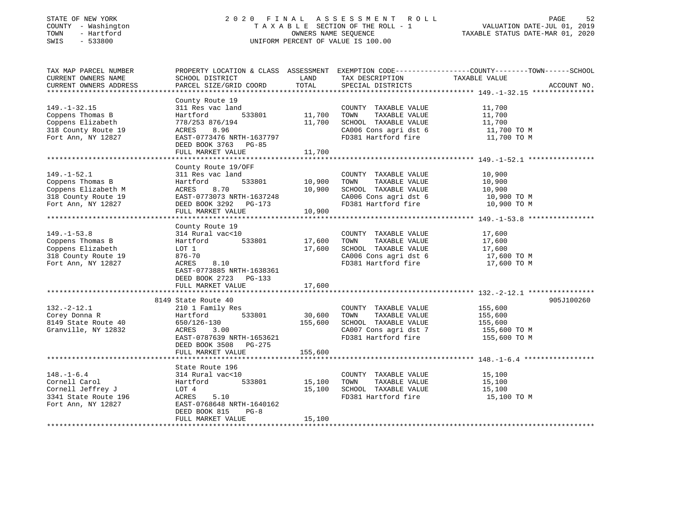| STATE OF NEW YORK |              |
|-------------------|--------------|
| COUNTY            | - Washington |
| TOWN              | - Hartford   |
| CMT C             | E33000       |

## STATE OF NEW YORK 2 0 2 0 F I N A L A S S E S S M E N T R O L L PAGE 52 COUNTY - Washington T A X A B L E SECTION OF THE ROLL - 1 VALUATION DATE-JUL 01, 2019 TOWN - Hartford OWNERS NAME SEQUENCE TAXABLE STATUS DATE-MAR 01, 2020 SWIS - 533800 UNIFORM PERCENT OF VALUE IS 100.00

| TAX MAP PARCEL NUMBER<br>CURRENT OWNERS NAME<br>CURRENT OWNERS ADDRESS                                    | SCHOOL DISTRICT<br>PARCEL SIZE/GRID COORD                                                                                                                                | LAND<br>TOTAL                | TAX DESCRIPTION<br>SPECIAL DISTRICTS                                                                                  | PROPERTY LOCATION & CLASS ASSESSMENT EXEMPTION CODE----------------COUNTY-------TOWN-----SCHOOL<br>TAXABLE VALUE<br>ACCOUNT NO. |
|-----------------------------------------------------------------------------------------------------------|--------------------------------------------------------------------------------------------------------------------------------------------------------------------------|------------------------------|-----------------------------------------------------------------------------------------------------------------------|---------------------------------------------------------------------------------------------------------------------------------|
| $149. - 1 - 32.15$<br>Coppens Thomas B<br>Coppens Elizabeth<br>318 County Route 19<br>Fort Ann, NY 12827  | County Route 19<br>311 Res vac land<br>533801<br>Hartford<br>778/253 876/194<br>ACRES<br>8.96<br>EAST-0773476 NRTH-1637797<br>DEED BOOK 3763 PG-85<br>FULL MARKET VALUE  | 11,700<br>11,700<br>11,700   | COUNTY TAXABLE VALUE<br>TOWN<br>TAXABLE VALUE<br>SCHOOL TAXABLE VALUE<br>CA006 Cons agri dst 6<br>FD381 Hartford fire | 11,700<br>11,700<br>11,700<br>11,700 TO M<br>11,700 TO M                                                                        |
| $149. - 1 - 52.1$<br>Coppens Thomas B<br>Coppens Elizabeth M<br>318 County Route 19<br>Fort Ann, NY 12827 | County Route 19/OFF<br>311 Res vac land<br>533801<br>Hartford<br>ACRES<br>8.70<br>EAST-0773073 NRTH-1637248<br>DEED BOOK 3292 PG-173<br>FULL MARKET VALUE                | 10,900<br>10,900<br>10,900   | COUNTY TAXABLE VALUE<br>TOWN<br>TAXABLE VALUE<br>SCHOOL TAXABLE VALUE<br>CA006 Cons agri dst 6<br>FD381 Hartford fire | 10,900<br>10,900<br>10,900<br>10,900 TO M<br>10,900 TO M                                                                        |
| $149. - 1 - 53.8$<br>Coppens Thomas B<br>Coppens Elizabeth<br>318 County Route 19<br>Fort Ann, NY 12827   | County Route 19<br>314 Rural vac<10<br>533801<br>Hartford<br>LOT 1<br>876-70<br>8.10<br>ACRES<br>EAST-0773885 NRTH-1638361<br>DEED BOOK 2723 PG-133<br>FULL MARKET VALUE | 17,600<br>17,600<br>17,600   | COUNTY TAXABLE VALUE<br>TAXABLE VALUE<br>TOWN<br>SCHOOL TAXABLE VALUE<br>CA006 Cons agri dst 6<br>FD381 Hartford fire | 17,600<br>17,600<br>17,600<br>17,600 TO M<br>17,600 TO M                                                                        |
| $132. - 2 - 12.1$<br>Corey Donna R<br>8149 State Route 40<br>Granville, NY 12832                          | 8149 State Route 40<br>210 1 Family Res<br>Hartford 533801<br>650/126-130<br>ACRES<br>3.00<br>EAST-0787639 NRTH-1653621<br>DEED BOOK 3508 PG-275<br>FULL MARKET VALUE    | 30,600<br>155,600<br>155,600 | COUNTY TAXABLE VALUE<br>TOWN<br>TAXABLE VALUE<br>SCHOOL TAXABLE VALUE<br>CA007 Cons agri dst 7<br>FD381 Hartford fire | 905J100260<br>155,600<br>155,600<br>155,600<br>155,600 TO M<br>155,600 TO M                                                     |
| $148. - 1 - 6.4$<br>Cornell Carol<br>Cornell Jeffrey J<br>3341 State Route 196<br>Fort Ann, NY 12827      | State Route 196<br>314 Rural vac<10<br>533801<br>Hartford<br>LOT 4<br>5.10<br>ACRES<br>EAST-0768648 NRTH-1640162<br>DEED BOOK 815<br>$PG-8$<br>FULL MARKET VALUE         | 15,100<br>15,100<br>15,100   | COUNTY TAXABLE VALUE<br>TOWN<br>TAXABLE VALUE<br>SCHOOL TAXABLE VALUE<br>FD381 Hartford fire                          | 15,100<br>15,100<br>15,100<br>15,100 TO M                                                                                       |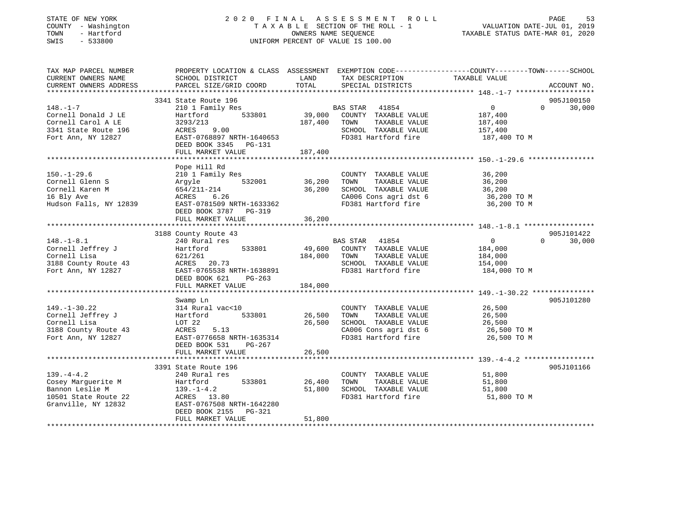## STATE OF NEW YORK 2 0 2 0 F I N A L A S S E S S M E N T R O L L PAGE 53 COUNTY - Washington T A X A B L E SECTION OF THE ROLL - 1 VALUATION DATE-JUL 01, 2019 TOWN - Hartford OWNERS NAME SEQUENCE TAXABLE STATUS DATE-MAR 01, 2020 SWIS - 533800 UNIFORM PERCENT OF VALUE IS 100.00

| TAX MAP PARCEL NUMBER<br>CURRENT OWNERS NAME<br>CURRENT OWNERS ADDRESS | PROPERTY LOCATION & CLASS ASSESSMENT EXEMPTION CODE----------------COUNTY-------TOWN------SCHOOL<br>SCHOOL DISTRICT<br>PARCEL SIZE/GRID COORD | LAND<br>TOTAL | TAX DESCRIPTION<br>SPECIAL DISTRICTS | TAXABLE VALUE     | ACCOUNT NO.        |
|------------------------------------------------------------------------|-----------------------------------------------------------------------------------------------------------------------------------------------|---------------|--------------------------------------|-------------------|--------------------|
|                                                                        |                                                                                                                                               |               |                                      |                   |                    |
|                                                                        | 3341 State Route 196                                                                                                                          |               |                                      |                   | 905J100150         |
| $148. - 1 - 7$                                                         | 210 1 Family Res                                                                                                                              |               | BAS STAR 41854                       | $\overline{0}$    | $\Omega$<br>30,000 |
| Cornell Donald J LE                                                    | Hartford 533801 39,000 COUNTY TAXABLE VALUE                                                                                                   |               |                                      | 187,400           |                    |
| Cornell Carol A LE                                                     | 3293/213                                                                                                                                      | 187,400 TOWN  | TAXABLE VALUE                        | 187,400           |                    |
| 3341 State Route 196                                                   | ACRES 9.00                                                                                                                                    |               | SCHOOL TAXABLE VALUE                 | 157,400           |                    |
| Fort Ann, NY 12827                                                     | EAST-0768897 NRTH-1640653                                                                                                                     |               | FD381 Hartford fire                  | 187,400 TO M      |                    |
|                                                                        | DEED BOOK 3345 PG-131                                                                                                                         |               |                                      |                   |                    |
|                                                                        | FULL MARKET VALUE                                                                                                                             | 187,400       |                                      |                   |                    |
|                                                                        |                                                                                                                                               |               |                                      |                   |                    |
| $150. - 1 - 29.6$                                                      | Pope Hill Rd<br>210 1 Family Res                                                                                                              |               | COUNTY TAXABLE VALUE 36,200          |                   |                    |
| Cornell Glenn S                                                        | Argyle 532001                                                                                                                                 | 36,200        | TOWN<br>TAXABLE VALUE                |                   |                    |
| Cornell Karen M                                                        | 654/211-214                                                                                                                                   | 36,200        | SCHOOL TAXABLE VALUE                 | 36,200<br>36, 200 |                    |
|                                                                        |                                                                                                                                               |               |                                      |                   |                    |
| 16 Bly Ave                                                             | ACRES<br>6.26                                                                                                                                 |               | CA006 Cons agri dst 6                | 36,200 TO M       |                    |
| Hudson Falls, NY 12839                                                 | EAST-0781509 NRTH-1633362                                                                                                                     |               | FD381 Hartford fire                  | 36,200 TO M       |                    |
|                                                                        | DEED BOOK 3787 PG-319                                                                                                                         |               |                                      |                   |                    |
|                                                                        | FULL MARKET VALUE                                                                                                                             | 36,200        |                                      |                   |                    |
|                                                                        | 3188 County Route 43                                                                                                                          |               |                                      |                   | 905J101422         |
| $148. - 1 - 8.1$                                                       | 240 Rural res                                                                                                                                 |               | BAS STAR 41854                       | $\overline{0}$    | 30,000<br>$\cap$   |
| Cornell Jeffrey J                                                      | Hartford 533801                                                                                                                               |               | 49,600 COUNTY TAXABLE VALUE          | 184,000           |                    |
| Cornell Lisa                                                           | 621/261                                                                                                                                       | 184,000 TOWN  | TAXABLE VALUE                        | 184,000           |                    |
| 3188 County Route 43                                                   | ACRES 20.73                                                                                                                                   |               | SCHOOL TAXABLE VALUE                 | 154,000           |                    |
| Fort Ann, NY 12827                                                     | EAST-0765538 NRTH-1638891                                                                                                                     |               | FD381 Hartford fire                  | 184,000 TO M      |                    |
|                                                                        | DEED BOOK 621 PG-263                                                                                                                          |               |                                      |                   |                    |
|                                                                        | FULL MARKET VALUE                                                                                                                             | 184,000       |                                      |                   |                    |
|                                                                        |                                                                                                                                               |               |                                      |                   |                    |
|                                                                        | Swamp Ln                                                                                                                                      |               |                                      |                   | 905J101280         |
| $149. - 1 - 30.22$                                                     | 314 Rural vac<10                                                                                                                              |               | COUNTY TAXABLE VALUE                 | 26,500            |                    |
| Cornell Jeffrey J                                                      | 533801<br>Hartford                                                                                                                            | 26,500        | TOWN<br>TAXABLE VALUE                | 26,500            |                    |
| Cornell Lisa                                                           | LOT 22                                                                                                                                        | 26,500        | SCHOOL TAXABLE VALUE                 | 26,500            |                    |
| 3188 County Route 43                                                   | ACRES<br>5.13                                                                                                                                 |               |                                      |                   |                    |
| Fort Ann, NY 12827                                                     | EAST-0776658 NRTH-1635314                                                                                                                     |               | FD381 Hartford fire                  | 26,500 TO M       |                    |
|                                                                        | DEED BOOK 531 PG-267                                                                                                                          |               |                                      |                   |                    |
|                                                                        | FULL MARKET VALUE                                                                                                                             | 26,500        |                                      |                   |                    |
|                                                                        |                                                                                                                                               |               |                                      |                   |                    |
|                                                                        | 3391 State Route 196                                                                                                                          |               |                                      |                   | 905J101166         |
| $139. -4 - 4.2$                                                        | 240 Rural res                                                                                                                                 |               | COUNTY TAXABLE VALUE                 | 51,800            |                    |
| Cosey Marguerite M                                                     | 533801<br>Hartford                                                                                                                            | 26,400        | TOWN<br>TAXABLE VALUE                | 51,800            |                    |
| Bannon Leslie M                                                        | $139. - 1 - 4.2$                                                                                                                              | 51,800        | SCHOOL TAXABLE VALUE                 | 51,800            |                    |
| 10501 State Route 22                                                   | ACRES 13.80                                                                                                                                   |               | FD381 Hartford fire                  | 51,800 TO M       |                    |
| Granville, NY 12832                                                    | EAST-0767508 NRTH-1642280                                                                                                                     |               |                                      |                   |                    |
|                                                                        | DEED BOOK 2155 PG-321                                                                                                                         |               |                                      |                   |                    |
|                                                                        | FULL MARKET VALUE                                                                                                                             | 51,800        |                                      |                   |                    |
|                                                                        |                                                                                                                                               |               |                                      |                   |                    |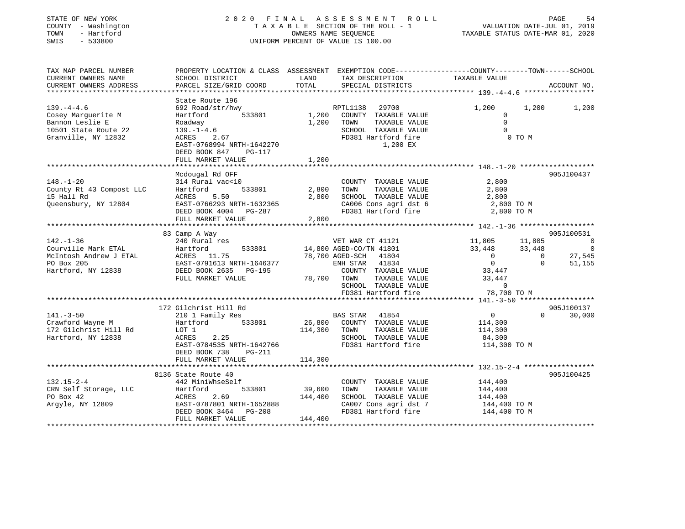| STATE OF NEW YORK<br>COUNTY - Washington<br>- Hartford<br>TOWN<br>SWIS<br>$-533800$ | 2020 FINAL ASSESSMENT                                                                            |               | TAXABLE SECTION OF THE ROLL - 1<br>OWNERS NAME SEQUENCE<br>UNIFORM PERCENT OF VALUE IS 100.00 | ROLL                  | VALUATION DATE-JUL 01, 2019<br>TAXABLE STATUS DATE-MAR 01, 2020 |                  | PAGE<br>54                       |
|-------------------------------------------------------------------------------------|--------------------------------------------------------------------------------------------------|---------------|-----------------------------------------------------------------------------------------------|-----------------------|-----------------------------------------------------------------|------------------|----------------------------------|
| TAX MAP PARCEL NUMBER                                                               | PROPERTY LOCATION & CLASS ASSESSMENT EXEMPTION CODE-----------------COUNTY-------TOWN-----SCHOOL |               |                                                                                               |                       |                                                                 |                  |                                  |
| CURRENT OWNERS NAME<br>CURRENT OWNERS ADDRESS                                       | SCHOOL DISTRICT<br>PARCEL SIZE/GRID COORD                                                        | LAND<br>TOTAL | SPECIAL DISTRICTS                                                                             | TAX DESCRIPTION       | TAXABLE VALUE                                                   |                  | ACCOUNT NO.                      |
|                                                                                     | State Route 196                                                                                  |               |                                                                                               |                       |                                                                 |                  |                                  |
| $139. -4 - 4.6$                                                                     | 692 Road/str/hwy                                                                                 |               | RPTL1138                                                                                      | 29700                 | 1,200                                                           | 1,200            | 1,200                            |
| Cosey Marquerite M                                                                  | Hartford<br>533801                                                                               | 1,200         | COUNTY TAXABLE VALUE                                                                          |                       | $\overline{0}$                                                  |                  |                                  |
| Bannon Leslie E                                                                     | Roadway                                                                                          | 1,200         | TOWN                                                                                          | TAXABLE VALUE         | $\Omega$                                                        |                  |                                  |
| 10501 State Route 22                                                                | $139. - 1 - 4.6$                                                                                 |               | SCHOOL TAXABLE VALUE                                                                          |                       | $\mathbf 0$                                                     |                  |                                  |
| Granville, NY 12832                                                                 | 2.67<br>ACRES                                                                                    |               | FD381 Hartford fire                                                                           |                       |                                                                 | 0 TO M           |                                  |
|                                                                                     | EAST-0768994 NRTH-1642270                                                                        |               |                                                                                               | 1,200 EX              |                                                                 |                  |                                  |
|                                                                                     | DEED BOOK 847<br>PG-117                                                                          |               |                                                                                               |                       |                                                                 |                  |                                  |
|                                                                                     | FULL MARKET VALUE                                                                                | 1,200         |                                                                                               |                       |                                                                 |                  |                                  |
|                                                                                     | *****************************                                                                    |               |                                                                                               |                       |                                                                 |                  |                                  |
|                                                                                     | Mcdougal Rd OFF                                                                                  |               |                                                                                               |                       |                                                                 |                  | 905J100437                       |
| $148. - 1 - 20$                                                                     | 314 Rural vac<10                                                                                 |               | COUNTY TAXABLE VALUE                                                                          |                       | 2,800                                                           |                  |                                  |
| County Rt 43 Compost LLC                                                            | Hartford<br>533801                                                                               | 2,800         | TOWN                                                                                          | TAXABLE VALUE         | 2,800                                                           |                  |                                  |
| 15 Hall Rd                                                                          | 5.50<br>ACRES                                                                                    | 2,800         | SCHOOL TAXABLE VALUE                                                                          |                       | 2,800                                                           |                  |                                  |
| Queensbury, NY 12804                                                                | EAST-0766293 NRTH-1632365                                                                        |               |                                                                                               | CA006 Cons agri dst 6 | 2,800 TO M                                                      |                  |                                  |
|                                                                                     | DEED BOOK 4004 PG-287                                                                            |               | FD381 Hartford fire                                                                           |                       | 2,800 TO M                                                      |                  |                                  |
|                                                                                     | FULL MARKET VALUE<br>*********************                                                       | 2,800         |                                                                                               |                       |                                                                 |                  |                                  |
|                                                                                     |                                                                                                  |               |                                                                                               |                       |                                                                 |                  |                                  |
|                                                                                     | 83 Camp A Way                                                                                    |               |                                                                                               |                       |                                                                 |                  | 905J100531                       |
| $142. - 1 - 36$<br>Courville Mark ETAL                                              | 240 Rural res<br>533801<br>Hartford                                                              |               | VET WAR CT 41121<br>14,800 AGED-CO/TN 41801                                                   |                       | 11,805<br>33,448                                                | 11,805<br>33,448 | $\overline{0}$<br>$\overline{0}$ |
| McIntosh Andrew J ETAL                                                              | ACRES 11.75                                                                                      |               | 78,700 AGED-SCH 41804                                                                         |                       | $\overline{0}$                                                  | $\overline{0}$   | 27,545                           |
| PO Box 205                                                                          | EAST-0791613 NRTH-1646377                                                                        |               | ENH STAR                                                                                      | 41834                 | $\overline{0}$                                                  | $\Omega$         | 51,155                           |
| Hartford, NY 12838                                                                  | DEED BOOK 2635 PG-195                                                                            |               | COUNTY TAXABLE VALUE                                                                          |                       | 33,447                                                          |                  |                                  |
|                                                                                     | FULL MARKET VALUE                                                                                | 78,700        | TOWN                                                                                          | TAXABLE VALUE         | 33,447                                                          |                  |                                  |
|                                                                                     |                                                                                                  |               | SCHOOL TAXABLE VALUE                                                                          |                       | $\circ$                                                         |                  |                                  |
|                                                                                     |                                                                                                  |               |                                                                                               | FD381 Hartford fire   | 78,700 TO M                                                     |                  |                                  |
|                                                                                     |                                                                                                  |               |                                                                                               |                       |                                                                 |                  |                                  |
|                                                                                     | 172 Gilchrist Hill Rd                                                                            |               |                                                                                               |                       |                                                                 |                  | 905J100137                       |
| $141. - 3 - 50$                                                                     | 210 1 Family Res                                                                                 |               | <b>BAS STAR</b>                                                                               | 41854                 | $\overline{0}$                                                  | $\Omega$         | 30,000                           |
| Crawford Wayne M                                                                    | 533801<br>Hartford                                                                               | 26,800        | COUNTY TAXABLE VALUE                                                                          |                       | 114,300                                                         |                  |                                  |
| 172 Gilchrist Hill Rd                                                               | LOT 1                                                                                            | 114,300       | TOWN                                                                                          | TAXABLE VALUE         | 114,300                                                         |                  |                                  |
| Hartford, NY 12838                                                                  | ACRES<br>2.25                                                                                    |               | SCHOOL TAXABLE VALUE                                                                          |                       | 84,300                                                          |                  |                                  |
|                                                                                     | EAST-0784535 NRTH-1642766                                                                        |               | FD381 Hartford fire                                                                           |                       | 114,300 TO M                                                    |                  |                                  |
|                                                                                     | DEED BOOK 738<br>PG-211                                                                          |               |                                                                                               |                       |                                                                 |                  |                                  |
|                                                                                     | FULL MARKET VALUE                                                                                | 114,300       |                                                                                               |                       |                                                                 |                  |                                  |
|                                                                                     |                                                                                                  |               |                                                                                               |                       |                                                                 |                  |                                  |
|                                                                                     | 8136 State Route 40                                                                              |               |                                                                                               |                       |                                                                 |                  | 905J100425                       |
| $132.15 - 2 - 4$                                                                    | 442 MiniWhseSelf                                                                                 |               | COUNTY TAXABLE VALUE                                                                          |                       | 144,400                                                         |                  |                                  |
| CRN Self Storage, LLC                                                               | 533801<br>Hartford                                                                               | 39,600        | TOWN                                                                                          | TAXABLE VALUE         | 144,400                                                         |                  |                                  |
| PO Box 42                                                                           | ACRES<br>2.69                                                                                    | 144,400       | SCHOOL TAXABLE VALUE                                                                          |                       | 144,400                                                         |                  |                                  |
| Argyle, NY 12809                                                                    | EAST-0787801 NRTH-1652888                                                                        |               |                                                                                               | CA007 Cons agri dst 7 | 144,400 TO M                                                    |                  |                                  |
|                                                                                     | DEED BOOK 3464<br>PG-208                                                                         |               | FD381 Hartford fire                                                                           |                       | 144,400 TO M                                                    |                  |                                  |
|                                                                                     | FULL MARKET VALUE                                                                                | 144,400       |                                                                                               |                       |                                                                 |                  |                                  |
|                                                                                     |                                                                                                  |               |                                                                                               |                       |                                                                 |                  |                                  |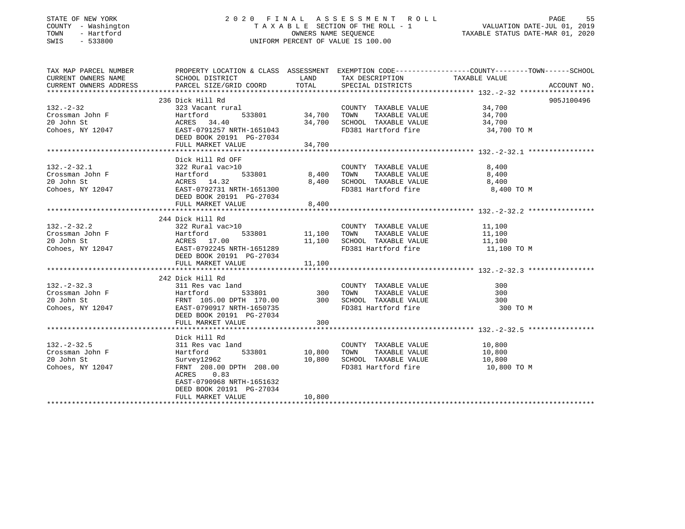### STATE OF NEW YORK 2 0 2 0 F I N A L A S S E S S M E N T R O L L PAGE 55 COUNTY - Washington T A X A B L E SECTION OF THE ROLL - 1 VALUATION DATE-JUL 01, 2019 TOWN - Hartford OWNERS NAME SEQUENCE TAXABLE STATUS DATE-MAR 01, 2020 SWIS - 533800 UNIFORM PERCENT OF VALUE IS 100.00

| TAX MAP PARCEL NUMBER                             | PROPERTY LOCATION & CLASS ASSESSMENT EXEMPTION CODE---------------COUNTY-------TOWN------SCHOOL                                                                                                                                                                                                                                                                                                                                      |        |                                                                                                                                             |                                              |             |
|---------------------------------------------------|--------------------------------------------------------------------------------------------------------------------------------------------------------------------------------------------------------------------------------------------------------------------------------------------------------------------------------------------------------------------------------------------------------------------------------------|--------|---------------------------------------------------------------------------------------------------------------------------------------------|----------------------------------------------|-------------|
| CURRENT OWNERS NAME                               |                                                                                                                                                                                                                                                                                                                                                                                                                                      |        |                                                                                                                                             |                                              |             |
| CURRENT OWNERS ADDRESS                            |                                                                                                                                                                                                                                                                                                                                                                                                                                      |        |                                                                                                                                             |                                              | ACCOUNT NO. |
|                                                   |                                                                                                                                                                                                                                                                                                                                                                                                                                      |        |                                                                                                                                             |                                              |             |
|                                                   | 236 Dick Hill Rd                                                                                                                                                                                                                                                                                                                                                                                                                     |        |                                                                                                                                             |                                              | 905J100496  |
|                                                   |                                                                                                                                                                                                                                                                                                                                                                                                                                      |        |                                                                                                                                             |                                              |             |
|                                                   |                                                                                                                                                                                                                                                                                                                                                                                                                                      |        |                                                                                                                                             |                                              |             |
|                                                   |                                                                                                                                                                                                                                                                                                                                                                                                                                      |        |                                                                                                                                             |                                              |             |
|                                                   | $\begin{array}{ccccccccc} \text{132.-2-32} & \text{230 DICK HILLT K4} & \text{323 Vacant rural} & \text{COUNTYT TAXABLE VALUE} & \text{34,700} \\ \text{Crossman John F} & \text{Hartford} & \text{533801} & \text{34,700 T0NN} & \text{TAXABLE VALUE} & \text{34,700} \\ \text{20 John St} & \text{ACRES} & \text{34,40} & \text{34,700} & \text{SCHOOL TAXABLE VALUE} & \text{34,700} \\ \text{Cohoes, NY 12047} & \text{ESST -07$ |        | FD381 Hartford fire 34,700 TO M                                                                                                             |                                              |             |
|                                                   | DEED BOOK 20191 PG-27034                                                                                                                                                                                                                                                                                                                                                                                                             |        |                                                                                                                                             |                                              |             |
|                                                   | FULL MARKET VALUE                                                                                                                                                                                                                                                                                                                                                                                                                    | 34,700 |                                                                                                                                             |                                              |             |
|                                                   |                                                                                                                                                                                                                                                                                                                                                                                                                                      |        |                                                                                                                                             |                                              |             |
|                                                   | Dick Hill Rd OFF                                                                                                                                                                                                                                                                                                                                                                                                                     |        |                                                                                                                                             |                                              |             |
|                                                   |                                                                                                                                                                                                                                                                                                                                                                                                                                      |        |                                                                                                                                             |                                              |             |
|                                                   |                                                                                                                                                                                                                                                                                                                                                                                                                                      |        |                                                                                                                                             |                                              |             |
|                                                   |                                                                                                                                                                                                                                                                                                                                                                                                                                      |        | COUNTY TAXABLE VALUE 8,400<br>533801 8,400 TOWN TAXABLE VALUE 8,400<br>8,400 SCHOOL TAXABLE VALUE 8,400<br>8,400 8,400 SCHOOL TAXABLE VALUE |                                              |             |
|                                                   | $\begin{array}{lllllllllllll} 132.-2-32.1 & 322 {\rm~Rural} & 3220 & 1000 & 533801 & 8\,,400 \\ \hline \text{Crossman John F} & & & & \text{Hartford} & 533801 & 8\,,400 \\ \text{20 John St} & & & & \text{ACRES} & 14.32 & 8\,,400 \\ \text{Cohoes, NY } 12047 & & & & \text{EAST}-0792731 {\rm~nRTH}-1651300 & \\ & & & & & \text{DEED BOK} & 20191 & 9G-27034 & \end{array$                                                      |        | FD381 Hartford fire 6,400 TO M                                                                                                              |                                              |             |
|                                                   |                                                                                                                                                                                                                                                                                                                                                                                                                                      |        |                                                                                                                                             |                                              |             |
|                                                   | FULL MARKET VALUE                                                                                                                                                                                                                                                                                                                                                                                                                    | 8,400  |                                                                                                                                             |                                              |             |
|                                                   |                                                                                                                                                                                                                                                                                                                                                                                                                                      |        |                                                                                                                                             |                                              |             |
|                                                   |                                                                                                                                                                                                                                                                                                                                                                                                                                      |        |                                                                                                                                             |                                              |             |
|                                                   |                                                                                                                                                                                                                                                                                                                                                                                                                                      |        | COUNTY TAXABLE VALUE 11,100                                                                                                                 |                                              |             |
|                                                   |                                                                                                                                                                                                                                                                                                                                                                                                                                      |        | $\begin{tabular}{lcccccc} \bf 533801 & 11,100 & TOWN & TAXABLE VALUE & 11,100 \\ 11,100 & SCHOOL & TAXABLE VALUE & 11,100 \\ \end{tabular}$ |                                              |             |
|                                                   |                                                                                                                                                                                                                                                                                                                                                                                                                                      |        | FD381 Hartford fire 11,100 TO M                                                                                                             |                                              |             |
|                                                   |                                                                                                                                                                                                                                                                                                                                                                                                                                      |        |                                                                                                                                             |                                              |             |
|                                                   |                                                                                                                                                                                                                                                                                                                                                                                                                                      |        |                                                                                                                                             |                                              |             |
|                                                   |                                                                                                                                                                                                                                                                                                                                                                                                                                      |        |                                                                                                                                             |                                              |             |
|                                                   | 242 Dick Hill Rd                                                                                                                                                                                                                                                                                                                                                                                                                     |        |                                                                                                                                             |                                              |             |
|                                                   |                                                                                                                                                                                                                                                                                                                                                                                                                                      |        |                                                                                                                                             |                                              |             |
|                                                   |                                                                                                                                                                                                                                                                                                                                                                                                                                      |        |                                                                                                                                             |                                              |             |
|                                                   |                                                                                                                                                                                                                                                                                                                                                                                                                                      |        |                                                                                                                                             |                                              |             |
|                                                   | 132.-2-32.3<br>Crossman John F 111 Ku 311 Res vac land<br>20 John St FRNT 105.00 DPTH 170.00<br>20 John St FRNT 105.00 DPTH 170.00<br>20 SCHOOL TAXABLE VALUE 300<br>20 John St FRNT 105.00 DPTH 170.00<br>20 SCHOOL TAXABLE VALUE 300<br>20                                                                                                                                                                                         |        | FD381 Hartford fire 300 TO M                                                                                                                |                                              |             |
|                                                   | DEED BOOK 20191 PG-27034                                                                                                                                                                                                                                                                                                                                                                                                             |        |                                                                                                                                             |                                              |             |
|                                                   | FULL MARKET VALUE 300                                                                                                                                                                                                                                                                                                                                                                                                                |        |                                                                                                                                             |                                              |             |
|                                                   |                                                                                                                                                                                                                                                                                                                                                                                                                                      |        |                                                                                                                                             |                                              |             |
|                                                   | Dick Hill Rd                                                                                                                                                                                                                                                                                                                                                                                                                         |        |                                                                                                                                             |                                              |             |
| $132. - 2 - 32.5$                                 | 311 Res vac land                                                                                                                                                                                                                                                                                                                                                                                                                     |        | COUNTY TAXABLE VALUE 10,800                                                                                                                 |                                              |             |
|                                                   | 533801 10,800<br>Hartford                                                                                                                                                                                                                                                                                                                                                                                                            |        | TOWN                                                                                                                                        |                                              |             |
| Crossman John F<br>20 John St<br>Cohoes, NY 12047 | Survey12962<br>FRNT 208.00 DPTH 208.00 10,800 SCHOOL TAXABLE VALUE<br>ROPES 0.00 DPTH 208.00 FD381 Hartford fire                                                                                                                                                                                                                                                                                                                     |        |                                                                                                                                             | TAXABLE VALUE 10,800<br>TAXABLE VALUE 10,800 |             |
|                                                   |                                                                                                                                                                                                                                                                                                                                                                                                                                      |        | FD381 Hartford fire 10,800 TO M                                                                                                             |                                              |             |
|                                                   | ACRES 0.83                                                                                                                                                                                                                                                                                                                                                                                                                           |        |                                                                                                                                             |                                              |             |
|                                                   | EAST-0790968 NRTH-1651632                                                                                                                                                                                                                                                                                                                                                                                                            |        |                                                                                                                                             |                                              |             |
|                                                   | DEED BOOK 20191 PG-27034                                                                                                                                                                                                                                                                                                                                                                                                             |        |                                                                                                                                             |                                              |             |
|                                                   | FULL MARKET VALUE                                                                                                                                                                                                                                                                                                                                                                                                                    | 10,800 |                                                                                                                                             |                                              |             |
|                                                   |                                                                                                                                                                                                                                                                                                                                                                                                                                      |        |                                                                                                                                             |                                              |             |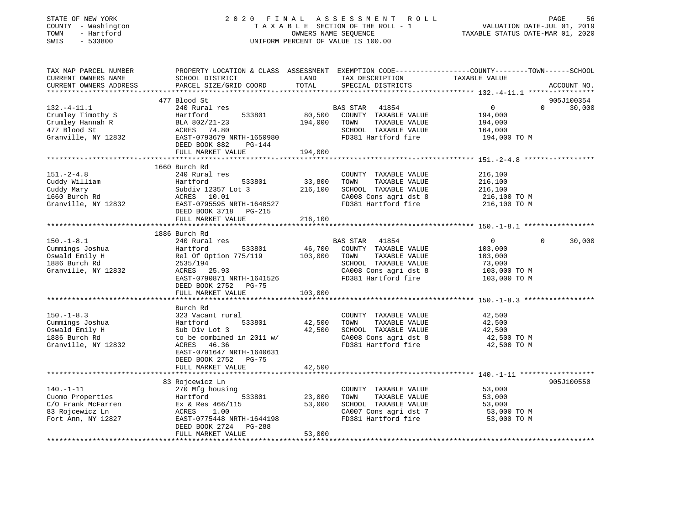| STATE OF NEW YORK<br>COUNTY - Washington<br>TOWN<br>- Hartford<br>$-533800$<br>SWIS                                                                                                                                                        | 2020 FINAL ASSESSMENT ROLL<br>UNIFORM PERCENT OF VALUE IS 100.00                                                                                                                                                                                          | PAGE<br>56<br>FINAL ASSESSMENT ROLL<br>TAXABLE SECTION OF THE ROLL - 1 VALUATION DATE-JUL 01, 2019<br>OWNERS NAME SEQUENCE TAXABLE STATUS DATE-MAR 01, 2020 |                                                                                                                                     |                                                                 |                             |
|--------------------------------------------------------------------------------------------------------------------------------------------------------------------------------------------------------------------------------------------|-----------------------------------------------------------------------------------------------------------------------------------------------------------------------------------------------------------------------------------------------------------|-------------------------------------------------------------------------------------------------------------------------------------------------------------|-------------------------------------------------------------------------------------------------------------------------------------|-----------------------------------------------------------------|-----------------------------|
| TAX MAP PARCEL NUMBER<br>CURRENT OWNERS NAME<br>CURRENT OWNERS ADDRESS<br>**********************                                                                                                                                           | PROPERTY LOCATION & CLASS ASSESSMENT EXEMPTION CODE----------------COUNTY-------TOWN------SCHOOL<br>SCHOOL DISTRICT LAND<br>PARCEL SIZE/GRID COORD                                                                                                        | TOTAL                                                                                                                                                       | TAX DESCRIPTION TAXABLE VALUE<br>SPECIAL DISTRICTS                                                                                  |                                                                 | ACCOUNT NO.                 |
| $132. - 4 - 11.1$<br>Crumley Timothy S<br>Crumley Hannah R<br>477 Blood St<br>Granville, NY 12832                                                                                                                                          | 477 Blood St<br>240 Rural res<br>Hartford 533801 80,500<br>BLA 802/21-23 194,000<br>ACRES 74.80<br>EAST-0793679 NRTH-1650980<br>DEED BOOK 882 PG-144                                                                                                      |                                                                                                                                                             | BAS STAR 41854<br>80,500 COUNTY TAXABLE VALUE<br>194,000 TOWN TAXABLE VALUE<br>SCHOOL TAXABLE VALUE<br>FD381 Hartford fire          | $\overline{0}$<br>194,000<br>194,000<br>164,000<br>194,000 TO M | 905J100354<br>$0 \t 30,000$ |
|                                                                                                                                                                                                                                            | FULL MARKET VALUE<br>1660 Burch Rd                                                                                                                                                                                                                        | 194,000                                                                                                                                                     |                                                                                                                                     |                                                                 |                             |
| $151 - 2 - 4.8$<br>Cuddy William (Cuddy Mary 12357 Lot 33,800 TOWN TAXABLE VALUE<br>Cuddy Mary Subdiv 12357 Lot 3<br>1660 Burch Rd ACRES 10.01 (CA008 Cons agri dst 8<br>Granville, NY 12832 EAST-0795595 NRTH-1640527 FD381 Hartford fire | 240 Rural res<br>Hartford 533801<br>DEED BOOK 3718 PG-215                                                                                                                                                                                                 |                                                                                                                                                             | COUNTY TAXABLE VALUE<br>33,800 TOWN TAXABLE VALUE<br>CA008 Cons agri dst 8<br>FD381 Hartford fire                                   | 216,100<br>216,100<br>216, 100<br>216,100 TO M<br>216,100 TO M  |                             |
|                                                                                                                                                                                                                                            | FULL MARKET VALUE                                                                                                                                                                                                                                         | 216,100                                                                                                                                                     |                                                                                                                                     |                                                                 |                             |
| $150. - 1 - 8.1$<br>Cummings Joshua<br>Oswald Emily H<br>1886 Burch Rd<br>Granville, NY 12832                                                                                                                                              | 1886 Burch Rd<br>240 Rural res<br>Hartford 533801<br>Hartford 533801 46,700 COUNTY TAXABLE VALUE<br>Rel Of Option 775/119 103,000 TOWN TAXABLE VALUE<br>2535/194<br>ACRES 25.93<br>EAST-0790871 NRTH-1641526<br>DEED BOOK 2752 PG-75<br>FULL MARKET VALUE | 103,000                                                                                                                                                     | BAS STAR 41854<br>SCHOOL TAXABLE VALUE<br>CA008 Cons agri dst 8<br>FD381 Hartford fire 103,000 TO M                                 | $\overline{0}$<br>103,000<br>103,000<br>73,000<br>103,000 TO M  | $\Omega$<br>30,000          |
|                                                                                                                                                                                                                                            |                                                                                                                                                                                                                                                           |                                                                                                                                                             |                                                                                                                                     |                                                                 |                             |
| $150. - 1 - 8.3$<br>Cummings Joshua<br>Oswald Emily H<br>1886 Burch Rd<br>Granville, NY 12832                                                                                                                                              | Burch Rd<br>323 Vacant rural<br>Hartford 533801<br>Sub Div Lot 3<br>to be combined in 2011 w/<br>ACRES 46.36<br>EAST-0791647 NRTH-1640631                                                                                                                 |                                                                                                                                                             | COUNTY TAXABLE VALUE<br>42,500 TOWN TAXABLE VALUE<br>42,500 SCHOOL TAXABLE VALUE<br>CA008 Cons agri dst 8<br>FD381 Hartford fire    | 42,500<br>42,500<br>42,500<br>42,500 TO M<br>42,500 TO M        |                             |
|                                                                                                                                                                                                                                            | DEED BOOK 2752 PG-75<br>FULL MARKET VALUE                                                                                                                                                                                                                 | 42,500                                                                                                                                                      |                                                                                                                                     |                                                                 |                             |
| $140. - 1 - 11$<br>140.-1-11<br>Cuomo Properties<br>C/O Frank McFarren<br>C/O Frank McFarren<br>CRES 1.00<br>Fort Ann, NY 12827                                                                                                            | 83 Rojcewicz Ln<br>270 Mfg housing<br>EAST-0775448 NRTH-1644198<br>DEED BOOK 2724 PG-288<br>FULL MARKET VALUE                                                                                                                                             | 53,000                                                                                                                                                      | COUNTY TAXABLE VALUE<br>23,000 TOWN<br>TAXABLE VALUE<br>53,000 SCHOOL TAXABLE VALUE<br>CA007 Cons agri dst 7<br>FD381 Hartford fire | 53,000<br>53,000<br>53,000<br>53,000 TO M<br>53,000 TO M        | 905J100550                  |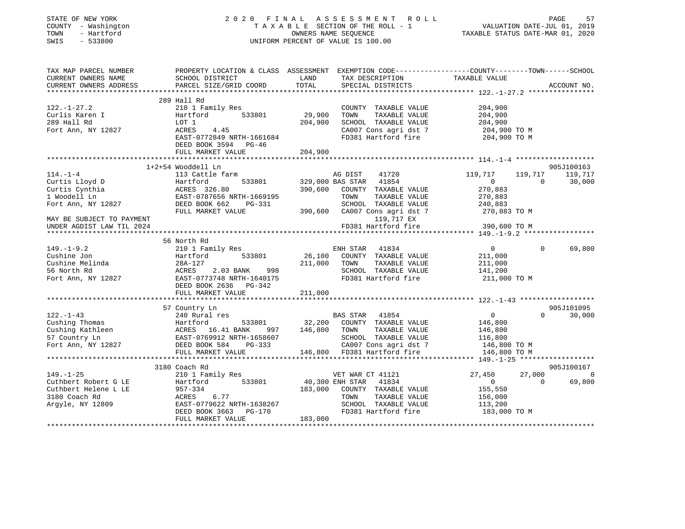|                                | UNIFORM PERCENT OF VALUE IS 100.00                                                                                                                                                                                                    |                                                                                                                                                          | FINAL ASSESSMENT ROLL<br>TAXABLE SECTION OF THE ROLL - 1 VALUATION DATE-JUL 01, 2019<br>OWNERS NAME SEQUENCE TAXABLE STATUS DATE-MAR 01, 2020                                                                                                       |                                                                                                                                                                                                                                                                       |                          |                                                                                                                                                                                                                                                                                                                                                                                   |
|--------------------------------|---------------------------------------------------------------------------------------------------------------------------------------------------------------------------------------------------------------------------------------|----------------------------------------------------------------------------------------------------------------------------------------------------------|-----------------------------------------------------------------------------------------------------------------------------------------------------------------------------------------------------------------------------------------------------|-----------------------------------------------------------------------------------------------------------------------------------------------------------------------------------------------------------------------------------------------------------------------|--------------------------|-----------------------------------------------------------------------------------------------------------------------------------------------------------------------------------------------------------------------------------------------------------------------------------------------------------------------------------------------------------------------------------|
|                                |                                                                                                                                                                                                                                       |                                                                                                                                                          |                                                                                                                                                                                                                                                     |                                                                                                                                                                                                                                                                       |                          |                                                                                                                                                                                                                                                                                                                                                                                   |
|                                |                                                                                                                                                                                                                                       |                                                                                                                                                          |                                                                                                                                                                                                                                                     |                                                                                                                                                                                                                                                                       |                          |                                                                                                                                                                                                                                                                                                                                                                                   |
|                                |                                                                                                                                                                                                                                       |                                                                                                                                                          |                                                                                                                                                                                                                                                     |                                                                                                                                                                                                                                                                       |                          |                                                                                                                                                                                                                                                                                                                                                                                   |
|                                |                                                                                                                                                                                                                                       |                                                                                                                                                          | PROPERTY LOCATION & CLASS ASSESSMENT EXEMPTION CODE---------------COUNTY-------TOWN------SCHOOL                                                                                                                                                     |                                                                                                                                                                                                                                                                       |                          |                                                                                                                                                                                                                                                                                                                                                                                   |
| SCHOOL DISTRICT<br><b>LAND</b> |                                                                                                                                                                                                                                       |                                                                                                                                                          |                                                                                                                                                                                                                                                     |                                                                                                                                                                                                                                                                       |                          |                                                                                                                                                                                                                                                                                                                                                                                   |
| PARCEL SIZE/GRID COORD         | TOTAL                                                                                                                                                                                                                                 |                                                                                                                                                          | TAX DESCRIPTION TAXABLE VALUE<br>SPECIAL DISTRICTS TAXABLE VALUE                                                                                                                                                                                    |                                                                                                                                                                                                                                                                       |                          | ACCOUNT NO.                                                                                                                                                                                                                                                                                                                                                                       |
|                                |                                                                                                                                                                                                                                       |                                                                                                                                                          |                                                                                                                                                                                                                                                     |                                                                                                                                                                                                                                                                       |                          |                                                                                                                                                                                                                                                                                                                                                                                   |
|                                |                                                                                                                                                                                                                                       |                                                                                                                                                          |                                                                                                                                                                                                                                                     |                                                                                                                                                                                                                                                                       |                          |                                                                                                                                                                                                                                                                                                                                                                                   |
| 210 1 Family Res               |                                                                                                                                                                                                                                       |                                                                                                                                                          | COUNTY TAXABLE VALUE 204,900                                                                                                                                                                                                                        |                                                                                                                                                                                                                                                                       |                          |                                                                                                                                                                                                                                                                                                                                                                                   |
|                                | 29,900                                                                                                                                                                                                                                | TOWN                                                                                                                                                     | TAXABLE VALUE                                                                                                                                                                                                                                       | 204,900                                                                                                                                                                                                                                                               |                          |                                                                                                                                                                                                                                                                                                                                                                                   |
|                                | 204,900                                                                                                                                                                                                                               |                                                                                                                                                          | SCHOOL TAXABLE VALUE                                                                                                                                                                                                                                |                                                                                                                                                                                                                                                                       |                          |                                                                                                                                                                                                                                                                                                                                                                                   |
| LOT 1<br>ACRES 4.45            |                                                                                                                                                                                                                                       |                                                                                                                                                          | SCHOOL TAXABLE VALUE<br>CA007 Cons agri dst 7 204,900 TO M                                                                                                                                                                                          |                                                                                                                                                                                                                                                                       |                          |                                                                                                                                                                                                                                                                                                                                                                                   |
| EAST-0772849 NRTH-1661684      |                                                                                                                                                                                                                                       |                                                                                                                                                          | FD381 Hartford fire                                                                                                                                                                                                                                 | 204,900 TO M                                                                                                                                                                                                                                                          |                          |                                                                                                                                                                                                                                                                                                                                                                                   |
| DEED BOOK 3594 PG-46           |                                                                                                                                                                                                                                       |                                                                                                                                                          |                                                                                                                                                                                                                                                     |                                                                                                                                                                                                                                                                       |                          |                                                                                                                                                                                                                                                                                                                                                                                   |
| FULL MARKET VALUE              | 204,900                                                                                                                                                                                                                               |                                                                                                                                                          |                                                                                                                                                                                                                                                     |                                                                                                                                                                                                                                                                       |                          |                                                                                                                                                                                                                                                                                                                                                                                   |
| ****************************   |                                                                                                                                                                                                                                       |                                                                                                                                                          |                                                                                                                                                                                                                                                     |                                                                                                                                                                                                                                                                       |                          |                                                                                                                                                                                                                                                                                                                                                                                   |
|                                |                                                                                                                                                                                                                                       |                                                                                                                                                          |                                                                                                                                                                                                                                                     |                                                                                                                                                                                                                                                                       |                          | 905J100163                                                                                                                                                                                                                                                                                                                                                                        |
|                                |                                                                                                                                                                                                                                       |                                                                                                                                                          | $41720$ $119,717$<br>114.-1-4<br>Curtis Lloyd D<br>Curtis Cynthia Hartford 533801 329,000 BAS STAR 41854<br>Curtis Cynthia ACRES 326.80<br>1 Woodell Ln EAST-0787656 NRTH-1669195<br>Fort Ann, NY 12827 DEED BOOK 662 PG-331<br>CHOOL TAXABLE VALUE |                                                                                                                                                                                                                                                                       | 119,717 119,717          |                                                                                                                                                                                                                                                                                                                                                                                   |
|                                |                                                                                                                                                                                                                                       |                                                                                                                                                          |                                                                                                                                                                                                                                                     | $\sim$ 0                                                                                                                                                                                                                                                              | $\overline{0}$           | 30,000                                                                                                                                                                                                                                                                                                                                                                            |
|                                |                                                                                                                                                                                                                                       |                                                                                                                                                          |                                                                                                                                                                                                                                                     | 270,883<br>270,883                                                                                                                                                                                                                                                    |                          |                                                                                                                                                                                                                                                                                                                                                                                   |
|                                |                                                                                                                                                                                                                                       |                                                                                                                                                          |                                                                                                                                                                                                                                                     |                                                                                                                                                                                                                                                                       |                          |                                                                                                                                                                                                                                                                                                                                                                                   |
|                                |                                                                                                                                                                                                                                       |                                                                                                                                                          |                                                                                                                                                                                                                                                     | 240,883                                                                                                                                                                                                                                                               |                          |                                                                                                                                                                                                                                                                                                                                                                                   |
|                                |                                                                                                                                                                                                                                       |                                                                                                                                                          | 119,717 EX                                                                                                                                                                                                                                          |                                                                                                                                                                                                                                                                       |                          |                                                                                                                                                                                                                                                                                                                                                                                   |
|                                |                                                                                                                                                                                                                                       |                                                                                                                                                          | FD381 Hartford fire                                                                                                                                                                                                                                 | 390,600 TO M                                                                                                                                                                                                                                                          |                          |                                                                                                                                                                                                                                                                                                                                                                                   |
|                                |                                                                                                                                                                                                                                       |                                                                                                                                                          |                                                                                                                                                                                                                                                     |                                                                                                                                                                                                                                                                       |                          |                                                                                                                                                                                                                                                                                                                                                                                   |
|                                |                                                                                                                                                                                                                                       |                                                                                                                                                          |                                                                                                                                                                                                                                                     |                                                                                                                                                                                                                                                                       |                          |                                                                                                                                                                                                                                                                                                                                                                                   |
| 210 1 Family Res               |                                                                                                                                                                                                                                       | ENH STAR 41834                                                                                                                                           |                                                                                                                                                                                                                                                     | $\overline{0}$                                                                                                                                                                                                                                                        | $\Omega$                 | 69,800                                                                                                                                                                                                                                                                                                                                                                            |
|                                |                                                                                                                                                                                                                                       |                                                                                                                                                          | 26,100 COUNTY TAXABLE VALUE                                                                                                                                                                                                                         | 211,000<br>211,000                                                                                                                                                                                                                                                    |                          |                                                                                                                                                                                                                                                                                                                                                                                   |
|                                |                                                                                                                                                                                                                                       |                                                                                                                                                          | TAXABLE VALUE                                                                                                                                                                                                                                       |                                                                                                                                                                                                                                                                       |                          |                                                                                                                                                                                                                                                                                                                                                                                   |
|                                |                                                                                                                                                                                                                                       |                                                                                                                                                          |                                                                                                                                                                                                                                                     |                                                                                                                                                                                                                                                                       |                          |                                                                                                                                                                                                                                                                                                                                                                                   |
|                                |                                                                                                                                                                                                                                       |                                                                                                                                                          |                                                                                                                                                                                                                                                     |                                                                                                                                                                                                                                                                       |                          |                                                                                                                                                                                                                                                                                                                                                                                   |
|                                |                                                                                                                                                                                                                                       |                                                                                                                                                          |                                                                                                                                                                                                                                                     |                                                                                                                                                                                                                                                                       |                          |                                                                                                                                                                                                                                                                                                                                                                                   |
|                                | 211,000                                                                                                                                                                                                                               |                                                                                                                                                          |                                                                                                                                                                                                                                                     |                                                                                                                                                                                                                                                                       |                          |                                                                                                                                                                                                                                                                                                                                                                                   |
|                                |                                                                                                                                                                                                                                       |                                                                                                                                                          |                                                                                                                                                                                                                                                     |                                                                                                                                                                                                                                                                       |                          |                                                                                                                                                                                                                                                                                                                                                                                   |
|                                |                                                                                                                                                                                                                                       |                                                                                                                                                          |                                                                                                                                                                                                                                                     |                                                                                                                                                                                                                                                                       |                          | 905J101095                                                                                                                                                                                                                                                                                                                                                                        |
|                                |                                                                                                                                                                                                                                       |                                                                                                                                                          |                                                                                                                                                                                                                                                     |                                                                                                                                                                                                                                                                       |                          | $0 \t30,000$                                                                                                                                                                                                                                                                                                                                                                      |
|                                |                                                                                                                                                                                                                                       |                                                                                                                                                          |                                                                                                                                                                                                                                                     |                                                                                                                                                                                                                                                                       |                          |                                                                                                                                                                                                                                                                                                                                                                                   |
|                                |                                                                                                                                                                                                                                       |                                                                                                                                                          |                                                                                                                                                                                                                                                     |                                                                                                                                                                                                                                                                       |                          |                                                                                                                                                                                                                                                                                                                                                                                   |
|                                |                                                                                                                                                                                                                                       |                                                                                                                                                          |                                                                                                                                                                                                                                                     |                                                                                                                                                                                                                                                                       |                          |                                                                                                                                                                                                                                                                                                                                                                                   |
|                                |                                                                                                                                                                                                                                       |                                                                                                                                                          |                                                                                                                                                                                                                                                     |                                                                                                                                                                                                                                                                       |                          |                                                                                                                                                                                                                                                                                                                                                                                   |
|                                |                                                                                                                                                                                                                                       |                                                                                                                                                          |                                                                                                                                                                                                                                                     |                                                                                                                                                                                                                                                                       |                          |                                                                                                                                                                                                                                                                                                                                                                                   |
|                                |                                                                                                                                                                                                                                       |                                                                                                                                                          |                                                                                                                                                                                                                                                     |                                                                                                                                                                                                                                                                       |                          | 905J100167                                                                                                                                                                                                                                                                                                                                                                        |
|                                |                                                                                                                                                                                                                                       |                                                                                                                                                          |                                                                                                                                                                                                                                                     |                                                                                                                                                                                                                                                                       |                          | 0                                                                                                                                                                                                                                                                                                                                                                                 |
|                                |                                                                                                                                                                                                                                       |                                                                                                                                                          |                                                                                                                                                                                                                                                     |                                                                                                                                                                                                                                                                       |                          |                                                                                                                                                                                                                                                                                                                                                                                   |
|                                |                                                                                                                                                                                                                                       |                                                                                                                                                          |                                                                                                                                                                                                                                                     |                                                                                                                                                                                                                                                                       |                          |                                                                                                                                                                                                                                                                                                                                                                                   |
|                                |                                                                                                                                                                                                                                       |                                                                                                                                                          |                                                                                                                                                                                                                                                     |                                                                                                                                                                                                                                                                       |                          |                                                                                                                                                                                                                                                                                                                                                                                   |
|                                |                                                                                                                                                                                                                                       |                                                                                                                                                          |                                                                                                                                                                                                                                                     |                                                                                                                                                                                                                                                                       |                          |                                                                                                                                                                                                                                                                                                                                                                                   |
|                                |                                                                                                                                                                                                                                       |                                                                                                                                                          |                                                                                                                                                                                                                                                     |                                                                                                                                                                                                                                                                       |                          |                                                                                                                                                                                                                                                                                                                                                                                   |
|                                |                                                                                                                                                                                                                                       |                                                                                                                                                          |                                                                                                                                                                                                                                                     |                                                                                                                                                                                                                                                                       |                          |                                                                                                                                                                                                                                                                                                                                                                                   |
|                                | DEED BOOK 2636 PG-342<br>FULL MARKET VALUE<br>*************************<br>240 Rural res<br>210 1 Family Res<br>Cuthbert Robert G LE Martford 533801<br>Cuthbert Helene L LE 957-334<br>3180 Coach Rd ACRES 6.77<br>FULL MARKET VALUE | Cushine Jon<br>Cushine Jon<br>Cushine Melinda<br>28A-127<br>56 North Rd<br>Fort Ann, NY 12827<br>2.03 BANK<br>EAST-0773748 NRTH-1640175<br>2.03 BANK 998 | 211,000 TOWN<br>183,000                                                                                                                                                                                                                             | 122.-1-43<br>Cushing Thomas<br>Cushing Kathleen<br>EXET-0769912 NRTH-1658607<br>Fort Ann, NY 12827<br>FULL MARKET VALUE<br>CUSHING SCHOOL TAXABLE VALUE<br>Fort Ann, NY 12827<br>FULL MARKET VALUE<br>CAUS 2146,800<br>CAUS 2007 CONN TAXABLE VAL<br>VET WAR CT 41121 | $\overline{0}$<br>27,450 | $\begin{array}{c} 0 \\ 146,800 \\ 146,800 \\ 116,800 \\ 146,800 \text{ TO M} \\ 146,800 \text{ TO M} \end{array}$<br>27,000<br>0 69,800<br>Hartford 533801 40,300 ENH STAR 41834 0<br>957-334 183,000 COUNTY TAXABLE VALUE 155,550<br>ACRES 6.77 TOWN TAXABLE VALUE 156,000<br>EAST-0779622 NRTH-1638267 SCHOOL TAXABLE VALUE 13,200<br>DEED BOOK 3663 PG-170 FD381 Hartford fire |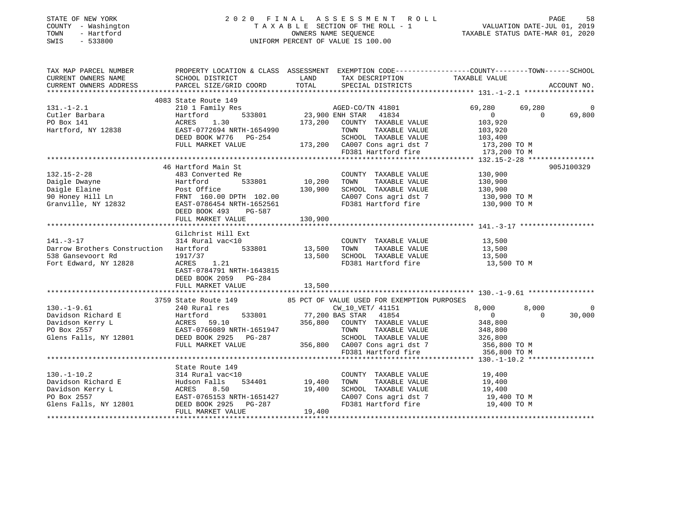## STATE OF NEW YORK 2 0 2 0 F I N A L A S S E S S M E N T R O L L PAGE 58 COUNTY - Washington T A X A B L E SECTION OF THE ROLL - 1 VALUATION DATE-JUL 01, 2019 TOWN - Hartford OWNERS NAME SEQUENCE TAXABLE STATUS DATE-MAR 01, 2020 SWIS - 533800 UNIFORM PERCENT OF VALUE IS 100.00

| LAND TAX DESCRIPTION<br>TAXABLE VALUE<br>CURRENT OWNERS NAME<br>SCHOOL DISTRICT<br>CURRENT OWNERS ADDRESS<br>PARCEL SIZE/GRID COORD<br>TOTAL SPECIAL DISTRICTS<br>ACCOUNT NO.<br>4083 State Route 149<br>State Route 149<br>210 1 Family Res<br>Hartford 533801 23,900 ENH STAR 41834<br>1834<br>$131. - 1 - 2.1$<br>69,280<br>69,280<br>$\overline{0}$<br>$\overline{0}$<br>$\Omega$<br>69,800<br>Cutler Barbara<br>ACRES 1.30 173,200 COUNTY TAXABLE VALUE 103,920<br>EAST-0772694 NRTH-1654990 TOWN TAXABLE VALUE 103,920<br>DEED BOOK W776 PG-254 SCHOOL TAXABLE VALUE 103,400<br>FULL MARKET VALUE 173,200 CA007 Cons agri dst 7 173,200 TO M<br>FD381<br>PO Box 141<br>Hartford, NY 12838<br>905J100329<br>46 Hartford Main St<br>-<br><u>B</u><br>533801 10,200 TOWN<br>COUNTY TAXABLE VALUE 130,900<br>483 Converted Re<br>132.15-2-28<br>Daigle Dwayne Hartford 533801 10,200 TOWN TAXABLE VALUE 130,900<br>Daigle Elaine Post Office 130,900 SCHOOL TAXABLE VALUE 130,900<br>90 Honey Hill Ln FRNT 160.00 DPTH 102.00 CA007 Cons agri dst 7 130,900 TO M<br>Gr<br>DEED BOOK 493<br>PG-587<br>130,900<br>FULL MARKET VALUE<br>Gilchrist Hill Ext<br>314 Rural vac<10<br>COUNTY TAXABLE VALUE<br>13,500<br>13,500<br>533801 13,500 TOWN<br>Darrow Brothers Construction Hartford<br>TAXABLE VALUE<br>13,500 SCHOOL TAXABLE VALUE 13,500<br>1917/37<br>538 Gansevoort Rd<br>Fort Edward, NY 12828<br>ACRES 1.21<br>FD381 Hartford fire<br>13,500 TO M<br>EAST-0784791 NRTH-1643815<br>DEED BOOK 2059 PG-284<br>13,500<br>FULL MARKET VALUE<br>3759 State Route 149 85 PCT OF VALUE USED FOR EXEMPTION PURPOSES<br>240 Rural res<br>$130. - 1 - 9.61$<br>8,000<br>8,000<br>CW_10_VET/ 41151<br>$\overline{0}$<br>$\Omega$<br>30,000<br>$356,800$ COUNTY TAXABLE VALUE 348,800<br>TOWN TAXABLE VALUE 348,800<br>SCHOOL TAXABLE VALUE 326,800<br>356,800 CA007 Cons agri dst 7 356,800 TO M<br>FD381 Hartford fire 356,800 TO M<br>FULL MARKET VALUE<br>356,800 TO M<br>State Route 149<br>130.-1-10.2<br>2 314 Rural vac<10<br>Davidson Richard E<br>Davidson Kerry L<br>PO Box 2557<br>Glens Falls, NY 12801<br>2 2011<br>2 2022<br>2 2022<br>2 2022<br>2 2022<br>2 2022<br>2 2022<br>2 2022<br>2 2022<br>2 2022<br>2 2022<br>2 2022<br>2 2022<br>2 2022<br>2 2<br>$\begin{array}{cc} 210 \\ 534401 \end{array}$ 19,400<br>COUNTY TAXABLE VALUE 19,400<br>TAXABLE VALUE<br>TAXABLE VALUE<br>TOWN<br>19,400<br>19,400<br>19,400<br>SCHOOL TAXABLE VALUE<br>CA007 Cons agri dst 7 $19,400$ TO M<br>FD381 Hartford fire<br>19,400 TO M<br>19,400<br>FULL MARKET VALUE | TAX MAP PARCEL NUMBER |  | PROPERTY LOCATION & CLASS ASSESSMENT EXEMPTION CODE---------------COUNTY-------TOWN-----SCHOOL |  |  |
|--------------------------------------------------------------------------------------------------------------------------------------------------------------------------------------------------------------------------------------------------------------------------------------------------------------------------------------------------------------------------------------------------------------------------------------------------------------------------------------------------------------------------------------------------------------------------------------------------------------------------------------------------------------------------------------------------------------------------------------------------------------------------------------------------------------------------------------------------------------------------------------------------------------------------------------------------------------------------------------------------------------------------------------------------------------------------------------------------------------------------------------------------------------------------------------------------------------------------------------------------------------------------------------------------------------------------------------------------------------------------------------------------------------------------------------------------------------------------------------------------------------------------------------------------------------------------------------------------------------------------------------------------------------------------------------------------------------------------------------------------------------------------------------------------------------------------------------------------------------------------------------------------------------------------------------------------------------------------------------------------------------------------------------------------------------------------------------------------------------------------------------------------------------------------------------------------------------------------------------------------------------------------------------------------------------------------------------------------------------------------------------------------------------------------------------------------------------------------------------------------------------------------------------------------------------------------|-----------------------|--|------------------------------------------------------------------------------------------------|--|--|
|                                                                                                                                                                                                                                                                                                                                                                                                                                                                                                                                                                                                                                                                                                                                                                                                                                                                                                                                                                                                                                                                                                                                                                                                                                                                                                                                                                                                                                                                                                                                                                                                                                                                                                                                                                                                                                                                                                                                                                                                                                                                                                                                                                                                                                                                                                                                                                                                                                                                                                                                                                          |                       |  |                                                                                                |  |  |
|                                                                                                                                                                                                                                                                                                                                                                                                                                                                                                                                                                                                                                                                                                                                                                                                                                                                                                                                                                                                                                                                                                                                                                                                                                                                                                                                                                                                                                                                                                                                                                                                                                                                                                                                                                                                                                                                                                                                                                                                                                                                                                                                                                                                                                                                                                                                                                                                                                                                                                                                                                          |                       |  |                                                                                                |  |  |
|                                                                                                                                                                                                                                                                                                                                                                                                                                                                                                                                                                                                                                                                                                                                                                                                                                                                                                                                                                                                                                                                                                                                                                                                                                                                                                                                                                                                                                                                                                                                                                                                                                                                                                                                                                                                                                                                                                                                                                                                                                                                                                                                                                                                                                                                                                                                                                                                                                                                                                                                                                          |                       |  |                                                                                                |  |  |
|                                                                                                                                                                                                                                                                                                                                                                                                                                                                                                                                                                                                                                                                                                                                                                                                                                                                                                                                                                                                                                                                                                                                                                                                                                                                                                                                                                                                                                                                                                                                                                                                                                                                                                                                                                                                                                                                                                                                                                                                                                                                                                                                                                                                                                                                                                                                                                                                                                                                                                                                                                          |                       |  |                                                                                                |  |  |
|                                                                                                                                                                                                                                                                                                                                                                                                                                                                                                                                                                                                                                                                                                                                                                                                                                                                                                                                                                                                                                                                                                                                                                                                                                                                                                                                                                                                                                                                                                                                                                                                                                                                                                                                                                                                                                                                                                                                                                                                                                                                                                                                                                                                                                                                                                                                                                                                                                                                                                                                                                          |                       |  |                                                                                                |  |  |
|                                                                                                                                                                                                                                                                                                                                                                                                                                                                                                                                                                                                                                                                                                                                                                                                                                                                                                                                                                                                                                                                                                                                                                                                                                                                                                                                                                                                                                                                                                                                                                                                                                                                                                                                                                                                                                                                                                                                                                                                                                                                                                                                                                                                                                                                                                                                                                                                                                                                                                                                                                          |                       |  |                                                                                                |  |  |
|                                                                                                                                                                                                                                                                                                                                                                                                                                                                                                                                                                                                                                                                                                                                                                                                                                                                                                                                                                                                                                                                                                                                                                                                                                                                                                                                                                                                                                                                                                                                                                                                                                                                                                                                                                                                                                                                                                                                                                                                                                                                                                                                                                                                                                                                                                                                                                                                                                                                                                                                                                          |                       |  |                                                                                                |  |  |
|                                                                                                                                                                                                                                                                                                                                                                                                                                                                                                                                                                                                                                                                                                                                                                                                                                                                                                                                                                                                                                                                                                                                                                                                                                                                                                                                                                                                                                                                                                                                                                                                                                                                                                                                                                                                                                                                                                                                                                                                                                                                                                                                                                                                                                                                                                                                                                                                                                                                                                                                                                          |                       |  |                                                                                                |  |  |
|                                                                                                                                                                                                                                                                                                                                                                                                                                                                                                                                                                                                                                                                                                                                                                                                                                                                                                                                                                                                                                                                                                                                                                                                                                                                                                                                                                                                                                                                                                                                                                                                                                                                                                                                                                                                                                                                                                                                                                                                                                                                                                                                                                                                                                                                                                                                                                                                                                                                                                                                                                          |                       |  |                                                                                                |  |  |
|                                                                                                                                                                                                                                                                                                                                                                                                                                                                                                                                                                                                                                                                                                                                                                                                                                                                                                                                                                                                                                                                                                                                                                                                                                                                                                                                                                                                                                                                                                                                                                                                                                                                                                                                                                                                                                                                                                                                                                                                                                                                                                                                                                                                                                                                                                                                                                                                                                                                                                                                                                          |                       |  |                                                                                                |  |  |
|                                                                                                                                                                                                                                                                                                                                                                                                                                                                                                                                                                                                                                                                                                                                                                                                                                                                                                                                                                                                                                                                                                                                                                                                                                                                                                                                                                                                                                                                                                                                                                                                                                                                                                                                                                                                                                                                                                                                                                                                                                                                                                                                                                                                                                                                                                                                                                                                                                                                                                                                                                          |                       |  |                                                                                                |  |  |
|                                                                                                                                                                                                                                                                                                                                                                                                                                                                                                                                                                                                                                                                                                                                                                                                                                                                                                                                                                                                                                                                                                                                                                                                                                                                                                                                                                                                                                                                                                                                                                                                                                                                                                                                                                                                                                                                                                                                                                                                                                                                                                                                                                                                                                                                                                                                                                                                                                                                                                                                                                          |                       |  |                                                                                                |  |  |
|                                                                                                                                                                                                                                                                                                                                                                                                                                                                                                                                                                                                                                                                                                                                                                                                                                                                                                                                                                                                                                                                                                                                                                                                                                                                                                                                                                                                                                                                                                                                                                                                                                                                                                                                                                                                                                                                                                                                                                                                                                                                                                                                                                                                                                                                                                                                                                                                                                                                                                                                                                          | $132.15 - 2 - 28$     |  |                                                                                                |  |  |
|                                                                                                                                                                                                                                                                                                                                                                                                                                                                                                                                                                                                                                                                                                                                                                                                                                                                                                                                                                                                                                                                                                                                                                                                                                                                                                                                                                                                                                                                                                                                                                                                                                                                                                                                                                                                                                                                                                                                                                                                                                                                                                                                                                                                                                                                                                                                                                                                                                                                                                                                                                          |                       |  |                                                                                                |  |  |
|                                                                                                                                                                                                                                                                                                                                                                                                                                                                                                                                                                                                                                                                                                                                                                                                                                                                                                                                                                                                                                                                                                                                                                                                                                                                                                                                                                                                                                                                                                                                                                                                                                                                                                                                                                                                                                                                                                                                                                                                                                                                                                                                                                                                                                                                                                                                                                                                                                                                                                                                                                          |                       |  |                                                                                                |  |  |
|                                                                                                                                                                                                                                                                                                                                                                                                                                                                                                                                                                                                                                                                                                                                                                                                                                                                                                                                                                                                                                                                                                                                                                                                                                                                                                                                                                                                                                                                                                                                                                                                                                                                                                                                                                                                                                                                                                                                                                                                                                                                                                                                                                                                                                                                                                                                                                                                                                                                                                                                                                          |                       |  |                                                                                                |  |  |
|                                                                                                                                                                                                                                                                                                                                                                                                                                                                                                                                                                                                                                                                                                                                                                                                                                                                                                                                                                                                                                                                                                                                                                                                                                                                                                                                                                                                                                                                                                                                                                                                                                                                                                                                                                                                                                                                                                                                                                                                                                                                                                                                                                                                                                                                                                                                                                                                                                                                                                                                                                          |                       |  |                                                                                                |  |  |
|                                                                                                                                                                                                                                                                                                                                                                                                                                                                                                                                                                                                                                                                                                                                                                                                                                                                                                                                                                                                                                                                                                                                                                                                                                                                                                                                                                                                                                                                                                                                                                                                                                                                                                                                                                                                                                                                                                                                                                                                                                                                                                                                                                                                                                                                                                                                                                                                                                                                                                                                                                          |                       |  |                                                                                                |  |  |
|                                                                                                                                                                                                                                                                                                                                                                                                                                                                                                                                                                                                                                                                                                                                                                                                                                                                                                                                                                                                                                                                                                                                                                                                                                                                                                                                                                                                                                                                                                                                                                                                                                                                                                                                                                                                                                                                                                                                                                                                                                                                                                                                                                                                                                                                                                                                                                                                                                                                                                                                                                          |                       |  |                                                                                                |  |  |
|                                                                                                                                                                                                                                                                                                                                                                                                                                                                                                                                                                                                                                                                                                                                                                                                                                                                                                                                                                                                                                                                                                                                                                                                                                                                                                                                                                                                                                                                                                                                                                                                                                                                                                                                                                                                                                                                                                                                                                                                                                                                                                                                                                                                                                                                                                                                                                                                                                                                                                                                                                          |                       |  |                                                                                                |  |  |
|                                                                                                                                                                                                                                                                                                                                                                                                                                                                                                                                                                                                                                                                                                                                                                                                                                                                                                                                                                                                                                                                                                                                                                                                                                                                                                                                                                                                                                                                                                                                                                                                                                                                                                                                                                                                                                                                                                                                                                                                                                                                                                                                                                                                                                                                                                                                                                                                                                                                                                                                                                          |                       |  |                                                                                                |  |  |
|                                                                                                                                                                                                                                                                                                                                                                                                                                                                                                                                                                                                                                                                                                                                                                                                                                                                                                                                                                                                                                                                                                                                                                                                                                                                                                                                                                                                                                                                                                                                                                                                                                                                                                                                                                                                                                                                                                                                                                                                                                                                                                                                                                                                                                                                                                                                                                                                                                                                                                                                                                          | $141. - 3 - 17$       |  |                                                                                                |  |  |
|                                                                                                                                                                                                                                                                                                                                                                                                                                                                                                                                                                                                                                                                                                                                                                                                                                                                                                                                                                                                                                                                                                                                                                                                                                                                                                                                                                                                                                                                                                                                                                                                                                                                                                                                                                                                                                                                                                                                                                                                                                                                                                                                                                                                                                                                                                                                                                                                                                                                                                                                                                          |                       |  |                                                                                                |  |  |
|                                                                                                                                                                                                                                                                                                                                                                                                                                                                                                                                                                                                                                                                                                                                                                                                                                                                                                                                                                                                                                                                                                                                                                                                                                                                                                                                                                                                                                                                                                                                                                                                                                                                                                                                                                                                                                                                                                                                                                                                                                                                                                                                                                                                                                                                                                                                                                                                                                                                                                                                                                          |                       |  |                                                                                                |  |  |
|                                                                                                                                                                                                                                                                                                                                                                                                                                                                                                                                                                                                                                                                                                                                                                                                                                                                                                                                                                                                                                                                                                                                                                                                                                                                                                                                                                                                                                                                                                                                                                                                                                                                                                                                                                                                                                                                                                                                                                                                                                                                                                                                                                                                                                                                                                                                                                                                                                                                                                                                                                          |                       |  |                                                                                                |  |  |
|                                                                                                                                                                                                                                                                                                                                                                                                                                                                                                                                                                                                                                                                                                                                                                                                                                                                                                                                                                                                                                                                                                                                                                                                                                                                                                                                                                                                                                                                                                                                                                                                                                                                                                                                                                                                                                                                                                                                                                                                                                                                                                                                                                                                                                                                                                                                                                                                                                                                                                                                                                          |                       |  |                                                                                                |  |  |
|                                                                                                                                                                                                                                                                                                                                                                                                                                                                                                                                                                                                                                                                                                                                                                                                                                                                                                                                                                                                                                                                                                                                                                                                                                                                                                                                                                                                                                                                                                                                                                                                                                                                                                                                                                                                                                                                                                                                                                                                                                                                                                                                                                                                                                                                                                                                                                                                                                                                                                                                                                          |                       |  |                                                                                                |  |  |
|                                                                                                                                                                                                                                                                                                                                                                                                                                                                                                                                                                                                                                                                                                                                                                                                                                                                                                                                                                                                                                                                                                                                                                                                                                                                                                                                                                                                                                                                                                                                                                                                                                                                                                                                                                                                                                                                                                                                                                                                                                                                                                                                                                                                                                                                                                                                                                                                                                                                                                                                                                          |                       |  |                                                                                                |  |  |
|                                                                                                                                                                                                                                                                                                                                                                                                                                                                                                                                                                                                                                                                                                                                                                                                                                                                                                                                                                                                                                                                                                                                                                                                                                                                                                                                                                                                                                                                                                                                                                                                                                                                                                                                                                                                                                                                                                                                                                                                                                                                                                                                                                                                                                                                                                                                                                                                                                                                                                                                                                          |                       |  |                                                                                                |  |  |
|                                                                                                                                                                                                                                                                                                                                                                                                                                                                                                                                                                                                                                                                                                                                                                                                                                                                                                                                                                                                                                                                                                                                                                                                                                                                                                                                                                                                                                                                                                                                                                                                                                                                                                                                                                                                                                                                                                                                                                                                                                                                                                                                                                                                                                                                                                                                                                                                                                                                                                                                                                          |                       |  |                                                                                                |  |  |
|                                                                                                                                                                                                                                                                                                                                                                                                                                                                                                                                                                                                                                                                                                                                                                                                                                                                                                                                                                                                                                                                                                                                                                                                                                                                                                                                                                                                                                                                                                                                                                                                                                                                                                                                                                                                                                                                                                                                                                                                                                                                                                                                                                                                                                                                                                                                                                                                                                                                                                                                                                          |                       |  |                                                                                                |  |  |
|                                                                                                                                                                                                                                                                                                                                                                                                                                                                                                                                                                                                                                                                                                                                                                                                                                                                                                                                                                                                                                                                                                                                                                                                                                                                                                                                                                                                                                                                                                                                                                                                                                                                                                                                                                                                                                                                                                                                                                                                                                                                                                                                                                                                                                                                                                                                                                                                                                                                                                                                                                          |                       |  |                                                                                                |  |  |
|                                                                                                                                                                                                                                                                                                                                                                                                                                                                                                                                                                                                                                                                                                                                                                                                                                                                                                                                                                                                                                                                                                                                                                                                                                                                                                                                                                                                                                                                                                                                                                                                                                                                                                                                                                                                                                                                                                                                                                                                                                                                                                                                                                                                                                                                                                                                                                                                                                                                                                                                                                          |                       |  |                                                                                                |  |  |
|                                                                                                                                                                                                                                                                                                                                                                                                                                                                                                                                                                                                                                                                                                                                                                                                                                                                                                                                                                                                                                                                                                                                                                                                                                                                                                                                                                                                                                                                                                                                                                                                                                                                                                                                                                                                                                                                                                                                                                                                                                                                                                                                                                                                                                                                                                                                                                                                                                                                                                                                                                          |                       |  |                                                                                                |  |  |
|                                                                                                                                                                                                                                                                                                                                                                                                                                                                                                                                                                                                                                                                                                                                                                                                                                                                                                                                                                                                                                                                                                                                                                                                                                                                                                                                                                                                                                                                                                                                                                                                                                                                                                                                                                                                                                                                                                                                                                                                                                                                                                                                                                                                                                                                                                                                                                                                                                                                                                                                                                          |                       |  |                                                                                                |  |  |
|                                                                                                                                                                                                                                                                                                                                                                                                                                                                                                                                                                                                                                                                                                                                                                                                                                                                                                                                                                                                                                                                                                                                                                                                                                                                                                                                                                                                                                                                                                                                                                                                                                                                                                                                                                                                                                                                                                                                                                                                                                                                                                                                                                                                                                                                                                                                                                                                                                                                                                                                                                          |                       |  |                                                                                                |  |  |
|                                                                                                                                                                                                                                                                                                                                                                                                                                                                                                                                                                                                                                                                                                                                                                                                                                                                                                                                                                                                                                                                                                                                                                                                                                                                                                                                                                                                                                                                                                                                                                                                                                                                                                                                                                                                                                                                                                                                                                                                                                                                                                                                                                                                                                                                                                                                                                                                                                                                                                                                                                          |                       |  |                                                                                                |  |  |
|                                                                                                                                                                                                                                                                                                                                                                                                                                                                                                                                                                                                                                                                                                                                                                                                                                                                                                                                                                                                                                                                                                                                                                                                                                                                                                                                                                                                                                                                                                                                                                                                                                                                                                                                                                                                                                                                                                                                                                                                                                                                                                                                                                                                                                                                                                                                                                                                                                                                                                                                                                          |                       |  |                                                                                                |  |  |
|                                                                                                                                                                                                                                                                                                                                                                                                                                                                                                                                                                                                                                                                                                                                                                                                                                                                                                                                                                                                                                                                                                                                                                                                                                                                                                                                                                                                                                                                                                                                                                                                                                                                                                                                                                                                                                                                                                                                                                                                                                                                                                                                                                                                                                                                                                                                                                                                                                                                                                                                                                          |                       |  |                                                                                                |  |  |
|                                                                                                                                                                                                                                                                                                                                                                                                                                                                                                                                                                                                                                                                                                                                                                                                                                                                                                                                                                                                                                                                                                                                                                                                                                                                                                                                                                                                                                                                                                                                                                                                                                                                                                                                                                                                                                                                                                                                                                                                                                                                                                                                                                                                                                                                                                                                                                                                                                                                                                                                                                          |                       |  |                                                                                                |  |  |
|                                                                                                                                                                                                                                                                                                                                                                                                                                                                                                                                                                                                                                                                                                                                                                                                                                                                                                                                                                                                                                                                                                                                                                                                                                                                                                                                                                                                                                                                                                                                                                                                                                                                                                                                                                                                                                                                                                                                                                                                                                                                                                                                                                                                                                                                                                                                                                                                                                                                                                                                                                          |                       |  |                                                                                                |  |  |
|                                                                                                                                                                                                                                                                                                                                                                                                                                                                                                                                                                                                                                                                                                                                                                                                                                                                                                                                                                                                                                                                                                                                                                                                                                                                                                                                                                                                                                                                                                                                                                                                                                                                                                                                                                                                                                                                                                                                                                                                                                                                                                                                                                                                                                                                                                                                                                                                                                                                                                                                                                          |                       |  |                                                                                                |  |  |
|                                                                                                                                                                                                                                                                                                                                                                                                                                                                                                                                                                                                                                                                                                                                                                                                                                                                                                                                                                                                                                                                                                                                                                                                                                                                                                                                                                                                                                                                                                                                                                                                                                                                                                                                                                                                                                                                                                                                                                                                                                                                                                                                                                                                                                                                                                                                                                                                                                                                                                                                                                          |                       |  |                                                                                                |  |  |
|                                                                                                                                                                                                                                                                                                                                                                                                                                                                                                                                                                                                                                                                                                                                                                                                                                                                                                                                                                                                                                                                                                                                                                                                                                                                                                                                                                                                                                                                                                                                                                                                                                                                                                                                                                                                                                                                                                                                                                                                                                                                                                                                                                                                                                                                                                                                                                                                                                                                                                                                                                          |                       |  |                                                                                                |  |  |
|                                                                                                                                                                                                                                                                                                                                                                                                                                                                                                                                                                                                                                                                                                                                                                                                                                                                                                                                                                                                                                                                                                                                                                                                                                                                                                                                                                                                                                                                                                                                                                                                                                                                                                                                                                                                                                                                                                                                                                                                                                                                                                                                                                                                                                                                                                                                                                                                                                                                                                                                                                          |                       |  |                                                                                                |  |  |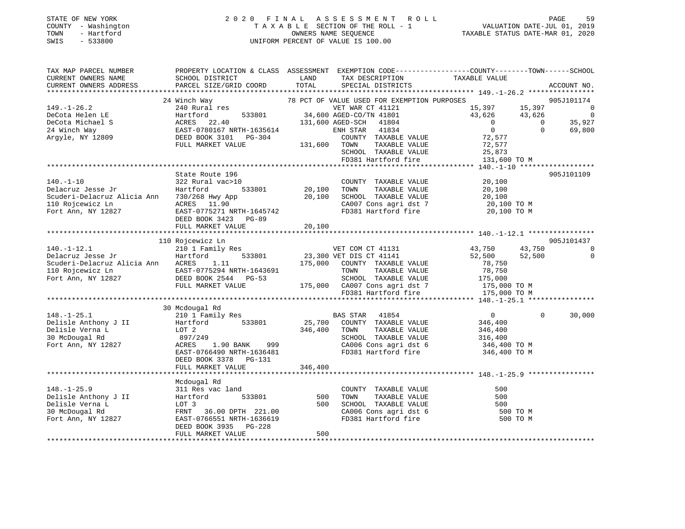### STATE OF NEW YORK 2 0 2 0 F I N A L A S S E S S M E N T R O L L PAGE 59 COUNTY - Washington T A X A B L E SECTION OF THE ROLL - 1 VALUATION DATE-JUL 01, 2019 TOWN - Hartford OWNERS NAME SEQUENCE TAXABLE STATUS DATE-MAR 01, 2020 SWIS - 533800 UNIFORM PERCENT OF VALUE IS 100.00

| TAX MAP PARCEL NUMBER                                                                                                                                                                                                                             | PROPERTY LOCATION & CLASS ASSESSMENT EXEMPTION CODE-----------------COUNTY-------TOWN-----SCHOOL |         |                                                                                                                                                                                                                                                                                                                                                                     |                   |          |                |
|---------------------------------------------------------------------------------------------------------------------------------------------------------------------------------------------------------------------------------------------------|--------------------------------------------------------------------------------------------------|---------|---------------------------------------------------------------------------------------------------------------------------------------------------------------------------------------------------------------------------------------------------------------------------------------------------------------------------------------------------------------------|-------------------|----------|----------------|
| CURRENT OWNERS NAME                                                                                                                                                                                                                               | SCHOOL DISTRICT                                                                                  | LAND    |                                                                                                                                                                                                                                                                                                                                                                     |                   |          |                |
| CURRENT OWNERS ADDRESS PARCEL SIZE/GRID COORD TOTAL                                                                                                                                                                                               |                                                                                                  |         | TAX DESCRIPTION TAXABLE VALUE SPECIAL DISTRICTS                                                                                                                                                                                                                                                                                                                     |                   |          | ACCOUNT NO.    |
|                                                                                                                                                                                                                                                   |                                                                                                  |         |                                                                                                                                                                                                                                                                                                                                                                     |                   |          |                |
|                                                                                                                                                                                                                                                   | 24 Winch Way                                                                                     |         |                                                                                                                                                                                                                                                                                                                                                                     |                   |          |                |
|                                                                                                                                                                                                                                                   |                                                                                                  |         | 78 PCT OF VALUE USED FOR EXEMPTION PURPOSES 905J101174<br>15,397 15,397 15,397 0<br>15, 33801<br>533801 34,600 AGED-CO/TN 41801<br>169,8927<br>169,800 131,600 AGED-SCH 41804<br>17 1635614<br>17 1635614<br>17 1635614<br>1834<br>1834<br>1834<br>1884<br>1884<br>1884<br>1884<br>1884<br>1884<br>1884<br>1884<br>1884<br>1884<br>1884<br>1884<br>1884<br>1884<br> |                   |          |                |
|                                                                                                                                                                                                                                                   |                                                                                                  |         |                                                                                                                                                                                                                                                                                                                                                                     |                   |          |                |
|                                                                                                                                                                                                                                                   |                                                                                                  |         |                                                                                                                                                                                                                                                                                                                                                                     |                   |          |                |
|                                                                                                                                                                                                                                                   |                                                                                                  |         |                                                                                                                                                                                                                                                                                                                                                                     |                   |          |                |
|                                                                                                                                                                                                                                                   |                                                                                                  |         |                                                                                                                                                                                                                                                                                                                                                                     | 72,577            |          |                |
|                                                                                                                                                                                                                                                   |                                                                                                  |         |                                                                                                                                                                                                                                                                                                                                                                     |                   |          |                |
|                                                                                                                                                                                                                                                   |                                                                                                  |         | TOWN TAXABLE VALUE 72,577<br>SCHOOL TAXABLE VALUE 25,873<br>FD381 Hartford fire 131,600 TO M                                                                                                                                                                                                                                                                        |                   |          |                |
|                                                                                                                                                                                                                                                   |                                                                                                  |         |                                                                                                                                                                                                                                                                                                                                                                     |                   |          |                |
|                                                                                                                                                                                                                                                   |                                                                                                  |         |                                                                                                                                                                                                                                                                                                                                                                     |                   |          |                |
|                                                                                                                                                                                                                                                   |                                                                                                  |         |                                                                                                                                                                                                                                                                                                                                                                     |                   |          | 905J101109     |
|                                                                                                                                                                                                                                                   |                                                                                                  |         |                                                                                                                                                                                                                                                                                                                                                                     |                   |          |                |
|                                                                                                                                                                                                                                                   |                                                                                                  |         |                                                                                                                                                                                                                                                                                                                                                                     |                   |          |                |
|                                                                                                                                                                                                                                                   |                                                                                                  |         |                                                                                                                                                                                                                                                                                                                                                                     |                   |          |                |
|                                                                                                                                                                                                                                                   |                                                                                                  |         |                                                                                                                                                                                                                                                                                                                                                                     |                   |          |                |
|                                                                                                                                                                                                                                                   |                                                                                                  |         |                                                                                                                                                                                                                                                                                                                                                                     |                   |          |                |
|                                                                                                                                                                                                                                                   |                                                                                                  |         |                                                                                                                                                                                                                                                                                                                                                                     |                   |          |                |
|                                                                                                                                                                                                                                                   | FULL MARKET VALUE                                                                                | 20,100  |                                                                                                                                                                                                                                                                                                                                                                     |                   |          |                |
|                                                                                                                                                                                                                                                   |                                                                                                  |         |                                                                                                                                                                                                                                                                                                                                                                     |                   |          |                |
|                                                                                                                                                                                                                                                   | 110 Rojcewicz Ln                                                                                 |         |                                                                                                                                                                                                                                                                                                                                                                     |                   |          | 905J101437     |
| 140.-1-12.1<br>210 1 Family Res<br>23,300 VET COM CT 41131<br>23,300 VET DIS CT 41141                                                                                                                                                             |                                                                                                  |         |                                                                                                                                                                                                                                                                                                                                                                     | 43,750 43,750     |          | $\overline{0}$ |
|                                                                                                                                                                                                                                                   |                                                                                                  |         |                                                                                                                                                                                                                                                                                                                                                                     | $52,500$ $52,500$ |          | $\mathbf 0$    |
| COUNTY TAXABLE VALUE<br>Scuderi-Delacruz Alicia Ann ACRES 1.11 175,000 COUNTY TAXABLE VALUE<br>TOR TAXABLE VALUE<br>Fort Ann, NY 12827 DEED BOOK 2544 PG-53 SCHOOL TAXABLE VALUE 175,000 COUNTY TAXABLE VALUE<br>FULL MARKET VALUE 175            |                                                                                                  |         |                                                                                                                                                                                                                                                                                                                                                                     |                   |          |                |
|                                                                                                                                                                                                                                                   |                                                                                                  |         |                                                                                                                                                                                                                                                                                                                                                                     |                   |          |                |
|                                                                                                                                                                                                                                                   |                                                                                                  |         |                                                                                                                                                                                                                                                                                                                                                                     |                   |          |                |
|                                                                                                                                                                                                                                                   |                                                                                                  |         |                                                                                                                                                                                                                                                                                                                                                                     |                   |          |                |
|                                                                                                                                                                                                                                                   |                                                                                                  |         |                                                                                                                                                                                                                                                                                                                                                                     |                   |          |                |
|                                                                                                                                                                                                                                                   |                                                                                                  |         |                                                                                                                                                                                                                                                                                                                                                                     |                   |          |                |
| 175,00<br>175,00<br>175,00<br>210 1 Family Res<br>Delisle Anthony J II Harriford 533801<br>210 1 Family Res<br>25,700 COUNTY TAXABLE VALUE<br>25,700 COUNTY TAXABLE VALUE<br>25,700 COUNTY TAXABLE VALUE<br>346,400 TOWN TAXABLE VALUE<br>346,400 |                                                                                                  |         |                                                                                                                                                                                                                                                                                                                                                                     |                   |          |                |
|                                                                                                                                                                                                                                                   |                                                                                                  |         |                                                                                                                                                                                                                                                                                                                                                                     |                   | $\Omega$ | 30,000         |
|                                                                                                                                                                                                                                                   |                                                                                                  |         |                                                                                                                                                                                                                                                                                                                                                                     |                   |          |                |
|                                                                                                                                                                                                                                                   |                                                                                                  |         |                                                                                                                                                                                                                                                                                                                                                                     |                   |          |                |
|                                                                                                                                                                                                                                                   |                                                                                                  |         |                                                                                                                                                                                                                                                                                                                                                                     |                   |          |                |
|                                                                                                                                                                                                                                                   |                                                                                                  |         | SCHOOL TAXABLE VALUE 316,400<br>CA006 Cons agri dst 6 346,400 TO M                                                                                                                                                                                                                                                                                                  |                   |          |                |
|                                                                                                                                                                                                                                                   |                                                                                                  |         |                                                                                                                                                                                                                                                                                                                                                                     | 346,400 TO M      |          |                |
|                                                                                                                                                                                                                                                   | DEED BOOK 3378 PG-131                                                                            |         |                                                                                                                                                                                                                                                                                                                                                                     |                   |          |                |
|                                                                                                                                                                                                                                                   | FULL MARKET VALUE                                                                                | 346,400 |                                                                                                                                                                                                                                                                                                                                                                     |                   |          |                |
|                                                                                                                                                                                                                                                   |                                                                                                  |         |                                                                                                                                                                                                                                                                                                                                                                     |                   |          |                |
|                                                                                                                                                                                                                                                   | Mcdougal Rd                                                                                      |         |                                                                                                                                                                                                                                                                                                                                                                     |                   |          |                |
|                                                                                                                                                                                                                                                   |                                                                                                  |         |                                                                                                                                                                                                                                                                                                                                                                     |                   |          |                |
|                                                                                                                                                                                                                                                   |                                                                                                  |         |                                                                                                                                                                                                                                                                                                                                                                     |                   |          |                |
| 148.-1-25.9<br>Delisle Anthony J II (1990)<br>Hartford 533801 500 TOWN TAXABLE VALUE 500<br>Delisle Verna L LOT 3 500 SCHOOL TAXABLE VALUE 500<br>30 McDougal Rd FRNT 36.00 DPTH 221.00 CA006 Cons agri dst 6 500 TO M<br>Fort Ann, NY            |                                                                                                  |         |                                                                                                                                                                                                                                                                                                                                                                     |                   |          |                |
|                                                                                                                                                                                                                                                   |                                                                                                  |         |                                                                                                                                                                                                                                                                                                                                                                     |                   |          |                |
|                                                                                                                                                                                                                                                   |                                                                                                  |         |                                                                                                                                                                                                                                                                                                                                                                     |                   |          |                |
|                                                                                                                                                                                                                                                   |                                                                                                  |         |                                                                                                                                                                                                                                                                                                                                                                     |                   |          |                |
|                                                                                                                                                                                                                                                   | DEED BOOK 3935 PG-228                                                                            | 500     |                                                                                                                                                                                                                                                                                                                                                                     |                   |          |                |
|                                                                                                                                                                                                                                                   | FULL MARKET VALUE                                                                                |         |                                                                                                                                                                                                                                                                                                                                                                     |                   |          |                |
|                                                                                                                                                                                                                                                   |                                                                                                  |         |                                                                                                                                                                                                                                                                                                                                                                     |                   |          |                |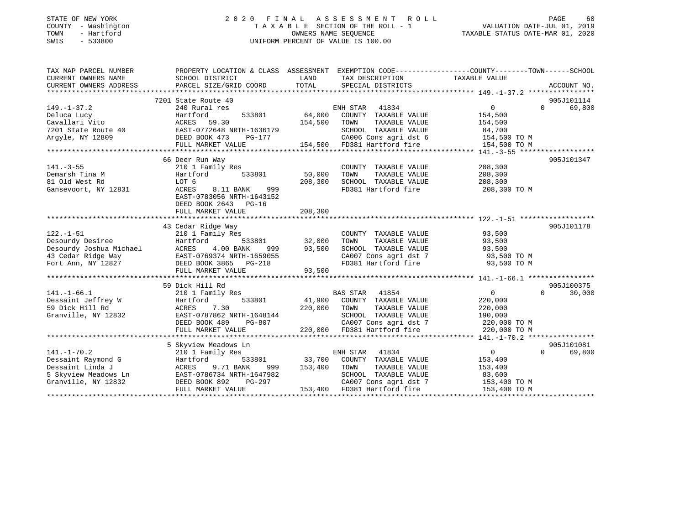### STATE OF NEW YORK 2 0 2 0 F I N A L A S S E S S M E N T R O L L PAGE 60 COUNTY - Washington T A X A B L E SECTION OF THE ROLL - 1 VALUATION DATE-JUL 01, 2019 TOWN - Hartford OWNERS NAME SEQUENCE TAXABLE STATUS DATE-MAR 01, 2020 SWIS - 533800 UNIFORM PERCENT OF VALUE IS 100.00

| TAX MAP PARCEL NUMBER  |                                                                                                    |               |                                                                                                                                 | PROPERTY LOCATION & CLASS ASSESSMENT EXEMPTION CODE----------------COUNTY-------TOWN------SCHOOL |             |
|------------------------|----------------------------------------------------------------------------------------------------|---------------|---------------------------------------------------------------------------------------------------------------------------------|--------------------------------------------------------------------------------------------------|-------------|
| CURRENT OWNERS NAME    | SCHOOL DISTRICT                                                                                    | LAND          | TAX DESCRIPTION                                                                                                                 | TAXABLE VALUE                                                                                    |             |
| CURRENT OWNERS ADDRESS | PARCEL SIZE/GRID COORD                                                                             | TOTAL         | SPECIAL DISTRICTS                                                                                                               |                                                                                                  | ACCOUNT NO. |
|                        |                                                                                                    |               |                                                                                                                                 |                                                                                                  |             |
|                        | 7201 State Route 40                                                                                |               |                                                                                                                                 |                                                                                                  | 905J101114  |
| $149. - 1 - 37.2$      | 240 Rural res                                                                                      |               | ENH STAR 41834                                                                                                                  | $\overline{0}$<br>$\Omega$                                                                       | 69,800      |
| Deluca Lucy            | 533801<br>Hartford                                                                                 |               | 64,000 COUNTY TAXABLE VALUE                                                                                                     | 154,500                                                                                          |             |
| Cavallari Vito         | ACRES 59.30                                                                                        | 154,500 TOWN  | TAXABLE VALUE                                                                                                                   | 154,500                                                                                          |             |
|                        |                                                                                                    |               | SCHOOL TAXABLE VALUE 84,700<br>CA006 Cons agri dst 6 154,500 TO M                                                               |                                                                                                  |             |
|                        | $PG-177$                                                                                           |               |                                                                                                                                 |                                                                                                  |             |
|                        | FULL MARKET VALUE                                                                                  |               | 154,500 FD381 Hartford fire                                                                                                     | 154,500 TO M                                                                                     |             |
|                        |                                                                                                    |               |                                                                                                                                 |                                                                                                  |             |
|                        | 66 Deer Run Way                                                                                    |               |                                                                                                                                 |                                                                                                  | 905J101347  |
| $141. - 3 - 55$        | 210 1 Family Res                                                                                   |               | COUNTY TAXABLE VALUE                                                                                                            | 208,300                                                                                          |             |
| Demarsh Tina M         | 533801<br>Hartford                                                                                 | 50,000        | TOWN<br>TAXABLE VALUE                                                                                                           | 208,300                                                                                          |             |
| 81 Old West Rd         | LOT 6                                                                                              | 208,300       | SCHOOL TAXABLE VALUE                                                                                                            | 208,300                                                                                          |             |
| Gansevoort, NY 12831   | 999<br>ACRES<br>8.11 BANK                                                                          |               | FD381 Hartford fire                                                                                                             | 208,300 TO M                                                                                     |             |
|                        | EAST-0783056 NRTH-1643152                                                                          |               |                                                                                                                                 |                                                                                                  |             |
|                        | DEED BOOK 2643 PG-16                                                                               |               |                                                                                                                                 |                                                                                                  |             |
|                        | FULL MARKET VALUE                                                                                  | 208,300       |                                                                                                                                 |                                                                                                  |             |
|                        |                                                                                                    |               |                                                                                                                                 |                                                                                                  |             |
|                        | 43 Cedar Ridge Way                                                                                 |               |                                                                                                                                 |                                                                                                  | 905J101178  |
| $122. - 1 - 51$        | 210 1 Family Res                                                                                   |               | COUNTY TAXABLE VALUE                                                                                                            | 93,500                                                                                           |             |
| Desourdy Desiree       | Hartford                                                                                           | 533801 32,000 | TOWN<br>TAXABLE VALUE                                                                                                           | 93,500                                                                                           |             |
|                        | Desourdy Joshua Michael ACRES 4.00 BANK 999<br>43 Cedar Ridge Way BAST-0769374 NRTH-1659055<br>999 | 93,500        | SCHOOL TAXABLE VALUE 93,500<br>CA007 Cons agri dst 7 93,500 TO M                                                                |                                                                                                  |             |
|                        |                                                                                                    |               |                                                                                                                                 |                                                                                                  |             |
|                        | Fort Ann, NY 12827 DEED BOOK 3865 PG-218                                                           |               | FD381 Hartford fire 93,500 TO M                                                                                                 |                                                                                                  |             |
|                        | FULL MARKET VALUE                                                                                  | 93,500        |                                                                                                                                 |                                                                                                  |             |
|                        |                                                                                                    |               |                                                                                                                                 |                                                                                                  |             |
|                        | 59 Dick Hill Rd                                                                                    |               |                                                                                                                                 |                                                                                                  | 905J100375  |
| $141. - 1 - 66.1$      | 210 1 Family Res                                                                                   |               | BAS STAR 41854                                                                                                                  | 0<br>$\Omega$                                                                                    | 30,000      |
| Dessaint Jeffrey W     | 533801<br>Hartford                                                                                 |               | 41,900 COUNTY TAXABLE VALUE                                                                                                     | 220,000                                                                                          |             |
| 59 Dick Hill Rd        | 7.30<br>ACRES                                                                                      | 220,000 TOWN  | TAXABLE VALUE                                                                                                                   | 220,000                                                                                          |             |
| Granville, NY 12832    | EAST-0787862 NRTH-1648144                                                                          |               | SCHOOL TAXABLE VALUE                                                                                                            | 190,000                                                                                          |             |
|                        | PG-807<br>DEED BOOK 489                                                                            |               | CA007 Cons agri dst 7<br>220,000 FD381 Hartford fire                                                                            | 220,000 TO M                                                                                     |             |
|                        | FULL MARKET VALUE                                                                                  |               |                                                                                                                                 | 220,000 TO M                                                                                     |             |
|                        |                                                                                                    |               |                                                                                                                                 |                                                                                                  |             |
|                        | 5 Skyview Meadows Ln                                                                               |               |                                                                                                                                 |                                                                                                  | 905J101081  |
| $141. - 1 - 70.2$      | 210 1 Family Res                                                                                   |               | ENH STAR<br>41834                                                                                                               | $\sim$ 0<br>$\Omega$                                                                             | 69,800      |
| Dessaint Raymond G     | Hartford                                                                                           |               | $\begin{tabular}{lllllll} 533801 & 33,700 & COUNTY & TAXABLE VALUE \\ NNK & 999 & 153,400 & TOWN & TAXABLE VALUE \end{tabular}$ | 153,400                                                                                          |             |
| Dessaint Linda J       | ACRES<br>9.71 BANK                                                                                 |               | TAXABLE VALUE                                                                                                                   | 153,400                                                                                          |             |
|                        | 5 Skyview Meadows Ln EAST-0786734 NRTH-1647982                                                     |               | SCHOOL TAXABLE VALUE                                                                                                            | 83,600                                                                                           |             |
| Granville, NY 12832    | DEED BOOK 892                                                                                      |               | PG-297 CA007 Cons agri dst 7<br>E 153,400 FD381 Hartford fire<br>CA007 Cons agri dst 7 153,400 TO M                             |                                                                                                  |             |
|                        | FULL MARKET VALUE                                                                                  |               |                                                                                                                                 | 153,400 TO M                                                                                     |             |
|                        |                                                                                                    |               |                                                                                                                                 |                                                                                                  |             |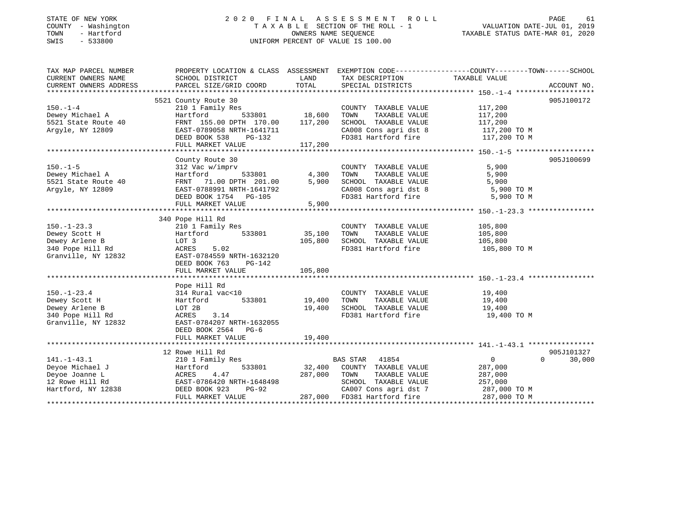# STATE OF NEW YORK 2 0 2 0 F I N A L A S S E S S M E N T R O L L PAGE 61COUNTY - Washington  $\begin{array}{ccc} 1 & 0 & 0 \\ 0 & 0 & 0 \end{array}$  T A X A B L E SECTION OF THE ROLL - 1 SWIS - 533800 UNIFORM PERCENT OF VALUE IS 100.00

VALUATION DATE-JUL 01, 2019

TAXABLE STATUS DATE-MAR 01, 2020

| TAX MAP PARCEL NUMBER            |                                         |                                      |                                    | PROPERTY LOCATION & CLASS ASSESSMENT EXEMPTION CODE----------------COUNTY-------TOWN------SCHOOL |
|----------------------------------|-----------------------------------------|--------------------------------------|------------------------------------|--------------------------------------------------------------------------------------------------|
| CURRENT OWNERS NAME              | SCHOOL DISTRICT                         | LAND                                 | TAX DESCRIPTION                    | TAXABLE VALUE                                                                                    |
| CURRENT OWNERS ADDRESS           | PARCEL SIZE/GRID COORD                  | TOTAL                                | SPECIAL DISTRICTS                  | ACCOUNT NO.                                                                                      |
|                                  |                                         |                                      |                                    |                                                                                                  |
|                                  | 5521 County Route 30                    |                                      |                                    | 905J100172                                                                                       |
| $150. - 1 - 4$                   | 210 1 Family Res                        | з<br>533801                   18,600 | COUNTY TAXABLE VALUE               | 117,200                                                                                          |
| Dewey Michael A                  | Hartford                                |                                      | TAXABLE VALUE<br>TOWN              | 117,200                                                                                          |
| 5521 State Route 40              | FRNT 155.00 DPTH 170.00 117,200         |                                      | SCHOOL TAXABLE VALUE               | 117,200                                                                                          |
| Argyle, NY 12809                 | EAST-0789058 NRTH-1641711               |                                      | CA008 Cons agri dst 8 117,200 TO M |                                                                                                  |
|                                  | DEED BOOK 538<br>PG-132                 |                                      | FD381 Hartford fire                | 117,200 TO M                                                                                     |
|                                  | FULL MARKET VALUE                       | 117,200                              |                                    |                                                                                                  |
|                                  |                                         |                                      |                                    |                                                                                                  |
|                                  | County Route 30                         |                                      |                                    | 905J100699                                                                                       |
| $150. - 1 - 5$                   | 312 Vac w/imprv                         |                                      | COUNTY TAXABLE VALUE               | 5,900                                                                                            |
| Dewey Michael A                  | $533801$<br>H 201 01<br>Hartford        | 4,300                                | TOWN<br>TAXABLE VALUE              | 5,900                                                                                            |
| $5521$ State Route 40            | FRNT 71.00 DPTH 201.00                  | 5,900                                | SCHOOL TAXABLE VALUE               | 5,900                                                                                            |
| Argyle, NY 12809                 | EAST-0788991 NRTH-1641792               |                                      | CA008 Cons agri dst 8              | 5,900 TO M                                                                                       |
|                                  | DEED BOOK 1754 PG-105                   |                                      | FD381 Hartford fire                | 5,900 TO M                                                                                       |
|                                  | FULL MARKET VALUE                       | 5,900                                |                                    |                                                                                                  |
|                                  |                                         |                                      |                                    |                                                                                                  |
|                                  | 340 Pope Hill Rd                        |                                      |                                    |                                                                                                  |
| $150. - 1 - 23.3$                | 210 1 Family Res                        |                                      | COUNTY TAXABLE VALUE               | 105,800                                                                                          |
| Dewey Scott H                    | Hartford<br>533801                      | 35,100                               | TAXABLE VALUE<br>TOWN              | 105,800                                                                                          |
| Dewey Arlene B                   | LOT 3                                   | 105,800                              | SCHOOL TAXABLE VALUE               | 105,800                                                                                          |
| 340 Pope Hill Rd                 | ACRES 5.02                              |                                      | FD381 Hartford fire                | 105,800 TO M                                                                                     |
| Granville, NY 12832              | EAST-0784559 NRTH-1632120               |                                      |                                    |                                                                                                  |
|                                  | DEED BOOK 763<br>PG-142                 |                                      |                                    |                                                                                                  |
|                                  | FULL MARKET VALUE                       | 105,800                              |                                    |                                                                                                  |
|                                  |                                         |                                      |                                    |                                                                                                  |
|                                  | Pope Hill Rd                            |                                      |                                    |                                                                                                  |
| $150. - 1 - 23.4$                | 314 Rural vac<10                        |                                      | COUNTY TAXABLE VALUE               | 19,400                                                                                           |
| Dewey Scott H                    | Hartford                                | 533801 19,400                        | TOWN<br>TAXABLE VALUE              | 19,400                                                                                           |
| Dewey Arlene B                   | LOT 2B                                  | 19,400                               | SCHOOL TAXABLE VALUE               | 19,400                                                                                           |
| 340 Pope Hill Rd                 | ACRES 3.14                              |                                      | FD381 Hartford fire                | 19,400 TO M                                                                                      |
| Granville, NY 12832              | EAST-0784207 NRTH-1632055               |                                      |                                    |                                                                                                  |
|                                  | DEED BOOK 2564 PG-6                     |                                      |                                    |                                                                                                  |
|                                  | FULL MARKET VALUE                       | 19,400                               |                                    |                                                                                                  |
|                                  |                                         |                                      |                                    |                                                                                                  |
|                                  | 12 Rowe Hill Rd                         |                                      |                                    | 905J101327                                                                                       |
| $141. - 1 - 43.1$                | 210 1 Family Res                        |                                      | BAS STAR 41854                     | $\overline{0}$<br>$\Omega$<br>30,000                                                             |
| Deyoe Michael J                  | 533801<br>Hartford                      | 32,400                               | COUNTY TAXABLE VALUE               | 287,000                                                                                          |
| Deyoe Joanne L                   | ACRES 4.4/<br>EAST-0786420 NRTH-1648498 | 287,000                              | TOWN<br>TAXABLE VALUE              | 287,000                                                                                          |
| 12 Rowe Hill Rd                  |                                         |                                      | SCHOOL TAXABLE VALUE               | 257,000                                                                                          |
| Hartford, NY 12838 DEED BOOK 923 | PG-92                                   |                                      | CA007 Cons agri dst 7              | 287,000 TO M                                                                                     |
|                                  | FULL MARKET VALUE                       |                                      | 287,000 FD381 Hartford fire        | 287,000 TO M                                                                                     |
|                                  |                                         |                                      |                                    |                                                                                                  |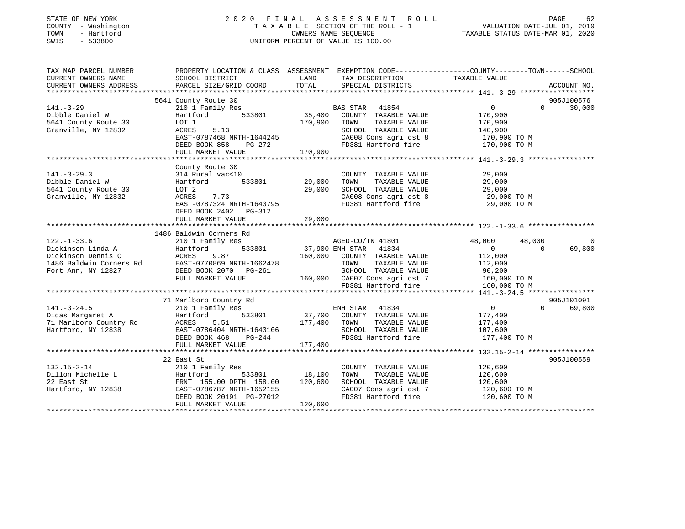| STATE OF NEW YORK<br>COUNTY - Washington<br>TOWN<br>- Hartford<br>SWIS<br>$-533800$   | 2020 FINAL ASSESSMENT ROLL<br>TAXABLE SECTION OF THE ROLL - 1<br>UNIFORM PERCENT OF VALUE IS 100.00                 | VALUATION DATE-JUL 01, 2019<br>TAXABLE STATUS DATE-MAR 01, 2020 | PAGE<br>62                                                                                                     |                                                           |                                |
|---------------------------------------------------------------------------------------|---------------------------------------------------------------------------------------------------------------------|-----------------------------------------------------------------|----------------------------------------------------------------------------------------------------------------|-----------------------------------------------------------|--------------------------------|
| TAX MAP PARCEL NUMBER<br>CURRENT OWNERS NAME                                          | PROPERTY LOCATION & CLASS ASSESSMENT EXEMPTION CODE----------------COUNTY-------TOWN------SCHOOL<br>SCHOOL DISTRICT | LAND                                                            | TAX DESCRIPTION                                                                                                | TAXABLE VALUE                                             |                                |
| CURRENT OWNERS ADDRESS                                                                | PARCEL SIZE/GRID COORD                                                                                              | TOTAL                                                           | SPECIAL DISTRICTS                                                                                              |                                                           | ACCOUNT NO.                    |
|                                                                                       | 5641 County Route 30                                                                                                |                                                                 |                                                                                                                |                                                           | 905J100576                     |
| $141. - 3 - 29$                                                                       | 210 1 Family Res                                                                                                    |                                                                 | BAS STAR 41854                                                                                                 | $\mathbf{0}$                                              | $\Omega$<br>30,000             |
| Dibble Daniel W<br>5641 County Route 30<br>Granville, NY 12832                        | 533801<br>Hartford<br>LOT 1<br>ACRES<br>5.13<br>EAST-0787468 NRTH-1644245                                           | 35,400<br>170,900                                               | COUNTY TAXABLE VALUE<br>TOWN<br>TAXABLE VALUE<br>SCHOOL TAXABLE VALUE<br>CA008 Cons agri dst 8                 | 170,900<br>170,900<br>140,900<br>170,900 TO M             |                                |
|                                                                                       | PG-272<br>DEED BOOK 858                                                                                             |                                                                 | FD381 Hartford fire                                                                                            | 170,900 TO M                                              |                                |
|                                                                                       | FULL MARKET VALUE                                                                                                   | 170,900                                                         |                                                                                                                |                                                           |                                |
|                                                                                       |                                                                                                                     |                                                                 |                                                                                                                |                                                           |                                |
| $141. - 3 - 29.3$<br>Dibble Daniel W<br>5641 County Route 30                          | County Route 30<br>314 Rural vac<10<br>Hartford<br>533801<br>LOT 2                                                  | 29,000<br>29,000                                                | COUNTY TAXABLE VALUE<br>TOWN<br>TAXABLE VALUE<br>SCHOOL TAXABLE VALUE                                          | 29,000<br>29,000<br>29,000                                |                                |
| Granville, NY 12832                                                                   | ACRES<br>7.73<br>EAST-0787324 NRTH-1643795<br>DEED BOOK 2402 PG-312<br>FULL MARKET VALUE                            | 29,000                                                          | CA008 Cons agri dst 8<br>FD381 Hartford fire                                                                   | 29,000 TO M<br>29,000 TO M                                |                                |
|                                                                                       |                                                                                                                     |                                                                 |                                                                                                                |                                                           |                                |
|                                                                                       | 1486 Baldwin Corners Rd                                                                                             |                                                                 |                                                                                                                |                                                           |                                |
| $122. - 1 - 33.6$<br>Dickinson Linda A<br>Dickinson Dennis C                          | 210 1 Family Res<br>533801<br>Hartford<br>ACRES<br>9.87                                                             | 160,000                                                         | AGED-CO/TN 41801<br>37,900 ENH STAR 41834<br>COUNTY TAXABLE VALUE                                              | 48,000<br>48,000<br>$\overline{0}$<br>112,000             | $\Omega$<br>$\Omega$<br>69,800 |
| 1486 Baldwin Corners Rd<br>Fort Ann, NY 12827                                         | EAST-0770869 NRTH-1662478<br>DEED BOOK 2070 PG-261<br>FULL MARKET VALUE                                             |                                                                 | TOWN<br>TAXABLE VALUE<br>SCHOOL TAXABLE VALUE<br>160,000 CA007 Cons agri dst 7                                 | 112,000<br>90,200<br>160,000 TO M                         |                                |
|                                                                                       |                                                                                                                     |                                                                 | FD381 Hartford fire                                                                                            | 160,000 TO M                                              |                                |
|                                                                                       | 71 Marlboro Country Rd                                                                                              |                                                                 |                                                                                                                |                                                           | 905J101091                     |
| $141. - 3 - 24.5$<br>Didas Margaret A<br>71 Marlboro Country Rd<br>Hartford, NY 12838 | 210 1 Family Res<br>Hartford<br>533801<br>ACRES<br>5.51<br>EAST-0786404 NRTH-1643106<br>DEED BOOK 468<br>$PG-244$   | 37,700<br>177,400                                               | ENH STAR 41834<br>COUNTY TAXABLE VALUE<br>TAXABLE VALUE<br>TOWN<br>SCHOOL TAXABLE VALUE<br>FD381 Hartford fire | $\Omega$<br>177,400<br>177,400<br>107,600<br>177,400 TO M | $\Omega$<br>69,800             |
|                                                                                       | FULL MARKET VALUE<br>**************************                                                                     | 177,400                                                         |                                                                                                                | ****************** 132.15-2-14 ****************           |                                |
| $132.15 - 2 - 14$<br>Dillon Michelle L<br>22 East St                                  | 22 East St<br>210 1 Family Res<br>Hartford<br>533801<br>FRNT 155.00 DPTH 158.00                                     | 18,100<br>120,600                                               | COUNTY TAXABLE VALUE<br>TOWN<br>TAXABLE VALUE<br>SCHOOL TAXABLE VALUE                                          | 120,600<br>120,600<br>120,600                             | 905J100559                     |
| Hartford, NY 12838                                                                    | EAST-0786787 NRTH-1652155<br>DEED BOOK 20191 PG-27012<br>FULL MARKET VALUE                                          | 120,600                                                         | CA007 Cons agri dst 7<br>FD381 Hartford fire                                                                   | 120,600 TO M<br>120,600 TO M                              |                                |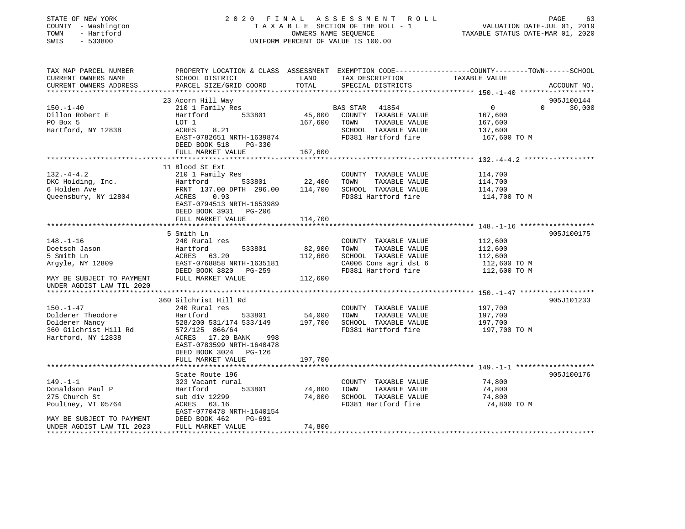### STATE OF NEW YORK 2 0 2 0 F I N A L A S S E S S M E N T R O L L PAGE 63 COUNTY - Washington T A X A B L E SECTION OF THE ROLL - 1 VALUATION DATE-JUL 01, 2019 TOWN - Hartford OWNERS NAME SEQUENCE TAXABLE STATUS DATE-MAR 01, 2020 SWIS - 533800 UNIFORM PERCENT OF VALUE IS 100.00

| TAX MAP PARCEL NUMBER<br>CURRENT OWNERS NAME                                                          | PROPERTY LOCATION & CLASS ASSESSMENT EXEMPTION CODE----------------COUNTY-------TOWN------SCHOOL<br>SCHOOL DISTRICT                                                                           | LAND              | TAX DESCRIPTION                                                                                                          | TAXABLE VALUE                                                   |                    |
|-------------------------------------------------------------------------------------------------------|-----------------------------------------------------------------------------------------------------------------------------------------------------------------------------------------------|-------------------|--------------------------------------------------------------------------------------------------------------------------|-----------------------------------------------------------------|--------------------|
| CURRENT OWNERS ADDRESS                                                                                | PARCEL SIZE/GRID COORD                                                                                                                                                                        | TOTAL             | SPECIAL DISTRICTS                                                                                                        |                                                                 | ACCOUNT NO.        |
|                                                                                                       | 23 Acorn Hill Way                                                                                                                                                                             |                   |                                                                                                                          |                                                                 | 905J100144         |
| $150. - 1 - 40$<br>Dillon Robert E<br>PO Box 5<br>Hartford, NY 12838                                  | 210 1 Family Res<br>533801<br>Hartford<br>LOT 1<br>8.21<br>ACRES<br>EAST-0782651 NRTH-1639874<br>DEED BOOK 518<br>PG-330                                                                      | 167,600           | BAS STAR<br>41854<br>45,800 COUNTY TAXABLE VALUE<br>TAXABLE VALUE<br>TOWN<br>SCHOOL TAXABLE VALUE<br>FD381 Hartford fire | $\overline{0}$<br>167,600<br>167,600<br>137,600<br>167,600 TO M | $\Omega$<br>30,000 |
|                                                                                                       | FULL MARKET VALUE                                                                                                                                                                             | 167,600           |                                                                                                                          |                                                                 |                    |
|                                                                                                       |                                                                                                                                                                                               |                   |                                                                                                                          |                                                                 |                    |
| $132. -4 - 4.2$<br>DKC Holding, Inc.<br>6 Holden Ave<br>Queensbury, NY 12804                          | 11 Blood St Ext<br>210 1 Family Res<br>533801<br>Hartford<br>FRNT 137.00 DPTH 296.00<br>0.93<br>ACRES<br>EAST-0794513 NRTH-1653989<br>DEED BOOK 3931 PG-206                                   | 22,400<br>114,700 | COUNTY TAXABLE VALUE<br>TAXABLE VALUE<br>TOWN<br>SCHOOL TAXABLE VALUE<br>FD381 Hartford fire                             | 114,700<br>114,700<br>114,700<br>114,700 TO M                   |                    |
|                                                                                                       | FULL MARKET VALUE                                                                                                                                                                             | 114,700           |                                                                                                                          |                                                                 |                    |
|                                                                                                       | 5 Smith Ln                                                                                                                                                                                    |                   |                                                                                                                          |                                                                 | 905J100175         |
| $148. - 1 - 16$<br>Doetsch Jason<br>5 Smith Ln<br>Argyle, NY 12809                                    | 240 Rural res<br>Hartford<br>533801<br>ACRES 63.20<br>EAST-0768858 NRTH-1635181<br>DEED BOOK 3820 PG-259<br>FULL MARKET VALUE                                                                 | 82,900<br>112,600 | COUNTY TAXABLE VALUE<br>TAXABLE VALUE<br>TOWN<br>SCHOOL TAXABLE VALUE<br>CA006 Cons agri dst 6<br>FD381 Hartford fire    | 112,600<br>112,600<br>112,600<br>112,600 TO M<br>112,600 TO M   |                    |
| MAY BE SUBJECT TO PAYMENT<br>UNDER AGDIST LAW TIL 2020                                                |                                                                                                                                                                                               | 112,600           |                                                                                                                          |                                                                 |                    |
|                                                                                                       |                                                                                                                                                                                               |                   |                                                                                                                          |                                                                 |                    |
| $150. - 1 - 47$<br>Dolderer Theodore<br>Dolderer Nancy<br>360 Gilchrist Hill Rd<br>Hartford, NY 12838 | 360 Gilchrist Hill Rd<br>240 Rural res<br>Hartford<br>533801<br>528/200 531/174 533/149<br>572/125 866/64<br>ACRES 17.20 BANK<br>998<br>EAST-0783599 NRTH-1640478<br>DEED BOOK 3024<br>PG-126 | 54,000<br>197,700 | COUNTY TAXABLE VALUE<br>TAXABLE VALUE<br>TOWN<br>SCHOOL TAXABLE VALUE<br>FD381 Hartford fire                             | 197,700<br>197,700<br>197,700<br>197,700 TO M                   | 905J101233         |
|                                                                                                       | FULL MARKET VALUE                                                                                                                                                                             | 197,700           |                                                                                                                          |                                                                 |                    |
|                                                                                                       |                                                                                                                                                                                               |                   |                                                                                                                          |                                                                 |                    |
| $149. - 1 - 1$<br>Donaldson Paul P<br>275 Church St<br>Poultney, VT 05764                             | State Route 196<br>323 Vacant rural<br>533801<br>Hartford<br>sub div 12299<br>ACRES 63.16<br>EAST-0770478 NRTH-1640154                                                                        | 74,800<br>74,800  | COUNTY TAXABLE VALUE<br>TOWN<br>TAXABLE VALUE<br>SCHOOL TAXABLE VALUE<br>FD381 Hartford fire                             | 74,800<br>74,800<br>74,800<br>74,800 TO M                       | 905J100176         |
| MAY BE SUBJECT TO PAYMENT<br>UNDER AGDIST LAW TIL 2023<br>*********************                       | DEED BOOK 462<br>PG-691<br>FULL MARKET VALUE                                                                                                                                                  | 74,800            |                                                                                                                          |                                                                 |                    |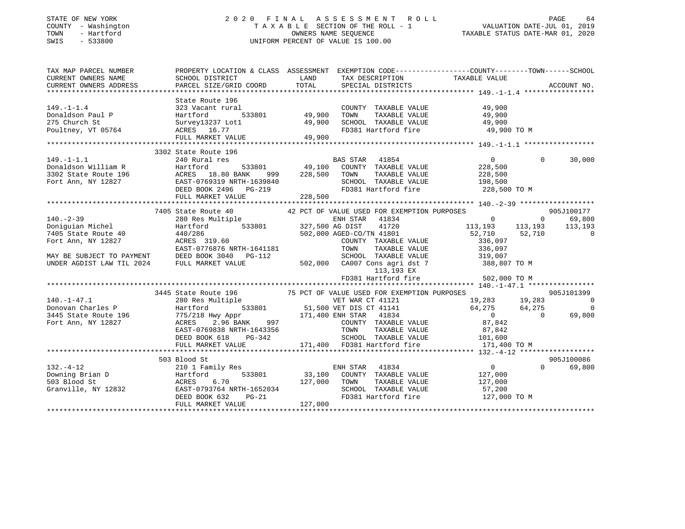### STATE OF NEW YORK 2 0 2 0 F I N A L A S S E S S M E N T R O L L PAGE 64 COUNTY - Washington T A X A B L E SECTION OF THE ROLL - 1 VALUATION DATE-JUL 01, 2019 TOWN - Hartford OWNERS NAME SEQUENCE TAXABLE STATUS DATE-MAR 01, 2020 SWIS - 533800 UNIFORM PERCENT OF VALUE IS 100.00

| PROPERTY LOCATION & CLASS ASSESSMENT EXEMPTION CODE-----------------COUNTY-------TOWN------SCHOOL                                                                                                                                                                                   |         |                                 |                                                                            |          |            |
|-------------------------------------------------------------------------------------------------------------------------------------------------------------------------------------------------------------------------------------------------------------------------------------|---------|---------------------------------|----------------------------------------------------------------------------|----------|------------|
| State Route 196                                                                                                                                                                                                                                                                     |         | FD381 Hartford fire 49,900 TO M |                                                                            |          |            |
| 3302 State Route 196                                                                                                                                                                                                                                                                |         |                                 |                                                                            |          |            |
| 149.-1-1.1<br>Donaldson William R. 2240 Rural res 533801 and 1953.<br>228,500 and 196 and 196 and 1688 and 1689 and 1698 and 1698 and 1698 and 1698 and 1698 and 1698 and 1698 and 1698 and 1698 and 1699 and 1699 and 1698 and 16<br>FULL MARKET VALUE                             | 228,500 |                                 |                                                                            | $\Omega$ | 30,000     |
|                                                                                                                                                                                                                                                                                     |         |                                 |                                                                            |          |            |
|                                                                                                                                                                                                                                                                                     |         |                                 |                                                                            |          |            |
| 380 Res Multiple<br>280 Res Multiple<br>280 Res Multiple<br>280 Res Multiple<br>280 Res Multiple<br>280 Res Multiple<br>280 Res Multiple<br>280 Res Multiple<br>280 Res Multiple<br>27,500 AG DIST<br>327,500 AG DIST<br>327,500 AG DIST<br>41720<br>213                            |         |                                 |                                                                            |          |            |
| MAY BE SUBJECT TO PAYMENT<br>UNDER AGDIST LAW TIL 2024 FULL MARKET VALUE<br>UNDER AGDIST LAW TIL 2024 FULL MARKET VALUE<br>TOP ON THE MARKET VALUE<br>502,000 CA007 Cons agridst 7 388,807 TO M<br>113,193 EX<br>113,193 EX                                                         |         | FD381 Hartford fire             | 502,000 TO M                                                               |          |            |
|                                                                                                                                                                                                                                                                                     |         |                                 |                                                                            |          |            |
| 3445 State Route 196 75 PCT OF VALUE USED FOR EXEMPTION PURPOSES<br>3445 State Route 196 75 PCT OF VALUE USED FOR EXEMPTION PURPOSES<br>280 Res Multiple VET WAR CT 41121 19,283 19,283 0<br>3445 State Route 196 775/218 Hwy Appr<br>                                              |         |                                 |                                                                            |          |            |
|                                                                                                                                                                                                                                                                                     |         |                                 |                                                                            |          |            |
| 503 Blood St                                                                                                                                                                                                                                                                        |         |                                 |                                                                            |          | 905J100086 |
| 503 Blood St<br>210 1 Family Res<br>210 1 Family Res<br>503 Blood St<br>503 Blood St<br>41834<br>503 Blood St<br>41834<br>503 Blood St<br>41834<br>210 1 Family Res<br>533801<br>33,100 COUNTY TAXABLE VALUE<br>7127,000<br>727,000<br>727,000<br>7381 Hartfor<br>FULL MARKET VALUE | 127,000 |                                 | $\begin{matrix}0\end{matrix} \qquad \qquad \begin{matrix}905J\end{matrix}$ |          | 69,800     |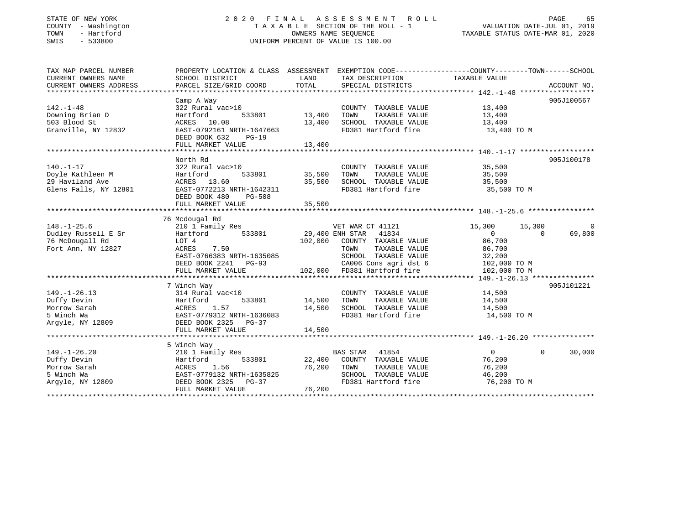### STATE OF NEW YORK 2 0 2 0 F I N A L A S S E S S M E N T R O L L PAGE 65 COUNTY - Washington T A X A B L E SECTION OF THE ROLL - 1 VALUATION DATE-JUL 01, 2019 TOWN - Hartford OWNERS NAME SEQUENCE TAXABLE STATUS DATE-MAR 01, 2020 SWIS - 533800 UNIFORM PERCENT OF VALUE IS 100.00

| TAX MAP PARCEL NUMBER<br>CURRENT OWNERS NAME<br>CURRENT OWNERS ADDRESS | PROPERTY LOCATION & CLASS ASSESSMENT EXEMPTION CODE----------------COUNTY-------TOWN------SCHOOL<br>SCHOOL DISTRICT<br>PARCEL SIZE/GRID COORD | LAND<br>TOTAL | TAX DESCRIPTION<br>SPECIAL DISTRICTS | TAXABLE VALUE              | ACCOUNT NO. |
|------------------------------------------------------------------------|-----------------------------------------------------------------------------------------------------------------------------------------------|---------------|--------------------------------------|----------------------------|-------------|
|                                                                        |                                                                                                                                               |               |                                      |                            |             |
|                                                                        | Camp A Way                                                                                                                                    |               |                                      |                            | 905J100567  |
| $142. - 1 - 48$                                                        | 322 Rural vac>10                                                                                                                              |               | COUNTY TAXABLE VALUE                 | 13,400                     |             |
| Downing Brian D                                                        | 533801<br>Hartford                                                                                                                            | 13,400        | TOWN<br>TAXABLE VALUE                | 13,400                     |             |
| 503 Blood St                                                           | ACRES 10.08                                                                                                                                   | 13,400        | SCHOOL TAXABLE VALUE                 | 13,400                     |             |
| Granville, NY 12832                                                    | EAST-0792161 NRTH-1647663                                                                                                                     |               | FD381 Hartford fire                  | 13,400 TO M                |             |
|                                                                        | DEED BOOK 632<br>$PG-19$                                                                                                                      |               |                                      |                            |             |
|                                                                        | FULL MARKET VALUE                                                                                                                             | 13,400        |                                      |                            |             |
|                                                                        |                                                                                                                                               |               |                                      |                            |             |
|                                                                        | North Rd                                                                                                                                      |               |                                      |                            | 905J100178  |
| $140. - 1 - 17$                                                        | 322 Rural vac>10                                                                                                                              |               | COUNTY TAXABLE VALUE                 | 35,500                     |             |
| Doyle Kathleen M                                                       | 533801<br>Hartford                                                                                                                            | 35,500        | TOWN<br>TAXABLE VALUE                | 35,500                     |             |
| 29 Haviland Ave                                                        | ACRES 13.60                                                                                                                                   | 35,500        | SCHOOL TAXABLE VALUE                 | 35,500                     |             |
| Glens Falls, NY 12801                                                  | EAST-0772213 NRTH-1642311                                                                                                                     |               | FD381 Hartford fire                  | 35,500 TO M                |             |
|                                                                        | DEED BOOK 480<br>PG-508                                                                                                                       |               |                                      |                            |             |
|                                                                        | FULL MARKET VALUE                                                                                                                             | 35,500        |                                      |                            |             |
|                                                                        |                                                                                                                                               |               |                                      |                            |             |
|                                                                        | 76 Mcdougal Rd                                                                                                                                |               |                                      |                            |             |
| $148. - 1 - 25.6$                                                      | 210 1 Family Res                                                                                                                              |               | VET WAR CT 41121                     | 15,300<br>15,300           | 0           |
| Dudley Russell E Sr                                                    | 533801<br>Hartford                                                                                                                            |               | 29,400 ENH STAR 41834                | $\overline{0}$<br>$\Omega$ | 69,800      |
| 76 McDougall Rd                                                        | LOT 4                                                                                                                                         | 102,000       | COUNTY TAXABLE VALUE                 | 86,700                     |             |
| Fort Ann, NY 12827                                                     | 7.50<br>ACRES                                                                                                                                 |               | TAXABLE VALUE<br>TOWN                | 86,700                     |             |
|                                                                        | EAST-0766383 NRTH-1635085                                                                                                                     |               | SCHOOL TAXABLE VALUE                 | 32,200                     |             |
|                                                                        | DEED BOOK 2241 PG-93                                                                                                                          |               | CA006 Cons agri dst 6                | 102,000 TO M               |             |
|                                                                        | FULL MARKET VALUE                                                                                                                             | 102,000       | FD381 Hartford fire                  | 102,000 TO M               |             |
|                                                                        |                                                                                                                                               |               |                                      |                            |             |
|                                                                        | 7 Winch Way                                                                                                                                   |               |                                      |                            | 905J101221  |
| $149. - 1 - 26.13$                                                     | 314 Rural vac<10                                                                                                                              |               | COUNTY TAXABLE VALUE                 | 14,500                     |             |
| Duffy Devin                                                            | 533801<br>Hartford                                                                                                                            | 14,500        | TAXABLE VALUE<br>TOWN                | 14,500                     |             |
| Morrow Sarah                                                           | ACRES<br>1.57                                                                                                                                 | 14,500        | SCHOOL TAXABLE VALUE                 | 14,500                     |             |
| 5 Winch Wa                                                             | EAST-0779312 NRTH-1636083                                                                                                                     |               | FD381 Hartford fire                  | 14,500 TO M                |             |
| Argyle, NY 12809                                                       | DEED BOOK 2325 PG-37                                                                                                                          |               |                                      |                            |             |
|                                                                        | FULL MARKET VALUE                                                                                                                             | 14,500        |                                      |                            |             |
|                                                                        |                                                                                                                                               |               |                                      |                            |             |
|                                                                        | 5 Winch Way                                                                                                                                   |               |                                      |                            |             |
| $149. - 1 - 26.20$                                                     | 210 1 Family Res                                                                                                                              |               | <b>BAS STAR</b><br>41854             | $\overline{0}$<br>$\Omega$ | 30,000      |
| Duffy Devin                                                            | Hartford<br>533801                                                                                                                            | 22,400        | COUNTY TAXABLE VALUE                 | 76,200                     |             |
| Morrow Sarah                                                           | ACRES<br>1.56                                                                                                                                 | 76,200        | TOWN<br>TAXABLE VALUE                | 76,200                     |             |
| 5 Winch Wa                                                             | EAST-0779132 NRTH-1635825                                                                                                                     |               | SCHOOL TAXABLE VALUE                 | 46,200                     |             |
| Argyle, NY 12809                                                       | DEED BOOK 2325<br>PG-37                                                                                                                       |               | FD381 Hartford fire                  | 76,200 ТО М                |             |
|                                                                        | FULL MARKET VALUE                                                                                                                             | 76,200        |                                      |                            |             |
|                                                                        |                                                                                                                                               |               |                                      |                            |             |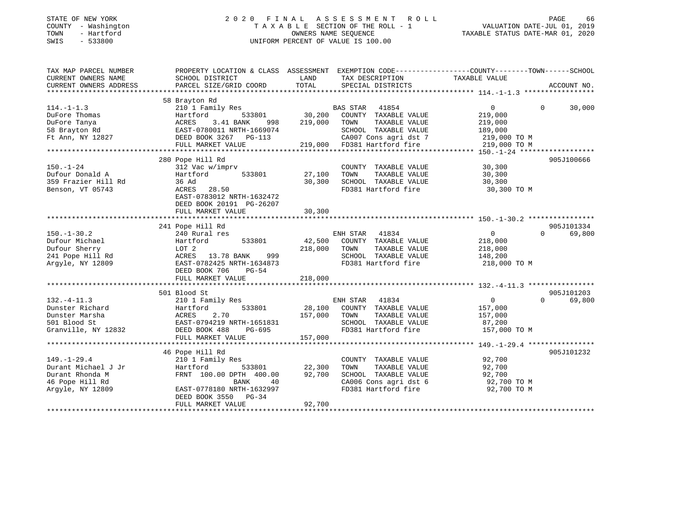| STATE OF NEW YORK |            |
|-------------------|------------|
| COUNTY            | Washington |
| TOWN              | - Hartford |
| <b>CMTC</b>       | 522800     |

### STATE OF NEW YORK 2 0 2 0 F I N A L A S S E S S M E N T R O L L PAGE 66 COUNTY - Washington T A X A B L E SECTION OF THE ROLL - 1 VALUATION DATE-JUL 01, 2019 TOWN - Hartford OWNERS NAME SEQUENCE TAXABLE STATUS DATE-MAR 01, 2020 SWIS - 533800 UNIFORM PERCENT OF VALUE IS 100.00

| TAX MAP PARCEL NUMBER<br>CURRENT OWNERS NAME | SCHOOL DISTRICT           | LAND    | TAX DESCRIPTION             | PROPERTY LOCATION & CLASS ASSESSMENT EXEMPTION CODE---------------COUNTY-------TOWN------SCHOOL<br>TAXABLE VALUE |             |
|----------------------------------------------|---------------------------|---------|-----------------------------|------------------------------------------------------------------------------------------------------------------|-------------|
| CURRENT OWNERS ADDRESS                       | PARCEL SIZE/GRID COORD    | TOTAL   | SPECIAL DISTRICTS           |                                                                                                                  | ACCOUNT NO. |
|                                              | 58 Brayton Rd             |         |                             |                                                                                                                  |             |
| $114. - 1 - 1.3$                             | 210 1 Family Res          |         | BAS STAR<br>41854           | $\overline{0}$<br>$\Omega$                                                                                       | 30,000      |
| DuFore Thomas                                | 533801<br>Hartford        | 30,200  | COUNTY TAXABLE VALUE        | 219,000                                                                                                          |             |
| DuFore Tanya                                 | 3.41 BANK<br>ACRES<br>998 | 219,000 | TOWN<br>TAXABLE VALUE       | 219,000                                                                                                          |             |
|                                              | EAST-0780011 NRTH-1669074 |         | SCHOOL TAXABLE VALUE        | 189,000                                                                                                          |             |
| 58 Brayton Rd<br>Ft Ann, NY 12827            | DEED BOOK 3267 PG-113     |         | CA007 Cons agri dst 7       | 219,000 TO M                                                                                                     |             |
|                                              | FULL MARKET VALUE         |         | 219,000 FD381 Hartford fire | 219,000 TO M                                                                                                     |             |
|                                              |                           |         |                             |                                                                                                                  |             |
|                                              | 280 Pope Hill Rd          |         |                             |                                                                                                                  | 905J100666  |
| $150. - 1 - 24$                              | 312 Vac w/imprv           |         | COUNTY TAXABLE VALUE        | 30,300                                                                                                           |             |
| Dufour Donald A                              | Hartford<br>533801        | 27,100  | TOWN<br>TAXABLE VALUE       | 30,300                                                                                                           |             |
| 359 Frazier Hill Rd                          | 36 Ad                     | 30,300  | SCHOOL TAXABLE VALUE        | 30,300                                                                                                           |             |
| Benson, VT 05743                             | ACRES 28.50               |         | FD381 Hartford fire         | 30,300 TO M                                                                                                      |             |
|                                              | EAST-0783012 NRTH-1632472 |         |                             |                                                                                                                  |             |
|                                              | DEED BOOK 20191 PG-26207  |         |                             |                                                                                                                  |             |
|                                              | FULL MARKET VALUE         | 30,300  |                             |                                                                                                                  |             |
|                                              |                           |         |                             |                                                                                                                  |             |
|                                              | 241 Pope Hill Rd          |         |                             |                                                                                                                  | 905J101334  |
| $150. - 1 - 30.2$                            | 240 Rural res             |         | ENH STAR<br>41834           | 0<br>$\Omega$                                                                                                    | 69,800      |
| Dufour Michael                               | Hartford<br>533801        | 42,500  | COUNTY TAXABLE VALUE        | 218,000                                                                                                          |             |
| Dufour Sherry                                | LOT 2                     | 218,000 | TOWN<br>TAXABLE VALUE       | 218,000                                                                                                          |             |
| 241 Pope Hill Rd                             | ACRES 13.78 BANK<br>999   |         | SCHOOL TAXABLE VALUE        | 148,200                                                                                                          |             |
| Argyle, NY 12809                             | EAST-0782425 NRTH-1634873 |         | FD381 Hartford fire         | 218,000 TO M                                                                                                     |             |
|                                              | DEED BOOK 706<br>$PG-54$  |         |                             |                                                                                                                  |             |
|                                              | FULL MARKET VALUE         | 218,000 |                             |                                                                                                                  |             |
|                                              | 501 Blood St              |         |                             |                                                                                                                  | 905J101203  |
| $132. -4 - 11.3$                             | 210 1 Family Res          |         | ENH STAR 41834              | $\overline{0}$<br>$\Omega$                                                                                       | 69,800      |
| Dunster Richard                              | 533801<br>Hartford        | 28,100  | COUNTY TAXABLE VALUE        | 157,000                                                                                                          |             |
| Dunster Marsha                               | 2.70<br>ACRES             | 157,000 | TOWN<br>TAXABLE VALUE       | 157,000                                                                                                          |             |
| 501 Blood St                                 | EAST-0794219 NRTH-1651831 |         | SCHOOL TAXABLE VALUE        | 87,200                                                                                                           |             |
| Granville, NY 12832                          | DEED BOOK 488<br>PG-695   |         | FD381 Hartford fire         | 157,000 TO M                                                                                                     |             |
|                                              | FULL MARKET VALUE         | 157,000 |                             |                                                                                                                  |             |
|                                              |                           |         |                             |                                                                                                                  |             |
|                                              | 46 Pope Hill Rd           |         |                             |                                                                                                                  | 905J101232  |
| $149. - 1 - 29.4$                            | 210 1 Family Res          |         | COUNTY TAXABLE VALUE        | 92,700                                                                                                           |             |
| Durant Michael J Jr                          | 533801<br>Hartford        | 22,300  | TOWN<br>TAXABLE VALUE       | 92,700                                                                                                           |             |
| Durant Rhonda M                              | FRNT 100.00 DPTH 400.00   | 92,700  | SCHOOL TAXABLE VALUE        | 92,700                                                                                                           |             |
| 46 Pope Hill Rd                              | BANK<br>40                |         | CA006 Cons agri dst 6       | 92,700 TO M                                                                                                      |             |
| Argyle, NY 12809                             | EAST-0778180 NRTH-1632997 |         | FD381 Hartford fire         | 92,700 TO M                                                                                                      |             |
|                                              | $PG-34$<br>DEED BOOK 3550 |         |                             |                                                                                                                  |             |
|                                              | FULL MARKET VALUE         | 92,700  |                             |                                                                                                                  |             |
|                                              |                           |         |                             |                                                                                                                  |             |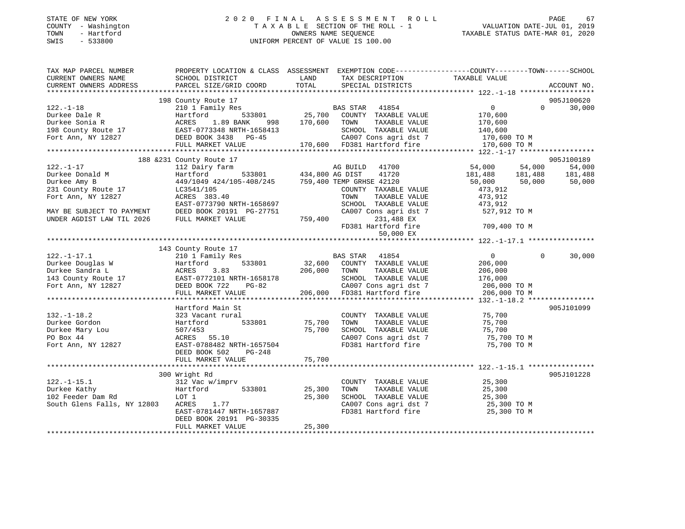### STATE OF NEW YORK 2 0 2 0 F I N A L A S S E S S M E N T R O L L PAGE 67 COUNTY - Washington T A X A B L E SECTION OF THE ROLL - 1 VALUATION DATE-JUL 01, 2019 TOWN - Hartford OWNERS NAME SEQUENCE TAXABLE STATUS DATE-MAR 01, 2020 SWIS - 533800 UNIFORM PERCENT OF VALUE IS 100.00

| TAX MAP PARCEL NUMBER                                              |                                     |                                                                                 | PROPERTY LOCATION & CLASS ASSESSMENT EXEMPTION CODE-----------------COUNTY--------TOWN------SCHOOL |
|--------------------------------------------------------------------|-------------------------------------|---------------------------------------------------------------------------------|----------------------------------------------------------------------------------------------------|
| CURRENT OWNERS NAME                                                | SCHOOL DISTRICT                     | LAND<br>TAX DESCRIPTION                                                         | TAXABLE VALUE                                                                                      |
| CURRENT OWNERS ADDRESS                                             | PARCEL SIZE/GRID COORD              | TOTAL<br>SPECIAL DISTRICTS                                                      | ACCOUNT NO.                                                                                        |
|                                                                    |                                     |                                                                                 |                                                                                                    |
|                                                                    | 198 County Route 17                 |                                                                                 | 905J100620                                                                                         |
| $122. - 1 - 18$                                                    |                                     | COMICY NORTH THE STAR STAR 41854<br>Hartford 533801 25,700 COUNTY TAXABLE VALUE | $\overline{0}$<br>$\Omega$<br>30,000                                                               |
| Durkee Dale R                                                      |                                     |                                                                                 | 170,600                                                                                            |
| Durkee Sonia R                                                     | ACRES<br>1.89 BANK<br>998           | 170,600 TOWN<br>TAXABLE VALUE                                                   | 170,600                                                                                            |
| 198 County Route 17                                                | EAST-0773348 NRTH-1658413           | SCHOOL TAXABLE VALUE                                                            | 140,600                                                                                            |
| Fort Ann, NY 12827                                                 | -<br>DEED BOOK 3438 PG-45           | CA007 Cons agri dst 7                                                           | 170,600 TO M                                                                                       |
|                                                                    | FULL MARKET VALUE                   | 170,600 FD381 Hartford fire                                                     | 170,600 TO M                                                                                       |
|                                                                    |                                     |                                                                                 |                                                                                                    |
|                                                                    | 188 & 231 County Route 17           |                                                                                 | 905J100189                                                                                         |
| $122. - 1 - 17$                                                    | 112 Dairy farm                      | AG BUILD<br>533801 434,800 AG DIST<br>AG BUILD 41700                            | 54,000<br>54,000<br>54,000                                                                         |
| Durkee Donald M                                                    | Hartford                            | 41720<br>449/1049 424/105-408/245 759,400 TEMP GRHSE 42120                      | 181,488 181,488<br>50,000 50,000<br>181,488                                                        |
| Durkee Amy B                                                       |                                     |                                                                                 | 50,000                                                                                             |
| 231 County Route 17                                                | LC3541/105                          | COUNTY TAXABLE VALUE                                                            | 473,912                                                                                            |
| Fort Ann, NY 12827                                                 | ACRES 383.40                        | TOWN<br>TAXABLE VALUE                                                           | 473,912                                                                                            |
|                                                                    | EAST-0773790 NRTH-1658697           | SCHOOL TAXABLE VALUE                                                            | 473,912                                                                                            |
| MAY BE SUBJECT TO PAYMENT                                          | DEED BOOK 20191 PG-27751            | CA007 Cons agri dst 7                                                           | 527,912 TO M                                                                                       |
| UNDER AGDIST LAW TIL 2026                                          | FULL MARKET VALUE                   | 759,400<br>231,488 EX                                                           |                                                                                                    |
|                                                                    |                                     | FD381 Hartford fire                                                             | 709,400 TO M                                                                                       |
|                                                                    |                                     | 50,000 EX                                                                       |                                                                                                    |
|                                                                    |                                     |                                                                                 |                                                                                                    |
| $122. - 1 - 17.1$                                                  | 143 County Route 17                 | BAS STAR 41854                                                                  | 30,000<br>$\overline{0}$<br>$\Omega$                                                               |
|                                                                    | 210 1 Family Res                    |                                                                                 |                                                                                                    |
| Durkee Douglas W<br>Durkee Sandra L                                | 533801<br>Hartford<br>ACRES<br>3.83 | 32,600 COUNTY TAXABLE VALUE<br>TAXABLE VALUE                                    | 206,000                                                                                            |
|                                                                    | EAST-0772101 NRTH-1658178           | 206,000 TOWN<br>SCHOOL TAXABLE VALUE                                            | 206,000<br>176,000                                                                                 |
| Durkee Sandra $\mu$<br>143 County Route 17<br>1997 - DEED BOOK 722 | PG-82                               | CA007 Cons agri dst 7                                                           |                                                                                                    |
|                                                                    | FULL MARKET VALUE                   | 206,000 FD381 Hartford fire                                                     | 206,000 TO M<br>206,000 TO M                                                                       |
|                                                                    |                                     |                                                                                 |                                                                                                    |
|                                                                    | Hartford Main St                    |                                                                                 | 905J101099                                                                                         |
| $132. - 1 - 18.2$                                                  | 323 Vacant rural                    | COUNTY TAXABLE VALUE                                                            | 75,700                                                                                             |
| Durkee Gordon                                                      | 533801<br>Hartford                  | 75,700<br>TOWN<br>TAXABLE VALUE                                                 | 75,700                                                                                             |
| Durkee Mary Lou                                                    | 507/453                             | 75,700<br>SCHOOL TAXABLE VALUE                                                  | 75,700                                                                                             |
| PO Box 44                                                          | ACRES 55.10                         | CA007 Cons agri dst 7                                                           | 75,700 TO M                                                                                        |
| Fort Ann, NY 12827                                                 | EAST-0788482 NRTH-1657504           | FD381 Hartford fire                                                             | 75,700 TO M                                                                                        |
|                                                                    | DEED BOOK 502<br>PG-248             |                                                                                 |                                                                                                    |
|                                                                    | FULL MARKET VALUE                   | 75,700                                                                          |                                                                                                    |
|                                                                    |                                     |                                                                                 |                                                                                                    |
|                                                                    | 300 Wright Rd                       |                                                                                 | 905J101228                                                                                         |
| $122. - 1 - 15.1$                                                  | 312 Vac w/imprv                     | COUNTY TAXABLE VALUE                                                            | 25,300                                                                                             |
| Durkee Kathy                                                       | Hartford<br>533801                  | 25,300<br>TAXABLE VALUE<br>TOWN                                                 | 25,300                                                                                             |
| 102 Feeder Dam Rd                                                  | LOT 1                               | 25,300<br>SCHOOL TAXABLE VALUE                                                  | 25,300                                                                                             |
| South Glens Falls, NY 12803                                        | ACRES<br>1.77                       | CA007 Cons agri dst 7                                                           | 25,300 TO M                                                                                        |
|                                                                    | EAST-0781447 NRTH-1657887           | FD381 Hartford fire                                                             | 25,300 TO M                                                                                        |
|                                                                    | DEED BOOK 20191 PG-30335            |                                                                                 |                                                                                                    |
|                                                                    | FULL MARKET VALUE                   | 25,300                                                                          |                                                                                                    |
|                                                                    |                                     |                                                                                 |                                                                                                    |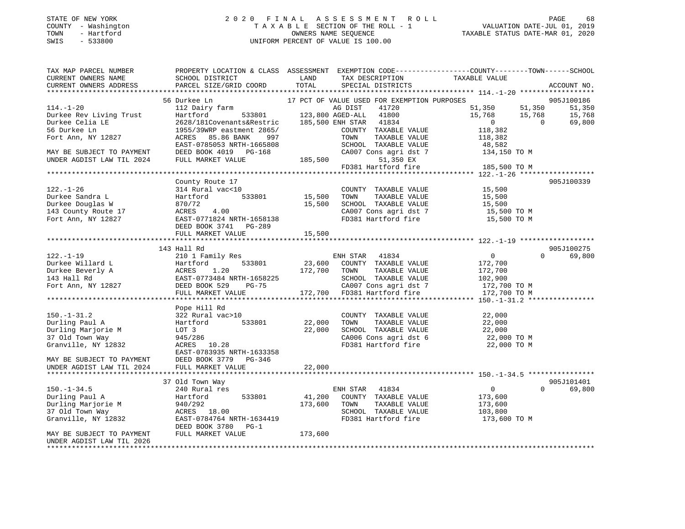### STATE OF NEW YORK 2 0 2 0 F I N A L A S S E S S M E N T R O L L PAGE 68 COUNTY - Washington T A X A B L E SECTION OF THE ROLL - 1 VALUATION DATE-JUL 01, 2019 TOWN - Hartford OWNERS NAME SEQUENCE TAXABLE STATUS DATE-MAR 01, 2020 SWIS - 533800 UNIFORM PERCENT OF VALUE IS 100.00

| TAX MAP PARCEL NUMBER<br>CURRENT OWNERS NAME<br>CURRENT OWNERS ADDRESS                                                                                                                                                                           | <b>Example 12</b> LAND<br>SCHOOL DISTRICT<br>PARCEL SIZE/GRID COORD                                                                                   | TOTAL   | TAX DESCRIPTION<br>SPECIAL DISTRICTS                       | PROPERTY LOCATION & CLASS ASSESSMENT EXEMPTION CODE---------------COUNTY-------TOWN------SCHOOL<br>TAXABLE VALUE | ACCOUNT NO.        |
|--------------------------------------------------------------------------------------------------------------------------------------------------------------------------------------------------------------------------------------------------|-------------------------------------------------------------------------------------------------------------------------------------------------------|---------|------------------------------------------------------------|------------------------------------------------------------------------------------------------------------------|--------------------|
|                                                                                                                                                                                                                                                  |                                                                                                                                                       |         |                                                            |                                                                                                                  |                    |
|                                                                                                                                                                                                                                                  | 56 Durkee Ln                                                                                                                                          |         | 17 PCT OF VALUE USED FOR EXEMPTION PURPOSES                |                                                                                                                  | 905J100186         |
| $114. - 1 - 20$                                                                                                                                                                                                                                  |                                                                                                                                                       |         |                                                            | 51,350 51,350                                                                                                    | 51,350             |
| Durkee Rev Living Trust                                                                                                                                                                                                                          |                                                                                                                                                       |         |                                                            |                                                                                                                  | 15,768             |
| Durkee Celia LE                                                                                                                                                                                                                                  |                                                                                                                                                       |         |                                                            | $15,768$ $15,768$ 0                                                                                              | 69,800             |
| 56 Durkee Ln                                                                                                                                                                                                                                     | 2020/1010000111000111020112<br>1955/39WRP eastment 2865/<br>ACRES 85.86 BANK 997 TOWN TAXABLE VALUE<br>EAST-0785053 NRTH-1665808 SCHOOL TAXABLE VALUE |         |                                                            | 118,382                                                                                                          |                    |
| Fort Ann, NY 12827                                                                                                                                                                                                                               |                                                                                                                                                       |         |                                                            |                                                                                                                  |                    |
|                                                                                                                                                                                                                                                  |                                                                                                                                                       |         |                                                            | 118,382<br>48,582                                                                                                |                    |
| MAY BE SUBJECT TO PAYMENT                                                                                                                                                                                                                        | DEED BOOK 4019 PG-168                                                                                                                                 |         |                                                            | CA007 Cons agri dst 7 134,150 TO M                                                                               |                    |
| UNDER AGDIST LAW TIL 2024                                                                                                                                                                                                                        | FULL MARKET VALUE                                                                                                                                     | 185,500 | 51,350 EX                                                  |                                                                                                                  |                    |
|                                                                                                                                                                                                                                                  |                                                                                                                                                       |         | FD381 Hartford fire                                        | 185,500 TO M                                                                                                     |                    |
|                                                                                                                                                                                                                                                  |                                                                                                                                                       |         |                                                            |                                                                                                                  |                    |
|                                                                                                                                                                                                                                                  | County Route 17                                                                                                                                       |         |                                                            |                                                                                                                  | 905J100339         |
| $122. - 1 - 26$                                                                                                                                                                                                                                  | $314 \text{ Rural vac} < 10$ $314 \text{ Rural vac} < 10$ $533801$ $15,500$ TOWN TAXABLE VALUE                                                        |         | COUNTY TAXABLE VALUE 15,500<br>TOWN TAXABLE VALUE 15,500   |                                                                                                                  |                    |
| Durkee Sandra L                                                                                                                                                                                                                                  |                                                                                                                                                       |         |                                                            |                                                                                                                  |                    |
| Durkee Douglas W<br>143 County Route 17                                                                                                                                                                                                          | $\frac{670772}{\text{ACRES}}$ 4.00                                                                                                                    | 15,500  |                                                            | SCHOOL TAXABLE VALUE 15,500<br>CA007 Cons agri dst 7 15,500 TO M                                                 |                    |
|                                                                                                                                                                                                                                                  |                                                                                                                                                       |         |                                                            |                                                                                                                  |                    |
| Fort Ann, NY $12827$                                                                                                                                                                                                                             | EAST-0771824 NRTH-1658138                                                                                                                             |         | FD381 Hartford fire                                        | 15,500 TO M                                                                                                      |                    |
|                                                                                                                                                                                                                                                  | DEED BOOK 3741 PG-289                                                                                                                                 |         |                                                            |                                                                                                                  |                    |
|                                                                                                                                                                                                                                                  | FULL MARKET VALUE                                                                                                                                     | 15,500  |                                                            |                                                                                                                  |                    |
|                                                                                                                                                                                                                                                  |                                                                                                                                                       |         |                                                            |                                                                                                                  |                    |
|                                                                                                                                                                                                                                                  | 143 Hall Rd                                                                                                                                           |         |                                                            |                                                                                                                  | 905J100275         |
| $122. - 1 - 19$                                                                                                                                                                                                                                  | 210 1 Family Res                                                                                                                                      |         | ENH STAR 41834<br>23,600 COUNTY TAXABLE VALUE              | $\overline{0}$                                                                                                   | 69,800<br>$\Omega$ |
|                                                                                                                                                                                                                                                  |                                                                                                                                                       |         |                                                            | 172,700                                                                                                          |                    |
|                                                                                                                                                                                                                                                  |                                                                                                                                                       |         |                                                            | 172,700                                                                                                          |                    |
|                                                                                                                                                                                                                                                  |                                                                                                                                                       |         |                                                            | 172,700<br>102,900                                                                                               |                    |
| 122.-1-19<br>Durkee Willard L<br>Durkee Beverly A Martford 533801 23,600 COUNTY TAXABLE VALUE<br>143 Hall Rd<br>143 Hall Rd<br>143 Hall Rd<br>15227 DEED BOOK 5229 PG-75<br>2008 CHOOL TAXABLE VALUE<br>2008 SCHOOL TAXABLE VALUE<br>2008 SCHOOL |                                                                                                                                                       |         | PG-75 CA007 Cons agri dst 7<br>172,700 FD381 Hartford fire | 172,700 TO M                                                                                                     |                    |
|                                                                                                                                                                                                                                                  | FULL MARKET VALUE                                                                                                                                     |         |                                                            | 172,700 TO M                                                                                                     |                    |
|                                                                                                                                                                                                                                                  |                                                                                                                                                       |         |                                                            |                                                                                                                  |                    |
|                                                                                                                                                                                                                                                  | Pope Hill Rd                                                                                                                                          |         |                                                            |                                                                                                                  |                    |
| $150.-1-31.2$                                                                                                                                                                                                                                    | 322 Rural vac>10                                                                                                                                      |         | COUNTY TAXABLE VALUE                                       | 22,000                                                                                                           |                    |
| Durling Paul A<br>M Hartform                                                                                                                                                                                                                     | Hartford 533801 22,000                                                                                                                                |         | TOWN TAXABLE VALUE                                         | $22,000$<br>$22,000$                                                                                             |                    |
| Durling Marjorie M                                                                                                                                                                                                                               |                                                                                                                                                       | 22,000  | SCHOOL TAXABLE VALUE                                       |                                                                                                                  |                    |
| 37 Old Town Way                                                                                                                                                                                                                                  |                                                                                                                                                       |         | CA006 Cons agri dst 6<br>FD381 Hartford fire               | 22,000 TO M<br>22,000 TO M                                                                                       |                    |
| Granville, NY 12832                                                                                                                                                                                                                              | LOT 3<br>945/286<br>ACRES 10.28                                                                                                                       |         |                                                            |                                                                                                                  |                    |
|                                                                                                                                                                                                                                                  | EAST-0783935 NRTH-1633358                                                                                                                             |         |                                                            |                                                                                                                  |                    |
| MAY BE SUBJECT TO PAYMENT DEED BOOK 3779 PG-346                                                                                                                                                                                                  |                                                                                                                                                       |         |                                                            |                                                                                                                  |                    |
| UNDER AGDIST LAW TIL 2024                                                                                                                                                                                                                        | FULL MARKET VALUE                                                                                                                                     | 22,000  |                                                            |                                                                                                                  |                    |
|                                                                                                                                                                                                                                                  |                                                                                                                                                       |         |                                                            |                                                                                                                  |                    |
|                                                                                                                                                                                                                                                  | 37 Old Town Way                                                                                                                                       |         |                                                            |                                                                                                                  | 905J101401         |
| 150.-1-34.5<br>Durling Paul A                                                                                                                                                                                                                    | 240 Rural res                                                                                                                                         |         | ENH STAR 41834                                             | $\overline{0}$                                                                                                   | $\Omega$<br>69,800 |
|                                                                                                                                                                                                                                                  | Hartford 533801                                                                                                                                       | 41,200  | COUNTY TAXABLE VALUE                                       | 173,600                                                                                                          |                    |
| Durling Marjorie M                                                                                                                                                                                                                               | 940/292<br>ACRES 18.00                                                                                                                                |         | 173,600 TOWN<br>TAXABLE VALUE                              | 173,600<br>103,800                                                                                               |                    |
| 37 Old Town Way                                                                                                                                                                                                                                  |                                                                                                                                                       |         | SCHOOL TAXABLE VALUE                                       |                                                                                                                  |                    |
| Granville, NY 12832                                                                                                                                                                                                                              | EAST-0784764 NRTH-1634419                                                                                                                             |         |                                                            | FD381 Hartford fire 173,600 TO M                                                                                 |                    |
| MAY BE SUBJECT TO PAYMENT                                                                                                                                                                                                                        | DEED BOOK 3780 PG-1<br>FULL MARKET VALUE                                                                                                              | 173,600 |                                                            |                                                                                                                  |                    |
| UNDER AGDIST LAW TIL 2026                                                                                                                                                                                                                        |                                                                                                                                                       |         |                                                            |                                                                                                                  |                    |
|                                                                                                                                                                                                                                                  |                                                                                                                                                       |         |                                                            |                                                                                                                  |                    |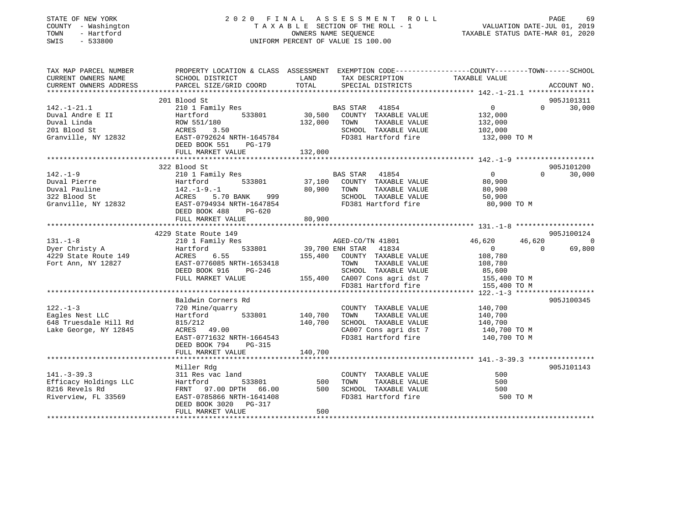| STATE OF NEW YORK<br>COUNTY - Washington<br>TOWN<br>- Hartford<br>SWIS<br>$-533800$ | 2020 FINAL ASSESSMENT ROLL<br>UNIFORM PERCENT OF VALUE IS 100.00                                                                              | T A X A B L E SECTION OF THE ROLL - 1 VALUATION DATE-JUL 01, 2019<br>OWNERS NAME SEQUENCE TAXABLE STATUS DATE-MAR 01, 2020 | PAGE<br>69                                    |                                       |             |
|-------------------------------------------------------------------------------------|-----------------------------------------------------------------------------------------------------------------------------------------------|----------------------------------------------------------------------------------------------------------------------------|-----------------------------------------------|---------------------------------------|-------------|
| TAX MAP PARCEL NUMBER<br>CURRENT OWNERS NAME<br>CURRENT OWNERS ADDRESS              | PROPERTY LOCATION & CLASS ASSESSMENT EXEMPTION CODE----------------COUNTY-------TOWN------SCHOOL<br>SCHOOL DISTRICT<br>PARCEL SIZE/GRID COORD | LAND<br>TOTAL                                                                                                              | TAX DESCRIPTION<br>SPECIAL DISTRICTS          | TAXABLE VALUE                         | ACCOUNT NO. |
|                                                                                     | 201 Blood St                                                                                                                                  |                                                                                                                            |                                               |                                       | 905J101311  |
| $142. - 1 - 21.1$<br>Duval Andre E II                                               | 210 1 Family Res<br>Hartford 533801                                                                                                           |                                                                                                                            | BAS STAR 41854<br>30,500 COUNTY TAXABLE VALUE | $\overline{0}$<br>$\Omega$<br>132,000 | 30,000      |
| Duval Linda<br>201 Blood St                                                         | ROW 551/180<br>ACRES<br>3.50                                                                                                                  | 132,000                                                                                                                    | TOWN TAXABLE VALUE<br>SCHOOL TAXABLE VALUE    | 132,000<br>102,000                    |             |
| Granville, NY 12832                                                                 | EAST-0792624 NRTH-1645784<br>DEED BOOK 551 PG-179                                                                                             |                                                                                                                            | FD381 Hartford fire                           | 132,000 TO M                          |             |
|                                                                                     | FULL MARKET VALUE                                                                                                                             | 132,000                                                                                                                    |                                               |                                       |             |
|                                                                                     |                                                                                                                                               |                                                                                                                            |                                               |                                       |             |
|                                                                                     | 322 Blood St                                                                                                                                  |                                                                                                                            |                                               |                                       | 905J101200  |
| $142. - 1 - 9$                                                                      | 210 1 Family Res                                                                                                                              |                                                                                                                            | BAS STAR 41854                                | 0<br>$\Omega$                         | 30,000      |
| Duval Pierre                                                                        | Hartford 533801                                                                                                                               |                                                                                                                            | 37,100 COUNTY TAXABLE VALUE                   | 80,900                                |             |
| Duval Pauline                                                                       | $142. - 1 - 9. - 1$                                                                                                                           | 80,900                                                                                                                     | TOWN TAXABLE VALUE                            | 80,900                                |             |
| 322 Blood St                                                                        | ACRES 5.70 BANK<br>999                                                                                                                        |                                                                                                                            | SCHOOL TAXABLE VALUE                          | 50,900                                |             |
| Granville, NY 12832                                                                 | EAST-0794934 NRTH-1647854                                                                                                                     |                                                                                                                            | FD381 Hartford fire                           | 80,900 TO M                           |             |
|                                                                                     | DEED BOOK 488 PG-620                                                                                                                          |                                                                                                                            |                                               |                                       |             |
|                                                                                     | FULL MARKET VALUE                                                                                                                             | 80,900                                                                                                                     |                                               |                                       |             |
|                                                                                     |                                                                                                                                               |                                                                                                                            |                                               |                                       |             |
|                                                                                     | 4229 State Route 149                                                                                                                          |                                                                                                                            |                                               |                                       | 905J100124  |
| $131. - 1 - 8$                                                                      | 210 1 Family Res                                                                                                                              |                                                                                                                            | AGED-CO/TN 41801                              | 46,620<br>46,620                      | $\sim$ 0    |
| Dyer Christy A                                                                      | $-1$ y Res<br>533801<br>Hartford                                                                                                              |                                                                                                                            | 39,700 ENH STAR 41834                         | $\overline{0}$<br>$\overline{0}$      | 69,800      |
| 4229 State Route 149                                                                | 6.55<br>ACRES                                                                                                                                 |                                                                                                                            | 155,400 COUNTY TAXABLE VALUE                  | 108,780                               |             |
| Fort Ann, NY 12827                                                                  | EAST-0776085 NRTH-1653418                                                                                                                     |                                                                                                                            | TOWN<br>TAXABLE VALUE                         | 108,780                               |             |
|                                                                                     | DEED BOOK 916 PG-246                                                                                                                          |                                                                                                                            | SCHOOL TAXABLE VALUE                          | 85,600                                |             |
|                                                                                     | FULL MARKET VALUE                                                                                                                             |                                                                                                                            | 155,400 CA007 Cons agri dst 7                 | 155,400 TO M                          |             |
|                                                                                     |                                                                                                                                               |                                                                                                                            | FD381 Hartford fire                           | 155,400 TO M                          |             |
|                                                                                     |                                                                                                                                               |                                                                                                                            |                                               | *** $122 - 1 - 3$ ******************* |             |
|                                                                                     | Baldwin Corners Rd                                                                                                                            |                                                                                                                            |                                               |                                       | 905J100345  |
| $122. - 1 - 3$                                                                      | 720 Mine/quarry                                                                                                                               |                                                                                                                            | COUNTY TAXABLE VALUE                          | 140,700                               |             |
| Eagles Nest LLC                                                                     | Hartford 533801                                                                                                                               | 140,700                                                                                                                    | TOWN<br>TAXABLE VALUE                         | 140,700                               |             |
| 648 Truesdale Hill Rd                                                               | 815/212                                                                                                                                       | 140,700                                                                                                                    | SCHOOL TAXABLE VALUE                          | 140,700                               |             |
| Lake George, NY 12845                                                               | ACRES 49.00                                                                                                                                   |                                                                                                                            | CA007 Cons agri dst 7                         | 140,700 TO M                          |             |
|                                                                                     | EAST-0771632 NRTH-1664543                                                                                                                     |                                                                                                                            | FD381 Hartford fire                           | 140,700 TO M                          |             |
|                                                                                     | DEED BOOK 794 PG-315                                                                                                                          |                                                                                                                            |                                               |                                       |             |
|                                                                                     | FULL MARKET VALUE                                                                                                                             | 140,700                                                                                                                    |                                               |                                       |             |
| ******************************                                                      |                                                                                                                                               |                                                                                                                            |                                               |                                       |             |
|                                                                                     | Miller Rdg                                                                                                                                    |                                                                                                                            |                                               |                                       | 905J101143  |
| $141. - 3 - 39.3$                                                                   | 311 Res vac land                                                                                                                              |                                                                                                                            | COUNTY TAXABLE VALUE                          | 500                                   |             |
| Efficacy Holdings LLC                                                               | 533801<br>Hartford                                                                                                                            | 500                                                                                                                        | TOWN<br>TAXABLE VALUE                         | 500                                   |             |
| 8216 Revels Rd                                                                      | FRNT 97.00 DPTH 66.00                                                                                                                         | 500                                                                                                                        | SCHOOL TAXABLE VALUE                          | 500                                   |             |
| Riverview, FL 33569                                                                 | EAST-0785866 NRTH-1641408                                                                                                                     |                                                                                                                            | FD381 Hartford fire                           | 500 TO M                              |             |
|                                                                                     | DEED BOOK 3020 PG-317                                                                                                                         |                                                                                                                            |                                               |                                       |             |
|                                                                                     | FULL MARKET VALUE                                                                                                                             | 500                                                                                                                        |                                               |                                       |             |
| **************************                                                          |                                                                                                                                               |                                                                                                                            |                                               |                                       |             |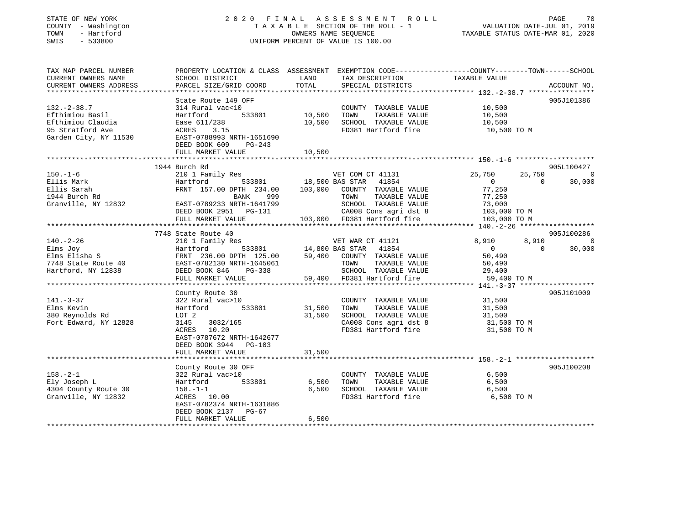| COUNTY - Washington<br>TOWN<br>- Hartford<br>SWIS<br>$-533800$ | TAXABLE SECTION OF THE ROLL - 1<br>UNIFORM PERCENT OF VALUE IS 100.00 | VALUATION DATE-JUL 01, 2019<br>TAXABLE STATUS DATE-MAR 01, 2020 |                                                                                                 |  |
|----------------------------------------------------------------|-----------------------------------------------------------------------|-----------------------------------------------------------------|-------------------------------------------------------------------------------------------------|--|
| TAX MAP PARCEL NUMBER                                          |                                                                       |                                                                 | PROPERTY LOCATION & CLASS ASSESSMENT EXEMPTION CODE---------------COUNTY-------TOWN------SCHOOL |  |
| CURRENT OWNERS NAME<br>CURRENT OWNERS ADDRESS                  | SCHOOL DISTRICT<br>PARCEL SIZE/GRID COORD                             | LAND<br>TAX DESCRIPTION<br>TOTAL<br>SPECIAL DISTRICTS           | TAXABLE VALUE<br>ACCOUNT NO.                                                                    |  |
| ***********************                                        | **********************                                                |                                                                 |                                                                                                 |  |
|                                                                | State Route 149 OFF                                                   |                                                                 | 905J101386                                                                                      |  |
| $132. - 2 - 38.7$                                              | 314 Rural vac<10                                                      | COUNTY TAXABLE VALUE                                            | 10,500                                                                                          |  |
| Efthimiou Basil                                                | Hartford<br>533801                                                    | 10,500<br>TAXABLE VALUE<br>TOWN                                 | 10,500                                                                                          |  |
| Efthimiou Claudia                                              | Ease 611/238                                                          | 10,500<br>SCHOOL TAXABLE VALUE                                  | 10,500                                                                                          |  |
| 95 Stratford Ave                                               | ACRES<br>3.15                                                         | FD381 Hartford fire                                             | 10,500 TO M                                                                                     |  |
| Garden City, NY 11530                                          | EAST-0788993 NRTH-1651690                                             |                                                                 |                                                                                                 |  |
|                                                                | DEED BOOK 609<br>$PG-243$                                             |                                                                 |                                                                                                 |  |
|                                                                | FULL MARKET VALUE                                                     | 10,500                                                          |                                                                                                 |  |
|                                                                | 1944 Burch Rd                                                         |                                                                 | 905L100427                                                                                      |  |
| $150. - 1 - 6$                                                 | 210 1 Family Res                                                      | VET COM CT 41131                                                | 25,750<br>25,750<br>$\overline{0}$                                                              |  |
| Ellis Mark                                                     | 533801<br>Hartford                                                    | 18,500 BAS STAR<br>41854                                        | $\overline{0}$<br>$\Omega$<br>30,000                                                            |  |
| Ellis Sarah                                                    | FRNT 157.00 DPTH 234.00                                               | 103,000<br>COUNTY TAXABLE VALUE                                 | 77,250                                                                                          |  |
| 1944 Burch Rd                                                  | <b>BANK</b><br>999                                                    | TAXABLE VALUE<br>TOWN                                           | 77,250                                                                                          |  |
| Granville, NY 12832                                            | EAST-0789233 NRTH-1641799                                             | SCHOOL TAXABLE VALUE                                            | 73,000                                                                                          |  |
|                                                                | DEED BOOK 2951 PG-131                                                 | CA008 Cons agri dst 8                                           | 103,000 TO M                                                                                    |  |
|                                                                | FULL MARKET VALUE<br>* * * * * * * * * * * * * * * *                  | 103,000 FD381 Hartford fire<br>***********************          | 103,000 TO M                                                                                    |  |
|                                                                |                                                                       |                                                                 | ****** 140.-2-26 *******************                                                            |  |
| $140. - 2 - 26$                                                | 7748 State Route 40<br>210 1 Family Res                               | VET WAR CT 41121                                                | 905J100286<br>8,910<br>8,910<br>$\Omega$                                                        |  |
| Elms Joy                                                       | Hartford<br>533801                                                    | 14,800 BAS STAR<br>41854                                        | $\overline{0}$<br>30,000<br>$\Omega$                                                            |  |
| Elms Elisha S                                                  | FRNT 236.00 DPTH 125.00                                               | 59,400<br>COUNTY TAXABLE VALUE                                  | 50,490                                                                                          |  |
| 7748 State Route 40                                            | EAST-0782130 NRTH-1645061                                             | TAXABLE VALUE<br>TOWN                                           | 50,490                                                                                          |  |
| Hartford, NY 12838                                             | DEED BOOK 846<br>PG-338                                               | SCHOOL TAXABLE VALUE                                            | 29,400                                                                                          |  |
|                                                                | FULL MARKET VALUE                                                     | 59,400<br>FD381 Hartford fire                                   | 59,400 TO M                                                                                     |  |
|                                                                | ********************                                                  | **************************                                      | *************** 141.-3-37 *****:                                                                |  |
|                                                                | County Route 30                                                       |                                                                 | 905J101009                                                                                      |  |
| $141. - 3 - 37$<br>Elms Kevin                                  | 322 Rural vac>10<br>Hartford<br>533801                                | COUNTY TAXABLE VALUE<br>31,500<br>TOWN<br>TAXABLE VALUE         | 31,500<br>31,500                                                                                |  |
| 380 Reynolds Rd                                                | LOT 2                                                                 | 31,500<br>SCHOOL TAXABLE VALUE                                  | 31,500                                                                                          |  |
| Fort Edward, NY 12828                                          | 3145<br>3032/165                                                      | CA008 Cons agri dst 8                                           | 31,500 TO M                                                                                     |  |
|                                                                | ACRES<br>10.20                                                        | FD381 Hartford fire                                             | 31,500 TO M                                                                                     |  |
|                                                                | EAST-0787672 NRTH-1642677                                             |                                                                 |                                                                                                 |  |
|                                                                | DEED BOOK 3944 PG-103                                                 |                                                                 |                                                                                                 |  |
|                                                                | FULL MARKET VALUE                                                     | 31,500                                                          |                                                                                                 |  |
|                                                                |                                                                       |                                                                 |                                                                                                 |  |
|                                                                | County Route 30 OFF                                                   |                                                                 | 905J100208                                                                                      |  |
| $158. - 2 - 1$                                                 | 322 Rural vac>10                                                      | COUNTY TAXABLE VALUE                                            | 6,500                                                                                           |  |
| Ely Joseph L<br>4304 County Route 30                           | 533801<br>Hartford<br>$158. - 1 - 1$                                  | 6,500<br>TAXABLE VALUE<br>TOWN<br>6,500<br>SCHOOL TAXABLE VALUE | 6,500<br>6,500                                                                                  |  |
| Granville, NY 12832                                            | ACRES 10.00                                                           | FD381 Hartford fire                                             | 6,500 TO M                                                                                      |  |
|                                                                | EAST-0782374 NRTH-1631886                                             |                                                                 |                                                                                                 |  |
|                                                                | DEED BOOK 2137<br>PG-67                                               |                                                                 |                                                                                                 |  |
|                                                                | FULL MARKET VALUE                                                     | 6,500                                                           |                                                                                                 |  |
|                                                                |                                                                       | * * * * * * * * *                                               |                                                                                                 |  |

STATE OF NEW YORK 2 0 2 0 F I N A L A S S E S S M E N T R O L L PAGE 70

70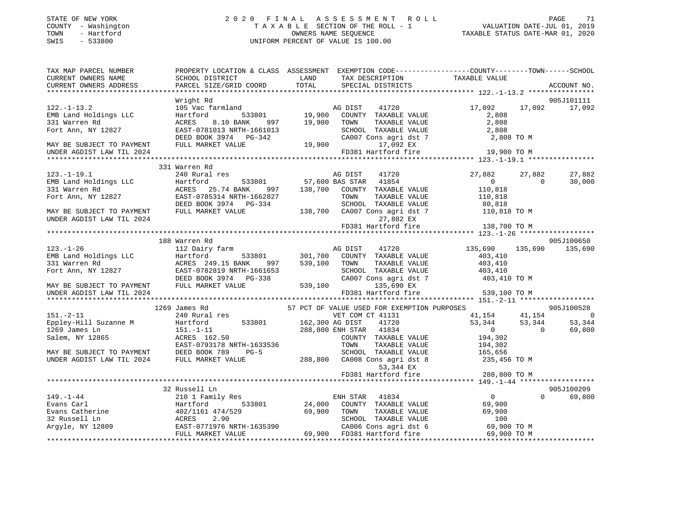## STATE OF NEW YORK 2 0 2 0 F I N A L A S S E S S M E N T R O L L PAGE 71 COUNTY - Washington T A X A B L E SECTION OF THE ROLL - 1 VALUATION DATE-JUL 01, 2019 TOWN - Hartford OWNERS NAME SEQUENCE TAXABLE STATUS DATE-MAR 01, 2020 SWIS - 533800 UNIFORM PERCENT OF VALUE IS 100.00UNIFORM PERCENT OF VALUE IS 100.00

| TAX MAP PARCEL NUMBER                                 | PROPERTY LOCATION & CLASS ASSESSMENT EXEMPTION CODE---------------COUNTY-------TOWN-----SCHOOL                                                                                                                                                         |                                                                                                             |                         |          |                    |
|-------------------------------------------------------|--------------------------------------------------------------------------------------------------------------------------------------------------------------------------------------------------------------------------------------------------------|-------------------------------------------------------------------------------------------------------------|-------------------------|----------|--------------------|
|                                                       |                                                                                                                                                                                                                                                        |                                                                                                             |                         |          |                    |
| CURRENT OWNERS NAME<br>CURRENT OWNERS ADDRESS         |                                                                                                                                                                                                                                                        |                                                                                                             |                         |          |                    |
|                                                       |                                                                                                                                                                                                                                                        |                                                                                                             |                         |          |                    |
|                                                       | Wright Rd                                                                                                                                                                                                                                              |                                                                                                             |                         |          | 905J101111         |
| $122. - 1 - 13.2$                                     | 105 Vac farmland Mag DIST 41720<br>Hartford 533801 19,900 COUNTY TAXABLE VALUE                                                                                                                                                                         |                                                                                                             | 17,092 17,092 17,092    |          |                    |
| 122.-1-13.2<br>EMB Land Holdings LLC<br>331 Warren Rd |                                                                                                                                                                                                                                                        |                                                                                                             | 2,808                   |          |                    |
|                                                       | ACRES 8.10 BANK 997 19,900 TOWN                                                                                                                                                                                                                        | TOWN       TAXABLE  VALUE<br>SCHOOL    TAXABLE  VALUE                                                       | 2,808<br>2,808          |          |                    |
| Fort Ann, NY 12827                                    | EAST-0781013 NRTH-1661013                                                                                                                                                                                                                              |                                                                                                             |                         |          |                    |
|                                                       | DEED BOOK 3974 PG-342                                                                                                                                                                                                                                  | 1661013<br>SCHOOL TAXABLE VALUE<br>3-342<br>2,808 TO M<br>3-342<br>2,900<br>17,092 EX<br>2,808 TO M         |                         |          |                    |
| MAY BE SUBJECT TO PAYMENT                             | FULL MARKET VALUE                                                                                                                                                                                                                                      |                                                                                                             |                         |          |                    |
|                                                       |                                                                                                                                                                                                                                                        |                                                                                                             |                         |          |                    |
|                                                       |                                                                                                                                                                                                                                                        |                                                                                                             |                         |          |                    |
|                                                       | 331 Warren Rd                                                                                                                                                                                                                                          |                                                                                                             |                         |          |                    |
| $123. - 1 - 19.1$                                     | 240 Rural res                                                                                                                                                                                                                                          | res<br>533801 57,600 BAS STAR 41854<br>57,600 BAS STAR 41854<br>57,74 BANK 997 138,700 COUNTY TAXABLE VALUE | 27,882 27,882           |          | 27,882             |
|                                                       |                                                                                                                                                                                                                                                        |                                                                                                             | $\overline{0}$          | $\sim$ 0 | 30,000             |
|                                                       |                                                                                                                                                                                                                                                        |                                                                                                             | 110,818                 |          |                    |
|                                                       |                                                                                                                                                                                                                                                        | TOWN TAXABLE VALUE 110,818<br>SCHOOL TAXABLE VALUE 80,818<br>CA007 Cons agri dst 7 110,818 TO M             |                         |          |                    |
|                                                       |                                                                                                                                                                                                                                                        |                                                                                                             |                         |          |                    |
|                                                       |                                                                                                                                                                                                                                                        |                                                                                                             |                         |          |                    |
| UNDER AGDIST LAW TIL 2024                             |                                                                                                                                                                                                                                                        | 27,882 EX                                                                                                   |                         |          |                    |
|                                                       |                                                                                                                                                                                                                                                        | FD381 Hartford fire                                                                                         | 138,700 TO M            |          |                    |
|                                                       |                                                                                                                                                                                                                                                        |                                                                                                             |                         |          |                    |
|                                                       | 188 Warren Rd                                                                                                                                                                                                                                          |                                                                                                             |                         |          | 905J100650         |
|                                                       |                                                                                                                                                                                                                                                        |                                                                                                             | 135,690 135,690 135,690 |          |                    |
|                                                       |                                                                                                                                                                                                                                                        |                                                                                                             |                         |          |                    |
|                                                       |                                                                                                                                                                                                                                                        |                                                                                                             |                         |          |                    |
|                                                       |                                                                                                                                                                                                                                                        |                                                                                                             |                         |          |                    |
|                                                       |                                                                                                                                                                                                                                                        |                                                                                                             |                         |          |                    |
|                                                       |                                                                                                                                                                                                                                                        |                                                                                                             |                         |          |                    |
| UNDER AGDIST LAW TIL 2024                             |                                                                                                                                                                                                                                                        | FD381 Hartford fire                                                                                         | 539,100 TO M            |          |                    |
|                                                       |                                                                                                                                                                                                                                                        |                                                                                                             |                         |          |                    |
|                                                       | 131.-2-11<br>1269 James Rd<br>280 Aural res<br>290 Aural res<br>290 Aural res<br>290 Aural res<br>290 Aural res<br>290 Aural res<br>288,800 ENI FOR EXEMPTION PURPOSES<br>288,800 ENI TEL 41720<br>288,800 ENI TEL 41234<br>288,800 ENI TEL 41234<br>2 |                                                                                                             |                         |          |                    |
|                                                       |                                                                                                                                                                                                                                                        |                                                                                                             |                         |          |                    |
|                                                       |                                                                                                                                                                                                                                                        |                                                                                                             |                         |          |                    |
|                                                       |                                                                                                                                                                                                                                                        |                                                                                                             |                         |          |                    |
|                                                       |                                                                                                                                                                                                                                                        |                                                                                                             |                         |          |                    |
|                                                       |                                                                                                                                                                                                                                                        |                                                                                                             |                         |          |                    |
|                                                       |                                                                                                                                                                                                                                                        |                                                                                                             |                         |          |                    |
|                                                       |                                                                                                                                                                                                                                                        | 53,344 EX                                                                                                   |                         |          |                    |
|                                                       |                                                                                                                                                                                                                                                        | FD381 Hartford fire                                                                                         | 288,800 TO M            |          |                    |
|                                                       |                                                                                                                                                                                                                                                        |                                                                                                             |                         |          |                    |
|                                                       | 32 Russell Ln                                                                                                                                                                                                                                          |                                                                                                             |                         |          | 905J100209         |
|                                                       |                                                                                                                                                                                                                                                        |                                                                                                             |                         |          | $\Omega$<br>69,800 |
|                                                       |                                                                                                                                                                                                                                                        |                                                                                                             |                         |          |                    |
|                                                       |                                                                                                                                                                                                                                                        |                                                                                                             |                         |          |                    |
|                                                       |                                                                                                                                                                                                                                                        |                                                                                                             |                         |          |                    |
|                                                       |                                                                                                                                                                                                                                                        |                                                                                                             |                         |          |                    |
|                                                       |                                                                                                                                                                                                                                                        |                                                                                                             |                         |          |                    |
|                                                       |                                                                                                                                                                                                                                                        |                                                                                                             |                         |          |                    |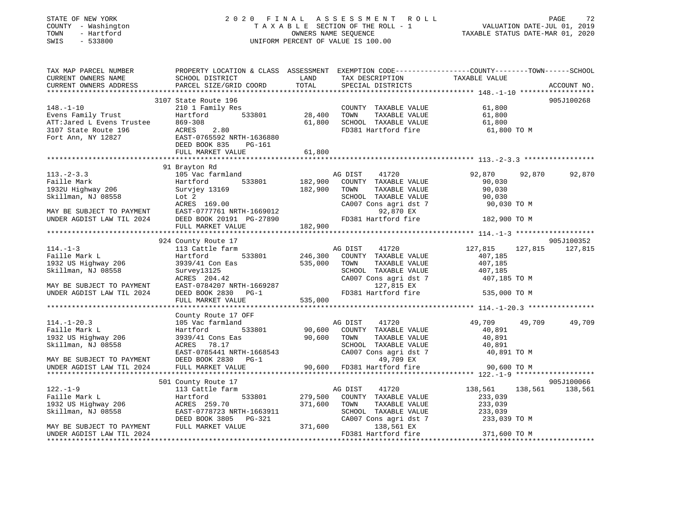#### STATE OF NEW YORK 2 0 2 0 F I N A L A S S E S S M E N T R O L L PAGE 72COUNTY - Washington  $T A X A B L E$  SECTION OF THE ROLL - 1<br>TOWN - Hartford TOWN - Hartford **Taxable STATUS DATE-MAR 01, 2020** OWNERS NAME SEQUENCE TAXABLE STATUS DATE-MAR 01, 2020 SWIS - 533800 UNIFORM PERCENT OF VALUE IS 100.00

VALUATION DATE-JUL 01, 2019

| TAX MAP PARCEL NUMBER<br>CURRENT OWNERS NAME<br>CURRENT OWNERS ADDRESS                                                                 | SCHOOL DISTRICT<br>PARCEL SIZE/GRID COORD                                                                                                                                                                                                           | LAND<br>TOTAL | TAX DESCRIPTION<br>SPECIAL DISTRICTS          | PROPERTY LOCATION & CLASS ASSESSMENT EXEMPTION CODE----------------COUNTY-------TOWN------SCHOOL<br>TAXABLE VALUE | ACCOUNT NO. |
|----------------------------------------------------------------------------------------------------------------------------------------|-----------------------------------------------------------------------------------------------------------------------------------------------------------------------------------------------------------------------------------------------------|---------------|-----------------------------------------------|-------------------------------------------------------------------------------------------------------------------|-------------|
|                                                                                                                                        |                                                                                                                                                                                                                                                     |               |                                               |                                                                                                                   |             |
|                                                                                                                                        | 3107 State Route 196                                                                                                                                                                                                                                |               |                                               |                                                                                                                   | 905J100268  |
|                                                                                                                                        | 148.-1-10<br>Evens Family Trust<br>ATT:Jared L Evens Trustee<br>3107 State Route 196<br>Fort Ann, NY 12827<br>Port Ann, NY 12827<br>Port Ann, NY 12827<br>Port Ann, NY 12827<br>Port Ann, NY 12827<br>Port Ann, NY 12827<br>Port Ann, NY 12827<br>P |               | COUNTY TAXABLE VALUE 61,800                   |                                                                                                                   |             |
|                                                                                                                                        | Hartford 533801 28,400                                                                                                                                                                                                                              |               |                                               |                                                                                                                   |             |
|                                                                                                                                        |                                                                                                                                                                                                                                                     | 61,800        |                                               |                                                                                                                   |             |
|                                                                                                                                        |                                                                                                                                                                                                                                                     |               |                                               | TOWN TAXABLE VALUE<br>SCHOOL TAXABLE VALUE 61,800<br>SCHOOL TAXABLE VALUE 61,800 TO M                             |             |
|                                                                                                                                        |                                                                                                                                                                                                                                                     |               |                                               |                                                                                                                   |             |
|                                                                                                                                        |                                                                                                                                                                                                                                                     |               |                                               |                                                                                                                   |             |
|                                                                                                                                        |                                                                                                                                                                                                                                                     | 61,800        |                                               |                                                                                                                   |             |
|                                                                                                                                        |                                                                                                                                                                                                                                                     |               |                                               |                                                                                                                   |             |
|                                                                                                                                        | 91 Brayton Rd                                                                                                                                                                                                                                       |               |                                               |                                                                                                                   |             |
|                                                                                                                                        |                                                                                                                                                                                                                                                     |               | 41720<br>COUNTY TAXABLE VALUE                 | 92,870<br>92,870<br>90,030                                                                                        | 92,870      |
|                                                                                                                                        |                                                                                                                                                                                                                                                     |               | TAXABLE VALUE                                 | 90,030                                                                                                            |             |
|                                                                                                                                        |                                                                                                                                                                                                                                                     |               |                                               |                                                                                                                   |             |
|                                                                                                                                        |                                                                                                                                                                                                                                                     |               | SCHOOL TAXABLE VALUE<br>CA007 Cons agri dst 7 |                                                                                                                   |             |
|                                                                                                                                        | 113.-2-3.3<br>Faille Mark Martiford Harriend AG DIST 41720<br>182,900 COUNTY TAXABLE VALUE<br>182,900 COUNTY TAXABLE VALUE<br>Skillman, NJ 08558 Lot 2<br>MAY BE SUBJECT TO PAYMENT EAST-0777761 NRTH-1669012<br>182,900 TOWN TAXABLE VAL           |               |                                               | 90,030 TO M<br>90,030 TO M                                                                                        |             |
|                                                                                                                                        |                                                                                                                                                                                                                                                     |               |                                               | 182,900 TO M                                                                                                      |             |
|                                                                                                                                        |                                                                                                                                                                                                                                                     |               |                                               |                                                                                                                   |             |
|                                                                                                                                        |                                                                                                                                                                                                                                                     |               |                                               |                                                                                                                   |             |
|                                                                                                                                        | 924 County Route 17                                                                                                                                                                                                                                 |               |                                               |                                                                                                                   | 905J100352  |
| $114. - 1 - 3$                                                                                                                         | 113 Cattle farm                                                                                                                                                                                                                                     |               | AG DIST                                       | 41720 127,815<br>127,815                                                                                          | 127,815     |
| Faille Mark L                                                                                                                          | Hartford 533801 246,300 COUNTY TAXABLE VALUE                                                                                                                                                                                                        |               |                                               | 407,185                                                                                                           |             |
| 1932 US Highway 206                                                                                                                    | 3939/41 Con Eas                                                                                                                                                                                                                                     | 535,000       | TAXABLE VALUE<br>TOWN                         | 407,185                                                                                                           |             |
| Skillman, NJ 08558                                                                                                                     |                                                                                                                                                                                                                                                     |               | SCHOOL TAXABLE VALUE                          | 407,185                                                                                                           |             |
|                                                                                                                                        |                                                                                                                                                                                                                                                     |               | CA007 Cons agri dst 7 407,185 TO M            |                                                                                                                   |             |
| MAY BE SUBJECT TO PAYMENT                                                                                                              | Survey13125<br>ACRES 204.42<br>EAST-0784207 NRTH-1669287<br>DEED BOOK 2830 PG-1<br>FULL MARKET VALUE 535,000                                                                                                                                        |               | 127,815 EX                                    |                                                                                                                   |             |
| UNDER AGDIST LAW TIL 2024                                                                                                              |                                                                                                                                                                                                                                                     |               | FD381 Hartford fire 535,000 TO M              |                                                                                                                   |             |
|                                                                                                                                        |                                                                                                                                                                                                                                                     |               |                                               |                                                                                                                   |             |
|                                                                                                                                        | County Route 17 OFF                                                                                                                                                                                                                                 |               |                                               |                                                                                                                   |             |
| $114. - 1 - 20.3$                                                                                                                      | 105 Vac farmland                                                                                                                                                                                                                                    |               | AG DIST<br>41720                              | 49,709<br>49,709                                                                                                  | 49,709      |
| Faille Mark L                                                                                                                          | Hartford                                                                                                                                                                                                                                            |               | 533801 90,600 COUNTY TAXABLE VALUE            | 40,891                                                                                                            |             |
| 1932 US Highway 206                                                                                                                    | $3939/41$ Cons Eas $90,600$ TOWN $2CRES$ 78 17                                                                                                                                                                                                      |               | TAXABLE VALUE                                 | 40,891                                                                                                            |             |
| Skillman, NJ 08558                                                                                                                     |                                                                                                                                                                                                                                                     |               | SCHOOL TAXABLE VALUE                          | 10,891                                                                                                            |             |
|                                                                                                                                        | ACRES 78.17<br>EAST-0785441 NRTH-1668543 CA007                                                                                                                                                                                                      |               | CA007 Cons agri dst 7                         | 40,891 TO M                                                                                                       |             |
| MAY BE SUBJECT TO PAYMENT                                                                                                              |                                                                                                                                                                                                                                                     |               | 49,709 EX                                     |                                                                                                                   |             |
| UNDER AGDIST LAW TIL 2024                                                                                                              | FULL MARKET VALUE                                                                                                                                                                                                                                   |               | 90,600 FD381 Hartford fire                    | 90,600 TO M                                                                                                       |             |
|                                                                                                                                        |                                                                                                                                                                                                                                                     |               |                                               |                                                                                                                   |             |
|                                                                                                                                        | 501 County Route 17                                                                                                                                                                                                                                 |               |                                               |                                                                                                                   | 905J100066  |
| $122. - 1 - 9$                                                                                                                         | 113 Cattle farm                                                                                                                                                                                                                                     |               | 41720<br>AG DIST                              | 138,561<br>138,561                                                                                                | 138,561     |
| Faille Mark L<br>1932 US Highway 206 (ACRES 259.70)<br>Skillman, NJ 08558 (EAST-0778723 N<br>MAY BE SUBJECT TO PAYMENT (FULL MARKET VA |                                                                                                                                                                                                                                                     |               | 533801 279,500 COUNTY TAXABLE VALUE           | 233,039                                                                                                           |             |
|                                                                                                                                        |                                                                                                                                                                                                                                                     | 371,600       | TAXABLE VALUE<br>TOWN                         | 233,039                                                                                                           |             |
|                                                                                                                                        | EAST-0778723 NRTH-1663911<br>DEED BOOK 3805 PG-321                                                                                                                                                                                                  |               | SCHOOL TAXABLE VALUE                          | 233,039<br>CA007 Cons agri dst 7 233,039 TO M                                                                     |             |
|                                                                                                                                        | FULL MARKET VALUE                                                                                                                                                                                                                                   | 371,600       | 138,561 EX                                    |                                                                                                                   |             |
| UNDER AGDIST LAW TIL 2024                                                                                                              |                                                                                                                                                                                                                                                     |               | FD381 Hartford fire                           | 371,600 TO M                                                                                                      |             |
|                                                                                                                                        |                                                                                                                                                                                                                                                     |               |                                               |                                                                                                                   |             |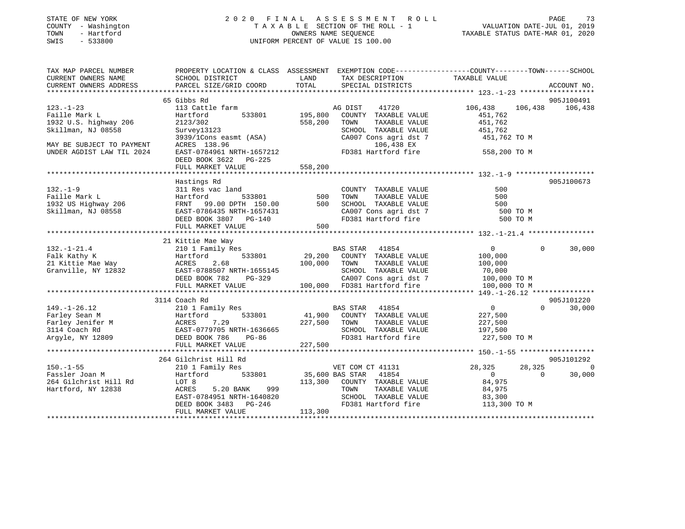| STATE OF NEW YORK |            |              |  |
|-------------------|------------|--------------|--|
| COUNTY            |            | - Washington |  |
| TOWN              |            | - Hartford   |  |
| CM <sub>T</sub> C | $-$ 533800 |              |  |

#### STATE OF NEW YORK 2 0 2 0 F I N A L A S S E S S M E N T R O L L PAGE 73 COUNTY - Washington T A X A B L E SECTION OF THE ROLL - 1 VALUATION DATE-JUL 01, 2019 OWNERS NAME SEQUENCE TAXABLE STATUS DATE-MAR 01, 2020 SWIS - 533800 UNIFORM PERCENT OF VALUE IS 100.00

| TAX MAP PARCEL NUMBER     | PROPERTY LOCATION & CLASS ASSESSMENT EXEMPTION CODE----------------COUNTY-------TOWN------SCHOOL                                                                                                                                                     |                        |                                                                  |                 |                |                                                                                                                                                                                                                                                                                |
|---------------------------|------------------------------------------------------------------------------------------------------------------------------------------------------------------------------------------------------------------------------------------------------|------------------------|------------------------------------------------------------------|-----------------|----------------|--------------------------------------------------------------------------------------------------------------------------------------------------------------------------------------------------------------------------------------------------------------------------------|
| CURRENT OWNERS NAME       | SCHOOL DISTRICT                                                                                                                                                                                                                                      | LAND                   | TAX DESCRIPTION TAXABLE VALUE                                    |                 |                |                                                                                                                                                                                                                                                                                |
| CURRENT OWNERS ADDRESS    | PARCEL SIZE/GRID COORD                                                                                                                                                                                                                               | TOTAL                  | SPECIAL DISTRICTS                                                |                 |                | ACCOUNT NO.                                                                                                                                                                                                                                                                    |
|                           |                                                                                                                                                                                                                                                      |                        |                                                                  |                 |                |                                                                                                                                                                                                                                                                                |
|                           | 65 Gibbs Rd                                                                                                                                                                                                                                          |                        |                                                                  |                 |                | 905J100491                                                                                                                                                                                                                                                                     |
| $123. - 1 - 23$           | 113 Cattle farm                                                                                                                                                                                                                                      |                        | 41720<br>AG DIST                                                 | 106,438 106,438 |                | 106,438                                                                                                                                                                                                                                                                        |
| Faille Mark L             | 533801 195,800<br>Hartford                                                                                                                                                                                                                           |                        | COUNTY TAXABLE VALUE                                             | 451,762         |                |                                                                                                                                                                                                                                                                                |
| 1932 U.S. highway 206     | 2123/302                                                                                                                                                                                                                                             | 558,200                | TOWN<br>TAXABLE VALUE                                            | 451,762         |                |                                                                                                                                                                                                                                                                                |
| Skillman, NJ 08558        | Survey13123                                                                                                                                                                                                                                          |                        | SCHOOL TAXABLE VALUE                                             | 451,762         |                |                                                                                                                                                                                                                                                                                |
|                           | 3939/lCons easmt (ASA)<br>ACRES 138.96                                                                                                                                                                                                               |                        | CA007 Cons agri dst 7                                            | 451,762 TO M    |                |                                                                                                                                                                                                                                                                                |
| MAY BE SUBJECT TO PAYMENT |                                                                                                                                                                                                                                                      |                        | 106,438 EX                                                       |                 |                |                                                                                                                                                                                                                                                                                |
| UNDER AGDIST LAW TIL 2024 | EAST-0784961 NRTH-1657212 FD381 Hartford fire                                                                                                                                                                                                        |                        |                                                                  | 558,200 TO M    |                |                                                                                                                                                                                                                                                                                |
|                           | DEED BOOK 3622 PG-225                                                                                                                                                                                                                                |                        |                                                                  |                 |                |                                                                                                                                                                                                                                                                                |
|                           |                                                                                                                                                                                                                                                      |                        |                                                                  |                 |                |                                                                                                                                                                                                                                                                                |
|                           |                                                                                                                                                                                                                                                      |                        |                                                                  |                 |                |                                                                                                                                                                                                                                                                                |
|                           | Hastings Rd                                                                                                                                                                                                                                          |                        |                                                                  |                 |                | 905J100673                                                                                                                                                                                                                                                                     |
| $132. - 1 - 9$            | 311 Res vac land                                                                                                                                                                                                                                     |                        | COUNTY TAXABLE VALUE                                             | 500             |                |                                                                                                                                                                                                                                                                                |
|                           |                                                                                                                                                                                                                                                      |                        | TAXABLE VALUE<br>TOWN                                            | 500             |                |                                                                                                                                                                                                                                                                                |
|                           |                                                                                                                                                                                                                                                      |                        | SCHOOL TAXABLE VALUE                                             | 500             |                |                                                                                                                                                                                                                                                                                |
|                           |                                                                                                                                                                                                                                                      |                        | SCHOOL TAXABLE VALUE<br>CA007 Cons agri dst 7                    | 500 TO M        |                |                                                                                                                                                                                                                                                                                |
|                           | 132.-1-9<br>Faille Mark L<br>1932 US Highway 206<br>Skillman, NJ 08558<br>Skillman, NJ 08558<br>Skillman, NJ 08558<br>Skillman, NJ 08558<br>Skillman, NJ 08558<br>Skillman, NJ 08558<br>Skillman, NJ 08558<br>Skillman, NJ 08558<br>Skillman, NJ 085 |                        | FD381 Hartford fire                                              |                 | 500 TO M       |                                                                                                                                                                                                                                                                                |
|                           | FULL MARKET VALUE                                                                                                                                                                                                                                    | 500                    |                                                                  |                 |                |                                                                                                                                                                                                                                                                                |
|                           |                                                                                                                                                                                                                                                      |                        |                                                                  |                 |                |                                                                                                                                                                                                                                                                                |
|                           | 21 Kittie Mae Way                                                                                                                                                                                                                                    |                        |                                                                  |                 |                |                                                                                                                                                                                                                                                                                |
| $132. - 1 - 21.4$         | $210$ 1 Family Res                                                                                                                                                                                                                                   |                        | BAS STAR 41854                                                   | $\overline{0}$  | $\Omega$       | 30,000                                                                                                                                                                                                                                                                         |
|                           |                                                                                                                                                                                                                                                      |                        | 533801 29,200 COUNTY TAXABLE VALUE                               |                 |                |                                                                                                                                                                                                                                                                                |
|                           |                                                                                                                                                                                                                                                      |                        |                                                                  |                 |                |                                                                                                                                                                                                                                                                                |
|                           |                                                                                                                                                                                                                                                      |                        |                                                                  |                 |                |                                                                                                                                                                                                                                                                                |
|                           |                                                                                                                                                                                                                                                      |                        |                                                                  |                 |                |                                                                                                                                                                                                                                                                                |
|                           | Falk Kathy K<br>29,200 COUNTY TAXABLE VALUE 100,000<br>21 Kittie Mae Way ACRES 2.68 100,000 TOWN TAXABLE VALUE 100,000<br>Granville, NY 12832 EAST-0788507 NRTH-1655145 SCHOOL TAXABLE VALUE 70,000 TO M<br>DEED BOOK 782 PG-329 CA007               |                        |                                                                  |                 |                |                                                                                                                                                                                                                                                                                |
|                           |                                                                                                                                                                                                                                                      |                        |                                                                  |                 |                |                                                                                                                                                                                                                                                                                |
|                           | 3114 Coach Rd                                                                                                                                                                                                                                        |                        |                                                                  |                 |                | 905J101220                                                                                                                                                                                                                                                                     |
|                           |                                                                                                                                                                                                                                                      |                        |                                                                  | $\overline{0}$  |                | $\Omega$<br>30,000                                                                                                                                                                                                                                                             |
|                           |                                                                                                                                                                                                                                                      |                        |                                                                  | 227,500         |                |                                                                                                                                                                                                                                                                                |
|                           |                                                                                                                                                                                                                                                      |                        | TAXABLE VALUE                                                    | 227,500         |                |                                                                                                                                                                                                                                                                                |
|                           |                                                                                                                                                                                                                                                      |                        |                                                                  |                 |                |                                                                                                                                                                                                                                                                                |
|                           | 149.-1-26.12 210 1 Family Res<br>Farley Sean M Hartford 533801 41,900 COUNTY TAXABLE VALUE<br>Farley Jenifer M ACRES 7.29 227,500 TOWN TAXABLE VALUE<br>3114 Coach Rd EAST-0779705 NRTH-1636665<br>Argyle, NY 12809 DEED BOOK 786 PG-8               |                        | SCHOOL TAXABLE VALUE 197,500<br>FD381 Hartford fire 227,500 TO M |                 |                |                                                                                                                                                                                                                                                                                |
|                           | FULL MARKET VALUE                                                                                                                                                                                                                                    | 227,500                |                                                                  |                 |                |                                                                                                                                                                                                                                                                                |
|                           |                                                                                                                                                                                                                                                      |                        |                                                                  |                 |                |                                                                                                                                                                                                                                                                                |
|                           | 264 Gilchrist Hill Rd                                                                                                                                                                                                                                |                        |                                                                  |                 |                | 905J101292                                                                                                                                                                                                                                                                     |
| $150. - 1 - 55$           | 210 1 Family Res                                                                                                                                                                                                                                     |                        | VET COM CT 41131                                                 | 28,325          | 28,325         | $\sim$ 000 $\sim$ 000 $\sim$ 000 $\sim$ 000 $\sim$ 000 $\sim$ 000 $\sim$ 000 $\sim$ 000 $\sim$ 000 $\sim$ 000 $\sim$ 000 $\sim$ 000 $\sim$ 000 $\sim$ 000 $\sim$ 000 $\sim$ 000 $\sim$ 000 $\sim$ 000 $\sim$ 000 $\sim$ 000 $\sim$ 000 $\sim$ 000 $\sim$ 000 $\sim$ 000 $\sim$ |
| Fassler Joan M            | Hartford                                                                                                                                                                                                                                             | 533801 35,600 BAS STAR | 41854                                                            | $\overline{0}$  | $\overline{0}$ | 30,000                                                                                                                                                                                                                                                                         |
|                           |                                                                                                                                                                                                                                                      |                        | 113,300 COUNTY TAXABLE VALUE                                     | 84,975          |                |                                                                                                                                                                                                                                                                                |
|                           | 999                                                                                                                                                                                                                                                  |                        | TAXABLE VALUE<br>TOWN                                            | 84,975          |                |                                                                                                                                                                                                                                                                                |
|                           | EAST-0784951 NRTH-1640820                                                                                                                                                                                                                            |                        | SCHOOL TAXABLE VALUE                                             | 83,300          |                |                                                                                                                                                                                                                                                                                |
|                           | DEED BOOK 3483 PG-246                                                                                                                                                                                                                                |                        | FD381 Hartford fire                                              | 113,300 TO M    |                |                                                                                                                                                                                                                                                                                |
|                           | FULL MARKET VALUE                                                                                                                                                                                                                                    | 113,300                |                                                                  |                 |                |                                                                                                                                                                                                                                                                                |
|                           |                                                                                                                                                                                                                                                      |                        |                                                                  |                 |                |                                                                                                                                                                                                                                                                                |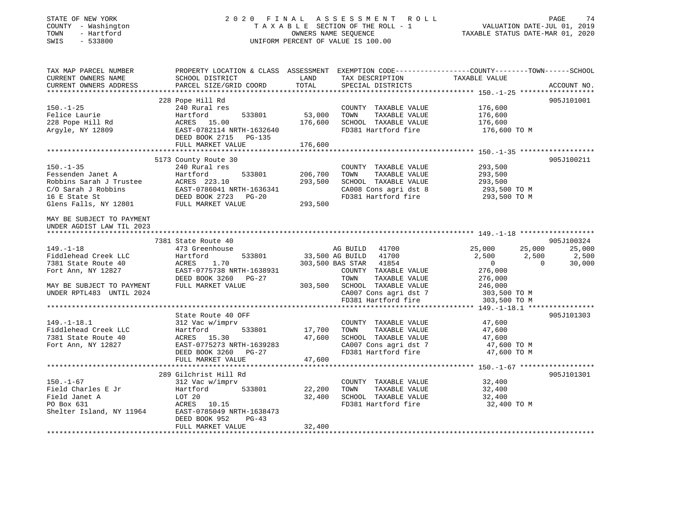#### STATE OF NEW YORK 2 0 2 0 F I N A L A S S E S S M E N T R O L L PAGE 74 COUNTY - Washington T A X A B L E SECTION OF THE ROLL - 1 VALUATION DATE-JUL 01, 2019 TOWN - Hartford OWNERS NAME SEQUENCE TAXABLE STATUS DATE-MAR 01, 2020 SWIS - 533800 UNIFORM PERCENT OF VALUE IS 100.00

| 228 Pope Hill Rd<br>905J101001<br>240 Rural res<br>$150. - 1 - 25$<br>COUNTY TAXABLE VALUE<br>176,600<br>53,000<br>Hartford<br>533801<br>TOWN<br>TAXABLE VALUE<br>176,600<br>ACRES 15.00<br>176,600<br>SCHOOL TAXABLE VALUE<br>176,600<br>EAST-0782114 NRTH-1632640<br>FD381 Hartford fire<br>176,600 TO M<br>DEED BOOK 2715<br>PG-135<br>176,600<br>FULL MARKET VALUE<br>5173 County Route 30<br>905J100211<br>240 Rural res<br>293,500<br>COUNTY TAXABLE VALUE<br>533801<br>206,700<br>293,500<br>Hartford<br>TOWN<br>TAXABLE VALUE<br>ACRES 223.10<br>293,500<br>SCHOOL TAXABLE VALUE<br>293,500<br>CA008 Cons agri dst 8<br>EAST-0786041 NRTH-1636341<br>293,500 TO M<br>16 E State St<br>FD381 Hartford fire<br>DEED BOOK 2723<br>$PG-20$<br>293,500 TO M<br>Glens Falls, NY 12801<br>293,500<br>FULL MARKET VALUE<br>UNDER AGDIST LAW TIL 2023<br>7381 State Route 40<br>905J100324<br>$149. - 1 - 18$<br>41700<br>25,000<br>25,000<br>473 Greenhouse<br>AG BUILD<br>25,000<br>41700<br>Fiddlehead Creek LLC<br>Hartford<br>533801<br>33,500 AG BUILD<br>2,500<br>2,500<br>2,500<br>1.70<br>41854<br>30,000<br>7381 State Route 40<br>ACRES<br>303,500 BAS STAR<br>$\overline{0}$<br>$\Omega$<br>EAST-0775738 NRTH-1638931<br>276,000<br>Fort Ann, NY 12827<br>COUNTY TAXABLE VALUE<br>DEED BOOK 3260<br>TOWN<br>TAXABLE VALUE<br>276,000<br>PG-27<br>FULL MARKET VALUE<br>303,500<br>SCHOOL TAXABLE VALUE<br>246,000<br>CA007 Cons agri dst 7<br>303,500 TO M<br>FD381 Hartford fire<br>303,500 TO M<br>State Route 40 OFF<br>905J101303<br>$149. - 1 - 18.1$<br>47,600<br>312 Vac w/imprv<br>COUNTY TAXABLE VALUE<br>Fiddlehead Creek LLC<br>17,700<br>TAXABLE VALUE<br>Hartford<br>533801<br>TOWN<br>47,600<br>7381 State Route 40<br>47,600<br>SCHOOL TAXABLE VALUE<br>ACRES 15.30<br>47,600<br>Fort Ann, NY 12827<br>EAST-0775273 NRTH-1639283<br>CA007 Cons agri dst 7<br>47,600 TO M<br>FD381 Hartford fire<br>DEED BOOK 3260<br>$PG-27$<br>47,600 TO M<br>FULL MARKET VALUE<br>47,600<br>289 Gilchrist Hill Rd<br>905J101301<br>COUNTY TAXABLE VALUE<br>32,400<br>312 Vac w/imprv<br>533801<br>22,200<br>Hartford<br>TOWN<br>TAXABLE VALUE<br>32,400<br>32,400<br>SCHOOL TAXABLE VALUE<br>LOT 20<br>32,400<br>PO Box 631<br>10.15<br>FD381 Hartford fire<br>ACRES<br>32,400 TO M<br>EAST-0785049 NRTH-1638473<br>DEED BOOK 952<br>$PG-43$<br>FULL MARKET VALUE<br>32,400 | TAX MAP PARCEL NUMBER<br>CURRENT OWNERS NAME<br>CURRENT OWNERS ADDRESS | PROPERTY LOCATION & CLASS ASSESSMENT<br>SCHOOL DISTRICT<br>PARCEL SIZE/GRID COORD | LAND<br>TOTAL | TAX DESCRIPTION<br>SPECIAL DISTRICTS | EXEMPTION CODE-----------------COUNTY-------TOWN------SCHOOL<br>TAXABLE VALUE | ACCOUNT NO. |
|----------------------------------------------------------------------------------------------------------------------------------------------------------------------------------------------------------------------------------------------------------------------------------------------------------------------------------------------------------------------------------------------------------------------------------------------------------------------------------------------------------------------------------------------------------------------------------------------------------------------------------------------------------------------------------------------------------------------------------------------------------------------------------------------------------------------------------------------------------------------------------------------------------------------------------------------------------------------------------------------------------------------------------------------------------------------------------------------------------------------------------------------------------------------------------------------------------------------------------------------------------------------------------------------------------------------------------------------------------------------------------------------------------------------------------------------------------------------------------------------------------------------------------------------------------------------------------------------------------------------------------------------------------------------------------------------------------------------------------------------------------------------------------------------------------------------------------------------------------------------------------------------------------------------------------------------------------------------------------------------------------------------------------------------------------------------------------------------------------------------------------------------------------------------------------------------------------------------------------------------------------------------------------------------------------------------------------------------------------------------------------------|------------------------------------------------------------------------|-----------------------------------------------------------------------------------|---------------|--------------------------------------|-------------------------------------------------------------------------------|-------------|
|                                                                                                                                                                                                                                                                                                                                                                                                                                                                                                                                                                                                                                                                                                                                                                                                                                                                                                                                                                                                                                                                                                                                                                                                                                                                                                                                                                                                                                                                                                                                                                                                                                                                                                                                                                                                                                                                                                                                                                                                                                                                                                                                                                                                                                                                                                                                                                                        |                                                                        |                                                                                   |               |                                      |                                                                               |             |
|                                                                                                                                                                                                                                                                                                                                                                                                                                                                                                                                                                                                                                                                                                                                                                                                                                                                                                                                                                                                                                                                                                                                                                                                                                                                                                                                                                                                                                                                                                                                                                                                                                                                                                                                                                                                                                                                                                                                                                                                                                                                                                                                                                                                                                                                                                                                                                                        |                                                                        |                                                                                   |               |                                      |                                                                               |             |
|                                                                                                                                                                                                                                                                                                                                                                                                                                                                                                                                                                                                                                                                                                                                                                                                                                                                                                                                                                                                                                                                                                                                                                                                                                                                                                                                                                                                                                                                                                                                                                                                                                                                                                                                                                                                                                                                                                                                                                                                                                                                                                                                                                                                                                                                                                                                                                                        | Felice Laurie                                                          |                                                                                   |               |                                      |                                                                               |             |
|                                                                                                                                                                                                                                                                                                                                                                                                                                                                                                                                                                                                                                                                                                                                                                                                                                                                                                                                                                                                                                                                                                                                                                                                                                                                                                                                                                                                                                                                                                                                                                                                                                                                                                                                                                                                                                                                                                                                                                                                                                                                                                                                                                                                                                                                                                                                                                                        | 228 Pope Hill Rd                                                       |                                                                                   |               |                                      |                                                                               |             |
|                                                                                                                                                                                                                                                                                                                                                                                                                                                                                                                                                                                                                                                                                                                                                                                                                                                                                                                                                                                                                                                                                                                                                                                                                                                                                                                                                                                                                                                                                                                                                                                                                                                                                                                                                                                                                                                                                                                                                                                                                                                                                                                                                                                                                                                                                                                                                                                        | Argyle, NY 12809                                                       |                                                                                   |               |                                      |                                                                               |             |
|                                                                                                                                                                                                                                                                                                                                                                                                                                                                                                                                                                                                                                                                                                                                                                                                                                                                                                                                                                                                                                                                                                                                                                                                                                                                                                                                                                                                                                                                                                                                                                                                                                                                                                                                                                                                                                                                                                                                                                                                                                                                                                                                                                                                                                                                                                                                                                                        |                                                                        |                                                                                   |               |                                      |                                                                               |             |
|                                                                                                                                                                                                                                                                                                                                                                                                                                                                                                                                                                                                                                                                                                                                                                                                                                                                                                                                                                                                                                                                                                                                                                                                                                                                                                                                                                                                                                                                                                                                                                                                                                                                                                                                                                                                                                                                                                                                                                                                                                                                                                                                                                                                                                                                                                                                                                                        |                                                                        |                                                                                   |               |                                      |                                                                               |             |
|                                                                                                                                                                                                                                                                                                                                                                                                                                                                                                                                                                                                                                                                                                                                                                                                                                                                                                                                                                                                                                                                                                                                                                                                                                                                                                                                                                                                                                                                                                                                                                                                                                                                                                                                                                                                                                                                                                                                                                                                                                                                                                                                                                                                                                                                                                                                                                                        | $150. - 1 - 35$                                                        |                                                                                   |               |                                      |                                                                               |             |
|                                                                                                                                                                                                                                                                                                                                                                                                                                                                                                                                                                                                                                                                                                                                                                                                                                                                                                                                                                                                                                                                                                                                                                                                                                                                                                                                                                                                                                                                                                                                                                                                                                                                                                                                                                                                                                                                                                                                                                                                                                                                                                                                                                                                                                                                                                                                                                                        | Fessenden Janet A                                                      |                                                                                   |               |                                      |                                                                               |             |
|                                                                                                                                                                                                                                                                                                                                                                                                                                                                                                                                                                                                                                                                                                                                                                                                                                                                                                                                                                                                                                                                                                                                                                                                                                                                                                                                                                                                                                                                                                                                                                                                                                                                                                                                                                                                                                                                                                                                                                                                                                                                                                                                                                                                                                                                                                                                                                                        | Robbins Sarah J Trustee                                                |                                                                                   |               |                                      |                                                                               |             |
|                                                                                                                                                                                                                                                                                                                                                                                                                                                                                                                                                                                                                                                                                                                                                                                                                                                                                                                                                                                                                                                                                                                                                                                                                                                                                                                                                                                                                                                                                                                                                                                                                                                                                                                                                                                                                                                                                                                                                                                                                                                                                                                                                                                                                                                                                                                                                                                        | C/O Sarah J Robbins                                                    |                                                                                   |               |                                      |                                                                               |             |
|                                                                                                                                                                                                                                                                                                                                                                                                                                                                                                                                                                                                                                                                                                                                                                                                                                                                                                                                                                                                                                                                                                                                                                                                                                                                                                                                                                                                                                                                                                                                                                                                                                                                                                                                                                                                                                                                                                                                                                                                                                                                                                                                                                                                                                                                                                                                                                                        |                                                                        |                                                                                   |               |                                      |                                                                               |             |
|                                                                                                                                                                                                                                                                                                                                                                                                                                                                                                                                                                                                                                                                                                                                                                                                                                                                                                                                                                                                                                                                                                                                                                                                                                                                                                                                                                                                                                                                                                                                                                                                                                                                                                                                                                                                                                                                                                                                                                                                                                                                                                                                                                                                                                                                                                                                                                                        |                                                                        |                                                                                   |               |                                      |                                                                               |             |
|                                                                                                                                                                                                                                                                                                                                                                                                                                                                                                                                                                                                                                                                                                                                                                                                                                                                                                                                                                                                                                                                                                                                                                                                                                                                                                                                                                                                                                                                                                                                                                                                                                                                                                                                                                                                                                                                                                                                                                                                                                                                                                                                                                                                                                                                                                                                                                                        | MAY BE SUBJECT TO PAYMENT                                              |                                                                                   |               |                                      |                                                                               |             |
|                                                                                                                                                                                                                                                                                                                                                                                                                                                                                                                                                                                                                                                                                                                                                                                                                                                                                                                                                                                                                                                                                                                                                                                                                                                                                                                                                                                                                                                                                                                                                                                                                                                                                                                                                                                                                                                                                                                                                                                                                                                                                                                                                                                                                                                                                                                                                                                        |                                                                        |                                                                                   |               |                                      |                                                                               |             |
|                                                                                                                                                                                                                                                                                                                                                                                                                                                                                                                                                                                                                                                                                                                                                                                                                                                                                                                                                                                                                                                                                                                                                                                                                                                                                                                                                                                                                                                                                                                                                                                                                                                                                                                                                                                                                                                                                                                                                                                                                                                                                                                                                                                                                                                                                                                                                                                        |                                                                        |                                                                                   |               |                                      |                                                                               |             |
|                                                                                                                                                                                                                                                                                                                                                                                                                                                                                                                                                                                                                                                                                                                                                                                                                                                                                                                                                                                                                                                                                                                                                                                                                                                                                                                                                                                                                                                                                                                                                                                                                                                                                                                                                                                                                                                                                                                                                                                                                                                                                                                                                                                                                                                                                                                                                                                        |                                                                        |                                                                                   |               |                                      |                                                                               |             |
|                                                                                                                                                                                                                                                                                                                                                                                                                                                                                                                                                                                                                                                                                                                                                                                                                                                                                                                                                                                                                                                                                                                                                                                                                                                                                                                                                                                                                                                                                                                                                                                                                                                                                                                                                                                                                                                                                                                                                                                                                                                                                                                                                                                                                                                                                                                                                                                        |                                                                        |                                                                                   |               |                                      |                                                                               |             |
|                                                                                                                                                                                                                                                                                                                                                                                                                                                                                                                                                                                                                                                                                                                                                                                                                                                                                                                                                                                                                                                                                                                                                                                                                                                                                                                                                                                                                                                                                                                                                                                                                                                                                                                                                                                                                                                                                                                                                                                                                                                                                                                                                                                                                                                                                                                                                                                        |                                                                        |                                                                                   |               |                                      |                                                                               |             |
|                                                                                                                                                                                                                                                                                                                                                                                                                                                                                                                                                                                                                                                                                                                                                                                                                                                                                                                                                                                                                                                                                                                                                                                                                                                                                                                                                                                                                                                                                                                                                                                                                                                                                                                                                                                                                                                                                                                                                                                                                                                                                                                                                                                                                                                                                                                                                                                        |                                                                        |                                                                                   |               |                                      |                                                                               |             |
|                                                                                                                                                                                                                                                                                                                                                                                                                                                                                                                                                                                                                                                                                                                                                                                                                                                                                                                                                                                                                                                                                                                                                                                                                                                                                                                                                                                                                                                                                                                                                                                                                                                                                                                                                                                                                                                                                                                                                                                                                                                                                                                                                                                                                                                                                                                                                                                        | MAY BE SUBJECT TO PAYMENT                                              |                                                                                   |               |                                      |                                                                               |             |
|                                                                                                                                                                                                                                                                                                                                                                                                                                                                                                                                                                                                                                                                                                                                                                                                                                                                                                                                                                                                                                                                                                                                                                                                                                                                                                                                                                                                                                                                                                                                                                                                                                                                                                                                                                                                                                                                                                                                                                                                                                                                                                                                                                                                                                                                                                                                                                                        | UNDER RPTL483 UNTIL 2024                                               |                                                                                   |               |                                      |                                                                               |             |
|                                                                                                                                                                                                                                                                                                                                                                                                                                                                                                                                                                                                                                                                                                                                                                                                                                                                                                                                                                                                                                                                                                                                                                                                                                                                                                                                                                                                                                                                                                                                                                                                                                                                                                                                                                                                                                                                                                                                                                                                                                                                                                                                                                                                                                                                                                                                                                                        |                                                                        |                                                                                   |               |                                      |                                                                               |             |
|                                                                                                                                                                                                                                                                                                                                                                                                                                                                                                                                                                                                                                                                                                                                                                                                                                                                                                                                                                                                                                                                                                                                                                                                                                                                                                                                                                                                                                                                                                                                                                                                                                                                                                                                                                                                                                                                                                                                                                                                                                                                                                                                                                                                                                                                                                                                                                                        |                                                                        |                                                                                   |               |                                      |                                                                               |             |
|                                                                                                                                                                                                                                                                                                                                                                                                                                                                                                                                                                                                                                                                                                                                                                                                                                                                                                                                                                                                                                                                                                                                                                                                                                                                                                                                                                                                                                                                                                                                                                                                                                                                                                                                                                                                                                                                                                                                                                                                                                                                                                                                                                                                                                                                                                                                                                                        |                                                                        |                                                                                   |               |                                      |                                                                               |             |
|                                                                                                                                                                                                                                                                                                                                                                                                                                                                                                                                                                                                                                                                                                                                                                                                                                                                                                                                                                                                                                                                                                                                                                                                                                                                                                                                                                                                                                                                                                                                                                                                                                                                                                                                                                                                                                                                                                                                                                                                                                                                                                                                                                                                                                                                                                                                                                                        |                                                                        |                                                                                   |               |                                      |                                                                               |             |
|                                                                                                                                                                                                                                                                                                                                                                                                                                                                                                                                                                                                                                                                                                                                                                                                                                                                                                                                                                                                                                                                                                                                                                                                                                                                                                                                                                                                                                                                                                                                                                                                                                                                                                                                                                                                                                                                                                                                                                                                                                                                                                                                                                                                                                                                                                                                                                                        |                                                                        |                                                                                   |               |                                      |                                                                               |             |
|                                                                                                                                                                                                                                                                                                                                                                                                                                                                                                                                                                                                                                                                                                                                                                                                                                                                                                                                                                                                                                                                                                                                                                                                                                                                                                                                                                                                                                                                                                                                                                                                                                                                                                                                                                                                                                                                                                                                                                                                                                                                                                                                                                                                                                                                                                                                                                                        |                                                                        |                                                                                   |               |                                      |                                                                               |             |
|                                                                                                                                                                                                                                                                                                                                                                                                                                                                                                                                                                                                                                                                                                                                                                                                                                                                                                                                                                                                                                                                                                                                                                                                                                                                                                                                                                                                                                                                                                                                                                                                                                                                                                                                                                                                                                                                                                                                                                                                                                                                                                                                                                                                                                                                                                                                                                                        |                                                                        |                                                                                   |               |                                      |                                                                               |             |
|                                                                                                                                                                                                                                                                                                                                                                                                                                                                                                                                                                                                                                                                                                                                                                                                                                                                                                                                                                                                                                                                                                                                                                                                                                                                                                                                                                                                                                                                                                                                                                                                                                                                                                                                                                                                                                                                                                                                                                                                                                                                                                                                                                                                                                                                                                                                                                                        |                                                                        |                                                                                   |               |                                      |                                                                               |             |
|                                                                                                                                                                                                                                                                                                                                                                                                                                                                                                                                                                                                                                                                                                                                                                                                                                                                                                                                                                                                                                                                                                                                                                                                                                                                                                                                                                                                                                                                                                                                                                                                                                                                                                                                                                                                                                                                                                                                                                                                                                                                                                                                                                                                                                                                                                                                                                                        |                                                                        |                                                                                   |               |                                      |                                                                               |             |
|                                                                                                                                                                                                                                                                                                                                                                                                                                                                                                                                                                                                                                                                                                                                                                                                                                                                                                                                                                                                                                                                                                                                                                                                                                                                                                                                                                                                                                                                                                                                                                                                                                                                                                                                                                                                                                                                                                                                                                                                                                                                                                                                                                                                                                                                                                                                                                                        |                                                                        |                                                                                   |               |                                      |                                                                               |             |
|                                                                                                                                                                                                                                                                                                                                                                                                                                                                                                                                                                                                                                                                                                                                                                                                                                                                                                                                                                                                                                                                                                                                                                                                                                                                                                                                                                                                                                                                                                                                                                                                                                                                                                                                                                                                                                                                                                                                                                                                                                                                                                                                                                                                                                                                                                                                                                                        | $150. - 1 - 67$                                                        |                                                                                   |               |                                      |                                                                               |             |
|                                                                                                                                                                                                                                                                                                                                                                                                                                                                                                                                                                                                                                                                                                                                                                                                                                                                                                                                                                                                                                                                                                                                                                                                                                                                                                                                                                                                                                                                                                                                                                                                                                                                                                                                                                                                                                                                                                                                                                                                                                                                                                                                                                                                                                                                                                                                                                                        | Field Charles E Jr                                                     |                                                                                   |               |                                      |                                                                               |             |
|                                                                                                                                                                                                                                                                                                                                                                                                                                                                                                                                                                                                                                                                                                                                                                                                                                                                                                                                                                                                                                                                                                                                                                                                                                                                                                                                                                                                                                                                                                                                                                                                                                                                                                                                                                                                                                                                                                                                                                                                                                                                                                                                                                                                                                                                                                                                                                                        | Field Janet A                                                          |                                                                                   |               |                                      |                                                                               |             |
|                                                                                                                                                                                                                                                                                                                                                                                                                                                                                                                                                                                                                                                                                                                                                                                                                                                                                                                                                                                                                                                                                                                                                                                                                                                                                                                                                                                                                                                                                                                                                                                                                                                                                                                                                                                                                                                                                                                                                                                                                                                                                                                                                                                                                                                                                                                                                                                        |                                                                        |                                                                                   |               |                                      |                                                                               |             |
|                                                                                                                                                                                                                                                                                                                                                                                                                                                                                                                                                                                                                                                                                                                                                                                                                                                                                                                                                                                                                                                                                                                                                                                                                                                                                                                                                                                                                                                                                                                                                                                                                                                                                                                                                                                                                                                                                                                                                                                                                                                                                                                                                                                                                                                                                                                                                                                        | Shelter Island, NY 11964                                               |                                                                                   |               |                                      |                                                                               |             |
|                                                                                                                                                                                                                                                                                                                                                                                                                                                                                                                                                                                                                                                                                                                                                                                                                                                                                                                                                                                                                                                                                                                                                                                                                                                                                                                                                                                                                                                                                                                                                                                                                                                                                                                                                                                                                                                                                                                                                                                                                                                                                                                                                                                                                                                                                                                                                                                        |                                                                        |                                                                                   |               |                                      |                                                                               |             |
|                                                                                                                                                                                                                                                                                                                                                                                                                                                                                                                                                                                                                                                                                                                                                                                                                                                                                                                                                                                                                                                                                                                                                                                                                                                                                                                                                                                                                                                                                                                                                                                                                                                                                                                                                                                                                                                                                                                                                                                                                                                                                                                                                                                                                                                                                                                                                                                        |                                                                        |                                                                                   |               |                                      |                                                                               |             |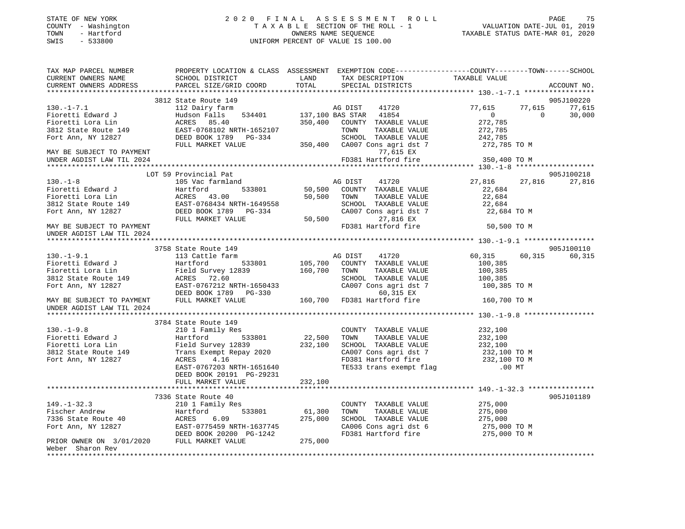| STATE OF NEW YORK<br>- Washington<br>COUNTY<br>- Hartford<br>TOWN<br>$-533800$<br>SWIS | 2020                      | OWNERS NAME SEOUENCE<br>UNIFORM PERCENT OF VALUE IS 100.00 | FINAL ASSESSMENT ROLL<br>TAXABLE SECTION OF THE ROLL - 1 | TAXABLE STATUS DATE-MAR 01, 2020                             | PAGE<br>VALUATION DATE-JUL 01, 2019 | 75          |
|----------------------------------------------------------------------------------------|---------------------------|------------------------------------------------------------|----------------------------------------------------------|--------------------------------------------------------------|-------------------------------------|-------------|
| TAX MAP PARCEL NUMBER                                                                  | PROPERTY LOCATION & CLASS | ASSESSMENT                                                 |                                                          | EXEMPTION CODE-----------------COUNTY-------TOWN------SCHOOL |                                     |             |
| CURRENT OWNERS NAME                                                                    | SCHOOL DISTRICT           | LAND                                                       | TAX DESCRIPTION                                          | TAXABLE VALUE                                                |                                     |             |
| CURRENT OWNERS ADDRESS                                                                 | PARCEL SIZE/GRID COORD    | TOTAL                                                      | SPECIAL DISTRICTS                                        |                                                              |                                     | ACCOUNT NO. |
|                                                                                        |                           |                                                            |                                                          |                                                              |                                     |             |
|                                                                                        | 3812 State Route 149      |                                                            |                                                          |                                                              |                                     | 905J100220  |
| $130.-1-7.1$                                                                           | 112 Dairy farm            |                                                            | 41720<br>AG DIST                                         | 77.615                                                       | 77.615                              | 77,615      |
| Fioretti Edward J                                                                      | Hudson Falls<br>534401    | 137,100 BAS STAR                                           | 41854                                                    |                                                              |                                     | 30,000      |

| $130. - 1 - 7.1$<br>Fioretti Edward J<br>Fioretti Lora Lin<br>3812 State Route 149<br>Fort Ann, NY 12827<br>MAY BE SUBJECT TO PAYMENT<br>UNDER AGDIST LAW TIL 2024 | 112 Dairy farm<br>Hudson Falls<br>534401<br>ACRES 85.40<br>EAST-0768102 NRTH-1652107<br>DEED BOOK 1789 PG-334<br>FULL MARKET VALUE    |                   | AG DIST<br>41720<br>137,100 BAS STAR 41854<br>350,400 COUNTY TAXABLE VALUE<br>TOWN<br>TAXABLE VALUE<br>SCHOOL TAXABLE VALUE<br>350,400 CA007 Cons agri dst 7<br>77,615 EX<br>FD381 Hartford fire | 77,615<br>$\overline{0}$<br>272,785<br>272,785<br>242,785<br>272,785 TO M<br>350,400 TO M | 77,615<br>$\Omega$ | 77,615<br>30,000 |
|--------------------------------------------------------------------------------------------------------------------------------------------------------------------|---------------------------------------------------------------------------------------------------------------------------------------|-------------------|--------------------------------------------------------------------------------------------------------------------------------------------------------------------------------------------------|-------------------------------------------------------------------------------------------|--------------------|------------------|
|                                                                                                                                                                    | LOT 59 Provincial Pat                                                                                                                 |                   |                                                                                                                                                                                                  |                                                                                           |                    | 905J100218       |
| $130. - 1 - 8$<br>Fioretti Edward J<br>Fioretti Lora Lin<br>3812 State Route 149                                                                                   | 105 Vac farmland<br>533801<br>Hartford<br>ACRES 43.00<br>EAST-0768434 NRTH-1649558                                                    | 50,500 TOWN       | AG DIST<br>41720<br>50,500 COUNTY TAXABLE VALUE<br>TAXABLE VALUE<br>SCHOOL TAXABLE VALUE                                                                                                         | 27,816<br>22,684<br>22,684<br>22,684                                                      | 27,816             | 27,816           |
| Fort Ann, NY 12827<br>MAY BE SUBJECT TO PAYMENT                                                                                                                    | DEED BOOK 1789 PG-334<br>FULL MARKET VALUE                                                                                            | 50,500            | CA007 Cons agri dst 7<br>27,816 EX<br>FD381 Hartford fire                                                                                                                                        | 22,684 TO M<br>50,500 TO M                                                                |                    |                  |
| UNDER AGDIST LAW TIL 2024                                                                                                                                          |                                                                                                                                       |                   |                                                                                                                                                                                                  |                                                                                           |                    |                  |
|                                                                                                                                                                    | 3758 State Route 149                                                                                                                  |                   |                                                                                                                                                                                                  |                                                                                           |                    | 905J100110       |
| $130.-1-9.1$<br>Fioretti Edward J<br>Fioretti Lora Lin<br>3812 State Route 149                                                                                     | 113 Cattle farm<br>Hartford<br>533801<br>Field Survey 12839<br>ACRES 72.60                                                            | 160,700 TOWN      | AG DIST 41720<br>105,700 COUNTY TAXABLE VALUE<br>TAXABLE VALUE<br>SCHOOL TAXABLE VALUE                                                                                                           | 60,315<br>100,385<br>100,385<br>100,385                                                   | 60,315             | 60,315           |
| Fort Ann, NY 12827                                                                                                                                                 | EAST-0767212 NRTH-1650433<br>DEED BOOK 1789 PG-330                                                                                    |                   | CA007 Cons agri dst 7<br>60,315 EX                                                                                                                                                               | 100,385 TO M                                                                              |                    |                  |
| MAY BE SUBJECT TO PAYMENT<br>UNDER AGDIST LAW TIL 2024                                                                                                             | FULL MARKET VALUE                                                                                                                     |                   | مط כנג,∪ہ<br>160,700 FD381 Hartford fire                                                                                                                                                         | 160,700 TO M                                                                              |                    |                  |
|                                                                                                                                                                    | 3784 State Route 149                                                                                                                  |                   |                                                                                                                                                                                                  |                                                                                           |                    |                  |
| $130. -1 - 9.8$<br>Fioretti Edward J<br>Fioretti Lora Lin<br>3812 State Route 149<br>Fort Ann, NY 12827                                                            | 210 1 Family Res<br>533801<br>Hartford<br>Field Survey 12839<br>Trans Exempt Repay 2020<br>ACRES<br>4.16<br>EAST-0767203 NRTH-1651640 | 22,500<br>232,100 | COUNTY TAXABLE VALUE<br>TOWN<br>TAXABLE VALUE<br>SCHOOL TAXABLE VALUE<br>CA007 Cons agri dst 7<br>FD381 Hartford fire<br>TE533 trans exempt flag                                                 | 232,100<br>232,100<br>232,100<br>232,100 TO M<br>232,100 TO M<br>$.00$ MT                 |                    |                  |
|                                                                                                                                                                    | DEED BOOK 20191 PG-29231<br>FULL MARKET VALUE                                                                                         | 232,100           |                                                                                                                                                                                                  |                                                                                           |                    |                  |
|                                                                                                                                                                    | 7336 State Route 40                                                                                                                   |                   |                                                                                                                                                                                                  |                                                                                           |                    | 905J101189       |
| $149. - 1 - 32.3$<br>Fischer Andrew<br>7336 State Route 40<br>Fort Ann, NY 12827<br>PRIOR OWNER ON 3/01/2020 FULL MARKET VALUE                                     | 210 1 Family Res<br>533801<br>Hartford<br>ACRES<br>6.09<br>EAST-0775459 NRTH-1637745<br>DEED BOOK 20200 PG-1242<br>275,000            | 61,300<br>275,000 | COUNTY TAXABLE VALUE<br>TOWN<br>TAXABLE VALUE<br>SCHOOL TAXABLE VALUE<br>CA006 Cons agri dst 6<br>FD381 Hartford fire                                                                            | 275,000<br>275,000<br>275,000<br>275,000 TO M<br>275,000 TO M                             |                    |                  |
| Weber Sharon Rev<br>*********************                                                                                                                          |                                                                                                                                       |                   |                                                                                                                                                                                                  |                                                                                           |                    |                  |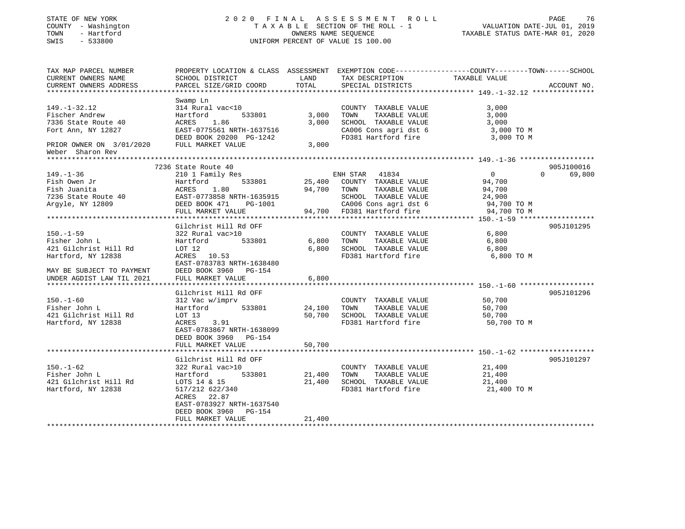#### STATE OF NEW YORK 2 0 2 0 F I N A L A S S E S S M E N T R O L L PAGE 76 COUNTY - Washington T A X A B L E SECTION OF THE ROLL - 1 VALUATION DATE-JUL 01, 2019 TOWN - Hartford OWNERS NAME SEQUENCE TAXABLE STATUS DATE-MAR 01, 2020 SWIS - 533800 UNIFORM PERCENT OF VALUE IS 100.00

| TAX MAP PARCEL NUMBER<br>CURRENT OWNERS NAME                   | PROPERTY LOCATION & CLASS ASSESSMENT EXEMPTION CODE----------------COUNTY-------TOWN------SCHOOL<br>SCHOOL DISTRICT | LAND        | TAX DESCRIPTION                               | TAXABLE VALUE    |                    |
|----------------------------------------------------------------|---------------------------------------------------------------------------------------------------------------------|-------------|-----------------------------------------------|------------------|--------------------|
| CURRENT OWNERS ADDRESS                                         | PARCEL SIZE/GRID COORD                                                                                              | TOTAL       | SPECIAL DISTRICTS                             |                  | ACCOUNT NO.        |
|                                                                |                                                                                                                     |             |                                               |                  |                    |
|                                                                | Swamp Ln                                                                                                            |             |                                               |                  |                    |
| $149. - 1 - 32.12$                                             | 314 Rural vac<10                                                                                                    |             | COUNTY TAXABLE VALUE                          | 3,000            |                    |
| Fischer Andrew                                                 | Hartford<br>533801                                                                                                  | 3,000       | TOWN<br>TAXABLE VALUE                         | 3,000            |                    |
| 7336 State Route 40                                            | 1.86<br>ACRES                                                                                                       | 3,000       | SCHOOL TAXABLE VALUE                          | 3,000            |                    |
| Fort Ann, NY 12827                                             | EAST-0775561 NRTH-1637516                                                                                           |             | CA006 Cons agri dst 6                         | 3,000 TO M       |                    |
|                                                                | DEED BOOK 20200 PG-1242                                                                                             |             | FD381 Hartford fire                           | 3,000 TO M       |                    |
| PRIOR OWNER ON 3/01/2020 FULL MARKET VALUE<br>Weber Sharon Rev |                                                                                                                     | 3,000       |                                               |                  |                    |
|                                                                |                                                                                                                     |             |                                               |                  |                    |
|                                                                | 7236 State Route 40                                                                                                 |             |                                               |                  | 905J100016         |
| $149. - 1 - 36$                                                | 210 1 Family Res                                                                                                    |             | ENH STAR 41834                                | $\overline{0}$   | $\Omega$<br>69,800 |
| Fish Owen Jr                                                   | 533801<br>Hartford                                                                                                  |             | 25,400 COUNTY TAXABLE VALUE                   | 94,700           |                    |
| Fish Juanita                                                   | 1.80<br>ACRES                                                                                                       | 94,700 TOWN | TAXABLE VALUE                                 | 94,700           |                    |
| 7236 State Route 40                                            | EAST-0773858 NRTH-1635915                                                                                           |             | SCHOOL TAXABLE VALUE                          | 24,900           |                    |
| Argyle, NY 12809                                               | DEED BOOK 471<br>PG-1001                                                                                            |             | CA006 Cons agri dst 6                         | 94,700 TO M      |                    |
|                                                                | FULL MARKET VALUE                                                                                                   |             | 94,700 FD381 Hartford fire                    | 94,700 TO M      |                    |
|                                                                |                                                                                                                     |             |                                               |                  |                    |
|                                                                | Gilchrist Hill Rd OFF                                                                                               |             |                                               |                  | 905J101295         |
| $150.-1-59$                                                    | 322 Rural vac>10                                                                                                    |             | COUNTY TAXABLE VALUE                          | 6,800            |                    |
| Fisher John L                                                  | Hartford<br>533801                                                                                                  | 6,800       | TOWN<br>TAXABLE VALUE                         | 6,800            |                    |
| 421 Gilchrist Hill Rd                                          | LOT 12                                                                                                              | 6,800       | SCHOOL TAXABLE VALUE                          | 6,800            |                    |
| Hartford, NY 12838                                             | ACRES 10.53                                                                                                         |             | FD381 Hartford fire                           | 6,800 TO M       |                    |
|                                                                | EAST-0783783 NRTH-1638480                                                                                           |             |                                               |                  |                    |
| MAY BE SUBJECT TO PAYMENT                                      | DEED BOOK 3960 PG-154                                                                                               |             |                                               |                  |                    |
| UNDER AGDIST LAW TIL 2021                                      | FULL MARKET VALUE                                                                                                   | 6,800       |                                               |                  |                    |
|                                                                | Gilchrist Hill Rd OFF                                                                                               |             |                                               |                  | 905J101296         |
| $150. - 1 - 60$                                                |                                                                                                                     |             |                                               |                  |                    |
| Fisher John L                                                  | 312 Vac w/imprv<br>Hartford 533801                                                                                  | 24,100      | COUNTY TAXABLE VALUE<br>TOWN<br>TAXABLE VALUE | 50,700<br>50,700 |                    |
| 421 Gilchrist Hill Rd                                          | LOT 13                                                                                                              | 50,700      | SCHOOL TAXABLE VALUE                          | 50,700           |                    |
|                                                                | ACRES<br>3.91                                                                                                       |             | FD381 Hartford fire                           |                  |                    |
| Hartford, NY 12838                                             | EAST-0783867 NRTH-1638099                                                                                           |             |                                               | 50,700 TO M      |                    |
|                                                                | DEED BOOK 3960 PG-154                                                                                               |             |                                               |                  |                    |
|                                                                | FULL MARKET VALUE                                                                                                   | 50,700      |                                               |                  |                    |
|                                                                |                                                                                                                     |             |                                               |                  |                    |
|                                                                | Gilchrist Hill Rd OFF                                                                                               |             |                                               |                  | 905J101297         |
| $150. - 1 - 62$                                                | 322 Rural vac>10                                                                                                    |             | COUNTY TAXABLE VALUE                          | 21,400           |                    |
| Fisher John L                                                  | 533801<br>Hartford                                                                                                  | 21,400      | TAXABLE VALUE<br>TOWN                         | 21,400           |                    |
| 421 Gilchrist Hill Rd                                          | LOTS 14 & 15                                                                                                        | 21,400      | SCHOOL TAXABLE VALUE                          | 21,400           |                    |
| Hartford, NY 12838                                             | 517/212 622/340                                                                                                     |             | FD381 Hartford fire                           | 21,400 TO M      |                    |
|                                                                | ACRES<br>22.87                                                                                                      |             |                                               |                  |                    |
|                                                                | EAST-0783927 NRTH-1637540                                                                                           |             |                                               |                  |                    |
|                                                                | DEED BOOK 3960 PG-154                                                                                               |             |                                               |                  |                    |
|                                                                | FULL MARKET VALUE                                                                                                   | 21,400      |                                               |                  |                    |
|                                                                |                                                                                                                     |             |                                               |                  |                    |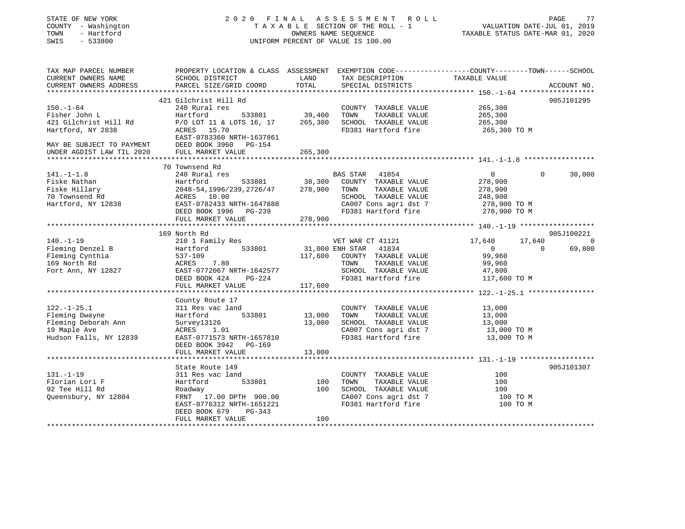#### STATE OF NEW YORK 2 0 2 0 F I N A L A S S E S S M E N T R O L L PAGE 77 COUNTY - Washington T A X A B L E SECTION OF THE ROLL - 1 VALUATION DATE-JUL 01, 2019 TOWN - Hartford OWNERS NAME SEQUENCE TAXABLE STATUS DATE-MAR 01, 2020 SWIS - 533800 UNIFORM PERCENT OF VALUE IS 100.00

| TAX MAP PARCEL NUMBER                         | PROPERTY LOCATION & CLASS ASSESSMENT EXEMPTION CODE---------------COUNTY-------TOWN------SCHOOL |               |                                                                  |                                       |                |                |
|-----------------------------------------------|-------------------------------------------------------------------------------------------------|---------------|------------------------------------------------------------------|---------------------------------------|----------------|----------------|
| CURRENT OWNERS NAME<br>CURRENT OWNERS ADDRESS | SCHOOL DISTRICT<br>PARCEL SIZE/GRID COORD                                                       | LAND<br>TOTAL | TAX DESCRIPTION<br>SPECIAL DISTRICTS                             | TAXABLE VALUE                         |                | ACCOUNT NO.    |
|                                               |                                                                                                 |               |                                                                  |                                       |                |                |
|                                               | 421 Gilchrist Hill Rd                                                                           |               |                                                                  |                                       |                | 905J101295     |
| $150. - 1 - 64$                               | 240 Rural res                                                                                   |               | COUNTY TAXABLE VALUE 265,300                                     |                                       |                |                |
| Fisher John L<br>421 Gilchrist Hill Rd        | Hartford 533801 39,400<br>P/O LOT 11 & LOTS 16, 17 265,300                                      |               | TOWN<br>TAXABLE VALUE                                            |                                       |                |                |
|                                               |                                                                                                 |               | SCHOOL TAXABLE VALUE                                             | 265,300<br>265,300                    |                |                |
| Hartford, NY 2838                             | ACRES 15.70                                                                                     |               | FD381 Hartford fire 265,300 TO M                                 |                                       |                |                |
|                                               | EAST-0783360 NRTH-1637861                                                                       |               |                                                                  |                                       |                |                |
|                                               |                                                                                                 |               |                                                                  |                                       |                |                |
|                                               |                                                                                                 | 265,300       |                                                                  |                                       |                |                |
|                                               |                                                                                                 |               |                                                                  |                                       |                |                |
|                                               | 70 Townsend Rd                                                                                  |               |                                                                  |                                       |                |                |
| $141. - 1 - 1.8$                              | 240 Rural res                                                                                   |               |                                                                  | $\overline{0}$                        | $\Omega$       | 30,000         |
| Fiske Nathan                                  | Hartford                                                                                        |               |                                                                  | 278,900                               |                |                |
| Fiske Hillary                                 | 2048-54,1996/239,2726/47 278,900 TOWN                                                           |               | TAXABLE VALUE                                                    | 278,900                               |                |                |
| 70 Townsend Rd                                | ACRES 10.00                                                                                     |               | SCHOOL TAXABLE VALUE                                             | 248, 500<br>278, 900 TO M<br>200 TO M |                |                |
| Hartford, NY 12838                            | EAST-0782433 NRTH-1647888                                                                       |               | CA007 Cons agri dst 7                                            |                                       |                |                |
|                                               | DEED BOOK 1996 PG-239                                                                           |               | FD381 Hartford fire 278,900 TO M                                 |                                       |                |                |
|                                               | FULL MARKET VALUE                                                                               | 278,900       |                                                                  |                                       |                |                |
|                                               |                                                                                                 |               |                                                                  |                                       |                |                |
|                                               | 169 North Rd                                                                                    |               |                                                                  |                                       |                | 905J100221     |
| $140. - 1 - 19$                               | 210 1 Family Res                                                                                |               | VET WAR CT 41121<br>31,000 ENH STAR 41834<br>VET WAR CT 41121    | 17,640 17,640                         |                | $\overline{0}$ |
| Fleming Denzel B                              | Hartford 533801                                                                                 |               |                                                                  | $\sim$ 0                              | $\overline{0}$ | 69,800         |
| Fleming Cynthia                               | 537-109                                                                                         | 117,600       | COUNTY TAXABLE VALUE                                             | 99,960                                |                |                |
| 169 North Rd                                  | ACRES 7.80                                                                                      |               | TAXABLE VALUE<br>TOWN                                            | 99,960                                |                |                |
| Fort Ann, NY 12827                            | EAST-0772067 NRTH-1642577                                                                       |               | SCHOOL TAXABLE VALUE 47,800                                      |                                       |                |                |
|                                               | DEED BOOK 424 PG-224                                                                            |               | FD381 Hartford fire                                              | 117,600 TO M                          |                |                |
|                                               | FULL MARKET VALUE                                                                               | 117,600       |                                                                  |                                       |                |                |
|                                               |                                                                                                 |               |                                                                  |                                       |                |                |
|                                               | County Route 17                                                                                 |               |                                                                  |                                       |                |                |
| $122. - 1 - 25.1$                             | 311 Res vac land<br>Hartford 533801 13,000                                                      |               | COUNTY TAXABLE VALUE                                             | $\frac{13,000}{13,000}$               |                |                |
| Fleming Dwayne                                |                                                                                                 |               | TOWN<br>TAXABLE VALUE                                            |                                       |                |                |
| Fleming Deborah Ann                           | Survey13126                                                                                     | 13,000        | SCHOOL TAXABLE VALUE 13,000<br>CA007 Cons agri dst 7 13,000 TO M |                                       |                |                |
| 19 Maple Ave                                  | ACRES 1.01                                                                                      |               | FD381 Hartford fire                                              |                                       |                |                |
| Hudson Falls, NY 12839                        | EAST-0771573 NRTH-1657810                                                                       |               |                                                                  | 13,000 TO M                           |                |                |
|                                               | DEED BOOK 3942 PG-169                                                                           |               |                                                                  |                                       |                |                |
|                                               | FULL MARKET VALUE                                                                               | 13,000        |                                                                  |                                       |                |                |
|                                               | State Route 149                                                                                 |               |                                                                  |                                       |                | 905J101307     |
| $131. - 1 - 19$                               |                                                                                                 |               | COUNTY TAXABLE VALUE                                             | 100                                   |                |                |
| Florian Lori F                                | 311 Res vac land<br>533801<br>Hartford                                                          | 100           | TAXABLE VALUE<br>TOWN                                            | 100                                   |                |                |
|                                               |                                                                                                 |               |                                                                  |                                       |                |                |
| 92 Tee Hill Rd<br>Queensbury, NY 12804        | Roadway                                                                                         | 100           | SCHOOL TAXABLE VALUE<br>CA007 Cons agri dst 7                    | 100<br>100 TO M                       |                |                |
|                                               | FRNT 17.00 DPTH 900.00<br>EAST-0776312 NRTH-1651221                                             |               | FD381 Hartford fire                                              | 100 TO M                              |                |                |
|                                               | DEED BOOK 679<br>PG-343                                                                         |               |                                                                  |                                       |                |                |
|                                               | FULL MARKET VALUE                                                                               | 100           |                                                                  |                                       |                |                |
|                                               |                                                                                                 |               |                                                                  |                                       |                |                |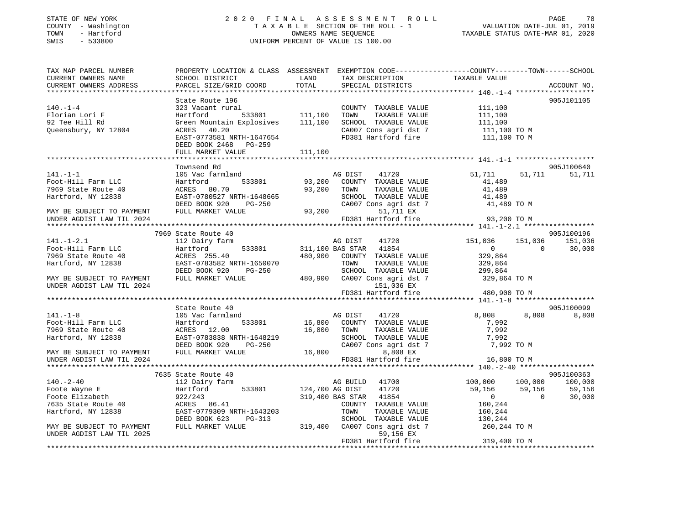#### STATE OF NEW YORK 2 0 2 0 F I N A L A S S E S S M E N T R O L L PAGE 78 COUNTY - Washington T A X A B L E SECTION OF THE ROLL - 1 VALUATION DATE-JUL 01, 2019 TOWN - Hartford OWNERS NAME SEQUENCE TAXABLE STATUS DATE-MAR 01, 2020 SWIS - 533800 UNIFORM PERCENT OF VALUE IS 100.00

| TAX MAP PARCEL NUMBER<br>CURRENT OWNERS NAME<br>CURRENT OWNERS ADDRESS            | PROPERTY LOCATION & CLASS ASSESSMENT EXEMPTION CODE----------------COUNTY-------TOWN-----SCHOOL<br>SCHOOL DISTRICT<br>PARCEL SIZE/GRID COORD | LAND<br>TOTAL    | TAX DESCRIPTION<br>SPECIAL DISTRICTS                   |                                                                                                 | TAXABLE VALUE                                                     |                | ACCOUNT NO.      |
|-----------------------------------------------------------------------------------|----------------------------------------------------------------------------------------------------------------------------------------------|------------------|--------------------------------------------------------|-------------------------------------------------------------------------------------------------|-------------------------------------------------------------------|----------------|------------------|
|                                                                                   |                                                                                                                                              |                  |                                                        |                                                                                                 |                                                                   |                |                  |
| $140. -1 - 4$<br>Florian Lori F<br>92 Tee Hill Rd<br>Queensbury, NY 12804         | State Route 196<br>rural<br>533801 111,100<br>323 Vacant rural<br>Hartford<br>Green Mountain Explosives 111,100<br>ACRES 40.20               |                  | TOWN                                                   | COUNTY TAXABLE VALUE<br>TAXABLE VALUE<br>SCHOOL TAXABLE VALUE<br>CA007 Cons agri dst 7          | 111,100<br>111,100<br>111,100<br>$111,100$ TO M<br>$111,100$ TO M |                | 905J101105       |
|                                                                                   | EAST-0773581 NRTH-1647654<br>DEED BOOK 2468 PG-259<br>FULL MARKET VALUE                                                                      | 111,100          |                                                        |                                                                                                 | FD381 Hartford fire 111,100 TO M                                  |                |                  |
|                                                                                   |                                                                                                                                              |                  |                                                        |                                                                                                 |                                                                   |                |                  |
|                                                                                   | Townsend Rd                                                                                                                                  |                  |                                                        |                                                                                                 |                                                                   |                | 905J100640       |
| $141. - 1 - 1$<br>Foot-Hill Farm LLC<br>7969 State Route 40<br>Hartford, NY 12838 | 105 Vac farmland<br>Hartford<br>533801<br>ACRES 80.70<br>EAST-0780527 NRTH-1648665<br>DEED BOOK 920<br>PG-250                                | 93,200<br>93,200 | AG DIST<br>TOWN                                        | 41720<br>COUNTY TAXABLE VALUE<br>TAXABLE VALUE<br>SCHOOL TAXABLE VALUE<br>CA007 Cons agri dst 7 | 51,711<br>41,489<br>41,489<br>41,489<br>41,489 TO M               | 51,711         | 51,711           |
| MAY BE SUBJECT TO PAYMENT                                                         | FULL MARKET VALUE                                                                                                                            |                  | 93,200                                                 | 51,711 EX                                                                                       |                                                                   |                |                  |
| UNDER AGDIST LAW TIL 2024                                                         |                                                                                                                                              |                  | FD381 Hartford fire                                    |                                                                                                 | 93,200 TO M                                                       |                |                  |
|                                                                                   |                                                                                                                                              |                  |                                                        |                                                                                                 |                                                                   |                |                  |
|                                                                                   | 7969 State Route 40                                                                                                                          |                  |                                                        |                                                                                                 |                                                                   |                | 905J100196       |
| $141. - 1 - 2.1$                                                                  | 112 Dairy farm                                                                                                                               |                  | AG DIST                                                | 41720                                                                                           | 151,036 151,036 151,036                                           | $\overline{0}$ |                  |
| Foot-Hill Farm LLC<br>7969 State Route 40                                         | Hartford<br>533801<br>ACRES 255.40                                                                                                           |                  | 311,100 BAS STAR 41854<br>480,900 COUNTY TAXABLE VALUE |                                                                                                 | $\overline{0}$<br>329,864                                         |                | 30,000           |
| Hartford, NY 12838                                                                | EAST-0783582 NRTH-1650070                                                                                                                    |                  | TOWN                                                   | TAXABLE VALUE                                                                                   | 329,864                                                           |                |                  |
|                                                                                   | DEED BOOK 920<br>PG-250                                                                                                                      |                  |                                                        | SCHOOL TAXABLE VALUE                                                                            | 299,864                                                           |                |                  |
| MAY BE SUBJECT TO PAYMENT                                                         | FULL MARKET VALUE                                                                                                                            |                  | 480,900 CA007 Cons agri dst 7                          |                                                                                                 | 329,864 TO M                                                      |                |                  |
| UNDER AGDIST LAW TIL 2024                                                         |                                                                                                                                              |                  |                                                        | 151,036 EX                                                                                      |                                                                   |                |                  |
|                                                                                   |                                                                                                                                              |                  | FD381 Hartford fire                                    |                                                                                                 | 480,900 TO M                                                      |                |                  |
|                                                                                   |                                                                                                                                              |                  |                                                        |                                                                                                 |                                                                   |                |                  |
|                                                                                   | State Route 40                                                                                                                               |                  |                                                        |                                                                                                 |                                                                   |                | 905J100099       |
| $141. - 1 - 8$                                                                    | 105 Vac farmland                                                                                                                             |                  | AG DIST                                                | 41720                                                                                           | 8,808                                                             | 8,808          | 8,808            |
| Foot-Hill Farm LLC                                                                | Hartford<br>533801                                                                                                                           |                  | 16,800 COUNTY TAXABLE VALUE                            |                                                                                                 | 7,992                                                             |                |                  |
| 7969 State Route 40                                                               | ACRES 12.00                                                                                                                                  | 16,800           | TOWN                                                   | TAXABLE VALUE                                                                                   | 7,992                                                             |                |                  |
| Hartford, NY 12838                                                                | EAST-0783838 NRTH-1648219                                                                                                                    |                  |                                                        | SCHOOL TAXABLE VALUE                                                                            | 7,992                                                             |                |                  |
|                                                                                   | DEED BOOK 920<br>PG-250                                                                                                                      |                  |                                                        | CA007 Cons agri dst 7                                                                           | 7,992 TO M                                                        |                |                  |
| $\verb MAX BE SUBJECT TO PAYMENT \hspace{1.5cm} FULL MARKET VALUE \\$             |                                                                                                                                              | 16,800           |                                                        | 8,808 EX                                                                                        |                                                                   |                |                  |
| UNDER AGDIST LAW TIL 2024                                                         |                                                                                                                                              |                  | FD381 Hartford fire                                    |                                                                                                 | 16,800 TO M                                                       |                |                  |
|                                                                                   |                                                                                                                                              |                  |                                                        |                                                                                                 |                                                                   |                |                  |
| $140. - 2 - 40$                                                                   | 7635 State Route 40                                                                                                                          |                  |                                                        |                                                                                                 |                                                                   |                | 905J100363       |
| Foote Wayne E                                                                     | 112 Dairy farm<br>Hartford 533801                                                                                                            | 124,700 AG DIST  | AG BUILD 41700                                         | 41720                                                                                           | 100,000 100,000 100,000<br>59,156                                 | 59,156         |                  |
| Foote Elizabeth                                                                   | 922/243                                                                                                                                      |                  | 319,400 BAS STAR 41854                                 |                                                                                                 | 0                                                                 | $\overline{0}$ | 59,156<br>30,000 |
| 7635 State Route 40                                                               | ACRES 86.41                                                                                                                                  |                  |                                                        | COUNTY TAXABLE VALUE                                                                            | 160,244                                                           |                |                  |
| Hartford, NY 12838                                                                | EAST-0779309 NRTH-1643203                                                                                                                    |                  | TOWN                                                   | TAXABLE VALUE                                                                                   | 160,244                                                           |                |                  |
|                                                                                   | DEED BOOK 623<br>PG-313                                                                                                                      |                  |                                                        | SCHOOL TAXABLE VALUE                                                                            | 130,244                                                           |                |                  |
| MAY BE SUBJECT TO PAYMENT                                                         | FULL MARKET VALUE                                                                                                                            |                  | 319,400 CA007 Cons agri dst 7                          |                                                                                                 | 260,244 TO M                                                      |                |                  |
| UNDER AGDIST LAW TIL 2025                                                         |                                                                                                                                              |                  |                                                        | 59,156 EX                                                                                       |                                                                   |                |                  |
|                                                                                   |                                                                                                                                              |                  | FD381 Hartford fire                                    |                                                                                                 | 319,400 TO M                                                      |                |                  |
|                                                                                   |                                                                                                                                              |                  |                                                        |                                                                                                 |                                                                   |                |                  |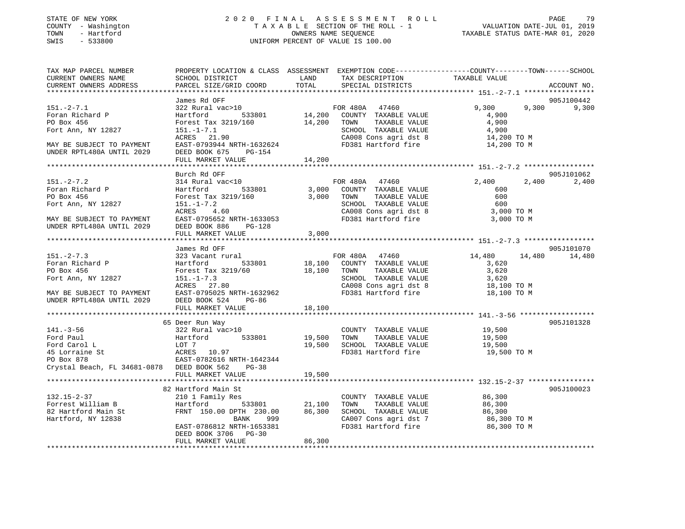#### STATE OF NEW YORK 2 0 2 0 F I N A L A S S E S S M E N T R O L L PAGE 79 COUNTY - Washington T A X A B L E SECTION OF THE ROLL - 1 VALUATION DATE-JUL 01, 2019 TOWN - Hartford OWNERS NAME SEQUENCE TAXABLE STATUS DATE-MAR 01, 2020 SWIS - 533800 UNIFORM PERCENT OF VALUE IS 100.00

| TAX MAP PARCEL NUMBER<br>CURRENT OWNERS NAME<br>CURRENT OWNERS ADDRESS                                                                                                          | PROPERTY LOCATION & CLASS ASSESSMENT EXEMPTION CODE---------------COUNTY-------TOWN-----SCHOOL<br><b>Example 12</b><br>SCHOOL DISTRICT<br>PARCEL SIZE/GRID COORD TOTAL SPECIAL DISTRICTS                                                                                                                                                                 |        | TAX DESCRIPTION TAXABLE VALUE                                                                                                                           |                                                        | ACCOUNT NO.                  |
|---------------------------------------------------------------------------------------------------------------------------------------------------------------------------------|----------------------------------------------------------------------------------------------------------------------------------------------------------------------------------------------------------------------------------------------------------------------------------------------------------------------------------------------------------|--------|---------------------------------------------------------------------------------------------------------------------------------------------------------|--------------------------------------------------------|------------------------------|
|                                                                                                                                                                                 |                                                                                                                                                                                                                                                                                                                                                          |        |                                                                                                                                                         |                                                        |                              |
| $151 - 2 - 7.1$<br>Foran Richard P<br>PO Box 456<br>Fort Ann, NY 12827<br>MAY BE SUBJECT TO PAYMENT<br>UNDER RPTL480A UNTIL 2029                                                | James Rd OFF<br>$322 \text{ Rural vac}>10 \qquad \qquad \text{FOR } 480\text{A} \qquad 47460 \qquad \qquad \text{Hartford} \qquad \qquad 533801 \qquad \qquad 14,200 \qquad \text{COUNTY } \text{TXABLE VALUE}$<br>Forest Tax 3219/160 14,200 TOWN TAXABLE VALUE<br>$151. - 1 - 7.1$<br>ACRES 21.90<br>EAST-0793944 NRTH-1632624<br>DEED BOOK 675 PG-154 |        | SCHOOL TAXABLE VALUE<br>CA008 Cons agri dst 8 14,200 TO M<br>FD381 Hartford fire 14,200 TO M                                                            | 9,300<br>4,900<br>4,900<br>4,900                       | 905J100442<br>9,300<br>9,300 |
|                                                                                                                                                                                 | FULL MARKET VALUE                                                                                                                                                                                                                                                                                                                                        | 14,200 |                                                                                                                                                         |                                                        |                              |
| $151. -2 - 7.2$<br>Foran Richard P<br>PO Box 456<br>Fort Ann, NY 12827<br>MAY BE SUBJECT TO PAYMENT<br>UNDER RPTL480A UNTIL 2029                                                | Burch Rd OFF<br>314 Rural vac<10 FOR 480A 47460<br>Hartford 533801<br>Forest Tax 3219/160 3,000 TOWN<br>$151. - 1 - 7.2$<br>ACRES 4.60<br>EAST-0795652 NRTH-1633053<br>DEED BOOK 886<br>$PG-128$<br>FULL MARKET VALUE                                                                                                                                    | 3,000  | 3,000 COUNTY TAXABLE VALUE<br>TAXABLE VALUE<br>SCHOOL TAXABLE VALUE<br>CA008 Cons agri dst 8 3,000 TO M<br>CAUDO CONS ayrı dat o<br>FD381 Hartford fire | 2,400<br>2,400<br>600<br>600<br>600<br>3,000 TO M      | 905J101062<br>2,400          |
|                                                                                                                                                                                 |                                                                                                                                                                                                                                                                                                                                                          |        |                                                                                                                                                         |                                                        |                              |
| $151. - 2 - 7.3$<br>Foran Richard P<br>PO Box 456<br>Fort Ann, NY 12827<br>MAY BE SUBJECT TO PAYMENT EAST-0795025 NRTH-1632962<br>UNDER RPTL480A UNTIL 2029 DEED BOOK 524 PG-86 | James Rd OFF<br>323 Vacant rural<br>Forest Tax 3219/60<br>151.-1-7.3<br>ACRES 27.80<br>ACRES 27.80<br>CA008 Cons agri dst 8<br>FULL MARKET VALUE 18,100                                                                                                                                                                                                  |        | SCHOOL TAXABLE VALUE 3,620<br>CA008 Cons agri dst 8<br>FD381 Hartford fire                                                                              | 14,480<br>3,620<br>3,620<br>18,100 TO M<br>18,100 TO M | 905J101070<br>14,480 14,480  |
|                                                                                                                                                                                 | 65 Deer Run Way                                                                                                                                                                                                                                                                                                                                          |        |                                                                                                                                                         |                                                        | 905J101328                   |
| $141. - 3 - 56$<br>Ford Paul<br>Ford Faul<br>Ford Carol L<br>45 Lorraine St<br>PO Box 878<br>Crystal Beach, FL 34681-0878 DEED BOOK 562 PG-38                                   | 322 Rural vac>10<br>Hartford 533801 19,500 TOWN TAXABLE VALUE<br>LOT 7 19,500 SCHOOL TAXABLE VALUE<br>533801<br>LOT 7<br>RAST-0700666<br>EAST-0782616 NRTH-1642344                                                                                                                                                                                       |        | COUNTY TAXABLE VALUE 19,500<br>FD381 Hartford fire                                                                                                      | 19,500<br>19,500<br>19,500 TO M                        |                              |
|                                                                                                                                                                                 | FULL MARKET VALUE                                                                                                                                                                                                                                                                                                                                        | 19,500 |                                                                                                                                                         |                                                        |                              |
|                                                                                                                                                                                 |                                                                                                                                                                                                                                                                                                                                                          |        |                                                                                                                                                         |                                                        | 905J100023                   |
| $132.15 - 2 - 37$<br>Forrest William B<br>82 Hartford Main St<br>Hartford, NY 12838                                                                                             | 82 Hartford Main St<br>210 1 Family Res<br>Hartford 533801 21,100 TOWN TAXABLE VALUE 86,300<br>FRNT 150.00 DPTH 230.00 86,300 SCHOOL TAXABLE VALUE 86,300<br>BANK<br>999<br>EAST-0786812 NRTH-1653381<br>DEED BOOK 3706 PG-30                                                                                                                            |        | COUNTY TAXABLE VALUE 86,300<br>CA007 Cons agri dst 7<br>FD381 Hartford fire                                                                             | 86,300 ТО М<br>86,300 TO M                             |                              |
|                                                                                                                                                                                 | FULL MARKET VALUE                                                                                                                                                                                                                                                                                                                                        | 86,300 |                                                                                                                                                         |                                                        |                              |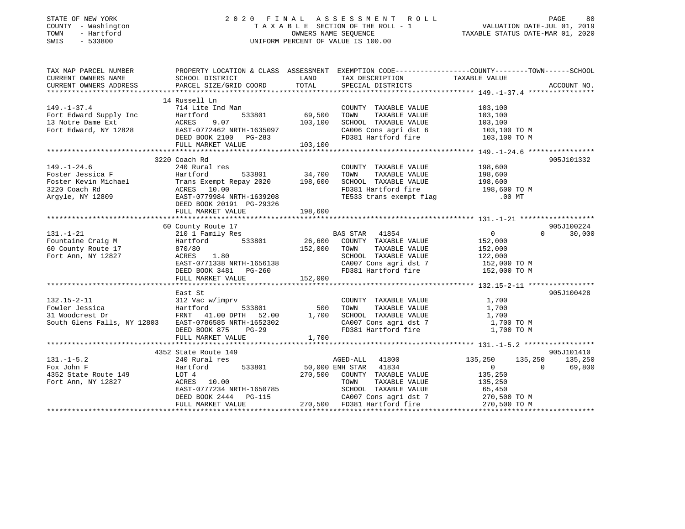| STATE OF NEW YORK |  |              |
|-------------------|--|--------------|
| COUNTY            |  | - Washington |
| TOWN              |  | - Hartford   |
| CLIT <sub>C</sub> |  | 533000       |

### STATE OF NEW YORK 2 0 2 0 F I N A L A S S E S S M E N T R O L L PAGE 80COUNTRY A NOTE SECTION OF THE ROLL - 1 OWNERS NAME SEQUENCE SWIS - 533800 UNIFORM PERCENT OF VALUE IS 100.00

| SCHOOL DISTRICT<br><b>LAND</b><br>TAX DESCRIPTION<br>TAXABLE VALUE<br>CURRENT OWNERS NAME<br>CURRENT OWNERS ADDRESS<br>TOTAL<br>SPECIAL DISTRICTS<br>ACCOUNT NO.<br>PARCEL SIZE/GRID COORD<br>14 Russell Ln<br>$149. - 1 - 37.4$<br>714 Lite Ind Man<br>COUNTY TAXABLE VALUE<br>103,100<br>103, 100<br>Fort Edward Supply Inc<br>TAXABLE VALUE<br>Hartford<br>TOWN<br>103,100<br>103,100<br>Fort Edward, NY 12828<br>RORES 2007<br>DEED BOOK 2100<br>PG-283<br>103,100<br>SCHOOL TAXABLE VALUE<br>CA006 Cons agri dst 6 103,100 TO M<br>FD381 Hartford fire 103,100 TO M<br>FULL MARKET VALUE 103,100<br>3220 Coach Rd<br>905J101332<br>198,600<br>$149. - 1 - 24.6$<br>240 Rural res<br>COUNTY TAXABLE VALUE<br>Foster Jessica F<br>198,600<br>533801 34,700<br>TAXABLE VALUE<br>Hartford<br>TOWN<br>Foster Kevin Michael<br>3220 Coach Rd<br>Trans Exempt Repay 2020 198,600<br>SCHOOL TAXABLE VALUE 198,600<br>FD381 Hartford fire 198,600 TO M<br>3220 Coach Rd<br>ACRES 10.00<br>TE533 trans exempt flag 500 00 MT<br>EAST-0779984 NRTH-1639208<br>Arqyle, NY 12809<br>DEED BOOK 20191 PG-29326<br>FULL MARKET VALUE<br>198,600<br>905J100224<br>60 County Route 17<br>0<br>30,000<br>$131. - 1 - 21$<br>$\Omega$<br>152,000<br>Fountaine Craig M<br>60 County Route 17<br>152,000<br>152,000<br>TAXABLE VALUE<br>870/80<br>TOWN<br>SCHOOL TAXABLE VALUE 122,000<br>CA007 Cons agri dst 7 152,000 TO M<br>Fort Ann, NY 12827<br>ACRES 1.80<br>EAST-0771338 NRTH-1656138<br>FD381 Hartford fire 152,000 TO M<br>DEED BOOK 3481 PG-260<br>152,000<br>FULL MARKET VALUE<br>905J100428<br>East St<br>312 Vac w/imprv<br>$132.15 - 2 - 11$<br>COUNTY TAXABLE VALUE 1,700<br>Fowler Jessica and Hartford 533801 500 TOWN TAXABLE VALUE<br>31 Woodcrest Dr FRNT 41.00 DPTH 52.00 1,700 SCHOOL TAXABLE VALUE<br>301 South Glens Falls, NY 12803 EAST-0786585 NRTH-1652302 CA007 Cons agri dst 7<br>DEED BOOK 875 PG-29<br>1,700<br>1,700<br>CA007 Cons agri dst 7 1,700 TO M<br>FD381 Hartford fire<br>1,700 TO M<br>DEED BOOK 875 PG-29<br>1,700<br>FULL MARKET VALUE<br>4352 State Route 149<br>905J101410<br>$131. -1 - 5.2$<br>135,250<br>135,250<br>240 Rural res<br>AGED-ALL 41800<br>135,250<br>50,000 ENH STAR 41834<br>Fox John F<br>533801<br>69,800<br>Hartford<br>$0 \qquad \qquad$<br>$\overline{0}$<br>4352 State Route 149<br>270,500 COUNTY TAXABLE VALUE<br>135,250<br>LOT 4<br>Fort Ann, NY 12827<br>ACRES 10.00<br>TOWN TAXABLE VALUE 135,250<br>SCHOOL TAXABLE VALUE 65,450<br>EAST-0777234 NRTH-1650785 | TAX MAP PARCEL NUMBER | PROPERTY LOCATION & CLASS ASSESSMENT EXEMPTION CODE----------------COUNTY-------TOWN------SCHOOL |  |  |
|---------------------------------------------------------------------------------------------------------------------------------------------------------------------------------------------------------------------------------------------------------------------------------------------------------------------------------------------------------------------------------------------------------------------------------------------------------------------------------------------------------------------------------------------------------------------------------------------------------------------------------------------------------------------------------------------------------------------------------------------------------------------------------------------------------------------------------------------------------------------------------------------------------------------------------------------------------------------------------------------------------------------------------------------------------------------------------------------------------------------------------------------------------------------------------------------------------------------------------------------------------------------------------------------------------------------------------------------------------------------------------------------------------------------------------------------------------------------------------------------------------------------------------------------------------------------------------------------------------------------------------------------------------------------------------------------------------------------------------------------------------------------------------------------------------------------------------------------------------------------------------------------------------------------------------------------------------------------------------------------------------------------------------------------------------------------------------------------------------------------------------------------------------------------------------------------------------------------------------------------------------------------------------------------------------------------------------------------------------------------------------------------------------------------------------------------------------------------------------------------------------------------------|-----------------------|--------------------------------------------------------------------------------------------------|--|--|
|                                                                                                                                                                                                                                                                                                                                                                                                                                                                                                                                                                                                                                                                                                                                                                                                                                                                                                                                                                                                                                                                                                                                                                                                                                                                                                                                                                                                                                                                                                                                                                                                                                                                                                                                                                                                                                                                                                                                                                                                                                                                                                                                                                                                                                                                                                                                                                                                                                                                                                                           |                       |                                                                                                  |  |  |
|                                                                                                                                                                                                                                                                                                                                                                                                                                                                                                                                                                                                                                                                                                                                                                                                                                                                                                                                                                                                                                                                                                                                                                                                                                                                                                                                                                                                                                                                                                                                                                                                                                                                                                                                                                                                                                                                                                                                                                                                                                                                                                                                                                                                                                                                                                                                                                                                                                                                                                                           |                       |                                                                                                  |  |  |
|                                                                                                                                                                                                                                                                                                                                                                                                                                                                                                                                                                                                                                                                                                                                                                                                                                                                                                                                                                                                                                                                                                                                                                                                                                                                                                                                                                                                                                                                                                                                                                                                                                                                                                                                                                                                                                                                                                                                                                                                                                                                                                                                                                                                                                                                                                                                                                                                                                                                                                                           |                       |                                                                                                  |  |  |
|                                                                                                                                                                                                                                                                                                                                                                                                                                                                                                                                                                                                                                                                                                                                                                                                                                                                                                                                                                                                                                                                                                                                                                                                                                                                                                                                                                                                                                                                                                                                                                                                                                                                                                                                                                                                                                                                                                                                                                                                                                                                                                                                                                                                                                                                                                                                                                                                                                                                                                                           |                       |                                                                                                  |  |  |
|                                                                                                                                                                                                                                                                                                                                                                                                                                                                                                                                                                                                                                                                                                                                                                                                                                                                                                                                                                                                                                                                                                                                                                                                                                                                                                                                                                                                                                                                                                                                                                                                                                                                                                                                                                                                                                                                                                                                                                                                                                                                                                                                                                                                                                                                                                                                                                                                                                                                                                                           |                       |                                                                                                  |  |  |
|                                                                                                                                                                                                                                                                                                                                                                                                                                                                                                                                                                                                                                                                                                                                                                                                                                                                                                                                                                                                                                                                                                                                                                                                                                                                                                                                                                                                                                                                                                                                                                                                                                                                                                                                                                                                                                                                                                                                                                                                                                                                                                                                                                                                                                                                                                                                                                                                                                                                                                                           |                       |                                                                                                  |  |  |
|                                                                                                                                                                                                                                                                                                                                                                                                                                                                                                                                                                                                                                                                                                                                                                                                                                                                                                                                                                                                                                                                                                                                                                                                                                                                                                                                                                                                                                                                                                                                                                                                                                                                                                                                                                                                                                                                                                                                                                                                                                                                                                                                                                                                                                                                                                                                                                                                                                                                                                                           |                       |                                                                                                  |  |  |
|                                                                                                                                                                                                                                                                                                                                                                                                                                                                                                                                                                                                                                                                                                                                                                                                                                                                                                                                                                                                                                                                                                                                                                                                                                                                                                                                                                                                                                                                                                                                                                                                                                                                                                                                                                                                                                                                                                                                                                                                                                                                                                                                                                                                                                                                                                                                                                                                                                                                                                                           |                       |                                                                                                  |  |  |
|                                                                                                                                                                                                                                                                                                                                                                                                                                                                                                                                                                                                                                                                                                                                                                                                                                                                                                                                                                                                                                                                                                                                                                                                                                                                                                                                                                                                                                                                                                                                                                                                                                                                                                                                                                                                                                                                                                                                                                                                                                                                                                                                                                                                                                                                                                                                                                                                                                                                                                                           |                       |                                                                                                  |  |  |
|                                                                                                                                                                                                                                                                                                                                                                                                                                                                                                                                                                                                                                                                                                                                                                                                                                                                                                                                                                                                                                                                                                                                                                                                                                                                                                                                                                                                                                                                                                                                                                                                                                                                                                                                                                                                                                                                                                                                                                                                                                                                                                                                                                                                                                                                                                                                                                                                                                                                                                                           |                       |                                                                                                  |  |  |
|                                                                                                                                                                                                                                                                                                                                                                                                                                                                                                                                                                                                                                                                                                                                                                                                                                                                                                                                                                                                                                                                                                                                                                                                                                                                                                                                                                                                                                                                                                                                                                                                                                                                                                                                                                                                                                                                                                                                                                                                                                                                                                                                                                                                                                                                                                                                                                                                                                                                                                                           |                       |                                                                                                  |  |  |
|                                                                                                                                                                                                                                                                                                                                                                                                                                                                                                                                                                                                                                                                                                                                                                                                                                                                                                                                                                                                                                                                                                                                                                                                                                                                                                                                                                                                                                                                                                                                                                                                                                                                                                                                                                                                                                                                                                                                                                                                                                                                                                                                                                                                                                                                                                                                                                                                                                                                                                                           |                       |                                                                                                  |  |  |
|                                                                                                                                                                                                                                                                                                                                                                                                                                                                                                                                                                                                                                                                                                                                                                                                                                                                                                                                                                                                                                                                                                                                                                                                                                                                                                                                                                                                                                                                                                                                                                                                                                                                                                                                                                                                                                                                                                                                                                                                                                                                                                                                                                                                                                                                                                                                                                                                                                                                                                                           |                       |                                                                                                  |  |  |
|                                                                                                                                                                                                                                                                                                                                                                                                                                                                                                                                                                                                                                                                                                                                                                                                                                                                                                                                                                                                                                                                                                                                                                                                                                                                                                                                                                                                                                                                                                                                                                                                                                                                                                                                                                                                                                                                                                                                                                                                                                                                                                                                                                                                                                                                                                                                                                                                                                                                                                                           |                       |                                                                                                  |  |  |
|                                                                                                                                                                                                                                                                                                                                                                                                                                                                                                                                                                                                                                                                                                                                                                                                                                                                                                                                                                                                                                                                                                                                                                                                                                                                                                                                                                                                                                                                                                                                                                                                                                                                                                                                                                                                                                                                                                                                                                                                                                                                                                                                                                                                                                                                                                                                                                                                                                                                                                                           |                       |                                                                                                  |  |  |
|                                                                                                                                                                                                                                                                                                                                                                                                                                                                                                                                                                                                                                                                                                                                                                                                                                                                                                                                                                                                                                                                                                                                                                                                                                                                                                                                                                                                                                                                                                                                                                                                                                                                                                                                                                                                                                                                                                                                                                                                                                                                                                                                                                                                                                                                                                                                                                                                                                                                                                                           |                       |                                                                                                  |  |  |
|                                                                                                                                                                                                                                                                                                                                                                                                                                                                                                                                                                                                                                                                                                                                                                                                                                                                                                                                                                                                                                                                                                                                                                                                                                                                                                                                                                                                                                                                                                                                                                                                                                                                                                                                                                                                                                                                                                                                                                                                                                                                                                                                                                                                                                                                                                                                                                                                                                                                                                                           |                       |                                                                                                  |  |  |
|                                                                                                                                                                                                                                                                                                                                                                                                                                                                                                                                                                                                                                                                                                                                                                                                                                                                                                                                                                                                                                                                                                                                                                                                                                                                                                                                                                                                                                                                                                                                                                                                                                                                                                                                                                                                                                                                                                                                                                                                                                                                                                                                                                                                                                                                                                                                                                                                                                                                                                                           |                       |                                                                                                  |  |  |
|                                                                                                                                                                                                                                                                                                                                                                                                                                                                                                                                                                                                                                                                                                                                                                                                                                                                                                                                                                                                                                                                                                                                                                                                                                                                                                                                                                                                                                                                                                                                                                                                                                                                                                                                                                                                                                                                                                                                                                                                                                                                                                                                                                                                                                                                                                                                                                                                                                                                                                                           |                       |                                                                                                  |  |  |
|                                                                                                                                                                                                                                                                                                                                                                                                                                                                                                                                                                                                                                                                                                                                                                                                                                                                                                                                                                                                                                                                                                                                                                                                                                                                                                                                                                                                                                                                                                                                                                                                                                                                                                                                                                                                                                                                                                                                                                                                                                                                                                                                                                                                                                                                                                                                                                                                                                                                                                                           |                       |                                                                                                  |  |  |
|                                                                                                                                                                                                                                                                                                                                                                                                                                                                                                                                                                                                                                                                                                                                                                                                                                                                                                                                                                                                                                                                                                                                                                                                                                                                                                                                                                                                                                                                                                                                                                                                                                                                                                                                                                                                                                                                                                                                                                                                                                                                                                                                                                                                                                                                                                                                                                                                                                                                                                                           |                       |                                                                                                  |  |  |
|                                                                                                                                                                                                                                                                                                                                                                                                                                                                                                                                                                                                                                                                                                                                                                                                                                                                                                                                                                                                                                                                                                                                                                                                                                                                                                                                                                                                                                                                                                                                                                                                                                                                                                                                                                                                                                                                                                                                                                                                                                                                                                                                                                                                                                                                                                                                                                                                                                                                                                                           |                       |                                                                                                  |  |  |
|                                                                                                                                                                                                                                                                                                                                                                                                                                                                                                                                                                                                                                                                                                                                                                                                                                                                                                                                                                                                                                                                                                                                                                                                                                                                                                                                                                                                                                                                                                                                                                                                                                                                                                                                                                                                                                                                                                                                                                                                                                                                                                                                                                                                                                                                                                                                                                                                                                                                                                                           |                       |                                                                                                  |  |  |
|                                                                                                                                                                                                                                                                                                                                                                                                                                                                                                                                                                                                                                                                                                                                                                                                                                                                                                                                                                                                                                                                                                                                                                                                                                                                                                                                                                                                                                                                                                                                                                                                                                                                                                                                                                                                                                                                                                                                                                                                                                                                                                                                                                                                                                                                                                                                                                                                                                                                                                                           |                       |                                                                                                  |  |  |
|                                                                                                                                                                                                                                                                                                                                                                                                                                                                                                                                                                                                                                                                                                                                                                                                                                                                                                                                                                                                                                                                                                                                                                                                                                                                                                                                                                                                                                                                                                                                                                                                                                                                                                                                                                                                                                                                                                                                                                                                                                                                                                                                                                                                                                                                                                                                                                                                                                                                                                                           |                       |                                                                                                  |  |  |
|                                                                                                                                                                                                                                                                                                                                                                                                                                                                                                                                                                                                                                                                                                                                                                                                                                                                                                                                                                                                                                                                                                                                                                                                                                                                                                                                                                                                                                                                                                                                                                                                                                                                                                                                                                                                                                                                                                                                                                                                                                                                                                                                                                                                                                                                                                                                                                                                                                                                                                                           |                       |                                                                                                  |  |  |
|                                                                                                                                                                                                                                                                                                                                                                                                                                                                                                                                                                                                                                                                                                                                                                                                                                                                                                                                                                                                                                                                                                                                                                                                                                                                                                                                                                                                                                                                                                                                                                                                                                                                                                                                                                                                                                                                                                                                                                                                                                                                                                                                                                                                                                                                                                                                                                                                                                                                                                                           |                       |                                                                                                  |  |  |
|                                                                                                                                                                                                                                                                                                                                                                                                                                                                                                                                                                                                                                                                                                                                                                                                                                                                                                                                                                                                                                                                                                                                                                                                                                                                                                                                                                                                                                                                                                                                                                                                                                                                                                                                                                                                                                                                                                                                                                                                                                                                                                                                                                                                                                                                                                                                                                                                                                                                                                                           |                       |                                                                                                  |  |  |
|                                                                                                                                                                                                                                                                                                                                                                                                                                                                                                                                                                                                                                                                                                                                                                                                                                                                                                                                                                                                                                                                                                                                                                                                                                                                                                                                                                                                                                                                                                                                                                                                                                                                                                                                                                                                                                                                                                                                                                                                                                                                                                                                                                                                                                                                                                                                                                                                                                                                                                                           |                       |                                                                                                  |  |  |
|                                                                                                                                                                                                                                                                                                                                                                                                                                                                                                                                                                                                                                                                                                                                                                                                                                                                                                                                                                                                                                                                                                                                                                                                                                                                                                                                                                                                                                                                                                                                                                                                                                                                                                                                                                                                                                                                                                                                                                                                                                                                                                                                                                                                                                                                                                                                                                                                                                                                                                                           |                       |                                                                                                  |  |  |
|                                                                                                                                                                                                                                                                                                                                                                                                                                                                                                                                                                                                                                                                                                                                                                                                                                                                                                                                                                                                                                                                                                                                                                                                                                                                                                                                                                                                                                                                                                                                                                                                                                                                                                                                                                                                                                                                                                                                                                                                                                                                                                                                                                                                                                                                                                                                                                                                                                                                                                                           |                       |                                                                                                  |  |  |
|                                                                                                                                                                                                                                                                                                                                                                                                                                                                                                                                                                                                                                                                                                                                                                                                                                                                                                                                                                                                                                                                                                                                                                                                                                                                                                                                                                                                                                                                                                                                                                                                                                                                                                                                                                                                                                                                                                                                                                                                                                                                                                                                                                                                                                                                                                                                                                                                                                                                                                                           |                       |                                                                                                  |  |  |
|                                                                                                                                                                                                                                                                                                                                                                                                                                                                                                                                                                                                                                                                                                                                                                                                                                                                                                                                                                                                                                                                                                                                                                                                                                                                                                                                                                                                                                                                                                                                                                                                                                                                                                                                                                                                                                                                                                                                                                                                                                                                                                                                                                                                                                                                                                                                                                                                                                                                                                                           |                       |                                                                                                  |  |  |
|                                                                                                                                                                                                                                                                                                                                                                                                                                                                                                                                                                                                                                                                                                                                                                                                                                                                                                                                                                                                                                                                                                                                                                                                                                                                                                                                                                                                                                                                                                                                                                                                                                                                                                                                                                                                                                                                                                                                                                                                                                                                                                                                                                                                                                                                                                                                                                                                                                                                                                                           |                       |                                                                                                  |  |  |
|                                                                                                                                                                                                                                                                                                                                                                                                                                                                                                                                                                                                                                                                                                                                                                                                                                                                                                                                                                                                                                                                                                                                                                                                                                                                                                                                                                                                                                                                                                                                                                                                                                                                                                                                                                                                                                                                                                                                                                                                                                                                                                                                                                                                                                                                                                                                                                                                                                                                                                                           |                       |                                                                                                  |  |  |
|                                                                                                                                                                                                                                                                                                                                                                                                                                                                                                                                                                                                                                                                                                                                                                                                                                                                                                                                                                                                                                                                                                                                                                                                                                                                                                                                                                                                                                                                                                                                                                                                                                                                                                                                                                                                                                                                                                                                                                                                                                                                                                                                                                                                                                                                                                                                                                                                                                                                                                                           |                       |                                                                                                  |  |  |
|                                                                                                                                                                                                                                                                                                                                                                                                                                                                                                                                                                                                                                                                                                                                                                                                                                                                                                                                                                                                                                                                                                                                                                                                                                                                                                                                                                                                                                                                                                                                                                                                                                                                                                                                                                                                                                                                                                                                                                                                                                                                                                                                                                                                                                                                                                                                                                                                                                                                                                                           |                       |                                                                                                  |  |  |
|                                                                                                                                                                                                                                                                                                                                                                                                                                                                                                                                                                                                                                                                                                                                                                                                                                                                                                                                                                                                                                                                                                                                                                                                                                                                                                                                                                                                                                                                                                                                                                                                                                                                                                                                                                                                                                                                                                                                                                                                                                                                                                                                                                                                                                                                                                                                                                                                                                                                                                                           |                       |                                                                                                  |  |  |
|                                                                                                                                                                                                                                                                                                                                                                                                                                                                                                                                                                                                                                                                                                                                                                                                                                                                                                                                                                                                                                                                                                                                                                                                                                                                                                                                                                                                                                                                                                                                                                                                                                                                                                                                                                                                                                                                                                                                                                                                                                                                                                                                                                                                                                                                                                                                                                                                                                                                                                                           |                       |                                                                                                  |  |  |
|                                                                                                                                                                                                                                                                                                                                                                                                                                                                                                                                                                                                                                                                                                                                                                                                                                                                                                                                                                                                                                                                                                                                                                                                                                                                                                                                                                                                                                                                                                                                                                                                                                                                                                                                                                                                                                                                                                                                                                                                                                                                                                                                                                                                                                                                                                                                                                                                                                                                                                                           |                       |                                                                                                  |  |  |
|                                                                                                                                                                                                                                                                                                                                                                                                                                                                                                                                                                                                                                                                                                                                                                                                                                                                                                                                                                                                                                                                                                                                                                                                                                                                                                                                                                                                                                                                                                                                                                                                                                                                                                                                                                                                                                                                                                                                                                                                                                                                                                                                                                                                                                                                                                                                                                                                                                                                                                                           |                       |                                                                                                  |  |  |
|                                                                                                                                                                                                                                                                                                                                                                                                                                                                                                                                                                                                                                                                                                                                                                                                                                                                                                                                                                                                                                                                                                                                                                                                                                                                                                                                                                                                                                                                                                                                                                                                                                                                                                                                                                                                                                                                                                                                                                                                                                                                                                                                                                                                                                                                                                                                                                                                                                                                                                                           |                       |                                                                                                  |  |  |
|                                                                                                                                                                                                                                                                                                                                                                                                                                                                                                                                                                                                                                                                                                                                                                                                                                                                                                                                                                                                                                                                                                                                                                                                                                                                                                                                                                                                                                                                                                                                                                                                                                                                                                                                                                                                                                                                                                                                                                                                                                                                                                                                                                                                                                                                                                                                                                                                                                                                                                                           |                       |                                                                                                  |  |  |
| DEED BOOK 2444 PG-115<br>FULL MARKET VALUE 270,500 FD381 Hartford fire<br>CA007 Cons agri dst 7 270,500 TO M                                                                                                                                                                                                                                                                                                                                                                                                                                                                                                                                                                                                                                                                                                                                                                                                                                                                                                                                                                                                                                                                                                                                                                                                                                                                                                                                                                                                                                                                                                                                                                                                                                                                                                                                                                                                                                                                                                                                                                                                                                                                                                                                                                                                                                                                                                                                                                                                              |                       |                                                                                                  |  |  |
| 270,500 TO M                                                                                                                                                                                                                                                                                                                                                                                                                                                                                                                                                                                                                                                                                                                                                                                                                                                                                                                                                                                                                                                                                                                                                                                                                                                                                                                                                                                                                                                                                                                                                                                                                                                                                                                                                                                                                                                                                                                                                                                                                                                                                                                                                                                                                                                                                                                                                                                                                                                                                                              |                       |                                                                                                  |  |  |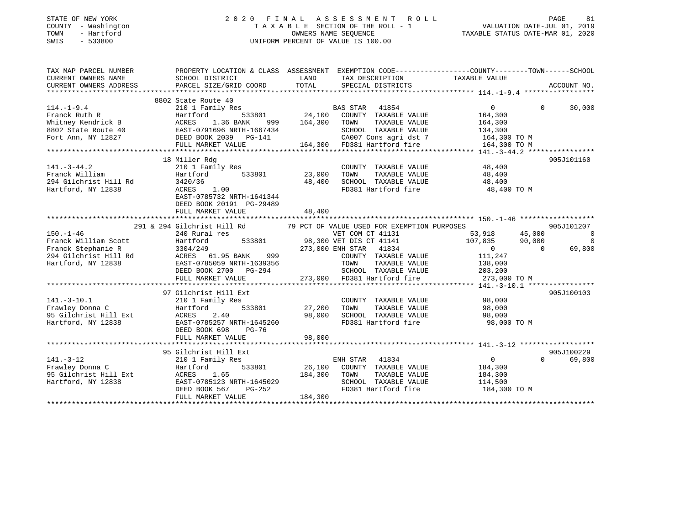| STATE OF NEW YORK |            |
|-------------------|------------|
| COUNTY            | Washington |
| TOWN              | - Hartford |
| <b>CMTC</b>       | 522800     |

### STATE OF NEW YORK 2 0 2 0 F I N A L A S S E S S M E N T R O L L PAGE 81COUNTY - Washington T A X A B L E SECTION OF THE ROLL - 1 VALUATION DATE-JUL 01, 2019 SWIS - 533800 UNIFORM PERCENT OF VALUE IS 100.00

| TAX MAP PARCEL NUMBER                                                                                                                                                                                                                            | PROPERTY LOCATION & CLASS ASSESSMENT EXEMPTION CODE----------------COUNTY-------TOWN------SCHOOL                        |               |                             |                                                                                            |                    |
|--------------------------------------------------------------------------------------------------------------------------------------------------------------------------------------------------------------------------------------------------|-------------------------------------------------------------------------------------------------------------------------|---------------|-----------------------------|--------------------------------------------------------------------------------------------|--------------------|
| CURRENT OWNERS NAME                                                                                                                                                                                                                              | SCHOOL DISTRICT                                                                                                         | LAND          | TAX DESCRIPTION             | TAXABLE VALUE                                                                              |                    |
| CURRENT OWNERS ADDRESS                                                                                                                                                                                                                           | PARCEL SIZE/GRID COORD TOTAL                                                                                            |               | SPECIAL DISTRICTS           |                                                                                            | ACCOUNT NO.        |
|                                                                                                                                                                                                                                                  |                                                                                                                         |               |                             |                                                                                            |                    |
|                                                                                                                                                                                                                                                  | 8802 State Route 40<br>State Route 40<br>210 1 Family Res BAS STAR 41854<br>Hartford 533801 24,100 COUNTY TAXABLE VALUE |               |                             |                                                                                            |                    |
| 114.-1-9.4<br>$\frac{1}{2}$<br>$\frac{1}{2}$<br>R                                                                                                                                                                                                |                                                                                                                         |               |                             | $0 \qquad \qquad$                                                                          | 30,000<br>$\Omega$ |
|                                                                                                                                                                                                                                                  |                                                                                                                         |               |                             |                                                                                            |                    |
|                                                                                                                                                                                                                                                  |                                                                                                                         |               |                             |                                                                                            |                    |
|                                                                                                                                                                                                                                                  |                                                                                                                         |               |                             |                                                                                            |                    |
|                                                                                                                                                                                                                                                  |                                                                                                                         |               |                             |                                                                                            |                    |
|                                                                                                                                                                                                                                                  |                                                                                                                         |               |                             |                                                                                            |                    |
| Franck Ruth R<br>Example 164,300<br>Whitney Kendrick B<br>BACRES 1.36 BANK 999 164,300 TOWN TAXABLE VALUE 164,300<br>Fort Ann, NY 12827 DEED BOOK 2039 PG-141 24,300 TD381 Hartford fire 164,300 TO M<br>FULL MARKET VALUE 164,300 FD381         |                                                                                                                         |               |                             |                                                                                            |                    |
|                                                                                                                                                                                                                                                  | 18 Miller Rdg                                                                                                           |               |                             |                                                                                            | 905J101160         |
| $141. - 3 - 44.2$                                                                                                                                                                                                                                | 210 1 Family Res                                                                                                        |               | COUNTY TAXABLE VALUE 48,400 |                                                                                            |                    |
|                                                                                                                                                                                                                                                  | Hartford 533801 23,000                                                                                                  |               | TOWN<br>TAXABLE VALUE       | 48,400                                                                                     |                    |
|                                                                                                                                                                                                                                                  |                                                                                                                         | 48,400        | SCHOOL TAXABLE VALUE 48,400 |                                                                                            |                    |
| Hartford, NY 12838                                                                                                                                                                                                                               | ACRES 1.00                                                                                                              |               |                             | FD381 Hartford fire 48,400 TO M                                                            |                    |
|                                                                                                                                                                                                                                                  | EAST-0785732 NRTH-1641344                                                                                               |               |                             |                                                                                            |                    |
|                                                                                                                                                                                                                                                  | DEED BOOK 20191 PG-29489                                                                                                |               |                             |                                                                                            |                    |
|                                                                                                                                                                                                                                                  | FULL MARKET VALUE                                                                                                       | 48,400        |                             |                                                                                            |                    |
|                                                                                                                                                                                                                                                  |                                                                                                                         |               |                             |                                                                                            |                    |
|                                                                                                                                                                                                                                                  | 291 & 294 Gilchrist Hill Rd 79 PCT OF VALUE USED FOR EXEMPTION PURPOSES                                                 |               |                             |                                                                                            | 905J101207         |
| $150. - 1 - 46$                                                                                                                                                                                                                                  | 240 Rural res                                                                                                           |               | VET COM CT 41131            | $\begin{array}{cc} 53,918 & 45,000 \ 107,835 & 90,000 \ 0 & 0 & 0 \ 111,247 & \end{array}$ | $\overline{0}$     |
| Franck William Scott<br>Franck Stephanie R<br>Franck Stephanie R<br>294 Gilchrist Hill Rd<br>294 Gilchrist Hill Rd<br>294 Gilchrist Hill Rd<br>294 Gilchrist Hill Rd<br>294 Gilchrist Hill Rd<br>294 Gilchrist Hill Rd<br>295 GUNTY TAXABLE VALU |                                                                                                                         |               |                             |                                                                                            | $\overline{0}$     |
|                                                                                                                                                                                                                                                  |                                                                                                                         |               |                             |                                                                                            | 69,800             |
|                                                                                                                                                                                                                                                  |                                                                                                                         |               |                             |                                                                                            |                    |
|                                                                                                                                                                                                                                                  |                                                                                                                         |               | TAXABLE VALUE               | 138,000                                                                                    |                    |
|                                                                                                                                                                                                                                                  |                                                                                                                         |               |                             |                                                                                            |                    |
| 1.1 2003, 200<br>DEED BOOK 2700 PG-294 SCHOOL TAXABLE VALUE 273, 200<br>FULL MARKET VALUE 273, 000 FD381 Hartford fire 273, 000 TO M FALUE 273, 000 TO M 273, 000 TO M 273, 000 TO M 273, 000 FD381 Hartford fire 273, 000 TO M                  |                                                                                                                         |               |                             |                                                                                            |                    |
|                                                                                                                                                                                                                                                  |                                                                                                                         |               |                             |                                                                                            |                    |
|                                                                                                                                                                                                                                                  | 97 Gilchrist Hill Ext                                                                                                   |               |                             |                                                                                            | 905J100103         |
| $141. - 3 - 10.1$                                                                                                                                                                                                                                | 210 1 Family Res                                                                                                        |               | COUNTY TAXABLE VALUE 98,000 |                                                                                            |                    |
| 210 1 Fam<br>Hartford<br>Frawley Donna C                                                                                                                                                                                                         |                                                                                                                         | 533801 27,200 | TOWN                        | TAXABLE VALUE 98,000                                                                       |                    |
|                                                                                                                                                                                                                                                  |                                                                                                                         | 98,000        | SCHOOL TAXABLE VALUE        | 98,000                                                                                     |                    |
|                                                                                                                                                                                                                                                  | EAST-0785257 NRTH-1645260                                                                                               |               | FD381 Hartford fire         | 98,000 TO M                                                                                |                    |
|                                                                                                                                                                                                                                                  | DEED BOOK 698<br>PG-76                                                                                                  |               |                             |                                                                                            |                    |
|                                                                                                                                                                                                                                                  | FULL MARKET VALUE                                                                                                       | 98,000        |                             |                                                                                            |                    |
|                                                                                                                                                                                                                                                  |                                                                                                                         |               |                             |                                                                                            |                    |
|                                                                                                                                                                                                                                                  | 95 Gilchrist Hill Ext                                                                                                   |               |                             |                                                                                            | 905J100229         |
| $141. - 3 - 12$                                                                                                                                                                                                                                  | 210 1 Family Res                                                                                                        |               | ENH STAR 41834              | $\overline{0}$                                                                             | $\Omega$<br>69,800 |
| Frawley Donna C                                                                                                                                                                                                                                  | 533801 26,100<br>Hartford                                                                                               |               | COUNTY TAXABLE VALUE        | 184,300                                                                                    |                    |
| 95 Gilchrist Hill Ext                                                                                                                                                                                                                            |                                                                                                                         |               | TAXABLE VALUE<br>TOWN       | 184,300                                                                                    |                    |
| Hartford, NY 12838                                                                                                                                                                                                                               |                                                                                                                         |               | SCHOOL TAXABLE VALUE        | 114,500                                                                                    |                    |
|                                                                                                                                                                                                                                                  | ACRES 1.65 184,300<br>EAST-0785123 NRTH-1645029<br>DEED BOOK 567 PG-252                                                 |               | FD381 Hartford fire         | 184,300 TO M                                                                               |                    |
|                                                                                                                                                                                                                                                  | FULL MARKET VALUE                                                                                                       | 184,300       |                             |                                                                                            |                    |
|                                                                                                                                                                                                                                                  |                                                                                                                         |               |                             |                                                                                            |                    |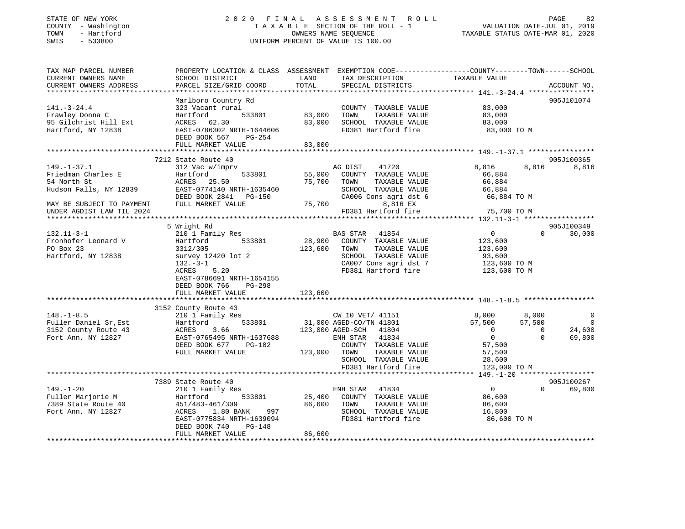#### STATE OF NEW YORK 2 0 2 0 F I N A L A S S E S S M E N T R O L L PAGE 82 COUNTY - Washington T A X A B L E SECTION OF THE ROLL - 1 VALUATION DATE-JUL 01, 2019 TOWN - Hartford OWNERS NAME SEQUENCE TAXABLE STATUS DATE-MAR 01, 2020 SWIS - 533800 UNIFORM PERCENT OF VALUE IS 100.00

| Marlboro Country Rd<br>905J101074<br>$141. - 3 - 24.4$<br>83,000<br>323 Vacant rural<br>COUNTY TAXABLE VALUE<br>533801<br>83,000<br>TOWN<br>TAXABLE VALUE<br>Frawley Donna C<br>Hartford<br>83,000<br>95 Gilchrist Hill Ext<br>ACRES 62.30<br>83,000<br>SCHOOL TAXABLE VALUE<br>83,000<br>Hartford, NY 12838<br>FD381 Hartford fire<br>EAST-0786302 NRTH-1644606<br>83,000 TO M<br>DEED BOOK 567<br>PG-254<br>FULL MARKET VALUE<br>83,000<br>905J100365<br>7212 State Route 40<br>8,816<br>$149. - 1 - 37.1$<br>8,816<br>8,816<br>312 Vac w/imprv<br>AG DIST<br>41720<br>55,000<br>Friedman Charles E<br>533801<br>Hartford<br>COUNTY TAXABLE VALUE<br>66,884<br>54 North St<br>75,700<br>TAXABLE VALUE<br>66,884<br>ACRES 25.50<br>TOWN<br>Hudson Falls, NY 12839<br>EAST-0774140 NRTH-1635460<br>SCHOOL TAXABLE VALUE<br>66,884<br>CA006 Cons agri dst 6<br>DEED BOOK 2841 PG-150<br>66,884 TO M<br>MAY BE SUBJECT TO PAYMENT<br>75,700<br>8,816 EX<br>FULL MARKET VALUE<br>FD381 Hartford fire<br>UNDER AGDIST LAW TIL 2024<br>75,700 TO M<br>905J100349<br>5 Wright Rd<br>$0 \qquad \qquad$<br>$132.11 - 3 - 1$<br>210 1 Family Res<br>BAS STAR 41854<br>$\Omega$<br>30,000<br>Fronhofer Leonard V<br>533801<br>28,900<br>COUNTY TAXABLE VALUE<br>Hartford<br>123,600<br>PO Box 23<br>123,600<br>3312/305<br>TOWN<br>TAXABLE VALUE<br>123,600<br>Hartford, NY 12838<br>survey 12420 lot 2<br>SCHOOL TAXABLE VALUE<br>93,600<br>CA007 Cons agri dst 7<br>$132 - 3 - 1$<br>123,600 TO M<br>FD381 Hartford fire<br>5.20<br>123,600 TO M<br>ACRES<br>EAST-0786691 NRTH-1654155<br>DEED BOOK 766<br>$PG-298$<br>FULL MARKET VALUE<br>123,600<br>3152 County Route 43<br>$148. - 1 - 8.5$<br>8,000<br>8,000<br>210 1 Family Res<br>CW_10_VET/ 41151<br>$\overline{0}$<br>533801<br>31,000 AGED-CO/TN 41801<br>Fuller Daniel Sr, Est<br>57,500<br>57,500<br>$\overline{0}$<br>Hartford<br>3152 County Route 43<br>3.66<br>123,000 AGED-SCH 41804<br>$\overline{0}$<br>$\Omega$<br>24,600<br>ACRES<br>$\overline{0}$<br>Fort Ann, NY 12827<br>EAST-0765495 NRTH-1637688<br>ENH STAR 41834<br>$\Omega$<br>69,800<br>DEED BOOK 677<br>COUNTY TAXABLE VALUE<br>PG-102<br>57,500<br>FULL MARKET VALUE<br>123,000 TOWN<br>TAXABLE VALUE<br>57,500<br>SCHOOL TAXABLE VALUE<br>28,600<br>FD381 Hartford fire<br>123,000 TO M<br>905J100267<br>7389 State Route 40<br>$149. - 1 - 20$<br>$\overline{0}$<br>$\Omega$<br>69,800<br>210 1 Family Res<br>ENH STAR 41834<br>25,400<br>Fuller Marjorie M<br>533801<br>COUNTY TAXABLE VALUE<br>Hartford<br>86,600<br>86,600<br>TAXABLE VALUE<br>7389 State Route 40<br>451/483-461/309<br>TOWN<br>86,600<br>997<br>Fort Ann, NY 12827<br>SCHOOL TAXABLE VALUE<br>ACRES<br>1.80 BANK<br>16,800<br>FD381 Hartford fire<br>EAST-0775834 NRTH-1639094<br>86,600 TO M<br>DEED BOOK 740<br>PG-148<br>86,600<br>FULL MARKET VALUE | TAX MAP PARCEL NUMBER<br>CURRENT OWNERS NAME<br>CURRENT OWNERS ADDRESS | PROPERTY LOCATION & CLASS ASSESSMENT EXEMPTION CODE----------------COUNTY-------TOWN------SCHOOL<br>SCHOOL DISTRICT<br>PARCEL SIZE/GRID COORD | LAND<br>TOTAL | TAX DESCRIPTION<br>SPECIAL DISTRICTS | TAXABLE VALUE | ACCOUNT NO. |
|---------------------------------------------------------------------------------------------------------------------------------------------------------------------------------------------------------------------------------------------------------------------------------------------------------------------------------------------------------------------------------------------------------------------------------------------------------------------------------------------------------------------------------------------------------------------------------------------------------------------------------------------------------------------------------------------------------------------------------------------------------------------------------------------------------------------------------------------------------------------------------------------------------------------------------------------------------------------------------------------------------------------------------------------------------------------------------------------------------------------------------------------------------------------------------------------------------------------------------------------------------------------------------------------------------------------------------------------------------------------------------------------------------------------------------------------------------------------------------------------------------------------------------------------------------------------------------------------------------------------------------------------------------------------------------------------------------------------------------------------------------------------------------------------------------------------------------------------------------------------------------------------------------------------------------------------------------------------------------------------------------------------------------------------------------------------------------------------------------------------------------------------------------------------------------------------------------------------------------------------------------------------------------------------------------------------------------------------------------------------------------------------------------------------------------------------------------------------------------------------------------------------------------------------------------------------------------------------------------------------------------------------------------------------------------------------------------------------------------------------------------------------------------------------------------------------------------------------------------|------------------------------------------------------------------------|-----------------------------------------------------------------------------------------------------------------------------------------------|---------------|--------------------------------------|---------------|-------------|
|                                                                                                                                                                                                                                                                                                                                                                                                                                                                                                                                                                                                                                                                                                                                                                                                                                                                                                                                                                                                                                                                                                                                                                                                                                                                                                                                                                                                                                                                                                                                                                                                                                                                                                                                                                                                                                                                                                                                                                                                                                                                                                                                                                                                                                                                                                                                                                                                                                                                                                                                                                                                                                                                                                                                                                                                                                                         |                                                                        |                                                                                                                                               |               |                                      |               |             |
|                                                                                                                                                                                                                                                                                                                                                                                                                                                                                                                                                                                                                                                                                                                                                                                                                                                                                                                                                                                                                                                                                                                                                                                                                                                                                                                                                                                                                                                                                                                                                                                                                                                                                                                                                                                                                                                                                                                                                                                                                                                                                                                                                                                                                                                                                                                                                                                                                                                                                                                                                                                                                                                                                                                                                                                                                                                         |                                                                        |                                                                                                                                               |               |                                      |               |             |
|                                                                                                                                                                                                                                                                                                                                                                                                                                                                                                                                                                                                                                                                                                                                                                                                                                                                                                                                                                                                                                                                                                                                                                                                                                                                                                                                                                                                                                                                                                                                                                                                                                                                                                                                                                                                                                                                                                                                                                                                                                                                                                                                                                                                                                                                                                                                                                                                                                                                                                                                                                                                                                                                                                                                                                                                                                                         |                                                                        |                                                                                                                                               |               |                                      |               |             |
|                                                                                                                                                                                                                                                                                                                                                                                                                                                                                                                                                                                                                                                                                                                                                                                                                                                                                                                                                                                                                                                                                                                                                                                                                                                                                                                                                                                                                                                                                                                                                                                                                                                                                                                                                                                                                                                                                                                                                                                                                                                                                                                                                                                                                                                                                                                                                                                                                                                                                                                                                                                                                                                                                                                                                                                                                                                         |                                                                        |                                                                                                                                               |               |                                      |               |             |
|                                                                                                                                                                                                                                                                                                                                                                                                                                                                                                                                                                                                                                                                                                                                                                                                                                                                                                                                                                                                                                                                                                                                                                                                                                                                                                                                                                                                                                                                                                                                                                                                                                                                                                                                                                                                                                                                                                                                                                                                                                                                                                                                                                                                                                                                                                                                                                                                                                                                                                                                                                                                                                                                                                                                                                                                                                                         |                                                                        |                                                                                                                                               |               |                                      |               |             |
|                                                                                                                                                                                                                                                                                                                                                                                                                                                                                                                                                                                                                                                                                                                                                                                                                                                                                                                                                                                                                                                                                                                                                                                                                                                                                                                                                                                                                                                                                                                                                                                                                                                                                                                                                                                                                                                                                                                                                                                                                                                                                                                                                                                                                                                                                                                                                                                                                                                                                                                                                                                                                                                                                                                                                                                                                                                         |                                                                        |                                                                                                                                               |               |                                      |               |             |
|                                                                                                                                                                                                                                                                                                                                                                                                                                                                                                                                                                                                                                                                                                                                                                                                                                                                                                                                                                                                                                                                                                                                                                                                                                                                                                                                                                                                                                                                                                                                                                                                                                                                                                                                                                                                                                                                                                                                                                                                                                                                                                                                                                                                                                                                                                                                                                                                                                                                                                                                                                                                                                                                                                                                                                                                                                                         |                                                                        |                                                                                                                                               |               |                                      |               |             |
|                                                                                                                                                                                                                                                                                                                                                                                                                                                                                                                                                                                                                                                                                                                                                                                                                                                                                                                                                                                                                                                                                                                                                                                                                                                                                                                                                                                                                                                                                                                                                                                                                                                                                                                                                                                                                                                                                                                                                                                                                                                                                                                                                                                                                                                                                                                                                                                                                                                                                                                                                                                                                                                                                                                                                                                                                                                         |                                                                        |                                                                                                                                               |               |                                      |               |             |
|                                                                                                                                                                                                                                                                                                                                                                                                                                                                                                                                                                                                                                                                                                                                                                                                                                                                                                                                                                                                                                                                                                                                                                                                                                                                                                                                                                                                                                                                                                                                                                                                                                                                                                                                                                                                                                                                                                                                                                                                                                                                                                                                                                                                                                                                                                                                                                                                                                                                                                                                                                                                                                                                                                                                                                                                                                                         |                                                                        |                                                                                                                                               |               |                                      |               |             |
|                                                                                                                                                                                                                                                                                                                                                                                                                                                                                                                                                                                                                                                                                                                                                                                                                                                                                                                                                                                                                                                                                                                                                                                                                                                                                                                                                                                                                                                                                                                                                                                                                                                                                                                                                                                                                                                                                                                                                                                                                                                                                                                                                                                                                                                                                                                                                                                                                                                                                                                                                                                                                                                                                                                                                                                                                                                         |                                                                        |                                                                                                                                               |               |                                      |               |             |
|                                                                                                                                                                                                                                                                                                                                                                                                                                                                                                                                                                                                                                                                                                                                                                                                                                                                                                                                                                                                                                                                                                                                                                                                                                                                                                                                                                                                                                                                                                                                                                                                                                                                                                                                                                                                                                                                                                                                                                                                                                                                                                                                                                                                                                                                                                                                                                                                                                                                                                                                                                                                                                                                                                                                                                                                                                                         |                                                                        |                                                                                                                                               |               |                                      |               |             |
|                                                                                                                                                                                                                                                                                                                                                                                                                                                                                                                                                                                                                                                                                                                                                                                                                                                                                                                                                                                                                                                                                                                                                                                                                                                                                                                                                                                                                                                                                                                                                                                                                                                                                                                                                                                                                                                                                                                                                                                                                                                                                                                                                                                                                                                                                                                                                                                                                                                                                                                                                                                                                                                                                                                                                                                                                                                         |                                                                        |                                                                                                                                               |               |                                      |               |             |
|                                                                                                                                                                                                                                                                                                                                                                                                                                                                                                                                                                                                                                                                                                                                                                                                                                                                                                                                                                                                                                                                                                                                                                                                                                                                                                                                                                                                                                                                                                                                                                                                                                                                                                                                                                                                                                                                                                                                                                                                                                                                                                                                                                                                                                                                                                                                                                                                                                                                                                                                                                                                                                                                                                                                                                                                                                                         |                                                                        |                                                                                                                                               |               |                                      |               |             |
|                                                                                                                                                                                                                                                                                                                                                                                                                                                                                                                                                                                                                                                                                                                                                                                                                                                                                                                                                                                                                                                                                                                                                                                                                                                                                                                                                                                                                                                                                                                                                                                                                                                                                                                                                                                                                                                                                                                                                                                                                                                                                                                                                                                                                                                                                                                                                                                                                                                                                                                                                                                                                                                                                                                                                                                                                                                         |                                                                        |                                                                                                                                               |               |                                      |               |             |
|                                                                                                                                                                                                                                                                                                                                                                                                                                                                                                                                                                                                                                                                                                                                                                                                                                                                                                                                                                                                                                                                                                                                                                                                                                                                                                                                                                                                                                                                                                                                                                                                                                                                                                                                                                                                                                                                                                                                                                                                                                                                                                                                                                                                                                                                                                                                                                                                                                                                                                                                                                                                                                                                                                                                                                                                                                                         |                                                                        |                                                                                                                                               |               |                                      |               |             |
|                                                                                                                                                                                                                                                                                                                                                                                                                                                                                                                                                                                                                                                                                                                                                                                                                                                                                                                                                                                                                                                                                                                                                                                                                                                                                                                                                                                                                                                                                                                                                                                                                                                                                                                                                                                                                                                                                                                                                                                                                                                                                                                                                                                                                                                                                                                                                                                                                                                                                                                                                                                                                                                                                                                                                                                                                                                         |                                                                        |                                                                                                                                               |               |                                      |               |             |
|                                                                                                                                                                                                                                                                                                                                                                                                                                                                                                                                                                                                                                                                                                                                                                                                                                                                                                                                                                                                                                                                                                                                                                                                                                                                                                                                                                                                                                                                                                                                                                                                                                                                                                                                                                                                                                                                                                                                                                                                                                                                                                                                                                                                                                                                                                                                                                                                                                                                                                                                                                                                                                                                                                                                                                                                                                                         |                                                                        |                                                                                                                                               |               |                                      |               |             |
|                                                                                                                                                                                                                                                                                                                                                                                                                                                                                                                                                                                                                                                                                                                                                                                                                                                                                                                                                                                                                                                                                                                                                                                                                                                                                                                                                                                                                                                                                                                                                                                                                                                                                                                                                                                                                                                                                                                                                                                                                                                                                                                                                                                                                                                                                                                                                                                                                                                                                                                                                                                                                                                                                                                                                                                                                                                         |                                                                        |                                                                                                                                               |               |                                      |               |             |
|                                                                                                                                                                                                                                                                                                                                                                                                                                                                                                                                                                                                                                                                                                                                                                                                                                                                                                                                                                                                                                                                                                                                                                                                                                                                                                                                                                                                                                                                                                                                                                                                                                                                                                                                                                                                                                                                                                                                                                                                                                                                                                                                                                                                                                                                                                                                                                                                                                                                                                                                                                                                                                                                                                                                                                                                                                                         |                                                                        |                                                                                                                                               |               |                                      |               |             |
|                                                                                                                                                                                                                                                                                                                                                                                                                                                                                                                                                                                                                                                                                                                                                                                                                                                                                                                                                                                                                                                                                                                                                                                                                                                                                                                                                                                                                                                                                                                                                                                                                                                                                                                                                                                                                                                                                                                                                                                                                                                                                                                                                                                                                                                                                                                                                                                                                                                                                                                                                                                                                                                                                                                                                                                                                                                         |                                                                        |                                                                                                                                               |               |                                      |               |             |
|                                                                                                                                                                                                                                                                                                                                                                                                                                                                                                                                                                                                                                                                                                                                                                                                                                                                                                                                                                                                                                                                                                                                                                                                                                                                                                                                                                                                                                                                                                                                                                                                                                                                                                                                                                                                                                                                                                                                                                                                                                                                                                                                                                                                                                                                                                                                                                                                                                                                                                                                                                                                                                                                                                                                                                                                                                                         |                                                                        |                                                                                                                                               |               |                                      |               |             |
|                                                                                                                                                                                                                                                                                                                                                                                                                                                                                                                                                                                                                                                                                                                                                                                                                                                                                                                                                                                                                                                                                                                                                                                                                                                                                                                                                                                                                                                                                                                                                                                                                                                                                                                                                                                                                                                                                                                                                                                                                                                                                                                                                                                                                                                                                                                                                                                                                                                                                                                                                                                                                                                                                                                                                                                                                                                         |                                                                        |                                                                                                                                               |               |                                      |               |             |
|                                                                                                                                                                                                                                                                                                                                                                                                                                                                                                                                                                                                                                                                                                                                                                                                                                                                                                                                                                                                                                                                                                                                                                                                                                                                                                                                                                                                                                                                                                                                                                                                                                                                                                                                                                                                                                                                                                                                                                                                                                                                                                                                                                                                                                                                                                                                                                                                                                                                                                                                                                                                                                                                                                                                                                                                                                                         |                                                                        |                                                                                                                                               |               |                                      |               |             |
|                                                                                                                                                                                                                                                                                                                                                                                                                                                                                                                                                                                                                                                                                                                                                                                                                                                                                                                                                                                                                                                                                                                                                                                                                                                                                                                                                                                                                                                                                                                                                                                                                                                                                                                                                                                                                                                                                                                                                                                                                                                                                                                                                                                                                                                                                                                                                                                                                                                                                                                                                                                                                                                                                                                                                                                                                                                         |                                                                        |                                                                                                                                               |               |                                      |               |             |
|                                                                                                                                                                                                                                                                                                                                                                                                                                                                                                                                                                                                                                                                                                                                                                                                                                                                                                                                                                                                                                                                                                                                                                                                                                                                                                                                                                                                                                                                                                                                                                                                                                                                                                                                                                                                                                                                                                                                                                                                                                                                                                                                                                                                                                                                                                                                                                                                                                                                                                                                                                                                                                                                                                                                                                                                                                                         |                                                                        |                                                                                                                                               |               |                                      |               |             |
|                                                                                                                                                                                                                                                                                                                                                                                                                                                                                                                                                                                                                                                                                                                                                                                                                                                                                                                                                                                                                                                                                                                                                                                                                                                                                                                                                                                                                                                                                                                                                                                                                                                                                                                                                                                                                                                                                                                                                                                                                                                                                                                                                                                                                                                                                                                                                                                                                                                                                                                                                                                                                                                                                                                                                                                                                                                         |                                                                        |                                                                                                                                               |               |                                      |               |             |
|                                                                                                                                                                                                                                                                                                                                                                                                                                                                                                                                                                                                                                                                                                                                                                                                                                                                                                                                                                                                                                                                                                                                                                                                                                                                                                                                                                                                                                                                                                                                                                                                                                                                                                                                                                                                                                                                                                                                                                                                                                                                                                                                                                                                                                                                                                                                                                                                                                                                                                                                                                                                                                                                                                                                                                                                                                                         |                                                                        |                                                                                                                                               |               |                                      |               |             |
|                                                                                                                                                                                                                                                                                                                                                                                                                                                                                                                                                                                                                                                                                                                                                                                                                                                                                                                                                                                                                                                                                                                                                                                                                                                                                                                                                                                                                                                                                                                                                                                                                                                                                                                                                                                                                                                                                                                                                                                                                                                                                                                                                                                                                                                                                                                                                                                                                                                                                                                                                                                                                                                                                                                                                                                                                                                         |                                                                        |                                                                                                                                               |               |                                      |               |             |
|                                                                                                                                                                                                                                                                                                                                                                                                                                                                                                                                                                                                                                                                                                                                                                                                                                                                                                                                                                                                                                                                                                                                                                                                                                                                                                                                                                                                                                                                                                                                                                                                                                                                                                                                                                                                                                                                                                                                                                                                                                                                                                                                                                                                                                                                                                                                                                                                                                                                                                                                                                                                                                                                                                                                                                                                                                                         |                                                                        |                                                                                                                                               |               |                                      |               |             |
|                                                                                                                                                                                                                                                                                                                                                                                                                                                                                                                                                                                                                                                                                                                                                                                                                                                                                                                                                                                                                                                                                                                                                                                                                                                                                                                                                                                                                                                                                                                                                                                                                                                                                                                                                                                                                                                                                                                                                                                                                                                                                                                                                                                                                                                                                                                                                                                                                                                                                                                                                                                                                                                                                                                                                                                                                                                         |                                                                        |                                                                                                                                               |               |                                      |               |             |
|                                                                                                                                                                                                                                                                                                                                                                                                                                                                                                                                                                                                                                                                                                                                                                                                                                                                                                                                                                                                                                                                                                                                                                                                                                                                                                                                                                                                                                                                                                                                                                                                                                                                                                                                                                                                                                                                                                                                                                                                                                                                                                                                                                                                                                                                                                                                                                                                                                                                                                                                                                                                                                                                                                                                                                                                                                                         |                                                                        |                                                                                                                                               |               |                                      |               |             |
|                                                                                                                                                                                                                                                                                                                                                                                                                                                                                                                                                                                                                                                                                                                                                                                                                                                                                                                                                                                                                                                                                                                                                                                                                                                                                                                                                                                                                                                                                                                                                                                                                                                                                                                                                                                                                                                                                                                                                                                                                                                                                                                                                                                                                                                                                                                                                                                                                                                                                                                                                                                                                                                                                                                                                                                                                                                         |                                                                        |                                                                                                                                               |               |                                      |               |             |
|                                                                                                                                                                                                                                                                                                                                                                                                                                                                                                                                                                                                                                                                                                                                                                                                                                                                                                                                                                                                                                                                                                                                                                                                                                                                                                                                                                                                                                                                                                                                                                                                                                                                                                                                                                                                                                                                                                                                                                                                                                                                                                                                                                                                                                                                                                                                                                                                                                                                                                                                                                                                                                                                                                                                                                                                                                                         |                                                                        |                                                                                                                                               |               |                                      |               |             |
|                                                                                                                                                                                                                                                                                                                                                                                                                                                                                                                                                                                                                                                                                                                                                                                                                                                                                                                                                                                                                                                                                                                                                                                                                                                                                                                                                                                                                                                                                                                                                                                                                                                                                                                                                                                                                                                                                                                                                                                                                                                                                                                                                                                                                                                                                                                                                                                                                                                                                                                                                                                                                                                                                                                                                                                                                                                         |                                                                        |                                                                                                                                               |               |                                      |               |             |
|                                                                                                                                                                                                                                                                                                                                                                                                                                                                                                                                                                                                                                                                                                                                                                                                                                                                                                                                                                                                                                                                                                                                                                                                                                                                                                                                                                                                                                                                                                                                                                                                                                                                                                                                                                                                                                                                                                                                                                                                                                                                                                                                                                                                                                                                                                                                                                                                                                                                                                                                                                                                                                                                                                                                                                                                                                                         |                                                                        |                                                                                                                                               |               |                                      |               |             |
|                                                                                                                                                                                                                                                                                                                                                                                                                                                                                                                                                                                                                                                                                                                                                                                                                                                                                                                                                                                                                                                                                                                                                                                                                                                                                                                                                                                                                                                                                                                                                                                                                                                                                                                                                                                                                                                                                                                                                                                                                                                                                                                                                                                                                                                                                                                                                                                                                                                                                                                                                                                                                                                                                                                                                                                                                                                         |                                                                        |                                                                                                                                               |               |                                      |               |             |
|                                                                                                                                                                                                                                                                                                                                                                                                                                                                                                                                                                                                                                                                                                                                                                                                                                                                                                                                                                                                                                                                                                                                                                                                                                                                                                                                                                                                                                                                                                                                                                                                                                                                                                                                                                                                                                                                                                                                                                                                                                                                                                                                                                                                                                                                                                                                                                                                                                                                                                                                                                                                                                                                                                                                                                                                                                                         |                                                                        |                                                                                                                                               |               |                                      |               |             |
|                                                                                                                                                                                                                                                                                                                                                                                                                                                                                                                                                                                                                                                                                                                                                                                                                                                                                                                                                                                                                                                                                                                                                                                                                                                                                                                                                                                                                                                                                                                                                                                                                                                                                                                                                                                                                                                                                                                                                                                                                                                                                                                                                                                                                                                                                                                                                                                                                                                                                                                                                                                                                                                                                                                                                                                                                                                         |                                                                        |                                                                                                                                               |               |                                      |               |             |
|                                                                                                                                                                                                                                                                                                                                                                                                                                                                                                                                                                                                                                                                                                                                                                                                                                                                                                                                                                                                                                                                                                                                                                                                                                                                                                                                                                                                                                                                                                                                                                                                                                                                                                                                                                                                                                                                                                                                                                                                                                                                                                                                                                                                                                                                                                                                                                                                                                                                                                                                                                                                                                                                                                                                                                                                                                                         |                                                                        |                                                                                                                                               |               |                                      |               |             |
|                                                                                                                                                                                                                                                                                                                                                                                                                                                                                                                                                                                                                                                                                                                                                                                                                                                                                                                                                                                                                                                                                                                                                                                                                                                                                                                                                                                                                                                                                                                                                                                                                                                                                                                                                                                                                                                                                                                                                                                                                                                                                                                                                                                                                                                                                                                                                                                                                                                                                                                                                                                                                                                                                                                                                                                                                                                         |                                                                        |                                                                                                                                               |               |                                      |               |             |
|                                                                                                                                                                                                                                                                                                                                                                                                                                                                                                                                                                                                                                                                                                                                                                                                                                                                                                                                                                                                                                                                                                                                                                                                                                                                                                                                                                                                                                                                                                                                                                                                                                                                                                                                                                                                                                                                                                                                                                                                                                                                                                                                                                                                                                                                                                                                                                                                                                                                                                                                                                                                                                                                                                                                                                                                                                                         |                                                                        |                                                                                                                                               |               |                                      |               |             |
|                                                                                                                                                                                                                                                                                                                                                                                                                                                                                                                                                                                                                                                                                                                                                                                                                                                                                                                                                                                                                                                                                                                                                                                                                                                                                                                                                                                                                                                                                                                                                                                                                                                                                                                                                                                                                                                                                                                                                                                                                                                                                                                                                                                                                                                                                                                                                                                                                                                                                                                                                                                                                                                                                                                                                                                                                                                         |                                                                        |                                                                                                                                               |               |                                      |               |             |
|                                                                                                                                                                                                                                                                                                                                                                                                                                                                                                                                                                                                                                                                                                                                                                                                                                                                                                                                                                                                                                                                                                                                                                                                                                                                                                                                                                                                                                                                                                                                                                                                                                                                                                                                                                                                                                                                                                                                                                                                                                                                                                                                                                                                                                                                                                                                                                                                                                                                                                                                                                                                                                                                                                                                                                                                                                                         |                                                                        |                                                                                                                                               |               |                                      |               |             |
|                                                                                                                                                                                                                                                                                                                                                                                                                                                                                                                                                                                                                                                                                                                                                                                                                                                                                                                                                                                                                                                                                                                                                                                                                                                                                                                                                                                                                                                                                                                                                                                                                                                                                                                                                                                                                                                                                                                                                                                                                                                                                                                                                                                                                                                                                                                                                                                                                                                                                                                                                                                                                                                                                                                                                                                                                                                         |                                                                        |                                                                                                                                               |               |                                      |               |             |
|                                                                                                                                                                                                                                                                                                                                                                                                                                                                                                                                                                                                                                                                                                                                                                                                                                                                                                                                                                                                                                                                                                                                                                                                                                                                                                                                                                                                                                                                                                                                                                                                                                                                                                                                                                                                                                                                                                                                                                                                                                                                                                                                                                                                                                                                                                                                                                                                                                                                                                                                                                                                                                                                                                                                                                                                                                                         |                                                                        |                                                                                                                                               |               |                                      |               |             |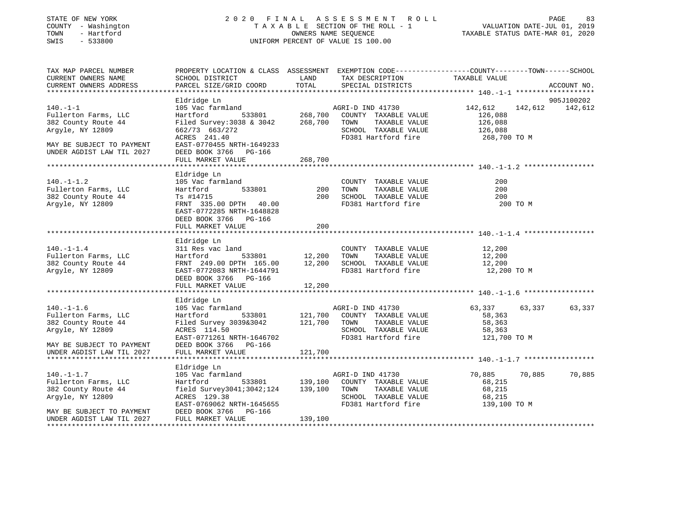#### STATE OF NEW YORK 2 0 2 0 F I N A L A S S E S S M E N T R O L L PAGE 83 COUNTY - Washington T A X A B L E SECTION OF THE ROLL - 1 VALUATION DATE-JUL 01, 2019 TOWN - Hartford OWNERS NAME SEQUENCE TAXABLE STATUS DATE-MAR 01, 2020 SWIS - 533800 UNIFORM PERCENT OF VALUE IS 100.00

| TAX MAP PARCEL NUMBER<br>CURRENT OWNERS NAME<br>CURRENT OWNERS ADDRESS | PROPERTY LOCATION & CLASS ASSESSMENT EXEMPTION CODE---------------COUNTY-------TOWN------SCHOOL<br>SCHOOL DISTRICT<br>PARCEL SIZE/GRID COORD | LAND<br>TOTAL | TAX DESCRIPTION<br>SPECIAL DISTRICTS                                     | TAXABLE VALUE                                 | ACCOUNT NO. |
|------------------------------------------------------------------------|----------------------------------------------------------------------------------------------------------------------------------------------|---------------|--------------------------------------------------------------------------|-----------------------------------------------|-------------|
|                                                                        |                                                                                                                                              |               |                                                                          |                                               | 905J100202  |
| $140. - 1 - 1$<br>Fullerton Farms, LLC<br>382 County Route 44          | Eldridge Ln<br>105 Vac farmland<br>Hartford<br>Filed Survey: 3038 & 3042 268, 700 TOWN                                                       |               | AGRI-D IND 41730<br>533801 268,700 COUNTY TAXABLE VALUE<br>TAXABLE VALUE | 142,612 142,612 142,612<br>126,088<br>126,088 |             |
| Argyle, NY 12809                                                       | 662/73 663/272<br>ACRES 241.40                                                                                                               |               | SCHOOL TAXABLE VALUE 126,088<br>FD381 Hartford fire                      | 268,700 TO M                                  |             |
| MAY BE SUBJECT TO PAYMENT<br>UNDER AGDIST LAW TIL 2027                 | EAST-0770455 NRTH-1649233<br>DEED BOOK 3766 PG-166<br>FULL MARKET VALUE                                                                      | 268,700       |                                                                          |                                               |             |
|                                                                        |                                                                                                                                              |               |                                                                          |                                               |             |
| $140. - 1 - 1.2$<br>Fullerton Farms, LLC                               | Eldridge Ln<br>105 Vac farmland<br>533801<br>Hartford                                                                                        | 200           | COUNTY TAXABLE VALUE<br>TOWN<br>TAXABLE VALUE                            | 200<br>200                                    |             |
| 382 County Route 44<br>Argyle, NY 12809                                | Ts #14715<br>FRNT 335.00 DPTH 40.00<br>EAST-0772285 NRTH-1648828<br>DEED BOOK 3766 PG-166                                                    | 200           | SCHOOL TAXABLE VALUE<br>FD381 Hartford fire                              | 200<br>200 TO M                               |             |
|                                                                        | FULL MARKET VALUE                                                                                                                            | 200           |                                                                          |                                               |             |
|                                                                        |                                                                                                                                              |               |                                                                          |                                               |             |
|                                                                        | Eldridge Ln                                                                                                                                  |               |                                                                          |                                               |             |
| $140.-1-1.4$<br>Fullerton Farms, LLC                                   | 311 Res vac land                                                                                                                             |               | COUNTY TAXABLE VALUE                                                     | 12,200                                        |             |
| 382 County Route 44                                                    | Hartford                                                                                                                                     |               | TAXABLE VALUE                                                            | 12,200<br>12,200                              |             |
| Argyle, NY 12809                                                       | FRNT 249.00 DPTH 165.00 12,200 SCHOOL TAXABLE VALUE<br>EAST-0772083 NRTH-1644791 FD381 Hartford fire<br>DEED BOOK 3766 PG-166                |               |                                                                          | 12,200 TO M                                   |             |
|                                                                        | FULL MARKET VALUE                                                                                                                            | 12,200        |                                                                          |                                               |             |
|                                                                        |                                                                                                                                              |               |                                                                          |                                               |             |
| $140. - 1 - 1.6$                                                       | Eldridge Ln                                                                                                                                  |               | AGRI-D IND 41730                                                         | 63,337 63,337                                 | 63,337      |
| Fullerton Farms, LLC                                                   | 105 Vac farmland<br>Hartford 533801 121,700 COUNTY TAXABLE VALUE                                                                             |               |                                                                          | 58,363                                        |             |
| 382 County Route 44                                                    | Filed Survey 3039&3042 121,700 TOWN                                                                                                          |               | TAXABLE VALUE                                                            | 58,363                                        |             |
| Argyle, NY 12809                                                       | ACRES 114.50                                                                                                                                 |               | SCHOOL TAXABLE VALUE                                                     | 58,363                                        |             |
|                                                                        | EAST-0771261 NRTH-1646702                                                                                                                    |               | FD381 Hartford fire                                                      | 121,700 TO M                                  |             |
| MAY BE SUBJECT TO PAYMENT                                              | DEED BOOK 3766 PG-166                                                                                                                        |               |                                                                          |                                               |             |
| UNDER AGDIST LAW TIL 2027                                              | FULL MARKET VALUE                                                                                                                            | 121,700       |                                                                          |                                               |             |
|                                                                        |                                                                                                                                              |               |                                                                          |                                               |             |
|                                                                        | Eldridge Ln                                                                                                                                  |               |                                                                          |                                               |             |
| $140. - 1 - 1.7$                                                       | 105 Vac farmland MGRI-D IND 41730<br>Hartford 533801 139,100 COUNTY TAXABLE VALUE                                                            |               |                                                                          | 70,885 70,885                                 | 70,885      |
| Fullerton Farms, LLC                                                   |                                                                                                                                              |               |                                                                          | 68,215                                        |             |
| 382 County Route 44<br>Argyle, NY 12809                                | field Survey3041;3042;124 139,100 TOWN<br>ACRES 129.38                                                                                       |               | TAXABLE VALUE<br>SCHOOL TAXABLE VALUE                                    | 68,215<br>68.215<br>68,215                    |             |
|                                                                        | EAST-0769062 NRTH-1645655                                                                                                                    |               | FD381 Hartford fire                                                      | 139,100 TO M                                  |             |
| MAY BE SUBJECT TO PAYMENT<br>UNDER AGDIST LAW TIL 2027                 | DEED BOOK 3766 PG-166<br>FULL MARKET VALUE                                                                                                   | 139,100       |                                                                          |                                               |             |
|                                                                        |                                                                                                                                              |               |                                                                          |                                               |             |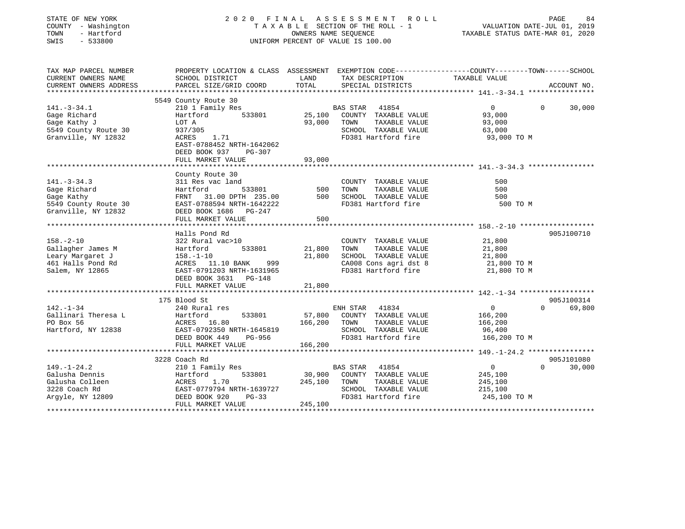| STATE OF NEW YORK<br>COUNTY - Washington<br>TOWN<br>- Hartford<br>SWIS<br>$-533800$ |                                                                                                                     |         | 2020 FINAL ASSESSMENT ROLL<br>TAXABLE SECTION OF THE ROLL - 1<br>OWNERS NAME SEQUENCE<br>UNIFORM PERCENT OF VALUE IS 100.00 | VALUATION DATE-JUL 01, 2019<br>TAXABLE STATUS DATE-MAR 01, 2020 | PAGE<br>84  |
|-------------------------------------------------------------------------------------|---------------------------------------------------------------------------------------------------------------------|---------|-----------------------------------------------------------------------------------------------------------------------------|-----------------------------------------------------------------|-------------|
| TAX MAP PARCEL NUMBER<br>CURRENT OWNERS NAME                                        | PROPERTY LOCATION & CLASS ASSESSMENT EXEMPTION CODE----------------COUNTY-------TOWN------SCHOOL<br>SCHOOL DISTRICT | LAND    | TAX DESCRIPTION                                                                                                             | TAXABLE VALUE                                                   |             |
| CURRENT OWNERS ADDRESS                                                              | PARCEL SIZE/GRID COORD                                                                                              | TOTAL   | SPECIAL DISTRICTS                                                                                                           |                                                                 | ACCOUNT NO. |
|                                                                                     |                                                                                                                     |         |                                                                                                                             |                                                                 |             |
|                                                                                     | 5549 County Route 30                                                                                                |         |                                                                                                                             |                                                                 |             |
| $141. - 3 - 34.1$                                                                   | 210 1 Family Res                                                                                                    |         | BAS STAR 41854                                                                                                              | $\mathbf{0}$<br>$\Omega$                                        | 30,000      |
| Gage Richard                                                                        | 533801<br>Hartford                                                                                                  | 25,100  | COUNTY TAXABLE VALUE                                                                                                        | 93,000                                                          |             |
| Gage Kathy J                                                                        | LOT A                                                                                                               | 93,000  | TOWN<br>TAXABLE VALUE                                                                                                       | 93,000                                                          |             |
| 5549 County Route 30                                                                | 937/305                                                                                                             |         | SCHOOL TAXABLE VALUE                                                                                                        | 63,000                                                          |             |
| Granville, NY 12832                                                                 | ACRES<br>1.71<br>EAST-0788452 NRTH-1642062<br>DEED BOOK 937<br>PG-307                                               |         | FD381 Hartford fire                                                                                                         | 93,000 TO M                                                     |             |
|                                                                                     | FULL MARKET VALUE                                                                                                   | 93,000  |                                                                                                                             |                                                                 |             |
|                                                                                     |                                                                                                                     |         |                                                                                                                             |                                                                 |             |
| $141. - 3 - 34.3$                                                                   | County Route 30<br>311 Res vac land                                                                                 |         | COUNTY TAXABLE VALUE                                                                                                        | 500                                                             |             |
| Gage Richard                                                                        | Hartford<br>533801                                                                                                  | 500     | TAXABLE VALUE<br>TOWN                                                                                                       | 500                                                             |             |
| Gage Kathy                                                                          | FRNT 31.00 DPTH 235.00                                                                                              | 500     | SCHOOL TAXABLE VALUE                                                                                                        | 500                                                             |             |
| 5549 County Route 30                                                                | EAST-0788594 NRTH-1642222                                                                                           |         | FD381 Hartford fire                                                                                                         | 500 TO M                                                        |             |
| Granville, NY 12832                                                                 | DEED BOOK 1686 PG-247                                                                                               |         |                                                                                                                             |                                                                 |             |
|                                                                                     | FULL MARKET VALUE                                                                                                   | 500     |                                                                                                                             |                                                                 |             |
|                                                                                     |                                                                                                                     |         |                                                                                                                             |                                                                 |             |
|                                                                                     | Halls Pond Rd                                                                                                       |         |                                                                                                                             |                                                                 | 905J100710  |
| $158. - 2 - 10$                                                                     | 322 Rural vac>10                                                                                                    |         | COUNTY TAXABLE VALUE                                                                                                        | 21,800                                                          |             |
| Gallagher James M                                                                   | 533801<br>Hartford                                                                                                  | 21,800  | TOWN<br>TAXABLE VALUE                                                                                                       | 21,800                                                          |             |
| Leary Margaret J                                                                    | $158. - 1 - 10$                                                                                                     | 21,800  | SCHOOL TAXABLE VALUE                                                                                                        | 21,800                                                          |             |
| 461 Halls Pond Rd                                                                   | ACRES 11.10 BANK<br>999                                                                                             |         | CA008 Cons agri dst 8                                                                                                       | 21,800 TO M                                                     |             |
| Salem, NY 12865                                                                     | EAST-0791203 NRTH-1631965                                                                                           |         | FD381 Hartford fire                                                                                                         | 21,800 TO M                                                     |             |
|                                                                                     | DEED BOOK 3631<br>PG-148<br>FULL MARKET VALUE                                                                       | 21,800  |                                                                                                                             |                                                                 |             |
|                                                                                     |                                                                                                                     |         |                                                                                                                             |                                                                 |             |
|                                                                                     | 175 Blood St                                                                                                        |         |                                                                                                                             |                                                                 | 905J100314  |
| 142.-1-34                                                                           | 240 Rural res                                                                                                       |         | ENH STAR<br>41834                                                                                                           | $\Omega$<br>$\Omega$                                            | 69,800      |
| Gallinari Theresa L                                                                 | Hartford<br>533801                                                                                                  | 57,800  | COUNTY TAXABLE VALUE                                                                                                        | 166,200                                                         |             |
| PO Box 56                                                                           | ACRES 16.80                                                                                                         | 166,200 | TAXABLE VALUE<br>TOWN                                                                                                       | 166,200                                                         |             |
| Hartford, NY 12838                                                                  | EAST-0792350 NRTH-1645819                                                                                           |         | SCHOOL TAXABLE VALUE                                                                                                        | 96,400                                                          |             |
|                                                                                     | DEED BOOK 449<br>PG-956                                                                                             |         | FD381 Hartford fire                                                                                                         | 166,200 TO M                                                    |             |
|                                                                                     | FULL MARKET VALUE                                                                                                   | 166,200 |                                                                                                                             |                                                                 |             |
|                                                                                     |                                                                                                                     |         |                                                                                                                             |                                                                 |             |
|                                                                                     | 3228 Coach Rd                                                                                                       |         |                                                                                                                             |                                                                 | 905J101080  |
| $149. - 1 - 24.2$                                                                   | 210 1 Family Res                                                                                                    |         | <b>BAS STAR</b><br>41854                                                                                                    | 0<br>$\Omega$                                                   | 30,000      |
| Galusha Dennis                                                                      | Hartford<br>533801                                                                                                  | 30,900  | COUNTY TAXABLE VALUE                                                                                                        | 245,100                                                         |             |
| Galusha Colleen                                                                     | ACRES<br>1.70                                                                                                       | 245,100 | TAXABLE VALUE<br>TOWN                                                                                                       | 245,100                                                         |             |
| 3228 Coach Rd<br>Argyle, NY 12809                                                   | EAST-0779794 NRTH-1639727<br>DEED BOOK 920<br>$PG-33$                                                               |         | SCHOOL TAXABLE VALUE<br>FD381 Hartford fire                                                                                 | 215,100<br>245,100 TO M                                         |             |
|                                                                                     | FULL MARKET VALUE                                                                                                   | 245,100 |                                                                                                                             |                                                                 |             |
|                                                                                     |                                                                                                                     |         |                                                                                                                             |                                                                 |             |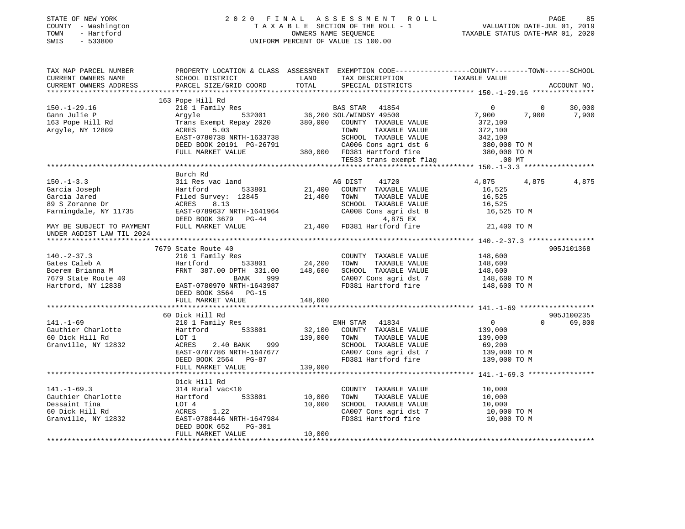| STATE OF NEW YORK<br>COUNTY - Washington<br>TOWN - Hartford<br>SWIS - 533800                                                                                                                                                                   |                              |         | UNIFORM PERCENT OF VALUE IS 100.00                                                                                                                                                                                                               |                                                               |                        |
|------------------------------------------------------------------------------------------------------------------------------------------------------------------------------------------------------------------------------------------------|------------------------------|---------|--------------------------------------------------------------------------------------------------------------------------------------------------------------------------------------------------------------------------------------------------|---------------------------------------------------------------|------------------------|
| TAX MAP PARCEL NUMBER<br>CURRENT OWNERS NAME<br>CURRENT OWNERS ADDRESS                                                                                                                                                                         |                              |         | PROPERTY LOCATION & CLASS ASSESSMENT EXEMPTION CODE---------------COUNTY-------TOWN-----SCHOOL<br>PROPERTY LOCATION & CLASS ASSOCIATION TAX DESCRIPTION TAXABLE VALUE<br>SCHOOL DISTRICT LAND TAX DESCRIPTION TAXABLE VALUE<br>SPECIAL DISTRICTS |                                                               | ACCOUNT NO.            |
|                                                                                                                                                                                                                                                | 163 Pope Hill Rd             |         |                                                                                                                                                                                                                                                  |                                                               |                        |
|                                                                                                                                                                                                                                                |                              |         |                                                                                                                                                                                                                                                  |                                                               |                        |
|                                                                                                                                                                                                                                                |                              |         |                                                                                                                                                                                                                                                  |                                                               |                        |
|                                                                                                                                                                                                                                                |                              |         |                                                                                                                                                                                                                                                  |                                                               |                        |
| $150. - 1 - 3.3$                                                                                                                                                                                                                               | Burch Rd<br>311 Res vac land |         | AG DIST 41720                                                                                                                                                                                                                                    | 4,875 4,875                                                   | 4,875                  |
| 311 Res vac 1and<br>Garcia Joseph Hartford 533801 21,400 COUNTY TAXABLE VALUE<br>Garcia Jared Filed Survey: 12845 21,400 TOWN TAXABLE VALUE<br>89 S Zoranne Dr ACRES 8.13<br>Farmingdale, NY 11735 EAST-0789637 NRTH-1641964 21,400 TO         |                              |         |                                                                                                                                                                                                                                                  |                                                               |                        |
| UNDER AGDIST LAW TIL 2024                                                                                                                                                                                                                      |                              |         |                                                                                                                                                                                                                                                  |                                                               |                        |
|                                                                                                                                                                                                                                                |                              |         |                                                                                                                                                                                                                                                  |                                                               |                        |
| 7679 State Route 40<br>310 1 Family Res<br>31.00 24,200 TOWN TAXABLE VALUE<br>33801 24,200 TOWN TAXABLE VALUE<br>33801 24,200 TOWN TAXABLE VALUE<br>34,600 TOWN TAXABLE VALUE<br>34,600 TOWN TAXABLE VALUE<br>34,600 TOWN TAXABLE VALUE<br>348 | 7679 State Route 40          |         |                                                                                                                                                                                                                                                  |                                                               | 905J101368             |
|                                                                                                                                                                                                                                                | DEED BOOK 3564 PG-15         |         |                                                                                                                                                                                                                                                  |                                                               |                        |
|                                                                                                                                                                                                                                                | FULL MARKET VALUE            | 148,600 |                                                                                                                                                                                                                                                  |                                                               |                        |
|                                                                                                                                                                                                                                                |                              |         |                                                                                                                                                                                                                                                  |                                                               |                        |
| $141. - 1 - 69$                                                                                                                                                                                                                                | 60 Dick Hill Rd              |         | ENH STAR 41834                                                                                                                                                                                                                                   |                                                               | 905J100235<br>0 69,800 |
| Gauthier Charlotte<br>60 Dick Hill Rd<br>Granville, NY 12832                                                                                                                                                                                   | 210 1 Family Res             |         | CA007 Cons agri dst 7 139,000 TO M<br>FD381 Hartford fire 139,000 TO M                                                                                                                                                                           | $\begin{array}{c} 0 \ 139,000 \ 139,000 \ 69,200 \end{array}$ |                        |
|                                                                                                                                                                                                                                                |                              |         |                                                                                                                                                                                                                                                  |                                                               |                        |
|                                                                                                                                                                                                                                                |                              |         |                                                                                                                                                                                                                                                  |                                                               |                        |
|                                                                                                                                                                                                                                                |                              |         |                                                                                                                                                                                                                                                  |                                                               |                        |
|                                                                                                                                                                                                                                                |                              |         |                                                                                                                                                                                                                                                  |                                                               |                        |
|                                                                                                                                                                                                                                                |                              |         | $\begin{tabular}{lllllllllll} \multicolumn{2}{c}{\textbf{COUNTY}} & \textbf{TAXABLE VALUE} & & & 10\, ,000 \\ \multicolumn{2}{c}{\textbf{TOWN}} & \textbf{TAXABLE VALUE} & & & 10\, ,000 \\ \end{tabular}$                                       |                                                               |                        |
|                                                                                                                                                                                                                                                |                              |         |                                                                                                                                                                                                                                                  |                                                               |                        |
|                                                                                                                                                                                                                                                |                              |         |                                                                                                                                                                                                                                                  |                                                               |                        |
| 441.-1-69.3<br>Gauthier Charlotte (10 Hartford 533801 10,000 TOWN TAXABLE VALUE<br>Dessaint Tina LOT 4 10,000 SCHOOL TAXABLE VALUE<br>60 Dick Hill Rd ACRES 1.22 CA007 Cons agri det 7<br>Granville, NY 12832 EAST-0788446 NRTH-164799         | FULL MARKET VALUE            | 10,000  | SCHOOL TAXABLE VALUE 10,000<br>CA007 Cons agri dst 7 10,000 TO M<br>FD381 Hartford fire 10,000 TO M                                                                                                                                              |                                                               |                        |
|                                                                                                                                                                                                                                                |                              |         |                                                                                                                                                                                                                                                  |                                                               |                        |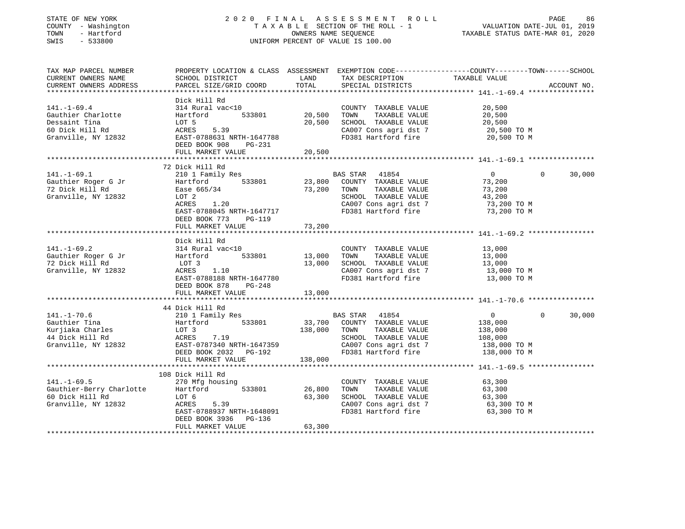#### STATE OF NEW YORK 2 0 2 0 F I N A L A S S E S S M E N T R O L L PAGE 86 COUNTY - Washington T A X A B L E SECTION OF THE ROLL - 1 VALUATION DATE-JUL 01, 2019 TOWN - Hartford OWNERS NAME SEQUENCE TAXABLE STATUS DATE-MAR 01, 2020 SWIS - 533800 UNIFORM PERCENT OF VALUE IS 100.00

| TAX MAP PARCEL NUMBER<br>CURRENT OWNERS NAME<br>CURRENT OWNERS ADDRESS                             | PROPERTY LOCATION & CLASS ASSESSMENT<br>SCHOOL DISTRICT<br>PARCEL SIZE/GRID COORD                                                                                               | LAND<br>TOTAL              | TAX DESCRIPTION<br>SPECIAL DISTRICTS                                                                                                           | EXEMPTION CODE-----------------COUNTY-------TOWN------SCHOOL<br>TAXABLE VALUE               | ACCOUNT NO. |
|----------------------------------------------------------------------------------------------------|---------------------------------------------------------------------------------------------------------------------------------------------------------------------------------|----------------------------|------------------------------------------------------------------------------------------------------------------------------------------------|---------------------------------------------------------------------------------------------|-------------|
| $141. - 1 - 69.4$<br>Gauthier Charlotte<br>Dessaint Tina<br>60 Dick Hill Rd<br>Granville, NY 12832 | Dick Hill Rd<br>314 Rural vac<10<br>Hartford<br>533801<br>LOT 5<br>ACRES<br>5.39<br>EAST-0788631 NRTH-1647788<br>DEED BOOK 908<br>PG-231<br>FULL MARKET VALUE                   | 20,500<br>20,500<br>20,500 | COUNTY TAXABLE VALUE<br>TOWN<br>TAXABLE VALUE<br>SCHOOL TAXABLE VALUE<br>CA007 Cons agri dst 7<br>FD381 Hartford fire                          | 20,500<br>20,500<br>20,500<br>20,500 TO M<br>20,500 TO M                                    |             |
| $141. - 1 - 69.1$<br>Gauthier Roger G Jr<br>72 Dick Hill Rd<br>Granville, NY 12832                 | 72 Dick Hill Rd<br>210 1 Family Res<br>533801<br>Hartford<br>Ease 665/34<br>LOT 2<br>ACRES<br>1.20<br>EAST-0788045 NRTH-1647717<br>DEED BOOK 773<br>PG-119<br>FULL MARKET VALUE | 23,800<br>73,200<br>73,200 | BAS STAR<br>41854<br>COUNTY TAXABLE VALUE<br>TAXABLE VALUE<br>TOWN<br>SCHOOL TAXABLE VALUE<br>CA007 Cons agri dst 7<br>FD381 Hartford fire     | $\overline{0}$<br>$\Omega$<br>73,200<br>73,200<br>43,200<br>73,200 TO M<br>73,200 TO M      | 30,000      |
| $141. - 1 - 69.2$<br>Gauthier Roger G Jr<br>72 Dick Hill Rd<br>Granville, NY 12832                 | Dick Hill Rd<br>314 Rural vac<10<br>533801<br>Hartford<br>LOT 3<br>1.10<br>ACRES<br>EAST-0788188 NRTH-1647780<br>DEED BOOK 878<br>$PG-248$<br>FULL MARKET VALUE                 | 13,000<br>13,000<br>13,000 | COUNTY TAXABLE VALUE<br>TAXABLE VALUE<br>TOWN<br>SCHOOL TAXABLE VALUE<br>CA007 Cons agri dst 7<br>FD381 Hartford fire                          | 13,000<br>13,000<br>13,000<br>13,000 TO M<br>13,000 TO M                                    |             |
| $141. - 1 - 70.6$<br>Gauthier Tina<br>Kurjiaka Charles<br>44 Dick Hill Rd<br>Granville, NY 12832   | 44 Dick Hill Rd<br>210 1 Family Res<br>533801<br>Hartford<br>LOT 3<br>7.19<br>ACRES<br>EAST-0787340 NRTH-1647359<br>DEED BOOK 2032 PG-192<br>FULL MARKET VALUE                  | 138,000<br>138,000         | BAS STAR 41854<br>33,700 COUNTY TAXABLE VALUE<br>TAXABLE VALUE<br>TOWN<br>SCHOOL TAXABLE VALUE<br>CA007 Cons agri dst 7<br>FD381 Hartford fire | $\overline{0}$<br>$\Omega$<br>138,000<br>138,000<br>108,000<br>138,000 TO M<br>138,000 TO M | 30,000      |
| $141. - 1 - 69.5$<br>Gauthier-Berry Charlotte<br>60 Dick Hill Rd<br>Granville, NY 12832            | 108 Dick Hill Rd<br>270 Mfg housing<br>533801<br>Hartford<br>LOT 6<br>5.39<br>ACRES<br>EAST-0788937 NRTH-1648091<br>DEED BOOK 3936<br>PG-136<br>FULL MARKET VALUE               | 26,800<br>63,300<br>63,300 | COUNTY TAXABLE VALUE<br>TOWN<br>TAXABLE VALUE<br>SCHOOL TAXABLE VALUE<br>CA007 Cons agri dst 7<br>FD381 Hartford fire                          | 63,300<br>63,300<br>63,300<br>63,300 TO M<br>63,300 TO M                                    |             |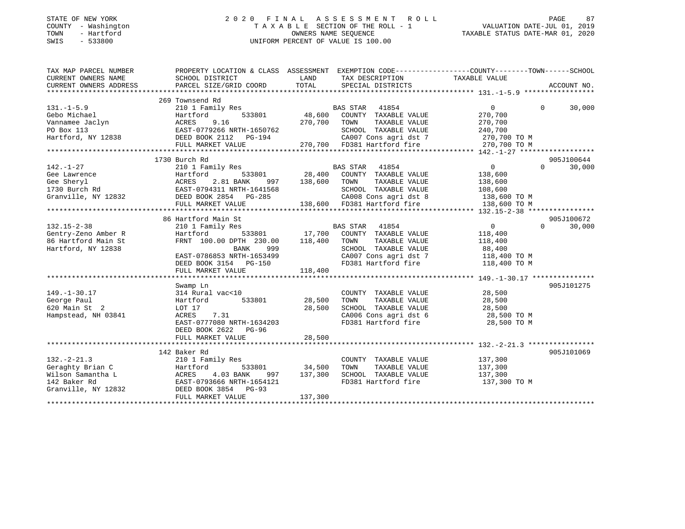#### STATE OF NEW YORK 2 0 2 0 F I N A L A S S E S S M E N T R O L L PAGE 87 COUNTY - Washington T A X A B L E SECTION OF THE ROLL - 1 VALUATION DATE-JUL 01, 2019 TOWN - Hartford OWNERS NAME SEQUENCE TAXABLE STATUS DATE-MAR 01, 2020 SWIS - 533800 UNIFORM PERCENT OF VALUE IS 100.00

| TAX MAP PARCEL NUMBER  | PROPERTY LOCATION & CLASS ASSESSMENT EXEMPTION CODE---------------COUNTY-------TOWN------SCHOOL |               |                             |                                    |                    |
|------------------------|-------------------------------------------------------------------------------------------------|---------------|-----------------------------|------------------------------------|--------------------|
| CURRENT OWNERS NAME    | SCHOOL DISTRICT                                                                                 | LAND          | TAX DESCRIPTION             | TAXABLE VALUE                      |                    |
| CURRENT OWNERS ADDRESS | PARCEL SIZE/GRID COORD                                                                          | TOTAL         | SPECIAL DISTRICTS           |                                    | ACCOUNT NO.        |
|                        |                                                                                                 |               |                             |                                    |                    |
|                        | 269 Townsend Rd                                                                                 |               |                             |                                    |                    |
| $131 - 1 - 5.9$        | 210 1 Family Res                                                                                |               | BAS STAR 41854              | 0                                  | $\Omega$<br>30,000 |
| Gebo Michael           | 533801<br>Hartford                                                                              | 48,600        | COUNTY TAXABLE VALUE        | 270,700                            |                    |
| Vannamee Jaclyn        | ACRES<br>9.16                                                                                   | 270,700       | TOWN<br>TAXABLE VALUE       | 270,700                            |                    |
| PO Box 113             | EAST-0779266 NRTH-1650762                                                                       |               | SCHOOL TAXABLE VALUE        | 240,700                            |                    |
| Hartford, NY 12838     | DEED BOOK 2112 PG-194                                                                           |               |                             | CA007 Cons agri dst 7 270,700 TO M |                    |
|                        | FULL MARKET VALUE                                                                               |               | 270,700 FD381 Hartford fire | 270,700 TO M                       |                    |
|                        |                                                                                                 |               |                             |                                    |                    |
|                        | 1730 Burch Rd                                                                                   |               |                             |                                    | 905J100644         |
| $142. - 1 - 27$        | 210 1 Family Res                                                                                |               | BAS STAR 41854              | 0                                  | $\Omega$<br>30,000 |
| Gee Lawrence           | 533801                                                                                          | 28,400        | COUNTY TAXABLE VALUE        | 138,600                            |                    |
| Gee Sheryl             | 997                                                                                             | 138,600       | TOWN<br>TAXABLE VALUE       | 138,600                            |                    |
| 1730 Burch Rd          | EAST-0794311 NRTH-1641568                                                                       |               | SCHOOL TAXABLE VALUE        | 108,600                            |                    |
| Granville, NY 12832    | Hartford 533801<br>ACRES 2.81 BANK 99<br>EAST-0794311 NRTH-164156<br>DEED BOOK 2854 PG-285      |               | CA008 Cons agri dst 8       | $138,600$ TO M                     |                    |
|                        | FULL MARKET VALUE                                                                               |               | 138,600 FD381 Hartford fire | 138,600 TO M                       |                    |
|                        |                                                                                                 |               |                             |                                    |                    |
|                        | 86 Hartford Main St                                                                             |               |                             |                                    | 905J100672         |
| $132.15 - 2 - 38$      | 210 1 Family Res                                                                                |               | BAS STAR 41854              | $\overline{0}$                     | $\Omega$<br>30,000 |
| Gentry-Zeno Amber R    | Hartford<br>533801                                                                              | 17,700        | COUNTY TAXABLE VALUE        | 118,400                            |                    |
| 86 Hartford Main St    | FRNT 100.00 DPTH 230.00                                                                         | 118,400       | TOWN<br>TAXABLE VALUE       | 118,400                            |                    |
| Hartford, NY 12838     | 999<br>BANK                                                                                     |               | SCHOOL TAXABLE VALUE        | 88,400                             |                    |
|                        | EAST-0786853 NRTH-1653499                                                                       |               | CA007 Cons agri dst 7       | 118,400 TO M                       |                    |
|                        | DEED BOOK 3154 PG-150                                                                           |               | FD381 Hartford fire         | 118,400 TO M                       |                    |
|                        | FULL MARKET VALUE                                                                               | 118,400       |                             |                                    |                    |
|                        |                                                                                                 |               |                             |                                    |                    |
|                        | Swamp Ln                                                                                        |               |                             |                                    | 905J101275         |
| $149. - 1 - 30.17$     | 314 Rural vac<10                                                                                |               | COUNTY TAXABLE VALUE        | 28,500                             |                    |
| George Paul            | 533801<br>Hartford                                                                              | 28,500        | TOWN<br>TAXABLE VALUE       | 28,500                             |                    |
| 620 Main St 2          | LOT 17                                                                                          | 28,500        | SCHOOL TAXABLE VALUE        | 28,500                             |                    |
| Hampstead, NH 03841    | 7.31<br>ACRES                                                                                   |               | CA006 Cons agri dst 6       | 28,500 TO M                        |                    |
|                        | EAST-0777080 NRTH-1634203                                                                       |               | FD381 Hartford fire         | 28,500 TO M                        |                    |
|                        | DEED BOOK 2622<br>PG-96                                                                         |               |                             |                                    |                    |
|                        | FULL MARKET VALUE                                                                               | 28,500        |                             |                                    |                    |
|                        |                                                                                                 |               |                             |                                    |                    |
|                        | 142 Baker Rd                                                                                    |               |                             |                                    | 905J101069         |
| $132 - 2 - 21.3$       | 210 1 Family Res                                                                                |               | COUNTY TAXABLE VALUE        | 137,300                            |                    |
| Geraghty Brian C       | Hartford                                                                                        | 533801 34,500 | TOWN<br>TAXABLE VALUE       | 137,300                            |                    |
| Wilson Samantha L      | ACRES 4.03 BANK                                                                                 | 997 137,300   | SCHOOL TAXABLE VALUE        | 137,300                            |                    |
| 142 Baker Rd           | EAST-0793666 NRTH-1654121                                                                       |               | FD381 Hartford fire         | 137,300 TO M                       |                    |
| Granville, NY 12832    | DEED BOOK 3854 PG-93                                                                            |               |                             |                                    |                    |
|                        | FULL MARKET VALUE                                                                               | 137,300       |                             |                                    |                    |
|                        |                                                                                                 |               |                             |                                    |                    |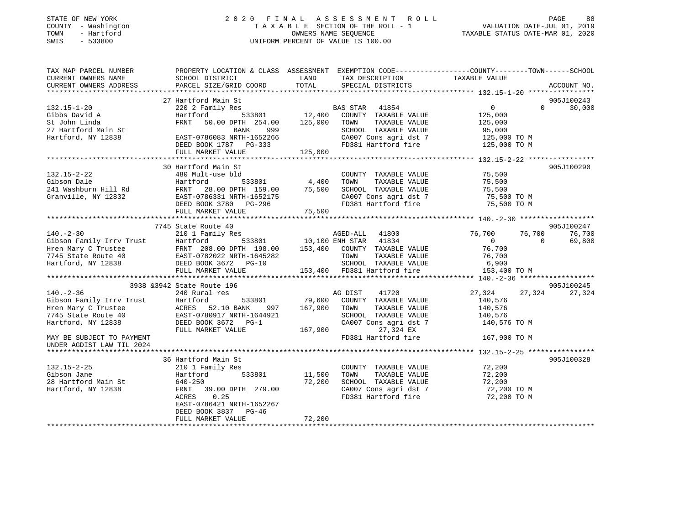#### STATE OF NEW YORK GOOD CONTRACTED A LIMIT A S S E S S M E N T R O L L CORRECTED AGE A S S M E N T R O L L COUNTY - Washington  $T A X A B L E$  SECTION OF THE ROLL - 1<br>TOWN - Hartford TOWN - Hartford **Taxable STATUS DATE-MAR 01, 2020** OWNERS NAME SEQUENCE TAXABLE STATUS DATE-MAR 01, 2020 SWIS - 533800 UNIFORM PERCENT OF VALUE IS 100.00

# VALUATION DATE-JUL 01, 2019

| TAX MAP PARCEL NUMBER<br>CURRENT OWNERS NAME<br>CURRENT OWNERS ADDRESS | PROPERTY LOCATION & CLASS ASSESSMENT<br>SCHOOL DISTRICT<br>PARCEL SIZE/GRID COORD | LAND<br>TOTAL          | TAX DESCRIPTION<br>SPECIAL DISTRICTS          | EXEMPTION CODE-----------------COUNTY-------TOWN------SCHOOL<br>TAXABLE VALUE | ACCOUNT NO. |
|------------------------------------------------------------------------|-----------------------------------------------------------------------------------|------------------------|-----------------------------------------------|-------------------------------------------------------------------------------|-------------|
|                                                                        |                                                                                   |                        |                                               |                                                                               |             |
|                                                                        | 27 Hartford Main St                                                               |                        |                                               |                                                                               | 905J100243  |
| $132.15 - 1 - 20$                                                      | 220 2 Family Res                                                                  |                        | BAS STAR 41854                                | $\overline{0}$<br>$\Omega$                                                    | 30,000      |
| Gibbs David A                                                          | 533801<br>Hartford                                                                | 12,400                 | COUNTY TAXABLE VALUE                          | 125,000                                                                       |             |
| St John Linda                                                          | 50.00 DPTH 254.00<br>FRNT                                                         | 125,000                | TOWN<br>TAXABLE VALUE                         | 125,000                                                                       |             |
| 27 Hartford Main St<br>Hartford, NY 12838                              | BANK<br>999                                                                       |                        | SCHOOL TAXABLE VALUE<br>CA007 Cons agri dst 7 | 95,000                                                                        |             |
|                                                                        | EAST-0786083 NRTH-1652266                                                         |                        | FD381 Hartford fire                           | 125,000 TO M                                                                  |             |
|                                                                        | DEED BOOK 1787 PG-333                                                             |                        |                                               | 125,000 TO M                                                                  |             |
|                                                                        | FULL MARKET VALUE                                                                 | 125,000                |                                               |                                                                               |             |
|                                                                        |                                                                                   |                        |                                               |                                                                               |             |
|                                                                        | 30 Hartford Main St                                                               |                        |                                               |                                                                               | 905J100290  |
| $132.15 - 2 - 22$                                                      | 480 Mult-use bld                                                                  | 4,400                  | COUNTY TAXABLE VALUE                          | 75,500                                                                        |             |
| Gibson Dale                                                            | Hartford<br>533801                                                                | 75,500                 | TOWN<br>TAXABLE VALUE                         | 75,500                                                                        |             |
| 241 Washburn Hill Rd                                                   | FRNT 28.00 DPTH 159.00                                                            |                        | SCHOOL TAXABLE VALUE                          | 75,500                                                                        |             |
| Granville, NY 12832                                                    | EAST-0786331 NRTH-1652175                                                         |                        | CA007 Cons agri dst 7                         | 75,500 TO M                                                                   |             |
|                                                                        | DEED BOOK 3780 PG-296                                                             |                        | FD381 Hartford fire                           | 75,500 TO M                                                                   |             |
|                                                                        | FULL MARKET VALUE                                                                 | 75,500                 |                                               |                                                                               |             |
|                                                                        |                                                                                   |                        |                                               |                                                                               |             |
|                                                                        | 7745 State Route 40                                                               |                        |                                               |                                                                               | 905J100247  |
| $140. - 2 - 30$                                                        | 210 1 Family Res                                                                  |                        | AGED-ALL 41800                                | 76,700<br>76,700                                                              | 76,700      |
| Gibson Family Irrv Trust                                               | Hartford<br>FRNT 208.00 DPTH 198.00 153,400 COUNTY TAXABLE VALUE                  | 533801 10,100 ENH STAR | 41834                                         | $\Omega$<br>$\overline{0}$<br>76,700                                          | 69,800      |
| Hren Mary C Trustee<br>7745 State Route 40                             | EAST-0782022 NRTH-1645282                                                         |                        | TOWN                                          |                                                                               |             |
| Hartford, NY 12838                                                     | DEED BOOK 3672 PG-10                                                              |                        | TAXABLE VALUE<br>SCHOOL TAXABLE VALUE         | 76,700                                                                        |             |
|                                                                        |                                                                                   |                        | 153,400 FD381 Hartford fire                   | 6,900<br>153,400 TO M                                                         |             |
|                                                                        | FULL MARKET VALUE                                                                 |                        |                                               |                                                                               |             |
|                                                                        | 3938 & 3942 State Route 196                                                       |                        |                                               |                                                                               | 905J100245  |
| $140. - 2 - 36$                                                        | 240 Rural res                                                                     |                        | AG DIST<br>41720                              | 27,324<br>27,324                                                              | 27,324      |
| Gibson Family Irrv Trust                                               | 533801                                                                            | 79,600                 |                                               | 140,576                                                                       |             |
|                                                                        | Hartford<br>ACRES 52.10 BANK<br>997                                               | 167,900                | COUNTY TAXABLE VALUE<br>TOWN<br>TAXABLE VALUE | 140,576                                                                       |             |
| Hren Mary C Trustee<br>7745 State Route 40                             | EAST-0780917 NRTH-1644921                                                         |                        | SCHOOL TAXABLE VALUE                          | 140,576                                                                       |             |
| Hartford, NY 12838                                                     | DEED BOOK 3672<br>$PG-1$                                                          |                        | CA007 Cons agri dst 7                         | 140,576 TO M                                                                  |             |
|                                                                        | FULL MARKET VALUE                                                                 | 167,900                | 27,324 EX                                     |                                                                               |             |
| MAY BE SUBJECT TO PAYMENT                                              |                                                                                   |                        | FD381 Hartford fire                           | 167,900 TO M                                                                  |             |
| UNDER AGDIST LAW TIL 2024                                              |                                                                                   |                        |                                               |                                                                               |             |
| **********************                                                 |                                                                                   |                        |                                               |                                                                               |             |
|                                                                        | 36 Hartford Main St                                                               |                        |                                               |                                                                               | 905J100328  |
| $132.15 - 2 - 25$                                                      | 210 1 Family Res                                                                  |                        | COUNTY TAXABLE VALUE                          | 72,200                                                                        |             |
| Gibson Jane                                                            | 533801<br>Hartford                                                                | 11,500                 | TOWN<br>TAXABLE VALUE                         | 72,200                                                                        |             |
| 28 Hartford Main St                                                    | 640-250                                                                           | 72,200                 | SCHOOL TAXABLE VALUE                          | 72,200                                                                        |             |
| Hartford, NY 12838                                                     | FRNT 39.00 DPTH 279.00                                                            |                        | CA007 Cons agri dst 7                         | 72,200 TO M                                                                   |             |
|                                                                        | 0.25<br>ACRES                                                                     |                        | FD381 Hartford fire                           | 72,200 TO M                                                                   |             |
|                                                                        | EAST-0786421 NRTH-1652267                                                         |                        |                                               |                                                                               |             |
|                                                                        | DEED BOOK 3837<br>$PG-46$                                                         |                        |                                               |                                                                               |             |
|                                                                        | FULL MARKET VALUE                                                                 | 72,200                 |                                               |                                                                               |             |
|                                                                        |                                                                                   |                        |                                               |                                                                               |             |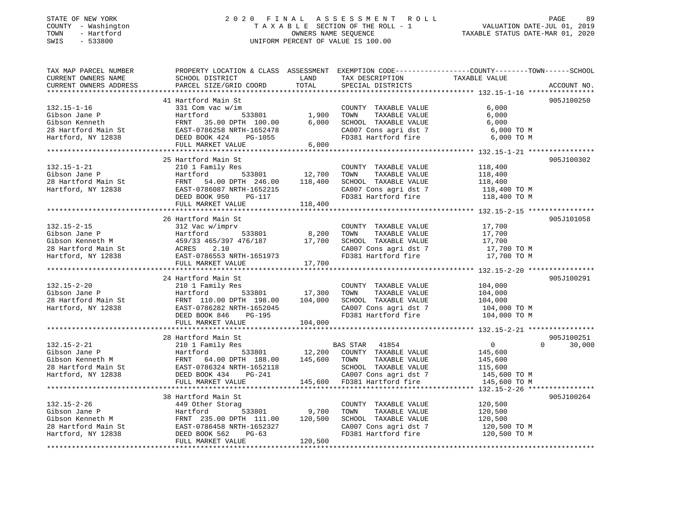#### STATE OF NEW YORK 2 0 2 0 F I N A L A S S E S S M E N T R O L L PAGE 89 COUNTY - Washington T A X A B L E SECTION OF THE ROLL - 1 VALUATION DATE-JUL 01, 2019 TOWN - Hartford OWNERS NAME SEQUENCE TAXABLE STATUS DATE-MAR 01, 2020 SWIS - 533800 UNIFORM PERCENT OF VALUE IS 100.00

| TAX MAP PARCEL NUMBER                                                                                                                                                                                                                        |                                                                                           |                 |                                    | PROPERTY LOCATION & CLASS ASSESSMENT EXEMPTION CODE----------------COUNTY-------TOWN------SCHOOL        |
|----------------------------------------------------------------------------------------------------------------------------------------------------------------------------------------------------------------------------------------------|-------------------------------------------------------------------------------------------|-----------------|------------------------------------|---------------------------------------------------------------------------------------------------------|
| CURRENT OWNERS NAME                                                                                                                                                                                                                          | SCHOOL DISTRICT                                                                           | LAND            | TAX DESCRIPTION                    | TAXABLE VALUE                                                                                           |
| CURRENT OWNERS ADDRESS                                                                                                                                                                                                                       | PARCEL SIZE/GRID COORD                                                                    | TOTAL           | SPECIAL DISTRICTS                  | ACCOUNT NO.                                                                                             |
|                                                                                                                                                                                                                                              |                                                                                           |                 |                                    |                                                                                                         |
|                                                                                                                                                                                                                                              | 41 Hartford Main St                                                                       |                 |                                    | 905J100250                                                                                              |
| $132.15 - 1 - 16$                                                                                                                                                                                                                            | 331 Com vac w/im                                                                          |                 | COUNTY TAXABLE VALUE               | 6,000                                                                                                   |
| Gibson Jane P                                                                                                                                                                                                                                | Hartford                                                                                  | $-533801$ 1,900 | TAXABLE VALUE<br>TOWN              | 6,000                                                                                                   |
| Gibson Kenneth                                                                                                                                                                                                                               | FRNT 35.00 DPTH 100.00                                                                    | 6,000           | SCHOOL TAXABLE VALUE               | 6,000                                                                                                   |
|                                                                                                                                                                                                                                              |                                                                                           |                 |                                    | CA007 Cons agri dst 7 6,000 TO M                                                                        |
|                                                                                                                                                                                                                                              | PG-1055                                                                                   |                 | FD381 Hartford fire                | 6,000 TO M                                                                                              |
|                                                                                                                                                                                                                                              | FULL MARKET VALUE                                                                         | 6,000           |                                    |                                                                                                         |
|                                                                                                                                                                                                                                              |                                                                                           |                 |                                    |                                                                                                         |
|                                                                                                                                                                                                                                              | 25 Hartford Main St                                                                       |                 |                                    | 905J100302                                                                                              |
| 132.15-1-21<br>Gibson Jane P<br>28 Hartford Main St<br>1970 NY 12838                                                                                                                                                                         | 210 1 Family Res                                                                          |                 | COUNTY TAXABLE VALUE               | 118,400                                                                                                 |
|                                                                                                                                                                                                                                              | 533801 12,700<br>Hartford                                                                 |                 | TAXABLE VALUE<br>TOWN              | 118,400                                                                                                 |
|                                                                                                                                                                                                                                              | FRNT 54.00 DPTH 246.00                                                                    | 118,400         | SCHOOL TAXABLE VALUE               | 118,400                                                                                                 |
|                                                                                                                                                                                                                                              |                                                                                           |                 |                                    |                                                                                                         |
|                                                                                                                                                                                                                                              |                                                                                           |                 |                                    | $\texttt{CA007}$ Cons agri dst 7 $\texttt{118,400}$ TO M<br>FD381 Hartford fire $\texttt{118,400}$ TO M |
|                                                                                                                                                                                                                                              | - 1.11.<br>EAST-0786087 NRTH-1652215<br>DEED BOOK 950 PG-117<br>FULL MARKET VALUE 118,400 |                 |                                    |                                                                                                         |
|                                                                                                                                                                                                                                              |                                                                                           |                 |                                    |                                                                                                         |
|                                                                                                                                                                                                                                              |                                                                                           |                 |                                    |                                                                                                         |
|                                                                                                                                                                                                                                              | 26 Hartford Main St                                                                       |                 |                                    | 905J101058                                                                                              |
| $132.15 - 2 - 15$                                                                                                                                                                                                                            | 312 Vac w/imprv                                                                           |                 | COUNTY TAXABLE VALUE               | 17,700                                                                                                  |
| Gibson Jane P<br>Gibson Kenneth M                                                                                                                                                                                                            | Hartford<br>533801                                                                        | 8,200           | TAXABLE VALUE<br>TOWN              | 17,700                                                                                                  |
|                                                                                                                                                                                                                                              |                                                                                           | 17,700          | SCHOOL TAXABLE VALUE               | 17,700                                                                                                  |
|                                                                                                                                                                                                                                              |                                                                                           |                 | CA007 Cons agri dst 7              | 17,700 TO M                                                                                             |
| Calbson Kenneth M<br>28 Hartford Main St<br>28 Hartford, NY 12838<br>2.10<br>Hartford, NY 12838<br>2.3 EAST-0786553 NRTH-1651973                                                                                                             | EAST-0786553 NRTH-1651973                                                                 |                 | FD381 Hartford fire                | 17,700 TO M                                                                                             |
|                                                                                                                                                                                                                                              | FULL MARKET VALUE                                                                         | 17,700          |                                    |                                                                                                         |
|                                                                                                                                                                                                                                              |                                                                                           |                 |                                    |                                                                                                         |
|                                                                                                                                                                                                                                              | 24 Hartford Main St                                                                       |                 |                                    | 905J100291                                                                                              |
| $132.15 - 2 - 20$                                                                                                                                                                                                                            | 210 1 Family Res                                                                          |                 | COUNTY TAXABLE VALUE               | 104,000                                                                                                 |
|                                                                                                                                                                                                                                              | 533801 17,300                                                                             |                 | TOWN<br>TAXABLE VALUE              | 104,000                                                                                                 |
|                                                                                                                                                                                                                                              |                                                                                           |                 | SCHOOL TAXABLE VALUE               | 104,000                                                                                                 |
|                                                                                                                                                                                                                                              |                                                                                           |                 | CA007 Cons agri dst 7              | 104,000 TO M<br>104,000 TO M                                                                            |
|                                                                                                                                                                                                                                              | DEED BOOK 846<br>PG-195                                                                   |                 | FD381 Hartford fire                |                                                                                                         |
|                                                                                                                                                                                                                                              | FULL MARKET VALUE                                                                         | 104,000         |                                    |                                                                                                         |
|                                                                                                                                                                                                                                              |                                                                                           |                 |                                    |                                                                                                         |
|                                                                                                                                                                                                                                              | 28 Hartford Main St                                                                       |                 |                                    | 905J100251                                                                                              |
|                                                                                                                                                                                                                                              |                                                                                           |                 | BAS STAR 41854                     | $\overline{0}$<br>$\Omega$<br>30,000                                                                    |
|                                                                                                                                                                                                                                              |                                                                                           |                 | 533801 12,200 COUNTY TAXABLE VALUE | 145,600                                                                                                 |
|                                                                                                                                                                                                                                              |                                                                                           |                 | TAXABLE VALUE<br>TOWN              | 145,600                                                                                                 |
|                                                                                                                                                                                                                                              |                                                                                           |                 | SCHOOL TAXABLE VALUE               | 115,600                                                                                                 |
|                                                                                                                                                                                                                                              |                                                                                           |                 | CA007 Cons agri dst 7              | 145,600 TO M                                                                                            |
|                                                                                                                                                                                                                                              |                                                                                           |                 | 145,600 FD381 Hartford fire        | 145,600 TO M                                                                                            |
| 132.15-2-21<br>Gibson Jane P<br>Gibson Kenneth M<br>28 Hartford Main St<br>Hartford, NY 12838<br>PEED BOOK 434<br>PG-241<br>FIILL MARKET VALUE<br>PG-241<br>PG-241<br>PG-241<br>PG-241<br>PG-241<br>PG-241<br>PG-241<br>PG-241               |                                                                                           |                 |                                    |                                                                                                         |
|                                                                                                                                                                                                                                              | 38 Hartford Main St                                                                       |                 |                                    | 905J100264                                                                                              |
| $132.15 - 2 - 26$                                                                                                                                                                                                                            | 449 Other Storag                                                                          |                 | COUNTY TAXABLE VALUE               | 120,500                                                                                                 |
|                                                                                                                                                                                                                                              | 533801 9,700                                                                              |                 | TOWN<br>TAXABLE VALUE              | 120,500                                                                                                 |
|                                                                                                                                                                                                                                              | FRNT 235.00 DPTH 111.00 120,500                                                           |                 | SCHOOL TAXABLE VALUE               | 120,500                                                                                                 |
| Gibson Jane P<br>Gibson Kenneth M<br>28 Hartford Main St<br>Hartford, NY 12838<br>ERST-0786458 NRTH-1652327<br>Hartford, NY 12838<br>DEED BOOK 562<br>PLIN NAPKET MARKET MARKET MARKET MARKET MARKET MARKET MARKET MARKET MARKET MARKET MARK |                                                                                           |                 | CA007 Cons agri dst 7              |                                                                                                         |
|                                                                                                                                                                                                                                              |                                                                                           |                 | FD381 Hartford fire                | 120,500 TO M<br>120,500 TO M                                                                            |
|                                                                                                                                                                                                                                              | FULL MARKET VALUE                                                                         | 120,500         |                                    |                                                                                                         |
|                                                                                                                                                                                                                                              |                                                                                           |                 |                                    |                                                                                                         |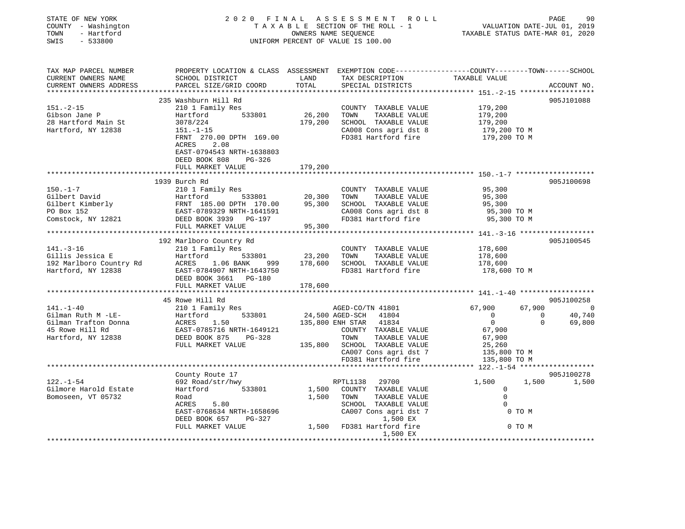| PAGE<br>90  |                | VALUATION DATE-JUL 01, 2019<br>TAXABLE STATUS DATE-MAR 01, 2020 |                                              | 2020 FINAL ASSESSMENT ROLL<br>TAXABLE SECTION OF THE ROLL - 1<br>OWNERS NAME SEQUENCE<br>UNIFORM PERCENT OF VALUE IS 100.00                                                                     |        |                                                                                                                                                                  | STATE OF NEW YORK<br>COUNTY - Washington<br>TOWN - Hartford<br>SWIS - 533800 |
|-------------|----------------|-----------------------------------------------------------------|----------------------------------------------|-------------------------------------------------------------------------------------------------------------------------------------------------------------------------------------------------|--------|------------------------------------------------------------------------------------------------------------------------------------------------------------------|------------------------------------------------------------------------------|
|             |                |                                                                 |                                              |                                                                                                                                                                                                 |        |                                                                                                                                                                  |                                                                              |
|             |                |                                                                 |                                              |                                                                                                                                                                                                 |        |                                                                                                                                                                  | TAX MAP PARCEL NUMBER                                                        |
| ACCOUNT NO. |                |                                                                 | SPECIAL DISTRICTS                            | TOTAL                                                                                                                                                                                           |        | PARCEL SIZE/GRID COORD                                                                                                                                           | CURRENT OWNERS NAME<br>CURRENT OWNERS ADDRESS                                |
|             |                |                                                                 |                                              |                                                                                                                                                                                                 |        |                                                                                                                                                                  |                                                                              |
| 905J101088  |                |                                                                 |                                              |                                                                                                                                                                                                 |        | 235 Washburn Hill Rd                                                                                                                                             |                                                                              |
|             |                | 179,200                                                         | COUNTY TAXABLE VALUE                         |                                                                                                                                                                                                 |        | 210 1 Family Res                                                                                                                                                 | $151. - 2 - 15$                                                              |
|             |                | 179,200                                                         | TAXABLE VALUE                                | 26,200 TOWN                                                                                                                                                                                     | 533801 | Hartford                                                                                                                                                         | Gibson Jane P                                                                |
|             |                | 179,200                                                         |                                              | 179,200 SCHOOL TAXABLE VALUE                                                                                                                                                                    |        | $30/8/224$<br>151.-1-15                                                                                                                                          | 28 Hartford Main St                                                          |
|             |                | 179,200 TO M                                                    |                                              | CA008 Cons agri dst 8<br>FD381 Hartford fire                                                                                                                                                    |        |                                                                                                                                                                  | Hartford, NY 12838                                                           |
|             |                | 179,200 TO M                                                    |                                              |                                                                                                                                                                                                 |        | FRNT 270.00 DPTH 169.00                                                                                                                                          |                                                                              |
|             |                |                                                                 |                                              |                                                                                                                                                                                                 |        | ACRES 2.08<br>EAST-0794543 NRTH-1638803                                                                                                                          |                                                                              |
|             |                |                                                                 |                                              |                                                                                                                                                                                                 |        | DEED BOOK 808 PG-326                                                                                                                                             |                                                                              |
|             |                |                                                                 |                                              | 179,200                                                                                                                                                                                         |        | FULL MARKET VALUE                                                                                                                                                |                                                                              |
|             |                | ******************** 150.-1-7 ********************              |                                              |                                                                                                                                                                                                 |        |                                                                                                                                                                  |                                                                              |
| 905J100698  |                |                                                                 |                                              |                                                                                                                                                                                                 |        | COUNTY TAXABLE VALUE<br>Hartford 533801 20,300 TOWN TAXABLE VALUE<br>FRNT 185.00 DPTH 170.00 95,300 SCHOOL TAXABLE VALUE<br>EAST-0789329 NRTH-1641591 CA008 Cons |                                                                              |
|             |                | 95,300                                                          |                                              |                                                                                                                                                                                                 |        |                                                                                                                                                                  | $150. - 1 - 7$                                                               |
|             |                | 95,300                                                          |                                              |                                                                                                                                                                                                 |        |                                                                                                                                                                  | Gilbert David                                                                |
|             |                | 95,300                                                          |                                              |                                                                                                                                                                                                 |        |                                                                                                                                                                  | Gilbert Kimberly<br>PO Box 152                                               |
|             |                | 95,300 TO M<br>95,300 TO M                                      | CA008 Cons agri dst 8                        |                                                                                                                                                                                                 |        |                                                                                                                                                                  | Comstock, NY 12821                                                           |
|             |                |                                                                 |                                              | 95,300                                                                                                                                                                                          |        | FULL MARKET VALUE                                                                                                                                                |                                                                              |
|             |                |                                                                 |                                              |                                                                                                                                                                                                 |        |                                                                                                                                                                  |                                                                              |
| 905J100545  |                |                                                                 |                                              |                                                                                                                                                                                                 |        | 192 Marlboro Country Rd                                                                                                                                          |                                                                              |
|             |                | 178,600                                                         | COUNTY TAXABLE VALUE                         |                                                                                                                                                                                                 |        | 210 1 Family Res                                                                                                                                                 | $141. - 3 - 16$                                                              |
|             |                | 178,600                                                         |                                              | Hartford 533801 23,200 TOWN TAXABLE VALUE<br>ACRES 1.06 BANK 999 178,600 SCHOOL TAXABLE VALUE                                                                                                   |        |                                                                                                                                                                  |                                                                              |
|             |                | 178,600                                                         |                                              |                                                                                                                                                                                                 |        |                                                                                                                                                                  | 141.-3-16<br>Gillis Jessica E<br>192 Marlboro Country Rd                     |
|             |                | 178,600 TO M                                                    | FD381 Hartford fire                          |                                                                                                                                                                                                 |        | EAST-0784907 NRTH-1643750                                                                                                                                        | Hartford, NY 12838                                                           |
|             |                |                                                                 |                                              | 178,600                                                                                                                                                                                         |        | DEED BOOK 3661 PG-180<br>FULL MARKET VALUE                                                                                                                       |                                                                              |
|             |                |                                                                 |                                              |                                                                                                                                                                                                 |        |                                                                                                                                                                  |                                                                              |
| 905J100258  |                |                                                                 |                                              |                                                                                                                                                                                                 |        | 45 Rowe Hill Rd                                                                                                                                                  |                                                                              |
| 67,900 0    |                | 67,900                                                          |                                              |                                                                                                                                                                                                 |        |                                                                                                                                                                  | $141. - 1 - 40$                                                              |
| 40,740      | $\overline{0}$ | $\overline{0}$                                                  |                                              |                                                                                                                                                                                                 |        |                                                                                                                                                                  | Gilman Ruth M -LE-                                                           |
| 69,800      | $\Omega$       | $\overline{0}$                                                  |                                              |                                                                                                                                                                                                 |        |                                                                                                                                                                  | Gilman Trafton Donna                                                         |
|             |                | 67,900                                                          |                                              | Rowe Hill Ra<br>210 1 Family Res<br>Hartford 533801 24,500 AGED-SCH 41804<br>25,800 ENH STAR 41834<br>25,800 ENH STAR 41834<br>COUNTY TAXABLE<br>COUNTY TAXABLE VALUE<br>TOWN     TAXABLE VALUE |        |                                                                                                                                                                  | 45 Rowe Hill Rd                                                              |
|             |                | 67,900                                                          | TAXABLE VALUE                                | TOWN                                                                                                                                                                                            |        | DEED BOOK 875 PG-328                                                                                                                                             | Hartford, NY 12838                                                           |
|             |                | 25,260                                                          |                                              | 135,800 SCHOOL TAXABLE VALUE                                                                                                                                                                    |        | FULL MARKET VALUE                                                                                                                                                |                                                                              |
|             |                | 135,800 TO M                                                    | CA007 Cons agri dst 7<br>FD381 Hartford fire |                                                                                                                                                                                                 |        |                                                                                                                                                                  |                                                                              |
|             |                |                                                                 |                                              |                                                                                                                                                                                                 |        |                                                                                                                                                                  |                                                                              |
|             |                | 135,800 TO M                                                    |                                              |                                                                                                                                                                                                 |        |                                                                                                                                                                  |                                                                              |
| 905J100278  |                |                                                                 |                                              |                                                                                                                                                                                                 |        |                                                                                                                                                                  |                                                                              |
|             | 1,500          | 1,500                                                           |                                              | RPTL1138 29700                                                                                                                                                                                  |        | County Route 17<br>692 Road/str/hwy                                                                                                                              |                                                                              |
|             |                | $\circ$                                                         |                                              | 1,500 COUNTY TAXABLE VALUE                                                                                                                                                                      | 533801 | Hartford                                                                                                                                                         |                                                                              |
|             |                | $\Omega$                                                        | TAXABLE VALUE                                | 1,500 TOWN                                                                                                                                                                                      |        | Road                                                                                                                                                             |                                                                              |
|             |                | $\Omega$                                                        | SCHOOL TAXABLE VALUE                         |                                                                                                                                                                                                 |        | ACRES 5.80                                                                                                                                                       |                                                                              |
| 1,500       | 0 TO M         |                                                                 | CA007 Cons agri dst 7                        |                                                                                                                                                                                                 |        | EAST-0768634 NRTH-1658696                                                                                                                                        | $122. - 1 - 54$<br>Gilmore Harold Estate<br>Bomoseen, VT 05732               |
|             | 0 TO M         |                                                                 | 1,500 EX                                     | 1,500 FD381 Hartford fire                                                                                                                                                                       |        | DEED BOOK 657 PG-327<br>FULL MARKET VALUE                                                                                                                        |                                                                              |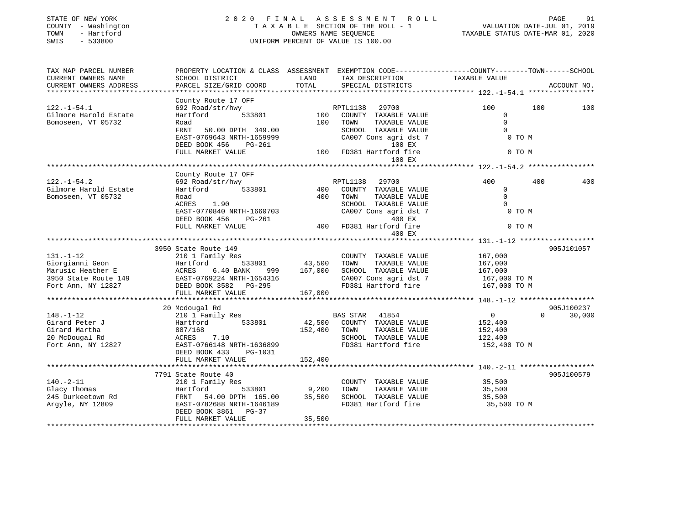| STATE OF NEW YORK<br>COUNTY - Washington<br>TOWN<br>- Hartford<br>SWIS<br>$-533800$ |                                                                                                |               | 2020 FINAL ASSESSMENT<br>R O L L<br>TAXABLE SECTION OF THE ROLL - 1<br>OWNERS NAME SEQUENCE<br>UNIFORM PERCENT OF VALUE IS 100.00 |                         | PAGE<br>91<br>VALUATION DATE-JUL 01, 2019<br>TAXABLE STATUS DATE-MAR 01, 2020 |
|-------------------------------------------------------------------------------------|------------------------------------------------------------------------------------------------|---------------|-----------------------------------------------------------------------------------------------------------------------------------|-------------------------|-------------------------------------------------------------------------------|
| TAX MAP PARCEL NUMBER                                                               | PROPERTY LOCATION & CLASS ASSESSMENT EXEMPTION CODE---------------COUNTY-------TOWN-----SCHOOL |               |                                                                                                                                   |                         |                                                                               |
| CURRENT OWNERS NAME<br>CURRENT OWNERS ADDRESS<br>******************                 | SCHOOL DISTRICT<br>PARCEL SIZE/GRID COORD                                                      | LAND<br>TOTAL | TAX DESCRIPTION TAXABLE VALUE<br>SPECIAL DISTRICTS                                                                                |                         | ACCOUNT NO.                                                                   |
|                                                                                     |                                                                                                |               |                                                                                                                                   |                         |                                                                               |
| $122. - 1 - 54.1$                                                                   | County Route 17 OFF<br>692 Road/str/hwy                                                        |               | 29700<br>RPTL1138                                                                                                                 | 100                     | 100<br>100                                                                    |
| Gilmore Harold Estate                                                               | Hartford<br>533801                                                                             | 100           | COUNTY TAXABLE VALUE                                                                                                              | $\mathbf{0}$            |                                                                               |
| Bomoseen, VT 05732                                                                  | Road                                                                                           | 100           | TOWN<br>TAXABLE VALUE                                                                                                             | $\mathbf{0}$            |                                                                               |
|                                                                                     | FRNT<br>50.00 DPTH 349.00                                                                      |               | SCHOOL TAXABLE VALUE                                                                                                              | $\Omega$                |                                                                               |
|                                                                                     | EAST-0769643 NRTH-1659999                                                                      |               | CA007 Cons agri dst 7                                                                                                             | 0 TO M                  |                                                                               |
|                                                                                     | DEED BOOK 456<br>PG-261                                                                        |               | 100 EX                                                                                                                            |                         |                                                                               |
|                                                                                     | FULL MARKET VALUE                                                                              |               | 100 FD381 Hartford fire                                                                                                           | 0 TO M                  |                                                                               |
|                                                                                     |                                                                                                |               | 100 EX                                                                                                                            |                         |                                                                               |
|                                                                                     |                                                                                                |               |                                                                                                                                   |                         |                                                                               |
|                                                                                     | County Route 17 OFF                                                                            |               |                                                                                                                                   | 400                     | 400<br>400                                                                    |
| $122. - 1 - 54.2$<br>Gilmore Harold Estate                                          | 692 Road/str/hwy<br>Hartford<br>533801                                                         |               | RPTL1138<br>29700<br>400 COUNTY TAXABLE VALUE                                                                                     | $\Omega$                |                                                                               |
| Bomoseen, VT 05732                                                                  | Road                                                                                           | 400           | TOWN<br>TAXABLE VALUE                                                                                                             | $\mathbf{0}$            |                                                                               |
|                                                                                     | ACRES 1.90                                                                                     |               | SCHOOL TAXABLE VALUE                                                                                                              |                         |                                                                               |
|                                                                                     | EAST-0770840 NRTH-1660703                                                                      |               | CA007 Cons agri dst 7                                                                                                             | 0 TO M                  |                                                                               |
|                                                                                     | DEED BOOK 456<br>PG-261                                                                        |               | 400 EX                                                                                                                            |                         |                                                                               |
|                                                                                     | FULL MARKET VALUE                                                                              | 400           | FD381 Hartford fire                                                                                                               | 0 TO M                  |                                                                               |
|                                                                                     |                                                                                                |               | 400 EX                                                                                                                            |                         |                                                                               |
|                                                                                     |                                                                                                |               |                                                                                                                                   |                         |                                                                               |
|                                                                                     | 3950 State Route 149                                                                           |               |                                                                                                                                   |                         | 905J101057                                                                    |
| $131. - 1 - 12$                                                                     | 210 1 Family Res                                                                               |               | COUNTY TAXABLE VALUE                                                                                                              | 167,000                 |                                                                               |
| Giorgianni Geon                                                                     | 533801<br>Hartford                                                                             | 43,500        | TAXABLE VALUE<br>TOWN                                                                                                             | 167,000                 |                                                                               |
| Marusic Heather E                                                                   | <b>ACRES</b><br>6.40 BANK<br>999<br>EAST-0769224 NRTH-1654316                                  | 167,000       | SCHOOL TAXABLE VALUE<br>CA007 Cons agri dst 7                                                                                     | 167,000<br>167,000 TO M |                                                                               |
| 3950 State Route 149<br>Time Non NV 12827<br>Fort Ann, NY 12827                     | DEED BOOK 3582 PG-295                                                                          |               | FD381 Hartford fire                                                                                                               | 167,000 TO M            |                                                                               |
|                                                                                     | FULL MARKET VALUE                                                                              | 167,000       |                                                                                                                                   |                         |                                                                               |
|                                                                                     |                                                                                                |               |                                                                                                                                   |                         |                                                                               |
|                                                                                     | 20 Mcdougal Rd                                                                                 |               |                                                                                                                                   |                         | 905J100237                                                                    |
| $148. - 1 - 12$                                                                     | 210 1 Family Res                                                                               |               | BAS STAR 41854                                                                                                                    | 0                       | $\Omega$<br>30,000                                                            |
| Girard Peter J                                                                      | Hartford 533801                                                                                |               | 42,500 COUNTY TAXABLE VALUE                                                                                                       | 152,400                 |                                                                               |
| Girard Martha                                                                       | 887/168                                                                                        | 152,400       | TOWN<br>TAXABLE VALUE                                                                                                             | 152,400                 |                                                                               |
| 20 McDougal Rd                                                                      | ACRES<br>7.10                                                                                  |               | SCHOOL TAXABLE VALUE                                                                                                              | 122,400                 |                                                                               |
| Fort Ann, NY 12827                                                                  | EAST-0766148 NRTH-1636899                                                                      |               | FD381 Hartford fire                                                                                                               | 152,400 TO M            |                                                                               |
|                                                                                     | DEED BOOK 433<br>PG-1031                                                                       |               |                                                                                                                                   |                         |                                                                               |
|                                                                                     | FULL MARKET VALUE                                                                              | 152,400       |                                                                                                                                   |                         |                                                                               |
|                                                                                     | 7791 State Route 40                                                                            |               |                                                                                                                                   |                         | 905J100579                                                                    |
| $140. - 2 - 11$                                                                     | 210 1 Family Res                                                                               |               | COUNTY TAXABLE VALUE                                                                                                              | 35,500                  |                                                                               |
| Glacy Thomas                                                                        | Hartford<br>533801                                                                             | 9,200         | TOWN<br>TAXABLE VALUE                                                                                                             | 35,500                  |                                                                               |
| 245 Durkeetown Rd                                                                   | FRNT 54.00 DPTH 165.00                                                                         | 35,500        | SCHOOL TAXABLE VALUE                                                                                                              | 35,500                  |                                                                               |
| Argyle, NY 12809                                                                    | EAST-0782688 NRTH-1646189                                                                      |               | FD381 Hartford fire                                                                                                               | 35,500 TO M             |                                                                               |
|                                                                                     | DEED BOOK 3861<br>PG-37                                                                        |               |                                                                                                                                   |                         |                                                                               |
|                                                                                     | FULL MARKET VALUE                                                                              | 35,500        |                                                                                                                                   |                         |                                                                               |
|                                                                                     |                                                                                                |               |                                                                                                                                   |                         |                                                                               |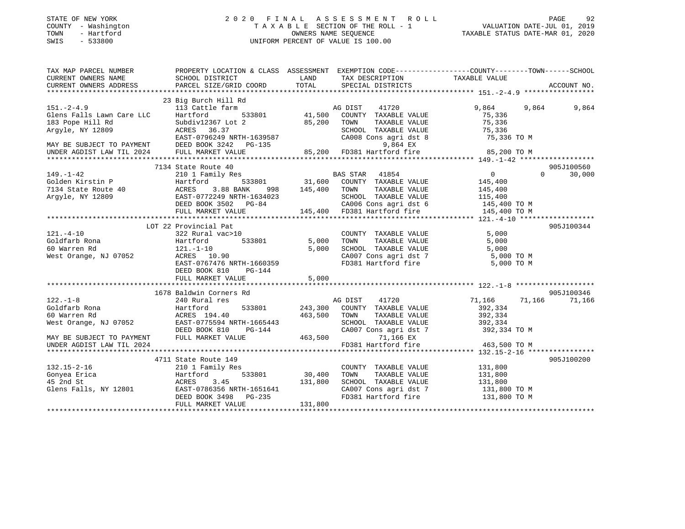| STATE OF NEW YORK<br>COUNTY - Washington<br>TOWN<br>- Hartford<br>SWIS<br>$-533800$                                                                                                                                                                                                                                                                                                                                                                                                                           |                                            |                                                                                         | $\begin{tabular}{ccccc} 2 & 0 & 2 & 0 & F\;I\; \;N\; A\;L\; & A\;S\;S\;E\;S\;S\;M\;E\;N\;T\; & R\;O\;L\;L\; & & & \textrm{PAGE} & 92\\ \texttt{T}\;A\;X\;A\;B\;L\;E\;SECTION\;OF\;THE\;ROLL-1 & & & \textrm{VALUATION\;DATE-JUL\;01,\;2019}\\ \texttt{OWNERS\;NAME\;SEQUENCE} & & & \textrm{TAXABLE\;STATUS\;DATE-MAR\;01,\;2020}\\ \texttt{UNIFORM$ |                      |                    |
|---------------------------------------------------------------------------------------------------------------------------------------------------------------------------------------------------------------------------------------------------------------------------------------------------------------------------------------------------------------------------------------------------------------------------------------------------------------------------------------------------------------|--------------------------------------------|-----------------------------------------------------------------------------------------|------------------------------------------------------------------------------------------------------------------------------------------------------------------------------------------------------------------------------------------------------------------------------------------------------------------------------------------------------|----------------------|--------------------|
|                                                                                                                                                                                                                                                                                                                                                                                                                                                                                                               |                                            |                                                                                         |                                                                                                                                                                                                                                                                                                                                                      |                      |                    |
| TAX MAP PARCEL NUMBER PROPERTY LOCATION & CLASS ASSESSMENT EXEMPTION CODE----------------COUNTY--------TOWN------SCHOOL                                                                                                                                                                                                                                                                                                                                                                                       |                                            |                                                                                         |                                                                                                                                                                                                                                                                                                                                                      |                      |                    |
| CURRENT OWNERS NAME                                                                                                                                                                                                                                                                                                                                                                                                                                                                                           | SCHOOL DISTRICT                            | <b>EXAMPLE THE STATE OF STATE OF STATE OF STATE OF STATE OF STATE OF STATE OF STATE</b> | TAX DESCRIPTION TAXABLE VALUE<br>SPECIAL DISTRICTS                                                                                                                                                                                                                                                                                                   |                      |                    |
| CURRENT OWNERS ADDRESS                                                                                                                                                                                                                                                                                                                                                                                                                                                                                        | PARCEL SIZE/GRID COORD                     | TOTAL                                                                                   |                                                                                                                                                                                                                                                                                                                                                      |                      | ACCOUNT NO.        |
|                                                                                                                                                                                                                                                                                                                                                                                                                                                                                                               |                                            |                                                                                         |                                                                                                                                                                                                                                                                                                                                                      |                      |                    |
|                                                                                                                                                                                                                                                                                                                                                                                                                                                                                                               |                                            |                                                                                         |                                                                                                                                                                                                                                                                                                                                                      |                      |                    |
|                                                                                                                                                                                                                                                                                                                                                                                                                                                                                                               |                                            |                                                                                         |                                                                                                                                                                                                                                                                                                                                                      |                      |                    |
|                                                                                                                                                                                                                                                                                                                                                                                                                                                                                                               |                                            |                                                                                         |                                                                                                                                                                                                                                                                                                                                                      |                      |                    |
|                                                                                                                                                                                                                                                                                                                                                                                                                                                                                                               |                                            |                                                                                         |                                                                                                                                                                                                                                                                                                                                                      |                      |                    |
|                                                                                                                                                                                                                                                                                                                                                                                                                                                                                                               |                                            |                                                                                         |                                                                                                                                                                                                                                                                                                                                                      |                      |                    |
|                                                                                                                                                                                                                                                                                                                                                                                                                                                                                                               |                                            |                                                                                         |                                                                                                                                                                                                                                                                                                                                                      |                      |                    |
|                                                                                                                                                                                                                                                                                                                                                                                                                                                                                                               |                                            |                                                                                         |                                                                                                                                                                                                                                                                                                                                                      |                      |                    |
|                                                                                                                                                                                                                                                                                                                                                                                                                                                                                                               |                                            |                                                                                         |                                                                                                                                                                                                                                                                                                                                                      |                      |                    |
|                                                                                                                                                                                                                                                                                                                                                                                                                                                                                                               | 7134 State Route 40                        |                                                                                         |                                                                                                                                                                                                                                                                                                                                                      |                      | 905J100560         |
|                                                                                                                                                                                                                                                                                                                                                                                                                                                                                                               |                                            |                                                                                         |                                                                                                                                                                                                                                                                                                                                                      |                      | $\Omega$<br>30,000 |
|                                                                                                                                                                                                                                                                                                                                                                                                                                                                                                               |                                            |                                                                                         |                                                                                                                                                                                                                                                                                                                                                      |                      |                    |
|                                                                                                                                                                                                                                                                                                                                                                                                                                                                                                               |                                            |                                                                                         |                                                                                                                                                                                                                                                                                                                                                      |                      |                    |
|                                                                                                                                                                                                                                                                                                                                                                                                                                                                                                               |                                            |                                                                                         |                                                                                                                                                                                                                                                                                                                                                      |                      |                    |
|                                                                                                                                                                                                                                                                                                                                                                                                                                                                                                               |                                            |                                                                                         |                                                                                                                                                                                                                                                                                                                                                      |                      |                    |
| $\begin{tabular}{lllllllllllllllllll} \multicolumn{3}{c}{\begin{tabular}{l} \multicolumn{3}{c}{\begin{tabular}{l} \multicolumn{3}{c}{\begin{tabular}{l} \multicolumn{3}{c}{\begin{tabular}{l} \multicolumn{3}{c}{\begin{tabular}{l} \multicolumn{3}{c}{\begin{tabular}{l} \multicolumn{3}{c}{\begin{tabular}{l} \multicolumn{3}{c}{\begin{tabular}{l} \multicolumn{3}{c}{\begin{tabular}{l} \multicolumn{3}{c}{\begin{tabular}{l} \multicolumn{3}{c}{\begin{tabular}{l} \multicolumn{3}{c}{\begin{tabular}{l$ |                                            |                                                                                         |                                                                                                                                                                                                                                                                                                                                                      |                      |                    |
|                                                                                                                                                                                                                                                                                                                                                                                                                                                                                                               |                                            |                                                                                         |                                                                                                                                                                                                                                                                                                                                                      |                      |                    |
|                                                                                                                                                                                                                                                                                                                                                                                                                                                                                                               | LOT 22 Provincial Pat                      |                                                                                         |                                                                                                                                                                                                                                                                                                                                                      |                      | 905J100344         |
|                                                                                                                                                                                                                                                                                                                                                                                                                                                                                                               |                                            |                                                                                         |                                                                                                                                                                                                                                                                                                                                                      |                      |                    |
|                                                                                                                                                                                                                                                                                                                                                                                                                                                                                                               |                                            |                                                                                         |                                                                                                                                                                                                                                                                                                                                                      |                      |                    |
|                                                                                                                                                                                                                                                                                                                                                                                                                                                                                                               |                                            |                                                                                         |                                                                                                                                                                                                                                                                                                                                                      |                      |                    |
|                                                                                                                                                                                                                                                                                                                                                                                                                                                                                                               |                                            |                                                                                         |                                                                                                                                                                                                                                                                                                                                                      |                      |                    |
| 121.-4-10<br>COUNTY TAXABLE VALUE<br>Goldfarb Rona<br>60 Warren Rd<br>Mest Orange, NJ 07052<br>EXERS 10.90<br>EXERS 10.90<br>EXERS 10.90<br>EXERS 10.90<br>EXERS 10.90<br>EXERS 10.90<br>EXERS 10.90<br>EXERS 10.90<br>CA007 Cons agri dst 7<br>FD381 Hart                                                                                                                                                                                                                                                    |                                            |                                                                                         |                                                                                                                                                                                                                                                                                                                                                      |                      |                    |
|                                                                                                                                                                                                                                                                                                                                                                                                                                                                                                               | DEED BOOK 810 PG-144                       |                                                                                         |                                                                                                                                                                                                                                                                                                                                                      |                      |                    |
|                                                                                                                                                                                                                                                                                                                                                                                                                                                                                                               | FULL MARKET VALUE                          | 5,000                                                                                   |                                                                                                                                                                                                                                                                                                                                                      |                      |                    |
|                                                                                                                                                                                                                                                                                                                                                                                                                                                                                                               |                                            |                                                                                         |                                                                                                                                                                                                                                                                                                                                                      |                      |                    |
|                                                                                                                                                                                                                                                                                                                                                                                                                                                                                                               | 1678 Baldwin Corners Rd                    |                                                                                         |                                                                                                                                                                                                                                                                                                                                                      |                      | 905J100346         |
|                                                                                                                                                                                                                                                                                                                                                                                                                                                                                                               |                                            |                                                                                         |                                                                                                                                                                                                                                                                                                                                                      | 71,166 71,166 71,166 |                    |
|                                                                                                                                                                                                                                                                                                                                                                                                                                                                                                               |                                            |                                                                                         |                                                                                                                                                                                                                                                                                                                                                      | 392,334              |                    |
|                                                                                                                                                                                                                                                                                                                                                                                                                                                                                                               |                                            |                                                                                         |                                                                                                                                                                                                                                                                                                                                                      | 392,334              |                    |
|                                                                                                                                                                                                                                                                                                                                                                                                                                                                                                               |                                            |                                                                                         | SCHOOL TAXABLE VALUE 392,334                                                                                                                                                                                                                                                                                                                         |                      |                    |
|                                                                                                                                                                                                                                                                                                                                                                                                                                                                                                               |                                            |                                                                                         |                                                                                                                                                                                                                                                                                                                                                      | 392,334 TO M         |                    |
|                                                                                                                                                                                                                                                                                                                                                                                                                                                                                                               |                                            |                                                                                         | CA007 Cons agri dst 7<br>71,166 EX<br>FD381 Hartford fire                                                                                                                                                                                                                                                                                            |                      |                    |
| UNDER AGDIST LAW TIL 2024                                                                                                                                                                                                                                                                                                                                                                                                                                                                                     |                                            |                                                                                         |                                                                                                                                                                                                                                                                                                                                                      | 463,500 TO M         |                    |
|                                                                                                                                                                                                                                                                                                                                                                                                                                                                                                               | 4711 State Route 149                       |                                                                                         |                                                                                                                                                                                                                                                                                                                                                      |                      | 905J100200         |
|                                                                                                                                                                                                                                                                                                                                                                                                                                                                                                               |                                            |                                                                                         |                                                                                                                                                                                                                                                                                                                                                      |                      |                    |
|                                                                                                                                                                                                                                                                                                                                                                                                                                                                                                               | 210 1 Family Res<br>Hartford 533801 30,400 |                                                                                         | COUNTY TAXABLE VALUE 131,800<br>TOWN TAXABLE VALUE 131,800                                                                                                                                                                                                                                                                                           |                      |                    |
| 132.15-2-16<br>Gonyea Erica<br>15.004.01                                                                                                                                                                                                                                                                                                                                                                                                                                                                      | ACRES 3.45                                 | 131,800                                                                                 | SCHOOL TAXABLE VALUE                                                                                                                                                                                                                                                                                                                                 | 131,800              |                    |

Glens Falls, NY 12801 EAST-0786356 NRTH-1651641 CA007 Cons agri dst 7 131,800 TO M<br>DEED BOOK 3498 PG-235 FD381 Hartford fire 131,800 TO M

\*\*\*\*\*\*\*\*\*\*\*\*\*\*\*\*\*\*\*\*\*\*\*\*\*\*\*\*\*\*\*\*\*\*\*\*\*\*\*\*\*\*\*\*\*\*\*\*\*\*\*\*\*\*\*\*\*\*\*\*\*\*\*\*\*\*\*\*\*\*\*\*\*\*\*\*\*\*\*\*\*\*\*\*\*\*\*\*\*\*\*\*\*\*\*\*\*\*\*\*\*\*\*\*\*\*\*\*\*\*\*\*\*\*\*\*\*\*\*\*\*\*\*\*\*\*\*\*\*\*\*\*

DEED BOOK 3498 PG-235<br>FULL MARKET VALUE 131,800

FULL MARKET VALUE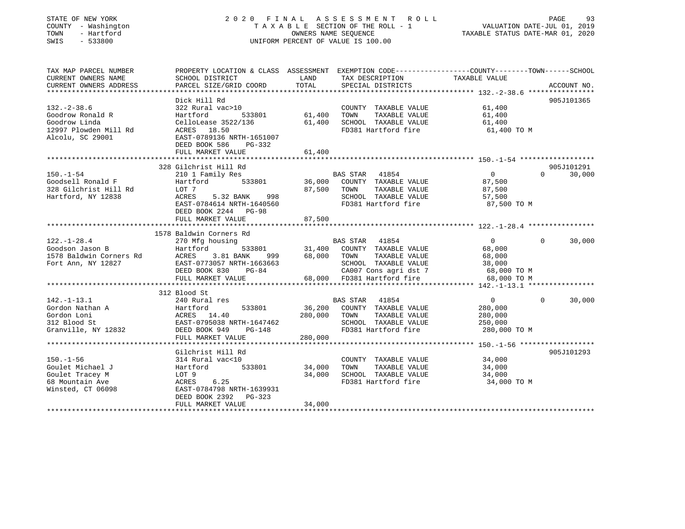#### STATE OF NEW YORK 2 0 2 0 F I N A L A S S E S S M E N T R O L L PAGE 93 COUNTY - Washington T A X A B L E SECTION OF THE ROLL - 1 VALUATION DATE-JUL 01, 2019 TOWN - Hartford OWNERS NAME SEQUENCE TAXABLE STATUS DATE-MAR 01, 2020 SWIS - 533800 UNIFORM PERCENT OF VALUE IS 100.00

| TAX MAP PARCEL NUMBER<br>CURRENT OWNERS NAME<br>CURRENT OWNERS ADDRESS                                   | SCHOOL DISTRICT<br>PARCEL SIZE/GRID COORD                                                                                                                     | LAND<br>TOTAL                     | TAX DESCRIPTION TAXABLE VALUE<br>SPECIAL DISTRICTS                                                                                             | PROPERTY LOCATION & CLASS ASSESSMENT EXEMPTION CODE----------------COUNTY-------TOWN------SCHOOL | ACCOUNT NO.          |
|----------------------------------------------------------------------------------------------------------|---------------------------------------------------------------------------------------------------------------------------------------------------------------|-----------------------------------|------------------------------------------------------------------------------------------------------------------------------------------------|--------------------------------------------------------------------------------------------------|----------------------|
| $132 - 2 - 38.6$<br>Goodrow Ronald R<br>Goodrow Linda<br>12997 Plowden Mill Rd<br>Alcolu, SC 29001       | Dick Hill Rd<br>322 Rural vac>10<br>Hartford<br>533801<br>CelloLease 3522/136<br>ACRES 18.50<br>EAST-0789136 NRTH-1651007                                     | 61,400<br>61,400                  | COUNTY TAXABLE VALUE<br>TOWN<br>TAXABLE VALUE<br>SCHOOL TAXABLE VALUE<br>FD381 Hartford fire                                                   | 61,400<br>61,400<br>61,400<br>61,400 TO M                                                        | 905J101365           |
|                                                                                                          | DEED BOOK 586<br>PG-332                                                                                                                                       |                                   |                                                                                                                                                |                                                                                                  |                      |
|                                                                                                          |                                                                                                                                                               |                                   |                                                                                                                                                |                                                                                                  |                      |
| $150. - 1 - 54$<br>Goodsell Ronald F<br>328 Gilchrist Hill Rd<br>Hartford, NY 12838                      | 328 Gilchrist Hill Rd<br>210 1 Family Res<br>Hartford<br>LOT 7<br>5.32 BANK<br>ACRES<br>EAST-0784614 NRTH-1640560<br>DEED BOOK 2244 PG-98                     | 533801 36,000<br>87,500<br>998 80 | BAS STAR 41854<br>COUNTY TAXABLE VALUE<br>TAXABLE VALUE<br>TOWN<br>SCHOOL TAXABLE VALUE 57,500<br>FD381 Hartford fire                          | $\overline{0}$<br>$\Omega$<br>87,500<br>87,500<br>87,500 TO M                                    | 905J101291<br>30,000 |
|                                                                                                          | FULL MARKET VALUE                                                                                                                                             | 87,500                            |                                                                                                                                                |                                                                                                  |                      |
|                                                                                                          |                                                                                                                                                               |                                   |                                                                                                                                                |                                                                                                  |                      |
|                                                                                                          | 1578 Baldwin Corners Rd                                                                                                                                       |                                   |                                                                                                                                                |                                                                                                  |                      |
| $122. - 1 - 28.4$<br>270 Mtg h<br>Hartford<br>Goodson Jason B                                            | 270 Mfg housing<br>999<br>DEED BOOK 830<br>PG-84<br>FULL MARKET VALUE                                                                                         | 533801 31,400<br>68,000           | BAS STAR 41854<br>COUNTY TAXABLE VALUE<br>TAXABLE VALUE<br>TOWN<br>SCHOOL TAXABLE VALUE<br>CA007 Cons agri dst 7<br>68,000 FD381 Hartford fire | $\overline{0}$<br>$\Omega$<br>68,000<br>68,000<br>38,000<br>68,000 TO M<br>68,000 TO M           | 30,000               |
|                                                                                                          |                                                                                                                                                               |                                   |                                                                                                                                                |                                                                                                  |                      |
| $142. - 1 - 13.1$<br>Gordon Nathan A<br>Gordon Loni<br>312 Blood St<br>Granville, NY 12832 DEED BOOK 949 | 312 Blood St<br>240 Rural res<br>533801<br>Hartford<br>ACRES 14.40<br>EAST-0795038 NRTH-1647462<br>PG-148<br>FULL MARKET VALUE                                | 36,200<br>280,000<br>280,000      | BAS STAR 41854<br>COUNTY TAXABLE VALUE<br>TOWN<br>TAXABLE VALUE<br>SCHOOL TAXABLE VALUE<br>FD381 Hartford fire                                 | $\overline{0}$<br>$\Omega$<br>280,000<br>280,000<br>250,000<br>280,000 TO M                      | 30,000               |
|                                                                                                          |                                                                                                                                                               |                                   |                                                                                                                                                |                                                                                                  |                      |
| $150. - 1 - 56$<br>Goulet Michael J<br>Goulet Tracey M<br>68 Mountain Ave<br>Winsted, CT 06098           | Gilchrist Hill Rd<br>314 Rural vac<10<br>Hartford<br>533801<br>LOT 9<br>ACRES 6.25<br>EAST-0784798 NRTH-1639931<br>DEED BOOK 2392 PG-323<br>FULL MARKET VALUE | 34,000<br>34,000<br>34,000        | COUNTY TAXABLE VALUE<br>TOWN<br>TAXABLE VALUE<br>SCHOOL TAXABLE VALUE<br>FD381 Hartford fire                                                   | 34,000<br>34,000<br>34,000<br>34,000 TO M                                                        | 905J101293           |
|                                                                                                          |                                                                                                                                                               |                                   |                                                                                                                                                |                                                                                                  |                      |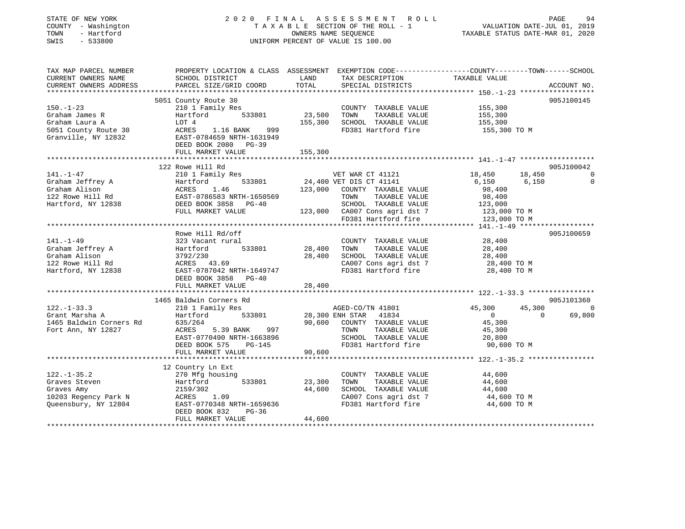| COUNTY - Washington<br>TOWN<br>- Hartford<br>SWIS<br>$-533800$  |                                                                                                                     |         | 2020 FINAL ASSESSMENT ROLL<br>TAXABLE SECTION OF THE ROLL - 1<br>OWNERS NAME SEQUENCE<br>UNIFORM PERCENT OF VALUE IS 100.00 | VALUATION DATE-JUL 01, 2019<br>TAXABLE STATUS DATE-MAR 01, 2020 | PAGE           | 94             |
|-----------------------------------------------------------------|---------------------------------------------------------------------------------------------------------------------|---------|-----------------------------------------------------------------------------------------------------------------------------|-----------------------------------------------------------------|----------------|----------------|
| TAX MAP PARCEL NUMBER<br>CURRENT OWNERS NAME                    | PROPERTY LOCATION & CLASS ASSESSMENT EXEMPTION CODE----------------COUNTY-------TOWN------SCHOOL<br>SCHOOL DISTRICT | LAND    | TAX DESCRIPTION                                                                                                             | TAXABLE VALUE                                                   |                |                |
| CURRENT OWNERS ADDRESS                                          | PARCEL SIZE/GRID COORD                                                                                              | TOTAL   | SPECIAL DISTRICTS                                                                                                           |                                                                 |                | ACCOUNT NO.    |
|                                                                 |                                                                                                                     |         |                                                                                                                             |                                                                 |                |                |
|                                                                 | 5051 County Route 30                                                                                                |         |                                                                                                                             |                                                                 |                | 905J100145     |
| $150. - 1 - 23$                                                 | 210 1 Family Res                                                                                                    |         | COUNTY TAXABLE VALUE                                                                                                        | 155,300                                                         |                |                |
| Graham James R                                                  | 533801<br>Hartford                                                                                                  | 23,500  | TAXABLE VALUE<br>TOWN                                                                                                       | 155,300                                                         |                |                |
| Graham Laura A                                                  | LOT 4                                                                                                               |         | 155,300 SCHOOL TAXABLE VALUE                                                                                                | 155,300                                                         |                |                |
| 5051 County Route 30<br>Granville, NY 12832                     | ACRES 1.16 BANK<br>999<br>EAST-0784659 NRTH-1631949<br>DEED BOOK 2080 PG-39                                         |         | FD381 Hartford fire                                                                                                         | 155,300 TO M                                                    |                |                |
|                                                                 | FULL MARKET VALUE                                                                                                   | 155,300 |                                                                                                                             |                                                                 |                |                |
|                                                                 |                                                                                                                     |         |                                                                                                                             |                                                                 |                |                |
|                                                                 | 122 Rowe Hill Rd                                                                                                    |         |                                                                                                                             |                                                                 |                | 905J100042     |
| $141. - 1 - 47$                                                 | 210 1 Family Res                                                                                                    |         | VET WAR CT 41121                                                                                                            | 18,450                                                          | 18,450         | $\overline{0}$ |
| Graham Jeffrey A                                                |                                                                                                                     |         | 533801 24,400 VET DIS CT 41141                                                                                              | 6,150                                                           | 6,150          | $\Omega$       |
| Graham Alison<br>122 Rowe Hill Rd                               | EAST-0786583 NRTH-1650569                                                                                           |         | 123,000 COUNTY TAXABLE VALUE<br>TAXABLE VALUE                                                                               | 98,400<br>98,400                                                |                |                |
| Hartford, NY 12838                                              | DEED BOOK 3858 PG-40                                                                                                |         | TOWN<br>SCHOOL TAXABLE VALUE                                                                                                | 123,000                                                         |                |                |
|                                                                 | FULL MARKET VALUE                                                                                                   |         | 123,000 CA007 Cons agri dst 7                                                                                               | 123,000 TO M                                                    |                |                |
|                                                                 |                                                                                                                     |         | FD381 Hartford fire                                                                                                         | 123,000 TO M                                                    |                |                |
|                                                                 |                                                                                                                     |         |                                                                                                                             |                                                                 |                |                |
|                                                                 | Rowe Hill Rd/off                                                                                                    |         |                                                                                                                             |                                                                 |                | 905J100659     |
| $141. - 1 - 49$                                                 | 323 Vacant rural                                                                                                    |         | COUNTY TAXABLE VALUE                                                                                                        | 28,400                                                          |                |                |
| Graham Jeffrey A                                                | 533801<br>Hartford                                                                                                  | 28,400  | TOWN<br>TAXABLE VALUE                                                                                                       | 28,400                                                          |                |                |
|                                                                 |                                                                                                                     |         |                                                                                                                             | 28,400                                                          |                |                |
| Graham Alison                                                   | 3792/230                                                                                                            |         | 28,400 SCHOOL TAXABLE VALUE                                                                                                 |                                                                 |                |                |
| 122 Rowe Hill Rd                                                | ACRES 43.69                                                                                                         |         | CA007 Cons agri dst 7                                                                                                       | 28,400 TO M                                                     |                |                |
| Hartford, NY 12838                                              | EAST-0787042 NRTH-1649747                                                                                           |         | FD381 Hartford fire                                                                                                         | 28,400 TO M                                                     |                |                |
|                                                                 | DEED BOOK 3858 PG-40                                                                                                |         |                                                                                                                             |                                                                 |                |                |
|                                                                 | FULL MARKET VALUE                                                                                                   | 28,400  |                                                                                                                             |                                                                 |                |                |
|                                                                 | 1465 Baldwin Corners Rd                                                                                             |         |                                                                                                                             |                                                                 |                | 905J101360     |
| $122. - 1 - 33.3$                                               | 210 1 Family Res                                                                                                    |         | AGED-CO/TN 41801                                                                                                            | 45,300                                                          | 45,300         | $\overline{0}$ |
|                                                                 | 533801<br>Hartford                                                                                                  |         |                                                                                                                             | $\overline{0}$                                                  | $\overline{0}$ | 69,800         |
|                                                                 | 635/264                                                                                                             |         | 28,300 ENH STAR 41834<br>90,600 COUNTY TAXABLE VALUE                                                                        | 45,300                                                          |                |                |
| Grant Marsha A<br>1465 Baldwin Corners Rd<br>Fort Ann, NY 12827 |                                                                                                                     |         | TAXABLE VALUE<br>TOWN                                                                                                       | 45,300                                                          |                |                |
|                                                                 |                                                                                                                     |         | SCHOOL TAXABLE VALUE                                                                                                        | 20,800                                                          |                |                |
|                                                                 |                                                                                                                     |         | FD381 Hartford fire                                                                                                         | 90,600 TO M                                                     |                |                |
|                                                                 |                                                                                                                     | 90,600  |                                                                                                                             |                                                                 |                |                |
|                                                                 |                                                                                                                     |         |                                                                                                                             |                                                                 |                |                |
|                                                                 | 12 Country Ln Ext                                                                                                   |         |                                                                                                                             |                                                                 |                |                |
| $122. - 1 - 35.2$                                               | 270 Mfg housing                                                                                                     |         | COUNTY TAXABLE VALUE                                                                                                        | 44,600                                                          |                |                |
| Graves Steven                                                   | 533801<br>Hartford                                                                                                  | 23,300  | TOWN<br>TAXABLE VALUE                                                                                                       | 44,600                                                          |                |                |
| Graves Amy<br>10203 Regency Park N                              |                                                                                                                     |         | 44,600 SCHOOL TAXABLE VALUE<br>CA007 Cons agri dst 7                                                                        | 44,600<br>44,600 TO M                                           |                |                |
| Queensbury, NY 12804                                            | $ACRES$ 1.09<br>EAST-0770348 NRTH-1659636                                                                           |         | FD381 Hartford fire                                                                                                         | 44,600 TO M                                                     |                |                |
|                                                                 | DEED BOOK 832<br>$PG-36$                                                                                            |         |                                                                                                                             |                                                                 |                |                |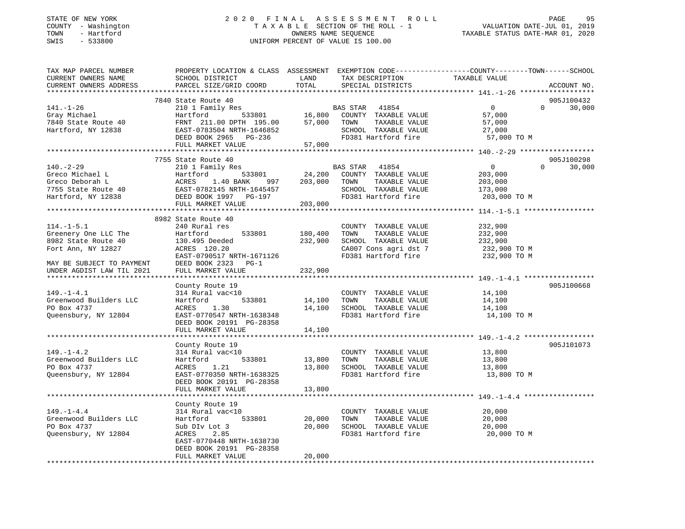#### STATE OF NEW YORK 2 0 2 0 F I N A L A S S E S S M E N T R O L L PAGE 95 COUNTY - Washington T A X A B L E SECTION OF THE ROLL - 1 VALUATION DATE-JUL 01, 2019 TOWN - Hartford OWNERS NAME SEQUENCE TAXABLE STATUS DATE-MAR 01, 2020 SWIS - 533800 UNIFORM PERCENT OF VALUE IS 100.00

| TAX MAP PARCEL NUMBER<br>CURRENT OWNERS NAME | PROPERTY LOCATION & CLASS ASSESSMENT EXEMPTION CODE----------------COUNTY-------TOWN------SCHOOL<br>SCHOOL DISTRICT | LAND          | TAX DESCRIPTION                                                | TAXABLE VALUE           |          |             |
|----------------------------------------------|---------------------------------------------------------------------------------------------------------------------|---------------|----------------------------------------------------------------|-------------------------|----------|-------------|
| CURRENT OWNERS ADDRESS                       | PARCEL SIZE/GRID COORD                                                                                              | TOTAL         | SPECIAL DISTRICTS                                              |                         |          | ACCOUNT NO. |
|                                              | 7840 State Route 40                                                                                                 |               |                                                                |                         |          | 905J100432  |
| $141. - 1 - 26$                              |                                                                                                                     |               |                                                                | $\overline{0}$          | $\Omega$ | 30,000      |
| Gray Michael                                 |                                                                                                                     |               |                                                                | 57,000                  |          |             |
| 7840 State Route 40                          |                                                                                                                     |               |                                                                | 57,000                  |          |             |
| Hartford, NY 12838                           | EAST-0783504 NRTH-1646852                                                                                           |               |                                                                |                         |          |             |
|                                              |                                                                                                                     |               | SCHOOL TAXABLE VALUE 27,000<br>FD381 Hartford fire 57,000 TO M |                         |          |             |
|                                              | EAST-0783504 NRTH-1646852<br>DEED BOOK 2965 PG-236<br>FULL MARKET VALUE 57,000                                      |               |                                                                |                         |          |             |
|                                              |                                                                                                                     |               |                                                                |                         |          |             |
|                                              | 7755 State Route 40                                                                                                 |               |                                                                |                         |          | 905J100298  |
| $140. - 2 - 29$                              | 210 1 Family Res                                                                                                    |               | BAS STAR 41854                                                 | $\overline{0}$          | $\Omega$ | 30,000      |
|                                              |                                                                                                                     |               | 533801 24,200 COUNTY TAXABLE VALUE                             | 203,000                 |          |             |
|                                              |                                                                                                                     |               |                                                                | 203,000                 |          |             |
|                                              |                                                                                                                     |               |                                                                | 173,000                 |          |             |
|                                              |                                                                                                                     |               |                                                                | 203,000 TO M            |          |             |
|                                              | FULL MARKET VALUE                                                                                                   | 203,000       |                                                                |                         |          |             |
|                                              |                                                                                                                     |               |                                                                |                         |          |             |
|                                              | 8982 State Route 40                                                                                                 |               |                                                                |                         |          |             |
| $114. - 1 - 5.1$                             | 240 Rural res                                                                                                       |               | COUNTY TAXABLE VALUE                                           | 232,900                 |          |             |
| Greenery One LLC The                         | 533801<br>Hartford                                                                                                  | 180,400       | TOWN<br>TAXABLE VALUE                                          | 232,900                 |          |             |
| 8982 State Route 40                          | 130.495 Deeded                                                                                                      | 232,900       | SCHOOL TAXABLE VALUE                                           | 232,900                 |          |             |
| Fort Ann, NY 12827                           | ACRES 120.20                                                                                                        |               | CA007 Cons agri dst 7                                          | 232,900 TO M            |          |             |
|                                              | EAST-0790517 NRTH-1671126                                                                                           |               | FD381 Hartford fire                                            | 232,900 TO M            |          |             |
| MAY BE SUBJECT TO PAYMENT                    | DEED BOOK 2323 PG-1                                                                                                 |               |                                                                |                         |          |             |
| UNDER AGDIST LAW TIL 2021                    | FULL MARKET VALUE                                                                                                   | 232,900       |                                                                |                         |          |             |
|                                              |                                                                                                                     |               |                                                                |                         |          |             |
|                                              | County Route 19                                                                                                     |               |                                                                |                         |          | 905J100668  |
| $149. - 1 - 4.1$                             | 314 Rural vac<10                                                                                                    |               | COUNTY TAXABLE VALUE                                           | 14,100                  |          |             |
| Greenwood Builders LLC                       | 533801<br>Hartford                                                                                                  | 14,100        | TAXABLE VALUE<br>TOWN                                          | 14,100                  |          |             |
| PO Box 4737                                  | ACRES<br>1.30                                                                                                       |               | 14,100 SCHOOL TAXABLE VALUE                                    | 14,100<br>14,100        |          |             |
| Queensbury, NY 12804                         | EAST-0770547 NRTH-1638348                                                                                           |               | FD381 Hartford fire                                            | 14,100 TO M             |          |             |
|                                              | DEED BOOK 20191 PG-28358                                                                                            |               |                                                                |                         |          |             |
|                                              | FULL MARKET VALUE                                                                                                   | 14,100        |                                                                |                         |          |             |
|                                              |                                                                                                                     |               |                                                                |                         |          |             |
|                                              | County Route 19                                                                                                     |               |                                                                |                         |          | 905J101073  |
| $149. - 1 - 4.2$                             | 314 Rural vac<10                                                                                                    |               | COUNTY TAXABLE VALUE                                           | 13,800                  |          |             |
| Greenwood Builders LLC                       | Hartford                                                                                                            | 533801 13,800 | TOWN<br>TAXABLE VALUE                                          |                         |          |             |
| PO Box 4737                                  | 1.21<br>ACRES                                                                                                       |               | 13,800 SCHOOL TAXABLE VALUE                                    | $\frac{13,000}{13,800}$ |          |             |
| Queensbury, NY 12804                         | EAST-0770350 NRTH-1638325                                                                                           |               | FD381 Hartford fire                                            | 13,800 TO M             |          |             |
|                                              | DEED BOOK 20191 PG-28358                                                                                            |               |                                                                |                         |          |             |
|                                              | FULL MARKET VALUE                                                                                                   | 13,800        |                                                                |                         |          |             |
|                                              |                                                                                                                     |               |                                                                |                         |          |             |
|                                              | County Route 19                                                                                                     |               |                                                                |                         |          |             |
| $149. - 1 - 4.4$                             | 314 Rural vac<10                                                                                                    |               | COUNTY TAXABLE VALUE                                           | 20,000                  |          |             |
| Greenwood Builders LLC<br>PO Box 4737        | Hartford 533801                                                                                                     | 20,000        | TAXABLE VALUE<br>TOWN<br>SCHOOL TAXABLE VALUE                  | 20,000                  |          |             |
| Queensbury, NY 12804                         | Sub DIv Lot 3<br>ACRES<br>2.85                                                                                      | 20,000        | FD381 Hartford fire                                            | 20,000<br>20,000 TO M   |          |             |
|                                              | EAST-0770448 NRTH-1638730                                                                                           |               |                                                                |                         |          |             |
|                                              | DEED BOOK 20191 PG-28358                                                                                            |               |                                                                |                         |          |             |
|                                              | FULL MARKET VALUE                                                                                                   | 20,000        |                                                                |                         |          |             |
|                                              |                                                                                                                     |               |                                                                |                         |          |             |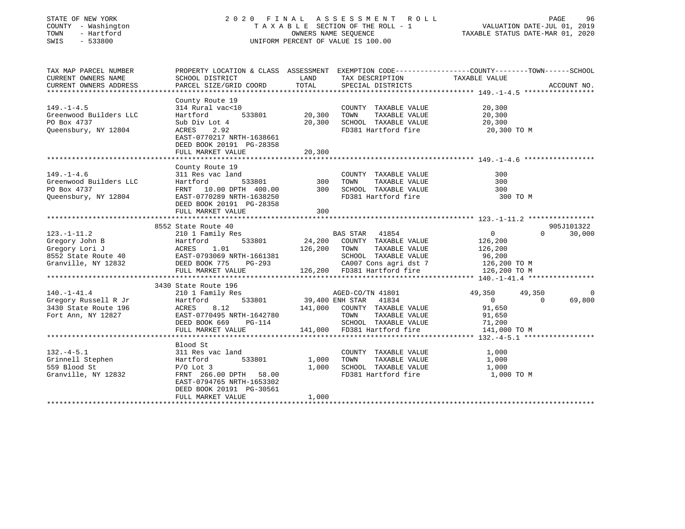| STATE OF NEW YORK<br>COUNTY - Washington<br>TOWN<br>- Hartford<br>SWIS<br>$-533800$                                                                                                                     | 2020 FINAL ASSESSMENT ROLL                                                                                                                                      | OWNERS NAME SEQUENCE<br>UNIFORM PERCENT OF VALUE IS 100.00 |                                      | TAXABLE SECTION OF THE ROLL - 1                                                                                                      | VALUATION DATE-JUL 01, 2019<br>TAXABLE STATUS DATE-MAR 01, 2020                |                    | PAGE<br>96    |
|---------------------------------------------------------------------------------------------------------------------------------------------------------------------------------------------------------|-----------------------------------------------------------------------------------------------------------------------------------------------------------------|------------------------------------------------------------|--------------------------------------|--------------------------------------------------------------------------------------------------------------------------------------|--------------------------------------------------------------------------------|--------------------|---------------|
| TAX MAP PARCEL NUMBER<br>CURRENT OWNERS NAME<br>CURRENT OWNERS ADDRESS                                                                                                                                  | PROPERTY LOCATION & CLASS ASSESSMENT EXEMPTION CODE----------------COUNTY-------TOWN------SCHOOL<br>SCHOOL DISTRICT<br>PARCEL SIZE/GRID COORD                   | LAND<br>TOTAL                                              | TAX DESCRIPTION<br>SPECIAL DISTRICTS |                                                                                                                                      | TAXABLE VALUE                                                                  |                    | ACCOUNT NO.   |
| $149. - 1 - 4.5$<br>Greenwood Builders LLC<br>PO Box 4737<br>Queensbury, NY 12804                                                                                                                       | County Route 19<br>314 Rural vac<10<br>Hartford<br>Sub Div Lot 4<br>ACRES<br>2.92<br>EAST-0770217 NRTH-1638661<br>DEED BOOK 20191 PG-28358<br>FULL MARKET VALUE | 533801 20,300<br>20,300<br>20,300                          | TOWN                                 | COUNTY TAXABLE VALUE<br>TAXABLE VALUE<br>SCHOOL TAXABLE VALUE<br>FD381 Hartford fire                                                 | 20,300<br>20,300<br>20,300<br>20,300 TO M                                      |                    |               |
|                                                                                                                                                                                                         | County Route 19                                                                                                                                                 |                                                            |                                      |                                                                                                                                      |                                                                                |                    |               |
| $149. - 1 - 4.6$<br>Greenwood Builders LLC<br>PO Box 4737<br>Queensbury, NY 12804                                                                                                                       | 311 Res vac land<br>533801<br>Hartford<br>FRNT 10.00 DPTH 400.00<br>EAST-0770289 NRTH-1638250<br>DEED BOOK 20191 PG-28358                                       | $\frac{300}{200}$<br>300                                   | TOWN                                 | COUNTY TAXABLE VALUE<br>TAXABLE VALUE<br>SCHOOL TAXABLE VALUE<br>FD381 Hartford fire                                                 | 300<br>300<br>300<br>300 TO M                                                  |                    |               |
|                                                                                                                                                                                                         | FULL MARKET VALUE                                                                                                                                               | 300                                                        |                                      |                                                                                                                                      |                                                                                |                    |               |
|                                                                                                                                                                                                         | 8552 State Route 40                                                                                                                                             |                                                            |                                      |                                                                                                                                      |                                                                                |                    | 905J101322    |
| $123. - 1 - 11.2$<br>Exercise and Exercise of the Hartford 533801<br>Gregory Lori J<br>8552 State Route 40<br>Granville, NY 12832<br>Granville, NY 12832<br>DEED BOOK 775 PG-293<br>Granville, NY 12832 | 210 1 Family Res<br>533801<br>DEED BOOK 775 PG-293<br>FULL MARKET VALUE 126,200 FD381 Hartford fire                                                             |                                                            | 126,200 TOWN                         | BAS STAR 41854<br>24,200 COUNTY TAXABLE VALUE<br>TAXABLE VALUE<br>SCHOOL TAXABLE VALUE<br>CA007 Cons agri dst 7                      | $\overline{0}$<br>126,200<br>126,200<br>96,200<br>126,200 TO M<br>126,200 TO M | $\Omega$           | 30,000        |
|                                                                                                                                                                                                         |                                                                                                                                                                 |                                                            |                                      |                                                                                                                                      |                                                                                |                    |               |
| $140. - 1 - 41.4$<br>Gregory Russell R Jr<br>3430 State Route 196<br>Fort Ann, NY 12827                                                                                                                 | 3430 State Route 196<br>210 1 Family Res<br>533801<br>Hartford<br>ACRES<br>8.12<br>EAST-0770495 NRTH-1642780<br>DEED BOOK 669 PG-114<br>FULL MARKET VALUE       |                                                            | AGED-CO/TN 41801<br>TOWN             | 533801 39,400 ENH STAR 41834<br>141,000 COUNTY TAXABLE VALUE<br>TAXABLE VALUE<br>SCHOOL TAXABLE VALUE<br>141,000 FD381 Hartford fire | 49,350<br>$\circ$<br>91,650<br>91,650<br>71,200<br>141,000 TO M                | 49,350<br>$\Omega$ | - 0<br>69,800 |
|                                                                                                                                                                                                         |                                                                                                                                                                 |                                                            |                                      |                                                                                                                                      |                                                                                |                    |               |
| $132 - 4 - 5.1$<br>Grinnell Stephen Hartford<br>559 Blood St<br>Granville, NY 12832                                                                                                                     | Blood St<br>311 Res vac land<br>533801<br>$P/O$ Lot 3<br>FRNT 266.00 DPTH 58.00<br>EAST-0794765 NRTH-1653302<br>DEED BOOK 20191 PG-30561                        | 1,000<br>1,000                                             | TOWN                                 | COUNTY TAXABLE VALUE<br>TAXABLE VALUE<br>SCHOOL TAXABLE VALUE<br>FD381 Hartford fire                                                 | 1,000<br>1,000<br>1,000<br>1,000 TO M                                          |                    |               |
|                                                                                                                                                                                                         | FULL MARKET VALUE                                                                                                                                               | 1,000                                                      |                                      |                                                                                                                                      |                                                                                |                    |               |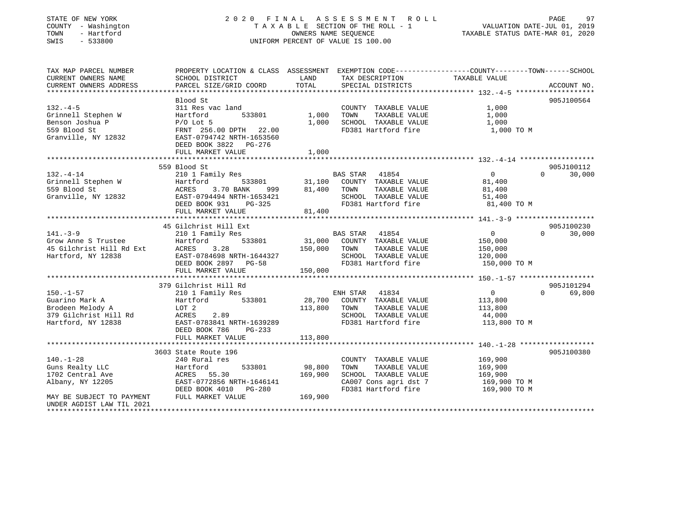| STATE OF NEW YORK |              |
|-------------------|--------------|
| COUNTY            | - Washington |
| TOWN              | - Hartford   |
| CMT C             | ECCOON       |

## STATE OF NEW YORK CONTROLLER SERVICE OF THE LAND ASSESSMENT ROLL CONTROLLER PAGE 97 T A X A B L E SECTION OF THE ROLL - 1<br>OWNERS NAME SEQUENCE SWIS - 533800 UNIFORM PERCENT OF VALUE IS 100.00

## VALUATION DATE-JUL 01, 2019

| TAX MAP PARCEL NUMBER<br>CURRENT OWNERS NAME<br>CURRENT OWNERS ADDRESS                                                               | PROPERTY LOCATION & CLASS ASSESSMENT EXEMPTION CODE----------------COUNTY-------TOWN-----SCHOOL<br>SCHOOL DISTRICT<br>PARCEL SIZE/GRID COORD                                                                                    | LAND<br>TOTAL                | TAX DESCRIPTION TAXABLE VALUE<br>SPECIAL DISTRICTS                                                                              |                                                                   | ACCOUNT NO.                      |
|--------------------------------------------------------------------------------------------------------------------------------------|---------------------------------------------------------------------------------------------------------------------------------------------------------------------------------------------------------------------------------|------------------------------|---------------------------------------------------------------------------------------------------------------------------------|-------------------------------------------------------------------|----------------------------------|
| $132. -4-5$<br>Grinnell Stephen W<br>Benson Joshua P<br>559 Blood St<br>Granville, NY 12832                                          | Blood St<br>311 Res vac land<br>533801<br>Hartford<br>P/O Lot 5<br>FRNT 256.00 DPTH 22.00<br>EAST-0794742 NRTH-1653560<br>DEED BOOK 3822 PG-276<br>FULL MARKET VALUE                                                            | 1,000<br>1,000<br>1,000      | COUNTY TAXABLE VALUE<br>TAXABLE VALUE<br>TOWN<br>SCHOOL TAXABLE VALUE<br>FD381 Hartford fire                                    | 1,000<br>1,000<br>1,000<br>1,000 TO M                             | 905J100564                       |
|                                                                                                                                      |                                                                                                                                                                                                                                 |                              |                                                                                                                                 |                                                                   |                                  |
| $132 - 4 - 14$<br>Grinnell Stephen W Hartford<br>559 Blood St ACRES                                                                  | 559 Blood St<br>210 1 Family Res<br>3.70 BANK<br>999<br>Granville, NY 12832 EAST-0794494 NRTH-1653421<br>DEED BOOK 931<br>PG-325<br>FULL MARKET VALUE                                                                           | 81,400<br>81,400             | BAS STAR<br>41854<br>533801 31,100 COUNTY TAXABLE VALUE<br>TAXABLE VALUE<br>TOWN<br>SCHOOL TAXABLE VALUE<br>FD381 Hartford fire | $\overline{0}$<br>81,400<br>81,400<br>51,400<br>81,400 TO M       | 905J100112<br>$\Omega$<br>30,000 |
|                                                                                                                                      |                                                                                                                                                                                                                                 |                              |                                                                                                                                 |                                                                   |                                  |
| $141. -3 - 9$<br>Grow Anne S Trustee<br>45 Gilchrist Hill Rd Ext<br>Hartford, NY 12838                                               | 45 Gilchrist Hill Ext<br>210 1 Family Res<br>533801<br>Hartford<br>3.28<br>EAST-0784698 NRTH-1644327<br>DEED BOOK 2897 PG-58<br>FULL MARKET VALUE                                                                               | 150,000<br>150,000           | BAS STAR 41854<br>31,000 COUNTY TAXABLE VALUE<br>TOWN<br>TAXABLE VALUE<br>SCHOOL TAXABLE VALUE<br>FD381 Hartford fire           | 0<br>150,000<br>150,000<br>120,000<br>150,000 TO M                | 905J100230<br>$\Omega$<br>30,000 |
|                                                                                                                                      |                                                                                                                                                                                                                                 |                              |                                                                                                                                 |                                                                   |                                  |
| $150. - 1 - 57$<br>Guarino Mark A<br>Brodeen Melody A<br>379 Gilchrist Hill Rd<br>Hartford, NY 12838                                 | 379 Gilchrist Hill Rd<br>210 1 Family Res<br>$A + c$<br>Hartford<br>533801<br>LOT 2<br>ACRES 2.89<br>EAST-0783841 NRTH-1639289<br>$PG-233$<br>DEED BOOK 786<br>FULL MARKET VALUE                                                | 113,800<br>113,800           | ENH STAR<br>41834<br>28,700 COUNTY TAXABLE VALUE<br>TOWN<br>TAXABLE VALUE<br>SCHOOL TAXABLE VALUE<br>FD381 Hartford fire        | $0 \qquad \qquad$<br>113,800<br>113,800<br>44,000<br>113,800 TO M | 905J101294<br>$\Omega$<br>69,800 |
|                                                                                                                                      |                                                                                                                                                                                                                                 |                              |                                                                                                                                 |                                                                   | 905J100380                       |
| $140. - 1 - 28$<br>Guns Realty LLC<br>1702 Central Ave<br>Albany, NY 12205<br>MAY BE SUBJECT TO PAYMENT<br>UNDER AGDIST LAW TIL 2021 | 3603 State Route 196<br>240 Rural res<br>533801<br>Hartford<br>$\begin{array}{cc}\n\texttt{RALCL} & 55.30 \\ \texttt{ACRES} & 55.30\n\end{array}$<br>EAST-0772856 NRTH-1646141<br>DEED BOOK 4010<br>PG-280<br>FULL MARKET VALUE | 98,800<br>169,900<br>169,900 | COUNTY TAXABLE VALUE<br>TAXABLE VALUE<br>TOWN<br>SCHOOL TAXABLE VALUE<br>CA007 Cons agri dst 7<br>FD381 Hartford fire           | 169,900<br>169,900<br>169,900<br>169,900 TO M<br>169,900 TO M     |                                  |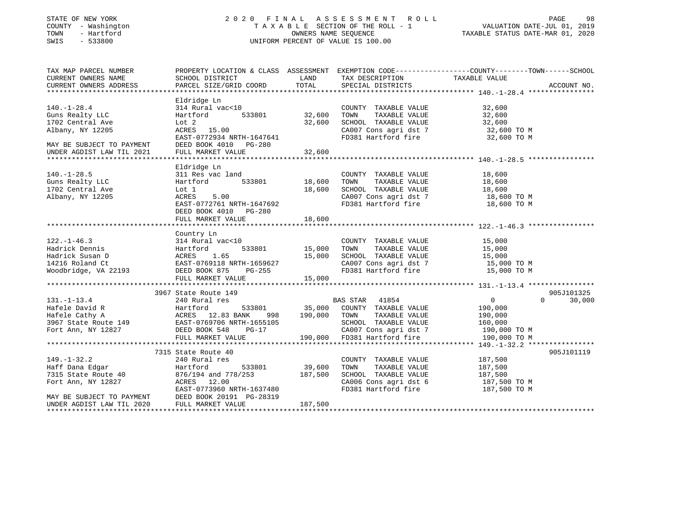#### STATE OF NEW YORK 2 0 2 0 F I N A L A S S E S S M E N T R O L L PAGE 98 COUNTY - Washington T A X A B L E SECTION OF THE ROLL - 1 VALUATION DATE-JUL 01, 2019 TOWN - Hartford OWNERS NAME SEQUENCE TAXABLE STATUS DATE-MAR 01, 2020 SWIS - 533800 UNIFORM PERCENT OF VALUE IS 100.00

| TAX MAP PARCEL NUMBER<br>CURRENT OWNERS NAME | SCHOOL DISTRICT           | LAND          | TAX DESCRIPTION                                                                                                                                                                                      | PROPERTY LOCATION & CLASS ASSESSMENT EXEMPTION CODE----------------COUNTY-------TOWN-----SCHOOL<br>TAXABLE VALUE |             |
|----------------------------------------------|---------------------------|---------------|------------------------------------------------------------------------------------------------------------------------------------------------------------------------------------------------------|------------------------------------------------------------------------------------------------------------------|-------------|
| CURRENT OWNERS ADDRESS                       | PARCEL SIZE/GRID COORD    | TOTAL         | SPECIAL DISTRICTS                                                                                                                                                                                    |                                                                                                                  | ACCOUNT NO. |
|                                              |                           |               |                                                                                                                                                                                                      |                                                                                                                  |             |
|                                              | Eldridge Ln               |               |                                                                                                                                                                                                      |                                                                                                                  |             |
| $140. - 1 - 28.4$                            | 314 Rural vac<10          |               | COUNTY TAXABLE VALUE                                                                                                                                                                                 | 32,600                                                                                                           |             |
| Guns Realty LLC                              | Hartford                  | 533801 32,600 | TOWN<br>TAXABLE VALUE                                                                                                                                                                                | 32,600                                                                                                           |             |
| 1702 Central Ave                             | Lot 2                     | 32,600        | SCHOOL TAXABLE VALUE                                                                                                                                                                                 | 32,600                                                                                                           |             |
| Albany, NY 12205                             | ACRES 15.00               |               |                                                                                                                                                                                                      |                                                                                                                  |             |
|                                              | EAST-0772934 NRTH-1647641 |               | $\begin{array}{lll} \texttt{CA007} \texttt{ Cons} & \texttt{aspti} & \texttt{dst 7} & \texttt{32,600 TO M} \\ \texttt{FD381} & \texttt{Hartford} & \texttt{fire} & \texttt{32,600 TO M} \end{array}$ |                                                                                                                  |             |
| MAY BE SUBJECT TO PAYMENT                    | DEED BOOK 4010 PG-280     |               |                                                                                                                                                                                                      |                                                                                                                  |             |
|                                              |                           |               |                                                                                                                                                                                                      |                                                                                                                  |             |
|                                              |                           |               |                                                                                                                                                                                                      |                                                                                                                  |             |
|                                              | Eldridge Ln               |               |                                                                                                                                                                                                      |                                                                                                                  |             |
| $140. - 1 - 28.5$                            | 311 Res vac land          |               | COUNTY TAXABLE VALUE                                                                                                                                                                                 | 18,600                                                                                                           |             |
| Guns Realty LLC                              | 533801<br>Hartford        | 18,600        | TOWN<br>TAXABLE VALUE                                                                                                                                                                                | 18,600                                                                                                           |             |
| 1702 Central Ave                             | Lot 1                     | 18,600        | SCHOOL TAXABLE VALUE                                                                                                                                                                                 | 18,600                                                                                                           |             |
| Albany, NY 12205                             | ACRES<br>5.00             |               | CA007 Cons agri dst 7 18,600 TO M                                                                                                                                                                    |                                                                                                                  |             |
|                                              | EAST-0772761 NRTH-1647692 |               | FD381 Hartford fire                                                                                                                                                                                  | 18,600 TO M                                                                                                      |             |
|                                              | DEED BOOK 4010 PG-280     |               |                                                                                                                                                                                                      |                                                                                                                  |             |
|                                              | FULL MARKET VALUE         | 18,600        |                                                                                                                                                                                                      |                                                                                                                  |             |
|                                              |                           |               |                                                                                                                                                                                                      |                                                                                                                  |             |
|                                              | Country Ln                |               |                                                                                                                                                                                                      |                                                                                                                  |             |
| $122. - 1 - 46.3$                            | 314 Rural vac<10          |               | COUNTY TAXABLE VALUE                                                                                                                                                                                 | 15,000                                                                                                           |             |
| Hadrick Dennis                               | Hartford                  |               | TOWN                                                                                                                                                                                                 | TAXABLE VALUE 15,000                                                                                             |             |
| Hadrick Susan D                              | 1.65<br>ACRES             | 15,000        |                                                                                                                                                                                                      |                                                                                                                  |             |
| 14216 Roland Ct                              | EAST-0769118 NRTH-1659627 |               | SCHOOL TAXABLE VALUE 15,000<br>CA007 Cons agri dst 7 15,000 TO M                                                                                                                                     |                                                                                                                  |             |
| Woodbridge, VA 22193                         | PG-255<br>DEED BOOK 875   |               | FD381 Hartford fire 15,000 TO M                                                                                                                                                                      |                                                                                                                  |             |
|                                              | FULL MARKET VALUE         | 15,000        |                                                                                                                                                                                                      |                                                                                                                  |             |
|                                              |                           |               |                                                                                                                                                                                                      |                                                                                                                  |             |
|                                              | 3967 State Route 149      |               |                                                                                                                                                                                                      |                                                                                                                  | 905J101325  |
| $131. - 1 - 13.4$                            | 240 Rural res             |               | BAS STAR 41854                                                                                                                                                                                       | $\overline{0}$<br>$\Omega$                                                                                       | 30,000      |
|                                              |                           |               |                                                                                                                                                                                                      | 190,000                                                                                                          |             |
|                                              |                           |               |                                                                                                                                                                                                      | 190,000                                                                                                          |             |
|                                              |                           |               | SCHOOL TAXABLE VALUE 160,000                                                                                                                                                                         |                                                                                                                  |             |
| Fort Ann, NY 12827 DEED BOOK 548             | PG-17                     |               |                                                                                                                                                                                                      |                                                                                                                  |             |
|                                              | FULL MARKET VALUE         |               | CA007 Cons agri dst 7 190,000 TO M<br>190,000 FD381 Hartford fire 190,000 TO M                                                                                                                       |                                                                                                                  |             |
|                                              |                           |               |                                                                                                                                                                                                      |                                                                                                                  |             |
|                                              | 7315 State Route 40       |               |                                                                                                                                                                                                      |                                                                                                                  | 905J101119  |
| $149. - 1 - 32.2$                            | 240 Rural res             |               | COUNTY TAXABLE VALUE                                                                                                                                                                                 | 187,500                                                                                                          |             |
| Haff Dana Edgar                              | Hartford<br>533801        | 39,600        | TOWN<br>TAXABLE VALUE                                                                                                                                                                                | 187,500                                                                                                          |             |
| 1111 Duna Buyar<br>7315 State Route 40       | 876/194 and 778/253       | 187,500       | SCHOOL TAXABLE VALUE                                                                                                                                                                                 | 187,500                                                                                                          |             |
| Fort Ann, NY 12827                           | ACRES 12.00               |               | CA006 Cons agri dst 6 187,500 TO M                                                                                                                                                                   |                                                                                                                  |             |
|                                              | EAST-0773960 NRTH-1637480 |               | FD381 Hartford fire                                                                                                                                                                                  | 187,500 TO M                                                                                                     |             |
| MAY BE SUBJECT TO PAYMENT                    | DEED BOOK 20191 PG-28319  |               |                                                                                                                                                                                                      |                                                                                                                  |             |
| UNDER AGDIST LAW TIL 2020                    | FULL MARKET VALUE         | 187,500       |                                                                                                                                                                                                      |                                                                                                                  |             |
|                                              |                           |               |                                                                                                                                                                                                      |                                                                                                                  |             |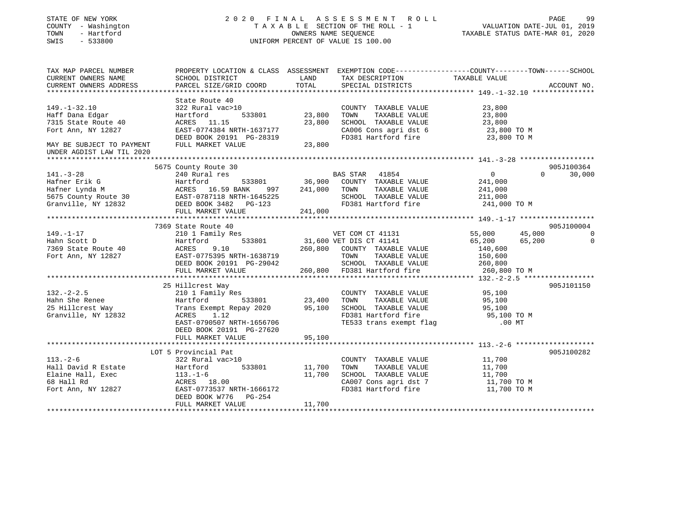| STATE OF NEW YORK |  |              |  |
|-------------------|--|--------------|--|
| COUNTY            |  | - Washington |  |
| TOWN              |  | - Hartford   |  |
| $\alpha$          |  | 5.2000       |  |

### STATE OF NEW YORK 2 0 2 0 F I N A L A S S E S S M E N T R O L L PAGE 99T A X A B L E SECTION OF THE ROLL - 1<br>OWNERS NAME SEQUENCE SWIS - 533800 UNIFORM PERCENT OF VALUE IS 100.00

| TAX MAP PARCEL NUMBER<br>CURRENT OWNERS NAME<br>CURRENT OWNERS ADDRESS                                                                       | SCHOOL DISTRICT<br>PARCEL SIZE/GRID COORD                                                                                                                                                 | LAND<br>TOTAL                | TAX DESCRIPTION<br>SPECIAL DISTRICTS                                                                                                                        | PROPERTY LOCATION & CLASS ASSESSMENT EXEMPTION CODE---------------COUNTY-------TOWN------SCHOOL<br>TAXABLE VALUE | ACCOUNT NO.          |
|----------------------------------------------------------------------------------------------------------------------------------------------|-------------------------------------------------------------------------------------------------------------------------------------------------------------------------------------------|------------------------------|-------------------------------------------------------------------------------------------------------------------------------------------------------------|------------------------------------------------------------------------------------------------------------------|----------------------|
| $149. - 1 - 32.10$<br>Haff Dana Edgar<br>7315 State Route 40<br>Fort Ann, NY 12827<br>MAY BE SUBJECT TO PAYMENT<br>UNDER AGDIST LAW TIL 2020 | State Route 40<br>322 Rural vac>10<br>533801<br>Hartford<br>ACRES 11.15<br>EAST-0774384 NRTH-1637177<br>DEED BOOK 20191 PG-28319<br>FULL MARKET VALUE                                     | 23,800<br>23,800<br>23,800   | COUNTY TAXABLE VALUE<br>TOWN<br>TAXABLE VALUE<br>SCHOOL TAXABLE VALUE<br>CA006 Cons agri dst 6<br>FD381 Hartford fire                                       | 23,800<br>23,800<br>23,800<br>23,800 TO M<br>23,800 TO M                                                         |                      |
|                                                                                                                                              |                                                                                                                                                                                           |                              |                                                                                                                                                             |                                                                                                                  |                      |
| $141. - 3 - 28$<br>Hafner Erik G<br>Hafner Lynda M<br>5675 County Route 30<br>Granville, NY 12832                                            | 5675 County Route 30<br>240 Rural res<br>533801<br>Hartford<br>ACRES 16.59 BANK<br>997<br>EAST-0787118 NRTH-1645225<br>DEED BOOK 3482    PG-123<br>FULL MARKET VALUE                      | 36,900<br>241,000<br>241,000 | BAS STAR 41854<br>COUNTY TAXABLE VALUE<br>TAXABLE VALUE<br>TOWN<br>SCHOOL TAXABLE VALUE<br>FD381 Hartford fire                                              | $\overline{0}$<br>$\Omega$<br>241,000<br>241,000<br>211,000<br>241,000 TO M                                      | 905J100364<br>30,000 |
|                                                                                                                                              |                                                                                                                                                                                           |                              |                                                                                                                                                             |                                                                                                                  |                      |
|                                                                                                                                              | 7369 State Route 40                                                                                                                                                                       |                              |                                                                                                                                                             |                                                                                                                  | 905J100004           |
| $149. - 1 - 17$<br>Hahn Scott D<br>7369 State Route 40<br>Fort Ann, NY 12827                                                                 | 210 1 Family Res<br>533801<br>Hartford<br>ACRES<br>9.10<br>EAST-0775395 NRTH-1638719<br>DEED BOOK 20191 PG-29042<br>FULL MARKET VALUE                                                     |                              | VET COM CT 41131<br>31,600 VET DIS CT 41141<br>260,800 COUNTY TAXABLE VALUE<br>TOWN<br>TAXABLE VALUE<br>SCHOOL TAXABLE VALUE<br>260,800 FD381 Hartford fire | 45,000<br>55,000<br>65,200<br>65,200<br>140,600<br>150,600<br>260,800<br>260,800 TO M                            | $\Omega$<br>$\Omega$ |
|                                                                                                                                              |                                                                                                                                                                                           |                              |                                                                                                                                                             |                                                                                                                  |                      |
| $132 - 2 - 2.5$<br>Hahn She Renee<br>25 Hillcrest Way<br>Granville, NY 12832                                                                 | 25 Hillcrest Way<br>210 1 Family Res<br>Hartford<br>533801<br>Trans Exempt Repay 2020<br>ACRES<br>1.12<br>EAST-0790507 NRTH-1656706<br>DEED BOOK 20191 PG-27620<br>FULL MARKET VALUE      | 23,400<br>95,100<br>95,100   | COUNTY TAXABLE VALUE<br>TOWN<br>TAXABLE VALUE<br>SCHOOL TAXABLE VALUE<br>FD381 Hartford fire<br>TE533 trans exempt flag                                     | 95,100<br>95,100<br>95,100<br>95,100 TO M<br>$.00$ MT                                                            | 905J101150           |
|                                                                                                                                              |                                                                                                                                                                                           |                              |                                                                                                                                                             |                                                                                                                  |                      |
| $113. - 2 - 6$<br>Hall David R Estate<br>Elaine Hall, Exec<br>68 Hall Rd<br>Fort Ann, NY 12827                                               | LOT 5 Provincial Pat<br>322 Rural vac>10<br>533801<br>Hartford<br>113.-1-6<br>ACRES 18.00<br>EAST-0773537 I<br>EAST-0773537 NRTH-1666172<br>DEED BOOK W776<br>PG-254<br>FULL MARKET VALUE | 11,700<br>11,700<br>11,700   | COUNTY TAXABLE VALUE<br>TOWN<br>TAXABLE VALUE<br>SCHOOL TAXABLE VALUE<br>CA007 Cons agri dst 7<br>FD381 Hartford fire                                       | 11,700<br>11,700<br>11,700<br>11,700 TO M<br>11,700 TO M                                                         | 905J100282           |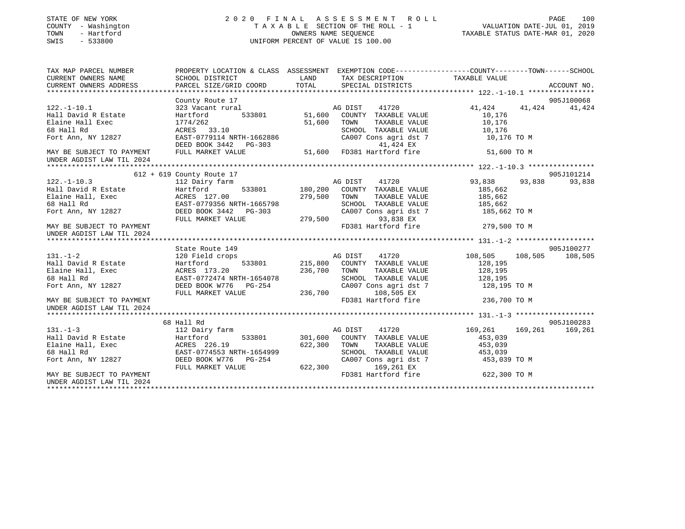| STATE OF NEW YORK<br>COUNTY - Washington<br>- Hartford<br>TOWN<br>SWIS<br>$-533800$                                                                                               |                                                                                                                                                                |                                            | 2020 FINAL ASSESSMENT ROLL<br>PAGE 100<br>TAXABLE SECTION OF THE ROLL - 1<br>OWNERS NAME SEQUENCE TAXABLE STATUS DATE-MAR 01, 2020<br>UNIFORM PERCENT OF VALUE IS 100.00 |                       |                  |
|-----------------------------------------------------------------------------------------------------------------------------------------------------------------------------------|----------------------------------------------------------------------------------------------------------------------------------------------------------------|--------------------------------------------|--------------------------------------------------------------------------------------------------------------------------------------------------------------------------|-----------------------|------------------|
| TAX MAP PARCEL NUMBER                                                                                                                                                             | PROPERTY LOCATION & CLASS ASSESSMENT EXEMPTION CODE----------------COUNTY-------TOWN------SCHOOL                                                               |                                            |                                                                                                                                                                          |                       |                  |
| CURRENT OWNERS NAME                                                                                                                                                               | SCHOOL DISTRICT                                                                                                                                                | <b>EXAMPLE THE STATE OF STATE OF STATE</b> | TAX DESCRIPTION TAXABLE VALUE                                                                                                                                            |                       |                  |
| CURRENT OWNERS ADDRESS                                                                                                                                                            | PARCEL SIZE/GRID COORD                                                                                                                                         | TOTAL                                      | SPECIAL DISTRICTS                                                                                                                                                        |                       | ACCOUNT NO.      |
|                                                                                                                                                                                   | County Route 17                                                                                                                                                |                                            |                                                                                                                                                                          |                       | 905J100068       |
| $122. - 1 - 10.1$                                                                                                                                                                 | County Route 17<br>323 Vacant rural                                                                                                                            |                                            | AG DIST 41720                                                                                                                                                            | 41,424                | 41,424 41,424    |
| Hall David R Estate                                                                                                                                                               | Hartford 533801 51,600 COUNTY TAXABLE VALUE                                                                                                                    |                                            |                                                                                                                                                                          | 10,176                |                  |
| Elaine Hall Exec                                                                                                                                                                  |                                                                                                                                                                |                                            | 51,600 TOWN<br>TAXABLE VALUE                                                                                                                                             | 10,176                |                  |
| 68 Hall Rd                                                                                                                                                                        |                                                                                                                                                                |                                            |                                                                                                                                                                          |                       |                  |
| Fort Ann, NY 12827                                                                                                                                                                | 110 1121 1121<br>Hartford 533801<br>1774/262<br>ACRES 33.10<br>EAST-0779114 NRTH-1662886                                                                       |                                            | SCHOOL TAXABLE VALUE<br>CA007 Cons agri dst 7                                                                                                                            | 10,176<br>10,176 TO M |                  |
|                                                                                                                                                                                   |                                                                                                                                                                |                                            |                                                                                                                                                                          |                       |                  |
| MAY BE SUBJECT TO PAYMENT<br>UNDER AGDIST LAW TIL 2024                                                                                                                            | EAST-0779114 NRTH-1662886<br>EAST-0779114 NRTH-1662886 CA007 Cons agridst 7<br>DEED BOOK 3442 PG-303 41,424 EX<br>FULL MARKET VALUE 51,600 FD381 Hartford fire |                                            |                                                                                                                                                                          | 51,600 TO M           |                  |
|                                                                                                                                                                                   |                                                                                                                                                                |                                            |                                                                                                                                                                          |                       |                  |
|                                                                                                                                                                                   | 612 + 619 County Route 17                                                                                                                                      |                                            |                                                                                                                                                                          |                       | 905J101214       |
| $122. - 1 - 10.3$                                                                                                                                                                 | 112 Dairy farm                                                                                                                                                 |                                            | AG DIST<br>41720                                                                                                                                                         | 93,838                | 93,838<br>93,838 |
|                                                                                                                                                                                   |                                                                                                                                                                |                                            | 533801 180,200 COUNTY TAXABLE VALUE                                                                                                                                      | 185,662               |                  |
|                                                                                                                                                                                   |                                                                                                                                                                |                                            | TAXABLE VALUE<br>TOWN                                                                                                                                                    | 185,662               |                  |
|                                                                                                                                                                                   |                                                                                                                                                                |                                            | SCHOOL TAXABLE VALUE 185,662 CA007 Cons agri dst 7 185,662 TO M                                                                                                          |                       |                  |
|                                                                                                                                                                                   |                                                                                                                                                                |                                            | 93,838 EX                                                                                                                                                                |                       |                  |
| MAY BE SUBJECT TO PAYMENT<br>UNDER AGDIST LAW TIL 2024                                                                                                                            |                                                                                                                                                                |                                            | FD381 Hartford fire 279,500 TO M                                                                                                                                         |                       |                  |
|                                                                                                                                                                                   |                                                                                                                                                                |                                            |                                                                                                                                                                          |                       |                  |
|                                                                                                                                                                                   | State Route 149                                                                                                                                                |                                            |                                                                                                                                                                          |                       | 905J100277       |
| $131. - 1 - 2$                                                                                                                                                                    | 215,800 MG DIST 41720<br>120 Field crops 533801 215,800 COUNTY TAXABLE VALUE                                                                                   |                                            | 41720                                                                                                                                                                    | 108,505<br>108,505    | 108,505          |
|                                                                                                                                                                                   |                                                                                                                                                                |                                            |                                                                                                                                                                          | 128,195               |                  |
|                                                                                                                                                                                   |                                                                                                                                                                | 236,700 TOWN                               | TAXABLE VALUE                                                                                                                                                            | 128,195               |                  |
| 131.-1-2<br>Hall David R Estate<br>Elaine Hall, Exec<br>Elaine Hall, Exec<br>236,700<br>68 Hall Rd<br>Fort Ann, NY 12827<br>236,700<br>EEED BOOK W776<br>DEED BOOK W776<br>PG-254 |                                                                                                                                                                |                                            | SCHOOL TAXABLE VALUE                                                                                                                                                     | 128,195               |                  |
|                                                                                                                                                                                   | FULL MARKET VALUE                                                                                                                                              | CA007<br>236,700                           | CA007 Cons agri dst 7 128,195 TO M<br>108,505 EX                                                                                                                         |                       |                  |
| MAY BE SUBJECT TO PAYMENT<br>UNDER AGDIST LAW TIL 2024                                                                                                                            |                                                                                                                                                                |                                            | FD381 Hartford fire 236,700 TO M                                                                                                                                         |                       |                  |
|                                                                                                                                                                                   |                                                                                                                                                                |                                            |                                                                                                                                                                          |                       |                  |
|                                                                                                                                                                                   | 68 Hall Rd                                                                                                                                                     |                                            |                                                                                                                                                                          |                       | 905J100283       |
| $131. -1-3$                                                                                                                                                                       | ----- Aw<br>112 Dairy farm<br>Walio                                                                                                                            |                                            | AG DIST 41720                                                                                                                                                            | 169,261               | 169,261 169,261  |
| Fall David R Estate<br>Elaine Hall, Exec Rartford 533801<br>Elaine Hall, Exec RCRES 226.19<br>Fort Ann, NY 12827 DEED BOOK W776 PG-254<br>FOT Ann, NY 12827 PULL MARKET VALUE     |                                                                                                                                                                | 301,600                                    | COUNTY TAXABLE VALUE                                                                                                                                                     | 453,039               |                  |
|                                                                                                                                                                                   |                                                                                                                                                                | 622,300                                    | TAXABLE VALUE<br>TOWN                                                                                                                                                    | 453,039               |                  |
|                                                                                                                                                                                   |                                                                                                                                                                |                                            | SCHOOL TAXABLE VALUE                                                                                                                                                     | 453,039               |                  |
|                                                                                                                                                                                   |                                                                                                                                                                |                                            | CA007 Cons agri dst 7                                                                                                                                                    | 453,039 TO M          |                  |
|                                                                                                                                                                                   |                                                                                                                                                                | 622,300                                    | 169,261 EX                                                                                                                                                               |                       |                  |
| MAY BE SUBJECT TO PAYMENT                                                                                                                                                         |                                                                                                                                                                |                                            | FD381 Hartford fire                                                                                                                                                      | 622,300 TO M          |                  |
| UNDER AGDIST LAW TIL 2024                                                                                                                                                         |                                                                                                                                                                |                                            |                                                                                                                                                                          |                       |                  |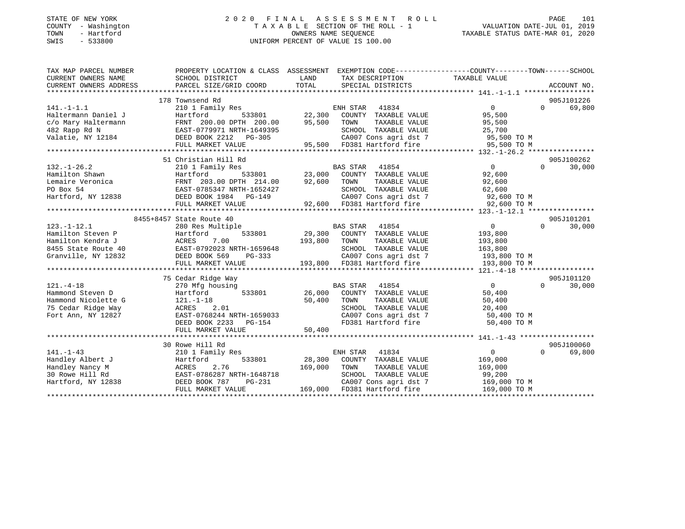#### STATE OF NEW YORK 2 0 2 0 F I N A L A S S E S S M E N T R O L L PAGE 101 COUNTY - Washington T A X A B L E SECTION OF THE ROLL - 1 VALUATION DATE-JUL 01, 2019 TOWN - Hartford OWNERS NAME SEQUENCE TAXABLE STATUS DATE-MAR 01, 2020 SWIS - 533800 UNIFORM PERCENT OF VALUE IS 100.00UNIFORM PERCENT OF VALUE IS 100.00

| TAX MAP PARCEL NUMBER  |                                                            |                                                                                                                                         | PROPERTY LOCATION & CLASS ASSESSMENT EXEMPTION CODE---------------COUNTY-------TOWN-----SCHOOL |  |
|------------------------|------------------------------------------------------------|-----------------------------------------------------------------------------------------------------------------------------------------|------------------------------------------------------------------------------------------------|--|
| CURRENT OWNERS NAME    | SCHOOL DISTRICT                                            | LAND<br>TAX DESCRIPTION                                                                                                                 | TAXABLE VALUE                                                                                  |  |
| CURRENT OWNERS ADDRESS | PARCEL SIZE/GRID COORD                                     | TOTAL<br>SPECIAL DISTRICTS                                                                                                              | ACCOUNT NO.                                                                                    |  |
|                        |                                                            |                                                                                                                                         |                                                                                                |  |
|                        | 178 Townsend Rd                                            |                                                                                                                                         | 905J101226                                                                                     |  |
| $141. - 1 - 1.1$       |                                                            |                                                                                                                                         | $\overline{0}$<br>69,800<br>$\Omega$                                                           |  |
| Haltermann Daniel J    |                                                            |                                                                                                                                         | 95,500                                                                                         |  |
| c/o Mary Haltermann    |                                                            |                                                                                                                                         | 95,500                                                                                         |  |
| 482 Rapp Rd N          |                                                            | SCHOOL TAXABLE VALUE                                                                                                                    | 25,700                                                                                         |  |
| Valatie, NY 12184      |                                                            | CA007 Cons agri dst 7 95,500 TO M<br>95,500 FD381 Hartford fire 95,500 TO M                                                             |                                                                                                |  |
|                        |                                                            |                                                                                                                                         |                                                                                                |  |
|                        |                                                            |                                                                                                                                         |                                                                                                |  |
|                        | 51 Christian Hill Rd                                       |                                                                                                                                         | 905J100262                                                                                     |  |
|                        |                                                            |                                                                                                                                         |                                                                                                |  |
|                        |                                                            |                                                                                                                                         |                                                                                                |  |
|                        |                                                            |                                                                                                                                         |                                                                                                |  |
|                        |                                                            |                                                                                                                                         |                                                                                                |  |
|                        |                                                            |                                                                                                                                         |                                                                                                |  |
|                        |                                                            |                                                                                                                                         |                                                                                                |  |
|                        |                                                            |                                                                                                                                         |                                                                                                |  |
|                        | 8455+8457 State Route 40                                   |                                                                                                                                         | 905J101201                                                                                     |  |
| $123. - 1 - 12.1$      | 280 Res Multiple                                           |                                                                                                                                         | 30,000<br>0<br>$\Omega$                                                                        |  |
|                        |                                                            | BAS STAR 41854<br>29,300 COUNTY TAXABLE VALUE                                                                                           | 193,800                                                                                        |  |
|                        |                                                            | 193,800 TOWN<br>TAXABLE VALUE                                                                                                           | 193,800                                                                                        |  |
|                        |                                                            |                                                                                                                                         |                                                                                                |  |
|                        |                                                            |                                                                                                                                         |                                                                                                |  |
|                        | FULL MARKET VALUE                                          | IRTH-1659648 SCHOOL TAXABLE VALUE 163,800<br>PG-333 CA007 Cons agri dst 7 193,800 TO M<br>LLUE 193,800 FD381 Hartford fire 193,800 TO M |                                                                                                |  |
|                        |                                                            |                                                                                                                                         |                                                                                                |  |
|                        | 75 Cedar Ridge Way                                         |                                                                                                                                         | 905J101120                                                                                     |  |
| $121. - 4 - 18$        | 270 Mfg housing                                            | BAS STAR 41854                                                                                                                          | $\overline{0}$<br>30,000<br>$\Omega$                                                           |  |
| Hammond Steven D       | Hartford                                                   | 533801 26,000 COUNTY TAXABLE VALUE                                                                                                      | 50,400                                                                                         |  |
| Hammond Nicolette G    | $121.-1-18$                                                | TAXABLE VALUE<br>50,400 TOWN                                                                                                            | 50,400                                                                                         |  |
| 75 Cedar Ridge Way     | 121.-1-18<br>ACRES 2.01                                    | SCHOOL TAXABLE VALUE                                                                                                                    | 20,400                                                                                         |  |
| Fort Ann, NY 12827     | EAST-0768244 NRTH-1659033                                  |                                                                                                                                         | CA007 Cons agri dst 7 50,400 TO M                                                              |  |
|                        | DEED BOOK 2233 PG-154                                      | FD381 Hartford fire                                                                                                                     | 50,400 TO M                                                                                    |  |
|                        | FULL MARKET VALUE                                          | 50,400                                                                                                                                  |                                                                                                |  |
|                        |                                                            |                                                                                                                                         |                                                                                                |  |
|                        | 30 Rowe Hill Rd                                            |                                                                                                                                         | 905J100060                                                                                     |  |
| $141. - 1 - 43$        | 210 1 Family Res                                           | ENH STAR 41834                                                                                                                          | $\overline{0}$<br>69,800<br>$\Omega$                                                           |  |
| Handley Albert J       | Hartford 533801<br>ACRES 2.76<br>EAST-0786287 NRTH-1648718 | 533801 28,300 COUNTY TAXABLE VALUE 169,000                                                                                              |                                                                                                |  |
| Handley Nancy M        |                                                            | 169,000 TOWN                                                                                                                            | 169,000                                                                                        |  |
| 30 Rowe Hill Rd        |                                                            | TAXABLE VALUE<br>TAXABLE VALUE<br>SCHOOL TAXABLE VALUE                                                                                  | 99,200                                                                                         |  |
| Hartford, NY 12838     | $PG-231$<br>DEED BOOK 787                                  |                                                                                                                                         | CA007 Cons agri dst 7 169,000 TO M                                                             |  |
|                        | FULL MARKET VALUE                                          | 169,000 FD381 Hartford fire                                                                                                             | 169,000 TO M                                                                                   |  |
|                        |                                                            |                                                                                                                                         |                                                                                                |  |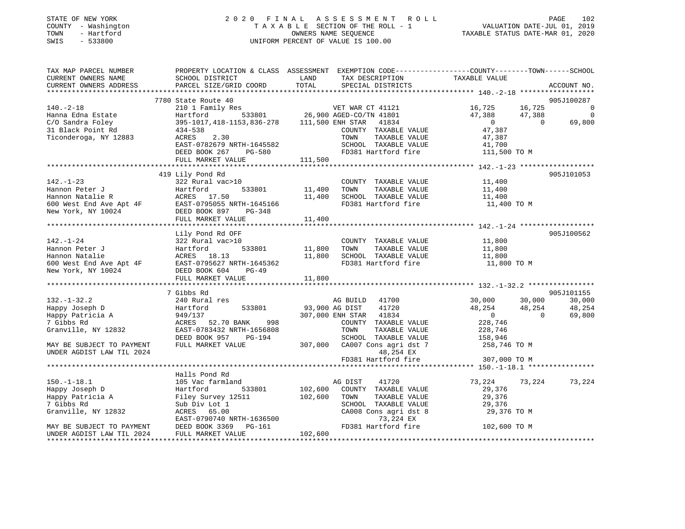| STATE OF NEW YORK<br>COUNTY - Washington<br>TOWN<br>- Hartford<br>$-533800$<br>SWIS |                                               | 2020 FINAL ASSESSMENT ROLL<br>TAXABLE SECTION OF THE ROLL - 1<br>OWNERS NAME SEOUENCE<br>UNIFORM PERCENT OF VALUE IS 100.00 | PAGE 102<br>VALUATION DATE-JUL 01, 2019<br>TAXABLE STATUE DATE 1:1 |
|-------------------------------------------------------------------------------------|-----------------------------------------------|-----------------------------------------------------------------------------------------------------------------------------|--------------------------------------------------------------------|
| TAX MAP PARCEL NUMBER                                                               |                                               | PROPERTY LOCATION & CLASS ASSESSMENT EXEMPTION CODE----------------COUNTY-------TOWN------SCHOOL                            |                                                                    |
| CURRENT OWNERS NAME                                                                 | SCHOOL DISTRICT                               | LAND<br>TAX DESCRIPTION                                                                                                     | TAXABLE VALUE                                                      |
| CURRENT OWNERS ADDRESS                                                              | PARCEL SIZE/GRID COORD                        | TOTAL<br>SPECIAL DISTRICTS                                                                                                  | ACCOUNT NO.                                                        |
|                                                                                     | 7780 State Route 40                           |                                                                                                                             | 905J100287                                                         |
| $140. - 2 - 18$                                                                     | 210 1 Family Res                              | VET WAR CT 41121                                                                                                            | 16,725<br>16,725<br>$\overline{\phantom{0}}$                       |
| Hanna Edna Estate                                                                   | Hartford                                      | 533801 26,900 AGED-CO/TN 41801                                                                                              | 47,388<br>47,388<br>$\Omega$                                       |
| C/O Sandra Foley                                                                    | 395-1017, 418-1153, 836-278 111, 500 ENH STAR | 41834                                                                                                                       | $\overline{0}$<br>69,800<br>$\Omega$                               |
| 31 Black Point Rd                                                                   | $434 - 538$                                   | COUNTY TAXABLE VALUE                                                                                                        | 47,387                                                             |
| Ticonderoga, NY 12883                                                               | ACRES<br>2.30                                 | TOWN<br>TAXABLE VALUE                                                                                                       | 47,387                                                             |
|                                                                                     | EAST-0782679 NRTH-1645582                     | SCHOOL TAXABLE VALUE                                                                                                        | 41,700                                                             |
|                                                                                     | DEED BOOK 267<br>PG-580                       | FD381 Hartford fire                                                                                                         | 111,500 TO M                                                       |
|                                                                                     | FULL MARKET VALUE                             | 111,500                                                                                                                     |                                                                    |
|                                                                                     |                                               |                                                                                                                             |                                                                    |
|                                                                                     | 419 Lily Pond Rd                              |                                                                                                                             | 905J101053                                                         |
| $142. - 1 - 23$                                                                     | 322 Rural vac>10                              | COUNTY TAXABLE VALUE                                                                                                        | 11,400                                                             |
| Hannon Peter J                                                                      | Hartford<br>533801                            | TAXABLE VALUE<br>11,400<br>TOWN                                                                                             | 11,400                                                             |
| Hannon Natalie R                                                                    | ACRES 17.50                                   | 11,400<br>SCHOOL TAXABLE VALUE                                                                                              | 11,400                                                             |
| 600 West End Ave Apt 4F                                                             | EAST-0795055 NRTH-1645166                     | FD381 Hartford fire                                                                                                         | 11,400 TO M                                                        |
| New York, NY 10024                                                                  | DEED BOOK 897<br>PG-348                       |                                                                                                                             |                                                                    |
|                                                                                     | FULL MARKET VALUE                             | 11,400                                                                                                                      |                                                                    |
|                                                                                     |                                               |                                                                                                                             |                                                                    |
| $142. - 1 - 24$                                                                     | Lily Pond Rd OFF                              |                                                                                                                             | 905J100562                                                         |
| Hannon Peter J                                                                      | 322 Rural vac>10<br>533801<br>Hartford        | COUNTY TAXABLE VALUE<br>11,800<br>TOWN<br>TAXABLE VALUE                                                                     | 11,800<br>11,800                                                   |
| Hannon Natalie                                                                      | ACRES 18.13                                   | SCHOOL TAXABLE VALUE<br>11,800                                                                                              | 11,800                                                             |
| 600 West End Ave Apt 4F                                                             | EAST-0795627 NRTH-1645362                     | FD381 Hartford fire                                                                                                         | 11,800 TO M                                                        |
| New York, NY 10024                                                                  | DEED BOOK 604<br>$PG-49$                      |                                                                                                                             |                                                                    |
|                                                                                     | FULL MARKET VALUE                             | 11,800                                                                                                                      |                                                                    |
|                                                                                     |                                               |                                                                                                                             |                                                                    |
|                                                                                     | 7 Gibbs Rd                                    |                                                                                                                             | 905J101155                                                         |
| $132. - 1 - 32.2$                                                                   | 240 Rural res                                 | AG BUILD 41700                                                                                                              | 30,000<br>30,000<br>30,000                                         |
| Happy Joseph D                                                                      | 533801<br>Hartford                            | 41720<br>93,900 AG DIST                                                                                                     | 48,254<br>48,254<br>48,254                                         |
| Happy Patricia A                                                                    | 949/137                                       | 307,000 ENH STAR 41834                                                                                                      | 69,800<br>$\overline{0}$<br>$\Omega$                               |
| 7 Gibbs Rd                                                                          | ACRES 52.70 BANK<br>998                       | COUNTY TAXABLE VALUE                                                                                                        | 228,746                                                            |
| Granville, NY 12832                                                                 | EAST-0783432 NRTH-1656808                     | TOWN<br>TAXABLE VALUE                                                                                                       | 228,746                                                            |
|                                                                                     | DEED BOOK 957<br>PG-194                       | SCHOOL TAXABLE VALUE                                                                                                        | 158,946                                                            |
| MAY BE SUBJECT TO PAYMENT                                                           | FULL MARKET VALUE                             | 307,000<br>CA007 Cons agri dst 7                                                                                            | 258,746 TO M                                                       |
| UNDER AGDIST LAW TIL 2024                                                           |                                               | 48,254 EX                                                                                                                   |                                                                    |
|                                                                                     |                                               | FD381 Hartford fire                                                                                                         | 307,000 TO M                                                       |
|                                                                                     |                                               |                                                                                                                             |                                                                    |
|                                                                                     | Halls Pond Rd                                 |                                                                                                                             |                                                                    |
| $150. - 1 - 18.1$                                                                   | 105 Vac farmland                              | 41720<br>AG DIST<br>102,600                                                                                                 | 73,224<br>73,224<br>73,224                                         |
| Happy Joseph D                                                                      | 533801<br>Hartford                            | COUNTY TAXABLE VALUE                                                                                                        | 29,376                                                             |

Happy Patricia A Filey Survey 12511 102,600 TOWN TAXABLE VALUE 29,376 7 Gibbs Rd Sub Div Lot 1 SCHOOL TAXABLE VALUE 29,376 CA008 Cons agri dst 8<br> $73,224$  EX EAST-0790740 NRTH-1636500 MAY BE SUBJECT TO PAYMENT DEED BOOK 3369 PG-161 FD381 Hartford fire 102,600 TO M UNDER AGDIST LAW TIL 2024 FULL MARKET VALUE 102,600 \*\*\*\*\*\*\*\*\*\*\*\*\*\*\*\*\*\*\*\*\*\*\*\*\*\*\*\*\*\*\*\*\*\*\*\*\*\*\*\*\*\*\*\*\*\*\*\*\*\*\*\*\*\*\*\*\*\*\*\*\*\*\*\*\*\*\*\*\*\*\*\*\*\*\*\*\*\*\*\*\*\*\*\*\*\*\*\*\*\*\*\*\*\*\*\*\*\*\*\*\*\*\*\*\*\*\*\*\*\*\*\*\*\*\*\*\*\*\*\*\*\*\*\*\*\*\*\*\*\*\*\*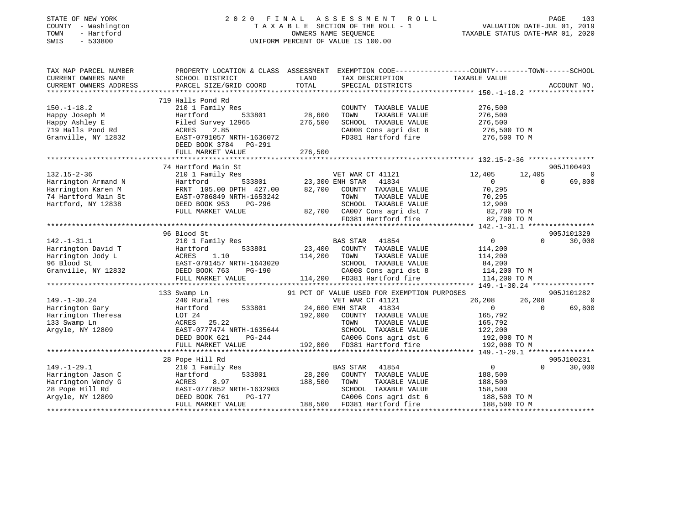| STATE OF NEW YORK<br>COUNTY - Washington<br>- Hartford<br>TOWN<br>SWIS<br>$-533800$ | 2020 FINAL ASSESSMENT<br>ROLL<br>T A X A B L E SECTION OF THE ROLL - 1<br>OWNERS NAME SEQUENCE<br>UNIFORM PERCENT OF VALUE IS 100.00 |         |                                                      |                              | VALUATION DATE-JUL 01, 2019<br>TAXABLE STATUS DATE-MAR 01, 2020 | PAGE<br>103    |
|-------------------------------------------------------------------------------------|--------------------------------------------------------------------------------------------------------------------------------------|---------|------------------------------------------------------|------------------------------|-----------------------------------------------------------------|----------------|
| TAX MAP PARCEL NUMBER<br>CURRENT OWNERS NAME                                        | PROPERTY LOCATION & CLASS ASSESSMENT EXEMPTION CODE---------------COUNTY-------TOWN------SCHOOL<br>SCHOOL DISTRICT                   | LAND    | TAX DESCRIPTION                                      | TAXABLE VALUE                |                                                                 |                |
| CURRENT OWNERS ADDRESS                                                              | PARCEL SIZE/GRID COORD                                                                                                               | TOTAL   | SPECIAL DISTRICTS                                    |                              |                                                                 | ACCOUNT NO.    |
|                                                                                     |                                                                                                                                      |         |                                                      |                              |                                                                 |                |
| $150.-1-18.2$                                                                       | 719 Halls Pond Rd<br>210 1 Family Res                                                                                                |         | COUNTY TAXABLE VALUE                                 | 276,500                      |                                                                 |                |
| Happy Joseph M                                                                      | Hartford<br>533801                                                                                                                   | 28,600  | TOWN<br>TAXABLE VALUE                                | 276,500                      |                                                                 |                |
| Happy Ashley E                                                                      | Filed Survey 12965                                                                                                                   | 276,500 | SCHOOL TAXABLE VALUE                                 | 276,500                      |                                                                 |                |
| 719 Halls Pond Rd                                                                   | 2.85<br>ACRES                                                                                                                        |         | CA008 Cons agri dst 8                                | 276,500 TO M                 |                                                                 |                |
| Granville, NY 12832                                                                 | EAST-0791057 NRTH-1636072                                                                                                            |         | FD381 Hartford fire 276,500 TO M                     |                              |                                                                 |                |
|                                                                                     | DEED BOOK 3784 PG-291                                                                                                                |         |                                                      |                              |                                                                 |                |
|                                                                                     | FULL MARKET VALUE                                                                                                                    | 276,500 |                                                      |                              |                                                                 |                |
|                                                                                     | ***********************                                                                                                              |         |                                                      |                              |                                                                 |                |
|                                                                                     | 74 Hartford Main St                                                                                                                  |         |                                                      |                              |                                                                 | 905J100493     |
| $132.15 - 2 - 36$                                                                   | 210 1 Family Res                                                                                                                     |         | VET WAR CT 41121<br>533801 23,300 ENH STAR 41834     | 12,405<br>$\sim$ 0           | 12,405<br>$\Omega$                                              | $\overline{0}$ |
| Harrington Armand N<br>Harrington Karen M                                           | Hartford<br>FRNT 105.00 DPTH 427.00                                                                                                  | 82,700  | COUNTY TAXABLE VALUE                                 | 70,295                       |                                                                 | 69,800         |
| 74 Hartford Main St                                                                 |                                                                                                                                      |         | TOWN<br>TAXABLE VALUE                                | 70,295                       |                                                                 |                |
| Hartford, NY 12838                                                                  | EAST-0786849 NRTH-1653242<br>DEED BOOK 953 PG-296                                                                                    |         | SCHOOL TAXABLE VALUE                                 | 12,900                       |                                                                 |                |
|                                                                                     | FULL MARKET VALUE                                                                                                                    |         | 82,700 CA007 Cons agri dst 7                         | 82,700 TO M                  |                                                                 |                |
|                                                                                     |                                                                                                                                      |         | FD381 Hartford fire                                  | 82,700 TO M                  |                                                                 |                |
|                                                                                     |                                                                                                                                      |         |                                                      |                              |                                                                 |                |
|                                                                                     | 96 Blood St                                                                                                                          |         |                                                      |                              |                                                                 | 905J101329     |
| $142. - 1 - 31.1$                                                                   | 210 1 Family Res                                                                                                                     |         | BAS STAR 41854                                       | $\overline{0}$               | $\Omega$                                                        | 30,000         |
| Harrington David T                                                                  | 533801<br>Hartford                                                                                                                   |         | 23,400 COUNTY TAXABLE VALUE                          | 114,200                      |                                                                 |                |
| Harrington Jody L                                                                   | ACRES 1.10<br>EAST-0791457 NRTH-1643020<br>---~~ 763 PG-190                                                                          | 114,200 | TOWN<br>TAXABLE VALUE                                | 114,200                      |                                                                 |                |
| 96 Blood St<br>Granville, NY 12832                                                  |                                                                                                                                      |         | SCHOOL TAXABLE VALUE<br>CA008 Cons agri dst 8        | 84,200<br>114,200 TO M       |                                                                 |                |
|                                                                                     | FULL MARKET VALUE                                                                                                                    |         | 114,200 FD381 Hartford fire                          | 114,200 TO M                 |                                                                 |                |
|                                                                                     |                                                                                                                                      |         |                                                      |                              |                                                                 |                |
|                                                                                     | 133 Swamp Ln                                                                                                                         |         | 91 PCT OF VALUE USED FOR EXEMPTION PURPOSES          |                              |                                                                 | 905J101282     |
| $149. - 1 - 30.24$                                                                  | 240 Rural res                                                                                                                        |         | VET WAR CT 41121                                     | 26,208                       | 26,208                                                          | $\sim$ 0       |
| Harrington Gary                                                                     | 533801<br>Hartford                                                                                                                   |         | 24,600 ENH STAR 41834                                | $\overline{0}$               | $\overline{0}$                                                  | 69,800         |
| Harrington Theresa                                                                  | LOT 24                                                                                                                               | 192,000 | COUNTY TAXABLE VALUE                                 | 165,792                      |                                                                 |                |
| 133 Swamp Ln                                                                        | ACRES 25.22                                                                                                                          |         | TAXABLE VALUE<br>TOWN                                | 165,792                      |                                                                 |                |
| Argyle, NY 12809                                                                    | EAST-0777474 NRTH-1635644                                                                                                            |         | SCHOOL TAXABLE VALUE                                 | 122,200                      |                                                                 |                |
|                                                                                     | DEED BOOK 621<br>PG-244<br>FULL MARKET VALUE                                                                                         |         | CA006 Cons agri dst 6<br>192,000 FD381 Hartford fire | 192,000 TO M<br>192,000 TO M |                                                                 |                |
|                                                                                     |                                                                                                                                      |         |                                                      |                              |                                                                 |                |
|                                                                                     | 28 Pope Hill Rd                                                                                                                      |         |                                                      |                              |                                                                 | 905J100231     |
| $149. - 1 - 29.1$                                                                   | 210 1 Family Res                                                                                                                     |         | BAS STAR<br>41854                                    | $\overline{0}$               | $\Omega$                                                        | 30,000         |
| Harrington Jason C                                                                  | 533801<br>Hartford                                                                                                                   | 28,200  | COUNTY TAXABLE VALUE                                 | 188,500                      |                                                                 |                |
| Harrington Wendy G                                                                  | ACRES<br>8.97                                                                                                                        | 188,500 | TOWN<br>TAXABLE VALUE                                | 188,500                      |                                                                 |                |
| 28 Pope Hill Rd                                                                     | EAST-0777852 NRTH-1632903                                                                                                            |         | SCHOOL TAXABLE VALUE                                 | 158,500                      |                                                                 |                |
| Argyle, NY 12809                                                                    | DEED BOOK 761<br>PG-177                                                                                                              |         | CA006 Cons agri dst 6                                | 188,500 TO M                 |                                                                 |                |
|                                                                                     | FULL MARKET VALUE                                                                                                                    |         | 188,500 FD381 Hartford fire                          | 188,500 TO M                 |                                                                 |                |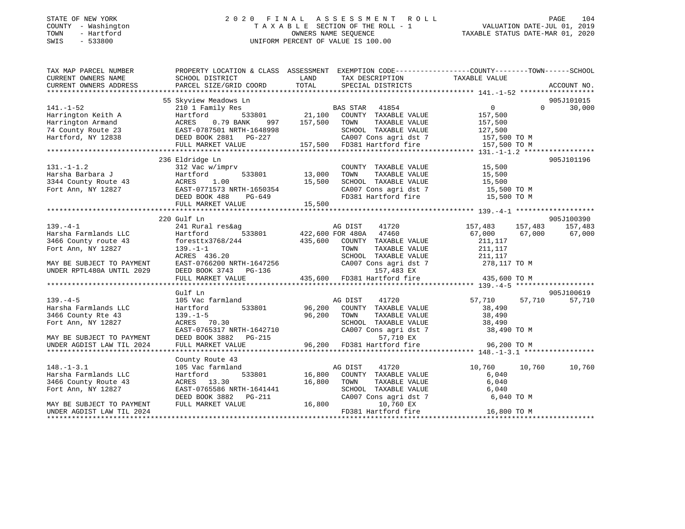#### STATE OF NEW YORK 2 0 2 0 F I N A L A S S E S S M E N T R O L L PAGE 104 COUNTY - Washington T A X A B L E SECTION OF THE ROLL - 1 VALUATION DATE-JUL 01, 2019 TOWN - Hartford OWNERS NAME SEQUENCE TAXABLE STATUS DATE-MAR 01, 2020 SWIS - 533800 UNIFORM PERCENT OF VALUE IS 100.00

| TAX MAP PARCEL NUMBER                      |                                                                                                                                                                                                                                   | PROPERTY LOCATION & CLASS ASSESSMENT EXEMPTION CODE---------------COUNTY-------TOWN-----SCHOOL                                                                                                                                                                                                                                              |                                  |
|--------------------------------------------|-----------------------------------------------------------------------------------------------------------------------------------------------------------------------------------------------------------------------------------|---------------------------------------------------------------------------------------------------------------------------------------------------------------------------------------------------------------------------------------------------------------------------------------------------------------------------------------------|----------------------------------|
| CURRENT OWNERS NAME                        | SCHOOL DISTRICT                                                                                                                                                                                                                   | LAND TAX DESCRIPTION TAXABLE VALUE                                                                                                                                                                                                                                                                                                          |                                  |
| CURRENT OWNERS ADDRESS                     | PARCEL SIZE/GRID COORD                                                                                                                                                                                                            | TOTAL<br>SPECIAL DISTRICTS                                                                                                                                                                                                                                                                                                                  | ACCOUNT NO.                      |
|                                            |                                                                                                                                                                                                                                   |                                                                                                                                                                                                                                                                                                                                             |                                  |
|                                            |                                                                                                                                                                                                                                   | 55 Skyview Meadows Ln<br>141.-1-52 210 1 Family Res BAS STAR 41854 0<br>Harrington Keith A Hartford 533801 21,100 COUNTY TAXABLE VALUE 157,500<br>157,500 16 Harrington Armand ACRES 0.79 BANK 997 157,500 TOWN TAXABLE VALUE 157,50                                                                                                        | 905J101015<br>$\Omega$<br>30,000 |
|                                            |                                                                                                                                                                                                                                   |                                                                                                                                                                                                                                                                                                                                             |                                  |
|                                            |                                                                                                                                                                                                                                   |                                                                                                                                                                                                                                                                                                                                             |                                  |
|                                            |                                                                                                                                                                                                                                   |                                                                                                                                                                                                                                                                                                                                             |                                  |
|                                            |                                                                                                                                                                                                                                   |                                                                                                                                                                                                                                                                                                                                             |                                  |
|                                            |                                                                                                                                                                                                                                   |                                                                                                                                                                                                                                                                                                                                             |                                  |
|                                            |                                                                                                                                                                                                                                   |                                                                                                                                                                                                                                                                                                                                             |                                  |
|                                            | 236 Eldridge Ln                                                                                                                                                                                                                   |                                                                                                                                                                                                                                                                                                                                             | 905J101196                       |
|                                            |                                                                                                                                                                                                                                   |                                                                                                                                                                                                                                                                                                                                             |                                  |
|                                            |                                                                                                                                                                                                                                   |                                                                                                                                                                                                                                                                                                                                             |                                  |
|                                            |                                                                                                                                                                                                                                   |                                                                                                                                                                                                                                                                                                                                             |                                  |
|                                            |                                                                                                                                                                                                                                   |                                                                                                                                                                                                                                                                                                                                             |                                  |
|                                            |                                                                                                                                                                                                                                   |                                                                                                                                                                                                                                                                                                                                             |                                  |
|                                            |                                                                                                                                                                                                                                   | $\begin{array}{ccccccccc} \text{131. -1-1.2} & \text{236 ÉIartage Ln} & \text{137. -1-1.2} & \text{238 E} & \text{139. -1-1.2} & \text{239. -1-1.2} & \text{240. -1-1.2} & \text{250. -1-1.2} & \text{260. -1-1.2} & \text{27. -1-1.2} & \text{28. -1-1.2} & \text{29. -1-1.2} & \text{20. -1-1.2} & \text{21. -1-1.2} & \text{22. -1-1.2}$ |                                  |
|                                            |                                                                                                                                                                                                                                   |                                                                                                                                                                                                                                                                                                                                             |                                  |
|                                            | 220 Gulf Ln                                                                                                                                                                                                                       |                                                                                                                                                                                                                                                                                                                                             | 905J100390                       |
| $139. -4 - 1$                              | 241 Rural res&ag                                                                                                                                                                                                                  | es&ag<br>533801 422,600 FOR 480A 47460                                                                                                                                                                                                                                                                                                      | 41720 157,483 157,483 157,483    |
|                                            |                                                                                                                                                                                                                                   |                                                                                                                                                                                                                                                                                                                                             | 67,000 67,000 67,000             |
|                                            |                                                                                                                                                                                                                                   |                                                                                                                                                                                                                                                                                                                                             |                                  |
|                                            | 139.-4-1<br>Harsha Farmlands LLC<br>3466 County route 43<br>Tort Ann NY 12827<br>139.-1-1<br>139.-1-1<br>139.-1-1                                                                                                                 |                                                                                                                                                                                                                                                                                                                                             |                                  |
| MAY BE SUBJECT TO PAYMENT                  |                                                                                                                                                                                                                                   |                                                                                                                                                                                                                                                                                                                                             |                                  |
| UNDER RPTL480A UNTIL 2029                  |                                                                                                                                                                                                                                   |                                                                                                                                                                                                                                                                                                                                             |                                  |
|                                            |                                                                                                                                                                                                                                   | ACRES 136.20<br>MORELL MARKET VALUE<br>DEED BOOK 3743 PG-136<br>FULL MARKET VALUE<br>TOWN TAXABLE VALUE<br>CA001 TAXABLE VALUE<br>CA007 Cons agri dst 7<br>157,483 EX<br>TULL MARKET VALUE<br>TOWN 157,483 EX<br>TULL MARKET VALUE<br>211,117<br>157,4                                                                                      |                                  |
|                                            |                                                                                                                                                                                                                                   |                                                                                                                                                                                                                                                                                                                                             |                                  |
|                                            | Gulf Ln                                                                                                                                                                                                                           |                                                                                                                                                                                                                                                                                                                                             | 905J100619                       |
| $139. -4-5$                                | 105 Vac farmland                                                                                                                                                                                                                  |                                                                                                                                                                                                                                                                                                                                             | 57,710<br>57,710<br>57,710       |
| Harsha Farmlands LLC<br>2166 County Pto 43 | Hartford                                                                                                                                                                                                                          |                                                                                                                                                                                                                                                                                                                                             |                                  |
|                                            |                                                                                                                                                                                                                                   |                                                                                                                                                                                                                                                                                                                                             |                                  |
|                                            |                                                                                                                                                                                                                                   |                                                                                                                                                                                                                                                                                                                                             |                                  |
|                                            |                                                                                                                                                                                                                                   | 1720<br>533801<br>533801<br>96,200 COUNTY TAXABLE VALUE<br>96,200 TOWN TAXABLE VALUE<br>SCHOOL TAXABLE VALUE<br>38,490<br>521 172 173 174 15 17<br>38,490<br>38,490<br>38,490<br>38,490<br>38,490<br>38,490<br>38,490<br>38,490<br>38,490<br>38,490<br>38,490                                                                               |                                  |
|                                            |                                                                                                                                                                                                                                   |                                                                                                                                                                                                                                                                                                                                             |                                  |
|                                            |                                                                                                                                                                                                                                   |                                                                                                                                                                                                                                                                                                                                             |                                  |
|                                            |                                                                                                                                                                                                                                   | 3466 County Rte 43<br>Fort Ann, NY 12827<br>Fort Ann, NY 12827<br>EAST-0765317 NRTH-1642710<br>MAY BE SUBJECT TO PAYMENT<br>DEED BOOK 3882 PG-215<br>UNDER AGDIST LAW TIL 2024<br>FULL MARKET VALUE<br>TOWER AGDIST LAW TIL 2024<br>FULL MARKET                                                                                             |                                  |
|                                            | County Route 43                                                                                                                                                                                                                   |                                                                                                                                                                                                                                                                                                                                             |                                  |
| $148. - 1 - 3.1$                           | 105 Vac farmland                                                                                                                                                                                                                  | 10,760<br>533801 16,800 COUNTY TAXABLE VALUE 10,760<br>533801 16,800 COUNTY TAXABLE VALUE 6,040                                                                                                                                                                                                                                             | 10,760<br>10,760                 |
| Harsha Farmlands LLC                       | Hartford                                                                                                                                                                                                                          |                                                                                                                                                                                                                                                                                                                                             |                                  |
| 3466 County Route 43                       | ACRES 13.30                                                                                                                                                                                                                       | 16,800 TOWN<br>$\begin{tabular}{lllllll} TOWN & TAXABLE & VALUE & & & & 6,040 \\ SCHOOD & TAXABLE & VALUE & & & & 6,040 \end{tabular}$                                                                                                                                                                                                      |                                  |
| Fort Ann, NY 12827                         |                                                                                                                                                                                                                                   |                                                                                                                                                                                                                                                                                                                                             |                                  |
|                                            | $\begin{tabular}{lllllll} \texttt{EAST-0765586 NRTH-1641441} & & & & & & & \\ \texttt{DEED BOOK 3882} & & & & & & & & \\ \texttt{DEED BOOK 3882} & & & & & & & & \\ \texttt{FULL MARKET VALUE} & & & & & 16,800 \\ \end{tabular}$ | CA007 Cons agri dst 7 6,040 TO M                                                                                                                                                                                                                                                                                                            |                                  |
| MAY BE SUBJECT TO PAYMENT                  |                                                                                                                                                                                                                                   | 10,760 EX<br>FD381 Hartford fire 16,800 TO M                                                                                                                                                                                                                                                                                                |                                  |
| UNDER AGDIST LAW TIL 2024                  |                                                                                                                                                                                                                                   |                                                                                                                                                                                                                                                                                                                                             |                                  |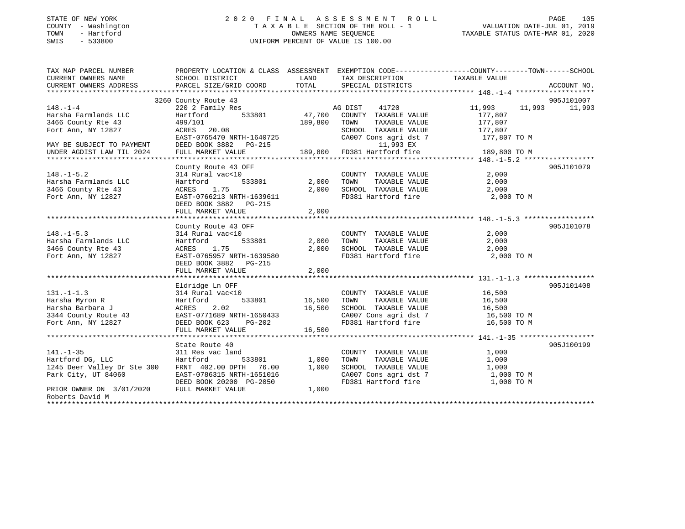| STATE OF NEW YORK |  |              |
|-------------------|--|--------------|
| COUNTY            |  | - Washington |
| TOWN              |  | - Hartford   |
| CM <sub>T</sub> C |  | 533800       |

#### STATE OF NEW YORK 2 0 2 0 F I N A L A S S E S S M E N T R O L L PAGE 105 COUNTY - Washington T A X A B L E SECTION OF THE ROLL - 1 VALUATION DATE-JUL 01, 2019 TOWN - Hartford OWNERS NAME SEQUENCE TAXABLE STATUS DATE-MAR 01, 2020 SWIS - 533800 UNIFORM PERCENT OF VALUE IS 100.00UNIFORM PERCENT OF VALUE IS 100.00

| TAX MAP PARCEL NUMBER<br>CURRENT OWNERS NAME | PROPERTY LOCATION & CLASS ASSESSMENT EXEMPTION CODE---------------COUNTY-------TOWN------SCHOOL<br>SCHOOL DISTRICT |                    | LAND TAX DESCRIPTION                                                    | TAXABLE VALUE    |                      |
|----------------------------------------------|--------------------------------------------------------------------------------------------------------------------|--------------------|-------------------------------------------------------------------------|------------------|----------------------|
| CURRENT OWNERS ADDRESS                       | PARCEL SIZE/GRID COORD                                                                                             | TOTAL              | SPECIAL DISTRICTS                                                       |                  | ACCOUNT NO.          |
|                                              |                                                                                                                    |                    |                                                                         |                  |                      |
| $148. - 1 - 4$                               | 3260 County Route 43                                                                                               |                    | AG DIST<br>41720                                                        | 11,993<br>11,993 | 905J101007<br>11,993 |
| Harsha Farmlands LLC                         | 220 2 Family Res<br>533801<br>Hartford                                                                             | 47,700             | COUNTY TAXABLE VALUE                                                    | 177,807          |                      |
| 3466 County Rte 43                           | 499/101                                                                                                            | 189,800            | TOWN<br>TAXABLE VALUE                                                   | 177,807          |                      |
| Fort Ann, NY 12827                           | ACRES 20.08                                                                                                        |                    | SCHOOL TAXABLE VALUE                                                    | 177,807          |                      |
|                                              | EAST-0765470 NRTH-1640725                                                                                          |                    | CA007 Cons agri dst 7                                                   | 177,807 TO M     |                      |
| MAY BE SUBJECT TO PAYMENT                    | DEED BOOK 3882 PG-215                                                                                              |                    | 11,993 EX                                                               |                  |                      |
| UNDER AGDIST LAW TIL 2024                    | FULL MARKET VALUE                                                                                                  |                    | 189,800 FD381 Hartford fire                                             | 189,800 TO M     |                      |
|                                              |                                                                                                                    |                    |                                                                         |                  |                      |
|                                              | County Route 43 OFF                                                                                                |                    |                                                                         |                  | 905J101079           |
| $148. - 1 - 5.2$                             | 314 Rural vac<10                                                                                                   |                    | COUNTY TAXABLE VALUE                                                    | 2,000            |                      |
| Harsha Farmlands LLC                         | Hartford                                                                                                           | 533801 2,000 TOWN  | TAXABLE VALUE<br>TAXABLE VALUE                                          | 2,000            |                      |
| 3466 County Rte 43                           | ACRES<br>1.75                                                                                                      | 2,000              | SCHOOL TAXABLE VALUE                                                    | 2,000            |                      |
| Fort Ann, NY 12827                           | EAST-0766213 NRTH-1639611                                                                                          |                    | FD381 Hartford fire                                                     | 2,000 TO M       |                      |
|                                              | DEED BOOK 3882 PG-215                                                                                              |                    |                                                                         |                  |                      |
|                                              | FULL MARKET VALUE                                                                                                  | 2,000              |                                                                         |                  |                      |
|                                              |                                                                                                                    |                    |                                                                         |                  |                      |
|                                              | County Route 43 OFF                                                                                                |                    |                                                                         |                  | 905J101078           |
| $148. - 1 - 5.3$                             | 314 Rural vac<10                                                                                                   |                    | COUNTY TAXABLE VALUE                                                    | 2,000            |                      |
| Harsha Farmlands LLC                         | 533801<br>Hartford                                                                                                 | 2,000 TOWN         | TAXABLE VALUE                                                           | 2,000            |                      |
| 3466 County Rte 43                           | ACRES 1.75                                                                                                         | 2,000              | SCHOOL TAXABLE VALUE                                                    | 2,000            |                      |
| Fort Ann, NY 12827                           | EAST-0765957 NRTH-1639580                                                                                          |                    | FD381 Hartford fire                                                     | 2,000 TO M       |                      |
|                                              | DEED BOOK 3882    PG-215                                                                                           |                    |                                                                         |                  |                      |
|                                              | FULL MARKET VALUE                                                                                                  | 2,000              |                                                                         |                  |                      |
|                                              |                                                                                                                    |                    |                                                                         |                  |                      |
|                                              | Eldridge Ln OFF                                                                                                    |                    |                                                                         |                  | 905J101408           |
| $131. -1 - 1.3$                              | 314 Rural vac<10                                                                                                   |                    | COUNTY TAXABLE VALUE 16,500                                             |                  |                      |
| Harsha Myron R                               | Hartford                                                                                                           | 533801 16,500 TOWN | 16,500    TOWN      TAXABLE  VALUE<br>16,500    SCHOOL   TAXABLE  VALUE | 16,500           |                      |
| Harsha Barbara J                             | 2.02<br>ACRES                                                                                                      |                    |                                                                         | 16,500           |                      |
| 3344 County Route 43                         | EAST-0771689 NRTH-1650433                                                                                          |                    | CA007 Cons agri dst 7 16,500 TO M                                       |                  |                      |
| Fort Ann, NY 12827                           | DEED BOOK 623 PG-202                                                                                               |                    | FD381 Hartford fire                                                     | 16,500 TO M      |                      |
|                                              | FULL MARKET VALUE                                                                                                  | 16,500             |                                                                         |                  |                      |
|                                              | State Route 40                                                                                                     |                    |                                                                         |                  | 905J100199           |
| $141. - 1 - 35$                              | 311 Res vac land                                                                                                   |                    | COUNTY TAXABLE VALUE                                                    | 1,000            |                      |
| Hartford DG, LLC                             | Hartford<br>533801                                                                                                 | 1,000              | TOWN<br>TAXABLE VALUE                                                   | 1,000            |                      |
| 1245 Deer Valley Dr Ste 300                  | FRNT 402.00 DPTH 76.00                                                                                             | 1,000              | SCHOOL TAXABLE VALUE                                                    | 1,000            |                      |
| Park City, UT 84060                          | EAST-0786315 NRTH-1651016                                                                                          |                    | CA007 Cons agri dst 7                                                   | 1,000 TO M       |                      |
|                                              | DEED BOOK 20200 PG-2050                                                                                            |                    | FD381 Hartford fire                                                     | 1,000 TO M       |                      |
| PRIOR OWNER ON 3/01/2020                     | FULL MARKET VALUE                                                                                                  | 1,000              |                                                                         |                  |                      |
| Roberts David M                              |                                                                                                                    |                    |                                                                         |                  |                      |
|                                              |                                                                                                                    |                    |                                                                         |                  |                      |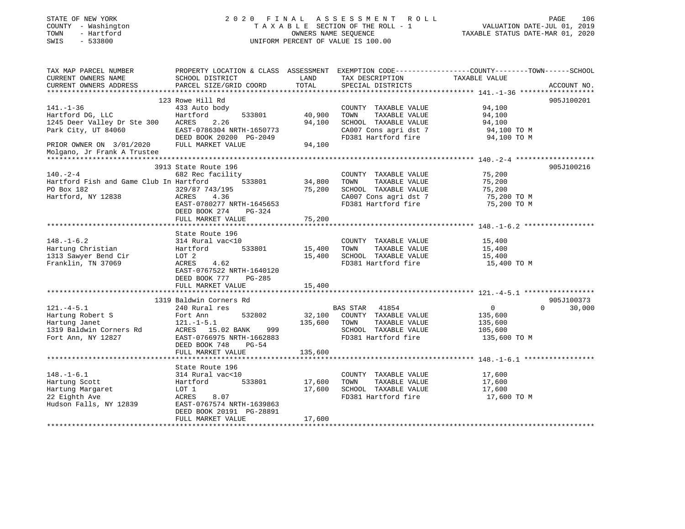| STATE OF NEW YORK |            |              |
|-------------------|------------|--------------|
| COUNTY            |            | - Washington |
| TOWN              |            | - Hartford   |
| CM <sub>T</sub> C | $-$ 533800 |              |

### STATE OF NEW YORK 2 0 2 0 F I N A L A S S E S S M E N T R O L L PAGE 106T A X A B L E SECTION OF THE ROLL - 1 VALUATION DATE-JUL 01, 2019<br>OWNERS NAME SEQUENCE TAXABLE STATUS DATE-MAR 01, 2020 SWIS - 533800 UNIFORM PERCENT OF VALUE IS 100.00

|                             | PAGE | 106 |
|-----------------------------|------|-----|
| VALUATION DATE-JUL 01, 2019 |      |     |

| TAX MAP PARCEL NUMBER                      |                           |         |                       | PROPERTY LOCATION & CLASS ASSESSMENT EXEMPTION CODE----------------COUNTY-------TOWN------SCHOOL |
|--------------------------------------------|---------------------------|---------|-----------------------|--------------------------------------------------------------------------------------------------|
| CURRENT OWNERS NAME                        | SCHOOL DISTRICT           | LAND    | TAX DESCRIPTION       | TAXABLE VALUE                                                                                    |
| CURRENT OWNERS ADDRESS                     | PARCEL SIZE/GRID COORD    | TOTAL   | SPECIAL DISTRICTS     | ACCOUNT NO.                                                                                      |
|                                            |                           |         |                       |                                                                                                  |
|                                            | 123 Rowe Hill Rd          |         |                       | 905J100201                                                                                       |
| $141. - 1 - 36$                            | 433 Auto body             |         | COUNTY TAXABLE VALUE  | 94,100                                                                                           |
| Hartford DG, LLC                           | Hartford<br>533801        | 40,900  | TAXABLE VALUE<br>TOWN | 94,100                                                                                           |
| 1245 Deer Valley Dr Ste 300 ACRES          | 2.26                      | 94,100  | SCHOOL TAXABLE VALUE  | 94,100                                                                                           |
| Park City, UT 84060                        | EAST-0786304 NRTH-1650773 |         | CA007 Cons agri dst 7 | 94,100 TO M                                                                                      |
|                                            | DEED BOOK 20200 PG-2049   |         | FD381 Hartford fire   | 94,100 TO M                                                                                      |
| PRIOR OWNER ON 3/01/2020 FULL MARKET VALUE |                           | 94,100  |                       |                                                                                                  |
| Molgano, Jr Frank A Trustee                |                           |         |                       |                                                                                                  |
|                                            |                           |         |                       |                                                                                                  |
|                                            |                           |         |                       |                                                                                                  |
|                                            | 3913 State Route 196      |         |                       | 905J100216                                                                                       |
| $140. - 2 - 4$                             | 682 Rec facility          |         | COUNTY TAXABLE VALUE  | 75,200                                                                                           |
| Hartford Fish and Game Club In Hartford    | 533801                    | 34,800  | TAXABLE VALUE<br>TOWN | 75,200                                                                                           |
| PO Box 182                                 | 329/87 743/195            | 75,200  | SCHOOL TAXABLE VALUE  | 75,200                                                                                           |
| Hartford, NY 12838                         | ACRES 4.36                |         | CA007 Cons agri dst 7 | 75,200 TO M                                                                                      |
|                                            | EAST-0780277 NRTH-1645653 |         | FD381 Hartford fire   | 75,200 TO M                                                                                      |
|                                            | DEED BOOK 274<br>PG-324   |         |                       |                                                                                                  |
|                                            | FULL MARKET VALUE         | 75,200  |                       |                                                                                                  |
|                                            |                           |         |                       |                                                                                                  |
|                                            | State Route 196           |         |                       |                                                                                                  |
| $148. - 1 - 6.2$                           | 314 Rural vac<10          |         | COUNTY TAXABLE VALUE  | 15,400                                                                                           |
| Hartung Christian                          | Hartford<br>533801        | 15,400  | TOWN<br>TAXABLE VALUE | 15,400                                                                                           |
| 1313 Sawyer Bend Cir                       | LOT 2                     | 15,400  | SCHOOL TAXABLE VALUE  | 15,400                                                                                           |
| Franklin, TN 37069                         | 4.62<br>ACRES             |         | FD381 Hartford fire   | 15,400 TO M                                                                                      |
|                                            | EAST-0767522 NRTH-1640120 |         |                       |                                                                                                  |
|                                            | DEED BOOK 777<br>PG-285   |         |                       |                                                                                                  |
|                                            | FULL MARKET VALUE         | 15,400  |                       |                                                                                                  |
|                                            |                           |         |                       |                                                                                                  |
|                                            | 1319 Baldwin Corners Rd   |         |                       | 905J100373                                                                                       |
|                                            |                           |         |                       | $\Omega$                                                                                         |
| $121. -4 - 5.1$                            | 240 Rural res             |         | BAS STAR 41854        | $\overline{0}$<br>30,000                                                                         |
| Hartung Robert S                           | Fort Ann<br>532802        | 32,100  | COUNTY TAXABLE VALUE  | 135,600                                                                                          |
| Hartung Janet                              | $121. - 1 - 5.1$          | 135,600 | TAXABLE VALUE<br>TOWN | 135,600                                                                                          |
| 1319 Baldwin Corners Rd ACRES 15.02 BANK   | 999                       |         | SCHOOL TAXABLE VALUE  | 105,600                                                                                          |
| Fort Ann, NY 12827                         | EAST-0766975 NRTH-1662883 |         | FD381 Hartford fire   | 135,600 TO M                                                                                     |
|                                            | DEED BOOK 748<br>$PG-54$  |         |                       |                                                                                                  |
|                                            | FULL MARKET VALUE         | 135,600 |                       |                                                                                                  |
|                                            |                           |         |                       |                                                                                                  |
|                                            | State Route 196           |         |                       |                                                                                                  |
| $148. - 1 - 6.1$                           | 314 Rural vac<10          |         | COUNTY TAXABLE VALUE  | 17,600                                                                                           |
| Hartung Scott                              | 533801<br>Hartford        | 17,600  | TOWN<br>TAXABLE VALUE | 17,600                                                                                           |
| Hartung Margaret                           | LOT 1                     | 17,600  | SCHOOL TAXABLE VALUE  | 17,600                                                                                           |
| 22 Eighth Ave                              | ACRES<br>8.07             |         | FD381 Hartford fire   | 17,600 TO M                                                                                      |
| Hudson Falls, NY 12839                     | EAST-0767574 NRTH-1639863 |         |                       |                                                                                                  |
|                                            | DEED BOOK 20191 PG-28891  |         |                       |                                                                                                  |
|                                            | FULL MARKET VALUE         | 17,600  |                       |                                                                                                  |
|                                            |                           |         |                       |                                                                                                  |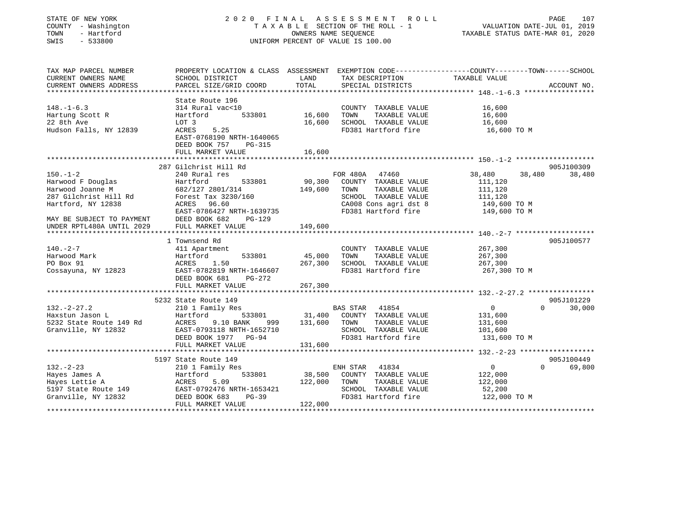| STATE OF NEW YORK |              |
|-------------------|--------------|
| COUNTY            | - Washington |
| TOWN              | - Hartford   |
| CM T C            | ECCOON       |

#### STATE OF NEW YORK 2 0 2 0 F I N A L A S S E S S M E N T R O L L PAGE 107T A X A B L E SECTION OF THE ROLL - 1<br>OWNERS NAME SEQUENCE SWIS - 533800 UNIFORM PERCENT OF VALUE IS 100.00

VALUATION DATE-JUL 01, 2019

| TAX MAP PARCEL NUMBER                                  | PROPERTY LOCATION & CLASS ASSESSMENT EXEMPTION CODE----------------COUNTY-------TOWN------SCHOOL   |               |                                    |                   |                    |
|--------------------------------------------------------|----------------------------------------------------------------------------------------------------|---------------|------------------------------------|-------------------|--------------------|
| CURRENT OWNERS NAME                                    | SCHOOL DISTRICT                                                                                    | LAND          | TAX DESCRIPTION                    | TAXABLE VALUE     |                    |
| CURRENT OWNERS ADDRESS                                 | PARCEL SIZE/GRID COORD                                                                             | TOTAL         | SPECIAL DISTRICTS                  |                   | ACCOUNT NO.        |
|                                                        |                                                                                                    |               |                                    |                   |                    |
|                                                        | State Route 196                                                                                    |               |                                    |                   |                    |
| $148. - 1 - 6.3$                                       | 314 Rural vac<10                                                                                   |               | COUNTY TAXABLE VALUE               | 16,600            |                    |
| Hartung Scott R                                        | Hartford                                                                                           | 533801 16,600 | TOWN<br>TAXABLE VALUE              | 16,600            |                    |
| 22 8th Ave                                             | LOT 3                                                                                              | 16,600        | SCHOOL TAXABLE VALUE               | 16,600            |                    |
| Hudson Falls, NY 12839                                 | 5.25<br>ACRES                                                                                      |               | FD381 Hartford fire                | 16,600 TO M       |                    |
|                                                        | EAST-0768190 NRTH-1640065                                                                          |               |                                    |                   |                    |
|                                                        | DEED BOOK 757<br>PG-315                                                                            |               |                                    |                   |                    |
|                                                        | FULL MARKET VALUE                                                                                  | 16,600        |                                    |                   |                    |
|                                                        |                                                                                                    |               |                                    |                   |                    |
|                                                        | 287 Gilchrist Hill Rd                                                                              |               |                                    |                   | 905J100309         |
| $150. - 1 - 2$                                         | 240 Rural res                                                                                      |               | FOR 480A 47460                     | 38,480<br>38,480  | 38,480             |
| Harwood F Douglas                                      | Hartford<br>533801                                                                                 | 90,300        | COUNTY TAXABLE VALUE               | 111,120           |                    |
| Harwood Joanne M                                       | 682/127 2801/314                                                                                   | 149,600       | TOWN<br>TAXABLE VALUE              | 111,120           |                    |
| 287 Gilchrist Hill Rd                                  | Forest Tax 3230/160                                                                                |               | SCHOOL TAXABLE VALUE               | 111,120           |                    |
| Hartford, NY 12838                                     | ACRES 96.60                                                                                        |               | CA008 Cons agri dst 8              | 149,600 TO M      |                    |
|                                                        | EAST-0786427 NRTH-1639735                                                                          |               | FD381 Hartford fire 149,600 TO M   |                   |                    |
| MAY BE SUBJECT TO PAYMENT<br>UNDER RPTL480A UNTIL 2029 | DEED BOOK 682<br>PG-129                                                                            |               |                                    |                   |                    |
|                                                        | FULL MARKET VALUE                                                                                  | 149,600       |                                    |                   |                    |
|                                                        |                                                                                                    |               |                                    |                   |                    |
|                                                        | 1 Townsend Rd                                                                                      |               |                                    |                   | 905J100577         |
| $140. - 2 - 7$                                         | 411 Apartment                                                                                      |               | COUNTY TAXABLE VALUE               | 267,300           |                    |
| Harwood Mark                                           | Hartford<br>533801                                                                                 | 45,000        | TOWN<br>TAXABLE VALUE              | 267,300           |                    |
| PO Box 91                                              | ACRES 1.50                                                                                         | 267,300       | SCHOOL TAXABLE VALUE               | 267,300           |                    |
| Cossayuna, NY 12823                                    | EAST-0782819 NRTH-1646607                                                                          |               | FD381 Hartford fire                | 267,300 ТО М      |                    |
|                                                        | DEED BOOK 681<br>PG-272                                                                            |               |                                    |                   |                    |
|                                                        | FULL MARKET VALUE                                                                                  | 267,300       |                                    |                   |                    |
|                                                        |                                                                                                    |               |                                    |                   |                    |
|                                                        | 5232 State Route 149                                                                               |               |                                    |                   | 905J101229         |
| $132 - 2 - 27.2$                                       | 210 1 Family Res                                                                                   |               | BAS STAR 41854                     | $\overline{0}$    | $\Omega$<br>30,000 |
| Haxstun Jason L                                        | Hartford                                                                                           |               | 533801 31,400 COUNTY TAXABLE VALUE | 131,600           |                    |
| 5232 State Route 149 Rd                                | <b>ACRES</b><br>9.10 BANK<br>999                                                                   | 131,600       | TOWN<br>TAXABLE VALUE              | 131,600           |                    |
| Granville, NY 12832                                    | EAST-0793118 NRTH-1652710                                                                          |               | SCHOOL TAXABLE VALUE               | 101,600           |                    |
|                                                        | DEED BOOK 1977 PG-94                                                                               |               | FD381 Hartford fire                | 131,600 TO M      |                    |
|                                                        | FULL MARKET VALUE                                                                                  | 131,600       |                                    |                   |                    |
|                                                        |                                                                                                    |               |                                    |                   |                    |
|                                                        | 5197 State Route 149                                                                               |               |                                    |                   | 905J100449         |
| $132 - 2 - 23$                                         | 210 1 Family Res                                                                                   |               | ENH STAR 41834                     | $0 \qquad \qquad$ | $\Omega$<br>69,800 |
| Hayes James A                                          | 533801<br>Hartford                                                                                 | 38,500        | COUNTY TAXABLE VALUE               | 122,000           |                    |
| Hayes Lettie A                                         |                                                                                                    | 122,000       | TOWN<br>TAXABLE VALUE              | 122,000           |                    |
| 5197 State Route 149                                   |                                                                                                    |               | SCHOOL TAXABLE VALUE               | 52,200            |                    |
| Granville, NY 12832                                    |                                                                                                    |               | FD381 Hartford fire                | 122,000 TO M      |                    |
|                                                        | 2832 MCRES 5.09<br>2832 EAST-0792476 NRTH-1653421<br>2832 DEED BOOK 683 PG-39<br>FULL MARKET VALUE | 122,000       |                                    |                   |                    |
|                                                        |                                                                                                    |               |                                    |                   |                    |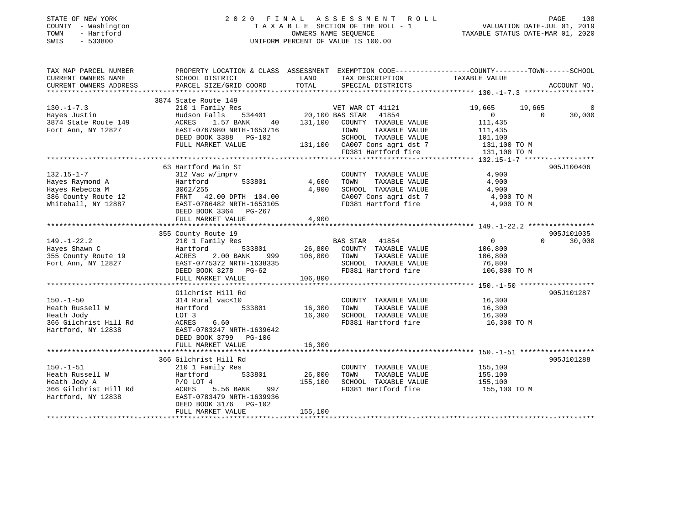| STATE OF NEW YORK |              |
|-------------------|--------------|
| COUNTY            | - Washington |
| TOWN              | - Hartford   |
| <b>CMTC</b>       | $-533800$    |

#### STATE OF NEW YORK 2 0 2 0 F I N A L A S S E S S M E N T R O L L PAGE 108 COUNTY - Washington T A X A B L E SECTION OF THE ROLL - 1 VALUATION DATE-JUL 01, 2019 TOWN - Hartford OWNERS NAME SEQUENCE TAXABLE STATUS DATE-MAR 01, 2020 SWIS - 533800 UNIFORM PERCENT OF VALUE IS 100.00

| TAX MAP PARCEL NUMBER                                                                                              | PROPERTY LOCATION & CLASS ASSESSMENT EXEMPTION CODE---------------COUNTY-------TOWN------SCHOOL                                                                               |                                         |                                                                                                                                                                                                                    |                                                                             |                                      |
|--------------------------------------------------------------------------------------------------------------------|-------------------------------------------------------------------------------------------------------------------------------------------------------------------------------|-----------------------------------------|--------------------------------------------------------------------------------------------------------------------------------------------------------------------------------------------------------------------|-----------------------------------------------------------------------------|--------------------------------------|
| CURRENT OWNERS NAME<br>CURRENT OWNERS ADDRESS                                                                      | SCHOOL DISTRICT<br>PARCEL SIZE/GRID COORD                                                                                                                                     | LAND<br>TOTAL                           | TAX DESCRIPTION<br>SPECIAL DISTRICTS                                                                                                                                                                               | TAXABLE VALUE                                                               | ACCOUNT NO.                          |
|                                                                                                                    |                                                                                                                                                                               |                                         |                                                                                                                                                                                                                    |                                                                             |                                      |
| $130. - 1 - 7.3$<br>Hayes Justin<br>3874 State Route 149<br>Fort Ann, NY 12827                                     | 3874 State Route 149<br>210 1 Family Res<br>Hudson Falls<br>ACRES<br>1.57 BANK<br>EAST-0767980 NRTH-1653716<br>DEED BOOK 3388 PG-102<br>FULL MARKET VALUE                     | 534401 20,100 BAS STAR                  | VET WAR CT 41121<br>41854<br>40 131,100 COUNTY TAXABLE VALUE<br>TOWN<br>TAXABLE VALUE<br>SCHOOL TAXABLE VALUE<br>SCHOOL TAXABLE VALUE 101,100<br>131,100 CA007 Cons agri dst 7 131,100 TO M<br>FD381 Hartford fire | 19,665<br>19,665<br>$0 \qquad \qquad$<br>111,435<br>111,435<br>131,100 TO M | $\overline{0}$<br>30,000<br>$\Omega$ |
|                                                                                                                    |                                                                                                                                                                               |                                         |                                                                                                                                                                                                                    |                                                                             |                                      |
| $132.15 - 1 - 7$<br>Hayes Raymond A<br>nayes Rebecca M<br>386 County Route 12<br>Whitehall, NY 12887               | 63 Hartford Main St<br>312 Vac w/imprv<br>Hartford<br>533801<br>3062/255<br>FRNT 42.00 DPTH 104.00<br>EAST-0786482 NRTH-1653105<br>DEED BOOK 3364 PG-267<br>FULL MARKET VALUE | 4,600<br>4,900<br>4,900                 | COUNTY TAXABLE VALUE<br>TAXABLE VALUE<br>TOWN<br>SCHOOL TAXABLE VALUE<br>SCHOOL TAXABLE VALUE<br>CA007 Cons agri dst 7<br>FD381 Hartford fire                                                                      | 4,900<br>4,900<br>4,900<br>4,900 TO M<br>4,900 TO M                         | 905J100406                           |
|                                                                                                                    |                                                                                                                                                                               |                                         |                                                                                                                                                                                                                    |                                                                             |                                      |
| $149. - 1 - 22.2$<br>Hayes Shawn C<br>355 County Route 19 ACRES<br>Fort Ann, NY 12827 EAST-0<br>Fort Ann, NY 12827 | 355 County Route 19<br>210 1 Family Res<br>Hartford<br>2.00 BANK<br>EAST-0775372 NRTH-1638335<br>DEED BOOK 3278 PG-62<br>FULL MARKET VALUE                                    | 533801 26,800<br>999 106,800<br>106,800 | BAS STAR 41854<br>COUNTY TAXABLE VALUE<br>TOWN<br>TAXABLE VALUE<br>SCHOOL TAXABLE VALUE<br>FD381 Hartford fire 106,800 TO M                                                                                        | $0 \qquad \qquad$<br>106,800<br>106,800<br>76,800                           | 905J101035<br>$\Omega$<br>30,000     |
|                                                                                                                    |                                                                                                                                                                               |                                         |                                                                                                                                                                                                                    |                                                                             |                                      |
| $150. - 1 - 50$<br>Heath Russell W<br>Heath Jody<br>366 Gilchrist Hill Rd<br>Hartford, NY 12838                    | Gilchrist Hill Rd<br>314 Rural vac<10<br>533801<br>Hartford<br>LOT 3<br>ACRES 6.60<br>EAST-0783247 NRTH-1639642<br>DEED BOOK 3799 PG-106                                      | 16,300<br>16,300                        | COUNTY TAXABLE VALUE<br>TOWN<br>TAXABLE VALUE<br>SCHOOL TAXABLE VALUE<br>FD381 Hartford fire                                                                                                                       | 16,300<br>16,300<br>16,300<br>16,300 TO M                                   | 905J101287                           |
|                                                                                                                    | FULL MARKET VALUE                                                                                                                                                             | 16,300                                  |                                                                                                                                                                                                                    |                                                                             |                                      |
| $150. - 1 - 51$<br>Heath Russell W                                                                                 | 366 Gilchrist Hill Rd<br>210 1 Family Res<br>533801<br>Hartford                                                                                                               | 26,000                                  | COUNTY TAXABLE VALUE<br>TOWN<br>TAXABLE VALUE                                                                                                                                                                      | 155,100<br>155,100                                                          | 905J101288                           |
| Heath Jody A<br>366 Gilchrist Hill Rd<br>Hartford, NY 12838                                                        | $P/O$ LOT $4$<br>997<br>ACRES 5.56 BANK<br>EAST-0783479 NRTH-1639936<br>DEED BOOK 3176 PG-102                                                                                 | 155,100<br>155,100                      | SCHOOL TAXABLE VALUE<br>FD381 Hartford fire                                                                                                                                                                        | 155,100<br>155,100 TO M                                                     |                                      |
|                                                                                                                    | FULL MARKET VALUE                                                                                                                                                             |                                         |                                                                                                                                                                                                                    |                                                                             |                                      |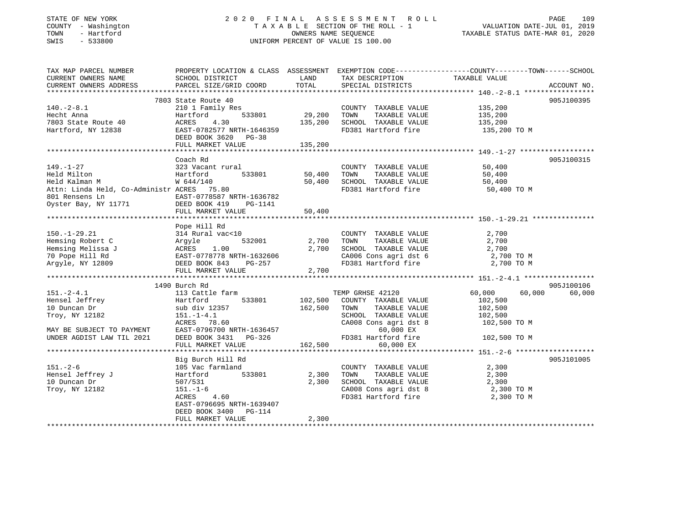## STATE OF NEW YORK 2 0 2 0 F I N A L A S S E S S M E N T R O L L PAGE 109 COUNTY - Washington T A X A B L E SECTION OF THE ROLL - 1 VALUATION DATE-JUL 01, 2019 TOWN - Hartford OWNERS NAME SEQUENCE TAXABLE STATUS DATE-MAR 01, 2020 SWIS - 533800 UNIFORM PERCENT OF VALUE IS 100.00

| TAX MAP PARCEL NUMBER                               | PROPERTY LOCATION & CLASS ASSESSMENT EXEMPTION CODE----------------COUNTY-------TOWN------SCHOOL |         |                       |                  |             |
|-----------------------------------------------------|--------------------------------------------------------------------------------------------------|---------|-----------------------|------------------|-------------|
| CURRENT OWNERS NAME                                 | SCHOOL DISTRICT                                                                                  | LAND    | TAX DESCRIPTION       | TAXABLE VALUE    |             |
| CURRENT OWNERS ADDRESS                              | PARCEL SIZE/GRID COORD                                                                           | TOTAL   | SPECIAL DISTRICTS     |                  | ACCOUNT NO. |
|                                                     |                                                                                                  |         |                       |                  |             |
|                                                     | 7803 State Route 40                                                                              |         |                       |                  | 905J100395  |
| $140.-2-8.1$                                        | 210 1 Family Res                                                                                 |         | COUNTY TAXABLE VALUE  | 135,200          |             |
| Hecht Anna                                          | 533801<br>Hartford                                                                               | 29,200  | TOWN<br>TAXABLE VALUE | 135,200          |             |
| 7803 State Route 40                                 | ACRES<br>4.30                                                                                    | 135,200 | SCHOOL TAXABLE VALUE  | 135,200          |             |
| Hartford, NY 12838                                  | EAST-0782577 NRTH-1646359                                                                        |         | FD381 Hartford fire   | 135,200 TO M     |             |
|                                                     | DEED BOOK 3620<br>PG-38                                                                          |         |                       |                  |             |
|                                                     | FULL MARKET VALUE                                                                                | 135,200 |                       |                  |             |
|                                                     |                                                                                                  |         |                       |                  |             |
|                                                     | Coach Rd                                                                                         |         |                       |                  | 905J100315  |
| $149. - 1 - 27$                                     | 323 Vacant rural                                                                                 |         | COUNTY TAXABLE VALUE  | 50,400           |             |
| Held Milton                                         | 533801<br>Hartford                                                                               | 50,400  | TOWN<br>TAXABLE VALUE | 50,400           |             |
| Held Kalman M                                       | W 644/140                                                                                        | 50,400  | SCHOOL TAXABLE VALUE  | 50,400           |             |
| Attn: Linda Held, Co-Administr ACRES 75.80          |                                                                                                  |         | FD381 Hartford fire   | 50,400 TO M      |             |
| 801 Rensens Ln                                      | EAST-0778587 NRTH-1636782                                                                        |         |                       |                  |             |
| Oyster Bay, NY 11771 DEED BOOK 419                  | PG-1141                                                                                          |         |                       |                  |             |
|                                                     | FULL MARKET VALUE                                                                                | 50,400  |                       |                  |             |
|                                                     |                                                                                                  |         |                       |                  |             |
|                                                     | Pope Hill Rd                                                                                     |         |                       |                  |             |
| $150. - 1 - 29.21$                                  | 314 Rural vac<10                                                                                 |         | COUNTY TAXABLE VALUE  | 2,700            |             |
| Hemsing Robert C                                    | 532001                                                                                           | 2,700   | TOWN<br>TAXABLE VALUE | 2,700            |             |
| Hemsing Melissa J                                   | Argyle<br>Argyle<br>ACRES 1.00<br>EAST-0779770                                                   | 2,700   | SCHOOL TAXABLE VALUE  | 2,700            |             |
| 70 Pope Hill Rd                                     | EAST-0778778 NRTH-1632606                                                                        |         | CA006 Cons agri dst 6 | 2,700 TO M       |             |
| Argyle, NY 12809                                    | DEED BOOK 843<br>PG-257                                                                          |         | FD381 Hartford fire   | 2,700 TO M       |             |
|                                                     | FULL MARKET VALUE                                                                                | 2,700   |                       |                  |             |
|                                                     |                                                                                                  |         |                       |                  |             |
|                                                     | 1490 Burch Rd                                                                                    |         |                       |                  | 905J100106  |
| $151. - 2 - 4.1$                                    | 113 Cattle farm                                                                                  |         | TEMP GRHSE 42120      | 60,000<br>60,000 | 60,000      |
| Hensel Jeffrey                                      | 533801<br>Hartford                                                                               | 102,500 | COUNTY TAXABLE VALUE  | 102,500          |             |
| 10 Duncan Dr                                        | sub div 12357                                                                                    | 162,500 | TOWN<br>TAXABLE VALUE | 102,500          |             |
| Troy, NY 12182                                      | $151. - 1 - 4.1$                                                                                 |         | SCHOOL TAXABLE VALUE  | 102,500          |             |
|                                                     | ACRES 78.60                                                                                      |         | CA008 Cons agri dst 8 | 102,500 TO M     |             |
| MAY BE SUBJECT TO PAYMENT EAST-0796700 NRTH-1636457 |                                                                                                  |         | 60,000 EX             |                  |             |
| UNDER AGDIST LAW TIL 2021                           | DEED BOOK 3431<br>PG-326                                                                         |         | FD381 Hartford fire   | 102,500 TO M     |             |
|                                                     | FULL MARKET VALUE                                                                                | 162,500 | 60,000 EX             |                  |             |
|                                                     |                                                                                                  |         |                       |                  |             |
|                                                     | Big Burch Hill Rd                                                                                |         |                       |                  | 905J101005  |
| $151. - 2 - 6$                                      | 105 Vac farmland                                                                                 |         | COUNTY TAXABLE VALUE  | 2,300            |             |
| Hensel Jeffrey J                                    | 533801<br>Hartford                                                                               | 2,300   | TOWN<br>TAXABLE VALUE | 2,300            |             |
| 10 Duncan Dr                                        | 507/531                                                                                          | 2,300   | SCHOOL TAXABLE VALUE  | 2,300            |             |
| Troy, NY 12182                                      | $151.-1-6$                                                                                       |         | CA008 Cons agri dst 8 | 2,300 TO M       |             |
|                                                     | ACRES<br>4.60                                                                                    |         | FD381 Hartford fire   | 2,300 TO M       |             |
|                                                     | EAST-0796695 NRTH-1639407                                                                        |         |                       |                  |             |
|                                                     | DEED BOOK 3400<br>PG-114                                                                         |         |                       |                  |             |
|                                                     | FULL MARKET VALUE                                                                                | 2,300   |                       |                  |             |
|                                                     |                                                                                                  |         |                       |                  |             |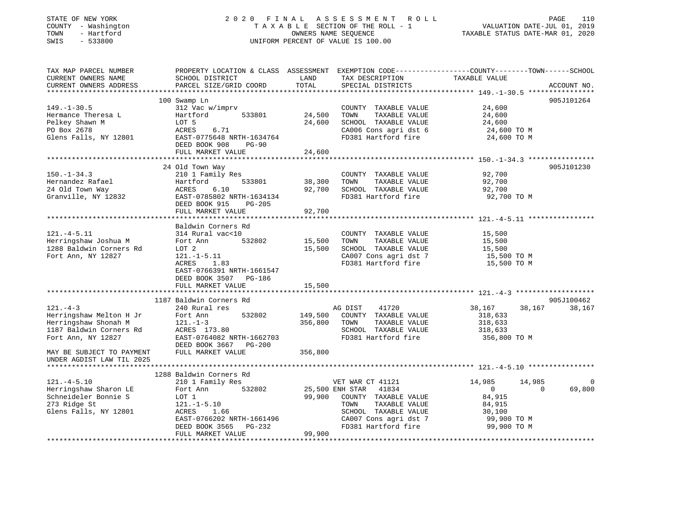| STATE OF NEW YORK<br>COUNTY - Washington<br>TOWN - Hartford<br>SWIS<br>$-533800$                                                               |                                                                                                                                                                                         | 2020 FINAL ASSESSMENT ROLL<br>TAXABLE SECTION OF THE ROLL - 1<br>OWNERS NAME SEQUENCE<br>UNIFORM PERCENT OF VALUE IS 100.00                                                            | PAGE<br>110<br>VALUATION DATE-JUL 01, 2019<br>VALUATION DATE-JUL 01, 2019<br>TAXABLE STATUS DATE-MAR 01, 2020                    |
|------------------------------------------------------------------------------------------------------------------------------------------------|-----------------------------------------------------------------------------------------------------------------------------------------------------------------------------------------|----------------------------------------------------------------------------------------------------------------------------------------------------------------------------------------|----------------------------------------------------------------------------------------------------------------------------------|
| TAX MAP PARCEL NUMBER<br>CURRENT OWNERS NAME<br>CURRENT OWNERS ADDRESS                                                                         | SCHOOL DISTRICT<br>PARCEL SIZE/GRID COORD                                                                                                                                               | TAX DESCRIPTION TAXABLE VALUE<br>LAND<br>TOTAL<br>SPECIAL DISTRICTS                                                                                                                    | PROPERTY LOCATION & CLASS ASSESSMENT EXEMPTION CODE----------------COUNTY-------TOWN------SCHOOL<br>ACCOUNT NO.                  |
| $149. - 1 - 30.5$<br>Hermance Theresa L<br>Pelkey Shawn M<br>PO Box 2678<br>Glens Falls, NY 12801                                              | 100 Swamp Ln<br>312 Vac w/imprv<br>Hartford<br>533801<br>LOT 5<br>6.71<br>ACRES<br>EAST-0775648 NRTH-1634764<br>DEED BOOK 908 PG-90<br>FULL MARKET VALUE                                | COUNTY TAXABLE VALUE<br>24,500<br>TOWN<br>TAXABLE VALUE<br>24,600<br>SCHOOL TAXABLE VALUE<br>CA006 Cons agri dst 6<br>FD381 Hartford fire<br>24,600                                    | 905J101264<br>24,600<br>24,600<br>24,600<br>24,600 TO M<br>24,600 TO M                                                           |
| $150. - 1 - 34.3$<br>Hernandez Rafael<br>24 Old Town Way<br>Granville, NY 12832                                                                | 24 Old Town Way<br>210 1 Family Res<br>Hartford<br>533801<br>6.10<br>ACRES<br>EAST-0785802 NRTH-1634134<br>DEED BOOK 915<br>PG-205<br>FULL MARKET VALUE                                 | COUNTY TAXABLE VALUE<br>38,300<br>TOWN<br>TAXABLE VALUE<br>92,700<br>SCHOOL TAXABLE VALUE<br>FD381 Hartford fire<br>92,700                                                             | 905J101230<br>92,700<br>92,700<br>92,700<br>92,700 TO M                                                                          |
| $121. -4 - 5.11$<br>Herringshaw Joshua M<br>1288 Baldwin Corners Rd<br>Fort Ann, NY 12827                                                      | Baldwin Corners Rd<br>314 Rural vac<10<br>Fort Ann 532802<br>LOT 2<br>$121. - 1 - 5.11$<br>ACRES 1.83<br>EAST-0766391 NRTH-1661547<br>DEED BOOK 3507 PG-186<br>FULL MARKET VALUE        | COUNTY TAXABLE VALUE<br>15,500<br>TOWN<br>TAXABLE VALUE<br>SCHOOL TAXABLE VALUE<br>15,500<br>CA007 Cons agri dst 7<br>FD381 Hartford fire<br>15,500                                    | 15,500<br>15,500<br>15,500<br>15,500 TO M<br>15,500 TO M                                                                         |
| $121. -4 - 3$<br>Herringshaw Melton H Jr<br>Herringshaw Shonah M<br>1187 Baldwin Corners Rd<br>Fort Ann, NY 12827<br>MAY BE SUBJECT TO PAYMENT | 1187 Baldwin Corners Rd<br>240 Rural res<br>Fort Ann<br>532802<br>$121. - 1 - 3$<br>ACRES 173.80<br>EAST-0764082 NRTH-1662703<br>DEED BOOK 3667 PG-200<br>FULL MARKET VALUE             | AG DIST<br>41720<br>149,500<br>COUNTY TAXABLE VALUE<br>356,800<br>TOWN<br>TAXABLE VALUE<br>SCHOOL TAXABLE VALUE<br>FD381 Hartford fire<br>356,800                                      | 905J100462<br>38,167<br>38,167<br>38,167<br>318,633<br>318,633<br>318,633<br>356,800 TO M                                        |
| UNDER AGDIST LAW TIL 2025<br>$121. -4 - 5.10$<br>Herringshaw Sharon LE<br>Schneideler Bonnie S<br>273 Ridge St<br>Glens Falls, NY 12801        | 1288 Baldwin Corners Rd<br>210 1 Family Res<br>532802<br>Fort Ann<br>$121. -1 - 5.10$<br>ACPEC<br>ACRES 1.66<br>EAST-0766202 NRTH-1661496<br>DEED BOOK 3565 PG-232<br>FULL MARKET VALUE | VET WAR CT 41121<br>25,500 ENH STAR 41834<br>99,900<br>COUNTY TAXABLE VALUE<br>TOWN<br>TAXABLE VALUE<br>SCHOOL TAXABLE VALUE<br>CA007 Cons agri dst 7<br>FD381 Hartford fire<br>99,900 | 14,985<br>14,985<br>$\Omega$<br>$\Omega$<br>69,800<br>$\overline{0}$<br>84,915<br>84,915<br>30,100<br>99,900 TO M<br>99,900 TO M |
|                                                                                                                                                |                                                                                                                                                                                         |                                                                                                                                                                                        |                                                                                                                                  |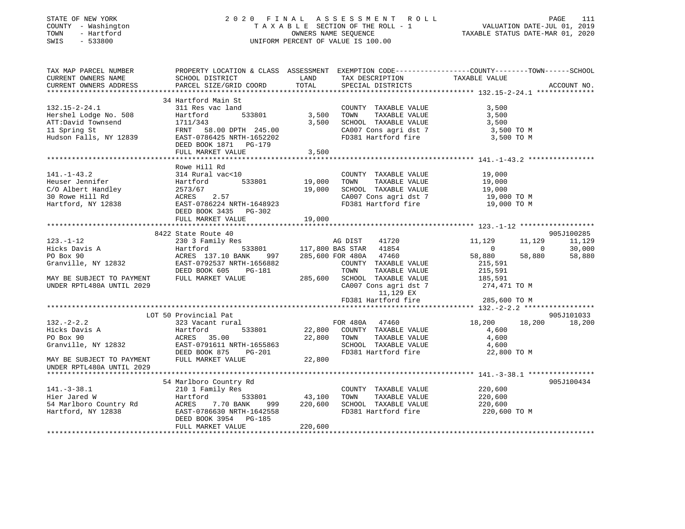## STATE OF NEW YORK 2 0 2 0 F I N A L A S S E S S M E N T R O L L PAGE 111 COUNTY - Washington T A X A B L E SECTION OF THE ROLL - 1 VALUATION DATE-JUL 01, 2019 TOWN - Hartford OWNERS NAME SEQUENCE TAXABLE STATUS DATE-MAR 01, 2020 SWIS - 533800 UNIFORM PERCENT OF VALUE IS 100.00

| TAX MAP PARCEL NUMBER<br>CURRENT OWNERS NAME<br>CURRENT OWNERS ADDRESS        | SCHOOL DISTRICT<br>PARCEL SIZE/GRID COORD                                     | LAND<br>TOTAL            | TAX DESCRIPTION<br>SPECIAL DISTRICTS                                                           | PROPERTY LOCATION & CLASS ASSESSMENT EXEMPTION CODE---------------COUNTY-------TOWN------SCHOOL<br>TAXABLE VALUE | ACCOUNT NO.      |
|-------------------------------------------------------------------------------|-------------------------------------------------------------------------------|--------------------------|------------------------------------------------------------------------------------------------|------------------------------------------------------------------------------------------------------------------|------------------|
|                                                                               |                                                                               |                          |                                                                                                |                                                                                                                  |                  |
| $132.15 - 2 - 24.1$<br>Hershel Lodge No. 508                                  | 34 Hartford Main St<br>311 Res vac land<br>533801<br>Hartford                 | 3,500                    | COUNTY TAXABLE VALUE<br>TAXABLE VALUE<br>TOWN                                                  | 3,500<br>3,500                                                                                                   |                  |
| ATT:David Townsend<br>11 Spring St                                            | 1711/343<br>FRNT 58.00 DPTH 245.00                                            | 3,500                    | SCHOOL TAXABLE VALUE<br>CA007 Cons agri dst 7                                                  | 3,500<br>3,500 TO M                                                                                              |                  |
| Hudson Falls, NY 12839                                                        | EAST-0786425 NRTH-1652202<br>DEED BOOK 1871 PG-179<br>FULL MARKET VALUE       | 3,500                    | FD381 Hartford fire                                                                            | 3,500 TO M                                                                                                       |                  |
|                                                                               |                                                                               |                          |                                                                                                |                                                                                                                  |                  |
|                                                                               | Rowe Hill Rd                                                                  |                          |                                                                                                |                                                                                                                  |                  |
| $141. - 1 - 43.2$<br>Heuser Jennifer<br>C/O Albert Handley<br>30 Rowe Hill Rd | 314 Rural vac<10<br>533801<br>Hartford<br>2573/67<br>ACRES 2.57               | 19,000<br>19,000         | COUNTY TAXABLE VALUE<br>TOWN<br>TAXABLE VALUE<br>SCHOOL TAXABLE VALUE<br>CA007 Cons agri dst 7 | 19,000<br>19,000<br>19,000<br>19,000 TO M                                                                        |                  |
| Hartford, NY 12838                                                            | EAST-0786224 NRTH-1648923<br>DEED BOOK 3435 PG-302<br>FULL MARKET VALUE       | 19,000                   | FD381 Hartford fire                                                                            | 19,000 TO M                                                                                                      |                  |
|                                                                               |                                                                               |                          |                                                                                                |                                                                                                                  |                  |
|                                                                               | 8422 State Route 40                                                           |                          |                                                                                                |                                                                                                                  | 905J100285       |
| $123. - 1 - 12$<br>Hicks Davis A                                              | 230 3 Family Res<br>Hartford                                                  |                          | 41720<br>AG DIST<br>533801 117,800 BAS STAR 41854                                              | 11,129<br>11,129<br>$\overline{0}$<br>$\bigcirc$                                                                 | 11,129<br>30,000 |
| PO Box 90<br>Granville, NY 12832                                              | ACRES 137.10 BANK<br>997<br>EAST-0792537 NRTH-1656882<br>DEED BOOK 605 PG-181 |                          | 285,600 FOR 480A 47460<br>COUNTY TAXABLE VALUE<br>TOWN<br>TAXABLE VALUE                        | 58,880<br>58,880<br>215,591<br>215,591                                                                           | 58,880           |
| MAY BE SUBJECT TO PAYMENT<br>UNDER RPTL480A UNTIL 2029                        | FULL MARKET VALUE                                                             |                          | 285,600 SCHOOL TAXABLE VALUE<br>CA007 Cons agri dst 7<br>11,129 EX                             | 185,591<br>274,471 TO M                                                                                          |                  |
|                                                                               |                                                                               |                          | FD381 Hartford fire                                                                            | 285,600 TO M                                                                                                     |                  |
|                                                                               | LOT 50 Provincial Pat                                                         |                          |                                                                                                |                                                                                                                  | 905J101033       |
| $132 - 2 - 2.2$                                                               | 323 Vacant rural                                                              |                          | FOR 480A 47460                                                                                 | 18,200<br>18,200                                                                                                 | 18,200           |
| Hicks Davis A<br>PO Box 90<br>Granville, NY 12832                             | Hartford<br>533801<br>ACRES 35.00<br>EAST-0791611 NRTH-1655863                | 22,800                   | 22,800 COUNTY TAXABLE VALUE<br>TAXABLE VALUE<br>TOWN<br>SCHOOL TAXABLE VALUE                   | 4,600<br>4,600<br>4,600                                                                                          |                  |
| MAY BE SUBJECT TO PAYMENT                                                     | DEED BOOK 875<br>PG-201<br>FULL MARKET VALUE                                  | 22,800                   | FD381 Hartford fire                                                                            | 22,800 TO M                                                                                                      |                  |
| UNDER RPTL480A UNTIL 2029                                                     |                                                                               |                          |                                                                                                |                                                                                                                  |                  |
| $141.-3-38.1$                                                                 | 54 Marlboro Country Rd<br>210 1 Family Res                                    |                          |                                                                                                | 220,600                                                                                                          | 905J100434       |
| Hier Jared W<br>54 Marlboro Country Rd                                        | Hartford<br>ACRES<br>7.70 BANK<br>999                                         | 533801 43,100<br>220,600 | COUNTY TAXABLE VALUE<br>TOWN<br>TAXABLE VALUE<br>SCHOOL TAXABLE VALUE                          | 220,600<br>220,600                                                                                               |                  |
| Hartford, NY 12838                                                            | EAST-0786630 NRTH-1642558<br>DEED BOOK 3954 PG-185<br>FULL MARKET VALUE       | 220,600                  | FD381 Hartford fire                                                                            | 220,600 TO M                                                                                                     |                  |
|                                                                               |                                                                               |                          |                                                                                                |                                                                                                                  |                  |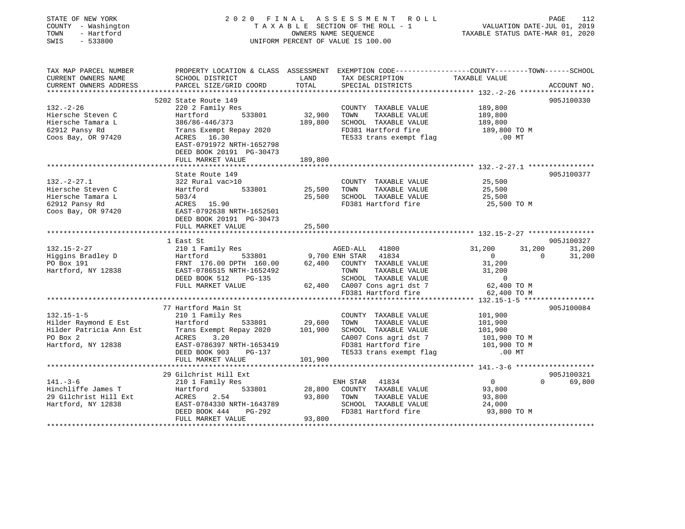| STATE OF NEW YORK<br>COUNTY - Washington<br>TOWN - Hartford<br>SWIS - 533800                                                                                                                                                                                                              |                                                                                                                                                                  |         | $\begin{tabular}{ccccc} 2 & 0 & 2 & 0 & F\;I\;N\;A\;L\; & A\;S\;S\;E\;S\;S\;M\;E\;N\;T\; & R\;O\;L\;L\; & & & \text{PAGE} & 112 \\ & T\;A\;X\;A\;B\;L\;E\;SECTION\;OF\;THE\;ROLL\;-\;1 & & & \text{VALUATION DATE-JUL}\;01,\;2019 \\ & & & & \text{OMNERS NAME SEQUENCE} & & & \text{TAXABLE STATUS DATE-MAR}\;01,\;2020 \end{tabular}$<br>UNIFORM PERCENT OF VALUE IS 100.00                                                             |                                                             |                                       |
|-------------------------------------------------------------------------------------------------------------------------------------------------------------------------------------------------------------------------------------------------------------------------------------------|------------------------------------------------------------------------------------------------------------------------------------------------------------------|---------|-------------------------------------------------------------------------------------------------------------------------------------------------------------------------------------------------------------------------------------------------------------------------------------------------------------------------------------------------------------------------------------------------------------------------------------------|-------------------------------------------------------------|---------------------------------------|
| TAX MAP PARCEL NUMBER<br>CURRENT OWNERS NAME<br>CURRENT OWNERS ADDRESS                                                                                                                                                                                                                    | PARCEL SIZE/GRID COORD                                                                                                                                           | TOTAL   | PROPERTY LOCATION & CLASS ASSESSMENT EXEMPTION CODE---------------COUNTY-------TOWN------SCHOOL<br>SCHOOL DISTRICT LAND TAX DESCRIPTION TAXABLE VALUE<br>SPECIAL DISTRICTS                                                                                                                                                                                                                                                                |                                                             | ACCOUNT NO.                           |
| $132 - 2 - 26$<br>Hiersche Steven C<br>Hiersche Tamara L<br>62912 Pansy Rd<br>Coos Bay, OR 97420                                                                                                                                                                                          | 5202 State Route 149<br>220 2 Family Res<br>Hartford 533801<br>ACRES 16.30<br>EAST-0791972 NRTH-1652798<br>DEED BOOK 20191 PG-30473<br>FULL MARKET VALUE 189,800 |         | COUNTY TAXABLE VALUE 189,800<br>TOWN TAXABLE VALUE 189,800<br>32,900 TOWN TAXABLE VALUE<br>FD381 Hartford fire<br>TE533 trans exempt flag                                                                                                                                                                                                                                                                                                 | 189,800<br>189,800 TO M<br>$.00$ MT                         | 905J100330                            |
|                                                                                                                                                                                                                                                                                           |                                                                                                                                                                  |         |                                                                                                                                                                                                                                                                                                                                                                                                                                           |                                                             |                                       |
|                                                                                                                                                                                                                                                                                           |                                                                                                                                                                  |         | COUNTY TAXABLE VALUE                                                                                                                                                                                                                                                                                                                                                                                                                      | 25,500                                                      | 905J100377                            |
| $\frac{322 \text{ Rural vac} + 49}{533801}$<br>Hiersche Tamara L<br>62912 Pansy Rd<br>Coos Bay, OR 97420<br>$\frac{49}{100000000}$<br>$\frac{503}{4}$<br>$\frac{503}{4}$<br>EAST-0792638 NPTH 101<br>Part 102<br>Part 102<br>Part 102<br>Part 102<br>Part 102<br>Part 102<br>Part 102<br> | Hartford 533801 25,500 TOWN TAXABLE VALUE<br>503/4 25,500 SCHOOL TAXABLE VALUE<br>ACRES 15.90<br>EAST-0792638 NRTH-1652501                                       |         |                                                                                                                                                                                                                                                                                                                                                                                                                                           | 25,500<br>25,500<br>25,500 TO M                             |                                       |
|                                                                                                                                                                                                                                                                                           | FULL MARKET VALUE 25,500                                                                                                                                         |         |                                                                                                                                                                                                                                                                                                                                                                                                                                           |                                                             |                                       |
| 1 East St 132.15-2-27 210 1 Family Res 132.15-2-27 210 1 Family Res 133801 9,700 ENH STAR 41834 0<br>FO Box 191 FRNT 176.00 DPTH 160.00 62,400 COUNTY TAXABLE VALUE 31,200<br>Hartford, NY 12838 EAST-0786515 NRTH-1652492 TOWN TA                                                        |                                                                                                                                                                  |         |                                                                                                                                                                                                                                                                                                                                                                                                                                           | $\overline{0}$                                              | 905J100327<br>31,200 31,200<br>31,200 |
|                                                                                                                                                                                                                                                                                           |                                                                                                                                                                  |         |                                                                                                                                                                                                                                                                                                                                                                                                                                           |                                                             |                                       |
| 132.15-1-5<br>132.15-1-5<br>132.15-1-5<br>132.15-1-5<br>132.15-1-5<br>29.600 TOWNTY TAXABLE VALUE<br>132.15-1-5<br>29.600 TOWNTY TAXABLE VALUE<br>29.600 TOWN TAXABLE VALUE<br>29.600 TOWN TAXABLE VALUE<br>29.600 TOWN TAXABLE VALUE<br>29.600 TOWN<br>Hartford, NY 12838                | ACRES 3.20<br>EAST-0786397 NRTH-1653419<br>DEED BOOK 903 PG-137<br>DEED BOOK 903 PG-137<br>FULL MARKET VALUE                                                     | 101,900 | $\begin{tabular}{lllllll} \multicolumn{2}{c}{\text{COUNTY}} & \text{TAXABLE VALUE} & & & & 101,900 \\ \multicolumn{2}{c}{\text{TANABLE VALUE}} & & & 101,900 \\ \multicolumn{2}{c}{\text{TANABLE VALUE}} & & & 101,900 \\ \end{tabular}$<br>101,900<br>CA007 Cons agri dst 7 101,900<br>FD381 Hartford fire 101,900 TO M<br>TE533 trans exempt flag 101,900 TO M<br>TE533 trans exempt flag 101,900 TO M<br>TE533 trans exempt flag 00 MT |                                                             | 905J100084                            |
|                                                                                                                                                                                                                                                                                           |                                                                                                                                                                  |         |                                                                                                                                                                                                                                                                                                                                                                                                                                           |                                                             |                                       |
| 141.-3-6<br>29 Gilchrist Hill Ext<br>29 Gilchrist Hill Ext<br>29 Gilchrist Hill Ext<br>29 Gilchrist Hill Ext<br>29 Gilchrist Hill Ext<br>29 Gilchrist Hill Ext<br>29 Gilchrist Hill Ext<br>29 Gilchrist Hill Ext<br>29 Gilchrist Hill Ext<br>29 Gi                                        |                                                                                                                                                                  |         | FD381 Hartford fire                                                                                                                                                                                                                                                                                                                                                                                                                       | $\overline{0}$<br>93,800<br>93,800<br>24,000<br>93,800 TO M | 905J100321<br>0 69,800                |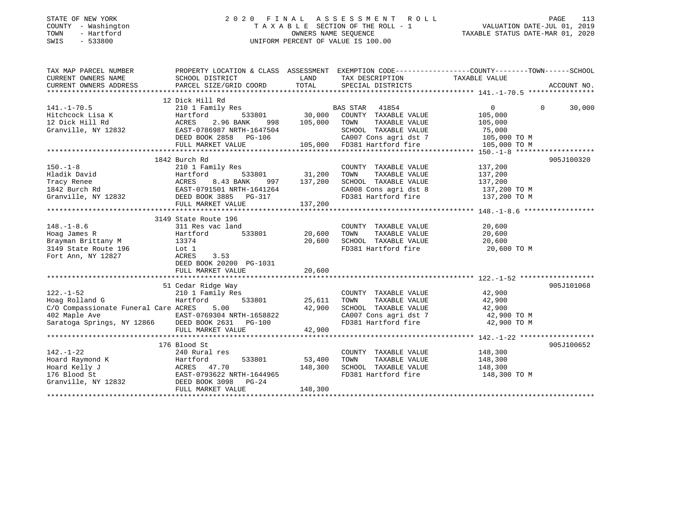## STATE OF NEW YORK 2 0 2 0 F I N A L A S S E S S M E N T R O L L PAGE 113 COUNTY - Washington T A X A B L E SECTION OF THE ROLL - 1 VALUATION DATE-JUL 01, 2019 TOWN - Hartford OWNERS NAME SEQUENCE TAXABLE STATUS DATE-MAR 01, 2020 SWIS - 533800 UNIFORM PERCENT OF VALUE IS 100.00

| TAX MAP PARCEL NUMBER                                                                                                                                                                                                                                                                                                                                                                      | PROPERTY LOCATION & CLASS ASSESSMENT EXEMPTION CODE---------------COUNTY-------TOWN-----SCHOOL |               |                                                                                                              |                       |                    |
|--------------------------------------------------------------------------------------------------------------------------------------------------------------------------------------------------------------------------------------------------------------------------------------------------------------------------------------------------------------------------------------------|------------------------------------------------------------------------------------------------|---------------|--------------------------------------------------------------------------------------------------------------|-----------------------|--------------------|
| CURRENT OWNERS NAME                                                                                                                                                                                                                                                                                                                                                                        | SCHOOL DISTRICT                                                                                |               | LAND TAX DESCRIPTION                                                                                         | TAXABLE VALUE         |                    |
|                                                                                                                                                                                                                                                                                                                                                                                            |                                                                                                |               |                                                                                                              |                       |                    |
|                                                                                                                                                                                                                                                                                                                                                                                            |                                                                                                |               |                                                                                                              |                       |                    |
|                                                                                                                                                                                                                                                                                                                                                                                            | 12 Dick Hill Rd                                                                                |               |                                                                                                              |                       |                    |
| $141. - 1 - 70.5$                                                                                                                                                                                                                                                                                                                                                                          |                                                                                                |               |                                                                                                              | $\Omega$              | $\Omega$<br>30,000 |
|                                                                                                                                                                                                                                                                                                                                                                                            |                                                                                                |               |                                                                                                              | 105,000<br>105,000    |                    |
|                                                                                                                                                                                                                                                                                                                                                                                            |                                                                                                |               |                                                                                                              |                       |                    |
|                                                                                                                                                                                                                                                                                                                                                                                            |                                                                                                |               |                                                                                                              |                       |                    |
|                                                                                                                                                                                                                                                                                                                                                                                            |                                                                                                |               |                                                                                                              |                       |                    |
|                                                                                                                                                                                                                                                                                                                                                                                            |                                                                                                |               |                                                                                                              |                       |                    |
|                                                                                                                                                                                                                                                                                                                                                                                            |                                                                                                |               |                                                                                                              |                       |                    |
|                                                                                                                                                                                                                                                                                                                                                                                            | 1842 Burch Rd                                                                                  |               |                                                                                                              |                       | 905J100320         |
| $150. - 1 - 8$                                                                                                                                                                                                                                                                                                                                                                             | 210 1 Family Res                                                                               |               | COUNTY TAXABLE VALUE 137,200                                                                                 |                       |                    |
|                                                                                                                                                                                                                                                                                                                                                                                            |                                                                                                | 533801 31,200 | TOWN                                                                                                         | TAXABLE VALUE 137,200 |                    |
|                                                                                                                                                                                                                                                                                                                                                                                            |                                                                                                |               | SCHOOL TAXABLE VALUE $137,200$<br>CA008 Cons agri dst 8 $137,200$ TO M<br>FD381 Hartford fire $137,200$ TO M |                       |                    |
|                                                                                                                                                                                                                                                                                                                                                                                            |                                                                                                |               |                                                                                                              |                       |                    |
| Hladik David<br>Tracy Renee Martford 533801 31,200<br>1842 Burch Rd EAST-0791501 NRTH-1641264<br>Granville, NY 12832 DEED BOOK 3885 PG-317                                                                                                                                                                                                                                                 |                                                                                                |               |                                                                                                              |                       |                    |
|                                                                                                                                                                                                                                                                                                                                                                                            |                                                                                                |               |                                                                                                              |                       |                    |
|                                                                                                                                                                                                                                                                                                                                                                                            |                                                                                                |               |                                                                                                              |                       |                    |
|                                                                                                                                                                                                                                                                                                                                                                                            | 3149 State Route 196                                                                           |               |                                                                                                              |                       |                    |
|                                                                                                                                                                                                                                                                                                                                                                                            |                                                                                                |               | COUNTY TAXABLE VALUE<br>TOWN TAXABLE VALUE                                                                   | 20,600                |                    |
|                                                                                                                                                                                                                                                                                                                                                                                            |                                                                                                |               |                                                                                                              | 20,600                |                    |
|                                                                                                                                                                                                                                                                                                                                                                                            |                                                                                                | 20,600        | SCHOOL TAXABLE VALUE 20,600                                                                                  |                       |                    |
|                                                                                                                                                                                                                                                                                                                                                                                            |                                                                                                |               | FD381 Hartford fire 20,600 TO M                                                                              |                       |                    |
| Bizymum britisers in 196 and 196 and 196 and 196 and 197 acres by the Mark School and the New York of the New York of the New York of the New York of the New York of the New York of the New York of the New York of the New                                                                                                                                                              | 3.53                                                                                           |               |                                                                                                              |                       |                    |
|                                                                                                                                                                                                                                                                                                                                                                                            | DEED BOOK 20200 PG-1031                                                                        |               |                                                                                                              |                       |                    |
|                                                                                                                                                                                                                                                                                                                                                                                            |                                                                                                |               |                                                                                                              |                       |                    |
| $\begin{tabular}{ccccc} $\,\circ$ & \, 25,611$ & $122$ & $122$ & $11$ \\ $\,\circ$ & $122$ & $12$ & $122$ \\ $\,\circ$ & $12,900$ & $12,900$ & $12,900$ & $12,900$ \\ $\text{402 Maple Ave} & $\text{A2,900}$ & $\text{EAST}-0769304 NRTH-1658822$ & $\text{CA007 Cons agri dist 7}$ & $\text{A2,900}$ \\ $\text{Sartog Springs, NY 12866} & $\text{DEED BOK 2631} & $\text{PG}-100$ & $\$ |                                                                                                |               |                                                                                                              |                       | 905J101068         |
|                                                                                                                                                                                                                                                                                                                                                                                            |                                                                                                |               |                                                                                                              |                       |                    |
|                                                                                                                                                                                                                                                                                                                                                                                            |                                                                                                |               |                                                                                                              |                       |                    |
|                                                                                                                                                                                                                                                                                                                                                                                            |                                                                                                |               |                                                                                                              |                       |                    |
|                                                                                                                                                                                                                                                                                                                                                                                            |                                                                                                |               |                                                                                                              |                       |                    |
|                                                                                                                                                                                                                                                                                                                                                                                            |                                                                                                |               | CA007 Cons agri dst 7 42,900 TO M<br>FD381 Hartford fire 42,900 TO M                                         |                       |                    |
|                                                                                                                                                                                                                                                                                                                                                                                            |                                                                                                |               |                                                                                                              |                       |                    |
|                                                                                                                                                                                                                                                                                                                                                                                            |                                                                                                |               |                                                                                                              |                       |                    |
|                                                                                                                                                                                                                                                                                                                                                                                            | 176 Blood St                                                                                   |               |                                                                                                              |                       | 905J100652         |
| $142. - 1 - 22$                                                                                                                                                                                                                                                                                                                                                                            | 240 Rural res                                                                                  |               | COUNTY TAXABLE VALUE 148,300                                                                                 |                       |                    |
|                                                                                                                                                                                                                                                                                                                                                                                            |                                                                                                | 53,400        |                                                                                                              |                       |                    |
| Hoard Raymond K<br>Hoard Kelly J<br>Hoard Kelly J<br>148,300<br>16 Blood St<br>Granville, NY 12832<br>2008 EAST-0793622 NRTH-1644965<br>2008 EAST-0793622 NRTH-1644965<br>2009 EAST-0793622 NRTH-1644965<br>2009 EAST-0793622 NRTH-1644965<br>2019                                                                                                                                         |                                                                                                |               |                                                                                                              |                       |                    |
|                                                                                                                                                                                                                                                                                                                                                                                            |                                                                                                |               |                                                                                                              |                       |                    |
|                                                                                                                                                                                                                                                                                                                                                                                            |                                                                                                |               |                                                                                                              |                       |                    |
|                                                                                                                                                                                                                                                                                                                                                                                            | FULL MARKET VALUE                                                                              | 148,300       |                                                                                                              |                       |                    |
|                                                                                                                                                                                                                                                                                                                                                                                            |                                                                                                |               |                                                                                                              |                       |                    |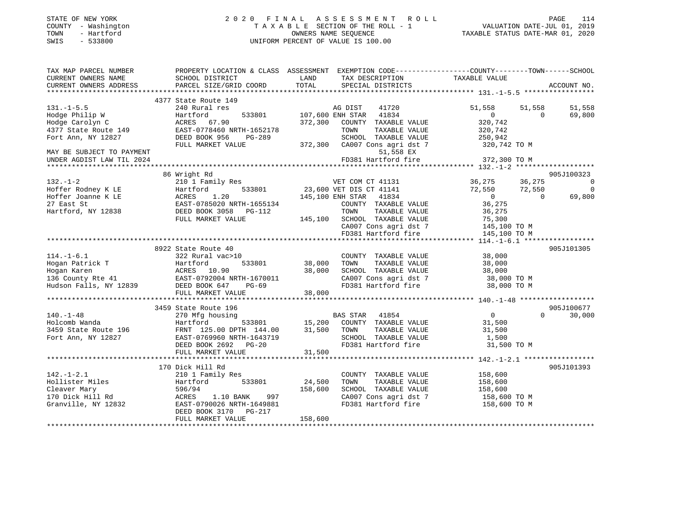|        | STATE OF NEW YORK     |                           |            | 2020 FINAL ASSESSMENT ROLL         |                                                       | PAGE | 114     |
|--------|-----------------------|---------------------------|------------|------------------------------------|-------------------------------------------------------|------|---------|
| COUNTY | - Washington          |                           |            | TAXABLE SECTION OF THE ROLL - 1    | VALUATION DATE-JUL 01, 2019                           |      |         |
| TOWN   | - Hartford            |                           |            | OWNERS NAME SEOUENCE               | TAXABLE STATUS DATE-MAR 01, 2020                      |      |         |
| SWIS   | $-533800$             |                           |            | UNIFORM PERCENT OF VALUE IS 100.00 |                                                       |      |         |
|        |                       |                           |            |                                    |                                                       |      |         |
|        |                       |                           |            |                                    |                                                       |      |         |
|        | TAX MAP PARCEL NUMBER | PROPERTY LOCATION & CLASS | ASSESSMENT |                                    | EXEMPTION CODE-----------------COUNTY-------TOWN----- |      | -SCHOOL |
|        | CURRENT OWNERS NAME   | SCHOOL DISTRICT           | LAND       | TAX DESCRIPTION                    | TAXABLE VALUE                                         |      |         |

| CURRENT OWNERS ADDRESS                     | PARCEL SIZE/GRID COORD                      | TOTAL   | SPECIAL DISTRICTS                        |                            | ACCOUNT NO.            |
|--------------------------------------------|---------------------------------------------|---------|------------------------------------------|----------------------------|------------------------|
|                                            | 4377 State Route 149                        |         |                                          |                            |                        |
| $131. -1 - 5.5$                            | 240 Rural res                               |         | AG DIST<br>41720                         | 51,558<br>51,558           | 51,558                 |
| Hodge Philip W                             |                                             |         | 41834                                    | $\overline{0}$<br>$\Omega$ | 69,800                 |
| Hodge Carolyn C                            | Hartford<br>533801<br>ACRES 67.90           | 372,300 | 107,600 ENH STAR<br>COUNTY TAXABLE VALUE | 320,742                    |                        |
|                                            | EAST-0778460 NRTH-1652178                   |         | TOWN<br>TAXABLE VALUE                    | 320,742                    |                        |
| 4377 State Route 149<br>Fort Ann, NY 12827 | DEED BOOK 956                               |         | SCHOOL TAXABLE VALUE                     | 250,942                    |                        |
|                                            | PG-289                                      |         |                                          |                            |                        |
|                                            | FULL MARKET VALUE                           | 372,300 | CA007 Cons agri dst 7                    | 320,742 TO M               |                        |
| MAY BE SUBJECT TO PAYMENT                  |                                             |         | 51,558 EX                                |                            |                        |
| UNDER AGDIST LAW TIL 2024                  |                                             |         | FD381 Hartford fire                      | 372,300 TO M               |                        |
|                                            |                                             |         |                                          |                            |                        |
| $132. - 1 - 2$                             | 86 Wright Rd                                |         | VET COM CT 41131                         | 36,275<br>36,275           | 905J100323<br>$\Omega$ |
|                                            | 210 1 Family Res                            |         |                                          |                            |                        |
| Hoffer Rodney K LE                         | 533801<br>Hartford                          |         | 23,600 VET DIS CT 41141                  | 72,550<br>72,550           | $\Omega$               |
| Hoffer Joanne K LE                         | ACRES<br>1.20                               |         | 145,100 ENH STAR 41834                   | $\overline{0}$<br>$\Omega$ | 69,800                 |
| 27 East St                                 | EAST-0785020 NRTH-1655134                   |         | COUNTY TAXABLE VALUE                     | 36,275                     |                        |
| Hartford, NY 12838                         | DEED BOOK 3058 PG-112                       |         | TAXABLE VALUE<br>TOWN                    | 36,275                     |                        |
|                                            | FULL MARKET VALUE                           | 145,100 | SCHOOL TAXABLE VALUE                     | 75,300                     |                        |
|                                            |                                             |         | CA007 Cons agri dst 7                    | 145,100 TO M               |                        |
|                                            |                                             |         | FD381 Hartford fire                      | 145,100 TO M               |                        |
|                                            |                                             |         |                                          |                            |                        |
|                                            | 8922 State Route 40                         |         |                                          |                            | 905J101305             |
| $114. - 1 - 6.1$                           | 322 Rural vac>10                            |         | COUNTY TAXABLE VALUE                     | 38,000                     |                        |
| Hogan Patrick T                            | Hartford<br>533801                          | 38,000  | TOWN<br>TAXABLE VALUE                    | 38,000                     |                        |
| Hogan Karen                                | ACRES 10.90                                 | 38,000  | SCHOOL TAXABLE VALUE                     | 38,000                     |                        |
|                                            | 136 County Rte 41 EAST-0792004 NRTH-1670011 |         | CA007 Cons agri dst 7                    | 38,000 TO M                |                        |
| Hudson Falls, NY 12839                     | DEED BOOK 647<br>PG-69                      |         | FD381 Hartford fire                      | 38,000 TO M                |                        |
|                                            | FULL MARKET VALUE                           | 38,000  |                                          |                            |                        |
|                                            |                                             |         |                                          |                            |                        |
|                                            | 3459 State Route 196                        |         |                                          |                            | 905J100677             |
| $140. - 1 - 48$                            | 270 Mfg housing                             |         | <b>BAS STAR</b><br>41854                 | $\Omega$<br>$\overline{0}$ | 30,000                 |
| Holcomb Wanda                              | Hartford<br>533801                          | 15,200  | COUNTY TAXABLE VALUE                     | 31,500                     |                        |
| 3459 State Route 196                       | FRNT 125.00 DPTH 144.00                     | 31,500  | TOWN<br>TAXABLE VALUE                    | 31,500                     |                        |
| Fort Ann, NY 12827                         | EAST-0769960 NRTH-1643719                   |         | SCHOOL TAXABLE VALUE                     | 1,500                      |                        |
|                                            | DEED BOOK 2692 PG-20                        |         | FD381 Hartford fire                      | 31,500 TO M                |                        |
|                                            | FULL MARKET VALUE                           | 31,500  |                                          |                            |                        |
|                                            |                                             |         |                                          |                            |                        |
|                                            | 170 Dick Hill Rd                            |         |                                          |                            | 905J101393             |
| $142. - 1 - 2.1$                           | 210 1 Family Res                            |         | COUNTY TAXABLE VALUE                     | 158,600                    |                        |
| Hollister Miles                            | Hartford<br>533801                          | 24,500  | TAXABLE VALUE<br>TOWN                    | 158,600                    |                        |
| Cleaver Mary                               | 596/94                                      | 158,600 | SCHOOL TAXABLE VALUE                     | 158,600                    |                        |
| 170 Dick Hill Rd                           | ACRES<br>1.10 BANK<br>997                   |         | CA007 Cons agri dst 7                    | 158,600 TO M               |                        |
| Granville, NY 12832                        | EAST-0790026 NRTH-1649881                   |         | FD381 Hartford fire                      | 158,600 TO M               |                        |
|                                            | DEED BOOK 3170<br>PG-217                    |         |                                          |                            |                        |
|                                            | FULL MARKET VALUE                           | 158,600 |                                          |                            |                        |
|                                            |                                             |         |                                          |                            |                        |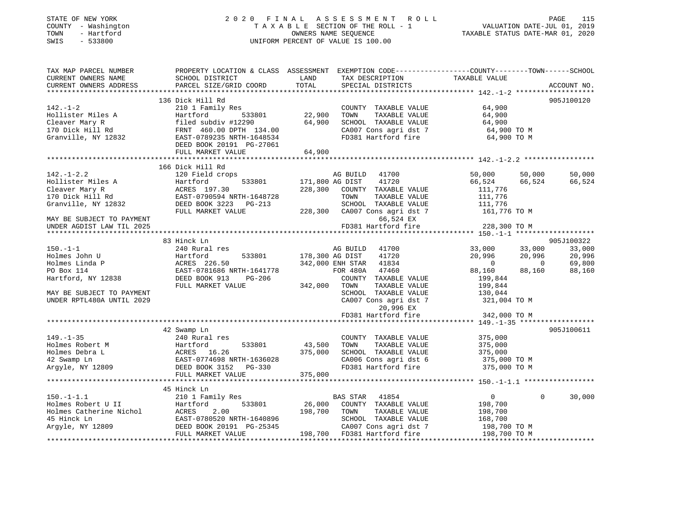## STATE OF NEW YORK 2 0 2 0 F I N A L A S S E S S M E N T R O L L PAGE 115 COUNTY - Washington T A X A B L E SECTION OF THE ROLL - 1 VALUATION DATE-JUL 01, 2019 TOWN - Hartford OWNERS NAME SEQUENCE TAXABLE STATUS DATE-MAR 01, 2020 SWIS - 533800 UNIFORM PERCENT OF VALUE IS 100.00

| TAX MAP PARCEL NUMBER                                                                                                                                                                     | PROPERTY LOCATION & CLASS ASSESSMENT EXEMPTION CODE----------------COUNTY-------TOWN------SCHOOL |                        |                                                                           |                                                                        |             |
|-------------------------------------------------------------------------------------------------------------------------------------------------------------------------------------------|--------------------------------------------------------------------------------------------------|------------------------|---------------------------------------------------------------------------|------------------------------------------------------------------------|-------------|
| CURRENT OWNERS NAME                                                                                                                                                                       | SCHOOL DISTRICT                                                                                  | LAND                   | TAX DESCRIPTION                                                           | TAXABLE VALUE                                                          |             |
| CURRENT OWNERS ADDRESS                                                                                                                                                                    | PARCEL SIZE/GRID COORD                                                                           | TOTAL                  | SPECIAL DISTRICTS                                                         |                                                                        | ACCOUNT NO. |
|                                                                                                                                                                                           |                                                                                                  |                        |                                                                           |                                                                        |             |
| $142. - 1 - 2$                                                                                                                                                                            | 136 Dick Hill Rd<br>210 1 Family Res                                                             |                        | COUNTY TAXABLE VALUE                                                      | 64,900                                                                 | 905J100120  |
|                                                                                                                                                                                           | 1y kes<br>533801                                                                                 | 22,900                 | TOWN<br>TAXABLE VALUE                                                     | 64,900                                                                 |             |
| Hollister Miles A Hartford 533801<br>Cleaver Mary R filed subdiv #12290<br>170 Dick Hill Rd FRNT 460.00 DPTH 134.00<br>Granville, NY 12832 EAST-0789235 NRTH-1648534                      |                                                                                                  | 64,900                 | SCHOOL TAXABLE VALUE                                                      |                                                                        |             |
|                                                                                                                                                                                           |                                                                                                  |                        | CA007 Cons agri dst 7                                                     | 64,900<br>64,900 TO M                                                  |             |
|                                                                                                                                                                                           |                                                                                                  |                        |                                                                           | FD381 Hartford fire 64,900 TO M                                        |             |
|                                                                                                                                                                                           | DEED BOOK 20191 PG-27061                                                                         |                        |                                                                           |                                                                        |             |
|                                                                                                                                                                                           | FULL MARKET VALUE                                                                                | 64,900                 |                                                                           |                                                                        |             |
|                                                                                                                                                                                           |                                                                                                  |                        |                                                                           |                                                                        |             |
|                                                                                                                                                                                           | 166 Dick Hill Rd                                                                                 |                        |                                                                           |                                                                        |             |
| $142. - 1 - 2.2$                                                                                                                                                                          | 120 Field crops                                                                                  |                        | AG BUILD 41700                                                            | 50,000<br>50,000                                                       | 50,000      |
|                                                                                                                                                                                           |                                                                                                  | 533801 171,800 AG DIST | 41720                                                                     | 66,524<br>66,524                                                       | 66,524      |
| Hollister Miles A Hartford 533801 171,800<br>Cleaver Mary R ACRES 197.30 228,300<br>170 Dick Hill Rd EAST-0790594 NRTH-1648728<br>Granville, NY 12832 DEED BOOK 3223 PG-213               |                                                                                                  |                        | 228,300 COUNTY TAXABLE VALUE                                              | 111,776                                                                |             |
|                                                                                                                                                                                           |                                                                                                  |                        | TAXABLE VALUE<br>TOWN                                                     | 111,776                                                                |             |
|                                                                                                                                                                                           |                                                                                                  |                        | SCHOOL TAXABLE VALUE 111,776                                              |                                                                        |             |
|                                                                                                                                                                                           | FULL MARKET VALUE                                                                                |                        | 228,300 CA007 Cons agri dst 7                                             | 161,776 TO M                                                           |             |
| MAY BE SUBJECT TO PAYMENT                                                                                                                                                                 |                                                                                                  |                        | 66,524 EX                                                                 |                                                                        |             |
| UNDER AGDIST LAW TIL 2025                                                                                                                                                                 |                                                                                                  |                        | FD381 Hartford fire                                                       | 228,300 TO M                                                           |             |
|                                                                                                                                                                                           |                                                                                                  |                        |                                                                           |                                                                        |             |
|                                                                                                                                                                                           | 83 Hinck Ln                                                                                      |                        |                                                                           |                                                                        | 905J100322  |
| $150. - 1 - 1$                                                                                                                                                                            | 240 Rural res                                                                                    |                        | AG BUILD 41700                                                            |                                                                        | 33,000      |
| Holmes John U                                                                                                                                                                             | Hartford<br>533801                                                                               | 178,300 AG DIST        | 41720                                                                     |                                                                        | 20,996      |
| Holmes Linda P                                                                                                                                                                            | ACRES 226.50<br>EAST-0781686 NRTH-1641778                                                        |                        | 342,000 ENH STAR 41834                                                    | $33,000$ $33,000$<br>$20,996$ $20,996$<br>$0$ $0$<br>$88,160$ $88,160$ | 69,800      |
| PO Box 114                                                                                                                                                                                |                                                                                                  |                        | FOR 480A 47460                                                            |                                                                        | 88,160      |
| Hartford, NY 12838                                                                                                                                                                        | PG-206<br>COUN<br>LUE 342,000 TOWN<br>DEED BOOK 913                                              |                        | COUNTY TAXABLE VALUE                                                      | 199,844                                                                |             |
|                                                                                                                                                                                           | FULL MARKET VALUE                                                                                |                        | TAXABLE VALUE                                                             | 199,844                                                                |             |
| MAY BE SUBJECT TO PAYMENT                                                                                                                                                                 |                                                                                                  |                        |                                                                           |                                                                        |             |
| UNDER RPTL480A UNTIL 2029                                                                                                                                                                 |                                                                                                  |                        |                                                                           | SCHOOL TAXABLE VALUE 130,044<br>CA007 Cons agri dst 7 321,004 TO M     |             |
|                                                                                                                                                                                           |                                                                                                  |                        | 20,996 EX                                                                 |                                                                        |             |
|                                                                                                                                                                                           |                                                                                                  |                        | FD381 Hartford fire                                                       | 342,000 TO M                                                           |             |
|                                                                                                                                                                                           |                                                                                                  |                        |                                                                           |                                                                        |             |
| $149. - 1 - 35$                                                                                                                                                                           | 42 Swamp Ln                                                                                      |                        |                                                                           |                                                                        | 905J100611  |
|                                                                                                                                                                                           | 240 Rural res                                                                                    | 533801 43,500          | COUNTY TAXABLE VALUE<br>TAXABLE VALUE<br>TOWN                             | 375,000<br>375,000                                                     |             |
|                                                                                                                                                                                           |                                                                                                  | 375,000                |                                                                           |                                                                        |             |
|                                                                                                                                                                                           |                                                                                                  |                        |                                                                           | SCHOOL TAXABLE VALUE 375,000<br>CA006 Cons agri dst 6 375,000 TO M     |             |
| Holmes Robert M<br>Holmes Debra L<br>Holmes Debra L<br>42 Swamp Ln<br>ACRES 16.26<br>42 Swamp Ln<br>ACRES 16.26<br>EAST-0774698 NRTH-1636028<br>Argyle, NY 12809<br>DEED BOOK 3152 PG-330 |                                                                                                  |                        | FD381 Hartford fire                                                       | 375,000 TO M                                                           |             |
|                                                                                                                                                                                           | FULL MARKET VALUE                                                                                | 375,000                |                                                                           |                                                                        |             |
|                                                                                                                                                                                           |                                                                                                  |                        |                                                                           |                                                                        |             |
|                                                                                                                                                                                           | 45 Hinck Ln                                                                                      |                        |                                                                           |                                                                        |             |
| $150. - 1 - 1.1$                                                                                                                                                                          | 210 1 Family Res                                                                                 |                        | BAS STAR 41854                                                            | $\Omega$<br>$\overline{0}$                                             | 30,000      |
|                                                                                                                                                                                           |                                                                                                  |                        |                                                                           |                                                                        |             |
|                                                                                                                                                                                           |                                                                                                  |                        | 26,000 COUNTY TAXABLE VALUE 198,700<br>198,700 TOWN TAXABLE VALUE 198,700 |                                                                        |             |
|                                                                                                                                                                                           |                                                                                                  |                        |                                                                           |                                                                        |             |
|                                                                                                                                                                                           |                                                                                                  |                        | CA007 Cons agri dst 7                                                     | 168,700<br>198,700 TO M                                                |             |
|                                                                                                                                                                                           |                                                                                                  |                        |                                                                           | 198,700 TO M                                                           |             |
|                                                                                                                                                                                           |                                                                                                  |                        |                                                                           |                                                                        |             |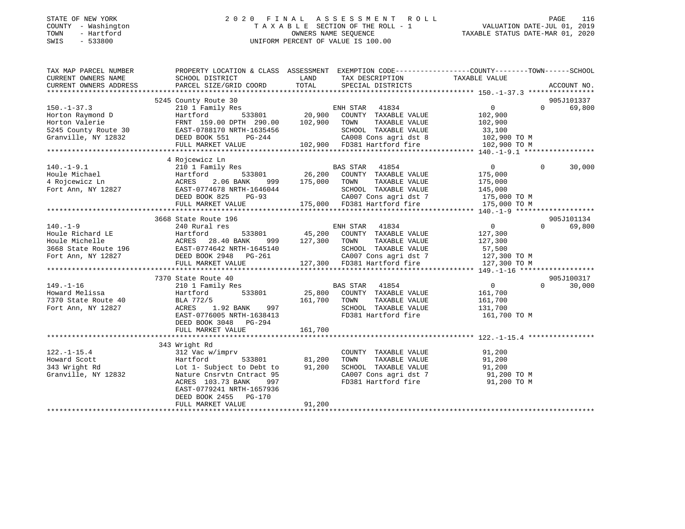## STATE OF NEW YORK 2 0 2 0 F I N A L A S S E S S M E N T R O L L PAGE 116 COUNTY - Washington T A X A B L E SECTION OF THE ROLL - 1 VALUATION DATE-JUL 01, 2019 TOWN - Hartford OWNERS NAME SEQUENCE TAXABLE STATUS DATE-MAR 01, 2020 SWIS - 533800 UNIFORM PERCENT OF VALUE IS 100.00

| TAX MAP PARCEL NUMBER                                                      | PROPERTY LOCATION & CLASS ASSESSMENT EXEMPTION CODE----------------COUNTY-------TOWN------SCHOOL                                                                                                                                                              |         |                                                                  |                    |          |             |
|----------------------------------------------------------------------------|---------------------------------------------------------------------------------------------------------------------------------------------------------------------------------------------------------------------------------------------------------------|---------|------------------------------------------------------------------|--------------------|----------|-------------|
| CURRENT OWNERS NAME                                                        | SCHOOL DISTRICT                                                                                                                                                                                                                                               |         | LAND TAX DESCRIPTION TAXABLE VALUE                               |                    |          |             |
| CURRENT OWNERS ADDRESS                                                     | PARCEL SIZE/GRID COORD                                                                                                                                                                                                                                        | TOTAL   | SPECIAL DISTRICTS                                                |                    |          | ACCOUNT NO. |
|                                                                            |                                                                                                                                                                                                                                                               |         |                                                                  |                    |          |             |
|                                                                            | 5245 County Route 30<br>102,900 County Route 30<br>20,900 COUNTY TAXABLE VALUE 102,900 0 69,800<br>Hartford 533801 20,900 COUNTY TAXABLE VALUE 102,900<br>Hartford 533801 300 COUNTY TAXABLE VALUE 102,900                                                    |         |                                                                  |                    |          |             |
| $150. -1 - 37.3$                                                           |                                                                                                                                                                                                                                                               |         |                                                                  |                    |          |             |
|                                                                            |                                                                                                                                                                                                                                                               |         |                                                                  |                    |          |             |
|                                                                            |                                                                                                                                                                                                                                                               |         |                                                                  |                    |          |             |
|                                                                            |                                                                                                                                                                                                                                                               |         |                                                                  |                    |          |             |
|                                                                            |                                                                                                                                                                                                                                                               |         |                                                                  |                    |          |             |
|                                                                            |                                                                                                                                                                                                                                                               |         |                                                                  |                    |          |             |
|                                                                            |                                                                                                                                                                                                                                                               |         |                                                                  |                    |          |             |
|                                                                            | 4 Rojcewicz Ln                                                                                                                                                                                                                                                |         |                                                                  |                    |          |             |
|                                                                            |                                                                                                                                                                                                                                                               |         |                                                                  |                    | $\Omega$ | 30,000      |
|                                                                            |                                                                                                                                                                                                                                                               |         |                                                                  |                    |          |             |
|                                                                            |                                                                                                                                                                                                                                                               |         |                                                                  |                    |          |             |
|                                                                            |                                                                                                                                                                                                                                                               |         |                                                                  |                    |          |             |
|                                                                            |                                                                                                                                                                                                                                                               |         |                                                                  |                    |          |             |
|                                                                            | $\begin{tabular}{lcccccc} 140.-1-9.1 & 40.000333 & 40.01833801 & 40.01833801 & 40.01833801 & 40.01833801 & 40.01833801 & 40.01833801 & 40.01833801 & 40.01833801 & 40.01833801 & 40.01833801 & 40.01833801 & 40.01833801 & 40.01833801 & 40.01833801 & 40.01$ |         |                                                                  |                    |          |             |
|                                                                            |                                                                                                                                                                                                                                                               |         |                                                                  |                    |          |             |
|                                                                            | 3668 State Route 196                                                                                                                                                                                                                                          |         |                                                                  |                    |          | 905J101134  |
|                                                                            |                                                                                                                                                                                                                                                               |         |                                                                  |                    |          |             |
|                                                                            |                                                                                                                                                                                                                                                               |         |                                                                  |                    |          |             |
|                                                                            |                                                                                                                                                                                                                                                               |         |                                                                  |                    |          |             |
|                                                                            |                                                                                                                                                                                                                                                               |         |                                                                  |                    |          |             |
|                                                                            |                                                                                                                                                                                                                                                               |         |                                                                  |                    |          |             |
|                                                                            |                                                                                                                                                                                                                                                               |         |                                                                  |                    |          |             |
|                                                                            |                                                                                                                                                                                                                                                               |         |                                                                  |                    |          |             |
|                                                                            | 7370 State Route 40                                                                                                                                                                                                                                           |         |                                                                  |                    |          | 905J100317  |
| 149.-1-16<br>Howard Melissa 1<br>7370 State Route 40<br>Fort Ann, NY 12827 | 210 1 Family Res                                                                                                                                                                                                                                              |         | BAS STAR 41854                                                   | $\overline{0}$     | $\Omega$ | 30,000      |
|                                                                            |                                                                                                                                                                                                                                                               |         |                                                                  |                    |          |             |
|                                                                            |                                                                                                                                                                                                                                                               |         |                                                                  | 161,700<br>161,700 |          |             |
|                                                                            |                                                                                                                                                                                                                                                               |         | SCHOOL TAXABLE VALUE 131,700                                     |                    |          |             |
|                                                                            | Example 19 100 125,800 COUNTY TAXABLE VALUE<br>BLA 772/5 161,700 TOWN TAXABLE VALUE<br>RCRES 1.92 BANK 997 SCHOOL TAXABLE VALUE<br>EAST-0776005 NRTH-1638413 FD381 Hartford fire<br>DEED BOOK 3048 PG-294                                                     |         |                                                                  | 161,700 TO M       |          |             |
|                                                                            |                                                                                                                                                                                                                                                               |         |                                                                  |                    |          |             |
|                                                                            |                                                                                                                                                                                                                                                               | 161,700 |                                                                  |                    |          |             |
|                                                                            | FULL MARKET VALUE                                                                                                                                                                                                                                             |         |                                                                  |                    |          |             |
|                                                                            |                                                                                                                                                                                                                                                               |         |                                                                  |                    |          |             |
|                                                                            | 343 Wright Rd                                                                                                                                                                                                                                                 |         |                                                                  |                    |          |             |
|                                                                            | $\begin{array}{cccc}\n\text{imprv} & & & \text{COUNT} \\ 533801 & & & 81,200 & \text{TOWN}\n\end{array}$                                                                                                                                                      |         | COUNTY TAXABLE VALUE 91,200<br>TOWN TAXABLE VALUE 91,200         |                    |          |             |
|                                                                            |                                                                                                                                                                                                                                                               |         |                                                                  |                    |          |             |
|                                                                            |                                                                                                                                                                                                                                                               |         | SCHOOL TAXABLE VALUE 91,200<br>CA007 Cons agri dst 7 91,200 TO M |                    |          |             |
|                                                                            |                                                                                                                                                                                                                                                               |         | FD381 Hartford fire 91,200 TO M                                  |                    |          |             |
|                                                                            | ACRES 103.73 BANK<br>997                                                                                                                                                                                                                                      |         |                                                                  |                    |          |             |
|                                                                            | EAST-0779241 NRTH-1657936                                                                                                                                                                                                                                     |         |                                                                  |                    |          |             |
|                                                                            | DEED BOOK 2455 PG-170                                                                                                                                                                                                                                         |         |                                                                  |                    |          |             |
|                                                                            | FULL MARKET VALUE                                                                                                                                                                                                                                             | 91,200  |                                                                  |                    |          |             |
|                                                                            |                                                                                                                                                                                                                                                               |         |                                                                  |                    |          |             |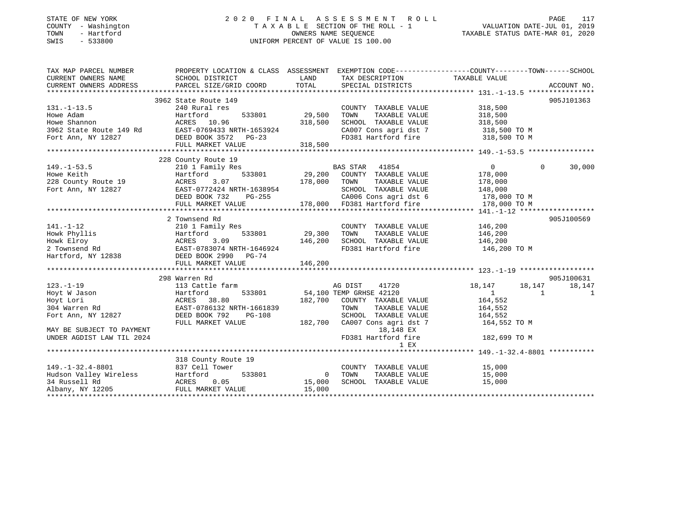# STATE OF NEW YORK 2 0 2 0 F I N A L A S S E S S M E N T R O L L PAGE 117COUNTY - Washington T A X A B L E SECTION OF THE ROLL - 1 VALUATION DATE-JUL 01, 2019 SWIS - 533800 UNIFORM PERCENT OF VALUE IS 100.00

VALUATION DATE-JUL 01, 2019 TAXABLE STATUS DATE-MAR 01, 2020

| TAX MAP PARCEL NUMBER                             |                                                                           |                | PROPERTY LOCATION & CLASS ASSESSMENT EXEMPTION CODE--------------COUNTY-------TOWN-----SCHOOL |                                  |             |
|---------------------------------------------------|---------------------------------------------------------------------------|----------------|-----------------------------------------------------------------------------------------------|----------------------------------|-------------|
| CURRENT OWNERS NAME                               | SCHOOL DISTRICT                                                           | LAND           | TAX DESCRIPTION                                                                               | TAXABLE VALUE                    |             |
|                                                   |                                                                           |                |                                                                                               |                                  | ACCOUNT NO. |
|                                                   |                                                                           |                |                                                                                               |                                  |             |
|                                                   | 3962 State Route 149                                                      |                |                                                                                               |                                  | 905J101363  |
| $131. -1 - 13.5$                                  | 240 Rural res                                                             |                | COUNTY TAXABLE VALUE                                                                          | 318,500                          |             |
| Howe Adam                                         | 533801<br>Hartford                                                        | 29,500         | TOWN<br>TAXABLE VALUE                                                                         | 318,500                          |             |
| Howe Shannon                                      |                                                                           | 318,500        | SCHOOL TAXABLE VALUE                                                                          | 318,500                          |             |
| 3962 State Route 149 Rd                           |                                                                           |                |                                                                                               | 318,500 TO M                     |             |
| Fort Ann, NY 12827                                | ACRES 10.96<br>e 149 Rd EAST-0769433 NRTH-1653924<br>BEED BOOK 3572 PG-23 |                | CA007 Cons agri dst 7<br>ED381 Hartford fire<br>FD381 Hartford fire                           | 318,500 TO M                     |             |
|                                                   | FULL MARKET VALUE                                                         | 318,500        |                                                                                               |                                  |             |
|                                                   |                                                                           |                |                                                                                               |                                  |             |
|                                                   | 228 County Route 19                                                       |                |                                                                                               |                                  |             |
| $149. - 1 - 53.5$                                 | 210 1 Family Res                                                          |                | <b>BAS STAR</b><br>41854                                                                      | $\Omega$<br>$\overline{0}$       | 30,000      |
|                                                   | 533801<br>Hartford                                                        |                | 29,200 COUNTY TAXABLE VALUE                                                                   | 178,000                          |             |
| Howe Keith<br>228 County Route 19                 | ACRES<br>3.07                                                             | 178,000        | TAXABLE VALUE<br>TOWN                                                                         | 178,000                          |             |
| Fort Ann, NY 12827                                | EAST-0772424 NRTH-1638954                                                 |                | SCHOOL TAXABLE VALUE 148,000                                                                  |                                  |             |
|                                                   | DEED BOOK 732<br>PG-255                                                   |                | CA006 Cons agri dst 6 178,000 TO M                                                            |                                  |             |
|                                                   | FULL MARKET VALUE                                                         |                | %-255 CA006 Cons agri dst 6<br>178,000 FD381 Hartford fire                                    | 178,000 TO M                     |             |
|                                                   |                                                                           |                |                                                                                               |                                  |             |
|                                                   | 2 Townsend Rd                                                             |                |                                                                                               |                                  | 905J100569  |
| $141. - 1 - 12$                                   | 210 1 Family Res                                                          |                | COUNTY TAXABLE VALUE                                                                          | 146,200                          |             |
| Howk Phyllis                                      | 533801<br>Hartford                                                        | 29,300         | TAXABLE VALUE<br>TOWN                                                                         | 146,200                          |             |
|                                                   | ACRES<br>3.09                                                             | 146,200        | SCHOOL TAXABLE VALUE 146,200                                                                  |                                  |             |
|                                                   | EAST-0783074 NRTH-1646924                                                 |                | FD381 Hartford fire                                                                           | 146,200 TO M                     |             |
| Howk Elroy<br>2 Townsend Rd<br>Hartford, NY 12838 | DEED BOOK 2990 PG-74                                                      |                |                                                                                               |                                  |             |
|                                                   | FULL MARKET VALUE                                                         | 146,200        |                                                                                               |                                  |             |
|                                                   |                                                                           |                |                                                                                               |                                  |             |
|                                                   | 298 Warren Rd                                                             |                |                                                                                               |                                  | 905J100631  |
| $123. - 1 - 19$                                   | 113 Cattle farm                                                           |                | AG DIST<br>41720                                                                              | 18,147<br>18,147                 | 18,147      |
| Hoyt W Jason                                      | 533801<br>Hartford                                                        |                | 54,100 TEMP GRHSE 42120                                                                       | $\overline{1}$<br>$\overline{1}$ | 1           |
| Hoyt Lori                                         | ACRES 38.80                                                               |                | 182,700 COUNTY TAXABLE VALUE                                                                  | 164,552                          |             |
| 304 Warren Rd                                     | EAST-0786132 NRTH-1661839                                                 |                | TOWN<br>TAXABLE VALUE                                                                         | 164,552                          |             |
| Fort Ann, NY 12827                                | DEED BOOK 792<br>PG-108                                                   |                | SCHOOL TAXABLE VALUE                                                                          | 164,552                          |             |
|                                                   | FULL MARKET VALUE                                                         |                | 182,700 CA007 Cons agri dst 7                                                                 | 164,552 TO M                     |             |
| MAY BE SUBJECT TO PAYMENT                         |                                                                           |                | 18,148 EX                                                                                     |                                  |             |
| UNDER AGDIST LAW TIL 2024                         |                                                                           |                | FD381 Hartford fire                                                                           | 182,699 TO M                     |             |
|                                                   |                                                                           |                | 1 EX                                                                                          |                                  |             |
|                                                   |                                                                           |                |                                                                                               |                                  |             |
|                                                   | 318 County Route 19                                                       |                |                                                                                               |                                  |             |
| $149. -1 - 32.4 - 8801$                           | 837 Cell Tower                                                            |                | COUNTY TAXABLE VALUE                                                                          | 15,000                           |             |
|                                                   | 533801                                                                    | $\overline{0}$ | TOWN<br>TAXABLE VALUE                                                                         | 15,000                           |             |
|                                                   | 0.05                                                                      | 15,000         | SCHOOL TAXABLE VALUE                                                                          | 15,000                           |             |
| Albany, NY 12205                                  | FULL MARKET VALUE                                                         | 15,000         |                                                                                               |                                  |             |
|                                                   |                                                                           |                |                                                                                               |                                  |             |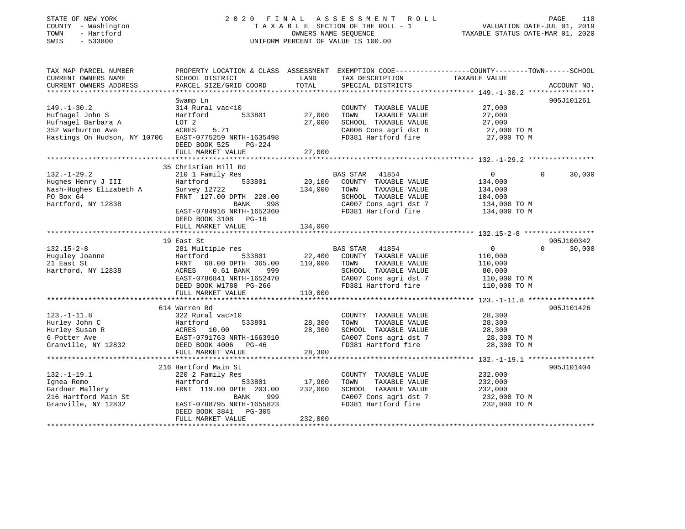## STATE OF NEW YORK 2 0 2 0 F I N A L A S S E S S M E N T R O L L PAGE 118 COUNTY - Washington T A X A B L E SECTION OF THE ROLL - 1 VALUATION DATE-JUL 01, 2019 TOWN - Hartford OWNERS NAME SEQUENCE TAXABLE STATUS DATE-MAR 01, 2020 SWIS - 533800 UNIFORM PERCENT OF VALUE IS 100.00

| TAX MAP PARCEL NUMBER<br>CURRENT OWNERS NAME<br>CURRENT OWNERS ADDRESS                                          | SCHOOL DISTRICT<br>PARCEL SIZE/GRID COORD                                                                                                                                      | LAND<br>TOTAL                | TAX DESCRIPTION<br>SPECIAL DISTRICTS                                                                                                       | PROPERTY LOCATION & CLASS ASSESSMENT EXEMPTION CODE---------------COUNTY-------TOWN------SCHOOL<br>TAXABLE VALUE | ACCOUNT NO. |
|-----------------------------------------------------------------------------------------------------------------|--------------------------------------------------------------------------------------------------------------------------------------------------------------------------------|------------------------------|--------------------------------------------------------------------------------------------------------------------------------------------|------------------------------------------------------------------------------------------------------------------|-------------|
|                                                                                                                 |                                                                                                                                                                                |                              |                                                                                                                                            |                                                                                                                  |             |
| $149. - 1 - 30.2$<br>Hufnagel John S<br>Hufnagel Barbara A<br>352 Warburton Ave<br>Hastings On Hudson, NY 10706 | Swamp Ln<br>314 Rural vac<10<br>533801<br>Hartford<br>LOT 2<br>ACRES<br>5.71<br>EAST-0775259 NRTH-1635498<br>DEED BOOK 525<br>$PG-224$<br>FULL MARKET VALUE                    | 27,000<br>27,000<br>27,000   | COUNTY TAXABLE VALUE<br>TOWN<br>TAXABLE VALUE<br>SCHOOL TAXABLE VALUE<br>CA006 Cons agri dst 6<br>FD381 Hartford fire                      | 27,000<br>27,000<br>27,000<br>27,000 TO M<br>27,000 TO M                                                         | 905J101261  |
|                                                                                                                 |                                                                                                                                                                                |                              |                                                                                                                                            |                                                                                                                  |             |
| $132. - 1 - 29.2$<br>Hughes Henry J III<br>Nash-Hughes Elizabeth A<br>PO Box 64<br>Hartford, NY 12838           | 35 Christian Hill Rd<br>210 1 Family Res<br>533801<br>Hartford<br>Survey 12722<br>FRNT 127.00 DPTH 220.00<br>BANK<br>998<br>EAST-0784916 NRTH-1652360<br>DEED BOOK 3108 PG-16  | 20,100<br>134,000            | BAS STAR<br>41854<br>COUNTY TAXABLE VALUE<br>TOWN<br>TAXABLE VALUE<br>SCHOOL TAXABLE VALUE<br>CA007 Cons agri dst 7<br>FD381 Hartford fire | $\overline{0}$<br>$\Omega$<br>134,000<br>134,000<br>104,000<br>134,000 TO M<br>134,000 TO M                      | 30,000      |
|                                                                                                                 | FULL MARKET VALUE                                                                                                                                                              | 134,000                      |                                                                                                                                            |                                                                                                                  |             |
|                                                                                                                 | 19 East St                                                                                                                                                                     |                              |                                                                                                                                            |                                                                                                                  | 905J100342  |
| $132.15 - 2 - 8$<br>Huguley Joanne<br>21 East St<br>Hartford, NY 12838                                          | 281 Multiple res<br>Hartford<br>533801<br>FRNT<br>68.00 DPTH 365.00<br>ACRES<br>$0.61$ BANK<br>999<br>EAST-0786841 NRTH-1652470<br>DEED BOOK W1780 PG-266<br>FULL MARKET VALUE | 22,400<br>110,000<br>110,000 | BAS STAR 41854<br>COUNTY TAXABLE VALUE<br>TAXABLE VALUE<br>TOWN<br>SCHOOL TAXABLE VALUE<br>CA007 Cons agri dst 7<br>FD381 Hartford fire    | $\mathbf 0$<br>$\Omega$<br>110,000<br>110,000<br>80,000<br>110,000 TO M<br>110,000 TO M                          | 30,000      |
|                                                                                                                 | 614 Warren Rd                                                                                                                                                                  |                              |                                                                                                                                            |                                                                                                                  | 905J101426  |
| $123. - 1 - 11.8$<br>Hurley John C<br>Hurley Susan R<br>6 Potter Ave<br>Granville, NY 12832                     | 322 Rural vac>10<br>Hartford<br>533801<br>10.00<br>ACRES<br>EAST-0791763 NRTH-1663910<br>DEED BOOK 4006 PG-46                                                                  | 28,300<br>28,300<br>28,300   | COUNTY TAXABLE VALUE<br>TOWN<br>TAXABLE VALUE<br>SCHOOL TAXABLE VALUE<br>CA007 Cons agri dst 7<br>FD381 Hartford fire                      | 28,300<br>28,300<br>28,300<br>28,300 TO M<br>28,300 TO M                                                         |             |
|                                                                                                                 | FULL MARKET VALUE                                                                                                                                                              |                              |                                                                                                                                            |                                                                                                                  |             |
| $132. - 1 - 19.1$<br>Ignea Remo<br>Gardner Mallery<br>216 Hartford Main St                                      | 216 Hartford Main St<br>220 2 Family Res<br>Hartford<br>533801<br>FRNT 119.00 DPTH 203.00<br>BANK<br>999                                                                       | 17,900<br>232,000            | COUNTY TAXABLE VALUE<br>TOWN<br>TAXABLE VALUE<br>SCHOOL TAXABLE VALUE<br>CA007 Cons agri dst 7                                             | 232,000<br>232,000<br>232,000<br>232,000 TO M                                                                    | 905J101404  |
| Granville, NY 12832                                                                                             | EAST-0788795 NRTH-1655823<br>$PG-305$<br>DEED BOOK 3841<br>FULL MARKET VALUE                                                                                                   | 232,000                      | FD381 Hartford fire                                                                                                                        | 232,000 TO M                                                                                                     |             |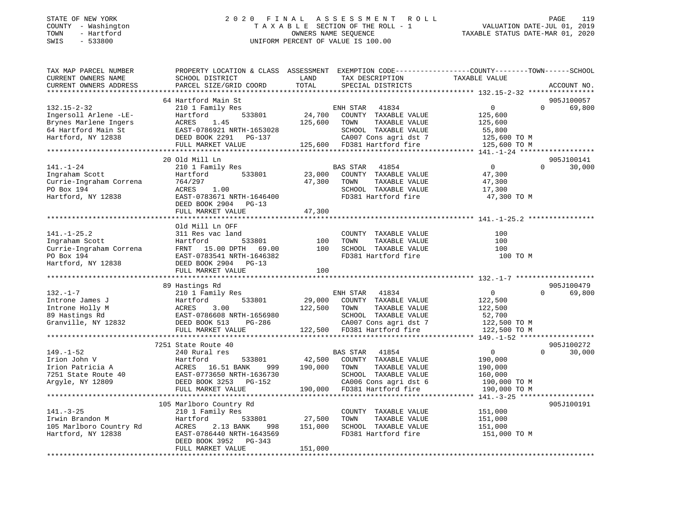## STATE OF NEW YORK 2 0 2 0 F I N A L A S S E S S M E N T R O L L PAGE 119 COUNTY - Washington T A X A B L E SECTION OF THE ROLL - 1 VALUATION DATE-JUL 01, 2019 TOWN - Hartford OWNERS NAME SEQUENCE TAXABLE STATUS DATE-MAR 01, 2020 SWIS - 533800 UNIFORM PERCENT OF VALUE IS 100.00UNIFORM PERCENT OF VALUE IS 100.00

| TAX MAP PARCEL NUMBER   | PROPERTY LOCATION & CLASS ASSESSMENT EXEMPTION CODE---------------COUNTY-------TOWN-----SCHOOL |                         |                             |                |          |             |
|-------------------------|------------------------------------------------------------------------------------------------|-------------------------|-----------------------------|----------------|----------|-------------|
| CURRENT OWNERS NAME     | SCHOOL DISTRICT                                                                                | LAND<br>TOTAL           | TAX DESCRIPTION             | TAXABLE VALUE  |          | ACCOUNT NO. |
| CURRENT OWNERS ADDRESS  | PARCEL SIZE/GRID COORD                                                                         |                         | SPECIAL DISTRICTS           |                |          |             |
|                         | 64 Hartford Main St                                                                            |                         |                             |                |          | 905J100057  |
| $132.15 - 2 - 32$       | 210 1 Family Res                                                                               |                         | ENH STAR<br>41834           | $\Omega$       | $\Omega$ | 69,800      |
| Ingersoll Arlene -LE-   | Hartford<br>533801                                                                             | 24,700                  | COUNTY TAXABLE VALUE        | 125,600        |          |             |
| Brynes Marlene Ingers   | ACRES<br>1.45                                                                                  | 125,600                 | TOWN<br>TAXABLE VALUE       | 125,600        |          |             |
| 64 Hartford Main St     | EAST-0786921 NRTH-1653028                                                                      |                         | SCHOOL TAXABLE VALUE        | 55,800         |          |             |
| Hartford, NY 12838      |                                                                                                |                         | CA007 Cons agri dst 7       | 125,600 TO M   |          |             |
|                         | DEED BOOK 2291<br>PG-137<br>FULL MARKET VALUE                                                  |                         | 125,600 FD381 Hartford fire |                |          |             |
|                         |                                                                                                |                         |                             | 125,600 TO M   |          |             |
|                         | 20 Old Mill Ln                                                                                 |                         |                             |                |          | 905J100141  |
| $141. - 1 - 24$         | 210 1 Family Res                                                                               |                         | <b>BAS STAR</b><br>41854    | $\Omega$       | $\Omega$ | 30,000      |
| Ingraham Scott          | Hartford<br>533801                                                                             | 23,000                  | COUNTY TAXABLE VALUE        | 47,300         |          |             |
| Currie-Ingraham Correna | 764/297                                                                                        | 47,300                  | TOWN<br>TAXABLE VALUE       | 47,300         |          |             |
| PO Box 194              | ACRES<br>1.00                                                                                  |                         | SCHOOL TAXABLE VALUE        | 17,300         |          |             |
|                         |                                                                                                |                         | FD381 Hartford fire         |                |          |             |
| Hartford, NY 12838      | EAST-0783671 NRTH-1646400                                                                      |                         |                             | 47,300 TO M    |          |             |
|                         | DEED BOOK 2904<br>$PG-13$                                                                      |                         |                             |                |          |             |
|                         | FULL MARKET VALUE                                                                              | 47,300<br>************* |                             |                |          |             |
|                         | Old Mill Ln OFF                                                                                |                         |                             |                |          |             |
|                         |                                                                                                |                         |                             |                |          |             |
| $141. - 1 - 25.2$       | 311 Res vac land                                                                               |                         | COUNTY TAXABLE VALUE        | 100            |          |             |
| Ingraham Scott          | Hartford<br>533801                                                                             | 100                     | TOWN<br>TAXABLE VALUE       | 100            |          |             |
| Currie-Ingraham Correna | FRNT 15.00 DPTH 69.00                                                                          | 100                     | SCHOOL TAXABLE VALUE        | 100            |          |             |
| PO Box 194              | EAST-0783541 NRTH-1646382                                                                      |                         | FD381 Hartford fire         | 100 TO M       |          |             |
| Hartford, NY 12838      | DEED BOOK 2904 PG-13                                                                           |                         |                             |                |          |             |
|                         | FULL MARKET VALUE                                                                              | 100                     |                             |                |          |             |
|                         |                                                                                                |                         |                             |                |          |             |
|                         | 89 Hastings Rd                                                                                 |                         |                             |                |          | 905J100479  |
| $132. - 1 - 7$          | 210 1 Family Res                                                                               |                         | ENH STAR<br>41834           | $\overline{0}$ | $\Omega$ | 69,800      |
| Introne James J         | 533801<br>Hartford                                                                             | 29,000                  | COUNTY TAXABLE VALUE        | 122,500        |          |             |
| Introne Holly M         | ACRES<br>3.00                                                                                  | 122,500                 | TOWN<br>TAXABLE VALUE       | 122,500        |          |             |
| 89 Hastings Rd          | EAST-0786608 NRTH-1656980                                                                      |                         | SCHOOL TAXABLE VALUE        | 52,700         |          |             |
| Granville, NY 12832     | DEED BOOK 513<br>PG-286                                                                        |                         | CA007 Cons agri dst 7       | 122,500 TO M   |          |             |
|                         | FULL MARKET VALUE                                                                              |                         | 122,500 FD381 Hartford fire | 122,500 TO M   |          |             |
|                         |                                                                                                |                         |                             |                |          |             |
|                         | 7251 State Route 40                                                                            |                         |                             |                |          | 905J100272  |
| $149. - 1 - 52$         | 240 Rural res                                                                                  |                         | BAS STAR<br>41854           | $\overline{0}$ | $\Omega$ | 30,000      |
| Irion John V            | Hartford<br>533801                                                                             | 42,500                  | COUNTY TAXABLE VALUE        | 190,000        |          |             |
| Irion Patricia A        | ACRES 16.51 BANK<br>999                                                                        | 190,000                 | TOWN<br>TAXABLE VALUE       | 190,000        |          |             |
| 7251 State Route 40     | EAST-0773650 NRTH-1636730                                                                      |                         | SCHOOL TAXABLE VALUE        | 160,000        |          |             |
| Arqyle, NY 12809        | DEED BOOK 3253<br>$PG-152$                                                                     |                         | CA006 Cons agri dst 6       | 190,000 TO M   |          |             |
|                         | FULL MARKET VALUE                                                                              | 190,000                 | FD381 Hartford fire         | 190,000 TO M   |          |             |
|                         |                                                                                                |                         |                             |                |          |             |
|                         | 105 Marlboro Country Rd                                                                        |                         |                             |                |          | 905J100191  |
| $141. - 3 - 25$         | 210 1 Family Res                                                                               |                         | COUNTY TAXABLE VALUE        | 151,000        |          |             |
| Irwin Brandon M         | Hartford<br>533801                                                                             | 27,500                  | TOWN<br>TAXABLE VALUE       | 151,000        |          |             |
| 105 Marlboro Country Rd | ACRES<br>2.13 BANK<br>998                                                                      | 151,000                 | SCHOOL TAXABLE VALUE        | 151,000        |          |             |
| Hartford, NY 12838      | EAST-0786440 NRTH-1643569                                                                      |                         | FD381 Hartford fire         | 151,000 TO M   |          |             |
|                         | DEED BOOK 3952<br>PG-343                                                                       |                         |                             |                |          |             |
|                         | FULL MARKET VALUE                                                                              | 151,000                 |                             |                |          |             |
|                         |                                                                                                |                         |                             |                |          |             |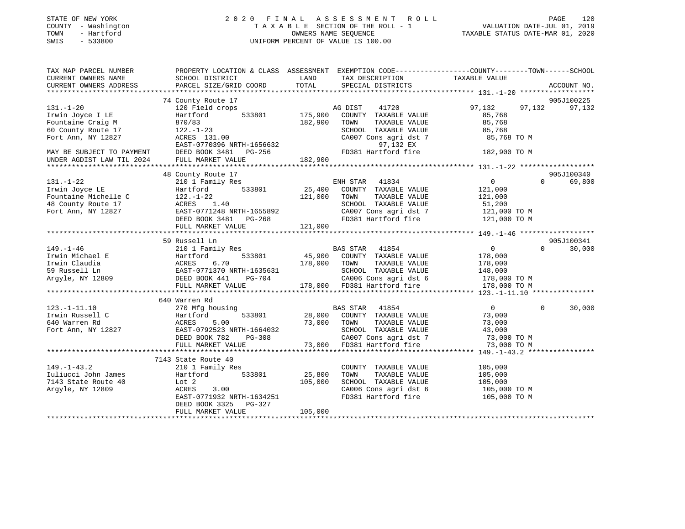| STATE OF NEW YORK |              |
|-------------------|--------------|
| COUNTY            | - Washington |
| TOWN              | - Hartford   |
| <b>CMTC</b>       | 533800       |

## STATE OF NEW YORK 2 0 2 0 F I N A L A S S E S S M E N T R O L L PAGE 120 COUNTY - Washington T A X A B L E SECTION OF THE ROLL - 1 VALUATION DATE-JUL 01, 2019 TOWN - Hartford OWNERS NAME SEQUENCE TAXABLE STATUS DATE-MAR 01, 2020 SWIS - 533800 UNIFORM PERCENT OF VALUE IS 100.00UNIFORM PERCENT OF VALUE IS 100.00

| TAX MAP PARCEL NUMBER     |                                         |              | PROPERTY LOCATION & CLASS ASSESSMENT EXEMPTION CODE----------------COUNTY-------TOWN------SCHOOL |                              |                    |
|---------------------------|-----------------------------------------|--------------|--------------------------------------------------------------------------------------------------|------------------------------|--------------------|
| CURRENT OWNERS NAME       | SCHOOL DISTRICT                         | LAND         | TAX DESCRIPTION                                                                                  | TAXABLE VALUE                |                    |
| CURRENT OWNERS ADDRESS    | PARCEL SIZE/GRID COORD                  | TOTAL        | SPECIAL DISTRICTS                                                                                |                              | ACCOUNT NO.        |
|                           |                                         |              |                                                                                                  |                              |                    |
|                           | 74 County Route 17                      |              |                                                                                                  |                              | 905J100225         |
| $131. - 1 - 20$           | 120 Field crops                         |              | 41720<br>AG DIST                                                                                 | 97,132<br>97,132             | 97,132             |
| Irwin Joyce I LE          | 533801<br>Hartford                      | 175,900      | COUNTY TAXABLE VALUE                                                                             | 85,768                       |                    |
| Fountaine Craig M         | 870/83                                  | 182,900      | TOWN<br>TAXABLE VALUE                                                                            | 85,768                       |                    |
| 60 County Route 17        | $122. - 1 - 23$                         |              | SCHOOL TAXABLE VALUE                                                                             | 85,768                       |                    |
| Fort Ann, NY 12827        | ACRES 131.00                            |              | CA007 Cons agri dst 7                                                                            | 85,768 TO M                  |                    |
|                           | EAST-0770396 NRTH-1656632               |              | 97,132 EX                                                                                        |                              |                    |
| MAY BE SUBJECT TO PAYMENT | DEED BOOK 3481<br>PG-256                |              | FD381 Hartford fire                                                                              | 182,900 TO M                 |                    |
| UNDER AGDIST LAW TIL 2024 | FULL MARKET VALUE                       | 182,900      |                                                                                                  |                              |                    |
|                           |                                         |              |                                                                                                  |                              |                    |
|                           | 48 County Route 17                      |              |                                                                                                  |                              | 905J100340         |
| $131. - 1 - 22$           | 210 1 Family Res                        |              | ENH STAR<br>41834                                                                                | $\overline{0}$               | 69,800<br>$\Omega$ |
| Irwin Joyce LE            | 533801<br>Hartford                      | 25,400       | COUNTY TAXABLE VALUE                                                                             | 121,000                      |                    |
| Fountaine Michelle C      | $122. - 1 - 22$                         | 121,000      | TOWN<br>TAXABLE VALUE                                                                            | 121,000                      |                    |
| 48 County Route 17        | ACRES<br>1.40                           |              | SCHOOL TAXABLE VALUE                                                                             | 51,200                       |                    |
| Fort Ann, NY 12827        | EAST-0771248 NRTH-1655892               |              | CA007 Cons agri dst 7                                                                            | 121,000 TO M                 |                    |
|                           | DEED BOOK 3481 PG-268                   |              | FD381 Hartford fire                                                                              | 121,000 TO M                 |                    |
|                           | FULL MARKET VALUE                       | 121,000      |                                                                                                  |                              |                    |
|                           |                                         |              |                                                                                                  |                              |                    |
|                           | 59 Russell Ln                           |              |                                                                                                  |                              | 905J100341         |
| $149. - 1 - 46$           | 210 1 Family Res                        |              | BAS STAR 41854                                                                                   | $\sim$ 0                     | $\Omega$<br>30,000 |
| Irwin Michael E           | 533801<br>Hartford                      |              | 45,900 COUNTY TAXABLE VALUE                                                                      | 178,000                      |                    |
| Irwin Claudia             |                                         | 178,000 TOWN | TAXABLE VALUE                                                                                    | 178,000                      |                    |
| 59 Russell Ln             | ACRES 6.70<br>EAST-0771370 NRTH-1635631 |              | SCHOOL TAXABLE VALUE                                                                             | 148,000                      |                    |
| Arqyle, NY 12809          | DEED BOOK 441<br>PG-704                 |              | CA006 Cons agri dst 6                                                                            |                              |                    |
|                           |                                         |              |                                                                                                  | 178,000 TO M<br>178 NAO TO M |                    |
|                           | FULL MARKET VALUE                       |              | 178,000 FD381 Hartford fire                                                                      | 178,000 TO M                 |                    |
|                           |                                         |              |                                                                                                  |                              |                    |
| $123. - 1 - 11.10$        | 640 Warren Rd                           |              | BAS STAR 41854                                                                                   | $\overline{0}$               | 30,000<br>$\Omega$ |
|                           | 270 Mfg housing                         |              | 28,000 COUNTY TAXABLE VALUE                                                                      |                              |                    |
| Irwin Russell C           | Hartford<br>533801                      |              |                                                                                                  | 73,000                       |                    |
| 640 Warren Rd             | 5.00<br>ACRES                           | 73,000       | TAXABLE VALUE<br>TOWN                                                                            | 73,000                       |                    |
| Fort Ann, NY 12827        | EAST-0792523 NRTH-1664032               |              | SCHOOL TAXABLE VALUE                                                                             | 43,000                       |                    |
|                           | PG-308<br>DEED BOOK 782                 |              | CA007 Cons agri dst 7                                                                            | 73,000 TO M                  |                    |
|                           | FULL MARKET VALUE                       | 73,000       | FD381 Hartford fire                                                                              | 73,000 TO M                  |                    |
|                           |                                         |              |                                                                                                  |                              |                    |
|                           | 7143 State Route 40                     |              |                                                                                                  |                              |                    |
| $149. - 1 - 43.2$         | 210 1 Family Res                        |              | COUNTY TAXABLE VALUE                                                                             | 105,000                      |                    |
| Iuliucci John James       | 533801<br>Hartford                      | 25,800       | TAXABLE VALUE<br>TOWN                                                                            | 105,000                      |                    |
| 7143 State Route 40       | Lot 2                                   | 105,000      | SCHOOL TAXABLE VALUE                                                                             | 105,000                      |                    |
| Argyle, NY 12809          | ACRES<br>3.00                           |              | CA006 Cons agri dst 6                                                                            | 105,000 TO M                 |                    |
|                           | EAST-0771932 NRTH-1634251               |              | FD381 Hartford fire                                                                              | 105,000 TO M                 |                    |
|                           | DEED BOOK 3325<br>PG-327                |              |                                                                                                  |                              |                    |
|                           | FULL MARKET VALUE                       | 105,000      |                                                                                                  |                              |                    |
|                           |                                         |              |                                                                                                  |                              |                    |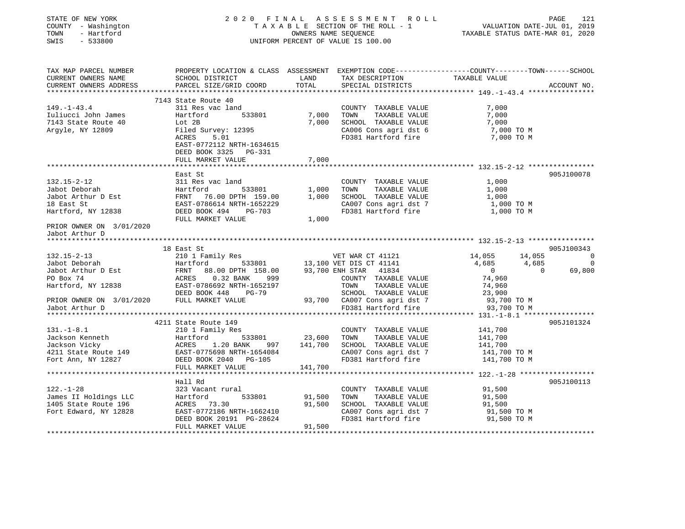| STATE OF NEW YORK<br>COUNTY - Washington<br>- Hartford<br>TOWN<br>SWIS<br>$-533800$                                                                                                                                                    |                           |               | 0 FINAL ASSESSMENT ROLL<br>TAXABLE SECTION OF THE ROLL - 1 VALUATION DATE-JUL 01, 2019<br>OWNERS NAME SEQUENCE<br>TAXABLE STATUS DATE-MAR 01, 2020<br>2020 FINAL ASSESSMENT ROLL<br>UNIFORM PERCENT OF VALUE IS 100.00 |                                          |             |
|----------------------------------------------------------------------------------------------------------------------------------------------------------------------------------------------------------------------------------------|---------------------------|---------------|------------------------------------------------------------------------------------------------------------------------------------------------------------------------------------------------------------------------|------------------------------------------|-------------|
| CURRENT OWNERS NAME<br>CURRENT OWNERS NAME                                                                                                                                                                                             |                           |               |                                                                                                                                                                                                                        |                                          |             |
|                                                                                                                                                                                                                                        |                           |               |                                                                                                                                                                                                                        |                                          |             |
| CURRENT OWNERS ADDRESS                                                                                                                                                                                                                 | PARCEL SIZE/GRID COORD    | TOTAL         | SPECIAL DISTRICTS                                                                                                                                                                                                      |                                          | ACCOUNT NO. |
|                                                                                                                                                                                                                                        | 7143 State Route 40       |               |                                                                                                                                                                                                                        |                                          |             |
| $149. - 1 - 43.4$                                                                                                                                                                                                                      | 311 Res vac land          |               | COUNTY TAXABLE VALUE                                                                                                                                                                                                   | 7,000                                    |             |
|                                                                                                                                                                                                                                        | Hartford 533801           | 7,000         | TOWN<br>TAXABLE VALUE                                                                                                                                                                                                  | 7,000                                    |             |
|                                                                                                                                                                                                                                        |                           |               | 7,000 SCHOOL TAXABLE VALUE                                                                                                                                                                                             |                                          |             |
|                                                                                                                                                                                                                                        |                           |               |                                                                                                                                                                                                                        | 7,000<br>7,000 TO M                      |             |
| Tuliucci John James<br>Tuliucci John James<br>7143 State Route 40<br>Argyle, NY 12809<br>ACRES 5.01                                                                                                                                    |                           |               | CA006 Cons agri dst 6 7,000 TO M<br>FD381 Hartford fire 7,000 TO M                                                                                                                                                     |                                          |             |
|                                                                                                                                                                                                                                        | EAST-0772112 NRTH-1634615 |               |                                                                                                                                                                                                                        |                                          |             |
|                                                                                                                                                                                                                                        | DEED BOOK 3325 PG-331     |               |                                                                                                                                                                                                                        |                                          |             |
|                                                                                                                                                                                                                                        | FULL MARKET VALUE         | 7,000         |                                                                                                                                                                                                                        |                                          |             |
|                                                                                                                                                                                                                                        | East St                   |               |                                                                                                                                                                                                                        |                                          | 905J100078  |
|                                                                                                                                                                                                                                        |                           |               | COUNTY TAXABLE VALUE                                                                                                                                                                                                   | 1,000                                    |             |
|                                                                                                                                                                                                                                        |                           |               | TAXABLE VALUE                                                                                                                                                                                                          | 1,000                                    |             |
|                                                                                                                                                                                                                                        |                           |               | 533801 1,000 TOWN TAXABLE VALUE<br>00 DPTH 159.00 1,000 SCHOOL TAXABLE VALUE                                                                                                                                           | 1,000                                    |             |
|                                                                                                                                                                                                                                        |                           |               |                                                                                                                                                                                                                        |                                          |             |
|                                                                                                                                                                                                                                        |                           |               | CA007 Cons agri dst 7 1,000 TO M<br>FD381 Hartford fire 1,000 TO M                                                                                                                                                     |                                          |             |
| 132.15-2-12<br>Jabot Deborah Martford 533801<br>Jabot Arthur D Est FRNT 76.00 DPTH 159.00<br>18 East St EAST-0786614 NRTH-1652229<br>Hartford, NY 12838 DEED BOOK 494 PG-703<br>FIII.I MAPKET WATH-                                    |                           | 1,000         |                                                                                                                                                                                                                        |                                          |             |
| PRIOR OWNER ON 3/01/2020                                                                                                                                                                                                               |                           |               |                                                                                                                                                                                                                        |                                          |             |
| Jabot Arthur D                                                                                                                                                                                                                         |                           |               |                                                                                                                                                                                                                        |                                          |             |
|                                                                                                                                                                                                                                        |                           |               |                                                                                                                                                                                                                        |                                          |             |
|                                                                                                                                                                                                                                        | 18 East St                |               |                                                                                                                                                                                                                        |                                          | 905J100343  |
|                                                                                                                                                                                                                                        |                           |               |                                                                                                                                                                                                                        | $14,055$ $14,055$ 0<br>$4,685$ $4,685$ 0 |             |
|                                                                                                                                                                                                                                        |                           |               |                                                                                                                                                                                                                        | $\overline{0}$<br>$\overline{0}$         | 69,800      |
|                                                                                                                                                                                                                                        |                           |               |                                                                                                                                                                                                                        | 74,960                                   |             |
|                                                                                                                                                                                                                                        |                           |               |                                                                                                                                                                                                                        | 74,960                                   |             |
| 132.15-2-13<br>Jabot Deborah Hartford Hartford 533801 13,100 VET DIS CT 41121<br>Jabot Arthur D Est FRNT 88.00 DPTH 158.00 93,700 ENH STAR 41834<br>PO Box 74 ACRES 0.32 BANK 999 COUNTY TAXABLE VALUE<br>Hartford, NY 12838 EAST-0786 |                           |               | SCHOOL TAXABLE VALUE 23,900<br>93,700 CA007 Cons agri dst 7 93,700 TO M<br>FD381 Hartford fire 93,700 TO M                                                                                                             |                                          |             |
| PRIOR OWNER ON 3/01/2020 FULL MARKET VALUE                                                                                                                                                                                             |                           |               |                                                                                                                                                                                                                        |                                          |             |
| Jabot Arthur D                                                                                                                                                                                                                         |                           |               |                                                                                                                                                                                                                        |                                          |             |
|                                                                                                                                                                                                                                        |                           |               |                                                                                                                                                                                                                        |                                          |             |
| 131.-1-8.1<br>Jackson Kenneth 210 1 Family Res<br>Jackson Vicky Hartford 533801<br>23,600 TOWN TAXABLE VALUE Jackson Vicky ACRES 1.20 BANK 997 141,700 SCHOOL TAXABLE VALUE<br>4211 State Route 149 EAST-0775698 NRTH-1654084 CA007    |                           |               |                                                                                                                                                                                                                        |                                          | 905J101324  |
|                                                                                                                                                                                                                                        |                           |               | COUNTY TAXABLE VALUE 141,700                                                                                                                                                                                           |                                          |             |
|                                                                                                                                                                                                                                        |                           |               |                                                                                                                                                                                                                        | 141,700                                  |             |
|                                                                                                                                                                                                                                        |                           |               | CA007 Cons agri dst 7 141,700 TO M                                                                                                                                                                                     | 141,700                                  |             |
|                                                                                                                                                                                                                                        |                           |               |                                                                                                                                                                                                                        | 141,700 TO M                             |             |
|                                                                                                                                                                                                                                        |                           |               |                                                                                                                                                                                                                        |                                          |             |
|                                                                                                                                                                                                                                        |                           |               |                                                                                                                                                                                                                        |                                          |             |
|                                                                                                                                                                                                                                        | Hall Rd                   |               |                                                                                                                                                                                                                        |                                          | 905J100113  |
| $122. - 1 - 28$                                                                                                                                                                                                                        | 323 Vacant rural          |               | COUNTY TAXABLE VALUE                                                                                                                                                                                                   | 91,500                                   |             |
| 122.-1-28<br>James II Holdings LLC<br>1405 State Route 196<br>Fort Edward, NY 12828<br>Fort Edward, NY 12828<br>2007/12186 NRT                                                                                                         |                           | 533801 91,500 | TOWN TAXABLE VALUE                                                                                                                                                                                                     | 91,500                                   |             |
|                                                                                                                                                                                                                                        |                           | 91,500        | SCHOOL TAXABLE VALUE                                                                                                                                                                                                   | 91,500                                   |             |
|                                                                                                                                                                                                                                        | EAST-0772186 NRTH-1662410 |               | CA007 Cons agri dst 7 91,500 TO M<br>FD381 Hartford fire 91,500 TO M                                                                                                                                                   | 91,500 TO M                              |             |
|                                                                                                                                                                                                                                        | DEED BOOK 20191 PG-28624  |               |                                                                                                                                                                                                                        |                                          |             |
|                                                                                                                                                                                                                                        | FULL MARKET VALUE         | 91,500        |                                                                                                                                                                                                                        |                                          |             |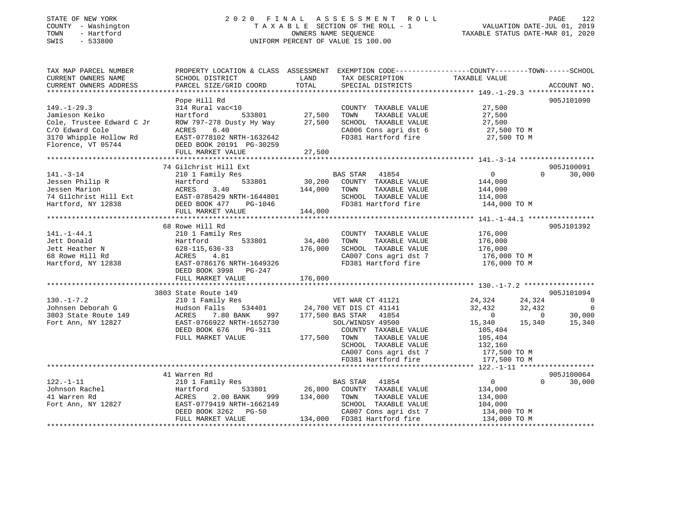## STATE OF NEW YORK 2 0 2 0 F I N A L A S S E S S M E N T R O L L PAGE 122 COUNTY - Washington T A X A B L E SECTION OF THE ROLL - 1 VALUATION DATE-JUL 01, 2019 TOWN - Hartford OWNERS NAME SEQUENCE TAXABLE STATUS DATE-MAR 01, 2020 SWIS - 533800 UNIFORM PERCENT OF VALUE IS 100.00

| TAX MAP PARCEL NUMBER<br>CURRENT OWNERS NAME<br>CURRENT OWNERS ADDRESS                                                              | PROPERTY LOCATION & CLASS ASSESSMENT EXEMPTION CODE----------------COUNTY-------TOWN------SCHOOL<br>SCHOOL DISTRICT<br>PARCEL SIZE/GRID COORD                                                                                                                                                                                                                   | LAND<br>TOTAL           | TAX DESCRIPTION TAXABLE VALUE SPECIAL DISTRICTS                                                                                                               |                                                                                                 | ACCOUNT NO.                      |
|-------------------------------------------------------------------------------------------------------------------------------------|-----------------------------------------------------------------------------------------------------------------------------------------------------------------------------------------------------------------------------------------------------------------------------------------------------------------------------------------------------------------|-------------------------|---------------------------------------------------------------------------------------------------------------------------------------------------------------|-------------------------------------------------------------------------------------------------|----------------------------------|
| $149. - 1 - 29.3$<br>Jamieson Keiko<br>Cole, Trustee Edward C Jr<br>C/O Edward Cole<br>3170 Whipple Hollow Rd<br>Florence, VT 05744 | Pope Hill Rd<br>314 Rural vac<10<br>Hartford<br>ROW 797-278 Dusty Hy Way 27,500<br>6.40<br>ACRES<br>EAST-0778102 NRTH-1632642<br>DEED BOOK 20191 PG-30259<br>FULL MARKET VALUE                                                                                                                                                                                  | 533801 27,500<br>27,500 | COUNTY TAXABLE VALUE 27,500<br>TOWN TAXABLE VALUE<br>SCHOOL TAXABLE VALUE<br>CA006 Cons agri dst 6 27,500 TO M<br>FD381 Hartford fire                         | 27,500 TO M                                                                                     | 905J101090                       |
| $141. - 3 - 14$                                                                                                                     | 74 Gilchrist Hill Ext<br>210 1 Family Res                                                                                                                                                                                                                                                                                                                       |                         | EXE<br>533801 30,200 COUNTY TAXABLE VALUE<br>144,000 TOWN TAXABLE VALUE<br>TAXABLE VALUE<br>SCHOOL TAXABLE VALUE 114,000<br>FD381 Hartford fire 144,000 TO M  | $\sim$ 0 $\sim$ 0 $\sim$ 0 $\sim$ 0 $\sim$<br>144,000<br>144,000                                | 905J100091<br>$\Omega$<br>30,000 |
| $141. - 1 - 44.1$                                                                                                                   | 68 Rowe Hill Rd<br>210 1 Family Res<br>Hartford 533801 34,400<br>Jett Donald<br>Jett Heather N 628-115,636-33<br>68 Rowe Hill Rd ACRES 4.81<br>Hartford, NY 12838<br>DEED BOOK 3998 PG-247<br>DEED BOOK 3998 PG-247<br>FULL MARKET VALUE                                                                                                                        | 176,000<br>176,000      | COUNTY TAXABLE VALUE<br>TOWN<br>TAXABLE VALUE<br>SCHOOL TAXABLE VALUE<br>CA007 Cons agri dst 7 176,000 TO M<br>FD381 Hartford fire                            | 176,000<br>176,000<br>176,000<br>176,000 TO M                                                   | 905J101392                       |
| $130. - 1 - 7.2$<br>Johnsen Deborah G<br>3803 State Route 149<br>Fort Ann, NY 12827                                                 | 3803 State Route 149<br>910 1 Family Res<br>24, 324 24, 324 24, 324 24, 324 24, 324 24, 324 24, 324 24, 324 24, 324 24, 324 24, 324 24, 324 24, 324 24, 32<br>24, 32, 432 24, 32, 432 24, 32, 432 24, 32, 432 24, 32, 432 24, 32, 432 24, 32, 432 24, 32,<br>$\texttt{EAST-0766922}$ NRTH-1652730 SOL/WINDSY 49500<br>DEED BOOK 676 PG-311<br>FULL MARKET VALUE | 177,500 TOWN            | COUNTY TAXABLE VALUE<br>TAXABLE VALUE<br>SCHOOL TAXABLE VALUE<br>FD381 Hartford fire                                                                          | 15,340<br>105,404<br>105,404<br>132,160<br>CA007 Cons agri dst 7 $177,500$ TO M<br>177,500 TO M | 905J101094<br>15,340 15,340      |
| $122. - 1 - 11$                                                                                                                     | 41 Warren Rd<br>210 1 Family Res<br>999<br>2.00 BANK<br>EAST-0779419 NRTH-1662149<br>DEED BOOK 3262 PG-50<br>FULL MARKET VALUE                                                                                                                                                                                                                                  | 134,000                 | BAS STAR 41854<br>533801 26,000 COUNTY TAXABLE VALUE<br>TOWN<br>TAXABLE VALUE<br>SCHOOL TAXABLE VALUE<br>CA007 Cons agri dst 7<br>134,000 FD381 Hartford fire | $\overline{0}$<br>134,000<br>134,000<br>104,000<br>134,000 TO M<br>134,000 TO M                 | 905J100064<br>$\Omega$<br>30,000 |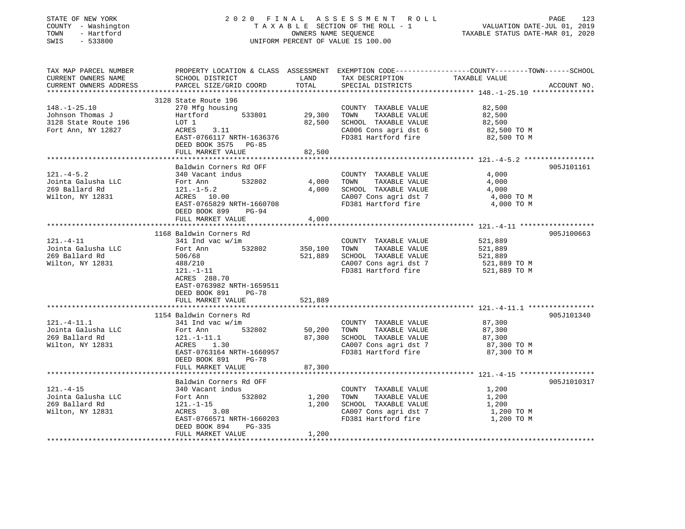| STATE OF NEW YORK<br>COUNTY - Washington<br>TOWN<br>- Hartford<br>SWIS<br>$-533800$ |                                             |                | 2020 FINAL ASSESSMENT ROLL<br>TAXABLE SECTION OF THE ROLL - 1<br>OWNERS NAME SEQUENCE<br>UNIFORM PERCENT OF VALUE IS 100.00 | PAGE<br>123<br>VALUATION DATE-JUL 01, 2019<br>TAXABLE STATUS DATE-MAR 01, 2020                                                   |
|-------------------------------------------------------------------------------------|---------------------------------------------|----------------|-----------------------------------------------------------------------------------------------------------------------------|----------------------------------------------------------------------------------------------------------------------------------|
| TAX MAP PARCEL NUMBER<br>CURRENT OWNERS NAME<br>CURRENT OWNERS ADDRESS              | SCHOOL DISTRICT<br>PARCEL SIZE/GRID COORD   | LAND<br>TOTAL  | TAX DESCRIPTION<br>SPECIAL DISTRICTS                                                                                        | PROPERTY LOCATION & CLASS ASSESSMENT EXEMPTION CODE----------------COUNTY-------TOWN------SCHOOL<br>TAXABLE VALUE<br>ACCOUNT NO. |
|                                                                                     |                                             |                |                                                                                                                             |                                                                                                                                  |
| $148. - 1 - 25.10$                                                                  | 3128 State Route 196<br>270 Mfg housing     |                | COUNTY TAXABLE VALUE                                                                                                        | 82,500                                                                                                                           |
| Johnson Thomas J                                                                    | Hartford<br>533801                          | 29,300         | TOWN<br>TAXABLE VALUE                                                                                                       | 82,500                                                                                                                           |
| 3128 State Route 196                                                                | LOT 1                                       | 82,500         | SCHOOL TAXABLE VALUE                                                                                                        | 82,500                                                                                                                           |
| Fort Ann, NY 12827                                                                  | ACRES 3.11                                  |                | CA006 Cons agri dst 6                                                                                                       | 82,500 TO M                                                                                                                      |
|                                                                                     | EAST-0766117 NRTH-1636376                   |                | FD381 Hartford fire                                                                                                         | 82,500 TO M                                                                                                                      |
|                                                                                     | DEED BOOK 3575 PG-85                        |                |                                                                                                                             |                                                                                                                                  |
|                                                                                     | FULL MARKET VALUE                           | 82,500         |                                                                                                                             |                                                                                                                                  |
|                                                                                     |                                             |                |                                                                                                                             |                                                                                                                                  |
|                                                                                     | Baldwin Corners Rd OFF                      |                |                                                                                                                             | 905J101161<br>4,000                                                                                                              |
| $121. -4 - 5.2$<br>Jointa Galusha LLC                                               | 340 Vacant indus<br>532802<br>Fort Ann      | 4,000          | COUNTY TAXABLE VALUE<br>TOWN<br>TAXABLE VALUE                                                                               | 4,000                                                                                                                            |
| 269 Ballard Rd                                                                      | $121.-1-5.2$                                | 4,000          | SCHOOL TAXABLE VALUE                                                                                                        | 4,000                                                                                                                            |
| Wilton, NY 12831                                                                    | ACRES 10.00                                 |                | CA007 Cons agri dst 7                                                                                                       | 4,000 TO M                                                                                                                       |
|                                                                                     | EAST-0765829 NRTH-1660708                   |                | FD381 Hartford fire                                                                                                         | 4,000 TO M                                                                                                                       |
|                                                                                     | DEED BOOK 899<br>PG-94                      |                |                                                                                                                             |                                                                                                                                  |
|                                                                                     | FULL MARKET VALUE                           | 4,000          |                                                                                                                             |                                                                                                                                  |
|                                                                                     | ***********************************         |                |                                                                                                                             |                                                                                                                                  |
|                                                                                     | 1168 Baldwin Corners Rd                     |                |                                                                                                                             | 905J100663                                                                                                                       |
| 121.-4-11<br>Jointa Galusha LLC                                                     | 341 Ind vac w/im<br>532802<br>Fort Ann      | 350,100        | COUNTY TAXABLE VALUE<br>TOWN<br>TAXABLE VALUE                                                                               | 521,889<br>521,889                                                                                                               |
| 269 Ballard Rd                                                                      | 506/68                                      | 521,889        | SCHOOL TAXABLE VALUE                                                                                                        | 521,889                                                                                                                          |
| Wilton, NY 12831                                                                    | 488/210                                     |                | CA007 Cons agri dst 7                                                                                                       | 521,889 TO M                                                                                                                     |
|                                                                                     | $121.-1-11$                                 |                | FD381 Hartford fire                                                                                                         | 521,889 TO M                                                                                                                     |
|                                                                                     | ACRES 288.70                                |                |                                                                                                                             |                                                                                                                                  |
|                                                                                     | EAST-0763982 NRTH-1659511                   |                |                                                                                                                             |                                                                                                                                  |
|                                                                                     | DEED BOOK 891<br>PG-78                      |                |                                                                                                                             |                                                                                                                                  |
|                                                                                     | FULL MARKET VALUE                           | 521,889        |                                                                                                                             |                                                                                                                                  |
|                                                                                     |                                             |                |                                                                                                                             |                                                                                                                                  |
| $121.-4-11.1$                                                                       | 1154 Baldwin Corners Rd<br>341 Ind vac w/im |                |                                                                                                                             | 905J101340<br>87,300                                                                                                             |
| Jointa Galusha LLC                                                                  | Fort Ann<br>532802                          | 50,200         | COUNTY TAXABLE VALUE<br>TAXABLE VALUE<br>TOWN                                                                               | 87,300                                                                                                                           |
| 269 Ballard Rd                                                                      | $121.-1-11.1$                               | 87,300         | SCHOOL TAXABLE VALUE                                                                                                        | 87,300                                                                                                                           |
| Wilton, NY 12831                                                                    | ACRES 1.30                                  |                | CA007 Cons agri dst 7                                                                                                       | 87,300 TO M                                                                                                                      |
|                                                                                     | EAST-0763164 NRTH-1660957                   |                | FD381 Hartford fire                                                                                                         | 87,300 TO M                                                                                                                      |
|                                                                                     | DEED BOOK 891<br>PG-78                      |                |                                                                                                                             |                                                                                                                                  |
|                                                                                     | FULL MARKET VALUE                           | 87,300         |                                                                                                                             |                                                                                                                                  |
|                                                                                     |                                             |                |                                                                                                                             |                                                                                                                                  |
|                                                                                     | Baldwin Corners Rd OFF                      |                |                                                                                                                             | 905J1010317                                                                                                                      |
| $121. - 4 - 15$                                                                     | 340 Vacant indus                            |                | COUNTY TAXABLE VALUE                                                                                                        | 1,200                                                                                                                            |
| Jointa Galusha LLC<br>269 Ballard Rd                                                | Fort Ann<br>532802                          | 1,200<br>1,200 | TAXABLE VALUE<br>TOWN                                                                                                       | 1,200                                                                                                                            |
| Wilton, NY 12831                                                                    | $121.-1-15$<br>ACRES<br>3.08                |                | SCHOOL TAXABLE VALUE<br>CA007 Cons agri dst 7                                                                               | 1,200<br>1,200 TO M                                                                                                              |
|                                                                                     | EAST-0766571 NRTH-1660203                   |                | FD381 Hartford fire                                                                                                         | 1,200 TO M                                                                                                                       |
|                                                                                     | DEED BOOK 894<br>PG-335                     |                |                                                                                                                             |                                                                                                                                  |
|                                                                                     | FULL MARKET VALUE                           | 1,200          |                                                                                                                             |                                                                                                                                  |
|                                                                                     |                                             |                |                                                                                                                             |                                                                                                                                  |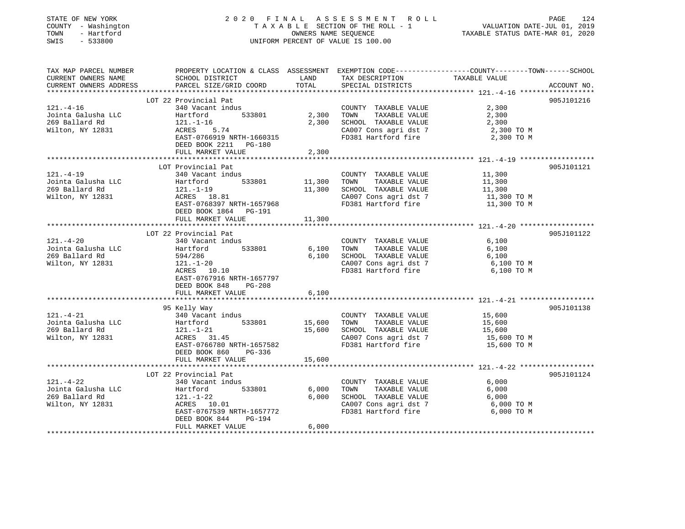| - Hartford<br>TOWN<br>SWIS<br>$-533800$                                                                                                |                                                                                                                    |        | 2020 FINAL ASSESSMENT ROLL<br>TAXABLE SECTION OF THE ROLL - 1<br>OWNERS NAME SEQUENCE<br>UNIFORM PERCENT OF VALUE IS 100.00 | VALUATION DATE-JUL 01, 2019<br>TAXABLE STATUS DATE-MAR 01, 2020 | PAGE<br>124 |
|----------------------------------------------------------------------------------------------------------------------------------------|--------------------------------------------------------------------------------------------------------------------|--------|-----------------------------------------------------------------------------------------------------------------------------|-----------------------------------------------------------------|-------------|
| TAX MAP PARCEL NUMBER<br>CURRENT OWNERS NAME                                                                                           | PROPERTY LOCATION & CLASS ASSESSMENT EXEMPTION CODE---------------COUNTY-------TOWN------SCHOOL<br>SCHOOL DISTRICT | LAND   | TAX DESCRIPTION                                                                                                             | TAXABLE VALUE                                                   |             |
| CURRENT OWNERS ADDRESS                                                                                                                 | PARCEL SIZE/GRID COORD                                                                                             | TOTAL  | SPECIAL DISTRICTS                                                                                                           |                                                                 | ACCOUNT NO. |
|                                                                                                                                        |                                                                                                                    |        |                                                                                                                             |                                                                 |             |
|                                                                                                                                        | LOT 22 Provincial Pat                                                                                              |        |                                                                                                                             |                                                                 | 905J101216  |
| $121. - 4 - 16$                                                                                                                        | 340 Vacant indus                                                                                                   |        | COUNTY TAXABLE VALUE                                                                                                        | 2,300                                                           |             |
| Jointa Galusha LLC                                                                                                                     | 533801<br>Hartford                                                                                                 | 2,300  | TOWN TAXABLE VALUE                                                                                                          | 2,300                                                           |             |
| 269 Ballard Rd                                                                                                                         | 121.-1-16                                                                                                          | 2,300  | SCHOOL TAXABLE VALUE                                                                                                        | 2,300                                                           |             |
| Wilton, NY 12831                                                                                                                       | ACRES 5.74<br>EAST-0766919 NRTH-1660315                                                                            |        | CA007 Cons agri dst 7<br>FD381 Hartford fire                                                                                | 2,300 TO M<br>2,300 TO M                                        |             |
|                                                                                                                                        | DEED BOOK 2211    PG-180                                                                                           |        |                                                                                                                             |                                                                 |             |
|                                                                                                                                        | FULL MARKET VALUE                                                                                                  | 2,300  |                                                                                                                             |                                                                 |             |
|                                                                                                                                        |                                                                                                                    |        |                                                                                                                             |                                                                 |             |
|                                                                                                                                        | LOT Provincial Pat                                                                                                 |        |                                                                                                                             |                                                                 | 905J101121  |
| $121. - 4 - 19$                                                                                                                        | 340 Vacant indus                                                                                                   |        | COUNTY TAXABLE VALUE                                                                                                        | 11,300                                                          |             |
| Jointa Galusha LLC                                                                                                                     | 533801<br>Hartford                                                                                                 | 11,300 | TOWN<br>TAXABLE VALUE                                                                                                       | 11,300                                                          |             |
| 269 Ballard Rd                                                                                                                         | $121.-1-19$                                                                                                        | 11,300 | SCHOOL TAXABLE VALUE                                                                                                        | 11,300                                                          |             |
| Wilton, NY 12831                                                                                                                       | ACRES 18.81<br>EAST-0768397 NRTH-1657968                                                                           |        | CA007 Cons agri dst 7<br>FD381 Hartford fire                                                                                | 11,300 TO M<br>11,300 TO M                                      |             |
|                                                                                                                                        | DEED BOOK 1864 PG-191                                                                                              |        |                                                                                                                             |                                                                 |             |
|                                                                                                                                        | FULL MARKET VALUE                                                                                                  | 11,300 |                                                                                                                             |                                                                 |             |
|                                                                                                                                        |                                                                                                                    |        |                                                                                                                             |                                                                 |             |
|                                                                                                                                        | LOT 22 Provincial Pat                                                                                              |        |                                                                                                                             |                                                                 | 905J101122  |
|                                                                                                                                        | 340 Vacant indus                                                                                                   |        | COUNTY TAXABLE VALUE                                                                                                        | 6,100                                                           |             |
| $121. - 4 - 20$                                                                                                                        |                                                                                                                    |        | TOWN TAXABLE VALUE                                                                                                          | 6,100                                                           |             |
| Jointa Galusha LLC                                                                                                                     | 533801<br>Hartford                                                                                                 | 6,100  |                                                                                                                             |                                                                 |             |
| 269 Ballard Rd                                                                                                                         | 594/286                                                                                                            | 6,100  | SCHOOL TAXABLE VALUE                                                                                                        | 6,100                                                           |             |
| Wilton, NY 12831                                                                                                                       | $121. - 1 - 20$                                                                                                    |        | CA007 Cons agri dst 7                                                                                                       | 6,100 TO M                                                      |             |
|                                                                                                                                        | ACRES 10.10                                                                                                        |        | FD381 Hartford fire                                                                                                         | 6,100 TO M                                                      |             |
|                                                                                                                                        | EAST-0767916 NRTH-1657797                                                                                          |        |                                                                                                                             |                                                                 |             |
|                                                                                                                                        | DEED BOOK 848<br>PG-208<br>FULL MARKET VALUE                                                                       |        |                                                                                                                             |                                                                 |             |
|                                                                                                                                        |                                                                                                                    | 6,100  |                                                                                                                             |                                                                 |             |
|                                                                                                                                        | 95 Kelly Way                                                                                                       |        |                                                                                                                             |                                                                 | 905J101138  |
|                                                                                                                                        | 340 Vacant indus                                                                                                   |        | COUNTY TAXABLE VALUE                                                                                                        | 15,600                                                          |             |
|                                                                                                                                        | Hartford 533801                                                                                                    | 15,600 | TOWN TAXABLE VALUE                                                                                                          | 15,600                                                          |             |
|                                                                                                                                        | 121.-1-21                                                                                                          | 15,600 | SCHOOL TAXABLE VALUE                                                                                                        | 15,600                                                          |             |
|                                                                                                                                        | ACRES 31.45                                                                                                        |        | CA007 Cons agri dst 7                                                                                                       | 15,600 TO M                                                     |             |
|                                                                                                                                        | EAST-0766780 NRTH-1657582                                                                                          |        | FD381 Hartford fire                                                                                                         | 15,600 TO M                                                     |             |
|                                                                                                                                        | DEED BOOK 860<br>PG-336<br>FULL MARKET VALUE                                                                       | 15,600 |                                                                                                                             |                                                                 |             |
|                                                                                                                                        |                                                                                                                    |        |                                                                                                                             |                                                                 |             |
|                                                                                                                                        | LOT 22 Provincial Pat                                                                                              |        |                                                                                                                             |                                                                 | 905J101124  |
|                                                                                                                                        | 340 Vacant indus                                                                                                   |        | COUNTY TAXABLE VALUE                                                                                                        | 6,000                                                           |             |
|                                                                                                                                        | Hartford<br>533801                                                                                                 | 6,000  | TOWN<br>TAXABLE VALUE                                                                                                       | 6,000                                                           |             |
| $121. - 4 - 21$<br>Jointa Galusha LLC<br>269 Ballard Rd<br>Wilton, NY 12831<br>$121. - 4 - 22$<br>Jointa Galusha LLC<br>269 Ballard Rd | 121.-1-22                                                                                                          | 6.000  | SCHOOL TAXABLE VALUE                                                                                                        | 6,000                                                           |             |
| Wilton, NY 12831                                                                                                                       | ACRES 10.01                                                                                                        |        | CA007 Cons agri dst 7                                                                                                       | 6,000 TO M                                                      |             |
|                                                                                                                                        | EAST-0767539 NRTH-1657772<br>DEED BOOK 844<br>PG-194                                                               |        | FD381 Hartford fire                                                                                                         | 6,000 TO M                                                      |             |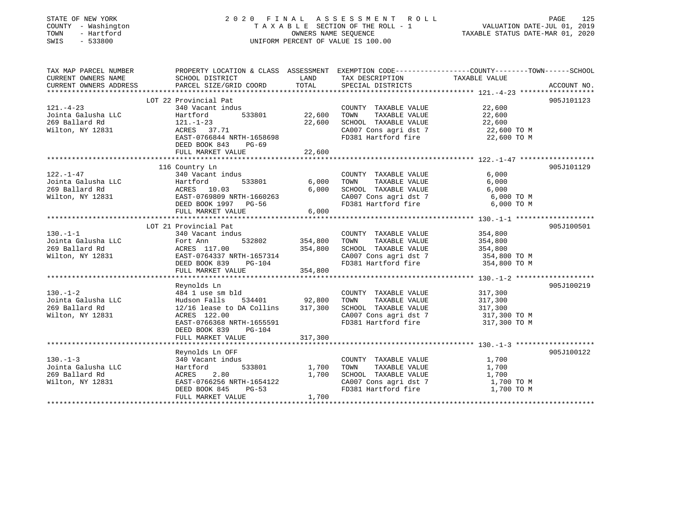| STATE OF NEW YORK<br>COUNTY - Washington<br>- Hartford<br>TOWN<br>SWIS<br>$-533800$ |                                                | OWNERS NAME SEQUENCE | 2020 FINAL ASSESSMENT ROLL<br>TAXABLE SECTION OF THE ROLL - 1<br>UNIFORM PERCENT OF VALUE IS 100.00 | VALUATION DATE-JUL 01, 2019<br>TAXABLE STATUS DATE-MAR 01, 2020                                                   | PAGE<br>125 |
|-------------------------------------------------------------------------------------|------------------------------------------------|----------------------|-----------------------------------------------------------------------------------------------------|-------------------------------------------------------------------------------------------------------------------|-------------|
| TAX MAP PARCEL NUMBER<br>CURRENT OWNERS NAME                                        | SCHOOL DISTRICT                                | LAND                 | TAX DESCRIPTION                                                                                     | PROPERTY LOCATION & CLASS ASSESSMENT EXEMPTION CODE----------------COUNTY-------TOWN------SCHOOL<br>TAXABLE VALUE |             |
| CURRENT OWNERS ADDRESS                                                              | PARCEL SIZE/GRID COORD                         | TOTAL                | SPECIAL DISTRICTS                                                                                   |                                                                                                                   | ACCOUNT NO. |
|                                                                                     | LOT 22 Provincial Pat                          |                      |                                                                                                     |                                                                                                                   | 905J101123  |
| $121. - 4 - 23$                                                                     | 340 Vacant indus                               |                      | COUNTY TAXABLE VALUE                                                                                | 22,600                                                                                                            |             |
| Jointa Galusha LLC                                                                  | Hartford<br>533801                             | 22,600               | TOWN<br>TAXABLE VALUE                                                                               | 22,600                                                                                                            |             |
| 269 Ballard Rd                                                                      | $121. - 1 - 23$                                | 22,600               | SCHOOL TAXABLE VALUE                                                                                | 22,600                                                                                                            |             |
| Wilton, NY 12831                                                                    | ACRES 37.71                                    |                      | CA007 Cons agri dst 7                                                                               | 22,600 TO M                                                                                                       |             |
|                                                                                     | EAST-0766844 NRTH-1658698                      |                      | FD381 Hartford fire                                                                                 | 22,600 TO M                                                                                                       |             |
|                                                                                     | DEED BOOK 843<br>$PG-69$<br>FULL MARKET VALUE  | 22,600               |                                                                                                     |                                                                                                                   |             |
|                                                                                     |                                                |                      |                                                                                                     |                                                                                                                   |             |
|                                                                                     | 116 Country Ln                                 |                      |                                                                                                     |                                                                                                                   | 905J101129  |
| 122.-1-47                                                                           | 340 Vacant indus                               |                      | COUNTY TAXABLE VALUE                                                                                | 6,000                                                                                                             |             |
| Jointa Galusha LLC                                                                  | 533801<br>Hartford                             | 6,000                | TOWN<br>TAXABLE VALUE                                                                               | 6,000                                                                                                             |             |
| 269 Ballard Rd                                                                      | ACRES 10.03                                    | 6,000                | SCHOOL TAXABLE VALUE                                                                                | 6,000                                                                                                             |             |
| Wilton, NY 12831                                                                    | EAST-0769809 NRTH-1660263                      |                      | CA007 Cons agri dst 7                                                                               | 6,000 TO M                                                                                                        |             |
|                                                                                     | DEED BOOK 1997 PG-56<br>FULL MARKET VALUE      | 6,000                | FD381 Hartford fire                                                                                 | 6,000 TO M                                                                                                        |             |
|                                                                                     | ******************************                 |                      |                                                                                                     |                                                                                                                   |             |
|                                                                                     | LOT 21 Provincial Pat                          |                      |                                                                                                     |                                                                                                                   | 905J100501  |
| $130. - 1 - 1$                                                                      | 340 Vacant indus                               |                      | COUNTY TAXABLE VALUE                                                                                | 354,800                                                                                                           |             |
| Jointa Galusha LLC                                                                  | 532802<br>Fort Ann                             | 354,800              | TOWN<br>TAXABLE VALUE                                                                               | 354,800                                                                                                           |             |
| 269 Ballard Rd                                                                      | ACRES 117.00                                   | 354,800              | SCHOOL TAXABLE VALUE                                                                                | 354,800                                                                                                           |             |
| Wilton, NY 12831                                                                    | EAST-0764337 NRTH-1657314                      |                      | CA007 Cons agri dst 7                                                                               | 354,800 TO M                                                                                                      |             |
|                                                                                     | DEED BOOK 839<br>PG-104                        |                      | FD381 Hartford fire                                                                                 | 354,800 TO M                                                                                                      |             |
|                                                                                     | FULL MARKET VALUE                              | 354,800              |                                                                                                     |                                                                                                                   |             |
|                                                                                     | Reynolds Ln                                    |                      |                                                                                                     |                                                                                                                   | 905J100219  |
| $130. - 1 - 2$                                                                      | 484 1 use sm bld                               |                      | COUNTY TAXABLE VALUE                                                                                | 317,300                                                                                                           |             |
| Jointa Galusha LLC                                                                  | Hudson Falls<br>534401                         | 92,800               | TAXABLE VALUE<br>TOWN                                                                               | 317,300                                                                                                           |             |
| 269 Ballard Rd                                                                      | 12/16 lease to DA Collins                      | 317,300              | SCHOOL TAXABLE VALUE                                                                                | 317,300                                                                                                           |             |
| Wilton, NY 12831                                                                    | ACRES 122.00                                   |                      | CA007 Cons agri dst 7                                                                               | 317,300 TO M                                                                                                      |             |
|                                                                                     | EAST-0766368 NRTH-1655591                      |                      | FD381 Hartford fire                                                                                 | 317,300 TO M                                                                                                      |             |
|                                                                                     | DEED BOOK 839<br>$PG-104$<br>FULL MARKET VALUE | 317,300              |                                                                                                     |                                                                                                                   |             |
|                                                                                     |                                                |                      |                                                                                                     |                                                                                                                   |             |
|                                                                                     | Reynolds Ln OFF                                |                      |                                                                                                     |                                                                                                                   | 905J100122  |
| $130. -1 - 3$                                                                       | 340 Vacant indus                               |                      | COUNTY TAXABLE VALUE                                                                                | 1,700                                                                                                             |             |
| Jointa Galusha LLC                                                                  | Hartford<br>533801                             | 1,700                | TOWN<br>TAXABLE VALUE                                                                               | 1,700                                                                                                             |             |
| 269 Ballard Rd                                                                      | 2.80<br>ACRES                                  | 1,700                | SCHOOL TAXABLE VALUE                                                                                | 1,700                                                                                                             |             |
| Wilton, NY 12831                                                                    | EAST-0766256 NRTH-1654122                      |                      | CA007 Cons agri dst 7                                                                               | 1,700 TO M                                                                                                        |             |
|                                                                                     | DEED BOOK 845<br>$PG-53$                       |                      | FD381 Hartford fire                                                                                 | 1,700 TO M                                                                                                        |             |
|                                                                                     | FULL MARKET VALUE                              | 1,700                |                                                                                                     |                                                                                                                   |             |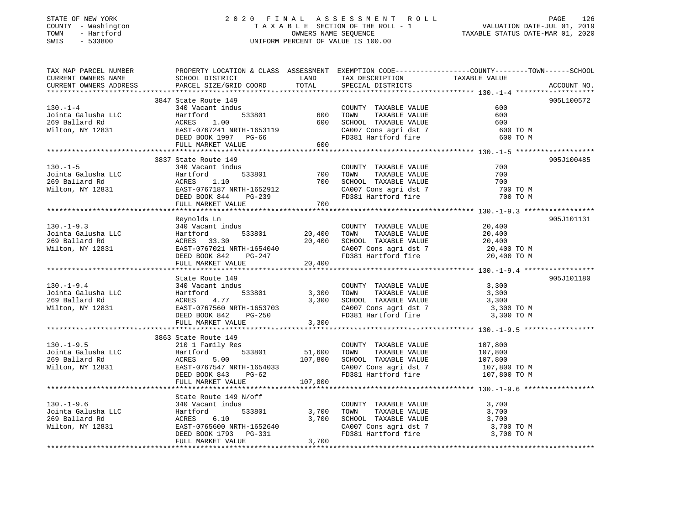## STATE OF NEW YORK 2 0 2 0 F I N A L A S S E S S M E N T R O L L PAGE 126 COUNTY - Washington T A X A B L E SECTION OF THE ROLL - 1 VALUATION DATE-JUL 01, 2019 TOWN - Hartford OWNERS NAME SEQUENCE TAXABLE STATUS DATE-MAR 01, 2020 SWIS - 533800 UNIFORM PERCENT OF VALUE IS 100.00

| TAX MAP PARCEL NUMBER  | PROPERTY LOCATION & CLASS ASSESSMENT EXEMPTION CODE---------------COUNTY-------TOWN-----SCHOOL                                                                                                                                          |                          |                                                                                                                                                                                                                                           |                      |             |
|------------------------|-----------------------------------------------------------------------------------------------------------------------------------------------------------------------------------------------------------------------------------------|--------------------------|-------------------------------------------------------------------------------------------------------------------------------------------------------------------------------------------------------------------------------------------|----------------------|-------------|
| CURRENT OWNERS NAME    | SCHOOL DISTRICT                                                                                                                                                                                                                         | LAND                     | TAX DESCRIPTION TAXABLE VALUE                                                                                                                                                                                                             |                      |             |
| CURRENT OWNERS ADDRESS | PARCEL SIZE/GRID COORD                                                                                                                                                                                                                  | TOTAL                    | SPECIAL DISTRICTS                                                                                                                                                                                                                         |                      | ACCOUNT NO. |
|                        |                                                                                                                                                                                                                                         |                          |                                                                                                                                                                                                                                           |                      |             |
|                        | 3847 State Route 149                                                                                                                                                                                                                    |                          |                                                                                                                                                                                                                                           |                      | 905L100572  |
| $130. -1 - 4$          | 340 Vacant indus (COUNT)<br>Hartford 533801 600 TOWN<br>ACRES 1.00 600 SCHOOI                                                                                                                                                           |                          | COUNTY TAXABLE VALUE                                                                                                                                                                                                                      | 600                  |             |
|                        |                                                                                                                                                                                                                                         |                          |                                                                                                                                                                                                                                           | 600                  |             |
|                        |                                                                                                                                                                                                                                         |                          |                                                                                                                                                                                                                                           | 600                  |             |
|                        |                                                                                                                                                                                                                                         |                          |                                                                                                                                                                                                                                           | 600 TO M             |             |
|                        |                                                                                                                                                                                                                                         |                          |                                                                                                                                                                                                                                           | 600 TO M             |             |
|                        | 130.-1-4 340 Vacant indus<br>130.-1-4 340 Vacant indus<br>130.-1-4 130.-1-4 340 Vacant indus<br>269 Ballard Rd acres 1.00 600 TOWN TAXABLE VALUE<br>269 Ballard Rd acres 1.00 600 SCHOOL TAXABLE VALUE<br>269 Ballard Rd acres 1.00 600 |                          |                                                                                                                                                                                                                                           |                      |             |
|                        | 3837 State Route 149                                                                                                                                                                                                                    |                          |                                                                                                                                                                                                                                           |                      | 905J100485  |
| $130. - 1 - 5$         | 340 Vacant indus                                                                                                                                                                                                                        |                          | COUNTY TAXABLE VALUE                                                                                                                                                                                                                      | 700                  |             |
|                        |                                                                                                                                                                                                                                         | $\frac{1}{2}$ 533801 700 |                                                                                                                                                                                                                                           | 700                  |             |
|                        |                                                                                                                                                                                                                                         |                          | 700 TOWN TAXABLE VALUE<br>700 SCHOOL TAXABLE VALUE                                                                                                                                                                                        | 700                  |             |
|                        |                                                                                                                                                                                                                                         |                          |                                                                                                                                                                                                                                           |                      |             |
|                        | EAST-0767187 NRTH-1652912<br>DEED BOOK 844 PG-239                                                                                                                                                                                       |                          | SCHOOL TAXABLE VALUE<br>CA007 Cons agri dst 7<br>FD381 Hartford fire                                                                                                                                                                      | 700 TO M<br>700 TO M |             |
|                        | FULL MARKET VALUE 700                                                                                                                                                                                                                   |                          |                                                                                                                                                                                                                                           |                      |             |
|                        |                                                                                                                                                                                                                                         |                          |                                                                                                                                                                                                                                           |                      |             |
|                        | Reynolds Ln                                                                                                                                                                                                                             |                          |                                                                                                                                                                                                                                           |                      | 905J101131  |
| $130. -1 - 9.3$        | 340 Vacant indus                                                                                                                                                                                                                        |                          |                                                                                                                                                                                                                                           | 20,400               |             |
| Jointa Galusha LLC     | Hartford 533801 20,400 TOWN                                                                                                                                                                                                             |                          | COUNTY TAXABLE VALUE<br>TOWN       TAXABLE  VALUE                                                                                                                                                                                         |                      |             |
| 269 Ballard Rd         | ACRES 33.30                                                                                                                                                                                                                             |                          |                                                                                                                                                                                                                                           |                      |             |
| Wilton, NY 12831       |                                                                                                                                                                                                                                         |                          | 20,400 TOWN TAXABLE VALUE<br>20,400 SCHOOL TAXABLE VALUE 20,400 TO M                                                                                                                                                                      |                      |             |
|                        |                                                                                                                                                                                                                                         |                          | CA007 Cons agri dst 7 and 20,400 TO M<br>FD381 Hartford fire 20,400 TO M                                                                                                                                                                  |                      |             |
|                        | ACRES 33.30 20,400<br>EAST-0767021 NRTH-1654040<br>DEED BOOK 842 PG-247<br>FULL MARKET VALUE 20,400                                                                                                                                     |                          |                                                                                                                                                                                                                                           |                      |             |
|                        |                                                                                                                                                                                                                                         |                          |                                                                                                                                                                                                                                           |                      |             |
|                        | State Route 149                                                                                                                                                                                                                         |                          |                                                                                                                                                                                                                                           |                      | 905J101180  |
| $130.-1-9.4$           | 340 Vacant indus                                                                                                                                                                                                                        |                          | COUNTY TAXABLE VALUE                                                                                                                                                                                                                      | 3,300                |             |
|                        |                                                                                                                                                                                                                                         | 533801 3,300 TOWN        |                                                                                                                                                                                                                                           | TAXABLE VALUE 3,300  |             |
|                        |                                                                                                                                                                                                                                         |                          |                                                                                                                                                                                                                                           |                      |             |
|                        |                                                                                                                                                                                                                                         |                          | 3,300 SCHOOL TAXABLE VALUE 3,300 TO M<br>CA007 Cons agri dst 7 3,300 TO M                                                                                                                                                                 |                      |             |
|                        |                                                                                                                                                                                                                                         |                          | FD381 Hartford fire                                                                                                                                                                                                                       | 3,300 TO M           |             |
|                        | FULL MARKET VALUE                                                                                                                                                                                                                       | 3,300                    |                                                                                                                                                                                                                                           |                      |             |
|                        |                                                                                                                                                                                                                                         |                          |                                                                                                                                                                                                                                           |                      |             |
|                        | 3863 State Route 149                                                                                                                                                                                                                    |                          |                                                                                                                                                                                                                                           |                      |             |
| $130.-1-9.5$           | 210 1 Family Res                                                                                                                                                                                                                        |                          |                                                                                                                                                                                                                                           |                      |             |
|                        | Hartford                                                                                                                                                                                                                                |                          |                                                                                                                                                                                                                                           |                      |             |
|                        | 5.00                                                                                                                                                                                                                                    |                          |                                                                                                                                                                                                                                           |                      |             |
| Wilton, NY 12831       | EAST-0767547 NRTH-1654033<br>DEED BOOK 843 PG-62                                                                                                                                                                                        |                          | S<br>533801 51,600 TOWN TAXABLE VALUE 107,800<br>107,800 SCHOOL TAXABLE VALUE 107,800<br>CA007 Cons agri dst 7 107,800<br>107,800 CA007 Cons agri dst 7 107,800<br>CA007 Cons agri dst 7 107,800 TO M<br>FD381 Hartford fire 107,800 TO M | 107,800 TO M         |             |
|                        |                                                                                                                                                                                                                                         |                          |                                                                                                                                                                                                                                           |                      |             |
|                        | FULL MARKET VALUE                                                                                                                                                                                                                       | 107,800                  |                                                                                                                                                                                                                                           |                      |             |
|                        |                                                                                                                                                                                                                                         |                          |                                                                                                                                                                                                                                           |                      |             |
|                        | State Route 149 N/off                                                                                                                                                                                                                   |                          |                                                                                                                                                                                                                                           |                      |             |
|                        |                                                                                                                                                                                                                                         |                          | $\begin{tabular}{lllllllllll} \multicolumn{2}{c}{\textbf{COUNTY}} & \textbf{TAXABLE VALUE} & & & & 3,700 \\ \multicolumn{2}{c}{\textbf{TOWN}} & \textbf{TAXABLE VALUE} & & & 3,700 \\ \end{tabular}$                                      |                      |             |
|                        |                                                                                                                                                                                                                                         |                          |                                                                                                                                                                                                                                           |                      |             |
|                        | 130.-1-9.6<br>Jointa Galusha LLC 140 Vacant indus<br>269 Ballard Rd 10 ACRES 6.10 3,700 SCHOO!<br>269 Ballard Rd 269 Ballard Rd 268 ACRES 6.10 3,700 SCHOO!<br>269 Ballard Rd 26831 EAST-0765600 NRTH-1652640 CA007                     |                          | SCHOOL TAXABLE VALUE 3,700<br>CA007 Cons agri dst 7 3,700 TO M                                                                                                                                                                            |                      |             |
|                        | ACRES 6.10 3,700<br>EAST-0765600 NRTH-1652640 3,700                                                                                                                                                                                     |                          |                                                                                                                                                                                                                                           |                      |             |
|                        | DEED BOOK 1793 PG-331                                                                                                                                                                                                                   |                          | FD381 Hartford fire                                                                                                                                                                                                                       | 3,700 TO M           |             |
|                        | FULL MARKET VALUE                                                                                                                                                                                                                       | 3,700                    |                                                                                                                                                                                                                                           |                      |             |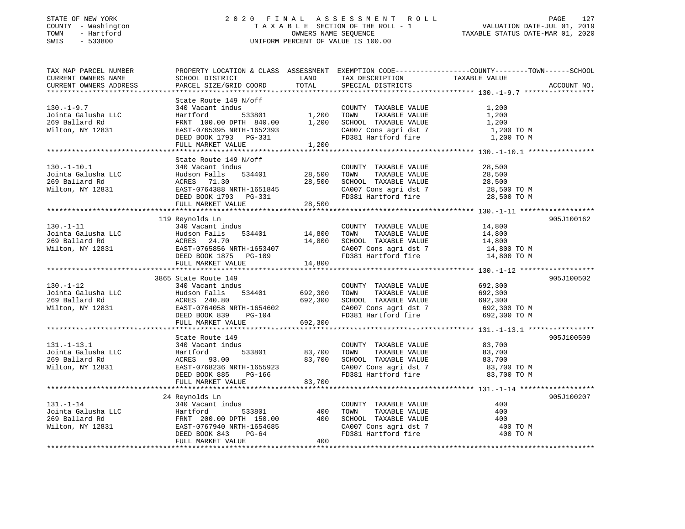## STATE OF NEW YORK 2 0 2 0 F I N A L A S S E S S M E N T R O L L PAGE 127 COUNTY - Washington T A X A B L E SECTION OF THE ROLL - 1 VALUATION DATE-JUL 01, 2019 TOWN - Hartford OWNERS NAME SEQUENCE TAXABLE STATUS DATE-MAR 01, 2020 SWIS - 533800 UNIFORM PERCENT OF VALUE IS 100.00

| TAX MAP PARCEL NUMBER                                    |                                                                                                                                                                                                                                                         |         |                                                                                            | PROPERTY LOCATION & CLASS ASSESSMENT EXEMPTION CODE---------------COUNTY-------TOWN------SCHOOL |             |
|----------------------------------------------------------|---------------------------------------------------------------------------------------------------------------------------------------------------------------------------------------------------------------------------------------------------------|---------|--------------------------------------------------------------------------------------------|-------------------------------------------------------------------------------------------------|-------------|
| CURRENT OWNERS NAME                                      | SCHOOL DISTRICT                                                                                                                                                                                                                                         | LAND    | TAX DESCRIPTION                                                                            | TAXABLE VALUE                                                                                   |             |
| CURRENT OWNERS ADDRESS                                   | PARCEL SIZE/GRID COORD                                                                                                                                                                                                                                  | TOTAL   | SPECIAL DISTRICTS                                                                          |                                                                                                 | ACCOUNT NO. |
|                                                          |                                                                                                                                                                                                                                                         |         |                                                                                            |                                                                                                 |             |
|                                                          | State Route 149 N/off                                                                                                                                                                                                                                   |         |                                                                                            |                                                                                                 |             |
| $130.-1-9.7$                                             | 340 Vacant indus                                                                                                                                                                                                                                        |         | COUNTY TAXABLE VALUE                                                                       | 1,200                                                                                           |             |
|                                                          |                                                                                                                                                                                                                                                         |         | TOWN                                                                                       | 1,200                                                                                           |             |
| Jointa Galusha LLC<br>269 Ballard Rd                     | 340 vacant indus<br>Hartford 533801 1,200<br>FRNT 100.00 DPTH 840.00 1,200                                                                                                                                                                              |         | TAXABLE VALUE<br>SCHOOL TAXABLE VALUE                                                      | 1,200                                                                                           |             |
|                                                          |                                                                                                                                                                                                                                                         |         |                                                                                            |                                                                                                 |             |
| Wilton, NY 12831                                         | - 1<br>EAST-0765395 NRTH-1652393<br>DEED BOOK 1793 PG-331<br>FULL MARKET VALUE 1,200                                                                                                                                                                    |         |                                                                                            |                                                                                                 |             |
|                                                          |                                                                                                                                                                                                                                                         |         |                                                                                            |                                                                                                 |             |
|                                                          |                                                                                                                                                                                                                                                         |         |                                                                                            |                                                                                                 |             |
|                                                          |                                                                                                                                                                                                                                                         |         |                                                                                            |                                                                                                 |             |
|                                                          | State Route 149 N/off                                                                                                                                                                                                                                   |         |                                                                                            |                                                                                                 |             |
| $130. - 1 - 10.1$                                        |                                                                                                                                                                                                                                                         |         | COUNTY TAXABLE VALUE                                                                       | 28,500                                                                                          |             |
| Jointa Galusha LLC<br>269 Ballard Rd                     |                                                                                                                                                                                                                                                         |         | TOWN TAXABLE VALUE                                                                         | 28,500                                                                                          |             |
|                                                          |                                                                                                                                                                                                                                                         |         | SCHOOL TAXABLE VALUE                                                                       | 28,500                                                                                          |             |
| Wilton, NY 12831                                         |                                                                                                                                                                                                                                                         |         |                                                                                            |                                                                                                 |             |
|                                                          |                                                                                                                                                                                                                                                         |         | CA007 Cons agri dst 7 $28,500$ TO M<br>FD381 Hartford fire $28,500$ TO M                   |                                                                                                 |             |
|                                                          |                                                                                                                                                                                                                                                         |         |                                                                                            |                                                                                                 |             |
|                                                          | 340 Vacant 110002<br>Hudson Falls 534401 28,500<br>ACRES 71.30 28,500<br>EAST-0764388 NRTH-1651845<br>DEED BOOK 1793 PG-331 28,500<br>WITT.T. MARKET VALUE                                                                                              |         |                                                                                            |                                                                                                 |             |
|                                                          | 119 Reynolds Ln                                                                                                                                                                                                                                         |         |                                                                                            |                                                                                                 | 905J100162  |
|                                                          |                                                                                                                                                                                                                                                         |         |                                                                                            |                                                                                                 |             |
| $130. - 1 - 11$                                          | 340 Vacant indus                                                                                                                                                                                                                                        |         | COUNTY TAXABLE VALUE                                                                       | 14,800<br>TAXABLE VALUE 14,800                                                                  |             |
|                                                          |                                                                                                                                                                                                                                                         |         | TOWN                                                                                       |                                                                                                 |             |
|                                                          |                                                                                                                                                                                                                                                         |         | SCHOOL TAXABLE VALUE                                                                       | 14,800                                                                                          |             |
|                                                          |                                                                                                                                                                                                                                                         |         | CA007 Cons agri dst 7                                                                      | 14,800 TO M                                                                                     |             |
|                                                          |                                                                                                                                                                                                                                                         |         | FD381 Hartford fire                                                                        | 14,800 TO M                                                                                     |             |
|                                                          | FULL MARKET VALUE                                                                                                                                                                                                                                       | 14,800  |                                                                                            |                                                                                                 |             |
|                                                          |                                                                                                                                                                                                                                                         |         |                                                                                            |                                                                                                 |             |
|                                                          | 3865 State Route 149                                                                                                                                                                                                                                    |         |                                                                                            |                                                                                                 | 905J100502  |
| $130. - 1 - 12$                                          | 340 Vacant indus                                                                                                                                                                                                                                        |         | COUNTY TAXABLE VALUE 692,300                                                               |                                                                                                 |             |
|                                                          | 1901 - 1-2<br>1901 - 1-2<br>269 Ballard Rd<br>Wilton, NY 12831 692,300<br>269 Ballard Rd<br>269 Ballard Rd<br>269 Ballard Rd<br>269 Ballard Rd<br>269 Ballard Rd<br>269 Ballard Rd<br>269 Ballard Rd<br>269 Ballard Rd<br>269 Ballard Rd<br>269 Ballard |         | TOWN TAXABLE VALUE                                                                         |                                                                                                 |             |
|                                                          |                                                                                                                                                                                                                                                         |         | SCHOOL TAXABLE VALUE                                                                       | 692,300<br>692,300                                                                              |             |
|                                                          |                                                                                                                                                                                                                                                         |         |                                                                                            |                                                                                                 |             |
|                                                          |                                                                                                                                                                                                                                                         |         | CA007 Cons agri dst 7 692,300 TO M<br>FD381 Hartford fire 692,300 TO M                     |                                                                                                 |             |
|                                                          | FULL MARKET VALUE                                                                                                                                                                                                                                       | 692,300 |                                                                                            |                                                                                                 |             |
|                                                          |                                                                                                                                                                                                                                                         |         |                                                                                            |                                                                                                 |             |
|                                                          |                                                                                                                                                                                                                                                         |         |                                                                                            |                                                                                                 |             |
|                                                          | State Route 149<br>State Noute 1.1<br>340 Vacant indus<br>Hartford 533801 83,700<br>ACRES 93.00 83,700<br>EAST-0768236 NRTH-1655923                                                                                                                     |         |                                                                                            |                                                                                                 | 905J100509  |
| $131.-1-13.1$                                            |                                                                                                                                                                                                                                                         |         | COUNTY TAXABLE VALUE 83,700                                                                |                                                                                                 |             |
|                                                          |                                                                                                                                                                                                                                                         |         | TOWN<br>TAXABLE VALUE                                                                      | 83,700                                                                                          |             |
| Jointa Galusha LLC<br>269 Ballard Rd<br>Wilton, NY 12831 |                                                                                                                                                                                                                                                         |         | SCHOOL TAXABLE VALUE 83,700<br>CA007 Cons agri dst 7 83,700                                |                                                                                                 |             |
|                                                          |                                                                                                                                                                                                                                                         |         |                                                                                            | 83,700 TO M                                                                                     |             |
|                                                          |                                                                                                                                                                                                                                                         |         | FD381 Hartford fire 83,700 TO M                                                            |                                                                                                 |             |
|                                                          | FULL MARKET VALUE                                                                                                                                                                                                                                       | 83,700  |                                                                                            |                                                                                                 |             |
|                                                          |                                                                                                                                                                                                                                                         |         |                                                                                            |                                                                                                 |             |
|                                                          | 24 Reynolds Ln                                                                                                                                                                                                                                          |         |                                                                                            |                                                                                                 | 905J100207  |
|                                                          |                                                                                                                                                                                                                                                         |         | COUNTY TAXABLE VALUE                                                                       | 400                                                                                             |             |
|                                                          |                                                                                                                                                                                                                                                         |         | TAXABLE VALUE<br>TOWN                                                                      | 400                                                                                             |             |
|                                                          |                                                                                                                                                                                                                                                         |         |                                                                                            |                                                                                                 |             |
|                                                          |                                                                                                                                                                                                                                                         |         | SCHOOL TAXABLE VALUE 400<br>CA007 Cons agri dst 7 400 TO M<br>FD381 Hartford fire 400 TO M |                                                                                                 |             |
|                                                          |                                                                                                                                                                                                                                                         |         |                                                                                            |                                                                                                 |             |
|                                                          | 131.-1-14<br>131.-1-14<br>169 Ballard Rd FRNT 200.00 DPTH 150.00 400<br>269 Ballard Rd FRNT 200.00 DPTH 150.00 400<br>269 Ballard Rd FRNT 200.00 DPTH 1554685<br>265T-0767940 NRTH-1654685<br>DEED BOOK 843 PG-64                                       | 400     |                                                                                            |                                                                                                 |             |
|                                                          | FULL MARKET VALUE                                                                                                                                                                                                                                       |         |                                                                                            |                                                                                                 |             |
|                                                          |                                                                                                                                                                                                                                                         |         |                                                                                            |                                                                                                 |             |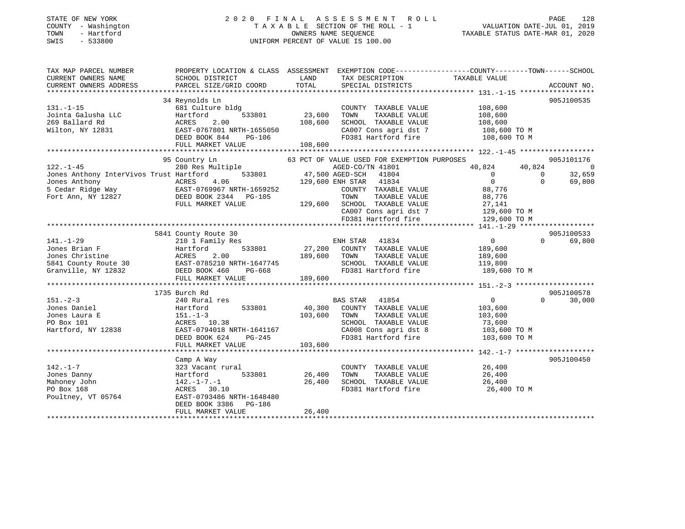## STATE OF NEW YORK 2 0 2 0 F I N A L A S S E S S M E N T R O L L PAGE 128 COUNTY - Washington T A X A B L E SECTION OF THE ROLL - 1 VALUATION DATE-JUL 01, 2019 TOWN - Hartford OWNERS NAME SEQUENCE TAXABLE STATUS DATE-MAR 01, 2020 SWIS - 533800 UNIFORM PERCENT OF VALUE IS 100.00

| TAX MAP PARCEL NUMBER                                                                                                                       | PROPERTY LOCATION & CLASS ASSESSMENT EXEMPTION CODE---------------COUNTY-------TOWN-----SCHOOL                                                                                                  |               |                                              |                                                                                                                                                                                                                                                                                                                                                         |                    |
|---------------------------------------------------------------------------------------------------------------------------------------------|-------------------------------------------------------------------------------------------------------------------------------------------------------------------------------------------------|---------------|----------------------------------------------|---------------------------------------------------------------------------------------------------------------------------------------------------------------------------------------------------------------------------------------------------------------------------------------------------------------------------------------------------------|--------------------|
| CURRENT OWNERS NAME                                                                                                                         | SCHOOL DISTRICT                                                                                                                                                                                 | LAND          | TAX DESCRIPTION                              | TAXABLE VALUE                                                                                                                                                                                                                                                                                                                                           |                    |
| CURRENT OWNERS ADDRESS                                                                                                                      | PARCEL SIZE/GRID COORD                                                                                                                                                                          | TOTAL         | SPECIAL DISTRICTS                            |                                                                                                                                                                                                                                                                                                                                                         | ACCOUNT NO.        |
|                                                                                                                                             |                                                                                                                                                                                                 |               |                                              |                                                                                                                                                                                                                                                                                                                                                         |                    |
|                                                                                                                                             | 34 Reynolds Ln                                                                                                                                                                                  |               |                                              |                                                                                                                                                                                                                                                                                                                                                         | 905J100535         |
| $131. -1 - 15$                                                                                                                              | 681 Culture bldg                                                                                                                                                                                |               | COUNTY TAXABLE VALUE                         | 108,600                                                                                                                                                                                                                                                                                                                                                 |                    |
| Jointa Galusha LLC                                                                                                                          | 533801<br>Hartford                                                                                                                                                                              | 23,600        | TAXABLE VALUE<br>TOWN                        | 108,600                                                                                                                                                                                                                                                                                                                                                 |                    |
| 269 Ballard Rd                                                                                                                              | 2.00<br>ACRES                                                                                                                                                                                   | 108,600       | SCHOOL TAXABLE VALUE                         | 108,600                                                                                                                                                                                                                                                                                                                                                 |                    |
|                                                                                                                                             |                                                                                                                                                                                                 |               | CA007 Cons agri dst 7                        | $108,600$ TO M<br>$108,600$ TO M                                                                                                                                                                                                                                                                                                                        |                    |
|                                                                                                                                             |                                                                                                                                                                                                 |               |                                              |                                                                                                                                                                                                                                                                                                                                                         |                    |
|                                                                                                                                             |                                                                                                                                                                                                 |               |                                              |                                                                                                                                                                                                                                                                                                                                                         |                    |
|                                                                                                                                             |                                                                                                                                                                                                 |               |                                              |                                                                                                                                                                                                                                                                                                                                                         |                    |
|                                                                                                                                             | 95 Country Ln                                                                                                                                                                                   |               | 63 PCT OF VALUE USED FOR EXEMPTION PURPOSES  |                                                                                                                                                                                                                                                                                                                                                         | 905J101176         |
| $122. - 1 - 45$                                                                                                                             | 280 Res Multiple<br>----.<br>533801 533801 533801 533801 533801 533801 533801 57AR                                                                                                              |               | AGED-CO/TN 41801                             | 40,824<br>40,824                                                                                                                                                                                                                                                                                                                                        | $\overline{0}$     |
| Jones Anthony InterVivos Trust Hartford                                                                                                     |                                                                                                                                                                                                 |               | 41804                                        | $\overline{0}$                                                                                                                                                                                                                                                                                                                                          | 32,659<br>$\Omega$ |
| Jones Anthony<br>5 Cedar Ridge Way<br>Fort Ann, NY 12827<br>Fort Ann, NY 12827<br>DEED BOOK 2344<br>PG-105                                  |                                                                                                                                                                                                 |               | 129,600 ENH STAR 41834                       | $\overline{0}$                                                                                                                                                                                                                                                                                                                                          | $\Omega$<br>69,800 |
|                                                                                                                                             |                                                                                                                                                                                                 |               | COUNTY TAXABLE VALUE                         | 88,776                                                                                                                                                                                                                                                                                                                                                  |                    |
|                                                                                                                                             |                                                                                                                                                                                                 |               | TOWN<br>TAXABLE VALUE                        | 88,776                                                                                                                                                                                                                                                                                                                                                  |                    |
|                                                                                                                                             | FULL MARKET VALUE                                                                                                                                                                               |               | 129,600 SCHOOL TAXABLE VALUE                 |                                                                                                                                                                                                                                                                                                                                                         |                    |
|                                                                                                                                             |                                                                                                                                                                                                 |               |                                              |                                                                                                                                                                                                                                                                                                                                                         |                    |
|                                                                                                                                             |                                                                                                                                                                                                 |               |                                              | $\begin{tabular}{lllllllllll} \texttt{SCHOOL} & \texttt{TAXABLE} & \texttt{VAUE} & & \texttt{27,141} \\ \texttt{CA007} & \texttt{Cons} & \texttt{agri} & \texttt{dst} & \texttt{7} & & \texttt{129,600} & \texttt{TO} & \texttt{M} \\ \texttt{FD381} & \texttt{Hartford} & \texttt{fire} & & \texttt{129,600} & \texttt{TO} & \texttt{M} \end{tabular}$ |                    |
|                                                                                                                                             |                                                                                                                                                                                                 |               |                                              |                                                                                                                                                                                                                                                                                                                                                         |                    |
|                                                                                                                                             | 5841 County Route 30                                                                                                                                                                            |               |                                              |                                                                                                                                                                                                                                                                                                                                                         | 905J100533         |
| $141. - 1 - 29$                                                                                                                             | 210 1 Family Res                                                                                                                                                                                |               | ENH STAR 41834                               | $\overline{0}$                                                                                                                                                                                                                                                                                                                                          | $\Omega$<br>69,800 |
| Jones Brian F                                                                                                                               | 533801<br>Hartford                                                                                                                                                                              |               | 27,200 COUNTY TAXABLE VALUE                  | 189,600                                                                                                                                                                                                                                                                                                                                                 |                    |
|                                                                                                                                             |                                                                                                                                                                                                 | 189,600 TOWN  | TAXABLE VALUE                                | 189,600                                                                                                                                                                                                                                                                                                                                                 |                    |
|                                                                                                                                             |                                                                                                                                                                                                 |               | SCHOOL TAXABLE VALUE                         | 119,800                                                                                                                                                                                                                                                                                                                                                 |                    |
| USING Christine<br>Tones Christine<br>5841 County Route 30<br>Granville, NY 12832<br>CHRIST-0785210 NRTH-1647745<br>DEED BOOK 460<br>PG-668 |                                                                                                                                                                                                 |               | FD381 Hartford fire                          | 189,600 TO M                                                                                                                                                                                                                                                                                                                                            |                    |
|                                                                                                                                             | FULL MARKET VALUE                                                                                                                                                                               | 189,600       |                                              |                                                                                                                                                                                                                                                                                                                                                         |                    |
|                                                                                                                                             |                                                                                                                                                                                                 |               |                                              |                                                                                                                                                                                                                                                                                                                                                         |                    |
|                                                                                                                                             | 1735 Burch Rd                                                                                                                                                                                   |               |                                              |                                                                                                                                                                                                                                                                                                                                                         | 905J100578         |
| $151. - 2 - 3$                                                                                                                              | 240 Rural res                                                                                                                                                                                   |               | BAS STAR 41854                               | $\overline{0}$                                                                                                                                                                                                                                                                                                                                          | 30,000<br>$\Omega$ |
| Jones Daniel                                                                                                                                | 533801<br>Hartford                                                                                                                                                                              | 40,300        | COUNTY TAXABLE VALUE                         | 103,600                                                                                                                                                                                                                                                                                                                                                 |                    |
| Jones Laura E                                                                                                                               | $151. - 1 - 3$                                                                                                                                                                                  | 103,600       | TOWN<br>TAXABLE VALUE                        | 103,600                                                                                                                                                                                                                                                                                                                                                 |                    |
| PO Box 101                                                                                                                                  | ACRES 10.38                                                                                                                                                                                     |               | SCHOOL TAXABLE VALUE                         | 73,600                                                                                                                                                                                                                                                                                                                                                  |                    |
| Hartford, NY 12838                                                                                                                          | $\begin{tabular}{lclclcl} \texttt{EAST-0794018} & & & & & & \\ \texttt{DEED BOOK 624} & & & & & & \\ \texttt{DEED BOOK 624} & & & & & & \\ \texttt{FTII.T. MADET} & & & & & & \\ \end{tabular}$ |               |                                              | 103,600 TO M                                                                                                                                                                                                                                                                                                                                            |                    |
|                                                                                                                                             |                                                                                                                                                                                                 |               | CA008 Cons agri dst 8<br>FD381 Hartford fire | 103,600 TO M                                                                                                                                                                                                                                                                                                                                            |                    |
|                                                                                                                                             | FULL MARKET VALUE                                                                                                                                                                               | 103,600       |                                              |                                                                                                                                                                                                                                                                                                                                                         |                    |
|                                                                                                                                             |                                                                                                                                                                                                 |               |                                              |                                                                                                                                                                                                                                                                                                                                                         |                    |
|                                                                                                                                             | Camp A Way                                                                                                                                                                                      |               |                                              |                                                                                                                                                                                                                                                                                                                                                         | 905J100450         |
| $142. - 1 - 7$                                                                                                                              | 323 Vacant rural                                                                                                                                                                                |               | COUNTY TAXABLE VALUE                         | 26,400                                                                                                                                                                                                                                                                                                                                                  |                    |
| Jones Danny                                                                                                                                 | Hartford                                                                                                                                                                                        | 533801 26,400 | TOWN<br>TAXABLE VALUE                        | 26,400                                                                                                                                                                                                                                                                                                                                                  |                    |
| Mahoney John                                                                                                                                | $142. - 1 - 7. - 1$                                                                                                                                                                             | 26,400        | SCHOOL TAXABLE VALUE                         | 26,400                                                                                                                                                                                                                                                                                                                                                  |                    |
| PO Box 168                                                                                                                                  | ACRES 30.10                                                                                                                                                                                     |               | FD381 Hartford fire                          | 26,400 TO M                                                                                                                                                                                                                                                                                                                                             |                    |
| Poultney, VT 05764                                                                                                                          | EAST-0793486 NRTH-1648480                                                                                                                                                                       |               |                                              |                                                                                                                                                                                                                                                                                                                                                         |                    |
|                                                                                                                                             | DEED BOOK 3386<br>PG-186                                                                                                                                                                        |               |                                              |                                                                                                                                                                                                                                                                                                                                                         |                    |
|                                                                                                                                             | FULL MARKET VALUE                                                                                                                                                                               | 26,400        |                                              |                                                                                                                                                                                                                                                                                                                                                         |                    |
|                                                                                                                                             |                                                                                                                                                                                                 |               |                                              |                                                                                                                                                                                                                                                                                                                                                         |                    |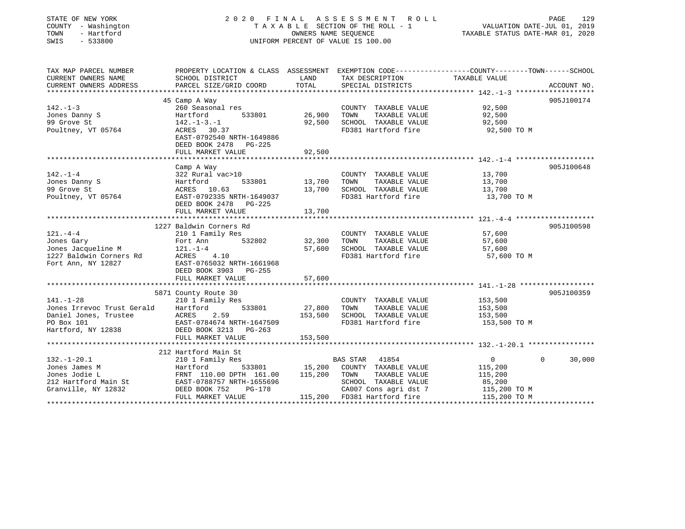| STATE OF NEW YORK<br>COUNTY - Washington<br>TOWN<br>- Hartford<br>SWIS<br>$-533800$ | 2020 FINAL                                                                                                                                   | OWNERS NAME SEOUENCE | ASSESSMENT<br>R O L L<br>TAXABLE SECTION OF THE ROLL - 1<br>UNIFORM PERCENT OF VALUE IS 100.00 | VALUATION DATE-JUL 01, 2019<br>TAXABLE STATUS DATE-MAR 01, 2020 | 129<br>PAGE        |
|-------------------------------------------------------------------------------------|----------------------------------------------------------------------------------------------------------------------------------------------|----------------------|------------------------------------------------------------------------------------------------|-----------------------------------------------------------------|--------------------|
| TAX MAP PARCEL NUMBER<br>CURRENT OWNERS NAME<br>CURRENT OWNERS ADDRESS              | PROPERTY LOCATION & CLASS ASSESSMENT EXEMPTION CODE---------------COUNTY-------TOWN------SCHOOL<br>SCHOOL DISTRICT<br>PARCEL SIZE/GRID COORD | LAND<br>TOTAL        | TAX DESCRIPTION<br>SPECIAL DISTRICTS                                                           | TAXABLE VALUE                                                   | ACCOUNT NO.        |
|                                                                                     |                                                                                                                                              |                      |                                                                                                |                                                                 |                    |
|                                                                                     | 45 Camp A Way                                                                                                                                |                      |                                                                                                |                                                                 | 905J100174         |
| $142. - 1 - 3$                                                                      | 260 Seasonal res                                                                                                                             |                      | COUNTY TAXABLE VALUE                                                                           | 92,500                                                          |                    |
| Jones Danny S<br>99 Grove St                                                        | Hartford<br>533801<br>$142. - 1 - 3. - 1$                                                                                                    | 26,900<br>92,500     | TAXABLE VALUE<br>TOWN<br>SCHOOL TAXABLE VALUE                                                  | 92,500<br>92,500                                                |                    |
| Poultney, VT 05764                                                                  | ACRES 30.37                                                                                                                                  |                      | FD381 Hartford fire                                                                            | 92,500 TO M                                                     |                    |
|                                                                                     | EAST-0792540 NRTH-1649886<br>DEED BOOK 2478 PG-225                                                                                           |                      |                                                                                                |                                                                 |                    |
|                                                                                     | FULL MARKET VALUE                                                                                                                            | 92,500               |                                                                                                |                                                                 |                    |
|                                                                                     |                                                                                                                                              |                      |                                                                                                |                                                                 |                    |
|                                                                                     | Camp A Way                                                                                                                                   |                      |                                                                                                |                                                                 | 905J100648         |
| $142. - 1 - 4$                                                                      | 322 Rural vac>10                                                                                                                             |                      | COUNTY TAXABLE VALUE                                                                           | 13,700                                                          |                    |
| Jones Danny S                                                                       | 533801<br>Hartford                                                                                                                           | 13,700               | TOWN<br>TAXABLE VALUE                                                                          | 13,700                                                          |                    |
| 99 Grove St                                                                         | ACRES 10.63                                                                                                                                  | 13,700               | SCHOOL TAXABLE VALUE                                                                           | 13,700                                                          |                    |
| Poultney, VT 05764                                                                  | EAST-0792335 NRTH-1649037<br>DEED BOOK 2478 PG-225<br>FULL MARKET VALUE                                                                      | 13,700               | FD381 Hartford fire                                                                            | 13,700 TO M                                                     |                    |
|                                                                                     | *******************                                                                                                                          | ********             |                                                                                                | *************** 121.44 ********************                     |                    |
|                                                                                     | 1227 Baldwin Corners Rd                                                                                                                      |                      |                                                                                                |                                                                 | 905J100598         |
| $121. - 4 - 4$                                                                      | 210 1 Family Res                                                                                                                             |                      | COUNTY TAXABLE VALUE                                                                           | 57,600                                                          |                    |
| Jones Gary                                                                          | 532802<br>Fort Ann                                                                                                                           | 32,300               | TOWN<br>TAXABLE VALUE                                                                          | 57,600                                                          |                    |
| Jones Jacqueline M                                                                  | $121. - 1 - 4$                                                                                                                               | 57,600               | SCHOOL TAXABLE VALUE                                                                           | 57,600                                                          |                    |
| 1227 Baldwin Corners Rd                                                             | 4.10<br>ACRES                                                                                                                                |                      | FD381 Hartford fire                                                                            | 57,600 TO M                                                     |                    |
| Fort Ann, NY 12827                                                                  | EAST-0765032 NRTH-1661968<br>DEED BOOK 3903 PG-255                                                                                           |                      |                                                                                                |                                                                 |                    |
|                                                                                     | FULL MARKET VALUE                                                                                                                            | 57,600               |                                                                                                |                                                                 |                    |
|                                                                                     |                                                                                                                                              |                      |                                                                                                |                                                                 |                    |
|                                                                                     | 5871 County Route 30                                                                                                                         |                      |                                                                                                |                                                                 | 905J100359         |
| $141. - 1 - 28$                                                                     | 210 1 Family Res                                                                                                                             |                      | COUNTY TAXABLE VALUE                                                                           | 153,500                                                         |                    |
| Jones Irrevoc Trust Gerald                                                          | 533801<br>Hartford                                                                                                                           | 27,800               | TAXABLE VALUE<br>TOWN                                                                          | 153,500                                                         |                    |
| Daniel Jones, Trustee                                                               | ACRES<br>2.59                                                                                                                                | 153,500              | SCHOOL TAXABLE VALUE                                                                           | 153,500                                                         |                    |
| PO Box 101                                                                          | EAST-0784674 NRTH-1647509                                                                                                                    |                      | FD381 Hartford fire                                                                            | 153,500 TO M                                                    |                    |
| Hartford, NY 12838                                                                  | DEED BOOK 3213<br>PG-263                                                                                                                     |                      |                                                                                                |                                                                 |                    |
|                                                                                     | FULL MARKET VALUE<br>******************************                                                                                          | 153,500              |                                                                                                |                                                                 |                    |
|                                                                                     |                                                                                                                                              |                      |                                                                                                |                                                                 |                    |
|                                                                                     | 212 Hartford Main St                                                                                                                         |                      |                                                                                                |                                                                 |                    |
| $132. - 1 - 20.1$<br>Jones James M                                                  | 210 1 Family Res<br>533801<br>Hartford                                                                                                       | 15,200               | <b>BAS STAR</b><br>41854<br>COUNTY TAXABLE VALUE                                               | $\mathbf{0}$<br>115,200                                         | $\Omega$<br>30,000 |
| Jones Jodie L                                                                       | FRNT 110.00 DPTH 161.00                                                                                                                      | 115,200              | TAXABLE VALUE<br>TOWN                                                                          | 115,200                                                         |                    |
| 212 Hartford Main St                                                                | EAST-0788757 NRTH-1655696                                                                                                                    |                      | SCHOOL TAXABLE VALUE                                                                           | 85,200                                                          |                    |
| Granville, NY 12832                                                                 | DEED BOOK 752<br>$PG-178$                                                                                                                    |                      | CA007 Cons agri dst 7                                                                          | 115,200 TO M                                                    |                    |
|                                                                                     | FULL MARKET VALUE                                                                                                                            |                      | 115,200 FD381 Hartford fire                                                                    | 115,200 TO M                                                    |                    |
|                                                                                     |                                                                                                                                              |                      |                                                                                                |                                                                 |                    |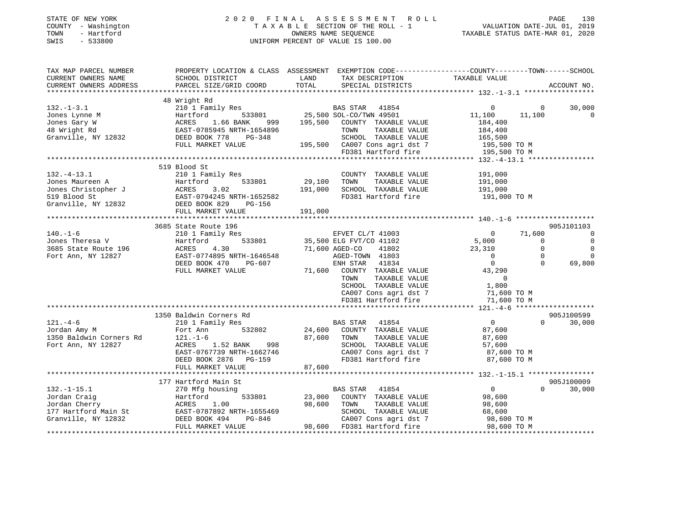| STATE OF NEW YORK<br>COUNTY - Washington<br>- Hartford<br>TOWN<br>$-533800$<br>SWIS                                                                                                                                            |                                                                                                                                               |               | 2020 FINAL ASSESSMENT ROLL<br>FINAL ASSESSMENT ROLL<br>TAXABLE SECTION OF THE ROLL - 1 VALUATION DATE-JUL 01, 2019<br>OWNERS NAME SEQUENCE TAXABLE STATUS DATE-MAR 01, 2020<br>UNIFORM PERCENT OF VALUE IS 100.00 |                                          | PAGE<br>130                         |
|--------------------------------------------------------------------------------------------------------------------------------------------------------------------------------------------------------------------------------|-----------------------------------------------------------------------------------------------------------------------------------------------|---------------|-------------------------------------------------------------------------------------------------------------------------------------------------------------------------------------------------------------------|------------------------------------------|-------------------------------------|
| TAX MAP PARCEL NUMBER<br>CURRENT OWNERS NAME<br>CURRENT OWNERS ADDRESS<br>***********************                                                                                                                              | PROPERTY LOCATION & CLASS ASSESSMENT EXEMPTION CODE----------------COUNTY-------TOWN------SCHOOL<br>SCHOOL DISTRICT<br>PARCEL SIZE/GRID COORD | LAND<br>TOTAL | TAX DESCRIPTION TAXABLE VALUE<br>SPECIAL DISTRICTS                                                                                                                                                                |                                          | ACCOUNT NO.                         |
|                                                                                                                                                                                                                                | 48 Wright Rd                                                                                                                                  |               |                                                                                                                                                                                                                   |                                          |                                     |
| $132. - 1 - 3.1$                                                                                                                                                                                                               | 210 1 Family Res                                                                                                                              |               | BAS STAR 41854                                                                                                                                                                                                    | $\Omega$                                 | 30,000<br>$\Omega$                  |
|                                                                                                                                                                                                                                |                                                                                                                                               |               |                                                                                                                                                                                                                   | 11,100<br>11,100                         | $\overline{\phantom{0}}$            |
|                                                                                                                                                                                                                                |                                                                                                                                               |               |                                                                                                                                                                                                                   | 184,400                                  |                                     |
|                                                                                                                                                                                                                                |                                                                                                                                               |               |                                                                                                                                                                                                                   |                                          |                                     |
|                                                                                                                                                                                                                                |                                                                                                                                               |               |                                                                                                                                                                                                                   |                                          |                                     |
|                                                                                                                                                                                                                                | FULL MARKET VALUE                                                                                                                             |               |                                                                                                                                                                                                                   |                                          |                                     |
|                                                                                                                                                                                                                                |                                                                                                                                               |               | TOWN TAXABLE VALUE<br>SCHOOL TAXABLE VALUE<br>165,500 CA007 Cons agri dst 7 195,500 TO M<br>FD381 Hartford fire 195,500 TO M<br>195,500 TO M<br>195,500 TO M<br>195,500 TO M<br>195,500 TO M                      |                                          |                                     |
|                                                                                                                                                                                                                                |                                                                                                                                               |               |                                                                                                                                                                                                                   |                                          |                                     |
|                                                                                                                                                                                                                                | 519 Blood St                                                                                                                                  |               |                                                                                                                                                                                                                   |                                          |                                     |
| $132.-4-13.1$                                                                                                                                                                                                                  | 210 1 Family Res                                                                                                                              | 29,100        | COUNTY TAXABLE VALUE<br>TOWN<br>TAXABLE VALUE                                                                                                                                                                     | 191,000<br>191,000                       |                                     |
|                                                                                                                                                                                                                                |                                                                                                                                               | 191,000       | SCHOOL TAXABLE VALUE                                                                                                                                                                                              | 191,000                                  |                                     |
| UNIES MARINE AND MARINE TO MANUS AND MANUSISM ON THE STAR STAR STAR START STAR START STAR SERIES SAND SEE START STAR START SEE START START START START START START START START START START START START START START START START |                                                                                                                                               |               | FD381 Hartford fire                                                                                                                                                                                               | 191,000 TO M                             |                                     |
|                                                                                                                                                                                                                                |                                                                                                                                               |               |                                                                                                                                                                                                                   |                                          |                                     |
|                                                                                                                                                                                                                                |                                                                                                                                               | 191,000       |                                                                                                                                                                                                                   |                                          |                                     |
|                                                                                                                                                                                                                                |                                                                                                                                               |               |                                                                                                                                                                                                                   |                                          |                                     |
|                                                                                                                                                                                                                                | 3685 State Route 196                                                                                                                          |               |                                                                                                                                                                                                                   |                                          | 905J101103                          |
| $140. - 1 - 6$                                                                                                                                                                                                                 | 210 1 Family Res                                                                                                                              |               | EFVET CL/T 41003                                                                                                                                                                                                  | 71,600<br>$\overline{0}$                 | $\overline{0}$                      |
| Jones Theresa V                                                                                                                                                                                                                | 533801<br>Hartford<br>ACRES                                                                                                                   |               | 35,500 ELG FVT/CO 41102                                                                                                                                                                                           | $\frac{5,000}{23,310}$<br>$\overline{0}$ | $\overline{0}$                      |
| 3685 State Route 196                                                                                                                                                                                                           | 4.30                                                                                                                                          |               | 71,600 AGED-CO 41802                                                                                                                                                                                              |                                          | $\overline{0}$<br>$\overline{0}$    |
| Fort Ann, NY 12827<br>Fort Ann, NY 12827<br>DEED BOOK 470 PG-607                                                                                                                                                               |                                                                                                                                               |               | AGED-TOWN 41803<br>ENH STAR 41834                                                                                                                                                                                 | $\overline{\mathbf{0}}$                  | $\mathbf 0$<br>$\Omega$<br>$\Omega$ |
|                                                                                                                                                                                                                                | FULL MARKET VALUE                                                                                                                             |               |                                                                                                                                                                                                                   | $\overline{0}$<br>43,290                 | 69,800                              |
|                                                                                                                                                                                                                                |                                                                                                                                               |               | 71,600 COUNTY TAXABLE VALUE<br>TOWN<br>TAXABLE VALUE                                                                                                                                                              | $\overline{0}$                           |                                     |
|                                                                                                                                                                                                                                |                                                                                                                                               |               | SCHOOL TAXABLE VALUE                                                                                                                                                                                              | 1,800                                    |                                     |
|                                                                                                                                                                                                                                |                                                                                                                                               |               |                                                                                                                                                                                                                   | 71,600 TO M                              |                                     |
|                                                                                                                                                                                                                                |                                                                                                                                               |               | CA007 Cons agri dst 7<br>FD381 Hartford fire                                                                                                                                                                      | 71,600 TO M                              |                                     |
|                                                                                                                                                                                                                                |                                                                                                                                               |               |                                                                                                                                                                                                                   |                                          |                                     |
|                                                                                                                                                                                                                                | 1350 Baldwin Corners Rd                                                                                                                       |               |                                                                                                                                                                                                                   |                                          | 905J100599                          |
| $121. -4-6$                                                                                                                                                                                                                    | 210 1 Family Res                                                                                                                              |               | BAS STAR 41854                                                                                                                                                                                                    | $\overline{0}$                           | $\Omega$<br>30,000                  |
| Jordan Amy M                                                                                                                                                                                                                   | 532802<br>Fort Ann                                                                                                                            | 24,600        | COUNTY TAXABLE VALUE                                                                                                                                                                                              | 87,600                                   |                                     |
| 1350 Baldwin Corners Rd                                                                                                                                                                                                        | $121. - 1 - 6$                                                                                                                                | 87,600        | TOWN<br>TAXABLE VALUE                                                                                                                                                                                             | 87,600                                   |                                     |
| Fort Ann, NY 12827                                                                                                                                                                                                             |                                                                                                                                               |               | SCHOOL TAXABLE VALUE                                                                                                                                                                                              | 57,600                                   |                                     |
|                                                                                                                                                                                                                                |                                                                                                                                               |               | CA007 Cons agri dst 7                                                                                                                                                                                             | 87,600 TO M                              |                                     |
|                                                                                                                                                                                                                                |                                                                                                                                               | 87,600        | FD381 Hartford fire                                                                                                                                                                                               | 87,600 TO M                              |                                     |
|                                                                                                                                                                                                                                | FULL MARKET VALUE<br>***********************                                                                                                  |               |                                                                                                                                                                                                                   |                                          |                                     |
|                                                                                                                                                                                                                                | 177 Hartford Main St                                                                                                                          |               |                                                                                                                                                                                                                   |                                          | 905J100009                          |
| $132.-1-15.1$                                                                                                                                                                                                                  | 270 Mfg housing                                                                                                                               |               | BAS STAR 41854                                                                                                                                                                                                    | $\overline{0}$                           | $0 \qquad \qquad$<br>30,000         |
|                                                                                                                                                                                                                                |                                                                                                                                               | 23,000        | COUNTY TAXABLE VALUE                                                                                                                                                                                              |                                          |                                     |
|                                                                                                                                                                                                                                |                                                                                                                                               | 98,600        | TAXABLE VALUE<br>TOWN                                                                                                                                                                                             | 98,600<br>98,600                         |                                     |
|                                                                                                                                                                                                                                |                                                                                                                                               |               |                                                                                                                                                                                                                   |                                          |                                     |
| Fordan Craig<br>Fact Ford Bartford 533801<br>Jordan Cherry ACRES 1.00<br>177 Hartford Main St<br>Granville, NY 12832<br>DEED BOOK 494<br>DEED BOOK 494<br>DEED BOOK 494<br>PG-846                                              |                                                                                                                                               |               |                                                                                                                                                                                                                   |                                          |                                     |
|                                                                                                                                                                                                                                | FULL MARKET VALUE                                                                                                                             |               |                                                                                                                                                                                                                   |                                          |                                     |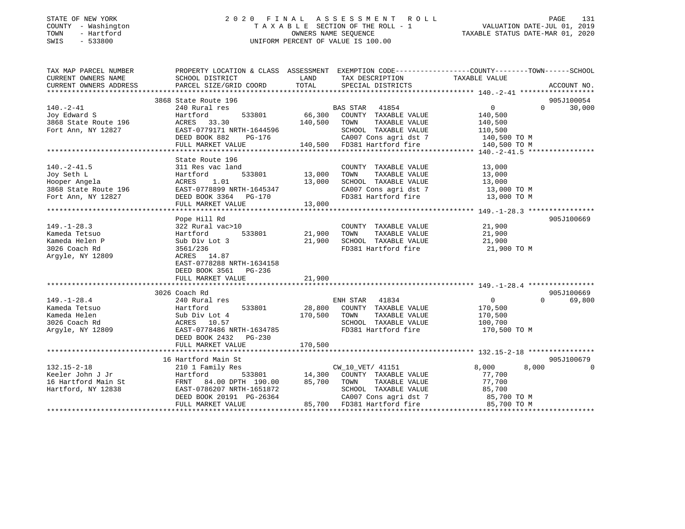## STATE OF NEW YORK 2 0 2 0 F I N A L A S S E S S M E N T R O L L PAGE 131 COUNTY - Washington T A X A B L E SECTION OF THE ROLL - 1 VALUATION DATE-JUL 01, 2019 TOWN - Hartford OWNERS NAME SEQUENCE TAXABLE STATUS DATE-MAR 01, 2020 SWIS - 533800 UNIFORM PERCENT OF VALUE IS 100.00UNIFORM PERCENT OF VALUE IS 100.00

| TAX MAP PARCEL NUMBER                      | PROPERTY LOCATION & CLASS ASSESSMENT EXEMPTION CODE---------------COUNTY-------TOWN-----SCHOOL |               |                                                                  |                                           |          |             |
|--------------------------------------------|------------------------------------------------------------------------------------------------|---------------|------------------------------------------------------------------|-------------------------------------------|----------|-------------|
| CURRENT OWNERS NAME                        | SCHOOL DISTRICT                                                                                | LAND          | TAX DESCRIPTION                                                  | TAXABLE VALUE                             |          |             |
| CURRENT OWNERS ADDRESS                     | PARCEL SIZE/GRID COORD                                                                         | TOTAL         | SPECIAL DISTRICTS                                                |                                           |          | ACCOUNT NO. |
|                                            |                                                                                                |               |                                                                  |                                           |          |             |
|                                            | 3868 State Route 196                                                                           |               |                                                                  |                                           |          | 905J100054  |
| $140. - 2 - 41$                            | 240 Rural res                                                                                  |               | BAS STAR 41854                                                   | $0 \qquad \qquad$                         | $\Omega$ | 30,000      |
| Joy Edward S                               | 533801<br>Hartford                                                                             |               | 66,300 COUNTY TAXABLE VALUE                                      | 140,500                                   |          |             |
| 3868 State Route 196<br>Fort Ann, NY 12827 | ACRES 33.30                                                                                    | 140,500 TOWN  | TAXABLE VALUE                                                    | 140,500                                   |          |             |
| Fort Ann, NY 12827                         | EAST-0779171 NRTH-1644596                                                                      |               | SCHOOL TAXABLE VALUE                                             | 110,500                                   |          |             |
|                                            | DEED BOOK 882<br>PG-176                                                                        |               | CA007 Cons agri dst 7 140,500 TO M                               |                                           |          |             |
|                                            | FULL MARKET VALUE 140,500 FD381 Hartford fire                                                  |               |                                                                  | 140,500 TO M                              |          |             |
|                                            |                                                                                                |               |                                                                  |                                           |          |             |
|                                            | State Route 196                                                                                |               |                                                                  |                                           |          |             |
| $140. -2 - 41.5$                           | 311 Res vac land                                                                               |               | COUNTY TAXABLE VALUE                                             | 13,000                                    |          |             |
| Joy Seth L                                 | Hartford                                                                                       | 533801 13,000 | TAXABLE VALUE<br>TOWN                                            | 13,000                                    |          |             |
| Hooper Angela                              | ACRES 1.01                                                                                     | 13,000        | SCHOOL TAXABLE VALUE                                             | 13,000                                    |          |             |
| 3868 State Route 196                       | EAST-0778899 NRTH-1645347                                                                      |               | SCHOOL TAXABLE VALUE 13,000<br>CA007 Cons agri dst 7 13,000 TO M |                                           |          |             |
| Fort Ann, NY 12827                         | DEED BOOK 3364 PG-170                                                                          |               | FD381 Hartford fire 13,000 TO M                                  |                                           |          |             |
|                                            | FULL MARKET VALUE                                                                              | 13,000        |                                                                  |                                           |          |             |
|                                            |                                                                                                |               |                                                                  |                                           |          |             |
|                                            | Pope Hill Rd                                                                                   |               |                                                                  |                                           |          | 905J100669  |
| $149. - 1 - 28.3$                          | 322 Rural vac>10                                                                               |               | COUNTY TAXABLE VALUE                                             | 21,900                                    |          |             |
| Kameda Tetsuo                              | Hartford                                                                                       | 533801 21,900 | TOWN<br>TAXABLE VALUE                                            | 21,900                                    |          |             |
| Kameda Helen P                             | Sub Div Lot 3                                                                                  | 21,900        |                                                                  |                                           |          |             |
| 3026 Coach Rd                              | 3561/236                                                                                       |               | SCHOOL TAXABLE VALUE<br>FD381 Hartford fire                      |                                           |          |             |
| Argyle, NY 12809                           | ACRES 14.87                                                                                    |               |                                                                  | 21,900 TO M<br>21,900 TO M                |          |             |
|                                            | EAST-0778288 NRTH-1634158                                                                      |               |                                                                  |                                           |          |             |
|                                            | DEED BOOK 3561 PG-236                                                                          |               |                                                                  |                                           |          |             |
|                                            | FULL MARKET VALUE                                                                              | 21,900        |                                                                  |                                           |          |             |
|                                            |                                                                                                |               |                                                                  |                                           |          |             |
|                                            | 3026 Coach Rd                                                                                  |               |                                                                  |                                           |          | 905J100669  |
| $149. - 1 - 28.4$                          | 240 Rural res                                                                                  |               | ENH STAR 41834                                                   | $\overline{0}$                            | $\Omega$ | 69,800      |
| Kameda Tetsuo                              | Hartford                                                                                       |               | 533801 28,800 COUNTY TAXABLE VALUE                               | 170,500                                   |          |             |
| Kameda Helen                               | Sub Div Lot 4                                                                                  | 170,500 TOWN  | TAXABLE VALUE                                                    | 170,500                                   |          |             |
| 3026 Coach Rd                              | ACRES 10.57                                                                                    |               | SCHOOL TAXABLE VALUE 100,700                                     |                                           |          |             |
| Argyle, NY 12809                           | EAST-0778486 NRTH-1634785                                                                      |               | FD381 Hartford fire                                              | 170,500 TO M                              |          |             |
|                                            |                                                                                                |               |                                                                  |                                           |          |             |
|                                            | DEED BOOK 2432 PG-230                                                                          | 170,500       |                                                                  |                                           |          |             |
|                                            | FULL MARKET VALUE                                                                              |               |                                                                  |                                           |          |             |
|                                            | 16 Hartford Main St                                                                            |               |                                                                  |                                           |          | 905J100679  |
| $132.15 - 2 - 18$                          | 210 1 Family Res                                                                               |               | CW_10_VET/ 41151                                                 | 8,000                                     | 8,000    | $\Omega$    |
| Keeler John J Jr                           |                                                                                                |               |                                                                  |                                           |          |             |
| 16 Hartford Main St                        | Hartford<br>FRNT 84.00 DPTH 190.00                                                             |               |                                                                  | 77,700                                    |          |             |
|                                            |                                                                                                |               | 85,700 TOWN<br>TAXABLE VALUE                                     | 77,700                                    |          |             |
| Hartford, NY 12838                         | EAST-0786207 NRTH-1651872                                                                      |               | SCHOOL TAXABLE VALUE                                             |                                           |          |             |
|                                            | DEED BOOK 20191 PG-26364                                                                       |               | CA007 Cons agri dst 7                                            | 85,700 TO M<br>85,700 TO M<br>-- 700 TO M |          |             |
|                                            | FULL MARKET VALUE                                                                              |               | 85,700 FD381 Hartford fire                                       |                                           |          |             |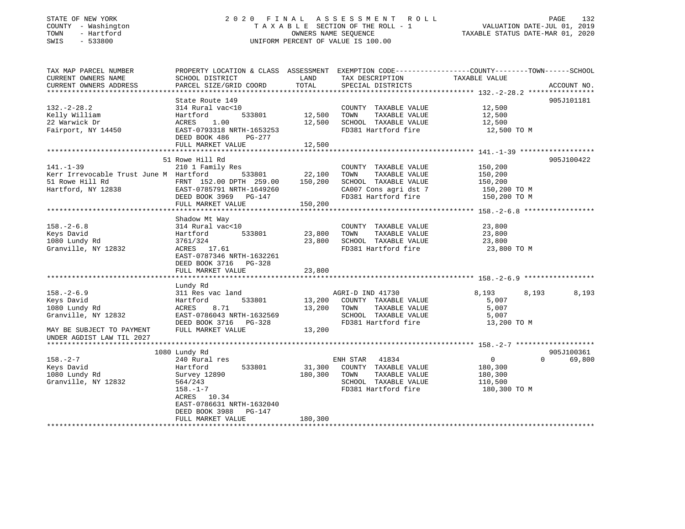## STATE OF NEW YORK 2 0 2 0 F I N A L A S S E S S M E N T R O L L PAGE 132 COUNTY - Washington T A X A B L E SECTION OF THE ROLL - 1 VALUATION DATE-JUL 01, 2019 TOWN - Hartford OWNERS NAME SEQUENCE TAXABLE STATUS DATE-MAR 01, 2020 SWIS - 533800 UNIFORM PERCENT OF VALUE IS 100.00

| TAX MAP PARCEL NUMBER<br>CURRENT OWNERS NAME<br>CURRENT OWNERS ADDRESS | SCHOOL DISTRICT<br>PARCEL SIZE/GRID COORD            | LAND<br>TOTAL | TAX DESCRIPTION<br>SPECIAL DISTRICTS         | PROPERTY LOCATION & CLASS ASSESSMENT EXEMPTION CODE---------------COUNTY-------TOWN------SCHOOL<br>TAXABLE VALUE<br>ACCOUNT NO. |
|------------------------------------------------------------------------|------------------------------------------------------|---------------|----------------------------------------------|---------------------------------------------------------------------------------------------------------------------------------|
|                                                                        |                                                      |               |                                              |                                                                                                                                 |
|                                                                        | State Route 149                                      |               |                                              | 905J101181                                                                                                                      |
| $132. - 2 - 28.2$                                                      | 314 Rural vac<10                                     |               | COUNTY TAXABLE VALUE                         | 12,500                                                                                                                          |
| Kelly William                                                          | 533801<br>Hartford                                   | 12,500        | TOWN<br>TAXABLE VALUE                        | 12,500                                                                                                                          |
| 22 Warwick Dr                                                          | ACRES 1.00                                           | 12,500        | SCHOOL TAXABLE VALUE                         | 12,500                                                                                                                          |
| Fairport, NY 14450                                                     | EAST-0793318 NRTH-1653253<br>DEED BOOK 486<br>PG-277 |               | FD381 Hartford fire                          | 12,500 TO M                                                                                                                     |
|                                                                        | FULL MARKET VALUE                                    | 12,500        |                                              |                                                                                                                                 |
|                                                                        | 51 Rowe Hill Rd                                      |               |                                              | 905J100422                                                                                                                      |
| $141. - 1 - 39$                                                        |                                                      |               |                                              |                                                                                                                                 |
|                                                                        | 210 1 Family Res<br>533801                           | 22,100        | COUNTY TAXABLE VALUE<br>TOWN                 | 150,200                                                                                                                         |
| Kerr Irrevocable Trust June M Hartford<br>51 Rowe Hill Rd              | FRNT 152.00 DPTH 259.00                              | 150,200       | TAXABLE VALUE<br>SCHOOL TAXABLE VALUE        | 150,200<br>150,200                                                                                                              |
|                                                                        |                                                      |               |                                              |                                                                                                                                 |
| Hartford, NY 12838                                                     | EAST-0785791 NRTH-1649260                            |               | CA007 Cons agri dst 7<br>FD381 Hartford fire | 150,200 TO M                                                                                                                    |
|                                                                        | DEED BOOK 3969 PG-147                                |               |                                              | 150,200 TO M                                                                                                                    |
|                                                                        | FULL MARKET VALUE                                    | 150,200       |                                              |                                                                                                                                 |
|                                                                        |                                                      |               |                                              |                                                                                                                                 |
|                                                                        | Shadow Mt Way                                        |               |                                              |                                                                                                                                 |
| $158. - 2 - 6.8$                                                       | 314 Rural vac<10                                     |               | COUNTY TAXABLE VALUE                         | 23,800                                                                                                                          |
| Keys David                                                             | 533801<br>Hartford                                   | 23,800        | TOWN<br>TAXABLE VALUE                        | 23,800                                                                                                                          |
| 1080 Lundy Rd                                                          | 3761/324                                             | 23,800        | SCHOOL TAXABLE VALUE                         | 23,800                                                                                                                          |
| Granville, NY 12832                                                    | ACRES 17.61                                          |               | FD381 Hartford fire                          | 23,800 TO M                                                                                                                     |
|                                                                        | EAST-0787346 NRTH-1632261                            |               |                                              |                                                                                                                                 |
|                                                                        | DEED BOOK 3716 PG-328                                |               |                                              |                                                                                                                                 |
|                                                                        | FULL MARKET VALUE                                    | 23,800        |                                              |                                                                                                                                 |
|                                                                        |                                                      |               |                                              |                                                                                                                                 |
|                                                                        | Lundy Rd                                             |               |                                              |                                                                                                                                 |
| $158. - 2 - 6.9$                                                       | 311 Res vac land                                     |               | AGRI-D IND 41730                             | 8,193<br>8,193<br>8,193                                                                                                         |
| Keys David                                                             | 533801<br>Hartford                                   | 13,200        | COUNTY TAXABLE VALUE                         | 5,007                                                                                                                           |
| 1080 Lundy Rd                                                          | 8.71<br>ACRES                                        | 13,200        | TOWN<br>TAXABLE VALUE                        | 5,007                                                                                                                           |
| Granville, NY 12832                                                    | EAST-0786043 NRTH-1632569                            |               | SCHOOL TAXABLE VALUE                         | 5,007                                                                                                                           |
|                                                                        | DEED BOOK 3716 PG-328                                |               | FD381 Hartford fire                          | 13,200 TO M                                                                                                                     |
| MAY BE SUBJECT TO PAYMENT                                              | FULL MARKET VALUE                                    | 13,200        |                                              |                                                                                                                                 |
| UNDER AGDIST LAW TIL 2027                                              |                                                      |               |                                              |                                                                                                                                 |
|                                                                        |                                                      |               |                                              |                                                                                                                                 |
|                                                                        | 1080 Lundy Rd                                        |               |                                              | 905J100361                                                                                                                      |
| $158. - 2 - 7$                                                         | 240 Rural res                                        |               | ENH STAR 41834                               | $\overline{0}$<br>$\Omega$<br>69,800                                                                                            |
| Keys David                                                             | 533801<br>Hartford                                   | 31,300        | COUNTY TAXABLE VALUE                         | 180,300                                                                                                                         |
| 1080 Lundy Rd                                                          | Survey 12890                                         | 180,300       | TOWN<br>TAXABLE VALUE                        | 180,300                                                                                                                         |
| Granville, NY 12832                                                    | 564/243                                              |               | SCHOOL TAXABLE VALUE                         | 110,500                                                                                                                         |
|                                                                        | $158. - 1 - 7$                                       |               | FD381 Hartford fire                          | 180,300 TO M                                                                                                                    |
|                                                                        | ACRES 10.34                                          |               |                                              |                                                                                                                                 |
|                                                                        | EAST-0786631 NRTH-1632040                            |               |                                              |                                                                                                                                 |
|                                                                        | DEED BOOK 3988<br>PG-147                             |               |                                              |                                                                                                                                 |
|                                                                        | FULL MARKET VALUE                                    | 180,300       |                                              |                                                                                                                                 |
|                                                                        |                                                      |               |                                              |                                                                                                                                 |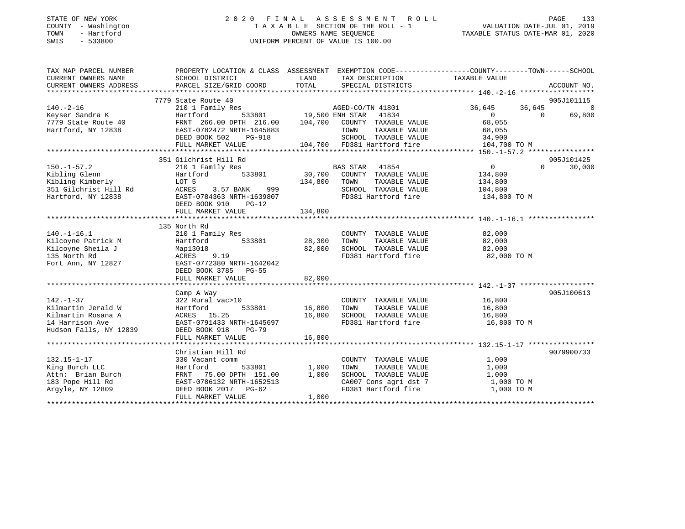#### STATE OF NEW YORK 2 0 2 0 F I N A L A S S E S S M E N T R O L L PAGE 133COUNTY - Washington T A X A B L E SECTION OF THE ROLL - 1 TOWN - Hartford OWNERS NAME SEQUENCE TAXABLE STATUS DATE-MAR 01, 2020 SWIS - 533800 UNIFORM PERCENT OF VALUE IS 100.00

VALUATION DATE-JUL 01, 2019

| TAX MAP PARCEL NUMBER             | PROPERTY LOCATION & CLASS ASSESSMENT EXEMPTION CODE---------------COUNTY-------TOWN-----SCHOOL                                                                                                                                        |                                               |                               |                                                                       |                |            |
|-----------------------------------|---------------------------------------------------------------------------------------------------------------------------------------------------------------------------------------------------------------------------------------|-----------------------------------------------|-------------------------------|-----------------------------------------------------------------------|----------------|------------|
| CURRENT OWNERS NAME               | SCHOOL DISTRICT                                                                                                                                                                                                                       | <b>LAND</b>                                   | TAX DESCRIPTION TAXABLE VALUE |                                                                       |                |            |
|                                   |                                                                                                                                                                                                                                       |                                               |                               |                                                                       |                |            |
|                                   |                                                                                                                                                                                                                                       |                                               |                               |                                                                       |                |            |
|                                   | 7779 State Route 40                                                                                                                                                                                                                   |                                               |                               |                                                                       |                | 905J101115 |
| $140. -2 - 16$                    | 210 1 Family Res                                                                                                                                                                                                                      | ly Res<br>1y Res 533801 19,500 ENH STAR 41834 |                               | 36,645                                                                | 36,645         | $\sim$ 0   |
| Keyser Sandra K                   | Hartford                                                                                                                                                                                                                              |                                               |                               | $\begin{array}{c} 0 \ 68 \, , 055 \end{array}$                        | $\overline{0}$ | 69,800     |
|                                   | 7779 State Route 40<br>Hartford, NY 12838 EAST-0782472 NRTH-1645883 TOWNY TAXABLE VALUE<br>EAST-0782472 NRTH-1645883 TOWN TAXABLE VALUE                                                                                               |                                               |                               |                                                                       |                |            |
|                                   |                                                                                                                                                                                                                                       |                                               |                               | 68,055                                                                |                |            |
|                                   | DEED BOOK 502 PG-918                                                                                                                                                                                                                  |                                               | SCHOOL TAXABLE VALUE 34,900   |                                                                       |                |            |
|                                   |                                                                                                                                                                                                                                       |                                               |                               |                                                                       |                |            |
|                                   |                                                                                                                                                                                                                                       |                                               |                               |                                                                       |                |            |
|                                   | 351 Gilchrist Hill Rd                                                                                                                                                                                                                 |                                               |                               |                                                                       |                | 905J101425 |
|                                   | 150.-1-57.2<br>Kibling Glenn Hartford 533801 30,700 Count -<br>Kibling Kimberly LOT 5 134,800 TOWN TAXABLE VALUE 104,800<br>Hartford, NY 12838 EAST-0784363 NRTH-1639807 FD381 Hartford fire 134,800 TO M<br>THERE ROOK 910 PG-12 124 |                                               |                               |                                                                       | $\Omega$       | 30,000     |
|                                   |                                                                                                                                                                                                                                       |                                               |                               |                                                                       |                |            |
|                                   |                                                                                                                                                                                                                                       |                                               |                               |                                                                       |                |            |
|                                   |                                                                                                                                                                                                                                       |                                               |                               |                                                                       |                |            |
|                                   |                                                                                                                                                                                                                                       |                                               |                               |                                                                       |                |            |
|                                   |                                                                                                                                                                                                                                       |                                               |                               |                                                                       |                |            |
|                                   |                                                                                                                                                                                                                                       |                                               |                               |                                                                       |                |            |
|                                   |                                                                                                                                                                                                                                       |                                               |                               |                                                                       |                |            |
|                                   | 135 North Rd                                                                                                                                                                                                                          |                                               |                               |                                                                       |                |            |
| $140.-1-16.1$                     | 210 1 Family Res                                                                                                                                                                                                                      |                                               | COUNTY TAXABLE VALUE 82,000   |                                                                       |                |            |
| Kilcoyne Patrick M                | Hartford                                                                                                                                                                                                                              | 533801 28,300 TOWN                            | TAXABLE VALUE                 | 82,000                                                                |                |            |
| Kilcoyne Sheila J<br>135 North Rd | Map13018                                                                                                                                                                                                                              |                                               |                               |                                                                       |                |            |
|                                   | Map13018 82,000 8CHOOL TAXABLE VALUE 82,000<br>ACRES 9.19 82,000 8CHOOL TAXABLE VALUE 82,000                                                                                                                                          |                                               |                               | 82,000 TO M                                                           |                |            |
| Fort Ann, NY 12827                | EAST-0772380 NRTH-1642042                                                                                                                                                                                                             |                                               |                               |                                                                       |                |            |
|                                   | DEED BOOK 3785 PG-55                                                                                                                                                                                                                  |                                               |                               |                                                                       |                |            |
|                                   |                                                                                                                                                                                                                                       |                                               |                               |                                                                       |                |            |
|                                   |                                                                                                                                                                                                                                       |                                               |                               |                                                                       |                |            |
|                                   | Camp A Way                                                                                                                                                                                                                            |                                               |                               |                                                                       |                | 905J100613 |
| $142. - 1 - 37$                   | 322 Rural vac>10                                                                                                                                                                                                                      |                                               | COUNTY TAXABLE VALUE 16,800   |                                                                       |                |            |
| Kilmartin Jerald W                |                                                                                                                                                                                                                                       | 533801 16,800<br>TOWN                         |                               | TAXABLE VALUE 16,800                                                  |                |            |
| Kilmartin Rosana A                |                                                                                                                                                                                                                                       |                                               |                               | 16,800 SCHOOL TAXABLE VALUE 16,800<br>FD381 Hartford fire 16,800 TO M |                |            |
| 14 Harrison Ave                   | - Tartford 533801<br>ACRES 15.25<br>EAST-0791433 NRTH-1645697                                                                                                                                                                         |                                               |                               |                                                                       |                |            |
| Hudson Falls, NY 12839            | DEED BOOK 918<br>PG-79                                                                                                                                                                                                                |                                               |                               |                                                                       |                |            |
|                                   | FULL MARKET VALUE                                                                                                                                                                                                                     | 16,800                                        |                               |                                                                       |                |            |
|                                   |                                                                                                                                                                                                                                       |                                               |                               |                                                                       |                |            |
|                                   | Christian Hill Rd                                                                                                                                                                                                                     |                                               |                               |                                                                       |                | 9079900733 |
| $132.15 - 1 - 17$                 | 330 Vacant comm                                                                                                                                                                                                                       |                                               | COUNTY TAXABLE VALUE          | 1,000                                                                 |                |            |
| King Burch LLC                    | Hartford                                                                                                                                                                                                                              | 533801 1,000<br>TOWN                          | TAXABLE VALUE                 | 1,000                                                                 |                |            |
| Attn: Brian Burch                 |                                                                                                                                                                                                                                       |                                               |                               |                                                                       |                |            |
| 183 Pope Hill Rd                  | FRNT 75.00 DPTH 151.00 1,000<br>EAST-0786132 NRTH-1652513<br>FRNT 75.00 DPIN 199.00<br>EAST-0786132 NRTH-1652513<br>CAST DC-62                                                                                                        |                                               |                               | SCHOOL TAXABLE VALUE 1,000<br>CA007 Cons agri dst 7 1,000 TO M        |                |            |
| Argyle, NY 12809                  | DEED BOOK 2017 PG-62                                                                                                                                                                                                                  |                                               |                               | FD381 Hartford fire 1,000 TO M                                        |                |            |
|                                   | FULL MARKET VALUE                                                                                                                                                                                                                     | 1,000                                         |                               |                                                                       |                |            |
|                                   |                                                                                                                                                                                                                                       |                                               |                               |                                                                       |                |            |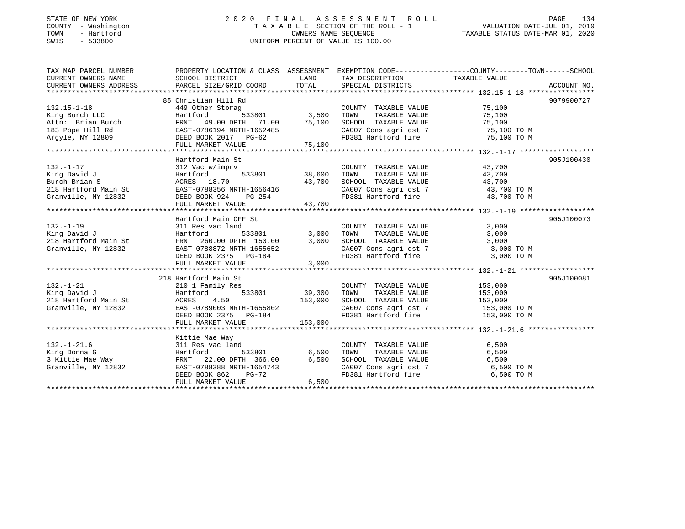## STATE OF NEW YORK 2 0 2 0 F I N A L A S S E S S M E N T R O L L PAGE 134 COUNTY - Washington T A X A B L E SECTION OF THE ROLL - 1 VALUATION DATE-JUL 01, 2019 TOWN - Hartford OWNERS NAME SEQUENCE TAXABLE STATUS DATE-MAR 01, 2020 SWIS - 533800 UNIFORM PERCENT OF VALUE IS 100.00

| TAX MAP PARCEL NUMBER                                                                                                                                                         | PROPERTY LOCATION & CLASS ASSESSMENT EXEMPTION CODE----------------COUNTY-------TOWN------SCHOOL |                                                       |                                                                                                                                                                                                               |        |            |
|-------------------------------------------------------------------------------------------------------------------------------------------------------------------------------|--------------------------------------------------------------------------------------------------|-------------------------------------------------------|---------------------------------------------------------------------------------------------------------------------------------------------------------------------------------------------------------------|--------|------------|
| CURRENT OWNERS NAME                                                                                                                                                           | SCHOOL DISTRICT                                                                                  | <b>EXAMPLE TO A LAND THE EXAMPLE THE SET OF STATE</b> | TAX DESCRIPTION TAXABLE VALUE                                                                                                                                                                                 |        |            |
| CURRENT OWNERS ADDRESS                                                                                                                                                        |                                                                                                  |                                                       |                                                                                                                                                                                                               |        |            |
|                                                                                                                                                                               |                                                                                                  |                                                       |                                                                                                                                                                                                               |        |            |
|                                                                                                                                                                               | 85 Christian Hill Rd                                                                             |                                                       |                                                                                                                                                                                                               |        | 9079900727 |
| $132.15 - 1 - 18$                                                                                                                                                             | 449 Other Storag                                                                                 |                                                       | COUNTY TAXABLE VALUE 75,100                                                                                                                                                                                   |        |            |
|                                                                                                                                                                               | 533801 3,500                                                                                     |                                                       | TOWN<br>TAXABLE VALUE                                                                                                                                                                                         | 75,100 |            |
|                                                                                                                                                                               |                                                                                                  |                                                       |                                                                                                                                                                                                               |        |            |
|                                                                                                                                                                               |                                                                                                  |                                                       | SCHOOL TAXABLE VALUE 75,100<br>CA007 Cons agri dst 7 75,100 TO M                                                                                                                                              |        |            |
| Eing Burch LLC Hartford 533801 3,500<br>Attn: Brian Burch FRNT 49.00 DPTH 71.00 75,100<br>183 Pope Hill Rd EAST-0786194 NRTH-1652485<br>Argyle, NY 12809 DEED BOOK 2017 PG-62 |                                                                                                  |                                                       | FD381 Hartford fire 75,100 TO M                                                                                                                                                                               |        |            |
|                                                                                                                                                                               |                                                                                                  |                                                       |                                                                                                                                                                                                               |        |            |
|                                                                                                                                                                               |                                                                                                  |                                                       |                                                                                                                                                                                                               |        |            |
|                                                                                                                                                                               | Hartford Main St                                                                                 |                                                       |                                                                                                                                                                                                               |        | 905J100430 |
| $132. - 1 - 17$                                                                                                                                                               | 312 Vac w/imprv                                                                                  |                                                       | COUNTY TAXABLE VALUE 43,700                                                                                                                                                                                   |        |            |
| King David J                                                                                                                                                                  | 533801 38,600<br>Hartford                                                                        |                                                       |                                                                                                                                                                                                               |        |            |
| Burch Brian S                                                                                                                                                                 | ACRES 18.70                                                                                      | 43,700                                                | TOWN TAXABLE VALUE 43,700<br>SCHOOL TAXABLE VALUE 43,700                                                                                                                                                      |        |            |
| 218 Hartford Main St EAST-0788356 NRTH-1656416                                                                                                                                |                                                                                                  |                                                       | CA007 Cons agri dst 7 43,700 TO M                                                                                                                                                                             |        |            |
| Granville, NY 12832 DEED BOOK 924 PG-254                                                                                                                                      |                                                                                                  |                                                       | FD381 Hartford fire 43,700 TO M                                                                                                                                                                               |        |            |
|                                                                                                                                                                               | FULL MARKET VALUE                                                                                | 43,700                                                |                                                                                                                                                                                                               |        |            |
|                                                                                                                                                                               |                                                                                                  |                                                       |                                                                                                                                                                                                               |        |            |
|                                                                                                                                                                               | Hartford Main OFF St                                                                             |                                                       |                                                                                                                                                                                                               |        | 905J100073 |
| $132. - 1 - 19$                                                                                                                                                               | 311 Res vac land                                                                                 |                                                       |                                                                                                                                                                                                               |        |            |
| King David J                                                                                                                                                                  | 533801<br>Hartford                                                                               | 3,000                                                 | COUNTY TAXABLE VALUE 3,000<br>TOWN TAXABLE VALUE 3,000                                                                                                                                                        |        |            |
| 218 Hartford Main St                                                                                                                                                          | FRNT 260.00 DPTH 150.00                                                                          | 3,000                                                 | SCHOOL TAXABLE VALUE                                                                                                                                                                                          | 3,000  |            |
|                                                                                                                                                                               |                                                                                                  |                                                       |                                                                                                                                                                                                               |        |            |
| 218 Hartford Main St. 2008.<br>Granville, NY 12832 EAST-0788872 NRTH-1655652                                                                                                  | DEED BOOK 2375 PG-184                                                                            |                                                       | CA007 Cons agri dst 7 3,000 TO M<br>FD381 Hartford fire 3,000 TO M                                                                                                                                            |        |            |
|                                                                                                                                                                               | FULL MARKET VALUE                                                                                | 3,000                                                 |                                                                                                                                                                                                               |        |            |
|                                                                                                                                                                               |                                                                                                  |                                                       |                                                                                                                                                                                                               |        |            |
|                                                                                                                                                                               | 218 Hartford Main St                                                                             |                                                       |                                                                                                                                                                                                               |        | 905J100081 |
| $132. - 1 - 21$                                                                                                                                                               | 210 1 Family Res                                                                                 |                                                       | COUNTY TAXABLE VALUE 153,000                                                                                                                                                                                  |        |            |
| King David J                                                                                                                                                                  | Hartford 533801 39,300                                                                           |                                                       | TAXABLE VALUE 153,000<br>TOWN                                                                                                                                                                                 |        |            |
| 218 Hartford Main St                                                                                                                                                          |                                                                                                  |                                                       |                                                                                                                                                                                                               |        |            |
| Granville, NY 12832                                                                                                                                                           | ACRES 4.50 153,000<br>EAST-0789003 NRTH-1655802 153,000<br>DEED BOOK 2375 PG-184                 |                                                       | $\begin{tabular}{lllllllll} \texttt{SCHOOL} & \texttt{TAXABLE} & \texttt{VALUE} & & & 153,000 \\ \texttt{CA007} & \texttt{Cons}\ & \texttt{agt}\ & \texttt{153,000} & \texttt{TO} & \texttt{M} \end{tabular}$ |        |            |
|                                                                                                                                                                               |                                                                                                  |                                                       | $CA007$ Cons agri dst 7 $153,000$ TO M<br>FD381 Hartford fire $153,000$ TO M                                                                                                                                  |        |            |
|                                                                                                                                                                               | FULL MARKET VALUE                                                                                | 153,000                                               |                                                                                                                                                                                                               |        |            |
|                                                                                                                                                                               |                                                                                                  |                                                       |                                                                                                                                                                                                               |        |            |
|                                                                                                                                                                               | Kittie Mae Way                                                                                   |                                                       |                                                                                                                                                                                                               |        |            |
| $132. - 1 - 21.6$                                                                                                                                                             | 311 Res vac land                                                                                 |                                                       | COUNTY TAXABLE VALUE                                                                                                                                                                                          | 6,500  |            |
| 132.-1-21.6<br>King Donna G<br>3 Kittie Mae Way<br>3 Kittie Mae Way<br>Granville, NY 12832<br>EAST-0788388 NRTH-1654743<br>DEED BOOK 862<br>PG-72                             |                                                                                                  | 533801 6,500                                          | TOWN<br>TAXABLE VALUE                                                                                                                                                                                         | 6,500  |            |
|                                                                                                                                                                               |                                                                                                  | 6,500                                                 |                                                                                                                                                                                                               |        |            |
|                                                                                                                                                                               |                                                                                                  |                                                       | SCHOOL TAXABLE VALUE 6,500<br>CA007 Cons agri dst 7 6,500 TO M<br>FD381 Hartford fire 6,500 TO M                                                                                                              |        |            |
|                                                                                                                                                                               |                                                                                                  |                                                       |                                                                                                                                                                                                               |        |            |
|                                                                                                                                                                               | FULL MARKET VALUE                                                                                | 6,500                                                 |                                                                                                                                                                                                               |        |            |
|                                                                                                                                                                               |                                                                                                  |                                                       |                                                                                                                                                                                                               |        |            |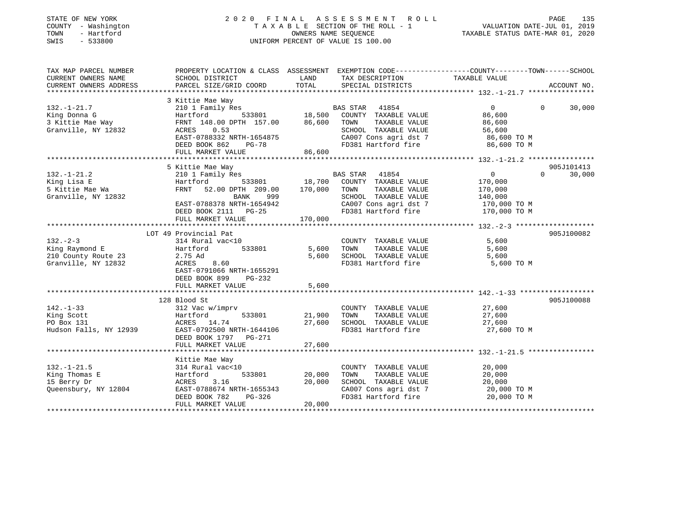| STATE OF NEW YORK<br>COUNTY - Washington<br>TOWN<br>- Hartford<br>SWIS<br>$-533800$ |                                             | OWNERS NAME SEOUENCE           | 2020 FINAL ASSESSMENT<br>ROLL ROLL<br>TAXABLE SECTION OF THE ROLL - 1<br>UNIFORM PERCENT OF VALUE IS 100.00 | PAGE<br>VALUATION DATE-JUL 01, 2019<br>TAXABLE STATUS DATE-MAR 01, 2020                                          | 135         |
|-------------------------------------------------------------------------------------|---------------------------------------------|--------------------------------|-------------------------------------------------------------------------------------------------------------|------------------------------------------------------------------------------------------------------------------|-------------|
| TAX MAP PARCEL NUMBER<br>CURRENT OWNERS NAME                                        | SCHOOL DISTRICT                             | LAND                           | TAX DESCRIPTION                                                                                             | PROPERTY LOCATION & CLASS ASSESSMENT EXEMPTION CODE----------------COUNTY-------TOWN-----SCHOOL<br>TAXABLE VALUE |             |
| CURRENT OWNERS ADDRESS                                                              | PARCEL SIZE/GRID COORD                      | TOTAL                          | SPECIAL DISTRICTS                                                                                           |                                                                                                                  | ACCOUNT NO. |
|                                                                                     |                                             |                                |                                                                                                             |                                                                                                                  |             |
|                                                                                     | 3 Kittie Mae Way                            |                                |                                                                                                             |                                                                                                                  |             |
| $132. - 1 - 21.7$                                                                   | 210 1 Family Res                            |                                | 41854<br>BAS STAR                                                                                           | $\Omega$<br>$\Omega$                                                                                             | 30,000      |
| King Donna G                                                                        | 533801<br>Hartford                          | 18,500                         | COUNTY TAXABLE VALUE                                                                                        | 86,600                                                                                                           |             |
| 3 Kittie Mae Way                                                                    | FRNT 148.00 DPTH 157.00                     | 86,600                         | TOWN<br>TAXABLE VALUE                                                                                       | 86,600                                                                                                           |             |
| Granville, NY 12832                                                                 | ACRES<br>0.53<br>EAST-0788332 NRTH-1654875  |                                | SCHOOL TAXABLE VALUE<br>CA007 Cons agri dst 7                                                               | 56,600<br>86,600 TO M                                                                                            |             |
|                                                                                     | DEED BOOK 862<br>$PG-78$                    |                                | FD381 Hartford fire                                                                                         | 86,600 ТО М                                                                                                      |             |
|                                                                                     | FULL MARKET VALUE                           | 86,600                         |                                                                                                             |                                                                                                                  |             |
|                                                                                     | ***********************                     |                                |                                                                                                             | ********************* 132.-1-21.2 *****************                                                              |             |
|                                                                                     | 5 Kittie Mae Way                            |                                |                                                                                                             |                                                                                                                  | 905J101413  |
| $132. - 1 - 21.2$                                                                   | 210 1 Family Res                            |                                | BAS STAR<br>41854                                                                                           | $\mathbf 0$<br>$\Omega$                                                                                          | 30,000      |
| King Lisa E                                                                         | Hartford<br>533801                          | 18,700                         | COUNTY TAXABLE VALUE                                                                                        | 170,000                                                                                                          |             |
| 5 Kittie Mae Wa                                                                     | FRNT 52.00 DPTH 209.00                      | 170,000                        | TOWN<br>TAXABLE VALUE                                                                                       | 170,000                                                                                                          |             |
| Granville, NY 12832                                                                 | BANK<br>999                                 |                                | SCHOOL TAXABLE VALUE                                                                                        | 140,000                                                                                                          |             |
|                                                                                     | EAST-0788378 NRTH-1654942                   |                                | CA007 Cons agri dst 7<br>FD381 Hartford fire                                                                | 170,000 TO M                                                                                                     |             |
|                                                                                     | DEED BOOK 2111 PG-25<br>FULL MARKET VALUE   | 170,000                        |                                                                                                             | 170,000 TO M                                                                                                     |             |
|                                                                                     | **************************                  |                                |                                                                                                             |                                                                                                                  |             |
|                                                                                     | LOT 49 Provincial Pat                       |                                |                                                                                                             |                                                                                                                  | 905J100082  |
| $132 - 2 - 3$                                                                       | 314 Rural vac<10                            |                                | COUNTY TAXABLE VALUE                                                                                        | 5,600                                                                                                            |             |
| King Raymond E                                                                      | Hartford<br>533801                          | 5,600                          | TOWN<br>TAXABLE VALUE                                                                                       | 5,600                                                                                                            |             |
| 210 County Route 23                                                                 | 2.75 Ad                                     | 5,600                          | SCHOOL TAXABLE VALUE                                                                                        | 5,600                                                                                                            |             |
| Granville, NY 12832                                                                 | 8.60<br>ACRES                               |                                | FD381 Hartford fire                                                                                         | 5,600 TO M                                                                                                       |             |
|                                                                                     | EAST-0791066 NRTH-1655291                   |                                |                                                                                                             |                                                                                                                  |             |
|                                                                                     | DEED BOOK 899<br>$PG-232$                   |                                |                                                                                                             |                                                                                                                  |             |
|                                                                                     | FULL MARKET VALUE<br>********************** | 5,600<br>********************* |                                                                                                             |                                                                                                                  |             |
|                                                                                     | 128 Blood St                                |                                |                                                                                                             |                                                                                                                  | 905J100088  |
| $142. - 1 - 33$                                                                     | 312 Vac w/imprv                             |                                | COUNTY TAXABLE VALUE                                                                                        | 27,600                                                                                                           |             |
| King Scott                                                                          | 533801<br>Hartford                          | 21,900                         | TOWN<br>TAXABLE VALUE                                                                                       | 27,600                                                                                                           |             |
| PO Box 131                                                                          | ACRES 14.74                                 | 27,600                         | SCHOOL TAXABLE VALUE                                                                                        | 27,600                                                                                                           |             |
| Hudson Falls, NY 12939                                                              | EAST-0792500 NRTH-1644106                   |                                | FD381 Hartford fire                                                                                         | 27,600 TO M                                                                                                      |             |
|                                                                                     | DEED BOOK 1797 PG-271                       |                                |                                                                                                             |                                                                                                                  |             |
|                                                                                     | FULL MARKET VALUE                           | 27,600                         |                                                                                                             |                                                                                                                  |             |
|                                                                                     |                                             |                                |                                                                                                             |                                                                                                                  |             |
|                                                                                     | Kittie Mae Way                              |                                |                                                                                                             |                                                                                                                  |             |
| $132. - 1 - 21.5$                                                                   | 314 Rural vac<10                            |                                | COUNTY TAXABLE VALUE                                                                                        | 20,000                                                                                                           |             |
| King Thomas E<br>15 Berry Dr                                                        | 533801<br>Hartford<br>ACRES<br>3.16         | 20,000<br>20,000               | TOWN<br>TAXABLE VALUE<br>SCHOOL TAXABLE VALUE                                                               | 20,000<br>20,000                                                                                                 |             |
| Queensbury, NY 12804                                                                | EAST-0788674 NRTH-1655343                   |                                | CA007 Cons agri dst 7                                                                                       | 20,000 TO M                                                                                                      |             |
|                                                                                     | DEED BOOK 782<br>PG-326                     |                                | FD381 Hartford fire                                                                                         | 20,000 TO M                                                                                                      |             |
|                                                                                     | FULL MARKET VALUE                           | 20,000                         |                                                                                                             |                                                                                                                  |             |
|                                                                                     |                                             |                                |                                                                                                             |                                                                                                                  |             |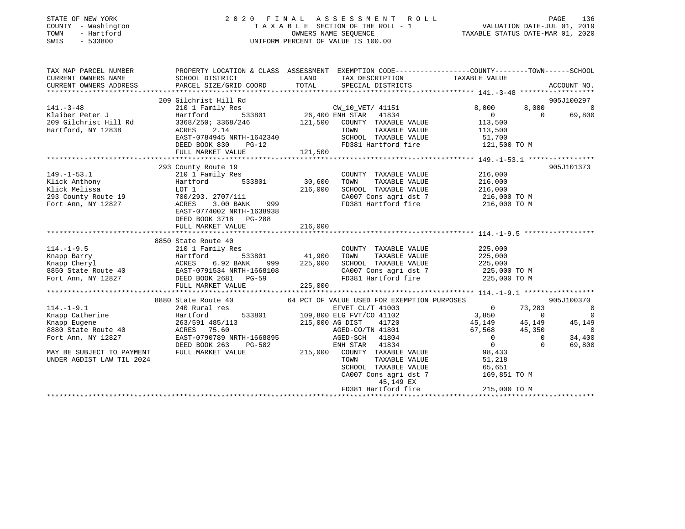| STATE OF NEW YORK<br>COUNTY - Washington<br>TOWN<br>- Hartford<br>SWIS<br>$-533800$ |                                                                                                                                                                                                                                                                                                                        |         |                                                                                           |              |             |
|-------------------------------------------------------------------------------------|------------------------------------------------------------------------------------------------------------------------------------------------------------------------------------------------------------------------------------------------------------------------------------------------------------------------|---------|-------------------------------------------------------------------------------------------|--------------|-------------|
|                                                                                     | TAX MAP PARCEL NUMBER THE PROPERTY LOCATION & CLASS ASSESSMENT EXEMPTION CODE---------------COUNTY-------TOWN-----SCHOOL                                                                                                                                                                                               |         |                                                                                           |              |             |
|                                                                                     |                                                                                                                                                                                                                                                                                                                        |         |                                                                                           |              |             |
|                                                                                     |                                                                                                                                                                                                                                                                                                                        |         |                                                                                           |              | ACCOUNT NO. |
|                                                                                     |                                                                                                                                                                                                                                                                                                                        |         |                                                                                           |              |             |
|                                                                                     | 209 Gilchrist Hill Rd<br>$[141.-3-48$ 209 Gilchrist Hill Kd<br>209 Gilchrist Hill Rd<br>209 Gilchrist Hill Rd<br>209 Gilchrist Hill Rd<br>3368/250; 3368/246<br>209 Gilchrist Hill Rd<br>3368/250; 3368/246<br>209 Gilchrist Hill Rd<br>209 Gilchrist Hill Rd<br>3368/250                                              |         |                                                                                           |              | 905J100297  |
|                                                                                     |                                                                                                                                                                                                                                                                                                                        |         |                                                                                           |              |             |
|                                                                                     |                                                                                                                                                                                                                                                                                                                        |         |                                                                                           |              |             |
|                                                                                     |                                                                                                                                                                                                                                                                                                                        |         |                                                                                           |              |             |
|                                                                                     |                                                                                                                                                                                                                                                                                                                        |         |                                                                                           |              |             |
|                                                                                     |                                                                                                                                                                                                                                                                                                                        |         |                                                                                           |              |             |
|                                                                                     | FULL MARKET VALUE 121,500                                                                                                                                                                                                                                                                                              |         |                                                                                           |              |             |
|                                                                                     |                                                                                                                                                                                                                                                                                                                        |         |                                                                                           |              |             |
|                                                                                     | 293 County Route 19                                                                                                                                                                                                                                                                                                    |         |                                                                                           |              | 905J101373  |
|                                                                                     |                                                                                                                                                                                                                                                                                                                        |         |                                                                                           |              |             |
|                                                                                     |                                                                                                                                                                                                                                                                                                                        |         |                                                                                           |              |             |
|                                                                                     |                                                                                                                                                                                                                                                                                                                        |         |                                                                                           |              |             |
|                                                                                     |                                                                                                                                                                                                                                                                                                                        |         |                                                                                           |              |             |
|                                                                                     |                                                                                                                                                                                                                                                                                                                        |         |                                                                                           |              |             |
|                                                                                     | 393 County Route 19<br>293 County Route 19<br>210 1 Family Res<br>216,000<br>216,000<br>216,000<br>216,000<br>216,000<br>216,000<br>216,000<br>216,000<br>216,000<br>216,000<br>216,000<br>216,000<br>216,000<br>216,000<br>216,000<br>216,000<br>216,000<br>216,000<br><br>DEED BOOK 3718 PG-288<br>FULL MARKET VALUE | 216,000 |                                                                                           |              |             |
|                                                                                     |                                                                                                                                                                                                                                                                                                                        |         |                                                                                           |              |             |
|                                                                                     | 8850 State Route 40                                                                                                                                                                                                                                                                                                    |         |                                                                                           |              |             |
|                                                                                     |                                                                                                                                                                                                                                                                                                                        |         |                                                                                           |              |             |
|                                                                                     |                                                                                                                                                                                                                                                                                                                        |         |                                                                                           |              |             |
|                                                                                     |                                                                                                                                                                                                                                                                                                                        |         |                                                                                           |              |             |
|                                                                                     |                                                                                                                                                                                                                                                                                                                        |         |                                                                                           |              |             |
|                                                                                     | 3850 State Route 40<br>Exact COUNTY TAXABLE VALUE<br>Exact COUNTY TAXABLE VALUE<br>Exact Country Actes 6.92 BANK 999 225,000 SCHOOL TAXABLE VALUE<br>8850 State Route 40<br>Fort Ann, NY 12827<br>Fort Ann, NY 12827<br>Exact Country Actes                                                                            |         |                                                                                           |              |             |
|                                                                                     | FULL MARKET VALUE                                                                                                                                                                                                                                                                                                      | 225,000 |                                                                                           |              |             |
|                                                                                     |                                                                                                                                                                                                                                                                                                                        |         |                                                                                           |              |             |
|                                                                                     |                                                                                                                                                                                                                                                                                                                        |         |                                                                                           |              |             |
|                                                                                     |                                                                                                                                                                                                                                                                                                                        |         |                                                                                           |              |             |
|                                                                                     |                                                                                                                                                                                                                                                                                                                        |         |                                                                                           |              |             |
|                                                                                     |                                                                                                                                                                                                                                                                                                                        |         |                                                                                           |              |             |
|                                                                                     |                                                                                                                                                                                                                                                                                                                        |         |                                                                                           |              |             |
|                                                                                     |                                                                                                                                                                                                                                                                                                                        |         |                                                                                           |              |             |
|                                                                                     |                                                                                                                                                                                                                                                                                                                        |         |                                                                                           |              |             |
|                                                                                     |                                                                                                                                                                                                                                                                                                                        |         |                                                                                           |              |             |
| UNDER AGDIST LAW TIL 2024                                                           |                                                                                                                                                                                                                                                                                                                        |         | TOWN TAXABLE VALUE 51,218<br>SCHOOL TAXABLE VALUE 65,651<br>CA007 Cons agri dst 7 169,851 |              |             |
|                                                                                     |                                                                                                                                                                                                                                                                                                                        |         |                                                                                           |              |             |
|                                                                                     |                                                                                                                                                                                                                                                                                                                        |         |                                                                                           | 169,851 TO M |             |

45,149 EX

FD381 Hartford fire 215,000 TO M \*\*\*\*\*\*\*\*\*\*\*\*\*\*\*\*\*\*\*\*\*\*\*\*\*\*\*\*\*\*\*\*\*\*\*\*\*\*\*\*\*\*\*\*\*\*\*\*\*\*\*\*\*\*\*\*\*\*\*\*\*\*\*\*\*\*\*\*\*\*\*\*\*\*\*\*\*\*\*\*\*\*\*\*\*\*\*\*\*\*\*\*\*\*\*\*\*\*\*\*\*\*\*\*\*\*\*\*\*\*\*\*\*\*\*\*\*\*\*\*\*\*\*\*\*\*\*\*\*\*\*\*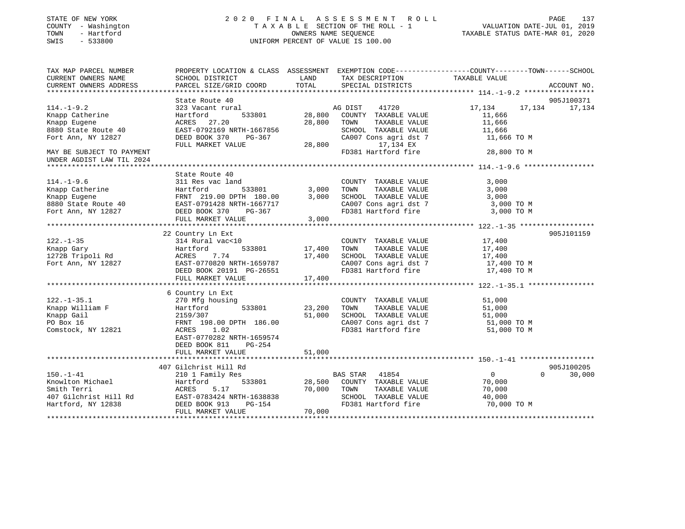| STATE OF NEW YORK |           |              |
|-------------------|-----------|--------------|
| COUNTY            |           | - Washington |
| TOWN              |           | - Hartford   |
| <b>CMTC</b>       | $-533800$ |              |

## STATE OF NEW YORK 2 0 2 0 F I N A L A S S E S S M E N T R O L L PAGE 137 COUNTY - Washington T A X A B L E SECTION OF THE ROLL - 1 VALUATION DATE-JUL 01, 2019 TOWN - Hartford OWNERS NAME SEQUENCE TAXABLE STATUS DATE-MAR 01, 2020 SWIS - 533800 UNIFORM PERCENT OF VALUE IS 100.00UNIFORM PERCENT OF VALUE IS 100.00

| TAX MAP PARCEL NUMBER<br>CURRENT OWNERS NAME                  | SCHOOL DISTRICT                            | LAND<br>TAX DESCRIPTION                      | PROPERTY LOCATION & CLASS ASSESSMENT EXEMPTION CODE----------------COUNTY-------TOWN------SCHOOL<br>TAXABLE VALUE |
|---------------------------------------------------------------|--------------------------------------------|----------------------------------------------|-------------------------------------------------------------------------------------------------------------------|
| CURRENT OWNERS ADDRESS                                        | PARCEL SIZE/GRID COORD                     | TOTAL<br>SPECIAL DISTRICTS                   | ACCOUNT NO.                                                                                                       |
|                                                               |                                            |                                              |                                                                                                                   |
|                                                               | State Route 40                             |                                              | 905J100371                                                                                                        |
| $114. - 1 - 9.2$                                              | 323 Vacant rural                           | AG DIST 41720                                | 17,134<br>17,134<br>17,134                                                                                        |
| Knapp Catherine                                               | 533801<br>Hartford                         | 28,800<br>COUNTY TAXABLE VALUE               | 11,666                                                                                                            |
| Knapp Eugene                                                  | ACRES 27.20                                | 28,800<br>TOWN<br>TAXABLE VALUE              | 11,666                                                                                                            |
| 8880 State Route 40                                           | EAST-0792169 NRTH-1667856                  | SCHOOL TAXABLE VALUE                         | 11,666                                                                                                            |
| Fort Ann, NY 12827                                            | DEED BOOK 370<br>PG-367                    | CA007 Cons agri dst 7                        | 11,666 TO M                                                                                                       |
|                                                               | FULL MARKET VALUE                          | 28,800<br>17,134 EX                          |                                                                                                                   |
| MAY BE SUBJECT TO PAYMENT<br>UNDER AGDIST LAW TIL 2024        |                                            | FD381 Hartford fire                          | 28,800 TO M                                                                                                       |
|                                                               |                                            |                                              |                                                                                                                   |
|                                                               | State Route 40                             |                                              |                                                                                                                   |
| $114. - 1 - 9.6$                                              | 311 Res vac land                           | COUNTY TAXABLE VALUE                         | 3,000                                                                                                             |
| Knapp Catherine                                               |                                            | 3,000<br>TOWN<br>TAXABLE VALUE               | 3,000                                                                                                             |
| Knapp Eugene                                                  | Hartford 533801<br>FRNT 219.00 DPTH 180.00 | 3,000<br>SCHOOL TAXABLE VALUE                | 3,000                                                                                                             |
| Rhapp Luyene<br>8880 State Route 40 EAST-0791428 NRTH-1667717 |                                            | CA007 Cons agri dst 7                        | 3,000 TO M                                                                                                        |
| Fort Ann, NY 12827                                            | DEED BOOK 370<br>PG-367                    | FD381 Hartford fire                          | 3,000 TO M                                                                                                        |
|                                                               | FULL MARKET VALUE                          | 3,000                                        |                                                                                                                   |
|                                                               |                                            |                                              |                                                                                                                   |
|                                                               | 22 Country Ln Ext                          |                                              | 905J101159                                                                                                        |
| $122. - 1 - 35$                                               | 314 Rural vac<10                           | COUNTY TAXABLE VALUE                         | 17,400                                                                                                            |
| Knapp Gary                                                    | 533801<br>Hartford                         | 17,400<br>TAXABLE VALUE<br>TOWN              | 17,400                                                                                                            |
| 1272B Tripoli Rd                                              | 7.74<br>ACRES                              | 17,400<br>SCHOOL TAXABLE VALUE               | 17,400                                                                                                            |
| Fort Ann, NY 12827                                            | EAST-0770820 NRTH-1659787                  | CA007 Cons agri dst 7<br>FD381 Hartford fire | 17,400 TO M                                                                                                       |
|                                                               | DEED BOOK 20191 PG-26551                   |                                              | 17,400 TO M                                                                                                       |
|                                                               | FULL MARKET VALUE                          | 17,400                                       |                                                                                                                   |
|                                                               |                                            |                                              |                                                                                                                   |
|                                                               | 6 Country Ln Ext                           |                                              |                                                                                                                   |
| $122. - 1 - 35.1$                                             | 270 Mfg housing                            | COUNTY TAXABLE VALUE                         | 51,000                                                                                                            |
| Knapp William F                                               | 533801<br>Hartford                         | 23,200<br>TOWN<br>TAXABLE VALUE              | 51,000                                                                                                            |
| Knapp Gail                                                    | 2159/307                                   | 51,000<br>SCHOOL TAXABLE VALUE               | 51,000                                                                                                            |
| PO Box 16                                                     | FRNT 198.00 DPTH 186.00                    |                                              | CA007 Cons agri dst 7 51,000 TO M                                                                                 |
| Comstock, NY 12821                                            | ACRES 1.02                                 | FD381 Hartford fire                          | 51,000 TO M                                                                                                       |
|                                                               | EAST-0770282 NRTH-1659574                  |                                              |                                                                                                                   |
|                                                               | PG-254<br>DEED BOOK 811                    |                                              |                                                                                                                   |
|                                                               | FULL MARKET VALUE                          | 51,000                                       |                                                                                                                   |
|                                                               |                                            |                                              |                                                                                                                   |
|                                                               | 407 Gilchrist Hill Rd                      |                                              | 905J100205                                                                                                        |
| $150. - 1 - 41$                                               | 210 1 Family Res                           | 41854<br>BAS STAR                            | $\overline{0}$<br>$\Omega$<br>30,000                                                                              |
| Knowlton Michael                                              | Hartford                                   | 533801 28,500<br>COUNTY TAXABLE VALUE        | 70,000                                                                                                            |
| Smith Terri                                                   | ACRES<br>5.17                              | TAXABLE VALUE<br>70,000<br>TOWN              | 70,000                                                                                                            |
| 407 Gilchrist Hill Rd                                         | EAST-0783424 NRTH-1638838                  | SCHOOL TAXABLE VALUE                         | 40,000                                                                                                            |
| Hartford, NY 12838                                            | DEED BOOK 913<br>PG-154                    | FD381 Hartford fire                          | 70,000 TO M                                                                                                       |
|                                                               | FULL MARKET VALUE                          | 70,000                                       |                                                                                                                   |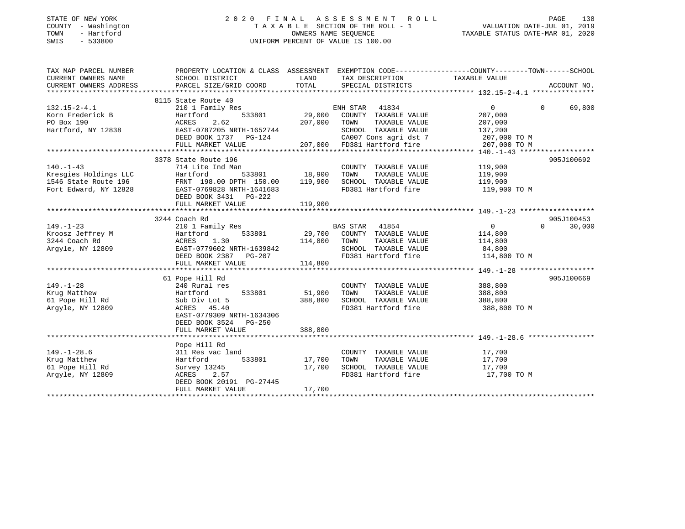## STATE OF NEW YORK 2 0 2 0 F I N A L A S S E S S M E N T R O L L PAGE 138 COUNTY - Washington T A X A B L E SECTION OF THE ROLL - 1 VALUATION DATE-JUL 01, 2019 TOWN - Hartford OWNERS NAME SEQUENCE TAXABLE STATUS DATE-MAR 01, 2020 SWIS - 533800 UNIFORM PERCENT OF VALUE IS 100.00

| TAX MAP PARCEL NUMBER  | PROPERTY LOCATION & CLASS ASSESSMENT EXEMPTION CODE---------------COUNTY-------TOWN------SCHOOL |               |                             |                |          |             |
|------------------------|-------------------------------------------------------------------------------------------------|---------------|-----------------------------|----------------|----------|-------------|
| CURRENT OWNERS NAME    | SCHOOL DISTRICT                                                                                 | LAND          | TAX DESCRIPTION             | TAXABLE VALUE  |          |             |
| CURRENT OWNERS ADDRESS | PARCEL SIZE/GRID COORD                                                                          | TOTAL         | SPECIAL DISTRICTS           |                |          | ACCOUNT NO. |
|                        |                                                                                                 |               |                             |                |          |             |
|                        | 8115 State Route 40                                                                             |               |                             |                |          |             |
| $132.15 - 2 - 4.1$     | 210 1 Family Res                                                                                |               | ENH STAR<br>41834           | $\Omega$       | $\Omega$ | 69,800      |
| Korn Frederick B       | 533801<br>Hartford                                                                              | 29,000        | COUNTY TAXABLE VALUE        | 207,000        |          |             |
| PO Box 190             | 2.62<br>ACRES                                                                                   | 207,000       | TAXABLE VALUE<br>TOWN       | 207,000        |          |             |
| Hartford, NY 12838     | EAST-0787205 NRTH-1652744                                                                       |               | SCHOOL TAXABLE VALUE        | 137,200        |          |             |
|                        | DEED BOOK 1737 PG-124                                                                           |               | CA007 Cons agri dst 7       | 207,000 TO M   |          |             |
|                        | FULL MARKET VALUE                                                                               |               | 207,000 FD381 Hartford fire | 207,000 TO M   |          |             |
|                        |                                                                                                 |               |                             |                |          |             |
|                        | 3378 State Route 196                                                                            |               |                             |                |          | 905J100692  |
| $140. - 1 - 43$        | 714 Lite Ind Man                                                                                |               | COUNTY TAXABLE VALUE        | 119,900        |          |             |
| Kresgies Holdings LLC  | Hartford                                                                                        | 533801 18,900 | TOWN<br>TAXABLE VALUE       | 119,900        |          |             |
| 1546 State Route 196   | FRNT 198.00 DPTH 150.00 119,900                                                                 |               | SCHOOL TAXABLE VALUE        | 119,900        |          |             |
| Fort Edward, NY 12828  | EAST-0769828 NRTH-1641683                                                                       |               | FD381 Hartford fire         | 119,900 TO M   |          |             |
|                        | DEED BOOK 3431 PG-222                                                                           |               |                             |                |          |             |
|                        | FULL MARKET VALUE                                                                               | 119,900       |                             |                |          |             |
|                        |                                                                                                 |               |                             |                |          |             |
|                        | 3244 Coach Rd                                                                                   |               |                             |                |          | 905J100453  |
| $149. - 1 - 23$        | 210 1 Family Res                                                                                |               | BAS STAR<br>41854           | $\overline{0}$ | $\Omega$ | 30,000      |
| Kroosz Jeffrey M       | Hartford<br>533801                                                                              |               | 29,700 COUNTY TAXABLE VALUE | 114,800        |          |             |
| 3244 Coach Rd          | ACRES<br>1.30                                                                                   | 114,800 TOWN  | TAXABLE VALUE               | 114,800        |          |             |
| Argyle, NY 12809       | EAST-0779602 NRTH-1639842                                                                       |               | SCHOOL TAXABLE VALUE        | 84,800         |          |             |
|                        | DEED BOOK 2387 PG-207                                                                           |               | FD381 Hartford fire         | 114,800 TO M   |          |             |
|                        | FULL MARKET VALUE                                                                               | 114,800       |                             |                |          |             |
|                        |                                                                                                 |               |                             |                |          |             |
|                        | 61 Pope Hill Rd                                                                                 |               |                             |                |          | 905J100669  |
| $149. - 1 - 28$        | 240 Rural res                                                                                   |               | COUNTY TAXABLE VALUE        | 388,800        |          |             |
| Krug Matthew           | 533801<br>Hartford                                                                              | 51,900        | TOWN<br>TAXABLE VALUE       | 388,800        |          |             |
| 61 Pope Hill Rd        | Sub Div Lot 5                                                                                   | 388,800       | SCHOOL TAXABLE VALUE        | 388,800        |          |             |
| Argyle, NY 12809       | ACRES 45.40                                                                                     |               | FD381 Hartford fire         | 388,800 TO M   |          |             |
|                        | EAST-0779309 NRTH-1634306                                                                       |               |                             |                |          |             |
|                        | DEED BOOK 3524 PG-250                                                                           |               |                             |                |          |             |
|                        | FULL MARKET VALUE                                                                               | 388,800       |                             |                |          |             |
|                        |                                                                                                 |               |                             |                |          |             |
|                        | Pope Hill Rd                                                                                    |               |                             |                |          |             |
| $149. - 1 - 28.6$      | 311 Res vac land                                                                                |               | COUNTY TAXABLE VALUE        | 17,700         |          |             |
| Krug Matthew           | Hartford<br>533801                                                                              | 17,700        | TOWN<br>TAXABLE VALUE       | 17,700         |          |             |
| 61 Pope Hill Rd        | Survey 13245                                                                                    | 17,700        | SCHOOL TAXABLE VALUE        | 17,700         |          |             |
| Argyle, NY 12809       | <b>ACRES</b><br>2.57                                                                            |               | FD381 Hartford fire         | 17,700 TO M    |          |             |
|                        |                                                                                                 |               |                             |                |          |             |
|                        | DEED BOOK 20191 PG-27445                                                                        | 17,700        |                             |                |          |             |
|                        | FULL MARKET VALUE                                                                               |               |                             |                |          |             |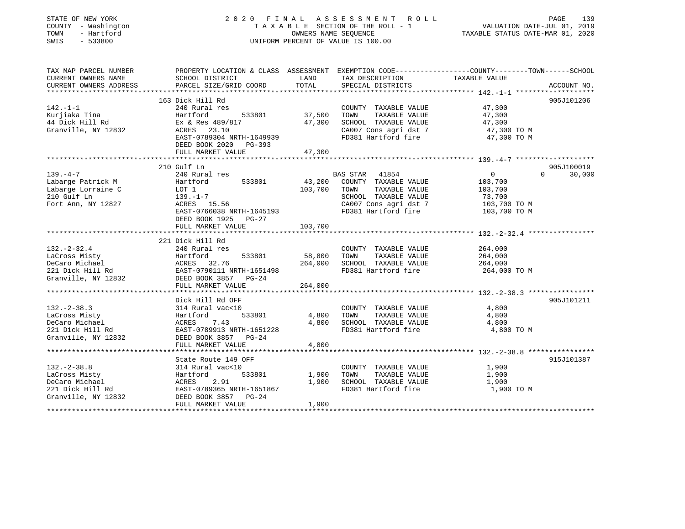| STATE OF NEW YORK<br>COUNTY - Washington<br>TOWN<br>- Hartford<br>SWIS<br>$-533800$            | 2020 FINAL                                                                                                                                                                      | OWNERS NAME SEQUENCE                           | ASSESSMENT ROLL<br>TAXABLE SECTION OF THE ROLL - 1<br>UNIFORM PERCENT OF VALUE IS 100.00                              | VALUATION DATE-JUL 01, 2019<br>TAXABLE STATUS DATE-MAR 01, 2020                                                 | PAGE<br>139          |
|------------------------------------------------------------------------------------------------|---------------------------------------------------------------------------------------------------------------------------------------------------------------------------------|------------------------------------------------|-----------------------------------------------------------------------------------------------------------------------|-----------------------------------------------------------------------------------------------------------------|----------------------|
| TAX MAP PARCEL NUMBER<br>CURRENT OWNERS NAME<br>CURRENT OWNERS ADDRESS                         | PROPERTY LOCATION & CLASS ASSESSMENT EXEMPTION CODE----------------COUNTY-------TOWN------SCHOOL<br>SCHOOL DISTRICT<br>PARCEL SIZE/GRID COORD                                   | LAND<br>TOTAL                                  | TAX DESCRIPTION<br>SPECIAL DISTRICTS                                                                                  | TAXABLE VALUE                                                                                                   | ACCOUNT NO.          |
|                                                                                                |                                                                                                                                                                                 |                                                |                                                                                                                       |                                                                                                                 |                      |
|                                                                                                | 163 Dick Hill Rd                                                                                                                                                                |                                                |                                                                                                                       |                                                                                                                 | 905J101206           |
| $142. - 1 - 1$                                                                                 | 240 Rural res                                                                                                                                                                   |                                                | COUNTY TAXABLE VALUE                                                                                                  | 47,300                                                                                                          |                      |
| Kurjiaka Tina<br>44 Dick Hill Rd<br>Granville, NY 12832                                        | Hartford<br>533801<br>Ex & Res 489/817<br>ACRES<br>23.10<br>EAST-0789304 NRTH-1649939<br>DEED BOOK 2020<br>PG-393                                                               | 37,500<br>47,300                               | TAXABLE VALUE<br>TOWN<br>SCHOOL TAXABLE VALUE<br>CA007 Cons agri dst 7<br>FD381 Hartford fire                         | 47,300<br>47,300<br>47,300 TO M<br>47,300 TO M                                                                  |                      |
|                                                                                                | FULL MARKET VALUE                                                                                                                                                               | 47,300                                         |                                                                                                                       |                                                                                                                 |                      |
|                                                                                                | ***********************                                                                                                                                                         | **********                                     |                                                                                                                       |                                                                                                                 |                      |
| $139. -4 -7$                                                                                   | 210 Gulf Ln<br>240 Rural res                                                                                                                                                    |                                                | <b>BAS STAR</b><br>41854                                                                                              | $\Omega$<br>0                                                                                                   | 905J100019<br>30,000 |
| Labarge Patrick M<br>Labarge Lorraine C<br>210 Gulf Ln<br>Fort Ann, NY 12827                   | 533801<br>Hartford<br>LOT 1<br>$139. - 1 - 7$<br>ACRES 15.56<br>EAST-0766038 NRTH-1645193<br>DEED BOOK 1925<br>PG-27<br>FULL MARKET VALUE                                       | 43,200<br>103,700<br>103,700                   | COUNTY TAXABLE VALUE<br>TOWN<br>TAXABLE VALUE<br>SCHOOL TAXABLE VALUE<br>CA007 Cons agri dst 7<br>FD381 Hartford fire | 103,700<br>103,700<br>73,700<br>103,700 TO M<br>103,700 TO M                                                    |                      |
|                                                                                                | ****************************                                                                                                                                                    |                                                |                                                                                                                       |                                                                                                                 |                      |
| $132 - 2 - 32.4$<br>LaCross Misty<br>DeCaro Michael<br>221 Dick Hill Rd<br>Granville, NY 12832 | 221 Dick Hill Rd<br>240 Rural res<br>Hartford<br>533801<br>ACRES 32.76<br>EAST-0790111 NRTH-1651498<br>DEED BOOK 3857 PG-24<br>FULL MARKET VALUE<br>*************************** | 58,800<br>264,000<br>264,000<br>************** | COUNTY TAXABLE VALUE<br>TAXABLE VALUE<br>TOWN<br>SCHOOL TAXABLE VALUE<br>FD381 Hartford fire                          | 264,000<br>264,000<br>264,000<br>264,000 TO M<br>********************************* 132.-2-38.3 **************** |                      |
|                                                                                                |                                                                                                                                                                                 |                                                |                                                                                                                       |                                                                                                                 |                      |
| $132 - 2 - 38.3$<br>LaCross Misty<br>DeCaro Michael<br>221 Dick Hill Rd<br>Granville, NY 12832 | Dick Hill Rd OFF<br>314 Rural vac<10<br>Hartford<br>533801<br>ACRES<br>7.43<br>EAST-0789913 NRTH-1651228<br>DEED BOOK 3857 PG-24                                                | 4,800<br>4,800                                 | COUNTY TAXABLE VALUE<br>TOWN<br>TAXABLE VALUE<br>SCHOOL TAXABLE VALUE<br>FD381 Hartford fire                          | 4,800<br>4,800<br>4,800<br>4,800 TO M                                                                           | 905J101211           |
|                                                                                                | FULL MARKET VALUE                                                                                                                                                               | 4,800                                          |                                                                                                                       |                                                                                                                 |                      |
|                                                                                                | .<br>State Route 149 OFF                                                                                                                                                        | ********                                       |                                                                                                                       | ********************* 132.-2-38.8 ****************                                                              | 915J101387           |
| $132 - 2 - 38.8$<br>LaCross Misty<br>DeCaro Michael<br>221 Dick Hill Rd<br>Granville, NY 12832 | 314 Rural vac<10<br>533801<br>Hartford<br>ACRES<br>2.91<br>EAST-0789365 NRTH-1651867<br>DEED BOOK 3857<br>$PG-24$<br>FULL MARKET VALUE                                          | 1,900<br>1,900<br>1,900                        | COUNTY TAXABLE VALUE<br>TAXABLE VALUE<br>TOWN<br>SCHOOL TAXABLE VALUE<br>FD381 Hartford fire                          | 1,900<br>1,900<br>1,900<br>1,900 TO M                                                                           |                      |
|                                                                                                |                                                                                                                                                                                 |                                                |                                                                                                                       |                                                                                                                 |                      |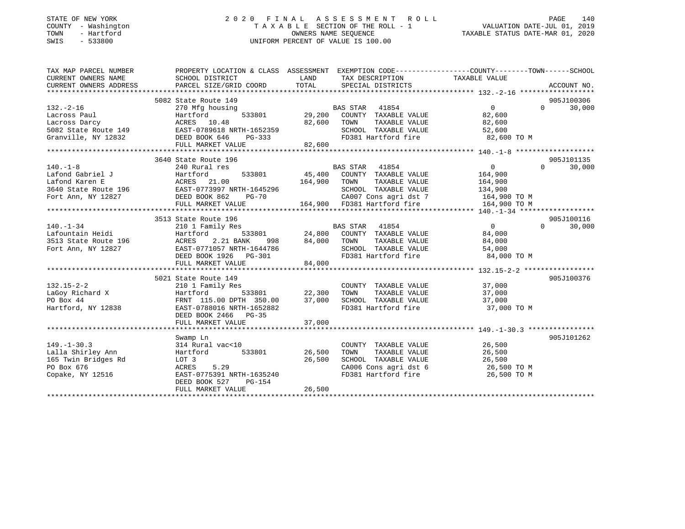#### STATE OF NEW YORK 2 0 2 0 F I N A L A S S E S S M E N T R O L L PAGE 140COUNTY - Washington T A X A B L E SECTION OF THE ROLL - 1 VALUATION DATE-JUL 01, 2019 OWNERS NAME SEQUENCE TAXABLE STATUS DATE-MAR 01, 2020 SWIS - 533800 UNIFORM PERCENT OF VALUE IS 100.00

VALUATION DATE-JUL 01, 2019

| TAX MAP PARCEL NUMBER                                                         | PROPERTY LOCATION & CLASS ASSESSMENT EXEMPTION CODE--------------COUNTY-------TOWN-----SCHOOL                               |               |                                                                                |                                     |                    |
|-------------------------------------------------------------------------------|-----------------------------------------------------------------------------------------------------------------------------|---------------|--------------------------------------------------------------------------------|-------------------------------------|--------------------|
| CURRENT OWNERS NAME                                                           | SCHOOL DISTRICT                                                                                                             | LAND          | TAX DESCRIPTION                                                                | TAXABLE VALUE                       |                    |
|                                                                               |                                                                                                                             |               |                                                                                |                                     |                    |
|                                                                               |                                                                                                                             |               |                                                                                |                                     |                    |
|                                                                               | 5082 State Route 149                                                                                                        |               |                                                                                |                                     | 905J100306         |
| $132. - 2 - 16$                                                               | 270 Mfg housing                                                                                                             |               | BAS STAR 41854                                                                 | $\overline{0}$                      | $\Omega$<br>30,000 |
| Lacross Paul                                                                  | Hartford                                                                                                                    |               | 533801 29,200 COUNTY TAXABLE VALUE                                             | 82,600                              |                    |
|                                                                               |                                                                                                                             | 82,600 TOWN   | TAXABLE VALUE                                                                  | 82,600                              |                    |
|                                                                               | Lacross Darcy<br>10.48 82,600<br>5082 State Route 149 EAST-0789618 NRTH-1652359<br>Granville, NY 12832 DEED BOOK 646 PG-333 |               |                                                                                | 52,600                              |                    |
|                                                                               |                                                                                                                             |               | SCHOOL TAXABLE VALUE<br>FD381 Hartford fire                                    | 82,600 TO M                         |                    |
|                                                                               |                                                                                                                             | 82,600        |                                                                                |                                     |                    |
|                                                                               | FULL MARKET VALUE                                                                                                           |               |                                                                                |                                     |                    |
|                                                                               |                                                                                                                             |               |                                                                                |                                     |                    |
|                                                                               | 3640 State Route 196                                                                                                        |               |                                                                                |                                     | 905J101135         |
| $140. -1 - 8$                                                                 | 240 Rural res                                                                                                               |               | BAS STAR 41854                                                                 | 0                                   | $\Omega$<br>30,000 |
| Lafond Gabriel J                                                              | Hartford<br>ACRES 21.00<br>533801                                                                                           |               | 45,400 COUNTY TAXABLE VALUE                                                    | 164,900                             |                    |
| Lafond Karen E                                                                |                                                                                                                             | 164,900       | TAXABLE VALUE<br>TOWN                                                          | 164,900                             |                    |
|                                                                               | 3640 State Route 196 EAST-0773997 NRTH-1645296                                                                              |               | SCHOOL TAXABLE VALUE 134,900                                                   |                                     |                    |
| Fort Ann, NY 12827                                                            | DEED BOOK 862<br>PG-70                                                                                                      |               | CA007 Cons agri dst 7 164,900 TO M<br>164,900 FD381 Hartford fire 164,900 TO M |                                     |                    |
|                                                                               | FULL MARKET VALUE                                                                                                           |               |                                                                                |                                     |                    |
|                                                                               |                                                                                                                             |               |                                                                                |                                     |                    |
|                                                                               | 3513 State Route 196                                                                                                        |               |                                                                                |                                     | 905J100116         |
| $140. - 1 - 34$                                                               | 210 1 Family Res                                                                                                            |               | BAS STAR 41854                                                                 | $\overline{0}$                      | $\Omega$<br>30,000 |
| Lafountain Heidi                                                              | Hartford                                                                                                                    |               | 533801 24,800 COUNTY TAXABLE VALUE                                             | 84,000                              |                    |
|                                                                               | 2.21 BANK                                                                                                                   | 998 84,000    | TOWN<br>TAXABLE VALUE                                                          | 84,000                              |                    |
| 3513 State Route 196 MCRES<br>Fort Ann, NY 12827 EAST-0<br>Fort Ann, NY 12827 | EAST-0771057 NRTH-1644786                                                                                                   |               | SCHOOL TAXABLE VALUE                                                           | 54,000                              |                    |
|                                                                               | DEED BOOK 1926    PG-301                                                                                                    |               | FD381 Hartford fire 84,000 TO M                                                |                                     |                    |
|                                                                               | FULL MARKET VALUE                                                                                                           | 84,000        |                                                                                |                                     |                    |
|                                                                               |                                                                                                                             |               |                                                                                |                                     |                    |
|                                                                               | 5021 State Route 149                                                                                                        |               |                                                                                |                                     | 905J100376         |
| $132.15 - 2 - 2$                                                              | 210 1 Family Res                                                                                                            |               | COUNTY TAXABLE VALUE 37,000                                                    |                                     |                    |
| LaGoy Richard X                                                               | 533801 22,300<br>Hartford                                                                                                   |               | TOWN<br>TAXABLE VALUE                                                          | 37,000                              |                    |
| PO Box 44                                                                     | FRNT 115.00 DPTH 350.00 37,000                                                                                              |               | SCHOOL TAXABLE VALUE 37,000                                                    |                                     |                    |
| Hartford, NY 12838                                                            | EAST-0788016 NRTH-1652882                                                                                                   |               | FD381 Hartford fire                                                            | 37,000 TO M                         |                    |
|                                                                               | DEED BOOK 2466 PG-35                                                                                                        |               |                                                                                |                                     |                    |
|                                                                               | FULL MARKET VALUE                                                                                                           |               |                                                                                |                                     |                    |
|                                                                               |                                                                                                                             | 37,000        |                                                                                |                                     |                    |
|                                                                               |                                                                                                                             |               |                                                                                |                                     |                    |
|                                                                               | Swamp Ln                                                                                                                    |               |                                                                                |                                     | 905J101262         |
| $149. - 1 - 30.3$                                                             | 314 Rural vac<10                                                                                                            |               | COUNTY TAXABLE VALUE                                                           | 26,500                              |                    |
| Lalla Shirley Ann                                                             | Hartford                                                                                                                    | 533801 26,500 | TOWN<br>TAXABLE VALUE                                                          | 26,500                              |                    |
| 165 Twin Bridges Rd                                                           | LOT 3                                                                                                                       | 26,500        | SCHOOL TAXABLE VALUE<br>CA006 Cons agri dst 6                                  | 26,500<br>$20,999$<br>$26,500$ TO M |                    |
| PO Box 676                                                                    | 5.29<br>ACRES                                                                                                               |               |                                                                                |                                     |                    |
| Copake, NY 12516                                                              | EAST-0775391 NRTH-1635240                                                                                                   |               | FD381 Hartford fire                                                            | 26,500 TO M                         |                    |
|                                                                               | DEED BOOK 527<br>PG-154                                                                                                     |               |                                                                                |                                     |                    |
|                                                                               | FULL MARKET VALUE                                                                                                           | 26,500        |                                                                                |                                     |                    |
|                                                                               |                                                                                                                             |               |                                                                                |                                     |                    |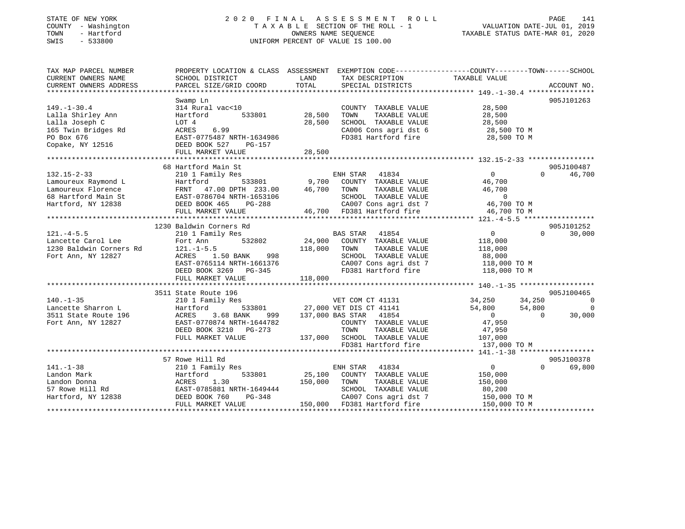## STATE OF NEW YORK 2 0 2 0 F I N A L A S S E S S M E N T R O L L PAGE 141 COUNTY - Washington T A X A B L E SECTION OF THE ROLL - 1 VALUATION DATE-JUL 01, 2019 TOWN - Hartford OWNERS NAME SEQUENCE TAXABLE STATUS DATE-MAR 01, 2020 SWIS - 533800 UNIFORM PERCENT OF VALUE IS 100.00

| TAX MAP PARCEL NUMBER                                                       |                                    |                                                                                                                                                                                                | PROPERTY LOCATION & CLASS ASSESSMENT EXEMPTION CODE----------------COUNTY-------TOWN------SCHOOL |
|-----------------------------------------------------------------------------|------------------------------------|------------------------------------------------------------------------------------------------------------------------------------------------------------------------------------------------|--------------------------------------------------------------------------------------------------|
| CURRENT OWNERS NAME                                                         | SCHOOL DISTRICT                    | LAND<br>TAX DESCRIPTION                                                                                                                                                                        | TAXABLE VALUE                                                                                    |
| CURRENT OWNERS ADDRESS                                                      | PARCEL SIZE/GRID COORD             | TOTAL<br>SPECIAL DISTRICTS                                                                                                                                                                     | ACCOUNT NO.                                                                                      |
|                                                                             |                                    |                                                                                                                                                                                                |                                                                                                  |
|                                                                             | Swamp Ln                           |                                                                                                                                                                                                | 905J101263                                                                                       |
| $149. - 1 - 30.4$                                                           | 314 Rural vac<10                   | COUNTY TAXABLE VALUE                                                                                                                                                                           | 28,500                                                                                           |
| Lalla Shirley Ann                                                           | Hartford                           | 533801 28,500<br>TAXABLE VALUE<br>TOWN                                                                                                                                                         | 28,500                                                                                           |
| Lalla Joseph C                                                              | LOT 4                              | 28,500<br>SCHOOL TAXABLE VALUE                                                                                                                                                                 |                                                                                                  |
| 165 Twin Bridges Rd                                                         | 6.99<br>ACRES                      | CA006 Cons agri dst 6                                                                                                                                                                          |                                                                                                  |
| PO Box 676                                                                  | EAST-0775487 NRTH-1634986          |                                                                                                                                                                                                | 38,500<br>28,500 TO M<br>בר הרה הר<br>FD381 Hartford fire 28,500 TO M                            |
| Copake, $\overline{N}$ 12516                                                | DEED BOOK 527<br>PG-157            |                                                                                                                                                                                                |                                                                                                  |
|                                                                             |                                    |                                                                                                                                                                                                |                                                                                                  |
|                                                                             |                                    |                                                                                                                                                                                                |                                                                                                  |
|                                                                             | 68 Hartford Main St                |                                                                                                                                                                                                | 905J100487                                                                                       |
| $132.15 - 2 - 33$                                                           | 210 1 Family Res                   | ENH STAR<br>41834                                                                                                                                                                              | $\overline{0}$<br>$\Omega$<br>46,700                                                             |
| Lamoureux Raymond L                                                         |                                    |                                                                                                                                                                                                | 46,700                                                                                           |
| Lamoureux Florence                                                          |                                    | TAXABLE VALUE                                                                                                                                                                                  | 46,700                                                                                           |
| 68 Hartford Main St                                                         |                                    | Hartford 533801 9,700 COUNTY TAXABLE VALUE<br>FRNT 47.00 DPTH 233.00 46,700 TOWN TAXABLE VALUE<br>EAST-0786704 NRTH-1653106 5CHOOL TAXABLE VALUE<br>DEED BOOK 465 PG-288 CA007 Cons agri dst 7 |                                                                                                  |
| Hartford, NY 12838                                                          |                                    |                                                                                                                                                                                                |                                                                                                  |
|                                                                             | FULL MARKET VALUE                  | 53106 5CHOOL TAXABLE VALUE 0<br>288 6A007 Cons agri dst 7 46,700 TO M<br>46,700 FD381 Hartford fire 46,700 TO M                                                                                |                                                                                                  |
|                                                                             |                                    |                                                                                                                                                                                                |                                                                                                  |
|                                                                             | 1230 Baldwin Corners Rd            |                                                                                                                                                                                                | 905J101252                                                                                       |
| $121. -4 - 5.5$                                                             | 210 1 Family Res                   |                                                                                                                                                                                                | $\overline{0}$<br>$\Omega$<br>30,000                                                             |
| Lancette Carol Lee                                                          | 532802<br>Fort Ann                 | BAS STAR 41854<br>24,900 COUNTY TAXABLE VALUE                                                                                                                                                  | 118,000                                                                                          |
| 1230 Baldwin Corners Rd 121.-1-5.5                                          |                                    | 118,000<br>TAXABLE VALUE<br>TOWN                                                                                                                                                               | 118,000                                                                                          |
| Fort Ann, NY 12827                                                          | ACRES 1.50 BANK 998                |                                                                                                                                                                                                |                                                                                                  |
|                                                                             | EAST-0765114 NRTH-1661376          |                                                                                                                                                                                                | SCHOOL TAXABLE VALUE 88,000<br>CA007 Cons agri dst 7 118,000 TO M                                |
|                                                                             |                                    |                                                                                                                                                                                                | FD381 Hartford fire 118,000 TO M                                                                 |
|                                                                             | DEED BOOK 3269 PG-345              | 118,000                                                                                                                                                                                        |                                                                                                  |
|                                                                             | FULL MARKET VALUE                  |                                                                                                                                                                                                |                                                                                                  |
|                                                                             | 3511 State Route 196               |                                                                                                                                                                                                | 905J100465                                                                                       |
| $140. - 1 - 35$                                                             | 210 1 Family Res                   |                                                                                                                                                                                                | VET COM CT 41131 34,250 34,250 34,250                                                            |
|                                                                             |                                    |                                                                                                                                                                                                | $\overline{0}$                                                                                   |
|                                                                             | Hartford<br>3.68 BANK              | 533801 27,000 VET DIS CT 41141 54,800 54,800 54,800<br>ANK 999 137,000 BAS STAR 41854 0 0                                                                                                      | 30,000                                                                                           |
| 190.-199<br>Jancette Sharron L<br>3511 State Route 196<br>Fort Ann NY 12827 | ACRES<br>EAST-0770874 NRTH-1644782 | COUNTY TAXABLE VALUE 47,950                                                                                                                                                                    |                                                                                                  |
| Fort Ann, NY 12827                                                          |                                    |                                                                                                                                                                                                |                                                                                                  |
|                                                                             | DEED BOOK 3210 PG-273              | TOWN TAXABLE VALUE<br>137,000 SCHOOL TAXABLE VALUE                                                                                                                                             | 47,950<br>107,000                                                                                |
|                                                                             | FULL MARKET VALUE                  |                                                                                                                                                                                                | FD381 Hartford fire 137,000 TO M                                                                 |
|                                                                             |                                    |                                                                                                                                                                                                |                                                                                                  |
|                                                                             |                                    |                                                                                                                                                                                                |                                                                                                  |
| $141. - 1 - 38$                                                             | 57 Rowe Hill Rd                    |                                                                                                                                                                                                | 905J100378<br>$\overline{0}$<br>$\Omega$                                                         |
|                                                                             | 210 1 Family Res                   | ENH STAR 41834                                                                                                                                                                                 | 69,800                                                                                           |
| Landon Mark                                                                 | Hartford                           | 533801 25,100 COUNTY TAXABLE VALUE                                                                                                                                                             | 150,000                                                                                          |
|                                                                             |                                    | 150,000<br>TOWN<br>TAXABLE VALUE                                                                                                                                                               | 150,000                                                                                          |
|                                                                             | EAST-0785881 NRTH-1649444          | SCHOOL TAXABLE VALUE                                                                                                                                                                           | 80,200                                                                                           |
|                                                                             | $PG-348$                           |                                                                                                                                                                                                | CA007 Cons agri dst 7 150,000 TO M                                                               |
|                                                                             | FULL MARKET VALUE                  | 150,000 FD381 Hartford fire                                                                                                                                                                    | 150,000 TO M                                                                                     |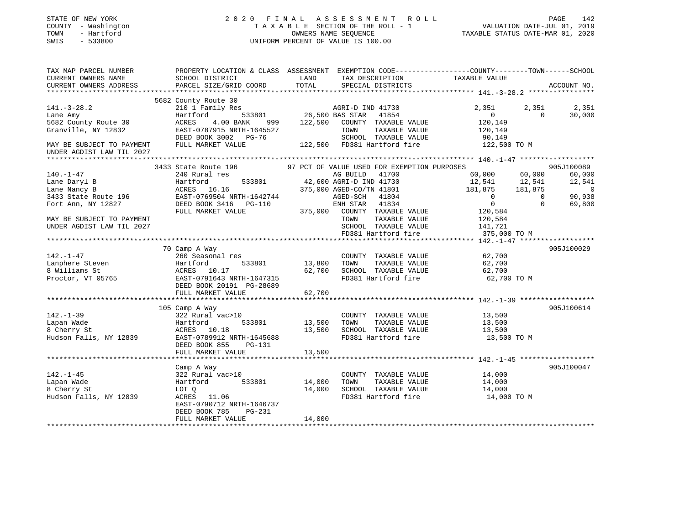| STATE OF NEW YORK<br>COUNTY - Washington<br>- Hartford<br>TOWN<br>SWIS<br>$-533800$ |                                                                                                                     |         | 2020 FINAL ASSESSMENT ROLL<br>TAXABLE SECTION OF THE ROLL - 1<br>OWNERS NAME SEQUENCE<br>UNIFORM PERCENT OF VALUE IS 100.00 | VALUATION DATE-JUL 01, 2019<br>TAXABLE STATUS DATE-MAR 01, 2020 |                            | PAGE<br>142     |
|-------------------------------------------------------------------------------------|---------------------------------------------------------------------------------------------------------------------|---------|-----------------------------------------------------------------------------------------------------------------------------|-----------------------------------------------------------------|----------------------------|-----------------|
| TAX MAP PARCEL NUMBER<br>CURRENT OWNERS NAME                                        | PROPERTY LOCATION & CLASS ASSESSMENT EXEMPTION CODE----------------COUNTY-------TOWN------SCHOOL<br>SCHOOL DISTRICT | LAND    | TAX DESCRIPTION                                                                                                             | TAXABLE VALUE                                                   |                            |                 |
| CURRENT OWNERS ADDRESS                                                              | PARCEL SIZE/GRID COORD                                                                                              | TOTAL   | SPECIAL DISTRICTS                                                                                                           |                                                                 |                            | ACCOUNT NO.     |
| **********************                                                              |                                                                                                                     |         |                                                                                                                             |                                                                 |                            |                 |
|                                                                                     | 5682 County Route 30                                                                                                |         |                                                                                                                             |                                                                 |                            |                 |
| $141. - 3 - 28.2$<br>Lane Amy                                                       | 210 1 Family Res<br>533801<br>Hartford                                                                              |         | AGRI-D IND 41730<br>26,500 BAS STAR<br>41854                                                                                | 2,351<br>$\Omega$                                               | 2,351<br>$\Omega$          | 2,351<br>30,000 |
| 5682 County Route 30                                                                | ACRES<br>4.00 BANK 999                                                                                              | 122,500 | COUNTY TAXABLE VALUE                                                                                                        | 120,149                                                         |                            |                 |
| Granville, NY 12832                                                                 | EAST-0787915 NRTH-1645527                                                                                           |         | TAXABLE VALUE<br>TOWN                                                                                                       | 120,149                                                         |                            |                 |
|                                                                                     | DEED BOOK 3002 PG-76                                                                                                |         | SCHOOL TAXABLE VALUE                                                                                                        | 90,149                                                          |                            |                 |
| MAY BE SUBJECT TO PAYMENT                                                           | FULL MARKET VALUE                                                                                                   |         | 122,500 FD381 Hartford fire                                                                                                 | 122,500 TO M                                                    |                            |                 |
| UNDER AGDIST LAW TIL 2027                                                           |                                                                                                                     |         |                                                                                                                             |                                                                 |                            |                 |
|                                                                                     | **************************                                                                                          |         |                                                                                                                             |                                                                 |                            |                 |
|                                                                                     | 3433 State Route 196                                                                                                |         | 97 PCT OF VALUE USED FOR EXEMPTION PURPOSES                                                                                 |                                                                 |                            | 905J100089      |
| $140. - 1 - 47$                                                                     | 240 Rural res                                                                                                       |         | AG BUILD<br>41700                                                                                                           | 60,000                                                          | 60,000                     | 60,000          |
| Lane Daryl B                                                                        | Hartford<br>533801                                                                                                  |         | 42,600 AGRI-D IND 41730                                                                                                     | 12,541                                                          | 12,541                     | 12,541          |
| Lane Nancy B                                                                        | ACRES 16.16                                                                                                         |         | 375,000 AGED-CO/TN 41801                                                                                                    | 181,875                                                         | 181,875                    | $\sim$ 0        |
| 3433 State Route 196                                                                | EAST-0769504 NRTH-1642744                                                                                           |         | AGED-SCH<br>41804                                                                                                           | $\overline{0}$<br>$\overline{0}$                                | $\overline{0}$<br>$\Omega$ | 90,938          |
| Fort Ann, NY 12827                                                                  | FULL MARKET VALUE                                                                                                   |         | ENH STAR 41834<br>375,000 COUNTY TAXABLE VALUE                                                                              | 120,584                                                         |                            | 69,800          |
| MAY BE SUBJECT TO PAYMENT                                                           |                                                                                                                     |         | TOWN<br>TAXABLE VALUE                                                                                                       | 120,584                                                         |                            |                 |
| UNDER AGDIST LAW TIL 2027                                                           |                                                                                                                     |         | SCHOOL TAXABLE VALUE                                                                                                        | 141,721                                                         |                            |                 |
|                                                                                     |                                                                                                                     |         | FD381 Hartford fire                                                                                                         | 375,000 TO M                                                    |                            |                 |
|                                                                                     |                                                                                                                     |         |                                                                                                                             | ********* 142.-1-47 ******                                      |                            |                 |
|                                                                                     | 70 Camp A Way                                                                                                       |         |                                                                                                                             |                                                                 |                            | 905J100029      |
| 142.-1-47                                                                           | 260 Seasonal res                                                                                                    |         | COUNTY TAXABLE VALUE                                                                                                        | 62,700                                                          |                            |                 |
| Lanphere Steven                                                                     | Hartford<br>533801                                                                                                  | 13,800  | TOWN<br>TAXABLE VALUE                                                                                                       | 62,700                                                          |                            |                 |
| 8 Williams St                                                                       | ACRES 10.17                                                                                                         | 62,700  | SCHOOL TAXABLE VALUE                                                                                                        | 62,700                                                          |                            |                 |
| Proctor, VT 05765                                                                   | EAST-0791643 NRTH-1647315<br>DEED BOOK 20191 PG-28689                                                               |         | FD381 Hartford fire                                                                                                         | 62,700 TO M                                                     |                            |                 |
|                                                                                     | FULL MARKET VALUE                                                                                                   | 62,700  | ************************************ 142.-1-39 *******************                                                          |                                                                 |                            |                 |
|                                                                                     | 105 Camp A Way                                                                                                      |         |                                                                                                                             |                                                                 |                            | 905J100614      |
| $142. - 1 - 39$                                                                     | 322 Rural vac>10                                                                                                    |         | COUNTY TAXABLE VALUE                                                                                                        | 13,500                                                          |                            |                 |
| Lapan Wade                                                                          | 533801<br>Hartford                                                                                                  | 13,500  | TOWN<br>TAXABLE VALUE                                                                                                       | 13,500                                                          |                            |                 |
| 8 Cherry St                                                                         | ACRES 10.18                                                                                                         | 13,500  | SCHOOL TAXABLE VALUE                                                                                                        | 13,500                                                          |                            |                 |
| Hudson Falls, NY 12839                                                              | EAST-0789912 NRTH-1645688                                                                                           |         | FD381 Hartford fire                                                                                                         | 13,500 TO M                                                     |                            |                 |
|                                                                                     | DEED BOOK 855<br>PG-131                                                                                             |         |                                                                                                                             |                                                                 |                            |                 |
|                                                                                     | FULL MARKET VALUE                                                                                                   | 13,500  |                                                                                                                             |                                                                 |                            |                 |
|                                                                                     |                                                                                                                     |         |                                                                                                                             |                                                                 |                            |                 |
|                                                                                     | Camp A Way                                                                                                          |         |                                                                                                                             |                                                                 |                            | 905J100047      |
| $142. - 1 - 45$                                                                     | 322 Rural vac>10                                                                                                    |         | COUNTY TAXABLE VALUE                                                                                                        | 14,000                                                          |                            |                 |
| Lapan Wade                                                                          | Hartford<br>533801                                                                                                  | 14,000  | TOWN<br>TAXABLE VALUE                                                                                                       | 14,000                                                          |                            |                 |
| 8 Cherry St                                                                         | LOT Q<br>ACRES 11.06                                                                                                | 14,000  | SCHOOL TAXABLE VALUE<br>FD381 Hartford fire                                                                                 | 14,000                                                          |                            |                 |
| Hudson Falls, NY 12839                                                              | EAST-0790712 NRTH-1646737                                                                                           |         |                                                                                                                             | 14,000 TO M                                                     |                            |                 |
|                                                                                     | DEED BOOK 785<br>PG-231                                                                                             |         |                                                                                                                             |                                                                 |                            |                 |
|                                                                                     | FULL MARKET VALUE                                                                                                   | 14,000  |                                                                                                                             |                                                                 |                            |                 |
| *********************                                                               |                                                                                                                     |         |                                                                                                                             |                                                                 |                            |                 |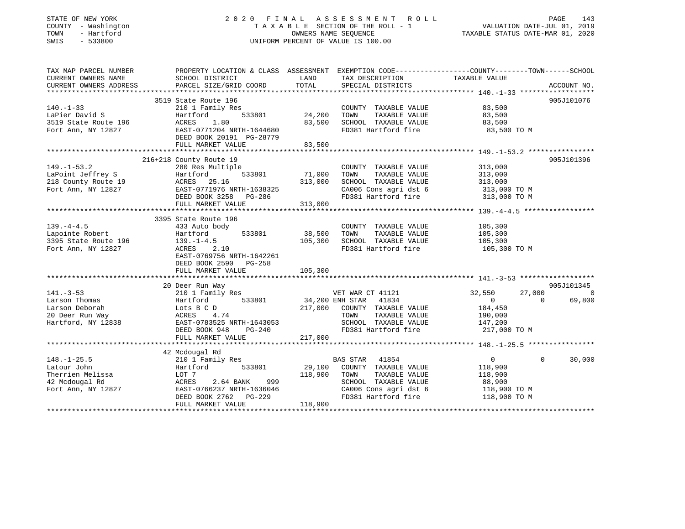## STATE OF NEW YORK 2 0 2 0 F I N A L A S S E S S M E N T R O L L PAGE 143 COUNTY - Washington T A X A B L E SECTION OF THE ROLL - 1 VALUATION DATE-JUL 01, 2019 TOWN - Hartford OWNERS NAME SEQUENCE TAXABLE STATUS DATE-MAR 01, 2020 SWIS - 533800 UNIFORM PERCENT OF VALUE IS 100.00UNIFORM PERCENT OF VALUE IS 100.00

| TAX MAP PARCEL NUMBER                                                                                                                                                                                                                                            | PROPERTY LOCATION & CLASS ASSESSMENT EXEMPTION CODE----------------COUNTY-------TOWN------SCHOOL |               |                                                                                            |                              |              |             |
|------------------------------------------------------------------------------------------------------------------------------------------------------------------------------------------------------------------------------------------------------------------|--------------------------------------------------------------------------------------------------|---------------|--------------------------------------------------------------------------------------------|------------------------------|--------------|-------------|
| CURRENT OWNERS NAME                                                                                                                                                                                                                                              | SCHOOL DISTRICT                                                                                  | LAND          | TAX DESCRIPTION                                                                            | TAXABLE VALUE                |              |             |
| CURRENT OWNERS ADDRESS                                                                                                                                                                                                                                           | PARCEL SIZE/GRID COORD                                                                           | TOTAL         | SPECIAL DISTRICTS                                                                          |                              |              | ACCOUNT NO. |
|                                                                                                                                                                                                                                                                  |                                                                                                  |               |                                                                                            |                              |              |             |
|                                                                                                                                                                                                                                                                  | 3519 State Route 196                                                                             |               |                                                                                            |                              |              | 905J101076  |
| $140. - 1 - 33$                                                                                                                                                                                                                                                  | 210 1 Family Res                                                                                 |               | COUNTY TAXABLE VALUE 83,500                                                                |                              |              |             |
| LaPier David S                                                                                                                                                                                                                                                   | Hartford                                                                                         | 533801 24,200 | TOWN<br>TAXABLE VALUE                                                                      | 83,500                       |              |             |
|                                                                                                                                                                                                                                                                  |                                                                                                  | 83,500        | SCHOOL TAXABLE VALUE                                                                       | 83,500                       |              |             |
| 3519 State Route 196<br>Tort Ann, NY 12827<br>EAST-0771204 NRTH-1644680<br>EAST-0771204 NRTH-1644680                                                                                                                                                             |                                                                                                  |               | FD381 Hartford fire                                                                        | 83,500 TO M                  |              |             |
|                                                                                                                                                                                                                                                                  | DEED BOOK 20191 PG-28779                                                                         |               |                                                                                            |                              |              |             |
|                                                                                                                                                                                                                                                                  | FULL MARKET VALUE                                                                                | 83,500        |                                                                                            |                              |              |             |
|                                                                                                                                                                                                                                                                  |                                                                                                  |               |                                                                                            |                              |              |             |
|                                                                                                                                                                                                                                                                  | 216+218 County Route 19                                                                          |               |                                                                                            |                              |              | 905J101396  |
|                                                                                                                                                                                                                                                                  |                                                                                                  |               | COUNTY TAXABLE VALUE                                                                       | 313,000                      |              |             |
|                                                                                                                                                                                                                                                                  |                                                                                                  |               | TAXABLE VALUE<br>TOWN                                                                      | 313,000                      |              |             |
|                                                                                                                                                                                                                                                                  |                                                                                                  |               | SCHOOL TAXABLE VALUE<br>SCHOOL TAXABLE VALUE 313,000<br>CA006 Cons agri dst 6 313,000 TO M | 313,000                      |              |             |
|                                                                                                                                                                                                                                                                  |                                                                                                  |               |                                                                                            |                              |              |             |
|                                                                                                                                                                                                                                                                  |                                                                                                  |               | FD381 Hartford fire 313,000 TO M                                                           |                              |              |             |
| 149.-1-53.2<br>LaPoint Jeffrey S<br>218 County Route 19<br>Fort Ann, NY 12827<br>EAST-0771976 NRTH-1638325<br>DEED BOOK 3258<br>PG-286<br>WARKET VALUE<br>CRES 25.16<br>213,000<br>213,000<br>213,000<br>213,000<br>213,000<br>213,000<br>213,000<br>213,000<br> |                                                                                                  |               |                                                                                            |                              |              |             |
|                                                                                                                                                                                                                                                                  |                                                                                                  |               |                                                                                            |                              |              |             |
|                                                                                                                                                                                                                                                                  | 3395 State Route 196                                                                             |               |                                                                                            |                              |              |             |
| $139. -4 - 4.5$                                                                                                                                                                                                                                                  | 433 Auto body                                                                                    |               | COUNTY TAXABLE VALUE                                                                       | 105,300                      |              |             |
| Lapointe Robert                                                                                                                                                                                                                                                  | Hartford 533801 38,500                                                                           |               | TOWN<br>TAXABLE VALUE                                                                      | 105,300                      |              |             |
| 3395 State Route 196                                                                                                                                                                                                                                             | $139. - 1 - 4.5$                                                                                 | 105,300       | SCHOOL TAXABLE VALUE                                                                       |                              |              |             |
| Fort Ann, NY 12827                                                                                                                                                                                                                                               | 2.10<br>ACRES                                                                                    |               | FD381 Hartford fire                                                                        | 105,300<br>105,300 TO M      |              |             |
|                                                                                                                                                                                                                                                                  | EAST-0769756 NRTH-1642261                                                                        |               |                                                                                            |                              |              |             |
|                                                                                                                                                                                                                                                                  | DEED BOOK 2590 PG-258                                                                            |               |                                                                                            |                              |              |             |
|                                                                                                                                                                                                                                                                  | FULL MARKET VALUE                                                                                | 105,300       |                                                                                            |                              |              |             |
|                                                                                                                                                                                                                                                                  |                                                                                                  |               |                                                                                            |                              |              |             |
| 141.-3-53 20 Deer Run Way<br>141.-3-53 210 1 Family Res<br>141.-3-53 210 1 Family Res<br>141.00 Deer Run Way<br>184,450 20 Deer Run Way<br>20 Deer Run Way<br>20 Deer Run Way<br>20 Deer Run Way<br>20 Deer Run Way<br>20 Deer Run Way<br>20 Deer                |                                                                                                  |               |                                                                                            | 905J101345                   |              |             |
|                                                                                                                                                                                                                                                                  |                                                                                                  |               |                                                                                            |                              | 27,000       | $\bigcap$   |
|                                                                                                                                                                                                                                                                  |                                                                                                  |               |                                                                                            |                              | $\Omega$     | 69,800      |
|                                                                                                                                                                                                                                                                  |                                                                                                  |               |                                                                                            |                              |              |             |
|                                                                                                                                                                                                                                                                  |                                                                                                  |               |                                                                                            |                              |              |             |
|                                                                                                                                                                                                                                                                  |                                                                                                  |               |                                                                                            |                              |              |             |
|                                                                                                                                                                                                                                                                  | $PG-240$<br>DEED BOOK 948                                                                        |               | FD381 Hartford fire 217,000 TO M                                                           |                              |              |             |
|                                                                                                                                                                                                                                                                  | FULL MARKET VALUE                                                                                | 217,000       |                                                                                            |                              |              |             |
|                                                                                                                                                                                                                                                                  |                                                                                                  |               |                                                                                            |                              |              |             |
|                                                                                                                                                                                                                                                                  | 42 Mcdougal Rd                                                                                   |               |                                                                                            |                              |              |             |
| $148. - 1 - 25.5$                                                                                                                                                                                                                                                | 210 1 Family Res                                                                                 |               | BAS STAR 41854                                                                             | $\overline{0}$               | $\mathbf{0}$ | 30,000      |
| Latour John                                                                                                                                                                                                                                                      | Hartford 533801 29,100 COUNTY TAXABLE VALUE                                                      |               |                                                                                            | 118,900                      |              |             |
| Iatour John<br>Therrien Melissa<br>Coral Rd                                                                                                                                                                                                                      | LOT 7                                                                                            | 118,900       | TOWN<br>TAXABLE VALUE                                                                      | 118,900                      |              |             |
|                                                                                                                                                                                                                                                                  | ACRES<br>2.64 BANK                                                                               | 999           | SCHOOL TAXABLE VALUE                                                                       | 88,900                       |              |             |
| Fort Ann, NY 12827                                                                                                                                                                                                                                               | EAST-0766237 NRTH-1636046                                                                        |               |                                                                                            |                              |              |             |
|                                                                                                                                                                                                                                                                  | SAND VIOUS / NRTH-1636046<br>DEED BOOK 2762 PG-229                                               |               | CA006 Cons agri dst 6<br>FD381 Hartford fire                                               | 118,900 TO M<br>118,900 TO M |              |             |
|                                                                                                                                                                                                                                                                  | FULL MARKET VALUE                                                                                | 118,900       |                                                                                            |                              |              |             |
|                                                                                                                                                                                                                                                                  |                                                                                                  |               |                                                                                            |                              |              |             |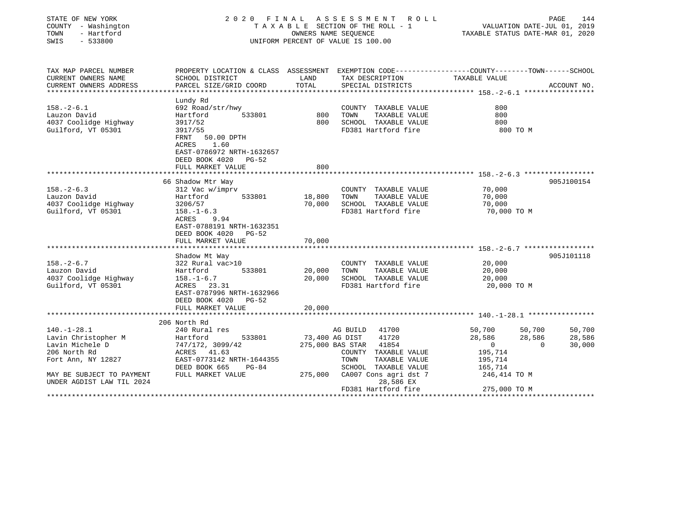| STATE OF NEW YORK<br>COUNTY - Washington<br>TOWN<br>- Hartford<br>SWIS<br>$-533800$ | 2020 FINAL ASSESSMENT ROLL<br>TAXABLE SECTION OF THE ROLL - 1<br>OWNERS NAME SEQUENCE<br>UNIFORM PERCENT OF VALUE IS 100.00 |                |                                                                   | PAGE<br>144<br>VALUATION DATE-JUL 01, 2019<br>TAXABLE STATUS DATE-MAR 01, 2020 |                    |  |
|-------------------------------------------------------------------------------------|-----------------------------------------------------------------------------------------------------------------------------|----------------|-------------------------------------------------------------------|--------------------------------------------------------------------------------|--------------------|--|
| TAX MAP PARCEL NUMBER<br>CURRENT OWNERS NAME                                        | PROPERTY LOCATION & CLASS ASSESSMENT EXEMPTION CODE----------------COUNTY-------TOWN------SCHOOL<br>SCHOOL DISTRICT         | LAND           | TAX DESCRIPTION                                                   | TAXABLE VALUE                                                                  |                    |  |
| CURRENT OWNERS ADDRESS                                                              | PARCEL SIZE/GRID COORD                                                                                                      | TOTAL          | SPECIAL DISTRICTS                                                 |                                                                                | ACCOUNT NO.        |  |
|                                                                                     |                                                                                                                             |                |                                                                   |                                                                                |                    |  |
|                                                                                     | Lundy Rd                                                                                                                    |                |                                                                   |                                                                                |                    |  |
| $158. - 2 - 6.1$                                                                    | 692 Road/str/hwy                                                                                                            |                | COUNTY TAXABLE VALUE                                              | 800                                                                            |                    |  |
| Lauzon David                                                                        | 533801<br>Hartford                                                                                                          | 800            | TOWN<br>TAXABLE VALUE                                             | 800                                                                            |                    |  |
| 4037 Coolidge Highway                                                               | 3917/52                                                                                                                     | 800            | SCHOOL TAXABLE VALUE                                              | 800                                                                            |                    |  |
| Guilford, VT 05301                                                                  | 3917/55<br>FRNT<br>50.00 DPTH<br>ACRES<br>1.60<br>EAST-0786972 NRTH-1632657<br>DEED BOOK 4020<br>PG-52                      |                | FD381 Hartford fire                                               | 800 TO M                                                                       |                    |  |
|                                                                                     | FULL MARKET VALUE                                                                                                           | 800            |                                                                   |                                                                                |                    |  |
|                                                                                     | *******************                                                                                                         | ***********    | ************************************ 158.-2-6.3 ***************** |                                                                                |                    |  |
|                                                                                     | 66 Shadow Mtr Way                                                                                                           |                |                                                                   |                                                                                | 905J100154         |  |
| $158. - 2 - 6.3$                                                                    | 312 Vac w/imprv                                                                                                             |                | COUNTY TAXABLE VALUE                                              | 70,000                                                                         |                    |  |
| Lauzon David                                                                        | Hartford<br>533801                                                                                                          | 18,800         | TOWN<br>TAXABLE VALUE                                             | 70,000                                                                         |                    |  |
| 4037 Coolidge Highway                                                               | 3206/57                                                                                                                     | 70,000         | SCHOOL TAXABLE VALUE                                              | 70,000                                                                         |                    |  |
| Guilford, VT 05301                                                                  | $158. - 1 - 6.3$<br>9.94<br>ACRES<br>EAST-0788191 NRTH-1632351<br>DEED BOOK 4020 PG-52<br>FULL MARKET VALUE                 | 70,000         | FD381 Hartford fire                                               | 70,000 TO M                                                                    |                    |  |
|                                                                                     |                                                                                                                             |                |                                                                   |                                                                                |                    |  |
|                                                                                     | Shadow Mt Way                                                                                                               |                |                                                                   |                                                                                | 905J101118         |  |
| $158. - 2 - 6.7$                                                                    | 322 Rural vac>10                                                                                                            |                | COUNTY TAXABLE VALUE                                              | 20,000                                                                         |                    |  |
| Lauzon David                                                                        | 533801<br>Hartford                                                                                                          | 20,000         | TAXABLE VALUE<br>TOWN                                             | 20,000                                                                         |                    |  |
| 4037 Coolidge Highway                                                               | $158. - 1 - 6.7$                                                                                                            | 20,000         | SCHOOL TAXABLE VALUE                                              | 20,000                                                                         |                    |  |
| Guilford, VT 05301                                                                  | ACRES 23.31<br>EAST-0787996 NRTH-1632966<br>DEED BOOK 4020<br>$PG-52$<br>FULL MARKET VALUE                                  | 20,000         | FD381 Hartford fire                                               | 20,000 TO M                                                                    |                    |  |
|                                                                                     |                                                                                                                             |                |                                                                   |                                                                                |                    |  |
|                                                                                     | 206 North Rd                                                                                                                |                |                                                                   |                                                                                |                    |  |
| $140. - 1 - 28.1$                                                                   | 240 Rural res                                                                                                               |                | AG BUILD 41700                                                    | 50,700                                                                         | 50,700<br>50,700   |  |
| Lavin Christopher M                                                                 | Hartford<br>533801                                                                                                          | 73,400 AG DIST | 41720                                                             | 28,586                                                                         | 28,586<br>28,586   |  |
| Lavin Michele D                                                                     | 747/172, 3099/42                                                                                                            |                | 275,000 BAS STAR 41854                                            | 0                                                                              | $\Omega$<br>30,000 |  |
| 206 North Rd                                                                        | ACRES 41.63                                                                                                                 |                | COUNTY TAXABLE VALUE                                              | 195,714                                                                        |                    |  |
| Fort Ann, NY 12827                                                                  | EAST-0773142 NRTH-1644355                                                                                                   |                | TAXABLE VALUE<br>TOWN                                             | 195,714                                                                        |                    |  |
|                                                                                     | DEED BOOK 665<br>$PG-84$                                                                                                    |                | SCHOOL TAXABLE VALUE                                              | 165,714                                                                        |                    |  |
| MAY BE SUBJECT TO PAYMENT<br>UNDER AGDIST LAW TIL 2024                              | FULL MARKET VALUE                                                                                                           | 275,000        | CA007 Cons agri dst 7<br>28,586 EX                                | 246,414 TO M                                                                   |                    |  |
|                                                                                     |                                                                                                                             |                | FD381 Hartford fire                                               | 275,000 TO M                                                                   |                    |  |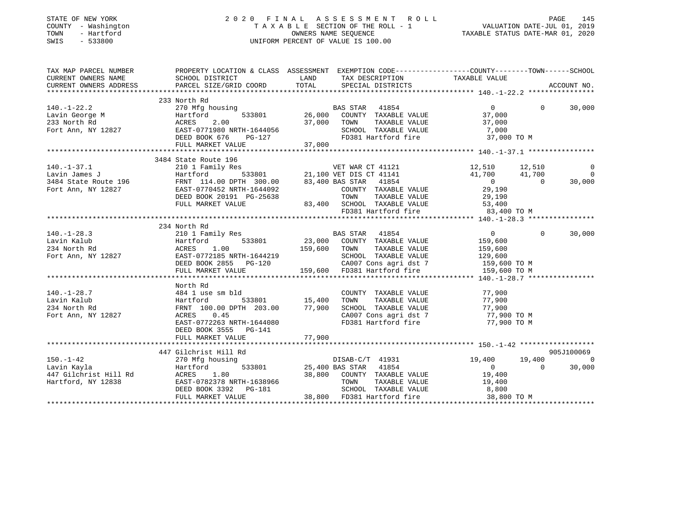| STATE OF NEW YORK |        |              |
|-------------------|--------|--------------|
| COUNTY            |        | - Washington |
| TOWN              |        | - Hartford   |
| CM T C            | $\sim$ | ECCOON       |

### STATE OF NEW YORK 2 0 2 0 F I N A L A S S E S S M E N T R O L L PAGE 145 COUNTY - Washington T A X A B L E SECTION OF THE ROLL - 1 VALUATION DATE-JUL 01, 2019 TOWN A B L E SECTION OF THE ROLL - 1 WALLOW CALL COMPUTE OWNERS NAME SEQUENCE TAXABLE STATUS DATE-MAR 01, 2020 SWIS - 533800 UNIFORM PERCENT OF VALUE IS 100.00

| TAX MAP PARCEL NUMBER                                                                                                                                                                                                                            | PROPERTY LOCATION & CLASS ASSESSMENT EXEMPTION CODE----------------COUNTY-------TOWN------SCHOOL<br>PROPERTY LOCATIO<br>SCHOOL DISTRICT |        |                                                                  |               |          |                          |
|--------------------------------------------------------------------------------------------------------------------------------------------------------------------------------------------------------------------------------------------------|-----------------------------------------------------------------------------------------------------------------------------------------|--------|------------------------------------------------------------------|---------------|----------|--------------------------|
|                                                                                                                                                                                                                                                  |                                                                                                                                         |        |                                                                  |               |          |                          |
|                                                                                                                                                                                                                                                  |                                                                                                                                         |        |                                                                  |               |          |                          |
| 140.-1-22.2<br>Lavin George M (1854 - 1992)<br>233 North Rd (1862)<br>233 North Rd (1862)<br>233 North Rd (1862)<br>233 North Rd (1862)<br>233 North Rd (1862)<br>26,000 COUNTY TAXABLE VALUE 37,000<br>26,000 COUNTY TAXABLE VALUE 37,000<br>26 | 233 North Rd                                                                                                                            |        |                                                                  |               | $\Omega$ | 30,000                   |
|                                                                                                                                                                                                                                                  |                                                                                                                                         |        |                                                                  |               |          |                          |
|                                                                                                                                                                                                                                                  |                                                                                                                                         |        |                                                                  |               |          |                          |
|                                                                                                                                                                                                                                                  |                                                                                                                                         |        |                                                                  |               |          |                          |
|                                                                                                                                                                                                                                                  |                                                                                                                                         |        |                                                                  | 37,000 TO M   |          |                          |
|                                                                                                                                                                                                                                                  | FULL MARKET VALUE                                                                                                                       | 37,000 |                                                                  |               |          |                          |
|                                                                                                                                                                                                                                                  |                                                                                                                                         |        |                                                                  |               |          |                          |
|                                                                                                                                                                                                                                                  | 3484 State Route 196                                                                                                                    |        |                                                                  |               |          |                          |
| 140.-1-37.1 210 1 Family Res<br>Lavin James J 21,510 21,100 VET WAR CT 41121 12,510 12,510 12,510<br>3484 State Route 196 FRNT 114.00 DPTH 300.00 83,400 BAS STAR 41854 0 0 0<br>Fort Ann, NY 12827 EAST-0770452 NRTH-1644092 COUNTY             |                                                                                                                                         |        |                                                                  |               |          | $\overline{\phantom{0}}$ |
|                                                                                                                                                                                                                                                  |                                                                                                                                         |        |                                                                  |               |          | $\overline{0}$           |
|                                                                                                                                                                                                                                                  |                                                                                                                                         |        |                                                                  |               |          | 30,000                   |
|                                                                                                                                                                                                                                                  |                                                                                                                                         |        |                                                                  |               |          |                          |
|                                                                                                                                                                                                                                                  | DEED BOOK 20191 PG-25638                                                                                                                |        | TOWN<br>TAXABLE VALUE                                            | 29,190        |          |                          |
|                                                                                                                                                                                                                                                  | FULL MARKET VALUE                                                                                                                       |        | $83,400$ SCHOOL TAXABLE VALUE 53,400                             |               |          |                          |
|                                                                                                                                                                                                                                                  |                                                                                                                                         |        | FD381 Hartford fire 33,400 TO M                                  |               |          |                          |
|                                                                                                                                                                                                                                                  |                                                                                                                                         |        |                                                                  |               |          |                          |
|                                                                                                                                                                                                                                                  | 234 North Rd                                                                                                                            |        |                                                                  |               |          |                          |
|                                                                                                                                                                                                                                                  |                                                                                                                                         |        |                                                                  |               | $\Omega$ | 30,000                   |
|                                                                                                                                                                                                                                                  |                                                                                                                                         |        |                                                                  |               |          |                          |
|                                                                                                                                                                                                                                                  |                                                                                                                                         |        |                                                                  |               |          |                          |
|                                                                                                                                                                                                                                                  |                                                                                                                                         |        |                                                                  |               |          |                          |
|                                                                                                                                                                                                                                                  |                                                                                                                                         |        |                                                                  |               |          |                          |
|                                                                                                                                                                                                                                                  |                                                                                                                                         |        |                                                                  |               |          |                          |
|                                                                                                                                                                                                                                                  |                                                                                                                                         |        |                                                                  |               |          |                          |
|                                                                                                                                                                                                                                                  | North Rd                                                                                                                                |        |                                                                  |               |          |                          |
| $140.-1-28.7$                                                                                                                                                                                                                                    |                                                                                                                                         |        | COUNTY TAXABLE VALUE 77,900                                      |               |          |                          |
| Lavin Kalub                                                                                                                                                                                                                                      | 484 1 use sm bld<br>Hartford 5<br>FRNT 100.00 DPTH<br>Hartford 533801 15,400                                                            |        | TOWN<br>TAXABLE VALUE                                            | 77,900        |          |                          |
| 234 North Rd                                                                                                                                                                                                                                     | FRNT 100.00 DPTH 203.00 77,900                                                                                                          |        |                                                                  |               |          |                          |
| Fort Ann, NY 12827                                                                                                                                                                                                                               | ACRES<br>0.45                                                                                                                           |        | SCHOOL TAXABLE VALUE 77,900<br>CA007 Cons agri dst 7 77,900 TO M |               |          |                          |
|                                                                                                                                                                                                                                                  | EAST-0772263 NRTH-1644080                                                                                                               |        | FD381 Hartford fire                                              | 77,900 TO M   |          |                          |
|                                                                                                                                                                                                                                                  | DEED BOOK 3555 PG-141                                                                                                                   |        |                                                                  |               |          |                          |
|                                                                                                                                                                                                                                                  | FULL MARKET VALUE                                                                                                                       | 77,900 |                                                                  |               |          |                          |
|                                                                                                                                                                                                                                                  |                                                                                                                                         |        |                                                                  |               |          |                          |
|                                                                                                                                                                                                                                                  | 447 Gilchrist Hill Rd                                                                                                                   |        |                                                                  |               |          | 905J100069               |
| 150.-1-42<br>Lavin Kavla                                                                                                                                                                                                                         | 270 Mfg housing                                                                                                                         |        | DISAB-C/T 41931<br>BAS STAR 41854                                | $19,400$<br>0 | 19,400   | $\overline{\phantom{0}}$ |
|                                                                                                                                                                                                                                                  | Hartford 533801 25,400 BAS STAR 41854                                                                                                   |        |                                                                  |               | $\Omega$ | 30,000                   |
|                                                                                                                                                                                                                                                  |                                                                                                                                         |        | 38,800 COUNTY TAXABLE VALUE 19,400                               |               |          |                          |
| Hartford, NY 12838                                                                                                                                                                                                                               | EAST-0782378 NRTH-1638966<br>LASI-U762378 NRTH-1638966<br>DEED BOOK 3392 PG-181                                                         |        | TOWN TAXABLE VALUE 19,400<br>SCHOOL TAXABLE VALUE 8,800          |               |          |                          |
|                                                                                                                                                                                                                                                  |                                                                                                                                         |        |                                                                  |               |          |                          |
|                                                                                                                                                                                                                                                  | FULL MARKET VALUE                                                                                                                       |        | 38,800 FD381 Hartford fire 38,800 TO M                           |               |          |                          |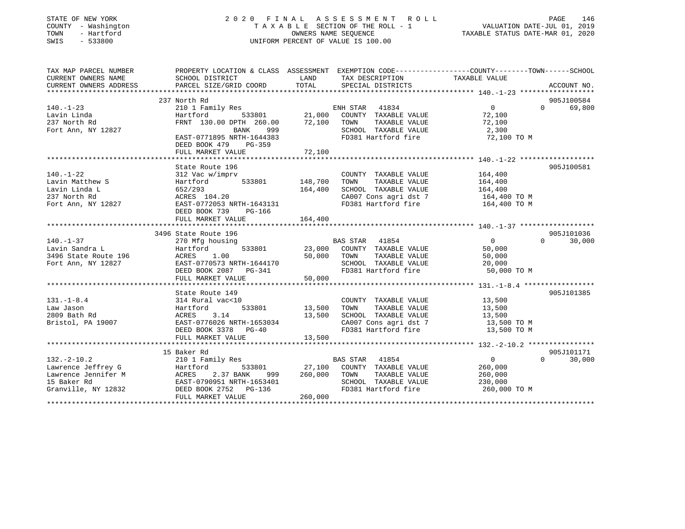### STATE OF NEW YORK 2 0 2 0 F I N A L A S S E S S M E N T R O L L PAGE 146 COUNTY - Washington T A X A B L E SECTION OF THE ROLL - 1 VALUATION DATE-JUL 01, 2019 TOWN - Hartford OWNERS NAME SEQUENCE TAXABLE STATUS DATE-MAR 01, 2020 SWIS - 533800 UNIFORM PERCENT OF VALUE IS 100.00

| TAX MAP PARCEL NUMBER                                                                                                                                                                               | PROPERTY LOCATION & CLASS ASSESSMENT EXEMPTION CODE---------------COUNTY-------TOWN-----SCHOOL |                  |                                                                    |                   |                    |
|-----------------------------------------------------------------------------------------------------------------------------------------------------------------------------------------------------|------------------------------------------------------------------------------------------------|------------------|--------------------------------------------------------------------|-------------------|--------------------|
| CURRENT OWNERS NAME                                                                                                                                                                                 | SCHOOL DISTRICT                                                                                | LAND             | TAX DESCRIPTION                                                    | TAXABLE VALUE     |                    |
| CURRENT OWNERS ADDRESS                                                                                                                                                                              | PARCEL SIZE/GRID COORD                                                                         | TOTAL            | SPECIAL DISTRICTS                                                  |                   | ACCOUNT NO.        |
|                                                                                                                                                                                                     |                                                                                                |                  |                                                                    |                   |                    |
|                                                                                                                                                                                                     | 237 North Rd                                                                                   |                  |                                                                    |                   | 905J100584         |
| $140. - 1 - 23$                                                                                                                                                                                     |                                                                                                |                  |                                                                    | $\overline{0}$    | 69,800<br>$\Omega$ |
| Lavin Linda                                                                                                                                                                                         |                                                                                                |                  |                                                                    | 72,100            |                    |
| 237 North Rd                                                                                                                                                                                        | FRNT 130.00 DPTH 260.00                                                                        | 72,100 TOWN      | TAXABLE VALUE                                                      | 72,100            |                    |
| Fort Ann, NY 12827                                                                                                                                                                                  |                                                                                                |                  |                                                                    | 2,300             |                    |
|                                                                                                                                                                                                     | BANK 999<br>EAST-0771895 NRTH-1644383                                                          |                  | SCHOOL TAXABLE VALUE<br>FD381 Hartford fire                        | $72,100$ TO M     |                    |
|                                                                                                                                                                                                     | DEED BOOK 479<br>PG-359                                                                        |                  |                                                                    |                   |                    |
|                                                                                                                                                                                                     |                                                                                                |                  |                                                                    |                   |                    |
|                                                                                                                                                                                                     |                                                                                                |                  |                                                                    |                   |                    |
|                                                                                                                                                                                                     | State Route 196                                                                                |                  |                                                                    |                   | 905J100581         |
| $140. - 1 - 22$                                                                                                                                                                                     | 312 Vac w/imprv                                                                                |                  | COUNTY TAXABLE VALUE                                               | 164,400           |                    |
| Lavin Matthew S                                                                                                                                                                                     | Hartford 533801 148,700                                                                        |                  | TAXABLE VALUE<br>TOWN                                              | 164,400           |                    |
| Lavin Linda L                                                                                                                                                                                       |                                                                                                | 164,400          | SCHOOL TAXABLE VALUE                                               |                   |                    |
| 237 North Rd                                                                                                                                                                                        | 052/293<br>ACRES 104.20                                                                        |                  | SCHOOL TAXABLE VALUE 164,400<br>CA007 Cons agri dst 7 164,400 TO M |                   |                    |
| Fort Ann, NY 12827 EAST-0772053 NRTH-1643131                                                                                                                                                        |                                                                                                |                  | FD381 Hartford fire 164,400 TO M                                   |                   |                    |
|                                                                                                                                                                                                     | DEED BOOK 739<br>PG-166                                                                        |                  |                                                                    |                   |                    |
|                                                                                                                                                                                                     | FULL MARKET VALUE                                                                              | 164,400          |                                                                    |                   |                    |
|                                                                                                                                                                                                     |                                                                                                |                  |                                                                    |                   |                    |
|                                                                                                                                                                                                     | 3496 State Route 196                                                                           |                  |                                                                    |                   | 905J101036         |
| $140. - 1 - 37$                                                                                                                                                                                     | 270 Mfg housing                                                                                |                  | <b>BAS STAR 41854</b>                                              | $\sim$ 0 $\sim$ 0 | $\Omega$<br>30,000 |
|                                                                                                                                                                                                     |                                                                                                |                  | 533801 23,000 COUNTY TAXABLE VALUE                                 | 50,000            |                    |
|                                                                                                                                                                                                     |                                                                                                |                  | TAXABLE VALUE                                                      | 50,000            |                    |
|                                                                                                                                                                                                     |                                                                                                |                  | SCHOOL TAXABLE VALUE                                               | 20,000            |                    |
|                                                                                                                                                                                                     |                                                                                                |                  | FD381 Hartford fire 50,000 TO M                                    |                   |                    |
| 140.-1-37<br>Lavin Sandra L<br>3496 State Route 196<br>Fort Ann, NY 12827<br>Fort Ann, NY 12827<br>Fort Ann, NY 12827<br>CEED BOOK 2087<br>PC-341<br>PCED BOOK 2087<br>PC-341<br>PC-341<br>PC-361 H |                                                                                                |                  |                                                                    |                   |                    |
|                                                                                                                                                                                                     |                                                                                                |                  |                                                                    |                   |                    |
|                                                                                                                                                                                                     | State Route 149                                                                                |                  |                                                                    |                   | 905J101385         |
| $131. - 1 - 8.4$                                                                                                                                                                                    | 314 Rural vac<10                                                                               |                  | COUNTY TAXABLE VALUE 13,500                                        |                   |                    |
| Law Jason                                                                                                                                                                                           | Hartford                                                                                       | 533801 13,500    | TAXABLE VALUE 13,500<br>TOWN                                       |                   |                    |
| 2809 Bath Rd                                                                                                                                                                                        | 3.14<br>ACRES                                                                                  | 13,500           |                                                                    |                   |                    |
| Bristol, PA 19007                                                                                                                                                                                   | EAST-0776026 NRTH-1653034                                                                      |                  | SCHOOL TAXABLE VALUE 13,500<br>CA007 Cons agri dst 7 13,500 TO M   |                   |                    |
|                                                                                                                                                                                                     | DEED BOOK 3378 PG-40                                                                           |                  | FD381 Hartford fire 13,500 TO M                                    |                   |                    |
|                                                                                                                                                                                                     | FULL MARKET VALUE                                                                              | 13,500           |                                                                    |                   |                    |
|                                                                                                                                                                                                     |                                                                                                |                  |                                                                    |                   |                    |
|                                                                                                                                                                                                     | 15 Baker Rd                                                                                    |                  |                                                                    |                   | 905J101171         |
| $132 - 2 - 10.2$                                                                                                                                                                                    | 210 1 Family Res                                                                               |                  | BAS STAR 41854                                                     | $\overline{0}$    | 30,000<br>$\Omega$ |
| Lawrence Jeffrey G and Hartford                                                                                                                                                                     |                                                                                                |                  | 533801 27,100 COUNTY TAXABLE VALUE                                 | 260,000           |                    |
|                                                                                                                                                                                                     |                                                                                                | 999 260,000 TOWN | TAXABLE VALUE                                                      | 260,000           |                    |
|                                                                                                                                                                                                     |                                                                                                |                  | SCHOOL TAXABLE VALUE                                               | 230,000           |                    |
| Lawrence Jennifer M<br>15 Baker Rd<br>15 Baker Rd<br>360,000 EAST-0790951 NRTH-1653401<br>Granville, NY 12832<br>260,000 DEED BOOK 2752 PG-136                                                      |                                                                                                |                  | FD381 Hartford fire                                                | 260,000 TO M      |                    |
|                                                                                                                                                                                                     | FULL MARKET VALUE                                                                              | 260,000          |                                                                    |                   |                    |
|                                                                                                                                                                                                     |                                                                                                |                  |                                                                    |                   |                    |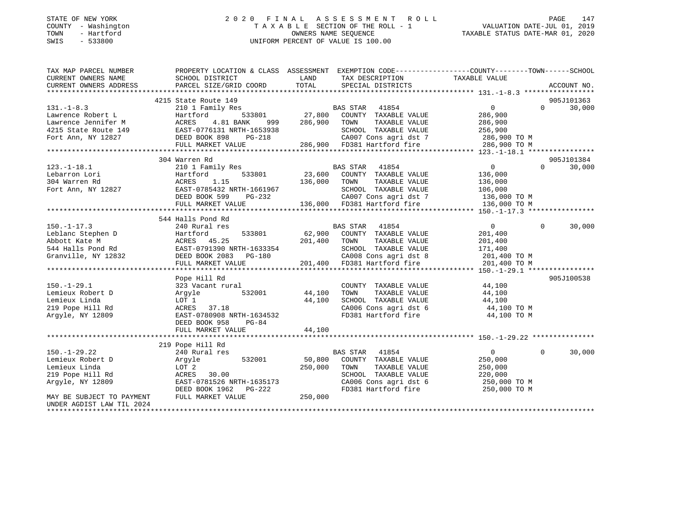### STATE OF NEW YORK 2 0 2 0 F I N A L A S S E S S M E N T R O L L PAGE 147 COUNTY - Washington T A X A B L E SECTION OF THE ROLL - 1 VALUATION DATE-JUL 01, 2019 TOWN - Hartford **Taxable STATUS DATE-MAR 01, 2020** OWNERS NAME SEQUENCE TAXABLE STATUS DATE-MAR 01, 2020 SWIS - 533800 UNIFORM PERCENT OF VALUE IS 100.00

| TAX MAP PARCEL NUMBER<br>CURRENT OWNERS NAME | PROPERTY LOCATION & CLASS ASSESSMENT EXEMPTION CODE---------------COUNTY-------TOWN-----SCHOOL<br>SCHOOL DISTRICT | LAND         | TAX DESCRIPTION                                                                                                                                    | TAXABLE VALUE                      |          |             |
|----------------------------------------------|-------------------------------------------------------------------------------------------------------------------|--------------|----------------------------------------------------------------------------------------------------------------------------------------------------|------------------------------------|----------|-------------|
| CURRENT OWNERS ADDRESS                       | PARCEL SIZE/GRID COORD                                                                                            | TOTAL        | SPECIAL DISTRICTS                                                                                                                                  |                                    |          | ACCOUNT NO. |
|                                              |                                                                                                                   |              |                                                                                                                                                    |                                    |          |             |
|                                              | 4215 State Route 149                                                                                              |              |                                                                                                                                                    |                                    |          | 905J101363  |
| $131. - 1 - 8.3$                             | 210 1 Family Res                                                                                                  |              | BAS STAR 41854                                                                                                                                     | 0                                  | $\Omega$ | 30,000      |
| Lawrence Robert L                            | 533801<br>Hartford                                                                                                | BA<br>27,800 | COUNTY TAXABLE VALUE                                                                                                                               | 286,900                            |          |             |
| Lawrence Jennifer M                          | ACRES<br>4.81 BANK<br>999                                                                                         | 286,900      | TOWN<br>TAXABLE VALUE                                                                                                                              | 286,900                            |          |             |
| 4215 State Route 149                         | EAST-0776131 NRTH-1653938                                                                                         |              | SCHOOL TAXABLE VALUE                                                                                                                               | 256,900                            |          |             |
| Fort Ann, NY 12827                           | DEED BOOK 898 PG-218                                                                                              |              |                                                                                                                                                    | CA007 Cons agri dst 7 286,900 TO M |          |             |
|                                              | FULL MARKET VALUE                                                                                                 |              | 286,900 FD381 Hartford fire                                                                                                                        | 286,900 TO M                       |          |             |
|                                              |                                                                                                                   |              |                                                                                                                                                    |                                    |          |             |
|                                              | 304 Warren Rd                                                                                                     |              |                                                                                                                                                    |                                    |          | 905J101384  |
| $123.-1-18.1$                                | 210 1 Family Res                                                                                                  |              | BAS STAR 41854                                                                                                                                     | $0 \qquad \qquad$                  | $\Omega$ | 30,000      |
| Lebarron Lori                                | 533801<br>Hartford                                                                                                | 23,600       | COUNTY TAXABLE VALUE                                                                                                                               | 136,000                            |          |             |
| 304 Warren Rd                                | ACRES<br>1.15                                                                                                     | 136,000      | TOWN<br>TAXABLE VALUE                                                                                                                              | 136,000                            |          |             |
| Fort Ann, NY 12827                           | EAST-0785432 NRTH-1661967                                                                                         |              | SCHOOL TAXABLE VALUE                                                                                                                               | 106,000                            |          |             |
|                                              | DEED BOOK 599<br>PG-232                                                                                           |              | CA007 Cons agri dst 7                                                                                                                              | 136,000 TO M                       |          |             |
|                                              | FULL MARKET VALUE                                                                                                 |              | 136,000 FD381 Hartford fire                                                                                                                        | 136,000 TO M                       |          |             |
|                                              |                                                                                                                   |              |                                                                                                                                                    |                                    |          |             |
|                                              | 544 Halls Pond Rd                                                                                                 |              |                                                                                                                                                    |                                    |          |             |
| $150. - 1 - 17.3$                            | 240 Rural res                                                                                                     |              | BAS STAR 41854                                                                                                                                     | $\overline{0}$                     | $\Omega$ | 30,000      |
| Leblanc Stephen D                            | 533801<br>Hartford                                                                                                | 62,900       | COUNTY TAXABLE VALUE                                                                                                                               | 201,400                            |          |             |
| Abbott Kate M                                | ACRES 45.25                                                                                                       | 201,400      | TOWN<br>TAXABLE VALUE                                                                                                                              | 201,400                            |          |             |
| $544$ Halls Pond Rd                          | EAST-0791390 NRTH-1633354                                                                                         |              |                                                                                                                                                    | 171,400                            |          |             |
| Granville, NY 12832                          | DEED BOOK 2083 PG-180                                                                                             |              |                                                                                                                                                    |                                    |          |             |
|                                              | FULL MARKET VALUE                                                                                                 |              |                                                                                                                                                    |                                    |          |             |
|                                              |                                                                                                                   |              | SCHOOL TAXABLE VALUE<br>CA008 Cons agri dst 8 201,400 TO M<br>201,400 FD381 Hartford fire 201,400 TO M<br>201,400 CD381 Hartford fire 201,400 TO M |                                    |          |             |
|                                              | Pope Hill Rd                                                                                                      |              |                                                                                                                                                    |                                    |          | 905J100538  |
| $150. - 1 - 29.1$                            | 323 Vacant rural                                                                                                  |              | COUNTY TAXABLE VALUE                                                                                                                               | 44,100                             |          |             |
| Lemieux Robert D                             | Argyle<br>532001                                                                                                  | 44,100       | TAXABLE VALUE<br>TOWN                                                                                                                              | 44,100                             |          |             |
| Lemieux Linda                                | LOT 1                                                                                                             | 44,100       | SCHOOL TAXABLE VALUE                                                                                                                               | 44,100                             |          |             |
| 219 Pope Hill Rd                             | ACRES 37.18                                                                                                       |              |                                                                                                                                                    | CA006 Cons agri dst 6 44,100 TO M  |          |             |
| Argyle, NY 12809                             | EAST-0780908 NRTH-1634532                                                                                         |              | FD381 Hartford fire                                                                                                                                | 44,100 TO M                        |          |             |
|                                              | DEED BOOK 958<br>$PG-84$                                                                                          |              |                                                                                                                                                    |                                    |          |             |
|                                              | FULL MARKET VALUE                                                                                                 | 44,100       |                                                                                                                                                    |                                    |          |             |
|                                              |                                                                                                                   |              |                                                                                                                                                    |                                    |          |             |
|                                              | 219 Pope Hill Rd                                                                                                  |              |                                                                                                                                                    |                                    |          |             |
| $150. - 1 - 29.22$                           | 240 Rural res                                                                                                     |              | BAS STAR 41854                                                                                                                                     | $\overline{0}$                     | $\Omega$ | 30,000      |
| Lemieux Robert D                             | 532001<br>Argyle                                                                                                  | 50,800       | COUNTY TAXABLE VALUE                                                                                                                               | 250,000                            |          |             |
| Lemieux Linda                                | LOT 2                                                                                                             | 250,000      | TOWN<br>TAXABLE VALUE                                                                                                                              | 250,000                            |          |             |
| 219 Pope Hill Rd                             | 30.00<br>ACRES                                                                                                    |              | SCHOOL TAXABLE VALUE                                                                                                                               | 220,000                            |          |             |
| Argyle, NY 12809                             | EAST-0781526 NRTH-1635173                                                                                         |              | CA006 Cons agri dst 6                                                                                                                              | 250,000 TO M                       |          |             |
|                                              | DEED BOOK 1962<br>PG-222                                                                                          |              | FD381 Hartford fire                                                                                                                                | 250,000 TO M                       |          |             |
| MAY BE SUBJECT TO PAYMENT                    | FULL MARKET VALUE                                                                                                 | 250,000      |                                                                                                                                                    |                                    |          |             |
| UNDER AGDIST LAW TIL 2024                    |                                                                                                                   |              |                                                                                                                                                    |                                    |          |             |
|                                              |                                                                                                                   |              |                                                                                                                                                    |                                    |          |             |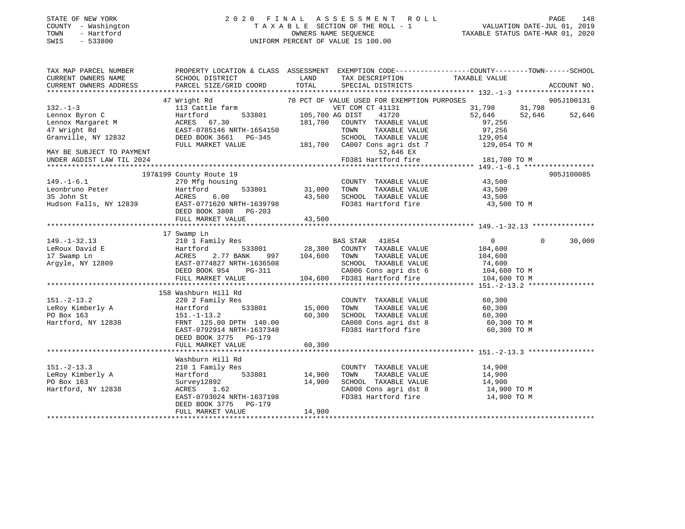### STATE OF NEW YORK 2 0 2 0 F I N A L A S S E S S M E N T R O L L PAGE 148 COUNTY - Washington T A X A B L E SECTION OF THE ROLL - 1 VALUATION DATE-JUL 01, 2019 TOWN - Hartford OWNERS NAME SEQUENCE TAXABLE STATUS DATE-MAR 01, 2020 SWIS - 533800 UNIFORM PERCENT OF VALUE IS 100.00

| TAX MAP PARCEL NUMBER                            | PROPERTY LOCATION & CLASS ASSESSMENT EXEMPTION CODE----------------COUNTY-------TOWN------SCHOOL |                 |                                                               |                                                    |                |
|--------------------------------------------------|--------------------------------------------------------------------------------------------------|-----------------|---------------------------------------------------------------|----------------------------------------------------|----------------|
| CURRENT OWNERS NAME<br>CURRENT OWNERS ADDRESS    | SCHOOL DISTRICT<br>PARCEL SIZE/GRID COORD                                                        | LAND<br>TOTAL   | TAX DESCRIPTION<br>SPECIAL DISTRICTS                          | TAXABLE VALUE                                      | ACCOUNT NO.    |
|                                                  |                                                                                                  |                 |                                                               |                                                    |                |
|                                                  | 47 Wright Rd                                                                                     |                 | 70 PCT OF VALUE USED FOR EXEMPTION PURPOSES                   |                                                    | 905J100131     |
| $132. - 1 - 3$                                   | 113 Cattle farm                                                                                  |                 | VET COM CT 41131                                              |                                                    | $\overline{0}$ |
| Lennox Byron C                                   | 533801<br>Hartford                                                                               | 105,700 AG DIST | 41720                                                         | 31,798 31,798<br>52.646 52.646<br>52,646<br>52,646 | 52,646         |
| Lennox Margaret M                                | ACRES 67.30                                                                                      | 181,700         | COUNTY TAXABLE VALUE                                          | 97,256                                             |                |
| 47 Wright Rd                                     | EAST-0785146 NRTH-1654150                                                                        |                 | TAXABLE VALUE<br>TOWN                                         | 97,256                                             |                |
| Granville, NY 12832                              | DEED BOOK 3661 PG-345                                                                            |                 | SCHOOL TAXABLE VALUE                                          | 129,054                                            |                |
|                                                  | FULL MARKET VALUE                                                                                | 181,700         | CA007 Cons agri dst 7                                         | 129,054 TO M                                       |                |
| MAY BE SUBJECT TO PAYMENT                        |                                                                                                  |                 | 52,646 EX                                                     |                                                    |                |
| UNDER AGDIST LAW TIL 2024                        |                                                                                                  |                 | FD381 Hartford fire                                           | 181,700 TO M                                       |                |
|                                                  |                                                                                                  |                 |                                                               |                                                    |                |
|                                                  | 197&199 County Route 19                                                                          |                 |                                                               |                                                    | 905J100085     |
| $149. - 1 - 6.1$                                 | 270 Mfg housing                                                                                  |                 | COUNTY TAXABLE VALUE 43,500                                   |                                                    |                |
| Leonbruno Peter<br>Hartford                      | 533801                                                                                           | 31,000          | TOWN<br>TAXABLE VALUE                                         | 43,500                                             |                |
| 35 John St                                       | ACRES<br>6.00                                                                                    | 43,500          | SCHOOL TAXABLE VALUE                                          | 43,500                                             |                |
| Hudson Falls, NY 12839 EAST-0771620 NRTH-1639798 |                                                                                                  |                 |                                                               | FD381 Hartford fire 43,500 TO M                    |                |
|                                                  | DEED BOOK 3808 PG-203                                                                            |                 |                                                               |                                                    |                |
|                                                  | FULL MARKET VALUE                                                                                | 43,500          |                                                               |                                                    |                |
|                                                  |                                                                                                  |                 |                                                               |                                                    |                |
|                                                  | 17 Swamp Ln                                                                                      |                 |                                                               |                                                    |                |
| $149. - 1 - 32.13$                               | 210 1 Family Res                                                                                 |                 | BAS STAR 41854                                                | $\overline{0}$<br>$\Omega$                         | 30,000         |
| LeRoux David E                                   | Hartford                                                                                         | 533801 28,300   | COUNTY TAXABLE VALUE                                          | 104,600                                            |                |
| 17 Swamp Ln                                      | ACRES        2.77  BANK         997<br>EAST-0774827  NRTH-1636508                                | 997 104,600     | TOWN<br>TAXABLE VALUE                                         | 104,600                                            |                |
| Argyle, NY 12809                                 |                                                                                                  |                 | SCHOOL TAXABLE VALUE                                          | 74,600                                             |                |
|                                                  | DEED BOOK 954                                                                                    |                 | PG-311 CA006 Cons agri dst 6<br>E 104,600 FD381 Hartford fire | CA006 Cons agri dst 6 104,600 TO M                 |                |
|                                                  | FULL MARKET VALUE                                                                                |                 |                                                               | 104,600 TO M                                       |                |
|                                                  |                                                                                                  |                 |                                                               |                                                    |                |
|                                                  | 158 Washburn Hill Rd                                                                             |                 |                                                               |                                                    |                |
| $151. - 2 - 13.2$                                | 220 2 Family Res                                                                                 |                 | COUNTY TAXABLE VALUE                                          | 60,300                                             |                |
| LeRoy Kimberly A                                 | 533801<br>Hartford                                                                               | 15,000          | TOWN<br>TAXABLE VALUE                                         | 60,300                                             |                |
| PO Box 163                                       | $151. - 1 - 13.2$                                                                                | 60,300          | SCHOOL TAXABLE VALUE                                          | 60,300                                             |                |
| Hartford, NY 12838                               | FRNT 125.00 DPTH 140.00                                                                          |                 | CA008 Cons agri dst 8                                         | 60,300 ТО М                                        |                |
|                                                  | EAST-0792914 NRTH-1637348                                                                        |                 | FD381 Hartford fire                                           | 60,300 TO M                                        |                |
|                                                  | DEED BOOK 3775 PG-179                                                                            |                 |                                                               |                                                    |                |
|                                                  | FULL MARKET VALUE                                                                                | 60,300          |                                                               |                                                    |                |
|                                                  |                                                                                                  |                 |                                                               |                                                    |                |
| $151. - 2 - 13.3$                                | Washburn Hill Rd                                                                                 |                 | COUNTY TAXABLE VALUE                                          |                                                    |                |
| LeRoy Kimberly A                                 | 210 1 Family Res<br>533801                                                                       | 14,900          | TAXABLE VALUE<br>TOWN                                         | 14,900                                             |                |
|                                                  | Hartford                                                                                         |                 |                                                               | 14,900                                             |                |
| PO Box 163                                       | Survey12892                                                                                      | 14,900          | SCHOOL TAXABLE VALUE<br>CA008 Cons agri dst 8                 | 14,900<br>14,900 TO M                              |                |
| Hartford, NY 12838                               | ACRES 1.62<br>EAST-0793024 NRTH-1637198                                                          |                 | FD381 Hartford fire                                           | 14,900 TO M                                        |                |
|                                                  | DEED BOOK 3775<br>PG-179                                                                         |                 |                                                               |                                                    |                |
|                                                  | FULL MARKET VALUE                                                                                | 14,900          |                                                               |                                                    |                |
|                                                  |                                                                                                  |                 |                                                               |                                                    |                |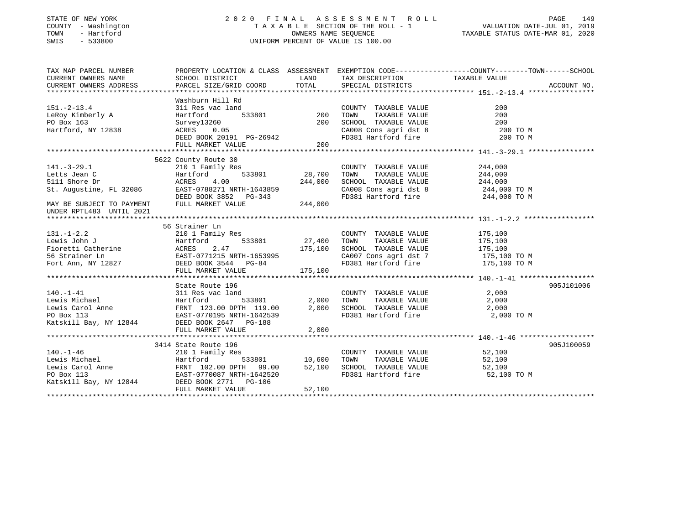### STATE OF NEW YORK 2 0 2 0 F I N A L A S S E S S M E N T R O L L PAGE 149 COUNTY - Washington T A X A B L E SECTION OF THE ROLL - 1 VALUATION DATE-JUL 01, 2019 TOWN - Hartford OWNERS NAME SEQUENCE TAXABLE STATUS DATE-MAR 01, 2020 SWIS - 533800 UNIFORM PERCENT OF VALUE IS 100.00

| TAX MAP PARCEL NUMBER    |                                                                                                                                                                                                                                                                                                     |        |                                                                                                                                                                                                      | PROPERTY LOCATION & CLASS ASSESSMENT EXEMPTION CODE---------------COUNTY-------TOWN-----SCHOOL |            |
|--------------------------|-----------------------------------------------------------------------------------------------------------------------------------------------------------------------------------------------------------------------------------------------------------------------------------------------------|--------|------------------------------------------------------------------------------------------------------------------------------------------------------------------------------------------------------|------------------------------------------------------------------------------------------------|------------|
|                          |                                                                                                                                                                                                                                                                                                     |        |                                                                                                                                                                                                      |                                                                                                |            |
| $151. - 2 - 13.4$        | Washburn Hill Rd<br>11 Ru<br>1<br>533801 200<br>311 Res vac land                                                                                                                                                                                                                                    |        | COUNTY TAXABLE VALUE<br>TOWN TAXABLE VALUE 200<br>SCHOOL TAXABLE VALUE 200<br>CA008 Cons agri dst 8 200 TO M<br>200 TO M                                                                             |                                                                                                |            |
| LeRoy Kimberly A         | Hartford                                                                                                                                                                                                                                                                                            |        |                                                                                                                                                                                                      |                                                                                                |            |
| PO Box 163               | Survey13260                                                                                                                                                                                                                                                                                         | 200    |                                                                                                                                                                                                      |                                                                                                |            |
| Hartford, NY 12838       | ACRES 0.05                                                                                                                                                                                                                                                                                          |        |                                                                                                                                                                                                      |                                                                                                |            |
|                          | DEED BOOK 20191 PG-26942<br>FULL MARKET VALUE                                                                                                                                                                                                                                                       | 200    | FD381 Hartford fire                                                                                                                                                                                  | 200 TO M                                                                                       |            |
|                          |                                                                                                                                                                                                                                                                                                     |        |                                                                                                                                                                                                      |                                                                                                |            |
|                          | 5622 County Route 30                                                                                                                                                                                                                                                                                |        |                                                                                                                                                                                                      |                                                                                                |            |
|                          | County Route 30<br>210 1 Family Res<br>Hartford 533801 28,700                                                                                                                                                                                                                                       |        | COUNTY TAXABLE VALUE 244,000                                                                                                                                                                         |                                                                                                |            |
|                          |                                                                                                                                                                                                                                                                                                     |        | TAXABLE VALUE 244,000<br>TOWN                                                                                                                                                                        |                                                                                                |            |
|                          |                                                                                                                                                                                                                                                                                                     |        | SCHOOL TAXABLE VALUE 244,000                                                                                                                                                                         |                                                                                                |            |
|                          |                                                                                                                                                                                                                                                                                                     |        |                                                                                                                                                                                                      |                                                                                                |            |
|                          |                                                                                                                                                                                                                                                                                                     |        | CA008 Cons agri dst 8 244,000 TO M<br>FD381 Hartford fire 244,000 TO M                                                                                                                               |                                                                                                |            |
| UNDER RPTL483 UNTIL 2021 | 141.-3-29.1<br>Letts Jean C Hartford 533801 28,700<br>5111 Shore Dr ACRES 4.00<br>St. Augustine, FL 32086 EAST-0788271 NRTH-1643859<br>DEED BOOK 3852 PG-343<br>--- MARKET VALUE 244,000                                                                                                            |        |                                                                                                                                                                                                      |                                                                                                |            |
|                          |                                                                                                                                                                                                                                                                                                     |        |                                                                                                                                                                                                      |                                                                                                |            |
|                          | 56 Strainer Ln                                                                                                                                                                                                                                                                                      |        |                                                                                                                                                                                                      |                                                                                                |            |
|                          | 131.-1-2.2<br>Lewis John J<br>Ewis John J<br>Fioretti Catherine Martford 533801 27,400 TOWN<br>Foretti Catherine ACRES 2.47<br>56 Strainer Ln<br>EAST-0771215 NRTH-1653995 175,100 SCHOOL<br>Fort Ann, NY 12827 DEED BOOK 3544 PG-84 FD381 H                                                        |        |                                                                                                                                                                                                      |                                                                                                |            |
|                          |                                                                                                                                                                                                                                                                                                     |        | $\begin{tabular}{lllllllllll} \multicolumn{2}{c}{\textbf{COUNTY}} & \textbf{TAXABLE VALUE} & & & 175,100 \\ \multicolumn{2}{c}{\textbf{TONN}} & \textbf{TAXABLE VALUE} & & 175,100 \\ \end{tabular}$ |                                                                                                |            |
|                          |                                                                                                                                                                                                                                                                                                     |        |                                                                                                                                                                                                      |                                                                                                |            |
|                          |                                                                                                                                                                                                                                                                                                     |        |                                                                                                                                                                                                      |                                                                                                |            |
|                          |                                                                                                                                                                                                                                                                                                     |        |                                                                                                                                                                                                      |                                                                                                |            |
|                          |                                                                                                                                                                                                                                                                                                     |        |                                                                                                                                                                                                      |                                                                                                |            |
|                          |                                                                                                                                                                                                                                                                                                     |        |                                                                                                                                                                                                      |                                                                                                |            |
|                          | State Route 196                                                                                                                                                                                                                                                                                     |        |                                                                                                                                                                                                      |                                                                                                | 905J101006 |
|                          |                                                                                                                                                                                                                                                                                                     |        |                                                                                                                                                                                                      |                                                                                                |            |
|                          |                                                                                                                                                                                                                                                                                                     |        |                                                                                                                                                                                                      |                                                                                                |            |
|                          |                                                                                                                                                                                                                                                                                                     |        |                                                                                                                                                                                                      |                                                                                                |            |
|                          |                                                                                                                                                                                                                                                                                                     |        | FD381 Hartford fire 2,000 TO M                                                                                                                                                                       |                                                                                                |            |
|                          |                                                                                                                                                                                                                                                                                                     |        |                                                                                                                                                                                                      |                                                                                                |            |
|                          | 140.-1-41<br>140.-1-41<br>140.-1-41<br>179.00<br>179.00<br>179.00<br>179.00<br>179.00<br>179.00<br>189.000<br>189.000<br>189.000<br>189.000<br>189.000<br>189.000<br>189.000<br>189.000<br>189.000<br>189.000<br>189.000<br>189.000<br>189.000<br>189.000<br>189.000<br>189.00<br>FULL MARKET VALUE | 2,000  |                                                                                                                                                                                                      |                                                                                                |            |
|                          |                                                                                                                                                                                                                                                                                                     |        |                                                                                                                                                                                                      |                                                                                                |            |
|                          |                                                                                                                                                                                                                                                                                                     |        |                                                                                                                                                                                                      |                                                                                                | 905J100059 |
|                          |                                                                                                                                                                                                                                                                                                     |        |                                                                                                                                                                                                      |                                                                                                |            |
|                          | 3414 State Route 196<br>210 1 Family Res<br>Lewis Michael Hartford 533801 10,600 TOWN TAXABLE VALUE 52,100<br>Lewis Carol Anne FRNT 102.00 DPTH 99.00 52,100 SCHOOL TAXABLE VALUE 52,100<br>PO Box 113<br>Katskill Bay, NY 12844 DEED BO                                                            |        |                                                                                                                                                                                                      |                                                                                                |            |
|                          |                                                                                                                                                                                                                                                                                                     |        |                                                                                                                                                                                                      |                                                                                                |            |
|                          |                                                                                                                                                                                                                                                                                                     |        |                                                                                                                                                                                                      |                                                                                                |            |
|                          |                                                                                                                                                                                                                                                                                                     |        |                                                                                                                                                                                                      |                                                                                                |            |
|                          | FULL MARKET VALUE                                                                                                                                                                                                                                                                                   | 52,100 |                                                                                                                                                                                                      |                                                                                                |            |
|                          |                                                                                                                                                                                                                                                                                                     |        |                                                                                                                                                                                                      |                                                                                                |            |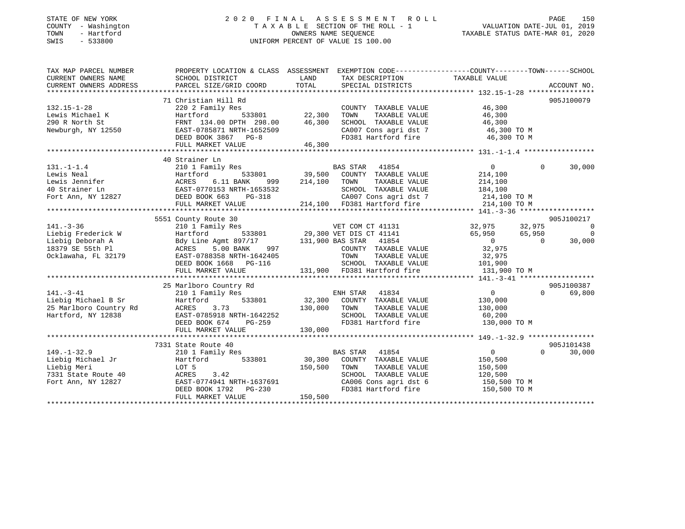#### STATE OF NEW YORK 2 0 2 0 F I N A L A S S E S S M E N T R O L L PAGE 150COUNTY - Washington T A X A B L E SECTION OF THE ROLL - 1 TOWN - Hartford OWNERS NAME SEQUENCE TAXABLE STATUS DATE-MAR 01, 2020 SWIS - 533800 UNIFORM PERCENT OF VALUE IS 100.00

VALUATION DATE-JUL 01, 2019

| TAX MAP PARCEL NUMBER                                                      | PROPERTY LOCATION & CLASS ASSESSMENT EXEMPTION CODE---------------COUNTY-------TOWN-----SCHOOL                                                                                                                                         |                                    |                                                                        |                       |          |                          |
|----------------------------------------------------------------------------|----------------------------------------------------------------------------------------------------------------------------------------------------------------------------------------------------------------------------------------|------------------------------------|------------------------------------------------------------------------|-----------------------|----------|--------------------------|
| CURRENT OWNERS NAME                                                        | SCHOOL DISTRICT                                                                                                                                                                                                                        | <b>EXAMPLE STATE SERVICE STATE</b> | TAX DESCRIPTION TAXABLE VALUE                                          |                       |          |                          |
|                                                                            |                                                                                                                                                                                                                                        |                                    |                                                                        |                       |          |                          |
|                                                                            |                                                                                                                                                                                                                                        |                                    |                                                                        |                       |          |                          |
|                                                                            | 71 Christian Hill Rd                                                                                                                                                                                                                   |                                    |                                                                        |                       |          | 905J100079               |
| $132.15 - 1 - 28$                                                          | 220 2 Family Res                                                                                                                                                                                                                       |                                    | COUNTY TAXABLE VALUE                                                   | 46,300<br>46,300      |          |                          |
|                                                                            |                                                                                                                                                                                                                                        |                                    | TAXABLE VALUE<br>TAXABLE VALUE<br>TOWN                                 |                       |          |                          |
|                                                                            |                                                                                                                                                                                                                                        |                                    | SCHOOL TAXABLE VALUE 46,300                                            |                       |          |                          |
|                                                                            |                                                                                                                                                                                                                                        |                                    |                                                                        |                       |          |                          |
|                                                                            |                                                                                                                                                                                                                                        |                                    | CA007 Cons agri dst 7 (46,300 TO M<br>FD381 Hartford fire (46,300 TO M |                       |          |                          |
|                                                                            | FULL MARKET VALUE 46,300                                                                                                                                                                                                               |                                    |                                                                        |                       |          |                          |
|                                                                            |                                                                                                                                                                                                                                        |                                    |                                                                        |                       |          |                          |
|                                                                            | 40 Strainer Ln                                                                                                                                                                                                                         |                                    |                                                                        |                       |          |                          |
| $131. - 1 - 1.4$                                                           | $\begin{tabular}{lcccccc} 210 & 1 & Family Res & & & & & \textbf{BAS STAR} & 41854 & & & & \textbf{0} \\ Hartford & & & 533801 & & & 39,500 & COUNTY & TAXABLE VALUE & & & & 214,100 \\ \end{tabular}$                                 |                                    |                                                                        |                       | $\Omega$ | 30,000                   |
|                                                                            | 131.-1-1.4 210 1 Family Res BAS STAR 41854 0<br>Lewis Neal Hartford 533801 39,500 COUNTY TAXABLE VALUE 214,100<br>Lewis Jennifer ACRES 6.11 BANK 999 214,100 TOWN TAXABLE VALUE 214,100<br>40 Strainer Ln EAST-0770153 NRTH-1653532    |                                    |                                                                        |                       |          |                          |
|                                                                            |                                                                                                                                                                                                                                        |                                    |                                                                        |                       |          |                          |
|                                                                            |                                                                                                                                                                                                                                        |                                    |                                                                        |                       |          |                          |
|                                                                            |                                                                                                                                                                                                                                        |                                    |                                                                        |                       |          |                          |
|                                                                            | FULL MARKET VALUE                                                                                                                                                                                                                      |                                    | 214,100 FD381 Hartford fire                                            | 214,100 TO M          |          |                          |
|                                                                            |                                                                                                                                                                                                                                        |                                    |                                                                        |                       |          |                          |
|                                                                            | 5551 County Route 30                                                                                                                                                                                                                   |                                    |                                                                        |                       |          | 905J100217               |
| $141. - 3 - 36$                                                            |                                                                                                                                                                                                                                        |                                    |                                                                        | 32,975 32,975         |          | $\overline{\phantom{0}}$ |
| Liebig Frederick W                                                         |                                                                                                                                                                                                                                        |                                    |                                                                        | 65,950 65,950         |          | $\overline{0}$           |
| Liebig Deborah A                                                           |                                                                                                                                                                                                                                        |                                    |                                                                        | $\overline{0}$        | $\sim$ 0 | 30,000                   |
| 18379 SE 55th Pl                                                           |                                                                                                                                                                                                                                        |                                    |                                                                        |                       |          |                          |
|                                                                            |                                                                                                                                                                                                                                        |                                    |                                                                        |                       |          |                          |
|                                                                            |                                                                                                                                                                                                                                        |                                    |                                                                        |                       |          |                          |
|                                                                            |                                                                                                                                                                                                                                        |                                    |                                                                        |                       |          |                          |
|                                                                            | 18379 SE 55th Pl 2019 COUNTY TAXABLE VALUE<br>18379 SE 55th Pl 2019 ACRES 55th Pl 2019 EAST-0788358 NRTH-1642405<br>20.975 COUNTY TAXABLE VALUE<br>22.975 COUNTY TAXABLE VALUE 32.975<br>DEED BOOK 1668 PG-116 SCHOOL TAXABLE VALUE 10 |                                    |                                                                        |                       |          |                          |
|                                                                            | 25 Marlboro Country Rd                                                                                                                                                                                                                 |                                    |                                                                        |                       |          | 905J100387               |
| $141. - 3 - 41$                                                            |                                                                                                                                                                                                                                        |                                    |                                                                        | $\overline{0}$        | $\Omega$ | 69,800                   |
| 141.-3-41 210 1 Family Re.<br>Liebig Michael B Sr                 Hartford |                                                                                                                                                                                                                                        |                                    |                                                                        | 130,000               |          |                          |
|                                                                            | 3.73                                                                                                                                                                                                                                   | 130,000 TOWN                       |                                                                        | TAXABLE VALUE 130,000 |          |                          |
|                                                                            |                                                                                                                                                                                                                                        |                                    |                                                                        |                       |          |                          |
| 25 Marlboro Country Rd<br>Hartford, NY 12838<br>EAST-0                     | EAST-0785918 NRTH-1642252<br>DEED BOOK 674 PG-259                                                                                                                                                                                      |                                    |                                                                        |                       |          |                          |
|                                                                            | FULL MARKET VALUE                                                                                                                                                                                                                      | 130,000                            |                                                                        |                       |          |                          |
|                                                                            |                                                                                                                                                                                                                                        |                                    |                                                                        |                       |          |                          |
|                                                                            | 7331 State Route 40                                                                                                                                                                                                                    |                                    |                                                                        |                       |          | 905J101438               |
| $149. - 1 - 32.9$                                                          | 210 1 Family Res                                                                                                                                                                                                                       |                                    | <b>BAS STAR</b> 41854                                                  | $0 \qquad \qquad$     | $\Omega$ | 30,000                   |
|                                                                            | Hartford 533801                                                                                                                                                                                                                        |                                    |                                                                        | 150,500               |          |                          |
| Liebig Michael Jr                                                          |                                                                                                                                                                                                                                        |                                    | 30,300 COUNTY TAXABLE VALUE                                            |                       |          |                          |
| Liebig Meri                                                                |                                                                                                                                                                                                                                        |                                    |                                                                        |                       |          |                          |
| 7331 State Route 40                                                        |                                                                                                                                                                                                                                        |                                    |                                                                        |                       |          |                          |
| Fort Ann, NY 12827                                                         | 150,500 TOWN TAXABLE VALUE<br>120,500 ACRES 3.42<br>EAST-0774941 NRTH-1637691 CA006 Cons agri dst 6 150,500 TO M<br>EAST-0774941 NRTH-1637691 FD381 Hartford fire 150,500 TO M                                                         |                                    |                                                                        |                       |          |                          |
|                                                                            | DEED BOOK $1792$ PG-230                                                                                                                                                                                                                | 150,500                            |                                                                        |                       |          |                          |
|                                                                            | FULL MARKET VALUE                                                                                                                                                                                                                      |                                    |                                                                        |                       |          |                          |
|                                                                            |                                                                                                                                                                                                                                        |                                    |                                                                        |                       |          |                          |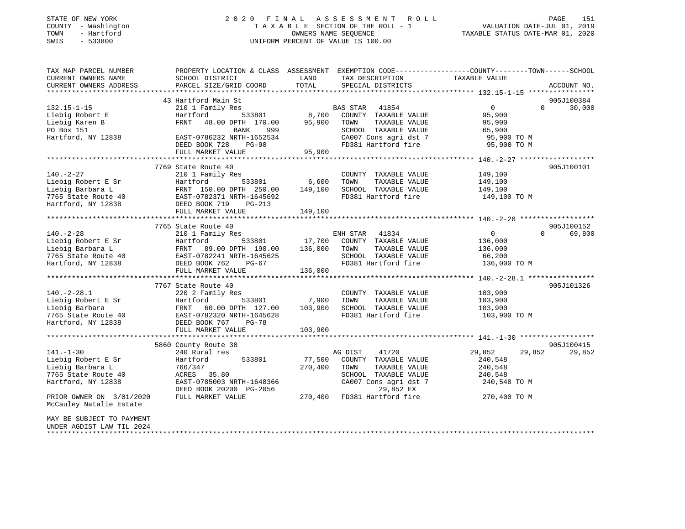### STATE OF NEW YORK 2 0 2 0 F I N A L A S S E S S M E N T R O L L PAGE 151 COUNTY - Washington T A X A B L E SECTION OF THE ROLL - 1 VALUATION DATE-JUL 01, 2019 TOWN - Hartford OWNERS NAME SEQUENCE TAXABLE STATUS DATE-MAR 01, 2020 SWIS - 533800 UNIFORM PERCENT OF VALUE IS 100.00

| TAX MAP PARCEL NUMBER<br>CURRENT OWNERS NAME<br>CURRENT OWNERS ADDRESS | PROPERTY LOCATION & CLASS ASSESSMENT<br>SCHOOL DISTRICT<br>PARCEL SIZE/GRID COORD | LAND<br>TOTAL                   | TAX DESCRIPTION<br>SPECIAL DISTRICTS | EXEMPTION CODE-----------------COUNTY-------TOWN------SCHOOL<br>TAXABLE VALUE | ACCOUNT NO. |
|------------------------------------------------------------------------|-----------------------------------------------------------------------------------|---------------------------------|--------------------------------------|-------------------------------------------------------------------------------|-------------|
| **************************                                             |                                                                                   |                                 |                                      |                                                                               |             |
|                                                                        | 43 Hartford Main St                                                               |                                 |                                      |                                                                               | 905J100384  |
| $132.15 - 1 - 15$                                                      | 210 1 Family Res                                                                  |                                 | BAS STAR<br>41854                    | $\mathbf 0$<br>$\Omega$                                                       | 30,000      |
| Liebig Robert E                                                        | Hartford<br>533801                                                                | 8,700                           | COUNTY TAXABLE VALUE                 | 95,900                                                                        |             |
| Liebig Karen B                                                         | FRNT<br>48.00 DPTH 170.00                                                         | 95,900                          | TOWN<br>TAXABLE VALUE                | 95,900                                                                        |             |
| PO Box 151                                                             | BANK<br>999                                                                       |                                 | SCHOOL TAXABLE VALUE                 | 65,900                                                                        |             |
| Hartford, NY 12838                                                     | EAST-0786232 NRTH-1652534                                                         |                                 | CA007 Cons agri dst 7                | 95,900 TO M                                                                   |             |
|                                                                        | DEED BOOK 728<br>$PG-90$                                                          |                                 | FD381 Hartford fire                  | 95,900 TO M                                                                   |             |
|                                                                        | FULL MARKET VALUE<br>*********************************                            | 95,900                          |                                      |                                                                               |             |
|                                                                        |                                                                                   |                                 |                                      |                                                                               |             |
|                                                                        | 7769 State Route 40                                                               |                                 |                                      |                                                                               | 905J100101  |
| $140. - 2 - 27$                                                        | 210 1 Family Res                                                                  |                                 | COUNTY TAXABLE VALUE                 | 149,100                                                                       |             |
| Liebig Robert E Sr                                                     | Hartford<br>533801                                                                | 6,600                           | TOWN<br>TAXABLE VALUE                | 149,100                                                                       |             |
| Liebig Barbara L                                                       | FRNT 150.00 DPTH 250.00                                                           | 149,100                         | SCHOOL TAXABLE VALUE                 | 149,100                                                                       |             |
| 7765 State Route 40                                                    | EAST-0782371 NRTH-1645692                                                         |                                 | FD381 Hartford fire                  | 149,100 TO M                                                                  |             |
| Hartford, NY 12838                                                     | DEED BOOK 719<br>PG-213                                                           |                                 |                                      |                                                                               |             |
|                                                                        | FULL MARKET VALUE                                                                 | 149,100<br>******************** |                                      |                                                                               |             |
|                                                                        |                                                                                   |                                 |                                      | ************************ 140.-2-28 *******************                        |             |
|                                                                        | 7765 State Route 40                                                               |                                 |                                      |                                                                               | 905J100152  |
| $140. - 2 - 28$                                                        | 210 1 Family Res                                                                  |                                 | ENH STAR<br>41834                    | $\mathsf{O}$<br>0                                                             | 69,800      |
| Liebig Robert E Sr                                                     | Hartford<br>533801                                                                | 17,700                          | COUNTY TAXABLE VALUE                 | 136,000                                                                       |             |
| Liebig Barbara L                                                       | FRNT<br>89.00 DPTH 190.00                                                         | 136,000                         | TOWN<br>TAXABLE VALUE                | 136,000                                                                       |             |
| 7765 State Route 40                                                    | EAST-0782241 NRTH-1645625                                                         |                                 | SCHOOL TAXABLE VALUE                 | 66,200                                                                        |             |
| Hartford, NY 12838                                                     | DEED BOOK 762<br>PG-67                                                            |                                 | FD381 Hartford fire                  | 136,000 TO M                                                                  |             |
|                                                                        | FULL MARKET VALUE<br>****************************                                 | 136,000                         | ***********************              | ********************* 140.-2-28.1 *****************                           |             |
|                                                                        | 7767 State Route 40                                                               |                                 |                                      |                                                                               | 905J101326  |
| $140. -2 - 28.1$                                                       | 220 2 Family Res                                                                  |                                 | COUNTY TAXABLE VALUE                 | 103,900                                                                       |             |
| Liebig Robert E Sr                                                     | Hartford<br>533801                                                                | 7,900                           | TOWN<br>TAXABLE VALUE                | 103,900                                                                       |             |
| Liebig Barbara                                                         | FRNT<br>60.00 DPTH 127.00                                                         | 103,900                         | SCHOOL TAXABLE VALUE                 | 103,900                                                                       |             |
| 7765 State Route 40                                                    | EAST-0782320 NRTH-1645628                                                         |                                 | FD381 Hartford fire                  | 103,900 TO M                                                                  |             |
| Hartford, NY 12838                                                     | DEED BOOK 767<br>$PG-78$                                                          |                                 |                                      |                                                                               |             |
|                                                                        | FULL MARKET VALUE                                                                 | 103,900                         |                                      |                                                                               |             |
|                                                                        | ************************                                                          | *********                       |                                      | ************ 141.-1-30                                                        |             |
|                                                                        | 5860 County Route 30                                                              |                                 |                                      |                                                                               | 905J100415  |
| $141. - 1 - 30$                                                        | 240 Rural res                                                                     |                                 | AG DIST<br>41720                     | 29,852<br>29,852                                                              | 29,852      |
| Liebig Robert E Sr                                                     | 533801<br>Hartford                                                                | 77,500                          | COUNTY TAXABLE VALUE                 | 240,548                                                                       |             |
| Liebig Barbara L                                                       | 766/347                                                                           | 270,400                         | TOWN<br>TAXABLE VALUE                | 240,548                                                                       |             |
| 7765 State Route 40                                                    | ACRES 35.80                                                                       |                                 | SCHOOL TAXABLE VALUE                 | 240,548                                                                       |             |
| Hartford, NY 12838                                                     | EAST-0785003 NRTH-1648366                                                         |                                 | CA007 Cons agri dst 7                | 240,548 TO M                                                                  |             |
|                                                                        | DEED BOOK 20200 PG-2056                                                           |                                 | 29,852 EX                            |                                                                               |             |
| PRIOR OWNER ON 3/01/2020                                               | FULL MARKET VALUE                                                                 | 270,400                         | FD381 Hartford fire                  | 270,400 TO M                                                                  |             |
| McCauley Natalie Estate                                                |                                                                                   |                                 |                                      |                                                                               |             |
|                                                                        |                                                                                   |                                 |                                      |                                                                               |             |
| MAY BE SUBJECT TO PAYMENT                                              |                                                                                   |                                 |                                      |                                                                               |             |
| UNDER AGDIST LAW TIL 2024                                              |                                                                                   |                                 |                                      |                                                                               |             |
|                                                                        |                                                                                   |                                 |                                      |                                                                               |             |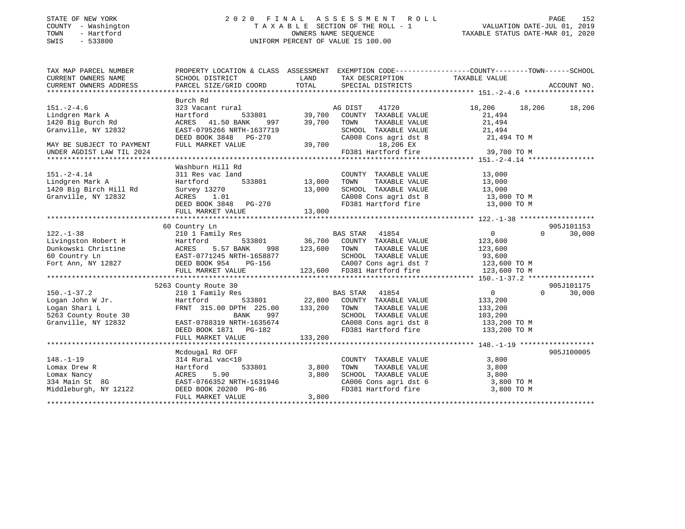### STATE OF NEW YORK 2 0 2 0 F I N A L A S S E S S M E N T R O L L PAGE 152 COUNTY - Washington T A X A B L E SECTION OF THE ROLL - 1 VALUATION DATE-JUL 01, 2019 TOWN - Hartford OWNERS NAME SEQUENCE TAXABLE STATUS DATE-MAR 01, 2020 SWIS - 533800 UNIFORM PERCENT OF VALUE IS 100.00

| TAX MAP PARCEL NUMBER                                                                                                 | PROPERTY LOCATION & CLASS ASSESSMENT EXEMPTION CODE----------------COUNTY-------TOWN-----SCHOOL |                                     |                                                                                                                                                                                                                                         |                       |                    |
|-----------------------------------------------------------------------------------------------------------------------|-------------------------------------------------------------------------------------------------|-------------------------------------|-----------------------------------------------------------------------------------------------------------------------------------------------------------------------------------------------------------------------------------------|-----------------------|--------------------|
| CURRENT OWNERS NAME                                                                                                   | SCHOOL DISTRICT                                                                                 | LAND                                | TAX DESCRIPTION                                                                                                                                                                                                                         | TAXABLE VALUE         |                    |
| CURRENT OWNERS ADDRESS                                                                                                | PARCEL SIZE/GRID COORD                                                                          | TOTAL                               | SPECIAL DISTRICTS                                                                                                                                                                                                                       |                       | ACCOUNT NO.        |
|                                                                                                                       |                                                                                                 |                                     |                                                                                                                                                                                                                                         |                       |                    |
|                                                                                                                       | Burch Rd                                                                                        |                                     |                                                                                                                                                                                                                                         |                       |                    |
| $151. - 2 - 4.6$                                                                                                      | 323 Vacant rural                                                                                | AC<br>39,700                        | AG DIST<br>41720                                                                                                                                                                                                                        | 18,206<br>18,206      | 18,206             |
| Lindgren Mark A                                                                                                       | 533801<br>Hartford                                                                              |                                     | COUNTY TAXABLE VALUE                                                                                                                                                                                                                    | 21,494                |                    |
| 1420 Big Burch Rd                                                                                                     | ACRES 41.50 BANK                                                                                | 997<br>39,700                       | TOWN<br>TAXABLE VALUE                                                                                                                                                                                                                   | 21,494                |                    |
| Granville, NY 12832                                                                                                   | EAST-0795266 NRTH-1637719                                                                       |                                     | $\begin{tabular}{lllllllllll} \texttt{SCHOOD} & \texttt{TAXABLE} & \texttt{VALUE} & \texttt{21,494} \\ \texttt{CA008} & \texttt{Cons}\ \texttt{agri}\ \texttt{dst}\ 8 & & \texttt{21,494} \ \texttt{TO}\ \texttt{M} \end{tabular}$      |                       |                    |
|                                                                                                                       | DEED BOOK 3848 PG-270                                                                           |                                     |                                                                                                                                                                                                                                         |                       |                    |
| MAY BE SUBJECT TO PAYMENT                                                                                             | FULL MARKET VALUE                                                                               |                                     | 18,206 EX                                                                                                                                                                                                                               |                       |                    |
| UNDER AGDIST LAW TIL 2024                                                                                             |                                                                                                 | $39,700$ FD3                        | FD381 Hartford fire                                                                                                                                                                                                                     | 39,700 TO M           |                    |
|                                                                                                                       |                                                                                                 |                                     |                                                                                                                                                                                                                                         |                       |                    |
|                                                                                                                       | Washburn Hill Rd                                                                                |                                     |                                                                                                                                                                                                                                         |                       |                    |
| $151. - 2 - 4.14$                                                                                                     | 311 Res vac land                                                                                |                                     | COUNTY TAXABLE VALUE                                                                                                                                                                                                                    | 13,000                |                    |
| Lindgren Mark A                                                                                                       | Hartford                                                                                        | d<br>533801                  13,000 | TAXABLE VALUE<br>TOWN                                                                                                                                                                                                                   | 13,000                |                    |
| 1420 Big Birch Hill Rd                                                                                                | Survey 13270                                                                                    | 13,000                              |                                                                                                                                                                                                                                         |                       |                    |
| Granville, NY 12832                                                                                                   | ACRES 1.01                                                                                      |                                     | SCHOOL TAXABLE VALUE 13,000<br>CA008 Cons agri dst 8 13,000 TO M                                                                                                                                                                        |                       |                    |
|                                                                                                                       | DEED BOOK 3848 PG-270                                                                           |                                     | $\begin{array}{llllll} \texttt{CA008} & \texttt{Cons} & \texttt{agri} & \texttt{dst} & 8 & & 13,000 & \texttt{TO} & \texttt{M} \\ \texttt{FD381} & \texttt{Hartford} & \texttt{fire} & & 13,000 & \texttt{TO} & \texttt{M} \end{array}$ |                       |                    |
|                                                                                                                       | FULL MARKET VALUE                                                                               | 13,000                              |                                                                                                                                                                                                                                         |                       |                    |
|                                                                                                                       |                                                                                                 |                                     |                                                                                                                                                                                                                                         |                       |                    |
|                                                                                                                       | 60 Country Ln                                                                                   |                                     |                                                                                                                                                                                                                                         |                       | 905J101153         |
| $122. - 1 - 38$                                                                                                       | 210 1 Family Res                                                                                |                                     | BAS STAR 41854                                                                                                                                                                                                                          | $\overline{0}$        | 30,000<br>$\Omega$ |
| Livingston Robert H                                                                                                   | Hartford                                                                                        |                                     | $\frac{215}{36,700}$ COUNTY TAXABLE VALUE                                                                                                                                                                                               | 123,600               |                    |
| Dunkowski Christine<br>Funkowski Christine<br>EAST-0771245 NRTH-1658877<br>Fort Ann, NY 12827<br>DEED BOOK 954 PG-156 |                                                                                                 | 998 123,600 TOWN                    |                                                                                                                                                                                                                                         | TAXABLE VALUE 123,600 |                    |
|                                                                                                                       |                                                                                                 |                                     |                                                                                                                                                                                                                                         |                       |                    |
|                                                                                                                       |                                                                                                 |                                     | SCHOOL TAXABLE VALUE 93,600<br>CA007 Cons agri dst 7 123,600 TO M                                                                                                                                                                       |                       |                    |
|                                                                                                                       | FULL MARKET VALUE                                                                               |                                     | 123,600 FD381 Hartford fire                                                                                                                                                                                                             | 123,600 TO M          |                    |
|                                                                                                                       |                                                                                                 |                                     |                                                                                                                                                                                                                                         |                       |                    |
|                                                                                                                       | 5263 County Route 30                                                                            |                                     |                                                                                                                                                                                                                                         |                       | 905J101175         |
| $150. - 1 - 37.2$                                                                                                     |                                                                                                 |                                     |                                                                                                                                                                                                                                         | $\overline{0}$        | $\Omega$<br>30,000 |
|                                                                                                                       |                                                                                                 |                                     |                                                                                                                                                                                                                                         |                       |                    |
|                                                                                                                       | FRNT 315.00 DPTH 225.00                                                                         | 133,200                             | TAXABLE VALUE<br>TOWN                                                                                                                                                                                                                   | 133,200               |                    |
| 150.-1-57.1<br>Logan John W Jr.<br>Chari L                                                                            |                                                                                                 |                                     |                                                                                                                                                                                                                                         | 133,200               |                    |
| 5263 County Route 30                                                                                                  | BANK<br>997                                                                                     |                                     | SCHOOL TAXABLE VALUE 103,200<br>CA008 Cons agri dst 8 133,200 TO M                                                                                                                                                                      |                       |                    |
| Granville, NY 12832                                                                                                   | EAST-0788319 NRTH-1635674                                                                       |                                     |                                                                                                                                                                                                                                         |                       |                    |
|                                                                                                                       | DEED BOOK 1871 PG-182                                                                           |                                     | FD381 Hartford fire 133,200 TO M                                                                                                                                                                                                        |                       |                    |
|                                                                                                                       | FULL MARKET VALUE                                                                               | 133,200                             |                                                                                                                                                                                                                                         |                       |                    |
|                                                                                                                       |                                                                                                 |                                     |                                                                                                                                                                                                                                         |                       |                    |
|                                                                                                                       | Mcdougal Rd OFF                                                                                 |                                     |                                                                                                                                                                                                                                         |                       | 905J100005         |
| $148. - 1 - 19$                                                                                                       | 314 Rural vac<10                                                                                |                                     | COUNTY TAXABLE VALUE                                                                                                                                                                                                                    | 3,800                 |                    |
| Lomax Drew R                                                                                                          | 533801<br>Hartford                                                                              | 3,800                               | TOWN<br>TAXABLE VALUE                                                                                                                                                                                                                   | 3,800                 |                    |
| Lomax Nancy                                                                                                           | ACRES 5.90                                                                                      | 3,800                               |                                                                                                                                                                                                                                         | 3,800                 |                    |
| 334 Main St 8G                                                                                                        | ACRES 5.90 3,80<br>EAST-0766352 NRTH-1631946<br>DEED BOOK 20200 PG-86                           |                                     | SCHOOL TAXABLE VALUE<br>CA006 Cons agri dst 6                                                                                                                                                                                           | 3,800 TO M            |                    |
| Middleburgh, NY 12122                                                                                                 | DEED BOOK 20200 PG-86                                                                           |                                     | FD381 Hartford fire 3,800 TO M                                                                                                                                                                                                          |                       |                    |
|                                                                                                                       | FULL MARKET VALUE                                                                               | 3,800                               |                                                                                                                                                                                                                                         |                       |                    |
|                                                                                                                       |                                                                                                 |                                     |                                                                                                                                                                                                                                         |                       |                    |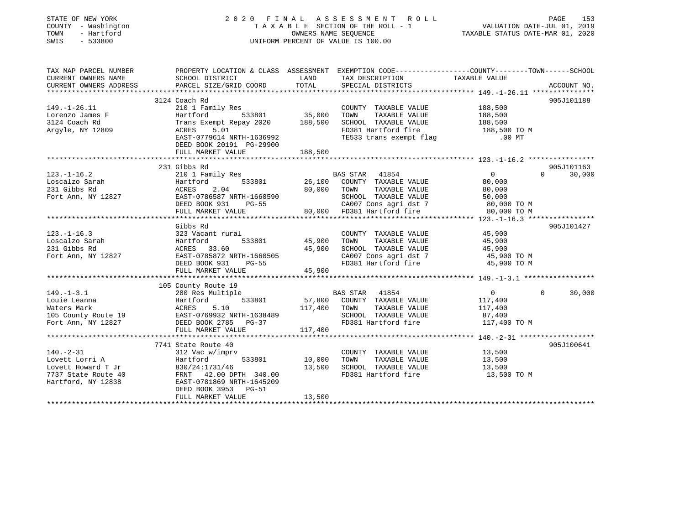| STATE OF NEW YORK<br>COUNTY - Washington<br>TOWN<br>- Hartford<br>SWIS<br>$-533800$ | 2020 FINAL ASSESSMENT ROLL                            | TAXABLE SECTION OF THE ROLL - 1<br>OWNERS NAME SEQUENCE<br>UNIFORM PERCENT OF VALUE IS 100.00 | PAGE<br>153<br>VALUATION DATE-JUL 01, 2019<br>TAXABLE STATUS DATE-MAR 01, 2020                                      |                        |                    |
|-------------------------------------------------------------------------------------|-------------------------------------------------------|-----------------------------------------------------------------------------------------------|---------------------------------------------------------------------------------------------------------------------|------------------------|--------------------|
| TAX MAP PARCEL NUMBER<br>CURRENT OWNERS NAME                                        | SCHOOL DISTRICT                                       | LAND                                                                                          | PROPERTY LOCATION & CLASS ASSESSMENT EXEMPTION CODE----------------COUNTY-------TOWN------SCHOOL<br>TAX DESCRIPTION | TAXABLE VALUE          |                    |
| CURRENT OWNERS ADDRESS                                                              | PARCEL SIZE/GRID COORD                                | TOTAL                                                                                         | SPECIAL DISTRICTS                                                                                                   |                        | ACCOUNT NO.        |
| *******************                                                                 |                                                       | **********                                                                                    |                                                                                                                     |                        |                    |
|                                                                                     | 3124 Coach Rd                                         |                                                                                               |                                                                                                                     |                        | 905J101188         |
| $149. - 1 - 26.11$                                                                  | 210 1 Family Res                                      |                                                                                               | COUNTY TAXABLE VALUE                                                                                                | 188,500                |                    |
| Lorenzo James F                                                                     | Hartford<br>533801                                    | 35,000                                                                                        | TOWN<br>TAXABLE VALUE                                                                                               | 188,500                |                    |
| 3124 Coach Rd                                                                       | Trans Exempt Repay 2020                               | 188,500                                                                                       | SCHOOL TAXABLE VALUE                                                                                                | 188,500                |                    |
| Argyle, NY 12809                                                                    | ACRES<br>5.01                                         |                                                                                               | FD381 Hartford fire                                                                                                 | 188,500 TO M           |                    |
|                                                                                     | EAST-0779614 NRTH-1636992<br>DEED BOOK 20191 PG-29900 |                                                                                               | TE533 trans exempt flag                                                                                             | $.00$ MT               |                    |
|                                                                                     | FULL MARKET VALUE                                     | 188,500                                                                                       |                                                                                                                     |                        |                    |
|                                                                                     |                                                       |                                                                                               |                                                                                                                     |                        |                    |
|                                                                                     | 231 Gibbs Rd                                          |                                                                                               |                                                                                                                     |                        | 905J101163         |
| $123. - 1 - 16.2$                                                                   | 210 1 Family Res                                      |                                                                                               | BAS STAR<br>41854                                                                                                   | $\overline{0}$         | $\Omega$<br>30,000 |
| Loscalzo Sarah                                                                      | 533801<br>Hartford                                    | 26,100                                                                                        | COUNTY TAXABLE VALUE                                                                                                | 80,000                 |                    |
| 231 Gibbs Rd                                                                        | ACRES<br>2.04                                         | 80,000                                                                                        | TAXABLE VALUE<br>TOWN                                                                                               | 80,000                 |                    |
| Fort Ann, NY 12827                                                                  | EAST-0786587 NRTH-1660590                             |                                                                                               | SCHOOL TAXABLE VALUE                                                                                                | 50,000                 |                    |
|                                                                                     | DEED BOOK 931<br>$PG-55$                              |                                                                                               | CA007 Cons agri dst 7                                                                                               | 80,000 TO M            |                    |
|                                                                                     | FULL MARKET VALUE                                     |                                                                                               | 80,000 FD381 Hartford fire                                                                                          | 80,000 TO M            |                    |
|                                                                                     |                                                       |                                                                                               |                                                                                                                     |                        |                    |
|                                                                                     | Gibbs Rd                                              |                                                                                               |                                                                                                                     |                        | 905J101427         |
| $123. - 1 - 16.3$<br>Loscalzo Sarah                                                 | 323 Vacant rural<br>Hartford<br>533801                | 45,900                                                                                        | COUNTY TAXABLE VALUE<br>TOWN<br>TAXABLE VALUE                                                                       | 45,900<br>45,900       |                    |
| 231 Gibbs Rd                                                                        | ACRES 33.60                                           | 45,900                                                                                        | SCHOOL TAXABLE VALUE                                                                                                | 45,900                 |                    |
| Fort Ann, NY 12827                                                                  | EAST-0785872 NRTH-1660505                             |                                                                                               | CA007 Cons agri dst 7                                                                                               | 45,900 TO M            |                    |
|                                                                                     | DEED BOOK 931<br>$PG-55$                              |                                                                                               | FD381 Hartford fire                                                                                                 | 45,900 TO M            |                    |
|                                                                                     | FULL MARKET VALUE                                     | 45,900                                                                                        |                                                                                                                     |                        |                    |
|                                                                                     |                                                       |                                                                                               |                                                                                                                     |                        |                    |
|                                                                                     | 105 County Route 19                                   |                                                                                               |                                                                                                                     |                        |                    |
| $149. - 1 - 3.1$                                                                    | 280 Res Multiple                                      |                                                                                               | <b>BAS STAR</b><br>41854                                                                                            | $\mathbf{0}$           | 30,000<br>$\Omega$ |
| Louie Leanna                                                                        | Hartford<br>533801                                    | 57,800                                                                                        | COUNTY TAXABLE VALUE                                                                                                | 117,400                |                    |
| Waters Mark                                                                         | 5.10<br>ACRES                                         | 117,400                                                                                       | TOWN<br>TAXABLE VALUE                                                                                               | 117,400                |                    |
| 105 County Route 19<br>Fort Ann, NY 12827                                           | EAST-0769932 NRTH-1638489<br>DEED BOOK 2785 PG-37     |                                                                                               | SCHOOL TAXABLE VALUE<br>FD381 Hartford fire                                                                         | 87,400<br>117,400 TO M |                    |
|                                                                                     | FULL MARKET VALUE                                     | 117,400                                                                                       |                                                                                                                     |                        |                    |
|                                                                                     |                                                       |                                                                                               |                                                                                                                     |                        |                    |
|                                                                                     | 7741 State Route 40                                   |                                                                                               |                                                                                                                     |                        | 905J100641         |
| $140. - 2 - 31$                                                                     | 312 Vac w/imprv                                       |                                                                                               | COUNTY TAXABLE VALUE                                                                                                | 13,500                 |                    |
| Lovett Lorri A                                                                      | Hartford<br>533801                                    | 10,000                                                                                        | TOWN<br>TAXABLE VALUE                                                                                               | 13,500                 |                    |
| Lovett Howard T Jr                                                                  | 830/24:1731/46                                        | 13,500                                                                                        | SCHOOL TAXABLE VALUE                                                                                                | 13,500                 |                    |
| 7737 State Route 40                                                                 | FRNT 42.00 DPTH 340.00                                |                                                                                               | FD381 Hartford fire                                                                                                 | 13,500 TO M            |                    |
| Hartford, NY 12838                                                                  | EAST-0781869 NRTH-1645209                             |                                                                                               |                                                                                                                     |                        |                    |
|                                                                                     | DEED BOOK 3953<br><b>PG-51</b>                        |                                                                                               |                                                                                                                     |                        |                    |
|                                                                                     | FULL MARKET VALUE                                     | 13,500                                                                                        |                                                                                                                     |                        |                    |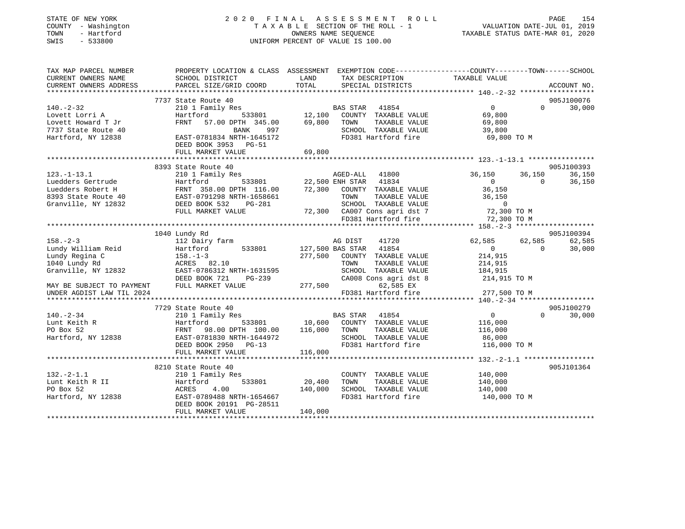| STATE OF NEW YORK<br>COUNTY - Washington<br>- Hartford<br>TOWN<br>$-533800$<br>SWIS | 2020 FINAL ASSESSMENT                                                                          | TAXABLE SECTION OF THE ROLL - 1<br>OWNERS NAME SEQUENCE<br>UNIFORM PERCENT OF VALUE IS 100.00 |                                         | R O L L                              | VALUATION DATE-JUL 01, 2019<br>TAXABLE STATUS DATE-MAR 01, 2020 |                    | PAGE<br>154      |
|-------------------------------------------------------------------------------------|------------------------------------------------------------------------------------------------|-----------------------------------------------------------------------------------------------|-----------------------------------------|--------------------------------------|-----------------------------------------------------------------|--------------------|------------------|
| TAX MAP PARCEL NUMBER                                                               | PROPERTY LOCATION & CLASS ASSESSMENT EXEMPTION CODE---------------COUNTY-------TOWN-----SCHOOL |                                                                                               |                                         |                                      |                                                                 |                    |                  |
| CURRENT OWNERS NAME<br>CURRENT OWNERS ADDRESS                                       | SCHOOL DISTRICT<br>PARCEL SIZE/GRID COORD                                                      | LAND<br>TOTAL                                                                                 |                                         | TAX DESCRIPTION<br>SPECIAL DISTRICTS | TAXABLE VALUE                                                   |                    | ACCOUNT NO.      |
|                                                                                     |                                                                                                |                                                                                               |                                         |                                      |                                                                 |                    |                  |
|                                                                                     | 7737 State Route 40                                                                            |                                                                                               |                                         |                                      |                                                                 |                    | 905J100076       |
| $140. - 2 - 32$                                                                     | 210 1 Family Res                                                                               |                                                                                               | BAS STAR 41854                          |                                      | $\overline{0}$                                                  | $\Omega$           | 30,000           |
| Lovett Lorri A                                                                      | Hartford<br>533801                                                                             | 12,100                                                                                        |                                         | COUNTY TAXABLE VALUE                 | 69,800                                                          |                    |                  |
| Lovett Howard T Jr                                                                  | FRNT 57.00 DPTH 345.00                                                                         | 69,800                                                                                        | TOWN                                    | TAXABLE VALUE                        | 69,800                                                          |                    |                  |
| 7737 State Route 40                                                                 | BANK<br>997                                                                                    |                                                                                               |                                         | SCHOOL TAXABLE VALUE                 | 39,800                                                          |                    |                  |
| Hartford, NY 12838                                                                  | EAST-0781834 NRTH-1645172<br>DEED BOOK 3953 PG-51                                              |                                                                                               |                                         | FD381 Hartford fire                  | 69,800 TO M                                                     |                    |                  |
|                                                                                     | FULL MARKET VALUE                                                                              | 69,800                                                                                        |                                         |                                      |                                                                 |                    |                  |
|                                                                                     |                                                                                                |                                                                                               |                                         |                                      |                                                                 |                    |                  |
| $123. - 1 - 13.1$                                                                   | 8393 State Route 40                                                                            |                                                                                               |                                         |                                      |                                                                 |                    | 905J100393       |
| Luedders Gertrude                                                                   | 210 1 Family Res<br>533801<br>Hartford                                                         |                                                                                               | AGED-ALL 41800<br>22,500 ENH STAR 41834 |                                      | 36,150<br>$\overline{0}$                                        | 36,150<br>$\Omega$ | 36,150<br>36,150 |
| Luedders Robert H                                                                   | FRNT 358.00 DPTH 116.00                                                                        |                                                                                               |                                         | 72,300 COUNTY TAXABLE VALUE          | 36,150                                                          |                    |                  |
| 8393 State Route 40                                                                 | FRNT 358.00 DPTH 116.00<br>EAST-0791298 NRTH-1658661                                           |                                                                                               | TOWN                                    | TAXABLE VALUE                        | 36,150                                                          |                    |                  |
| Granville, NY 12832                                                                 | DEED BOOK 532<br>PG-281                                                                        |                                                                                               |                                         | SCHOOL TAXABLE VALUE                 | $\overline{0}$                                                  |                    |                  |
|                                                                                     | FULL MARKET VALUE                                                                              |                                                                                               |                                         | 72,300 CA007 Cons agri dst 7         | 72,300 TO M                                                     |                    |                  |
|                                                                                     |                                                                                                |                                                                                               |                                         | FD381 Hartford fire                  | 72,300 TO M                                                     |                    |                  |
|                                                                                     |                                                                                                |                                                                                               |                                         |                                      |                                                                 |                    |                  |
|                                                                                     | 1040 Lundy Rd                                                                                  |                                                                                               |                                         |                                      |                                                                 |                    | 905J100394       |
| $158. - 2 - 3$                                                                      | 112 Dairy farm                                                                                 |                                                                                               | AG DIST                                 | 41720                                | 62,585                                                          | 62,585             | 62,585           |
| Lundy William Reid                                                                  | 533801<br>Hartford                                                                             |                                                                                               | 127,500 BAS STAR 41854                  |                                      | $\overline{0}$                                                  | $\Omega$           | 30,000           |
| Lundy Regina C                                                                      | $158. - 1 - 3$                                                                                 | 277,500                                                                                       |                                         | COUNTY TAXABLE VALUE                 | 214,915                                                         |                    |                  |
| 1040 Lundy Rd                                                                       | ACRES 82.10                                                                                    |                                                                                               | TOWN                                    | TAXABLE VALUE                        | 214,915                                                         |                    |                  |
| Granville, NY 12832                                                                 | EAST-0786312 NRTH-1631595                                                                      |                                                                                               |                                         | SCHOOL TAXABLE VALUE                 | 184,915                                                         |                    |                  |
|                                                                                     | DEED BOOK 721<br>PG-239                                                                        |                                                                                               |                                         | CA008 Cons agri dst 8                | 214,915 TO M                                                    |                    |                  |
| MAY BE SUBJECT TO PAYMENT FULL MARKET VALUE<br>UNDER AGDIST LAW TIL 2024            |                                                                                                |                                                                                               | 277,500                                 | 62,585 EX<br>FD381 Hartford fire     |                                                                 |                    |                  |
|                                                                                     |                                                                                                |                                                                                               |                                         |                                      | 277,500 TO M                                                    |                    |                  |
|                                                                                     | 7729 State Route 40                                                                            |                                                                                               |                                         |                                      |                                                                 |                    | 905J100279       |
| $140. - 2 - 34$                                                                     | 210 1 Family Res                                                                               |                                                                                               | BAS STAR 41854                          |                                      | $\overline{0}$                                                  | $\Omega$           | 30,000           |
| Lunt Keith R                                                                        | 533801<br>Hartford                                                                             |                                                                                               |                                         | 10,600 COUNTY TAXABLE VALUE          | 116,000                                                         |                    |                  |
| PO Box 52                                                                           | FRNT<br>98.00 DPTH 100.00                                                                      | 116,000                                                                                       | TOWN                                    | TAXABLE VALUE                        | 116,000                                                         |                    |                  |
| Hartford, NY 12838                                                                  | EAST-0781830 NRTH-1644972                                                                      |                                                                                               |                                         | SCHOOL TAXABLE VALUE                 | 86,000                                                          |                    |                  |
|                                                                                     | DEED BOOK 2950 PG-13                                                                           |                                                                                               |                                         | FD381 Hartford fire                  | 116,000 TO M                                                    |                    |                  |
|                                                                                     | FULL MARKET VALUE                                                                              | 116,000                                                                                       |                                         |                                      |                                                                 |                    |                  |
|                                                                                     |                                                                                                |                                                                                               |                                         |                                      |                                                                 |                    |                  |
|                                                                                     | 8210 State Route 40                                                                            |                                                                                               |                                         |                                      |                                                                 |                    | 905J101364       |
| $132. - 2 - 1.1$                                                                    | 210 1 Family Res                                                                               |                                                                                               |                                         | COUNTY TAXABLE VALUE                 | 140,000                                                         |                    |                  |
| Lunt Keith R II                                                                     | 533801<br>Hartford                                                                             | 20,400                                                                                        | TOWN                                    | TAXABLE VALUE                        | 140,000                                                         |                    |                  |
| PO Box 52                                                                           | ACRES<br>4.00                                                                                  | 140,000                                                                                       |                                         | SCHOOL TAXABLE VALUE                 | 140,000                                                         |                    |                  |
| Hartford, NY 12838                                                                  | EAST-0789488 NRTH-1654667<br>DEED BOOK 20191 PG-28511<br>FULL MARKET VALUE                     |                                                                                               |                                         | FD381 Hartford fire                  | 140,000 TO M                                                    |                    |                  |
|                                                                                     |                                                                                                | 140,000                                                                                       |                                         |                                      |                                                                 |                    |                  |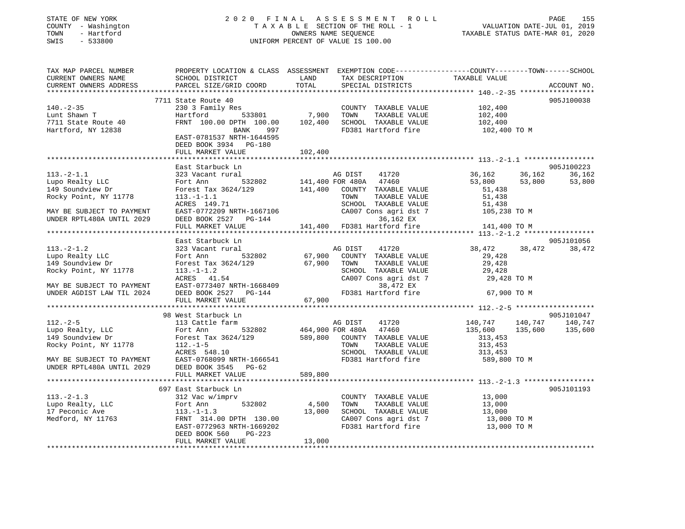### STATE OF NEW YORK 2 0 2 0 F I N A L A S S E S S M E N T R O L L PAGE 155 COUNTY - Washington T A X A B L E SECTION OF THE ROLL - 1 VALUATION DATE-JUL 01, 2019 TOWN - Hartford OWNERS NAME SEQUENCE TAXABLE STATUS DATE-MAR 01, 2020 SWIS - 533800 UNIFORM PERCENT OF VALUE IS 100.00

| TAX MAP PARCEL NUMBER<br>CURRENT OWNERS NAME<br>CURRENT OWNERS ADDRESS | PROPERTY LOCATION & CLASS ASSESSMENT EXEMPTION CODE---------------COUNTY-------TOWN------SCHOOL<br>SCHOOL DISTRICT<br>PARCEL SIZE/GRID COORD | LAND<br>TOTAL | TAX DESCRIPTION<br>SPECIAL DISTRICTS          | TAXABLE VALUE         | ACCOUNT NO. |
|------------------------------------------------------------------------|----------------------------------------------------------------------------------------------------------------------------------------------|---------------|-----------------------------------------------|-----------------------|-------------|
|                                                                        |                                                                                                                                              |               |                                               |                       |             |
|                                                                        | 7711 State Route 40                                                                                                                          |               |                                               |                       | 905J100038  |
| $140. - 2 - 35$                                                        |                                                                                                                                              | 7,900         | COUNTY TAXABLE VALUE                          | 102,400               |             |
| Lunt Shawn T                                                           |                                                                                                                                              |               | TOWN<br>TAXABLE VALUE                         | 102,400               |             |
| 7711 State Route 40                                                    | FRNT 100.00 DPTH 100.00                                                                                                                      | 102,400       | SCHOOL TAXABLE VALUE                          | 102,400               |             |
| Hartford, NY 12838                                                     | BANK 997                                                                                                                                     |               | FD381 Hartford fire                           | 102,400 TO M          |             |
|                                                                        | EAST-0781537 NRTH-1644595                                                                                                                    |               |                                               |                       |             |
|                                                                        | DEED BOOK 3934 PG-180                                                                                                                        |               |                                               |                       |             |
|                                                                        | FULL MARKET VALUE                                                                                                                            | 102,400       |                                               |                       |             |
|                                                                        | East Starbuck Ln                                                                                                                             |               |                                               |                       | 905J100223  |
| $113. - 2 - 1.1$                                                       | 323 Vacant rural                                                                                                                             |               | AG DIST<br>41720                              | 36,162<br>36,162      | 36,162      |
| Lupo Realty LLC                                                        | 532802<br>Fort Ann                                                                                                                           |               | 141,400 FOR 480A 47460                        | 53,800<br>53,800      | 53,800      |
| 149 Soundview Dr                                                       | Forest Tax 3624/129 141,400 COUNTY TAXABLE VALUE                                                                                             |               |                                               | 51,438                |             |
| Rocky Point, NY 11778                                                  | $113. - 1 - 1.1$                                                                                                                             |               | TOWN<br>TAXABLE VALUE                         | 51,438                |             |
|                                                                        | ACRES 149.71                                                                                                                                 |               | SCHOOL TAXABLE VALUE                          | 51,438                |             |
| MAY BE SUBJECT TO PAYMENT                                              | EAST-0772209 NRTH-1667106                                                                                                                    |               | CA007 Cons agri dst 7                         | 105,238 TO M          |             |
| UNDER RPTL480A UNTIL 2029                                              | DEED BOOK 2527 PG-144                                                                                                                        |               | 36,162 EX                                     |                       |             |
|                                                                        | FULL MARKET VALUE                                                                                                                            |               | 141,400 FD381 Hartford fire                   | 141,400 TO M          |             |
|                                                                        |                                                                                                                                              |               |                                               |                       |             |
|                                                                        | East Starbuck Ln                                                                                                                             |               |                                               |                       | 905J101056  |
| $113.-2-1.2$                                                           | 323 Vacant rural                                                                                                                             |               | AG DIST<br>41720                              | 38,472<br>38,472      | 38,472      |
| Lupo Realty LLC<br>149 Soundview Dr                                    | 532802<br>Fort Ann                                                                                                                           |               | 67,900 COUNTY TAXABLE VALUE                   | 29,428                |             |
| 149 Soundview Dr                                                       | Forest Tax 3624/129                                                                                                                          |               | 67,900 TOWN<br>TAXABLE VALUE                  | 29,428                |             |
| Rocky Point, NY 11778                                                  | $113. - 1 - 1.2$                                                                                                                             |               | SCHOOL TAXABLE VALUE<br>CA007 Cons agri dst 7 | 29,428                |             |
|                                                                        | ACRES 41.54                                                                                                                                  |               |                                               | 29,428 TO M           |             |
| MAY BE SUBJECT TO PAYMENT<br>UNDER AGDIST LAW TIL 2024                 | EAST-0773407 NRTH-1668409<br>DEED BOOK 2527    PG-144                                                                                        |               | 38,472 EX<br>FD381 Hartford fire              | 67,900 TO M           |             |
|                                                                        | FULL MARKET VALUE                                                                                                                            | 67,900        |                                               |                       |             |
|                                                                        |                                                                                                                                              |               |                                               |                       |             |
|                                                                        | 98 West Starbuck Ln                                                                                                                          |               |                                               |                       | 905J101047  |
| $112. - 2 - 5$                                                         | 113 Cattle farm                                                                                                                              |               | AG DIST<br>41720                              | 140,747 140,747       | 140,747     |
| Lupo Realty, LLC                                                       | Fort Ann                                                                                                                                     |               | 532802 464,900 FOR 480A 47460                 | 135,600<br>135,600    | 135,600     |
| 149 Soundview Dr                                                       | Forest Tax 3624/129                                                                                                                          |               | 589,800 COUNTY TAXABLE VALUE                  | 313,453               |             |
| Rocky Point, NY 11778                                                  | $112. - 1 - 5$                                                                                                                               |               | TOWN<br>TAXABLE VALUE                         | 313,453               |             |
|                                                                        | ACRES 548.10                                                                                                                                 |               | SCHOOL TAXABLE VALUE                          | 313,453               |             |
| MAY BE SUBJECT TO PAYMENT<br>יחסס סססטאייז                             | EAST-0768099 NRTH-1666541                                                                                                                    |               | FD381 Hartford fire 589,800 TO M              |                       |             |
| UNDER RPTL480A UNTIL 2029                                              | DEED BOOK 3545 PG-62                                                                                                                         |               |                                               |                       |             |
|                                                                        | FULL MARKET VALUE                                                                                                                            | 589,800       |                                               |                       |             |
|                                                                        |                                                                                                                                              |               |                                               |                       |             |
|                                                                        | 697 East Starbuck Ln<br>312 Vac w/imprv                                                                                                      |               |                                               |                       | 905J101193  |
| $113.-2-1.3$                                                           |                                                                                                                                              |               | COUNTY TAXABLE VALUE 13,000                   |                       |             |
| Lupo Realty, LLC<br>17 Peconic Ave                                     | 532802<br>Fort Ann<br>$113.-1-1.3$                                                                                                           | 4,500         | TOWN<br>TAXABLE VALUE<br>SCHOOL TAXABLE VALUE | 13,000                |             |
| Medford, NY 11763                                                      | FRNT 314.00 DPTH 130.00                                                                                                                      | 13,000        | CA007 Cons agri dst 7                         | 13,000<br>13,000 TO M |             |
|                                                                        | EAST-0772963 NRTH-1669202                                                                                                                    |               | FD381 Hartford fire 13,000 TO M               |                       |             |
|                                                                        | DEED BOOK 560<br>PG-223                                                                                                                      |               |                                               |                       |             |
|                                                                        | FULL MARKET VALUE                                                                                                                            | 13,000        |                                               |                       |             |
|                                                                        |                                                                                                                                              |               |                                               |                       |             |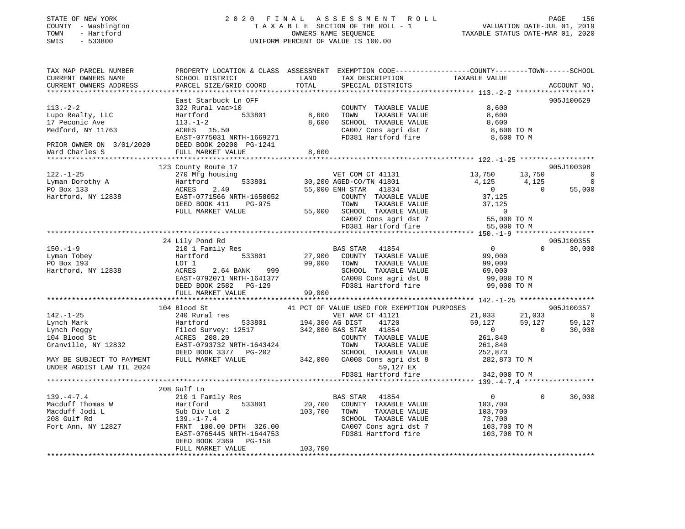### STATE OF NEW YORK 2 0 2 0 F I N A L A S S E S S M E N T R O L L PAGE 156 COUNTY - Washington T A X A B L E SECTION OF THE ROLL - 1 VALUATION DATE-JUL 01, 2019 TOWN - Hartford OWNERS NAME SEQUENCE TAXABLE STATUS DATE-MAR 01, 2020 SWIS - 533800 UNIFORM PERCENT OF VALUE IS 100.00

| TAX MAP PARCEL NUMBER<br>CURRENT OWNERS NAME<br>CURRENT OWNERS ADDRESS        | PROPERTY LOCATION & CLASS ASSESSMENT EXEMPTION CODE----------------COUNTY-------TOWN-----SCHOOL<br>SCHOOL DISTRICT<br><b>EXAMPLE SERVICE SERVICE SERVICE SERVICE SERVICE SERVICE SERVICE SERVICE SERVICE SERVICE SERVICE SERVICE SERVICE</b><br>PARCEL SIZE/GRID COORD                        | TOTAL          | TAX DESCRIPTION<br>SPECIAL DISTRICTS                                                                                                                                                                                                                                   | TAXABLE VALUE                                                                                                                                        | ACCOUNT NO.                                                                      |
|-------------------------------------------------------------------------------|-----------------------------------------------------------------------------------------------------------------------------------------------------------------------------------------------------------------------------------------------------------------------------------------------|----------------|------------------------------------------------------------------------------------------------------------------------------------------------------------------------------------------------------------------------------------------------------------------------|------------------------------------------------------------------------------------------------------------------------------------------------------|----------------------------------------------------------------------------------|
| 113.-2-2<br>Lupo Realty, LLC<br>Lupo Realty, LLC<br>Medford, NY 11763         | East Starbuck Ln OFF<br>vac>10<br>533801 8,600<br>322 Rural vac>10<br>Hartford 533801<br>113.-1-2<br>ACRES 15.50<br>DREE 15.31 NDTL 1660871<br>EAST-0775031 NRTH-1669271<br>DEED BOOK 20200 PG-1241<br>PRIOR OWNER ON 3/01/2020<br>Ward Charles S FULL MARKET VALUE                           | 8,600<br>8,600 | COUNTY TAXABLE VALUE<br>TOWN<br>TAXABLE VALUE                                                                                                                                                                                                                          | 8,600<br>8,600<br>SCHOOL TAXABLE VALUE 8,600<br>CA007 Cons agri dst 7 8,600 TO M<br>FD381 Hartford fire 3,600 TO M                                   | 905J100629                                                                       |
|                                                                               | 123 County Route 17                                                                                                                                                                                                                                                                           |                |                                                                                                                                                                                                                                                                        |                                                                                                                                                      | 905J100398                                                                       |
| $122. - 1 - 25$                                                               | 270 Mfg housing<br>122.-1-25<br>Lyman Dorothy A<br>PO Box 133<br>Hartford, NY 12838<br>EAST-0771566 NRTH-1658052<br>DEED BOOK 411<br>PG-975<br>CEED BOOK 411<br>PG-975<br>FULL MARKET VALUE                                                                                                   |                | VET COM CT 41131<br>30,200 AGED-CO/TN 41801<br>55,000 ENH STAR 41834<br>COUNTY TAXABLE VALUE 37,125<br>TOWN TAXABLE VALUE 37,125<br>TOWN TAXABLE VALUE 37,125<br>55,000 SCHOOL TAXABLE VALUE 0<br>CA007 Cons agri dst 7 55,000 TO M<br>FD381 Hartford fire 55,000 TO M | $13,750$ $13,750$<br>$4,125$ $4,125$<br>$\overline{0}$                                                                                               | 13,750<br>$\overline{\phantom{0}}$<br>$\overline{0}$<br>$\overline{0}$<br>55,000 |
|                                                                               | 24 Lily Pond Rd                                                                                                                                                                                                                                                                               |                |                                                                                                                                                                                                                                                                        |                                                                                                                                                      | 905J100355                                                                       |
| $150. - 1 - 9$<br>Lyman Tobey<br>Po Box 193 Lor 1<br>Hartford, NY 12838 ACRES | 210 1 Family Res<br>Ero I Family Res<br>Hartford 533801<br>LOT 1<br>Hartford 533801 21, 200 20011<br>LOT 1 99, 000 TOWN<br>ACRES 2.64 BANK 999 SCHOOL<br>EAST-0792071 NRTH-1641377 CA008 CC<br>DEED BOOK 2582 PG-129 99, 000 FD381 Hz<br>FULL MARKET VALUE 99, 000                            |                | BAS STAR 41854<br>27,900 COUNTY TAXABLE VALUE 99,000                                                                                                                                                                                                                   | $\overline{0}$<br>TOWN TAXABLE VALUE<br>SCHOOL TAXABLE VALUE 69,000 TO M<br>CA008 Cons agri dst 8 99,000 TO M<br>FD381 Hartford fire 99,000 TO M     | $0 \t 30,000$                                                                    |
|                                                                               |                                                                                                                                                                                                                                                                                               |                |                                                                                                                                                                                                                                                                        |                                                                                                                                                      | 905J100357                                                                       |
| $142. - 1 - 25$<br>MAY BE SUBJECT TO PAYMENT<br>UNDER AGDIST LAW TIL 2024     | 104 Blood St<br>240 Rural res<br>VET WAR CT 41121<br>Lynch Mark Hartford 533801 194,300 AG DIST 41720<br>Lynch Peggy Filed Survey: 12517 342,000 BAS STAR 41854<br>104 Blood St ACRES 208.20<br>Granville, NY 12832 EAST-0793732 NRTH-1643424 TOWN TAXABLE VALUE<br>DEED<br>FULL MARKET VALUE |                | 41 PCT OF VALUE USED FOR EXEMPTION PURPOSES<br>VET WAR CT 41121<br>3-202 SCHOOL TAXABLE VALUE 252,873<br>342,000 CA008 Cons agri dst 8 282,873 TO M<br>59,127 EX                                                                                                       | 21,033 21,033 0<br>$59,127$<br>0 59,127 59,127<br>0 30,000<br>$\overline{0}$<br>261,840<br>261,840                                                   | 30,000                                                                           |
|                                                                               |                                                                                                                                                                                                                                                                                               |                | FD381 Hartford fire                                                                                                                                                                                                                                                    | 342,000 TO M                                                                                                                                         |                                                                                  |
|                                                                               | 208 Gulf Ln                                                                                                                                                                                                                                                                                   |                |                                                                                                                                                                                                                                                                        | $\overline{0}$<br>103,700<br>TAXABLE VALUE 103,700<br>TAXABLE VALUE 73,700<br>CA007 Cons agri dst 7 103,700 TO M<br>FD381 Hartford fire 103,700 TO M | 30,000<br>$\Omega$                                                               |
|                                                                               | FULL MARKET VALUE                                                                                                                                                                                                                                                                             | 103,700        |                                                                                                                                                                                                                                                                        |                                                                                                                                                      |                                                                                  |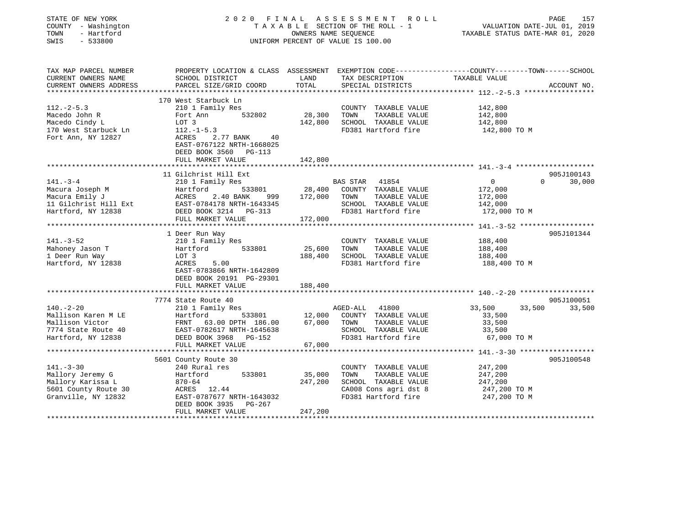| STATE OF NEW YORK<br>COUNTY - Washington<br>- Hartford<br>TOWN<br>SWIS<br>$-533800$ | 2020<br>FINAL                                                                                    |               | A S S E S S M E N T R O L L<br>TAXABLE SECTION OF THE ROLL - 1<br>OWNERS NAME SEQUENCE<br>UNIFORM PERCENT OF VALUE IS 100.00 | TAXABLE STATUS DATE-MAR 01, 2020 | PAGE<br>VALUATION DATE-JUL 01, 2019 | 157         |
|-------------------------------------------------------------------------------------|--------------------------------------------------------------------------------------------------|---------------|------------------------------------------------------------------------------------------------------------------------------|----------------------------------|-------------------------------------|-------------|
| TAX MAP PARCEL NUMBER                                                               | PROPERTY LOCATION & CLASS ASSESSMENT EXEMPTION CODE----------------COUNTY-------TOWN------SCHOOL |               |                                                                                                                              |                                  |                                     |             |
| CURRENT OWNERS NAME<br>CURRENT OWNERS ADDRESS                                       | SCHOOL DISTRICT<br>PARCEL SIZE/GRID COORD                                                        | LAND<br>TOTAL | TAX DESCRIPTION<br>SPECIAL DISTRICTS                                                                                         | TAXABLE VALUE                    |                                     | ACCOUNT NO. |
|                                                                                     |                                                                                                  |               |                                                                                                                              |                                  |                                     |             |
|                                                                                     | 170 West Starbuck Ln                                                                             |               |                                                                                                                              |                                  |                                     |             |
| $112.-2-5.3$                                                                        | 210 1 Family Res                                                                                 |               | COUNTY TAXABLE VALUE                                                                                                         | 142,800                          |                                     |             |
| Macedo John R                                                                       | 532802<br>Fort Ann                                                                               | 28,300        | TOWN<br>TAXABLE VALUE                                                                                                        | 142,800                          |                                     |             |
| Macedo Cindy L                                                                      | LOT 3                                                                                            | 142,800       | SCHOOL TAXABLE VALUE                                                                                                         | 142,800                          |                                     |             |
| 170 West Starbuck Ln<br>Fort Ann, NY 12827                                          | $112.-1-5.3$<br>2.77 BANK<br>ACRES<br>40<br>EAST-0767122 NRTH-1668025<br>DEED BOOK 3560 PG-113   |               | FD381 Hartford fire                                                                                                          | 142,800 TO M                     |                                     |             |
|                                                                                     | FULL MARKET VALUE                                                                                | 142,800       |                                                                                                                              |                                  |                                     |             |
|                                                                                     | 11 Gilchrist Hill Ext                                                                            |               |                                                                                                                              |                                  |                                     | 905J100143  |
| $141. - 3 - 4$                                                                      | 210 1 Family Res                                                                                 |               | BAS STAR 41854                                                                                                               | $\overline{0}$                   | $\Omega$                            | 30,000      |
| Macura Joseph M<br>Macura Emily J                                                   | Hartford 533801<br>ACRES 2.40 BANK 999<br>EAST-0784178 NRTH-1643345                              |               | 28,400 COUNTY TAXABLE VALUE                                                                                                  | 172,000                          |                                     |             |
|                                                                                     |                                                                                                  | 172,000       | TOWN<br>TAXABLE VALUE                                                                                                        | 172,000                          |                                     |             |
| 11 Gilchrist Hill Ext                                                               |                                                                                                  |               | SCHOOL TAXABLE VALUE                                                                                                         | 142,000                          |                                     |             |
| Hartford, NY 12838                                                                  | DEED BOOK 3214 PG-313                                                                            |               | FD381 Hartford fire                                                                                                          | 172,000 TO M                     |                                     |             |
|                                                                                     | FULL MARKET VALUE                                                                                | 172,000       |                                                                                                                              |                                  |                                     |             |
|                                                                                     | 1 Deer Run Way                                                                                   |               |                                                                                                                              |                                  |                                     | 905J101344  |
| $141. - 3 - 52$                                                                     | 210 1 Family Res                                                                                 |               | COUNTY TAXABLE VALUE                                                                                                         | 188,400                          |                                     |             |
| Mahoney Jason T                                                                     | Hartford<br>533801                                                                               | 25,600        | TAXABLE VALUE<br>TOWN                                                                                                        | 188,400                          |                                     |             |
| 1 Deer Run Way                                                                      | LOT 3                                                                                            | 188,400       | SCHOOL TAXABLE VALUE                                                                                                         | 188,400                          |                                     |             |
| Hartford, NY 12838                                                                  | 5.00<br>ACRES<br>EAST-0783866 NRTH-1642809<br>DEED BOOK 20191 PG-29301                           |               | FD381 Hartford fire                                                                                                          | 188,400 TO M                     |                                     |             |
|                                                                                     | FULL MARKET VALUE<br>***********************                                                     | 188,400       |                                                                                                                              |                                  |                                     |             |
|                                                                                     | 7774 State Route 40                                                                              |               |                                                                                                                              |                                  |                                     | 905J100051  |
| $140. - 2 - 20$                                                                     | 210 1 Family Res                                                                                 |               | 41800<br>AGED-ALL                                                                                                            | 33,500                           | 33,500                              | 33,500      |
| Mallison Karen M LE                                                                 | Hartford 533801<br>FRNT 63.00 DPTH 186.00<br>EAST-0782617 NRTH-1645638<br>DEED BOOK 3968 PG-152  | 533801 12,000 | COUNTY TAXABLE VALUE                                                                                                         | 33,500                           |                                     |             |
| Mallison Victor                                                                     |                                                                                                  | 67,000        | TOWN<br>TAXABLE VALUE                                                                                                        | 33,500                           |                                     |             |
| 7774 State Route 40                                                                 |                                                                                                  |               | SCHOOL TAXABLE VALUE                                                                                                         | 33,500                           |                                     |             |
| Hartford, NY 12838                                                                  |                                                                                                  |               | FD381 Hartford fire                                                                                                          | 67,000 TO M                      |                                     |             |
|                                                                                     | FULL MARKET VALUE                                                                                | 67,000        |                                                                                                                              |                                  |                                     |             |
|                                                                                     | 5601 County Route 30                                                                             |               |                                                                                                                              |                                  |                                     | 905J100548  |
| $141. - 3 - 30$                                                                     | 240 Rural res                                                                                    |               | COUNTY TAXABLE VALUE                                                                                                         | 247,200                          |                                     |             |
| Mallory Jeremy G                                                                    | 533801<br>Hartford                                                                               | 35,000        | TOWN<br>TAXABLE VALUE                                                                                                        | 247,200                          |                                     |             |
| Mallory Karissa L                                                                   | 870-64                                                                                           | 247,200       | SCHOOL TAXABLE VALUE                                                                                                         | 247,200                          |                                     |             |
| 5601 County Route 30                                                                | ACRES 12.44                                                                                      |               | CA008 Cons agri dst 8                                                                                                        | 247,200 TO M                     |                                     |             |
| Granville, NY 12832                                                                 | EAST-0787677 NRTH-1643032                                                                        |               | FD381 Hartford fire                                                                                                          | 247,200 TO M                     |                                     |             |
|                                                                                     | DEED BOOK 3935<br>PG-267                                                                         |               |                                                                                                                              |                                  |                                     |             |
|                                                                                     | FULL MARKET VALUE                                                                                | 247,200       |                                                                                                                              |                                  |                                     |             |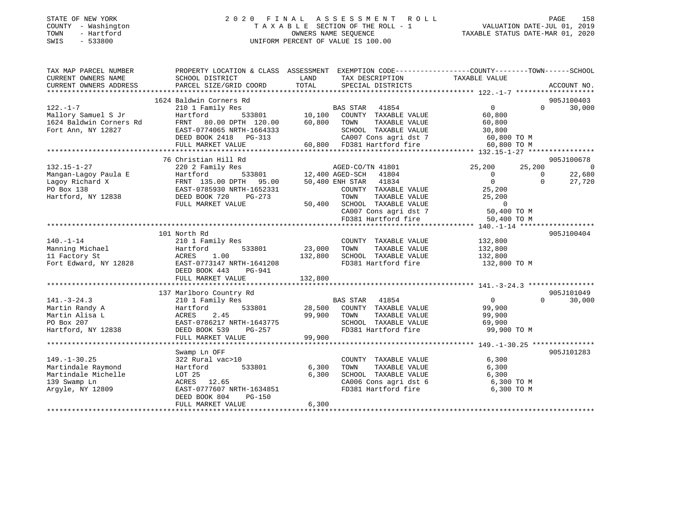| STATE OF NEW YORK |  |              |  |
|-------------------|--|--------------|--|
| COUNTY            |  | - Washington |  |
| TOWN              |  | - Hartford   |  |
| SWIS              |  | $-533800$    |  |

### STATE OF NEW YORK 2 0 2 0 F I N A L A S S E S S M E N T R O L L PAGE 158 COUNTY - Washington T A X A B L E SECTION OF THE ROLL - 1 VALUATION DATE-JUL 01, 2019 OWNERS NAME SEQUENCE TAXABLE STATUS DATE-MAR 01, 2020 SWIS - 533800 UNIFORM PERCENT OF VALUE IS 100.00

| TAX MAP PARCEL NUMBER   | PROPERTY LOCATION & CLASS ASSESSMENT EXEMPTION CODE---------------COUNTY-------TOWN------SCHOOL    |                    |                                               |                   |                          |
|-------------------------|----------------------------------------------------------------------------------------------------|--------------------|-----------------------------------------------|-------------------|--------------------------|
| CURRENT OWNERS NAME     | SCHOOL DISTRICT                                                                                    | LAND               | TAX DESCRIPTION                               | TAXABLE VALUE     |                          |
| CURRENT OWNERS ADDRESS  | PARCEL SIZE/GRID COORD                                                                             | TOTAL              | SPECIAL DISTRICTS                             |                   | ACCOUNT NO.              |
|                         |                                                                                                    |                    |                                               |                   |                          |
|                         | 1624 Baldwin Corners Rd                                                                            |                    |                                               |                   | 905J100403               |
| $122. - 1 - 7$          | 210 1 Family Res                                                                                   | s<br>533801 10,100 | BAS STAR 41854                                | $0 \qquad \qquad$ | $0 \t 30,000$            |
| Mallory Samuel S Jr     | Hartford                                                                                           |                    | COUNTY TAXABLE VALUE                          | 60,800            |                          |
| 1624 Baldwin Corners Rd | FRNT 80.00 DPTH 120.00 60,800 TOWN<br>EAST-0774065 NRTH-1664333 SCHOO                              |                    | TAXABLE VALUE                                 | 60,800            |                          |
| Fort Ann, NY 12827      |                                                                                                    |                    |                                               |                   |                          |
|                         |                                                                                                    |                    |                                               |                   |                          |
|                         |                                                                                                    |                    |                                               |                   |                          |
|                         |                                                                                                    |                    |                                               |                   |                          |
|                         | 76 Christian Hill Rd                                                                               |                    |                                               |                   | 905J100678               |
| $132.15 - 1 - 27$       | 220 2 Family Res                                                                                   |                    | AGED-CO/TN 41801                              | 25,200            | 25,200<br>$\overline{0}$ |
| Mangan-Lagoy Paula E    |                                                                                                    |                    | 533801 12,400 AGED-SCH 41804                  | $0 \qquad \qquad$ | 22,680<br>$\overline{0}$ |
| Lagoy Richard X         |                                                                                                    |                    | 50,400 ENH STAR 41834                         | $\overline{0}$    | 27,720<br>$\Omega$       |
| PO Box 138              |                                                                                                    |                    | COUNTY TAXABLE VALUE                          | 25,200            |                          |
| Hartford, NY 12838      | DEED BOOK 720<br>PG-273                                                                            |                    | TOWN<br>TAXABLE VALUE                         | 25,200            |                          |
|                         | FULL MARKET VALUE                                                                                  | 50,400             | SCHOOL TAXABLE VALUE<br>CA007 Cons agri dst 7 | $\overline{0}$    |                          |
|                         |                                                                                                    |                    |                                               | 50,400 TO M       |                          |
|                         |                                                                                                    |                    | FD381 Hartford fire                           | 50,400 TO M       |                          |
|                         |                                                                                                    |                    |                                               |                   |                          |
| $140. - 1 - 14$         | 101 North Rd<br>210 1 Family Res                                                                   |                    |                                               | 132,800           | 905J100404               |
| Manning Michael         | Hartford                                                                                           | 533801 23,000      | COUNTY TAXABLE VALUE<br>TOWN<br>TAXABLE VALUE | 132,800           |                          |
| 11 Factory St           | 1.00<br>ACRES                                                                                      | 132,800            | SCHOOL TAXABLE VALUE                          | 132,800           |                          |
| Fort Edward, NY 12828   | EAST-0773147 NRTH-1641208                                                                          |                    | FD381 Hartford fire                           | 132,800 TO M      |                          |
|                         | DEED BOOK 443<br>PG-941                                                                            |                    |                                               |                   |                          |
|                         | FULL MARKET VALUE                                                                                  | 132,800            |                                               |                   |                          |
|                         |                                                                                                    |                    |                                               |                   |                          |
|                         | 137 Marlboro Country Rd                                                                            |                    |                                               |                   | 905J101049               |
| $141. - 3 - 24.3$       | 210 1 Family Res                                                                                   |                    | BAS STAR 41854                                | $\overline{0}$    | $\Omega$<br>30,000       |
| Martin Randy A          | Hartford                                                                                           | 533801 28,500      | COUNTY TAXABLE VALUE                          | 99,900            |                          |
| Martin Alisa L          |                                                                                                    |                    | TOWN<br>TAXABLE VALUE                         | 99,900            |                          |
| PO Box 207              |                                                                                                    |                    | SCHOOL TAXABLE VALUE 69,900                   |                   |                          |
| Hartford, NY 12838      |                                                                                                    |                    | FD381 Hartford fire 99,900 TO M               |                   |                          |
|                         | ACRES 2.45 99,900<br>EAST-0786217 NRTH-1643775<br>DEED BOOK 539 PG-257<br>FULL MARKET VALUE 99,900 |                    |                                               |                   |                          |
|                         |                                                                                                    |                    |                                               |                   |                          |
|                         | Swamp Ln OFF                                                                                       |                    |                                               |                   | 905J101283               |
| $149. - 1 - 30.25$      | 322 Rural vac>10                                                                                   |                    | COUNTY TAXABLE VALUE                          | 6,300             |                          |
| Martindale Raymond      | 533801<br>Hartford                                                                                 | 6,300              | TOWN<br>TAXABLE VALUE                         | 6,300             |                          |
| Martindale Michelle     | LOT 25                                                                                             | 6,300              | SCHOOL TAXABLE VALUE                          | 6,300             |                          |
| 139 Swamp Ln            | ACRES 12.65                                                                                        |                    | CA006 Cons agri dst 6 6,300 TO M              |                   |                          |
| Arqyle, NY 12809        | EAST-0777607 NRTH-1634851                                                                          |                    | FD381 Hartford fire                           | 6,300 TO M        |                          |
|                         | DEED BOOK 804<br>PG-150                                                                            |                    |                                               |                   |                          |
|                         | FULL MARKET VALUE                                                                                  | 6,300              |                                               |                   |                          |
|                         |                                                                                                    |                    |                                               |                   |                          |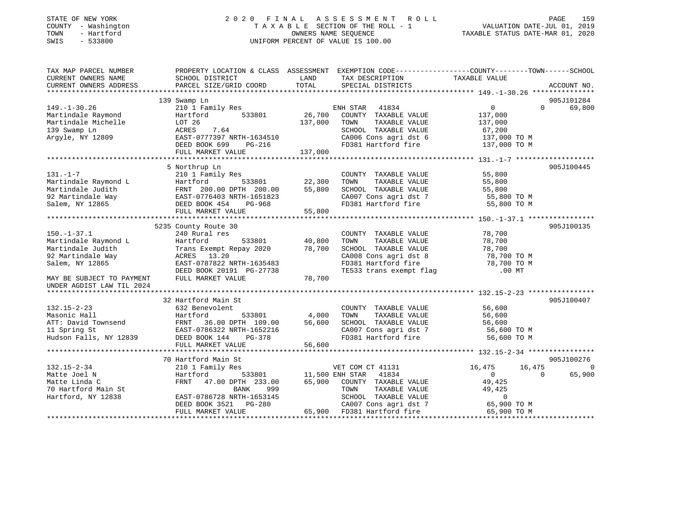| STATE OF NEW YORK |        |              |
|-------------------|--------|--------------|
| COUNTY            |        | - Washington |
| TOWN              | $\sim$ | Hartford     |
| CITJTC1           |        | F 22000      |

### STATE OF NEW YORK 2 0 2 0 F I N A L A S S E S S M E N T R O L L PAGE 159 COUNTY - Washington T A X A B L E SECTION OF THE ROLL - 1 VALUATION DATE-JUL 01, 2019 TOWN - Hartford OWNERS NAME SEQUENCE TAXABLE STATUS DATE-MAR 01, 2020 SWIS - 533800 UNIFORM PERCENT OF VALUE IS 100.00

| TAX MAP PARCEL NUMBER     |                                                      |                 | PROPERTY LOCATION & CLASS ASSESSMENT EXEMPTION CODE---------------COUNTY-------TOWN------SCHOOL |                |                                    |
|---------------------------|------------------------------------------------------|-----------------|-------------------------------------------------------------------------------------------------|----------------|------------------------------------|
| CURRENT OWNERS NAME       | SCHOOL DISTRICT                                      | LAND            | TAX DESCRIPTION                                                                                 | TAXABLE VALUE  |                                    |
| CURRENT OWNERS ADDRESS    | PARCEL SIZE/GRID COORD                               | TOTAL           | SPECIAL DISTRICTS                                                                               |                | ACCOUNT NO.                        |
|                           |                                                      |                 |                                                                                                 |                |                                    |
|                           | 139 Swamp Ln                                         |                 |                                                                                                 |                | 905J101284                         |
| $149. - 1 - 30.26$        | 210 1 Family Res                                     |                 | ENH STAR 41834                                                                                  | 0              | $\Omega$<br>69,800                 |
| Martindale Raymond        | 533801<br>Hartford                                   | 26,700          | COUNTY TAXABLE VALUE                                                                            | 137,000        |                                    |
| Martindale Michelle       | LOT 26                                               | 137,000         | TOWN<br>TAXABLE VALUE                                                                           | 137,000        |                                    |
| 139 Swamp Ln              | 7.64<br>ACRES                                        |                 | SCHOOL TAXABLE VALUE                                                                            | 67,200         |                                    |
| Argyle, NY 12809          | EAST-0777397 NRTH-1634510                            |                 | CA006 Cons agri dst 6                                                                           | 137,000 TO M   |                                    |
|                           | DEED BOOK 699<br>PG-216                              |                 | FD381 Hartford fire                                                                             | 137,000 TO M   |                                    |
|                           | FULL MARKET VALUE                                    | 137,000         |                                                                                                 |                |                                    |
|                           |                                                      |                 |                                                                                                 |                |                                    |
|                           | 5 Northrup Ln                                        |                 |                                                                                                 |                | 905J100445                         |
| $131. - 1 - 7$            | 210 1 Family Res                                     |                 | COUNTY TAXABLE VALUE                                                                            | 55,800         |                                    |
| Martindale Raymond L      | 533801<br>Hartford                                   | 22,300          | TOWN<br>TAXABLE VALUE                                                                           | 55,800         |                                    |
| Martindale Judith         |                                                      | 55,800          | SCHOOL TAXABLE VALUE                                                                            | 55,800         |                                    |
| 92 Martindale Way         | FRNT 200.00 DPTH 200.00<br>EAST-0776403 NRTH-1651823 |                 | CA007 Cons agri dst 7                                                                           | 55,800 TO M    |                                    |
| Salem, NY 12865           | DEED BOOK 454<br>PG-968                              |                 | FD381 Hartford fire 55,800 TO M                                                                 |                |                                    |
|                           | FULL MARKET VALUE                                    | 55,800          |                                                                                                 |                |                                    |
|                           |                                                      |                 |                                                                                                 |                |                                    |
|                           | 5235 County Route 30                                 |                 |                                                                                                 |                | 905J100135                         |
| $150. - 1 - 37.1$         | 240 Rural res                                        |                 | COUNTY TAXABLE VALUE                                                                            | 78,700         |                                    |
| Martindale Raymond L      | Hartford<br>533801                                   | 40,800          | TAXABLE VALUE<br>TOWN                                                                           | 78,700         |                                    |
|                           |                                                      | 78,700          |                                                                                                 | 78,700         |                                    |
| Martindale Judith         | Trans Exempt Repay 2020                              |                 | SCHOOL TAXABLE VALUE                                                                            |                |                                    |
| 92 Martindale Way         | ACRES 13.20                                          |                 | CA008 Cons agri dst 8                                                                           | 78,700 TO M    |                                    |
| Salem, NY 12865           | EAST-0787822 NRTH-1635483                            |                 | FD381 Hartford fire                                                                             | 78,700 TO M    |                                    |
|                           | DEED BOOK 20191 PG-27738                             |                 | TE533 trans exempt flag                                                                         | $.00$ MT       |                                    |
| MAY BE SUBJECT TO PAYMENT | FULL MARKET VALUE                                    | 78,700          |                                                                                                 |                |                                    |
| UNDER AGDIST LAW TIL 2024 |                                                      |                 |                                                                                                 |                |                                    |
|                           |                                                      |                 |                                                                                                 |                |                                    |
|                           | 32 Hartford Main St                                  |                 |                                                                                                 |                | 905J100407                         |
| $132.15 - 2 - 23$         | 632 Benevolent                                       |                 | COUNTY TAXABLE VALUE                                                                            | 56,600         |                                    |
| Masonic Hall              | Hartford<br>533801                                   | 4,000           | TOWN<br>TAXABLE VALUE                                                                           | 56,600         |                                    |
| ATT: David Townsend       | 36.00 DPTH 109.00<br>FRNT                            | 56,600          | SCHOOL TAXABLE VALUE                                                                            | 56,600         |                                    |
| 11 Spring St              | EAST-0786322 NRTH-1652216                            |                 | CA007 Cons agri dst 7                                                                           | 56,600 TO M    |                                    |
| Hudson Falls, NY 12839    | DEED BOOK 144<br>PG-378                              |                 | FD381 Hartford fire                                                                             | 56,600 TO M    |                                    |
|                           | FULL MARKET VALUE                                    | 56,600          |                                                                                                 |                |                                    |
|                           |                                                      |                 |                                                                                                 |                |                                    |
|                           | 70 Hartford Main St                                  |                 |                                                                                                 |                | 905J100276                         |
| 132.15-2-34               | 210 1 Family Res                                     |                 | VET COM CT 41131                                                                                | 16,475         | 16,475<br>$\overline{\phantom{0}}$ |
| Matte Joel N              | Hartford<br>533801                                   | 11,500 ENH STAR | 41834                                                                                           | $\overline{0}$ | 65,900<br>$\Omega$                 |
| Matte Linda C             | FRNT<br>47.00 DPTH 233.00                            | 65,900          | COUNTY TAXABLE VALUE                                                                            | 49,425         |                                    |
| 70 Hartford Main St       | BANK<br>999                                          |                 | TOWN<br>TAXABLE VALUE                                                                           | 49,425         |                                    |
| Hartford, NY 12838        | EAST-0786728 NRTH-1653145                            |                 | SCHOOL TAXABLE VALUE                                                                            | $\mathbf 0$    |                                    |
|                           | DEED BOOK 3521 PG-280                                |                 | CA007 Cons agri dst 7                                                                           | 65,900 TO M    |                                    |
|                           | FULL MARKET VALUE                                    |                 | 65,900 FD381 Hartford fire                                                                      | 65,900 TO M    |                                    |
|                           |                                                      |                 |                                                                                                 |                |                                    |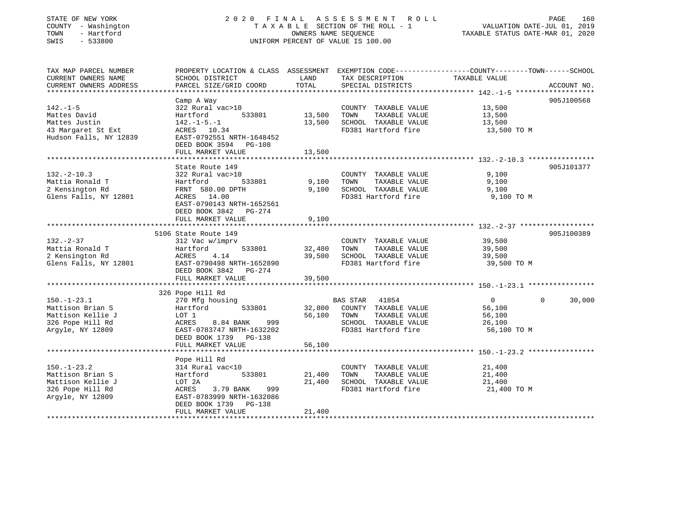| STATE OF NEW YORK<br>COUNTY - Washington<br>TOWN<br>- Hartford<br>SWIS<br>$-533800$ |                                                                                                                    | OWNERS NAME SEQUENCE  | 2020 FINAL ASSESSMENT<br>R O L L<br>TAXABLE SECTION OF THE ROLL - 1<br>UNIFORM PERCENT OF VALUE IS 100.00 | VALUATION DATE-JUL 01, 2019<br>TAXABLE STATUS DATE-MAR 01, 2020 | PAGE<br>160 |
|-------------------------------------------------------------------------------------|--------------------------------------------------------------------------------------------------------------------|-----------------------|-----------------------------------------------------------------------------------------------------------|-----------------------------------------------------------------|-------------|
| TAX MAP PARCEL NUMBER<br>CURRENT OWNERS NAME                                        | PROPERTY LOCATION & CLASS ASSESSMENT EXEMPTION CODE----------------COUNTY-------TOWN-----SCHOOL<br>SCHOOL DISTRICT | LAND                  | TAX DESCRIPTION                                                                                           | TAXABLE VALUE                                                   |             |
| CURRENT OWNERS ADDRESS                                                              | PARCEL SIZE/GRID COORD                                                                                             | TOTAL                 | SPECIAL DISTRICTS                                                                                         |                                                                 | ACCOUNT NO. |
|                                                                                     |                                                                                                                    |                       |                                                                                                           |                                                                 |             |
|                                                                                     | Camp A Way                                                                                                         |                       |                                                                                                           |                                                                 | 905J100568  |
| $142. - 1 - 5$                                                                      | 322 Rural vac>10                                                                                                   |                       | COUNTY TAXABLE VALUE                                                                                      | 13,500                                                          |             |
| Mattes David                                                                        | Hartford<br>533801                                                                                                 | 13,500                | TOWN<br>TAXABLE VALUE                                                                                     | 13,500                                                          |             |
| Mattes Justin                                                                       | $142. - 1 - 5. - 1$                                                                                                | 13,500                | SCHOOL TAXABLE VALUE                                                                                      | 13,500                                                          |             |
| 43 Margaret St Ext                                                                  | ACRES 10.34                                                                                                        |                       | FD381 Hartford fire                                                                                       | 13,500 TO M                                                     |             |
| Hudson Falls, NY 12839                                                              | EAST-0792551 NRTH-1648452<br>DEED BOOK 3594<br>PG-108                                                              |                       |                                                                                                           |                                                                 |             |
|                                                                                     | FULL MARKET VALUE<br>*******************                                                                           | 13,500                |                                                                                                           |                                                                 |             |
|                                                                                     |                                                                                                                    |                       |                                                                                                           |                                                                 |             |
| $132. -2 - 10.3$                                                                    | State Route 149                                                                                                    |                       |                                                                                                           | 9,100                                                           | 905J101377  |
| Mattia Ronald T                                                                     | 322 Rural vac>10<br>533801<br>Hartford                                                                             | 9,100                 | COUNTY TAXABLE VALUE<br>TAXABLE VALUE<br>TOWN                                                             | 9,100                                                           |             |
| 2 Kensington Rd                                                                     | FRNT 580.00 DPTH                                                                                                   | 9,100                 | SCHOOL TAXABLE VALUE                                                                                      | 9,100                                                           |             |
| Glens Falls, NY 12801                                                               | ACRES 14.00                                                                                                        |                       | FD381 Hartford fire                                                                                       | 9,100 TO M                                                      |             |
|                                                                                     | EAST-0790143 NRTH-1652561<br>DEED BOOK 3842<br>PG-274                                                              |                       |                                                                                                           |                                                                 |             |
|                                                                                     | FULL MARKET VALUE                                                                                                  | 9,100<br>******       |                                                                                                           | *********************** 132.-2-37 *******************           |             |
|                                                                                     | 5106 State Route 149                                                                                               |                       |                                                                                                           |                                                                 | 905J100389  |
| $132 - 2 - 37$                                                                      | 312 Vac w/imprv                                                                                                    |                       | COUNTY TAXABLE VALUE                                                                                      | 39,500                                                          |             |
| Mattia Ronald T                                                                     | Hartford<br>533801                                                                                                 | 32,400                | TOWN<br>TAXABLE VALUE                                                                                     | 39,500                                                          |             |
| 2 Kensington Rd                                                                     | ACRES<br>4.14                                                                                                      | 39,500                | SCHOOL TAXABLE VALUE                                                                                      | 39,500                                                          |             |
| Glens Falls, NY 12801                                                               | EAST-0790498 NRTH-1652890                                                                                          |                       | FD381 Hartford fire                                                                                       | 39,500 TO M                                                     |             |
|                                                                                     | DEED BOOK 3842<br>PG-274                                                                                           |                       |                                                                                                           |                                                                 |             |
|                                                                                     | FULL MARKET VALUE                                                                                                  | 39,500                |                                                                                                           |                                                                 |             |
|                                                                                     | * * * * * * * * * * * * * * * * * * * *                                                                            |                       |                                                                                                           |                                                                 |             |
|                                                                                     | 326 Pope Hill Rd                                                                                                   |                       |                                                                                                           |                                                                 |             |
| $150. - 1 - 23.1$                                                                   | 270 Mfg housing                                                                                                    |                       | <b>BAS STAR</b><br>41854                                                                                  | $\overline{0}$<br>$\Omega$                                      | 30,000      |
| Mattison Brian S                                                                    | 533801<br>Hartford                                                                                                 | 32,800                | COUNTY TAXABLE VALUE                                                                                      | 56,100                                                          |             |
| Mattison Kellie J                                                                   | LOT 1                                                                                                              | 56,100                | TOWN<br>TAXABLE VALUE                                                                                     | 56,100                                                          |             |
| 326 Pope Hill Rd                                                                    | ACRES<br>8.84 BANK<br>999                                                                                          |                       | SCHOOL TAXABLE VALUE                                                                                      | 26,100                                                          |             |
| Argyle, NY 12809                                                                    | EAST-0783747 NRTH-1632202                                                                                          |                       | FD381 Hartford fire                                                                                       | 56,100 TO M                                                     |             |
|                                                                                     | DEED BOOK 1739 PG-138                                                                                              |                       |                                                                                                           |                                                                 |             |
|                                                                                     | FULL MARKET VALUE<br>********************                                                                          | 56,100                |                                                                                                           |                                                                 |             |
|                                                                                     |                                                                                                                    |                       |                                                                                                           |                                                                 |             |
| $150. - 1 - 23.2$                                                                   | Pope Hill Rd<br>314 Rural vac<10                                                                                   |                       | COUNTY TAXABLE VALUE                                                                                      | 21,400                                                          |             |
| Mattison Brian S                                                                    | 533801<br>Hartford                                                                                                 | 21,400                | TAXABLE VALUE<br>TOWN                                                                                     | 21,400                                                          |             |
| Mattison Kellie J                                                                   | LOT 2A                                                                                                             | 21,400                | SCHOOL TAXABLE VALUE                                                                                      | 21,400                                                          |             |
| 326 Pope Hill Rd                                                                    | ACRES<br>3.79 BANK<br>999                                                                                          |                       | FD381 Hartford fire                                                                                       | 21,400 TO M                                                     |             |
| Argyle, NY 12809                                                                    | EAST-0783999 NRTH-1632086                                                                                          |                       |                                                                                                           |                                                                 |             |
|                                                                                     | DEED BOOK 1739<br>PG-138                                                                                           |                       |                                                                                                           |                                                                 |             |
|                                                                                     | FULL MARKET VALUE                                                                                                  | 21,400                |                                                                                                           |                                                                 |             |
|                                                                                     |                                                                                                                    | * * * * * * * * * * * |                                                                                                           |                                                                 |             |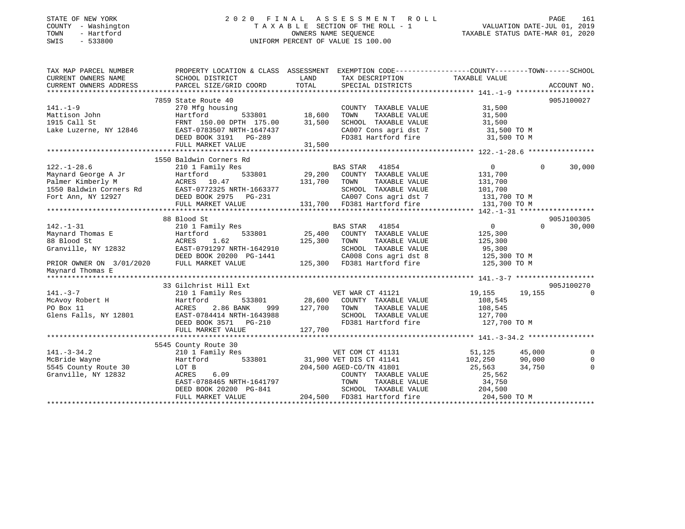### STATE OF NEW YORK 2 0 2 0 F I N A L A S S E S S M E N T R O L L PAGE 161 COUNTY - Washington T A X A B L E SECTION OF THE ROLL - 1 VALUATION DATE-JUL 01, 2019 TOWN - Hartford OWNERS NAME SEQUENCE TAXABLE STATUS DATE-MAR 01, 2020 SWIS - 533800 UNIFORM PERCENT OF VALUE IS 100.00

| TAX MAP PARCEL NUMBER<br>CURRENT OWNERS NAME                                                                                                                   | PROPERTY LOCATION & CLASS ASSESSMENT EXEMPTION CODE----------------COUNTY-------TOWN------SCHOOL<br>SCHOOL DISTRICT | LAND<br>TOTAL | TAX DESCRIPTION TAXABLE VALUE                                                                                |                              |                    |
|----------------------------------------------------------------------------------------------------------------------------------------------------------------|---------------------------------------------------------------------------------------------------------------------|---------------|--------------------------------------------------------------------------------------------------------------|------------------------------|--------------------|
| CURRENT OWNERS ADDRESS                                                                                                                                         | PARCEL SIZE/GRID COORD                                                                                              |               | SPECIAL DISTRICTS                                                                                            |                              | ACCOUNT NO.        |
|                                                                                                                                                                | 7859 State Route 40                                                                                                 |               |                                                                                                              |                              | 905J100027         |
| $141. - 1 - 9$                                                                                                                                                 | 270 Mfg housing                                                                                                     |               | COUNTY TAXABLE VALUE                                                                                         | 31,500                       |                    |
| Mattison John                                                                                                                                                  | Hartford                                                                                                            | 533801 18,600 | TAXABLE VALUE<br>TOWN                                                                                        | 31,500                       |                    |
| 1915 Call St                                                                                                                                                   | FRNT 150.00 DPTH 175.00                                                                                             | 31,500        | SCHOOL TAXABLE VALUE                                                                                         | 31,500                       |                    |
| Lake Luzerne, NY 12846                                                                                                                                         | EAST-0783507 NRTH-1647437                                                                                           |               | CA007 Cons agri dst 7                                                                                        | 31,500 TO M                  |                    |
|                                                                                                                                                                | DEED BOOK 3191    PG-289                                                                                            |               | FD381 Hartford fire                                                                                          | 31,500 TO M                  |                    |
|                                                                                                                                                                | FULL MARKET VALUE                                                                                                   | 31,500        |                                                                                                              |                              |                    |
|                                                                                                                                                                |                                                                                                                     |               |                                                                                                              |                              |                    |
|                                                                                                                                                                | 1550 Baldwin Corners Rd                                                                                             |               |                                                                                                              |                              |                    |
| $122. - 1 - 28.6$                                                                                                                                              | 210 1 Family Res                                                                                                    |               | <b>BAS STAR</b><br>41854                                                                                     | $\overline{0}$               | 30,000<br>$\Omega$ |
| Maynard George A Jr                                                                                                                                            | 533801<br>Hartford                                                                                                  | 29,200        | COUNTY TAXABLE VALUE                                                                                         | 131,700                      |                    |
| Palmer Kimberly M                                                                                                                                              | ACRES 10.47                                                                                                         | 131,700       | TOWN<br>TAXABLE VALUE                                                                                        | 131,700                      |                    |
| 1550 Baldwin Corners Rd<br>EAST-0772325 NRTH-1663377                                                                                                           |                                                                                                                     |               | SCHOOL TAXABLE VALUE                                                                                         | 101,700                      |                    |
| Fort Ann, NY 12927                                                                                                                                             | DEED BOOK 2975 PG-231                                                                                               |               | CA007 Cons agri dst 7                                                                                        | 131,700 TO M                 |                    |
|                                                                                                                                                                | FULL MARKET VALUE                                                                                                   |               | CAUU / CONS agri dst 7<br>131,700 FD381 Hartford fire<br>1111.1111.1111.1111.111.111.700 FD381 Hartford fire | 131,700 TO M                 |                    |
|                                                                                                                                                                |                                                                                                                     |               |                                                                                                              |                              |                    |
|                                                                                                                                                                | 88 Blood St                                                                                                         |               |                                                                                                              |                              | 905J100305         |
| $142. - 1 - 31$                                                                                                                                                | 210 1 Family Res                                                                                                    |               | BAS STAR 41854                                                                                               | $\overline{0}$               | $\Omega$<br>30,000 |
| Maynard Thomas E                                                                                                                                               | 533801<br>Hartford                                                                                                  | 25,400        | COUNTY TAXABLE VALUE                                                                                         | 125,300                      |                    |
| 88 Blood St                                                                                                                                                    | ACRES<br>1.62                                                                                                       | 125,300       | TAXABLE VALUE<br>TOWN                                                                                        | 125,300                      |                    |
| Granville, NY 12832                                                                                                                                            | EAST-0791297 NRTH-1642910                                                                                           |               | SCHOOL TAXABLE VALUE                                                                                         | 95,300                       |                    |
| $\begin{tabular}{lcccc} \bf PRIOR & \bf OWNER & \bf ON & \bf 3/01/2020 & & & & & \\ \bf PRIOR & \bf OWNER & \bf ON & \bf 3/01/2020 & & & & & \\ \end{tabular}$ | DEED BOOK 20200 PG-1441                                                                                             |               | CA008 Cons agri dst 8                                                                                        | 125,300 TO M<br>125,300 TO M |                    |
|                                                                                                                                                                |                                                                                                                     |               | 125,300 FD381 Hartford fire                                                                                  |                              |                    |
| Maynard Thomas E                                                                                                                                               |                                                                                                                     |               |                                                                                                              |                              |                    |
|                                                                                                                                                                | 33 Gilchrist Hill Ext                                                                                               |               |                                                                                                              |                              | 905J100270         |
| $141. - 3 - 7$                                                                                                                                                 | 210 1 Family Res                                                                                                    |               | VET WAR CT 41121                                                                                             | 19,155<br>19,155             | $\cap$             |
| McAvoy Robert H                                                                                                                                                | Hartford<br>533801                                                                                                  | 28,600        | COUNTY TAXABLE VALUE                                                                                         | 108,545                      |                    |
| PO Box 11                                                                                                                                                      | 2.86 BANK<br>999<br>ACRES                                                                                           | 127,700       | TAXABLE VALUE<br>TOWN                                                                                        | 108,545                      |                    |
| Glens Falls, NY 12801                                                                                                                                          | EAST-0784414 NRTH-1643988                                                                                           |               | SCHOOL TAXABLE VALUE                                                                                         | 127,700                      |                    |
|                                                                                                                                                                | DEED BOOK 3571 PG-210                                                                                               |               | FD381 Hartford fire                                                                                          | 127,700 TO M                 |                    |
|                                                                                                                                                                | FULL MARKET VALUE                                                                                                   | 127,700       |                                                                                                              |                              |                    |
|                                                                                                                                                                |                                                                                                                     |               |                                                                                                              |                              |                    |
|                                                                                                                                                                | 5545 County Route 30                                                                                                |               |                                                                                                              |                              |                    |
| $141. - 3 - 34.2$                                                                                                                                              | 210 1 Family Res                                                                                                    |               | VET COM CT 41131                                                                                             | 51,125<br>45,000             | $\Omega$           |
| McBride Wayne                                                                                                                                                  | 533801<br>Hartford                                                                                                  |               | 31,900 VET DIS CT 41141                                                                                      | 102,250<br>90,000            | $\mathbf 0$        |
| 5545 County Route 30                                                                                                                                           | LOT B                                                                                                               |               | 204,500 AGED-CO/TN 41801                                                                                     | 25,563<br>34,750             | $\Omega$           |
| Granville, NY 12832                                                                                                                                            | ACRES<br>6.09                                                                                                       |               | COUNTY TAXABLE VALUE                                                                                         | 25,562                       |                    |
|                                                                                                                                                                | EAST-0788465 NRTH-1641797                                                                                           |               | TOWN<br>TAXABLE VALUE                                                                                        | 34,750                       |                    |
|                                                                                                                                                                | DEED BOOK 20200 PG-841                                                                                              |               | SCHOOL TAXABLE VALUE                                                                                         | 204,500                      |                    |
|                                                                                                                                                                | FULL MARKET VALUE                                                                                                   |               | 204,500 FD381 Hartford fire                                                                                  | 204,500 TO M                 |                    |
|                                                                                                                                                                |                                                                                                                     |               |                                                                                                              |                              |                    |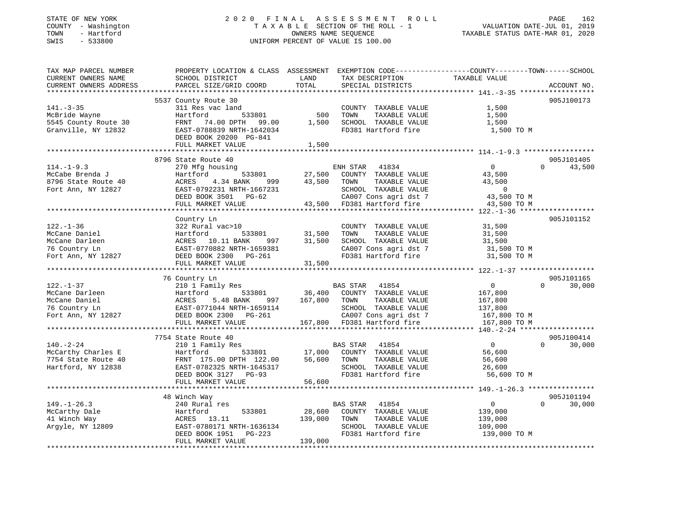### STATE OF NEW YORK 2 0 2 0 F I N A L A S S E S S M E N T R O L L PAGE 162 COUNTY - Washington T A X A B L E SECTION OF THE ROLL - 1 VALUATION DATE-JUL 01, 2019 TOWN - Hartford OWNERS NAME SEQUENCE TAXABLE STATUS DATE-MAR 01, 2020 SWIS - 533800 UNIFORM PERCENT OF VALUE IS 100.00

| TAX MAP PARCEL NUMBER                                |                                                                           |                                 |                                                                                                       | PROPERTY LOCATION & CLASS ASSESSMENT EXEMPTION CODE----------------COUNTY-------TOWN------SCHOOL |                    |
|------------------------------------------------------|---------------------------------------------------------------------------|---------------------------------|-------------------------------------------------------------------------------------------------------|--------------------------------------------------------------------------------------------------|--------------------|
| CURRENT OWNERS NAME                                  | SCHOOL DISTRICT                                                           | LAND                            | TAX DESCRIPTION                                                                                       | TAXABLE VALUE                                                                                    |                    |
| CURRENT OWNERS ADDRESS                               | PARCEL SIZE/GRID COORD                                                    | TOTAL                           | SPECIAL DISTRICTS                                                                                     |                                                                                                  | ACCOUNT NO.        |
|                                                      |                                                                           |                                 |                                                                                                       |                                                                                                  |                    |
|                                                      | 5537 County Route 30                                                      |                                 |                                                                                                       |                                                                                                  | 905J100173         |
| $141. - 3 - 35$                                      | 311 Res vac land                                                          |                                 | COUNTY TAXABLE VALUE                                                                                  | 1,500                                                                                            |                    |
| McBride Wayne                                        | 533801<br>Hartford                                                        | 500                             | TOWN<br>TAXABLE VALUE                                                                                 | 1,500                                                                                            |                    |
| 5545 County Route 30                                 | FRNT 74.00 DPTH 99.00                                                     | 1,500                           | SCHOOL TAXABLE VALUE                                                                                  | 1,500                                                                                            |                    |
| Granville, NY 12832                                  | EAST-0788839 NRTH-1642034                                                 |                                 | FD381 Hartford fire                                                                                   | 1,500 TO M                                                                                       |                    |
|                                                      | DEED BOOK 20200 PG-841                                                    |                                 |                                                                                                       |                                                                                                  |                    |
|                                                      | FULL MARKET VALUE                                                         | 1,500                           |                                                                                                       |                                                                                                  |                    |
|                                                      |                                                                           |                                 |                                                                                                       |                                                                                                  |                    |
|                                                      | 8796 State Route 40                                                       |                                 |                                                                                                       |                                                                                                  | 905J101405         |
| $114. - 1 - 9.3$                                     | 270 Mfg housing                                                           |                                 | ENH STAR 41834                                                                                        | $\overline{0}$                                                                                   | $\Omega$<br>43,500 |
| McCabe Brenda J                                      | Hartford                                                                  | 533801 27,500<br>ANK 999 43,500 | COUNTY TAXABLE VALUE                                                                                  | 43,500                                                                                           |                    |
| 8796 State Route 40                                  | 4.34 BANK<br>ACRES                                                        |                                 | TOWN<br>TAXABLE VALUE                                                                                 | 43,500                                                                                           |                    |
| Fort Ann, NY 12827                                   | EAST-0792231 NRTH-1667231                                                 |                                 |                                                                                                       |                                                                                                  |                    |
|                                                      | DEED BOOK 3501 PG-62                                                      |                                 |                                                                                                       |                                                                                                  |                    |
|                                                      | FULL MARKET VALUE                                                         |                                 | SCHOOL TAXABLE VALUE 0<br>CA007 Cons agri dst 7 43,500 TO M<br>43,500 FD381 Hartford fire 43,500 TO M |                                                                                                  |                    |
|                                                      |                                                                           |                                 |                                                                                                       |                                                                                                  |                    |
|                                                      | Country Ln                                                                |                                 |                                                                                                       |                                                                                                  | 905J101152         |
| $122. - 1 - 36$                                      | 322 Rural vac>10                                                          |                                 | COUNTY TAXABLE VALUE                                                                                  | 31,500                                                                                           |                    |
| McCane Daniel                                        | Hartford<br>533801                                                        | 31,500                          | TOWN<br>TAXABLE VALUE                                                                                 | 31,500                                                                                           |                    |
| McCane Darleen                                       | 997                                                                       | 31,500                          | SCHOOL TAXABLE VALUE                                                                                  | 31,500                                                                                           |                    |
| 76 Country Ln                                        | ACRES 10.11 Denn.<br>EAST-0770882 NRTH-1659381<br>CHE 2300 DG-261         |                                 | CA007 Cons agri dst 7                                                                                 | 31,500 TO M                                                                                      |                    |
| Fort Ann, NY 12827                                   | DEED BOOK 2300 PG-261                                                     |                                 | FD381 Hartford fire                                                                                   | 31,500 TO M                                                                                      |                    |
|                                                      | FULL MARKET VALUE                                                         | 31,500                          |                                                                                                       |                                                                                                  |                    |
|                                                      |                                                                           |                                 |                                                                                                       |                                                                                                  |                    |
|                                                      | 76 Country Ln                                                             |                                 |                                                                                                       |                                                                                                  | 905J101165         |
| $122. - 1 - 37$                                      | 210 1 Family Res                                                          |                                 | BAS STAR 41854                                                                                        | $\overline{0}$<br>$\Omega$                                                                       | 30,000             |
| McCane Darleen                                       | 533801<br>Hartford                                                        | 36,400                          | COUNTY TAXABLE VALUE                                                                                  | 167,800                                                                                          |                    |
| McCane Daniel                                        |                                                                           | 997 167,800                     | TOWN<br>TAXABLE VALUE                                                                                 | 167,800                                                                                          |                    |
| McCane Daniel<br>76 Country Ln<br>Fort Ann, NY 12827 |                                                                           |                                 | SCHOOL TAXABLE VALUE                                                                                  | 137,800                                                                                          |                    |
|                                                      | ACRES 5.48 BANK 997<br>EAST-0771044 NRTH-1659114<br>DEED BOOK 2300 PG-261 |                                 | CA007 Cons agri dst 7                                                                                 | 167,800 TO M                                                                                     |                    |
|                                                      | FULL MARKET VALUE                                                         |                                 | 167,800 FD381 Hartford fire                                                                           | 167,800 TO M                                                                                     |                    |
|                                                      |                                                                           |                                 |                                                                                                       |                                                                                                  |                    |
|                                                      | 7754 State Route 40                                                       |                                 |                                                                                                       |                                                                                                  | 905J100414         |
| $140. - 2 - 24$                                      | 210 1 Family Res                                                          |                                 | 41854<br>BAS STAR                                                                                     | $\overline{0}$<br>$\Omega$                                                                       | 30,000             |
| McCarthy Charles E                                   | Hartford<br>533801                                                        |                                 | 17,000 COUNTY TAXABLE VALUE                                                                           | 56,600                                                                                           |                    |
| 7754 State Route 40                                  | FRNT 175.00 DPTH 122.00                                                   | 56,600                          | TOWN<br>TAXABLE VALUE                                                                                 | 56,600                                                                                           |                    |
| Hartford, NY 12838                                   | EAST-0782325 NRTH-1645317                                                 |                                 | SCHOOL TAXABLE VALUE                                                                                  | 26,600                                                                                           |                    |
|                                                      | DEED BOOK 3127 PG-93                                                      |                                 | FD381 Hartford fire                                                                                   | 56,600 TO M                                                                                      |                    |
|                                                      | FULL MARKET VALUE                                                         | 56,600                          |                                                                                                       |                                                                                                  |                    |
|                                                      |                                                                           |                                 |                                                                                                       |                                                                                                  |                    |
|                                                      | 48 Winch Way                                                              |                                 |                                                                                                       |                                                                                                  | 905J101194         |
| $149. - 1 - 26.3$                                    | 240 Rural res                                                             |                                 | BAS STAR<br>41854                                                                                     | $\Omega$<br>$\overline{0}$                                                                       | 30,000             |
| McCarthy Dale                                        | 533801<br>Hartford                                                        | 28,600                          | COUNTY TAXABLE VALUE                                                                                  | 139,000                                                                                          |                    |
| McCarthy Dale<br>41 Winch Way<br>Argyle, NY 12809    | ACRES 13.11                                                               | 139,000                         | TAXABLE VALUE<br>TOWN                                                                                 | 139,000                                                                                          |                    |
|                                                      | EAST-0780171 NRTH-1636134                                                 |                                 | SCHOOL TAXABLE VALUE                                                                                  | 109,000                                                                                          |                    |
|                                                      | DEED BOOK 1951<br>PG-223                                                  |                                 | FD381 Hartford fire                                                                                   | 139,000 TO M                                                                                     |                    |
|                                                      | FULL MARKET VALUE                                                         | 139,000                         |                                                                                                       |                                                                                                  |                    |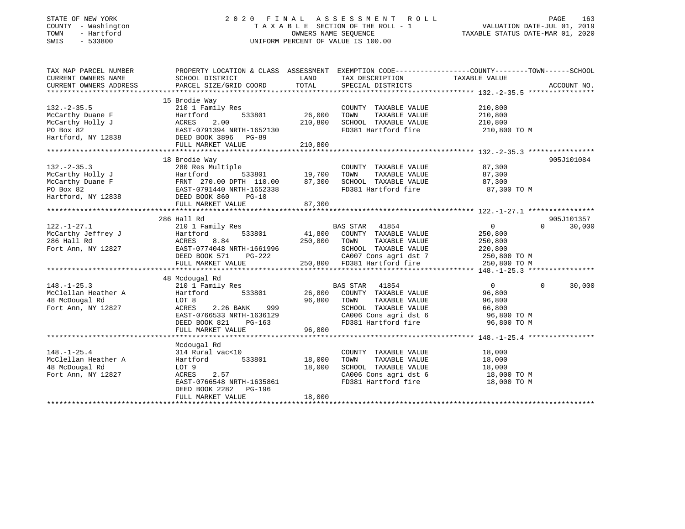### STATE OF NEW YORK 2 0 2 0 F I N A L A S S E S S M E N T R O L L PAGE 163 COUNTY - Washington T A X A B L E SECTION OF THE ROLL - 1 VALUATION DATE-JUL 01, 2019 TOWN - Hartford OWNERS NAME SEQUENCE TAXABLE STATUS DATE-MAR 01, 2020 SWIS - 533800 UNIFORM PERCENT OF VALUE IS 100.00

| TAX MAP PARCEL NUMBER  | PROPERTY LOCATION & CLASS ASSESSMENT EXEMPTION CODE---------------COUNTY-------TOWN-----SCHOOL                                                                                                                                                                                                                                                                                                                                           |        |                                                                                         |                            |                          |
|------------------------|------------------------------------------------------------------------------------------------------------------------------------------------------------------------------------------------------------------------------------------------------------------------------------------------------------------------------------------------------------------------------------------------------------------------------------------|--------|-----------------------------------------------------------------------------------------|----------------------------|--------------------------|
| CURRENT OWNERS NAME    | SCHOOL DISTRICT                                                                                                                                                                                                                                                                                                                                                                                                                          |        | LAND TAX DESCRIPTION TAXABLE VALUE                                                      |                            |                          |
| CURRENT OWNERS ADDRESS | PARCEL SIZE/GRID COORD TOTAL SPECIAL DISTRICTS                                                                                                                                                                                                                                                                                                                                                                                           |        |                                                                                         |                            | ACCOUNT NO.              |
|                        |                                                                                                                                                                                                                                                                                                                                                                                                                                          |        |                                                                                         |                            |                          |
|                        |                                                                                                                                                                                                                                                                                                                                                                                                                                          |        |                                                                                         |                            |                          |
|                        |                                                                                                                                                                                                                                                                                                                                                                                                                                          |        |                                                                                         |                            |                          |
|                        |                                                                                                                                                                                                                                                                                                                                                                                                                                          |        |                                                                                         |                            |                          |
|                        |                                                                                                                                                                                                                                                                                                                                                                                                                                          |        |                                                                                         |                            |                          |
|                        |                                                                                                                                                                                                                                                                                                                                                                                                                                          |        | FD381 Hartford fire 210,800 TO M                                                        |                            |                          |
|                        | 132.-2-35.5<br>McCarthy Duane F<br>McCarthy Holly J<br>McCarthy Holly J<br>McCarthy Holly J<br>McCarthy Holly J<br>McCarthy Holly J<br>McCarthy Holly J<br>McCarthy Holly J<br>McCarthy Holly J<br>McCarthy Holly J<br>McCarthy Holly J<br>McCarthy Ho                                                                                                                                                                                   |        |                                                                                         |                            |                          |
|                        | FULL MARKET VALUE 210,800                                                                                                                                                                                                                                                                                                                                                                                                                |        |                                                                                         |                            |                          |
|                        |                                                                                                                                                                                                                                                                                                                                                                                                                                          |        |                                                                                         |                            |                          |
|                        |                                                                                                                                                                                                                                                                                                                                                                                                                                          |        |                                                                                         |                            | 905J101084               |
|                        |                                                                                                                                                                                                                                                                                                                                                                                                                                          |        |                                                                                         |                            |                          |
|                        |                                                                                                                                                                                                                                                                                                                                                                                                                                          |        |                                                                                         |                            |                          |
|                        |                                                                                                                                                                                                                                                                                                                                                                                                                                          |        |                                                                                         |                            |                          |
|                        |                                                                                                                                                                                                                                                                                                                                                                                                                                          |        | FD381 Hartford fire 57,300 TO M                                                         |                            |                          |
|                        |                                                                                                                                                                                                                                                                                                                                                                                                                                          |        |                                                                                         |                            |                          |
|                        |                                                                                                                                                                                                                                                                                                                                                                                                                                          |        |                                                                                         |                            |                          |
|                        |                                                                                                                                                                                                                                                                                                                                                                                                                                          |        |                                                                                         |                            |                          |
|                        | 286 Hall Rd                                                                                                                                                                                                                                                                                                                                                                                                                              |        |                                                                                         |                            | 905J101357               |
|                        |                                                                                                                                                                                                                                                                                                                                                                                                                                          |        |                                                                                         |                            | $\overline{0}$<br>30,000 |
|                        |                                                                                                                                                                                                                                                                                                                                                                                                                                          |        |                                                                                         |                            |                          |
|                        |                                                                                                                                                                                                                                                                                                                                                                                                                                          |        |                                                                                         |                            |                          |
|                        |                                                                                                                                                                                                                                                                                                                                                                                                                                          |        |                                                                                         |                            |                          |
|                        |                                                                                                                                                                                                                                                                                                                                                                                                                                          |        |                                                                                         |                            |                          |
|                        | $\begin{array}{ccccccccc} \texttt{122.-1-27.1} & \texttt{200 Hill KG} & \texttt{BAS STAR} & \texttt{41854} & \texttt{0} \\ \texttt{McCarthy Jeffrey J} & \texttt{Hartford} & \texttt{533801} & \texttt{41,800} & \texttt{COUNTY TAXABLE VALUE} & \texttt{250,800} \\ \texttt{286 Hall Rd} & \texttt{ACRES} & \texttt{8.84} & \texttt{250,800} & \texttt{TOWN} & \texttt{TAXABLE VALUE} & \texttt{250,800} \\ \texttt{Fort Ann, NY 12827$ |        |                                                                                         |                            |                          |
|                        |                                                                                                                                                                                                                                                                                                                                                                                                                                          |        |                                                                                         |                            |                          |
|                        | 48 Mcdougal Rd                                                                                                                                                                                                                                                                                                                                                                                                                           |        |                                                                                         |                            |                          |
|                        | 46 McClellan Heather A<br>McClellan Heather A<br>McClellan Heather A<br>Hartford 533801<br>McClellan Heather A<br>McClellan Heather A<br>McClellan Heather A<br>McClellan Heather A<br>McClellan Heather A<br>McClellan Heather A<br>McClellan Hea                                                                                                                                                                                       |        |                                                                                         | $\Omega$<br>$\overline{0}$ | 30,000                   |
|                        |                                                                                                                                                                                                                                                                                                                                                                                                                                          |        |                                                                                         |                            |                          |
|                        |                                                                                                                                                                                                                                                                                                                                                                                                                                          |        |                                                                                         |                            |                          |
|                        |                                                                                                                                                                                                                                                                                                                                                                                                                                          |        |                                                                                         |                            |                          |
|                        |                                                                                                                                                                                                                                                                                                                                                                                                                                          |        |                                                                                         |                            |                          |
|                        | EAST-0766533 NRTH-1636129<br>DEED BOOK 821 PG-163                                                                                                                                                                                                                                                                                                                                                                                        |        |                                                                                         |                            |                          |
|                        | FULL MARKET VALUE                                                                                                                                                                                                                                                                                                                                                                                                                        | 96,800 |                                                                                         |                            |                          |
|                        |                                                                                                                                                                                                                                                                                                                                                                                                                                          |        |                                                                                         |                            |                          |
|                        | Mcdougal Rd                                                                                                                                                                                                                                                                                                                                                                                                                              |        |                                                                                         |                            |                          |
| $148. - 1 - 25.4$      | 314 Rural vac<10                                                                                                                                                                                                                                                                                                                                                                                                                         |        |                                                                                         |                            |                          |
| McClellan Heather A    | Hartford 533801 18,000                                                                                                                                                                                                                                                                                                                                                                                                                   |        | COUNTY TAXABLE VALUE 18,000<br>TOWN TAXABLE VALUE 18,000<br>SCHOOL TAXABLE VALUE 18,000 |                            |                          |
| 48 McDougal Rd         | LOT 9                                                                                                                                                                                                                                                                                                                                                                                                                                    | 18,000 |                                                                                         |                            |                          |
| Fort Ann, NY 12827     | LOT 9<br>ACRES 2.57<br>ACRES 2.57<br>EAST-0766548 NRTH-1635861                                                                                                                                                                                                                                                                                                                                                                           |        | CA006 Cons agri dst 6 18,000 TO M                                                       |                            |                          |
|                        |                                                                                                                                                                                                                                                                                                                                                                                                                                          |        | FD381 Hartford fire                                                                     | 18,000 TO M                |                          |
|                        | DEED BOOK 2282 PG-196                                                                                                                                                                                                                                                                                                                                                                                                                    |        |                                                                                         |                            |                          |
|                        | FULL MARKET VALUE                                                                                                                                                                                                                                                                                                                                                                                                                        | 18,000 |                                                                                         |                            |                          |
|                        |                                                                                                                                                                                                                                                                                                                                                                                                                                          |        |                                                                                         |                            |                          |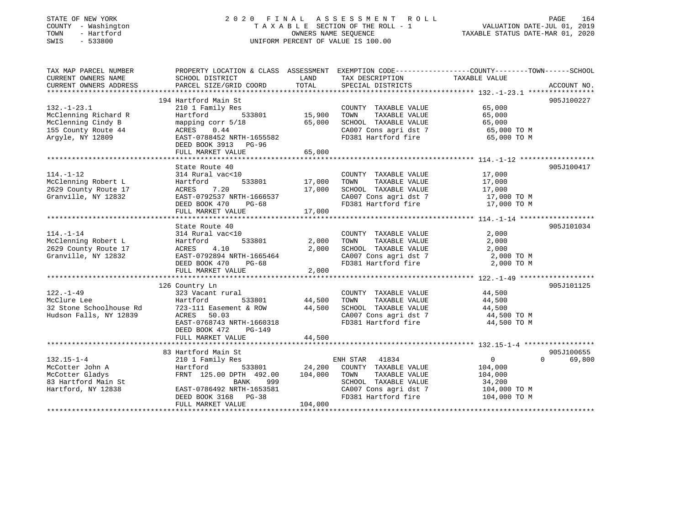### STATE OF NEW YORK 2 0 2 0 F I N A L A S S E S S M E N T R O L L PAGE 164 COUNTY - Washington T A X A B L E SECTION OF THE ROLL - 1 VALUATION DATE-JUL 01, 2019 TOWN - Hartford OWNERS NAME SEQUENCE TAXABLE STATUS DATE-MAR 01, 2020 SWIS - 533800 UNIFORM PERCENT OF VALUE IS 100.00UNIFORM PERCENT OF VALUE IS 100.00

| TAX MAP PARCEL NUMBER<br>CURRENT OWNERS NAME<br>CURRENT OWNERS ADDRESS                                     | SCHOOL DISTRICT<br>PARCEL SIZE/GRID COORD                                                                                                                                      | LAND<br>TOTAL                       | TAX DESCRIPTION TAXABLE VALUE<br>SPECIAL DISTRICTS                                                                                             | PROPERTY LOCATION & CLASS ASSESSMENT EXEMPTION CODE---------------COUNTY-------TOWN------SCHOOL<br>ACCOUNT NO.     |
|------------------------------------------------------------------------------------------------------------|--------------------------------------------------------------------------------------------------------------------------------------------------------------------------------|-------------------------------------|------------------------------------------------------------------------------------------------------------------------------------------------|--------------------------------------------------------------------------------------------------------------------|
| $132. - 1 - 23.1$<br>McClenning Richard R<br>McClenning Cindy B<br>155 County Route 44<br>Argyle, NY 12809 | 194 Hartford Main St<br>210 1 Family Res<br>Hartford<br>533801<br>mapping corr 5/18<br>0.44<br>ACRES<br>EAST-0788452 NRTH-1655582<br>DEED BOOK 3913 PG-96                      | 15,900<br>65,000                    | COUNTY TAXABLE VALUE<br>TAXABLE VALUE<br>TOWN<br>SCHOOL TAXABLE VALUE<br>CA007 Cons agri dst 7<br>CA007 Cons agri dst 7<br>FD381 Hartford fire | 905J100227<br>65,000<br>65,000<br>65,000<br>65,000 TO M<br>65,000 TO M                                             |
|                                                                                                            | FULL MARKET VALUE                                                                                                                                                              | 65,000                              |                                                                                                                                                |                                                                                                                    |
| $114. - 1 - 12$<br>McClenning Robert L<br>2629 County Route 17<br>Granville, NY 12832                      | State Route 40<br>314 Rural vac<10<br>Hartford<br>ACRES<br>7.20<br>EAST-0792537 NRTH-1666537<br>DEED BOOK 470<br>PG-68<br>FULL MARKET VALUE                                    | 533801 17,000<br>17,000<br>17,000   | COUNTY TAXABLE VALUE<br>TAXABLE VALUE<br>TOWN<br>SCHOOL TAXABLE VALUE<br>FD381 Hartford fire                                                   | 905J100417<br>17,000<br>17,000<br>17,000<br>CA007 Cons agri dst 7 17,000 TO M<br>17,000 TO M                       |
| $114. - 1 - 14$<br>McClenning Robert L<br>2629 County Route 17<br>Granville, NY 12832                      | State Route 40<br>314 Rural vac<10<br>533801<br>Hartford<br>ACRES<br>4.10<br>EAST-0792894 NRTH-1665464<br>DEED BOOK 470<br>$PG-68$<br>FULL MARKET VALUE                        | 2,000<br>2,000<br>2,000             | COUNTY TAXABLE VALUE<br>TOWN<br>TAXABLE VALUE<br>SCHOOL TAXABLE VALUE<br>CA007 Cons agri dst 7<br>FD381 Hartford fire                          | 905J101034<br>2,000<br>2,000<br>2,000<br>2,000 TO M<br>2,000 TO M                                                  |
| $122. - 1 - 49$<br>McClure Lee<br>32 Stone Schoolhouse Rd<br>Hudson Falls, NY 12839                        | 126 Country Ln<br>323 Vacant rural<br>Hartford<br>533801<br>723-111 Easement & ROW<br>ACRES 50.03<br>EAST-0768743 NRTH-1660318<br>DEED BOOK 472<br>PG-149<br>FULL MARKET VALUE | 44,500<br>44,500<br>44,500          | COUNTY TAXABLE VALUE<br>TAXABLE VALUE<br>TOWN<br>SCHOOL TAXABLE VALUE<br>CA007 Cons agri dst 7<br>FD381 Hartford fire                          | 905J101125<br>44,500<br>44,500<br>44,500<br>44,500 TO M<br>44,500 TO M                                             |
| $132.15 - 1 - 4$<br>McCotter John A<br>McCotter Gladys<br>83 Hartford Main St<br>Hartford, NY 12838        | 83 Hartford Main St<br>210 1 Family Res<br>Hartford<br>FRNT 125.00 DPTH 492.00<br>999<br>BANK<br>EAST-0786492 NRTH-1653581<br>DEED BOOK 3168 PG-38<br>FULL MARKET VALUE        | 533801 24,200<br>104,000<br>104,000 | ENH STAR 41834<br>COUNTY TAXABLE VALUE<br>TAXABLE VALUE<br>TOWN<br>SCHOOL TAXABLE VALUE<br>CA007 Cons agri dst 7<br>FD381 Hartford fire        | 905J100655<br>$\overline{0}$<br>$\Omega$<br>69,800<br>104,000<br>104,000<br>34,200<br>104,000 TO M<br>104,000 TO M |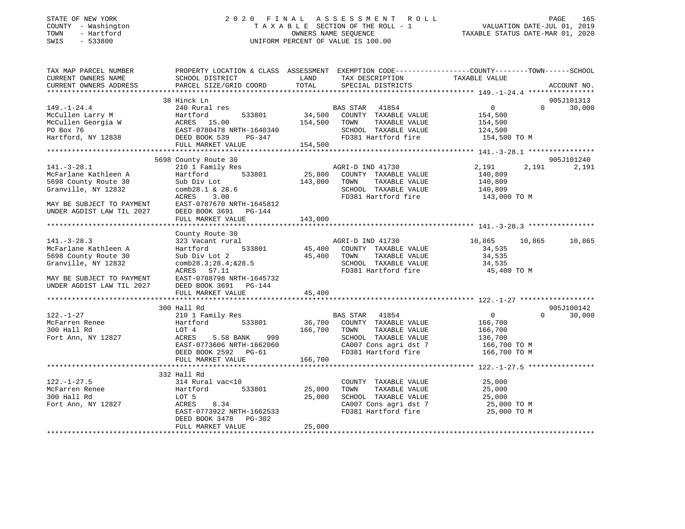### STATE OF NEW YORK 2 0 2 0 F I N A L A S S E S S M E N T R O L L PAGE 165 COUNTY - Washington T A X A B L E SECTION OF THE ROLL - 1 VALUATION DATE-JUL 01, 2019 TOWN - Hartford OWNERS NAME SEQUENCE TAXABLE STATUS DATE-MAR 01, 2020 SWIS - 533800 UNIFORM PERCENT OF VALUE IS 100.00

| TAX MAP PARCEL NUMBER<br>CURRENT OWNERS NAME<br>CURRENT OWNERS ADDRESS                                                                             | PROPERTY LOCATION & CLASS ASSESSMENT<br>SCHOOL DISTRICT<br>PARCEL SIZE/GRID COORD                                                                                                               | LAND<br>TOTAL                | EXEMPTION CODE-----------------COUNTY-------TOWN------SCHOOL<br>TAX DESCRIPTION<br>SPECIAL DISTRICTS                                    | TAXABLE VALUE                                                                   |          | ACCOUNT NO.          |
|----------------------------------------------------------------------------------------------------------------------------------------------------|-------------------------------------------------------------------------------------------------------------------------------------------------------------------------------------------------|------------------------------|-----------------------------------------------------------------------------------------------------------------------------------------|---------------------------------------------------------------------------------|----------|----------------------|
|                                                                                                                                                    |                                                                                                                                                                                                 |                              |                                                                                                                                         |                                                                                 |          |                      |
| $149. - 1 - 24.4$<br>McCullen Larry M<br>McCullen Georgia W<br>PO Box 76<br>Hartford, NY 12838                                                     | 38 Hinck Ln<br>240 Rural res<br>533801<br>Hartford<br>ACRES 15.00<br>EAST-0780478 NRTH-1640340<br>DEED BOOK 539<br>PG-347<br>FULL MARKET VALUE                                                  | 34,500<br>154,500<br>154,500 | BAS STAR 41854<br>COUNTY TAXABLE VALUE<br>TOWN<br>TAXABLE VALUE<br>SCHOOL TAXABLE VALUE<br>FD381 Hartford fire                          | $\overline{0}$<br>154,500<br>154,500<br>124,500<br>154,500 TO M                 | $\Omega$ | 905J101313<br>30,000 |
|                                                                                                                                                    |                                                                                                                                                                                                 |                              |                                                                                                                                         |                                                                                 |          |                      |
| $141. - 3 - 28.1$<br>McFarlane Kathleen A<br>5698 County Route 30<br>Granville, NY 12832<br>MAY BE SUBJECT TO PAYMENT<br>UNDER AGDIST LAW TIL 2027 | 5698 County Route 30<br>210 1 Family Res<br>Hartford<br>533801<br>Sub Div Lot<br>comb28.1 & 28.6<br>ACRES<br>3.00<br>EAST-0787670 NRTH-1645812<br>DEED BOOK 3691<br>PG-144<br>FULL MARKET VALUE | 25,800<br>143,000<br>143,000 | AGRI-D IND 41730<br>COUNTY TAXABLE VALUE<br>TOWN<br>TAXABLE VALUE<br>SCHOOL TAXABLE VALUE<br>FD381 Hartford fire                        | 2,191<br>140,809<br>140,809<br>140,809<br>143,000 TO M                          | 2,191    | 905J101240<br>2,191  |
|                                                                                                                                                    |                                                                                                                                                                                                 |                              |                                                                                                                                         |                                                                                 |          |                      |
| $141. - 3 - 28.3$<br>McFarlane Kathleen A<br>5698 County Route 30<br>Granville, NY 12832<br>MAY BE SUBJECT TO PAYMENT<br>UNDER AGDIST LAW TIL 2027 | County Route 30<br>323 Vacant rural<br>533801<br>Hartford<br>Sub Div Lot 2<br>comb28.3;28.4;&28.5<br>ACRES 57.11<br>EAST-0788798 NRTH-1645732<br>DEED BOOK 3691 PG-144                          | 45,400<br>45,400             | AGRI-D IND 41730<br>COUNTY TAXABLE VALUE<br>TOWN<br>TAXABLE VALUE<br>SCHOOL TAXABLE VALUE<br>FD381 Hartford fire                        | 10,865<br>34,535<br>34,535<br>34,535<br>45,400 TO M                             | 10,865   | 10,865               |
|                                                                                                                                                    | FULL MARKET VALUE                                                                                                                                                                               | 45,400                       |                                                                                                                                         |                                                                                 |          |                      |
| $122. - 1 - 27$<br>McFarren Renee<br>300 Hall Rd<br>Fort Ann, NY 12827                                                                             | 300 Hall Rd<br>210 1 Family Res<br>533801<br>Hartford<br>LOT 4<br>5.58 BANK<br>999<br>ACRES<br>EAST-0773606 NRTH-1662060<br>DEED BOOK 2592 PG-61<br>FULL MARKET VALUE                           | 36,700<br>166,700<br>166,700 | BAS STAR 41854<br>COUNTY TAXABLE VALUE<br>TAXABLE VALUE<br>TOWN<br>SCHOOL TAXABLE VALUE<br>CA007 Cons agri dst 7<br>FD381 Hartford fire | $\overline{0}$<br>166,700<br>166,700<br>136,700<br>166,700 то м<br>166,700 TO M | $\Omega$ | 905J100142<br>30,000 |
|                                                                                                                                                    | 332 Hall Rd                                                                                                                                                                                     |                              |                                                                                                                                         |                                                                                 |          |                      |
| $122. - 1 - 27.5$<br>McFarren Renee<br>300 Hall Rd<br>Fort Ann, NY 12827                                                                           | 314 Rural vac<10<br>533801<br>Hartford<br>LOT 5<br>ACRES<br>8.34<br>EAST-0773922 NRTH-1662533<br>DEED BOOK 3478<br>PG-302                                                                       | 25,000<br>25,000             | COUNTY TAXABLE VALUE<br>TOWN<br>TAXABLE VALUE<br>SCHOOL TAXABLE VALUE<br>CA007 Cons agri dst 7<br>FD381 Hartford fire                   | 25,000<br>25,000<br>25,000<br>25,000 TO M<br>25,000 TO M                        |          |                      |
|                                                                                                                                                    | FULL MARKET VALUE                                                                                                                                                                               | 25,000                       |                                                                                                                                         |                                                                                 |          |                      |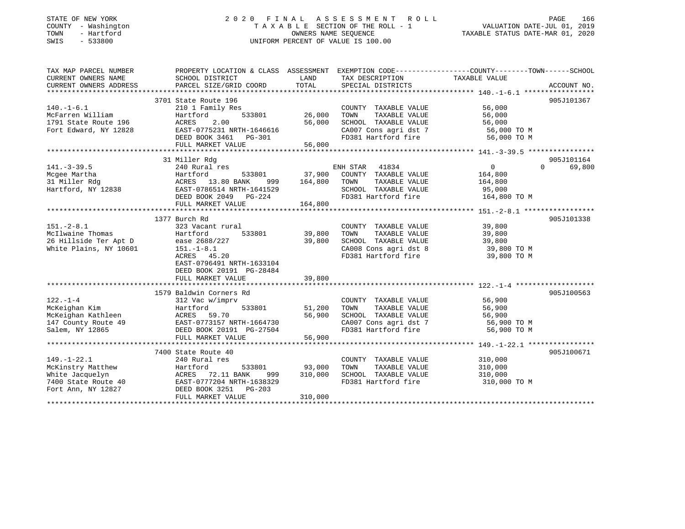| STATE OF NEW YORK |              |
|-------------------|--------------|
| COUNTY            | - Washington |
| TOWN              | - Hartford   |
| <b>CMTC</b>       | 533800       |

## STATE OF NEW YORK 2 0 2 0 F I N A L A S S E S S M E N T R O L L PAGE 166T A X A B L E SECTION OF THE ROLL - 1<br>OWNERS NAME SEQUENCE SWIS - 533800 UNIFORM PERCENT OF VALUE IS 100.00

# VALUATION DATE-JUL 01, 2019

TAXABLE STATUS DATE-MAR 01, 2020

| TAX MAP PARCEL NUMBER<br>CURRENT OWNERS NAME<br>CURRENT OWNERS ADDRESS | PROPERTY LOCATION & CLASS ASSESSMENT EXEMPTION CODE----------------COUNTY-------TOWN------SCHOOL<br>SCHOOL DISTRICT<br>PARCEL SIZE/GRID COORD | LAND<br>TOTAL | TAX DESCRIPTION<br>SPECIAL DISTRICTS                                                     | TAXABLE VALUE | ACCOUNT NO. |
|------------------------------------------------------------------------|-----------------------------------------------------------------------------------------------------------------------------------------------|---------------|------------------------------------------------------------------------------------------|---------------|-------------|
|                                                                        |                                                                                                                                               |               |                                                                                          |               |             |
|                                                                        | 3701 State Route 196                                                                                                                          |               |                                                                                          |               | 905J101367  |
| $140. - 1 - 6.1$                                                       | 210 1 Family Res                                                                                                                              |               | COUNTY TAXABLE VALUE                                                                     | 56,000        |             |
| McFarren William                                                       | Hartford<br>533801                                                                                                                            | 26,000        | TOWN<br>TAXABLE VALUE                                                                    | 56,000        |             |
| 1791 State Route 196                                                   | 2.00<br>ACRES                                                                                                                                 | 56,000        | SCHOOL TAXABLE VALUE                                                                     | 56,000        |             |
| Fort Edward, NY 12828                                                  | EAST-0775231 NRTH-1646616                                                                                                                     |               | CA007 Cons agri dst 7 56,000 TO M                                                        |               |             |
|                                                                        | DEED BOOK 3461    PG-301                                                                                                                      |               | FD381 Hartford fire                                                                      | 56,000 TO M   |             |
|                                                                        | FULL MARKET VALUE                                                                                                                             | 56,000        |                                                                                          |               |             |
|                                                                        |                                                                                                                                               |               |                                                                                          |               |             |
|                                                                        | 31 Miller Rdg                                                                                                                                 |               |                                                                                          |               | 905J101164  |
| $141. - 3 - 39.5$                                                      | 240 Rural res                                                                                                                                 |               | ENH STAR<br>41834                                                                        | 0<br>$\Omega$ | 69,800      |
| Mcgee Martha                                                           | Hartford<br>533801                                                                                                                            |               | 37,900 COUNTY TAXABLE VALUE                                                              | 164,800       |             |
| Mcgee Martha<br>31 Miller Rdg<br>Hartford, NY 12838                    | ACRES 13.80 BANK<br>999                                                                                                                       | 164,800       | TOWN<br>TAXABLE VALUE                                                                    | 164,800       |             |
|                                                                        | EAST-0786514 NRTH-1641529                                                                                                                     |               | SCHOOL TAXABLE VALUE                                                                     | 95,000        |             |
|                                                                        | DEED BOOK 2049 PG-224                                                                                                                         |               | FD381 Hartford fire                                                                      | 164,800 TO M  |             |
|                                                                        | FULL MARKET VALUE                                                                                                                             | 164,800       |                                                                                          |               |             |
|                                                                        |                                                                                                                                               |               |                                                                                          |               |             |
|                                                                        | 1377 Burch Rd                                                                                                                                 |               |                                                                                          |               | 905J101338  |
| $151. - 2 - 8.1$                                                       | 323 Vacant rural                                                                                                                              |               | COUNTY TAXABLE VALUE                                                                     | 39,800        |             |
| McIlwaine Thomas                                                       | 533801<br>Hartford                                                                                                                            | 39,800        | TAXABLE VALUE<br>TOWN                                                                    | 39,800        |             |
| 26 Hillside Ter Apt D                                                  | ease 2688/227                                                                                                                                 | 39,800        | SCHOOL TAXABLE VALUE                                                                     | 39,800        |             |
| White Plains, NY 10601                                                 | $151. - 1 - 8.1$                                                                                                                              |               | CA008 Cons agri dst 8                                                                    | 39,800 TO M   |             |
|                                                                        | ACRES 45.20                                                                                                                                   |               | FD381 Hartford fire                                                                      | 39,800 TO M   |             |
|                                                                        | EAST-0796491 NRTH-1633104                                                                                                                     |               |                                                                                          |               |             |
|                                                                        | DEED BOOK 20191 PG-28484                                                                                                                      |               |                                                                                          |               |             |
|                                                                        | FULL MARKET VALUE                                                                                                                             | 39,800        |                                                                                          |               |             |
|                                                                        |                                                                                                                                               |               |                                                                                          |               |             |
|                                                                        | 1579 Baldwin Corners Rd                                                                                                                       |               |                                                                                          |               | 905J100563  |
| $122. - 1 - 4$                                                         | 312 Vac w/imprv                                                                                                                               |               | COUNTY TAXABLE VALUE                                                                     | 56,900        |             |
| McKeighan Kim                                                          | Hartford<br>533801                                                                                                                            | 51,200        | TAXABLE VALUE<br>TOWN                                                                    | 56,900        |             |
| McKeighan Kathleen                                                     | ACRES 59.70                                                                                                                                   | 56,900        | SCHOOL TAXABLE VALUE<br>SCHOOL TAXABLE VALUE 56,900<br>CA007 Cons agri dst 7 56,900 TO M | 56,900        |             |
| 147 County Route 49                                                    | EAST-0773157 NRTH-1664730                                                                                                                     |               |                                                                                          |               |             |
| Salem, NY 12865                                                        | DEED BOOK 20191 PG-27504                                                                                                                      |               | FD381 Hartford fire                                                                      | 56,900 TO M   |             |
|                                                                        | FULL MARKET VALUE                                                                                                                             | 56,900        |                                                                                          |               |             |
|                                                                        |                                                                                                                                               |               |                                                                                          |               |             |
|                                                                        | 7400 State Route 40                                                                                                                           |               |                                                                                          |               | 905J100671  |
| $149. - 1 - 22.1$                                                      | 240 Rural res                                                                                                                                 |               | COUNTY TAXABLE VALUE                                                                     | 310,000       |             |
| McKinstry Matthew                                                      | Hartford<br>533801                                                                                                                            | 93,000        | TOWN<br>TAXABLE VALUE                                                                    | 310,000       |             |
| White Jacquelyn                                                        | ACRES 72.11 BANK<br>999                                                                                                                       | 310,000       | SCHOOL TAXABLE VALUE                                                                     | 310,000       |             |
| 7400 State Route 40                                                    | EAST-0777204 NRTH-1638329                                                                                                                     |               | FD381 Hartford fire                                                                      | 310,000 TO M  |             |
| Fort Ann, NY 12827                                                     | DEED BOOK 3251 PG-203                                                                                                                         |               |                                                                                          |               |             |
|                                                                        | FULL MARKET VALUE                                                                                                                             | 310,000       |                                                                                          |               |             |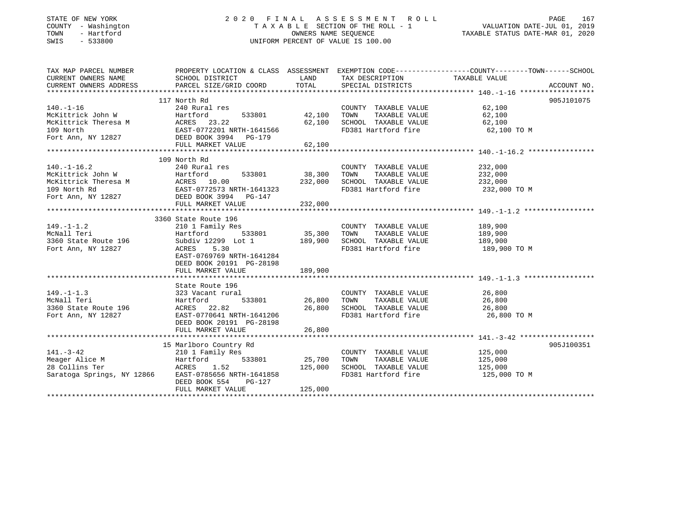### STATE OF NEW YORK 2 0 2 0 F I N A L A S S E S S M E N T R O L L PAGE 167 COUNTY - Washington T A X A B L E SECTION OF THE ROLL - 1 VALUATION DATE-JUL 01, 2019 TOWN - Hartford OWNERS NAME SEQUENCE TAXABLE STATUS DATE-MAR 01, 2020 SWIS - 533800 UNIFORM PERCENT OF VALUE IS 100.00

| TAX MAP PARCEL NUMBER               | PROPERTY LOCATION & CLASS ASSESSMENT EXEMPTION CODE---------------COUNTY-------TOWN-----SCHOOL                                                                                                                                                     |         |                                                                                                                                                                                                                                                         |                       |            |
|-------------------------------------|----------------------------------------------------------------------------------------------------------------------------------------------------------------------------------------------------------------------------------------------------|---------|---------------------------------------------------------------------------------------------------------------------------------------------------------------------------------------------------------------------------------------------------------|-----------------------|------------|
| CURRENT OWNERS NAME SCHOOL DISTRICT |                                                                                                                                                                                                                                                    |         | LAND TAX DESCRIPTION TAXABLE VALUE                                                                                                                                                                                                                      |                       |            |
|                                     |                                                                                                                                                                                                                                                    |         |                                                                                                                                                                                                                                                         |                       |            |
|                                     | 117 North Rd                                                                                                                                                                                                                                       |         |                                                                                                                                                                                                                                                         |                       | 905J101075 |
|                                     | 170.-1-16<br>McKittrick John W Hartford 533801 42,100 TOWN<br>McKittrick Theresa M ACRES 23.22 62,100 SCHOOL<br>109 North EAST-0772201 NRTH-1641566 FD381 Ha:<br>Fort Ann, NY 12827 DEED BOOK 3994 PG-179<br>***************************           |         |                                                                                                                                                                                                                                                         |                       |            |
|                                     |                                                                                                                                                                                                                                                    |         | $\begin{tabular}{lcccc} \multicolumn{2}{c}{\text{\small COUNTY}}&\texttt{TAXABLE VALUE}&&\textbf{62,100}\\ 42,100&\texttt{TOWN}&\texttt{TAXABLE VALUE}&\textbf{62,100}\\ 62,100&\texttt{SCHOOL}&\texttt{TAXABLE VALUE}&\textbf{62,100}\\ \end{tabular}$ |                       |            |
|                                     |                                                                                                                                                                                                                                                    |         |                                                                                                                                                                                                                                                         |                       |            |
|                                     |                                                                                                                                                                                                                                                    |         | FD381 Hartford fire 62,100 TO M                                                                                                                                                                                                                         |                       |            |
|                                     |                                                                                                                                                                                                                                                    |         |                                                                                                                                                                                                                                                         |                       |            |
|                                     |                                                                                                                                                                                                                                                    |         |                                                                                                                                                                                                                                                         |                       |            |
|                                     |                                                                                                                                                                                                                                                    |         |                                                                                                                                                                                                                                                         |                       |            |
|                                     | 109 North Rd                                                                                                                                                                                                                                       |         |                                                                                                                                                                                                                                                         |                       |            |
| $140. - 1 - 16.2$                   | 240 Rural res                                                                                                                                                                                                                                      |         | COUNTY TAXABLE VALUE 232,000                                                                                                                                                                                                                            |                       |            |
|                                     |                                                                                                                                                                                                                                                    |         |                                                                                                                                                                                                                                                         |                       |            |
|                                     |                                                                                                                                                                                                                                                    |         |                                                                                                                                                                                                                                                         |                       |            |
|                                     |                                                                                                                                                                                                                                                    |         |                                                                                                                                                                                                                                                         |                       |            |
|                                     |                                                                                                                                                                                                                                                    |         |                                                                                                                                                                                                                                                         |                       |            |
|                                     | 1.0.1 TO TOWN TAXABLE VALUE<br>MCKittrick Theresa M<br>MCKittrick Theresa M<br>MCKittrick Theresa M<br>MCKittrick Theresa M<br>MCKITTICK Theresa M<br>MCKITTICK Theresa M<br>MCKITTICK Theresa M<br>MCKITTICK Theresa M<br>MCKITTICK Theresa M<br> |         |                                                                                                                                                                                                                                                         |                       |            |
|                                     |                                                                                                                                                                                                                                                    |         |                                                                                                                                                                                                                                                         |                       |            |
|                                     | 149.-1-1.2<br>McNall Teri 2001<br>McNall Teri 210 1 Family Res 210 1 Family Res 210 1 Family Res 210 1 Family Res 210 1 Family Res 210 1 Family Res 210 1 Family Res 210 189,900 TOWN<br>360 State Route 196 Subdiv 12299 Lot 1 189,               |         |                                                                                                                                                                                                                                                         |                       |            |
|                                     |                                                                                                                                                                                                                                                    |         | COUNTY TAXABLE VALUE 189,900                                                                                                                                                                                                                            | TAXABLE VALUE 189,900 |            |
|                                     |                                                                                                                                                                                                                                                    |         |                                                                                                                                                                                                                                                         |                       |            |
|                                     | Subdiv 12299 Lot 1 189,900 SCHOOL TAXABLE VALUE 189,900                                                                                                                                                                                            |         | FD381 Hartford fire                                                                                                                                                                                                                                     | 189,900 TO M          |            |
|                                     |                                                                                                                                                                                                                                                    |         |                                                                                                                                                                                                                                                         |                       |            |
|                                     | DEED BOOK 20191 PG-28198                                                                                                                                                                                                                           |         |                                                                                                                                                                                                                                                         |                       |            |
|                                     | FULL MARKET VALUE                                                                                                                                                                                                                                  | 189,900 |                                                                                                                                                                                                                                                         |                       |            |
|                                     |                                                                                                                                                                                                                                                    |         |                                                                                                                                                                                                                                                         |                       |            |
|                                     | State Route 196                                                                                                                                                                                                                                    |         |                                                                                                                                                                                                                                                         |                       |            |
| $149. -1 - 1.3$                     | State Route 196<br>323 Vacant rural                                                                                                                                                                                                                |         | COUNTY TAXABLE VALUE 26,800                                                                                                                                                                                                                             |                       |            |
|                                     |                                                                                                                                                                                                                                                    |         |                                                                                                                                                                                                                                                         |                       |            |
|                                     |                                                                                                                                                                                                                                                    |         |                                                                                                                                                                                                                                                         |                       |            |
|                                     | 149.-1-1.3 323 Vacant rural COUNTY TAXABLE VALUE 26,800<br>McNall Teri Hartford 533801 26,800 TOWN TAXABLE VALUE 26,800<br>3360 State Route 196 ACRES 22.82 26,800 SCHOOL TAXABLE VALUE 26,800<br>Fort Ann, NY 12827 EAST-0770641 NR               |         |                                                                                                                                                                                                                                                         | 26,800 TO M           |            |
|                                     | DEED BOOK 20191 PG-28198                                                                                                                                                                                                                           |         |                                                                                                                                                                                                                                                         |                       |            |
|                                     |                                                                                                                                                                                                                                                    |         |                                                                                                                                                                                                                                                         |                       |            |
|                                     |                                                                                                                                                                                                                                                    |         |                                                                                                                                                                                                                                                         |                       |            |
|                                     | 15 Marlboro Country Rd                                                                                                                                                                                                                             |         |                                                                                                                                                                                                                                                         |                       | 905J100351 |
| $141. - 3 - 42$                     | 210 1 Family Res                                                                                                                                                                                                                                   |         |                                                                                                                                                                                                                                                         |                       |            |
|                                     | 141.-3-42<br>Meager Alice M 210 1 Family Res<br>28 Collins Ter 28 Collins Ter 28 Colling Ter 20 ACRES 1.52<br>Saratoga Springs, NY 12866 EAST-0785656 NRTH-1641858<br>533801                                                                       |         | COUNTY TAXABLE VALUE 125,000<br>25,700 TOWN TAXABLE VALUE 125,000<br>125,000 SCHOOL TAXABLE VALUE 125,000<br>FD381 Hartford fire 125,000                                                                                                                |                       |            |
|                                     |                                                                                                                                                                                                                                                    |         |                                                                                                                                                                                                                                                         |                       |            |
|                                     | DEED BOOK 554 PG-127                                                                                                                                                                                                                               |         | FD381 Hartford fire 125,000 TO M                                                                                                                                                                                                                        |                       |            |
|                                     | FULL MARKET VALUE                                                                                                                                                                                                                                  | 125,000 |                                                                                                                                                                                                                                                         |                       |            |
|                                     |                                                                                                                                                                                                                                                    |         |                                                                                                                                                                                                                                                         |                       |            |
|                                     |                                                                                                                                                                                                                                                    |         |                                                                                                                                                                                                                                                         |                       |            |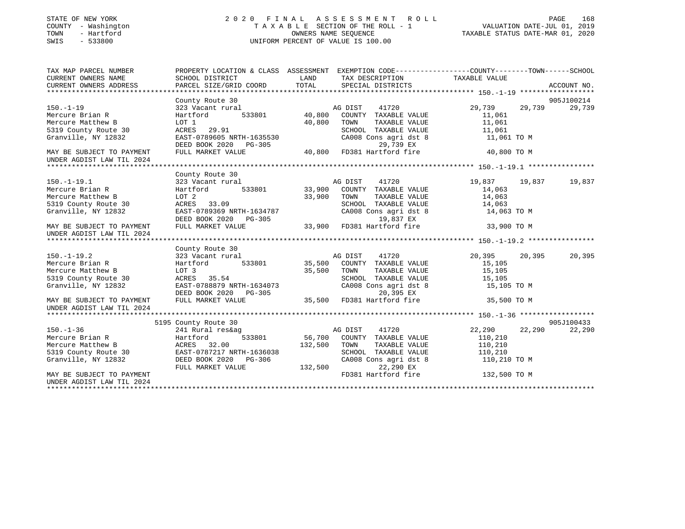| STATE OF NEW YORK<br>COUNTY - Washington<br>TOWN<br>- Hartford<br>SWIS<br>$-533800$              | 2020 FINAL ASSESSMENT ROLL                                                                                                         | PAGE 168<br>TAXABLE SECTION OF THE ROLL - 1<br>OWNERS NAME SEQUENCE THE ROLL - 1<br>OWNERS NAME SEQUENCE TAXABLE STATUS DATE-MAR 01, 2020<br>UNIFORM PERCENT OF VALUE IS 100.00 |                                                                                                                                                                                                                                   |                         |                  |
|--------------------------------------------------------------------------------------------------|------------------------------------------------------------------------------------------------------------------------------------|---------------------------------------------------------------------------------------------------------------------------------------------------------------------------------|-----------------------------------------------------------------------------------------------------------------------------------------------------------------------------------------------------------------------------------|-------------------------|------------------|
| TAX MAP PARCEL NUMBER<br>CURRENT OWNERS NAME                                                     | PROPERTY LOCATION & CLASS ASSESSMENT EXEMPTION CODE-----------------COUNTY-------TOWN------SCHOOL<br>SCHOOL DISTRICT               | <b>EXAMPLE EXAMPLE THE EXAMPLE EXAMPLE EXAMPLE EXAMPLE EXAMPLE EXAMPLE EXAMPLE EXAMPLE EXAMPLE EXAMPLE EXAMPLE E</b>                                                            | TAX DESCRIPTION TAXABLE VALUE                                                                                                                                                                                                     |                         |                  |
| CURRENT OWNERS ADDRESS                                                                           | PARCEL SIZE/GRID COORD                                                                                                             | TOTAL                                                                                                                                                                           | SPECIAL DISTRICTS                                                                                                                                                                                                                 |                         | ACCOUNT NO.      |
|                                                                                                  |                                                                                                                                    |                                                                                                                                                                                 |                                                                                                                                                                                                                                   |                         | 905J100214       |
| $150. - 1 - 19$                                                                                  | County Route 30<br>County Route 30<br>323 Vacant rural                                                                             |                                                                                                                                                                                 | AG DIST 41720                                                                                                                                                                                                                     | 29,739 29,739           | 29,739           |
| Mercure Brian R                                                                                  | Hartford 533801 40,800 COUNTY TAXABLE VALUE                                                                                        |                                                                                                                                                                                 |                                                                                                                                                                                                                                   | 11,061                  |                  |
| Mercure Matthew B                                                                                | LOT 1                                                                                                                              |                                                                                                                                                                                 | 40,800 TOWN<br>TAXABLE VALUE                                                                                                                                                                                                      | 11,061                  |                  |
| 5319 County Route 30                                                                             | ACRES 29.91                                                                                                                        |                                                                                                                                                                                 |                                                                                                                                                                                                                                   |                         |                  |
| Granville, NY 12832                                                                              |                                                                                                                                    |                                                                                                                                                                                 | SCHOOL TAXABLE VALUE<br>CA008 Cons agri dst 8                                                                                                                                                                                     | 11,061<br>11,061 TO M   |                  |
|                                                                                                  |                                                                                                                                    |                                                                                                                                                                                 | 29,739 EX                                                                                                                                                                                                                         |                         |                  |
| MAY BE SUBJECT TO PAYMENT                                                                        | EAST-0789605 NRTH-1635530 CA008 Cons agri dst 8<br>DEED BOOK 2020 PG-305 29,739 EX<br>FULL MARKET VALUE 40,800 FD381 Hartford fire |                                                                                                                                                                                 |                                                                                                                                                                                                                                   | 40,800 TO M             |                  |
| UNDER AGDIST LAW TIL 2024                                                                        |                                                                                                                                    |                                                                                                                                                                                 |                                                                                                                                                                                                                                   |                         |                  |
|                                                                                                  | County Route 30                                                                                                                    |                                                                                                                                                                                 |                                                                                                                                                                                                                                   |                         |                  |
| $150. - 1 - 19.1$                                                                                | 323 Vacant rural                                                                                                                   |                                                                                                                                                                                 | AG DIST<br>41720                                                                                                                                                                                                                  | 19,837                  | 19,837<br>19,837 |
| Mercure Brian R                                                                                  | Hartford 533801                                                                                                                    |                                                                                                                                                                                 | 33,900 COUNTY TAXABLE VALUE                                                                                                                                                                                                       | 14,063                  |                  |
| Mercure Matthew B                                                                                | LOT 2                                                                                                                              |                                                                                                                                                                                 | 33,900 TOWN<br>TAXABLE VALUE                                                                                                                                                                                                      | 14,063                  |                  |
| 5319 County Route 30                                                                             | LOT 2<br>ACRES 33.09                                                                                                               |                                                                                                                                                                                 |                                                                                                                                                                                                                                   |                         |                  |
| Granville, NY 12832                                                                              | EAST-0789369 NRTH-1634787                                                                                                          |                                                                                                                                                                                 | $\begin{tabular}{lllllllllll} \texttt{SCHOOL} & \texttt{TAXABLE} & \texttt{VALUE} & & \texttt{14,063} \\ \texttt{CA008} & \texttt{Cons}\ & \texttt{agt}\ & \texttt{8} & & \texttt{14,063} & \texttt{TO}~\texttt{M} \end{tabular}$ |                         |                  |
|                                                                                                  | DEED BOOK 2020 PG-305                                                                                                              |                                                                                                                                                                                 | 19,837 EX                                                                                                                                                                                                                         |                         |                  |
| MAY BE SUBJECT TO PAYMENT                                                                        | FULL MARKET VALUE                                                                                                                  |                                                                                                                                                                                 | 33,900 FD381 Hartford fire 33,900 TO M                                                                                                                                                                                            |                         |                  |
| UNDER AGDIST LAW TIL 2024                                                                        |                                                                                                                                    |                                                                                                                                                                                 |                                                                                                                                                                                                                                   |                         |                  |
|                                                                                                  |                                                                                                                                    |                                                                                                                                                                                 |                                                                                                                                                                                                                                   |                         |                  |
|                                                                                                  | County Route 30                                                                                                                    |                                                                                                                                                                                 |                                                                                                                                                                                                                                   |                         |                  |
| $150. -1 - 19.2$<br>Mercure Brian R                                                              | 323 Vacant rural MG DIST 41720<br>Hartford 533801 35,500 COUNTY TAXABLE VALUE                                                      |                                                                                                                                                                                 | AG DIST 41720                                                                                                                                                                                                                     | 20,395 20,395<br>15,105 | 20,395           |
| Mercure Matthew B                                                                                | LOT 3                                                                                                                              |                                                                                                                                                                                 | TAXABLE VALUE                                                                                                                                                                                                                     | 15,105                  |                  |
| 5319 County Route 30                                                                             | ACRES 35.54                                                                                                                        | 35,500 TOWN<br>SCHOO                                                                                                                                                            | SCHOOL TAXABLE VALUE                                                                                                                                                                                                              | 15,105                  |                  |
| Granville, NY 12832                                                                              |                                                                                                                                    |                                                                                                                                                                                 |                                                                                                                                                                                                                                   |                         |                  |
|                                                                                                  |                                                                                                                                    |                                                                                                                                                                                 |                                                                                                                                                                                                                                   |                         |                  |
| MAY BE SUBJECT TO PAYMENT<br>UNDER AGDIST LAW TIL 2024                                           | EAST-0788879 NRTH-1634073<br>DEED BOOK 2020 PG-305<br>FULL MARKET VALUE 35,500 FD381 Hartford fire 35,500 TO M                     |                                                                                                                                                                                 |                                                                                                                                                                                                                                   |                         |                  |
|                                                                                                  |                                                                                                                                    |                                                                                                                                                                                 |                                                                                                                                                                                                                                   |                         |                  |
|                                                                                                  | , noute 30<br>241 Rural res&ag<br>Hartford<br>5195 County Route 30                                                                 |                                                                                                                                                                                 |                                                                                                                                                                                                                                   |                         | 905J100433       |
| $150. - 1 - 36$                                                                                  |                                                                                                                                    |                                                                                                                                                                                 | AG DIST 41720                                                                                                                                                                                                                     | 22,290                  | 22,290<br>22,290 |
| Nov.-1-30<br>Mercure Brian R<br>Mercure Matthew B<br>5319 County Route 30<br>Granville, NY 12832 |                                                                                                                                    |                                                                                                                                                                                 | 533801 56,700 COUNTY TAXABLE VALUE                                                                                                                                                                                                | 110,210                 |                  |
|                                                                                                  | ACRES 32.00                                                                                                                        |                                                                                                                                                                                 | 132,500 TOWN<br>TAXABLE VALUE                                                                                                                                                                                                     | 110,210                 |                  |
|                                                                                                  | EAST-0787217 NRTH-1636038                                                                                                          |                                                                                                                                                                                 | SCHOOL TAXABLE VALUE                                                                                                                                                                                                              | 110, 210                |                  |
|                                                                                                  | DEED BOOK 2020 PG-306                                                                                                              |                                                                                                                                                                                 | CA008 Cons agri dst 8                                                                                                                                                                                                             | 110,210 TO M            |                  |
|                                                                                                  | FULL MARKET VALUE                                                                                                                  | $132,500$ cross of                                                                                                                                                              | 22,290 EX                                                                                                                                                                                                                         |                         |                  |
| MAY BE SUBJECT TO PAYMENT                                                                        |                                                                                                                                    |                                                                                                                                                                                 | FD381 Hartford fire                                                                                                                                                                                                               | 132,500 TO M            |                  |
| UNDER AGDIST LAW TIL 2024                                                                        |                                                                                                                                    |                                                                                                                                                                                 |                                                                                                                                                                                                                                   |                         |                  |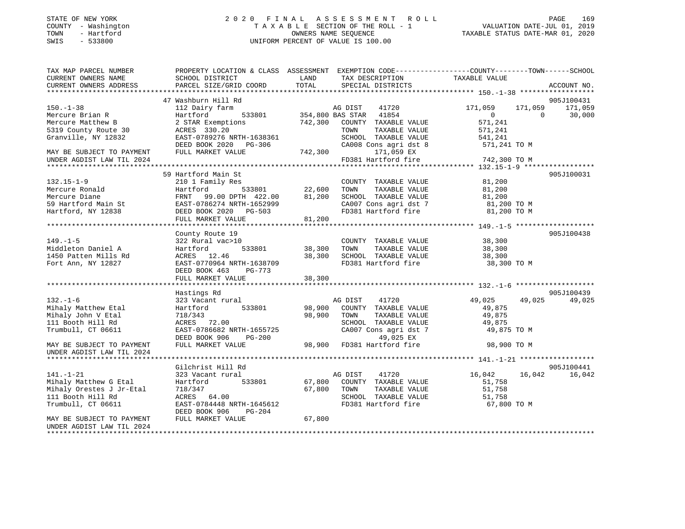| STATE OF NEW YORK |      |              |
|-------------------|------|--------------|
| COUNTY            |      | - Washington |
| TOWN              |      | - Hartford   |
| <b>CMTC</b>       | $ -$ | 533800       |

### STATE OF NEW YORK 2 0 2 0 F I N A L A S S E S S M E N T R O L L PAGE 169 COUNTY - Washington T A X A B L E SECTION OF THE ROLL - 1 VALUATION DATE-JUL 01, 2019 TOWN - Hartford OWNERS NAME SEQUENCE TAXABLE STATUS DATE-MAR 01, 2020 SWIS - 533800 UNIFORM PERCENT OF VALUE IS 100.00UNIFORM PERCENT OF VALUE IS 100.00

| TAX MAP PARCEL NUMBER<br>CURRENT OWNERS NAME | SCHOOL DISTRICT           | LAND<br>TAX DESCRIPTION         | PROPERTY LOCATION & CLASS ASSESSMENT EXEMPTION CODE----------------COUNTY-------TOWN------SCHOOL<br>TAXABLE VALUE |
|----------------------------------------------|---------------------------|---------------------------------|-------------------------------------------------------------------------------------------------------------------|
| CURRENT OWNERS ADDRESS                       | PARCEL SIZE/GRID COORD    | TOTAL<br>SPECIAL DISTRICTS      | ACCOUNT NO.                                                                                                       |
|                                              | 47 Washburn Hill Rd       |                                 | 905J100431                                                                                                        |
| $150. - 1 - 38$                              | 112 Dairy farm            | AG DIST<br>41720                | 171,059<br>171,059<br>171,059                                                                                     |
| Mercure Brian R                              | 533801<br>Hartford        | 354,800 BAS STAR 41854          | 30,000<br>$\overline{0}$<br>$\Omega$                                                                              |
| Mercure Matthew B                            | 2 STAR Exemptions         | 742,300<br>COUNTY TAXABLE VALUE | 571,241                                                                                                           |
| 5319 County Route 30                         | ACRES 330.20              | TAXABLE VALUE<br>TOWN           | 571,241                                                                                                           |
| Granville, NY 12832                          | EAST-0789276 NRTH-1638361 | SCHOOL TAXABLE VALUE            | 541,241                                                                                                           |
|                                              | DEED BOOK 2020 PG-306     | CA008 Cons agri dst 8           | 571,241 TO M                                                                                                      |
| MAY BE SUBJECT TO PAYMENT                    | FULL MARKET VALUE         | 742,300<br>171,059 EX           |                                                                                                                   |
| UNDER AGDIST LAW TIL 2024                    |                           | FD381 Hartford fire             | 742,300 TO M                                                                                                      |
|                                              |                           |                                 |                                                                                                                   |
|                                              | 59 Hartford Main St       |                                 | 905J100031                                                                                                        |
| $132.15 - 1 - 9$                             | 210 1 Family Res          | COUNTY TAXABLE VALUE            | 81,200                                                                                                            |
| Mercure Ronald                               | 533801<br>Hartford        | 22,600<br>TAXABLE VALUE<br>TOWN | 81,200                                                                                                            |
| Mercure Diane                                | FRNT 99.00 DPTH 422.00    | 81,200<br>SCHOOL TAXABLE VALUE  | 81,200                                                                                                            |
| 59 Hartford Main St                          | EAST-0786274 NRTH-1652999 | CA007 Cons agri dst 7           | 81,200 TO M                                                                                                       |
| Hartford, NY 12838                           | DEED BOOK 2020 PG-503     | FD381 Hartford fire             | 81,200 TO M                                                                                                       |
|                                              | FULL MARKET VALUE         | 81,200                          |                                                                                                                   |
|                                              |                           |                                 |                                                                                                                   |
|                                              | County Route 19           |                                 | 905J100438                                                                                                        |
| $149. - 1 - 5$                               | 322 Rural vac>10          | COUNTY TAXABLE VALUE            | 38,300                                                                                                            |
| Middleton Daniel A                           | 533801<br>Hartford        | 38,300<br>TOWN<br>TAXABLE VALUE | 38,300                                                                                                            |
| 1450 Patten Mills Rd                         | ACRES 12.46               | 38,300<br>SCHOOL TAXABLE VALUE  | 38,300                                                                                                            |
| Fort Ann, NY 12827                           | EAST-0770964 NRTH-1638709 | FD381 Hartford fire             | 38,300 TO M                                                                                                       |
|                                              | DEED BOOK 463<br>PG-773   |                                 |                                                                                                                   |
|                                              | FULL MARKET VALUE         | 38,300                          |                                                                                                                   |
|                                              |                           |                                 |                                                                                                                   |
|                                              | Hastings Rd               |                                 | 905J100439                                                                                                        |
| $132. - 1 - 6$                               | 323 Vacant rural          | AG DIST<br>41720                | 49,025<br>49,025<br>49,025                                                                                        |
| Mihaly Matthew Etal                          | Hartford<br>533801        | 98,900<br>COUNTY TAXABLE VALUE  | 49,875                                                                                                            |
| Mihaly John V Etal                           | 718/343                   | 98,900<br>TOWN<br>TAXABLE VALUE | 49,875                                                                                                            |
| 111 Booth Hill Rd                            | ACRES 72.00               | SCHOOL TAXABLE VALUE            | 49,875                                                                                                            |
| Trumbull, CT 06611                           | EAST-0786682 NRTH-1655725 | CA007 Cons agri dst 7           | 49,875 TO M                                                                                                       |
|                                              | DEED BOOK 906<br>PG-200   | 49,025 EX                       |                                                                                                                   |
| MAY BE SUBJECT TO PAYMENT                    | FULL MARKET VALUE         | 98,900 FD381 Hartford fire      | 98,900 TO M                                                                                                       |
| UNDER AGDIST LAW TIL 2024                    |                           |                                 |                                                                                                                   |
|                                              |                           |                                 |                                                                                                                   |
|                                              | Gilchrist Hill Rd         |                                 | 905J100441                                                                                                        |
| $141. - 1 - 21$                              | 323 Vacant rural          | AG DIST<br>41720                | 16,042<br>16,042<br>16,042                                                                                        |
| Mihaly Matthew G Etal                        | 533801<br>Hartford        | 67,800 COUNTY TAXABLE VALUE     | 51,758                                                                                                            |
| Mihaly Orestes J Jr-Etal                     | 718/347                   | 67,800<br>TOWN<br>TAXABLE VALUE | 51,758                                                                                                            |
| 111 Booth Hill Rd                            | ACRES 64.00               | SCHOOL TAXABLE VALUE            | 51,758                                                                                                            |
| Trumbull, CT 06611                           | EAST-0784448 NRTH-1645612 | FD381 Hartford fire             | 67,800 TO M                                                                                                       |
|                                              | DEED BOOK 906<br>PG-204   |                                 |                                                                                                                   |
| MAY BE SUBJECT TO PAYMENT                    | FULL MARKET VALUE         | 67,800                          |                                                                                                                   |
| UNDER AGDIST LAW TIL 2024                    |                           |                                 |                                                                                                                   |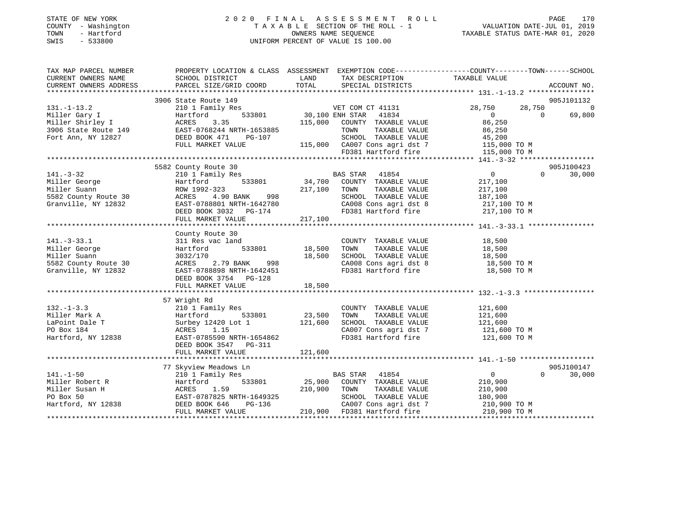| TOWN<br>SWIS | STATE OF NEW YORK<br>COUNTY - Washington<br>- Hartford<br>- 533800 |                                                         |      | 2020 FINAL ASSESSMENT ROLL<br>TAXABLE SECTION OF THE ROLL - 1<br>OWNERS NAME SEOUENCE<br>UNIFORM PERCENT OF VALUE IS 100.00 | VALUATION DATE-JUL 01, 2019<br>TAXABLE STATUS DATE-MAR 01, 2020 | PAGE | 170 |
|--------------|--------------------------------------------------------------------|---------------------------------------------------------|------|-----------------------------------------------------------------------------------------------------------------------------|-----------------------------------------------------------------|------|-----|
|              | TAX MAP PARCEL NUMBER<br>CURRENT OWNERS NAME                       | PROPERTY LOCATION & CLASS ASSESSMENT<br>SCHOOL DISTRICT | LAND | EXEMPTION $CODE-----------COUNTY------TOWN---SCHOOL$<br>TAX DESCRIPTION                                                     | TAXABLE VALUE                                                   |      |     |

| CURRENT OWNERS ADDRESS                                                                                                                                                                                                        | PARCEL SIZE/GRID COORD                                                                                                                                                                                                                 | TOTAL   | SPECIAL DISTRICTS                                                                                                                                                  | ACCOUNT NO.                          |                |
|-------------------------------------------------------------------------------------------------------------------------------------------------------------------------------------------------------------------------------|----------------------------------------------------------------------------------------------------------------------------------------------------------------------------------------------------------------------------------------|---------|--------------------------------------------------------------------------------------------------------------------------------------------------------------------|--------------------------------------|----------------|
|                                                                                                                                                                                                                               |                                                                                                                                                                                                                                        |         |                                                                                                                                                                    |                                      |                |
|                                                                                                                                                                                                                               | 3906 State Route 149                                                                                                                                                                                                                   |         |                                                                                                                                                                    | 905J101132                           |                |
| $131. - 1 - 13.2$                                                                                                                                                                                                             | 210 1 Family Res                                                                                                                                                                                                                       |         | $\begin{array}{ccc}\n 3 & \text{VET COM CL 41131} \\  533801 & 30,100 \text{ ENH STAR} & 41834 \\  \hline\n 11111 & 30,100 \text{ ENH STAR} & 41834\n \end{array}$ | 28,750<br>28,750                     | $\overline{0}$ |
| Value and the state of the state of the state of the state of the state of the state of the state of the state of the state of the state of the state of the state of the state of the state of the state of the state of the |                                                                                                                                                                                                                                        |         |                                                                                                                                                                    | $\overline{0}$<br>$\Omega$<br>69,800 |                |
|                                                                                                                                                                                                                               |                                                                                                                                                                                                                                        |         | 115,000 COUNTY TAXABLE VALUE                                                                                                                                       | 86,250<br>86,250                     |                |
|                                                                                                                                                                                                                               |                                                                                                                                                                                                                                        |         | TAXABLE VALUE<br>TOWN                                                                                                                                              |                                      |                |
|                                                                                                                                                                                                                               | $PG-107$                                                                                                                                                                                                                               |         |                                                                                                                                                                    |                                      |                |
|                                                                                                                                                                                                                               | FULL MARKET VALUE                                                                                                                                                                                                                      |         |                                                                                                                                                                    |                                      |                |
|                                                                                                                                                                                                                               |                                                                                                                                                                                                                                        |         | 9G-107 SCHOOL TAXABLE VALUE<br>115,000 CA007 Cons agri dst 7 115,000 TO M<br>FD381 Hartford fire 115,000 TO M<br>115,000 TO M                                      |                                      |                |
|                                                                                                                                                                                                                               |                                                                                                                                                                                                                                        |         |                                                                                                                                                                    |                                      |                |
|                                                                                                                                                                                                                               | 5582 County Route 30                                                                                                                                                                                                                   |         |                                                                                                                                                                    | 905J100423                           |                |
| $141. - 3 - 32$                                                                                                                                                                                                               | 210 1 Family Res                                                                                                                                                                                                                       |         | 119.53<br>1y Res 533801 34,700 COUNTY TAXABLE VALUE                                                                                                                | $\sim$ 0<br>$\Omega$<br>30,000       |                |
| 141.-3-34<br>Miller George<br>Cuann                                                                                                                                                                                           |                                                                                                                                                                                                                                        |         |                                                                                                                                                                    | 217,100                              |                |
|                                                                                                                                                                                                                               |                                                                                                                                                                                                                                        |         |                                                                                                                                                                    | 217,100                              |                |
| 5582 County Route 30                                                                                                                                                                                                          |                                                                                                                                                                                                                                        |         | SCHOOL TAXABLE VALUE 187,100                                                                                                                                       |                                      |                |
| Granville, NY 12832                                                                                                                                                                                                           | EAST-0788801 NRTH-1642780                                                                                                                                                                                                              |         |                                                                                                                                                                    |                                      |                |
|                                                                                                                                                                                                                               | EAST-0788801 NRTH-1642780<br>DEED BOOK 3032 PG-174                                                                                                                                                                                     |         | CA008 Cons agri dst 8 217,100 TO M<br>FD381 Hartford fire 217,100 TO M                                                                                             |                                      |                |
|                                                                                                                                                                                                                               | FULL MARKET VALUE                                                                                                                                                                                                                      | 217,100 |                                                                                                                                                                    |                                      |                |
|                                                                                                                                                                                                                               |                                                                                                                                                                                                                                        |         |                                                                                                                                                                    |                                      |                |
|                                                                                                                                                                                                                               | County Route 30                                                                                                                                                                                                                        |         |                                                                                                                                                                    |                                      |                |
| $141. - 3 - 33.1$                                                                                                                                                                                                             | 311 Res vac land                                                                                                                                                                                                                       |         | COUNTY TAXABLE VALUE                                                                                                                                               | 18,500                               |                |
| Miller George                                                                                                                                                                                                                 | 533801 18,500<br>Hartford                                                                                                                                                                                                              |         | TOWN<br>TAXABLE VALUE                                                                                                                                              | 18,500                               |                |
| Miller Suann                                                                                                                                                                                                                  | 3032/170                                                                                                                                                                                                                               | 18,500  | SCHOOL TAXABLE VALUE 18,500                                                                                                                                        |                                      |                |
|                                                                                                                                                                                                                               |                                                                                                                                                                                                                                        |         |                                                                                                                                                                    |                                      |                |
| 5582 County Route 30<br>Granville, NY 12832                                                                                                                                                                                   | ACRES 2.79 BANK 998<br>RCRES 2.79 BANK 998                                                                                                                                                                                             |         | CA008 Cons agri dst 8 18,500 TO M<br>FD381 Hartford fire                                                                                                           |                                      |                |
|                                                                                                                                                                                                                               |                                                                                                                                                                                                                                        |         |                                                                                                                                                                    | 18,500 TO M                          |                |
|                                                                                                                                                                                                                               | DEED BOOK 3754 PG-128                                                                                                                                                                                                                  |         |                                                                                                                                                                    |                                      |                |
|                                                                                                                                                                                                                               |                                                                                                                                                                                                                                        |         |                                                                                                                                                                    |                                      |                |
|                                                                                                                                                                                                                               |                                                                                                                                                                                                                                        |         |                                                                                                                                                                    |                                      |                |
|                                                                                                                                                                                                                               | 57 Wright Rd                                                                                                                                                                                                                           |         |                                                                                                                                                                    |                                      |                |
| $132. - 1 - 3.3$<br>132.-1-3.3<br>Miller Mark A                                                                                                                                                                               |                                                                                                                                                                                                                                        |         | COUNTY TAXABLE VALUE<br>TOWN      TAXABLE VALUE                                                                                                                    | 121,600<br>121,600                   |                |
|                                                                                                                                                                                                                               |                                                                                                                                                                                                                                        |         |                                                                                                                                                                    |                                      |                |
| LaPoint Dale T                                                                                                                                                                                                                | Surbey 12420 Lot 1 121,600                                                                                                                                                                                                             |         | SCHOOL TAXABLE VALUE 121,600                                                                                                                                       |                                      |                |
| $838$<br>PO Box 184                                                                                                                                                                                                           | ACRES 1.15                                                                                                                                                                                                                             |         | CA007 Cons agri dst 7 121,600 TO M<br>FD381 Hartford fire 121,600 TO M                                                                                             |                                      |                |
| Hartford, NY 12838                                                                                                                                                                                                            | EAST-0785590 NRTH-1654862                                                                                                                                                                                                              |         |                                                                                                                                                                    |                                      |                |
|                                                                                                                                                                                                                               | DEED BOOK 3547 PG-311                                                                                                                                                                                                                  |         |                                                                                                                                                                    |                                      |                |
|                                                                                                                                                                                                                               | FULL MARKET VALUE                                                                                                                                                                                                                      | 121,600 |                                                                                                                                                                    |                                      |                |
|                                                                                                                                                                                                                               |                                                                                                                                                                                                                                        |         |                                                                                                                                                                    |                                      |                |
|                                                                                                                                                                                                                               | 77 Skyview Meadows Ln                                                                                                                                                                                                                  |         |                                                                                                                                                                    | 905J100147                           |                |
| $141. - 1 - 50$                                                                                                                                                                                                               | 210 1 Family Res                                                                                                                                                                                                                       |         | BAS STAR 41854                                                                                                                                                     | $\overline{0}$<br>$\Omega$<br>30,000 |                |
|                                                                                                                                                                                                                               |                                                                                                                                                                                                                                        |         |                                                                                                                                                                    |                                      |                |
|                                                                                                                                                                                                                               |                                                                                                                                                                                                                                        |         |                                                                                                                                                                    |                                      |                |
|                                                                                                                                                                                                                               |                                                                                                                                                                                                                                        |         |                                                                                                                                                                    |                                      |                |
|                                                                                                                                                                                                                               | VILLE RObert R<br>Miller Susan H (Martford 533801 25,900 COUNTY TAXABLE VALUE 210,900<br>Miller Susan H (MCRES 1.59 210,900 TOWN TAXABLE VALUE 210,900<br>PO Box 50 EAST-0787825 NRTH-1649325 SCHOOL TAXABLE VALUE 180,900<br>Hartford |         | CA007 Cons agri dst 7 210,900 TO M                                                                                                                                 |                                      |                |
|                                                                                                                                                                                                                               | FULL MARKET VALUE                                                                                                                                                                                                                      |         | 210,900 FD381 Hartford fire                                                                                                                                        | 210,900 TO M                         |                |
|                                                                                                                                                                                                                               |                                                                                                                                                                                                                                        |         |                                                                                                                                                                    |                                      |                |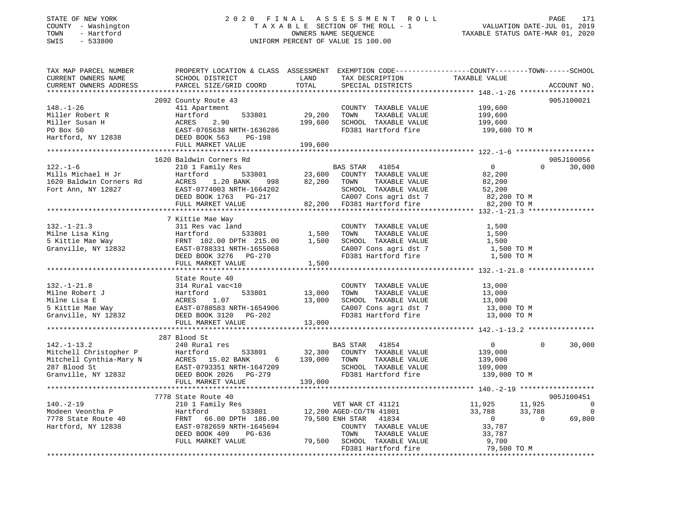### STATE OF NEW YORK 2 0 2 0 F I N A L A S S E S S M E N T R O L L PAGE 171 COUNTY - Washington T A X A B L E SECTION OF THE ROLL - 1 VALUATION DATE-JUL 01, 2019 TOWN - Hartford OWNERS NAME SEQUENCE TAXABLE STATUS DATE-MAR 01, 2020 SWIS - 533800 UNIFORM PERCENT OF VALUE IS 100.00

| TAX MAP PARCEL NUMBER | PROPERTY LOCATION & CLASS ASSESSMENT EXEMPTION CODE----------------COUNTY-------TOWN------SCHOOL                                                                                                                                                                                                                                                                                                                                     |           |                                                                                                                                                                   |                                                |             |             |
|-----------------------|--------------------------------------------------------------------------------------------------------------------------------------------------------------------------------------------------------------------------------------------------------------------------------------------------------------------------------------------------------------------------------------------------------------------------------------|-----------|-------------------------------------------------------------------------------------------------------------------------------------------------------------------|------------------------------------------------|-------------|-------------|
|                       |                                                                                                                                                                                                                                                                                                                                                                                                                                      |           | TAX DESCRIPTION TAXABLE VALUE SPECIAL DISTRICTS                                                                                                                   |                                                |             |             |
|                       |                                                                                                                                                                                                                                                                                                                                                                                                                                      |           |                                                                                                                                                                   |                                                |             | ACCOUNT NO. |
|                       |                                                                                                                                                                                                                                                                                                                                                                                                                                      |           |                                                                                                                                                                   |                                                |             |             |
|                       | 2092 County Route 43                                                                                                                                                                                                                                                                                                                                                                                                                 |           |                                                                                                                                                                   |                                                |             | 905J100021  |
|                       |                                                                                                                                                                                                                                                                                                                                                                                                                                      |           | COUNTY TAXABLE VALUE 199,600                                                                                                                                      |                                                |             |             |
|                       | 411 Apartment<br>Hartford 533801 29,200<br>ACRES 2.90 199,600<br>EAST-0765638 NRTH-1636286<br>199,600                                                                                                                                                                                                                                                                                                                                |           | TOWN                                                                                                                                                              | TAXABLE VALUE 199,600<br>TAXABLE VALUE 199,600 |             |             |
|                       |                                                                                                                                                                                                                                                                                                                                                                                                                                      |           | SCHOOL TAXABLE VALUE                                                                                                                                              |                                                |             |             |
|                       |                                                                                                                                                                                                                                                                                                                                                                                                                                      |           | FD381 Hartford fire 199,600 TO M                                                                                                                                  |                                                |             |             |
|                       |                                                                                                                                                                                                                                                                                                                                                                                                                                      |           |                                                                                                                                                                   |                                                |             |             |
|                       |                                                                                                                                                                                                                                                                                                                                                                                                                                      |           |                                                                                                                                                                   |                                                |             |             |
|                       |                                                                                                                                                                                                                                                                                                                                                                                                                                      |           |                                                                                                                                                                   |                                                |             |             |
|                       | 1620 Baldwin Corners Rd                                                                                                                                                                                                                                                                                                                                                                                                              |           |                                                                                                                                                                   |                                                |             | 905J100056  |
|                       |                                                                                                                                                                                                                                                                                                                                                                                                                                      |           |                                                                                                                                                                   |                                                | $\Omega$    | 30,000      |
|                       |                                                                                                                                                                                                                                                                                                                                                                                                                                      |           |                                                                                                                                                                   |                                                |             |             |
|                       |                                                                                                                                                                                                                                                                                                                                                                                                                                      |           |                                                                                                                                                                   |                                                |             |             |
|                       |                                                                                                                                                                                                                                                                                                                                                                                                                                      |           |                                                                                                                                                                   |                                                |             |             |
|                       |                                                                                                                                                                                                                                                                                                                                                                                                                                      |           |                                                                                                                                                                   |                                                |             |             |
|                       | $\begin{array}{cccccccc} \texttt{122. -1-6} & \texttt{1020~Satum\thinspace Conference~s~ra} & \texttt{BAS~STAR} & \texttt{41854} & \texttt{0} \\ \texttt{Mills~Michael H~Jr} & \texttt{Bartford} & \texttt{533801} & \texttt{23,600} & \texttt{COUNTY~TXABLE~VALUE} & \texttt{82,200} \\ \texttt{1620~Baldwin~Corners~Rd} & \texttt{ACRES} & \texttt{1.20~BANK} & \texttt{998} & \texttt{82,200} & \texttt{TOWN} & \texttt{TAXABLE~$ |           |                                                                                                                                                                   |                                                |             |             |
|                       |                                                                                                                                                                                                                                                                                                                                                                                                                                      |           |                                                                                                                                                                   |                                                |             |             |
|                       | 7 Kittie Mae Way                                                                                                                                                                                                                                                                                                                                                                                                                     |           |                                                                                                                                                                   |                                                |             |             |
| $132. - 1 - 21.3$     | 311 Res vac land                                                                                                                                                                                                                                                                                                                                                                                                                     |           | COUNTY TAXABLE VALUE 1,500                                                                                                                                        |                                                |             |             |
|                       |                                                                                                                                                                                                                                                                                                                                                                                                                                      |           |                                                                                                                                                                   |                                                |             |             |
|                       |                                                                                                                                                                                                                                                                                                                                                                                                                                      |           |                                                                                                                                                                   |                                                |             |             |
|                       |                                                                                                                                                                                                                                                                                                                                                                                                                                      |           |                                                                                                                                                                   |                                                |             |             |
|                       |                                                                                                                                                                                                                                                                                                                                                                                                                                      |           |                                                                                                                                                                   |                                                |             |             |
|                       | 132.-1-21.3<br>Marting Marting Factor (1,500 TOWN TAXABLE VALUE 1,500 TOWN 1<br>5 Kittie Mae Way FRNT 102.00 DPTH 215.00 1,500 SCHOOL TAXABLE VALUE 1,500 1,500<br>Granville, NY 12832 EAST-0788331 NRTH-1655068 CA007 Cons agri dst                                                                                                                                                                                                 |           |                                                                                                                                                                   |                                                |             |             |
|                       |                                                                                                                                                                                                                                                                                                                                                                                                                                      |           |                                                                                                                                                                   |                                                |             |             |
|                       | State Route 40                                                                                                                                                                                                                                                                                                                                                                                                                       |           |                                                                                                                                                                   |                                                |             |             |
| $132. - 1 - 21.8$     |                                                                                                                                                                                                                                                                                                                                                                                                                                      |           |                                                                                                                                                                   |                                                |             |             |
|                       | 314 Rural vac<10<br>Hartford 533801 13,000                                                                                                                                                                                                                                                                                                                                                                                           |           |                                                                                                                                                                   |                                                |             |             |
|                       |                                                                                                                                                                                                                                                                                                                                                                                                                                      |           |                                                                                                                                                                   |                                                |             |             |
|                       |                                                                                                                                                                                                                                                                                                                                                                                                                                      |           |                                                                                                                                                                   |                                                |             |             |
|                       |                                                                                                                                                                                                                                                                                                                                                                                                                                      |           | COUNTY TAXABLE VALUE 13,000<br>TOWN TAXABLE VALUE 13,000<br>SCHOOL TAXABLE VALUE 13,000<br>CA007 Cons agri dst 7 13,000 TO M<br>FD381 Hartford fire 13,000 TO M   |                                                |             |             |
|                       | FULL MARKET VALUE 13,000                                                                                                                                                                                                                                                                                                                                                                                                             |           |                                                                                                                                                                   |                                                |             |             |
|                       |                                                                                                                                                                                                                                                                                                                                                                                                                                      |           |                                                                                                                                                                   |                                                |             |             |
|                       | 287 Blood St                                                                                                                                                                                                                                                                                                                                                                                                                         |           |                                                                                                                                                                   |                                                |             |             |
|                       |                                                                                                                                                                                                                                                                                                                                                                                                                                      |           |                                                                                                                                                                   |                                                | $\mathbf 0$ | 30,000      |
|                       |                                                                                                                                                                                                                                                                                                                                                                                                                                      |           |                                                                                                                                                                   |                                                |             |             |
|                       |                                                                                                                                                                                                                                                                                                                                                                                                                                      |           |                                                                                                                                                                   |                                                |             |             |
|                       |                                                                                                                                                                                                                                                                                                                                                                                                                                      |           |                                                                                                                                                                   |                                                |             |             |
|                       |                                                                                                                                                                                                                                                                                                                                                                                                                                      |           |                                                                                                                                                                   |                                                |             |             |
|                       | $\begin{tabular}{lcccccc} 142.-1-13.2 & 240 Rural res & \textbf{BAS STAR} & 41854 & 0 \\ \textbf{Mitchell Christopher P} & Hartford & 533801 & 32,300 COUNTY TAXABLE VALUE & 139,000 \\ \textbf{Mitchell Cynthia-Mary N} & ACRES & 15.02 BANK & 6 & 139,000 TOWN & TAXABLE VALUE & 139,000 \\ \textbf{287 Blood St} & EAST-0793351 NRTH-1647209 & SCHOOL TAXABLE VALUE & 109,000 \\ \textbf{Granville, NY 12832} & DEED B$           | $29 - 27$ | FD381 Hartford fire 139,000 TO M                                                                                                                                  |                                                |             |             |
|                       | FULL MARKET VALUE                                                                                                                                                                                                                                                                                                                                                                                                                    |           |                                                                                                                                                                   |                                                |             |             |
|                       |                                                                                                                                                                                                                                                                                                                                                                                                                                      |           |                                                                                                                                                                   |                                                |             |             |
| $140. -2 - 19$        | 7778 State Route 40                                                                                                                                                                                                                                                                                                                                                                                                                  |           |                                                                                                                                                                   |                                                |             | 905J100451  |
|                       | 210 1 Family Res                                                                                                                                                                                                                                                                                                                                                                                                                     |           |                                                                                                                                                                   |                                                |             | $\sim$ 0    |
|                       |                                                                                                                                                                                                                                                                                                                                                                                                                                      |           |                                                                                                                                                                   |                                                |             | $\sim$ 0    |
|                       |                                                                                                                                                                                                                                                                                                                                                                                                                                      |           | 11,925 11,925<br>11,925 533801 12,200 AGED-CO/TN 41801<br>5.00 DPTH 186.00 79,500 ENH STAR 41834 0<br>79,500 ENH STAR 41834 0<br>2011 121 133,788 13,788 13,788 0 |                                                |             | 69,800      |
|                       |                                                                                                                                                                                                                                                                                                                                                                                                                                      |           |                                                                                                                                                                   |                                                |             |             |
|                       |                                                                                                                                                                                                                                                                                                                                                                                                                                      |           |                                                                                                                                                                   |                                                |             |             |
|                       | FRNT 66.00 DPTH 186.00 79,500 ENH STAR 41834 0<br>EAST-0782659 NRTH-1645694 COUNTY TAXABLE VALUE 33,787<br>DEED BOOK 409 PG-636 79,500 ENH STAR 41834<br>PULL MARKET VALUE 79,500 SCHOOL TAXABLE VALUE 33,787<br>FULL MARKET VALUE 79,                                                                                                                                                                                               |           |                                                                                                                                                                   |                                                |             |             |
|                       |                                                                                                                                                                                                                                                                                                                                                                                                                                      |           |                                                                                                                                                                   |                                                |             |             |
|                       |                                                                                                                                                                                                                                                                                                                                                                                                                                      |           |                                                                                                                                                                   |                                                |             |             |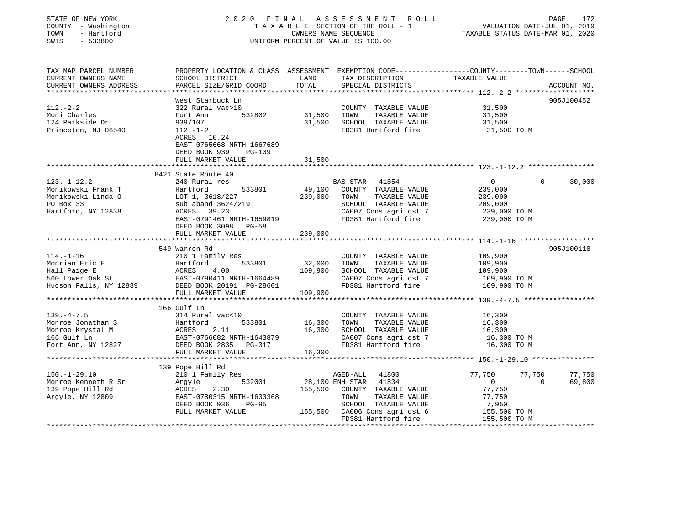| STATE OF NEW YORK<br>COUNTY - Washington<br>TOWN<br>- Hartford<br>$-533800$<br>SWIS |                                                                                                                                                                                                                                                    | OWNERS NAME SEQUENCE      | 2020 FINAL ASSESSMENT ROLL<br>TAXABLE SECTION OF THE ROLL - 1<br>UNIFORM PERCENT OF VALUE IS 100.00 | VALUATION DATE-JUL 01, 2019<br>TAXABLE STATUS DATE-MAR 01, 2020 | PAGE<br>172                 |
|-------------------------------------------------------------------------------------|----------------------------------------------------------------------------------------------------------------------------------------------------------------------------------------------------------------------------------------------------|---------------------------|-----------------------------------------------------------------------------------------------------|-----------------------------------------------------------------|-----------------------------|
| TAX MAP PARCEL NUMBER                                                               | PROPERTY LOCATION & CLASS ASSESSMENT EXEMPTION CODE----------------COUNTY-------TOWN-----SCHOOL                                                                                                                                                    |                           |                                                                                                     |                                                                 |                             |
| CURRENT OWNERS NAME                                                                 | SCHOOL DISTRICT                                                                                                                                                                                                                                    | LAND                      | TAX DESCRIPTION                                                                                     | TAXABLE VALUE                                                   |                             |
| CURRENT OWNERS ADDRESS<br>*****************                                         | PARCEL SIZE/GRID COORD                                                                                                                                                                                                                             | TOTAL                     | SPECIAL DISTRICTS                                                                                   |                                                                 | ACCOUNT NO.                 |
|                                                                                     | West Starbuck Ln                                                                                                                                                                                                                                   |                           |                                                                                                     |                                                                 | 905J100452                  |
| $112. - 2 - 2$                                                                      | 322 Rural vac>10                                                                                                                                                                                                                                   |                           | COUNTY TAXABLE VALUE                                                                                | 31,500                                                          |                             |
| Moni Charles                                                                        | 532802<br>Fort Ann                                                                                                                                                                                                                                 | 31,500                    | TOWN<br>TAXABLE VALUE                                                                               | 31,500                                                          |                             |
| 124 Parkside Dr                                                                     | 939/107                                                                                                                                                                                                                                            | 31,500                    | SCHOOL TAXABLE VALUE                                                                                | 31,500                                                          |                             |
| Princeton, NJ 08540                                                                 | $112. - 1 - 2$                                                                                                                                                                                                                                     |                           | FD381 Hartford fire                                                                                 | 31,500 TO M                                                     |                             |
|                                                                                     | ACRES 10.24                                                                                                                                                                                                                                        |                           |                                                                                                     |                                                                 |                             |
|                                                                                     | EAST-0765668 NRTH-1667689                                                                                                                                                                                                                          |                           |                                                                                                     |                                                                 |                             |
|                                                                                     | DEED BOOK 939<br><b>PG-109</b>                                                                                                                                                                                                                     |                           |                                                                                                     |                                                                 |                             |
|                                                                                     | FULL MARKET VALUE                                                                                                                                                                                                                                  | 31,500                    |                                                                                                     |                                                                 |                             |
|                                                                                     | **************************                                                                                                                                                                                                                         |                           |                                                                                                     |                                                                 |                             |
| $123. - 1 - 12.2$                                                                   | 8421 State Route 40<br>240 Rural res                                                                                                                                                                                                               |                           | BAS STAR 41854                                                                                      | $\overline{0}$                                                  | 30,000<br>$\mathbf{0}$      |
| Monikowski Frank T                                                                  | Hartford<br>533801                                                                                                                                                                                                                                 |                           | 49,100 COUNTY TAXABLE VALUE                                                                         | 239,000                                                         |                             |
| Monikowski Linda O                                                                  | LOT 1, 3618/227                                                                                                                                                                                                                                    | 239,000                   | TOWN<br>TAXABLE VALUE                                                                               |                                                                 |                             |
| PO Box 33                                                                           | sub aband 3624/219                                                                                                                                                                                                                                 |                           | SCHOOL TAXABLE VALUE                                                                                | 239,000<br>209,000                                              |                             |
| Hartford, NY 12838                                                                  | ACRES 39.23                                                                                                                                                                                                                                        |                           | CA007 Cons agri dst 7                                                                               | 239,000 TO M                                                    |                             |
|                                                                                     | EAST-0791461 NRTH-1659819                                                                                                                                                                                                                          |                           | FD381 Hartford fire                                                                                 | 239,000 TO M                                                    |                             |
|                                                                                     | DEED BOOK 3098 PG-58                                                                                                                                                                                                                               |                           |                                                                                                     |                                                                 |                             |
|                                                                                     | FULL MARKET VALUE                                                                                                                                                                                                                                  | 239,000                   |                                                                                                     |                                                                 |                             |
|                                                                                     | ************************                                                                                                                                                                                                                           | * * * * * * * * * * * * * |                                                                                                     |                                                                 |                             |
|                                                                                     | 549 Warren Rd                                                                                                                                                                                                                                      |                           |                                                                                                     |                                                                 | 905J100118                  |
| $114. - 1 - 16$                                                                     | 210 1 Family Res                                                                                                                                                                                                                                   |                           | COUNTY TAXABLE VALUE                                                                                | 109,900                                                         |                             |
|                                                                                     |                                                                                                                                                                                                                                                    | 32,000                    | TAXABLE VALUE<br>TOWN                                                                               | 109,900                                                         |                             |
|                                                                                     |                                                                                                                                                                                                                                                    | 109,900                   | SCHOOL TAXABLE VALUE                                                                                | 109,900                                                         |                             |
|                                                                                     | Monrian Eric E<br>Hall Paige E<br>560 Lower Oak St<br>Hudson Falls, NY 12839<br>ERST-0790411 NRTH-1664489<br>ERST-0790411 NRTH-1664489<br>ERST-0790411 NRTH-1664489<br>ERST-0790411 PG-28601<br>ERST-0790411 PG-28601<br>EAST-0790411 NRTH-1664489 |                           | CA007 Cons agri dst 7<br>FD381 Hartford fire                                                        | 109,900 TO M<br>109,900 TO M                                    |                             |
|                                                                                     | FULL MARKET VALUE                                                                                                                                                                                                                                  | 109,900                   |                                                                                                     |                                                                 |                             |
|                                                                                     |                                                                                                                                                                                                                                                    |                           |                                                                                                     |                                                                 |                             |
|                                                                                     | 166 Gulf Ln                                                                                                                                                                                                                                        |                           |                                                                                                     |                                                                 |                             |
| $139. -4 - 7.5$                                                                     | 314 Rural vac<10                                                                                                                                                                                                                                   |                           | COUNTY TAXABLE VALUE                                                                                | 16,300                                                          |                             |
| Monroe Jonathan S                                                                   | 533801<br>Hartford                                                                                                                                                                                                                                 | 16,300                    | TOWN<br>TAXABLE VALUE                                                                               | 16,300                                                          |                             |
| Monroe Krystal M                                                                    |                                                                                                                                                                                                                                                    | 16,300                    | SCHOOL TAXABLE VALUE                                                                                | 16,300                                                          |                             |
| 166 Gulf Ln                                                                         |                                                                                                                                                                                                                                                    |                           | CA007 Cons agri dst 7                                                                               | 16,300 TO M                                                     |                             |
| Fort Ann, NY 12827                                                                  | DEED BOOK 2835 PG-317                                                                                                                                                                                                                              |                           | FD381 Hartford fire                                                                                 | 16,300 TO M                                                     |                             |
|                                                                                     | FULL MARKET VALUE                                                                                                                                                                                                                                  | 16,300                    |                                                                                                     |                                                                 |                             |
|                                                                                     | *************************                                                                                                                                                                                                                          |                           |                                                                                                     |                                                                 |                             |
|                                                                                     | 139 Pope Hill Rd                                                                                                                                                                                                                                   |                           |                                                                                                     |                                                                 |                             |
| $150. - 1 - 29.10$                                                                  | 210 1 Family Res                                                                                                                                                                                                                                   |                           | AGED-ALL 41800                                                                                      | 77,750<br>77,750<br>$\mathbf{0}$                                | 77,750                      |
| Monroe Kenneth R Sr<br>139 Pope Hill Rd                                             | 532001<br>Argyle<br>2.30<br>ACRES                                                                                                                                                                                                                  |                           | 28,100 ENH STAR 41834<br>155,500 COUNTY TAXABLE VALUE                                               | $\overline{0}$<br>77,750                                        | 69,800                      |
| Argyle, NY 12809                                                                    | EAST-0780315 NRTH-1633368                                                                                                                                                                                                                          |                           | TOWN<br>TAXABLE VALUE                                                                               | 77,750                                                          |                             |
|                                                                                     | DEED BOOK 936<br>PG-95                                                                                                                                                                                                                             |                           | SCHOOL TAXABLE VALUE                                                                                | 7,950                                                           |                             |
|                                                                                     | FULL MARKET VALUE                                                                                                                                                                                                                                  |                           | 155,500 CA006 Cons agri dst 6                                                                       |                                                                 |                             |
|                                                                                     |                                                                                                                                                                                                                                                    |                           | CA006 Cons agri dst 6 155,500 TO M<br>FD381 Hartford fire 155,500 TO M                              |                                                                 |                             |
|                                                                                     |                                                                                                                                                                                                                                                    |                           |                                                                                                     |                                                                 | + + + + + + + + + + + + + + |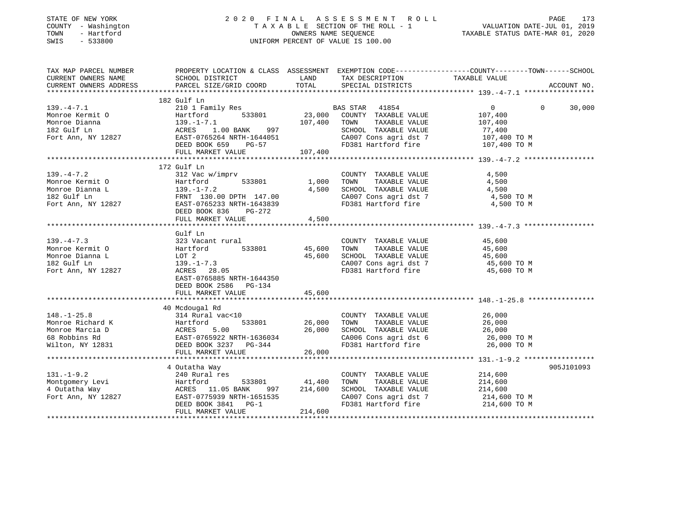| STATE OF NEW YORK<br>COUNTY - Washington<br>- Hartford<br>TOWN<br>SWIS<br>$-533800$ |                                                                | OWNERS NAME SEQUENCE | 2020 FINAL ASSESSMENT<br>R O L L<br>TAXABLE SECTION OF THE ROLL - 1<br>UNIFORM PERCENT OF VALUE IS 100.00 | VALUATION DATE-JUL 01, 2019<br>TAXABLE STATUS DATE-MAR 01, 2020                                                  | PAGE<br>173 |
|-------------------------------------------------------------------------------------|----------------------------------------------------------------|----------------------|-----------------------------------------------------------------------------------------------------------|------------------------------------------------------------------------------------------------------------------|-------------|
| TAX MAP PARCEL NUMBER<br>CURRENT OWNERS NAME                                        | SCHOOL DISTRICT                                                | LAND                 |                                                                                                           | PROPERTY LOCATION & CLASS ASSESSMENT EXEMPTION CODE---------------COUNTY-------TOWN------SCHOOL<br>TAXABLE VALUE |             |
| CURRENT OWNERS ADDRESS                                                              | PARCEL SIZE/GRID COORD                                         | TOTAL                | TAX DESCRIPTION<br>SPECIAL DISTRICTS                                                                      |                                                                                                                  | ACCOUNT NO. |
|                                                                                     |                                                                |                      |                                                                                                           |                                                                                                                  |             |
|                                                                                     | 182 Gulf Ln                                                    |                      |                                                                                                           |                                                                                                                  |             |
| $139. -4 - 7.1$                                                                     | 210 1 Family Res                                               |                      | BAS STAR 41854                                                                                            | $\overline{0}$<br>$\Omega$                                                                                       | 30,000      |
| Monroe Kermit O                                                                     | Hartford<br>533801                                             | 23,000               | COUNTY TAXABLE VALUE                                                                                      | 107,400                                                                                                          |             |
| Monroe Dianna                                                                       | 139.-1-7.1<br>ACRES 1.00 BANK 997<br>EAST-0765264 NRTH-1644051 | 107,400              | TOWN<br>TAXABLE VALUE                                                                                     | 107,400                                                                                                          |             |
| 182 Gulf Ln                                                                         |                                                                |                      | SCHOOL TAXABLE VALUE                                                                                      | 77,400                                                                                                           |             |
| Fort Ann, NY 12827                                                                  | DEED BOOK 659<br>PG-57                                         |                      | CA007 Cons agri dst 7<br>FD381 Hartford fire                                                              | 107,400 TO M<br>107,400 TO M                                                                                     |             |
|                                                                                     | FULL MARKET VALUE                                              | 107,400              |                                                                                                           |                                                                                                                  |             |
|                                                                                     |                                                                |                      |                                                                                                           |                                                                                                                  |             |
|                                                                                     | 172 Gulf Ln                                                    |                      |                                                                                                           |                                                                                                                  |             |
| $139. - 4 - 7.2$                                                                    | 312 Vac w/imprv                                                |                      | COUNTY TAXABLE VALUE                                                                                      | 4,500                                                                                                            |             |
| Monroe Kermit O                                                                     | 533801<br>Hartford                                             | 1,000                | TAXABLE VALUE<br>TOWN                                                                                     | 4,500                                                                                                            |             |
| Monroe Dianna L                                                                     | $139. - 1 - 7.2$                                               | 4,500                | SCHOOL TAXABLE VALUE                                                                                      | 4,500                                                                                                            |             |
| 182 Gulf Ln                                                                         | FRNT 130.00 DPTH 147.00                                        |                      | CA007 Cons agri dst 7                                                                                     | 4,500 TO M                                                                                                       |             |
| Fort Ann, NY 12827                                                                  | EAST-0765233 NRTH-1643839<br>DEED BOOK 836<br>PG-272           |                      | FD381 Hartford fire                                                                                       | 4,500 TO M                                                                                                       |             |
|                                                                                     | FULL MARKET VALUE                                              | 4,500                |                                                                                                           |                                                                                                                  |             |
|                                                                                     | Gulf Ln                                                        |                      |                                                                                                           |                                                                                                                  |             |
| $139. -4 - 7.3$                                                                     | 323 Vacant rural                                               |                      | COUNTY TAXABLE VALUE                                                                                      | 45,600                                                                                                           |             |
| Monroe Kermit O                                                                     | 533801<br>Hartford                                             | 45,600               | TOWN<br>TAXABLE VALUE                                                                                     | 45,600                                                                                                           |             |
| Monroe Dianna L                                                                     | LOT 2                                                          | 45,600               | SCHOOL TAXABLE VALUE                                                                                      | 45,600                                                                                                           |             |
| 182 Gulf Ln                                                                         | $139. - 1 - 7.3$                                               |                      | CA007 Cons agri dst 7                                                                                     | 45,600 TO M                                                                                                      |             |
| Fort Ann, NY 12827                                                                  | ACRES 28.05                                                    |                      | FD381 Hartford fire                                                                                       | 45,600 TO M                                                                                                      |             |
|                                                                                     | EAST-0765885 NRTH-1644350                                      |                      |                                                                                                           |                                                                                                                  |             |
|                                                                                     | DEED BOOK 2586 PG-134                                          |                      |                                                                                                           |                                                                                                                  |             |
|                                                                                     | FULL MARKET VALUE                                              | 45,600               |                                                                                                           |                                                                                                                  |             |
|                                                                                     |                                                                |                      |                                                                                                           |                                                                                                                  |             |
| $148. - 1 - 25.8$                                                                   | 40 Mcdougal Rd<br>314 Rural vac<10                             |                      | COUNTY TAXABLE VALUE                                                                                      | 26,000                                                                                                           |             |
| Monroe Richard K                                                                    | 533801<br>Hartford                                             | 26,000               | TOWN<br>TAXABLE VALUE                                                                                     | 26,000                                                                                                           |             |
| Monroe Marcia D                                                                     | ACRES<br>5.00                                                  | 26,000               | SCHOOL TAXABLE VALUE                                                                                      | 26,000                                                                                                           |             |
| 68 Robbins Rd                                                                       | EAST-0765922 NRTH-1636034                                      |                      | CA006 Cons agri dst 6                                                                                     | 26,000 TO M                                                                                                      |             |
| Wilton, NY 12831                                                                    | DEED BOOK 3237 PG-344                                          |                      | FD381 Hartford fire                                                                                       | 26,000 TO M                                                                                                      |             |
|                                                                                     | FULL MARKET VALUE                                              | 26,000               |                                                                                                           |                                                                                                                  |             |
|                                                                                     |                                                                |                      |                                                                                                           |                                                                                                                  |             |
|                                                                                     | 4 Outatha Way                                                  |                      |                                                                                                           |                                                                                                                  | 905J101093  |
| $131. - 1 - 9.2$                                                                    | 240 Rural res                                                  |                      | COUNTY TAXABLE VALUE                                                                                      | 214,600                                                                                                          |             |
| Montgomery Levi                                                                     | Hartford<br>533801                                             | 41,400               | TOWN<br>TAXABLE VALUE                                                                                     | 214,600                                                                                                          |             |
| 4 Outatha Way                                                                       | ACRES 11.05 BANK<br>997                                        | 214,600              | SCHOOL TAXABLE VALUE                                                                                      | 214,600                                                                                                          |             |
| Fort Ann, NY 12827                                                                  | EAST-0775939 NRTH-1651535<br>DEED BOOK 3841<br>$PG-1$          |                      | CA007 Cons agri dst 7<br>FD381 Hartford fire                                                              | 214,600 TO M<br>214,600 TO M                                                                                     |             |
|                                                                                     | FULL MARKET VALUE                                              | 214,600              |                                                                                                           |                                                                                                                  |             |
|                                                                                     |                                                                |                      |                                                                                                           |                                                                                                                  |             |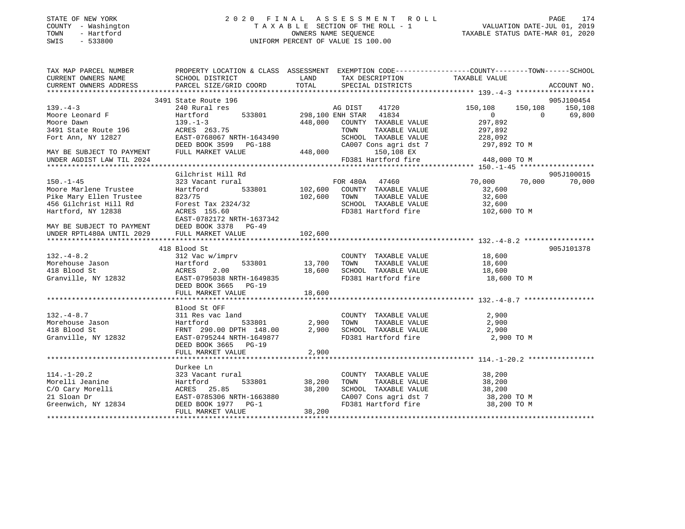### STATE OF NEW YORK 2 0 2 0 F I N A L A S S E S S M E N T R O L L PAGE 174 COUNTY - Washington T A X A B L E SECTION OF THE ROLL - 1 VALUATION DATE-JUL 01, 2019 TOWN - Hartford OWNERS NAME SEQUENCE TAXABLE STATUS DATE-MAR 01, 2020 SWIS - 533800 UNIFORM PERCENT OF VALUE IS 100.00

| TAX MAP PARCEL NUMBER                                                                                                                                                | PROPERTY LOCATION & CLASS ASSESSMENT EXEMPTION CODE----------------COUNTY-------TOWN------SCHOOL                                                                                                                                   |           |                                                                                                                   |     |            |     |     |     |     |     |     |     |     |     |     |     |     |     |     |     |     |     |     |     |  |  |  |  |
|----------------------------------------------------------------------------------------------------------------------------------------------------------------------|------------------------------------------------------------------------------------------------------------------------------------------------------------------------------------------------------------------------------------|-----------|-------------------------------------------------------------------------------------------------------------------|-----|------------|-----|-----|-----|-----|-----|-----|-----|-----|-----|-----|-----|-----|-----|-----|-----|-----|-----|-----|-----|--|--|--|--|
| CURRENT OWNERS NAME SCHOOL DISTRICT                                                                                                                                  |                                                                                                                                                                                                                                    |           | LAND TAX DESCRIPTION TAXABLE VALUE                                                                                |     |            |     |     |     |     |     |     |     |     |     |     |     |     |     |     |     |     |     |     |     |  |  |  |  |
|                                                                                                                                                                      |                                                                                                                                                                                                                                    |           |                                                                                                                   |     |            |     |     |     |     |     |     |     |     |     |     |     |     |     |     |     |     |     |     |     |  |  |  |  |
|                                                                                                                                                                      |                                                                                                                                                                                                                                    |           |                                                                                                                   |     |            |     |     |     |     |     |     |     |     |     |     |     |     |     |     |     |     |     |     |     |  |  |  |  |
|                                                                                                                                                                      | 3491 State Route 196                                                                                                                                                                                                               |           |                                                                                                                   |     |            |     |     |     |     |     |     |     |     |     |     |     |     |     |     |     |     |     |     |     |  |  |  |  |
| $139. -4-3$                                                                                                                                                          |                                                                                                                                                                                                                                    |           |                                                                                                                   |     |            |     |     |     |     |     |     |     |     |     |     |     |     |     |     |     |     |     |     |     |  |  |  |  |
|                                                                                                                                                                      |                                                                                                                                                                                                                                    |           |                                                                                                                   |     |            |     |     |     |     |     |     |     |     |     |     |     |     |     |     |     |     |     |     |     |  |  |  |  |
|                                                                                                                                                                      |                                                                                                                                                                                                                                    |           |                                                                                                                   |     |            |     |     |     |     |     |     |     |     |     |     |     |     |     |     |     |     |     |     |     |  |  |  |  |
|                                                                                                                                                                      |                                                                                                                                                                                                                                    |           |                                                                                                                   |     |            |     |     |     |     |     |     |     |     |     |     |     |     |     |     |     |     |     |     |     |  |  |  |  |
|                                                                                                                                                                      |                                                                                                                                                                                                                                    |           |                                                                                                                   |     |            |     |     |     |     |     |     |     |     |     |     |     |     |     |     |     |     |     |     |     |  |  |  |  |
|                                                                                                                                                                      |                                                                                                                                                                                                                                    |           |                                                                                                                   |     |            |     |     |     |     |     |     |     |     |     |     |     |     |     |     |     |     |     |     |     |  |  |  |  |
|                                                                                                                                                                      |                                                                                                                                                                                                                                    |           |                                                                                                                   |     |            |     |     |     |     |     |     |     |     |     |     |     |     |     |     |     |     |     |     |     |  |  |  |  |
|                                                                                                                                                                      |                                                                                                                                                                                                                                    |           |                                                                                                                   |     |            |     |     |     |     |     |     |     |     |     |     |     |     |     |     |     |     |     |     |     |  |  |  |  |
|                                                                                                                                                                      | $\n\n\n193. -1-3\n240\n241\n242\n243\n245\n246\n245\n246\n247\n248\n249\n240\n240\n240\n240\n241\n242\n245\n246\n247\n248\n249\$                                                                                                   | 193. -1-3 | 240                                                                                                               | 241 | 242        | 243 | 245 | 246 | 245 | 246 | 247 | 248 | 249 | 240 | 240 | 240 | 240 | 241 | 242 | 245 | 246 | 247 | 248 | 249 |  |  |  |  |
| 193. -1-3                                                                                                                                                            | 240                                                                                                                                                                                                                                | 241       | 242                                                                                                               | 243 | 245        | 246 | 245 | 246 | 247 | 248 | 249 | 240 | 240 | 240 | 240 | 241 | 242 | 245 | 246 | 247 | 248 | 249 |     |     |  |  |  |  |
|                                                                                                                                                                      | Gilchrist Hill Rd                                                                                                                                                                                                                  |           |                                                                                                                   |     | 905J100015 |     |     |     |     |     |     |     |     |     |     |     |     |     |     |     |     |     |     |     |  |  |  |  |
| $150. - 1 - 45$                                                                                                                                                      | 323 Vacant rural<br>323 Vacant rural<br>Hartford 533801 102,600 COUNTY TAXABLE VALUE 32,600 70,000 70,000 10,000 10<br>823/75 102,600 TOWN TAXABLE VALUE 32,600                                                                    |           |                                                                                                                   |     | 70,000     |     |     |     |     |     |     |     |     |     |     |     |     |     |     |     |     |     |     |     |  |  |  |  |
|                                                                                                                                                                      |                                                                                                                                                                                                                                    |           |                                                                                                                   |     |            |     |     |     |     |     |     |     |     |     |     |     |     |     |     |     |     |     |     |     |  |  |  |  |
|                                                                                                                                                                      |                                                                                                                                                                                                                                    |           |                                                                                                                   |     |            |     |     |     |     |     |     |     |     |     |     |     |     |     |     |     |     |     |     |     |  |  |  |  |
|                                                                                                                                                                      |                                                                                                                                                                                                                                    |           |                                                                                                                   |     |            |     |     |     |     |     |     |     |     |     |     |     |     |     |     |     |     |     |     |     |  |  |  |  |
| Moore Marlene Trustee Martford 533<br>Pike Mary Ellen Trustee 823/75<br>456 Gilchrist Hill Rd Forest Tax 2324/32<br>Hartford, NY 12838 ACRES 155.50<br>TACRES 153.50 |                                                                                                                                                                                                                                    |           | SCHOOL TAXABLE VALUE 32,600<br>FD381 Hartford fire 102,600 TO M                                                   |     |            |     |     |     |     |     |     |     |     |     |     |     |     |     |     |     |     |     |     |     |  |  |  |  |
|                                                                                                                                                                      | EAST-0782172 NRTH-1637342<br>MAY BE SUBJECT TO PAYMENT DEED BOOK 3378 PG-49<br>UNDER RPTL480A UNTIL 2029 FULL MARKET VALUE                                                                                                         |           |                                                                                                                   |     |            |     |     |     |     |     |     |     |     |     |     |     |     |     |     |     |     |     |     |     |  |  |  |  |
|                                                                                                                                                                      |                                                                                                                                                                                                                                    |           |                                                                                                                   |     |            |     |     |     |     |     |     |     |     |     |     |     |     |     |     |     |     |     |     |     |  |  |  |  |
|                                                                                                                                                                      |                                                                                                                                                                                                                                    | 102,600   |                                                                                                                   |     |            |     |     |     |     |     |     |     |     |     |     |     |     |     |     |     |     |     |     |     |  |  |  |  |
|                                                                                                                                                                      |                                                                                                                                                                                                                                    |           |                                                                                                                   |     |            |     |     |     |     |     |     |     |     |     |     |     |     |     |     |     |     |     |     |     |  |  |  |  |
|                                                                                                                                                                      | 418 Blood St                                                                                                                                                                                                                       |           |                                                                                                                   |     | 905J101378 |     |     |     |     |     |     |     |     |     |     |     |     |     |     |     |     |     |     |     |  |  |  |  |
|                                                                                                                                                                      |                                                                                                                                                                                                                                    |           |                                                                                                                   |     |            |     |     |     |     |     |     |     |     |     |     |     |     |     |     |     |     |     |     |     |  |  |  |  |
|                                                                                                                                                                      |                                                                                                                                                                                                                                    |           |                                                                                                                   |     |            |     |     |     |     |     |     |     |     |     |     |     |     |     |     |     |     |     |     |     |  |  |  |  |
|                                                                                                                                                                      |                                                                                                                                                                                                                                    |           |                                                                                                                   |     |            |     |     |     |     |     |     |     |     |     |     |     |     |     |     |     |     |     |     |     |  |  |  |  |
|                                                                                                                                                                      |                                                                                                                                                                                                                                    |           |                                                                                                                   |     |            |     |     |     |     |     |     |     |     |     |     |     |     |     |     |     |     |     |     |     |  |  |  |  |
|                                                                                                                                                                      |                                                                                                                                                                                                                                    |           |                                                                                                                   |     |            |     |     |     |     |     |     |     |     |     |     |     |     |     |     |     |     |     |     |     |  |  |  |  |
|                                                                                                                                                                      | FULL MARKET VALUE                                                                                                                                                                                                                  | 18,600    |                                                                                                                   |     |            |     |     |     |     |     |     |     |     |     |     |     |     |     |     |     |     |     |     |     |  |  |  |  |
|                                                                                                                                                                      |                                                                                                                                                                                                                                    |           |                                                                                                                   |     |            |     |     |     |     |     |     |     |     |     |     |     |     |     |     |     |     |     |     |     |  |  |  |  |
|                                                                                                                                                                      | Blood St OFF                                                                                                                                                                                                                       |           |                                                                                                                   |     |            |     |     |     |     |     |     |     |     |     |     |     |     |     |     |     |     |     |     |     |  |  |  |  |
| $132. - 4 - 8.7$                                                                                                                                                     | 311 Res vac land                                                                                                                                                                                                                   |           | COUNTY TAXABLE VALUE 2,900                                                                                        |     |            |     |     |     |     |     |     |     |     |     |     |     |     |     |     |     |     |     |     |     |  |  |  |  |
|                                                                                                                                                                      |                                                                                                                                                                                                                                    |           |                                                                                                                   |     |            |     |     |     |     |     |     |     |     |     |     |     |     |     |     |     |     |     |     |     |  |  |  |  |
|                                                                                                                                                                      |                                                                                                                                                                                                                                    |           |                                                                                                                   |     |            |     |     |     |     |     |     |     |     |     |     |     |     |     |     |     |     |     |     |     |  |  |  |  |
|                                                                                                                                                                      | Morehouse Jason and Morehouse Jason and Hartford 533801 2,900 TOWN TAXABLE VALUE 2,900<br>418 Blood St FRNT 290.00 DPTH 148.00 2,900 SCHOOL TAXABLE VALUE 2,900 2,900<br>Granville, NY 12832 EAST-0795244 IRTH-1649877 FD381 Hartf |           |                                                                                                                   |     |            |     |     |     |     |     |     |     |     |     |     |     |     |     |     |     |     |     |     |     |  |  |  |  |
|                                                                                                                                                                      | DEED BOOK 3665 PG-19                                                                                                                                                                                                               |           |                                                                                                                   |     |            |     |     |     |     |     |     |     |     |     |     |     |     |     |     |     |     |     |     |     |  |  |  |  |
|                                                                                                                                                                      | FULL MARKET VALUE                                                                                                                                                                                                                  | 2,900     |                                                                                                                   |     |            |     |     |     |     |     |     |     |     |     |     |     |     |     |     |     |     |     |     |     |  |  |  |  |
|                                                                                                                                                                      |                                                                                                                                                                                                                                    |           |                                                                                                                   |     |            |     |     |     |     |     |     |     |     |     |     |     |     |     |     |     |     |     |     |     |  |  |  |  |
|                                                                                                                                                                      | Durkee Ln                                                                                                                                                                                                                          |           |                                                                                                                   |     |            |     |     |     |     |     |     |     |     |     |     |     |     |     |     |     |     |     |     |     |  |  |  |  |
|                                                                                                                                                                      |                                                                                                                                                                                                                                    |           |                                                                                                                   |     |            |     |     |     |     |     |     |     |     |     |     |     |     |     |     |     |     |     |     |     |  |  |  |  |
|                                                                                                                                                                      |                                                                                                                                                                                                                                    |           |                                                                                                                   |     |            |     |     |     |     |     |     |     |     |     |     |     |     |     |     |     |     |     |     |     |  |  |  |  |
|                                                                                                                                                                      |                                                                                                                                                                                                                                    |           | COUNTY TAXABLE VALUE 38,200<br>TOWN TAXABLE VALUE 38,200<br>SCHOOL TAXABLE VALUE 38,200<br>CA007 Core a wide in F |     |            |     |     |     |     |     |     |     |     |     |     |     |     |     |     |     |     |     |     |     |  |  |  |  |
|                                                                                                                                                                      |                                                                                                                                                                                                                                    |           | CA007 Cons agri dst 7 38,200 TO M<br>FD381 Hartford fire 38,200 TO M                                              |     |            |     |     |     |     |     |     |     |     |     |     |     |     |     |     |     |     |     |     |     |  |  |  |  |
|                                                                                                                                                                      |                                                                                                                                                                                                                                    |           |                                                                                                                   |     |            |     |     |     |     |     |     |     |     |     |     |     |     |     |     |     |     |     |     |     |  |  |  |  |
|                                                                                                                                                                      |                                                                                                                                                                                                                                    |           |                                                                                                                   |     |            |     |     |     |     |     |     |     |     |     |     |     |     |     |     |     |     |     |     |     |  |  |  |  |
|                                                                                                                                                                      |                                                                                                                                                                                                                                    |           |                                                                                                                   |     |            |     |     |     |     |     |     |     |     |     |     |     |     |     |     |     |     |     |     |     |  |  |  |  |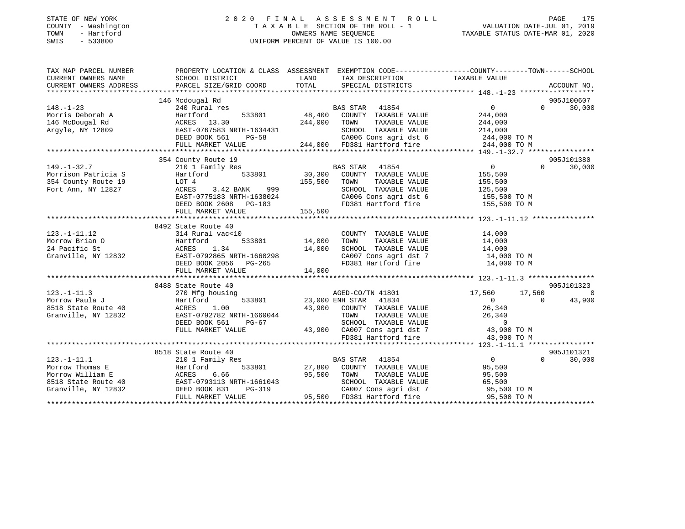|      | STATE OF NEW YORK   | 2020 FINAL ASSESSMENT ROLL         |                                  | PAGE | 175 |
|------|---------------------|------------------------------------|----------------------------------|------|-----|
|      | COUNTY - Washington | TAXABLE SECTION OF THE ROLL - 1    | VALUATION DATE-JUL 01, 2019      |      |     |
| TOWN | - Hartford          | OWNERS NAME SEOUENCE               | TAXABLE STATUS DATE-MAR 01, 2020 |      |     |
| SWIS | $-533800$           | UNIFORM PERCENT OF VALUE IS 100.00 |                                  |      |     |
|      |                     |                                    |                                  |      |     |
|      |                     |                                    |                                  |      |     |

| TAX MAP PARCEL NUMBER<br>CURRENT OWNERS NAME<br>CURRENT OWNERS ADDRESS | PROPERTY LOCATION & CLASS ASSESSMENT EXEMPTION CODE---------------COUNTY-------TOWN-----SCHOOL<br>SCHOOL DISTRICT<br>PARCEL SIZE/GRID COORD                                                    | LAND<br>TOTAL | TAX DESCRIPTION<br>SPECIAL DISTRICTS                                                                                                                                                                | TAXABLE VALUE         |                | ACCOUNT NO. |
|------------------------------------------------------------------------|------------------------------------------------------------------------------------------------------------------------------------------------------------------------------------------------|---------------|-----------------------------------------------------------------------------------------------------------------------------------------------------------------------------------------------------|-----------------------|----------------|-------------|
|                                                                        |                                                                                                                                                                                                |               |                                                                                                                                                                                                     |                       |                |             |
|                                                                        | 146 Mcdougal Rd                                                                                                                                                                                |               |                                                                                                                                                                                                     |                       |                | 905J100607  |
| $148. - 1 - 23$                                                        | 240 Rural res                                                                                                                                                                                  |               | BAS STAR 41854<br>48,400 COUNTY TAXABLE VALUE                                                                                                                                                       | $\overline{0}$        | $\Omega$       | 30,000      |
| Morris Deborah A                                                       | 533801<br>Hartford                                                                                                                                                                             |               |                                                                                                                                                                                                     | 244,000               |                |             |
| 146 McDougal Rd                                                        | ACRES 13.30                                                                                                                                                                                    | 244,000 TOWN  |                                                                                                                                                                                                     | TAXABLE VALUE 244,000 |                |             |
| Argyle, NY 12809                                                       | EAST-0767583 NRTH-1634431<br>DEED BOOK 561 PG-58                                                                                                                                               |               | SCHOOL TAXABLE VALUE 214,000                                                                                                                                                                        |                       |                |             |
|                                                                        |                                                                                                                                                                                                |               |                                                                                                                                                                                                     | 244,000 TO M          |                |             |
|                                                                        | FULL MARKET VALUE                                                                                                                                                                              |               |                                                                                                                                                                                                     | 244,000 TO M          |                |             |
|                                                                        |                                                                                                                                                                                                |               |                                                                                                                                                                                                     |                       |                |             |
|                                                                        | 354 County Route 19                                                                                                                                                                            |               |                                                                                                                                                                                                     |                       |                | 905J101380  |
| $149. - 1 - 32.7$                                                      | 210 1 Family Res                                                                                                                                                                               |               | BAS STAR 41854                                                                                                                                                                                      | $\overline{0}$        | $\Omega$       | 30,000      |
| Morrison Patricia S                                                    | 533801<br>Hartford                                                                                                                                                                             |               | 30,300 COUNTY TAXABLE VALUE                                                                                                                                                                         | 155,500               |                |             |
| 354 County Route 19                                                    | LOT 4                                                                                                                                                                                          | 155,500 TOWN  | TAXABLE VALUE                                                                                                                                                                                       | 155,500               |                |             |
| Fort Ann, NY 12827                                                     | 3.42 BANK 999<br>ACRES                                                                                                                                                                         |               | SCHOOL TAXABLE VALUE 125,500                                                                                                                                                                        |                       |                |             |
|                                                                        | EAST-0775183 NRTH-1638024                                                                                                                                                                      |               | CA006 Cons agri dst 6 155,500 TO M<br>FD381 Hartford fire 155,500 TO M                                                                                                                              | 155,500 TO M          |                |             |
|                                                                        | DEED BOOK 2608 PG-183                                                                                                                                                                          |               |                                                                                                                                                                                                     |                       |                |             |
|                                                                        | FULL MARKET VALUE                                                                                                                                                                              | 155,500       |                                                                                                                                                                                                     |                       |                |             |
|                                                                        |                                                                                                                                                                                                |               |                                                                                                                                                                                                     |                       |                |             |
|                                                                        | 8492 State Route 40                                                                                                                                                                            |               |                                                                                                                                                                                                     |                       |                |             |
| $123. - 1 - 11.12$                                                     | 314 Rural vac<10                                                                                                                                                                               |               | COUNTY TAXABLE VALUE                                                                                                                                                                                | 14,000<br>14,000      |                |             |
| Morrow Brian O<br>$\frac{1}{2}$                                        | 533801<br>Hartford                                                                                                                                                                             | 14,000        | TAXABLE VALUE<br>TOWN                                                                                                                                                                               |                       |                |             |
| 24 Pacific St                                                          | 1.34<br>ACRES                                                                                                                                                                                  | 14,000        | SCHOOL TAXABLE VALUE                                                                                                                                                                                | 14,000<br>14,000 TO M |                |             |
| Granville, NY 12832                                                    | EAST-0792865 NRTH-1660298<br>DEED BOOK 2056 PG-265                                                                                                                                             |               | $\begin{array}{lll} \texttt{CA007} \texttt{ Cons} & \texttt{agri} \texttt{dst} & 7 & 14,000 \texttt{ TO M} \\ \texttt{FD381} & \texttt{Hartford} \texttt{fire} & 14,000 \texttt{ TO M} \end{array}$ |                       |                |             |
|                                                                        |                                                                                                                                                                                                |               |                                                                                                                                                                                                     |                       |                |             |
|                                                                        | FULL MARKET VALUE                                                                                                                                                                              | 14,000        |                                                                                                                                                                                                     |                       |                |             |
|                                                                        |                                                                                                                                                                                                |               |                                                                                                                                                                                                     |                       |                |             |
|                                                                        | 8488 State Route 40                                                                                                                                                                            |               |                                                                                                                                                                                                     |                       |                | 905J101323  |
| $123. - 1 - 11.3$                                                      | 270 Mfg housing                                                                                                                                                                                |               | AGED-CO/TN 41801<br>533801 23,000 ENH STAR 41834<br>AGED-CO/TN 41801                                                                                                                                | 17,560                | 17,560         | $\Omega$    |
| Morrow Paula J                                                         | Hartford                                                                                                                                                                                       |               |                                                                                                                                                                                                     | $\overline{0}$        | $\overline{0}$ | 43,900      |
| 8518 State Route 40                                                    | ACRES<br>1.00                                                                                                                                                                                  |               | 43,900 COUNTY TAXABLE VALUE 26,340                                                                                                                                                                  |                       |                |             |
| Granville, NY 12832                                                    | EAST-0792782 NRTH-1660044                                                                                                                                                                      |               | TOWN TAXABLE VALUE 26,340<br>SCHOOL TAXABLE VALUE 20                                                                                                                                                |                       |                |             |
|                                                                        | DEED BOOK 561<br>PG-67                                                                                                                                                                         |               |                                                                                                                                                                                                     |                       |                |             |
|                                                                        | FULL MARKET VALUE                                                                                                                                                                              |               | 43,900 CA007 Cons agri dst 7 43,900 TO M                                                                                                                                                            |                       |                |             |
|                                                                        |                                                                                                                                                                                                |               | FD381 Hartford fire                                                                                                                                                                                 | 43,900 TO M           |                |             |
|                                                                        |                                                                                                                                                                                                |               |                                                                                                                                                                                                     |                       |                |             |
|                                                                        | 8518 State Route 40                                                                                                                                                                            |               |                                                                                                                                                                                                     |                       |                | 905J101321  |
| $123. - 1 - 11.1$                                                      | 210 1 Family Res                                                                                                                                                                               |               | <b>BAS STAR</b> 41854                                                                                                                                                                               | $\overline{0}$        | $\Omega$       | 30,000      |
| Morrow Thomas E                                                        | Hartford                                                                                                                                                                                       |               | 533801 27,800 COUNTY TAXABLE VALUE                                                                                                                                                                  | 95,500                |                |             |
| Morrow William E                                                       |                                                                                                                                                                                                |               | TOWN TAXABLE VALUE 95,500<br>SCHOOL TAXABLE VALUE 65,500                                                                                                                                            |                       |                |             |
| 8518 State Route 40                                                    |                                                                                                                                                                                                |               |                                                                                                                                                                                                     |                       |                |             |
| Granville, NY 12832                                                    | ACRES 6.66 95,500 TOWN TAXABLE VALUE<br>10 EAST-0793113 NRTH-1661043 SCHOOL TAXABLE VALUE<br>23 DEED BOOK 831 PG-319 0A007 Cons agri dst 7<br>FULL MARKET VALUE<br>195,500 FD381 Hartford fire |               | CA007 Cons agri dst 7 95,500 TO M                                                                                                                                                                   |                       |                |             |
|                                                                        |                                                                                                                                                                                                |               |                                                                                                                                                                                                     | 95,500 TO M           |                |             |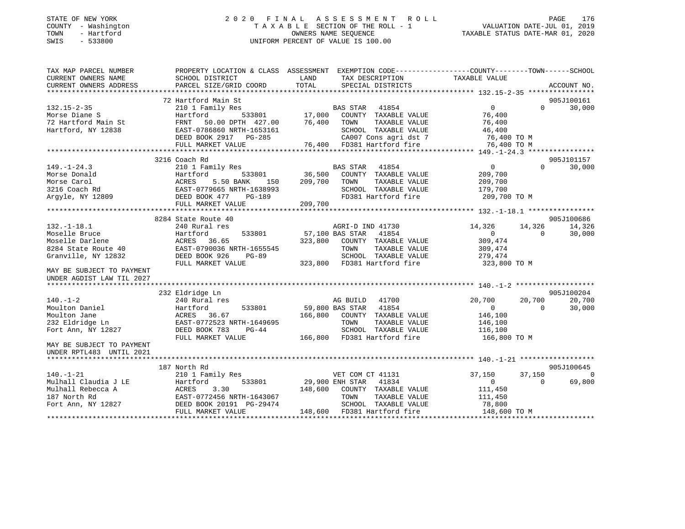### STATE OF NEW YORK 2 0 2 0 F I N A L A S S E S S M E N T R O L L PAGE 176 COUNTY - Washington T A X A B L E SECTION OF THE ROLL - 1 VALUATION DATE-JUL 01, 2019 TOWN - Hartford OWNERS NAME SEQUENCE TAXABLE STATUS DATE-MAR 01, 2020 SWIS - 533800 UNIFORM PERCENT OF VALUE IS 100.00

| TAX MAP PARCEL NUMBER     |                                                                                                                                                                                                                                                                                                                                                                                                                |                                                                            | PROPERTY LOCATION & CLASS ASSESSMENT EXEMPTION CODE---------------COUNTY-------TOWN-----SCHOOL |
|---------------------------|----------------------------------------------------------------------------------------------------------------------------------------------------------------------------------------------------------------------------------------------------------------------------------------------------------------------------------------------------------------------------------------------------------------|----------------------------------------------------------------------------|------------------------------------------------------------------------------------------------|
| CURRENT OWNERS NAME       | SCHOOL DISTRICT                                                                                                                                                                                                                                                                                                                                                                                                | LAND<br>TAX DESCRIPTION                                                    | TAXABLE VALUE                                                                                  |
| CURRENT OWNERS ADDRESS    | PARCEL SIZE/GRID COORD                                                                                                                                                                                                                                                                                                                                                                                         | TOTAL<br>SPECIAL DISTRICTS                                                 | ACCOUNT NO.                                                                                    |
|                           |                                                                                                                                                                                                                                                                                                                                                                                                                |                                                                            |                                                                                                |
|                           | 72 Hartford Main St                                                                                                                                                                                                                                                                                                                                                                                            |                                                                            | 905J100161                                                                                     |
| $132.15 - 2 - 35$         | 210 1 Family Res                                                                                                                                                                                                                                                                                                                                                                                               | BAS STAR 41854                                                             | $\Omega$<br>$\Omega$<br>30,000                                                                 |
| Morse Diane S             | Hartford                                                                                                                                                                                                                                                                                                                                                                                                       | 533801 17,000<br>COUNTY TAXABLE VALUE                                      | 76,400                                                                                         |
| 72 Hartford Main St       | FRNT<br>50.00 DPTH 427.00                                                                                                                                                                                                                                                                                                                                                                                      | 76,400 TOWN<br>TAXABLE VALUE                                               | 76,400                                                                                         |
| Hartford, NY 12838        | EAST-0786860 NRTH-1653161                                                                                                                                                                                                                                                                                                                                                                                      | SCHOOL TAXABLE VALUE                                                       | 46,400                                                                                         |
|                           | DEED BOOK 2917 PG-285                                                                                                                                                                                                                                                                                                                                                                                          |                                                                            | 76,400 TO M                                                                                    |
|                           | FULL MARKET VALUE                                                                                                                                                                                                                                                                                                                                                                                              | SCHOOL TAXABLE VALUE<br>2007 Cons agri dst 7<br>76,400 FD381 Hartford fire | 76,400 TO M                                                                                    |
|                           |                                                                                                                                                                                                                                                                                                                                                                                                                |                                                                            |                                                                                                |
|                           | 3216 Coach Rd                                                                                                                                                                                                                                                                                                                                                                                                  |                                                                            | 905J101157                                                                                     |
| $149. - 1 - 24.3$         | 210 1 Family Res                                                                                                                                                                                                                                                                                                                                                                                               | BAS STAR<br>41854                                                          | $\Omega$<br>$\overline{0}$<br>30,000                                                           |
| Morse Donald              | Hartford<br>533801                                                                                                                                                                                                                                                                                                                                                                                             | 36,500<br>COUNTY TAXABLE VALUE                                             | 209,700                                                                                        |
| Morse Carol               | 5.50 BANK<br>ACRES<br>150                                                                                                                                                                                                                                                                                                                                                                                      | 209,700<br>TOWN<br>TAXABLE VALUE                                           | 209,700                                                                                        |
| 3216 Coach Rd             | EAST-0779665 NRTH-1638993                                                                                                                                                                                                                                                                                                                                                                                      | SCHOOL TAXABLE VALUE                                                       | 179,700                                                                                        |
| Argyle, NY 12809          | $\begin{array}{cc}\n\text{EAST}-0\frac{1}{2}\times1\text{SLO} & \dots \text{EET}-0\frac{1}{2}\text{SLOK} & \text{A77} \\ \text{DEED BOOK} & \text{A77} & \text{A78} \\ \text{A78} & \text{A79} & \text{A78} \\ \text{A89} & \text{A89} & \text{A80} \\ \text{A90} & \text{A90} & \text{A81} \\ \text{A91} & \text{A90} & \text{A90} \\ \text{A91} & \text{A90} & \text{A90} \\ \text{A01} & \text{A$<br>PG-189 | FD381 Hartford fire                                                        | 209,700 TO M                                                                                   |
|                           | FULL MARKET VALUE                                                                                                                                                                                                                                                                                                                                                                                              | 209,700                                                                    |                                                                                                |
|                           |                                                                                                                                                                                                                                                                                                                                                                                                                |                                                                            |                                                                                                |
|                           | 8284 State Route 40                                                                                                                                                                                                                                                                                                                                                                                            |                                                                            | 905J100686                                                                                     |
| $132.-1-18.1$             | 240 Rural res                                                                                                                                                                                                                                                                                                                                                                                                  | AGRI-D IND 41730                                                           | 14,326<br>14,326<br>14,326                                                                     |
| Moselle Bruce             | Hartford<br>533801                                                                                                                                                                                                                                                                                                                                                                                             | 57,100 BAS STAR 41854                                                      | $\overline{0}$<br>$\Omega$<br>30,000                                                           |
| Moselle Darlene           | ACRES 36.65                                                                                                                                                                                                                                                                                                                                                                                                    | 323,800<br>COUNTY TAXABLE VALUE                                            | 309,474                                                                                        |
| 8284 State Route 40       | EAST-0790036 NRTH-1655545                                                                                                                                                                                                                                                                                                                                                                                      | TAXABLE VALUE<br>TOWN                                                      | 309,474                                                                                        |
| Granville, NY 12832       | DEED BOOK 926<br>$PG-89$                                                                                                                                                                                                                                                                                                                                                                                       | SCHOOL TAXABLE VALUE                                                       | 279,474                                                                                        |
|                           | FULL MARKET VALUE                                                                                                                                                                                                                                                                                                                                                                                              | 323,800 FD381 Hartford fire                                                | 323,800 TO M                                                                                   |
| MAY BE SUBJECT TO PAYMENT |                                                                                                                                                                                                                                                                                                                                                                                                                |                                                                            |                                                                                                |
| UNDER AGDIST LAW TIL 2027 |                                                                                                                                                                                                                                                                                                                                                                                                                |                                                                            |                                                                                                |
|                           |                                                                                                                                                                                                                                                                                                                                                                                                                |                                                                            |                                                                                                |
|                           | 232 Eldridge Ln                                                                                                                                                                                                                                                                                                                                                                                                |                                                                            | 905J100204                                                                                     |
| $140. - 1 - 2$            | 240 Rural res                                                                                                                                                                                                                                                                                                                                                                                                  | AG BUILD 41700                                                             | 20,700<br>20,700<br>20,700                                                                     |
| Moulton Daniel            | Hartford<br>533801                                                                                                                                                                                                                                                                                                                                                                                             | 41854<br>59,800 BAS STAR                                                   | $\overline{0}$<br>$\Omega$<br>30,000                                                           |
| Moulton Jane              | ACRES 36.67                                                                                                                                                                                                                                                                                                                                                                                                    | 166,800<br>COUNTY TAXABLE VALUE                                            | 146,100                                                                                        |
| 232 Eldridge Ln           | EAST-0772523 NRTH-1649695                                                                                                                                                                                                                                                                                                                                                                                      | TOWN<br>TAXABLE VALUE                                                      | 146,100                                                                                        |
| Fort Ann, NY 12827        | DEED BOOK 783<br>PG-44                                                                                                                                                                                                                                                                                                                                                                                         | SCHOOL TAXABLE VALUE                                                       | 116,100                                                                                        |
|                           | FULL MARKET VALUE                                                                                                                                                                                                                                                                                                                                                                                              | 166,800 FD381 Hartford fire                                                | 166,800 ТО М                                                                                   |
| MAY BE SUBJECT TO PAYMENT |                                                                                                                                                                                                                                                                                                                                                                                                                |                                                                            |                                                                                                |
| UNDER RPTL483 UNTIL 2021  |                                                                                                                                                                                                                                                                                                                                                                                                                |                                                                            |                                                                                                |
| ************************* |                                                                                                                                                                                                                                                                                                                                                                                                                |                                                                            |                                                                                                |
|                           | 187 North Rd                                                                                                                                                                                                                                                                                                                                                                                                   |                                                                            | 905J100645                                                                                     |
| $140. - 1 - 21$           |                                                                                                                                                                                                                                                                                                                                                                                                                |                                                                            |                                                                                                |
|                           | 210 1 Family Res                                                                                                                                                                                                                                                                                                                                                                                               | VET COM CT 41131                                                           | 37,150<br>37,150<br>$\circ$<br>$\Omega$                                                        |
| Mulhall Claudia J LE      | 533801<br>Hartford                                                                                                                                                                                                                                                                                                                                                                                             | 29,900 ENH STAR<br>41834                                                   | 69,800                                                                                         |
| Mulhall Rebecca A         | ACRES<br>3.30                                                                                                                                                                                                                                                                                                                                                                                                  | 148,600<br>COUNTY TAXABLE VALUE                                            | 111,450                                                                                        |
| 187 North Rd              | EAST-0772456 NRTH-1643067                                                                                                                                                                                                                                                                                                                                                                                      | TOWN<br>TAXABLE VALUE                                                      | 111,450                                                                                        |
| Fort Ann, NY 12827        | DEED BOOK 20191 PG-29474                                                                                                                                                                                                                                                                                                                                                                                       | SCHOOL TAXABLE VALUE                                                       | 78,800                                                                                         |
|                           | FULL MARKET VALUE                                                                                                                                                                                                                                                                                                                                                                                              | 148,600 FD381 Hartford fire                                                | 148,600 TO M                                                                                   |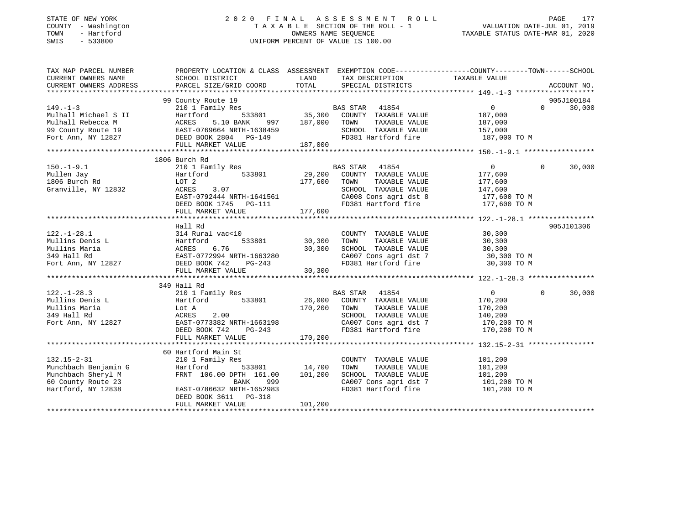### STATE OF NEW YORK 2 0 2 0 F I N A L A S S E S S M E N T R O L L PAGE 177 COUNTY - Washington T A X A B L E SECTION OF THE ROLL - 1 VALUATION DATE-JUL 01, 2019 TOWN - Hartford OWNERS NAME SEQUENCE TAXABLE STATUS DATE-MAR 01, 2020 SWIS - 533800 UNIFORM PERCENT OF VALUE IS 100.00UNIFORM PERCENT OF VALUE IS 100.00

| TAX MAP PARCEL NUMBER                                            | PROPERTY LOCATION & CLASS ASSESSMENT EXEMPTION CODE----------------COUNTY-------TOWN------SCHOOL                                                                                                                                                               |             |                                                                                                                                               |                                                |                    |
|------------------------------------------------------------------|----------------------------------------------------------------------------------------------------------------------------------------------------------------------------------------------------------------------------------------------------------------|-------------|-----------------------------------------------------------------------------------------------------------------------------------------------|------------------------------------------------|--------------------|
| CURRENT OWNERS NAME                                              | SCHOOL DISTRICT                                                                                                                                                                                                                                                | <b>LAND</b> | TAX DESCRIPTION                                                                                                                               | TAXABLE VALUE                                  |                    |
| CURRENT OWNERS ADDRESS                                           | PARCEL SIZE/GRID COORD TOTAL                                                                                                                                                                                                                                   |             | SPECIAL DISTRICTS                                                                                                                             |                                                | ACCOUNT NO.        |
|                                                                  |                                                                                                                                                                                                                                                                |             |                                                                                                                                               |                                                |                    |
|                                                                  | 99 County Route 19                                                                                                                                                                                                                                             |             |                                                                                                                                               |                                                | 905J100184         |
| $149. - 1 - 3$                                                   |                                                                                                                                                                                                                                                                |             |                                                                                                                                               | $\overline{0}$                                 | $0 \t 30,000$      |
|                                                                  |                                                                                                                                                                                                                                                                |             |                                                                                                                                               | 187,000                                        |                    |
|                                                                  |                                                                                                                                                                                                                                                                |             |                                                                                                                                               |                                                |                    |
|                                                                  |                                                                                                                                                                                                                                                                |             | SCHOOL TAXABLE VALUE                                                                                                                          | TAXABLE VALUE 187,000<br>TAXABLE VALUE 157,000 |                    |
|                                                                  |                                                                                                                                                                                                                                                                |             | FD381 Hartford fire 187,000 TO M                                                                                                              |                                                |                    |
|                                                                  | 149.-1-3<br>Mulhall Michael S II Hartford 533801 35,300<br>Mulhall Rebecca M ACRES 5.10 BANK 997 187,000<br>99 County Route 19<br>Fort Ann, NY 12827 DEED BOOK 2804 PG-149<br>FULL MARKET VALUE 187,000<br>FULL MARKET VALUE 187,000<br>FULL                   |             |                                                                                                                                               |                                                |                    |
|                                                                  |                                                                                                                                                                                                                                                                |             |                                                                                                                                               |                                                |                    |
|                                                                  | 1806 Burch Rd                                                                                                                                                                                                                                                  |             |                                                                                                                                               |                                                |                    |
| $150. - 1 - 9.1$                                                 | 210 1 Family Res                                                                                                                                                                                                                                               |             | BAS STAR 41854                                                                                                                                | $\overline{0}$                                 | $\Omega$<br>30,000 |
| 150.-1-9.1<br>Mullen Jay<br>1806 Burch Rd<br>Granville, NY 12832 | Hartford 533801 29,200 COUNTY TAXABLE VALUE 177,600                                                                                                                                                                                                            |             |                                                                                                                                               |                                                |                    |
|                                                                  | $\begin{tabular}{lllllll} \texttt{LOT} & 2 & & & & 177,600 & \texttt{TOWN} \\ \texttt{ACRES} & 3.07 & & & & & \texttt{SCH0O} \end{tabular}$                                                                                                                    |             |                                                                                                                                               |                                                |                    |
|                                                                  |                                                                                                                                                                                                                                                                |             | TOWN TAXABLE VALUE 177,600<br>SCHOOL TAXABLE VALUE 147,600                                                                                    |                                                |                    |
|                                                                  | ACRES 3.07<br>EAST-0792444 NRTH-1641561                                                                                                                                                                                                                        |             | CA008 Cons agri dst 8 $177,600$ TO M                                                                                                          |                                                |                    |
|                                                                  | DEED BOOK 1745 PG-111                                                                                                                                                                                                                                          |             | FD381 Hartford fire                                                                                                                           | 177,600 TO M                                   |                    |
|                                                                  | FULL MARKET VALUE                                                                                                                                                                                                                                              | 177,600     |                                                                                                                                               |                                                |                    |
|                                                                  |                                                                                                                                                                                                                                                                |             |                                                                                                                                               |                                                |                    |
|                                                                  | Hall Rd                                                                                                                                                                                                                                                        |             |                                                                                                                                               |                                                | 905J101306         |
|                                                                  |                                                                                                                                                                                                                                                                |             | 0 COUNTY TAXABLE VALUE<br>533801 30,300 TOWN TAXABLE VALUE 30,300<br>30,300 SCHOOL TAXABLE VALUE 30,300<br>30,300 SCHOOL TAXABLE VALUE 30,300 |                                                |                    |
|                                                                  |                                                                                                                                                                                                                                                                |             |                                                                                                                                               |                                                |                    |
|                                                                  |                                                                                                                                                                                                                                                                |             |                                                                                                                                               |                                                |                    |
|                                                                  |                                                                                                                                                                                                                                                                |             |                                                                                                                                               |                                                |                    |
|                                                                  |                                                                                                                                                                                                                                                                |             | CA007 Cons agri dst 7 30,300 TO M<br>FD381 Hartford fire 30,300 TO M                                                                          |                                                |                    |
|                                                                  | 122.-1-28.1<br>Mullins Denis L<br>Mullins Maria<br>Mullins Maria<br>314 Rural vac<10<br>Hartford 533801 30,300<br>30,300<br>30,300<br>30,300<br>30,300<br>Fort Ann, NY 12827<br>DEED BOOK 742 PG-243<br>FULL MARKET VALUE<br>30,300<br>30,300<br>20,300<br>20, |             |                                                                                                                                               |                                                |                    |
|                                                                  | FULL MARKET VALUE                                                                                                                                                                                                                                              | 30,300      |                                                                                                                                               |                                                |                    |
|                                                                  |                                                                                                                                                                                                                                                                |             |                                                                                                                                               |                                                |                    |
|                                                                  | 349 Hall Rd                                                                                                                                                                                                                                                    |             |                                                                                                                                               |                                                |                    |
|                                                                  |                                                                                                                                                                                                                                                                |             |                                                                                                                                               | $\overline{0}$                                 | 30,000<br>$\Omega$ |
|                                                                  |                                                                                                                                                                                                                                                                |             |                                                                                                                                               | 170,200                                        |                    |
|                                                                  |                                                                                                                                                                                                                                                                |             |                                                                                                                                               | 170,200                                        |                    |
|                                                                  |                                                                                                                                                                                                                                                                |             | SCHOOL TAXABLE VALUE 140,200<br>CA007 Cons agri dst 7 170,200 TO M                                                                            |                                                |                    |
|                                                                  | 122.-1-28.3<br>Mullins Denis L<br>Mullins Maria (1892)<br>Mullins Maria (1892)<br>Mullins Maria (1892)<br>Mullins Maria (1892)<br>Mullins Maria (1892)<br>Mullins Maria (1893)<br>Mullins Maria (1893)<br>Mullins Maria (1894)<br>Mullins Maria (1             |             |                                                                                                                                               |                                                |                    |
|                                                                  |                                                                                                                                                                                                                                                                |             |                                                                                                                                               |                                                |                    |
|                                                                  |                                                                                                                                                                                                                                                                |             |                                                                                                                                               |                                                |                    |
|                                                                  |                                                                                                                                                                                                                                                                |             |                                                                                                                                               |                                                |                    |
|                                                                  | 60 Hartford Main St                                                                                                                                                                                                                                            |             |                                                                                                                                               |                                                |                    |
|                                                                  |                                                                                                                                                                                                                                                                |             | COUNTY TAXABLE VALUE                                                                                                                          | 101,200                                        |                    |
|                                                                  | 132.15-2-31<br>Munchbach Benjamin G<br>Munchbach Sheryl M<br>Munchbach Sheryl M<br>FRNT 106.00 DPTH 161.00 101,200<br>EAST-0786632 NRTH-1652983<br>Hartford, NY 12838<br>EAST-0786632 NRTH-1652983                                                             |             | TOWN<br>TAXABLE VALUE                                                                                                                         | 101,200                                        |                    |
|                                                                  |                                                                                                                                                                                                                                                                |             | SCHOOL TAXABLE VALUE                                                                                                                          | 101,200                                        |                    |
|                                                                  |                                                                                                                                                                                                                                                                |             | CA007 Cons agri dst 7 101,200 TO M                                                                                                            |                                                |                    |
|                                                                  |                                                                                                                                                                                                                                                                |             | FD381 Hartford fire                                                                                                                           | 101,200 TO M                                   |                    |
|                                                                  | DEED BOOK 3611    PG-318                                                                                                                                                                                                                                       |             |                                                                                                                                               |                                                |                    |
|                                                                  | FULL MARKET VALUE                                                                                                                                                                                                                                              | 101, 200    |                                                                                                                                               |                                                |                    |
|                                                                  |                                                                                                                                                                                                                                                                |             |                                                                                                                                               |                                                |                    |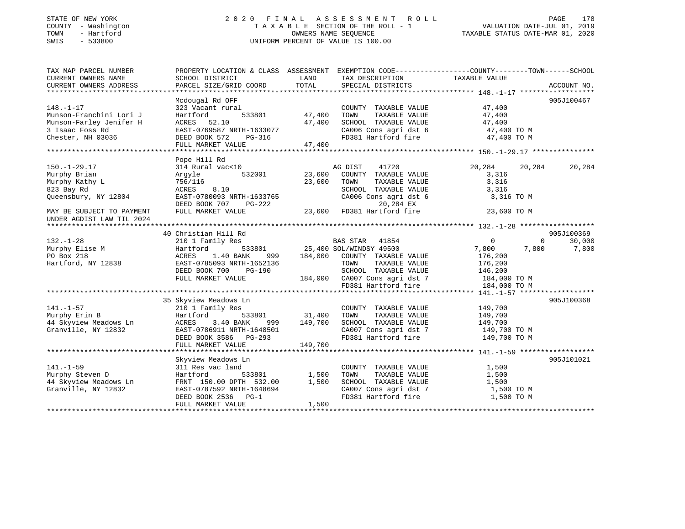### STATE OF NEW YORK 2 0 2 0 F I N A L A S S E S S M E N T R O L L PAGE 178 COUNTY - Washington T A X A B L E SECTION OF THE ROLL - 1 VALUATION DATE-JUL 01, 2019 TOWN - Hartford OWNERS NAME SEQUENCE TAXABLE STATUS DATE-MAR 01, 2020 SWIS - 533800 UNIFORM PERCENT OF VALUE IS 100.00UNIFORM PERCENT OF VALUE IS 100.00

| TAX MAP PARCEL NUMBER<br>CURRENT OWNERS NAME<br>CURRENT OWNERS ADDRESS                                                                               | SCHOOL DISTRICT<br>PARCEL SIZE/GRID COORD                                                                                                                                                                             | LAND<br>TOTAL                  | TAX DESCRIPTION TAXABLE VALUE<br>SPECIAL DISTRICTS                                                                                                                                                                                        | PROPERTY LOCATION & CLASS ASSESSMENT EXEMPTION CODE---------------COUNTY-------TOWN-----SCHOOL                                                                                                                                                                    | ACCOUNT NO.                               |
|------------------------------------------------------------------------------------------------------------------------------------------------------|-----------------------------------------------------------------------------------------------------------------------------------------------------------------------------------------------------------------------|--------------------------------|-------------------------------------------------------------------------------------------------------------------------------------------------------------------------------------------------------------------------------------------|-------------------------------------------------------------------------------------------------------------------------------------------------------------------------------------------------------------------------------------------------------------------|-------------------------------------------|
| $148. - 1 - 17$<br>Munson-Franchini Lori J<br>Munson-Farley Jenifer H<br>3 Isaac Foss Rd<br>Chester, NH 03036                                        | Mcdougal Rd OFF<br>323 Vacant rural<br>533801<br>Hartford<br>ACRES 52.10<br>EAST-0769587 NRTH-1633077<br>DEED BOOK 572 PG-316<br>FULL MARKET VALUE                                                                    | 47,400<br>47,400<br>47,400     | COUNTY TAXABLE VALUE<br>TAXABLE VALUE<br>TOWN<br>SCHOOL TAXABLE VALUE                                                                                                                                                                     | 47,400<br>47,400<br>47,400<br>$\begin{array}{lll} \texttt{CA006} \texttt{ Cons} & \texttt{aspti} & \texttt{dst} & \texttt{6} & \texttt{47,400} \texttt{ TO M} \\ \texttt{FD381} & \texttt{Hartford} & \texttt{fire} & \texttt{47,400} \texttt{ TO M} \end{array}$ | 905J100467                                |
| $150. - 1 - 29.17$<br>Murphy Brian<br>Murphy Kathy L<br>823 Bay Rd<br>Queensbury, NY 12804<br>MAY BE SUBJECT TO PAYMENT<br>UNDER AGDIST LAW TIL 2024 | Pope Hill Rd<br>314 Rural vac<10<br>Argyle 532001<br>756/116<br>ACRES 8.10<br>EAST-0780093 NRTH-1633765<br>DEED BOOK 707<br>PG-222<br>FULL MARKET VALUE                                                               | 23,600                         | 41720<br>AG DIST 41720<br>23,600 COUNTY TAXABLE VALUE<br>TOWN<br>TAXABLE VALUE<br>SCHOOL TAXABLE VALUE<br>CA006 Cons agri dst 6<br>20,284 EX<br>3-222 20,284 EX<br>23,600 FD381 Hartford fire                                             | 20,284<br>20,284<br>3,316<br>3,316<br>3,316<br>3,316 TO M<br>23,600 TO M                                                                                                                                                                                          | 20,284                                    |
| $132. - 1 - 28$<br>Murphy Elise M<br>PO Box 218<br>Hartford, NY 12838                                                                                | 40 Christian Hill Rd<br>210 1 Family Res<br>Hartford<br>1.40 BANK<br>ACRES<br>EAST-0785093 NRTH-1652136<br>DEED BOOK 700 PG-190<br>FULL MARKET VALUE                                                                  |                                | BAS STAR 41854<br>533801 25,400 SOL/WINDSY 49500<br>BAS STAR 41854<br>999 184,000 COUNTY TAXABLE VALUE<br>TAXABLE VALUE<br>TOWN<br>SCHOOL TAXABLE VALUE<br>184,000 CA007 Cons agri dst 7 184,000 TO M<br>FD381 Hartford fire 184,000 TO M | $\overline{0}$<br>7,800<br>7,800<br>176,200<br>176,200<br>146,200                                                                                                                                                                                                 | 905J100369<br>30,000<br>$\Omega$<br>7,800 |
| 141.-1-57<br>Murphy Erin B<br>44 Skyview Meadows Ln<br>Granville, NY 12832                                                                           | 35 Skyview Meadows Ln<br>210 1 Family Res<br>Hartford 533801 31,400 TOWN TAXABLE VALUE<br>ACRES 3.40 BANK 999 149,700 SCHOOL TAXABLE VALUE<br>EAST-0786911 NRTH-1648501<br>DEED BOOK 3586 PG-293<br>FULL MARKET VALUE | 149,700                        | COUNTY TAXABLE VALUE<br>CA007 Cons agri dst 7 149,700 TO M<br>FD381 Hartford fire                                                                                                                                                         | 149,700<br>149,700<br>149,700<br>149,700 TO M                                                                                                                                                                                                                     | 905J100368                                |
| $141. - 1 - 59$<br>Murphy Steven D<br>44 Skyview Meadows Ln<br>Granville, NY 12832                                                                   | Skyview Meadows Ln<br>311 Res vac land<br>Hartford<br>FRNT 150.00 DPTH 532.00<br>EAST-0787592 NRTH-1648694<br>DEED BOOK 2536 PG-1<br>FULL MARKET VALUE                                                                | 533801 1,500<br>1,500<br>1,500 | COUNTY TAXABLE VALUE<br>TAXABLE VALUE<br>TOWN<br>SCHOOL TAXABLE VALUE<br>FD381 Hartford fire                                                                                                                                              | 1,500<br>1,500<br>1,500<br>1,500 TO M<br>1,500 TO M                                                                                                                                                                                                               | 905J101021                                |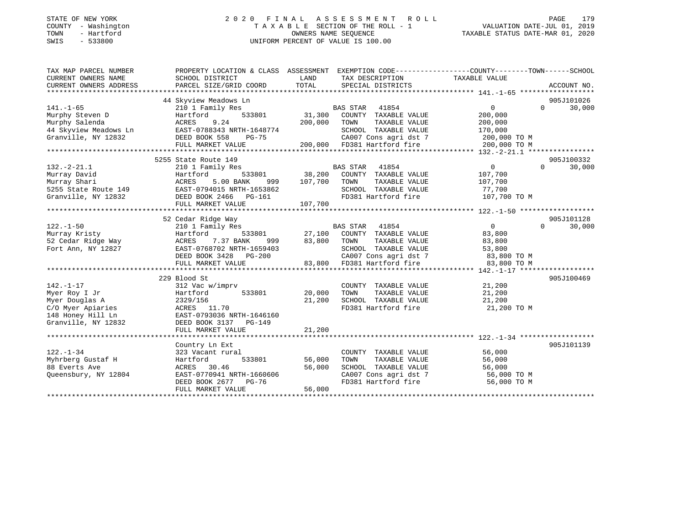### STATE OF NEW YORK 2 0 2 0 F I N A L A S S E S S M E N T R O L L PAGE 179 COUNTY - Washington T A X A B L E SECTION OF THE ROLL - 1 VALUATION DATE-JUL 01, 2019 TOWN - Hartford OWNERS NAME SEQUENCE TAXABLE STATUS DATE-MAR 01, 2020 SWIS - 533800 UNIFORM PERCENT OF VALUE IS 100.00UNIFORM PERCENT OF VALUE IS 100.00

| TAX MAP PARCEL NUMBER               | PROPERTY LOCATION & CLASS ASSESSMENT EXEMPTION CODE---------------COUNTY-------TOWN-----SCHOOL                                                                                                               |                 |                                                                                                                                               |                   |                    |
|-------------------------------------|--------------------------------------------------------------------------------------------------------------------------------------------------------------------------------------------------------------|-----------------|-----------------------------------------------------------------------------------------------------------------------------------------------|-------------------|--------------------|
| CURRENT OWNERS NAME                 | SCHOOL DISTRICT                                                                                                                                                                                              | LAND            | TAX DESCRIPTION                                                                                                                               | TAXABLE VALUE     |                    |
| CURRENT OWNERS ADDRESS              | PARCEL SIZE/GRID COORD                                                                                                                                                                                       | TOTAL           | SPECIAL DISTRICTS                                                                                                                             |                   | ACCOUNT NO.        |
|                                     |                                                                                                                                                                                                              |                 |                                                                                                                                               |                   |                    |
|                                     | 44 Skyview Meadows Ln                                                                                                                                                                                        |                 |                                                                                                                                               |                   | 905J101026         |
| $141. - 1 - 65$                     | 210 1 Family Res                                                                                                                                                                                             |                 | BAS STAR<br>41854                                                                                                                             | $0 \qquad \qquad$ | 30,000<br>$\Omega$ |
| Murphy Steven D                     | 533801<br>Hartford<br>Hai .<br>ACRES<br>מייר                                                                                                                                                                 |                 | 31,300 COUNTY TAXABLE VALUE                                                                                                                   | 200,000           |                    |
| Murphy Salenda                      | 9.24                                                                                                                                                                                                         | 200,000         | TOWN<br>TAXABLE VALUE                                                                                                                         | 200,000           |                    |
|                                     | 44 Skyview Meadows Ln EAST-0788343 NRTH-1648774                                                                                                                                                              |                 | SCHOOL TAXABLE VALUE                                                                                                                          | 170,000           |                    |
| Granville, NY 12832 DEED BOOK 558   | PG-75                                                                                                                                                                                                        |                 | CA007 Cons agri dst 7 200,000 TO M<br>200,000 FD381 Hartford fire 200,000 TO M                                                                |                   |                    |
|                                     | FULL MARKET VALUE                                                                                                                                                                                            |                 |                                                                                                                                               |                   |                    |
|                                     |                                                                                                                                                                                                              |                 |                                                                                                                                               |                   |                    |
|                                     | 5255 State Route 149<br>210 1 Family Res 60 BAS STAR 41854                                                                                                                                                   |                 |                                                                                                                                               |                   | 905J100332         |
| $132.-2-21.1$                       |                                                                                                                                                                                                              |                 |                                                                                                                                               | $\overline{0}$    | $\Omega$<br>30,000 |
| Murray David                        | Hartford                                                                                                                                                                                                     |                 | 533801 38,200 COUNTY TAXABLE VALUE                                                                                                            | 107,700           |                    |
|                                     | Murray Shari                             ACRES       5.00 BANK       999<br>5255 State Route 149                   EAST-0794015 NRTH-1653862<br>5.00 BANK 999 107,700 TOWN                                   |                 | TAXABLE VALUE                                                                                                                                 | 107,700           |                    |
|                                     |                                                                                                                                                                                                              |                 | SCHOOL TAXABLE VALUE                                                                                                                          | 77,700            |                    |
| Granville, NY 12832                 | DEED BOOK 2466 PG-161                                                                                                                                                                                        |                 | FD381 Hartford fire 107,700 TO M                                                                                                              |                   |                    |
|                                     |                                                                                                                                                                                                              |                 |                                                                                                                                               |                   |                    |
|                                     |                                                                                                                                                                                                              |                 |                                                                                                                                               |                   |                    |
|                                     | 52 Cedar Ridge Way                                                                                                                                                                                           |                 |                                                                                                                                               |                   | 905J101128         |
| $122. - 1 - 50$                     | 210 1 Family Res                                                                                                                                                                                             |                 | $\begin{tabular}{lllllllllll} \texttt{BAS STAR} & 41854 \\ \texttt{533801} & 27,100 & \texttt{COUNTY} & \texttt{TAXABLE VALUE} \end{tabular}$ | $\overline{0}$    | $\Omega$<br>30,000 |
| Murray Kristy<br>52 Cedar Ridge Way | Hartford                                                                                                                                                                                                     |                 |                                                                                                                                               | 83,800            |                    |
|                                     | ACRES 7.37 BANK                                                                                                                                                                                              | 999 83,800 TOWN | TAXABLE VALUE                                                                                                                                 | 83,800            |                    |
| Fort Ann, NY 12827                  |                                                                                                                                                                                                              |                 |                                                                                                                                               |                   |                    |
|                                     |                                                                                                                                                                                                              |                 |                                                                                                                                               |                   |                    |
|                                     | EAST-0768702 NRTH-1659403<br>DEED BOOK 3428 PG-200 (2007 Cons agri dst 7 83,800 TO M<br>FULL MARKET VALUE 83,800 FD381 Hartford fire 83,800 TO M<br>FULL MARKET VALUE 83,800 FD381 Hartford fire 83,800 TO M |                 |                                                                                                                                               |                   |                    |
|                                     |                                                                                                                                                                                                              |                 |                                                                                                                                               |                   |                    |
|                                     | 229 Blood St                                                                                                                                                                                                 |                 |                                                                                                                                               |                   | 905J100469         |
| $142. - 1 - 17$                     | 312 Vac w/imprv                                                                                                                                                                                              |                 | COUNTY TAXABLE VALUE                                                                                                                          | 21,200            |                    |
| Myer Roy I Jr                       | Hartford                                                                                                                                                                                                     | 533801 20,000   | TOWN<br>TAXABLE VALUE                                                                                                                         | 21,200            |                    |
| Myer Douglas A                      | 2329/156<br>2329/156<br>ACRES 11.70                                                                                                                                                                          | 21,200          | SCHOOL TAXABLE VALUE<br>FD381 Hartford fire                                                                                                   | 21,200            |                    |
| C/O Myer Apiaries                   |                                                                                                                                                                                                              |                 |                                                                                                                                               | 21,200 TO M       |                    |
|                                     | 148 Honey Hill Ln EAST-0793036 NRTH-1646160                                                                                                                                                                  |                 |                                                                                                                                               |                   |                    |
| Granville, NY 12832                 | DEED BOOK 3137 PG-149                                                                                                                                                                                        |                 |                                                                                                                                               |                   |                    |
|                                     | FULL MARKET VALUE                                                                                                                                                                                            | 21,200          |                                                                                                                                               |                   |                    |
|                                     |                                                                                                                                                                                                              |                 |                                                                                                                                               |                   |                    |
|                                     | Country Ln Ext                                                                                                                                                                                               |                 |                                                                                                                                               |                   | 905J101139         |
| $122. - 1 - 34$                     | 323 Vacant rural                                                                                                                                                                                             |                 | COUNTY TAXABLE VALUE                                                                                                                          | 56,000            |                    |
| Myhrberg Gustaf H                   | Hartford                                                                                                                                                                                                     | 533801 56,000   | TOWN<br>TAXABLE VALUE                                                                                                                         | 56,000            |                    |
| 88 Everts Ave                       | ACRES 30.46                                                                                                                                                                                                  | 56,000          | SCHOOL TAXABLE VALUE<br>SCHOOL TAXABLE VALUE 56,000<br>CA007 Cons agri dst 7 56,000 TO M                                                      | 56,000            |                    |
| Queensbury, NY 12804                | EAST-0770941 NRTH-1660606                                                                                                                                                                                    |                 |                                                                                                                                               |                   |                    |
|                                     | DEED BOOK 2677 PG-76                                                                                                                                                                                         |                 | FD381 Hartford fire                                                                                                                           | 56,000 TO M       |                    |
|                                     | FULL MARKET VALUE                                                                                                                                                                                            | 56,000          |                                                                                                                                               |                   |                    |
|                                     |                                                                                                                                                                                                              |                 |                                                                                                                                               |                   |                    |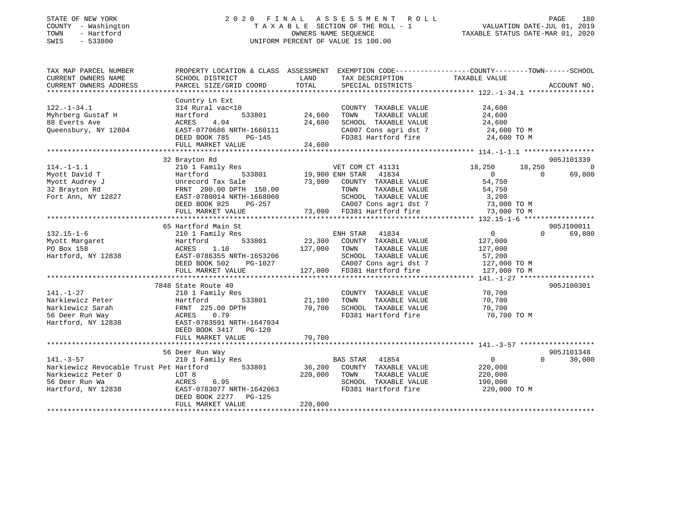### STATE OF NEW YORK 2 0 2 0 F I N A L A S S E S S M E N T R O L L PAGE 180 COUNTY - Washington T A X A B L E SECTION OF THE ROLL - 1 VALUATION DATE-JUL 01, 2019 TOWN - Hartford OWNERS NAME SEQUENCE TAXABLE STATUS DATE-MAR 01, 2020 SWIS - 533800 UNIFORM PERCENT OF VALUE IS 100.00

| TAX MAP PARCEL NUMBER                          | PROPERTY LOCATION & CLASS ASSESSMENT |                        | EXEMPTION CODE-----------------COUNTY-------TOWN------SCHOOL                             |                  |                    |
|------------------------------------------------|--------------------------------------|------------------------|------------------------------------------------------------------------------------------|------------------|--------------------|
| CURRENT OWNERS NAME                            | SCHOOL DISTRICT                      | LAND                   | TAX DESCRIPTION                                                                          | TAXABLE VALUE    |                    |
| CURRENT OWNERS ADDRESS                         | PARCEL SIZE/GRID COORD               | TOTAL                  | SPECIAL DISTRICTS                                                                        |                  | ACCOUNT NO.        |
|                                                |                                      |                        |                                                                                          |                  |                    |
|                                                | Country Ln Ext                       |                        |                                                                                          |                  |                    |
| $122. - 1 - 34.1$                              | 314 Rural vac<10                     |                        | COUNTY TAXABLE VALUE                                                                     | 24,600           |                    |
| Myhrberg Gustaf H                              | 533801<br>Hartford                   | 24,600                 | TOWN<br>TAXABLE VALUE                                                                    | 24,600           |                    |
| 88 Everts Ave                                  | ACRES<br>4.04                        | 24,600                 | SCHOOL TAXABLE VALUE                                                                     |                  |                    |
| Queensbury, NY 12804                           | EAST-0770686 NRTH-1660111            |                        | SCHOOL TAXABLE VALUE 24,600<br>CA007 Cons agri dst 7 24,600 TO M                         |                  |                    |
|                                                | DEED BOOK 785<br>PG-145              | $\mathbf{L}$           | FD381 Hartford fire 24,600 TO M                                                          |                  |                    |
|                                                |                                      |                        |                                                                                          |                  |                    |
|                                                |                                      |                        |                                                                                          |                  |                    |
|                                                | 32 Brayton Rd                        |                        |                                                                                          |                  | 905J101339         |
| $114. - 1 - 1.1$                               | 210 1 Family Res                     |                        | VET COM CT 41131                                                                         | 18,250<br>18,250 | 0                  |
| Myott David T                                  | Hartford                             | 533801 19,900 ENH STAR | 41834                                                                                    | $\overline{0}$   | 69,800<br>$\Omega$ |
| Myott Audrey J                                 | Unrecord Tax Sale                    |                        | 73,000 COUNTY TAXABLE VALUE                                                              | 54,750           |                    |
| 32 Brayton Rd                                  | FRNT 200.00 DPTH 150.00              |                        | TAXABLE VALUE<br>TOWN                                                                    | 54,750           |                    |
| Fort Ann, NY 12827                             | EAST-0780014 NRTH-1668060            |                        |                                                                                          |                  |                    |
|                                                | PG-257<br>DEED BOOK 825              |                        | SCHOOL TAXABLE VALUE 3,200<br>CA007 Cons agri dst 7 73,000                               | 73,000 TO M      |                    |
|                                                | FULL MARKET VALUE                    |                        | 73,000 FD381 Hartford fire                                                               | 73,000 TO M      |                    |
|                                                |                                      |                        |                                                                                          |                  |                    |
|                                                | 65 Hartford Main St                  |                        |                                                                                          |                  | 905J100011         |
| $132.15 - 1 - 6$                               | 210 1 Family Res                     |                        | ENH STAR<br>41834                                                                        | $\overline{0}$   | $\Omega$<br>69,800 |
| Myott Margaret                                 | 533801<br>Hartford                   |                        | 23,300 COUNTY TAXABLE VALUE                                                              | 127,000          |                    |
| PO Box 158                                     | ACRES<br>1.10                        | 127,000                | TOWN<br>TAXABLE VALUE                                                                    | 127,000          |                    |
| Hartford, NY 12838                             | EAST-0786355 NRTH-1653206            |                        |                                                                                          | 57,200           |                    |
|                                                | DEED BOOK 502                        | H-1653206<br>PG-1027   |                                                                                          | 127,000 TO M     |                    |
|                                                | FULL MARKET VALUE                    |                        | CAOO7 Cons agri dst 7<br>CAOO7 Cons agri dst 7<br>ED201 T<br>127,000 FD381 Hartford fire | 127,000 TO M     |                    |
|                                                |                                      |                        |                                                                                          |                  |                    |
|                                                |                                      |                        |                                                                                          |                  | 905J100301         |
|                                                | 7848 State Route 40                  |                        |                                                                                          |                  |                    |
| $141. - 1 - 27$                                | 210 1 Family Res                     |                        | COUNTY TAXABLE VALUE                                                                     | 70,700           |                    |
| Narkiewicz Peter                               | Hartford<br>533801                   | 21,100                 | TAXABLE VALUE<br>TOWN                                                                    | 70,700           |                    |
| Narkiewicz Sarah                               | FRNT 225.00 DPTH<br>ACRES 0.79       | 70,700                 | SCHOOL TAXABLE VALUE                                                                     | 70,700           |                    |
| 56 Deer Run Way                                | ACRES 0.79                           |                        | FD381 Hartford fire                                                                      | 70,700 TO M      |                    |
| Hartford, NY 12838 EAST-0783591 NRTH-1647034   |                                      |                        |                                                                                          |                  |                    |
|                                                | DEED BOOK 3417 PG-120                |                        |                                                                                          |                  |                    |
|                                                |                                      |                        |                                                                                          |                  |                    |
|                                                |                                      |                        |                                                                                          |                  |                    |
|                                                | 56 Deer Run Way                      |                        |                                                                                          |                  | 905J101348         |
| $141. - 3 - 57$                                | 210 1 Family Res                     |                        | BAS STAR 41854                                                                           | $\overline{0}$   | $\Omega$<br>30,000 |
| Narkiewicz Revocable Trust Pet Hartford 533801 |                                      |                        | 36,200 COUNTY TAXABLE VALUE                                                              | 220,000          |                    |
| Narkiewicz Peter D                             | LOT 8                                | 220,000                | TOWN<br>TAXABLE VALUE                                                                    | 220,000          |                    |
| 56 Deer Run Wa                                 | <b>ACRES</b><br>6.95                 |                        | SCHOOL TAXABLE VALUE                                                                     | 190,000          |                    |
| Hartford, NY 12838                             | EAST-0783077 NRTH-1642063            |                        | FD381 Hartford fire                                                                      | 220,000 TO M     |                    |
|                                                | DEED BOOK 2277<br>$PG-125$           |                        |                                                                                          |                  |                    |
|                                                | FULL MARKET VALUE                    | 220,000                |                                                                                          |                  |                    |
|                                                |                                      |                        |                                                                                          |                  |                    |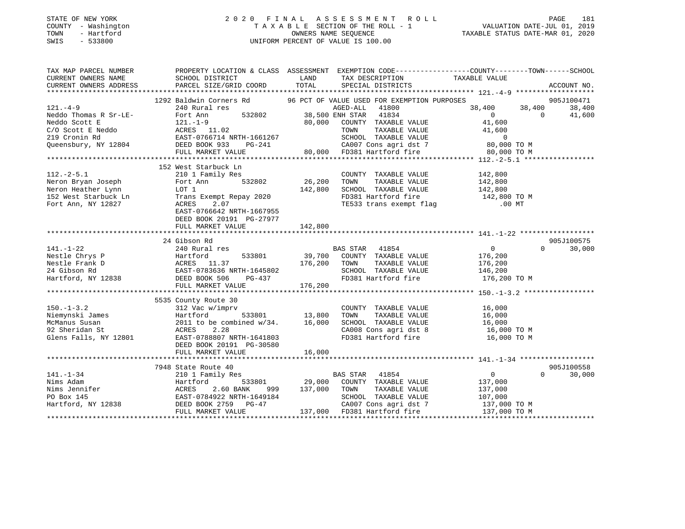#### STATE OF NEW YORK 2 0 2 0 F I N A L A S S E S S M E N T R O L L PAGE 181 COUNTY - Washington T A X A B L E SECTION OF THE ROLL - 1 VALUATION DATE-JUL 01, 2019 TOWN - Hartford OWNERS NAME SEQUENCE TAXABLE STATUS DATE-MAR 01, 2020 SWIS - 533800 UNIFORM PERCENT OF VALUE IS 100.00

| TAX MAP PARCEL NUMBER<br>CURRENT OWNERS NAME | PROPERTY LOCATION & CLASS ASSESSMENT EXEMPTION CODE-----------------COUNTY-------TOWN------SCHOOL<br>SCHOOL DISTRICT                           LAND         TAX DESCRIPTION               TAXABLE VALUE                                                       |         | TAX DESCRIPTION TAXABLE VALUE<br>SPECIAL DISTRICTS                                                         |                     |                    |
|----------------------------------------------|---------------------------------------------------------------------------------------------------------------------------------------------------------------------------------------------------------------------------------------------------------------|---------|------------------------------------------------------------------------------------------------------------|---------------------|--------------------|
| CURRENT OWNERS ADDRESS                       | PARCEL SIZE/GRID COORD                                                                                                                                                                                                                                        | TOTAL   |                                                                                                            |                     | ACCOUNT NO.        |
|                                              | 1292 Baldwin Corners Rd 96 PCT OF VALUE USED FOR EXEMPTION PURPOSES                                                                                                                                                                                           |         |                                                                                                            |                     | 905J100471         |
| $121. -4 - 9$                                | 240 Rural res                                                                                                                                                                                                                                                 |         | AGED-ALL<br>41800                                                                                          |                     | 38,400             |
|                                              |                                                                                                                                                                                                                                                               |         |                                                                                                            | $38,400$ $38,400$ 0 | 41,600             |
|                                              |                                                                                                                                                                                                                                                               |         |                                                                                                            |                     |                    |
|                                              |                                                                                                                                                                                                                                                               |         |                                                                                                            |                     |                    |
|                                              |                                                                                                                                                                                                                                                               |         |                                                                                                            |                     |                    |
|                                              |                                                                                                                                                                                                                                                               |         |                                                                                                            |                     |                    |
|                                              |                                                                                                                                                                                                                                                               |         |                                                                                                            |                     |                    |
|                                              |                                                                                                                                                                                                                                                               |         |                                                                                                            |                     |                    |
|                                              | 152 West Starbuck Ln                                                                                                                                                                                                                                          |         |                                                                                                            |                     |                    |
| $112.-2-5.1$                                 | 210 1 Family Res                                                                                                                                                                                                                                              |         | COUNTY TAXABLE VALUE                                                                                       |                     |                    |
|                                              |                                                                                                                                                                                                                                                               |         | TAXABLE VALUE                                                                                              | 142,800<br>142,800  |                    |
|                                              |                                                                                                                                                                                                                                                               | 142,800 | SCHOOL TAXABLE VALUE 142,800                                                                               |                     |                    |
|                                              |                                                                                                                                                                                                                                                               |         |                                                                                                            |                     |                    |
|                                              | 112.-2-5.1<br>Neron Bryan Joseph Fort Ann 532802 26,20<br>Neron Heather Lynn LOT 1 142,80<br>152 West Starbuck Ln Trans Exempt Repay 2020 142,80<br>Fort Ann, NY 12827 ACRES 2.07                                                                             |         | FD381 Hartford fire 142,800 TO M<br>TE533 trans exempt flag 142,800 TO MT                                  |                     |                    |
|                                              | EAST-0766642 NRTH-1667955                                                                                                                                                                                                                                     |         |                                                                                                            |                     |                    |
|                                              | DEED BOOK 20191 PG-27977                                                                                                                                                                                                                                      |         |                                                                                                            |                     |                    |
|                                              | FULL MARKET VALUE                                                                                                                                                                                                                                             | 142,800 |                                                                                                            |                     |                    |
|                                              |                                                                                                                                                                                                                                                               |         |                                                                                                            |                     |                    |
|                                              | 24 Gibson Rd                                                                                                                                                                                                                                                  |         |                                                                                                            |                     | 905J100575         |
| $141. - 1 - 22$                              |                                                                                                                                                                                                                                                               |         |                                                                                                            | $\overline{0}$      | 30,000<br>$\Omega$ |
|                                              |                                                                                                                                                                                                                                                               |         |                                                                                                            |                     |                    |
|                                              |                                                                                                                                                                                                                                                               |         |                                                                                                            |                     |                    |
|                                              |                                                                                                                                                                                                                                                               |         |                                                                                                            |                     |                    |
|                                              |                                                                                                                                                                                                                                                               |         |                                                                                                            |                     |                    |
|                                              |                                                                                                                                                                                                                                                               |         |                                                                                                            |                     |                    |
|                                              | 141.-1-22<br>Nestle Chrys P (ARTEGORT MATE SIGNAL AND MONE SIGNAL TRAVABLE VALUE<br>Nestle Frank D (EAST-0783636 NRTH-1645802 176,200 TOWN TAXABLE VALUE 176,200<br>24 Gibson Rd EAST-0783636 NRTH-1645802 SCHOOL TAXABLE VALUE 146,                          |         |                                                                                                            |                     |                    |
|                                              | 5535 County Route 30                                                                                                                                                                                                                                          |         |                                                                                                            |                     |                    |
| $150. - 1 - 3.2$                             | 312 Vac w/imprv                                                                                                                                                                                                                                               |         |                                                                                                            |                     |                    |
|                                              | $\begin{array}{r} \text{imprv} \\ 533801 \end{array}$ 13,800                                                                                                                                                                                                  |         |                                                                                                            |                     |                    |
|                                              |                                                                                                                                                                                                                                                               |         | COUNTY TAXABLE VALUE 16,000<br>TOWN TAXABLE VALUE 16,000<br>SCHOOL TAXABLE VALUE 16,000                    |                     |                    |
|                                              |                                                                                                                                                                                                                                                               |         | CA008 Cons agri dst 8 16,000 TO M<br>FD381 Hartford fire 16,000 TO M                                       |                     |                    |
|                                              |                                                                                                                                                                                                                                                               |         |                                                                                                            |                     |                    |
|                                              | DEED BOOK 20191 PG-30580                                                                                                                                                                                                                                      |         |                                                                                                            |                     |                    |
|                                              |                                                                                                                                                                                                                                                               |         |                                                                                                            |                     |                    |
|                                              |                                                                                                                                                                                                                                                               |         |                                                                                                            |                     |                    |
|                                              | 7948 State Route 40                                                                                                                                                                                                                                           |         |                                                                                                            |                     | 905J100558         |
|                                              |                                                                                                                                                                                                                                                               |         |                                                                                                            |                     | $\Omega$<br>30,000 |
|                                              |                                                                                                                                                                                                                                                               |         | BAS STAR 41854<br>533801 29,000 COUNTY TAXABLE VALUE 137,000<br>---- ^^ 137.000 TOWN TAXABLE VALUE 137,000 |                     |                    |
|                                              |                                                                                                                                                                                                                                                               |         |                                                                                                            |                     |                    |
|                                              |                                                                                                                                                                                                                                                               |         |                                                                                                            |                     |                    |
|                                              | 141.-1-34<br>Nims Adam<br>Nims Jennifer<br>PO Box 145<br>Hartford, NY 12838<br>Hartford, NY 12838<br>PO Box 145<br>Hartford, NY 12838<br>PO Box 145<br>PO Box 145<br>PO Box 145<br>PO Box 145<br>PO BOX 2759<br>PO BOX 2759<br>PO BOX 2759<br>PO BOX 2759<br> |         | SCHOOL TAXABLE VALUE 107,000<br>CA007 Cons agri dst 7 137,000 TO M                                         |                     |                    |
|                                              |                                                                                                                                                                                                                                                               |         | 137,000 FD381 Hartford fire 137,000 TO M                                                                   |                     |                    |
|                                              |                                                                                                                                                                                                                                                               |         |                                                                                                            |                     |                    |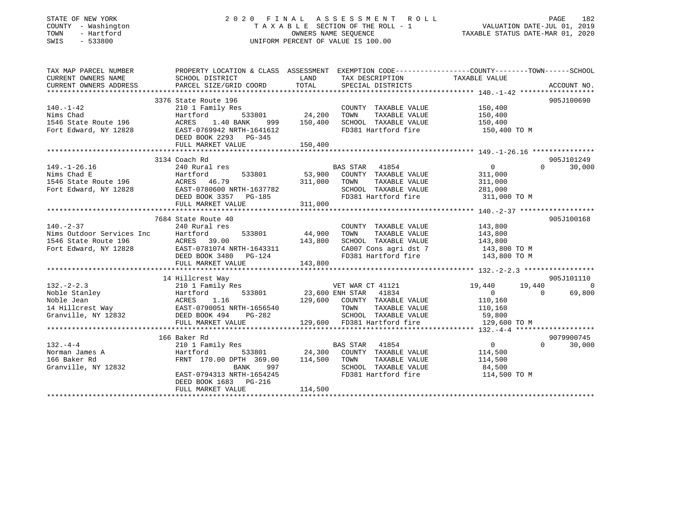### STATE OF NEW YORK 2 0 2 0 F I N A L A S S E S S M E N T R O L L PAGE 182 COUNTY - Washington T A X A B L E SECTION OF THE ROLL - 1 VALUATION DATE-JUL 01, 2019 TOWN - Hartford OWNERS NAME SEQUENCE TAXABLE STATUS DATE-MAR 01, 2020 SWIS - 533800 UNIFORM PERCENT OF VALUE IS 100.00

| TAX MAP PARCEL NUMBER<br>CURRENT OWNERS ADDRESS                        | PROPERTY LOCATION & CLASS ASSESSMENT                                                                                                                                                                                                                                       |                                                                                                                 |                                                                                                                                                                           | EXEMPTION CODE-----------------COUNTY--------TOWN------SCHOOL                                       |                                  |
|------------------------------------------------------------------------|----------------------------------------------------------------------------------------------------------------------------------------------------------------------------------------------------------------------------------------------------------------------------|-----------------------------------------------------------------------------------------------------------------|---------------------------------------------------------------------------------------------------------------------------------------------------------------------------|-----------------------------------------------------------------------------------------------------|----------------------------------|
| $140. - 1 - 42$                                                        | 3376 State Route 196<br>210 1 Family Res<br>Nims Chad<br>1546 State Route 196 Martford 533801<br>1546 State Route 196 MCRES 1.40 BANK 999<br>169942 NRTH-1641612<br>DEED BOOK 2293 PG-345<br>FULL MARKET VALUE                                                             | 533801 24,200<br>999 150,400<br>150,400                                                                         | COUNTY TAXABLE VALUE<br>TAXABLE VALUE<br>TOWN<br>SCHOOL TAXABLE VALUE<br>FD381 Hartford fire                                                                              | 150,400<br>150,400<br>150,400<br>150,400 TO M                                                       | 905J100690                       |
| $149. - 1 - 26.16$                                                     | 3134 Coach Rd<br>240 Rural res<br>149.-1-26.16<br>Nims Chad E<br>1546 State Route 196<br>Fort Edward, NY 12828<br>EAST-0780600 NRTH-1637782<br>DEED BOOK 3357 PG-185<br>CHEREN BOOK 3357 PG-185<br>211,000<br>311,000<br>FULL MARKET VALUE                                 | 311,000                                                                                                         | BAS STAR 41854<br>533801 53,900 COUNTY TAXABLE VALUE<br>TOWN<br>TAXABLE VALUE<br>SCHOOL TAXABLE VALUE<br>SCHOOL TAXABLE VALUE 281,000<br>FD381 Hartford fire 311,000 TO M | $0 \qquad \qquad$<br>311,000<br>311,000<br>281,000                                                  | 905J101249<br>$\Omega$<br>30,000 |
|                                                                        | 7684 State Route 40<br>140.-2-37<br>Nims Outdoor Services Inc Hartford 533801<br>1546 State Route 196 (ACRES 39.00<br>Fort Edward, NY 12828 (ACRES 39.00<br>Fort Edward, NY 12828 (ARTH-1643311<br>EAST-0781074 NRTH-1643311<br>DEED BOOK 3480 PG-124<br>FULL MARKET VALUE | 533801 44,900<br>143,800<br>143,800                                                                             | COUNTY TAXABLE VALUE<br>TOWN<br>TAXABLE VALUE<br>SCHOOL TAXABLE VALUE<br>CA007 Cons agri dst 7 143,800 TO M<br>FD381 Hartford fire                                        | 143,800<br>143,800<br>143,800<br>143,800<br>143,800 TO M                                            | 905J100168                       |
| $132 - 2 - 2.3$                                                        | 14 Hillcrest Way<br>210 1 Family Res<br>132.-2-2.3<br>Noble Stanley<br>Noble Jean<br>14 Hillcrest Way<br>Granville, NY 12832<br>The CAST-0790051 NRTH-1656540<br>CRES<br>THE POOK 494<br>THE PG-282<br>THE PG-282<br>THE PG-282<br>FULL MARKET VALUE                       |                                                                                                                 | VET WAR CT 41121<br>533801 23,600 ENH STAR 41834<br>129,600 COUNTY TAXABLE VALUE<br>TOWN<br>TAXABLE VALUE<br>SCHOOL TAXABLE VALUE<br>129,600 FD381 Hartford fire          | 19,440   19,440<br>$\overline{0}$<br>$\overline{0}$<br>110,160<br>110,160<br>59,800<br>129,600 TO M | 905J101110<br>$\sim$ 0<br>69,800 |
| $132 - 4 - 4$<br>Norman James A<br>166 Baker Rd<br>Granville, NY 12832 | 166 Baker Rd<br>210 1 Family Res<br>Hartford<br>FRNT 170.00 DPTH 369.00 114,500<br>BANK<br>EAST-0794313 NRTH-1654245<br>DEED BOOK 1683 PG-216<br>FULL MARKET VALUE                                                                                                         | 997 — 1997 — 1997 — 1998 — 1998 — 1997 — 1997 — 1997 — 1998 — 1998 — 1998 — 1998 — 1998 — 1999 — 199<br>114,500 | BAS STAR 41854<br>533801 24,300 COUNTY TAXABLE VALUE<br>TOWN<br>TAXABLE VALUE<br>SCHOOL TAXABLE VALUE<br>FD381 Hartford fire 114,500 TO M                                 | $\overline{0}$<br>114,500<br>114,500<br>84,500                                                      | 9079900745<br>$\Omega$<br>30,000 |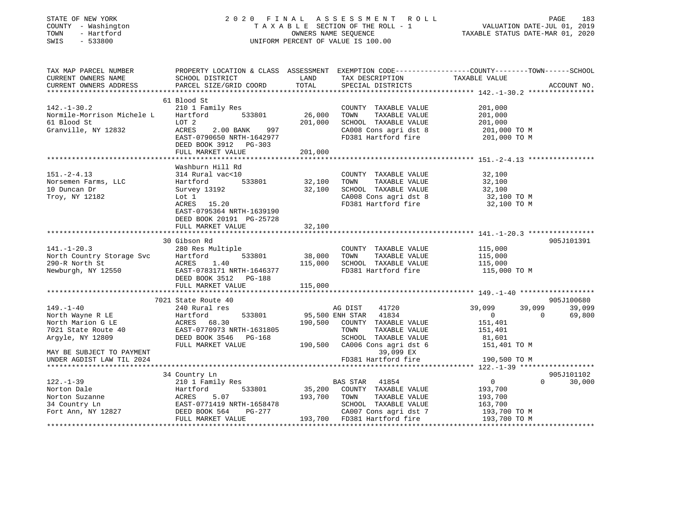| STATE OF NEW YORK<br>COUNTY - Washington<br>TOWN<br>- Hartford<br>SWIS<br>$-533800$                                                    |                                                                                                                                 |                   | 2020 FINAL ASSESSMENT ROLL<br>TAXABLE SECTION OF THE ROLL - 1<br>OWNERS NAME SEQUENCE<br>UNIFORM PERCENT OF VALUE IS 100.00             | PAGE 183<br>VALUATION DATE-JUL 01, 2019<br>TAXABLE STATUS DATE VILLE                                          |  |
|----------------------------------------------------------------------------------------------------------------------------------------|---------------------------------------------------------------------------------------------------------------------------------|-------------------|-----------------------------------------------------------------------------------------------------------------------------------------|---------------------------------------------------------------------------------------------------------------|--|
| TAX MAP PARCEL NUMBER<br>CURRENT OWNERS NAME<br>CURRENT OWNERS ADDRESS                                                                 | SCHOOL DISTRICT<br>PARCEL SIZE/GRID COORD                                                                                       | LAND<br>TOTAL     | TAX DESCRIPTION<br>SPECIAL DISTRICTS<br>SPECIAL DISTRICTS                                                                               | PROPERTY LOCATION & CLASS ASSESSMENT EXEMPTION CODE---------------COUNTY-------TOWN-----SCHOOL<br>ACCOUNT NO. |  |
|                                                                                                                                        | 61 Blood St                                                                                                                     |                   |                                                                                                                                         |                                                                                                               |  |
| $142.-1-30.2$<br>Normile-Morrison Michele L<br>61 Blood St<br>Granville, NY 12832                                                      | 210 1 Family Res<br>533801<br>Hartford<br>LOT 2<br>ACRES 2.00 BANK 997                                                          | 26,000<br>201,000 | COUNTY TAXABLE VALUE<br>TOWN<br>TAXABLE VALUE<br>SCHOOL TAXABLE VALUE<br>CA008 Cons agri dst 8                                          | 201,000<br>201,000<br>201,000<br>201,000<br>201,000 TO M                                                      |  |
|                                                                                                                                        | EAST-0790650 NRTH-1642977<br>DEED BOOK 3912 PG-303<br>FULL MARKET VALUE                                                         | 201,000           |                                                                                                                                         | FD381 Hartford fire 201,000 TO M                                                                              |  |
|                                                                                                                                        |                                                                                                                                 |                   |                                                                                                                                         |                                                                                                               |  |
| $151. - 2 - 4.13$<br>Norsemen Farms, LLC<br>10 Duncan Dr<br>Troy, NY 12182                                                             | Washburn Hill Rd<br>314 Rural vac<10<br>533801<br>Hartford<br>Survey 13192<br>Lot 1<br>ACRES 15.20<br>EAST-0795364 NRTH-1639190 | 32,100<br>32,100  | COUNTY TAXABLE VALUE<br>TOWN<br>TAXABLE VALUE<br>SCHOOL TAXABLE VALUE<br>CA008 Cons agri dst 8                                          | 32,100<br>32,100<br>32,100<br>32,100 TO M<br>FD381 Hartford fire 32,100 TO M                                  |  |
|                                                                                                                                        | DEED BOOK 20191 PG-25728<br>FULL MARKET VALUE                                                                                   | 32,100            |                                                                                                                                         |                                                                                                               |  |
| $141. - 1 - 20.3$<br>North Country Storage Svc Hartford<br>290-R North St ACRES<br>Newburgh, NY 12550 EAST-0783                        | 30 Gibson Rd<br>280 Res Multiple<br>533801<br>ACRES 1.40<br>EAST-0783171 NRTH-1646377                                           | 38,000<br>115,000 | COUNTY TAXABLE VALUE<br>TOWN<br>TAXABLE VALUE<br>SCHOOL TAXABLE VALUE<br>FD381 Hartford fire                                            | 905J101391<br>115,000<br>115,000<br>115,000<br>115,000 TO M                                                   |  |
|                                                                                                                                        | DEED BOOK 3512 PG-188                                                                                                           |                   |                                                                                                                                         |                                                                                                               |  |
|                                                                                                                                        | FULL MARKET VALUE                                                                                                               | 115,000           |                                                                                                                                         |                                                                                                               |  |
| $149. - 1 - 40$                                                                                                                        | 7021 State Route 40<br>240 Rural res                                                                                            |                   | AG DIST<br>41720                                                                                                                        | 905J100680<br>39,099<br>39,099<br>39,099                                                                      |  |
| North Wayne R LE<br>North Marion G LE<br>7021 State Route 40<br>Argyle, NY 12809                                                       | Hartford<br>533801<br>ACRES 68.30<br>EAST-0770973 NRTH-1631805<br>DEED BOOK 3546 PG-168<br>FULL MARKET VALUE                    |                   | 95,500 ENH STAR 41834<br>190,500 COUNTY TAXABLE VALUE<br>TOWN<br>TAXABLE VALUE<br>SCHOOL TAXABLE VALUE<br>190,500 CA006 Cons agri dst 6 | $\overline{0}$<br>69,800<br>$\overline{0}$<br>151,401<br>151,401<br>81,601<br>151,401 TO M                    |  |
| MAY BE SUBJECT TO PAYMENT<br>UNDER AGDIST LAW TIL 2024                                                                                 |                                                                                                                                 |                   | 39,099 EX<br>FD381 Hartford fire                                                                                                        | 190,500 TO M                                                                                                  |  |
|                                                                                                                                        | 34 Country Ln                                                                                                                   |                   |                                                                                                                                         | 905J101102                                                                                                    |  |
| $122. - 1 - 39$                                                                                                                        | 210 1 Family Res                                                                                                                | 193,700 TOWN      | BAS STAR 41854<br>35,200 COUNTY TAXABLE VALUE<br>TAXABLE VALUE                                                                          | $\overline{0}$<br>$\Omega$<br>30,000<br>193,700                                                               |  |
| Norton Dale<br>Norton Suzanne<br>34 Country Ln<br>Fort Ann, NY 12827<br>Fort Ann, NY 12827<br>Fort Ann, NY 12827<br>FUILL MARKET VALUE | FULL MARKET VALUE                                                                                                               |                   | SCHOOL TAXABLE VALUE<br>CA007 Cons agri dst 7<br>193,700 FD381 Hartford fire 193,700 TO M                                               | 193,700<br>163,700<br>193,700 ТО М                                                                            |  |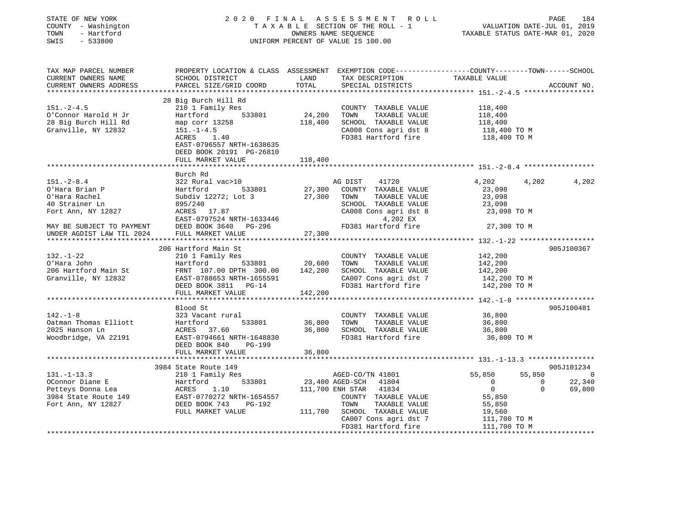| PROPERTY LOCATION & CLASS ASSESSMENT EXEMPTION CODE----------------COUNTY-------TOWN-----SCHOOL<br>TAX DESCRIPTION<br>SCHOOL DISTRICT<br>LAND<br>TAXABLE VALUE<br>TOTAL<br>PARCEL SIZE/GRID COORD<br>SPECIAL DISTRICTS<br>ACCOUNT NO.<br>28 Big Burch Hill Rd<br>$151. - 2 - 4.5$<br>210 1 Family Res<br>COUNTY TAXABLE VALUE<br>118,400<br>24,200<br>533801<br>TOWN<br>TAXABLE VALUE<br>O'Connor Harold H Jr<br>Hartford<br>118,400<br>28 Big Burch Hill Rd<br>118,400<br>SCHOOL TAXABLE VALUE<br>118,400<br>118,400 TO M<br>map corr 13258<br>Granville, NY 12832<br>$151. - 1 - 4.5$<br>CA008 Cons agri dst 8<br>FD381 Hartford fire<br>ACRES 1.40<br>118,400 TO M<br>EAST-0796557 NRTH-1638635<br>DEED BOOK 20191 PG-26810<br>FULL MARKET VALUE<br>118,400<br>Burch Rd<br>4,202<br>4,202<br>322 Rural vac>10<br>AG DIST<br>41720<br>4,202<br>533801<br>27,300 COUNTY TAXABLE VALUE<br>O'Hara Brian P<br>Hartford<br>23,098<br>Subdiv 12272; Lot 3<br>27,300<br>O'Hara Rachel<br>TOWN<br>TAXABLE VALUE<br>23,098<br>40 Strainer Ln<br>895/240<br>SCHOOL TAXABLE VALUE<br>23,098<br>Fort Ann, NY 12827<br>ACRES 17.87<br>CA008 Cons agri dst 8<br>23,098 TO M<br>EAST-0797524 NRTH-1633446<br>4,202 EX<br>MAY BE SUBJECT TO PAYMENT<br>UNDER AGDIST LAW TIL 2024<br>FD381 Hartford fire<br>27,300 TO M<br>DEED BOOK 3640 PG-296<br>27,300<br>FULL MARKET VALUE<br>************************<br>***************<br>905J100367<br>206 Hartford Main St<br>210 1 Family Res<br>COUNTY TAXABLE VALUE<br>142,200<br>533801 20,600<br>TOWN<br>Hartford<br>TAXABLE VALUE<br>142,200<br>FRNT 107.00 DPTH 300.00 142,200<br>SCHOOL TAXABLE VALUE<br>142,200<br>CA007 Cons agri dst 7<br>EAST-0788653 NRTH-1655591<br>142,200 TO M<br>FD381 Hartford fire<br>DEED BOOK 3811 PG-14<br>142,200 TO M<br>FULL MARKET VALUE<br>142,200<br>905J100481<br>Blood St<br>$142. - 1 - 8$<br>323 Vacant rural<br>COUNTY TAXABLE VALUE<br>36,800<br>Oatman Thomas Elliott<br>Hartford<br>533801<br>36,800<br>TOWN<br>TAXABLE VALUE<br>36,800<br>ACRES 37.60<br>36,800<br>2025 Hanson Ln<br>SCHOOL TAXABLE VALUE<br>36,800<br>EAST-0794661 NRTH-1648830<br>Woodbridge, VA 22191<br>FD381 Hartford fire<br>36,800 TO M<br>DEED BOOK 840<br>PG-199<br>FULL MARKET VALUE<br>36,800<br>905J101234<br>3984 State Route 149<br>210 1 Family Res<br>55,850<br>55,850<br>AGED-CO/TN 41801<br>$\overline{0}$<br>23,400 AGED-SCH 41804<br>22,340<br>533801<br>$\overline{0}$<br>Hartford<br>ACRES 1.10<br>EAST-0770272 N<br>DEED BOOK 743<br>$\mathbf{0}$<br>$\overline{0}$<br>1.10<br>111,700 ENH STAR 41834<br>$\Omega$<br>69,800<br>EAST-0770272 NRTH-1654557<br>COUNTY TAXABLE VALUE<br>55,850<br>TOWN<br>TAXABLE VALUE<br>PG-192<br>55,850<br>19,560<br>FULL MARKET VALUE<br>111,700 SCHOOL TAXABLE VALUE<br>CA007 Cons agri dst 7<br>111,700 TO M<br>FD381 Hartford fire<br>111,700 TO M | STATE OF NEW YORK<br>COUNTY - Washington<br>TOWN<br>- Hartford<br>SWIS<br>$-533800$ |  | 2020 FINAL ASSESSMENT ROLL<br>TAXABLE SECTION OF THE ROLL - 1<br>OWNERS NAME SEQUENCE<br>UNIFORM PERCENT OF VALUE IS 100.00 | VALUATION DATE-JUL 01, 2019<br>TAXABLE STATUS DATE-MAR 01, 2020 | PAGE<br>184 |
|---------------------------------------------------------------------------------------------------------------------------------------------------------------------------------------------------------------------------------------------------------------------------------------------------------------------------------------------------------------------------------------------------------------------------------------------------------------------------------------------------------------------------------------------------------------------------------------------------------------------------------------------------------------------------------------------------------------------------------------------------------------------------------------------------------------------------------------------------------------------------------------------------------------------------------------------------------------------------------------------------------------------------------------------------------------------------------------------------------------------------------------------------------------------------------------------------------------------------------------------------------------------------------------------------------------------------------------------------------------------------------------------------------------------------------------------------------------------------------------------------------------------------------------------------------------------------------------------------------------------------------------------------------------------------------------------------------------------------------------------------------------------------------------------------------------------------------------------------------------------------------------------------------------------------------------------------------------------------------------------------------------------------------------------------------------------------------------------------------------------------------------------------------------------------------------------------------------------------------------------------------------------------------------------------------------------------------------------------------------------------------------------------------------------------------------------------------------------------------------------------------------------------------------------------------------------------------------------------------------------------------------------------------------------------------------------------------------------------------------------------------------------------------------------------------------------------------------------------------------|-------------------------------------------------------------------------------------|--|-----------------------------------------------------------------------------------------------------------------------------|-----------------------------------------------------------------|-------------|
|                                                                                                                                                                                                                                                                                                                                                                                                                                                                                                                                                                                                                                                                                                                                                                                                                                                                                                                                                                                                                                                                                                                                                                                                                                                                                                                                                                                                                                                                                                                                                                                                                                                                                                                                                                                                                                                                                                                                                                                                                                                                                                                                                                                                                                                                                                                                                                                                                                                                                                                                                                                                                                                                                                                                                                                                                                                               | TAX MAP PARCEL NUMBER<br>CURRENT OWNERS NAME<br>CURRENT OWNERS ADDRESS              |  |                                                                                                                             |                                                                 |             |
|                                                                                                                                                                                                                                                                                                                                                                                                                                                                                                                                                                                                                                                                                                                                                                                                                                                                                                                                                                                                                                                                                                                                                                                                                                                                                                                                                                                                                                                                                                                                                                                                                                                                                                                                                                                                                                                                                                                                                                                                                                                                                                                                                                                                                                                                                                                                                                                                                                                                                                                                                                                                                                                                                                                                                                                                                                                               |                                                                                     |  |                                                                                                                             |                                                                 |             |
|                                                                                                                                                                                                                                                                                                                                                                                                                                                                                                                                                                                                                                                                                                                                                                                                                                                                                                                                                                                                                                                                                                                                                                                                                                                                                                                                                                                                                                                                                                                                                                                                                                                                                                                                                                                                                                                                                                                                                                                                                                                                                                                                                                                                                                                                                                                                                                                                                                                                                                                                                                                                                                                                                                                                                                                                                                                               |                                                                                     |  |                                                                                                                             |                                                                 |             |
|                                                                                                                                                                                                                                                                                                                                                                                                                                                                                                                                                                                                                                                                                                                                                                                                                                                                                                                                                                                                                                                                                                                                                                                                                                                                                                                                                                                                                                                                                                                                                                                                                                                                                                                                                                                                                                                                                                                                                                                                                                                                                                                                                                                                                                                                                                                                                                                                                                                                                                                                                                                                                                                                                                                                                                                                                                                               |                                                                                     |  |                                                                                                                             |                                                                 |             |
|                                                                                                                                                                                                                                                                                                                                                                                                                                                                                                                                                                                                                                                                                                                                                                                                                                                                                                                                                                                                                                                                                                                                                                                                                                                                                                                                                                                                                                                                                                                                                                                                                                                                                                                                                                                                                                                                                                                                                                                                                                                                                                                                                                                                                                                                                                                                                                                                                                                                                                                                                                                                                                                                                                                                                                                                                                                               |                                                                                     |  |                                                                                                                             |                                                                 |             |
|                                                                                                                                                                                                                                                                                                                                                                                                                                                                                                                                                                                                                                                                                                                                                                                                                                                                                                                                                                                                                                                                                                                                                                                                                                                                                                                                                                                                                                                                                                                                                                                                                                                                                                                                                                                                                                                                                                                                                                                                                                                                                                                                                                                                                                                                                                                                                                                                                                                                                                                                                                                                                                                                                                                                                                                                                                                               |                                                                                     |  |                                                                                                                             |                                                                 |             |
|                                                                                                                                                                                                                                                                                                                                                                                                                                                                                                                                                                                                                                                                                                                                                                                                                                                                                                                                                                                                                                                                                                                                                                                                                                                                                                                                                                                                                                                                                                                                                                                                                                                                                                                                                                                                                                                                                                                                                                                                                                                                                                                                                                                                                                                                                                                                                                                                                                                                                                                                                                                                                                                                                                                                                                                                                                                               |                                                                                     |  |                                                                                                                             |                                                                 |             |
|                                                                                                                                                                                                                                                                                                                                                                                                                                                                                                                                                                                                                                                                                                                                                                                                                                                                                                                                                                                                                                                                                                                                                                                                                                                                                                                                                                                                                                                                                                                                                                                                                                                                                                                                                                                                                                                                                                                                                                                                                                                                                                                                                                                                                                                                                                                                                                                                                                                                                                                                                                                                                                                                                                                                                                                                                                                               |                                                                                     |  |                                                                                                                             |                                                                 |             |
|                                                                                                                                                                                                                                                                                                                                                                                                                                                                                                                                                                                                                                                                                                                                                                                                                                                                                                                                                                                                                                                                                                                                                                                                                                                                                                                                                                                                                                                                                                                                                                                                                                                                                                                                                                                                                                                                                                                                                                                                                                                                                                                                                                                                                                                                                                                                                                                                                                                                                                                                                                                                                                                                                                                                                                                                                                                               |                                                                                     |  |                                                                                                                             |                                                                 |             |
|                                                                                                                                                                                                                                                                                                                                                                                                                                                                                                                                                                                                                                                                                                                                                                                                                                                                                                                                                                                                                                                                                                                                                                                                                                                                                                                                                                                                                                                                                                                                                                                                                                                                                                                                                                                                                                                                                                                                                                                                                                                                                                                                                                                                                                                                                                                                                                                                                                                                                                                                                                                                                                                                                                                                                                                                                                                               |                                                                                     |  |                                                                                                                             |                                                                 |             |
|                                                                                                                                                                                                                                                                                                                                                                                                                                                                                                                                                                                                                                                                                                                                                                                                                                                                                                                                                                                                                                                                                                                                                                                                                                                                                                                                                                                                                                                                                                                                                                                                                                                                                                                                                                                                                                                                                                                                                                                                                                                                                                                                                                                                                                                                                                                                                                                                                                                                                                                                                                                                                                                                                                                                                                                                                                                               |                                                                                     |  |                                                                                                                             |                                                                 |             |
|                                                                                                                                                                                                                                                                                                                                                                                                                                                                                                                                                                                                                                                                                                                                                                                                                                                                                                                                                                                                                                                                                                                                                                                                                                                                                                                                                                                                                                                                                                                                                                                                                                                                                                                                                                                                                                                                                                                                                                                                                                                                                                                                                                                                                                                                                                                                                                                                                                                                                                                                                                                                                                                                                                                                                                                                                                                               |                                                                                     |  |                                                                                                                             |                                                                 |             |
|                                                                                                                                                                                                                                                                                                                                                                                                                                                                                                                                                                                                                                                                                                                                                                                                                                                                                                                                                                                                                                                                                                                                                                                                                                                                                                                                                                                                                                                                                                                                                                                                                                                                                                                                                                                                                                                                                                                                                                                                                                                                                                                                                                                                                                                                                                                                                                                                                                                                                                                                                                                                                                                                                                                                                                                                                                                               | $151. - 2 - 8.4$                                                                    |  |                                                                                                                             |                                                                 |             |
|                                                                                                                                                                                                                                                                                                                                                                                                                                                                                                                                                                                                                                                                                                                                                                                                                                                                                                                                                                                                                                                                                                                                                                                                                                                                                                                                                                                                                                                                                                                                                                                                                                                                                                                                                                                                                                                                                                                                                                                                                                                                                                                                                                                                                                                                                                                                                                                                                                                                                                                                                                                                                                                                                                                                                                                                                                                               |                                                                                     |  |                                                                                                                             |                                                                 |             |
|                                                                                                                                                                                                                                                                                                                                                                                                                                                                                                                                                                                                                                                                                                                                                                                                                                                                                                                                                                                                                                                                                                                                                                                                                                                                                                                                                                                                                                                                                                                                                                                                                                                                                                                                                                                                                                                                                                                                                                                                                                                                                                                                                                                                                                                                                                                                                                                                                                                                                                                                                                                                                                                                                                                                                                                                                                                               |                                                                                     |  |                                                                                                                             |                                                                 |             |
|                                                                                                                                                                                                                                                                                                                                                                                                                                                                                                                                                                                                                                                                                                                                                                                                                                                                                                                                                                                                                                                                                                                                                                                                                                                                                                                                                                                                                                                                                                                                                                                                                                                                                                                                                                                                                                                                                                                                                                                                                                                                                                                                                                                                                                                                                                                                                                                                                                                                                                                                                                                                                                                                                                                                                                                                                                                               |                                                                                     |  |                                                                                                                             |                                                                 |             |
|                                                                                                                                                                                                                                                                                                                                                                                                                                                                                                                                                                                                                                                                                                                                                                                                                                                                                                                                                                                                                                                                                                                                                                                                                                                                                                                                                                                                                                                                                                                                                                                                                                                                                                                                                                                                                                                                                                                                                                                                                                                                                                                                                                                                                                                                                                                                                                                                                                                                                                                                                                                                                                                                                                                                                                                                                                                               |                                                                                     |  |                                                                                                                             |                                                                 |             |
|                                                                                                                                                                                                                                                                                                                                                                                                                                                                                                                                                                                                                                                                                                                                                                                                                                                                                                                                                                                                                                                                                                                                                                                                                                                                                                                                                                                                                                                                                                                                                                                                                                                                                                                                                                                                                                                                                                                                                                                                                                                                                                                                                                                                                                                                                                                                                                                                                                                                                                                                                                                                                                                                                                                                                                                                                                                               |                                                                                     |  |                                                                                                                             |                                                                 |             |
|                                                                                                                                                                                                                                                                                                                                                                                                                                                                                                                                                                                                                                                                                                                                                                                                                                                                                                                                                                                                                                                                                                                                                                                                                                                                                                                                                                                                                                                                                                                                                                                                                                                                                                                                                                                                                                                                                                                                                                                                                                                                                                                                                                                                                                                                                                                                                                                                                                                                                                                                                                                                                                                                                                                                                                                                                                                               |                                                                                     |  |                                                                                                                             |                                                                 |             |
|                                                                                                                                                                                                                                                                                                                                                                                                                                                                                                                                                                                                                                                                                                                                                                                                                                                                                                                                                                                                                                                                                                                                                                                                                                                                                                                                                                                                                                                                                                                                                                                                                                                                                                                                                                                                                                                                                                                                                                                                                                                                                                                                                                                                                                                                                                                                                                                                                                                                                                                                                                                                                                                                                                                                                                                                                                                               |                                                                                     |  |                                                                                                                             |                                                                 |             |
|                                                                                                                                                                                                                                                                                                                                                                                                                                                                                                                                                                                                                                                                                                                                                                                                                                                                                                                                                                                                                                                                                                                                                                                                                                                                                                                                                                                                                                                                                                                                                                                                                                                                                                                                                                                                                                                                                                                                                                                                                                                                                                                                                                                                                                                                                                                                                                                                                                                                                                                                                                                                                                                                                                                                                                                                                                                               |                                                                                     |  |                                                                                                                             |                                                                 |             |
|                                                                                                                                                                                                                                                                                                                                                                                                                                                                                                                                                                                                                                                                                                                                                                                                                                                                                                                                                                                                                                                                                                                                                                                                                                                                                                                                                                                                                                                                                                                                                                                                                                                                                                                                                                                                                                                                                                                                                                                                                                                                                                                                                                                                                                                                                                                                                                                                                                                                                                                                                                                                                                                                                                                                                                                                                                                               | $132. - 1 - 22$                                                                     |  |                                                                                                                             |                                                                 |             |
|                                                                                                                                                                                                                                                                                                                                                                                                                                                                                                                                                                                                                                                                                                                                                                                                                                                                                                                                                                                                                                                                                                                                                                                                                                                                                                                                                                                                                                                                                                                                                                                                                                                                                                                                                                                                                                                                                                                                                                                                                                                                                                                                                                                                                                                                                                                                                                                                                                                                                                                                                                                                                                                                                                                                                                                                                                                               | O'Hara John                                                                         |  |                                                                                                                             |                                                                 |             |
|                                                                                                                                                                                                                                                                                                                                                                                                                                                                                                                                                                                                                                                                                                                                                                                                                                                                                                                                                                                                                                                                                                                                                                                                                                                                                                                                                                                                                                                                                                                                                                                                                                                                                                                                                                                                                                                                                                                                                                                                                                                                                                                                                                                                                                                                                                                                                                                                                                                                                                                                                                                                                                                                                                                                                                                                                                                               | 206 Hartford Main St                                                                |  |                                                                                                                             |                                                                 |             |
|                                                                                                                                                                                                                                                                                                                                                                                                                                                                                                                                                                                                                                                                                                                                                                                                                                                                                                                                                                                                                                                                                                                                                                                                                                                                                                                                                                                                                                                                                                                                                                                                                                                                                                                                                                                                                                                                                                                                                                                                                                                                                                                                                                                                                                                                                                                                                                                                                                                                                                                                                                                                                                                                                                                                                                                                                                                               | Granville, NY 12832                                                                 |  |                                                                                                                             |                                                                 |             |
|                                                                                                                                                                                                                                                                                                                                                                                                                                                                                                                                                                                                                                                                                                                                                                                                                                                                                                                                                                                                                                                                                                                                                                                                                                                                                                                                                                                                                                                                                                                                                                                                                                                                                                                                                                                                                                                                                                                                                                                                                                                                                                                                                                                                                                                                                                                                                                                                                                                                                                                                                                                                                                                                                                                                                                                                                                                               |                                                                                     |  |                                                                                                                             |                                                                 |             |
|                                                                                                                                                                                                                                                                                                                                                                                                                                                                                                                                                                                                                                                                                                                                                                                                                                                                                                                                                                                                                                                                                                                                                                                                                                                                                                                                                                                                                                                                                                                                                                                                                                                                                                                                                                                                                                                                                                                                                                                                                                                                                                                                                                                                                                                                                                                                                                                                                                                                                                                                                                                                                                                                                                                                                                                                                                                               |                                                                                     |  |                                                                                                                             |                                                                 |             |
|                                                                                                                                                                                                                                                                                                                                                                                                                                                                                                                                                                                                                                                                                                                                                                                                                                                                                                                                                                                                                                                                                                                                                                                                                                                                                                                                                                                                                                                                                                                                                                                                                                                                                                                                                                                                                                                                                                                                                                                                                                                                                                                                                                                                                                                                                                                                                                                                                                                                                                                                                                                                                                                                                                                                                                                                                                                               |                                                                                     |  |                                                                                                                             |                                                                 |             |
|                                                                                                                                                                                                                                                                                                                                                                                                                                                                                                                                                                                                                                                                                                                                                                                                                                                                                                                                                                                                                                                                                                                                                                                                                                                                                                                                                                                                                                                                                                                                                                                                                                                                                                                                                                                                                                                                                                                                                                                                                                                                                                                                                                                                                                                                                                                                                                                                                                                                                                                                                                                                                                                                                                                                                                                                                                                               |                                                                                     |  |                                                                                                                             |                                                                 |             |
|                                                                                                                                                                                                                                                                                                                                                                                                                                                                                                                                                                                                                                                                                                                                                                                                                                                                                                                                                                                                                                                                                                                                                                                                                                                                                                                                                                                                                                                                                                                                                                                                                                                                                                                                                                                                                                                                                                                                                                                                                                                                                                                                                                                                                                                                                                                                                                                                                                                                                                                                                                                                                                                                                                                                                                                                                                                               |                                                                                     |  |                                                                                                                             |                                                                 |             |
|                                                                                                                                                                                                                                                                                                                                                                                                                                                                                                                                                                                                                                                                                                                                                                                                                                                                                                                                                                                                                                                                                                                                                                                                                                                                                                                                                                                                                                                                                                                                                                                                                                                                                                                                                                                                                                                                                                                                                                                                                                                                                                                                                                                                                                                                                                                                                                                                                                                                                                                                                                                                                                                                                                                                                                                                                                                               |                                                                                     |  |                                                                                                                             |                                                                 |             |
|                                                                                                                                                                                                                                                                                                                                                                                                                                                                                                                                                                                                                                                                                                                                                                                                                                                                                                                                                                                                                                                                                                                                                                                                                                                                                                                                                                                                                                                                                                                                                                                                                                                                                                                                                                                                                                                                                                                                                                                                                                                                                                                                                                                                                                                                                                                                                                                                                                                                                                                                                                                                                                                                                                                                                                                                                                                               |                                                                                     |  |                                                                                                                             |                                                                 |             |
|                                                                                                                                                                                                                                                                                                                                                                                                                                                                                                                                                                                                                                                                                                                                                                                                                                                                                                                                                                                                                                                                                                                                                                                                                                                                                                                                                                                                                                                                                                                                                                                                                                                                                                                                                                                                                                                                                                                                                                                                                                                                                                                                                                                                                                                                                                                                                                                                                                                                                                                                                                                                                                                                                                                                                                                                                                                               |                                                                                     |  |                                                                                                                             |                                                                 |             |
|                                                                                                                                                                                                                                                                                                                                                                                                                                                                                                                                                                                                                                                                                                                                                                                                                                                                                                                                                                                                                                                                                                                                                                                                                                                                                                                                                                                                                                                                                                                                                                                                                                                                                                                                                                                                                                                                                                                                                                                                                                                                                                                                                                                                                                                                                                                                                                                                                                                                                                                                                                                                                                                                                                                                                                                                                                                               |                                                                                     |  |                                                                                                                             |                                                                 |             |
|                                                                                                                                                                                                                                                                                                                                                                                                                                                                                                                                                                                                                                                                                                                                                                                                                                                                                                                                                                                                                                                                                                                                                                                                                                                                                                                                                                                                                                                                                                                                                                                                                                                                                                                                                                                                                                                                                                                                                                                                                                                                                                                                                                                                                                                                                                                                                                                                                                                                                                                                                                                                                                                                                                                                                                                                                                                               |                                                                                     |  |                                                                                                                             |                                                                 |             |
|                                                                                                                                                                                                                                                                                                                                                                                                                                                                                                                                                                                                                                                                                                                                                                                                                                                                                                                                                                                                                                                                                                                                                                                                                                                                                                                                                                                                                                                                                                                                                                                                                                                                                                                                                                                                                                                                                                                                                                                                                                                                                                                                                                                                                                                                                                                                                                                                                                                                                                                                                                                                                                                                                                                                                                                                                                                               |                                                                                     |  |                                                                                                                             |                                                                 |             |
|                                                                                                                                                                                                                                                                                                                                                                                                                                                                                                                                                                                                                                                                                                                                                                                                                                                                                                                                                                                                                                                                                                                                                                                                                                                                                                                                                                                                                                                                                                                                                                                                                                                                                                                                                                                                                                                                                                                                                                                                                                                                                                                                                                                                                                                                                                                                                                                                                                                                                                                                                                                                                                                                                                                                                                                                                                                               | $131. - 1 - 13.3$                                                                   |  |                                                                                                                             |                                                                 |             |
|                                                                                                                                                                                                                                                                                                                                                                                                                                                                                                                                                                                                                                                                                                                                                                                                                                                                                                                                                                                                                                                                                                                                                                                                                                                                                                                                                                                                                                                                                                                                                                                                                                                                                                                                                                                                                                                                                                                                                                                                                                                                                                                                                                                                                                                                                                                                                                                                                                                                                                                                                                                                                                                                                                                                                                                                                                                               | OConnor Diane E                                                                     |  |                                                                                                                             |                                                                 |             |
|                                                                                                                                                                                                                                                                                                                                                                                                                                                                                                                                                                                                                                                                                                                                                                                                                                                                                                                                                                                                                                                                                                                                                                                                                                                                                                                                                                                                                                                                                                                                                                                                                                                                                                                                                                                                                                                                                                                                                                                                                                                                                                                                                                                                                                                                                                                                                                                                                                                                                                                                                                                                                                                                                                                                                                                                                                                               | Petteys Donna Lea                                                                   |  |                                                                                                                             |                                                                 |             |
|                                                                                                                                                                                                                                                                                                                                                                                                                                                                                                                                                                                                                                                                                                                                                                                                                                                                                                                                                                                                                                                                                                                                                                                                                                                                                                                                                                                                                                                                                                                                                                                                                                                                                                                                                                                                                                                                                                                                                                                                                                                                                                                                                                                                                                                                                                                                                                                                                                                                                                                                                                                                                                                                                                                                                                                                                                                               | 3984 State Route 149                                                                |  |                                                                                                                             |                                                                 |             |
|                                                                                                                                                                                                                                                                                                                                                                                                                                                                                                                                                                                                                                                                                                                                                                                                                                                                                                                                                                                                                                                                                                                                                                                                                                                                                                                                                                                                                                                                                                                                                                                                                                                                                                                                                                                                                                                                                                                                                                                                                                                                                                                                                                                                                                                                                                                                                                                                                                                                                                                                                                                                                                                                                                                                                                                                                                                               | Fort Ann, NY 12827                                                                  |  |                                                                                                                             |                                                                 |             |
|                                                                                                                                                                                                                                                                                                                                                                                                                                                                                                                                                                                                                                                                                                                                                                                                                                                                                                                                                                                                                                                                                                                                                                                                                                                                                                                                                                                                                                                                                                                                                                                                                                                                                                                                                                                                                                                                                                                                                                                                                                                                                                                                                                                                                                                                                                                                                                                                                                                                                                                                                                                                                                                                                                                                                                                                                                                               |                                                                                     |  |                                                                                                                             |                                                                 |             |
|                                                                                                                                                                                                                                                                                                                                                                                                                                                                                                                                                                                                                                                                                                                                                                                                                                                                                                                                                                                                                                                                                                                                                                                                                                                                                                                                                                                                                                                                                                                                                                                                                                                                                                                                                                                                                                                                                                                                                                                                                                                                                                                                                                                                                                                                                                                                                                                                                                                                                                                                                                                                                                                                                                                                                                                                                                                               |                                                                                     |  |                                                                                                                             |                                                                 |             |
|                                                                                                                                                                                                                                                                                                                                                                                                                                                                                                                                                                                                                                                                                                                                                                                                                                                                                                                                                                                                                                                                                                                                                                                                                                                                                                                                                                                                                                                                                                                                                                                                                                                                                                                                                                                                                                                                                                                                                                                                                                                                                                                                                                                                                                                                                                                                                                                                                                                                                                                                                                                                                                                                                                                                                                                                                                                               |                                                                                     |  |                                                                                                                             |                                                                 |             |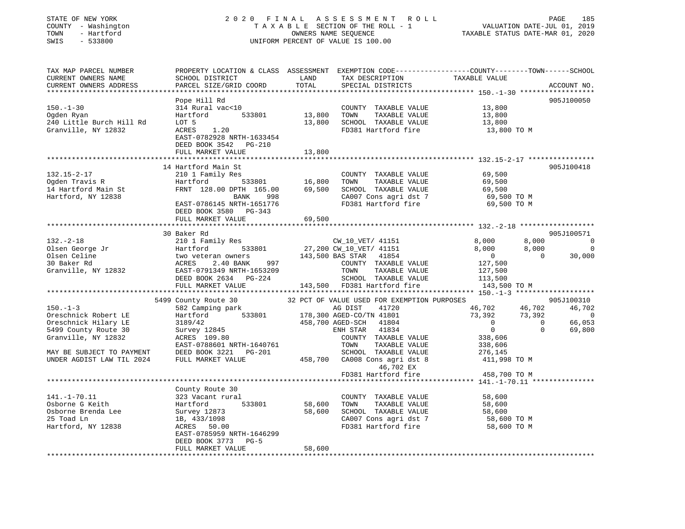### STATE OF NEW YORK 2 0 2 0 F I N A L A S S E S S M E N T R O L L PAGE 185 COUNTY - Washington T A X A B L E SECTION OF THE ROLL - 1 VALUATION DATE-JUL 01, 2019 TOWN - Hartford OWNERS NAME SEQUENCE TAXABLE STATUS DATE-MAR 01, 2020 SWIS - 533800 UNIFORM PERCENT OF VALUE IS 100.00

| TAX MAP PARCEL NUMBER<br>CURRENT OWNERS NAME<br>CURRENT OWNERS ADDRESS                                                                                                                                                                                             | PROPERTY LOCATION & CLASS ASSESSMENT<br>SCHOOL DISTRICT<br>PARCEL SIZE/GRID COORD                                                                                                                                                                                                                                                                                                                          | LAND<br>TOTAL              | TAX DESCRIPTION<br>SPECIAL DISTRICTS                                                                                                                                                                                                                                                                                                                                                                                                             | EXEMPTION CODE-----------------COUNTY-------TOWN------SCHOOL<br>TAXABLE VALUE                                                                                                                                                                      | ACCOUNT NO.                                                                                                         |
|--------------------------------------------------------------------------------------------------------------------------------------------------------------------------------------------------------------------------------------------------------------------|------------------------------------------------------------------------------------------------------------------------------------------------------------------------------------------------------------------------------------------------------------------------------------------------------------------------------------------------------------------------------------------------------------|----------------------------|--------------------------------------------------------------------------------------------------------------------------------------------------------------------------------------------------------------------------------------------------------------------------------------------------------------------------------------------------------------------------------------------------------------------------------------------------|----------------------------------------------------------------------------------------------------------------------------------------------------------------------------------------------------------------------------------------------------|---------------------------------------------------------------------------------------------------------------------|
| *********************<br>$150. - 1 - 30$<br>Ogden Ryan<br>240 Little Burch Hill Rd<br>Granville, NY 12832                                                                                                                                                          | Pope Hill Rd<br>314 Rural vac<10<br>533801<br>Hartford<br>LOT 5<br>ACRES<br>1.20<br>EAST-0782928 NRTH-1633454<br>DEED BOOK 3542 PG-210<br>FULL MARKET VALUE                                                                                                                                                                                                                                                | 13,800<br>13,800<br>13,800 | COUNTY TAXABLE VALUE<br>TOWN<br>TAXABLE VALUE<br>SCHOOL TAXABLE VALUE<br>FD381 Hartford fire                                                                                                                                                                                                                                                                                                                                                     | 13,800<br>13,800<br>13,800<br>13,800 TO M                                                                                                                                                                                                          | 905J100050                                                                                                          |
| $132.15 - 2 - 17$<br>Ogden Travis R<br>14 Hartford Main St<br>Hartford, NY 12838                                                                                                                                                                                   | 14 Hartford Main St<br>210 1 Family Res<br>Hartford<br>533801<br>FRNT 128.00 DPTH 165.00<br>BANK<br>998<br>EAST-0786145 NRTH-1651776<br>DEED BOOK 3580 PG-343<br>FULL MARKET VALUE                                                                                                                                                                                                                         | 16,800<br>69,500<br>69,500 | COUNTY TAXABLE VALUE<br>TOWN<br>TAXABLE VALUE<br>SCHOOL TAXABLE VALUE<br>CA007 Cons agri dst 7<br>FD381 Hartford fire                                                                                                                                                                                                                                                                                                                            | 69,500<br>69,500<br>69,500<br>69,500 TO M<br>69,500 TO M                                                                                                                                                                                           | 905J100418                                                                                                          |
|                                                                                                                                                                                                                                                                    |                                                                                                                                                                                                                                                                                                                                                                                                            |                            |                                                                                                                                                                                                                                                                                                                                                                                                                                                  |                                                                                                                                                                                                                                                    |                                                                                                                     |
| $132 - 2 - 18$<br>Olsen George Jr<br>Olsen Celine<br>30 Baker Rd<br>Granville, NY 12832<br>$150. - 1 - 3$<br>Oreschnick Robert LE<br>Oreschnick Hilary LE<br>5499 County Route 30<br>Granville, NY 12832<br>MAY BE SUBJECT TO PAYMENT<br>UNDER AGDIST LAW TIL 2024 | 30 Baker Rd<br>210 1 Family Res<br>533801<br>Hartford<br>two veteran owners<br>2.40 BANK<br>997<br>ACRES<br>EAST-0791349 NRTH-1653209<br>DEED BOOK 2634 PG-224<br>FULL MARKET VALUE<br>************************<br>5499 County Route 30<br>582 Camping park<br>533801<br>Hartford<br>3189/42<br>Survey 12845<br>ACRES 109.80<br>EAST-0788601 NRTH-1640761<br>DEED BOOK 3221<br>PG-201<br>FULL MARKET VALUE | 458,700                    | CW_10_VET/ 41151<br>27,200 CW_10_VET/ 41151<br>143,500 BAS STAR<br>41854<br>COUNTY TAXABLE VALUE<br>TOWN<br>TAXABLE VALUE<br>SCHOOL TAXABLE VALUE<br>143,500 FD381 Hartford fire<br>32 PCT OF VALUE USED FOR EXEMPTION PURPOSES<br>41720<br>AG DIST<br>178,300 AGED-CO/TN 41801<br>458,700 AGED-SCH<br>41804<br>41834<br>ENH STAR<br>COUNTY TAXABLE VALUE<br>TOWN<br>TAXABLE VALUE<br>SCHOOL TAXABLE VALUE<br>CA008 Cons agri dst 8<br>46,702 EX | 8,000<br>8,000<br>8,000<br>8,000<br>$\overline{0}$<br>$\Omega$<br>127,500<br>127,500<br>113,500<br>143,500 TO M<br>46,702<br>46,702<br>73,392<br>73,392<br>$\Omega$<br>$\overline{0}$<br>$\Omega$<br>338,606<br>338,606<br>276,145<br>411,998 TO M | 905J100571<br>0<br>$\mathbf 0$<br>30,000<br>905J100310<br>46,702<br>$\mathbf 0$<br>66,053<br>$\mathbf{0}$<br>69,800 |
|                                                                                                                                                                                                                                                                    |                                                                                                                                                                                                                                                                                                                                                                                                            |                            | FD381 Hartford fire                                                                                                                                                                                                                                                                                                                                                                                                                              | 458,700 TO M                                                                                                                                                                                                                                       |                                                                                                                     |
| $141. - 1 - 70.11$<br>Osborne G Keith<br>Osborne Brenda Lee<br>25 Toad Ln<br>Hartford, NY 12838                                                                                                                                                                    | County Route 30<br>323 Vacant rural<br>Hartford<br>533801<br>Survey 12873<br>1B, 433/1098<br>ACRES<br>50.00<br>EAST-0785959 NRTH-1646299<br>DEED BOOK 3773<br>$PG-5$<br>FULL MARKET VALUE                                                                                                                                                                                                                  | 58,600<br>58,600<br>58,600 | COUNTY TAXABLE VALUE<br>TOWN<br>TAXABLE VALUE<br>SCHOOL TAXABLE VALUE<br>CA007 Cons agri dst 7<br>FD381 Hartford fire                                                                                                                                                                                                                                                                                                                            | 58,600<br>58,600<br>58,600<br>58,600 TO M<br>58,600 TO M                                                                                                                                                                                           |                                                                                                                     |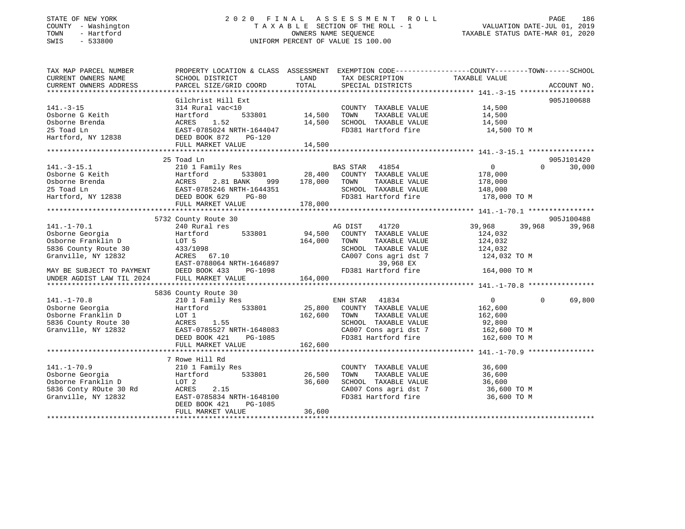### STATE OF NEW YORK 2 0 2 0 F I N A L A S S E S S M E N T R O L L PAGE 186 COUNTY - Washington T A X A B L E SECTION OF THE ROLL - 1 VALUATION DATE-JUL 01, 2019 TOWN - Hartford OWNERS NAME SEQUENCE TAXABLE STATUS DATE-MAR 01, 2020 SWIS - 533800 UNIFORM PERCENT OF VALUE IS 100.00

| TAX MAP PARCEL NUMBER<br>CURRENT OWNERS NAME                                       | PROPERTY LOCATION & CLASS ASSESSMENT EXEMPTION CODE---------------COUNTY-------TOWN------SCHOOL<br>SCHOOL DISTRICT | LAND    | TAX DESCRIPTION                                                          | TAXABLE VALUE         |                    |
|------------------------------------------------------------------------------------|--------------------------------------------------------------------------------------------------------------------|---------|--------------------------------------------------------------------------|-----------------------|--------------------|
| CURRENT OWNERS ADDRESS                                                             | PARCEL SIZE/GRID COORD                                                                                             | TOTAL   | SPECIAL DISTRICTS                                                        |                       | ACCOUNT NO.        |
|                                                                                    | Gilchrist Hill Ext                                                                                                 |         |                                                                          |                       | 905J100688         |
| $141. - 3 - 15$<br>Osborne G Keith                                                 | 314 Rural vac<10<br>533801<br>Hartford                                                                             | 14,500  | COUNTY TAXABLE VALUE<br>TAXABLE VALUE<br>TOWN                            | 14,500<br>14,500      |                    |
| Osborne Brenda<br>25 Toad Ln                                                       | ACRES 1.52<br>ACRES      1.52<br>EAST-0785024 NRTH-1644047                                                         | 14,500  | SCHOOL TAXABLE VALUE<br>FD381 Hartford fire                              | 14,500<br>14,500 TO M |                    |
| Hartford, NY 12838 DEED BOOK 872                                                   | PG-120                                                                                                             |         |                                                                          |                       |                    |
|                                                                                    | FULL MARKET VALUE                                                                                                  | 14,500  |                                                                          |                       |                    |
|                                                                                    |                                                                                                                    |         |                                                                          |                       |                    |
|                                                                                    | 25 Toad Ln                                                                                                         |         |                                                                          |                       | 905J101420         |
| $141. - 3 - 15.1$                                                                  | 210 1 Family Res                                                                                                   |         | BAS STAR 41854                                                           | 0                     | $\Omega$<br>30,000 |
|                                                                                    |                                                                                                                    |         | 533801 28,400 COUNTY TAXABLE VALUE<br>ANK 999 178,000 TOWN TAXABLE VALUE | 178,000               |                    |
|                                                                                    |                                                                                                                    |         |                                                                          | 178,000               |                    |
|                                                                                    |                                                                                                                    |         | SCHOOL TAXABLE VALUE                                                     | 148,000               |                    |
|                                                                                    |                                                                                                                    |         | FD381 Hartford fire                                                      | 178,000 TO M          |                    |
|                                                                                    | FULL MARKET VALUE                                                                                                  | 178,000 |                                                                          |                       |                    |
|                                                                                    |                                                                                                                    |         |                                                                          |                       | 905J100488         |
| $141. - 1 - 70.1$                                                                  | 5732 County Route 30<br>240 Rural res                                                                              |         | AG DIST<br>41720                                                         | 39,968<br>39,968      | 39,968             |
| Osborne Georgia                                                                    | 533801<br>Hartford                                                                                                 | 94,500  | COUNTY TAXABLE VALUE                                                     | 124,032               |                    |
| Osborne Franklin D                                                                 | LOT 5                                                                                                              | 164,000 | TOWN<br>TAXABLE VALUE                                                    | 124,032               |                    |
| 5836 County Route 30                                                               | 433/1098                                                                                                           |         | SCHOOL TAXABLE VALUE                                                     | 124,032               |                    |
| Granville, NY 12832                                                                | ACRES 67.10                                                                                                        |         | CA007 Cons agri dst 7                                                    | 124,032 TO M          |                    |
|                                                                                    | EAST-0788064 NRTH-1646897                                                                                          |         | 39,968 EX                                                                |                       |                    |
|                                                                                    |                                                                                                                    |         | FD381 Hartford fire                                                      | 164,000 TO M          |                    |
| MAY BE SUBJECT TO PAYMENT DEED BOOK 433<br>UNDER AGDIST LAW TIL 2024 FULL MARKET V | FULL MARKET VALUE                                                                                                  |         |                                                                          |                       |                    |
|                                                                                    |                                                                                                                    |         |                                                                          |                       |                    |
|                                                                                    | 5836 County Route 30                                                                                               |         |                                                                          |                       |                    |
| $141. - 1 - 70.8$                                                                  | 210 1 Family Res                                                                                                   |         | ENH STAR 41834                                                           | $\overline{0}$        | 69,800<br>$\Omega$ |
| Osborne Georgia                                                                    | 533801<br>Hartford                                                                                                 | 25,800  | COUNTY TAXABLE VALUE                                                     | 162,600               |                    |
| Osborne Franklin D                                                                 | LOT 1                                                                                                              | 162,600 | TAXABLE VALUE<br>TOWN                                                    | 162,600               |                    |
| 5836 County Route 30                                                               |                                                                                                                    |         | SCHOOL TAXABLE VALUE                                                     | 92,800                |                    |
| Granville, NY 12832                                                                | ACRES 1.55<br>EAST-0785527 NRTH-1648083                                                                            |         | CA007 Cons agri dst 7                                                    | 162,600 TO M          |                    |
|                                                                                    | DEED BOOK 421                                                                                                      | PG-1085 | FD381 Hartford fire 162,600 TO M                                         |                       |                    |
|                                                                                    | FULL MARKET VALUE                                                                                                  | 162,600 |                                                                          |                       |                    |
|                                                                                    |                                                                                                                    |         |                                                                          |                       |                    |
|                                                                                    | 7 Rowe Hill Rd                                                                                                     |         |                                                                          |                       |                    |
| $141. - 1 - 70.9$                                                                  | 210 1 Family Res                                                                                                   |         | COUNTY TAXABLE VALUE                                                     | 36,600                |                    |
| Osborne Georgia<br>Hartford                                                        | 533801                                                                                                             | 26,500  | TOWN<br>TAXABLE VALUE                                                    | 36,600                |                    |
| Osborne Franklin D                                                                 | LOT 2<br>2.15                                                                                                      | 36,600  | SCHOOL TAXABLE VALUE                                                     | 36,600                |                    |
| 5836 Conty ROute 30 Rd ACRES<br>Granville, NY 12832                                | EAST-0785834 NRTH-1648100                                                                                          |         | CA007 Cons agri dst 7 36,600 TO M<br>FD381 Hartford fire                 |                       |                    |
|                                                                                    | DEED BOOK 421<br>PG-1085                                                                                           |         |                                                                          | 36,600 TO M           |                    |
|                                                                                    | FULL MARKET VALUE                                                                                                  | 36,600  |                                                                          |                       |                    |
|                                                                                    |                                                                                                                    |         |                                                                          |                       |                    |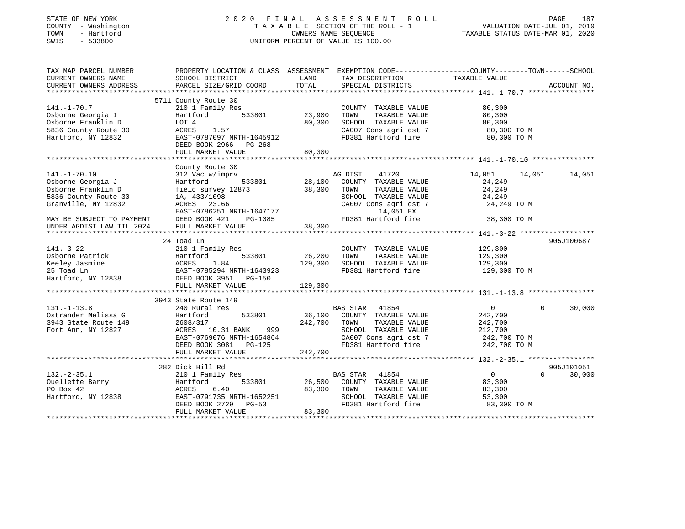| STATE OF NEW YORK |  |                     |  |
|-------------------|--|---------------------|--|
|                   |  | COUNTY - Washington |  |
| TOWN              |  | - Hartford          |  |
| OMT O             |  | EDDONN              |  |

# STATE OF NEW YORK 2 0 2 0 F I N A L A S S E S S M E N T R O L L PAGE 187COUNTY - Washington  $T A X A B L E$  SECTION OF THE ROLL - 1<br>TOWN - Hartford SWIS - 533800 UNIFORM PERCENT OF VALUE IS 100.00

VALUATION DATE-JUL  $01$ , 2019 TAXABLE STATUS DATE-MAR 01, 2020

| TAX MAP PARCEL NUMBER     | PROPERTY LOCATION & CLASS ASSESSMENT EXEMPTION CODE--------------COUNTY-------TOWN-----SCHOOL |         |                          |                            |             |
|---------------------------|-----------------------------------------------------------------------------------------------|---------|--------------------------|----------------------------|-------------|
| CURRENT OWNERS NAME       | SCHOOL DISTRICT                                                                               | LAND    | TAX DESCRIPTION          | TAXABLE VALUE              |             |
| CURRENT OWNERS ADDRESS    | PARCEL SIZE/GRID COORD                                                                        | TOTAL   | SPECIAL DISTRICTS        |                            | ACCOUNT NO. |
|                           |                                                                                               |         |                          |                            |             |
|                           | 5711 County Route 30                                                                          |         |                          |                            |             |
| $141. - 1 - 70.7$         | 210 1 Family Res                                                                              |         | COUNTY TAXABLE VALUE     | 80,300                     |             |
| Osborne Georgia I         | 533801<br>Hartford                                                                            | 23,900  | TOWN<br>TAXABLE VALUE    | 80,300                     |             |
| Osborne Franklin D        | LOT 4                                                                                         | 80,300  | SCHOOL TAXABLE VALUE     | 80,300                     |             |
| 5836 County Route 30      | 1.57<br>ACRES                                                                                 |         | CA007 Cons agri dst 7    | 80,300 TO M                |             |
| Hartford, NY 12832        | EAST-0787097 NRTH-1645912                                                                     |         | FD381 Hartford fire      | 80,300 TO M                |             |
|                           | DEED BOOK 2966<br>PG-268                                                                      |         |                          |                            |             |
|                           | FULL MARKET VALUE                                                                             | 80,300  |                          |                            |             |
|                           |                                                                                               |         |                          |                            |             |
|                           | County Route 30                                                                               |         |                          |                            |             |
| $141. - 1 - 70.10$        | 312 Vac w/imprv                                                                               |         | 41720<br>AG DIST         | 14,051<br>14,051           | 14,051      |
| Osborne Georgia J         | 533801<br>Hartford                                                                            | 28,100  | COUNTY TAXABLE VALUE     | 24,249                     |             |
| Osborne Franklin D        | field survey 12873                                                                            | 38,300  | TAXABLE VALUE<br>TOWN    | 24,249                     |             |
| 5836 County Route 30      | 1A, 433/1098                                                                                  |         | SCHOOL TAXABLE VALUE     | 24,249                     |             |
| Granville, NY 12832       | ACRES 23.66                                                                                   |         | CA007 Cons agri dst 7    | 24,249 TO M                |             |
|                           | EAST-0786251 NRTH-1647177                                                                     |         | 14,051 EX                |                            |             |
| MAY BE SUBJECT TO PAYMENT | DEED BOOK 421<br>PG-1085                                                                      |         | FD381 Hartford fire      | 38,300 TO M                |             |
|                           | FULL MARKET VALUE                                                                             | 38,300  |                          |                            |             |
| UNDER AGDIST LAW TIL 2024 |                                                                                               |         |                          |                            |             |
|                           |                                                                                               |         |                          |                            |             |
|                           | 24 Toad Ln                                                                                    |         |                          |                            | 905J100687  |
| $141. - 3 - 22$           | 210 1 Family Res                                                                              |         | COUNTY TAXABLE VALUE     | 129,300                    |             |
| Osborne Patrick           | 533801<br>Hartford                                                                            | 26,200  | TOWN<br>TAXABLE VALUE    | 129,300                    |             |
| Keeley Jasmine            | 1.84<br>ACRES                                                                                 | 129,300 | SCHOOL TAXABLE VALUE     | 129,300                    |             |
| 25 Toad Ln                | EAST-0785294 NRTH-1643923                                                                     |         | FD381 Hartford fire      | 129,300 TO M               |             |
| Hartford, NY 12838        | DEED BOOK 3951 PG-150                                                                         |         |                          |                            |             |
|                           | FULL MARKET VALUE                                                                             | 129,300 |                          |                            |             |
|                           |                                                                                               |         |                          |                            |             |
|                           | 3943 State Route 149                                                                          |         |                          |                            |             |
| $131. - 1 - 13.8$         | 240 Rural res                                                                                 |         | BAS STAR 41854           | $\overline{0}$<br>$\Omega$ | 30,000      |
| Ostrander Melissa G       | 533801<br>Hartford                                                                            | 36,100  | COUNTY TAXABLE VALUE     | 242,700                    |             |
| 3943 State Route 149      | 2608/317                                                                                      | 242,700 | TAXABLE VALUE<br>TOWN    | 242,700                    |             |
| Fort Ann, NY 12827        | ACRES 10.31 BANK<br>999                                                                       |         | SCHOOL TAXABLE VALUE     | 212,700                    |             |
|                           | EAST-0769076 NRTH-1654864                                                                     |         | CA007 Cons agri dst 7    | 242,700 TO M               |             |
|                           | DEED BOOK 3081 PG-125                                                                         |         | FD381 Hartford fire      | 242,700 TO M               |             |
|                           | FULL MARKET VALUE                                                                             | 242,700 |                          |                            |             |
|                           |                                                                                               |         |                          |                            |             |
|                           | 282 Dick Hill Rd                                                                              |         |                          |                            | 905J101051  |
| $132 - 2 - 35.1$          | 210 1 Family Res                                                                              |         | <b>BAS STAR</b><br>41854 | $\overline{0}$<br>$\Omega$ | 30,000      |
| Ouellette Barry           | Hartford<br>533801                                                                            | 26,500  | COUNTY TAXABLE VALUE     | 83,300                     |             |
| PO Box 42                 | 6.40<br>ACRES                                                                                 | 83,300  | TOWN<br>TAXABLE VALUE    | 83,300                     |             |
| Hartford, NY 12838        | EAST-0791735 NRTH-1652251                                                                     |         | SCHOOL TAXABLE VALUE     | 53,300                     |             |
|                           | DEED BOOK 2729<br>$PG-53$                                                                     |         | FD381 Hartford fire      | 83,300 TO M                |             |
|                           | FULL MARKET VALUE                                                                             | 83,300  |                          |                            |             |
|                           |                                                                                               |         |                          |                            |             |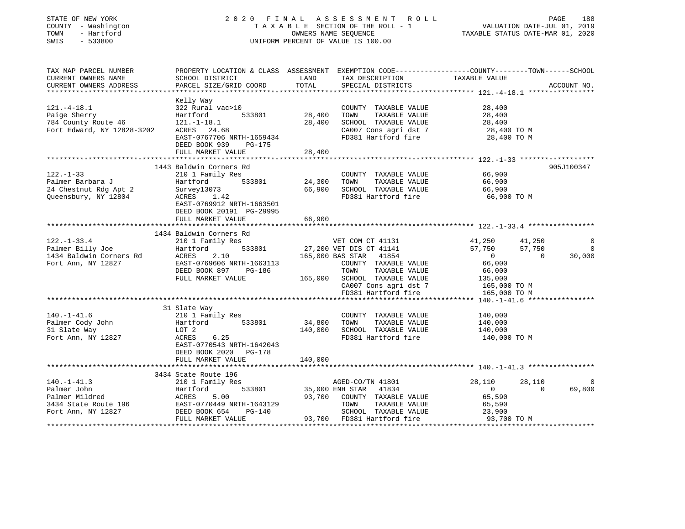| STATE OF NEW YORK |              |
|-------------------|--------------|
| COUNTY            | - Washington |
| TOWN              | - Hartford   |
| CM T C            | ECCOON       |

#### STATE OF NEW YORK 2 0 2 0 F I N A L A S S E S S M E N T R O L L PAGE 188TA X A B L E SECTION OF THE ROLL - 1 OWNERS NAME SEQUENCE TAXABLE STATUS DATE-MAR 01, 2020 SWIS - 533800 UNIFORM PERCENT OF VALUE IS 100.00

| TAX MAP PARCEL NUMBER<br>CURRENT OWNERS NAME                                                                                                                                                                                                             | PROPERTY LOCATION & CLASS ASSESSMENT EXEMPTION CODE---------------COUNTY-------TOWN------SCHOOL<br>SCHOOL DISTRICT                                      | LAND             | TAX DESCRIPTION                                                                                  | TAXABLE VALUE                        |                |
|----------------------------------------------------------------------------------------------------------------------------------------------------------------------------------------------------------------------------------------------------------|---------------------------------------------------------------------------------------------------------------------------------------------------------|------------------|--------------------------------------------------------------------------------------------------|--------------------------------------|----------------|
| CURRENT OWNERS ADDRESS                                                                                                                                                                                                                                   | PARCEL SIZE/GRID COORD                                                                                                                                  | TOTAL            | SPECIAL DISTRICTS                                                                                |                                      | ACCOUNT NO.    |
|                                                                                                                                                                                                                                                          |                                                                                                                                                         |                  |                                                                                                  |                                      |                |
| $121.-4-18.1$<br>Paige Sherry                                                                                                                                                                                                                            | Kelly Way<br>322 Rural vac>10<br>Hartford<br>533801                                                                                                     | 28,400           | COUNTY TAXABLE VALUE<br>TOWN<br>TAXABLE VALUE                                                    | 28,400<br>28,400                     |                |
| 784 County Route 46<br>Fort Edward, NY 12828-3202                                                                                                                                                                                                        | $121.-1-18.1$<br>ACRES 24.68<br>EAST-0767706 NRTH-1659434<br>DEED BOOK 939<br>PG-175                                                                    | 28,400           | SCHOOL TAXABLE VALUE<br>CA007 Cons agri dst 7<br>FD381 Hartford fire                             | 28,400<br>28,400 TO M<br>28,400 TO M |                |
|                                                                                                                                                                                                                                                          | FULL MARKET VALUE                                                                                                                                       | 28,400           |                                                                                                  |                                      |                |
|                                                                                                                                                                                                                                                          |                                                                                                                                                         |                  |                                                                                                  |                                      |                |
| $122. - 1 - 33$<br>Palmer Barbara J<br>raimer Barbara J<br>24 Chestnut Rdg Apt 2<br>Queensbury, NY 12804                                                                                                                                                 | 1443 Baldwin Corners Rd<br>210 1 Family Res<br>533801<br>Hartford<br>Survey13073<br>ACRES 1.42<br>EAST-0769912 NRTH-1663501<br>DEED BOOK 20191 PG-29995 | 24,300<br>66,900 | COUNTY TAXABLE VALUE 66,900<br>TOWN TAXABLE VALUE<br>SCHOOL TAXABLE VALUE<br>FD381 Hartford fire | 66,900<br>66,900<br>66,900 TO M      | 905J100347     |
|                                                                                                                                                                                                                                                          | FULL MARKET VALUE                                                                                                                                       | 66,900           |                                                                                                  |                                      |                |
|                                                                                                                                                                                                                                                          |                                                                                                                                                         |                  |                                                                                                  |                                      |                |
|                                                                                                                                                                                                                                                          | 1434 Baldwin Corners Rd                                                                                                                                 |                  |                                                                                                  |                                      |                |
| $122. - 1 - 33.4$                                                                                                                                                                                                                                        | 210 1 Family Res                                                                                                                                        |                  | VET COM CT 41131                                                                                 | 41,250<br>41,250                     | $\Omega$       |
|                                                                                                                                                                                                                                                          | Hartford<br>533801                                                                                                                                      |                  | 27,200 VET DIS CT 41141                                                                          | 57,750<br>0<br>57,750                | $\overline{0}$ |
| Palmer Billy Joe<br>1434 Baldwin Corners Rd ACRES<br>110077 EAST-0                                                                                                                                                                                       | 2.10                                                                                                                                                    |                  | 165,000 BAS STAR 41854                                                                           | $\Omega$                             | 30,000         |
|                                                                                                                                                                                                                                                          | EAST-0769606 NRTH-1663113                                                                                                                               |                  | COUNTY TAXABLE VALUE                                                                             | 66,000                               |                |
|                                                                                                                                                                                                                                                          | DEED BOOK 897 PG-186                                                                                                                                    |                  | TOWN<br>TAXABLE VALUE                                                                            | 66,000                               |                |
|                                                                                                                                                                                                                                                          | FULL MARKET VALUE                                                                                                                                       | 165,000          | SCHOOL TAXABLE VALUE                                                                             | 135,000                              |                |
|                                                                                                                                                                                                                                                          |                                                                                                                                                         |                  | CA007 Cons agri dst 7 165,000 TO M                                                               |                                      |                |
|                                                                                                                                                                                                                                                          |                                                                                                                                                         |                  | FD381 Hartford fire                                                                              | 165,000 TO M                         |                |
|                                                                                                                                                                                                                                                          |                                                                                                                                                         |                  |                                                                                                  |                                      |                |
|                                                                                                                                                                                                                                                          | 31 Slate Way                                                                                                                                            |                  |                                                                                                  |                                      |                |
| $140. - 1 - 41.6$                                                                                                                                                                                                                                        | 210 1 Family Res                                                                                                                                        |                  | COUNTY TAXABLE VALUE                                                                             | 140,000                              |                |
| Palmer Cody John                                                                                                                                                                                                                                         | 533801<br>Hartford                                                                                                                                      | 34,800           | TOWN<br>TAXABLE VALUE                                                                            | 140,000                              |                |
| 31 Slate Way                                                                                                                                                                                                                                             | Hartro<br>LOT 2                                                                                                                                         | 140,000          | SCHOOL TAXABLE VALUE                                                                             | 140,000                              |                |
| Fort Ann, NY 12827                                                                                                                                                                                                                                       | ACRES<br>6.25<br>EAST-0770543 NRTH-1642043<br>DEED BOOK 2020 PG-178<br>FULL MARKET VALUE                                                                | 140,000          | FD381 Hartford fire                                                                              | 140,000 TO M                         |                |
|                                                                                                                                                                                                                                                          |                                                                                                                                                         |                  |                                                                                                  |                                      |                |
|                                                                                                                                                                                                                                                          | 3434 State Route 196                                                                                                                                    |                  |                                                                                                  |                                      |                |
| $140. - 1 - 41.3$                                                                                                                                                                                                                                        | 210 1 Family Res                                                                                                                                        |                  | AGED-CO/TN 41801                                                                                 | 28,110<br>28,110                     | 0              |
| Palmer John                                                                                                                                                                                                                                              | Hartford                                                                                                                                                |                  | 533801 35,000 ENH STAR 41834                                                                     | $\overline{0}$<br>$\Omega$           | 69,800         |
| Palmer John<br>Palmer Mildred<br>3434 State Route 196<br>Fort Ann, NY 12827<br>Fort Ann, NY 12827<br>PEED BOOK 654<br>DEED BOOK 654<br>DEED BOOK 654<br>DEED BOOK 654<br>DEED BOOK 654<br>DEED BOOK 654<br>DEED BOOK 654<br>DEED BOOK 654<br>DEED BOOK 6 |                                                                                                                                                         | 93,700           | COUNTY TAXABLE VALUE                                                                             | 65,590                               |                |
|                                                                                                                                                                                                                                                          |                                                                                                                                                         |                  | TOWN<br>TAXABLE VALUE                                                                            | 65,590                               |                |
|                                                                                                                                                                                                                                                          |                                                                                                                                                         |                  | SCHOOL TAXABLE VALUE                                                                             | 23,900                               |                |
|                                                                                                                                                                                                                                                          | FULL MARKET VALUE                                                                                                                                       |                  | 93,700 FD381 Hartford fire                                                                       | 93,700 TO M                          |                |
|                                                                                                                                                                                                                                                          |                                                                                                                                                         |                  |                                                                                                  |                                      |                |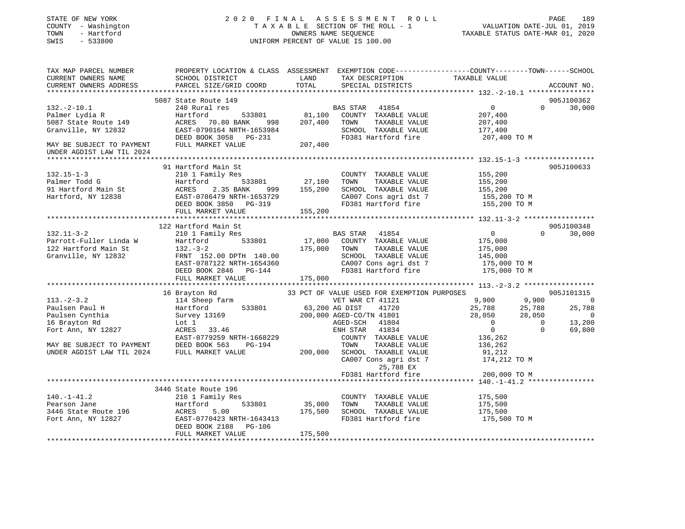### STATE OF NEW YORK 2 0 2 0 F I N A L A S S E S S M E N T R O L L PAGE 189 COUNTY - Washington T A X A B L E SECTION OF THE ROLL - 1 VALUATION DATE-JUL 01, 2019 TOWN - Hartford OWNERS NAME SEQUENCE TAXABLE STATUS DATE-MAR 01, 2020 SWIS - 533800 UNIFORM PERCENT OF VALUE IS 100.00

| TAX MAP PARCEL NUMBER<br>CURRENT OWNERS NAME<br>CURRENT OWNERS ADDRESS                                                                                 | PROPERTY LOCATION & CLASS ASSESSMENT EXEMPTION CODE---------------COUNTY-------TOWN-----SCHOOL<br>SCHOOL DISTRICT<br>PARCEL SIZE/GRID COORD                                           | LAND<br>TOTAL                | TAX DESCRIPTION<br>SPECIAL DISTRICTS                                                                                                                                                                                                                                      | TAXABLE VALUE                                                                                           |                                                   | ACCOUNT NO.                                                               |
|--------------------------------------------------------------------------------------------------------------------------------------------------------|---------------------------------------------------------------------------------------------------------------------------------------------------------------------------------------|------------------------------|---------------------------------------------------------------------------------------------------------------------------------------------------------------------------------------------------------------------------------------------------------------------------|---------------------------------------------------------------------------------------------------------|---------------------------------------------------|---------------------------------------------------------------------------|
| $132.-2-10.1$<br>Palmer Lydia R<br>5087 State Route 149<br>Granville, NY 12832<br>MAY BE SUBJECT TO PAYMENT                                            | 5087 State Route 149<br>240 Rural res<br>533801<br>Hartford<br>ACRES<br>70.80 BANK<br>998<br>EAST-0790164 NRTH-1653984<br>DEED BOOK 3058 PG-231<br>FULL MARKET VALUE                  | 81,100<br>207,400<br>207,400 | BAS STAR<br>41854<br>COUNTY TAXABLE VALUE<br>TAXABLE VALUE<br>TOWN<br>SCHOOL TAXABLE VALUE<br>FD381 Hartford fire                                                                                                                                                         | $\mathbf{0}$<br>207,400<br>207,400<br>177,400<br>207,400 TO M                                           | $\Omega$                                          | 905J100362<br>30,000                                                      |
| UNDER AGDIST LAW TIL 2024                                                                                                                              | 91 Hartford Main St                                                                                                                                                                   |                              |                                                                                                                                                                                                                                                                           |                                                                                                         |                                                   | 905J100633                                                                |
| $132.15 - 1 - 3$<br>Palmer Todd G<br>91 Hartford Main St<br>Hartford, NY 12838                                                                         | 210 1 Family Res<br>Hartford<br>533801<br>ACRES<br>2.35 BANK<br>999<br>EAST-0786479 NRTH-1653729<br>DEED BOOK 3850 PG-319<br>FULL MARKET VALUE                                        | 27,100<br>155,200<br>155,200 | COUNTY TAXABLE VALUE<br>TAXABLE VALUE<br>TOWN<br>SCHOOL TAXABLE VALUE<br>CA007 Cons agri dst 7 155,200 TO M<br>FD381 Hartford fire 155,200 TO M                                                                                                                           | 155,200<br>155,200<br>155,200                                                                           |                                                   |                                                                           |
|                                                                                                                                                        |                                                                                                                                                                                       |                              |                                                                                                                                                                                                                                                                           |                                                                                                         |                                                   |                                                                           |
| $132.11 - 3 - 2$<br>Parrott-Fuller Linda W<br>122 Hartford Main St<br>Granville, NY 12832                                                              | 122 Hartford Main St<br>210 1 Family Res<br>Hartford<br>533801<br>$132 - 3 - 2$<br>FRNT 152.00 DPTH 140.00<br>EAST-0787122 NRTH-1654360<br>DEED BOOK 2846 PG-144<br>FULL MARKET VALUE | 17,000<br>175,000<br>175,000 | <b>BAS STAR</b><br>41854<br>COUNTY TAXABLE VALUE<br>TOWN<br>TAXABLE VALUE<br>SCHOOL TAXABLE VALUE<br>CA007 Cons agri dst 7<br>FD381 Hartford fire                                                                                                                         | $\overline{0}$<br>175,000<br>175,000<br>145,000<br>175,000 TO M<br>175,000 TO M                         | $\Omega$                                          | 905J100348<br>30,000                                                      |
|                                                                                                                                                        |                                                                                                                                                                                       |                              |                                                                                                                                                                                                                                                                           |                                                                                                         |                                                   |                                                                           |
| $113. - 2 - 3.2$<br>Paulsen Paul H<br>Paulsen Cynthia<br>16 Brayton Rd<br>Fort Ann, NY 12827<br>MAY BE SUBJECT TO PAYMENT<br>UNDER AGDIST LAW TIL 2024 | 16 Brayton Rd<br>114 Sheep farm<br>533801<br>Hartford<br>Survey 13169<br>Lot 1<br>ACRES<br>33.46<br>EAST-0779259 NRTH-1668229<br>DEED BOOK 563<br>PG-194<br>FULL MARKET VALUE         | 200,000                      | 33 PCT OF VALUE USED FOR EXEMPTION PURPOSES<br>VET WAR CT 41121<br>63,200 AG DIST<br>41720<br>200,000 AGED-CO/TN 41801<br>AGED-SCH 41804<br>ENH STAR 41834<br>COUNTY TAXABLE VALUE<br>TOWN<br>TAXABLE VALUE<br>SCHOOL TAXABLE VALUE<br>CA007 Cons agri dst 7<br>25,788 EX | 9,900<br>25,788<br>28,050<br>$\overline{0}$<br>$\Omega$<br>136,262<br>136,262<br>91,212<br>174,212 TO M | 9,900<br>25,788<br>28,050<br>$\Omega$<br>$\Omega$ | 905J101315<br>$\overline{0}$<br>25,788<br>$\mathbf 0$<br>13,200<br>69,800 |
|                                                                                                                                                        |                                                                                                                                                                                       |                              | FD381 Hartford fire                                                                                                                                                                                                                                                       | 200,000 TO M                                                                                            |                                                   |                                                                           |
| $140. - 1 - 41.2$<br>Pearson Jane<br>3446 State Route 196<br>Fort Ann, NY 12827                                                                        | 3446 State Route 196<br>210 1 Family Res<br>533801<br>Hartford<br>5.00<br>ACRES<br>EAST-0770423 NRTH-1643413<br>DEED BOOK 2188<br>PG-106<br>FULL MARKET VALUE                         | 35,000<br>175,500<br>175,500 | COUNTY TAXABLE VALUE<br>TAXABLE VALUE<br>TOWN<br>SCHOOL TAXABLE VALUE<br>FD381 Hartford fire                                                                                                                                                                              | 175,500<br>175,500<br>175,500<br>175,500 TO M                                                           |                                                   |                                                                           |
|                                                                                                                                                        |                                                                                                                                                                                       |                              |                                                                                                                                                                                                                                                                           |                                                                                                         |                                                   |                                                                           |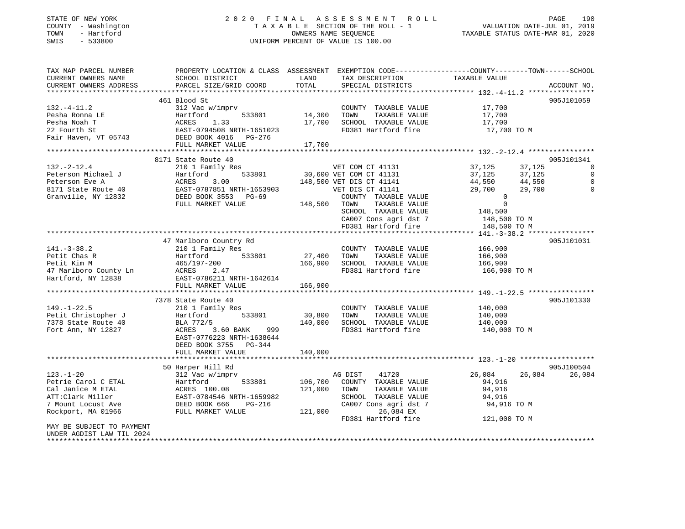### STATE OF NEW YORK 2 0 2 0 F I N A L A S S E S S M E N T R O L L PAGE 190 COUNTY - Washington T A X A B L E SECTION OF THE ROLL - 1 VALUATION DATE-JUL 01, 2019 TOWN - Hartford OWNERS NAME SEQUENCE TAXABLE STATUS DATE-MAR 01, 2020 SWIS - 533800 UNIFORM PERCENT OF VALUE IS 100.00

| TAX MAP PARCEL NUMBER<br>CURRENT OWNERS NAME                                                                                                             | PROPERTY LOCATION & CLASS ASSESSMENT EXEMPTION CODE----------------COUNTY-------TOWN------SCHOOL<br>SCHOOL DISTRICT                                                                                                                                                                              | LAND                             | TAX DESCRIPTION                                                                                                                                                                         | TAXABLE VALUE                                                                                                         |                                                |
|----------------------------------------------------------------------------------------------------------------------------------------------------------|--------------------------------------------------------------------------------------------------------------------------------------------------------------------------------------------------------------------------------------------------------------------------------------------------|----------------------------------|-----------------------------------------------------------------------------------------------------------------------------------------------------------------------------------------|-----------------------------------------------------------------------------------------------------------------------|------------------------------------------------|
| CURRENT OWNERS ADDRESS                                                                                                                                   | PARCEL SIZE/GRID COORD                                                                                                                                                                                                                                                                           | TOTAL                            | SPECIAL DISTRICTS                                                                                                                                                                       |                                                                                                                       | ACCOUNT NO.                                    |
|                                                                                                                                                          |                                                                                                                                                                                                                                                                                                  |                                  |                                                                                                                                                                                         |                                                                                                                       |                                                |
| 132.-4-11.2<br>Pesha Ronna LE<br>Noah T<br>22 Fourth St                                                                                                  | 461 Blood St<br>312 Vac w/imprv<br>Hartford<br>533801<br>ACRES<br>1.33<br>EAST-0794508 NRTH-1651023                                                                                                                                                                                              | 14,300 TOWN                      | COUNTY TAXABLE VALUE 17,700<br>TAXABLE VALUE<br>17,700 SCHOOL TAXABLE VALUE<br>FD381 Hartford fire                                                                                      | 17,700<br>17,700<br>17,700 TO M                                                                                       | 905J101059                                     |
| Fair Haven, VT 05743 DEED BOOK 4016 PG-276                                                                                                               |                                                                                                                                                                                                                                                                                                  |                                  |                                                                                                                                                                                         |                                                                                                                       |                                                |
|                                                                                                                                                          | FULL MARKET VALUE                                                                                                                                                                                                                                                                                | 17,700                           |                                                                                                                                                                                         |                                                                                                                       |                                                |
|                                                                                                                                                          | 8171 State Route 40                                                                                                                                                                                                                                                                              |                                  |                                                                                                                                                                                         |                                                                                                                       | 905J101341                                     |
| $132. -2 - 12.4$<br>Peterson Michael J<br>Peterson Eve A<br>8171 State Route 40<br>Granville, NY 12832                                                   | 210 1 Family Res<br>Hartford 533801 30,600 VET COM CT 41131<br>ACRES 3.00 148,500 VET DIS CT 41141<br>EAST-0787851 NRTH-1653903 VET DIS CT 41141<br>Hartford 533801 30,600<br>ACRES 3.00 148,500<br>EAST-0787851 NRTH-1653903<br>DEED BOOK 3553 PG-69<br>THE BOOK 353 PG-69<br>FULL MARKET VALUE | 148,500 TOWN                     | COUNTY TAXABLE VALUE<br>TAXABLE VALUE<br>SCHOOL TAXABLE VALUE<br>CA007 Cons agri dst 7 148,500 TO M                                                                                     | 37,125<br>37,125<br>37,125<br>37,125<br>44,550<br>29,700<br>44,550<br>29,700<br>$\overline{0}$<br>$\Omega$<br>148,500 | 0<br>$\mathbf 0$<br>$\mathbf 0$<br>$\mathbf 0$ |
|                                                                                                                                                          |                                                                                                                                                                                                                                                                                                  |                                  | FD381 Hartford fire                                                                                                                                                                     | 148,500 TO M                                                                                                          |                                                |
|                                                                                                                                                          |                                                                                                                                                                                                                                                                                                  |                                  |                                                                                                                                                                                         |                                                                                                                       |                                                |
| $141.-3-38.2$<br>Petit Chas R<br>Petit Kim M<br>465/197-200<br>47 Marlboro County Ln<br>Hartford, NY 12838<br>EAST-0786211 NRTH-1642614                  | 47 Marlboro Country Rd<br>FULL MARKET VALUE                                                                                                                                                                                                                                                      | COUNTY<br>27,400 TOWN<br>166,900 | COUNTY TAXABLE VALUE<br>TAXABLE VALUE<br>166,900 SCHOOL TAXABLE VALUE 166,900<br>FD381 Hartford fire                                                                                    | 166,900<br>166,900<br>166,900 ТО М                                                                                    | 905J101031                                     |
|                                                                                                                                                          |                                                                                                                                                                                                                                                                                                  |                                  |                                                                                                                                                                                         |                                                                                                                       |                                                |
| $149. - 1 - 22.5$<br>Petit Christopher J<br>7378 State Route 40<br>Fort Ann, NY 12827                                                                    | 7378 State Route 40<br>210 1 Family Res<br>$Hartford$ $533801$ $30,800$<br>BLA 772/5<br>999<br>ACRES<br>3.60 BANK<br>EAST-0776223 NRTH-1638644<br>DEED BOOK 3755 PG-344<br>FULL MARKET VALUE                                                                                                     | 140,000<br>140,000               | COUNTY TAXABLE VALUE<br>TAXABLE VALUE<br>TOWN<br>SCHOOL TAXABLE VALUE<br>FD381 Hartford fire 140,000 TO M                                                                               | 140,000<br>140,000<br>140,000                                                                                         | 905J101330                                     |
|                                                                                                                                                          |                                                                                                                                                                                                                                                                                                  |                                  |                                                                                                                                                                                         |                                                                                                                       |                                                |
| $123. - 1 - 20$<br>Petrie Carol C ETAL<br>Cal Janice M ETAL<br>ATT:Clark Miller<br>7 Mount Locust Ave<br>Rockport, MA 01966<br>MAY BE SUBJECT TO PAYMENT | 50 Harper Hill Rd<br>312 Vac w/imprv<br>533801<br>Hartford<br>ACRES 100.08<br>EAST-0784546 NRTH-1659982<br>DEED BOOK 666<br>PG-216<br>FULL MARKET VALUE                                                                                                                                          | 121,000 TOWN<br>121,000          | AG DIST<br>41720<br>106,700 COUNTY TAXABLE VALUE<br>TAXABLE VALUE<br>TOWN       TAXABLE  VALUE<br>SCHOOL    TAXABLE  VALUE<br>CA007 Cons agri dst 7<br>26,084 EX<br>FD381 Hartford fire | 26,084<br>26,084<br>94,916<br>94,916<br>94,916<br>94,916 TO M<br>121,000 TO M                                         | 905J100504<br>26,084                           |
| UNDER AGDIST LAW TIL 2024<br>********************                                                                                                        |                                                                                                                                                                                                                                                                                                  |                                  |                                                                                                                                                                                         |                                                                                                                       |                                                |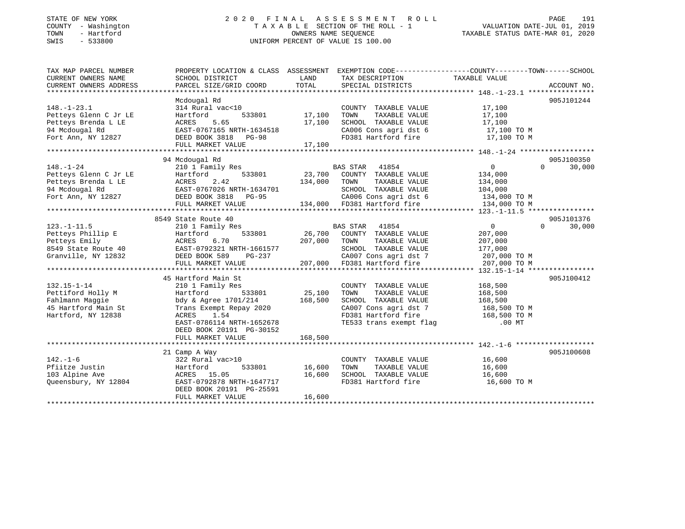# STATE OF NEW YORK 2 0 2 0 F I N A L A S S E S S M E N T R O L L PAGE 191COUNTY - Washington  $\begin{array}{ccc}\n\text{T A X A B L E} & \text{SECTION OF THE ROLL - 1} \\
\text{T} & \text{N} & \text{N} & \text{N} \\
\end{array}$ SWIS - 533800 UNIFORM PERCENT OF VALUE IS 100.00

VALUATION DATE-JUL 01, 2019

TAXABLE STATUS DATE-MAR 01, 2020

| TAX MAP PARCEL NUMBER<br>CURRENT OWNERS NAME                                                                                                                                           | PROPERTY LOCATION & CLASS ASSESSMENT EXEMPTION CODE---------------COUNTY-------TOWN------SCHOOL<br>SCHOOL DISTRICT | LAND          | TAX DESCRIPTION                                                                                                             | TAXABLE VALUE  |                    |
|----------------------------------------------------------------------------------------------------------------------------------------------------------------------------------------|--------------------------------------------------------------------------------------------------------------------|---------------|-----------------------------------------------------------------------------------------------------------------------------|----------------|--------------------|
| CURRENT OWNERS ADDRESS                                                                                                                                                                 | PARCEL SIZE/GRID COORD                                                                                             | TOTAL         | SPECIAL DISTRICTS                                                                                                           |                | ACCOUNT NO.        |
|                                                                                                                                                                                        |                                                                                                                    |               |                                                                                                                             |                |                    |
|                                                                                                                                                                                        | Mcdougal Rd                                                                                                        |               |                                                                                                                             |                | 905J101244         |
| $148. - 1 - 23.1$                                                                                                                                                                      | 314 Rural vac<10                                                                                                   |               | COUNTY TAXABLE VALUE                                                                                                        | 17,100         |                    |
| Petteys Glenn C Jr LE                                                                                                                                                                  | 533801<br>Hartford                                                                                                 | 17,100        | TAXABLE VALUE<br>TOWN                                                                                                       | 17,100         |                    |
| Petteys Brenda L LE                                                                                                                                                                    | ACRES<br>5.65                                                                                                      | 17,100        | SCHOOL TAXABLE VALUE                                                                                                        | 17,100         |                    |
| 94 Mcdougal Rd                                                                                                                                                                         | EAST-0767165 NRTH-1634518                                                                                          |               | CA006 Cons agri dst 6 17,100 TO M                                                                                           |                |                    |
| Fort Ann, NY 12827                                                                                                                                                                     | DEED BOOK 3818 PG-98                                                                                               |               | FD381 Hartford fire                                                                                                         | 17,100 TO M    |                    |
|                                                                                                                                                                                        | FULL MARKET VALUE                                                                                                  | 17,100        |                                                                                                                             |                |                    |
|                                                                                                                                                                                        |                                                                                                                    |               |                                                                                                                             |                |                    |
|                                                                                                                                                                                        | 94 Mcdougal Rd                                                                                                     |               |                                                                                                                             |                | 905J100350         |
| $148. - 1 - 24$                                                                                                                                                                        | 210 1 Family Res                                                                                                   |               | BAS STAR 41854                                                                                                              | $\overline{0}$ | $\Omega$<br>30,000 |
|                                                                                                                                                                                        |                                                                                                                    |               | 23,700 COUNTY TAXABLE VALUE                                                                                                 | 134,000        |                    |
|                                                                                                                                                                                        |                                                                                                                    | 134,000       | TAXABLE VALUE<br>TOWN                                                                                                       | 134,000        |                    |
|                                                                                                                                                                                        |                                                                                                                    |               |                                                                                                                             |                |                    |
| Petteys Glenn C Jr LE Martford 533801<br>Petteys Brenda L LE ACRES 2.42<br>94 Mcdougal Rd EAST-0767026 NRTH-1634701<br>Fort Ann, NY 12827 DEED BOOK 3818 PG-95<br>HERE HOOK 3818 PG-95 |                                                                                                                    |               |                                                                                                                             |                |                    |
|                                                                                                                                                                                        | FULL MARKET VALUE                                                                                                  |               | 1634701 SCHOOL TAXABLE VALUE 104,000<br>3-95 CA006 Cons agri dst 6 134,000 TO M<br>134,000 FD381 Hartford fire 134,000 TO M |                |                    |
|                                                                                                                                                                                        |                                                                                                                    |               |                                                                                                                             |                |                    |
|                                                                                                                                                                                        | 8549 State Route 40                                                                                                |               |                                                                                                                             |                | 905J101376         |
| $123. - 1 - 11.5$                                                                                                                                                                      | 210 1 Family Res                                                                                                   |               | BAS STAR 41854                                                                                                              | $\overline{0}$ | $\Omega$<br>30,000 |
|                                                                                                                                                                                        |                                                                                                                    |               | 26,700 COUNTY TAXABLE VALUE                                                                                                 | 207,000        |                    |
| Petteys Phillip E<br>Petteys Emily<br>Petteys Emily<br>8549 State Route 40<br>8549 State Route 40<br>FRAST-0792321 NRTH-1661577<br>FRAST-0792321 NRTH-1661577                          |                                                                                                                    | 207,000       | TOWN<br>TAXABLE VALUE                                                                                                       | 207,000        |                    |
|                                                                                                                                                                                        |                                                                                                                    |               | SCHOOL TAXABLE VALUE                                                                                                        | 177,000        |                    |
| Granville, NY 12832 DEED BOOK 589                                                                                                                                                      | PG-237                                                                                                             |               | CA007 Cons agri dst 7<br>FD381 Hartford fire                                                                                | 207,000 TO M   |                    |
|                                                                                                                                                                                        | FULL MARKET VALUE                                                                                                  | 207,000       |                                                                                                                             | 207,000 TO M   |                    |
|                                                                                                                                                                                        |                                                                                                                    |               |                                                                                                                             |                |                    |
|                                                                                                                                                                                        | 45 Hartford Main St                                                                                                |               |                                                                                                                             |                | 905J100412         |
| $132.15 - 1 - 14$                                                                                                                                                                      | 210 1 Family Res                                                                                                   |               | COUNTY TAXABLE VALUE                                                                                                        | 168,500        |                    |
| Pettiford Holly M                                                                                                                                                                      | Hartford<br>533801                                                                                                 | 25,100        | TOWN<br>TAXABLE VALUE                                                                                                       | 168,500        |                    |
| Fahlmann Maggie                                                                                                                                                                        | bdy & Agree 1701/214                                                                                               | 168,500       | SCHOOL TAXABLE VALUE                                                                                                        | 168,500        |                    |
| 45 Hartford Main St                                                                                                                                                                    | Trans Exempt Repay 2020                                                                                            |               | CA007 Cons agri dst 7 168,500 TO M                                                                                          |                |                    |
| Hartford, NY 12838                                                                                                                                                                     | ACRES<br>1.54                                                                                                      |               | FD381 Hartford fire 168,500 TO M<br>TE533 trans exempt flag 168,500 TO MT                                                   |                |                    |
|                                                                                                                                                                                        | EAST-0786114 NRTH-1652678                                                                                          |               |                                                                                                                             |                |                    |
|                                                                                                                                                                                        | DEED BOOK 20191 PG-30152                                                                                           |               |                                                                                                                             |                |                    |
|                                                                                                                                                                                        | FULL MARKET VALUE                                                                                                  | 168,500       |                                                                                                                             |                |                    |
|                                                                                                                                                                                        |                                                                                                                    |               |                                                                                                                             |                |                    |
|                                                                                                                                                                                        | 21 Camp A Way                                                                                                      |               |                                                                                                                             |                | 905J100608         |
| $142. - 1 - 6$                                                                                                                                                                         | 322 Rural vac>10                                                                                                   |               | COUNTY TAXABLE VALUE                                                                                                        | 16,600         |                    |
| Pfiitze Justin                                                                                                                                                                         | Hartford                                                                                                           | 533801 16,600 | TAXABLE VALUE<br>TOWN                                                                                                       | 16,600         |                    |
| 103 Alpine Ave                                                                                                                                                                         | ACRES 15.05                                                                                                        | 16,600        | SCHOOL TAXABLE VALUE                                                                                                        | 16,600         |                    |
| Queensbury, NY 12804                                                                                                                                                                   | EAST-0792878 NRTH-1647717                                                                                          |               | FD381 Hartford fire                                                                                                         | 16,600 TO M    |                    |
|                                                                                                                                                                                        | DEED BOOK 20191 PG-25591                                                                                           |               |                                                                                                                             |                |                    |
|                                                                                                                                                                                        | FULL MARKET VALUE                                                                                                  | 16,600        |                                                                                                                             |                |                    |
|                                                                                                                                                                                        |                                                                                                                    |               |                                                                                                                             |                |                    |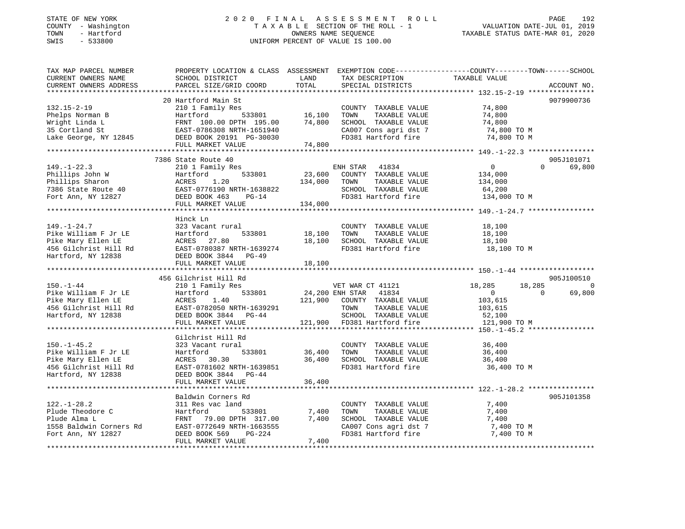#### STATE OF NEW YORK 2 0 2 0 F I N A L A S S E S S M E N T R O L L PAGE 192 COUNTY - Washington T A X A B L E SECTION OF THE ROLL - 1 VALUATION DATE-JUL 01, 2019 TOWN - Hartford OWNERS NAME SEQUENCE TAXABLE STATUS DATE-MAR 01, 2020 SWIS - 533800 UNIFORM PERCENT OF VALUE IS 100.00

| TAX MAP PARCEL NUMBER<br>CURRENT OWNERS NAME<br>CURRENT OWNERS ADDRESS                                                  | PROPERTY LOCATION & CLASS ASSESSMENT EXEMPTION CODE-----------------COUNTY--------TOWN------SCHOOL<br>SCHOOL DISTRICT<br>PARCEL SIZE/GRID COORD                          | LAND<br>TOTAL                       | TAX DESCRIPTION<br>SPECIAL DISTRICTS                                                                                                                      | TAXABLE VALUE                                                            |                    | ACCOUNT NO.                            |
|-------------------------------------------------------------------------------------------------------------------------|--------------------------------------------------------------------------------------------------------------------------------------------------------------------------|-------------------------------------|-----------------------------------------------------------------------------------------------------------------------------------------------------------|--------------------------------------------------------------------------|--------------------|----------------------------------------|
|                                                                                                                         |                                                                                                                                                                          |                                     |                                                                                                                                                           |                                                                          |                    |                                        |
| $132.15 - 2 - 19$<br>Phelps Norman B<br>Wright Linda L<br>35 Cortland St<br>Lake George, NY 12845                       | 20 Hartford Main St<br>210 1 Family Res<br>Hartford<br>FRNT 100.00 DPTH 195.00<br>EAST-0786308 NRIG 1990<br>DEED BOOK 20191 PG-30030                                     | $533801$ 16,100<br>74,800<br>74,800 | COUNTY TAXABLE VALUE<br>TAXABLE VALUE<br>TOWN<br>SCHOOL TAXABLE VALUE<br>CA007 Cons agri dst 7<br>FD381 Hartford fire                                     | 74,800<br>74,800<br>74,800<br>74,800 TO M<br>74,800 TO M                 |                    | 9079900736                             |
|                                                                                                                         |                                                                                                                                                                          |                                     |                                                                                                                                                           |                                                                          |                    |                                        |
| $149. - 1 - 22.3$<br>Phillips John W<br>Phillips Sharon<br>ruillips Snaron<br>7386 State Route 40<br>Fort Ann, NY 12827 | 7386 State Route 40<br>210 1 Family Res<br>533801<br>Hartford<br>ACRES<br>1.20<br>EAST-0776190 NRTH-1638822<br>DEED BOOK 463 PG-14<br>DEED BOOK 463<br>FULL MARKET VALUE | 23,600<br>134,000<br>134,000        | ENH STAR 41834<br>COUNTY TAXABLE VALUE<br>TOWN<br>TAXABLE VALUE<br>SCHOOL TAXABLE VALUE                                                                   | $\mathbf{0}$<br>134,000<br>134,000<br>64,200                             | $\Omega$           | 905J101071<br>69,800                   |
|                                                                                                                         | Hinck Ln                                                                                                                                                                 |                                     |                                                                                                                                                           |                                                                          |                    |                                        |
| $149. - 1 - 24.7$<br>Pike William F Jr LE<br>Pike Mary Ellen LE<br>456 Gilchrist Hill Rd<br>Hartford, NY 12838          | 323 Vacant rural<br>Hartford<br>533801<br>ACRES 27.80<br>EAST-0780387 NRTH-1639274<br>DEED BOOK 3844 PG-49<br>FULL MARKET VALUE                                          | 18,100<br>18,100<br>18,100          | COUNTY TAXABLE VALUE<br>TAXABLE VALUE<br>TOWN<br>SCHOOL TAXABLE VALUE<br>FD381 Hartford fire                                                              | 18,100<br>18,100<br>18,100<br>18,100 TO M                                |                    |                                        |
|                                                                                                                         |                                                                                                                                                                          |                                     |                                                                                                                                                           |                                                                          |                    |                                        |
| $150. - 1 - 44$<br>Pike William F Jr LE<br>Pike Mary Ellen LE<br>456 Gilchrist Hill Rd<br>Hartford, NY 12838            | 456 Gilchrist Hill Rd<br>210 1 Family Res<br>533801<br>Hartford<br>ACRES<br>1.40<br>EAST-0782050 NRTH-1639291<br>DEED BOOK 3844 PG-44<br>FULL MARKET VALUE               |                                     | VET WAR CT 41121<br>24,200 ENH STAR 41834<br>121,900 COUNTY TAXABLE VALUE<br>TOWN<br>TAXABLE VALUE<br>SCHOOL TAXABLE VALUE<br>121,900 FD381 Hartford fire | 18,285<br>$\overline{0}$<br>103,615<br>103,615<br>52,100<br>121,900 TO M | 18,285<br>$\Omega$ | 905J100510<br>$\overline{0}$<br>69,800 |
|                                                                                                                         | Gilchrist Hill Rd                                                                                                                                                        |                                     |                                                                                                                                                           |                                                                          |                    |                                        |
| $150. - 1 - 45.2$<br>Pike William F Jr LE<br>Pike Mary Ellen LE<br>456 Gilchrist Hill Rd<br>Hartford, NY 12838          | 323 Vacant rural<br>533801<br>Hartford<br>ACRES 30.30<br>EAST-0781602 NRTH-1639851<br>DEED BOOK 3844 PG-44                                                               | 36,400                              | COUNTY TAXABLE VALUE 36,400<br>36,400 TOWN<br>TAXABLE VALUE<br>SCHOOL TAXABLE VALUE<br>FD381 Hartford fire                                                | 36,400<br>36,400<br>36,400 TO M                                          |                    |                                        |
|                                                                                                                         | FULL MARKET VALUE                                                                                                                                                        | 36,400                              |                                                                                                                                                           |                                                                          |                    |                                        |
|                                                                                                                         |                                                                                                                                                                          |                                     |                                                                                                                                                           |                                                                          |                    |                                        |
| $122. - 1 - 28.2$<br>Plude Theodore C<br>Plude Alma L<br>1558 Baldwin Corners Rd<br>Fort Ann, NY 12827                  | Baldwin Corners Rd<br>311 Res vac land<br>533801<br>Hartford<br>FRNT 79.00 DPTH 317.00<br>EAST-0772649 NRTH-1663555<br>DEED BOOK 569<br>PG-224                           | 7,400<br>7,400                      | COUNTY TAXABLE VALUE<br>TOWN<br>TAXABLE VALUE<br>SCHOOL TAXABLE VALUE<br>CA007 Cons agri dst 7<br>FD381 Hartford fire                                     | 7,400<br>7,400<br>7,400<br>7,400 TO M<br>7,400 TO M                      |                    | 905J101358                             |
|                                                                                                                         | FULL MARKET VALUE                                                                                                                                                        | 7,400                               |                                                                                                                                                           |                                                                          |                    |                                        |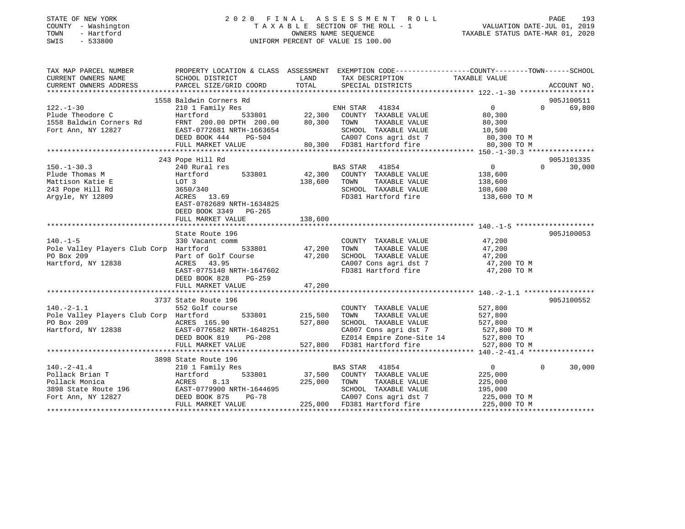### STATE OF NEW YORK 2 0 2 0 F I N A L A S S E S S M E N T R O L L PAGE 193 COUNTY - Washington T A X A B L E SECTION OF THE ROLL - 1 VALUATION DATE-JUL 01, 2019 TOWN - Hartford OWNERS NAME SEQUENCE TAXABLE STATUS DATE-MAR 01, 2020 SWIS - 533800 UNIFORM PERCENT OF VALUE IS 100.00UNIFORM PERCENT OF VALUE IS 100.00

| TAX MAP PARCEL NUMBER                                                                                                                                                                                                               | PROPERTY LOCATION & CLASS ASSESSMENT EXEMPTION CODE---------------COUNTY-------TOWN-----SCHOOL |                     |                                                                                                                                    |                         |                    |
|-------------------------------------------------------------------------------------------------------------------------------------------------------------------------------------------------------------------------------------|------------------------------------------------------------------------------------------------|---------------------|------------------------------------------------------------------------------------------------------------------------------------|-------------------------|--------------------|
| CURRENT OWNERS NAME                                                                                                                                                                                                                 | SCHOOL DISTRICT                                                                                | LAND                | TAX DESCRIPTION                                                                                                                    | TAXABLE VALUE           |                    |
| CURRENT OWNERS ADDRESS                                                                                                                                                                                                              | PARCEL SIZE/GRID COORD                                                                         | TOTAL               | SPECIAL DISTRICTS                                                                                                                  |                         | ACCOUNT NO.        |
|                                                                                                                                                                                                                                     |                                                                                                |                     |                                                                                                                                    |                         |                    |
|                                                                                                                                                                                                                                     | 1558 Baldwin Corners Rd                                                                        |                     |                                                                                                                                    |                         | 905J100511         |
| $122. - 1 - 30$                                                                                                                                                                                                                     | 210 1 Family Res                                                                               |                     | Rd<br>533801 22,300 COUNTY TAXABLE VALUE<br>22,300 COUNTY TAXABLE VALUE<br>22,300 TOUR TAXABLE VALUE                               | $\overline{0}$          | 69,800<br>$\Omega$ |
| Plude Theodore C                                                                                                                                                                                                                    | Hartford                                                                                       |                     |                                                                                                                                    | 80,300                  |                    |
|                                                                                                                                                                                                                                     |                                                                                                |                     |                                                                                                                                    |                         |                    |
|                                                                                                                                                                                                                                     |                                                                                                |                     |                                                                                                                                    |                         |                    |
|                                                                                                                                                                                                                                     |                                                                                                |                     |                                                                                                                                    |                         |                    |
|                                                                                                                                                                                                                                     |                                                                                                |                     |                                                                                                                                    |                         |                    |
| FING PRINT 200.00 DPTH 200.00<br>FRAFIC 200.00 DPTH 200.00 80,300 TOWN TAXABLE VALUE<br>FOTT ANN TAXABLE VALUE 200.00 DPTH 200.00 DPTH 200.00 80,300 TOWN TAXABLE VALUE 200.00 200<br>FULL MARKET VALUE 200.00 PDFH 200.00 BOLD TAX |                                                                                                |                     |                                                                                                                                    |                         |                    |
|                                                                                                                                                                                                                                     | 243 Pope Hill Rd                                                                               |                     |                                                                                                                                    |                         | 905J101335         |
| $150. - 1 - 30.3$                                                                                                                                                                                                                   | 240 Rural res                                                                                  |                     | BAS STAR 41854                                                                                                                     | $\overline{0}$          | $\Omega$<br>30,000 |
| Plude Thomas M                                                                                                                                                                                                                      | Hartford                                                                                       |                     | 533801 42,300 COUNTY TAXABLE VALUE 138,600                                                                                         |                         |                    |
| Mattison Katie E                                                                                                                                                                                                                    |                                                                                                | 138,600             | TOWN<br>TAXABLE VALUE                                                                                                              | 138,600                 |                    |
| 243 Pope Hill Rd                                                                                                                                                                                                                    |                                                                                                |                     | SCHOOL TAXABLE VALUE 108,600                                                                                                       |                         |                    |
| Argyle, NY 12809                                                                                                                                                                                                                    | 3650/340<br>ACRES 13.50<br>ACRES 13.69                                                         |                     | FD381 Hartford fire 138,600 TO M                                                                                                   |                         |                    |
|                                                                                                                                                                                                                                     | EAST-0782689 NRTH-1634825                                                                      |                     |                                                                                                                                    |                         |                    |
|                                                                                                                                                                                                                                     | DEED BOOK 3349 PG-265                                                                          |                     |                                                                                                                                    |                         |                    |
|                                                                                                                                                                                                                                     | FULL MARKET VALUE                                                                              | 138,600             |                                                                                                                                    |                         |                    |
|                                                                                                                                                                                                                                     |                                                                                                |                     |                                                                                                                                    |                         |                    |
|                                                                                                                                                                                                                                     | State Route 196                                                                                |                     |                                                                                                                                    |                         | 905J100053         |
| $140. -1 - 5$                                                                                                                                                                                                                       | 330 Vacant comm                                                                                |                     | COUNTY TAXABLE VALUE 47,200                                                                                                        |                         |                    |
| Pole Valley Players Club Corp Hartford                                                                                                                                                                                              |                                                                                                | $533801$ $47,200$   | TAXABLE VALUE 47,200<br>TOWN                                                                                                       |                         |                    |
| PO Box 209                                                                                                                                                                                                                          |                                                                                                |                     | SCHOOL TAXABLE VALUE                                                                                                               |                         |                    |
| Hartford, NY 12838                                                                                                                                                                                                                  | Part of Golf Course $47,200$<br>ACRES $43.95$<br>ACRES 43.95                                   |                     | SCHOOL TAXABLE VALUE 47,200<br>CA007 Cons agri dst 7 47,200 TO M                                                                   |                         |                    |
|                                                                                                                                                                                                                                     | EAST-0775140 NRTH-1647602                                                                      |                     | FD381 Hartford fire 47,200 TO M                                                                                                    |                         |                    |
|                                                                                                                                                                                                                                     | DEED BOOK 828<br>PG-259                                                                        |                     |                                                                                                                                    |                         |                    |
|                                                                                                                                                                                                                                     | FULL MARKET VALUE                                                                              | 47,200              |                                                                                                                                    |                         |                    |
|                                                                                                                                                                                                                                     |                                                                                                |                     |                                                                                                                                    |                         |                    |
|                                                                                                                                                                                                                                     | 3737 State Route 196                                                                           |                     |                                                                                                                                    |                         | 905J100552         |
| $140.-2-1.1$                                                                                                                                                                                                                        | 552 Golf course                                                                                |                     |                                                                                                                                    |                         |                    |
| Pole Valley Players Club Corp Hartford                                                                                                                                                                                              |                                                                                                | 533801 215,500 TOWN | COUNTY TAXABLE VALUE 527,800<br>TAXABLE VALUE                                                                                      | 527,800                 |                    |
|                                                                                                                                                                                                                                     |                                                                                                |                     | 527,800 SCHOOL TAXABLE VALUE 527,800                                                                                               |                         |                    |
| POLE valley 1982<br>PO Box 209<br>Hartford, NY 12838 EAST-0776582 NRTH-1648251<br>DEED BOOK 819 PG-208                                                                                                                              |                                                                                                |                     |                                                                                                                                    |                         |                    |
|                                                                                                                                                                                                                                     |                                                                                                |                     |                                                                                                                                    |                         |                    |
|                                                                                                                                                                                                                                     |                                                                                                |                     | 648251 CA007 Cons agri dst 7 527,800 TO M<br>-208 EZ014 Empire Zone-Site 14 527,800 TO<br>527,800 FD381 Hartford fire 527,800 TO M |                         |                    |
|                                                                                                                                                                                                                                     | FULL MARKET VALUE                                                                              |                     |                                                                                                                                    |                         |                    |
|                                                                                                                                                                                                                                     |                                                                                                |                     |                                                                                                                                    |                         |                    |
|                                                                                                                                                                                                                                     | 3898 State Route 196                                                                           |                     |                                                                                                                                    |                         |                    |
| $140. - 2 - 41.4$                                                                                                                                                                                                                   | 210 1 Family Res                                                                               |                     | BAS STAR 41854<br>533801 37,500 COUNTY TAXABLE VALUE                                                                               | $\overline{0}$          | $\Omega$<br>30,000 |
| 140.-2-41.4<br>Pollack Brian T<br>Pollack Monica<br>210 1 Family Res<br>33801<br>Pollack Monica<br>3898 State Route 196<br>Fort Ann, NY 12827<br>DEED BOOK 875<br>POLLAGES<br>26-78                                                 |                                                                                                |                     |                                                                                                                                    | 225,000                 |                    |
|                                                                                                                                                                                                                                     |                                                                                                | 225,000 TOWN        | TAXABLE VALUE 225,000                                                                                                              |                         |                    |
|                                                                                                                                                                                                                                     | $PG-78$                                                                                        |                     | SCHOOL TAXABLE VALUE<br>CA007 Cons agri dst 7                                                                                      | 195,000<br>225,000 TO M |                    |
|                                                                                                                                                                                                                                     |                                                                                                |                     |                                                                                                                                    |                         |                    |
|                                                                                                                                                                                                                                     | FULL MARKET VALUE                                                                              |                     | 225,000 FD381 Hartford fire                                                                                                        | 225,000 TO M            |                    |
|                                                                                                                                                                                                                                     |                                                                                                |                     |                                                                                                                                    |                         |                    |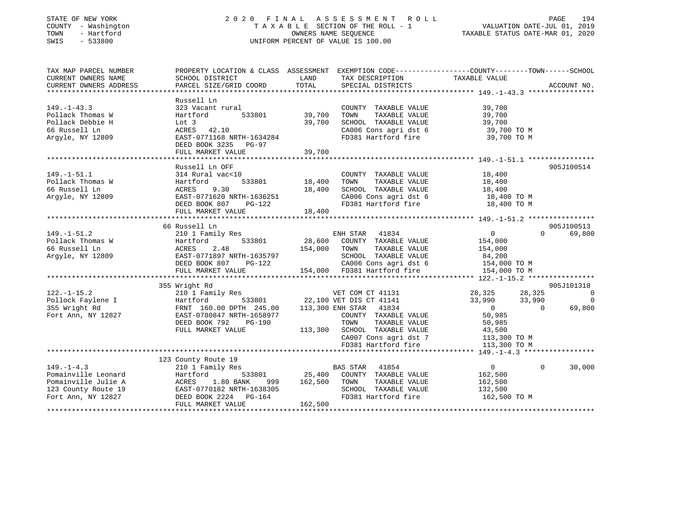### STATE OF NEW YORK 2 0 2 0 F I N A L A S S E S S M E N T R O L L PAGE 194 COUNTY - Washington T A X A B L E SECTION OF THE ROLL - 1 VALUATION DATE-JUL 01, 2019 TOWN - Hartford OWNERS NAME SEQUENCE TAXABLE STATUS DATE-MAR 01, 2020 SWIS - 533800 UNIFORM PERCENT OF VALUE IS 100.00

| TAX MAP PARCEL NUMBER<br>CURRENT OWNERS NAME<br>CURRENT OWNERS ADDRESS                                      | SCHOOL DISTRICT<br>PARCEL SIZE/GRID COORD                                                                                                                             | LAND<br>TOTAL                     | TAX DESCRIPTION<br>SPECIAL DISTRICTS                                                                                                                                                                   | PROPERTY LOCATION & CLASS ASSESSMENT EXEMPTION CODE---------------COUNTY-------TOWN-----SCHOOL<br>TAXABLE VALUE                  | ACCOUNT NO.                          |
|-------------------------------------------------------------------------------------------------------------|-----------------------------------------------------------------------------------------------------------------------------------------------------------------------|-----------------------------------|--------------------------------------------------------------------------------------------------------------------------------------------------------------------------------------------------------|----------------------------------------------------------------------------------------------------------------------------------|--------------------------------------|
| $149. - 1 - 43.3$<br>Pollack Thomas W<br>Pollack Debbie H<br>66 Russell Ln<br>Arqyle, NY 12809              | Russell Ln<br>323 Vacant rural<br>Hartford<br>533801<br>Lot 3<br>ACRES 42.10<br>EAST-0771168 NRTH-1634284<br>DEED BOOK 3235 PG-97                                     | 39,700<br>39,700                  | COUNTY TAXABLE VALUE<br>TAXABLE VALUE<br>TOWN<br>SCHOOL TAXABLE VALUE<br>CA006 Cons agri dst 6<br>FD381 Hartford fire                                                                                  | 39,700<br>39,700<br>39,700<br>39,700 TO M<br>39,700 TO M                                                                         |                                      |
|                                                                                                             | FULL MARKET VALUE                                                                                                                                                     | 39,700                            |                                                                                                                                                                                                        |                                                                                                                                  |                                      |
| $149. - 1 - 51.1$<br>Pollack Thomas W<br>66 Russell Ln<br>Arqyle, NY 12809                                  | Russell Ln OFF<br>314 Rural vac<10<br>Hartford<br>9.30<br>ACRES<br>EAST-0771620 NRTH-1636251<br>DEED BOOK 807<br>PG-122<br>FULL MARKET VALUE                          | 533801 18,400<br>18,400<br>18,400 | COUNTY TAXABLE VALUE<br>TOWN<br>TAXABLE VALUE<br>SCHOOL TAXABLE VALUE<br>CA006 Cons agri dst 6 18,400 TO M<br>FD381 Hartford fire                                                                      | 18,400<br>18,400<br>18,400<br>18,400 TO M                                                                                        | 905J100514                           |
|                                                                                                             | 66 Russell Ln                                                                                                                                                         |                                   |                                                                                                                                                                                                        |                                                                                                                                  | 905J100513                           |
| $149. - 1 - 51.2$<br>Pollack Thomas W<br>66 Russell Ln<br>Argyle, NY 12809                                  | 210 1 Family Res<br>533801<br>Hartford<br>2.48<br>ACRES<br>EAST-0771897 NRTH-1635797<br>DEED BOOK 807<br>PG-122<br>FULL MARKET VALUE                                  | 28,600<br>154,000                 | ENH STAR<br>41834<br>COUNTY TAXABLE VALUE<br>TOWN<br>TAXABLE VALUE<br>SCHOOL TAXABLE VALUE<br>SCHOOD Inductor<br>CA006 Cons agri dst 6<br>TRA01 Hartford fire<br>154,000 FD381 Hartford fire           | $\overline{0}$<br>$\Omega$<br>154,000<br>154,000<br>84,200<br>154,000 TO M<br>154,000 TO M                                       | 69,800                               |
|                                                                                                             | 355 Wright Rd                                                                                                                                                         |                                   |                                                                                                                                                                                                        |                                                                                                                                  | 905J101318                           |
| $122. - 1 - 15.2$<br>Pollock Faylene I<br>355 Wright Rd<br>Fort Ann, NY 12827                               | 210 1 Family Res<br>533801<br>Hartford<br>FRNT 160.00 DPTH 245.00<br>EAST-0780847 NRTH-1658977<br>DEED BOOK 792<br>PG-190<br>FULL MARKET VALUE                        |                                   | VET COM CT 41131<br>22,100 VET DIS CT 41141<br>113,300 ENH STAR 41834<br>COUNTY TAXABLE VALUE<br>TOWN<br>TAXABLE VALUE<br>113,300 SCHOOL TAXABLE VALUE<br>CA007 Cons agri dst 7<br>FD381 Hartford fire | 28,325<br>28,325<br>33,990<br>33,990<br>$\overline{0}$<br>$\Omega$<br>50,985<br>50,985<br>43,500<br>113,300 TO M<br>113,300 TO M | $\overline{0}$<br>$\Omega$<br>69,800 |
|                                                                                                             |                                                                                                                                                                       |                                   |                                                                                                                                                                                                        |                                                                                                                                  |                                      |
| $149. - 1 - 4.3$<br>Pomainville Leonard<br>Pomainville Julie A<br>123 County Route 19<br>Fort Ann, NY 12827 | 123 County Route 19<br>210 1 Family Res<br>Hartford<br>533801<br>ACRES<br>1.80 BANK<br>999<br>EAST-0770182 NRTH-1638305<br>DEED BOOK 2224 PG-164<br>FULL MARKET VALUE | 162,500<br>162,500                | <b>BAS STAR</b><br>41854<br>25,400 COUNTY TAXABLE VALUE<br>TOWN<br>TAXABLE VALUE<br>SCHOOL TAXABLE VALUE<br>FD381 Hartford fire                                                                        | $\overline{0}$<br>$\mathbf{0}$<br>162,500<br>162,500<br>132,500<br>162,500 TO M                                                  | 30,000                               |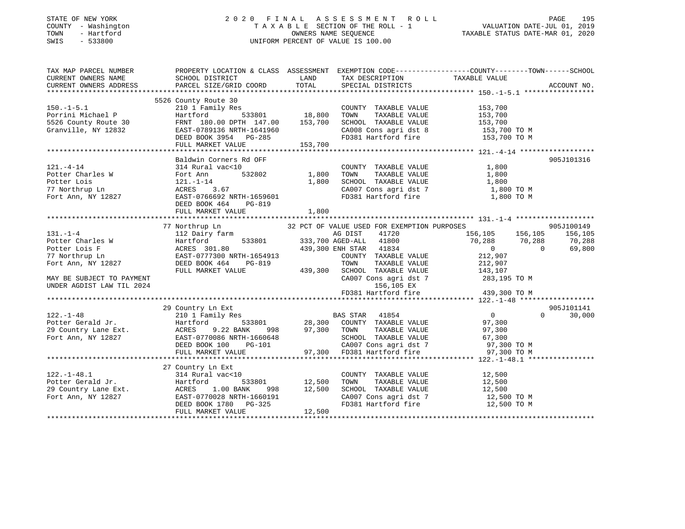### STATE OF NEW YORK 2 0 2 0 F I N A L A S S E S S M E N T R O L L PAGE 195 COUNTY - Washington T A X A B L E SECTION OF THE ROLL - 1 VALUATION DATE-JUL 01, 2019 TOWN - Hartford OWNERS NAME SEQUENCE TAXABLE STATUS DATE-MAR 01, 2020 SWIS - 533800 UNIFORM PERCENT OF VALUE IS 100.00

| TAX MAP PARCEL NUMBER     |                                                                                                                                                                                                                                  |                                           |                                                       | PROPERTY LOCATION & CLASS ASSESSMENT EXEMPTION CODE-----------------COUNTY-------TOWN------SCHOOL                                                                                                   |                    |
|---------------------------|----------------------------------------------------------------------------------------------------------------------------------------------------------------------------------------------------------------------------------|-------------------------------------------|-------------------------------------------------------|-----------------------------------------------------------------------------------------------------------------------------------------------------------------------------------------------------|--------------------|
| CURRENT OWNERS NAME       | SCHOOL DISTRICT                                                                                                                                                                                                                  | <b>EXAMPLE TO A LAND THE SECOND STATE</b> | TAX DESCRIPTION TAXABLE VALUE SPECIAL DISTRICTS       |                                                                                                                                                                                                     |                    |
| CURRENT OWNERS ADDRESS    | PARCEL SIZE/GRID COORD                                                                                                                                                                                                           | TOTAL                                     |                                                       |                                                                                                                                                                                                     | ACCOUNT NO.        |
|                           |                                                                                                                                                                                                                                  |                                           |                                                       |                                                                                                                                                                                                     |                    |
|                           | 5526 County Route 30                                                                                                                                                                                                             |                                           |                                                       |                                                                                                                                                                                                     |                    |
| $150.-1-5.1$              | 210 1 Family Res                                                                                                                                                                                                                 |                                           | COUNTY TAXABLE VALUE                                  | 153,700<br>153,700                                                                                                                                                                                  |                    |
| Porrini Michael P         | Hartford                                                                                                                                                                                                                         |                                           | TOWN<br>TAXABLE VALUE                                 |                                                                                                                                                                                                     |                    |
|                           |                                                                                                                                                                                                                                  |                                           |                                                       |                                                                                                                                                                                                     |                    |
|                           |                                                                                                                                                                                                                                  |                                           |                                                       |                                                                                                                                                                                                     |                    |
|                           |                                                                                                                                                                                                                                  |                                           |                                                       | CONN TAXABLE VALUE<br>SCHOOL TAXABLE VALUE 153,700<br>CA008 Cons agri dst 8 153,700 TO M<br>FD381 Hartford fire 153,700 TO M                                                                        |                    |
|                           |                                                                                                                                                                                                                                  |                                           |                                                       |                                                                                                                                                                                                     |                    |
|                           | 193,700 EXT 180.00 DPTH 147.00 153,700 SCHOOL TAXABLE VALUE 153,700 153,700 1536 County Route 30 EAST-0789136 NRTH-1641960 CA008 Cons agri dst 8 153,700 TO M<br>DEED BOOK 3954 PG-285 FD381 Hartford fire 153,700 TO M FULL MAR |                                           |                                                       |                                                                                                                                                                                                     |                    |
|                           | Baldwin Corners Rd OFF                                                                                                                                                                                                           |                                           |                                                       |                                                                                                                                                                                                     | 905J101316         |
| $121. - 4 - 14$           | 314 Rural vac<10                                                                                                                                                                                                                 |                                           | COUNTY TAXABLE VALUE                                  | 1,800                                                                                                                                                                                               |                    |
|                           |                                                                                                                                                                                                                                  | 532802 1,800                              |                                                       | 1,800                                                                                                                                                                                               |                    |
|                           |                                                                                                                                                                                                                                  | 1,800                                     | TOWN       TAXABLE  VALUE<br>SCHOOL    TAXABLE  VALUE | 1,800                                                                                                                                                                                               |                    |
|                           |                                                                                                                                                                                                                                  |                                           |                                                       | CA007 Cons agri dst 7 1,800 TO M                                                                                                                                                                    |                    |
|                           | Potter Charles W Fort Ann 532802 1,800<br>Potter Lois 121.-1-14 1,800<br>77 Northrup Ln ACRES 3.67<br>Fort Ann, NY 12827 EAST-0766692 NRTH-1659601                                                                               |                                           | FD381 Hartford fire                                   | 1,800 TO M                                                                                                                                                                                          |                    |
|                           | DEED BOOK 464 PG-819                                                                                                                                                                                                             |                                           |                                                       |                                                                                                                                                                                                     |                    |
|                           |                                                                                                                                                                                                                                  |                                           |                                                       |                                                                                                                                                                                                     |                    |
|                           |                                                                                                                                                                                                                                  |                                           |                                                       |                                                                                                                                                                                                     |                    |
|                           |                                                                                                                                                                                                                                  |                                           |                                                       |                                                                                                                                                                                                     |                    |
|                           | 77 Northrup Ln                                                                                                                                                                                                                   |                                           |                                                       | 32 PCT OF VALUE USED FOR EXEMPTION PURPOSES $A G DIST$ 41720 156,105 156,105 156,105                                                                                                                | 905J100149         |
| $131. - 1 - 4$            | 112 Dairy farm                                                                                                                                                                                                                   |                                           |                                                       |                                                                                                                                                                                                     | 156,105            |
|                           |                                                                                                                                                                                                                                  |                                           |                                                       | 11<br>533801 333,700 AGED-ALL 41800 70,288 70,288<br>80 439,300 ENH STAR 41834 0                                                                                                                    | 70,288             |
|                           |                                                                                                                                                                                                                                  |                                           |                                                       |                                                                                                                                                                                                     | 69,800             |
|                           |                                                                                                                                                                                                                                  |                                           | COUNTY TAXABLE VALUE 212,907                          |                                                                                                                                                                                                     |                    |
|                           |                                                                                                                                                                                                                                  |                                           | TAXABLE VALUE<br>TOWN                                 | 212,907                                                                                                                                                                                             |                    |
|                           | FULL MARKET VALUE                                                                                                                                                                                                                |                                           | 439,300 SCHOOL TAXABLE VALUE 143,107                  |                                                                                                                                                                                                     |                    |
| MAY BE SUBJECT TO PAYMENT |                                                                                                                                                                                                                                  |                                           |                                                       | CA007 Cons agri dst 7 283,195 TO M                                                                                                                                                                  |                    |
| UNDER AGDIST LAW TIL 2024 |                                                                                                                                                                                                                                  |                                           | 156,105 EX                                            |                                                                                                                                                                                                     |                    |
|                           |                                                                                                                                                                                                                                  |                                           |                                                       | FD381 Hartford fire $439,300$ TO M                                                                                                                                                                  |                    |
|                           |                                                                                                                                                                                                                                  |                                           |                                                       |                                                                                                                                                                                                     |                    |
|                           | 29 Country Ln Ext                                                                                                                                                                                                                |                                           |                                                       |                                                                                                                                                                                                     | 905J101141         |
| $122. - 1 - 48$           | 210 1 Family Res                                                                                                                                                                                                                 |                                           | BAS STAR 41854                                        | $\overline{0}$                                                                                                                                                                                      | $\Omega$<br>30,000 |
|                           |                                                                                                                                                                                                                                  |                                           |                                                       |                                                                                                                                                                                                     |                    |
|                           |                                                                                                                                                                                                                                  |                                           |                                                       |                                                                                                                                                                                                     |                    |
|                           |                                                                                                                                                                                                                                  |                                           |                                                       |                                                                                                                                                                                                     |                    |
|                           |                                                                                                                                                                                                                                  |                                           |                                                       |                                                                                                                                                                                                     |                    |
|                           |                                                                                                                                                                                                                                  |                                           |                                                       |                                                                                                                                                                                                     |                    |
|                           |                                                                                                                                                                                                                                  |                                           |                                                       |                                                                                                                                                                                                     |                    |
|                           |                                                                                                                                                                                                                                  |                                           |                                                       |                                                                                                                                                                                                     |                    |
|                           | 27 Country Ln Ext                                                                                                                                                                                                                |                                           |                                                       |                                                                                                                                                                                                     |                    |
| $122. - 1 - 48.1$         | 314 Rural vac<10                                                                                                                                                                                                                 |                                           | COUNTY TAXABLE VALUE                                  | 12,500                                                                                                                                                                                              |                    |
|                           |                                                                                                                                                                                                                                  | 533801 12,500<br>ANK 998 12,500           |                                                       | 12,500                                                                                                                                                                                              |                    |
|                           | 1.00 BANK                                                                                                                                                                                                                        |                                           | TOWN      TAXABLE  VALUE<br>SCHOOL   TAXABLE  VALUE   | 12,500<br>12,500                                                                                                                                                                                    |                    |
|                           | EAST-0770028 NRTH-1660191                                                                                                                                                                                                        |                                           |                                                       |                                                                                                                                                                                                     |                    |
|                           | DEED BOOK 1780 PG-325                                                                                                                                                                                                            |                                           |                                                       | $\begin{array}{lll} \texttt{CA007} \texttt{ Cons} & \texttt{agri} \texttt{dst} & 7 & 12,500 \texttt{ TO M} \\ \texttt{FD381} & \texttt{Hartford} \texttt{fire} & 12,500 \texttt{ TO M} \end{array}$ |                    |
|                           | FULL MARKET VALUE                                                                                                                                                                                                                | 12,500                                    |                                                       |                                                                                                                                                                                                     |                    |
|                           |                                                                                                                                                                                                                                  |                                           |                                                       |                                                                                                                                                                                                     |                    |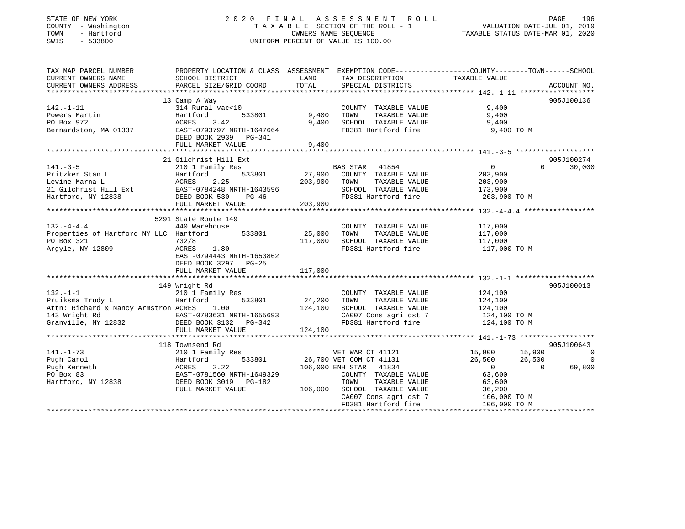### STATE OF NEW YORK 2 0 2 0 F I N A L A S S E S S M E N T R O L L PAGE 196 COUNTY - Washington T A X A B L E SECTION OF THE ROLL - 1 VALUATION DATE-JUL 01, 2019 TOWN - Hartford OWNERS NAME SEQUENCE TAXABLE STATUS DATE-MAR 01, 2020 SWIS - 533800 UNIFORM PERCENT OF VALUE IS 100.00UNIFORM PERCENT OF VALUE IS 100.00

| TAXABLE VALUE<br>CURRENT OWNERS NAME<br>SCHOOL DISTRICT<br><b>LAND</b><br>TAX DESCRIPTION<br>PARCEL SIZE/GRID COORD<br>TOTAL<br>CURRENT OWNERS ADDRESS<br>SPECIAL DISTRICTS<br>ACCOUNT NO.<br>13 Camp A Way<br>905J100136<br>314 Rural vac<10<br>9,400<br>$142. - 1 - 11$<br>COUNTY TAXABLE VALUE<br>533801<br>9,400 TOWN<br>9,400<br>Powers Martin<br>Hartford<br>TAXABLE VALUE<br>ACRES 3.42<br>9,400 SCHOOL TAXABLE VALUE<br>PO Box 972<br>9,400<br>ACRES 3.42<br>EAST-0793797 NRTH-1647664<br>Bernardston, MA 01337<br>9,400 TO M<br>FD381 Hartford fire<br>DEED BOOK 2939 PG-341<br>FULL MARKET VALUE<br>9,400<br>21 Gilchrist Hill Ext<br>905J100274<br><b>BAS STAR 41854</b><br>$141. - 3 - 5$<br>$\overline{0}$<br>30,000<br>210 1 Family Res<br>$\Omega$<br>Pritzker Stan L<br>Levine Marna L<br>21 Gilchrist Hill Ext<br>21 Gilchrist Hill Ext<br>21 Gilchrist Hill Ext<br>225<br>225<br>225<br>226<br>226<br>225<br>533801 27,900 COUNTY TAXABLE VALUE 203,900<br>TAXABLE VALUE<br>203,900 TOWN<br>203,900<br>SCHOOL TAXABLE VALUE 173,900<br>FD381 Hartford fire 203,900 TO M<br>Hartford, NY 12838<br>DEED BOOK 530<br>$PG-46$<br>FULL MARKET VALUE<br>203,900<br>5291 State Route 149<br>440 Warehouse<br>$132 - 4 - 4.4$<br>COUNTY TAXABLE VALUE 117,000<br>Properties of Hartford NY LLC Hartford 533801 25,000<br>TOWN<br>TAXABLE VALUE<br>117,000<br>117,000 SCHOOL TAXABLE VALUE<br>PO Box 321<br>732/8<br>117,000<br>FD381 Hartford fire<br>117,000 TO M<br>Argyle, NY 12809<br>ACRES<br>1.80<br>EAST-0794443 NRTH-1653862<br>DEED BOOK 3297 PG-25<br>117,000<br>FULL MARKET VALUE<br>905J100013<br>149 Wright Rd<br>210 1 Family Res<br>$132. -1 - 1$<br>124,100<br>COUNTY TAXABLE VALUE<br>Ero I Pam<br>Hartford<br>533801 24,200 TOWN<br>Pruiksma Trudy L<br>TAXABLE VALUE<br>124,100<br>Attn: Richard & Nancy Armstron ACRES 1.00 143 Wright Rd<br>124,100 EAST-0783631 NRTH-1655693 3<br>Granville, NY 12832 DEED BOOK 3132 PG-342<br>SCHOOL TAXABLE VALUE 124,100<br>CA007 Cons agri dst 7<br>Theod Hartford fire<br>124,100 TO M<br>124,100 TO M<br>FD381 Hartford fire<br>FULL MARKET VALUE<br>124,100<br>118 Townsend Rd<br>905J100643<br>VET WAR CT 41121<br>533801 26,700 VET COM CT 41131<br>$\overline{0}$<br>$141. - 1 - 73$<br>15,900 15,900<br>26,500 26,500<br>210 1 Family Res<br>Pugh Carol<br>26,500<br>$\overline{0}$<br>Hartford<br>2.22<br>69,800<br>Pugh Kenneth<br>106,000 ENH STAR 41834<br>$\overline{0}$<br>$\overline{0}$<br>ACRES<br>PO Box 83<br>EAST-0781560 NRTH-1649329<br>63,600<br>COUNTY TAXABLE VALUE<br>DEED BOOK 3019 PG-182<br>TOWN<br>TAXABLE VALUE<br>Hartford, NY 12838<br>63,600<br>SCHOOL TAXABLE VALUE<br>36,200<br>FULL MARKET VALUE<br>106,000<br>CA007 Cons agri dst 7<br>106,000 TO M<br>FD381 Hartford fire<br>106,000 TO M | TAX MAP PARCEL NUMBER | PROPERTY LOCATION & CLASS ASSESSMENT EXEMPTION CODE-----------------COUNTY--------TOWN------SCHOOL |  |  |
|-----------------------------------------------------------------------------------------------------------------------------------------------------------------------------------------------------------------------------------------------------------------------------------------------------------------------------------------------------------------------------------------------------------------------------------------------------------------------------------------------------------------------------------------------------------------------------------------------------------------------------------------------------------------------------------------------------------------------------------------------------------------------------------------------------------------------------------------------------------------------------------------------------------------------------------------------------------------------------------------------------------------------------------------------------------------------------------------------------------------------------------------------------------------------------------------------------------------------------------------------------------------------------------------------------------------------------------------------------------------------------------------------------------------------------------------------------------------------------------------------------------------------------------------------------------------------------------------------------------------------------------------------------------------------------------------------------------------------------------------------------------------------------------------------------------------------------------------------------------------------------------------------------------------------------------------------------------------------------------------------------------------------------------------------------------------------------------------------------------------------------------------------------------------------------------------------------------------------------------------------------------------------------------------------------------------------------------------------------------------------------------------------------------------------------------------------------------------------------------------------------------------------------------------------------------------------------------------------------------------------------------------------------------------------------------------------------------------------------------------------------------------------------------------------------|-----------------------|----------------------------------------------------------------------------------------------------|--|--|
|                                                                                                                                                                                                                                                                                                                                                                                                                                                                                                                                                                                                                                                                                                                                                                                                                                                                                                                                                                                                                                                                                                                                                                                                                                                                                                                                                                                                                                                                                                                                                                                                                                                                                                                                                                                                                                                                                                                                                                                                                                                                                                                                                                                                                                                                                                                                                                                                                                                                                                                                                                                                                                                                                                                                                                                                     |                       |                                                                                                    |  |  |
|                                                                                                                                                                                                                                                                                                                                                                                                                                                                                                                                                                                                                                                                                                                                                                                                                                                                                                                                                                                                                                                                                                                                                                                                                                                                                                                                                                                                                                                                                                                                                                                                                                                                                                                                                                                                                                                                                                                                                                                                                                                                                                                                                                                                                                                                                                                                                                                                                                                                                                                                                                                                                                                                                                                                                                                                     |                       |                                                                                                    |  |  |
|                                                                                                                                                                                                                                                                                                                                                                                                                                                                                                                                                                                                                                                                                                                                                                                                                                                                                                                                                                                                                                                                                                                                                                                                                                                                                                                                                                                                                                                                                                                                                                                                                                                                                                                                                                                                                                                                                                                                                                                                                                                                                                                                                                                                                                                                                                                                                                                                                                                                                                                                                                                                                                                                                                                                                                                                     |                       |                                                                                                    |  |  |
|                                                                                                                                                                                                                                                                                                                                                                                                                                                                                                                                                                                                                                                                                                                                                                                                                                                                                                                                                                                                                                                                                                                                                                                                                                                                                                                                                                                                                                                                                                                                                                                                                                                                                                                                                                                                                                                                                                                                                                                                                                                                                                                                                                                                                                                                                                                                                                                                                                                                                                                                                                                                                                                                                                                                                                                                     |                       |                                                                                                    |  |  |
|                                                                                                                                                                                                                                                                                                                                                                                                                                                                                                                                                                                                                                                                                                                                                                                                                                                                                                                                                                                                                                                                                                                                                                                                                                                                                                                                                                                                                                                                                                                                                                                                                                                                                                                                                                                                                                                                                                                                                                                                                                                                                                                                                                                                                                                                                                                                                                                                                                                                                                                                                                                                                                                                                                                                                                                                     |                       |                                                                                                    |  |  |
|                                                                                                                                                                                                                                                                                                                                                                                                                                                                                                                                                                                                                                                                                                                                                                                                                                                                                                                                                                                                                                                                                                                                                                                                                                                                                                                                                                                                                                                                                                                                                                                                                                                                                                                                                                                                                                                                                                                                                                                                                                                                                                                                                                                                                                                                                                                                                                                                                                                                                                                                                                                                                                                                                                                                                                                                     |                       |                                                                                                    |  |  |
|                                                                                                                                                                                                                                                                                                                                                                                                                                                                                                                                                                                                                                                                                                                                                                                                                                                                                                                                                                                                                                                                                                                                                                                                                                                                                                                                                                                                                                                                                                                                                                                                                                                                                                                                                                                                                                                                                                                                                                                                                                                                                                                                                                                                                                                                                                                                                                                                                                                                                                                                                                                                                                                                                                                                                                                                     |                       |                                                                                                    |  |  |
|                                                                                                                                                                                                                                                                                                                                                                                                                                                                                                                                                                                                                                                                                                                                                                                                                                                                                                                                                                                                                                                                                                                                                                                                                                                                                                                                                                                                                                                                                                                                                                                                                                                                                                                                                                                                                                                                                                                                                                                                                                                                                                                                                                                                                                                                                                                                                                                                                                                                                                                                                                                                                                                                                                                                                                                                     |                       |                                                                                                    |  |  |
|                                                                                                                                                                                                                                                                                                                                                                                                                                                                                                                                                                                                                                                                                                                                                                                                                                                                                                                                                                                                                                                                                                                                                                                                                                                                                                                                                                                                                                                                                                                                                                                                                                                                                                                                                                                                                                                                                                                                                                                                                                                                                                                                                                                                                                                                                                                                                                                                                                                                                                                                                                                                                                                                                                                                                                                                     |                       |                                                                                                    |  |  |
|                                                                                                                                                                                                                                                                                                                                                                                                                                                                                                                                                                                                                                                                                                                                                                                                                                                                                                                                                                                                                                                                                                                                                                                                                                                                                                                                                                                                                                                                                                                                                                                                                                                                                                                                                                                                                                                                                                                                                                                                                                                                                                                                                                                                                                                                                                                                                                                                                                                                                                                                                                                                                                                                                                                                                                                                     |                       |                                                                                                    |  |  |
|                                                                                                                                                                                                                                                                                                                                                                                                                                                                                                                                                                                                                                                                                                                                                                                                                                                                                                                                                                                                                                                                                                                                                                                                                                                                                                                                                                                                                                                                                                                                                                                                                                                                                                                                                                                                                                                                                                                                                                                                                                                                                                                                                                                                                                                                                                                                                                                                                                                                                                                                                                                                                                                                                                                                                                                                     |                       |                                                                                                    |  |  |
|                                                                                                                                                                                                                                                                                                                                                                                                                                                                                                                                                                                                                                                                                                                                                                                                                                                                                                                                                                                                                                                                                                                                                                                                                                                                                                                                                                                                                                                                                                                                                                                                                                                                                                                                                                                                                                                                                                                                                                                                                                                                                                                                                                                                                                                                                                                                                                                                                                                                                                                                                                                                                                                                                                                                                                                                     |                       |                                                                                                    |  |  |
|                                                                                                                                                                                                                                                                                                                                                                                                                                                                                                                                                                                                                                                                                                                                                                                                                                                                                                                                                                                                                                                                                                                                                                                                                                                                                                                                                                                                                                                                                                                                                                                                                                                                                                                                                                                                                                                                                                                                                                                                                                                                                                                                                                                                                                                                                                                                                                                                                                                                                                                                                                                                                                                                                                                                                                                                     |                       |                                                                                                    |  |  |
|                                                                                                                                                                                                                                                                                                                                                                                                                                                                                                                                                                                                                                                                                                                                                                                                                                                                                                                                                                                                                                                                                                                                                                                                                                                                                                                                                                                                                                                                                                                                                                                                                                                                                                                                                                                                                                                                                                                                                                                                                                                                                                                                                                                                                                                                                                                                                                                                                                                                                                                                                                                                                                                                                                                                                                                                     |                       |                                                                                                    |  |  |
|                                                                                                                                                                                                                                                                                                                                                                                                                                                                                                                                                                                                                                                                                                                                                                                                                                                                                                                                                                                                                                                                                                                                                                                                                                                                                                                                                                                                                                                                                                                                                                                                                                                                                                                                                                                                                                                                                                                                                                                                                                                                                                                                                                                                                                                                                                                                                                                                                                                                                                                                                                                                                                                                                                                                                                                                     |                       |                                                                                                    |  |  |
|                                                                                                                                                                                                                                                                                                                                                                                                                                                                                                                                                                                                                                                                                                                                                                                                                                                                                                                                                                                                                                                                                                                                                                                                                                                                                                                                                                                                                                                                                                                                                                                                                                                                                                                                                                                                                                                                                                                                                                                                                                                                                                                                                                                                                                                                                                                                                                                                                                                                                                                                                                                                                                                                                                                                                                                                     |                       |                                                                                                    |  |  |
|                                                                                                                                                                                                                                                                                                                                                                                                                                                                                                                                                                                                                                                                                                                                                                                                                                                                                                                                                                                                                                                                                                                                                                                                                                                                                                                                                                                                                                                                                                                                                                                                                                                                                                                                                                                                                                                                                                                                                                                                                                                                                                                                                                                                                                                                                                                                                                                                                                                                                                                                                                                                                                                                                                                                                                                                     |                       |                                                                                                    |  |  |
|                                                                                                                                                                                                                                                                                                                                                                                                                                                                                                                                                                                                                                                                                                                                                                                                                                                                                                                                                                                                                                                                                                                                                                                                                                                                                                                                                                                                                                                                                                                                                                                                                                                                                                                                                                                                                                                                                                                                                                                                                                                                                                                                                                                                                                                                                                                                                                                                                                                                                                                                                                                                                                                                                                                                                                                                     |                       |                                                                                                    |  |  |
|                                                                                                                                                                                                                                                                                                                                                                                                                                                                                                                                                                                                                                                                                                                                                                                                                                                                                                                                                                                                                                                                                                                                                                                                                                                                                                                                                                                                                                                                                                                                                                                                                                                                                                                                                                                                                                                                                                                                                                                                                                                                                                                                                                                                                                                                                                                                                                                                                                                                                                                                                                                                                                                                                                                                                                                                     |                       |                                                                                                    |  |  |
|                                                                                                                                                                                                                                                                                                                                                                                                                                                                                                                                                                                                                                                                                                                                                                                                                                                                                                                                                                                                                                                                                                                                                                                                                                                                                                                                                                                                                                                                                                                                                                                                                                                                                                                                                                                                                                                                                                                                                                                                                                                                                                                                                                                                                                                                                                                                                                                                                                                                                                                                                                                                                                                                                                                                                                                                     |                       |                                                                                                    |  |  |
|                                                                                                                                                                                                                                                                                                                                                                                                                                                                                                                                                                                                                                                                                                                                                                                                                                                                                                                                                                                                                                                                                                                                                                                                                                                                                                                                                                                                                                                                                                                                                                                                                                                                                                                                                                                                                                                                                                                                                                                                                                                                                                                                                                                                                                                                                                                                                                                                                                                                                                                                                                                                                                                                                                                                                                                                     |                       |                                                                                                    |  |  |
|                                                                                                                                                                                                                                                                                                                                                                                                                                                                                                                                                                                                                                                                                                                                                                                                                                                                                                                                                                                                                                                                                                                                                                                                                                                                                                                                                                                                                                                                                                                                                                                                                                                                                                                                                                                                                                                                                                                                                                                                                                                                                                                                                                                                                                                                                                                                                                                                                                                                                                                                                                                                                                                                                                                                                                                                     |                       |                                                                                                    |  |  |
|                                                                                                                                                                                                                                                                                                                                                                                                                                                                                                                                                                                                                                                                                                                                                                                                                                                                                                                                                                                                                                                                                                                                                                                                                                                                                                                                                                                                                                                                                                                                                                                                                                                                                                                                                                                                                                                                                                                                                                                                                                                                                                                                                                                                                                                                                                                                                                                                                                                                                                                                                                                                                                                                                                                                                                                                     |                       |                                                                                                    |  |  |
|                                                                                                                                                                                                                                                                                                                                                                                                                                                                                                                                                                                                                                                                                                                                                                                                                                                                                                                                                                                                                                                                                                                                                                                                                                                                                                                                                                                                                                                                                                                                                                                                                                                                                                                                                                                                                                                                                                                                                                                                                                                                                                                                                                                                                                                                                                                                                                                                                                                                                                                                                                                                                                                                                                                                                                                                     |                       |                                                                                                    |  |  |
|                                                                                                                                                                                                                                                                                                                                                                                                                                                                                                                                                                                                                                                                                                                                                                                                                                                                                                                                                                                                                                                                                                                                                                                                                                                                                                                                                                                                                                                                                                                                                                                                                                                                                                                                                                                                                                                                                                                                                                                                                                                                                                                                                                                                                                                                                                                                                                                                                                                                                                                                                                                                                                                                                                                                                                                                     |                       |                                                                                                    |  |  |
|                                                                                                                                                                                                                                                                                                                                                                                                                                                                                                                                                                                                                                                                                                                                                                                                                                                                                                                                                                                                                                                                                                                                                                                                                                                                                                                                                                                                                                                                                                                                                                                                                                                                                                                                                                                                                                                                                                                                                                                                                                                                                                                                                                                                                                                                                                                                                                                                                                                                                                                                                                                                                                                                                                                                                                                                     |                       |                                                                                                    |  |  |
|                                                                                                                                                                                                                                                                                                                                                                                                                                                                                                                                                                                                                                                                                                                                                                                                                                                                                                                                                                                                                                                                                                                                                                                                                                                                                                                                                                                                                                                                                                                                                                                                                                                                                                                                                                                                                                                                                                                                                                                                                                                                                                                                                                                                                                                                                                                                                                                                                                                                                                                                                                                                                                                                                                                                                                                                     |                       |                                                                                                    |  |  |
|                                                                                                                                                                                                                                                                                                                                                                                                                                                                                                                                                                                                                                                                                                                                                                                                                                                                                                                                                                                                                                                                                                                                                                                                                                                                                                                                                                                                                                                                                                                                                                                                                                                                                                                                                                                                                                                                                                                                                                                                                                                                                                                                                                                                                                                                                                                                                                                                                                                                                                                                                                                                                                                                                                                                                                                                     |                       |                                                                                                    |  |  |
|                                                                                                                                                                                                                                                                                                                                                                                                                                                                                                                                                                                                                                                                                                                                                                                                                                                                                                                                                                                                                                                                                                                                                                                                                                                                                                                                                                                                                                                                                                                                                                                                                                                                                                                                                                                                                                                                                                                                                                                                                                                                                                                                                                                                                                                                                                                                                                                                                                                                                                                                                                                                                                                                                                                                                                                                     |                       |                                                                                                    |  |  |
|                                                                                                                                                                                                                                                                                                                                                                                                                                                                                                                                                                                                                                                                                                                                                                                                                                                                                                                                                                                                                                                                                                                                                                                                                                                                                                                                                                                                                                                                                                                                                                                                                                                                                                                                                                                                                                                                                                                                                                                                                                                                                                                                                                                                                                                                                                                                                                                                                                                                                                                                                                                                                                                                                                                                                                                                     |                       |                                                                                                    |  |  |
|                                                                                                                                                                                                                                                                                                                                                                                                                                                                                                                                                                                                                                                                                                                                                                                                                                                                                                                                                                                                                                                                                                                                                                                                                                                                                                                                                                                                                                                                                                                                                                                                                                                                                                                                                                                                                                                                                                                                                                                                                                                                                                                                                                                                                                                                                                                                                                                                                                                                                                                                                                                                                                                                                                                                                                                                     |                       |                                                                                                    |  |  |
|                                                                                                                                                                                                                                                                                                                                                                                                                                                                                                                                                                                                                                                                                                                                                                                                                                                                                                                                                                                                                                                                                                                                                                                                                                                                                                                                                                                                                                                                                                                                                                                                                                                                                                                                                                                                                                                                                                                                                                                                                                                                                                                                                                                                                                                                                                                                                                                                                                                                                                                                                                                                                                                                                                                                                                                                     |                       |                                                                                                    |  |  |
|                                                                                                                                                                                                                                                                                                                                                                                                                                                                                                                                                                                                                                                                                                                                                                                                                                                                                                                                                                                                                                                                                                                                                                                                                                                                                                                                                                                                                                                                                                                                                                                                                                                                                                                                                                                                                                                                                                                                                                                                                                                                                                                                                                                                                                                                                                                                                                                                                                                                                                                                                                                                                                                                                                                                                                                                     |                       |                                                                                                    |  |  |
|                                                                                                                                                                                                                                                                                                                                                                                                                                                                                                                                                                                                                                                                                                                                                                                                                                                                                                                                                                                                                                                                                                                                                                                                                                                                                                                                                                                                                                                                                                                                                                                                                                                                                                                                                                                                                                                                                                                                                                                                                                                                                                                                                                                                                                                                                                                                                                                                                                                                                                                                                                                                                                                                                                                                                                                                     |                       |                                                                                                    |  |  |
|                                                                                                                                                                                                                                                                                                                                                                                                                                                                                                                                                                                                                                                                                                                                                                                                                                                                                                                                                                                                                                                                                                                                                                                                                                                                                                                                                                                                                                                                                                                                                                                                                                                                                                                                                                                                                                                                                                                                                                                                                                                                                                                                                                                                                                                                                                                                                                                                                                                                                                                                                                                                                                                                                                                                                                                                     |                       |                                                                                                    |  |  |
|                                                                                                                                                                                                                                                                                                                                                                                                                                                                                                                                                                                                                                                                                                                                                                                                                                                                                                                                                                                                                                                                                                                                                                                                                                                                                                                                                                                                                                                                                                                                                                                                                                                                                                                                                                                                                                                                                                                                                                                                                                                                                                                                                                                                                                                                                                                                                                                                                                                                                                                                                                                                                                                                                                                                                                                                     |                       |                                                                                                    |  |  |
|                                                                                                                                                                                                                                                                                                                                                                                                                                                                                                                                                                                                                                                                                                                                                                                                                                                                                                                                                                                                                                                                                                                                                                                                                                                                                                                                                                                                                                                                                                                                                                                                                                                                                                                                                                                                                                                                                                                                                                                                                                                                                                                                                                                                                                                                                                                                                                                                                                                                                                                                                                                                                                                                                                                                                                                                     |                       |                                                                                                    |  |  |
|                                                                                                                                                                                                                                                                                                                                                                                                                                                                                                                                                                                                                                                                                                                                                                                                                                                                                                                                                                                                                                                                                                                                                                                                                                                                                                                                                                                                                                                                                                                                                                                                                                                                                                                                                                                                                                                                                                                                                                                                                                                                                                                                                                                                                                                                                                                                                                                                                                                                                                                                                                                                                                                                                                                                                                                                     |                       |                                                                                                    |  |  |
|                                                                                                                                                                                                                                                                                                                                                                                                                                                                                                                                                                                                                                                                                                                                                                                                                                                                                                                                                                                                                                                                                                                                                                                                                                                                                                                                                                                                                                                                                                                                                                                                                                                                                                                                                                                                                                                                                                                                                                                                                                                                                                                                                                                                                                                                                                                                                                                                                                                                                                                                                                                                                                                                                                                                                                                                     |                       |                                                                                                    |  |  |
|                                                                                                                                                                                                                                                                                                                                                                                                                                                                                                                                                                                                                                                                                                                                                                                                                                                                                                                                                                                                                                                                                                                                                                                                                                                                                                                                                                                                                                                                                                                                                                                                                                                                                                                                                                                                                                                                                                                                                                                                                                                                                                                                                                                                                                                                                                                                                                                                                                                                                                                                                                                                                                                                                                                                                                                                     |                       |                                                                                                    |  |  |
|                                                                                                                                                                                                                                                                                                                                                                                                                                                                                                                                                                                                                                                                                                                                                                                                                                                                                                                                                                                                                                                                                                                                                                                                                                                                                                                                                                                                                                                                                                                                                                                                                                                                                                                                                                                                                                                                                                                                                                                                                                                                                                                                                                                                                                                                                                                                                                                                                                                                                                                                                                                                                                                                                                                                                                                                     |                       |                                                                                                    |  |  |
|                                                                                                                                                                                                                                                                                                                                                                                                                                                                                                                                                                                                                                                                                                                                                                                                                                                                                                                                                                                                                                                                                                                                                                                                                                                                                                                                                                                                                                                                                                                                                                                                                                                                                                                                                                                                                                                                                                                                                                                                                                                                                                                                                                                                                                                                                                                                                                                                                                                                                                                                                                                                                                                                                                                                                                                                     |                       |                                                                                                    |  |  |
|                                                                                                                                                                                                                                                                                                                                                                                                                                                                                                                                                                                                                                                                                                                                                                                                                                                                                                                                                                                                                                                                                                                                                                                                                                                                                                                                                                                                                                                                                                                                                                                                                                                                                                                                                                                                                                                                                                                                                                                                                                                                                                                                                                                                                                                                                                                                                                                                                                                                                                                                                                                                                                                                                                                                                                                                     |                       |                                                                                                    |  |  |
|                                                                                                                                                                                                                                                                                                                                                                                                                                                                                                                                                                                                                                                                                                                                                                                                                                                                                                                                                                                                                                                                                                                                                                                                                                                                                                                                                                                                                                                                                                                                                                                                                                                                                                                                                                                                                                                                                                                                                                                                                                                                                                                                                                                                                                                                                                                                                                                                                                                                                                                                                                                                                                                                                                                                                                                                     |                       |                                                                                                    |  |  |
|                                                                                                                                                                                                                                                                                                                                                                                                                                                                                                                                                                                                                                                                                                                                                                                                                                                                                                                                                                                                                                                                                                                                                                                                                                                                                                                                                                                                                                                                                                                                                                                                                                                                                                                                                                                                                                                                                                                                                                                                                                                                                                                                                                                                                                                                                                                                                                                                                                                                                                                                                                                                                                                                                                                                                                                                     |                       |                                                                                                    |  |  |
|                                                                                                                                                                                                                                                                                                                                                                                                                                                                                                                                                                                                                                                                                                                                                                                                                                                                                                                                                                                                                                                                                                                                                                                                                                                                                                                                                                                                                                                                                                                                                                                                                                                                                                                                                                                                                                                                                                                                                                                                                                                                                                                                                                                                                                                                                                                                                                                                                                                                                                                                                                                                                                                                                                                                                                                                     |                       |                                                                                                    |  |  |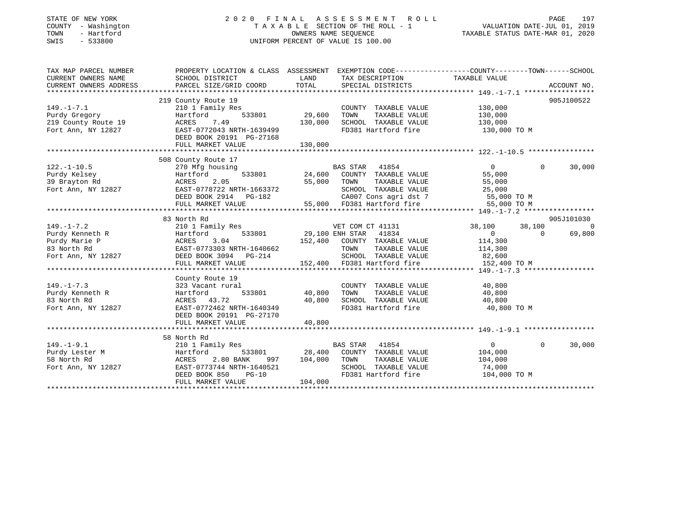### STATE OF NEW YORK 2 0 2 0 F I N A L A S S E S S M E N T R O L L PAGE 197 COUNTY - Washington T A X A B L E SECTION OF THE ROLL - 1 VALUATION DATE-JUL 01, 2019 TOWN - Hartford OWNERS NAME SEQUENCE TAXABLE STATUS DATE-MAR 01, 2020 SWIS - 533800 UNIFORM PERCENT OF VALUE IS 100.00

| TAX MAP PARCEL NUMBER  | PROPERTY LOCATION & CLASS ASSESSMENT EXEMPTION CODE----------------COUNTY-------TOWN------SCHOOL |                        |                                                                                                                                                        |                       |           |                |
|------------------------|--------------------------------------------------------------------------------------------------|------------------------|--------------------------------------------------------------------------------------------------------------------------------------------------------|-----------------------|-----------|----------------|
| CURRENT OWNERS NAME    | SCHOOL DISTRICT                                                                                  | LAND                   | TAX DESCRIPTION                                                                                                                                        | TAXABLE VALUE         |           |                |
| CURRENT OWNERS ADDRESS | PARCEL SIZE/GRID COORD                                                                           | TOTAL                  | SPECIAL DISTRICTS                                                                                                                                      |                       |           | ACCOUNT NO.    |
|                        |                                                                                                  |                        |                                                                                                                                                        |                       |           |                |
|                        | 219 County Route 19                                                                              |                        |                                                                                                                                                        |                       |           | 905J100522     |
| $149. - 1 - 7.1$       | 210 1 Family Res                                                                                 |                        | COUNTY TAXABLE VALUE                                                                                                                                   | 130,000               |           |                |
| Purdy Gregory          | Hartford                                                                                         | 533801 29,600          | TOWN<br>TAXABLE VALUE                                                                                                                                  | 130,000               |           |                |
| 219 County Route 19    | ACRES<br>7.49                                                                                    | 130,000                | SCHOOL TAXABLE VALUE                                                                                                                                   | 130,000               |           |                |
| Fort Ann, NY 12827     | EAST-0772043 NRTH-1639499                                                                        |                        | FD381 Hartford fire                                                                                                                                    | 130,000 TO M          |           |                |
|                        | DEED BOOK 20191 PG-27168                                                                         |                        |                                                                                                                                                        |                       |           |                |
|                        |                                                                                                  |                        |                                                                                                                                                        |                       |           |                |
|                        | 508 County Route 17                                                                              |                        |                                                                                                                                                        |                       |           |                |
| $122. - 1 - 10.5$      | 270 Mfg housing                                                                                  |                        | BAS STAR 41854                                                                                                                                         | $\overline{0}$        | $\Omega$  | 30,000         |
| Purdy Kelsey           | Hartford                                                                                         |                        |                                                                                                                                                        | 55,000                |           |                |
| 39 Brayton Rd          | ACRES<br>2.05                                                                                    |                        | 533801 24,600 COUNTY TAXABLE VALUE<br>.05 533801 55,000 TOWN TAXABLE VALUE                                                                             | 55,000                |           |                |
| Fort Ann, NY 12827     | EAST-0778722 NRTH-1663372                                                                        |                        | SCHOOL TAXABLE VALUE                                                                                                                                   | 25,000                |           |                |
|                        |                                                                                                  |                        |                                                                                                                                                        |                       |           |                |
|                        |                                                                                                  |                        |                                                                                                                                                        |                       |           |                |
|                        |                                                                                                  |                        |                                                                                                                                                        |                       |           |                |
|                        | 83 North Rd                                                                                      |                        |                                                                                                                                                        |                       |           | 905J101030     |
| $149. - 1 - 7.2$       | 210 1 Family Res                                                                                 |                        | FOR THE STRINGER WET COM CT 41131<br>533801 29,100 ENH STAR 41834<br>VET COM CT 41131                                                                  | 38,100                | 38,100    | $\overline{0}$ |
| Purdy Kenneth R        | Hartford                                                                                         |                        |                                                                                                                                                        | $\overline{0}$        | $\bigcap$ | 69,800         |
| Purdy Marie P          | 3.04<br>ACRES                                                                                    |                        | 152,400 COUNTY TAXABLE VALUE 114,300                                                                                                                   |                       |           |                |
|                        |                                                                                                  |                        | TOWN                                                                                                                                                   | TAXABLE VALUE 114,300 |           |                |
|                        | 83 North Rd<br>Fort Ann, NY 12827<br>DEED BOOK 3094 PG-214                                       |                        |                                                                                                                                                        |                       |           |                |
|                        | FULL MARKET VALUE                                                                                |                        | SCHOOL TAXABLE VALUE 82,600<br>152,400 FD381 Hartford fire 152,400 TO M                                                                                |                       |           |                |
|                        |                                                                                                  |                        |                                                                                                                                                        |                       |           |                |
|                        | County Route 19                                                                                  |                        |                                                                                                                                                        |                       |           |                |
| $149. - 1 - 7.3$       | 323 Vacant rural                                                                                 |                        | COUNTY TAXABLE VALUE                                                                                                                                   | 40,800                |           |                |
| Purdy Kenneth R        | Hartford                                                                                         | 533801 40,800          | TOWN<br>TAXABLE VALUE                                                                                                                                  | 40,800                |           |                |
| 83 North Rd            | ACRES 43.72                                                                                      | $20,800$<br>$-1640349$ | SCHOOL TAXABLE VALUE 40,800                                                                                                                            |                       |           |                |
| Fort Ann, NY 12827     | EAST-0772462 NRTH-1640349                                                                        |                        | FD381 Hartford fire                                                                                                                                    | 40,800 TO M           |           |                |
|                        | DEED BOOK 20191 PG-27170                                                                         |                        |                                                                                                                                                        |                       |           |                |
|                        | FULL MARKET VALUE                                                                                | 40,800                 |                                                                                                                                                        |                       |           |                |
|                        |                                                                                                  |                        |                                                                                                                                                        |                       |           |                |
| $149. - 1 - 9.1$       | 58 North Rd                                                                                      |                        | BAS STAR 41854                                                                                                                                         | $\overline{0}$        | $\Omega$  | 30,000         |
| Purdy Lester M         | 210 1 Family Res<br>Hartford                                                                     |                        |                                                                                                                                                        |                       |           |                |
| 58 North Rd            | 2.80 BANK<br>ACRES                                                                               | 997 104,000 TOWN       | ${\tt 533801} \hspace{20pt} {\tt 28,400} \hspace{20pt} {\tt COUNTY} \hspace{20pt} {\tt TAXABLE} \hspace{20pt} {\tt VALUE} \hspace{20pt} {\tt 104,000}$ | 104,000               |           |                |
| Fort Ann, NY 12827     | EAST-0773744 NRTH-1640521                                                                        |                        | TOWN TAXABLE VALUE<br>SCHOOL TAXABLE VALUE                                                                                                             | 74,000                |           |                |
|                        | DEED BOOK 850<br>$PG-10$                                                                         |                        | FD381 Hartford fire 104,000 TO M                                                                                                                       |                       |           |                |
|                        | FULL MARKET VALUE                                                                                | 104,000                |                                                                                                                                                        |                       |           |                |
|                        |                                                                                                  |                        |                                                                                                                                                        |                       |           |                |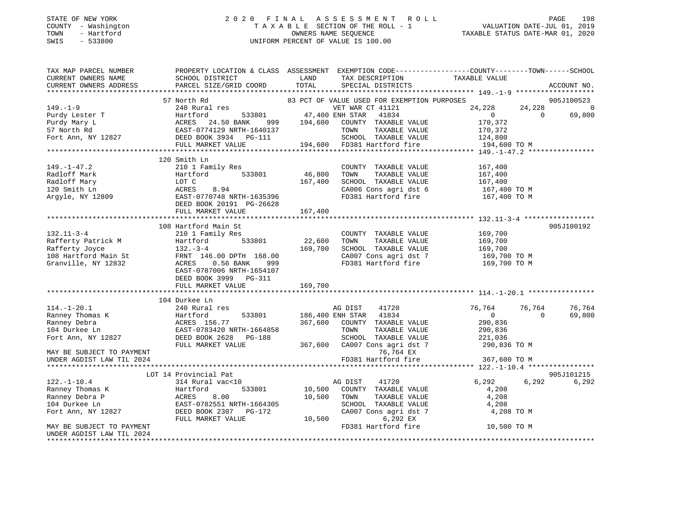#### STATE OF NEW YORK 2 0 2 0 F I N A L A S S E S S M E N T R O L L PAGE 198 COUNTY - Washington T A X A B L E SECTION OF THE ROLL - 1 VALUATION DATE-JUL 01, 2019 TOWN - Hartford OWNERS NAME SEQUENCE TAXABLE STATUS DATE-MAR 01, 2020 SWIS - 533800 UNIFORM PERCENT OF VALUE IS 100.00

| TAX MAP PARCEL NUMBER<br>CURRENT OWNERS NAME<br>CURRENT OWNERS ADDRESS                                                                                                                          | PROPERTY LOCATION & CLASS ASSESSMENT EXEMPTION CODE---------------COUNTY-------TOWN-----SCHOOL<br>SCHOOL DISTRICT<br>PARCEL SIZE/GRID COORD | LAND<br>TOTAL                | TAX DESCRIPTION<br>SPECIAL DISTRICTS                                                                                                                                          | TAXABLE VALUE                                                                     | ACCOUNT NO.                         |
|-------------------------------------------------------------------------------------------------------------------------------------------------------------------------------------------------|---------------------------------------------------------------------------------------------------------------------------------------------|------------------------------|-------------------------------------------------------------------------------------------------------------------------------------------------------------------------------|-----------------------------------------------------------------------------------|-------------------------------------|
|                                                                                                                                                                                                 |                                                                                                                                             |                              |                                                                                                                                                                               |                                                                                   |                                     |
| $149. - 1 - 9$<br>Purdy Lester T<br>Purdy Mary L<br>Purdy Mary L<br>57 North Rd<br>Fort Ann, NY 12827<br>Fort Ann, NY 12827<br>Purdy CEED BOOK 3934<br>PG-111<br>PURDY DEED BOOK 3934<br>PG-111 | 57 North Rd<br>240 Rural res                                                                                                                |                              | 83 PCT OF VALUE USED FOR EXEMPTION PURPOSES<br>VET WAR CT 41121<br>533801 47,400 ENH STAR 41834<br>VET WAR CT 41121<br>194,600 COUNTY TAXABLE VALUE<br>TOWN<br>TAXABLE VALUE  | 24,228<br>24,228<br>$\overline{0}$<br>$\overline{0}$<br>170,372<br>170,372        | 905J100523<br>$\mathbf 0$<br>69,800 |
|                                                                                                                                                                                                 |                                                                                                                                             |                              | SCHOOL TAXABLE VALUE                                                                                                                                                          | 124,800<br>194,600 TO M                                                           |                                     |
|                                                                                                                                                                                                 | FULL MARKET VALUE                                                                                                                           |                              | 194,600 FD381 Hartford fire                                                                                                                                                   |                                                                                   |                                     |
|                                                                                                                                                                                                 |                                                                                                                                             |                              |                                                                                                                                                                               |                                                                                   |                                     |
| $149. - 1 - 47.2$<br>Radloff Mark<br>Radloff Mark<br>Radloff Mary<br>120 Smith Ln<br>Argyle, NY 12809                                                                                           | 120 Smith Ln<br>210 1 Family Res<br>Hartford 533801<br>LOT C<br>8.94<br>ACRES<br>EAST-0770748 NRTH-1635396<br>DEED BOOK 20191 PG-26628      | 46,800<br>167,400            | COUNTY TAXABLE VALUE<br>TOWN<br>TAXABLE VALUE<br>SCHOOL TAXABLE VALUE<br>CA006 Cons agri dst $6$<br>FD381 Hartford fire                                                       | 167,400<br>167,400<br>167,400<br>167,400 TO M<br>167,400 TO M                     |                                     |
|                                                                                                                                                                                                 |                                                                                                                                             |                              |                                                                                                                                                                               |                                                                                   |                                     |
| $132.11 - 3 - 4$<br>Rafferty Patrick M<br>Rafferty Joyce<br>108 Hartford Main St<br>Granville, NY 12832                                                                                         | 108 Hartford Main St<br>210 1 Family Res<br>EAST-0787006 NRTH-1654107<br>DEED BOOK 3999 PG-311<br>FULL MARKET VALUE                         | 22,600<br>169,700<br>169,700 | COUNTY TAXABLE VALUE<br>TAXABLE VALUE<br>TOWN<br>SCHOOL TAXABLE VALUE<br>CA007 Cons agri dst 7                                                                                | 169,700<br>169,700<br>169,700<br>169,700 TO M<br>FD381 Hartford fire 169,700 TO M | 905J100192                          |
|                                                                                                                                                                                                 | 104 Durkee Ln                                                                                                                               |                              |                                                                                                                                                                               |                                                                                   |                                     |
| $114.-1-20.1$<br>Ranney Thomas K<br>Ranney Debra<br>104 Durkee Ln<br>Fort Ann, NY 12827                                                                                                         | 240 Rural res<br>Hartford 533801<br>ACRES 156.77<br>EAST-0783420 NRTH-1664858<br>DEED BOOK 2628 PG-188<br>FULL MARKET VALUE                 |                              | AG DIST 41720<br>533801 186,400 ENH STAR 41834<br>367,600 COUNTY TAXABLE VALUE<br>TAXABLE VALUE<br>TOWN<br>SCHOOL TAXABLE VALUE<br>367,600 CA007 Cons agri dst 7 290,836 TO M | 76,764<br>76,764<br>$\overline{0}$<br>290,836<br>290,836<br>221,036               | 76,764<br>69,800<br>$\Omega$        |
| MAY BE SUBJECT TO PAYMENT<br>UNDER AGDIST LAW TIL 2024                                                                                                                                          |                                                                                                                                             |                              | 76,764 EX<br>FD381 Hartford fire                                                                                                                                              | 367,600 TO M                                                                      |                                     |
|                                                                                                                                                                                                 |                                                                                                                                             |                              |                                                                                                                                                                               |                                                                                   |                                     |
| $122. - 1 - 10.4$<br>Ranney Thomas K                                                                                                                                                            | LOT 14 Provincial Pat<br>314 Rural vac<10<br>533801<br>Hartford                                                                             |                              | 41720<br>AG DIST<br>10,500 COUNTY TAXABLE VALUE                                                                                                                               | 6,292<br>6,292<br>4,208                                                           | 905J101215<br>6,292                 |
| Ranney Debra P<br>104 Durkee Ln<br>Fort Ann, NY 12827                                                                                                                                           | ACRES<br>8.00<br>EAST-0782551 NRTH-1664305<br>DEED BOOK 2307 PG-172<br>FULL MARKET VALUE                                                    | 10,500                       | TOWN<br>TAXABLE VALUE<br>SCHOOL TAXABLE VALUE<br>SCHOOL TAXABLE VALUE<br>CA007 Cons agri dst 7<br>6,292 EX<br>10,500                                                          | 4,208<br>4,208<br>4,208 TO M                                                      |                                     |
| MAY BE SUBJECT TO PAYMENT<br>UNDER AGDIST LAW TIL 2024<br>*********************                                                                                                                 |                                                                                                                                             |                              | FD381 Hartford fire                                                                                                                                                           | 10,500 TO M                                                                       |                                     |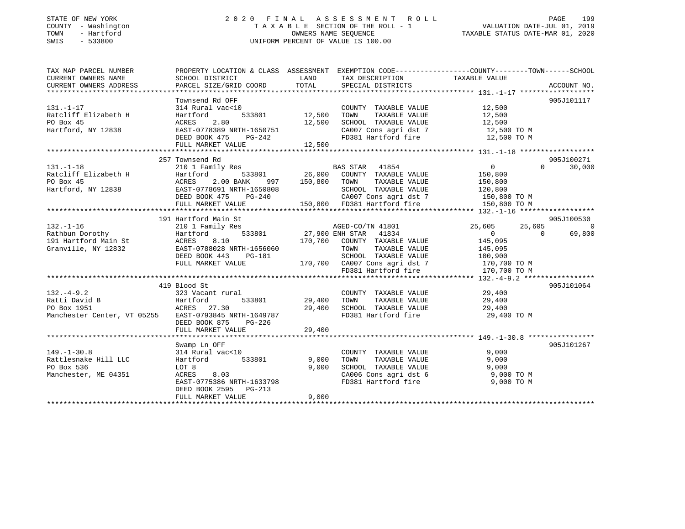#### STATE OF NEW YORK 2 0 2 0 F I N A L A S S E S S M E N T R O L L PAGE 199 COUNTY - Washington T A X A B L E SECTION OF THE ROLL - 1 VALUATION DATE-JUL 01, 2019 TOWN - Hartford OWNERS NAME SEQUENCE TAXABLE STATUS DATE-MAR 01, 2020 SWIS - 533800 UNIFORM PERCENT OF VALUE IS 100.00

| TAX MAP PARCEL NUMBER                                                                                                                                                                                                                                                                                                                                     | PROPERTY LOCATION & CLASS ASSESSMENT EXEMPTION CODE---------------COUNTY-------TOWN------SCHOOL                                                                                 |                       |                                                                                   |                       |                          |
|-----------------------------------------------------------------------------------------------------------------------------------------------------------------------------------------------------------------------------------------------------------------------------------------------------------------------------------------------------------|---------------------------------------------------------------------------------------------------------------------------------------------------------------------------------|-----------------------|-----------------------------------------------------------------------------------|-----------------------|--------------------------|
| CURRENT OWNERS NAME                                                                                                                                                                                                                                                                                                                                       | SCHOOL DISTRICT                                                                                                                                                                 |                       | LAND TAX DESCRIPTION                                                              | TAXABLE VALUE         |                          |
| CURRENT OWNERS ADDRESS                                                                                                                                                                                                                                                                                                                                    | PARCEL SIZE/GRID COORD TOTAL SPECIAL DISTRICTS                                                                                                                                  |                       |                                                                                   |                       | ACCOUNT NO.              |
|                                                                                                                                                                                                                                                                                                                                                           |                                                                                                                                                                                 |                       |                                                                                   |                       |                          |
|                                                                                                                                                                                                                                                                                                                                                           | Townsend Rd OFF                                                                                                                                                                 |                       |                                                                                   |                       | 905J101117               |
| $131. - 1 - 17$                                                                                                                                                                                                                                                                                                                                           |                                                                                                                                                                                 |                       | COUNTY TAXABLE VALUE 12,500<br>TOWN TAXABLE VALUE 12,500                          |                       |                          |
| Ratcliff Elizabeth H                                                                                                                                                                                                                                                                                                                                      |                                                                                                                                                                                 |                       | TAXABLE VALUE                                                                     | 12,500                |                          |
| PO Box 45                                                                                                                                                                                                                                                                                                                                                 | 2.80<br>ACRES                                                                                                                                                                   |                       | 12,500 SCHOOL TAXABLE VALUE 12,500                                                |                       |                          |
| Hartford, NY 12838                                                                                                                                                                                                                                                                                                                                        |                                                                                                                                                                                 |                       | CA007 Cons agri dst 7 12,500 TO M<br>FD381 Hartford fire 12,500 TO M              |                       |                          |
|                                                                                                                                                                                                                                                                                                                                                           | EASI-0778389 NRTH-1650751<br>DEED BOOK 475 PG-242                                                                                                                               |                       |                                                                                   |                       |                          |
|                                                                                                                                                                                                                                                                                                                                                           | FULL MARKET VALUE                                                                                                                                                               | 12,500                |                                                                                   |                       |                          |
|                                                                                                                                                                                                                                                                                                                                                           |                                                                                                                                                                                 |                       |                                                                                   |                       |                          |
|                                                                                                                                                                                                                                                                                                                                                           | 257 Townsend Rd                                                                                                                                                                 |                       |                                                                                   |                       | 905J100271               |
| $131. - 1 - 18$                                                                                                                                                                                                                                                                                                                                           |                                                                                                                                                                                 |                       |                                                                                   |                       | $\Omega$<br>30,000       |
| Ratcliff Elizabeth H                                                                                                                                                                                                                                                                                                                                      |                                                                                                                                                                                 |                       |                                                                                   |                       |                          |
| PO Box 45                                                                                                                                                                                                                                                                                                                                                 | ACRES<br>2.00 BANK                                                                                                                                                              | $-997$ $150,800$ TOWN |                                                                                   | TAXABLE VALUE 150,800 |                          |
| Hartford, NY 12838                                                                                                                                                                                                                                                                                                                                        |                                                                                                                                                                                 |                       |                                                                                   |                       |                          |
|                                                                                                                                                                                                                                                                                                                                                           | EAST-0778691 NRTH-1650808 SCHOOL TAXABLE VALUE 120,800<br>DEED BOOK 475 PG-240 CA007 Cons agri dst 7 150,800 TO M<br>FULL MARKET VALUE 150,800 FD381 Hartford fire 150,800 TO M |                       |                                                                                   |                       |                          |
|                                                                                                                                                                                                                                                                                                                                                           |                                                                                                                                                                                 |                       |                                                                                   |                       |                          |
|                                                                                                                                                                                                                                                                                                                                                           |                                                                                                                                                                                 |                       |                                                                                   |                       |                          |
|                                                                                                                                                                                                                                                                                                                                                           | 191 Hartford Main St                                                                                                                                                            |                       |                                                                                   |                       | 905J100530               |
| $132. - 1 - 16$<br>132.-1-16<br>Rathbun Dorothy<br>191 Hartford Main St<br>Granville, NY 12832<br>$\begin{array}{ccc}\n & \text{Euler} & \text{Euler} \\ \text{Rartford} & \text{Euler} & \text{Euler} \\ \text{Grawville} & \text{NY} & \text{Euler} \\ \end{array}$<br>170,700 COUNTY TAXABLE VALUE<br>TOWN TAXABLE VALUE<br>COUNTY TAXABLE VALUE<br>TO | 210 1 Family Res                                                                                                                                                                |                       | AGED-CO/TN 41801                                                                  | 25,605<br>25,605      | $\overline{0}$           |
|                                                                                                                                                                                                                                                                                                                                                           |                                                                                                                                                                                 |                       |                                                                                   | $\overline{0}$        | $\overline{0}$<br>69,800 |
|                                                                                                                                                                                                                                                                                                                                                           |                                                                                                                                                                                 |                       |                                                                                   | 145,095               |                          |
|                                                                                                                                                                                                                                                                                                                                                           |                                                                                                                                                                                 |                       |                                                                                   | TAXABLE VALUE 145,095 |                          |
|                                                                                                                                                                                                                                                                                                                                                           | DEED BOOK 443 PG-181                                                                                                                                                            |                       | 99-181 SCHOOL TAXABLE VALUE 100,900<br>170,700 CA007 Cons agri dst 7 170,700 TO M |                       |                          |
|                                                                                                                                                                                                                                                                                                                                                           | FULL MARKET VALUE                                                                                                                                                               |                       |                                                                                   |                       |                          |
|                                                                                                                                                                                                                                                                                                                                                           |                                                                                                                                                                                 |                       | FD381 Hartford fire                                                               | 170,700 TO M          |                          |
|                                                                                                                                                                                                                                                                                                                                                           |                                                                                                                                                                                 |                       |                                                                                   |                       |                          |
|                                                                                                                                                                                                                                                                                                                                                           | 419 Blood St                                                                                                                                                                    |                       |                                                                                   |                       | 905J101064               |
|                                                                                                                                                                                                                                                                                                                                                           |                                                                                                                                                                                 |                       | COUNTY TAXABLE VALUE<br>TOWN      TAXABLE VALUE                                   | 29,400                |                          |
|                                                                                                                                                                                                                                                                                                                                                           |                                                                                                                                                                                 |                       |                                                                                   | 29,400                |                          |
|                                                                                                                                                                                                                                                                                                                                                           |                                                                                                                                                                                 |                       | 29,400 SCHOOL TAXABLE VALUE 29,400                                                |                       |                          |
| Manchester Center, VT 05255 EAST-0793845 NRTH-1649787                                                                                                                                                                                                                                                                                                     |                                                                                                                                                                                 |                       | FD381 Hartford fire                                                               | 29,400 TO M           |                          |
|                                                                                                                                                                                                                                                                                                                                                           | DEED BOOK 875 PG-226                                                                                                                                                            |                       |                                                                                   |                       |                          |
|                                                                                                                                                                                                                                                                                                                                                           | FULL MARKET VALUE                                                                                                                                                               | 29,400                |                                                                                   |                       |                          |
|                                                                                                                                                                                                                                                                                                                                                           |                                                                                                                                                                                 |                       |                                                                                   |                       |                          |
| $149. - 1 - 30.8$                                                                                                                                                                                                                                                                                                                                         | Swamp Ln OFF                                                                                                                                                                    |                       |                                                                                   | 9,000                 | 905J101267               |
|                                                                                                                                                                                                                                                                                                                                                           | 314 Rural vac<10                                                                                                                                                                |                       | COUNTY TAXABLE VALUE                                                              |                       |                          |
| Rattlesnake Hill LLC                                                                                                                                                                                                                                                                                                                                      | Hartford 533801                                                                                                                                                                 | 9,000                 | TAXABLE VALUE<br>TOWN<br>SCHOOL TAXABLE VALUE                                     | 9,000<br>9,000        |                          |
| PO Box 536                                                                                                                                                                                                                                                                                                                                                | LOT 8                                                                                                                                                                           | 9,000                 |                                                                                   |                       |                          |
| Manchester, ME 04351                                                                                                                                                                                                                                                                                                                                      | ACRES 8.03<br>EAST-0775386 NRTH-1633798                                                                                                                                         |                       | CA006 Cons agri dst 6<br>En281 Hartford fire<br>FD381 Hartford fire               | 9,000 TO M            |                          |
|                                                                                                                                                                                                                                                                                                                                                           | DEED BOOK 2595 PG-213                                                                                                                                                           |                       |                                                                                   | 9,000 TO M            |                          |
|                                                                                                                                                                                                                                                                                                                                                           | FULL MARKET VALUE                                                                                                                                                               | 9,000                 |                                                                                   |                       |                          |
|                                                                                                                                                                                                                                                                                                                                                           |                                                                                                                                                                                 |                       |                                                                                   |                       |                          |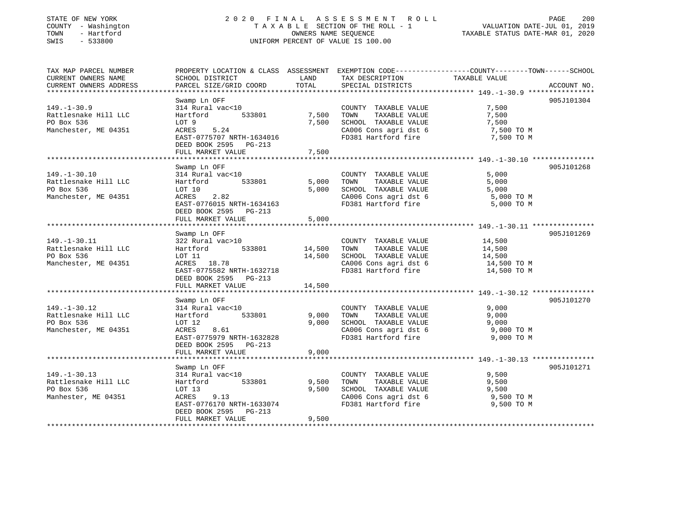### STATE OF NEW YORK 2 0 2 0 F I N A L A S S E S S M E N T R O L L PAGE 200 COUNTY - Washington T A X A B L E SECTION OF THE ROLL - 1 VALUATION DATE-JUL 01, 2019 TOWN - Hartford OWNERS NAME SEQUENCE TAXABLE STATUS DATE-MAR 01, 2020 SWIS - 533800 UNIFORM PERCENT OF VALUE IS 100.00

| TAX MAP PARCEL NUMBER  | PROPERTY LOCATION & CLASS ASSESSMENT EXEMPTION CODE---------------COUNTY-------TOWN------SCHOOL |                          |                                       |               |             |
|------------------------|-------------------------------------------------------------------------------------------------|--------------------------|---------------------------------------|---------------|-------------|
| CURRENT OWNERS NAME    | SCHOOL DISTRICT                                                                                 | LAND                     | TAX DESCRIPTION                       | TAXABLE VALUE |             |
| CURRENT OWNERS ADDRESS | PARCEL SIZE/GRID COORD                                                                          | TOTAL                    | SPECIAL DISTRICTS                     |               | ACCOUNT NO. |
|                        |                                                                                                 |                          |                                       |               |             |
|                        | Swamp Ln OFF                                                                                    |                          |                                       |               | 905J101304  |
| $149. - 1 - 30.9$      | 314 Rural vac<10                                                                                |                          | COUNTY TAXABLE VALUE                  | 7,500         |             |
| Rattlesnake Hill LLC   | Hartford<br>533801                                                                              | 7,500                    | TOWN<br>TAXABLE VALUE                 | 7,500         |             |
| PO Box 536             | LOT 9                                                                                           | 7,500                    | SCHOOL TAXABLE VALUE                  | 7,500         |             |
| Manchester, ME 04351   | 5.24<br>ACRES                                                                                   |                          | CA006 Cons agri dst 6                 | 7,500 TO M    |             |
|                        | EAST-0775707 NRTH-1634016                                                                       |                          | FD381 Hartford fire                   | 7,500 TO M    |             |
|                        |                                                                                                 |                          |                                       |               |             |
|                        | DEED BOOK 2595 PG-213                                                                           |                          |                                       |               |             |
|                        | FULL MARKET VALUE                                                                               | 7,500                    |                                       |               |             |
|                        |                                                                                                 |                          |                                       |               |             |
|                        | Swamp Ln OFF                                                                                    |                          |                                       |               | 905J101268  |
| $149. - 1 - 30.10$     | 314 Rural vac<10                                                                                |                          | COUNTY TAXABLE VALUE                  | 5,000         |             |
| Rattlesnake Hill LLC   | 533801<br>Hartford                                                                              | 5,000                    | TOWN<br>TAXABLE VALUE                 | 5,000         |             |
| PO Box 536             | LOT 10                                                                                          | 5,000                    | SCHOOL TAXABLE VALUE                  |               |             |
| Manchester, ME 04351   | 2.82<br>ACRES                                                                                   |                          | CA006 Cons agri dst 6                 | $5,000$ TO M  |             |
|                        | EAST-0776015 NRTH-1634163                                                                       |                          | FD381 Hartford fire                   | 5,000 TO M    |             |
|                        | DEED BOOK 2595 PG-213                                                                           |                          |                                       |               |             |
|                        | FULL MARKET VALUE                                                                               | 5,000                    |                                       |               |             |
|                        |                                                                                                 |                          |                                       |               |             |
|                        | Swamp Ln OFF                                                                                    |                          |                                       |               | 905J101269  |
| $149. - 1 - 30.11$     | 322 Rural vac>10                                                                                |                          | COUNTY TAXABLE VALUE                  | 14,500        |             |
| Rattlesnake Hill LLC   | Hartford                                                                                        | <sup>533801</sup> 14,500 | TAXABLE VALUE<br>TOWN                 | 14,500        |             |
| PO Box 536             | LOT 11                                                                                          | 14,500                   | SCHOOL TAXABLE VALUE                  | 14,500        |             |
| Manchester, ME 04351   | ACRES 18.78                                                                                     |                          | CA006 Cons agri dst 6<br>FD201 West 2 | 14,500 TO M   |             |
|                        | EAST-0775582 NRTH-1632718                                                                       |                          | FD381 Hartford fire                   | 14,500 TO M   |             |
|                        |                                                                                                 |                          |                                       |               |             |
|                        | DEED BOOK 2595 PG-213                                                                           |                          |                                       |               |             |
|                        | FULL MARKET VALUE                                                                               | 14,500                   |                                       |               |             |
|                        |                                                                                                 |                          |                                       |               |             |
|                        | Swamp Ln OFF                                                                                    |                          |                                       |               | 905J101270  |
| $149. - 1 - 30.12$     | 314 Rural vac<10                                                                                |                          | COUNTY TAXABLE VALUE                  | 9,000         |             |
| Rattlesnake Hill LLC   | 533801<br>Hartford                                                                              | 9,000                    | TOWN<br>TAXABLE VALUE                 | 9,000         |             |
| PO Box 536             | LOT 12                                                                                          | 9,000                    | SCHOOL TAXABLE VALUE                  | 9,000         |             |
| Manchester, ME 04351   | 8.61<br>ACRES                                                                                   |                          | CA006 Cons agri dst 6                 | 9,000 TO M    |             |
|                        | EAST-0775979 NRTH-1632828                                                                       |                          | FD381 Hartford fire                   | 9,000 TO M    |             |
|                        | DEED BOOK 2595 PG-213                                                                           |                          |                                       |               |             |
|                        | FULL MARKET VALUE                                                                               | 9,000                    |                                       |               |             |
|                        |                                                                                                 |                          |                                       |               |             |
|                        | Swamp Ln OFF                                                                                    |                          |                                       |               | 905J101271  |
| $149. - 1 - 30.13$     | 314 Rural vac<10                                                                                |                          | COUNTY TAXABLE VALUE                  | 9,500         |             |
| Rattlesnake Hill LLC   | 533801<br>Hartford                                                                              | 9,500                    | TAXABLE VALUE<br>TOWN                 | 9,500         |             |
| PO Box 536             | LOT 13                                                                                          | 9,500                    | SCHOOL TAXABLE VALUE                  | 9,500         |             |
| Manhester, ME 04351    | ACRES<br>9.13                                                                                   |                          | CA006 Cons agri dst 6                 | 9,500 TO M    |             |
|                        | EAST-0776170 NRTH-1633074                                                                       |                          | FD381 Hartford fire                   | 9,500 TO M    |             |
|                        | DEED BOOK 2595 PG-213                                                                           |                          |                                       |               |             |
|                        | FULL MARKET VALUE                                                                               | 9,500                    |                                       |               |             |
|                        |                                                                                                 |                          |                                       |               |             |
|                        |                                                                                                 |                          |                                       |               |             |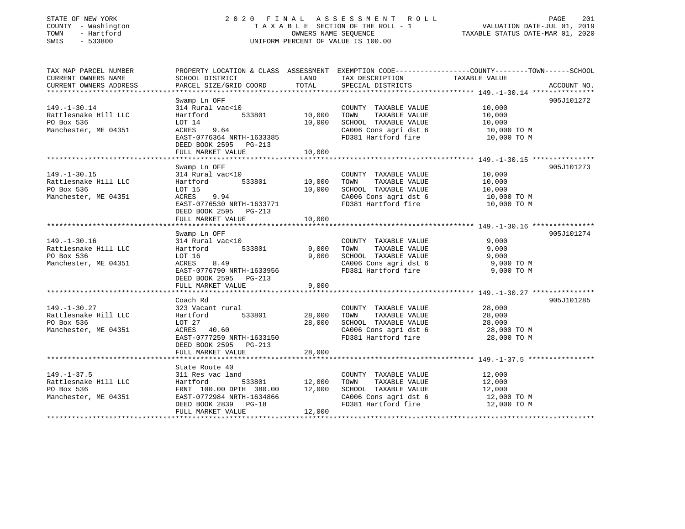| STATE OF NEW YORK |     |              |
|-------------------|-----|--------------|
| COUNTY            |     | - Washington |
| TOWN              | $-$ | Hartford     |
| <b>CMTC</b>       |     | 533800       |

### STATE OF NEW YORK 2 0 2 0 F I N A L A S S E S S M E N T R O L L PAGE 201 COUNTY - Washington T A X A B L E SECTION OF THE ROLL - 1 VALUATION DATE-JUL 01, 2019 OWNERS NAME SEQUENCE TAXABLE STATUS DATE-MAR 01, 2020 SWIS - 533800 UNIFORM PERCENT OF VALUE IS 100.00

| TAX MAP PARCEL NUMBER<br>CURRENT OWNERS NAME<br>CURRENT OWNERS ADDRESS | SCHOOL DISTRICT<br>PARCEL SIZE/GRID COORD | LAND<br>TOTAL | TAX DESCRIPTION TAXABLE VALUE<br>SPECIAL DISTRICTS | PROPERTY LOCATION & CLASS ASSESSMENT EXEMPTION CODE----------------COUNTY-------TOWN------SCHOOL<br>ACCOUNT NO. |
|------------------------------------------------------------------------|-------------------------------------------|---------------|----------------------------------------------------|-----------------------------------------------------------------------------------------------------------------|
|                                                                        |                                           |               |                                                    |                                                                                                                 |
|                                                                        | Swamp Ln OFF                              |               |                                                    | 905J101272                                                                                                      |
| $149. - 1 - 30.14$                                                     | 314 Rural vac<10                          |               | COUNTY TAXABLE VALUE                               | 10,000                                                                                                          |
| Rattlesnake Hill LLC                                                   | 533801<br>Hartford                        | 10,000        | TAXABLE VALUE<br>TOWN                              | 10,000                                                                                                          |
| PO Box 536                                                             | LOT 14                                    | 10,000        | SCHOOL TAXABLE VALUE                               | 10,000                                                                                                          |
| Manchester, ME 04351                                                   | ACRES<br>9.64                             |               | CA006 Cons agri dst 6                              | 10,000 TO M                                                                                                     |
|                                                                        | EAST-0776364 NRTH-1633385                 |               | FD381 Hartford fire                                | 10,000 TO M                                                                                                     |
|                                                                        | DEED BOOK 2595<br>PG-213                  |               |                                                    |                                                                                                                 |
|                                                                        | FULL MARKET VALUE                         | 10,000        |                                                    |                                                                                                                 |
|                                                                        |                                           |               |                                                    |                                                                                                                 |
|                                                                        | Swamp Ln OFF                              |               |                                                    | 905J101273                                                                                                      |
| $149. - 1 - 30.15$                                                     | 314 Rural vac<10                          |               | COUNTY TAXABLE VALUE                               | 10,000                                                                                                          |
|                                                                        |                                           |               |                                                    |                                                                                                                 |
| Rattlesnake Hill LLC                                                   | Hartford<br>533801                        | 10,000        | TOWN<br>TAXABLE VALUE                              | 10,000                                                                                                          |
| PO Box 536                                                             | LOT 15                                    | 10,000        | SCHOOL TAXABLE VALUE                               | 10,000                                                                                                          |
| Manchester, ME 04351                                                   | ACRES<br>9.94                             |               | CA006 Cons agri dst 6                              | 10,000 TO M                                                                                                     |
|                                                                        | EAST-0776530 NRTH-1633771                 |               | FD381 Hartford fire                                | 10,000 TO M                                                                                                     |
|                                                                        | DEED BOOK 2595 PG-213                     |               |                                                    |                                                                                                                 |
|                                                                        | FULL MARKET VALUE                         | 10,000        |                                                    |                                                                                                                 |
|                                                                        |                                           |               |                                                    |                                                                                                                 |
|                                                                        | Swamp Ln OFF                              |               |                                                    | 905J101274                                                                                                      |
| $149. - 1 - 30.16$                                                     | 314 Rural vac<10                          |               | COUNTY TAXABLE VALUE                               | 9.000                                                                                                           |
| Rattlesnake Hill LLC                                                   | 533801<br>Hartford                        | 9,000         | TAXABLE VALUE<br>TOWN                              | 9,000                                                                                                           |
| PO Box 536                                                             | LOT 16                                    | 9,000         | SCHOOL TAXABLE VALUE                               | 9,000                                                                                                           |
| Manchester, ME 04351                                                   | ACRES<br>8.49                             |               | CA006 Cons agri dst 6                              | 9,000 TO M                                                                                                      |
|                                                                        | EAST-0776790 NRTH-1633956                 |               | FD381 Hartford fire                                | 9,000 TO M                                                                                                      |
|                                                                        | DEED BOOK 2595<br>PG-213                  |               |                                                    |                                                                                                                 |
|                                                                        |                                           |               |                                                    |                                                                                                                 |
|                                                                        | FULL MARKET VALUE                         | 9,000         |                                                    |                                                                                                                 |
|                                                                        |                                           |               |                                                    |                                                                                                                 |
|                                                                        | Coach Rd                                  |               |                                                    | 905J101285                                                                                                      |
| $149. - 1 - 30.27$                                                     | 323 Vacant rural                          |               | COUNTY TAXABLE VALUE                               | 28,000                                                                                                          |
| Rattlesnake Hill LLC                                                   | 533801<br>Hartford                        | 28,000        | TOWN<br>TAXABLE VALUE                              | 28,000                                                                                                          |
| PO Box 536                                                             | LOT 27                                    | 28,000        | SCHOOL TAXABLE VALUE                               | 28,000                                                                                                          |
| Manchester, ME 04351                                                   | ACRES 40.60                               |               | CA006 Cons agri dst 6                              | 28,000 TO M                                                                                                     |
|                                                                        | EAST-0777259 NRTH-1633150                 |               | FD381 Hartford fire                                | 28,000 TO M                                                                                                     |
|                                                                        | DEED BOOK 2595<br>PG-213                  |               |                                                    |                                                                                                                 |
|                                                                        | FULL MARKET VALUE                         | 28,000        |                                                    |                                                                                                                 |
|                                                                        |                                           |               |                                                    |                                                                                                                 |
|                                                                        | State Route 40                            |               |                                                    |                                                                                                                 |
| $149. - 1 - 37.5$                                                      | 311 Res vac land                          |               | COUNTY TAXABLE VALUE                               | 12,000                                                                                                          |
| Rattlesnake Hill LLC                                                   | Hartford<br>533801                        | 12,000        | TAXABLE VALUE<br>TOWN                              | 12,000                                                                                                          |
| PO Box 536                                                             | FRNT 100.00 DPTH 380.00                   | 12,000        | SCHOOL TAXABLE VALUE                               | 12,000                                                                                                          |
|                                                                        |                                           |               |                                                    |                                                                                                                 |
| Manchester, ME 04351                                                   | EAST-0772984 NRTH-1634866                 |               | CA006 Cons agri dst 6                              | 12,000 TO M                                                                                                     |
|                                                                        | $PG-18$<br>DEED BOOK 2839                 |               | FD381 Hartford fire                                | 12,000 TO M                                                                                                     |
|                                                                        | FULL MARKET VALUE                         | 12,000        |                                                    |                                                                                                                 |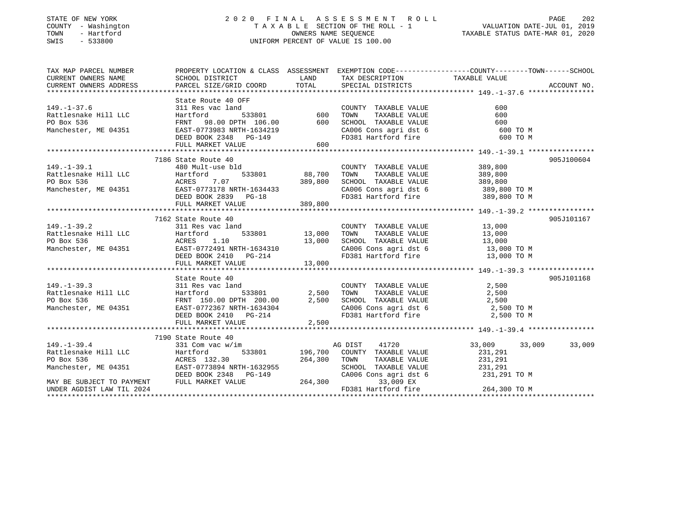### STATE OF NEW YORK 2 0 2 0 F I N A L A S S E S S M E N T R O L L PAGE 202 COUNTY - Washington T A X A B L E SECTION OF THE ROLL - 1 VALUATION DATE-JUL 01, 2019 TOWN - Hartford OWNERS NAME SEQUENCE TAXABLE STATUS DATE-MAR 01, 2020 SWIS - 533800 UNIFORM PERCENT OF VALUE IS 100.00

| TAX MAP PARCEL NUMBER                                                                                                                                                                                                                                                        |                                                           |        |                                                                                                                                                                                                                                  | PROPERTY LOCATION & CLASS ASSESSMENT EXEMPTION CODE----------------COUNTY-------TOWN------SCHOOL |
|------------------------------------------------------------------------------------------------------------------------------------------------------------------------------------------------------------------------------------------------------------------------------|-----------------------------------------------------------|--------|----------------------------------------------------------------------------------------------------------------------------------------------------------------------------------------------------------------------------------|--------------------------------------------------------------------------------------------------|
|                                                                                                                                                                                                                                                                              |                                                           |        |                                                                                                                                                                                                                                  |                                                                                                  |
| 149.-1-37.6<br>Rattlesnake Hill LLC<br>PO Box 536<br>Manchester, ME 04351<br>TRNT 98.00 DPTH 106.00<br>Manchester, ME 04351<br>EAST-0773983 NRTH-1634219<br>DEED BOOK 2348<br>PG-149<br>FRNT 98.00 DPTH 106.00<br>FOOR 2348<br>PG-149<br>FULL MARKET V                       | State Route 40 OFF                                        |        | COUNTY TAXABLE VALUE<br>TOWN<br>TAXABLE VALUE<br>SCHOOL TAXABLE VALUE<br>CA006 Cons agri dst 6 600 TO M<br>FD381 Hartford fire                                                                                                   | 600<br>600<br>600<br>600 TO M                                                                    |
|                                                                                                                                                                                                                                                                              |                                                           |        |                                                                                                                                                                                                                                  |                                                                                                  |
| $149. - 1 - 39.1$<br>Factlesnake Hill LLC<br>PO Box 536<br>Manchester, ME 04351<br>Manchester, ME 04351<br>DEED BOOK 2839<br>DEED BOOK 2839<br>PG-18                                                                                                                         | 7186 State Route 40<br>state Route 40<br>480 Mult-use bld |        | COUNTY TAXABLE VALUE 389,800<br>COMMITTAXABLE VALUE<br>TOWN TAXABLE VALUE<br>SCHOOL TAXABLE VALUE<br>CA006 Cons agri dst 6 389,800 TO M<br>FD381 Hartford fire 389,800 TO M                                                      | 905J100604                                                                                       |
|                                                                                                                                                                                                                                                                              |                                                           |        |                                                                                                                                                                                                                                  |                                                                                                  |
| 149.-1-39.2<br>Rattlesnake Hill LLC<br>PO Box 536<br>Manchester, ME 04351<br>Manchester, ME 04351<br>PO BOR 2410<br>PO BOR 214<br>PO BOR 2410<br>PO BOR 2410<br>PO BOR 2410<br>PO BOR 2410                                                                                   | 7162 State Route 40<br>FULL MARKET VALUE                  | 13,000 | $\begin{array}{cc}\n\text{COUNTY} & \text{TAXABLE VALUE} \\ \text{SVD} & \text{SVD} \\ \end{array}$<br>TOWN TAXABLE VALUE<br>SCHOOL TAXABLE VALUE 13,000<br>CA006 Cons agri dst 6 13,000 TO M<br>FD381 Hartford fire 13,000 TO M | 905J101167<br>13,000                                                                             |
|                                                                                                                                                                                                                                                                              |                                                           |        |                                                                                                                                                                                                                                  |                                                                                                  |
| $149. - 1 - 39.3$<br>Factlesnake Hill LLC<br>PO Box 536<br>Manchester, ME 04351<br>Manchester, ME 04351<br>EAST-0772367 NRTH-1634304<br>DEED BOOK 2410<br>PO Box 536<br>Manchester, ME 04351<br>DEED BOOK 2410<br>PO BOATH-1634304<br>DEED BOOK 2410<br>PO BOATH-1634304<br> | State Route 40<br>311 Res vac land<br>FULL MARKET VALUE   | 2,500  | COUNTY TAXABLE VALUE<br>TOWN<br>SCHOOL TAXABLE VALUE 2,500<br>CA006 Cons agri dst 6 2,500 TO M<br>FD381 Hartford fire                                                                                                            | 905J101168<br>2,500<br>TAXABLE VALUE 2,500<br>2,500 TO M                                         |
|                                                                                                                                                                                                                                                                              |                                                           |        |                                                                                                                                                                                                                                  |                                                                                                  |
|                                                                                                                                                                                                                                                                              | 7190 State Route 40                                       |        |                                                                                                                                                                                                                                  |                                                                                                  |
|                                                                                                                                                                                                                                                                              | state Route 40<br>331 Com vac w/im                        |        | AG DIST<br>41720<br>533801 196,700 COUNTY TAXABLE VALUE<br>TOWN TAXABLE VALUE 231,291<br>SCHOOL TAXABLE VALUE 231,291<br>CA006 Cons agri dst 6 231,291 TO M                                                                      | 33,009<br>33,009 33,009<br>231,291                                                               |
|                                                                                                                                                                                                                                                                              |                                                           |        | 33,009 EX                                                                                                                                                                                                                        |                                                                                                  |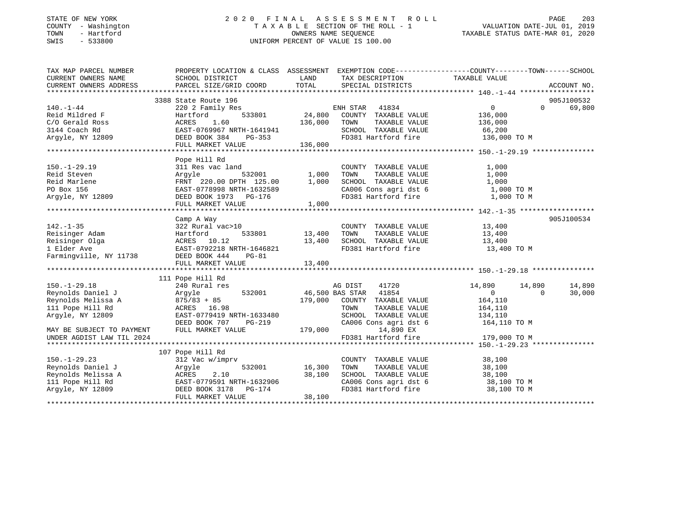#### STATE OF NEW YORK 2 0 2 0 F I N A L A S S E S S M E N T R O L L PAGE 203COUNTY - Washington T A X A B L E SECTION OF THE ROLL - 1 TOWN - Hartford OWNERS NAME SEQUENCE TAXABLE STATUS DATE-MAR 01, 2020 SWIS - 533800 UNIFORM PERCENT OF VALUE IS 100.00

VALUATION DATE-JUL 01, 2019

| TAX MAP PARCEL NUMBER                                                                                                                                                                                                                              | PROPERTY LOCATION & CLASS ASSESSMENT EXEMPTION CODE---------------COUNTY-------TOWN-----SCHOOL |               |                                                                                                           |                       |                          |
|----------------------------------------------------------------------------------------------------------------------------------------------------------------------------------------------------------------------------------------------------|------------------------------------------------------------------------------------------------|---------------|-----------------------------------------------------------------------------------------------------------|-----------------------|--------------------------|
| CURRENT OWNERS NAME                                                                                                                                                                                                                                | SCHOOL DISTRICT                                                                                |               | LAND TAX DESCRIPTION                                                                                      | TAXABLE VALUE         |                          |
| CURRENT OWNERS ADDRESS                                                                                                                                                                                                                             | PARCEL SIZE/GRID COORD TOTAL SPECIAL DISTRICTS                                                 |               |                                                                                                           |                       | ACCOUNT NO.              |
|                                                                                                                                                                                                                                                    |                                                                                                |               |                                                                                                           |                       |                          |
|                                                                                                                                                                                                                                                    |                                                                                                |               |                                                                                                           |                       | 905J100532               |
|                                                                                                                                                                                                                                                    |                                                                                                |               |                                                                                                           | $\overline{0}$        | 69,800<br>$\Omega$       |
|                                                                                                                                                                                                                                                    |                                                                                                |               |                                                                                                           | 136,000               |                          |
|                                                                                                                                                                                                                                                    |                                                                                                |               |                                                                                                           | TAXABLE VALUE 136,000 |                          |
|                                                                                                                                                                                                                                                    |                                                                                                |               |                                                                                                           |                       |                          |
|                                                                                                                                                                                                                                                    |                                                                                                |               |                                                                                                           |                       |                          |
| 170.-1-44<br>Reid Mildred F<br>Reid Mildred F<br>C/O Gerald Ross<br>220 2 Family Res<br>Hartford 533801<br>24,800 COUNTY TAXABLE VALUE<br>24,800 COUNTY TAXABLE VALUE<br>24,800 COUNTY TAXABLE VALUE<br>24,800 COUNTY TAXABLE VALUE<br>24,800 COUN |                                                                                                |               |                                                                                                           |                       |                          |
|                                                                                                                                                                                                                                                    |                                                                                                |               |                                                                                                           |                       |                          |
|                                                                                                                                                                                                                                                    | Pope Hill Rd                                                                                   |               |                                                                                                           |                       |                          |
|                                                                                                                                                                                                                                                    |                                                                                                |               |                                                                                                           | 1,000                 |                          |
| 150.-1-29.19 311 Res vac land COUNTY TAXABLE VALUE<br>Reid Steven Argyle 532001 1,000 TOWN TAXABLE VALUE<br>Reid Marlene FRNT 220.00 DPTH 125.00 1,000 SCHOOL TAXABLE VALUE<br>PO Box 156 EAST-0778998 NRTH-1632589 CA006 Cons agri                |                                                                                                |               |                                                                                                           | 1,000                 |                          |
|                                                                                                                                                                                                                                                    |                                                                                                |               |                                                                                                           | 1,000                 |                          |
|                                                                                                                                                                                                                                                    |                                                                                                |               | CA006 Cons agri dst 6 1,000 TO M<br>FD381 Hartford fire 1,000 TO M                                        |                       |                          |
|                                                                                                                                                                                                                                                    | FULL MARKET VALUE 1,000                                                                        |               |                                                                                                           |                       |                          |
|                                                                                                                                                                                                                                                    |                                                                                                |               |                                                                                                           |                       |                          |
|                                                                                                                                                                                                                                                    | Camp A Way                                                                                     |               |                                                                                                           |                       | 905J100534               |
| $142. - 1 - 35$                                                                                                                                                                                                                                    | 322 Rural vac>10                                                                               |               |                                                                                                           |                       |                          |
|                                                                                                                                                                                                                                                    |                                                                                                |               | COUNTY TAXABLE VALUE 13,400                                                                               |                       |                          |
|                                                                                                                                                                                                                                                    | 533801 13,400                                                                                  | 13,400        | TOWN      TAXABLE  VALUE<br>SCHOOL    TAXABLE  VALUE                                                      | 13,400<br>13,400      |                          |
|                                                                                                                                                                                                                                                    |                                                                                                |               | FD381 Hartford fire 13,400 TO M                                                                           |                       |                          |
|                                                                                                                                                                                                                                                    |                                                                                                |               |                                                                                                           |                       |                          |
| Reisinger Adam Martford 533801 13,400<br>Reisinger Olga ACRES 10.12 13,400<br>1 Elder Ave EAST-0792218 NRTH-1646821 13,400<br>Farmingville, NY 11738 DEED BOOK 444 PG-81<br>FILL MARKET VALUE                                                      | FULL MARKET VALUE                                                                              | 13,400        |                                                                                                           |                       |                          |
|                                                                                                                                                                                                                                                    |                                                                                                |               |                                                                                                           |                       |                          |
|                                                                                                                                                                                                                                                    | 111 Pope Hill Rd                                                                               |               |                                                                                                           |                       |                          |
| $150. - 1 - 29.18$                                                                                                                                                                                                                                 | 240 Rural res                                                                                  |               | 41720<br>AG DIST                                                                                          | 14,890 14,890         | 14,890                   |
| Reynolds Daniel J                                                                                                                                                                                                                                  | Argyle                                                                                         |               |                                                                                                           | $\overline{0}$        | $\overline{0}$<br>30,000 |
| Reynolds Daniel J<br>Reynolds Melissa A                                                                                                                                                                                                            | $875/83 + 85$                                                                                  |               | 532001 46,500 BAS STAR 41854<br>+ 85 179,000 COUNTY TAXABLE VALUE                                         | 164,110               |                          |
| 111 Pope Hill Rd                                                                                                                                                                                                                                   | ACRES 16.98                                                                                    |               | TOWN                                                                                                      | TAXABLE VALUE 164,110 |                          |
| Argyle, NY 12809                                                                                                                                                                                                                                   | EAST-0779419 NRTH-1633480                                                                      |               |                                                                                                           |                       |                          |
|                                                                                                                                                                                                                                                    | DEED BOOK 707                                                                                  |               | RTH-1633480 SCHOOL TAXABLE VALUE 134,110<br>PG-219 CA006 Cons agri dst 6 164,110 TO M                     |                       |                          |
| MAY BE SUBJECT TO PAYMENT                                                                                                                                                                                                                          | FULL MARKET VALUE                                                                              |               | 179,000 14,890 EX                                                                                         |                       |                          |
| UNDER AGDIST LAW TIL 2024                                                                                                                                                                                                                          |                                                                                                |               | FD381 Hartford fire                                                                                       | 179,000 TO M          |                          |
|                                                                                                                                                                                                                                                    |                                                                                                |               |                                                                                                           |                       |                          |
|                                                                                                                                                                                                                                                    | 107 Pope Hill Rd                                                                               |               |                                                                                                           |                       |                          |
| $150. - 1 - 29.23$                                                                                                                                                                                                                                 | 312 Vac w/imprv                                                                                |               | COUNTY TAXABLE VALUE                                                                                      | 38,100                |                          |
| Reynolds Daniel J                                                                                                                                                                                                                                  | Arqyle                                                                                         | 532001 16,300 | TOWN<br>TAXABLE VALUE                                                                                     | 38,100                |                          |
|                                                                                                                                                                                                                                                    |                                                                                                |               |                                                                                                           |                       |                          |
|                                                                                                                                                                                                                                                    |                                                                                                |               |                                                                                                           |                       |                          |
| Reynolds Melissa A (Rev. 2.10 38,100<br>111 Pope Hill Rd (RAST-0779591 NRTH-1632906<br>Argyle, NY 12809 (DEED BOOK 3178 PG-174                                                                                                                     |                                                                                                |               | SCHOOL TAXABLE VALUE $38,100$<br>CA006 Cons agri dst 6 $38,100$ TO M<br>FD381 Hartford fire $38,100$ TO M |                       |                          |
|                                                                                                                                                                                                                                                    | FULL MARKET VALUE                                                                              | 38,100        |                                                                                                           |                       |                          |
|                                                                                                                                                                                                                                                    |                                                                                                |               |                                                                                                           |                       |                          |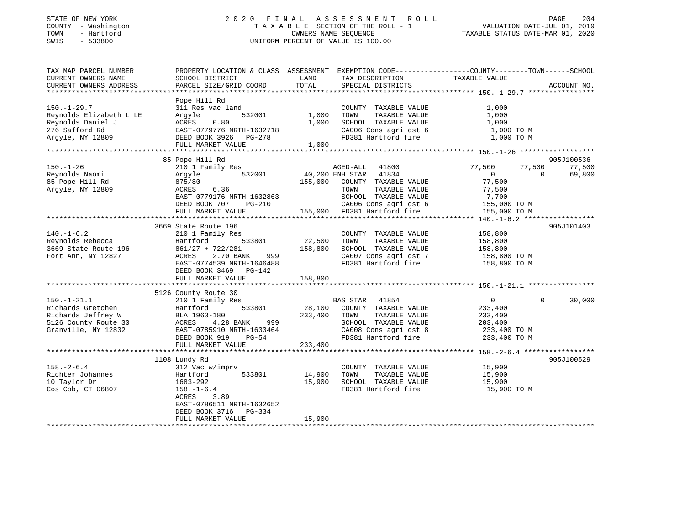### STATE OF NEW YORK 2 0 2 0 F I N A L A S S E S S M E N T R O L L PAGE 204 COUNTY - Washington T A X A B L E SECTION OF THE ROLL - 1 VALUATION DATE-JUL 01, 2019 TOWN - Hartford OWNERS NAME SEQUENCE TAXABLE STATUS DATE-MAR 01, 2020 SWIS - 533800 UNIFORM PERCENT OF VALUE IS 100.00

| TAX MAP PARCEL NUMBER                        | PROPERTY LOCATION & CLASS ASSESSMENT EXEMPTION CODE----------------COUNTY-------TOWN-----SCHOOL |              |                                       |                            |                    |
|----------------------------------------------|-------------------------------------------------------------------------------------------------|--------------|---------------------------------------|----------------------------|--------------------|
| CURRENT OWNERS NAME                          | SCHOOL DISTRICT                                                                                 | LAND         | TAX DESCRIPTION                       | TAXABLE VALUE              |                    |
| CURRENT OWNERS ADDRESS                       | PARCEL SIZE/GRID COORD                                                                          | TOTAL        | SPECIAL DISTRICTS                     |                            | ACCOUNT NO.        |
|                                              |                                                                                                 |              |                                       |                            |                    |
|                                              | Pope Hill Rd                                                                                    |              |                                       |                            |                    |
| $150. - 1 - 29.7$                            | 311 Res vac land<br>532001                                                                      | 1,000        | COUNTY TAXABLE VALUE<br>TOWN          | 1,000                      |                    |
| Reynolds Elizabeth L LE<br>Reynolds Daniel J | Argyle<br>0.80<br>ACRES                                                                         | 1,000        | TAXABLE VALUE<br>SCHOOL TAXABLE VALUE | 1,000<br>1,000             |                    |
| 276 Safford Rd                               | EAST-0779776 NRTH-1632718                                                                       |              | CA006 Cons agri dst 6                 | 1,000 TO M                 |                    |
| Argyle, NY 12809                             | DEED BOOK 3926 PG-278                                                                           |              | FD381 Hartford fire                   | 1,000 TO M                 |                    |
|                                              | FULL MARKET VALUE                                                                               | 1,000        |                                       |                            |                    |
|                                              |                                                                                                 |              |                                       |                            |                    |
|                                              | 85 Pope Hill Rd                                                                                 |              |                                       |                            | 905J100536         |
| $150. - 1 - 26$                              | 210 1 Family Res                                                                                |              | AGED-ALL 41800                        | 77,500<br>77,500           | 77,500             |
| Reynolds Naomi                               | 532001<br>Argyle                                                                                |              | 40,200 ENH STAR 41834                 | $\overline{0}$<br>$\Omega$ | 69,800             |
| 85 Pope Hill Rd                              | 875/80                                                                                          |              | 155,000 COUNTY TAXABLE VALUE          | 77,500                     |                    |
| Argyle, NY 12809                             | 6.36<br>ACRES                                                                                   |              | TOWN<br>TAXABLE VALUE                 | 77,500                     |                    |
|                                              | EAST-0779176 NRTH-1632863                                                                       |              | SCHOOL TAXABLE VALUE                  | 7,700                      |                    |
|                                              | DEED BOOK 707<br>PG-210                                                                         |              | CA006 Cons agri dst 6                 | 155,000 TO M               |                    |
|                                              | FULL MARKET VALUE                                                                               |              | 155,000 FD381 Hartford fire           | 155,000 TO M               |                    |
|                                              |                                                                                                 |              |                                       |                            |                    |
|                                              | 3669 State Route 196                                                                            |              |                                       |                            | 905J101403         |
| $140. - 1 - 6.2$                             | 210 1 Family Res                                                                                |              | COUNTY TAXABLE VALUE                  | 158,800                    |                    |
| Reynolds Rebecca                             | 533801<br>Hartford                                                                              | 22,500       | TOWN<br>TAXABLE VALUE                 | 158,800                    |                    |
| 3669 State Route 196                         | $861/27 + 722/281$                                                                              | 158,800      | SCHOOL TAXABLE VALUE                  | 158,800                    |                    |
| Fort Ann, NY 12827                           | 2.70 BANK<br>999<br>ACRES                                                                       |              | CA007 Cons agri dst 7                 | 158,800 TO M               |                    |
|                                              | EAST-0774539 NRTH-1646488                                                                       |              | FD381 Hartford fire                   | 158,800 TO M               |                    |
|                                              | DEED BOOK 3469 PG-142                                                                           |              |                                       |                            |                    |
|                                              | FULL MARKET VALUE                                                                               | 158,800      |                                       |                            |                    |
|                                              |                                                                                                 |              |                                       |                            |                    |
|                                              | 5126 County Route 30                                                                            |              |                                       |                            |                    |
| $150. - 1 - 21.1$                            | 210 1 Family Res                                                                                |              | BAS STAR 41854                        | $\overline{0}$             | $\Omega$<br>30,000 |
| Richards Gretchen                            | 533801<br>Hartford                                                                              |              | 28,100 COUNTY TAXABLE VALUE           | 233,400                    |                    |
| Richards Jeffrey W                           | BLA 1963-180                                                                                    | 233,400 TOWN | TAXABLE VALUE                         | 233,400                    |                    |
| 5126 County Route 30                         | 4.28 BANK<br>999<br>ACRES                                                                       |              | SCHOOL TAXABLE VALUE                  | 203,400                    |                    |
| Granville, NY 12832                          | EAST-0785910 NRTH-1633464                                                                       |              | CA008 Cons agri dst 8                 | 233,400 TO M               |                    |
|                                              | DEED BOOK 919<br>PG-54                                                                          |              | FD381 Hartford fire                   | 233,400 TO M               |                    |
|                                              | FULL MARKET VALUE                                                                               | 233,400      |                                       |                            |                    |
|                                              |                                                                                                 |              |                                       |                            |                    |
|                                              | 1108 Lundy Rd                                                                                   |              |                                       |                            | 905J100529         |
| $158. - 2 - 6.4$                             | 312 Vac w/imprv                                                                                 |              | COUNTY TAXABLE VALUE                  | 15,900                     |                    |
| Richter Johannes                             | 533801<br>Hartford                                                                              | 14,900       | TOWN<br>TAXABLE VALUE                 | 15,900                     |                    |
| 10 Taylor Dr                                 | 1683-292                                                                                        | 15,900       | SCHOOL TAXABLE VALUE                  | 15,900                     |                    |
| Cos Cob, CT 06807                            | $158. - 1 - 6.4$                                                                                |              | FD381 Hartford fire                   | 15,900 TO M                |                    |
|                                              | ACRES<br>3.89                                                                                   |              |                                       |                            |                    |
|                                              | EAST-0786511 NRTH-1632652                                                                       |              |                                       |                            |                    |
|                                              | DEED BOOK 3716<br>PG-334                                                                        |              |                                       |                            |                    |
|                                              | FULL MARKET VALUE                                                                               | 15,900       |                                       |                            |                    |
|                                              |                                                                                                 |              |                                       |                            |                    |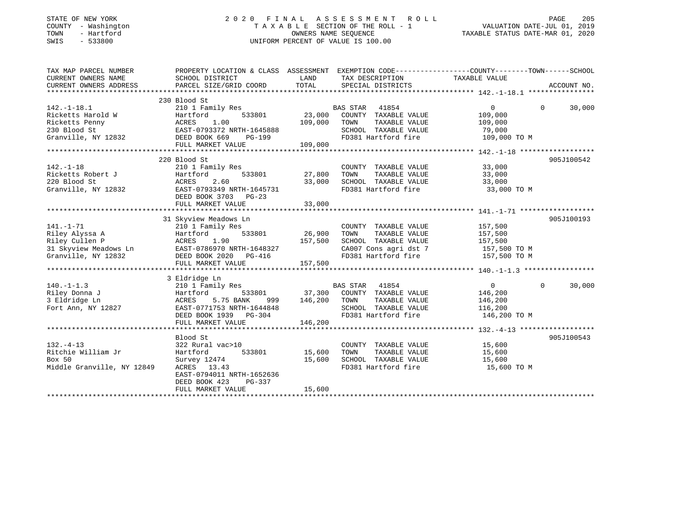#### STATE OF NEW YORK 2 0 2 0 F I N A L A S S E S S M E N T R O L L PAGE 205 COUNTY - Washington T A X A B L E SECTION OF THE ROLL - 1 VALUATION DATE-JUL 01, 2019 TOWN - Hartford OWNERS NAME SEQUENCE TAXABLE STATUS DATE-MAR 01, 2020 SWIS - 533800 UNIFORM PERCENT OF VALUE IS 100.00

| TAX MAP PARCEL NUMBER                                                                                                                                                     | PROPERTY LOCATION & CLASS ASSESSMENT EXEMPTION CODE----------------COUNTY-------TOWN------SCHOOL |                   |                                                           |                   |                    |
|---------------------------------------------------------------------------------------------------------------------------------------------------------------------------|--------------------------------------------------------------------------------------------------|-------------------|-----------------------------------------------------------|-------------------|--------------------|
| CURRENT OWNERS NAME                                                                                                                                                       | SCHOOL DISTRICT                                                                                  | <b>LAND</b>       | TAX DESCRIPTION                                           | TAXABLE VALUE     |                    |
| CURRENT OWNERS ADDRESS                                                                                                                                                    | PARCEL SIZE/GRID COORD                                                                           | TOTAL             | SPECIAL DISTRICTS                                         |                   | ACCOUNT NO.        |
|                                                                                                                                                                           |                                                                                                  |                   |                                                           |                   |                    |
|                                                                                                                                                                           | 230 Blood St                                                                                     |                   |                                                           |                   |                    |
| $142. - 1 - 18.1$                                                                                                                                                         | 210 1 Family Res                                                                                 |                   | BAS STAR 41854                                            | $0 \qquad \qquad$ | 30,000<br>$\Omega$ |
|                                                                                                                                                                           |                                                                                                  | 23,000            | COUNTY TAXABLE VALUE                                      | 109,000           |                    |
|                                                                                                                                                                           |                                                                                                  | 109,000           | TAXABLE VALUE<br>TOWN                                     | 109,000           |                    |
|                                                                                                                                                                           |                                                                                                  |                   | SCHOOL TAXABLE VALUE                                      | 79,000            |                    |
| Ricketts Harold W Hartford 533801<br>Ricketts Penny ACRES 1.00<br>230 Blood St EAST-0793372 NRTH-1645888<br>Granville, NY 12832 DEED BOOK 669 PG-199<br>THIJ MARKET MATER |                                                                                                  |                   | FD381 Hartford fire                                       | 109,000 TO M      |                    |
|                                                                                                                                                                           | FULL MARKET VALUE                                                                                | 109,000           |                                                           |                   |                    |
|                                                                                                                                                                           |                                                                                                  |                   |                                                           |                   |                    |
|                                                                                                                                                                           | 220 Blood St                                                                                     |                   |                                                           |                   | 905J100542         |
| $142. - 1 - 18$                                                                                                                                                           | 210 1 Family Res                                                                                 |                   | COUNTY TAXABLE VALUE 33,000                               |                   |                    |
| Ricketts Robert J                                                                                                                                                         | Hartford                                                                                         | 533801 27,800     | TAXABLE VALUE<br>TOWN                                     | 33,000            |                    |
| 220 Blood St                                                                                                                                                              | ACRES 2.60                                                                                       |                   |                                                           |                   |                    |
| Granville, NY 12832                                                                                                                                                       | EAST-0793349 NRTH-1645731                                                                        | $-1645731$ 33,000 | SCHOOL TAXABLE VALUE 33,000<br>FD381 Hartford fire 33,000 | 33,000 TO M       |                    |
|                                                                                                                                                                           | DEED BOOK 3703 PG-23                                                                             |                   |                                                           |                   |                    |
|                                                                                                                                                                           |                                                                                                  |                   |                                                           |                   |                    |
|                                                                                                                                                                           |                                                                                                  |                   |                                                           |                   |                    |
|                                                                                                                                                                           | 31 Skyview Meadows Ln                                                                            |                   |                                                           |                   | 905J100193         |
| $141. - 1 - 71$                                                                                                                                                           | 210 1 Family Res                                                                                 |                   | COUNTY TAXABLE VALUE                                      | 157,500           |                    |
|                                                                                                                                                                           |                                                                                                  |                   | TOWN<br>TAXABLE VALUE                                     | 157,500           |                    |
|                                                                                                                                                                           |                                                                                                  |                   | SCHOOL TAXABLE VALUE                                      | 157,500           |                    |
|                                                                                                                                                                           |                                                                                                  |                   | CA007 Cons agri dst 7 157,500 TO M                        |                   |                    |
| 141.-1-71<br>Riley Alyssa A Hartford 533801<br>Riley Cullen P ACRES 1.90<br>31 Skyview Meadows Ln EAST-0786970 NRTH-1648327<br>Granville, NY 12832 DEED BOOK 2020 PG-416  |                                                                                                  |                   | FD381 Hartford fire                                       | 157,500 TO M      |                    |
|                                                                                                                                                                           | FULL MARKET VALUE                                                                                | 157,500           |                                                           |                   |                    |
|                                                                                                                                                                           |                                                                                                  |                   |                                                           |                   |                    |
|                                                                                                                                                                           | 3 Eldridge Ln                                                                                    |                   |                                                           |                   |                    |
| $140. - 1 - 1.3$                                                                                                                                                          | 210 1 Family Res                                                                                 |                   | BAS STAR 41854                                            | $\overline{0}$    | 30,000<br>$\Omega$ |
| Riley Donna J                                                                                                                                                             | 533801 37,300<br>Hartford                                                                        |                   | COUNTY TAXABLE VALUE                                      | 146,200           |                    |
| 3 Eldridge Ln                                                                                                                                                             | 5.75 BANK<br>ACRES                                                                               | 999 146,200       | TOWN<br>TAXABLE VALUE                                     | 146,200           |                    |
| Fort Ann, NY 12827                                                                                                                                                        | EAST-0771753 NRTH-1644848                                                                        |                   | SCHOOL TAXABLE VALUE                                      | 116,200           |                    |
|                                                                                                                                                                           | DEED BOOK 1939 PG-304                                                                            |                   | FD381 Hartford fire 146,200 TO M                          |                   |                    |
|                                                                                                                                                                           | FULL MARKET VALUE                                                                                | 146,200           |                                                           |                   |                    |
|                                                                                                                                                                           |                                                                                                  |                   |                                                           |                   |                    |
|                                                                                                                                                                           | Blood St                                                                                         |                   |                                                           |                   | 905J100543         |
| $132. - 4 - 13$                                                                                                                                                           | 322 Rural vac>10                                                                                 |                   | COUNTY TAXABLE VALUE 15,600                               |                   |                    |
| Ritchie William Jr                                                                                                                                                        | 533801 15,600<br>Hartford                                                                        |                   | TOWN<br>TAXABLE VALUE                                     | 15,600            |                    |
| Box 50                                                                                                                                                                    | Survey 12474                                                                                     | 15,600            | SCHOOL TAXABLE VALUE                                      | 15,600            |                    |
| Middle Granville, NY 12849                                                                                                                                                | ACRES 13.43                                                                                      |                   | FD381 Hartford fire                                       | 15,600 TO M       |                    |
|                                                                                                                                                                           | EAST-0794011 NRTH-1652636                                                                        |                   |                                                           |                   |                    |
|                                                                                                                                                                           | DEED BOOK 423<br>PG-337                                                                          |                   |                                                           |                   |                    |
|                                                                                                                                                                           | FULL MARKET VALUE                                                                                | 15,600            |                                                           |                   |                    |
|                                                                                                                                                                           |                                                                                                  |                   |                                                           |                   |                    |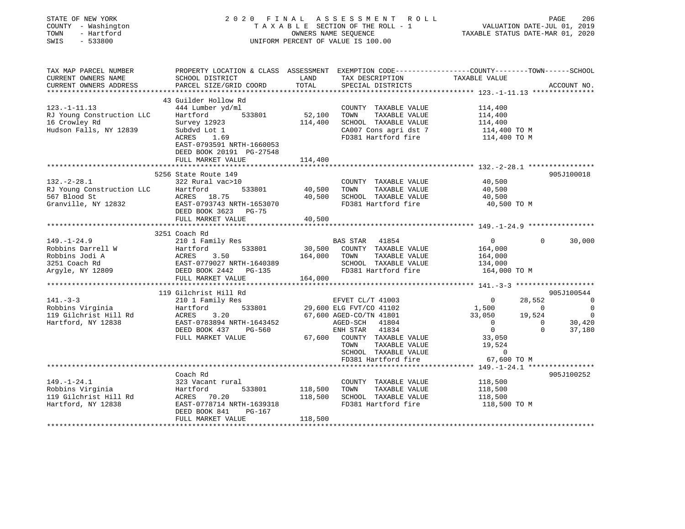| STATE OF NEW YORK<br>COUNTY - Washington<br>TOWN<br>- Hartford<br>SWIS<br>$-533800$                    |                                              |         | 2020 FINAL ASSESSMENT ROLL<br>TAXABLE SECTION OF THE ROLL - 1<br>OWNERS NAME SEQUENCE<br>UNIFORM PERCENT OF VALUE IS 100.00 | TAXABLE STATUS DATE-MAR 01, 2020 | VALUATION DATE-JUL 01, 2019 | PAGE<br>206                   |
|--------------------------------------------------------------------------------------------------------|----------------------------------------------|---------|-----------------------------------------------------------------------------------------------------------------------------|----------------------------------|-----------------------------|-------------------------------|
| TAX MAP PARCEL NUMBER<br>CURRENT OWNERS NAME                                                           | SCHOOL DISTRICT                              | LAND    | PROPERTY LOCATION & CLASS ASSESSMENT EXEMPTION CODE---------------COUNTY-------TOWN------SCHOOL<br>TAX DESCRIPTION          | TAXABLE VALUE                    |                             |                               |
| CURRENT OWNERS ADDRESS                                                                                 | PARCEL SIZE/GRID COORD                       | TOTAL   | SPECIAL DISTRICTS                                                                                                           |                                  |                             | ACCOUNT NO.                   |
|                                                                                                        |                                              |         |                                                                                                                             |                                  |                             |                               |
|                                                                                                        | 43 Guilder Hollow Rd                         |         |                                                                                                                             |                                  |                             |                               |
| $123. -1 - 11.13$                                                                                      | 444 Lumber yd/ml                             |         | COUNTY TAXABLE VALUE                                                                                                        | 114,400                          |                             |                               |
| RJ Young Construction LLC<br>16 Crowley Rd                                                             | Hartford<br>533801<br>Survey 12923           | 114,400 | 52,100 TOWN<br>TAXABLE VALUE<br>SCHOOL TAXABLE VALUE                                                                        | 114,400<br>114,400               |                             |                               |
| Hudson Falls, NY 12839                                                                                 | Subdvd Lot 1                                 |         | CA007 Cons agri dst 7                                                                                                       | 114,400 TO M                     |                             |                               |
|                                                                                                        | ACRES 1.69                                   |         | FD381 Hartford fire                                                                                                         | 114,400 TO M                     |                             |                               |
|                                                                                                        | EAST-0793591 NRTH-1660053                    |         |                                                                                                                             |                                  |                             |                               |
|                                                                                                        | DEED BOOK 20191 PG-27548                     |         |                                                                                                                             |                                  |                             |                               |
|                                                                                                        | FULL MARKET VALUE                            | 114,400 |                                                                                                                             |                                  |                             |                               |
|                                                                                                        | 5256 State Route 149                         |         |                                                                                                                             |                                  |                             | 905J100018                    |
| $132. - 2 - 28.1$                                                                                      | 322 Rural vac>10                             |         | COUNTY TAXABLE VALUE                                                                                                        | 40,500                           |                             |                               |
| RJ Young Construction LLC                                                                              | Hartford<br>533801                           | 40,500  | TOWN<br>TAXABLE VALUE                                                                                                       | 40,500                           |                             |                               |
| 567 Blood St                                                                                           | ACRES 18.75                                  | 40,500  | SCHOOL TAXABLE VALUE                                                                                                        | 40,500                           |                             |                               |
| Granville, NY 12832                                                                                    | EAST-0793743 NRTH-1653070                    |         | FD381 Hartford fire                                                                                                         | 40,500 TO M                      |                             |                               |
|                                                                                                        | DEED BOOK 3623 PG-75                         |         |                                                                                                                             |                                  |                             |                               |
|                                                                                                        | FULL MARKET VALUE                            | 40,500  |                                                                                                                             |                                  |                             |                               |
|                                                                                                        | 3251 Coach Rd                                |         |                                                                                                                             |                                  |                             |                               |
| $149. - 1 - 24.9$                                                                                      | 210 1 Family Res                             |         | BAS STAR 41854                                                                                                              | $\mathbf{0}$                     | 0                           | 30,000                        |
| Robbins Darrell W                                                                                      | Hartford<br>533801                           | 30,500  | COUNTY TAXABLE VALUE                                                                                                        | 164,000                          |                             |                               |
| Robbins Jodi A                                                                                         | ACRES 3.50                                   |         | 164,000 TOWN TAXABLE VALUE                                                                                                  | 164,000                          |                             |                               |
| 3251 Coach Rd                                                                                          | EAST-0779027 NRTH-1640389                    |         | SCHOOL TAXABLE VALUE                                                                                                        | 134,000                          |                             |                               |
| Arqyle, NY 12809                                                                                       | DEED BOOK 2442 PG-135                        |         | FD381 Hartford fire                                                                                                         | 164,000 TO M                     |                             |                               |
|                                                                                                        | FULL MARKET VALUE                            | 164,000 |                                                                                                                             |                                  |                             |                               |
|                                                                                                        | 119 Gilchrist Hill Rd                        |         |                                                                                                                             |                                  |                             | 905J100544                    |
|                                                                                                        |                                              |         |                                                                                                                             |                                  |                             |                               |
|                                                                                                        |                                              |         |                                                                                                                             |                                  |                             |                               |
|                                                                                                        | 210 1 Family Res<br>Hartford<br>533801       |         | EFVET CL/T 41003<br>29,600 ELG FVT/CO 41102                                                                                 | $\overline{0}$<br>1,500          | 28,552<br>$\overline{0}$    | $\overline{0}$<br>$\mathbf 0$ |
|                                                                                                        | ACRES<br>3.20                                |         | 67,600 AGED-CO/TN 41801                                                                                                     | 33,050                           | 19,524                      | $\overline{0}$                |
|                                                                                                        | EAST-0783894 NRTH-1643452                    |         | AGED-SCH 41804                                                                                                              | $\overline{0}$                   | $\overline{0}$              | 30,420                        |
|                                                                                                        | DEED BOOK 437<br>PG-560                      |         | ENH STAR 41834                                                                                                              | $\overline{0}$                   | $\Omega$                    | 37,180                        |
|                                                                                                        | FULL MARKET VALUE                            | 67,600  | COUNTY TAXABLE VALUE                                                                                                        | 33,050                           |                             |                               |
|                                                                                                        |                                              |         | TOWN<br>TAXABLE VALUE                                                                                                       | 19,524                           |                             |                               |
|                                                                                                        |                                              |         | SCHOOL TAXABLE VALUE                                                                                                        | $\circ$                          |                             |                               |
|                                                                                                        |                                              |         | FD381 Hartford fire                                                                                                         | 67,600 TO M                      |                             |                               |
|                                                                                                        | Coach Rd                                     |         |                                                                                                                             |                                  |                             | 905J100252                    |
| $141. - 3 - 3$<br>Robbins Virginia<br>119 Gilchrist Hill Rd<br>Hartford, NY 12838<br>$149. - 1 - 24.1$ | 323 Vacant rural                             |         | COUNTY TAXABLE VALUE                                                                                                        | 118,500                          |                             |                               |
| Robbins Virginia                                                                                       | Hartford<br>533801                           |         | 118,500 TOWN<br>TAXABLE VALUE                                                                                               | 118,500                          |                             |                               |
| 119 Gilchrist Hill Rd                                                                                  | ACRES 70.20                                  | 118,500 | SCHOOL TAXABLE VALUE                                                                                                        | 118,500                          |                             |                               |
| Hartford, NY 12838                                                                                     | EAST-0778714 NRTH-1639318                    |         | FD381 Hartford fire                                                                                                         | 118,500 TO M                     |                             |                               |
|                                                                                                        | DEED BOOK 841<br>PG-167<br>FULL MARKET VALUE | 118,500 |                                                                                                                             |                                  |                             |                               |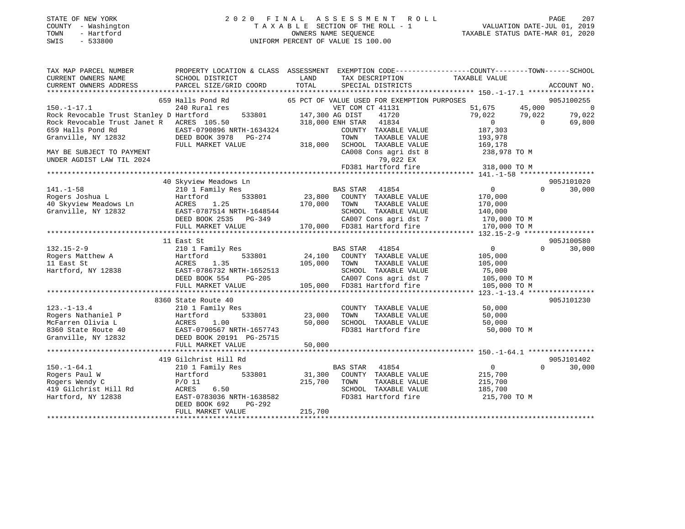#### STATE OF NEW YORK 2 0 2 0 F I N A L A S S E S S M E N T R O L L PAGE 207 COUNTY - Washington T A X A B L E SECTION OF THE ROLL - 1 VALUATION DATE-JUL 01, 2019 TOWN - Hartford OWNERS NAME SEQUENCE TAXABLE STATUS DATE-MAR 01, 2020 SWIS - 533800 UNIFORM PERCENT OF VALUE IS 100.00

| TAX MAP PARCEL NUMBER                         | PROPERTY LOCATION & CLASS ASSESSMENT EXEMPTION CODE----------------COUNTY-------TOWN------SCHOOL |                 |                                             |                                  |                          |
|-----------------------------------------------|--------------------------------------------------------------------------------------------------|-----------------|---------------------------------------------|----------------------------------|--------------------------|
| CURRENT OWNERS NAME<br>CURRENT OWNERS ADDRESS | SCHOOL DISTRICT<br>PARCEL SIZE/GRID COORD                                                        | LAND<br>TOTAL   | TAX DESCRIPTION<br>SPECIAL DISTRICTS        | TAXABLE VALUE                    | ACCOUNT NO.              |
|                                               |                                                                                                  |                 |                                             |                                  |                          |
|                                               | 659 Halls Pond Rd                                                                                |                 | 65 PCT OF VALUE USED FOR EXEMPTION PURPOSES |                                  | 905J100255               |
| $150. -1 - 17.1$                              | 240 Rural res                                                                                    |                 | VET COM CT 41131                            | 51,675 45,000                    | $\overline{\phantom{0}}$ |
| Rock Revocable Trust Stanley D Hartford       | 533801                                                                                           | 147,300 AG DIST | 41720                                       | 79,022<br>79,022                 | 79,022                   |
| Rock Revocable Trust Janet R ACRES 105.50     |                                                                                                  |                 | 318,000 ENH STAR 41834                      | $\overline{0}$<br>$\overline{0}$ | 69,800                   |
| 659 Halls Pond Rd                             | EAST-0790896 NRTH-1634324                                                                        |                 | COUNTY TAXABLE VALUE                        | 187,303                          |                          |
| Granville, NY 12832                           | DEED BOOK 3978 PG-274                                                                            |                 | TAXABLE VALUE<br>TOWN                       | 193,978                          |                          |
|                                               | FULL MARKET VALUE                                                                                |                 | 318,000 SCHOOL TAXABLE VALUE                | 169,178                          |                          |
| MAY BE SUBJECT TO PAYMENT                     |                                                                                                  |                 | CA008 Cons agri dst 8<br>79,022 EX          | 238,978 TO M                     |                          |
| UNDER AGDIST LAW TIL 2024                     |                                                                                                  |                 | FD381 Hartford fire                         | 318,000 TO M                     |                          |
|                                               |                                                                                                  |                 |                                             |                                  |                          |
|                                               | 40 Skyview Meadows Ln                                                                            |                 |                                             |                                  | 905J101020               |
| $141. - 1 - 58$                               | 210 1 Family Res                                                                                 |                 | BAS STAR 41854                              | $\overline{0}$                   | 30,000<br>$\Omega$       |
| Rogers Joshua L                               | 533801<br>Hartford                                                                               |                 | 23,800 COUNTY TAXABLE VALUE                 | 170,000                          |                          |
| 40 Skyview Meadows Ln<br>Cranville NY 12832   | 1.25<br>ACRES                                                                                    | 170,000 TOWN    | TAXABLE VALUE                               | 170,000                          |                          |
| Granville, NY 12832                           | EAST-0787514 NRTH-1648544                                                                        |                 | SCHOOL TAXABLE VALUE                        | 140,000                          |                          |
|                                               | DEED BOOK 2535<br>PG-349                                                                         |                 | CA007 Cons agri dst 7                       | 170,000 TO M                     |                          |
|                                               | FULL MARKET VALUE                                                                                |                 | 170,000 FD381 Hartford fire                 | 170,000 TO M                     |                          |
|                                               |                                                                                                  |                 |                                             |                                  |                          |
|                                               | 11 East St                                                                                       |                 |                                             |                                  | 905J100580               |
| $132.15 - 2 - 9$                              | 210 1 Family Res                                                                                 |                 | BAS STAR 41854                              | $\sim$ 0                         | $\Omega$<br>30,000       |
| Rogers Matthew A                              | 533801<br>Hartford                                                                               |                 | 24,100 COUNTY TAXABLE VALUE                 | 105,000                          |                          |
| 11 East St<br>Hartford, NY 12838              | 1.35<br>ACRES                                                                                    | 105,000 TOWN    | TAXABLE VALUE<br>SCHOOL TAXABLE VALUE       | 105,000                          |                          |
|                                               | EAST-0786732 NRTH-1652513<br>DEED BOOK 554<br>PG-205                                             |                 | CA007 Cons agri dst 7                       | 75,000<br>105,000 TO M           |                          |
|                                               | FULL MARKET VALUE                                                                                |                 | 105,000 FD381 Hartford fire                 | 105,000 TO M                     |                          |
|                                               |                                                                                                  |                 |                                             |                                  |                          |
|                                               | 8360 State Route 40                                                                              |                 |                                             |                                  | 905J101230               |
| $123. - 1 - 13.4$                             | 210 1 Family Res                                                                                 |                 | COUNTY TAXABLE VALUE                        | 50,000                           |                          |
| Rogers Nathaniel P                            | 533801<br>Hartford                                                                               | 23,000          | TAXABLE VALUE<br>TOWN                       | 50,000                           |                          |
| McFarren Olivia L                             | 1.00<br>ACRES                                                                                    | 50,000          | SCHOOL TAXABLE VALUE                        | 50,000                           |                          |
| 8360 State Route 40                           | EAST-0790567 NRTH-1657743                                                                        |                 | FD381 Hartford fire                         | 50,000 TO M                      |                          |
| Granville, NY 12832                           | DEED BOOK 20191 PG-25715                                                                         |                 |                                             |                                  |                          |
|                                               | FULL MARKET VALUE                                                                                | 50,000          |                                             |                                  |                          |
|                                               |                                                                                                  |                 |                                             |                                  |                          |
|                                               | 419 Gilchrist Hill Rd                                                                            |                 |                                             |                                  | 905J101402               |
| $150.-1-64.1$                                 | 210 1 Family Res                                                                                 |                 | BAS STAR 41854                              | $\overline{0}$                   | $\Omega$<br>30,000       |
| Rogers Paul W                                 | 533801<br>Hartford                                                                               | 31,300          | COUNTY TAXABLE VALUE                        | 215,700                          |                          |
| Rogers Wendy C                                | $P/O$ 11                                                                                         | 215,700         | TOWN<br>TAXABLE VALUE                       | 215,700                          |                          |
| 419 Gilchrist Hill Rd<br>Hartford, NY 12838   | ACRES<br>6.50<br>EAST-0783036 NRTH-1638582                                                       |                 | SCHOOL TAXABLE VALUE<br>FD381 Hartford fire | 185,700<br>215,700 TO M          |                          |
|                                               | PG-292<br>DEED BOOK 692                                                                          |                 |                                             |                                  |                          |
|                                               | FULL MARKET VALUE                                                                                | 215,700         |                                             |                                  |                          |
|                                               |                                                                                                  |                 |                                             |                                  |                          |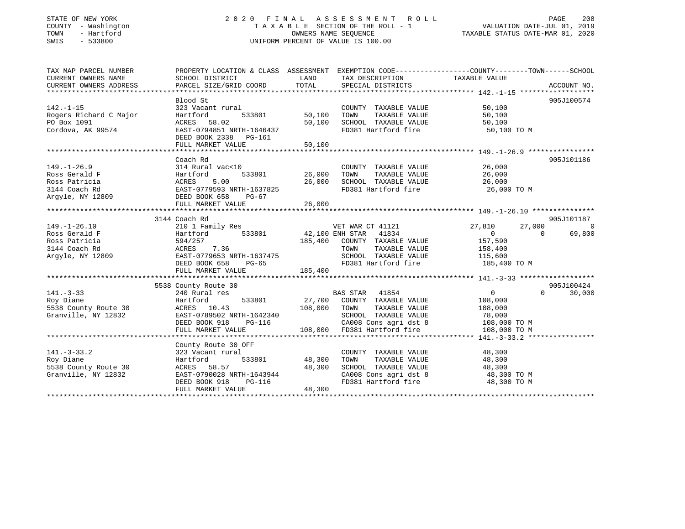### STATE OF NEW YORK 2 0 2 0 F I N A L A S S E S S M E N T R O L L PAGE 208 COUNTY - Washington T A X A B L E SECTION OF THE ROLL - 1 VALUATION DATE-JUL 01, 2019 TOWN - Hartford OWNERS NAME SEQUENCE TAXABLE STATUS DATE-MAR 01, 2020 SWIS - 533800 UNIFORM PERCENT OF VALUE IS 100.00

| TAX MAP PARCEL NUMBER             |                                                                                |               |                                               | PROPERTY LOCATION & CLASS ASSESSMENT EXEMPTION CODE---------------COUNTY-------TOWN------SCHOOL |                          |
|-----------------------------------|--------------------------------------------------------------------------------|---------------|-----------------------------------------------|-------------------------------------------------------------------------------------------------|--------------------------|
| CURRENT OWNERS NAME               | SCHOOL DISTRICT                                                                | LAND          | TAX DESCRIPTION                               | TAXABLE VALUE                                                                                   |                          |
| CURRENT OWNERS ADDRESS            | PARCEL SIZE/GRID COORD                                                         | TOTAL         | SPECIAL DISTRICTS                             |                                                                                                 | ACCOUNT NO.              |
|                                   |                                                                                |               |                                               |                                                                                                 |                          |
|                                   | Blood St                                                                       |               |                                               |                                                                                                 | 905J100574               |
| $142. - 1 - 15$                   | 323 Vacant rural                                                               |               | COUNTY TAXABLE VALUE                          | 50,100                                                                                          |                          |
| Rogers Richard C Major            | Hartford                                                                       | 533801 50,100 | TOWN<br>TAXABLE VALUE<br>SCHOOL TAXABLE VALUE | 50,100                                                                                          |                          |
| PO Box 1091                       | ACRES 58.02                                                                    | 50,100        |                                               | 50,100                                                                                          |                          |
| Cordova, AK 99574                 | EAST-0794851 NRTH-1646437<br>DEED BOOK 2338 PG-161                             |               |                                               | FD381 Hartford fire 50,100 TO M                                                                 |                          |
|                                   | FULL MARKET VALUE                                                              | 50,100        |                                               |                                                                                                 |                          |
|                                   |                                                                                |               |                                               |                                                                                                 |                          |
|                                   | Coach Rd                                                                       |               |                                               |                                                                                                 | 905J101186               |
| $149. - 1 - 26.9$                 | 314 Rural vac<10                                                               |               | COUNTY TAXABLE VALUE 26,000                   |                                                                                                 |                          |
| Ross Gerald F                     | Hartford                                                                       | 533801 26,000 | TAXABLE VALUE<br>TOWN                         | 26,000                                                                                          |                          |
| Ross Patricia                     | ACRES 5.00                                                                     | 26,000        |                                               | 26,000                                                                                          |                          |
| 3144 Coach Rd                     | EAST-0779593 NRTH-1637825                                                      |               | SCHOOL TAXABLE VALUE<br>FD381 Hartford fire   | 26,000 TO M                                                                                     |                          |
| Argyle, NY 12809 DEED BOOK 658    | PG-67                                                                          |               |                                               |                                                                                                 |                          |
|                                   | FULL MARKET VALUE                                                              | 26,000        |                                               |                                                                                                 |                          |
|                                   |                                                                                |               |                                               |                                                                                                 |                          |
|                                   | 3144 Coach Rd                                                                  |               |                                               |                                                                                                 | 905J101187               |
|                                   |                                                                                |               | VET WAR CT 41121                              | 27,810<br>27,000                                                                                | $\overline{\phantom{0}}$ |
|                                   |                                                                                |               |                                               | $\overline{0}$<br>$\overline{0}$                                                                | 69,800                   |
| Ross Patricia                     | 594/257<br>ACRES 7.36<br>EAST-0779653 NRTH-1637475                             | 185,400       | COUNTY TAXABLE VALUE 157,590                  |                                                                                                 |                          |
| 3144 Coach Rd                     |                                                                                |               | TAXABLE VALUE<br>TOWN                         | 158,400                                                                                         |                          |
| Argyle, NY 12809                  |                                                                                |               | SCHOOL TAXABLE VALUE                          | 115,600                                                                                         |                          |
|                                   | DEED BOOK 658<br>PG-65                                                         |               |                                               | FD381 Hartford fire 185,400 TO M                                                                |                          |
|                                   | FULL MARKET VALUE                                                              | 185,400       |                                               |                                                                                                 |                          |
|                                   |                                                                                |               |                                               |                                                                                                 |                          |
|                                   | 5538 County Route 30<br>240 Rural res                                          |               |                                               |                                                                                                 | 905J100424               |
| $141. - 3 - 33$                   |                                                                                |               | BAS STAR 41854                                | $0 \qquad \qquad$                                                                               | $0 \t 30,000$            |
| Roy Diane                         | Hartford                                                                       |               | 533801 27,700 COUNTY TAXABLE VALUE            | 108,000                                                                                         |                          |
| 5538 County Route 30              | ACRES 10.43<br>108,000 TOWN                                                    |               | TAXABLE VALUE                                 | 108,000                                                                                         |                          |
| Granville, NY 12832               | EAST-0789502 NRTH-1642340<br>EAST-0789502 NKTH-1642340<br>DEED BOOK 918 PG-116 |               | SCHOOL TAXABLE VALUE                          | 78,000                                                                                          |                          |
|                                   |                                                                                |               | CA008 Cons agri dst 8                         | 108,000 TO M                                                                                    |                          |
|                                   | FULL MARKET VALUE                                                              |               | 108,000 FD381 Hartford fire                   | 108,000 TO M                                                                                    |                          |
|                                   |                                                                                |               |                                               |                                                                                                 |                          |
|                                   | County Route 30 OFF                                                            |               |                                               |                                                                                                 |                          |
| $141. - 3 - 33.2$                 | 323 Vacant rural                                                               |               | COUNTY TAXABLE VALUE                          | 48,300                                                                                          |                          |
| Roy Diane<br>5538 County Route 30 | 533801<br>Hartford                                                             | 48,300        | TOWN                                          | TAXABLE VALUE 48,300<br>IL TAXABLE VALUE 48,300                                                 |                          |
|                                   | ACRES 58.57<br>EAST-0790028 NRTH-1643944                                       | 48,300        | SCHOOL TAXABLE VALUE                          | CA008 Cons agri dst 8 48,300 TO M                                                               |                          |
| Granville, NY 12832               | DEED BOOK 918<br>PG-116                                                        |               | FD381 Hartford fire                           | 48,300 TO M                                                                                     |                          |
|                                   | FULL MARKET VALUE                                                              | 48,300        |                                               |                                                                                                 |                          |
|                                   |                                                                                |               |                                               |                                                                                                 |                          |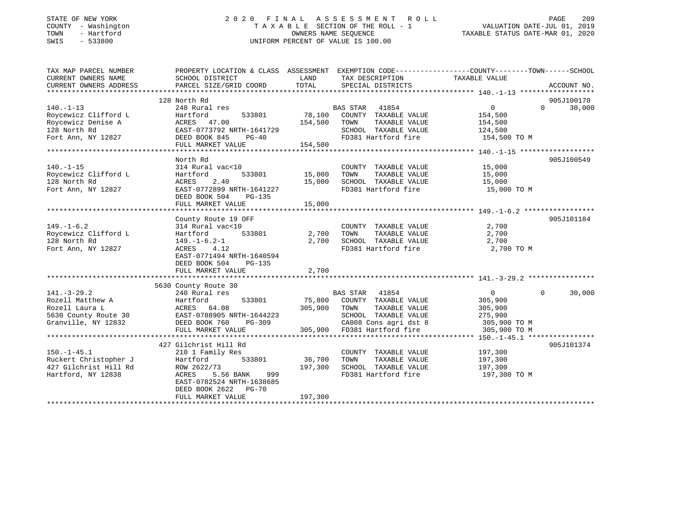#### STATE OF NEW YORK 2 0 2 0 F I N A L A S S E S S M E N T R O L L PAGE 209 COUNTY - Washington T A X A B L E SECTION OF THE ROLL - 1 VALUATION DATE-JUL 01, 2019 TOWN - Hartford OWNERS NAME SEQUENCE TAXABLE STATUS DATE-MAR 01, 2020 SWIS - 533800 UNIFORM PERCENT OF VALUE IS 100.00

| TAX MAP PARCEL NUMBER            | PROPERTY LOCATION & CLASS ASSESSMENT EXEMPTION CODE---------------COUNTY-------TOWN------SCHOOL                                                                       |                     |                                               |                            |               |
|----------------------------------|-----------------------------------------------------------------------------------------------------------------------------------------------------------------------|---------------------|-----------------------------------------------|----------------------------|---------------|
| CURRENT OWNERS NAME              | SCHOOL DISTRICT                                                                                                                                                       | LAND                | TAX DESCRIPTION                               | TAXABLE VALUE              |               |
| CURRENT OWNERS ADDRESS           | PARCEL SIZE/GRID COORD                                                                                                                                                | TOTAL               | SPECIAL DISTRICTS                             |                            | ACCOUNT NO.   |
|                                  |                                                                                                                                                                       |                     |                                               |                            |               |
|                                  | 128 North Rd                                                                                                                                                          |                     |                                               |                            | 905J100170    |
| $140. - 1 - 13$                  | 240 Rural res                                                                                                                                                         |                     | BAS STAR 41854                                | $0 \qquad \qquad$          | $0 \t 30,000$ |
| Roycewicz Clifford L             | 533801<br>Hartford                                                                                                                                                    |                     | 78,100 COUNTY TAXABLE VALUE                   | 154,500                    |               |
| Roycewicz Denise A               | ACRES 47.00                                                                                                                                                           | 154,500             | TOWN<br>TAXABLE VALUE                         | 154,500                    |               |
| 128 North Rd                     | EAST-0773792 NRTH-1641729                                                                                                                                             |                     | SCHOOL TAXABLE VALUE                          | 124,500                    |               |
| Fort Ann, NY 12827 DEED BOOK 845 | $PG-40$                                                                                                                                                               |                     | FD381 Hartford fire                           | 154,500 TO M               |               |
|                                  | FULL MARKET VALUE                                                                                                                                                     | 154,500             |                                               |                            |               |
|                                  |                                                                                                                                                                       |                     |                                               |                            |               |
|                                  | North Rd                                                                                                                                                              |                     |                                               |                            | 905J100549    |
| $140. - 1 - 15$                  | 314 Rural vac<10                                                                                                                                                      |                     | COUNTY TAXABLE VALUE                          | 15,000                     |               |
| Roycewicz Clifford L             | Hartford                                                                                                                                                              | 533801 15,000       | TAXABLE VALUE<br>TOWN                         | 15,000                     |               |
| 128 North Rd                     | ACRES<br>2.40                                                                                                                                                         | 15,000              | SCHOOL TAXABLE VALUE 15,000                   |                            |               |
| Fort Ann, NY 12827               | EAST-0772899 NRTH-1641227                                                                                                                                             |                     | FD381 Hartford fire                           | 15,000 TO M                |               |
|                                  | DEED BOOK 504<br>PG-135                                                                                                                                               |                     |                                               |                            |               |
|                                  | FULL MARKET VALUE                                                                                                                                                     | 15.000              |                                               |                            |               |
|                                  |                                                                                                                                                                       |                     |                                               |                            |               |
|                                  | County Route 19 OFF                                                                                                                                                   |                     |                                               |                            | 905J101184    |
| $149. - 1 - 6.2$                 | 314 Rural vac<10                                                                                                                                                      |                     | COUNTY TAXABLE VALUE                          | 2,700                      |               |
| Roycewicz Clifford L             | 533801<br>Hartford                                                                                                                                                    | 2,700 TOWN          | TAXABLE VALUE                                 | 2,700                      |               |
| 128 North Rd                     | 149.-1-6.2-1                                                                                                                                                          | 2,700               | SCHOOL TAXABLE VALUE                          | 2,700                      |               |
| Fort Ann, NY 12827               | ACRES 4.12                                                                                                                                                            |                     | FD381 Hartford fire                           | 2,700 TO M                 |               |
|                                  | EAST-0771494 NRTH-1640594                                                                                                                                             |                     |                                               |                            |               |
|                                  | DEED BOOK 504<br><b>PG-135</b>                                                                                                                                        |                     |                                               |                            |               |
|                                  | FULL MARKET VALUE                                                                                                                                                     | 2,700               |                                               |                            |               |
|                                  |                                                                                                                                                                       |                     |                                               |                            |               |
| $141. - 3 - 29.2$                | 5630 County Route 30                                                                                                                                                  |                     | BAS STAR 41854                                | $\overline{0}$<br>$\Omega$ |               |
|                                  | 240 Rural res                                                                                                                                                         | 75,800              |                                               | 305,900                    | 30,000        |
|                                  | And The Solid Martineum and Hartford<br>Rozell Matthew A Hartford<br>Rozell Laura L<br>533801<br>S630 County Route 30<br>Granville, NY 12832<br>CHERE BOOK 760 PG-309 | 305,900             | COUNTY TAXABLE VALUE<br>TOWN<br>TAXABLE VALUE |                            |               |
|                                  |                                                                                                                                                                       |                     | SCHOOL TAXABLE VALUE                          | 305,900<br>275,900         |               |
|                                  |                                                                                                                                                                       | H-1644223<br>PG-309 | CA008 Cons agri dst 8 305,900 TO M            |                            |               |
|                                  | FULL MARKET VALUE                                                                                                                                                     |                     | 305,900 FD381 Hartford fire                   | 305,900 TO M               |               |
|                                  |                                                                                                                                                                       |                     |                                               |                            |               |
|                                  | 427 Gilchrist Hill Rd                                                                                                                                                 |                     |                                               |                            | 905J101374    |
| $150. - 1 - 45.1$                | 210 1 Family Res                                                                                                                                                      |                     | COUNTY TAXABLE VALUE                          | 197,300                    |               |
| Ruckert Christopher J            | Hartford<br>533801                                                                                                                                                    | 36,700              | TOWN<br>TAXABLE VALUE                         | 197,300                    |               |
| 427 Gilchrist Hill Rd            | ROW 2622/73                                                                                                                                                           | 197,300             | SCHOOL TAXABLE VALUE                          | 197,300                    |               |
| Hartford, NY 12838               | ACRES 5.56 BANK 999                                                                                                                                                   |                     | FD381 Hartford fire                           | 197,300 TO M               |               |
|                                  | EAST-0782524 NRTH-1638685                                                                                                                                             |                     |                                               |                            |               |
|                                  | DEED BOOK 2622 PG-70                                                                                                                                                  |                     |                                               |                            |               |
|                                  | FULL MARKET VALUE                                                                                                                                                     | 197,300             |                                               |                            |               |
|                                  |                                                                                                                                                                       |                     |                                               |                            |               |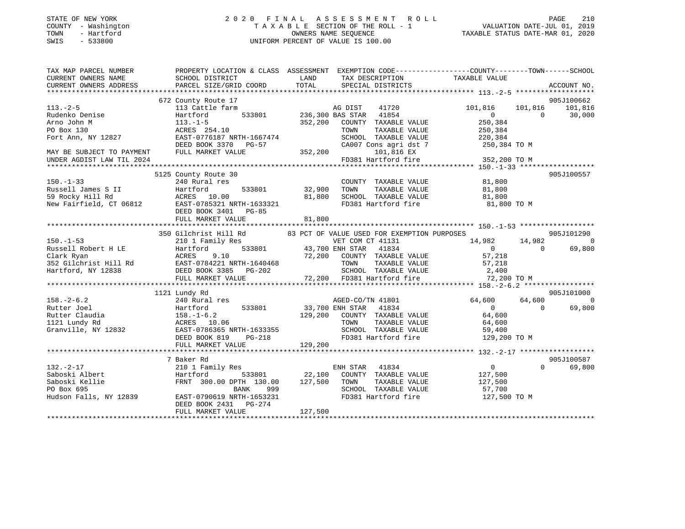| STATE OF NEW YORK |              |
|-------------------|--------------|
| <b>COUNTY</b>     | - Washington |
| TOWN              | - Hartford   |
| CMT C             | につつOOO       |

#### STATE OF NEW YORK 2 0 2 0 F I N A L A S S E S S M E N T R O L L PAGE 210 COUNTY - Washington T A X A B L E SECTION OF THE ROLL - 1 VALUATION DATE-JUL 01, 2019 OWNERS NAME SEQUENCE TAXABLE STATUS DATE-MAR 01, 2020 SWIS - 533800 UNIFORM PERCENT OF VALUE IS 100.00

| TAX MAP PARCEL NUMBER     |                                                                           |                                                                                                                                                                                    | PROPERTY LOCATION & CLASS ASSESSMENT EXEMPTION CODE---------------COUNTY-------TOWN-----SCHOOL                                                                                                                                         |
|---------------------------|---------------------------------------------------------------------------|------------------------------------------------------------------------------------------------------------------------------------------------------------------------------------|----------------------------------------------------------------------------------------------------------------------------------------------------------------------------------------------------------------------------------------|
| CURRENT OWNERS NAME       | SCHOOL DISTRICT                                                           | LAND<br>TAX DESCRIPTION                                                                                                                                                            | TAXABLE VALUE                                                                                                                                                                                                                          |
| CURRENT OWNERS ADDRESS    | PARCEL SIZE/GRID COORD                                                    | TOTAL<br>SPECIAL DISTRICTS                                                                                                                                                         | ACCOUNT NO.                                                                                                                                                                                                                            |
|                           |                                                                           |                                                                                                                                                                                    |                                                                                                                                                                                                                                        |
|                           | 672 County Route 17<br>County Route 17<br>113 Cattle farm                 |                                                                                                                                                                                    | 905J100662                                                                                                                                                                                                                             |
| $113.-2-5$                |                                                                           | AG DIST 41720                                                                                                                                                                      | 101,816 101,816 101,816<br>$250, 304$<br>250.304                                                                                                                                                                                       |
| Rudenko Denise            | Hartford                                                                  | 533801 236,300 BAS STAR 41854                                                                                                                                                      | 30,000                                                                                                                                                                                                                                 |
| Arno John M               | $113. - 1 - 5$                                                            | 352,200 COUNTY TAXABLE VALUE                                                                                                                                                       |                                                                                                                                                                                                                                        |
| PO Box 130                | ACRES 254.10                                                              | TOWN<br>TAXABLE VALUE                                                                                                                                                              | 250,384                                                                                                                                                                                                                                |
| Fort Ann, NY 12827        | EAST-0776187 NRTH-1667474                                                 | SCHOOL TAXABLE VALUE 220,384<br>CA007 Cons agri dst 7 250,384 TO M                                                                                                                 |                                                                                                                                                                                                                                        |
|                           | DEED BOOK 3370 PG-57                                                      |                                                                                                                                                                                    |                                                                                                                                                                                                                                        |
| MAY BE SUBJECT TO PAYMENT | FULL MARKET VALUE                                                         | 352,200<br>101,816 EX                                                                                                                                                              |                                                                                                                                                                                                                                        |
| UNDER AGDIST LAW TIL 2024 |                                                                           | FD381 Hartford fire                                                                                                                                                                | 352,200 TO M                                                                                                                                                                                                                           |
|                           |                                                                           |                                                                                                                                                                                    |                                                                                                                                                                                                                                        |
|                           | 5125 County Route 30                                                      |                                                                                                                                                                                    | 905J100557                                                                                                                                                                                                                             |
| $150. -1 - 33$            | 240 Rural res                                                             | COUNTY TAXABLE VALUE 81,800                                                                                                                                                        |                                                                                                                                                                                                                                        |
|                           |                                                                           | 32,900 TOWN<br>$32,900 \qquad \text{TOWN} \qquad \text{TAXABLE VALUE} \qquad \qquad 81,800 \\ \text{81,800} \qquad \text{SCHOOL} \qquad \text{TAXABLE VALUE} \qquad \qquad 81,800$ |                                                                                                                                                                                                                                        |
|                           |                                                                           |                                                                                                                                                                                    |                                                                                                                                                                                                                                        |
|                           |                                                                           | FD381 Hartford fire 81,800 TO M                                                                                                                                                    |                                                                                                                                                                                                                                        |
|                           | DEED BOOK 3401 PG-85                                                      |                                                                                                                                                                                    |                                                                                                                                                                                                                                        |
|                           | FULL MARKET VALUE                                                         | 81,800                                                                                                                                                                             |                                                                                                                                                                                                                                        |
|                           |                                                                           |                                                                                                                                                                                    |                                                                                                                                                                                                                                        |
|                           |                                                                           | 350 Gilchrist Hill Rd 83 PCT OF VALUE USED FOR EXEMPTION PURPOSES                                                                                                                  | 905J101290                                                                                                                                                                                                                             |
| $150. - 1 - 53$           | 210 1 Family Res                                                          | VET COM CT 41131                                                                                                                                                                   | 14,982 14,982<br>$\bigcirc$                                                                                                                                                                                                            |
|                           |                                                                           | 533801 43,700 ENH STAR                                                                                                                                                             |                                                                                                                                                                                                                                        |
|                           |                                                                           |                                                                                                                                                                                    |                                                                                                                                                                                                                                        |
|                           |                                                                           |                                                                                                                                                                                    |                                                                                                                                                                                                                                        |
|                           |                                                                           |                                                                                                                                                                                    |                                                                                                                                                                                                                                        |
|                           |                                                                           |                                                                                                                                                                                    |                                                                                                                                                                                                                                        |
|                           |                                                                           |                                                                                                                                                                                    | 150.-1-53<br>Russell Robert H LE Hartford 533801 43,700 ENH STAR 41834 0<br>Clark Ryan ACRES 9.10 72,200 COUNTY TAXABLE VALUE 57,218<br>352 Gilchrist Hill Rd EAST-0784221 NRTH-1640468 TOWN TAXABLE VALUE 57,218<br>Hartford, NY 1283 |
|                           | 1121 Lundy Rd                                                             |                                                                                                                                                                                    | 905J101000                                                                                                                                                                                                                             |
| $158. - 2 - 6.2$          | 240 Rural res                                                             | AGED-CO/TN 41801                                                                                                                                                                   | $\overline{0}$<br>64,600<br>64,600                                                                                                                                                                                                     |
| Rutter Joel               |                                                                           | 533801 33,700 ENH STAR<br>41834                                                                                                                                                    | 69,800<br>$\sim$ 0<br>$\Omega$                                                                                                                                                                                                         |
| Rutter Claudia            |                                                                           | 129,200 COUNTY TAXABLE VALUE                                                                                                                                                       | 64,600                                                                                                                                                                                                                                 |
| 1121 Lundy Rd             |                                                                           |                                                                                                                                                                                    | TAXABLE VALUE 64,600                                                                                                                                                                                                                   |
| Granville, NY 12832       |                                                                           |                                                                                                                                                                                    |                                                                                                                                                                                                                                        |
|                           | 240 Rural re.<br>Hartford<br>158.-1-6.2<br>262 ACRES<br>2632 EAST-0786365 |                                                                                                                                                                                    | 129,200 TO M                                                                                                                                                                                                                           |
|                           | FULL MARKET VALUE                                                         | 129,200                                                                                                                                                                            |                                                                                                                                                                                                                                        |
|                           |                                                                           |                                                                                                                                                                                    |                                                                                                                                                                                                                                        |
|                           | 7 Baker Rd                                                                |                                                                                                                                                                                    | 905J100587                                                                                                                                                                                                                             |
| $132. - 2 - 17$           | 210 1 Family Res                                                          | ENH STAR 41834                                                                                                                                                                     | $\overline{0}$<br>$\Omega$<br>69,800                                                                                                                                                                                                   |
| Saboski Albert            | Hartford                                                                  | 533801 22,100 COUNTY TAXABLE VALUE 127,500                                                                                                                                         |                                                                                                                                                                                                                                        |
| Saboski Kellie            | FRNT 300.00 DPTH 130.00                                                   | 127,500 TOWN<br>TAXABLE VALUE                                                                                                                                                      | 127,500                                                                                                                                                                                                                                |
| PO Box 695                | <b>BANK</b><br>999                                                        | SCHOOL TAXABLE VALUE                                                                                                                                                               | 57,700                                                                                                                                                                                                                                 |
|                           | Hudson Falls, NY 12839 EAST-0790619 NRTH-1653231                          | FD381 Hartford fire                                                                                                                                                                | 127,500 TO M                                                                                                                                                                                                                           |
|                           | DEED BOOK 2431 PG-274                                                     |                                                                                                                                                                                    |                                                                                                                                                                                                                                        |
|                           | FULL MARKET VALUE                                                         | 127,500                                                                                                                                                                            |                                                                                                                                                                                                                                        |
|                           |                                                                           |                                                                                                                                                                                    |                                                                                                                                                                                                                                        |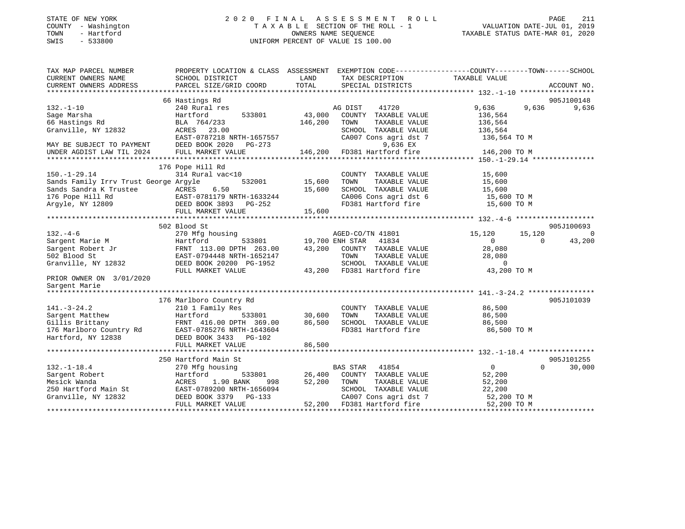| STATE OF NEW YORK<br>COUNTY - Washington<br>- Hartford<br>TOWN<br>$-533800$<br>SWIS | 2020 FINAL                                            |                   | A S S E S S M E N T<br>R O L L<br>TAXABLE SECTION OF THE ROLL - 1<br>OWNERS NAME SEOUENCE<br>UNIFORM PERCENT OF VALUE IS 100.00 | VALUATION DATE-JUL 01, 2019<br>TAXABLE STATUS DATE-MAR 01, 2020 | PAGE<br>211 |
|-------------------------------------------------------------------------------------|-------------------------------------------------------|-------------------|---------------------------------------------------------------------------------------------------------------------------------|-----------------------------------------------------------------|-------------|
| TAX MAP PARCEL NUMBER<br>CURRENT OWNERS NAME                                        | SCHOOL DISTRICT                                       | LAND              | PROPERTY LOCATION & CLASS ASSESSMENT EXEMPTION CODE----------------COUNTY-------TOWN-----SCHOOL<br>TAX DESCRIPTION              | TAXABLE VALUE                                                   |             |
| CURRENT OWNERS ADDRESS                                                              | PARCEL SIZE/GRID COORD                                | TOTAL             | SPECIAL DISTRICTS                                                                                                               |                                                                 | ACCOUNT NO. |
|                                                                                     |                                                       |                   |                                                                                                                                 |                                                                 |             |
|                                                                                     | 66 Hastings Rd                                        |                   |                                                                                                                                 |                                                                 | 905J100148  |
| $132. - 1 - 10$                                                                     | 240 Rural res                                         |                   | AG DIST<br>41720                                                                                                                | 9,636<br>9,636                                                  | 9,636       |
| Sage Marsha<br>66 Hastings Rd                                                       | Hartford<br>533801<br>BLA 764/233                     | 43,000<br>146,200 | COUNTY TAXABLE VALUE<br>TOWN<br>TAXABLE VALUE                                                                                   | 136,564<br>136,564                                              |             |
| Granville, NY 12832                                                                 | 23.00<br>ACRES                                        |                   | SCHOOL TAXABLE VALUE                                                                                                            | 136,564                                                         |             |
|                                                                                     | EAST-0787218 NRTH-1657557                             |                   | CA007 Cons agri dst 7                                                                                                           | 136,564 TO M                                                    |             |
| MAY BE SUBJECT TO PAYMENT                                                           | DEED BOOK 2020<br>PG-273                              |                   | 9,636 EX                                                                                                                        |                                                                 |             |
| UNDER AGDIST LAW TIL 2024                                                           | FULL MARKET VALUE                                     | 146,200           | FD381 Hartford fire                                                                                                             | 146,200 TO M                                                    |             |
|                                                                                     |                                                       |                   |                                                                                                                                 |                                                                 |             |
|                                                                                     | 176 Pope Hill Rd                                      |                   |                                                                                                                                 |                                                                 |             |
| $150. - 1 - 29.14$                                                                  | 314 Rural vac<10                                      |                   | COUNTY TAXABLE VALUE                                                                                                            | 15,600                                                          |             |
| Sands Family Irrv Trust George Argyle                                               | 532001                                                | 15,600            | TOWN<br>TAXABLE VALUE                                                                                                           | 15,600                                                          |             |
| Sands Sandra K Trustee                                                              | ACRES<br>6.50                                         | 15,600            | SCHOOL TAXABLE VALUE                                                                                                            | 15,600                                                          |             |
| 176 Pope Hill Rd                                                                    | EAST-0781179 NRTH-1633244                             |                   | CA006 Cons agri dst 6                                                                                                           | 15,600 TO M                                                     |             |
| Argyle, NY 12809                                                                    | DEED BOOK 3893 PG-252                                 |                   | FD381 Hartford fire                                                                                                             | 15,600 TO M                                                     |             |
|                                                                                     | FULL MARKET VALUE                                     | 15,600            |                                                                                                                                 |                                                                 |             |
|                                                                                     |                                                       |                   |                                                                                                                                 |                                                                 |             |
|                                                                                     | 502 Blood St                                          |                   |                                                                                                                                 |                                                                 | 905J100693  |
| $132. - 4 - 6$                                                                      | 270 Mfg housing                                       |                   | AGED-CO/TN 41801                                                                                                                | 15,120<br>15,120                                                | $\Omega$    |
| Sargent Marie M                                                                     | Hartford<br>533801                                    |                   | 19,700 ENH STAR<br>41834                                                                                                        | $\mathbf 0$<br>0                                                | 43,200      |
| Sargent Robert Jr                                                                   | FRNT 113.00 DPTH 263.00                               | 43,200            | COUNTY TAXABLE VALUE                                                                                                            | 28,080                                                          |             |
| 502 Blood St                                                                        | EAST-0794448 NRTH-1652147                             |                   | TOWN<br>TAXABLE VALUE                                                                                                           | 28,080                                                          |             |
| Granville, NY 12832                                                                 | DEED BOOK 20200 PG-1952                               |                   | SCHOOL TAXABLE VALUE                                                                                                            | $\Omega$                                                        |             |
|                                                                                     | FULL MARKET VALUE                                     |                   | 43,200 FD381 Hartford fire                                                                                                      | 43,200 TO M                                                     |             |
| PRIOR OWNER ON 3/01/2020                                                            |                                                       |                   |                                                                                                                                 |                                                                 |             |
| Sargent Marie                                                                       |                                                       |                   |                                                                                                                                 |                                                                 |             |
|                                                                                     |                                                       |                   |                                                                                                                                 |                                                                 |             |
|                                                                                     | 176 Marlboro Country Rd                               |                   |                                                                                                                                 |                                                                 | 905J101039  |
| $141. - 3 - 24.2$                                                                   | 210 1 Family Res                                      |                   | COUNTY TAXABLE VALUE                                                                                                            | 86,500                                                          |             |
| Sargent Matthew                                                                     | Hartford<br>533801                                    | 30,600            | TOWN<br>TAXABLE VALUE                                                                                                           | 86,500                                                          |             |
| Gillis Brittany                                                                     | FRNT 416.00 DPTH 369.00                               | 86,500            | SCHOOL TAXABLE VALUE<br>FD381 Hartford fire                                                                                     | 86,500                                                          |             |
| 176 Marlboro Country Rd<br>Hartford, NY 12838                                       | EAST-0785276 NRTH-1643604<br>DEED BOOK 3433<br>PG-102 |                   |                                                                                                                                 | 86,500 TO M                                                     |             |
|                                                                                     | FULL MARKET VALUE                                     | 86,500            |                                                                                                                                 |                                                                 |             |
|                                                                                     |                                                       |                   |                                                                                                                                 |                                                                 |             |
|                                                                                     | 250 Hartford Main St                                  |                   |                                                                                                                                 |                                                                 | 905J101255  |
| $132. - 1 - 18.4$                                                                   | 270 Mfg housing                                       |                   | <b>BAS STAR</b><br>41854                                                                                                        | $\overline{0}$<br>$\Omega$                                      | 30,000      |
| Sargent Robert                                                                      | Hartford<br>533801                                    | 26,400            | COUNTY TAXABLE VALUE                                                                                                            | 52,200                                                          |             |
| Mesick Wanda                                                                        | 1.90 BANK<br>ACRES<br>998                             | 52,200            | TAXABLE VALUE<br>TOWN                                                                                                           | 52,200                                                          |             |
| 250 Hartford Main St                                                                | EAST-0789200 NRTH-1656094                             |                   | SCHOOL TAXABLE VALUE                                                                                                            | 22,200                                                          |             |
| Granville, NY 12832                                                                 | DEED BOOK 3379<br>$PG-133$                            |                   | CA007 Cons agri dst 7                                                                                                           | 52,200 TO M                                                     |             |
|                                                                                     | FULL MARKET VALUE                                     | 52,200            | FD381 Hartford fire                                                                                                             | 52,200 TO M                                                     |             |

\*\*\*\*\*\*\*\*\*\*\*\*\*\*\*\*\*\*\*\*\*\*\*\*\*\*\*\*\*\*\*\*\*\*\*\*\*\*\*\*\*\*\*\*\*\*\*\*\*\*\*\*\*\*\*\*\*\*\*\*\*\*\*\*\*\*\*\*\*\*\*\*\*\*\*\*\*\*\*\*\*\*\*\*\*\*\*\*\*\*\*\*\*\*\*\*\*\*\*\*\*\*\*\*\*\*\*\*\*\*\*\*\*\*\*\*\*\*\*\*\*\*\*\*\*\*\*\*\*\*\*\*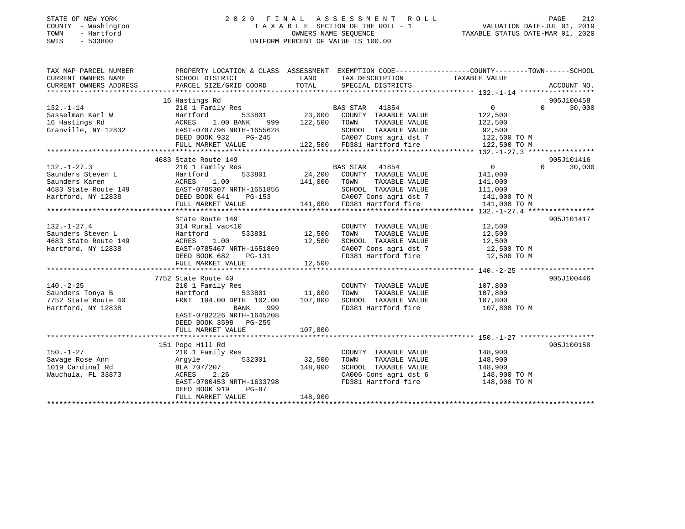#### STATE OF NEW YORK 2 0 2 0 F I N A L A S S E S S M E N T R O L L PAGE 212 COUNTY - Washington T A X A B L E SECTION OF THE ROLL - 1 VALUATION DATE-JUL 01, 2019 TOWN - Hartford OWNERS NAME SEQUENCE TAXABLE STATUS DATE-MAR 01, 2020 SWIS - 533800 UNIFORM PERCENT OF VALUE IS 100.00

| TAXABLE VALUE<br>CURRENT OWNERS NAME<br>SCHOOL DISTRICT<br>LAND<br>TAX DESCRIPTION<br>TOTAL<br>CURRENT OWNERS ADDRESS<br>PARCEL SIZE/GRID COORD<br>SPECIAL DISTRICTS<br>ACCOUNT NO.<br>16 Hastings Rd<br>905J100458<br>210 1 Family Res<br>Hartford 533801 23,000<br>$132. - 1 - 14$<br>$0 \qquad \qquad$<br>$0 \t 30,000$<br>BAS STAR 41854<br>122,500<br>Sasselman Karl W<br>Hartford<br>COUNTY TAXABLE VALUE<br>999 122,500 TOWN<br>16 Hastings Rd<br>1.00 BANK<br>TAXABLE VALUE<br>ACRES<br>122,500<br>Granville, NY 12832<br>EAST-0787796 NRTH-1655628<br>SCHOOL TAXABLE VALUE<br>CA007 Cons agri dst 7<br>92,500<br>122,500 TO M<br>$PG-245$<br>DEED BOOK 932<br>122,500 FD381 Hartford fire 122,500 TO M<br>FULL MARKET VALUE<br>905J101416<br>4683 State Route 149<br>$\overline{0}$<br>$\Omega$<br>30,000<br>$132. - 1 - 27.3$<br>132.-1-27.3<br>Saunders Steven L<br>Saunders Karen (149 EAST-0785307 NRTH-1651856 141,000<br>441,000<br>441,000<br>441,000<br>441,000<br>441,000<br>533801<br>533801<br>533801<br>533801<br>533801<br>533801<br>547,200<br>441,000<br>547,200<br>547,200<br>5483<br><br>141,000<br>141,000 TOWN<br>TAXABLE VALUE<br>141,000<br>SCHOOL TAXABLE VALUE<br>111,000<br>141,000 TO M<br>141,000 TO M CA007 Cons agri dst 7 (141,000 TO M 141,000 FD381 Hartford fire 141,000 TO M<br>FULL MARKET VALUE<br>905J101417<br>State Route 149<br>COUNTY TAXABLE VALUE 12,500<br>$132. - 1 - 27.4$<br>314 Rural vac<10<br>Saunders Steven L<br>533801 12,500<br>Hartford<br>TOWN<br>TAXABLE VALUE<br>12,500<br>ACRES 1.00<br>12,500<br>SCHOOL TAXABLE VALUE<br>4683 State Route 149<br>12,500<br>EAST-0785467 NRTH-1651869<br>CA007 Cons agri dst 7 12,500 TO M<br>Hartford, NY 12838<br>FD381 Hartford fire<br>DEED BOOK 682<br>12,500 TO M<br>PG-131<br>12,500<br>FULL MARKET VALUE<br>905J100446<br>7752 State Route 40<br>210 1 Family Res<br>COUNTY TAXABLE VALUE 107,800<br>$140. -2 - 25$<br>Hartford 533801 11,000<br>FRNT 104.00 DPTH 102.00 107,800<br>Saunders Tonya B<br>TOWN<br>TAXABLE VALUE<br>Hartford<br>107,800<br>107,800<br>7752 State Route 40<br>Hartford NY 19939<br>SCHOOL TAXABLE VALUE<br>FD381 Hartford fire 107,800 TO M<br>Hartford, NY 12838<br>BANK<br>999<br>EAST-0782226 NRTH-1645208<br>DEED BOOK 3598 PG-255 |
|-------------------------------------------------------------------------------------------------------------------------------------------------------------------------------------------------------------------------------------------------------------------------------------------------------------------------------------------------------------------------------------------------------------------------------------------------------------------------------------------------------------------------------------------------------------------------------------------------------------------------------------------------------------------------------------------------------------------------------------------------------------------------------------------------------------------------------------------------------------------------------------------------------------------------------------------------------------------------------------------------------------------------------------------------------------------------------------------------------------------------------------------------------------------------------------------------------------------------------------------------------------------------------------------------------------------------------------------------------------------------------------------------------------------------------------------------------------------------------------------------------------------------------------------------------------------------------------------------------------------------------------------------------------------------------------------------------------------------------------------------------------------------------------------------------------------------------------------------------------------------------------------------------------------------------------------------------------------------------------------------------------------------------------------------------------------------------------------------------------------------------------------------------------------------------------------------------------------------------------------------------------------------------|
|                                                                                                                                                                                                                                                                                                                                                                                                                                                                                                                                                                                                                                                                                                                                                                                                                                                                                                                                                                                                                                                                                                                                                                                                                                                                                                                                                                                                                                                                                                                                                                                                                                                                                                                                                                                                                                                                                                                                                                                                                                                                                                                                                                                                                                                                               |
|                                                                                                                                                                                                                                                                                                                                                                                                                                                                                                                                                                                                                                                                                                                                                                                                                                                                                                                                                                                                                                                                                                                                                                                                                                                                                                                                                                                                                                                                                                                                                                                                                                                                                                                                                                                                                                                                                                                                                                                                                                                                                                                                                                                                                                                                               |
|                                                                                                                                                                                                                                                                                                                                                                                                                                                                                                                                                                                                                                                                                                                                                                                                                                                                                                                                                                                                                                                                                                                                                                                                                                                                                                                                                                                                                                                                                                                                                                                                                                                                                                                                                                                                                                                                                                                                                                                                                                                                                                                                                                                                                                                                               |
|                                                                                                                                                                                                                                                                                                                                                                                                                                                                                                                                                                                                                                                                                                                                                                                                                                                                                                                                                                                                                                                                                                                                                                                                                                                                                                                                                                                                                                                                                                                                                                                                                                                                                                                                                                                                                                                                                                                                                                                                                                                                                                                                                                                                                                                                               |
|                                                                                                                                                                                                                                                                                                                                                                                                                                                                                                                                                                                                                                                                                                                                                                                                                                                                                                                                                                                                                                                                                                                                                                                                                                                                                                                                                                                                                                                                                                                                                                                                                                                                                                                                                                                                                                                                                                                                                                                                                                                                                                                                                                                                                                                                               |
|                                                                                                                                                                                                                                                                                                                                                                                                                                                                                                                                                                                                                                                                                                                                                                                                                                                                                                                                                                                                                                                                                                                                                                                                                                                                                                                                                                                                                                                                                                                                                                                                                                                                                                                                                                                                                                                                                                                                                                                                                                                                                                                                                                                                                                                                               |
|                                                                                                                                                                                                                                                                                                                                                                                                                                                                                                                                                                                                                                                                                                                                                                                                                                                                                                                                                                                                                                                                                                                                                                                                                                                                                                                                                                                                                                                                                                                                                                                                                                                                                                                                                                                                                                                                                                                                                                                                                                                                                                                                                                                                                                                                               |
|                                                                                                                                                                                                                                                                                                                                                                                                                                                                                                                                                                                                                                                                                                                                                                                                                                                                                                                                                                                                                                                                                                                                                                                                                                                                                                                                                                                                                                                                                                                                                                                                                                                                                                                                                                                                                                                                                                                                                                                                                                                                                                                                                                                                                                                                               |
|                                                                                                                                                                                                                                                                                                                                                                                                                                                                                                                                                                                                                                                                                                                                                                                                                                                                                                                                                                                                                                                                                                                                                                                                                                                                                                                                                                                                                                                                                                                                                                                                                                                                                                                                                                                                                                                                                                                                                                                                                                                                                                                                                                                                                                                                               |
|                                                                                                                                                                                                                                                                                                                                                                                                                                                                                                                                                                                                                                                                                                                                                                                                                                                                                                                                                                                                                                                                                                                                                                                                                                                                                                                                                                                                                                                                                                                                                                                                                                                                                                                                                                                                                                                                                                                                                                                                                                                                                                                                                                                                                                                                               |
|                                                                                                                                                                                                                                                                                                                                                                                                                                                                                                                                                                                                                                                                                                                                                                                                                                                                                                                                                                                                                                                                                                                                                                                                                                                                                                                                                                                                                                                                                                                                                                                                                                                                                                                                                                                                                                                                                                                                                                                                                                                                                                                                                                                                                                                                               |
|                                                                                                                                                                                                                                                                                                                                                                                                                                                                                                                                                                                                                                                                                                                                                                                                                                                                                                                                                                                                                                                                                                                                                                                                                                                                                                                                                                                                                                                                                                                                                                                                                                                                                                                                                                                                                                                                                                                                                                                                                                                                                                                                                                                                                                                                               |
|                                                                                                                                                                                                                                                                                                                                                                                                                                                                                                                                                                                                                                                                                                                                                                                                                                                                                                                                                                                                                                                                                                                                                                                                                                                                                                                                                                                                                                                                                                                                                                                                                                                                                                                                                                                                                                                                                                                                                                                                                                                                                                                                                                                                                                                                               |
|                                                                                                                                                                                                                                                                                                                                                                                                                                                                                                                                                                                                                                                                                                                                                                                                                                                                                                                                                                                                                                                                                                                                                                                                                                                                                                                                                                                                                                                                                                                                                                                                                                                                                                                                                                                                                                                                                                                                                                                                                                                                                                                                                                                                                                                                               |
|                                                                                                                                                                                                                                                                                                                                                                                                                                                                                                                                                                                                                                                                                                                                                                                                                                                                                                                                                                                                                                                                                                                                                                                                                                                                                                                                                                                                                                                                                                                                                                                                                                                                                                                                                                                                                                                                                                                                                                                                                                                                                                                                                                                                                                                                               |
|                                                                                                                                                                                                                                                                                                                                                                                                                                                                                                                                                                                                                                                                                                                                                                                                                                                                                                                                                                                                                                                                                                                                                                                                                                                                                                                                                                                                                                                                                                                                                                                                                                                                                                                                                                                                                                                                                                                                                                                                                                                                                                                                                                                                                                                                               |
|                                                                                                                                                                                                                                                                                                                                                                                                                                                                                                                                                                                                                                                                                                                                                                                                                                                                                                                                                                                                                                                                                                                                                                                                                                                                                                                                                                                                                                                                                                                                                                                                                                                                                                                                                                                                                                                                                                                                                                                                                                                                                                                                                                                                                                                                               |
|                                                                                                                                                                                                                                                                                                                                                                                                                                                                                                                                                                                                                                                                                                                                                                                                                                                                                                                                                                                                                                                                                                                                                                                                                                                                                                                                                                                                                                                                                                                                                                                                                                                                                                                                                                                                                                                                                                                                                                                                                                                                                                                                                                                                                                                                               |
|                                                                                                                                                                                                                                                                                                                                                                                                                                                                                                                                                                                                                                                                                                                                                                                                                                                                                                                                                                                                                                                                                                                                                                                                                                                                                                                                                                                                                                                                                                                                                                                                                                                                                                                                                                                                                                                                                                                                                                                                                                                                                                                                                                                                                                                                               |
|                                                                                                                                                                                                                                                                                                                                                                                                                                                                                                                                                                                                                                                                                                                                                                                                                                                                                                                                                                                                                                                                                                                                                                                                                                                                                                                                                                                                                                                                                                                                                                                                                                                                                                                                                                                                                                                                                                                                                                                                                                                                                                                                                                                                                                                                               |
|                                                                                                                                                                                                                                                                                                                                                                                                                                                                                                                                                                                                                                                                                                                                                                                                                                                                                                                                                                                                                                                                                                                                                                                                                                                                                                                                                                                                                                                                                                                                                                                                                                                                                                                                                                                                                                                                                                                                                                                                                                                                                                                                                                                                                                                                               |
|                                                                                                                                                                                                                                                                                                                                                                                                                                                                                                                                                                                                                                                                                                                                                                                                                                                                                                                                                                                                                                                                                                                                                                                                                                                                                                                                                                                                                                                                                                                                                                                                                                                                                                                                                                                                                                                                                                                                                                                                                                                                                                                                                                                                                                                                               |
|                                                                                                                                                                                                                                                                                                                                                                                                                                                                                                                                                                                                                                                                                                                                                                                                                                                                                                                                                                                                                                                                                                                                                                                                                                                                                                                                                                                                                                                                                                                                                                                                                                                                                                                                                                                                                                                                                                                                                                                                                                                                                                                                                                                                                                                                               |
|                                                                                                                                                                                                                                                                                                                                                                                                                                                                                                                                                                                                                                                                                                                                                                                                                                                                                                                                                                                                                                                                                                                                                                                                                                                                                                                                                                                                                                                                                                                                                                                                                                                                                                                                                                                                                                                                                                                                                                                                                                                                                                                                                                                                                                                                               |
|                                                                                                                                                                                                                                                                                                                                                                                                                                                                                                                                                                                                                                                                                                                                                                                                                                                                                                                                                                                                                                                                                                                                                                                                                                                                                                                                                                                                                                                                                                                                                                                                                                                                                                                                                                                                                                                                                                                                                                                                                                                                                                                                                                                                                                                                               |
|                                                                                                                                                                                                                                                                                                                                                                                                                                                                                                                                                                                                                                                                                                                                                                                                                                                                                                                                                                                                                                                                                                                                                                                                                                                                                                                                                                                                                                                                                                                                                                                                                                                                                                                                                                                                                                                                                                                                                                                                                                                                                                                                                                                                                                                                               |
|                                                                                                                                                                                                                                                                                                                                                                                                                                                                                                                                                                                                                                                                                                                                                                                                                                                                                                                                                                                                                                                                                                                                                                                                                                                                                                                                                                                                                                                                                                                                                                                                                                                                                                                                                                                                                                                                                                                                                                                                                                                                                                                                                                                                                                                                               |
|                                                                                                                                                                                                                                                                                                                                                                                                                                                                                                                                                                                                                                                                                                                                                                                                                                                                                                                                                                                                                                                                                                                                                                                                                                                                                                                                                                                                                                                                                                                                                                                                                                                                                                                                                                                                                                                                                                                                                                                                                                                                                                                                                                                                                                                                               |
|                                                                                                                                                                                                                                                                                                                                                                                                                                                                                                                                                                                                                                                                                                                                                                                                                                                                                                                                                                                                                                                                                                                                                                                                                                                                                                                                                                                                                                                                                                                                                                                                                                                                                                                                                                                                                                                                                                                                                                                                                                                                                                                                                                                                                                                                               |
|                                                                                                                                                                                                                                                                                                                                                                                                                                                                                                                                                                                                                                                                                                                                                                                                                                                                                                                                                                                                                                                                                                                                                                                                                                                                                                                                                                                                                                                                                                                                                                                                                                                                                                                                                                                                                                                                                                                                                                                                                                                                                                                                                                                                                                                                               |
|                                                                                                                                                                                                                                                                                                                                                                                                                                                                                                                                                                                                                                                                                                                                                                                                                                                                                                                                                                                                                                                                                                                                                                                                                                                                                                                                                                                                                                                                                                                                                                                                                                                                                                                                                                                                                                                                                                                                                                                                                                                                                                                                                                                                                                                                               |
|                                                                                                                                                                                                                                                                                                                                                                                                                                                                                                                                                                                                                                                                                                                                                                                                                                                                                                                                                                                                                                                                                                                                                                                                                                                                                                                                                                                                                                                                                                                                                                                                                                                                                                                                                                                                                                                                                                                                                                                                                                                                                                                                                                                                                                                                               |
|                                                                                                                                                                                                                                                                                                                                                                                                                                                                                                                                                                                                                                                                                                                                                                                                                                                                                                                                                                                                                                                                                                                                                                                                                                                                                                                                                                                                                                                                                                                                                                                                                                                                                                                                                                                                                                                                                                                                                                                                                                                                                                                                                                                                                                                                               |
|                                                                                                                                                                                                                                                                                                                                                                                                                                                                                                                                                                                                                                                                                                                                                                                                                                                                                                                                                                                                                                                                                                                                                                                                                                                                                                                                                                                                                                                                                                                                                                                                                                                                                                                                                                                                                                                                                                                                                                                                                                                                                                                                                                                                                                                                               |
| FULL MARKET VALUE<br>107,800                                                                                                                                                                                                                                                                                                                                                                                                                                                                                                                                                                                                                                                                                                                                                                                                                                                                                                                                                                                                                                                                                                                                                                                                                                                                                                                                                                                                                                                                                                                                                                                                                                                                                                                                                                                                                                                                                                                                                                                                                                                                                                                                                                                                                                                  |
|                                                                                                                                                                                                                                                                                                                                                                                                                                                                                                                                                                                                                                                                                                                                                                                                                                                                                                                                                                                                                                                                                                                                                                                                                                                                                                                                                                                                                                                                                                                                                                                                                                                                                                                                                                                                                                                                                                                                                                                                                                                                                                                                                                                                                                                                               |
| 905J100158<br>151 Pope Hill Rd                                                                                                                                                                                                                                                                                                                                                                                                                                                                                                                                                                                                                                                                                                                                                                                                                                                                                                                                                                                                                                                                                                                                                                                                                                                                                                                                                                                                                                                                                                                                                                                                                                                                                                                                                                                                                                                                                                                                                                                                                                                                                                                                                                                                                                                |
| 148,900<br>$150. - 1 - 27$<br>210 1 Family Res<br>COUNTY TAXABLE VALUE                                                                                                                                                                                                                                                                                                                                                                                                                                                                                                                                                                                                                                                                                                                                                                                                                                                                                                                                                                                                                                                                                                                                                                                                                                                                                                                                                                                                                                                                                                                                                                                                                                                                                                                                                                                                                                                                                                                                                                                                                                                                                                                                                                                                        |
| Savage Rose Ann<br>1019 Cardinal Rd<br>532001<br>32,500<br>TAXABLE VALUE<br>148,900<br>Argyle<br>TOWN                                                                                                                                                                                                                                                                                                                                                                                                                                                                                                                                                                                                                                                                                                                                                                                                                                                                                                                                                                                                                                                                                                                                                                                                                                                                                                                                                                                                                                                                                                                                                                                                                                                                                                                                                                                                                                                                                                                                                                                                                                                                                                                                                                         |
| 148,900<br>148,900<br>BLA 707/207<br>SCHOOL TAXABLE VALUE                                                                                                                                                                                                                                                                                                                                                                                                                                                                                                                                                                                                                                                                                                                                                                                                                                                                                                                                                                                                                                                                                                                                                                                                                                                                                                                                                                                                                                                                                                                                                                                                                                                                                                                                                                                                                                                                                                                                                                                                                                                                                                                                                                                                                     |
|                                                                                                                                                                                                                                                                                                                                                                                                                                                                                                                                                                                                                                                                                                                                                                                                                                                                                                                                                                                                                                                                                                                                                                                                                                                                                                                                                                                                                                                                                                                                                                                                                                                                                                                                                                                                                                                                                                                                                                                                                                                                                                                                                                                                                                                                               |
| Wauchula, FL 33873<br>2.26<br>CA006 Cons agri dst 6 148,900 TO M                                                                                                                                                                                                                                                                                                                                                                                                                                                                                                                                                                                                                                                                                                                                                                                                                                                                                                                                                                                                                                                                                                                                                                                                                                                                                                                                                                                                                                                                                                                                                                                                                                                                                                                                                                                                                                                                                                                                                                                                                                                                                                                                                                                                              |
| AURES 2.26<br>EAST-0780453 NRTH-1633798<br>FD381 Hartford fire<br>148,900 TO M                                                                                                                                                                                                                                                                                                                                                                                                                                                                                                                                                                                                                                                                                                                                                                                                                                                                                                                                                                                                                                                                                                                                                                                                                                                                                                                                                                                                                                                                                                                                                                                                                                                                                                                                                                                                                                                                                                                                                                                                                                                                                                                                                                                                |
| DEED BOOK 919<br>PG-87<br>148,900<br>FULL MARKET VALUE                                                                                                                                                                                                                                                                                                                                                                                                                                                                                                                                                                                                                                                                                                                                                                                                                                                                                                                                                                                                                                                                                                                                                                                                                                                                                                                                                                                                                                                                                                                                                                                                                                                                                                                                                                                                                                                                                                                                                                                                                                                                                                                                                                                                                        |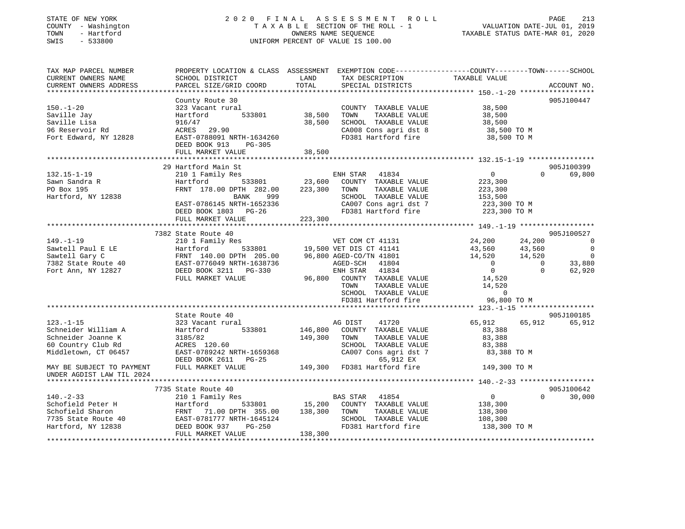#### STATE OF NEW YORK 2 0 2 0 F I N A L A S S E S S M E N T R O L L PAGE 213COUNTY - Washington  $T A X A B L E$  SECTION OF THE ROLL - 1<br>TOWN - Hartford TOWN - Hartford **Taxable STATUS DATE-MAR 01, 2020** OWNERS NAME SEQUENCE TAXABLE STATUS DATE-MAR 01, 2020 SWIS - 533800 UNIFORM PERCENT OF VALUE IS 100.00

VALUATION DATE-JUL 01, 2019

| TAX MAP PARCEL NUMBER                       | PROPERTY LOCATION & CLASS ASSESSMENT EXEMPTION CODE---------------COUNTY-------TOWN------SCHOOL  |         |                                |                |          |                          |
|---------------------------------------------|--------------------------------------------------------------------------------------------------|---------|--------------------------------|----------------|----------|--------------------------|
| CURRENT OWNERS NAME                         | SCHOOL DISTRICT                                                                                  | LAND    | TAX DESCRIPTION TAXABLE VALUE  |                |          |                          |
| CURRENT OWNERS ADDRESS                      | PARCEL SIZE/GRID COORD                                                                           | TOTAL   | SPECIAL DISTRICTS              |                |          | ACCOUNT NO.              |
|                                             |                                                                                                  |         |                                |                |          |                          |
|                                             | County Route 30                                                                                  |         |                                |                |          | 905J100447               |
| 150.-1-20                                   | 323 Vacant rural                                                                                 |         | COUNTY TAXABLE VALUE           | 38,500         |          |                          |
| Saville Jay                                 | 533801<br>Hartford                                                                               | 38,500  | TOWN<br>TAXABLE VALUE          | 38,500         |          |                          |
| Saville Lisa                                | 916/47                                                                                           | 38,500  | SCHOOL TAXABLE VALUE           | 38,500         |          |                          |
| 96 Reservoir Rd                             | ACRES 29.90                                                                                      |         | CA008 Cons agri dst 8          | 38,500 TO M    |          |                          |
| Fort Edward, NY 12828                       | EAST-0788091 NRTH-1634260                                                                        |         | FD381 Hartford fire            | 38,500 TO M    |          |                          |
|                                             | DEED BOOK 913<br>PG-305                                                                          |         |                                |                |          |                          |
|                                             | FULL MARKET VALUE                                                                                | 38,500  |                                |                |          |                          |
|                                             |                                                                                                  |         |                                |                |          |                          |
|                                             | 29 Hartford Main St                                                                              |         |                                |                |          | 905J100399               |
| 132.15-1-19                                 | 210 1 Family Res                                                                                 |         | ENH STAR 41834                 | $\overline{0}$ | $\Omega$ | 69,800                   |
| Sawn Sandra R                               | 533801<br>Hartford                                                                               | 23,600  | COUNTY TAXABLE VALUE           | 223,300        |          |                          |
| PO Box 195                                  | FRNT 178.00 DPTH 282.00                                                                          | 223,300 | TOWN<br>TAXABLE VALUE          | 223,300        |          |                          |
| Hartford, NY 12838                          | BANK<br>999                                                                                      |         | SCHOOL TAXABLE VALUE           | 153,500        |          |                          |
|                                             | EAST-0786145 NRTH-1652336                                                                        |         | CA007 Cons agri dst 7          | 223,300 TO M   |          |                          |
|                                             | DEED BOOK 1803 PG-26                                                                             |         | FD381 Hartford fire            | 223,300 TO M   |          |                          |
|                                             | FULL MARKET VALUE                                                                                | 223,300 |                                |                |          |                          |
|                                             |                                                                                                  |         |                                |                |          |                          |
|                                             | 7382 State Route 40                                                                              |         |                                |                |          | 905J100527               |
| 149. - 1 - 19                               | 210 1 Family Res                                                                                 |         | VET COM CT 41131               | 24,200         | 24,200   | $\overline{0}$           |
| Sawtell Paul E LE                           | Hartford 533801<br>FRNT 140.00 DPTH 205.00<br>EAST-0776049 NRTH-1638736<br>DEED BOOK 3211 PG-330 |         | 533801 19,500 VET DIS CT 41141 | 43,560         | 43,560   | $\overline{0}$           |
| Sawtell Gary C                              |                                                                                                  |         | 96,800 AGED-CO/TN 41801        | 14,520         | 14,520   | $\overline{\phantom{0}}$ |
| 7382 State Route 40                         |                                                                                                  |         | AGED-SCH 41804                 | $\overline{0}$ | $\Omega$ | 33,880                   |
| Fort Ann, NY 12827                          |                                                                                                  |         | ENH STAR 41834                 | $\overline{0}$ | $\Omega$ | 62,920                   |
|                                             | FULL MARKET VALUE                                                                                | 96,800  | COUNTY TAXABLE VALUE           | 14,520         |          |                          |
|                                             |                                                                                                  |         | TOWN<br>TAXABLE VALUE          | 14,520         |          |                          |
|                                             |                                                                                                  |         | SCHOOL TAXABLE VALUE           | $\mathbf 0$    |          |                          |
|                                             |                                                                                                  |         | FD381 Hartford fire            | 96,800 TO M    |          |                          |
|                                             |                                                                                                  |         |                                |                |          |                          |
|                                             | State Route 40                                                                                   |         |                                |                |          | 905J100185               |
| $123. - 1 - 15$                             | 323 Vacant rural                                                                                 |         | AG DIST<br>41720               | 65,912         | 65,912   | 65,912                   |
| Schneider William A                         | Hartford<br>533801                                                                               | 146,800 | COUNTY TAXABLE VALUE           | 83,388         |          |                          |
| Schneider Joanne K                          | 3185/82<br>ACRES 120.60                                                                          | 149,300 | TAXABLE VALUE<br>TOWN          | 83,388         |          |                          |
| 60 Country Club Rd                          |                                                                                                  |         | SCHOOL TAXABLE VALUE           | 83,388         |          |                          |
| Middletown, CT 06457                        | EAST-0789242 NRTH-1659368                                                                        |         | CA007 Cons agri dst 7          | 83,388 TO M    |          |                          |
|                                             | DEED BOOK 2611 PG-25                                                                             |         | 65,912 EX                      |                |          |                          |
| MAY BE SUBJECT TO PAYMENT FULL MARKET VALUE |                                                                                                  |         | 149,300 FD381 Hartford fire    | 149,300 TO M   |          |                          |
| UNDER AGDIST LAW TIL 2024                   |                                                                                                  |         |                                |                |          |                          |
|                                             |                                                                                                  |         |                                |                |          |                          |
|                                             | 7735 State Route 40                                                                              |         |                                |                |          | 905J100642               |
| $140. - 2 - 33$                             | 210 1 Family Res                                                                                 |         | BAS STAR 41854                 | $\overline{0}$ | $\Omega$ | 30,000                   |
| Schofield Peter H                           | 533801                                                                                           | 15,200  | COUNTY TAXABLE VALUE           | 138,300        |          |                          |
| Schofield Sharon                            |                                                                                                  | 138,300 | TAXABLE VALUE<br>TOWN          | 138,300        |          |                          |
| 7735 State Route 40                         |                                                                                                  |         | SCHOOL TAXABLE VALUE           | 108,300        |          |                          |
| Hartford, NY 12838                          | Hartford 533801<br>FRNT 71.00 DPTH 355.00<br>EAST-0781777 NRTH-1645124<br>DEED BOOK 937 PG-250   |         | FD381 Hartford fire            | 138,300 TO M   |          |                          |
|                                             | FULL MARKET VALUE                                                                                | 138,300 |                                |                |          |                          |
|                                             |                                                                                                  |         |                                |                |          |                          |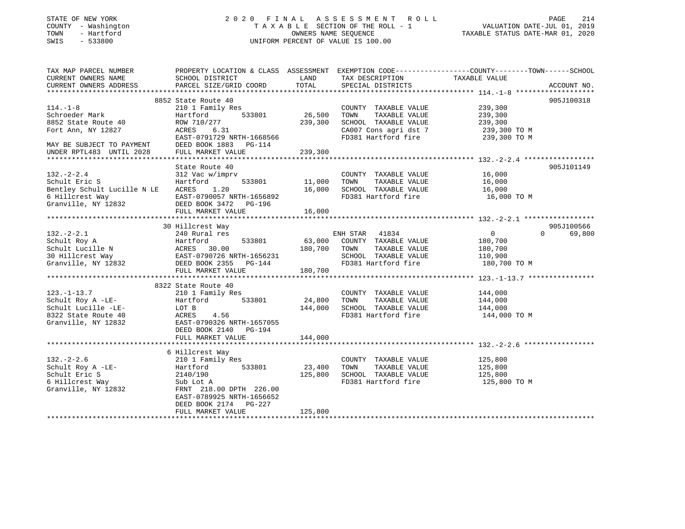### STATE OF NEW YORK 2 0 2 0 F I N A L A S S E S S M E N T R O L L PAGE 214 COUNTY - Washington T A X A B L E SECTION OF THE ROLL - 1 VALUATION DATE-JUL 01, 2019 TOWN - Hartford OWNERS NAME SEQUENCE TAXABLE STATUS DATE-MAR 01, 2020 SWIS - 533800 UNIFORM PERCENT OF VALUE IS 100.00

| TAX MAP PARCEL NUMBER                                                                                                                   |                                         |         |                                                                | PROPERTY LOCATION & CLASS ASSESSMENT EXEMPTION CODE----------------COUNTY-------TOWN------SCHOOL |             |
|-----------------------------------------------------------------------------------------------------------------------------------------|-----------------------------------------|---------|----------------------------------------------------------------|--------------------------------------------------------------------------------------------------|-------------|
| CURRENT OWNERS NAME                                                                                                                     | SCHOOL DISTRICT                         | LAND    | TAX DESCRIPTION                                                | TAXABLE VALUE                                                                                    |             |
| CURRENT OWNERS ADDRESS                                                                                                                  | PARCEL SIZE/GRID COORD                  | TOTAL   | SPECIAL DISTRICTS                                              |                                                                                                  | ACCOUNT NO. |
|                                                                                                                                         |                                         |         |                                                                |                                                                                                  | 905J100318  |
| $114. - 1 - 8$                                                                                                                          | 8852 State Route 40<br>210 1 Family Res |         | COUNTY TAXABLE VALUE 239,300                                   |                                                                                                  |             |
| Schroeder Mark                                                                                                                          | $533801$ 26,500<br>Hartford             |         | TOWN<br>TAXABLE VALUE                                          | 239,300                                                                                          |             |
| 8852 State Route 40                                                                                                                     | ROW 710/277                             | 239,300 | SCHOOL TAXABLE VALUE                                           | 239,300                                                                                          |             |
| Fort Ann, NY 12827                                                                                                                      | ACRES 6.31                              |         | CA007 Cons agri dst 7 239,300 TO M                             |                                                                                                  |             |
|                                                                                                                                         | EAST-0791729 NRTH-1668566               |         | FD381 Hartford fire                                            | 239,300 TO M                                                                                     |             |
| MAY BE SUBJECT TO PAYMENT                                                                                                               | DEED BOOK 1883 PG-114                   |         |                                                                |                                                                                                  |             |
| UNDER RPTL483 UNTIL 2028                                                                                                                | FULL MARKET VALUE                       | 239,300 |                                                                |                                                                                                  |             |
|                                                                                                                                         |                                         |         |                                                                |                                                                                                  |             |
|                                                                                                                                         | State Route 40                          |         |                                                                |                                                                                                  | 905J101149  |
| $132 - 2 - 2.4$                                                                                                                         | state Route 40<br>312 Vac w/imprv       |         | COUNTY TAXABLE VALUE 16,000                                    |                                                                                                  |             |
| Schult Eric S                                                                                                                           | Hartford 533801 11,000                  |         | TAXABLE VALUE<br>TOWN                                          | 16,000                                                                                           |             |
|                                                                                                                                         |                                         |         | SCHOOL TAXABLE VALUE 16,000<br>FD381 Hartford fire 16,000 TO M |                                                                                                  |             |
|                                                                                                                                         |                                         |         |                                                                |                                                                                                  |             |
| Bentley Schult Lucille N LE ACRES 1.20 16,000<br>6 Hillcrest Way EAST-0790057 NRTH-1656892<br>Granville, NY 12832 DEED BOOK 3472 PG-196 |                                         |         |                                                                |                                                                                                  |             |
|                                                                                                                                         |                                         |         |                                                                |                                                                                                  |             |
|                                                                                                                                         |                                         |         |                                                                |                                                                                                  |             |
|                                                                                                                                         | 30 Hillcrest Way                        |         |                                                                |                                                                                                  | 905J100566  |
|                                                                                                                                         |                                         |         |                                                                | $\overline{0}$<br>$\Omega$ and $\Omega$                                                          | 69,800      |
|                                                                                                                                         |                                         |         |                                                                | 180,700                                                                                          |             |
|                                                                                                                                         |                                         |         |                                                                | 180,700                                                                                          |             |
|                                                                                                                                         |                                         |         | SCHOOL TAXABLE VALUE 110,900                                   |                                                                                                  |             |
|                                                                                                                                         |                                         |         |                                                                | 180,700 TO M                                                                                     |             |
|                                                                                                                                         |                                         |         |                                                                |                                                                                                  |             |
|                                                                                                                                         | 8322 State Route 40                     |         |                                                                |                                                                                                  |             |
|                                                                                                                                         |                                         |         | COUNTY TAXABLE VALUE 144,000                                   |                                                                                                  |             |
| 123.-1-13.7<br>Schult Roy A -LE-<br>Hartford 533801 24,800                                                                              |                                         |         | TOWN<br>TAXABLE VALUE                                          | 144,000                                                                                          |             |
|                                                                                                                                         |                                         |         | SCHOOL TAXABLE VALUE                                           |                                                                                                  |             |
|                                                                                                                                         |                                         |         | FD381 Hartford fire                                            | 144,000<br>144,000 TO M                                                                          |             |
| Granville, NY 12832                                                                                                                     | EAST-0790326 NRTH-1657055               |         |                                                                |                                                                                                  |             |
|                                                                                                                                         | DEED BOOK 2140 PG-194                   |         |                                                                |                                                                                                  |             |
|                                                                                                                                         | FULL MARKET VALUE                       | 144,000 |                                                                |                                                                                                  |             |
|                                                                                                                                         |                                         |         |                                                                |                                                                                                  |             |
|                                                                                                                                         | 6 Hillcrest Way                         |         |                                                                |                                                                                                  |             |
|                                                                                                                                         |                                         |         | COUNTY TAXABLE VALUE                                           |                                                                                                  |             |
|                                                                                                                                         |                                         |         | TOWN<br>TAXABLE VALUE                                          | 125,800<br>125,800                                                                               |             |
|                                                                                                                                         |                                         |         | SCHOOL TAXABLE VALUE 125,800                                   |                                                                                                  |             |
|                                                                                                                                         |                                         |         | FD381 Hartford fire                                            | 125,800 TO M                                                                                     |             |
| Granville, NY 12832                                                                                                                     | FRNT 218.00 DPTH 226.00                 |         |                                                                |                                                                                                  |             |
|                                                                                                                                         | EAST-0789925 NRTH-1656652               |         |                                                                |                                                                                                  |             |
|                                                                                                                                         | DEED BOOK 2174 PG-227                   |         |                                                                |                                                                                                  |             |
|                                                                                                                                         | FULL MARKET VALUE                       | 125,800 |                                                                |                                                                                                  |             |
|                                                                                                                                         |                                         |         |                                                                |                                                                                                  |             |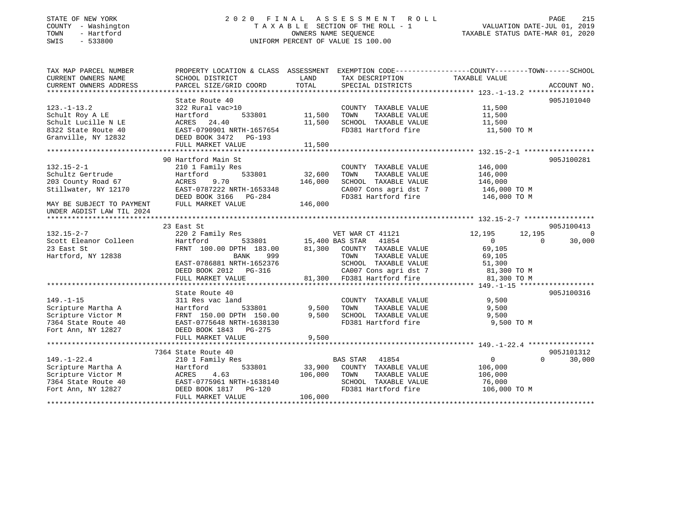# STATE OF NEW YORK 2 0 2 0 F I N A L A S S E S S M E N T R O L L PAGE 215COUNTY - Washington T A X A B L E SECTION OF THE ROLL - 1 VALUATION DATE-JUL 01, 2019 SWIS - 533800 UNIFORM PERCENT OF VALUE IS 100.00

# VALUATION DATE-JUL 01, 2019

TAXABLE STATUS DATE-MAR 01, 2020

| TAX MAP PARCEL NUMBER<br>CURRENT OWNERS NAME<br>CURRENT OWNERS ADDRESS | SCHOOL DISTRICT<br>PARCEL SIZE/GRID COORD | LAND<br>TOTAL | TAX DESCRIPTION<br>SPECIAL DISTRICTS                  | PROPERTY LOCATION & CLASS ASSESSMENT EXEMPTION CODE---------------COUNTY-------TOWN------SCHOOL<br>TAXABLE VALUE | ACCOUNT NO. |
|------------------------------------------------------------------------|-------------------------------------------|---------------|-------------------------------------------------------|------------------------------------------------------------------------------------------------------------------|-------------|
| $123. - 1 - 13.2$                                                      | State Route 40<br>322 Rural vac>10        |               | COUNTY TAXABLE VALUE                                  | 11,500                                                                                                           | 905J101040  |
| Schult Roy A LE                                                        | Hartford<br>533801                        | 11,500        | TOWN<br>TAXABLE VALUE                                 | 11,500                                                                                                           |             |
| Schult Lucille N LE                                                    | ACRES 24.40                               | 11,500        | SCHOOL TAXABLE VALUE                                  | 11,500                                                                                                           |             |
| 8322 State Route 40                                                    | EAST-0790901 NRTH-1657654                 |               | FD381 Hartford fire                                   | 11,500 TO M                                                                                                      |             |
| Granville, NY 12832                                                    | DEED BOOK 3472 PG-193                     |               |                                                       |                                                                                                                  |             |
|                                                                        | FULL MARKET VALUE                         | 11,500        |                                                       |                                                                                                                  |             |
|                                                                        |                                           |               |                                                       |                                                                                                                  |             |
|                                                                        | 90 Hartford Main St                       |               |                                                       |                                                                                                                  | 905J100281  |
| $132.15 - 2 - 1$                                                       | 210 1 Family Res                          |               | COUNTY TAXABLE VALUE                                  | 146,000                                                                                                          |             |
| Schultz Gertrude                                                       | 533801<br>Hartford                        | 32,600        | TOWN<br>TAXABLE VALUE                                 | 146,000                                                                                                          |             |
| 203 County Road 67                                                     | ACRES<br>9.70                             | 146,000       | SCHOOL TAXABLE VALUE                                  | 146,000                                                                                                          |             |
| Stillwater, NY 12170                                                   | EAST-0787222 NRTH-1653348                 |               | CA007 Cons agri dst 7                                 | 146,000 TO M                                                                                                     |             |
|                                                                        | DEED BOOK 3166 PG-284                     |               | FD381 Hartford fire                                   | 146,000 TO M                                                                                                     |             |
| MAY BE SUBJECT TO PAYMENT                                              | FULL MARKET VALUE                         | 146,000       |                                                       |                                                                                                                  |             |
| UNDER AGDIST LAW TIL 2024                                              |                                           |               |                                                       |                                                                                                                  |             |
|                                                                        |                                           |               |                                                       |                                                                                                                  |             |
|                                                                        | 23 East St                                |               |                                                       |                                                                                                                  | 905J100413  |
| $132.15 - 2 - 7$                                                       | 220 2 Family Res                          |               |                                                       | 12,195<br>12,195                                                                                                 | $\bigcap$   |
| Scott Eleanor Colleen                                                  | Hartford                                  |               |                                                       | $\overline{0}$<br>$\Omega$                                                                                       | 30,000      |
| 23 East St                                                             | FRNT 100.00 DPTH 183.00                   |               | 81,300 COUNTY TAXABLE VALUE                           | 69,105                                                                                                           |             |
| Hartford, NY 12838                                                     | 999<br>BANK                               |               | TOWN       TAXABLE  VALUE<br>SCHOOL    TAXABLE  VALUE | 69,105                                                                                                           |             |
|                                                                        | EAST-0786881 NRTH-1652376                 |               |                                                       | $\frac{0}{51}$ , 300                                                                                             |             |
|                                                                        | DEED BOOK 2012    PG-316                  |               | CA007 Cons agri dst 7 81,300 TO M                     |                                                                                                                  |             |
|                                                                        | FULL MARKET VALUE                         |               | 81,300 FD381 Hartford fire                            | 81,300 TO M                                                                                                      |             |
|                                                                        |                                           |               |                                                       |                                                                                                                  |             |
|                                                                        | State Route 40                            |               |                                                       |                                                                                                                  | 905J100316  |
| $149. - 1 - 15$                                                        | 311 Res vac land                          |               | COUNTY TAXABLE VALUE                                  | 9,500                                                                                                            |             |
| Scripture Martha A                                                     | 533801<br>Hartford                        | 9,500         | TOWN<br>TAXABLE VALUE                                 | 9,500                                                                                                            |             |
| Scripture Victor M                                                     | FRNT 150.00 DPTH 150.00                   | 9,500         | SCHOOL TAXABLE VALUE                                  | 9.500                                                                                                            |             |
| 7364 State Route 40                                                    | EAST-0775648 NRTH-1638130                 |               | FD381 Hartford fire                                   | 9,500 TO M                                                                                                       |             |
| Fort Ann, NY 12827                                                     | DEED BOOK 1843 PG-275                     |               |                                                       |                                                                                                                  |             |
|                                                                        | FULL MARKET VALUE                         | 9,500         |                                                       |                                                                                                                  |             |
|                                                                        |                                           |               |                                                       |                                                                                                                  |             |
|                                                                        | 7364 State Route 40                       |               |                                                       |                                                                                                                  | 905J101312  |
| $149. - 1 - 22.4$                                                      | 210 1 Family Res                          |               | BAS STAR 41854                                        | $\overline{0}$<br>$\Omega$                                                                                       | 30,000      |
| Scripture Martha A                                                     | 533801<br>Hartford                        |               | 33,900 COUNTY TAXABLE VALUE                           | 106,000                                                                                                          |             |
| Scripture Victor M                                                     | ACRES<br>4.63                             | 106,000       | TOWN<br>TAXABLE VALUE                                 | 106,000                                                                                                          |             |
| 7364 State Route 40                                                    | EAST-0775961 NRTH-1638140                 |               | SCHOOL TAXABLE VALUE                                  | 76,000                                                                                                           |             |
| Fort Ann, NY 12827                                                     | DEED BOOK 1817    PG-120                  |               | FD381 Hartford fire                                   | 106,000 TO M                                                                                                     |             |
|                                                                        | FULL MARKET VALUE                         | 106,000       |                                                       |                                                                                                                  |             |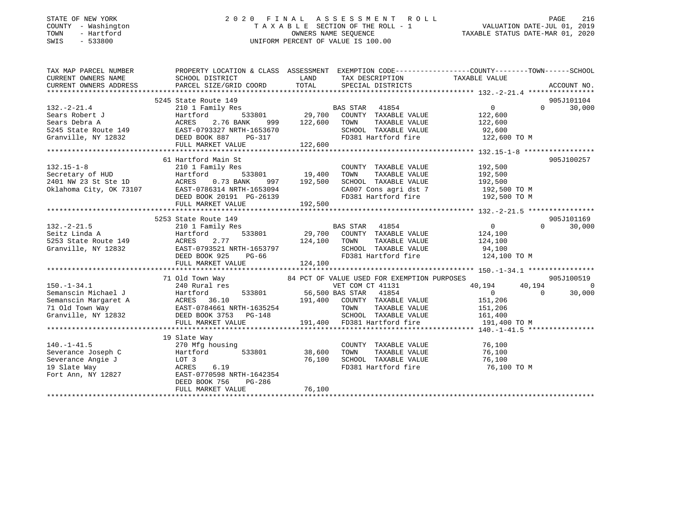### STATE OF NEW YORK 2 0 2 0 F I N A L A S S E S S M E N T R O L L PAGE 216 COUNTY - Washington T A X A B L E SECTION OF THE ROLL - 1 VALUATION DATE-JUL 01, 2019 TOWN - Hartford OWNERS NAME SEQUENCE TAXABLE STATUS DATE-MAR 01, 2020 SWIS - 533800 UNIFORM PERCENT OF VALUE IS 100.00

| TAX MAP PARCEL NUMBER | PROPERTY LOCATION & CLASS ASSESSMENT EXEMPTION CODE----------------COUNTY-------TOWN------SCHOOL                                                                                                                                                    |               |                                                                                                                                                    |                       |                |                      |
|-----------------------|-----------------------------------------------------------------------------------------------------------------------------------------------------------------------------------------------------------------------------------------------------|---------------|----------------------------------------------------------------------------------------------------------------------------------------------------|-----------------------|----------------|----------------------|
|                       |                                                                                                                                                                                                                                                     |               |                                                                                                                                                    |                       |                |                      |
|                       |                                                                                                                                                                                                                                                     |               |                                                                                                                                                    |                       |                |                      |
| $132. -2 - 21.4$      | 5245 State Route 149<br>210 1 Family Res                                                                                                                                                                                                            |               |                                                                                                                                                    | $\overline{0}$        | $\Omega$       | 905J101104<br>30,000 |
|                       | Sears Robert J<br>Sears Robert J<br>Sears Debra A<br>Sears Debra A<br>Sears Debra A<br>Sears Counter Acres 2.76 BANK<br>Sears Debra A<br>Cranville, NY 12832<br>DEED BOOK 887<br>PG-317<br>PG-317<br>PG-317                                         |               |                                                                                                                                                    | 122,600<br>122,600    |                |                      |
|                       |                                                                                                                                                                                                                                                     |               |                                                                                                                                                    |                       |                |                      |
|                       |                                                                                                                                                                                                                                                     |               | SCHOOL TAXABLE VALUE 92,600                                                                                                                        |                       |                |                      |
|                       |                                                                                                                                                                                                                                                     |               | FD381 Hartford fire 122,600 TO M                                                                                                                   |                       |                |                      |
|                       | FULL MARKET VALUE                                                                                                                                                                                                                                   | 122,600       |                                                                                                                                                    |                       |                |                      |
|                       |                                                                                                                                                                                                                                                     |               |                                                                                                                                                    |                       |                |                      |
|                       | 61 Hartford Main St                                                                                                                                                                                                                                 |               |                                                                                                                                                    |                       |                | 905J100257           |
| $132.15 - 1 - 8$      |                                                                                                                                                                                                                                                     |               | COUNTY TAXABLE VALUE 192,500                                                                                                                       |                       |                |                      |
|                       |                                                                                                                                                                                                                                                     |               | TOWN<br>TAXABLE VALUE                                                                                                                              | 192,500               |                |                      |
|                       |                                                                                                                                                                                                                                                     |               |                                                                                                                                                    |                       |                |                      |
|                       |                                                                                                                                                                                                                                                     |               |                                                                                                                                                    |                       |                |                      |
|                       |                                                                                                                                                                                                                                                     |               |                                                                                                                                                    |                       |                |                      |
|                       | 132.15-1-8<br>Secretary of HUD Hartford 533801<br>2401 NW 23 St Ste 1D ACRES 0.73 BANK 997 192,500<br>Oklahoma City, OK 73107 EAST-0786314 NRTH-1653094<br>DEED BOOK 20191 PG-26139<br>292,500                                                      |               |                                                                                                                                                    |                       |                |                      |
|                       |                                                                                                                                                                                                                                                     |               |                                                                                                                                                    |                       |                |                      |
|                       | 5253 State Route 149                                                                                                                                                                                                                                |               |                                                                                                                                                    |                       |                | 905J101169           |
| $132. -2 - 21.5$      | 210 1 Family Res                                                                                                                                                                                                                                    |               | $\begin{tabular}{lllllllllll} \texttt{BAS STAR} & 41854 & 0 \\ 533801 & 29,700 & \texttt{COUNTY} & \texttt{TAXABLE VALUE} & 124,100 \end{tabular}$ |                       | $\Omega$       | 30,000               |
|                       |                                                                                                                                                                                                                                                     |               |                                                                                                                                                    |                       |                |                      |
|                       |                                                                                                                                                                                                                                                     | 124,100 TOWN  |                                                                                                                                                    | TAXABLE VALUE 124,100 |                |                      |
|                       | $\frac{1653797}{PG-66}$                                                                                                                                                                                                                             |               | SCHOOL TAXABLE VALUE 94,100<br>FD381 Hartford fire 124,100 TO M                                                                                    |                       |                |                      |
|                       | DEED BOOK 925                                                                                                                                                                                                                                       |               |                                                                                                                                                    |                       |                |                      |
|                       | FULL MARKET VALUE                                                                                                                                                                                                                                   | 124,100       |                                                                                                                                                    |                       |                |                      |
|                       |                                                                                                                                                                                                                                                     |               |                                                                                                                                                    |                       |                |                      |
|                       | 71 Old Town Way 64 PCT OF VALUE USED FOR EXEMPTION PURPOSES<br>240 Rural res                                                                                                                                                                        |               |                                                                                                                                                    |                       |                | 905J100519           |
| $150. - 1 - 34.1$     |                                                                                                                                                                                                                                                     |               | VET COM CT 41131                                                                                                                                   | 40,194                | 40,194         | $\overline{0}$       |
|                       |                                                                                                                                                                                                                                                     |               |                                                                                                                                                    |                       | $\overline{0}$ | 30,000               |
|                       |                                                                                                                                                                                                                                                     |               |                                                                                                                                                    |                       |                |                      |
|                       |                                                                                                                                                                                                                                                     |               |                                                                                                                                                    |                       |                |                      |
|                       |                                                                                                                                                                                                                                                     |               |                                                                                                                                                    |                       |                |                      |
|                       | 9150.-1-34.1<br>Semanscin Michael J<br>Semanscin Michael J<br>Semanscin Margaret A<br>Semanscin Margaret A<br>ACRES 36.10<br>71 Old Town Way<br>EAST-0784661 NRTH-1635254<br>TOWN TAXABLE VALUE<br>TOWN TAXABLE VALUE<br>TOWN TAXABLE VALUE<br>TOWN |               |                                                                                                                                                    |                       |                |                      |
|                       |                                                                                                                                                                                                                                                     |               |                                                                                                                                                    |                       |                |                      |
|                       | 19 Slate Way                                                                                                                                                                                                                                        |               |                                                                                                                                                    |                       |                |                      |
| $140. - 1 - 41.5$     | 270 Mfg housing                                                                                                                                                                                                                                     |               | COUNTY TAXABLE VALUE 76,100                                                                                                                        |                       |                |                      |
| Severance Joseph C    | Hartford                                                                                                                                                                                                                                            | 533801 38,600 | TOWN                                                                                                                                               | TAXABLE VALUE 76,100  |                |                      |
|                       | 76,100                                                                                                                                                                                                                                              |               | SCHOOL TAXABLE VALUE 76,100<br>FD381 Hartford fire 76,100                                                                                          |                       |                |                      |
|                       | Severance Angie J<br>19 Slate Way<br>Fort Ann, NY 12827<br>Fort Ann, NY 12827<br>EAST-0770598 NRTH-1642354                                                                                                                                          |               |                                                                                                                                                    | 76,100 TO M           |                |                      |
|                       |                                                                                                                                                                                                                                                     |               |                                                                                                                                                    |                       |                |                      |
|                       | DEED BOOK 756<br>PG-286                                                                                                                                                                                                                             |               |                                                                                                                                                    |                       |                |                      |
|                       |                                                                                                                                                                                                                                                     |               |                                                                                                                                                    |                       |                |                      |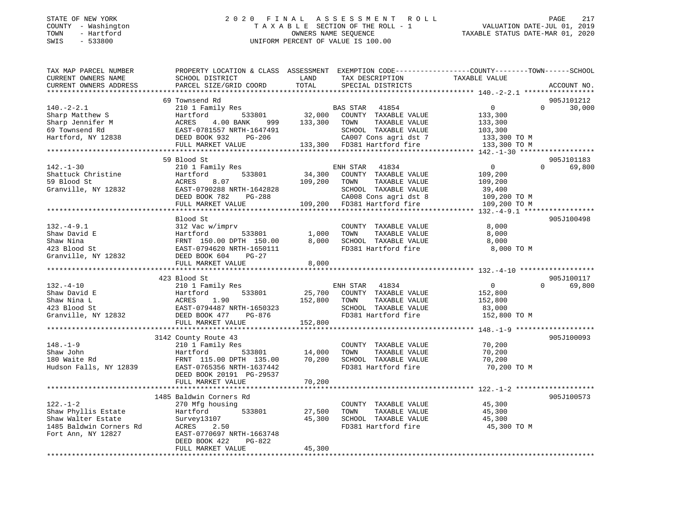### STATE OF NEW YORK 2 0 2 0 F I N A L A S S E S S M E N T R O L L PAGE 217 COUNTY - Washington T A X A B L E SECTION OF THE ROLL - 1 VALUATION DATE-JUL 01, 2019 TOWN - Hartford OWNERS NAME SEQUENCE TAXABLE STATUS DATE-MAR 01, 2020 SWIS - 533800 UNIFORM PERCENT OF VALUE IS 100.00

| TAX MAP PARCEL NUMBER<br>CURRENT OWNERS NAME | PROPERTY LOCATION & CLASS ASSESSMENT EXEMPTION CODE----------------COUNTY-------TOWN-----SCHOOL<br>SCHOOL DISTRICT                | LAND         | TAX DESCRIPTION                                                         | TAXABLE VALUE    |                    |
|----------------------------------------------|-----------------------------------------------------------------------------------------------------------------------------------|--------------|-------------------------------------------------------------------------|------------------|--------------------|
| CURRENT OWNERS ADDRESS                       | PARCEL SIZE/GRID COORD                                                                                                            | TOTAL        | SPECIAL DISTRICTS                                                       |                  | ACCOUNT NO.        |
|                                              |                                                                                                                                   |              |                                                                         |                  |                    |
|                                              | 69 Townsend Rd                                                                                                                    |              |                                                                         |                  | 905J101212         |
| $140. - 2 - 2.1$                             | 210 1 Family Res                                                                                                                  |              | BAS STAR 41854                                                          | $\overline{0}$   | $\Omega$<br>30,000 |
| Sharp Matthew S                              | Hartford                                                                                                                          |              | 533801 32,000 COUNTY TAXABLE VALUE<br>NK 999 133,300 TOWN TAXABLE VALUE | 133,300          |                    |
| Sharp Jennifer M                             | ACRES<br>4.00 BANK                                                                                                                |              |                                                                         | 133,300          |                    |
| 69 Townsend Rd                               | EAST-0781557 NRTH-1647491<br>RTH-1647491<br>PG-206                                                                                |              | SCHOOL TAXABLE VALUE                                                    | 103,300          |                    |
| Hartford, NY 12838                           | DEED BOOK 932                                                                                                                     |              | CA007 Cons agri dst 7                                                   | 133,300 TO M     |                    |
|                                              | FULL MARKET VALUE 133,300 FD381 Hartford fire                                                                                     |              |                                                                         | 133,300 TO M     |                    |
|                                              |                                                                                                                                   |              |                                                                         |                  |                    |
|                                              | 59 Blood St                                                                                                                       |              |                                                                         |                  | 905J101183         |
| $142. - 1 - 30$                              | 210 1 Family Res                                                                                                                  |              | ENH STAR<br>41834                                                       | $\overline{0}$   | $\Omega$<br>69,800 |
| Shattuck Christine                           | Hartford<br>533801                                                                                                                | 34,300       | COUNTY TAXABLE VALUE                                                    | 109,200          |                    |
| 59 Blood St                                  | ACRES<br>8.07                                                                                                                     | 109,200 TOWN | TAXABLE VALUE                                                           | 109,200          |                    |
| Granville, NY 12832                          | EAST-0790288 NRTH-1642828                                                                                                         |              | SCHOOL TAXABLE VALUE                                                    | 39,400           |                    |
|                                              | DEED BOOK 782<br>PG-288                                                                                                           |              | CA008 Cons agri dst 8<br>109,200 FD381 Hartford fire                    | 109,200 TO M     |                    |
|                                              | FULL MARKET VALUE                                                                                                                 |              |                                                                         | 109,200 TO M     |                    |
|                                              |                                                                                                                                   |              |                                                                         |                  |                    |
|                                              | Blood St                                                                                                                          |              |                                                                         |                  | 905J100498         |
| $132. -4 - 9.1$                              | 312 Vac w/imprv                                                                                                                   |              | COUNTY TAXABLE VALUE                                                    | 8,000            |                    |
|                                              | 533801                                                                                                                            | 1,000        | TOWN<br>TAXABLE VALUE                                                   | 8,000            |                    |
|                                              |                                                                                                                                   |              | 8,000 SCHOOL TAXABLE VALUE                                              | 8,000            |                    |
|                                              |                                                                                                                                   |              | FD381 Hartford fire                                                     | 8,000 TO M       |                    |
|                                              | Shaw David E<br>Shaw Nina<br>Shaw Nina<br>423 Blood St<br>Granville, NY 12832<br>DEED BOOK 604<br>PG-27<br>DEED BOOK 604<br>PG-27 |              |                                                                         |                  |                    |
|                                              | FULL MARKET VALUE                                                                                                                 | 8,000        |                                                                         |                  |                    |
|                                              |                                                                                                                                   |              |                                                                         |                  |                    |
|                                              | 423 Blood St                                                                                                                      |              |                                                                         |                  | 905J100117         |
| $132. - 4 - 10$                              | 210 1 Family Res                                                                                                                  |              | ENH STAR 41834                                                          | $\overline{0}$   | $\Omega$<br>69,800 |
| Shaw David E                                 |                                                                                                                                   |              | 25,700 COUNTY TAXABLE VALUE                                             | 152,800          |                    |
| Shaw Nina L                                  |                                                                                                                                   | 152,800      | TAXABLE VALUE<br>TOWN                                                   | 152,800          |                    |
| 423 Blood St                                 |                                                                                                                                   |              | SCHOOL TAXABLE VALUE                                                    | 83,000           |                    |
| Granville, NY 12832                          |                                                                                                                                   |              | FD381 Hartford fire                                                     | 152,800 TO M     |                    |
|                                              | FULL MARKET VALUE                                                                                                                 | 152,800      |                                                                         |                  |                    |
|                                              |                                                                                                                                   |              |                                                                         |                  |                    |
|                                              | 3142 County Route 43                                                                                                              |              |                                                                         |                  | 905J100093         |
| $148. - 1 - 9$                               | 210 1 Family Res                                                                                                                  |              | COUNTY TAXABLE VALUE                                                    | 70,200           |                    |
| Shaw John                                    | Hartford<br>533801                                                                                                                | 14,000       | TAXABLE VALUE<br>TOWN                                                   | 70,200           |                    |
| 180 Waite Rd                                 | FRNT 115.00 DPTH 135.00<br>EAST-0765356 NRTH-1637442                                                                              | 70,200       | SCHOOL TAXABLE VALUE                                                    | 70,200           |                    |
| Hudson Falls, NY 12839                       |                                                                                                                                   |              | FD381 Hartford fire                                                     | 70,200 TO M      |                    |
|                                              | DEED BOOK 20191 PG-29537                                                                                                          |              |                                                                         |                  |                    |
|                                              | FULL MARKET VALUE                                                                                                                 | 70,200       |                                                                         |                  |                    |
|                                              |                                                                                                                                   |              |                                                                         |                  |                    |
|                                              | 1485 Baldwin Corners Rd                                                                                                           |              |                                                                         |                  | 905J100573         |
| $122. - 1 - 2$                               | 270 Mfg housing                                                                                                                   |              | COUNTY TAXABLE VALUE                                                    | 45,300           |                    |
| Shaw Phyllis Estate                          | Hartford<br>533801                                                                                                                | 27,500       | TOWN<br>TAXABLE VALUE                                                   | 45,300<br>45,300 |                    |
| Shaw Walter Estate                           | Survey13107                                                                                                                       | 45,300       | SCHOOL TAXABLE VALUE                                                    |                  |                    |
| 1485 Baldwin Corners Rd                      | ACRES<br>2.50                                                                                                                     |              | FD381 Hartford fire                                                     | 45,300 TO M      |                    |
| Fort Ann, NY 12827                           | EAST-0770697 NRTH-1663748                                                                                                         |              |                                                                         |                  |                    |
|                                              | DEED BOOK 422<br>PG-822                                                                                                           |              |                                                                         |                  |                    |
|                                              | FULL MARKET VALUE                                                                                                                 | 45,300       |                                                                         |                  |                    |
|                                              |                                                                                                                                   |              |                                                                         |                  |                    |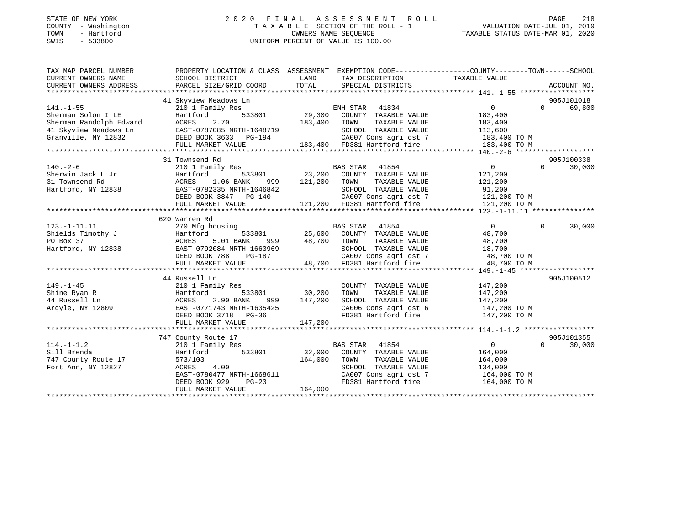### STATE OF NEW YORK 2 0 2 0 F I N A L A S S E S S M E N T R O L L PAGE 218 COUNTY - Washington T A X A B L E SECTION OF THE ROLL - 1 VALUATION DATE-JUL 01, 2019 TOWN - Hartford OWNERS NAME SEQUENCE TAXABLE STATUS DATE-MAR 01, 2020 SWIS - 533800 UNIFORM PERCENT OF VALUE IS 100.00

| TAX MAP PARCEL NUMBER<br>CURRENT OWNERS NAME | PROPERTY LOCATION & CLASS ASSESSMENT EXEMPTION CODE---------------COUNTY-------TOWN-----SCHOOL<br>SCHOOL DISTRICT                                                            | LAND             | TAX DESCRIPTION                                                                | TAXABLE VALUE  |             |             |
|----------------------------------------------|------------------------------------------------------------------------------------------------------------------------------------------------------------------------------|------------------|--------------------------------------------------------------------------------|----------------|-------------|-------------|
| CURRENT OWNERS ADDRESS                       | PARCEL SIZE/GRID COORD                                                                                                                                                       | TOTAL            | SPECIAL DISTRICTS                                                              |                |             | ACCOUNT NO. |
|                                              | 41 Skyview Meadows Ln                                                                                                                                                        |                  |                                                                                |                |             | 905J101018  |
| $141. - 1 - 55$                              | 210 1 Family Res                                                                                                                                                             |                  | ENH STAR 41834                                                                 | $\Omega$       | $\Omega$    | 69,800      |
| Sherman Solon I LE                           | 533801<br>Hartford                                                                                                                                                           |                  | 29,300 COUNTY TAXABLE VALUE                                                    | 183,400        |             |             |
| Sherman Randolph Edward                      | 2.70<br>ACRES                                                                                                                                                                | 183,400          | TOWN<br>TAXABLE VALUE                                                          | 183,400        |             |             |
| 41 Skyview Meadows Ln                        | EAST-0787085 NRTH-1648719                                                                                                                                                    |                  | SCHOOL TAXABLE VALUE                                                           | 113,600        |             |             |
| Granville, NY 12832                          | DEED BOOK 3633 PG-194                                                                                                                                                        |                  |                                                                                |                |             |             |
|                                              | FULL MARKET VALUE                                                                                                                                                            |                  | CA007 Cons agri dst 7 183,400 TO M<br>183,400 FD381 Hartford fire 183,400 TO M |                |             |             |
|                                              |                                                                                                                                                                              |                  |                                                                                |                |             |             |
|                                              | 31 Townsend Rd                                                                                                                                                               |                  |                                                                                |                |             | 905J100338  |
| $140. - 2 - 6$                               | 210 1 Family Res                                                                                                                                                             |                  | BAS STAR 41854                                                                 | $\overline{0}$ | $\Omega$    | 30,000      |
| Sherwin Jack L Jr                            | Hartford                                                                                                                                                                     |                  | 533801 23,200 COUNTY TAXABLE VALUE                                             | 121,200        |             |             |
| 31 Townsend Rd                               | ACRES 1.06 BANK                                                                                                                                                              | 999 121,200 TOWN | TAXABLE VALUE                                                                  | 121,200        |             |             |
| Hartford, NY 12838                           | EAST-0782335 NRTH-1646842                                                                                                                                                    |                  | SCHOOL TAXABLE VALUE                                                           | 91,200         |             |             |
|                                              | DEED BOOK 3847 PG-140                                                                                                                                                        |                  | CA007 Cons agri dst 7 121,200 TO M                                             |                |             |             |
|                                              | FULL MARKET VALUE                                                                                                                                                            |                  | 121,200 FD381 Hartford fire                                                    | 121,200 TO M   |             |             |
|                                              |                                                                                                                                                                              |                  |                                                                                |                |             |             |
|                                              | 620 Warren Rd                                                                                                                                                                |                  |                                                                                |                |             |             |
| $123. -1 - 11.11$                            | 270 Mfg housing                                                                                                                                                              |                  | BAS STAR 41854                                                                 | $\overline{0}$ | $\mathbf 0$ | 30,000      |
| Shields Timothy J                            | Hartford                                                                                                                                                                     |                  | BAS STAR 41854<br>533801 25,600 COUNTY TAXABLE VALUE                           | 48,700         |             |             |
| PO Box 37                                    | 5.01 BANK<br>ACRES                                                                                                                                                           | 999 48,700 TOWN  | TAXABLE VALUE                                                                  | 48,700         |             |             |
| Hartford, NY 12838                           |                                                                                                                                                                              |                  |                                                                                |                |             |             |
|                                              |                                                                                                                                                                              |                  |                                                                                |                |             |             |
|                                              | EAST-0792084 NRTH-1663969<br>EAST-0792084 NRTH-1663969<br>DEED BOOK 788 PG-187 (2007 Cons agri dst 7 48,700 TO M<br>FULL MARKET VALUE 48,700 FD381 Hartford fire 48,700 TO M |                  |                                                                                |                |             |             |
|                                              |                                                                                                                                                                              |                  |                                                                                |                |             |             |
|                                              | 44 Russell Ln                                                                                                                                                                |                  |                                                                                |                |             | 905J100512  |
| $149. - 1 - 45$                              | 210 1 Family Res                                                                                                                                                             |                  | COUNTY TAXABLE VALUE                                                           | 147,200        |             |             |
| Shine Ryan R                                 | Hartford                                                                                                                                                                     | 533801 30,200    | TOWN<br>TAXABLE VALUE                                                          | 147,200        |             |             |
| 44 Russell Ln                                | 2.90 BANK<br>ACRES<br>999                                                                                                                                                    | 147,200          | SCHOOL TAXABLE VALUE                                                           | 147,200        |             |             |
| Argyle, NY 12809                             | EAST-0771743 NRTH-1635425                                                                                                                                                    |                  | SCHOOL TAXABLE VALUE 147,200<br>CA006 Cons agri dst 6 147,200 TO M             |                |             |             |
|                                              | DEED BOOK 3718 PG-36                                                                                                                                                         |                  | FD381 Hartford fire 147,200 TO M                                               |                |             |             |
|                                              | FULL MARKET VALUE                                                                                                                                                            | 147,200          |                                                                                |                |             |             |
|                                              |                                                                                                                                                                              |                  |                                                                                |                |             |             |
|                                              | 747 County Route 17                                                                                                                                                          |                  |                                                                                |                |             | 905J101355  |
| $114. -1 - 1.2$                              | 210 1 Family Res                                                                                                                                                             |                  | BAS STAR 41854                                                                 | $\overline{0}$ | $\Omega$    | 30,000      |
| Sill Brenda                                  | 533801<br>Hartford                                                                                                                                                           |                  | 32,000 COUNTY TAXABLE VALUE                                                    | 164,000        |             |             |
| 747 County Route 17                          | 573/103                                                                                                                                                                      | 164,000          | TOWN<br>TAXABLE VALUE                                                          | 164,000        |             |             |
| Fort Ann, NY 12827                           | ACRES 4.00                                                                                                                                                                   |                  | SCHOOL TAXABLE VALUE                                                           | 134,000        |             |             |
|                                              | EAST-0780477 NRTH-1668611                                                                                                                                                    |                  |                                                                                |                |             |             |
|                                              | DEED BOOK 929<br>$PG-23$                                                                                                                                                     |                  | FD381 Hartford fire 164,000 TO M                                               |                |             |             |
|                                              | FULL MARKET VALUE                                                                                                                                                            | 164,000          |                                                                                |                |             |             |
|                                              |                                                                                                                                                                              |                  |                                                                                |                |             |             |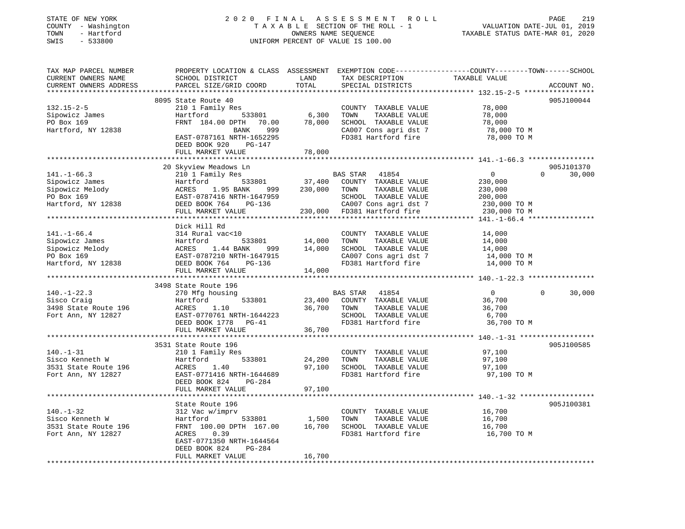### STATE OF NEW YORK 2 0 2 0 F I N A L A S S E S S M E N T R O L L PAGE 219 COUNTY - Washington T A X A B L E SECTION OF THE ROLL - 1 VALUATION DATE-JUL 01, 2019 TOWN - Hartford OWNERS NAME SEQUENCE TAXABLE STATUS DATE-MAR 01, 2020 SWIS - 533800 UNIFORM PERCENT OF VALUE IS 100.00

| TAX MAP PARCEL NUMBER<br>CURRENT OWNERS NAME<br>CURRENT OWNERS ADDRESS                     | PROPERTY LOCATION & CLASS ASSESSMENT<br>SCHOOL DISTRICT<br>PARCEL SIZE/GRID COORD                                                                                                      | LAND<br>TOTAL                | TAX DESCRIPTION<br>SPECIAL DISTRICTS                                                                                                       | EXEMPTION CODE-----------------COUNTY-------TOWN------SCHOOL<br>TAXABLE VALUE   | ACCOUNT NO.                      |
|--------------------------------------------------------------------------------------------|----------------------------------------------------------------------------------------------------------------------------------------------------------------------------------------|------------------------------|--------------------------------------------------------------------------------------------------------------------------------------------|---------------------------------------------------------------------------------|----------------------------------|
|                                                                                            |                                                                                                                                                                                        | **********                   |                                                                                                                                            |                                                                                 |                                  |
| $132.15 - 2 - 5$<br>Sipowicz James<br>PO Box 169<br>Hartford, NY 12838                     | 8095 State Route 40<br>210 1 Family Res<br>Hartford<br>533801<br>FRNT 184.00 DPTH<br>70.00<br>999<br>BANK<br>EAST-0787161 NRTH-1652295<br>DEED BOOK 920<br>PG-147<br>FULL MARKET VALUE | 6,300<br>78,000<br>78,000    | COUNTY TAXABLE VALUE<br>TOWN<br>TAXABLE VALUE<br>SCHOOL TAXABLE VALUE<br>CA007 Cons agri dst 7<br>FD381 Hartford fire                      | 78,000<br>78,000<br>78,000<br>78,000 TO M<br>78,000 TO M                        | 905J100044                       |
|                                                                                            |                                                                                                                                                                                        |                              |                                                                                                                                            |                                                                                 |                                  |
| $141. - 1 - 66.3$<br>Sipowicz James<br>Sipowicz Melody<br>PO Box 169<br>Hartford, NY 12838 | 20 Skyview Meadows Ln<br>210 1 Family Res<br>Hartford<br>533801<br>ACRES<br>1.95 BANK<br>999<br>EAST-0787416 NRTH-1647959<br>DEED BOOK 764<br>PG-136<br>FULL MARKET VALUE              | 37,400<br>230,000<br>230,000 | BAS STAR<br>41854<br>COUNTY TAXABLE VALUE<br>TAXABLE VALUE<br>TOWN<br>SCHOOL TAXABLE VALUE<br>CA007 Cons agri dst 7<br>FD381 Hartford fire | $\overline{0}$<br>230,000<br>230,000<br>200,000<br>230,000 TO M<br>230,000 TO M | 905J101370<br>30,000<br>$\Omega$ |
|                                                                                            |                                                                                                                                                                                        |                              |                                                                                                                                            |                                                                                 |                                  |
| $141. - 1 - 66.4$<br>Sipowicz James<br>Sipowicz Melody<br>PO Box 169<br>Hartford, NY 12838 | Dick Hill Rd<br>314 Rural vac<10<br>533801<br>Hartford<br>ACRES<br>1.44 BANK<br>999<br>EAST-0787210 NRTH-1647915<br>DEED BOOK 764<br>PG-136<br>FULL MARKET VALUE                       | 14,000<br>14,000<br>14,000   | COUNTY TAXABLE VALUE<br>TAXABLE VALUE<br>TOWN<br>SCHOOL TAXABLE VALUE<br>CA007 Cons agri dst 7<br>FD381 Hartford fire                      | 14,000<br>14,000<br>14,000<br>14,000 TO M<br>14,000 TO M                        |                                  |
|                                                                                            |                                                                                                                                                                                        |                              |                                                                                                                                            |                                                                                 |                                  |
| $140. - 1 - 22.3$<br>Sisco Craig<br>3498 State Route 196<br>Fort Ann, NY 12827             | 3498 State Route 196<br>270 Mfg housing<br>Hartford<br>533801<br>ACRES<br>1.10<br>EAST-0770761 NRTH-1644223<br>DEED BOOK 1778<br>$PG-41$<br>FULL MARKET VALUE                          | 23,400<br>36,700<br>36,700   | BAS STAR<br>41854<br>COUNTY TAXABLE VALUE<br>TOWN<br>TAXABLE VALUE<br>SCHOOL TAXABLE VALUE<br>FD381 Hartford fire                          | $\overline{0}$<br>36,700<br>36,700<br>6,700<br>36,700 TO M                      | $\Omega$<br>30,000               |
|                                                                                            | 3531 State Route 196                                                                                                                                                                   |                              |                                                                                                                                            |                                                                                 | 905J100585                       |
| $140. - 1 - 31$<br>Sisco Kenneth W<br>3531 State Route 196<br>Fort Ann, NY 12827           | 210 1 Family Res<br>Hartford<br>533801<br>ACRES<br>1.40<br>EAST-0771416 NRTH-1644689<br>DEED BOOK 824<br>PG-284                                                                        | 24,200<br>97,100             | COUNTY TAXABLE VALUE<br>TOWN<br>TAXABLE VALUE<br>SCHOOL TAXABLE VALUE<br>FD381 Hartford fire                                               | 97,100<br>97,100<br>97,100<br>97,100 TO M                                       |                                  |
|                                                                                            | FULL MARKET VALUE                                                                                                                                                                      | 97,100                       |                                                                                                                                            | **************** 140.-1-32 *****                                                |                                  |
| $140. - 1 - 32$<br>Sisco Kenneth W<br>3531 State Route 196<br>Fort Ann, NY 12827           | State Route 196<br>312 Vac w/imprv<br>Hartford<br>533801<br>FRNT 100.00 DPTH 167.00<br>ACRES<br>0.39<br>EAST-0771350 NRTH-1644564<br>DEED BOOK 824<br>PG-284<br>FULL MARKET VALUE      | 1,500<br>16,700<br>16,700    | COUNTY TAXABLE VALUE<br>TOWN<br>TAXABLE VALUE<br>SCHOOL TAXABLE VALUE<br>FD381 Hartford fire                                               | 16,700<br>16,700<br>16,700<br>16,700 TO M                                       | 905J100381                       |
|                                                                                            |                                                                                                                                                                                        |                              |                                                                                                                                            |                                                                                 |                                  |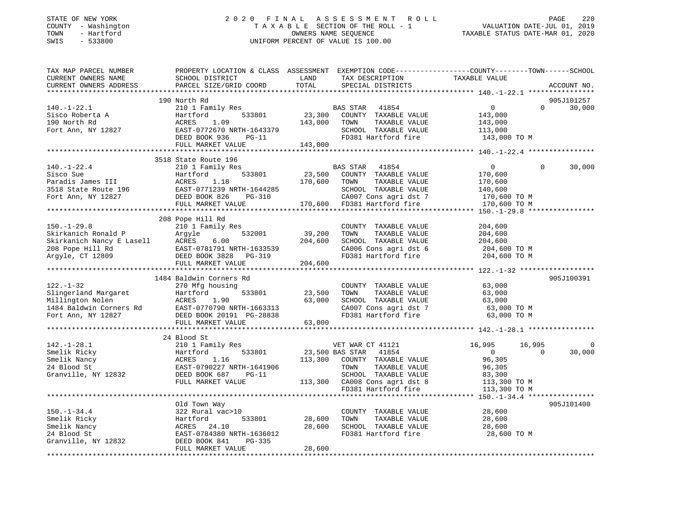### STATE OF NEW YORK 2 0 2 0 F I N A L A S S E S S M E N T R O L L PAGE 220 COUNTY - Washington T A X A B L E SECTION OF THE ROLL - 1 VALUATION DATE-JUL 01, 2019 TOWN - Hartford OWNERS NAME SEQUENCE TAXABLE STATUS DATE-MAR 01, 2020 SWIS - 533800 UNIFORM PERCENT OF VALUE IS 100.00

| TAX MAP PARCEL NUMBER<br>CURRENT OWNERS NAME                                            | PROPERTY LOCATION & CLASS ASSESSMENT EXEMPTION CODE----------------COUNTY-------TOWN------SCHOOL<br>SCHOOL DISTRICT | LAND    | TAX DESCRIPTION               | TAXABLE VALUE                                      |          |             |
|-----------------------------------------------------------------------------------------|---------------------------------------------------------------------------------------------------------------------|---------|-------------------------------|----------------------------------------------------|----------|-------------|
| CURRENT OWNERS ADDRESS                                                                  | PARCEL SIZE/GRID COORD                                                                                              | TOTAL   | SPECIAL DISTRICTS             |                                                    |          | ACCOUNT NO. |
|                                                                                         |                                                                                                                     |         |                               |                                                    |          |             |
|                                                                                         | 190 North Rd                                                                                                        |         |                               |                                                    |          | 905J101257  |
| $140. - 1 - 22.1$                                                                       | 210 1 Family Res                                                                                                    |         | BAS STAR<br>41854             | $\Omega$                                           | $\Omega$ | 30,000      |
| Sisco Roberta A                                                                         | Hartford<br>533801                                                                                                  | 23,300  | COUNTY TAXABLE VALUE          | 143,000                                            |          |             |
| 190 North Rd                                                                            | ACRES<br>1.09                                                                                                       | 143,000 | TOWN<br>TAXABLE VALUE         | 143,000                                            |          |             |
| Fort Ann, NY 12827                                                                      | EAST-0772670 NRTH-1643379                                                                                           |         | SCHOOL TAXABLE VALUE          | 113,000                                            |          |             |
|                                                                                         | DEED BOOK 936<br>PG-11                                                                                              |         | FD381 Hartford fire           | 143,000 TO M                                       |          |             |
|                                                                                         | FULL MARKET VALUE                                                                                                   | 143,000 |                               |                                                    |          |             |
|                                                                                         |                                                                                                                     |         |                               |                                                    |          |             |
|                                                                                         | 3518 State Route 196                                                                                                |         |                               |                                                    |          |             |
| $140. - 1 - 22.4$                                                                       | 210 1 Family Res                                                                                                    |         | <b>BAS STAR</b><br>41854      | $\Omega$                                           | $\Omega$ | 30,000      |
| Sisco Sue                                                                               |                                                                                                                     | 23,500  | COUNTY TAXABLE VALUE          | 170,600                                            |          |             |
| Paradis James III                                                                       |                                                                                                                     | 170,600 | TOWN<br>TAXABLE VALUE         | 170,600                                            |          |             |
| 3518 State Route 196<br>Tart Ann NY 12827                                               |                                                                                                                     |         | SCHOOL TAXABLE VALUE          | 140,600                                            |          |             |
| Fort Ann, NY 12827                                                                      | 1133801<br>ACRES 1.18<br>EAST-0771239 NRTH-1644285<br>DEED BOOK 826                                                 |         | CA007 Cons agri dst 7         | 170,600 TO M                                       |          |             |
|                                                                                         | FULL MARKET VALUE                                                                                                   |         | 170,600 FD381 Hartford fire   | 170,600 TO M                                       |          |             |
|                                                                                         |                                                                                                                     |         |                               |                                                    |          |             |
|                                                                                         | 208 Pope Hill Rd                                                                                                    |         |                               |                                                    |          |             |
| $150. - 1 - 29.8$                                                                       | 210 1 Family Res                                                                                                    |         | COUNTY TAXABLE VALUE          | 204,600                                            |          |             |
| Skirkanich Ronald P                                                                     | 532001<br>Argyle                                                                                                    | 39,200  | TOWN<br>TAXABLE VALUE         | 204,600                                            |          |             |
| Skirkanich Ronald Pargyle<br>Skirkanich Nancy E Lasell ACRES<br>208 Pope Hill Rd EAST-0 | 6.00                                                                                                                | 204,600 | SCHOOL TAXABLE VALUE          | 204,600                                            |          |             |
|                                                                                         | EAST-0781791 NRTH-1633539                                                                                           |         | CA006 Cons agri dst 6         | 204,600 TO M                                       |          |             |
| Argyle, CT 12809                                                                        | DEED BOOK 3828 PG-319                                                                                               |         | FD381 Hartford fire           | 204,600 TO M                                       |          |             |
|                                                                                         | FULL MARKET VALUE                                                                                                   | 204,600 |                               |                                                    |          |             |
|                                                                                         |                                                                                                                     |         |                               | ********************* 122.-1-32 ****************** |          |             |
|                                                                                         | 1484 Baldwin Corners Rd                                                                                             |         |                               |                                                    |          | 905J100391  |
| $122. - 1 - 32$                                                                         | 270 Mfg housing                                                                                                     |         | COUNTY TAXABLE VALUE          | 63,000                                             |          |             |
| Slingerland Margaret                                                                    | Hartford<br>533801                                                                                                  | 23,500  | TOWN<br>TAXABLE VALUE         | 63,000                                             |          |             |
| Millington Nolen                                                                        | ACRES<br>1.90                                                                                                       | 63,000  | SCHOOL TAXABLE VALUE          | 63,000                                             |          |             |
| 1484 Baldwin Corners Rd                                                                 | EAST-0770790 NRTH-1663313                                                                                           |         | CA007 Cons agri dst 7         | 63,000 TO M                                        |          |             |
| Fort Ann, NY 12827                                                                      | DEED BOOK 20191 PG-28838                                                                                            |         | FD381 Hartford fire           | 63,000 TO M                                        |          |             |
|                                                                                         | FULL MARKET VALUE                                                                                                   | 63,000  |                               |                                                    |          |             |
|                                                                                         |                                                                                                                     |         |                               |                                                    |          |             |
|                                                                                         | 24 Blood St                                                                                                         |         |                               |                                                    |          |             |
| $142.-1-28.1$                                                                           | 210 1 Family Res                                                                                                    |         | VET WAR CT 41121              | 16,995                                             | 16,995   | $\mathbf 0$ |
| Smelik Ricky                                                                            | 533801<br>Hartford                                                                                                  |         | 23,500 BAS STAR 41854         | $\mathbf{0}$                                       | $\Omega$ | 30,000      |
| Smelik Nancy                                                                            | ACRES<br>1.16                                                                                                       | 113,300 | COUNTY TAXABLE VALUE          | 96,305                                             |          |             |
| 24 Blood St                                                                             | EAST-0790227 NRTH-1641906                                                                                           |         | TOWN<br>TAXABLE VALUE         | 96,305                                             |          |             |
| Granville, NY 12832                                                                     | DEED BOOK 687<br>$PG-11$                                                                                            |         | SCHOOL TAXABLE VALUE          | 83,300                                             |          |             |
|                                                                                         | FULL MARKET VALUE                                                                                                   |         | 113,300 CA008 Cons agri dst 8 | 113,300 TO M                                       |          |             |
|                                                                                         |                                                                                                                     |         | FD381 Hartford fire           | 113,300 TO M                                       |          |             |
|                                                                                         |                                                                                                                     |         |                               |                                                    |          |             |
|                                                                                         | Old Town Way                                                                                                        |         |                               |                                                    |          | 905J101400  |
| $150. - 1 - 34.4$                                                                       | 322 Rural vac>10                                                                                                    |         | COUNTY TAXABLE VALUE          | 28,600                                             |          |             |
| Smelik Ricky                                                                            | Hartford<br>533801                                                                                                  | 28,600  | TOWN<br>TAXABLE VALUE         | 28,600                                             |          |             |
| Smelik Nancy                                                                            | ACRES<br>24.10                                                                                                      | 28,600  | SCHOOL TAXABLE VALUE          | 28,600                                             |          |             |
| 24 Blood St                                                                             | EAST-0784380 NRTH-1636012                                                                                           |         | FD381 Hartford fire           | 28,600 TO M                                        |          |             |
| Granville, NY 12832                                                                     | DEED BOOK 841<br>PG-335                                                                                             |         |                               |                                                    |          |             |
|                                                                                         | FULL MARKET VALUE                                                                                                   | 28,600  |                               |                                                    |          |             |
|                                                                                         |                                                                                                                     |         |                               |                                                    |          |             |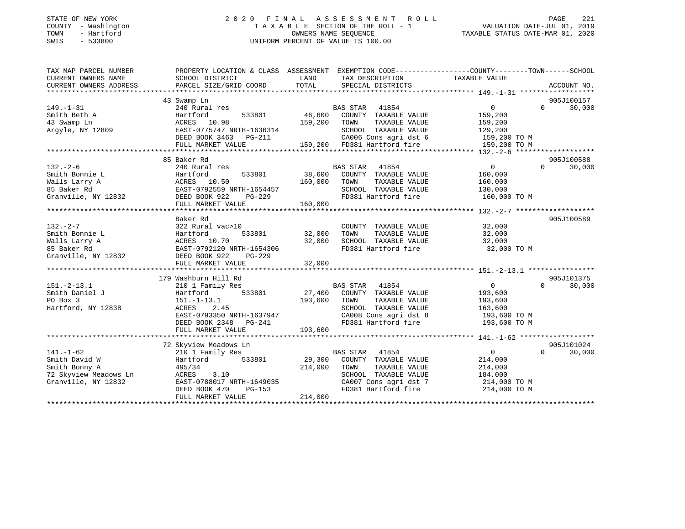### STATE OF NEW YORK 2 0 2 0 F I N A L A S S E S S M E N T R O L L PAGE 221 COUNTY - Washington T A X A B L E SECTION OF THE ROLL - 1 VALUATION DATE-JUL 01, 2019 TOWN - Hartford OWNERS NAME SEQUENCE TAXABLE STATUS DATE-MAR 01, 2020 SWIS - 533800 UNIFORM PERCENT OF VALUE IS 100.00

| TAX MAP PARCEL NUMBER  | PROPERTY LOCATION & CLASS ASSESSMENT EXEMPTION CODE---------------COUNTY-------TOWN-----SCHOOL                                                                                                                                                           |              |                                                                            |                                           |                    |
|------------------------|----------------------------------------------------------------------------------------------------------------------------------------------------------------------------------------------------------------------------------------------------------|--------------|----------------------------------------------------------------------------|-------------------------------------------|--------------------|
| CURRENT OWNERS NAME    | SCHOOL DISTRICT                                                                                                                                                                                                                                          | LAND         | TAX DESCRIPTION                                                            | TAXABLE VALUE                             |                    |
| CURRENT OWNERS ADDRESS | PARCEL SIZE/GRID COORD                                                                                                                                                                                                                                   | TOTAL        | SPECIAL DISTRICTS                                                          |                                           | ACCOUNT NO.        |
|                        |                                                                                                                                                                                                                                                          |              |                                                                            |                                           |                    |
|                        | 43 Swamp Ln                                                                                                                                                                                                                                              |              |                                                                            |                                           | 905J100157         |
| $149. - 1 - 31$        | 240 Rural res                                                                                                                                                                                                                                            |              | BAS STAR 41854                                                             | $\overline{0}$                            | 30,000<br>$\Omega$ |
| Smith Beth A           | Hartford<br>533801                                                                                                                                                                                                                                       |              | 46,600 COUNTY TAXABLE VALUE                                                | 159,200                                   |                    |
| 43 Swamp Ln            | ACRES 10.98                                                                                                                                                                                                                                              | 159,200 TOWN | TAXABLE VALUE                                                              | 159,200                                   |                    |
| Argyle, NY 12809       | EAST-0775747 NRTH-1636314                                                                                                                                                                                                                                |              | SCHOOL TAXABLE VALUE 129,200<br>CA006 Cons agri dst 6 159,200 TO M         |                                           |                    |
|                        |                                                                                                                                                                                                                                                          |              | 159,200 FD381 Hartford fire                                                |                                           |                    |
|                        | FULL MARKET VALUE                                                                                                                                                                                                                                        |              |                                                                            | 159,200 TO M                              |                    |
|                        |                                                                                                                                                                                                                                                          |              |                                                                            |                                           |                    |
|                        | 85 Baker Rd                                                                                                                                                                                                                                              |              |                                                                            |                                           | 905J100588         |
| $132 - 2 - 6$          | 240 Rural res                                                                                                                                                                                                                                            |              | BAS STAR 41854<br>533801 38,600 COUNTY TAXABLE VALUE                       | $\overline{0}$                            | $\Omega$<br>30,000 |
|                        |                                                                                                                                                                                                                                                          |              |                                                                            | 160,000                                   |                    |
|                        |                                                                                                                                                                                                                                                          |              |                                                                            | 160,000                                   |                    |
|                        |                                                                                                                                                                                                                                                          |              | SCHOOL TAXABLE VALUE 130,000                                               |                                           |                    |
|                        | Smith Bonnie L<br>Walls Larry A<br>Malls Larry A<br>Smith Bonnie L<br>Malls Larry A<br>Malls Larry A<br>EAST-0792559 NRTH-1654457<br>Cranville, NY 12832<br>DEED BOOK 922 PG-229<br>PG-229<br>PG-229<br>FD381 Hartford fire<br>FD381 Hartford fire<br>FD |              |                                                                            | 160,000 TO M                              |                    |
|                        | FULL MARKET VALUE                                                                                                                                                                                                                                        | 160,000      |                                                                            |                                           |                    |
|                        |                                                                                                                                                                                                                                                          |              |                                                                            |                                           |                    |
|                        | Baker Rd                                                                                                                                                                                                                                                 |              |                                                                            |                                           | 905J100589         |
| $132 - 2 - 7$          | 322 Rural vac>10                                                                                                                                                                                                                                         |              | COUNTY TAXABLE VALUE                                                       | 32,000<br>$\frac{1}{32}$ , 000<br>32, 000 |                    |
| Smith Bonnie L         | Hartford<br>533801 32,000                                                                                                                                                                                                                                |              | TOWN<br>TAXABLE VALUE                                                      |                                           |                    |
|                        | 9 Smith Bonnie L<br>Walls Larry A (ACRES 10.70)<br>85 Baker Rd (BAST-0792120 NRTH-1654306<br>Granville, NY 12832 (BEED BOOK 922 PG-229                                                                                                                   | 32,000       | SCHOOL TAXABLE VALUE                                                       |                                           |                    |
|                        |                                                                                                                                                                                                                                                          |              | FD381 Hartford fire 32,000 TO M                                            |                                           |                    |
|                        |                                                                                                                                                                                                                                                          |              |                                                                            |                                           |                    |
|                        | FULL MARKET VALUE                                                                                                                                                                                                                                        | 32,000       |                                                                            |                                           |                    |
|                        |                                                                                                                                                                                                                                                          |              |                                                                            |                                           |                    |
|                        | 179 Washburn Hill Rd                                                                                                                                                                                                                                     |              |                                                                            |                                           | 905J101375         |
| $151.-2-13.1$          | 210 1 Family Res                                                                                                                                                                                                                                         |              | BAS STAR 41854                                                             | $\overline{0}$                            | 30,000<br>$\Omega$ |
| Smith Daniel J         | Hartford 533801                                                                                                                                                                                                                                          |              | 27,400 COUNTY TAXABLE VALUE                                                | 193,600                                   |                    |
| PO Box 3               | $151. - 1 - 13.1$                                                                                                                                                                                                                                        | 193,600 TOWN | TAXABLE VALUE                                                              | 193,600                                   |                    |
| Hartford, NY 12838     | ACRES 2.45                                                                                                                                                                                                                                               |              | SCHOOL TAXABLE VALUE 163,600                                               |                                           |                    |
|                        | EAST-0793350 NRTH-1637947<br>DEED BOOK 2348 PG-241                                                                                                                                                                                                       |              | CA008 Cons agri dst 8 193,600 TO M                                         |                                           |                    |
|                        |                                                                                                                                                                                                                                                          |              | FD381 Hartford fire                                                        | 193,600 TO M                              |                    |
|                        | FULL MARKET VALUE                                                                                                                                                                                                                                        | 193,600      |                                                                            |                                           |                    |
|                        |                                                                                                                                                                                                                                                          |              |                                                                            |                                           |                    |
|                        | 72 Skyview Meadows Ln                                                                                                                                                                                                                                    |              |                                                                            |                                           | 905J101024         |
| $141. - 1 - 62$        | 210 1 Family Res                                                                                                                                                                                                                                         |              | BAS STAR<br>41854                                                          | $\overline{0}$                            | 30,000<br>$\Omega$ |
| Smith David W          | Hartford 533801                                                                                                                                                                                                                                          |              | 29,300 COUNTY TAXABLE VALUE                                                | 214,000                                   |                    |
| Smith Bonny A          | 495/34                                                                                                                                                                                                                                                   | 214,000      | TAXABLE VALUE<br>TOWN                                                      | 214,000                                   |                    |
| 72 Skyview Meadows Ln  | ACRES 3.10                                                                                                                                                                                                                                               |              | SCHOOL TAXABLE VALUE                                                       | 184,000                                   |                    |
| Granville, NY 12832    | EAST-0788017 NRTH-1649035                                                                                                                                                                                                                                |              | CA007 Cons agri dst 7 and 214,000 TO M<br>FD381 Hartford fire 214,000 TO M |                                           |                    |
|                        | DEED BOOK 470                                                                                                                                                                                                                                            | $PG-153$     |                                                                            |                                           |                    |
|                        | FULL MARKET VALUE                                                                                                                                                                                                                                        | 214,000      |                                                                            |                                           |                    |
|                        |                                                                                                                                                                                                                                                          |              |                                                                            |                                           |                    |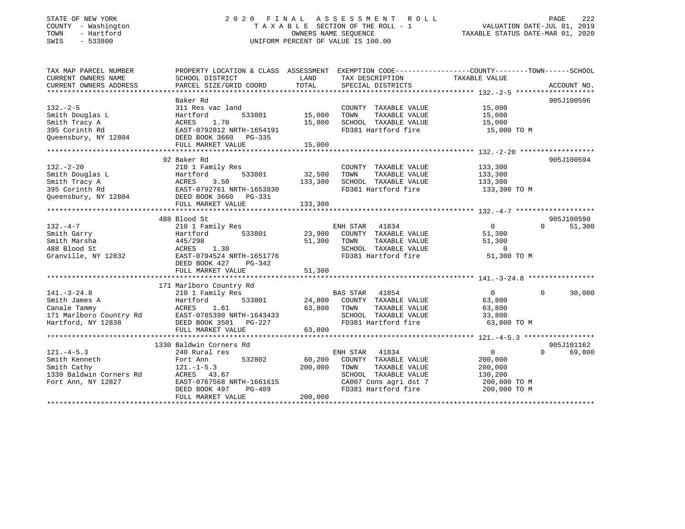### STATE OF NEW YORK 2 0 2 0 F I N A L A S S E S S M E N T R O L L PAGE 222 COUNTY - Washington T A X A B L E SECTION OF THE ROLL - 1 VALUATION DATE-JUL 01, 2019 TOWN - Hartford OWNERS NAME SEQUENCE TAXABLE STATUS DATE-MAR 01, 2020 SWIS - 533800 UNIFORM PERCENT OF VALUE IS 100.00

| TAX MAP PARCEL NUMBER<br>CURRENT OWNERS NAME                                                                                                                                                                                                              | PROPERTY LOCATION & CLASS ASSESSMENT EXEMPTION CODE----------------COUNTY-------TOWN------SCHOOL<br>SCHOOL DISTRICT | LAND             | TAX DESCRIPTION                               | TAXABLE VALUE         |                    |
|-----------------------------------------------------------------------------------------------------------------------------------------------------------------------------------------------------------------------------------------------------------|---------------------------------------------------------------------------------------------------------------------|------------------|-----------------------------------------------|-----------------------|--------------------|
| CURRENT OWNERS ADDRESS                                                                                                                                                                                                                                    | PARCEL SIZE/GRID COORD                                                                                              | TOTAL            | SPECIAL DISTRICTS                             |                       | ACCOUNT NO.        |
|                                                                                                                                                                                                                                                           |                                                                                                                     |                  |                                               |                       |                    |
|                                                                                                                                                                                                                                                           | Baker Rd                                                                                                            |                  |                                               |                       | 905J100596         |
| $132 - 2 - 5$                                                                                                                                                                                                                                             | 311 Res vac land                                                                                                    |                  | COUNTY TAXABLE VALUE                          | 15,000                |                    |
| Smith Douglas L                                                                                                                                                                                                                                           | 533801<br>Hartford<br>1.70<br>ACRES                                                                                 | 15,000<br>15,000 | TOWN<br>TAXABLE VALUE<br>SCHOOL TAXABLE VALUE | 15,000                |                    |
| Smith Tracy A<br>395 Corinth Rd                                                                                                                                                                                                                           |                                                                                                                     |                  | FD381 Hartford fire                           | 15,000<br>15,000 TO M |                    |
| Queensbury, NY 12804                                                                                                                                                                                                                                      | EAST-0792812 NRTH-1654191<br>2804 DEED BOOK 3660 PG-335                                                             |                  |                                               |                       |                    |
|                                                                                                                                                                                                                                                           | FULL MARKET VALUE                                                                                                   | 15,000           |                                               |                       |                    |
|                                                                                                                                                                                                                                                           |                                                                                                                     |                  |                                               |                       |                    |
|                                                                                                                                                                                                                                                           | 92 Baker Rd                                                                                                         |                  |                                               |                       | 905J100594         |
| $132 - 2 - 20$                                                                                                                                                                                                                                            | 210 1 Family Res                                                                                                    |                  | COUNTY TAXABLE VALUE                          | 133,300               |                    |
|                                                                                                                                                                                                                                                           |                                                                                                                     | 32,500           | TOWN<br>TAXABLE VALUE                         | 133,300               |                    |
|                                                                                                                                                                                                                                                           |                                                                                                                     | 133,300          | SCHOOL TAXABLE VALUE                          | 133,300               |                    |
|                                                                                                                                                                                                                                                           |                                                                                                                     |                  | FD381 Hartford fire                           | 133,300 TO M          |                    |
|                                                                                                                                                                                                                                                           |                                                                                                                     |                  |                                               |                       |                    |
| 132.-2-20<br>Smith Douglas L<br>Smith Tracy A<br>205 Corinth Rd<br>205 Corinth Rd<br>205 Corinth Rd<br>205 Corinth Rd<br>205 Corinth Rd<br>205 Corinth Rd<br>205 Corinth Rd<br>205 Corinth Rd<br>205 Corinth Rd<br>205 Corinth Rd<br>205 Corinth Rd<br>20 | FULL MARKET VALUE                                                                                                   | 133,300          |                                               |                       |                    |
|                                                                                                                                                                                                                                                           |                                                                                                                     |                  |                                               |                       |                    |
|                                                                                                                                                                                                                                                           | 488 Blood St                                                                                                        |                  |                                               |                       | 905J100590         |
| $132 - 4 - 7$                                                                                                                                                                                                                                             | 210 1 Family Res                                                                                                    |                  | 41834<br>ENH STAR                             | $\overline{0}$        | $\Omega$<br>51,300 |
| Smith Garry                                                                                                                                                                                                                                               | 533801<br>Hartford                                                                                                  | 23,900           | COUNTY TAXABLE VALUE                          | 51,300                |                    |
| Smith Marsha                                                                                                                                                                                                                                              | 445/298                                                                                                             | 51,300           | TOWN<br>TAXABLE VALUE                         | 51,300                |                    |
| 488 Blood St                                                                                                                                                                                                                                              | 1.30<br>ACRES                                                                                                       |                  | SCHOOL TAXABLE VALUE                          | $\overline{0}$        |                    |
| Granville, NY 12832                                                                                                                                                                                                                                       | EAST-0794524 NRTH-1651776                                                                                           |                  | FD381 Hartford fire                           | 51,300 TO M           |                    |
|                                                                                                                                                                                                                                                           | DEED BOOK 427<br>PG-342                                                                                             |                  |                                               |                       |                    |
|                                                                                                                                                                                                                                                           | FULL MARKET VALUE                                                                                                   | 51,300           |                                               |                       |                    |
|                                                                                                                                                                                                                                                           |                                                                                                                     |                  |                                               |                       |                    |
|                                                                                                                                                                                                                                                           | 171 Marlboro Country Rd                                                                                             |                  |                                               |                       |                    |
| $141. - 3 - 24.8$                                                                                                                                                                                                                                         | 210 1 Family Res                                                                                                    |                  | BAS STAR 41854                                | 0                     | 30,000<br>$\Omega$ |
| Smith James A                                                                                                                                                                                                                                             | 533801<br>Hartford                                                                                                  | 24,800           | COUNTY TAXABLE VALUE                          | 63,800                |                    |
| Canale Tammy                                                                                                                                                                                                                                              | ACRES<br>1.61                                                                                                       | 63,800           | TOWN<br>TAXABLE VALUE                         | 63,800                |                    |
|                                                                                                                                                                                                                                                           |                                                                                                                     |                  | SCHOOL TAXABLE VALUE                          | 33,800                |                    |
|                                                                                                                                                                                                                                                           |                                                                                                                     |                  | FD381 Hartford fire                           | 63,800 TO M           |                    |
|                                                                                                                                                                                                                                                           | FULL MARKET VALUE                                                                                                   | 63,800           |                                               |                       |                    |
|                                                                                                                                                                                                                                                           |                                                                                                                     |                  |                                               |                       |                    |
|                                                                                                                                                                                                                                                           | 1330 Baldwin Corners Rd                                                                                             |                  |                                               |                       | 905J101162         |
| $121. -4 - 5.3$                                                                                                                                                                                                                                           | 240 Rural res                                                                                                       |                  | ENH STAR<br>41834                             | $\mathbf 0$           | $\Omega$<br>69,800 |
| Smith Kenneth                                                                                                                                                                                                                                             | Fort Ann<br>532802                                                                                                  | 60,200           | COUNTY TAXABLE VALUE                          | 200,000               |                    |
| Smith Cathy                                                                                                                                                                                                                                               | $121. - 1 - 5.3$                                                                                                    | 200,000          | TAXABLE VALUE<br>TOWN                         | 200,000               |                    |
| 1330 Baldwin Corners Rd                                                                                                                                                                                                                                   | ACRES 43.67                                                                                                         |                  | SCHOOL TAXABLE VALUE                          | 130,200               |                    |
| Fort Ann, NY 12827                                                                                                                                                                                                                                        | EAST-0767568 NRTH-1661615                                                                                           |                  | CA007 Cons agri dst 7                         | 200,000 TO M          |                    |
|                                                                                                                                                                                                                                                           | DEED BOOK 497<br>$PG-409$                                                                                           |                  | FD381 Hartford fire                           | 200,000 TO M          |                    |
|                                                                                                                                                                                                                                                           | FULL MARKET VALUE                                                                                                   | 200,000          |                                               |                       |                    |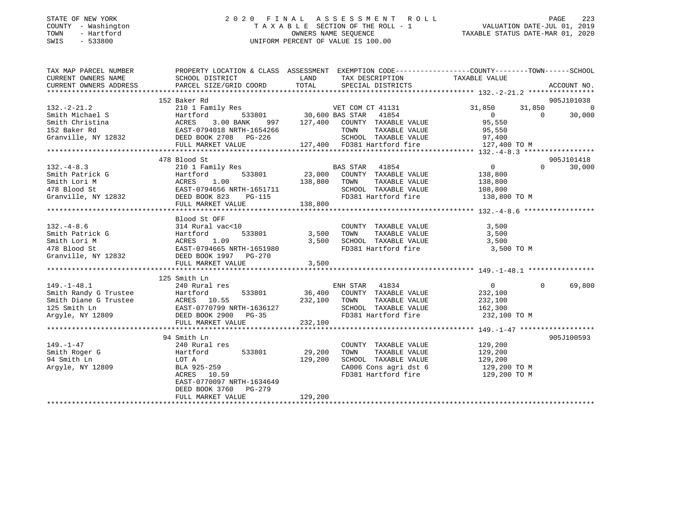### STATE OF NEW YORK 2 0 2 0 F I N A L A S S E S S M E N T R O L L PAGE 223 COUNTY - Washington T A X A B L E SECTION OF THE ROLL - 1 VALUATION DATE-JUL 01, 2019 TOWN - Hartford OWNERS NAME SEQUENCE TAXABLE STATUS DATE-MAR 01, 2020 SWIS - 533800 UNIFORM PERCENT OF VALUE IS 100.00

| TAXABLE VALUE<br>LAND TAX DESCRIPTION<br>152 Baker Rd<br>905J101038<br>132.-2-21.2<br>132.-2-21.2<br>Smith Michael S<br>Smith Christina (1854 – 1854 – 187,400 COUNTY TAXABLE VALUE<br>152 Baker Rd<br>152 Baker Rd<br>152 Baker Rd<br>152 Baker Rd<br>162 Baker Rd<br>162 Baker Rd<br>163 Backr Rd<br>163 Backr Book 2708<br>31,850<br>$31,850$ $31,850$ 0<br>$\sim$ 0<br>30,000<br>FULL MARKET VALUE 127,400 FD381 Hartford fire 127,400 TO M<br>478 Blood St<br>905J101418<br>$\Omega$<br>30,000<br>Blood St OFF<br>$\begin{array}{lllllllllllllllllll} \text{132.-4-8.6} & \text{314 Rural vac} & \text{20UNTY} & \text{TAXABLE VALUE} & \text{3,500} \\ \text{Smith Patrick G} & \text{Hartford} & \text{533801} & \text{3,500} & \text{TOWN} & \text{TAXABLE VALUE} & \text{3,500} \\ \text{Smith Lori M} & \text{ACRES} & 1.09 & 3,500 & \text{SCHOOL TAXABLE VALUE} & 3,500 \\ \text{Granville, NY 12832} & \text{DEED BOOK 1997} & \text{PG-270$<br>3,500 TO M<br>3,500<br>FULL MARKET VALUE<br>125 Smith Ln<br>$\Omega$<br>69,800<br>232,100 TO M<br>232,100<br>FULL MARKET VALUE<br>905J100593<br>94 Smith Ln<br>COUNTY TAXABLE VALUE 129,200<br>149.-1-47<br>240 Rural res<br>29,200<br>TOWN<br>TAXABLE VALUE<br>129,200<br>129,200<br>129,200<br>SCHOOL TAXABLE VALUE<br>LOT A<br>BLA 925-259<br>ACRES 10.59<br>Argyle, NY 12809<br>CA006 Cons agri dst 6 129,200 TO M<br>FD381 Hartford fire<br>129,200 TO M<br>EAST-0770097 NRTH-1634649<br>DEED BOOK 3760 PG-279<br>129,200<br>FULL MARKET VALUE | TAX MAP PARCEL NUMBER |                 | PROPERTY LOCATION & CLASS ASSESSMENT EXEMPTION CODE---------------COUNTY-------TOWN------SCHOOL |
|------------------------------------------------------------------------------------------------------------------------------------------------------------------------------------------------------------------------------------------------------------------------------------------------------------------------------------------------------------------------------------------------------------------------------------------------------------------------------------------------------------------------------------------------------------------------------------------------------------------------------------------------------------------------------------------------------------------------------------------------------------------------------------------------------------------------------------------------------------------------------------------------------------------------------------------------------------------------------------------------------------------------------------------------------------------------------------------------------------------------------------------------------------------------------------------------------------------------------------------------------------------------------------------------------------------------------------------------------------------------------------------------------------------------------------------------------------------------------------------------------------------|-----------------------|-----------------|-------------------------------------------------------------------------------------------------|
|                                                                                                                                                                                                                                                                                                                                                                                                                                                                                                                                                                                                                                                                                                                                                                                                                                                                                                                                                                                                                                                                                                                                                                                                                                                                                                                                                                                                                                                                                                                  | CURRENT OWNERS NAME   | SCHOOL DISTRICT |                                                                                                 |
|                                                                                                                                                                                                                                                                                                                                                                                                                                                                                                                                                                                                                                                                                                                                                                                                                                                                                                                                                                                                                                                                                                                                                                                                                                                                                                                                                                                                                                                                                                                  |                       |                 |                                                                                                 |
|                                                                                                                                                                                                                                                                                                                                                                                                                                                                                                                                                                                                                                                                                                                                                                                                                                                                                                                                                                                                                                                                                                                                                                                                                                                                                                                                                                                                                                                                                                                  |                       |                 |                                                                                                 |
|                                                                                                                                                                                                                                                                                                                                                                                                                                                                                                                                                                                                                                                                                                                                                                                                                                                                                                                                                                                                                                                                                                                                                                                                                                                                                                                                                                                                                                                                                                                  |                       |                 |                                                                                                 |
|                                                                                                                                                                                                                                                                                                                                                                                                                                                                                                                                                                                                                                                                                                                                                                                                                                                                                                                                                                                                                                                                                                                                                                                                                                                                                                                                                                                                                                                                                                                  |                       |                 |                                                                                                 |
|                                                                                                                                                                                                                                                                                                                                                                                                                                                                                                                                                                                                                                                                                                                                                                                                                                                                                                                                                                                                                                                                                                                                                                                                                                                                                                                                                                                                                                                                                                                  |                       |                 |                                                                                                 |
|                                                                                                                                                                                                                                                                                                                                                                                                                                                                                                                                                                                                                                                                                                                                                                                                                                                                                                                                                                                                                                                                                                                                                                                                                                                                                                                                                                                                                                                                                                                  |                       |                 |                                                                                                 |
|                                                                                                                                                                                                                                                                                                                                                                                                                                                                                                                                                                                                                                                                                                                                                                                                                                                                                                                                                                                                                                                                                                                                                                                                                                                                                                                                                                                                                                                                                                                  |                       |                 |                                                                                                 |
|                                                                                                                                                                                                                                                                                                                                                                                                                                                                                                                                                                                                                                                                                                                                                                                                                                                                                                                                                                                                                                                                                                                                                                                                                                                                                                                                                                                                                                                                                                                  |                       |                 |                                                                                                 |
|                                                                                                                                                                                                                                                                                                                                                                                                                                                                                                                                                                                                                                                                                                                                                                                                                                                                                                                                                                                                                                                                                                                                                                                                                                                                                                                                                                                                                                                                                                                  |                       |                 |                                                                                                 |
|                                                                                                                                                                                                                                                                                                                                                                                                                                                                                                                                                                                                                                                                                                                                                                                                                                                                                                                                                                                                                                                                                                                                                                                                                                                                                                                                                                                                                                                                                                                  |                       |                 |                                                                                                 |
|                                                                                                                                                                                                                                                                                                                                                                                                                                                                                                                                                                                                                                                                                                                                                                                                                                                                                                                                                                                                                                                                                                                                                                                                                                                                                                                                                                                                                                                                                                                  |                       |                 |                                                                                                 |
|                                                                                                                                                                                                                                                                                                                                                                                                                                                                                                                                                                                                                                                                                                                                                                                                                                                                                                                                                                                                                                                                                                                                                                                                                                                                                                                                                                                                                                                                                                                  |                       |                 |                                                                                                 |
|                                                                                                                                                                                                                                                                                                                                                                                                                                                                                                                                                                                                                                                                                                                                                                                                                                                                                                                                                                                                                                                                                                                                                                                                                                                                                                                                                                                                                                                                                                                  |                       |                 |                                                                                                 |
|                                                                                                                                                                                                                                                                                                                                                                                                                                                                                                                                                                                                                                                                                                                                                                                                                                                                                                                                                                                                                                                                                                                                                                                                                                                                                                                                                                                                                                                                                                                  |                       |                 |                                                                                                 |
|                                                                                                                                                                                                                                                                                                                                                                                                                                                                                                                                                                                                                                                                                                                                                                                                                                                                                                                                                                                                                                                                                                                                                                                                                                                                                                                                                                                                                                                                                                                  |                       |                 |                                                                                                 |
|                                                                                                                                                                                                                                                                                                                                                                                                                                                                                                                                                                                                                                                                                                                                                                                                                                                                                                                                                                                                                                                                                                                                                                                                                                                                                                                                                                                                                                                                                                                  |                       |                 |                                                                                                 |
|                                                                                                                                                                                                                                                                                                                                                                                                                                                                                                                                                                                                                                                                                                                                                                                                                                                                                                                                                                                                                                                                                                                                                                                                                                                                                                                                                                                                                                                                                                                  |                       |                 |                                                                                                 |
|                                                                                                                                                                                                                                                                                                                                                                                                                                                                                                                                                                                                                                                                                                                                                                                                                                                                                                                                                                                                                                                                                                                                                                                                                                                                                                                                                                                                                                                                                                                  |                       |                 |                                                                                                 |
|                                                                                                                                                                                                                                                                                                                                                                                                                                                                                                                                                                                                                                                                                                                                                                                                                                                                                                                                                                                                                                                                                                                                                                                                                                                                                                                                                                                                                                                                                                                  |                       |                 |                                                                                                 |
|                                                                                                                                                                                                                                                                                                                                                                                                                                                                                                                                                                                                                                                                                                                                                                                                                                                                                                                                                                                                                                                                                                                                                                                                                                                                                                                                                                                                                                                                                                                  |                       |                 |                                                                                                 |
|                                                                                                                                                                                                                                                                                                                                                                                                                                                                                                                                                                                                                                                                                                                                                                                                                                                                                                                                                                                                                                                                                                                                                                                                                                                                                                                                                                                                                                                                                                                  |                       |                 |                                                                                                 |
|                                                                                                                                                                                                                                                                                                                                                                                                                                                                                                                                                                                                                                                                                                                                                                                                                                                                                                                                                                                                                                                                                                                                                                                                                                                                                                                                                                                                                                                                                                                  |                       |                 |                                                                                                 |
|                                                                                                                                                                                                                                                                                                                                                                                                                                                                                                                                                                                                                                                                                                                                                                                                                                                                                                                                                                                                                                                                                                                                                                                                                                                                                                                                                                                                                                                                                                                  |                       |                 |                                                                                                 |
|                                                                                                                                                                                                                                                                                                                                                                                                                                                                                                                                                                                                                                                                                                                                                                                                                                                                                                                                                                                                                                                                                                                                                                                                                                                                                                                                                                                                                                                                                                                  |                       |                 |                                                                                                 |
|                                                                                                                                                                                                                                                                                                                                                                                                                                                                                                                                                                                                                                                                                                                                                                                                                                                                                                                                                                                                                                                                                                                                                                                                                                                                                                                                                                                                                                                                                                                  |                       |                 |                                                                                                 |
|                                                                                                                                                                                                                                                                                                                                                                                                                                                                                                                                                                                                                                                                                                                                                                                                                                                                                                                                                                                                                                                                                                                                                                                                                                                                                                                                                                                                                                                                                                                  |                       |                 |                                                                                                 |
|                                                                                                                                                                                                                                                                                                                                                                                                                                                                                                                                                                                                                                                                                                                                                                                                                                                                                                                                                                                                                                                                                                                                                                                                                                                                                                                                                                                                                                                                                                                  |                       |                 |                                                                                                 |
|                                                                                                                                                                                                                                                                                                                                                                                                                                                                                                                                                                                                                                                                                                                                                                                                                                                                                                                                                                                                                                                                                                                                                                                                                                                                                                                                                                                                                                                                                                                  |                       |                 |                                                                                                 |
|                                                                                                                                                                                                                                                                                                                                                                                                                                                                                                                                                                                                                                                                                                                                                                                                                                                                                                                                                                                                                                                                                                                                                                                                                                                                                                                                                                                                                                                                                                                  |                       |                 |                                                                                                 |
|                                                                                                                                                                                                                                                                                                                                                                                                                                                                                                                                                                                                                                                                                                                                                                                                                                                                                                                                                                                                                                                                                                                                                                                                                                                                                                                                                                                                                                                                                                                  |                       |                 |                                                                                                 |
|                                                                                                                                                                                                                                                                                                                                                                                                                                                                                                                                                                                                                                                                                                                                                                                                                                                                                                                                                                                                                                                                                                                                                                                                                                                                                                                                                                                                                                                                                                                  |                       |                 |                                                                                                 |
|                                                                                                                                                                                                                                                                                                                                                                                                                                                                                                                                                                                                                                                                                                                                                                                                                                                                                                                                                                                                                                                                                                                                                                                                                                                                                                                                                                                                                                                                                                                  |                       |                 |                                                                                                 |
|                                                                                                                                                                                                                                                                                                                                                                                                                                                                                                                                                                                                                                                                                                                                                                                                                                                                                                                                                                                                                                                                                                                                                                                                                                                                                                                                                                                                                                                                                                                  |                       |                 |                                                                                                 |
|                                                                                                                                                                                                                                                                                                                                                                                                                                                                                                                                                                                                                                                                                                                                                                                                                                                                                                                                                                                                                                                                                                                                                                                                                                                                                                                                                                                                                                                                                                                  |                       |                 |                                                                                                 |
|                                                                                                                                                                                                                                                                                                                                                                                                                                                                                                                                                                                                                                                                                                                                                                                                                                                                                                                                                                                                                                                                                                                                                                                                                                                                                                                                                                                                                                                                                                                  |                       |                 |                                                                                                 |
|                                                                                                                                                                                                                                                                                                                                                                                                                                                                                                                                                                                                                                                                                                                                                                                                                                                                                                                                                                                                                                                                                                                                                                                                                                                                                                                                                                                                                                                                                                                  |                       |                 |                                                                                                 |
|                                                                                                                                                                                                                                                                                                                                                                                                                                                                                                                                                                                                                                                                                                                                                                                                                                                                                                                                                                                                                                                                                                                                                                                                                                                                                                                                                                                                                                                                                                                  |                       |                 |                                                                                                 |
|                                                                                                                                                                                                                                                                                                                                                                                                                                                                                                                                                                                                                                                                                                                                                                                                                                                                                                                                                                                                                                                                                                                                                                                                                                                                                                                                                                                                                                                                                                                  |                       |                 |                                                                                                 |
|                                                                                                                                                                                                                                                                                                                                                                                                                                                                                                                                                                                                                                                                                                                                                                                                                                                                                                                                                                                                                                                                                                                                                                                                                                                                                                                                                                                                                                                                                                                  |                       |                 |                                                                                                 |
|                                                                                                                                                                                                                                                                                                                                                                                                                                                                                                                                                                                                                                                                                                                                                                                                                                                                                                                                                                                                                                                                                                                                                                                                                                                                                                                                                                                                                                                                                                                  |                       |                 |                                                                                                 |
|                                                                                                                                                                                                                                                                                                                                                                                                                                                                                                                                                                                                                                                                                                                                                                                                                                                                                                                                                                                                                                                                                                                                                                                                                                                                                                                                                                                                                                                                                                                  |                       |                 |                                                                                                 |
|                                                                                                                                                                                                                                                                                                                                                                                                                                                                                                                                                                                                                                                                                                                                                                                                                                                                                                                                                                                                                                                                                                                                                                                                                                                                                                                                                                                                                                                                                                                  |                       |                 |                                                                                                 |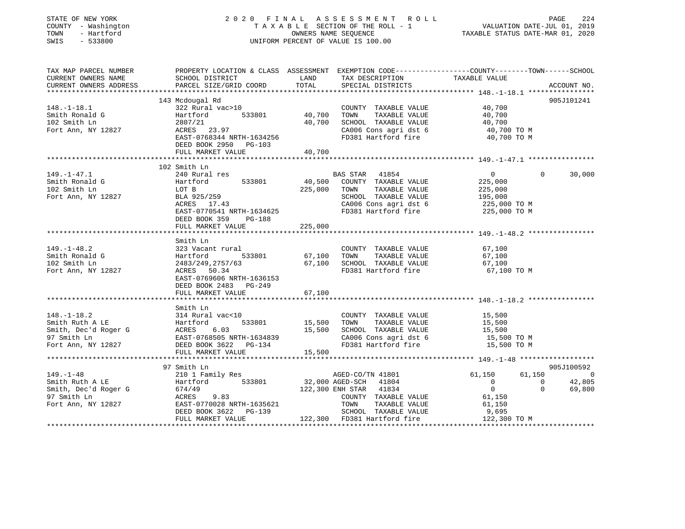| STATE OF NEW YORK<br>COUNTY - Washington<br>TOWN - Hartford<br>SWIS - 533800 | 2020 FINAL ASSESSMENT ROLL<br>UNIFORM PERCENT OF VALUE IS 100.00         | FINAL ASSESSMENT ROLL<br>TAXABLE SECTION OF THE ROLL - 1 VALUATION DATE-JUL 01, 2019<br>OWNERS NAME SEQUENCE TAXABLE STATUS DATE-MAR 01, 2020 | PAGE<br>224                                                                                                                            |                                  |                    |
|------------------------------------------------------------------------------|--------------------------------------------------------------------------|-----------------------------------------------------------------------------------------------------------------------------------------------|----------------------------------------------------------------------------------------------------------------------------------------|----------------------------------|--------------------|
| TAX MAP PARCEL NUMBER<br>CURRENT OWNERS NAME<br>CURRENT OWNERS ADDRESS       | SCHOOL DISTRICT LAND<br>PARCEL SIZE/GRID COORD                           | TOTAL                                                                                                                                         | PROPERTY LOCATION & CLASS ASSESSMENT EXEMPTION CODE---------------COUNTY-------TOWN-----SCHOOL<br>TAX DESCRIPTION<br>SPECIAL DISTRICTS | TAXABLE VALUE                    | ACCOUNT NO.        |
|                                                                              | 143 Mcdougal Rd                                                          |                                                                                                                                               |                                                                                                                                        |                                  | 905J101241         |
| $148. - 1 - 18.1$<br>Smith Ronald G<br>102 Smith Ln<br>Fort Ann, NY 12827    | 322 Rural vac>10<br>Hartford 533801<br>2807/21<br>2807/21<br>ACRES 23.97 |                                                                                                                                               | COUNTY TAXABLE VALUE 40,700<br>40,700 TOWN TAXABLE VALUE<br>40,700 SCHOOL TAXABLE VALUE<br>CA006 Cons agri dst 6                       | 40,700<br>40,700<br>40,700 TO M  |                    |
|                                                                              | EAST-0768344 NRTH-1634256<br>DEED BOOK 2950 PG-103<br>FULL MARKET VALUE  | 40,700                                                                                                                                        | FD381 Hartford fire                                                                                                                    | 40,700 TO M                      |                    |
|                                                                              |                                                                          |                                                                                                                                               |                                                                                                                                        |                                  |                    |
|                                                                              | 102 Smith Ln                                                             |                                                                                                                                               |                                                                                                                                        |                                  |                    |
| $149. - 1 - 47.1$<br>Smith Ronald G<br>102 Smith Ln                          | 240 Rural res<br>zio Kurai les<br>Hartford<br>533801                     |                                                                                                                                               | BAS STAR 41854<br>40,500 COUNTY TAXABLE VALUE                                                                                          | $\overline{0}$<br>225,000        | $\Omega$<br>30,000 |
|                                                                              | LOT B<br>BLA 925/259<br>ACRES 17.43                                      |                                                                                                                                               | 225,000 TOWN TAXABLE VALUE                                                                                                             | 225,000                          |                    |
| Fort Ann, NY 12827                                                           |                                                                          |                                                                                                                                               | SCHOOL TAXABLE VALUE                                                                                                                   | 195,000                          |                    |
|                                                                              | EAST-0770541 NRTH-1634625                                                |                                                                                                                                               | CA006 Cons agri dst 6<br>FD381 Hartford fire 225,000 TO M                                                                              | 225,000 TO M                     |                    |
|                                                                              | DEED BOOK 359 PG-188                                                     |                                                                                                                                               |                                                                                                                                        |                                  |                    |
|                                                                              | FULL MARKET VALUE                                                        | 225,000                                                                                                                                       |                                                                                                                                        |                                  |                    |
|                                                                              |                                                                          |                                                                                                                                               |                                                                                                                                        |                                  |                    |
|                                                                              | Smith Ln                                                                 |                                                                                                                                               |                                                                                                                                        |                                  |                    |
| $149. - 1 - 48.2$                                                            | 323 Vacant rural                                                         |                                                                                                                                               | COUNTY TAXABLE VALUE                                                                                                                   | 67,100                           |                    |
| $149. -1 - 10. -$<br>Smith Ronald G                                          | 533801<br>Hartford                                                       |                                                                                                                                               | 67,100 TOWN TAXABLE VALUE                                                                                                              | 67,100                           |                    |
| 102 Smith Ln                                                                 | 2483/249, 2757/63                                                        |                                                                                                                                               | 67,100 SCHOOL TAXABLE VALUE                                                                                                            | 67,100                           |                    |
| Fort Ann, NY 12827                                                           | ACRES 50.34                                                              | 61,                                                                                                                                           | FD381 Hartford fire                                                                                                                    | 67,100 TO M                      |                    |
|                                                                              | EAST-0769606 NRTH-1636153                                                |                                                                                                                                               |                                                                                                                                        |                                  |                    |
|                                                                              | DEED BOOK 2483 PG-249                                                    |                                                                                                                                               |                                                                                                                                        |                                  |                    |
|                                                                              | FULL MARKET VALUE                                                        | 67,100                                                                                                                                        |                                                                                                                                        |                                  |                    |
|                                                                              |                                                                          |                                                                                                                                               |                                                                                                                                        |                                  |                    |
|                                                                              | Smith Ln                                                                 |                                                                                                                                               |                                                                                                                                        |                                  |                    |
| $148. - 1 - 18.2$                                                            | 314 Rural vac<10                                                         |                                                                                                                                               | COUNTY TAXABLE VALUE                                                                                                                   | 15,500                           |                    |
| Smith Ruth A LE Hartford<br>Smith, Dec'd Roger G ACRES 6.03                  | 533801                                                                   |                                                                                                                                               | 15,500 TOWN TAXABLE VALUE<br>15,500 SCHOOL TAXABLE VALUE                                                                               | 15,500<br>15,500                 |                    |
|                                                                              |                                                                          |                                                                                                                                               |                                                                                                                                        |                                  |                    |
| 97 Smith Ln                                                                  | EAST-0768505 NRTH-1634839                                                |                                                                                                                                               | CA006 Cons agri dst 6                                                                                                                  | 15,500 TO M                      |                    |
| Fort Ann, NY 12827                                                           | DEED BOOK 3622 PG-134                                                    |                                                                                                                                               | FD381 Hartford fire 15,500 TO M                                                                                                        |                                  |                    |
|                                                                              | FULL MARKET VALUE                                                        | 15,500                                                                                                                                        |                                                                                                                                        |                                  |                    |
|                                                                              |                                                                          |                                                                                                                                               |                                                                                                                                        |                                  |                    |
|                                                                              | 97 Smith Ln                                                              |                                                                                                                                               |                                                                                                                                        |                                  | 905J100592         |
| $149. - 1 - 48$                                                              | 210 1 Family Res                                                         |                                                                                                                                               | AGED-CO/TN 41801                                                                                                                       | 61,150                           | 61,150 0           |
| Smith Ruth A LE                                                              | Hartford 533801                                                          |                                                                                                                                               | 32,000 AGED-SCH 41804<br>122,300 ENH STAR 41834                                                                                        | $\overline{0}$<br>$\overline{0}$ | 42,805             |
| Smith, Dec'd Roger G 674/49                                                  |                                                                          |                                                                                                                                               |                                                                                                                                        | $\overline{0}$                   | $\Omega$<br>69,800 |
| 97 Smith Ln                                                                  | ACRES<br>9.83                                                            |                                                                                                                                               | COUNTY TAXABLE VALUE                                                                                                                   | 61,150                           |                    |
| Fort Ann, NY 12827                                                           | EAST-0770028 NRTH-1635621                                                |                                                                                                                                               | TOWN<br>TAXABLE VALUE                                                                                                                  | 61,150                           |                    |
|                                                                              | DEED BOOK 3622 PG-139                                                    |                                                                                                                                               | SCHOOL TAXABLE VALUE<br>122,300 FD381 Hartford fire                                                                                    | 9,695                            |                    |
|                                                                              | FULL MARKET VALUE                                                        |                                                                                                                                               |                                                                                                                                        | 122,300 TO M                     |                    |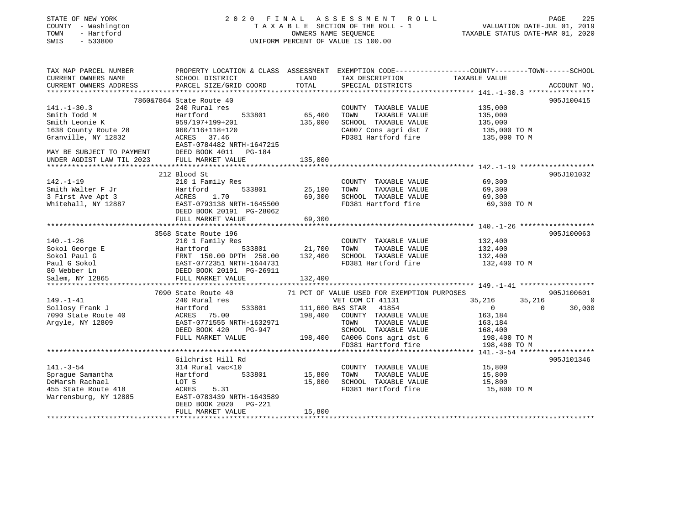| STATE OF NEW YORK<br>COUNTY - Washington<br>TOWN - Hartford<br>SWIS - 533800 | PAGE 225 PAGE 225 PAGE 225<br>TAXABLE SECTION OF THE ROLL - 1 VALUATION DATE-JUL 01, 2019<br>OWNERS NAME SEQUENCE TAXABLE STATIS DATE 100 OF THE 300 PAGE 2019<br>2020 FINAL ASSESSMENT ROLL<br>UNIFORM PERCENT OF VALUE IS 100.00                           |         |                                                                       |                            |             |  |
|------------------------------------------------------------------------------|--------------------------------------------------------------------------------------------------------------------------------------------------------------------------------------------------------------------------------------------------------------|---------|-----------------------------------------------------------------------|----------------------------|-------------|--|
|                                                                              | TAX MAP PARCEL NUMBER <b>The PROPERTY LOCATION &amp; CLASS</b> ASSESSMENT EXEMPTION CODE---------------COUNTY-------TOWN------SCHOOL                                                                                                                         | LAND    | TAX DESCRIPTION                                                       | TAXABLE VALUE              |             |  |
| CURRENT OWNERS NAME<br>CURRENT OWNERS ADDRESS FRACEL SIZE/GRID COORD         |                                                                                                                                                                                                                                                              | TOTAL   | SPECIAL DISTRICTS                                                     |                            | ACCOUNT NO. |  |
|                                                                              |                                                                                                                                                                                                                                                              |         |                                                                       |                            |             |  |
|                                                                              | 7860&7864 State Route 40                                                                                                                                                                                                                                     |         |                                                                       |                            | 905J100415  |  |
| 141.-1-30.3                                                                  | 240 Rural res                                                                                                                                                                                                                                                |         | COUNTY TAXABLE VALUE 135,000                                          |                            |             |  |
|                                                                              |                                                                                                                                                                                                                                                              | 65,400  | TOWN TAXABLE VALUE                                                    | 135,000                    |             |  |
|                                                                              |                                                                                                                                                                                                                                                              | 135,000 | SCHOOL TAXABLE VALUE                                                  | 135,000<br>135,000 TO M    |             |  |
|                                                                              |                                                                                                                                                                                                                                                              |         | CA007 Cons agri dst 7                                                 |                            |             |  |
|                                                                              |                                                                                                                                                                                                                                                              |         | FD381 Hartford fire                                                   | 135,000 TO M               |             |  |
|                                                                              | 141.-1-50.5<br>Smith Todd M<br>Smith Leonie K<br>Smith Leonie K<br>135,000<br>135,000<br>135,000<br>135,000<br>135,000<br>240 Hart Further S33801<br>959/197+199+201<br>959/197+199+201<br>960/116+118+120<br>2023<br>2023 FORES 37.46<br>EAST-0784482 NRTH- |         |                                                                       |                            |             |  |
|                                                                              |                                                                                                                                                                                                                                                              |         |                                                                       |                            |             |  |
|                                                                              |                                                                                                                                                                                                                                                              |         |                                                                       |                            |             |  |
|                                                                              | 212 Blood St                                                                                                                                                                                                                                                 |         |                                                                       |                            | 905J101032  |  |
|                                                                              |                                                                                                                                                                                                                                                              |         | COUNTY TAXABLE VALUE                                                  | 69,300                     |             |  |
|                                                                              |                                                                                                                                                                                                                                                              |         | TOWN<br>TAXABLE VALUE                                                 | 69,300                     |             |  |
|                                                                              |                                                                                                                                                                                                                                                              |         |                                                                       |                            |             |  |
|                                                                              |                                                                                                                                                                                                                                                              |         | 69,300 SCHOOL TAXABLE VALUE 69,300<br>FD381 Hartford fire 69,300 TO M |                            |             |  |
|                                                                              |                                                                                                                                                                                                                                                              |         |                                                                       |                            |             |  |
|                                                                              |                                                                                                                                                                                                                                                              |         |                                                                       |                            |             |  |
|                                                                              | ***************************                                                                                                                                                                                                                                  |         |                                                                       |                            |             |  |
|                                                                              | 3568 State Route 196                                                                                                                                                                                                                                         |         |                                                                       |                            | 905J100063  |  |
|                                                                              |                                                                                                                                                                                                                                                              |         |                                                                       | 132,400                    |             |  |
|                                                                              |                                                                                                                                                                                                                                                              |         | TOWN TAXABLE VALUE                                                    | 132,400                    |             |  |
|                                                                              |                                                                                                                                                                                                                                                              |         |                                                                       | 132,400                    |             |  |
|                                                                              |                                                                                                                                                                                                                                                              |         | FD381 Hartford fire                                                   | 132,400 TO M               |             |  |
|                                                                              |                                                                                                                                                                                                                                                              |         |                                                                       |                            |             |  |
|                                                                              |                                                                                                                                                                                                                                                              |         |                                                                       |                            |             |  |
|                                                                              |                                                                                                                                                                                                                                                              |         |                                                                       |                            | 905J100601  |  |
|                                                                              |                                                                                                                                                                                                                                                              |         | 71 PCT OF VALUE USED FOR EXEMPTION PURPOSES<br>VET COM CT 41131       | 35,216                     | 35,216 0    |  |
|                                                                              |                                                                                                                                                                                                                                                              |         |                                                                       | $\overline{0}$<br>$\sim$ 0 | 30,000      |  |
|                                                                              |                                                                                                                                                                                                                                                              |         |                                                                       | 163,184                    |             |  |
|                                                                              |                                                                                                                                                                                                                                                              |         |                                                                       | 163,184                    |             |  |
|                                                                              |                                                                                                                                                                                                                                                              |         |                                                                       | 168,400                    |             |  |
|                                                                              |                                                                                                                                                                                                                                                              |         |                                                                       | 198,400 TO M               |             |  |
|                                                                              |                                                                                                                                                                                                                                                              |         |                                                                       | 198,400 TO M               |             |  |
|                                                                              | 7090 State Route +v<br>240 Rural res<br>Sollosy Frank J<br>7090 State 40<br>7090 State 40<br>7090 State 40<br>7090 State 40<br>7090 State 40<br>7090 State 40<br>7090 State 40<br>7090 State 40<br>7080 State Value<br>7081 SCHOOL TAXABLE VALUE<br>7000     |         |                                                                       |                            |             |  |
|                                                                              | Gilchrist Hill Rd                                                                                                                                                                                                                                            |         |                                                                       |                            | 905J101346  |  |
|                                                                              |                                                                                                                                                                                                                                                              |         | COUNTY TAXABLE VALUE                                                  |                            |             |  |
|                                                                              | 141.-3-54<br>Sprague Samantha 314 Rural vac<10<br>DeMarsh Rachael LOT 5<br>455 State Route 418 ACRES 5.31<br>Warrensburg, NY 12885 DEAST-0783439 NRTH-1643589<br>THE MOOK 2020 PG-221<br>THE MOOK 2020 PG-221                                                |         | TOWN TAXABLE VALUE                                                    | 15,800<br>15,800           |             |  |
|                                                                              |                                                                                                                                                                                                                                                              |         | 15,800 SCHOOL TAXABLE VALUE                                           | 15,800                     |             |  |
|                                                                              |                                                                                                                                                                                                                                                              |         | FD381 Hartford fire 15,800 TO M                                       |                            |             |  |
|                                                                              |                                                                                                                                                                                                                                                              |         |                                                                       |                            |             |  |
|                                                                              |                                                                                                                                                                                                                                                              |         |                                                                       |                            |             |  |
|                                                                              | FULL MARKET VALUE                                                                                                                                                                                                                                            | 15,800  |                                                                       |                            |             |  |
|                                                                              |                                                                                                                                                                                                                                                              |         |                                                                       |                            |             |  |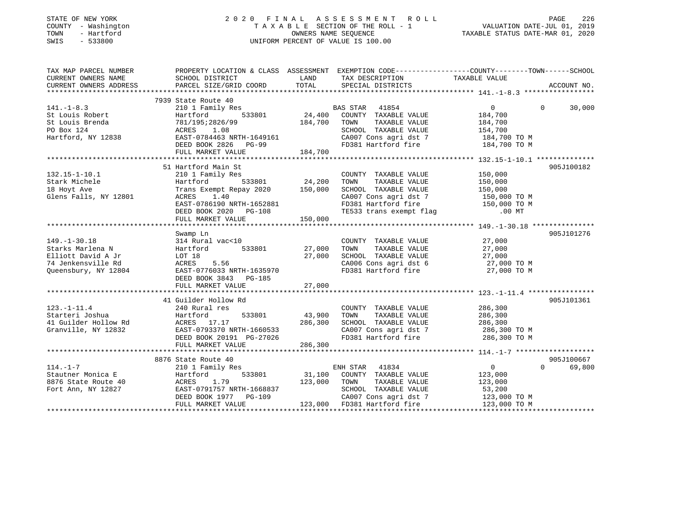### STATE OF NEW YORK 2 0 2 0 F I N A L A S S E S S M E N T R O L L PAGE 226 COUNTY - Washington T A X A B L E SECTION OF THE ROLL - 1 VALUATION DATE-JUL 01, 2019 TOWN - Hartford OWNERS NAME SEQUENCE TAXABLE STATUS DATE-MAR 01, 2020 SWIS - 533800 UNIFORM PERCENT OF VALUE IS 100.00UNIFORM PERCENT OF VALUE IS 100.00

| TAX MAP PARCEL NUMBER  |                                                       |              | PROPERTY LOCATION & CLASS ASSESSMENT EXEMPTION CODE---------------COUNTY-------TOWN------SCHOOL                 |                    |                    |
|------------------------|-------------------------------------------------------|--------------|-----------------------------------------------------------------------------------------------------------------|--------------------|--------------------|
| CURRENT OWNERS NAME    | SCHOOL DISTRICT                                       | LAND         | TAX DESCRIPTION                                                                                                 | TAXABLE VALUE      |                    |
| CURRENT OWNERS ADDRESS | PARCEL SIZE/GRID COORD                                | TOTAL        | SPECIAL DISTRICTS                                                                                               |                    | ACCOUNT NO.        |
|                        |                                                       |              |                                                                                                                 |                    |                    |
|                        | 7939 State Route 40                                   |              |                                                                                                                 |                    |                    |
| $141. - 1 - 8.3$       | 210 1 Family Res                                      |              | <b>BAS STAR</b> 41854                                                                                           | $\overline{0}$     | $\Omega$<br>30,000 |
| St Louis Robert        | Hartford                                              |              | $24,400$ COUNTY TAXABLE VALUE                                                                                   | 184,700            |                    |
| St Louis Brenda        | 781/195;2826/99                                       | 184,700 TOWN | TAXABLE VALUE                                                                                                   | 184,700<br>154,700 |                    |
| PO Box 124             | 1.08<br>ACRES                                         |              | SCHOOL TAXABLE VALUE                                                                                            |                    |                    |
| Hartford, NY 12838     | EAST-0784463 NRTH-1649161<br>DEED BOOK 2826 PG-99     |              | CA007 Cons agri dst 7 184,700 TO M                                                                              |                    |                    |
|                        | DEED BOOK 2826 PG-99                                  |              | FD381 Hartford fire 184,700 TO M                                                                                |                    |                    |
|                        | FULL MARKET VALUE                                     | 184,700      |                                                                                                                 |                    |                    |
|                        |                                                       |              |                                                                                                                 |                    |                    |
|                        | 51 Hartford Main St                                   |              |                                                                                                                 |                    | 905J100182         |
| $132.15 - 1 - 10.1$    | 210 1 Family Res                                      |              | COUNTY TAXABLE VALUE                                                                                            | 150,000            |                    |
| Stark Michele          | 533801 24,200<br>Hartford                             |              | TOWN<br>TAXABLE VALUE                                                                                           | 150,000            |                    |
| 18 Hoyt Ave            | Trans Exempt Repay 2020 150,000                       |              | SCHOOL TAXABLE VALUE                                                                                            | 150,000            |                    |
| Glens Falls, NY 12801  | ACRES 1.40                                            |              |                                                                                                                 |                    |                    |
|                        | EAST-0786190 NRTH-1652881                             |              |                                                                                                                 |                    |                    |
|                        | DEED BOOK 2020 PG-108                                 |              | CA007 Cons agri dst 7 150,000 TO M<br>FD381 Hartford fire 150,000 TO M<br>TE533 trans exempt flag 150,000 TO MT |                    |                    |
|                        | FULL MARKET VALUE                                     | 150,000      |                                                                                                                 |                    |                    |
|                        |                                                       |              |                                                                                                                 |                    |                    |
|                        | Swamp Ln                                              |              |                                                                                                                 |                    | 905J101276         |
| $149. - 1 - 30.18$     | 314 Rural vac<10                                      |              | COUNTY TAXABLE VALUE                                                                                            | 27,000             |                    |
| Starks Marlena N       | Hartford 533801 27,000                                |              | TAXABLE VALUE<br>TOWN                                                                                           | 27,000             |                    |
| Elliott David A Jr     | LOT 18                                                | 27,000       | SCHOOL TAXABLE VALUE                                                                                            | 27,000             |                    |
| 74 Jenkensville Rd     | ACRES<br>5.56                                         |              | SCHOOL TAXABLE VALUE 27,000<br>CA006 Cons agri dst 6 27,000 TO M                                                |                    |                    |
| Queensbury, NY 12804   | EAST-0776033 NRTH-1635970                             |              | FD381 Hartford fire                                                                                             | 27,000 TO M        |                    |
|                        | DEED BOOK 3843 PG-185                                 |              |                                                                                                                 |                    |                    |
|                        | FULL MARKET VALUE                                     | 27,000       |                                                                                                                 |                    |                    |
|                        |                                                       |              |                                                                                                                 |                    |                    |
|                        | 41 Guilder Hollow Rd                                  |              |                                                                                                                 |                    | 905J101361         |
| $123. - 1 - 11.4$      | 240 Rural res                                         |              | COUNTY TAXABLE VALUE 286,300                                                                                    |                    |                    |
|                        | 533801                                                | 43,900 TOWN  | TAXABLE VALUE                                                                                                   | 286,300            |                    |
|                        |                                                       | 286,300      | SCHOOL TAXABLE VALUE 286,300                                                                                    |                    |                    |
| Granville, NY 12832    | EAST-0793370 NRTH-1660533<br>DRRD ROOK 20191 PG-27026 |              | CA007 Cons agri dst 7 286,300 TO M                                                                              |                    |                    |
|                        |                                                       |              | FD381 Hartford fire                                                                                             | 286,300 TO M       |                    |
|                        | FULL MARKET VALUE                                     | 286,300      |                                                                                                                 |                    |                    |
|                        |                                                       |              |                                                                                                                 |                    |                    |
|                        | 8876 State Route 40                                   |              |                                                                                                                 |                    | 905J100667         |
| $114. - 1 - 7$         | 210 1 Family Res                                      |              | ENH STAR 41834                                                                                                  | $\overline{0}$     | $\Omega$<br>69,800 |
| Stautner Monica E      | Hartford                                              |              | <sup>1</sup> 533801 31,100 COUNTY TAXABLE VALUE                                                                 | 123,000            |                    |
| 8876 State Route 40    | 1.79<br>ACRES                                         | 123,000 TOWN | TAXABLE VALUE                                                                                                   | 123,000            |                    |
| Fort Ann, NY 12827     | EAST-0791757 NRTH-1668837                             |              | SCHOOL TAXABLE VALUE                                                                                            | 53,200             |                    |
|                        |                                                       |              |                                                                                                                 | 123,000 TO M       |                    |
|                        | DEED BOOK 1977 PG-109                                 |              | CA007 Cons agri dst 7                                                                                           |                    |                    |
|                        | FULL MARKET VALUE                                     |              | 123,000 FD381 Hartford fire                                                                                     | 123,000 TO M       |                    |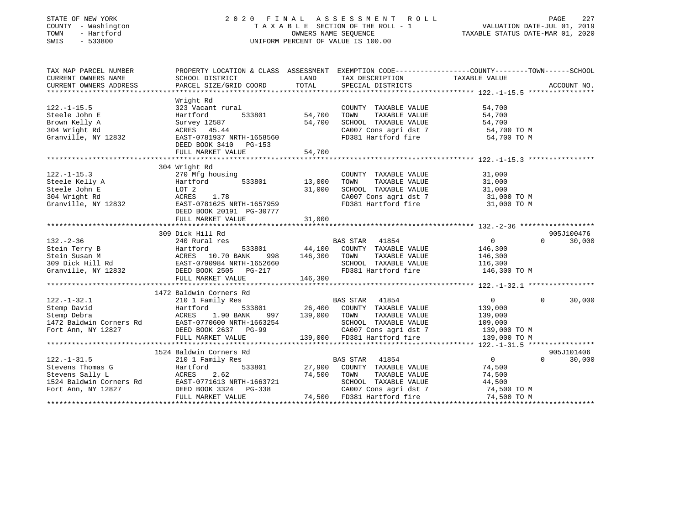### STATE OF NEW YORK 2 0 2 0 F I N A L A S S E S S M E N T R O L L PAGE 227 COUNTY - Washington T A X A B L E SECTION OF THE ROLL - 1 VALUATION DATE-JUL 01, 2019 TOWN - Hartford OWNERS NAME SEQUENCE TAXABLE STATUS DATE-MAR 01, 2020 SWIS - 533800 UNIFORM PERCENT OF VALUE IS 100.00

| TAX MAP PARCEL NUMBER<br>CURRENT OWNERS NAME | SCHOOL DISTRICT                                                                                       | LAND             | TAX DESCRIPTION                              | PROPERTY LOCATION & CLASS ASSESSMENT EXEMPTION CODE---------------COUNTY-------TOWN-----SCHOOL<br>TAXABLE VALUE |             |
|----------------------------------------------|-------------------------------------------------------------------------------------------------------|------------------|----------------------------------------------|-----------------------------------------------------------------------------------------------------------------|-------------|
| CURRENT OWNERS ADDRESS                       | PARCEL SIZE/GRID COORD                                                                                | TOTAL            | SPECIAL DISTRICTS                            |                                                                                                                 | ACCOUNT NO. |
|                                              |                                                                                                       |                  |                                              |                                                                                                                 |             |
| $122. - 1 - 15.5$                            | Wright Rd<br>323 Vacant rural                                                                         |                  | COUNTY TAXABLE VALUE                         | 54,700                                                                                                          |             |
| Steele John E                                | 533801<br>Hartford                                                                                    | 54,700           | TAXABLE VALUE<br>TOWN                        | 54,700                                                                                                          |             |
| Brown Kelly A                                | Survey 12587                                                                                          | 54,700           | SCHOOL TAXABLE VALUE                         | 54,700                                                                                                          |             |
| 304 Wright Rd                                | ACRES 45.44                                                                                           |                  | CA007 Cons agri dst 7                        | 54,700 TO M                                                                                                     |             |
| Granville, NY 12832                          | EAST-0781937 NRTH-1658560                                                                             |                  | FD381 Hartford fire                          | 54,700 TO M                                                                                                     |             |
|                                              | DEED BOOK 3410 PG-153                                                                                 |                  |                                              |                                                                                                                 |             |
|                                              | FULL MARKET VALUE                                                                                     | 54,700           |                                              |                                                                                                                 |             |
|                                              |                                                                                                       |                  |                                              |                                                                                                                 |             |
|                                              | 304 Wright Rd                                                                                         |                  |                                              |                                                                                                                 |             |
| $122. - 1 - 15.3$                            | 270 Mfg housing                                                                                       | 13,000           | COUNTY TAXABLE VALUE                         | 31,000                                                                                                          |             |
| Steele Kelly A                               | 533801<br>Hartford                                                                                    |                  | TOWN<br>TAXABLE VALUE                        | 31,000                                                                                                          |             |
| Steele John E                                | LOT 2                                                                                                 | 31,000           | SCHOOL TAXABLE VALUE                         | $31,000$ TO M<br>$31,000$ TO M                                                                                  |             |
| 304 Wright Rd                                | ACRES<br>1.78                                                                                         |                  | CA007 Cons agri dst 7<br>En281 Hartford fire |                                                                                                                 |             |
| Granville, NY 12832                          | EAST-0781625 NRTH-1657959<br>DEED BOOK 20191 PG-30777                                                 |                  | FD381 Hartford fire                          | 31,000 TO M                                                                                                     |             |
|                                              | FULL MARKET VALUE                                                                                     | 31,000           |                                              |                                                                                                                 |             |
|                                              |                                                                                                       |                  |                                              |                                                                                                                 |             |
|                                              | 309 Dick Hill Rd                                                                                      |                  |                                              |                                                                                                                 | 905J100476  |
| $132. - 2 - 36$                              | 240 Rural res                                                                                         |                  | BAS STAR 41854                               | $\overline{0}$<br>$\Omega$                                                                                      | 30,000      |
| Stein Terry B                                |                                                                                                       |                  | 533801 44,100 COUNTY TAXABLE VALUE           | 146,300                                                                                                         |             |
| Stein Susan M                                |                                                                                                       | 998 146,300 TOWN | TAXABLE VALUE                                | 146,300                                                                                                         |             |
| 309 Dick Hill Rd                             |                                                                                                       |                  | SCHOOL TAXABLE VALUE                         | 116,300                                                                                                         |             |
| Granville, NY 12832 DEED BOOK 2505 PG-217    | Hartford 533001<br>ACRES 10.70 BANK 998 146,300<br>EAST-0790984 NRTH-1652660<br>TEED ROOK 2505 PG-217 |                  | FD381 Hartford fire 146,300 TO M             |                                                                                                                 |             |
|                                              | FULL MARKET VALUE                                                                                     | 146,300          |                                              |                                                                                                                 |             |
|                                              |                                                                                                       |                  |                                              |                                                                                                                 |             |
|                                              | 1472 Baldwin Corners Rd                                                                               |                  |                                              |                                                                                                                 |             |
| $122. - 1 - 32.1$                            | 210 1 Family Res                                                                                      |                  | BAS STAR 41854                               | $\overline{0}$<br>$\Omega$                                                                                      | 30,000      |
| Stemp David                                  | Hartford                                                                                              |                  | 533801 26,400 COUNTY TAXABLE VALUE           | 139,000                                                                                                         |             |
| Stemp Debra                                  | ACRES<br>1.90 BANK                                                                                    | 139,000          | TOWN<br>TAXABLE VALUE                        | 139,000                                                                                                         |             |
| 1472 Baldwin Corners Rd                      | ACRES 1.90 BANA 55,<br>EAST-0770600 NRTH-1663254                                                      |                  | SCHOOL TAXABLE VALUE                         | 109,000                                                                                                         |             |
| Fort Ann, NY 12827                           | DEED BOOK 2637 PG-99                                                                                  |                  | CA007 Cons agri dst 7                        | 139,000 TO M                                                                                                    |             |
|                                              | FULL MARKET VALUE                                                                                     |                  | 139,000 FD381 Hartford fire                  | 139,000 TO M                                                                                                    |             |
|                                              |                                                                                                       |                  |                                              |                                                                                                                 |             |
|                                              | 1524 Baldwin Corners Rd                                                                               |                  |                                              |                                                                                                                 | 905J101406  |
| $122. - 1 - 31.5$                            | 210 1 Family Res                                                                                      |                  | BAS STAR 41854                               | $\overline{0}$<br>$\Omega$                                                                                      | 30,000      |
| Stevens Thomas G                             | 533801<br>Hartford                                                                                    |                  | 27,900 COUNTY TAXABLE VALUE                  | 74,500                                                                                                          |             |
| Stevens Sally L                              | 2.62<br>ACRES                                                                                         | 74,500           | TOWN<br>TAXABLE VALUE                        | 74,500                                                                                                          |             |
| 1524 Baldwin Corners Rd                      | EAST-0771613 NRTH-1663721                                                                             |                  | SCHOOL TAXABLE VALUE                         | 44,500                                                                                                          |             |
| Fort Ann, NY 12827                           | DEED BOOK 3324 PG-338                                                                                 |                  | CA007 Cons agri dst 7                        | 74,500 TO M                                                                                                     |             |
|                                              | FULL MARKET VALUE                                                                                     |                  | 74,500 FD381 Hartford fire                   | 74,500 TO M                                                                                                     |             |
|                                              |                                                                                                       |                  |                                              |                                                                                                                 |             |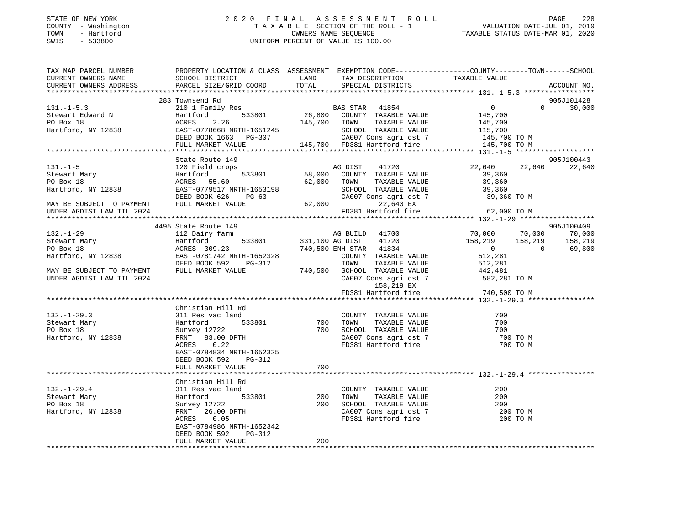### STATE OF NEW YORK 2 0 2 0 F I N A L A S S E S S M E N T R O L L PAGE 228 COUNTY - Washington T A X A B L E SECTION OF THE ROLL - 1 VALUATION DATE-JUL 01, 2019 TOWN - Hartford OWNERS NAME SEQUENCE TAXABLE STATUS DATE-MAR 01, 2020 SWIS - 533800 UNIFORM PERCENT OF VALUE IS 100.00

| TAX MAP PARCEL NUMBER<br>CURRENT OWNERS NAME                                                                                                                                                      | SCHOOL DISTRICT                                                                                                                                                                                     | LAND            |                                                                                  | PROPERTY LOCATION & CLASS ASSESSMENT EXEMPTION CODE----------------COUNTY-------TOWN------SCHOOL |                    |
|---------------------------------------------------------------------------------------------------------------------------------------------------------------------------------------------------|-----------------------------------------------------------------------------------------------------------------------------------------------------------------------------------------------------|-----------------|----------------------------------------------------------------------------------|--------------------------------------------------------------------------------------------------|--------------------|
| CURRENT OWNERS ADDRESS                                                                                                                                                                            | PARCEL SIZE/GRID COORD                                                                                                                                                                              |                 |                                                                                  |                                                                                                  | ACCOUNT NO.        |
|                                                                                                                                                                                                   |                                                                                                                                                                                                     |                 |                                                                                  |                                                                                                  |                    |
|                                                                                                                                                                                                   | 283 Townsend Rd                                                                                                                                                                                     |                 |                                                                                  |                                                                                                  | 905J101428         |
| $131. - 1 - 5.3$                                                                                                                                                                                  |                                                                                                                                                                                                     |                 |                                                                                  |                                                                                                  | $\Omega$<br>30,000 |
| Stewart Edward N                                                                                                                                                                                  |                                                                                                                                                                                                     |                 |                                                                                  |                                                                                                  |                    |
| PO Box 18                                                                                                                                                                                         |                                                                                                                                                                                                     |                 |                                                                                  |                                                                                                  |                    |
|                                                                                                                                                                                                   |                                                                                                                                                                                                     |                 |                                                                                  |                                                                                                  |                    |
|                                                                                                                                                                                                   |                                                                                                                                                                                                     |                 |                                                                                  |                                                                                                  |                    |
|                                                                                                                                                                                                   | FO BOX 16<br>Hartford, NY 12838 EAST-0778668 NRTH-1651245 SCHOOL TAXABLE VALUE 115,700<br>DEED BOOK 1663 PG-307 CA007 Cons agri dst 7 145,700 TO M<br>FULL MARKET VALUE 145,700 PO NEW 145,700 TO M |                 |                                                                                  |                                                                                                  |                    |
|                                                                                                                                                                                                   |                                                                                                                                                                                                     |                 |                                                                                  |                                                                                                  |                    |
|                                                                                                                                                                                                   | State Route 149                                                                                                                                                                                     |                 |                                                                                  |                                                                                                  | 905J100443         |
| 19<br>Stewart Mary<br>Stewart Mary<br>PO Box 18<br>Hartford, NY 12838<br>Hartford, NY 12838<br>Hartford, NY 12838<br>PO Box 18<br>Hartford, NY 12838<br>PO Box 18<br>EAST-0779517<br>NRTH-1652101 |                                                                                                                                                                                                     |                 | AG DIST 41720                                                                    | 22,640 22,640                                                                                    | 22,640             |
|                                                                                                                                                                                                   |                                                                                                                                                                                                     |                 |                                                                                  |                                                                                                  |                    |
|                                                                                                                                                                                                   |                                                                                                                                                                                                     |                 | 533801 58,000 COUNTY TAXABLE VALUE<br>62,000 TOWN TAXABLE VALUE<br>TAXABLE VALUE | 39,360<br>39,360                                                                                 |                    |
|                                                                                                                                                                                                   |                                                                                                                                                                                                     |                 |                                                                                  |                                                                                                  |                    |
|                                                                                                                                                                                                   |                                                                                                                                                                                                     |                 |                                                                                  | SCHOOL TAXABLE VALUE 39,360<br>CA007 Cons agri dst 7 39,360 TO M                                 |                    |
|                                                                                                                                                                                                   | EAST-0779517 NRTH-1653198<br>DEED BOOK 626 PG-63<br>FULL MARKET VALUE 62,000                                                                                                                        |                 | 62,000                                                                           |                                                                                                  |                    |
| MAY BE SUBJECT TO PAYMENT                                                                                                                                                                         |                                                                                                                                                                                                     |                 | 22,640 EX                                                                        | FD381 Hartford fire 62,000 TO M                                                                  |                    |
| UNDER AGDIST LAW TIL 2024                                                                                                                                                                         |                                                                                                                                                                                                     |                 |                                                                                  |                                                                                                  |                    |
|                                                                                                                                                                                                   |                                                                                                                                                                                                     |                 |                                                                                  |                                                                                                  |                    |
|                                                                                                                                                                                                   | 4495 State Route 149<br>112 Dairy farm<br>112 Dairy farm                                                                                                                                            |                 |                                                                                  |                                                                                                  | 905J100409         |
| $132. - 1 - 29$                                                                                                                                                                                   |                                                                                                                                                                                                     |                 |                                                                                  | $\begin{bmatrix} 70,000 && 70,000 \ 158,219 && 158,219 \ 0 && 0 \end{bmatrix}$                   | 70,000             |
|                                                                                                                                                                                                   |                                                                                                                                                                                                     |                 | 533801 331,100 AG DIST 41720<br>740,500 ENH STAR 41834                           |                                                                                                  | 158,219<br>69,800  |
|                                                                                                                                                                                                   |                                                                                                                                                                                                     |                 |                                                                                  |                                                                                                  |                    |
|                                                                                                                                                                                                   |                                                                                                                                                                                                     |                 |                                                                                  |                                                                                                  |                    |
|                                                                                                                                                                                                   |                                                                                                                                                                                                     |                 |                                                                                  |                                                                                                  |                    |
|                                                                                                                                                                                                   |                                                                                                                                                                                                     |                 |                                                                                  |                                                                                                  |                    |
|                                                                                                                                                                                                   |                                                                                                                                                                                                     |                 |                                                                                  |                                                                                                  |                    |
|                                                                                                                                                                                                   |                                                                                                                                                                                                     |                 | 158,219 EX                                                                       | FD381 Hartford fire 740,500 TO M                                                                 |                    |
|                                                                                                                                                                                                   |                                                                                                                                                                                                     |                 |                                                                                  |                                                                                                  |                    |
|                                                                                                                                                                                                   |                                                                                                                                                                                                     |                 |                                                                                  |                                                                                                  |                    |
|                                                                                                                                                                                                   | Christian Hill Rd                                                                                                                                                                                   |                 |                                                                                  |                                                                                                  |                    |
| $132. - 1 - 29.3$                                                                                                                                                                                 | 311 Res vac land                                                                                                                                                                                    |                 | COUNTY TAXABLE VALUE                                                             | 700                                                                                              |                    |
| Stewart Mary                                                                                                                                                                                      | c land $533801$                                                                                                                                                                                     |                 |                                                                                  | 700                                                                                              |                    |
| PO Box 18                                                                                                                                                                                         |                                                                                                                                                                                                     |                 | 700 TOWN TAXABLE VALUE<br>700 SCHOOL TAXABLE VALUE<br>CA007 Cons agri dst 7      | 700                                                                                              |                    |
| Hartford, NY 12838                                                                                                                                                                                | ULL Res vac<br>Hartford<br>Survey 12722<br>FRNT<br>FRNT 83.00 DPTH                                                                                                                                  |                 | CA007 Cons agri dst 7<br>FD381 Hartford fire                                     | 700 TO M                                                                                         |                    |
|                                                                                                                                                                                                   | ACRES 0.22                                                                                                                                                                                          |                 |                                                                                  | 700 TO M                                                                                         |                    |
|                                                                                                                                                                                                   | EAST-0784834 NRTH-1652325                                                                                                                                                                           |                 |                                                                                  |                                                                                                  |                    |
|                                                                                                                                                                                                   | DEED BOOK 592<br>PG-312                                                                                                                                                                             |                 |                                                                                  |                                                                                                  |                    |
|                                                                                                                                                                                                   | FULL MARKET VALUE                                                                                                                                                                                   | 700             |                                                                                  |                                                                                                  |                    |
|                                                                                                                                                                                                   |                                                                                                                                                                                                     |                 |                                                                                  |                                                                                                  |                    |
|                                                                                                                                                                                                   | Christian Hill Rd                                                                                                                                                                                   |                 |                                                                                  |                                                                                                  |                    |
| $132. - 1 - 29.4$                                                                                                                                                                                 | 311 Res vac land                                                                                                                                                                                    |                 | COUNTY TAXABLE VALUE                                                             | 200                                                                                              |                    |
| Tour 1 IST<br>Diewart Mary<br>PO Box 18<br>Hartford, NY 12838                                                                                                                                     | Hartford                                                                                                                                                                                            | 533801 200 TOWN |                                                                                  | THE BLE VILLE<br>200                                                                             |                    |
|                                                                                                                                                                                                   | Survey 12722                                                                                                                                                                                        |                 | 200 SCHOOL TAXABLE VALUE<br>CA007 Cons agri dst 7                                | 200                                                                                              |                    |
|                                                                                                                                                                                                   | FRNT 26.00 DPTH                                                                                                                                                                                     |                 |                                                                                  | 200 TO M                                                                                         |                    |
|                                                                                                                                                                                                   | ACRES<br>0.05                                                                                                                                                                                       |                 | FD381 Hartford fire                                                              | 200 TO M                                                                                         |                    |
|                                                                                                                                                                                                   | EAST-0784986 NRTH-1652342                                                                                                                                                                           |                 |                                                                                  |                                                                                                  |                    |
|                                                                                                                                                                                                   | PG-312<br>DEED BOOK 592                                                                                                                                                                             |                 |                                                                                  |                                                                                                  |                    |
|                                                                                                                                                                                                   | FULL MARKET VALUE                                                                                                                                                                                   | 200             |                                                                                  |                                                                                                  |                    |
|                                                                                                                                                                                                   |                                                                                                                                                                                                     |                 |                                                                                  |                                                                                                  |                    |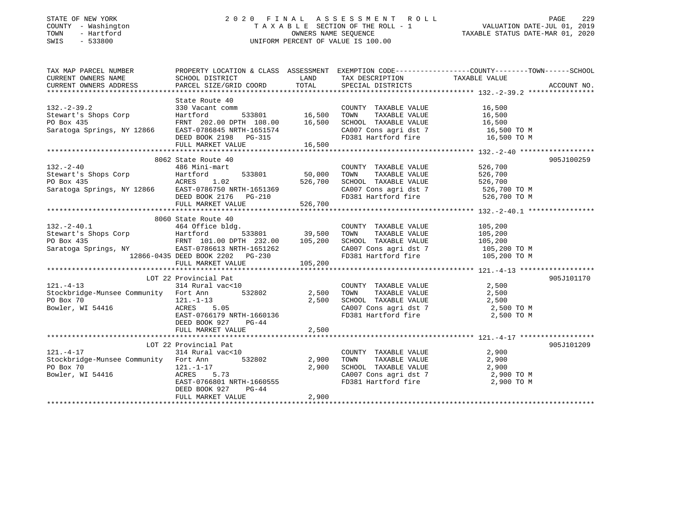### STATE OF NEW YORK 2 0 2 0 F I N A L A S S E S S M E N T R O L L PAGE 229 COUNTY - Washington T A X A B L E SECTION OF THE ROLL - 1 VALUATION DATE-JUL 01, 2019 TOWN - Hartford OWNERS NAME SEQUENCE TAXABLE STATUS DATE-MAR 01, 2020 SWIS - 533800 UNIFORM PERCENT OF VALUE IS 100.00

| TAX MAP PARCEL NUMBER                                                                                                                                                                                                                                      |                                                                  |        |                                                                                            | PROPERTY LOCATION & CLASS ASSESSMENT EXEMPTION CODE---------------COUNTY-------TOWN------SCHOOL |  |
|------------------------------------------------------------------------------------------------------------------------------------------------------------------------------------------------------------------------------------------------------------|------------------------------------------------------------------|--------|--------------------------------------------------------------------------------------------|-------------------------------------------------------------------------------------------------|--|
|                                                                                                                                                                                                                                                            |                                                                  |        |                                                                                            |                                                                                                 |  |
|                                                                                                                                                                                                                                                            |                                                                  |        |                                                                                            |                                                                                                 |  |
|                                                                                                                                                                                                                                                            |                                                                  |        |                                                                                            |                                                                                                 |  |
| 330 Vacant comm<br>State Route 40<br>Stewart's Shops Corp<br>PO Box 435<br>Saratoga Springs, NY 12866<br>DEED BOOK 2198<br>DEED BOOK 2198<br>PO BOX 2198<br>PO BOX 2198<br>PO BOX 2198<br>PO BOX 2198<br>PO BOX 2198<br>PO BOX 2198<br>PO BOX 2198<br>PO B |                                                                  |        |                                                                                            |                                                                                                 |  |
|                                                                                                                                                                                                                                                            |                                                                  |        |                                                                                            |                                                                                                 |  |
|                                                                                                                                                                                                                                                            |                                                                  |        |                                                                                            |                                                                                                 |  |
|                                                                                                                                                                                                                                                            |                                                                  |        |                                                                                            |                                                                                                 |  |
|                                                                                                                                                                                                                                                            |                                                                  |        | CA007 Cons agri dst 7 16,500 TO M<br>FD381 Hartford fire 16,500 TO M                       |                                                                                                 |  |
|                                                                                                                                                                                                                                                            |                                                                  |        |                                                                                            |                                                                                                 |  |
|                                                                                                                                                                                                                                                            | FULL MARKET VALUE                                                | 16,500 |                                                                                            |                                                                                                 |  |
|                                                                                                                                                                                                                                                            |                                                                  |        |                                                                                            |                                                                                                 |  |
|                                                                                                                                                                                                                                                            | 8062 State Route 40                                              |        |                                                                                            | 905J100259                                                                                      |  |
|                                                                                                                                                                                                                                                            |                                                                  |        | COUNTY TAXABLE VALUE 526,700                                                               |                                                                                                 |  |
|                                                                                                                                                                                                                                                            |                                                                  |        |                                                                                            |                                                                                                 |  |
|                                                                                                                                                                                                                                                            |                                                                  |        |                                                                                            |                                                                                                 |  |
|                                                                                                                                                                                                                                                            |                                                                  |        | CA007 Cons agri dst 7 526,700 TO M                                                         |                                                                                                 |  |
|                                                                                                                                                                                                                                                            |                                                                  |        | FD381 Hartford fire                                                                        | 526,700 TO M                                                                                    |  |
| 132.-2-40<br>Stewart's Shops Corp<br>PO Box 435<br>Saratoga Springs, NY 12866<br>TULL MARKET VALUE<br>TULL MARKET VALUE<br>TULL MARKET VALUE<br>TULL MARKET VALUE<br>TULL MARKET VALUE<br>TULL MARKET VALUE<br>TULL MARKET VALUE<br>TULL MARKET VALU       |                                                                  |        |                                                                                            |                                                                                                 |  |
|                                                                                                                                                                                                                                                            |                                                                  |        |                                                                                            |                                                                                                 |  |
|                                                                                                                                                                                                                                                            | 8060 State Route 40                                              |        |                                                                                            |                                                                                                 |  |
|                                                                                                                                                                                                                                                            |                                                                  |        | COUNTY TAXABLE VALUE 105,200                                                               |                                                                                                 |  |
|                                                                                                                                                                                                                                                            |                                                                  |        | TOWN                                                                                       |                                                                                                 |  |
|                                                                                                                                                                                                                                                            |                                                                  |        | TAXABLE VALUE 105,200<br>L TAXABLE VALUE 105,200<br>SCHOOL TAXABLE VALUE                   |                                                                                                 |  |
|                                                                                                                                                                                                                                                            |                                                                  |        | CA007 Cons agri dst 7 105,200 TO M                                                         |                                                                                                 |  |
|                                                                                                                                                                                                                                                            |                                                                  |        | FD381 Hartford fire                                                                        | 105,200 TO M                                                                                    |  |
| 8060 State Route 40<br>8060 State Route 40<br>464 Office bldg.<br>533801 39,500<br>PO Box 435<br>Saratoga Springs, NY EAST-0786613 NRTH-1651262<br>12866-0435 DEED BOOK 2202 PG-230<br>FULL MARKET VALUE.<br>105,200                                       |                                                                  |        |                                                                                            |                                                                                                 |  |
|                                                                                                                                                                                                                                                            |                                                                  |        |                                                                                            |                                                                                                 |  |
|                                                                                                                                                                                                                                                            | LOT 22 Provincial Pat                                            |        |                                                                                            | 905J101170                                                                                      |  |
| $121. - 4 - 13$                                                                                                                                                                                                                                            | 314 Rural vac<10                                                 |        | COUNTY TAXABLE VALUE 2,500                                                                 |                                                                                                 |  |
|                                                                                                                                                                                                                                                            |                                                                  |        |                                                                                            |                                                                                                 |  |
|                                                                                                                                                                                                                                                            |                                                                  |        |                                                                                            |                                                                                                 |  |
| Providge-Munsee Community Fort Ann 532802 2,500 TOWN TAXABLE VALUE 2,500<br>PO Box 70 121.-1-13 2,500 SCHOOL TAXABLE VALUE 2,500<br>Bowler, WI 54416 ACRES 5.05 CA007 Cons agri dst 7 2,500 TO M                                                           |                                                                  |        |                                                                                            |                                                                                                 |  |
|                                                                                                                                                                                                                                                            | 121.-1-13 2,500<br>ACRES 5.05 2,500<br>EAST-0766179 NRTH-1660136 |        | FD381 Hartford fire                                                                        | 2,500 TO M                                                                                      |  |
|                                                                                                                                                                                                                                                            | DEED BOOK 927 PG-44                                              |        |                                                                                            |                                                                                                 |  |
|                                                                                                                                                                                                                                                            | FULL MARKET VALUE 2,500                                          |        |                                                                                            |                                                                                                 |  |
|                                                                                                                                                                                                                                                            |                                                                  |        |                                                                                            |                                                                                                 |  |
|                                                                                                                                                                                                                                                            | LOT 22 Provincial Pat                                            |        |                                                                                            | 905J101209                                                                                      |  |
| $121. - 4 - 17$                                                                                                                                                                                                                                            | 314 Rural vac<10                                                 |        |                                                                                            | 2,900                                                                                           |  |
| Stockbridge-Munsee Community Fort Ann 532802 2,900                                                                                                                                                                                                         |                                                                  |        | COUNTY TAXABLE VALUE $2,900$<br>TOWN TAXABLE VALUE $2,900$<br>SCHOOL TAXABLE VALUE $2,900$ |                                                                                                 |  |
|                                                                                                                                                                                                                                                            |                                                                  |        |                                                                                            |                                                                                                 |  |
| PO Box 70<br>Bowler, WI 54416                                                                                                                                                                                                                              | 121.-1-17<br>ACRES 5.73<br>EAST-0766801 NRTH-1660555             |        |                                                                                            |                                                                                                 |  |
|                                                                                                                                                                                                                                                            |                                                                  |        | $CA007$ Cons agri dst 7 $2,900$ TO M<br>FD381 Hartford fire $2,900$ TO M                   |                                                                                                 |  |
|                                                                                                                                                                                                                                                            | $PG-44$<br>DEED BOOK 927                                         |        |                                                                                            |                                                                                                 |  |
|                                                                                                                                                                                                                                                            | FULL MARKET VALUE                                                | 2,900  |                                                                                            |                                                                                                 |  |
|                                                                                                                                                                                                                                                            |                                                                  |        |                                                                                            |                                                                                                 |  |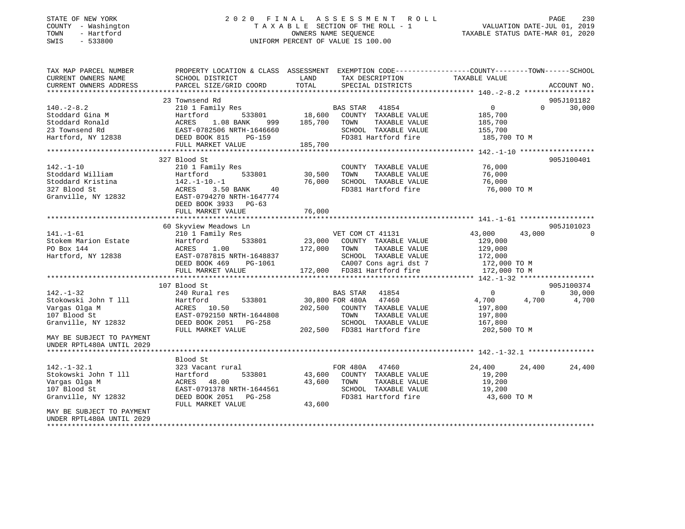#### STATE OF NEW YORK 2 0 2 0 F I N A L A S S E S S M E N T R O L L PAGE 230COUNTY - Washington  $T A X A B L E$  SECTION OF THE ROLL - 1<br>TOWN - Hartford TOWN - Hartford OWNERS NAME SEQUENCE TAXABLE STATUS DATE-MAR 01, 2020 SWIS - 533800 UNIFORM PERCENT OF VALUE IS 100.00

VALUATION DATE-JUL 01, 2019

| TAX MAP PARCEL NUMBER                                                                                                                                                                                                          | PROPERTY LOCATION & CLASS ASSESSMENT EXEMPTION CODE---------------COUNTY-------TOWN------SCHOOL |                        |                                                           |                            |             |
|--------------------------------------------------------------------------------------------------------------------------------------------------------------------------------------------------------------------------------|-------------------------------------------------------------------------------------------------|------------------------|-----------------------------------------------------------|----------------------------|-------------|
| CURRENT OWNERS NAME                                                                                                                                                                                                            | SCHOOL DISTRICT                                                                                 | LAND                   | TAX DESCRIPTION                                           | TAXABLE VALUE              |             |
| CURRENT OWNERS ADDRESS                                                                                                                                                                                                         | PARCEL SIZE/GRID COORD                                                                          | TOTAL                  | SPECIAL DISTRICTS                                         |                            | ACCOUNT NO. |
|                                                                                                                                                                                                                                |                                                                                                 |                        |                                                           |                            |             |
|                                                                                                                                                                                                                                | 23 Townsend Rd                                                                                  |                        |                                                           |                            | 905J101182  |
| $140. - 2 - 8.2$                                                                                                                                                                                                               | 210 1 Family Res                                                                                |                        | s<br>533801 18,600 COUNTY TAXABLE VALUE                   | $\overline{0}$<br>$\Omega$ | 30,000      |
| Stoddard Gina M                                                                                                                                                                                                                | Hartford                                                                                        |                        |                                                           | 185,700<br>185,700         |             |
|                                                                                                                                                                                                                                | 1.08 BANK<br>999                                                                                |                        | 185,700 TOWN<br>TAXABLE VALUE                             |                            |             |
| Conduct Contains and the material conducts of the conduction of the conduction of the conduction of the conduction of the conduction of the conduction of the conduction of the conduction of the conduction of the conduction | EAST-0782506 NRTH-1646660                                                                       |                        | SCHOOL TAXABLE VALUE<br>FD381 Hartford fire               | 155,700                    |             |
|                                                                                                                                                                                                                                | PG-159<br>FULL MARKET VALUE                                                                     | 185,700                |                                                           | 185,700 TO M               |             |
|                                                                                                                                                                                                                                |                                                                                                 |                        |                                                           |                            |             |
|                                                                                                                                                                                                                                |                                                                                                 |                        |                                                           |                            | 905J100401  |
|                                                                                                                                                                                                                                | 327 Blood St                                                                                    |                        |                                                           | 76,000                     |             |
| $142. - 1 - 10$                                                                                                                                                                                                                | 210 1 Family Res<br>533801                                                                      |                        | COUNTY TAXABLE VALUE                                      |                            |             |
| Stoddard William<br>Stoddard Kristina                                                                                                                                                                                          | Hartford<br>14∠.<br>ACRES<br>EAST-C<br>$142. - 1 - 10. - 1$                                     | 30,500<br>76,000       | TOWN<br>TAXABLE VALUE                                     | 76,000                     |             |
|                                                                                                                                                                                                                                | 40                                                                                              |                        | SCHOOL TAXABLE VALUE<br>FD381 Hartford fire               | 76,000<br>76,000 TO M      |             |
| 327 Blood St                                                                                                                                                                                                                   | 3.50 BANK                                                                                       |                        |                                                           |                            |             |
| Granville, NY 12832                                                                                                                                                                                                            | EAST-0794270 NRTH-1647774                                                                       |                        |                                                           |                            |             |
|                                                                                                                                                                                                                                | DEED BOOK 3933 PG-63                                                                            |                        |                                                           |                            |             |
|                                                                                                                                                                                                                                | FULL MARKET VALUE                                                                               | 76,000                 |                                                           |                            |             |
|                                                                                                                                                                                                                                |                                                                                                 |                        |                                                           |                            |             |
|                                                                                                                                                                                                                                | 60 Skyview Meadows Ln                                                                           |                        | VET COM CT 41131                                          |                            | 905J101023  |
| $141. - 1 - 61$                                                                                                                                                                                                                | 210 1 Family Res                                                                                |                        |                                                           | 43,000<br>43,000           | 0           |
| Stokem Marion Estate                                                                                                                                                                                                           | 533801<br>Hartford                                                                              |                        | 23,000 COUNTY TAXABLE VALUE                               | 129,000                    |             |
| PO Box 144                                                                                                                                                                                                                     | ACRES<br>1.00                                                                                   | 172,000 TOWN           | TAXABLE VALUE                                             | 129,000                    |             |
| Hartford, NY 12838                                                                                                                                                                                                             | EAST-0787815 NRTH-1648837                                                                       | $H-1648837$<br>PG-1061 | SCHOOL TAXABLE VALUE 172,000                              |                            |             |
|                                                                                                                                                                                                                                | DEED BOOK 469                                                                                   |                        | 1061 CA007 Cons agri dst 7<br>172,000 FD381 Hartford fire | 172,000 TO M               |             |
|                                                                                                                                                                                                                                | FULL MARKET VALUE                                                                               |                        |                                                           | 172,000 TO M               |             |
|                                                                                                                                                                                                                                |                                                                                                 |                        |                                                           |                            |             |
|                                                                                                                                                                                                                                | 107 Blood St                                                                                    |                        |                                                           |                            | 905J100374  |
| $142. - 1 - 32$                                                                                                                                                                                                                | 240 Rural res                                                                                   |                        | BAS STAR<br>41854                                         | $\Omega$<br>$\overline{0}$ | 30,000      |
| Stokowski John T 111                                                                                                                                                                                                           | 533801<br>Hartford                                                                              |                        | 30,800 FOR 480A 47460                                     | 4,700<br>4,700             | 4,700       |
| Vargas Olga M                                                                                                                                                                                                                  | ACRES 10.50                                                                                     |                        | 202,500 COUNTY TAXABLE VALUE                              | 197,800                    |             |
| 107 Blood St                                                                                                                                                                                                                   | EAST-0792150 NRTH-1644808                                                                       |                        | TOWN<br>TAXABLE VALUE                                     | 197,800                    |             |
| Granville, NY 12832                                                                                                                                                                                                            | DEED BOOK 2051 PG-258                                                                           |                        | SCHOOL TAXABLE VALUE                                      | 167,800                    |             |
|                                                                                                                                                                                                                                | FULL MARKET VALUE                                                                               |                        | 202.500 FD381 Hartford fire                               | 202,500 TO M               |             |
| MAY BE SUBJECT TO PAYMENT                                                                                                                                                                                                      |                                                                                                 |                        |                                                           |                            |             |
| UNDER RPTL480A UNTIL 2029                                                                                                                                                                                                      |                                                                                                 |                        |                                                           |                            |             |
|                                                                                                                                                                                                                                |                                                                                                 |                        |                                                           |                            |             |
|                                                                                                                                                                                                                                | Blood St                                                                                        |                        |                                                           |                            |             |
| $142. - 1 - 32.1$                                                                                                                                                                                                              | 323 Vacant rural                                                                                |                        | FOR 480A 47460                                            | 24,400<br>24,400           | 24,400      |
| Stokowski John T 111                                                                                                                                                                                                           | 533801<br>Hartford                                                                              |                        | 43,600 COUNTY TAXABLE VALUE                               | 19,200                     |             |
| Vargas Olga M                                                                                                                                                                                                                  | ACRES 48.00                                                                                     | 43,600 TOWN            | TAXABLE VALUE                                             | 19,200                     |             |
| 107 Blood St                                                                                                                                                                                                                   | EAST-0791378 NRTH-1644561                                                                       |                        |                                                           | 19,200                     |             |
| Granville, NY 12832                                                                                                                                                                                                            | DEED BOOK 2051 PG-258                                                                           |                        | FD381 Hartford fire<br>FD381 Hartford fire                | 43,600 TO M                |             |
|                                                                                                                                                                                                                                | FULL MARKET VALUE                                                                               | 43,600                 |                                                           |                            |             |
| MAY BE SUBJECT TO PAYMENT                                                                                                                                                                                                      |                                                                                                 |                        |                                                           |                            |             |
| UNDER RPTL480A UNTIL 2029                                                                                                                                                                                                      |                                                                                                 |                        |                                                           |                            |             |
|                                                                                                                                                                                                                                |                                                                                                 |                        |                                                           |                            |             |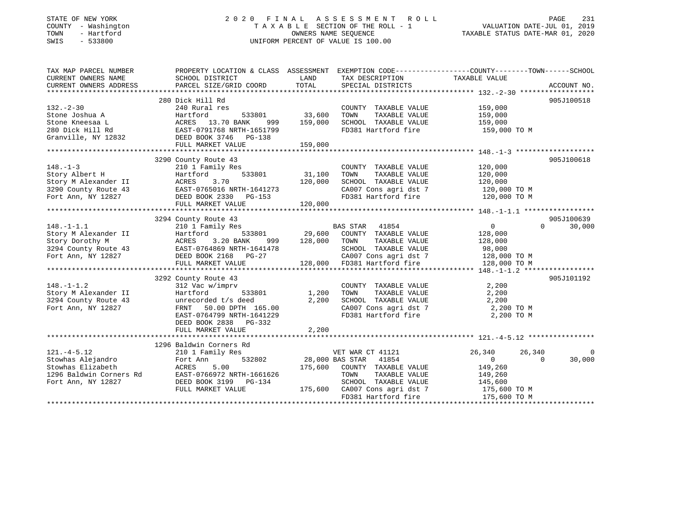### STATE OF NEW YORK 2 0 2 0 F I N A L A S S E S S M E N T R O L L PAGE 231 COUNTY - Washington T A X A B L E SECTION OF THE ROLL - 1 VALUATION DATE-JUL 01, 2019 TOWN - Hartford OWNERS NAME SEQUENCE TAXABLE STATUS DATE-MAR 01, 2020 SWIS - 533800 UNIFORM PERCENT OF VALUE IS 100.00

| TAX MAP PARCEL NUMBER                  | PROPERTY LOCATION & CLASS ASSESSMENT EXEMPTION CODE----------------COUNTY-------TOWN-----SCHOOL                                                             |             |                                                                                |                   |                      |
|----------------------------------------|-------------------------------------------------------------------------------------------------------------------------------------------------------------|-------------|--------------------------------------------------------------------------------|-------------------|----------------------|
| CURRENT OWNERS NAME                    | SCHOOL DISTRICT                                                                                                                                             | LAND        | TAX DESCRIPTION TAXABLE VALUE                                                  |                   |                      |
| CURRENT OWNERS ADDRESS                 | PARCEL SIZE/GRID COORD                                                                                                                                      | TOTAL       | SPECIAL DISTRICTS                                                              |                   | ACCOUNT NO.          |
|                                        |                                                                                                                                                             |             |                                                                                |                   |                      |
|                                        | 280 Dick Hill Rd                                                                                                                                            |             |                                                                                |                   | 905J100518           |
| $132 - 2 - 30$                         | 240 Rural res                                                                                                                                               |             | COUNTY TAXABLE VALUE                                                           | 159,000           |                      |
|                                        |                                                                                                                                                             | 33,600      | TOWN<br>TAXABLE VALUE                                                          | 159,000           |                      |
|                                        |                                                                                                                                                             | 999 159,000 | SCHOOL TAXABLE VALUE                                                           | 159,000           |                      |
|                                        |                                                                                                                                                             |             | FD381 Hartford fire                                                            | 159,000 TO M      |                      |
|                                        | Stone Joshua A<br>Stone Kneesaa L<br>280 Dick Hill Rd<br>370 BANK 999<br>280 Dick Hill Rd<br>370 BANK 999<br>280 Dick Hill Rd<br>3746 PG-138<br>3746 PG-138 |             |                                                                                |                   |                      |
|                                        | FULL MARKET VALUE                                                                                                                                           | 159,000     |                                                                                |                   |                      |
|                                        |                                                                                                                                                             |             |                                                                                |                   |                      |
|                                        | 3290 County Route 43                                                                                                                                        |             |                                                                                |                   | 905J100618           |
| $148. - 1 - 3$                         | 210 1 Family Res                                                                                                                                            |             | COUNTY TAXABLE VALUE                                                           | 120,000           |                      |
| Story Albert H                         | Hartford<br>533801                                                                                                                                          | 31,100      | TOWN<br>TAXABLE VALUE                                                          | 120,000           |                      |
|                                        | 3.70                                                                                                                                                        | 120,000     | SCHOOL TAXABLE VALUE                                                           | 120,000           |                      |
| 3290 County Route 43                   | EAST-0765016 NRTH-1641273<br>DEED BOOK 2330 PG-153                                                                                                          |             | CA007 Cons agri dst 7 120,000 TO M                                             |                   |                      |
| Fort Ann, NY 12827                     |                                                                                                                                                             |             | FD381 Hartford fire                                                            | 120,000 TO M      |                      |
|                                        | FULL MARKET VALUE                                                                                                                                           | 120,000     |                                                                                |                   |                      |
|                                        |                                                                                                                                                             |             |                                                                                |                   |                      |
|                                        | 3294 County Route 43                                                                                                                                        |             |                                                                                |                   | 905J100639           |
| $148. - 1 - 1.1$                       | 210 1 Family Res                                                                                                                                            |             | BAS STAR 41854                                                                 | $0 \qquad \qquad$ | $\Omega$<br>30,000   |
|                                        |                                                                                                                                                             |             | 533801 29,600 COUNTY TAXABLE VALUE                                             | 128,000           |                      |
|                                        | Story M Alexander II Hartford 533801<br>Story Dorothy M ACRES 3.20 BANK 999<br>3294 County Route 43<br>1999<br>1999 EAST-0764869 NRTH-1641478               | 999 128,000 | TAXABLE VALUE<br>TOWN                                                          | 128,000           |                      |
|                                        |                                                                                                                                                             |             | SCHOOL TAXABLE VALUE                                                           | 98,000            |                      |
|                                        | Fort Ann, NY 12827 DEED BOOK 2168 $PG-27$                                                                                                                   |             | CA007 Cons agri dst 7 128,000 TO M<br>128,000 FD381 Hartford fire 128,000 TO M |                   |                      |
|                                        | FULL MARKET VALUE                                                                                                                                           |             |                                                                                |                   |                      |
|                                        |                                                                                                                                                             |             |                                                                                |                   |                      |
|                                        | 3292 County Route 43                                                                                                                                        |             |                                                                                |                   | 905J101192           |
| $148. - 1 - 1.2$                       | 312 Vac w/imprv                                                                                                                                             |             | COUNTY TAXABLE VALUE                                                           | 2,200             |                      |
| Story M Alexander II                   | Hartford 533801 1,200                                                                                                                                       |             | TOWN<br>TAXABLE VALUE                                                          | 2,200             |                      |
| 3294 County Route 43                   | unrecorded t/s deed                                                                                                                                         | 2,200       | SCHOOL TAXABLE VALUE 2,200<br>CA007 Cons agri dst 7 2,200 TO M                 |                   |                      |
| Fort Ann, NY 12827                     |                                                                                                                                                             |             |                                                                                |                   |                      |
|                                        | EAST-0764799 NRTH-1641229                                                                                                                                   |             | FD381 Hartford fire                                                            | 2,200 TO M        |                      |
|                                        | DEED BOOK 2838 PG-332                                                                                                                                       |             |                                                                                |                   |                      |
|                                        | FULL MARKET VALUE                                                                                                                                           | 2,200       |                                                                                |                   |                      |
|                                        |                                                                                                                                                             |             |                                                                                |                   |                      |
|                                        | 1296 Baldwin Corners Rd                                                                                                                                     |             |                                                                                |                   |                      |
| $121. -4 - 5.12$                       | 210 1 Family Res                                                                                                                                            |             | VET WAR CT 41121                                                               | 26,340            | 26,340<br>$\bigcirc$ |
| Stowhas Alejandro<br>Stowhas Elizabeth | Fort Ann                                                                                                                                                    |             | 532802 28,000 BAS STAR 41854                                                   | $\overline{0}$    | $\Omega$<br>30,000   |
| Stowhas Elizabeth                      | ACRES<br>5.00                                                                                                                                               |             | 175,600 COUNTY TAXABLE VALUE                                                   | 149,260           |                      |
| 1296 Baldwin Corners Rd                | EAST-0766972 NRTH-1661626                                                                                                                                   |             | TOWN<br>TAXABLE VALUE                                                          | 149,260           |                      |
| Fort Ann, NY 12827                     | DEED BOOK 3199 PG-134                                                                                                                                       |             | SCHOOL TAXABLE VALUE                                                           | 145,600           |                      |
|                                        | FULL MARKET VALUE                                                                                                                                           |             | $175,600$ CA007 Cons agri dst 7 $175,600$ TO M                                 |                   |                      |
|                                        |                                                                                                                                                             |             | FD381 Hartford fire 175,600 TO M                                               |                   |                      |
|                                        |                                                                                                                                                             |             |                                                                                |                   |                      |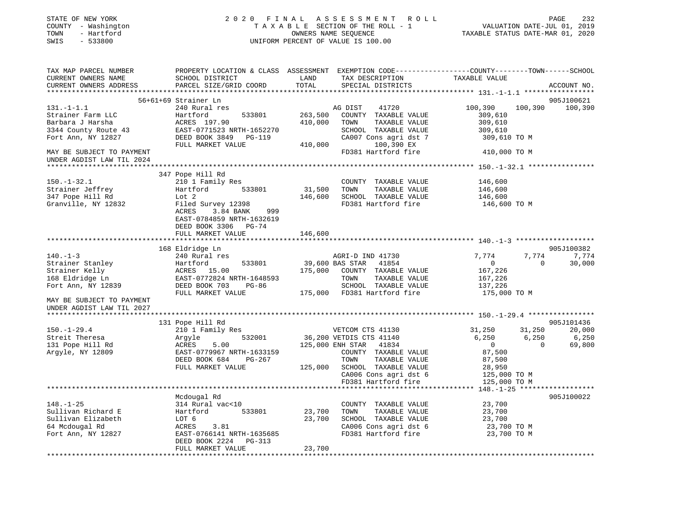|                                                                                                                                                                                                                                                                                                                               | 2020 FINAL                                                                                       |                      | PAGE 232 PAGE 232 FINAL ASSESSMENT ROLL<br>TAXABLE SECTION OF THE ROLL - 1 VALUATION DATE-JUL 01, 2019 |                                  |                |                                         |
|-------------------------------------------------------------------------------------------------------------------------------------------------------------------------------------------------------------------------------------------------------------------------------------------------------------------------------|--------------------------------------------------------------------------------------------------|----------------------|--------------------------------------------------------------------------------------------------------|----------------------------------|----------------|-----------------------------------------|
| COUNTY - Washington                                                                                                                                                                                                                                                                                                           |                                                                                                  |                      |                                                                                                        | TAXABLE STATUS DATE-MAR 01, 2020 |                |                                         |
| TOWN<br>- Hartford<br>SWIS<br>$-533800$                                                                                                                                                                                                                                                                                       |                                                                                                  | OWNERS NAME SEQUENCE |                                                                                                        |                                  |                |                                         |
|                                                                                                                                                                                                                                                                                                                               |                                                                                                  |                      | UNIFORM PERCENT OF VALUE IS 100.00                                                                     |                                  |                |                                         |
|                                                                                                                                                                                                                                                                                                                               |                                                                                                  |                      |                                                                                                        |                                  |                |                                         |
| TAX MAP PARCEL NUMBER                                                                                                                                                                                                                                                                                                         | PROPERTY LOCATION & CLASS ASSESSMENT EXEMPTION CODE----------------COUNTY-------TOWN------SCHOOL |                      |                                                                                                        |                                  |                |                                         |
| CURRENT OWNERS NAME                                                                                                                                                                                                                                                                                                           | SCHOOL DISTRICT                                                                                  | LAND                 | TAX DESCRIPTION                                                                                        | TAXABLE VALUE                    |                |                                         |
| CURRENT OWNERS ADDRESS                                                                                                                                                                                                                                                                                                        | PARCEL SIZE/GRID COORD                                                                           | TOTAL                | SPECIAL DISTRICTS                                                                                      |                                  |                | ACCOUNT NO.                             |
|                                                                                                                                                                                                                                                                                                                               |                                                                                                  |                      |                                                                                                        |                                  |                |                                         |
|                                                                                                                                                                                                                                                                                                                               | 56+61+69 Strainer Ln                                                                             |                      |                                                                                                        |                                  |                | 905J100621                              |
| $131.-1-1.1$                                                                                                                                                                                                                                                                                                                  | 240 Rural res                                                                                    |                      | AG DIST<br>41720                                                                                       | 100,390                          | 100,390        | 100,390                                 |
| Strainer Farm LLC                                                                                                                                                                                                                                                                                                             | Hartford<br>533801                                                                               | 263,500              | COUNTY TAXABLE VALUE                                                                                   | 309,610                          |                |                                         |
| Barbara J Harsha                                                                                                                                                                                                                                                                                                              | ACRES 197.90                                                                                     | 410,000              | TAXABLE VALUE<br>TOWN                                                                                  | 309,610                          |                |                                         |
| 3344 County Route 43                                                                                                                                                                                                                                                                                                          | EAST-0771523 NRTH-1652270                                                                        |                      | SCHOOL TAXABLE VALUE                                                                                   | 309,610                          |                |                                         |
| Fort Ann, NY 12827                                                                                                                                                                                                                                                                                                            | DEED BOOK 3849 PG-119                                                                            |                      | CA007 Cons agri dst 7                                                                                  | 309,610 TO M                     |                |                                         |
|                                                                                                                                                                                                                                                                                                                               | FULL MARKET VALUE                                                                                | 410,000              | 100,390 EX                                                                                             |                                  |                |                                         |
| MAY BE SUBJECT TO PAYMENT<br>UNDER AGDIST LAW TIL 2024                                                                                                                                                                                                                                                                        |                                                                                                  |                      | FD381 Hartford fire                                                                                    | 410,000 TO M                     |                |                                         |
|                                                                                                                                                                                                                                                                                                                               |                                                                                                  |                      |                                                                                                        |                                  |                |                                         |
|                                                                                                                                                                                                                                                                                                                               | 347 Pope Hill Rd                                                                                 |                      |                                                                                                        |                                  |                |                                         |
| 150.-1-32.1                                                                                                                                                                                                                                                                                                                   | 210 1 Family Res                                                                                 |                      | COUNTY TAXABLE VALUE                                                                                   | 146,600                          |                |                                         |
| Strainer Jeffrey                                                                                                                                                                                                                                                                                                              | Hartford 533801                                                                                  | 31,500               | TAXABLE VALUE<br>TOWN                                                                                  | 146,600                          |                |                                         |
| 347 Pope Hill Rd                                                                                                                                                                                                                                                                                                              | Lot 2                                                                                            |                      | 146,600 SCHOOL TAXABLE VALUE                                                                           | 146,600                          |                |                                         |
| Granville, NY 12832                                                                                                                                                                                                                                                                                                           | Filed Survey 12398                                                                               |                      | FD381 Hartford fire                                                                                    | 146,600 TO M                     |                |                                         |
|                                                                                                                                                                                                                                                                                                                               | ACRES 3.84 BANK 999                                                                              |                      |                                                                                                        |                                  |                |                                         |
|                                                                                                                                                                                                                                                                                                                               | EAST-0784859 NRTH-1632619                                                                        |                      |                                                                                                        |                                  |                |                                         |
|                                                                                                                                                                                                                                                                                                                               | DEED BOOK 3306 PG-74                                                                             |                      |                                                                                                        |                                  |                |                                         |
|                                                                                                                                                                                                                                                                                                                               | FULL MARKET VALUE                                                                                |                      |                                                                                                        |                                  |                |                                         |
|                                                                                                                                                                                                                                                                                                                               |                                                                                                  |                      |                                                                                                        |                                  |                |                                         |
|                                                                                                                                                                                                                                                                                                                               |                                                                                                  | 146,600              |                                                                                                        |                                  |                |                                         |
|                                                                                                                                                                                                                                                                                                                               | 168 Eldridge Ln                                                                                  |                      |                                                                                                        |                                  |                | 905J100382                              |
|                                                                                                                                                                                                                                                                                                                               | 240 Rural res                                                                                    |                      | AGRI-D IND 41730                                                                                       | 7,774                            | 7,774          | 7,774                                   |
|                                                                                                                                                                                                                                                                                                                               | 533801<br>Hartford                                                                               |                      | 41854                                                                                                  | $\overline{0}$                   | $\overline{0}$ | 30,000                                  |
|                                                                                                                                                                                                                                                                                                                               | ACRES 15.00                                                                                      | 39,600 BAS STAR      | 175,000 COUNTY TAXABLE VALUE                                                                           | 167,226                          |                |                                         |
|                                                                                                                                                                                                                                                                                                                               | EAST-0772824 NRTH-1648593                                                                        |                      | TOWN<br>TAXABLE VALUE                                                                                  | 167,226                          |                |                                         |
|                                                                                                                                                                                                                                                                                                                               |                                                                                                  |                      | SCHOOL TAXABLE VALUE                                                                                   | 137,226                          |                |                                         |
|                                                                                                                                                                                                                                                                                                                               | DEED BOOK 703 PG-86<br>FULL MARKET VALUE                                                         |                      | 175,000 FD381 Hartford fire                                                                            | 175,000 TO M                     |                |                                         |
|                                                                                                                                                                                                                                                                                                                               |                                                                                                  |                      |                                                                                                        |                                  |                |                                         |
|                                                                                                                                                                                                                                                                                                                               |                                                                                                  |                      |                                                                                                        |                                  |                |                                         |
|                                                                                                                                                                                                                                                                                                                               |                                                                                                  |                      |                                                                                                        |                                  |                |                                         |
|                                                                                                                                                                                                                                                                                                                               | 131 Pope Hill Rd                                                                                 |                      |                                                                                                        |                                  |                | 905J101436                              |
|                                                                                                                                                                                                                                                                                                                               | 210 1 Family Res                                                                                 |                      | VETCOM CTS 41130                                                                                       | 31,250                           | 31,250 20,000  |                                         |
|                                                                                                                                                                                                                                                                                                                               | 532001<br>Argyle                                                                                 |                      |                                                                                                        | 6,250                            |                |                                         |
|                                                                                                                                                                                                                                                                                                                               | ACRES<br>5.00                                                                                    |                      | 36,200 VETDIS CTS 41140<br>125,000 ENH STAR 41834                                                      | $\sim$ 0                         |                | $6,250$ $6,250$<br>0 $69,800$<br>69,800 |
|                                                                                                                                                                                                                                                                                                                               | EAST-0779967 NRTH-1633159                                                                        |                      | COUNTY TAXABLE VALUE                                                                                   | 87,500                           |                |                                         |
|                                                                                                                                                                                                                                                                                                                               | DEED BOOK 684 PG-267                                                                             |                      | TOWN<br>TAXABLE VALUE                                                                                  | 87,500                           |                |                                         |
|                                                                                                                                                                                                                                                                                                                               | FULL MARKET VALUE                                                                                | 125,000              | SCHOOL TAXABLE VALUE                                                                                   | 28,950                           |                |                                         |
|                                                                                                                                                                                                                                                                                                                               |                                                                                                  |                      | CA006 Cons agri dst 6                                                                                  | 125,000 TO M                     |                |                                         |
|                                                                                                                                                                                                                                                                                                                               |                                                                                                  |                      | FD381 Hartford fire                                                                                    | 125,000 TO M                     |                |                                         |
|                                                                                                                                                                                                                                                                                                                               |                                                                                                  |                      |                                                                                                        |                                  |                |                                         |
|                                                                                                                                                                                                                                                                                                                               | Mcdougal Rd                                                                                      |                      |                                                                                                        |                                  |                | 905J100022                              |
|                                                                                                                                                                                                                                                                                                                               | 314 Rural vac<10                                                                                 |                      | COUNTY TAXABLE VALUE                                                                                   | 23,700                           |                |                                         |
|                                                                                                                                                                                                                                                                                                                               | Hartford<br>533801                                                                               |                      | TOWN<br>TAXABLE VALUE                                                                                  | 23,700                           |                |                                         |
|                                                                                                                                                                                                                                                                                                                               |                                                                                                  | 23,700               |                                                                                                        |                                  |                |                                         |
| $140. - 1 - 3$<br>Strainer Stanley<br>Strainer Kelly<br>168 Eldridge Ln<br>Fort Ann, NY 12839<br>MAY BE SUBJECT TO PAYMENT<br>UNDER AGDIST LAW TIL 2027<br>********************<br>$150. - 1 - 29.4$<br>Streit Theresa<br>131 Pope Hill Rd<br>Argyle, NY 12809<br>$148. - 1 - 25$<br>Sullivan Richard E<br>Sullivan Elizabeth | LOT 6                                                                                            | 23,700               | SCHOOL TAXABLE VALUE                                                                                   | 23,700                           |                |                                         |
| 64 Mcdougal Rd                                                                                                                                                                                                                                                                                                                | ACRES 3.81                                                                                       |                      | CA006 Cons agri dst 6                                                                                  | 23,700 TO M                      |                |                                         |
| Fort Ann, NY 12827                                                                                                                                                                                                                                                                                                            | EAST-0766141 NRTH-1635685                                                                        |                      | FD381 Hartford fire                                                                                    | 23,700 TO M                      |                |                                         |
|                                                                                                                                                                                                                                                                                                                               | DEED BOOK 2224 PG-313<br>FULL MARKET VALUE                                                       | 23,700               |                                                                                                        |                                  |                |                                         |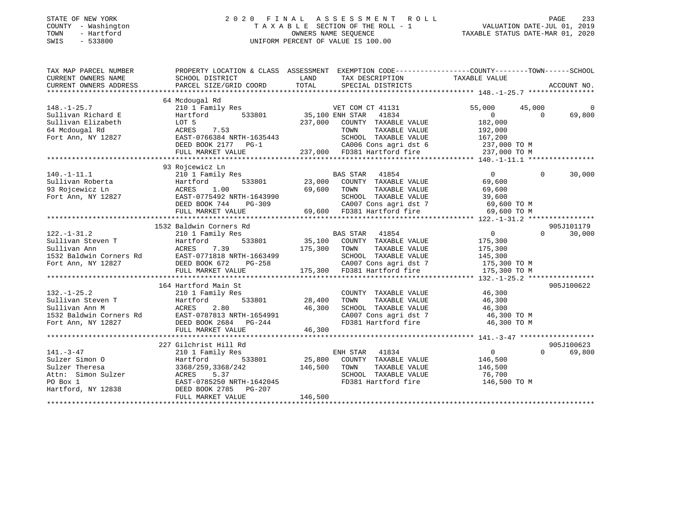### STATE OF NEW YORK 2 0 2 0 F I N A L A S S E S S M E N T R O L L PAGE 233 COUNTY - Washington T A X A B L E SECTION OF THE ROLL - 1 VALUATION DATE-JUL 01, 2019 TOWN - Hartford OWNERS NAME SEQUENCE TAXABLE STATUS DATE-MAR 01, 2020 SWIS - 533800 UNIFORM PERCENT OF VALUE IS 100.00

| TAX MAP PARCEL NUMBER               |                       |                                                                                                                                                                                                                                                                                                                                                               | PROPERTY LOCATION & CLASS ASSESSMENT EXEMPTION CODE---------------COUNTY-------TOWN-----SCHOOL |
|-------------------------------------|-----------------------|---------------------------------------------------------------------------------------------------------------------------------------------------------------------------------------------------------------------------------------------------------------------------------------------------------------------------------------------------------------|------------------------------------------------------------------------------------------------|
| CURRENT OWNERS NAME SCHOOL DISTRICT |                       | LAND TAX DESCRIPTION TAXABLE VALUE                                                                                                                                                                                                                                                                                                                            |                                                                                                |
|                                     |                       |                                                                                                                                                                                                                                                                                                                                                               |                                                                                                |
|                                     |                       |                                                                                                                                                                                                                                                                                                                                                               |                                                                                                |
|                                     | 64 Mcdougal Rd        |                                                                                                                                                                                                                                                                                                                                                               |                                                                                                |
|                                     |                       |                                                                                                                                                                                                                                                                                                                                                               |                                                                                                |
|                                     |                       |                                                                                                                                                                                                                                                                                                                                                               |                                                                                                |
|                                     |                       |                                                                                                                                                                                                                                                                                                                                                               |                                                                                                |
|                                     |                       |                                                                                                                                                                                                                                                                                                                                                               |                                                                                                |
|                                     |                       |                                                                                                                                                                                                                                                                                                                                                               |                                                                                                |
|                                     |                       |                                                                                                                                                                                                                                                                                                                                                               |                                                                                                |
|                                     |                       |                                                                                                                                                                                                                                                                                                                                                               |                                                                                                |
|                                     |                       |                                                                                                                                                                                                                                                                                                                                                               |                                                                                                |
|                                     | 93 Rojcewicz Ln       |                                                                                                                                                                                                                                                                                                                                                               |                                                                                                |
|                                     |                       |                                                                                                                                                                                                                                                                                                                                                               |                                                                                                |
|                                     |                       |                                                                                                                                                                                                                                                                                                                                                               |                                                                                                |
|                                     |                       |                                                                                                                                                                                                                                                                                                                                                               |                                                                                                |
|                                     |                       |                                                                                                                                                                                                                                                                                                                                                               |                                                                                                |
|                                     |                       |                                                                                                                                                                                                                                                                                                                                                               |                                                                                                |
|                                     |                       |                                                                                                                                                                                                                                                                                                                                                               |                                                                                                |
|                                     |                       |                                                                                                                                                                                                                                                                                                                                                               |                                                                                                |
|                                     |                       |                                                                                                                                                                                                                                                                                                                                                               |                                                                                                |
|                                     |                       |                                                                                                                                                                                                                                                                                                                                                               |                                                                                                |
|                                     |                       |                                                                                                                                                                                                                                                                                                                                                               |                                                                                                |
|                                     |                       |                                                                                                                                                                                                                                                                                                                                                               |                                                                                                |
|                                     |                       |                                                                                                                                                                                                                                                                                                                                                               |                                                                                                |
|                                     |                       |                                                                                                                                                                                                                                                                                                                                                               |                                                                                                |
|                                     |                       |                                                                                                                                                                                                                                                                                                                                                               |                                                                                                |
|                                     |                       |                                                                                                                                                                                                                                                                                                                                                               |                                                                                                |
|                                     | 164 Hartford Main St  |                                                                                                                                                                                                                                                                                                                                                               | 905J100622                                                                                     |
|                                     |                       |                                                                                                                                                                                                                                                                                                                                                               |                                                                                                |
|                                     |                       |                                                                                                                                                                                                                                                                                                                                                               |                                                                                                |
|                                     |                       |                                                                                                                                                                                                                                                                                                                                                               |                                                                                                |
|                                     |                       |                                                                                                                                                                                                                                                                                                                                                               |                                                                                                |
|                                     |                       | 132.-1-25.2 103 103 20 1 Family Res<br>Sullivan Steven T<br>Sullivan Ann M<br>Sullivan Ann M<br>ACRES 2.80 28,400 TOWN TAXABLE VALUE 46,300<br>1532 Baldwin Corners Rd<br>Fort Ann, NY 12827 DEED BOOK 2684 PG-244 46,300<br>FOR MARKET VALU<br>CA007 Cons agri dst 7                     46,300 TO M<br>FD381 Hartford fire                      46,300 TO M |                                                                                                |
|                                     |                       |                                                                                                                                                                                                                                                                                                                                                               |                                                                                                |
|                                     |                       |                                                                                                                                                                                                                                                                                                                                                               |                                                                                                |
|                                     | 227 Gilchrist Hill Rd |                                                                                                                                                                                                                                                                                                                                                               | 905J100623                                                                                     |
|                                     |                       |                                                                                                                                                                                                                                                                                                                                                               | $\Omega$<br>69,800                                                                             |
|                                     |                       |                                                                                                                                                                                                                                                                                                                                                               |                                                                                                |
|                                     |                       |                                                                                                                                                                                                                                                                                                                                                               |                                                                                                |
|                                     |                       |                                                                                                                                                                                                                                                                                                                                                               |                                                                                                |
|                                     |                       |                                                                                                                                                                                                                                                                                                                                                               |                                                                                                |
|                                     |                       |                                                                                                                                                                                                                                                                                                                                                               |                                                                                                |
|                                     |                       | 146,500                                                                                                                                                                                                                                                                                                                                                       |                                                                                                |
|                                     | FULL MARKET VALUE     |                                                                                                                                                                                                                                                                                                                                                               |                                                                                                |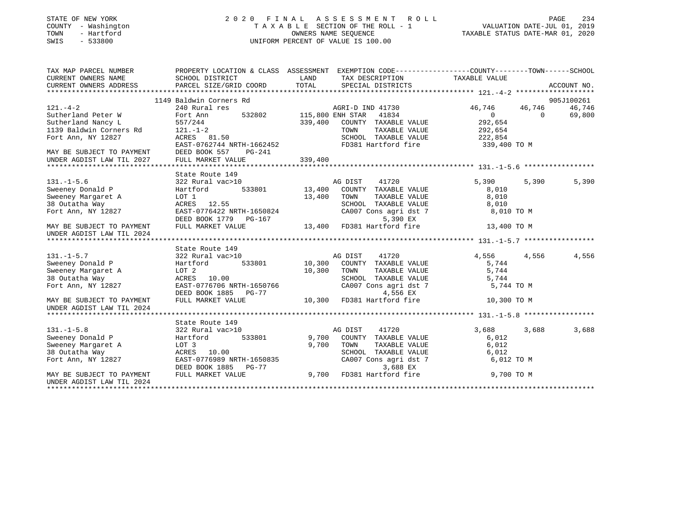### STATE OF NEW YORK 2 0 2 0 F I N A L A S S E S S M E N T R O L L PAGE 234 COUNTY - Washington T A X A B L E SECTION OF THE ROLL - 1 VALUATION DATE-JUL 01, 2019 TOWN - Hartford OWNERS NAME SEQUENCE TAXABLE STATUS DATE-MAR 01, 2020 SWIS - 533800 UNIFORM PERCENT OF VALUE IS 100.00

| TAX MAP PARCEL NUMBER<br>CURRENT OWNERS NAME<br>CURRENT OWNERS ADDRESS              | SCHOOL DISTRICT<br>PARCEL SIZE/GRID COORD | LAND<br>TAX DESCRIPTION TAXABLE VALUE<br>TOTAL<br>SPECIAL DISTRICTS | PROPERTY LOCATION & CLASS ASSESSMENT EXEMPTION CODE----------------COUNTY-------TOWN------SCHOOL<br>ACCOUNT NO. |
|-------------------------------------------------------------------------------------|-------------------------------------------|---------------------------------------------------------------------|-----------------------------------------------------------------------------------------------------------------|
|                                                                                     |                                           |                                                                     |                                                                                                                 |
|                                                                                     | 1149 Baldwin Corners Rd                   |                                                                     | 905J100261                                                                                                      |
| $121. - 4 - 2$                                                                      | 240 Rural res                             | AGRI-D IND 41730                                                    | 46,746<br>46,746<br>46,746                                                                                      |
| Sutherland Peter W                                                                  | Fort Ann                                  | 532802 115,800 ENH STAR 41834                                       | 69,800<br>0<br>$\Omega$                                                                                         |
| Sutherland Nancy L                                                                  | 557/244                                   | 339,400<br>COUNTY TAXABLE VALUE                                     | 292,654                                                                                                         |
| 1139 Baldwin Corners Rd<br>Fort Ann, NY 12827                                       | $121. - 1 - 2$                            | TOWN<br>TAXABLE VALUE                                               | 292,654                                                                                                         |
| Fort Ann, NY 12827                                                                  | ACRES 81.50                               | SCHOOL TAXABLE VALUE                                                | 222,854                                                                                                         |
|                                                                                     | EAST-0762744 NRTH-1662452                 |                                                                     | FD381 Hartford fire 339,400 TO M                                                                                |
|                                                                                     | PG-241                                    |                                                                     |                                                                                                                 |
| MAY BE SUBJECT TO PAYMENT DEED BOOK 557<br>UNDER AGDIST LAW TIL 2027 FULL MARKET VI | FULL MARKET VALUE                         | 339,400                                                             |                                                                                                                 |
|                                                                                     |                                           |                                                                     |                                                                                                                 |
|                                                                                     | State Route 149                           |                                                                     |                                                                                                                 |
| $131. - 1 - 5.6$                                                                    | $322$ Rural vac $>10$                     | AG DIST<br>41720                                                    | 5,390<br>5,390<br>5,390                                                                                         |
| Sweeney Donald P                                                                    | Hartford                                  | 533801 13,400<br>COUNTY TAXABLE VALUE                               | 8,010                                                                                                           |
| Sweeney Margaret A                                                                  | LOT 1                                     | 13,400<br>TOWN<br>TAXABLE VALUE                                     | 8,010                                                                                                           |
| 38 Outatha Way                                                                      | ACRES 12.55                               | SCHOOL TAXABLE VALUE                                                | 8,010                                                                                                           |
| Fort Ann, NY 12827                                                                  | EAST-0776422 NRTH-1650824                 | SCHOOL TAXABLE VALUE<br>CA007 Cons agri dst 7                       | 8,010 TO M                                                                                                      |
|                                                                                     | DEED BOOK 1779 PG-167                     | 5,390 EX                                                            |                                                                                                                 |
| MAY BE SUBJECT TO PAYMENT<br>UNDER AGDIST LAW TIL 2024                              | FULL MARKET VALUE                         | 13,400 FD381 Hartford fire                                          | 13,400 TO M                                                                                                     |
|                                                                                     |                                           |                                                                     |                                                                                                                 |
|                                                                                     | State Route 149                           |                                                                     |                                                                                                                 |
| $131. -1 - 5.7$                                                                     | 322 Rural vac>10                          | AG DIST<br>41720                                                    | 4,556<br>4,556<br>4,556                                                                                         |
| Sweeney Donald P                                                                    | $533801$ 10,300<br>Hartford               | COUNTY TAXABLE VALUE                                                | 5,744                                                                                                           |
| Sweeney Margaret A                                                                  | LOT 2                                     | 10,300<br>TOWN<br>TAXABLE VALUE                                     | 5,744                                                                                                           |
| 38 Outatha Way                                                                      | ACRES 10.00                               | SCHOOL TAXABLE VALUE                                                | 5,744                                                                                                           |
| Fort Ann, NY 12827                                                                  | EAST-0776706 NRTH-1650766                 | CA007 Cons agri dst 7                                               | 5,744 TO M                                                                                                      |
|                                                                                     | DEED BOOK 1885 PG-77                      | 4,556 EX                                                            |                                                                                                                 |
| MAY BE SUBJECT TO PAYMENT<br>UNDER AGDIST LAW TIL 2024                              | FULL MARKET VALUE                         | 10,300<br>FD381 Hartford fire                                       | 10,300 TO M                                                                                                     |
|                                                                                     |                                           |                                                                     |                                                                                                                 |
|                                                                                     | State Route 149                           |                                                                     |                                                                                                                 |
| $131. - 1 - 5.8$                                                                    | 322 Rural vac>10                          | 41720<br>AG DIST                                                    | 3,688<br>3,688<br>3,688                                                                                         |
| Sweeney Donald P                                                                    | 533801<br>Hartford                        | 9,700<br>COUNTY TAXABLE VALUE                                       | 6,012                                                                                                           |
| Sweeney Margaret A                                                                  | LOT 3                                     | 9,700<br>TOWN<br>TAXABLE VALUE                                      | 6,012                                                                                                           |
| 38 Outatha Way                                                                      | ACRES 10.00                               | SCHOOL TAXABLE VALUE                                                | 6,012                                                                                                           |
| Fort Ann, NY 12827                                                                  | EAST-0776989 NRTH-1650835                 | CA007 Cons agri dst 7                                               | 6,012 TO M                                                                                                      |
|                                                                                     | DEED BOOK 1885 PG-77                      |                                                                     |                                                                                                                 |
| MAY BE SUBJECT TO PAYMENT                                                           | FULL MARKET VALUE                         | $-77$<br>$-77$<br>$9,700$ FD381 Hartford fire                       | 9,700 TO M                                                                                                      |
| UNDER AGDIST LAW TIL 2024                                                           |                                           |                                                                     |                                                                                                                 |
|                                                                                     |                                           |                                                                     |                                                                                                                 |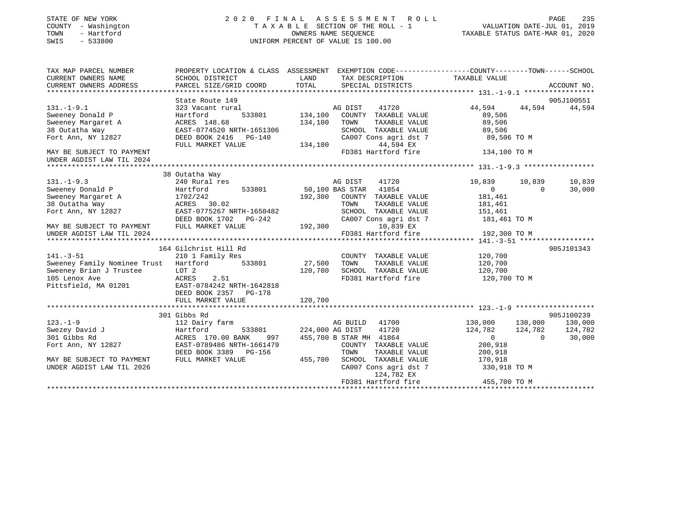| STATE OF NEW YORK |             |                     |  |
|-------------------|-------------|---------------------|--|
|                   |             | COUNTY - Washington |  |
| TOWN              |             | - Hartford          |  |
| OMT O             | $-$ 5229000 |                     |  |

## STATE OF NEW YORK 2 0 2 0 F I N A L A S S E S S M E N T R O L L PAGE 235COUNTY - Washington  $T A X A B L E$  SECTION OF THE ROLL - 1<br>TOWN - Hartford SWIS - 533800 UNIFORM PERCENT OF VALUE IS 100.00

# VALUATION DATE-JUL 01, 2019

TAXABLE STATUS DATE-MAR 01, 2020

| TAX MAP PARCEL NUMBER<br>CURRENT OWNERS NAME<br>CURRENT OWNERS ADDRESS                                                                                                                          | PROPERTY LOCATION & CLASS ASSESSMENT EXEMPTION CODE----------------COUNTY-------TOWN------SCHOOL<br>SCHOOL DISTRICT<br>PARCEL SIZE/GRID COORD | LAND<br>TOTAL          |                         | SPECIAL DISTRICTS                           | TAX DESCRIPTION TAXABLE VALUE                                    |          | ACCOUNT NO. |
|-------------------------------------------------------------------------------------------------------------------------------------------------------------------------------------------------|-----------------------------------------------------------------------------------------------------------------------------------------------|------------------------|-------------------------|---------------------------------------------|------------------------------------------------------------------|----------|-------------|
|                                                                                                                                                                                                 |                                                                                                                                               |                        |                         |                                             |                                                                  |          | 905J100551  |
| $131. - 1 - 9.1$                                                                                                                                                                                | State Route 149<br>323 Vacant rural                                                                                                           | AG DIST                |                         | 41720                                       | 44,594 44,594                                                    |          | 44,594      |
| Sweeney Donald P                                                                                                                                                                                | Hartford                                                                                                                                      | 533801 134,100         |                         | COUNTY TAXABLE VALUE                        |                                                                  |          |             |
|                                                                                                                                                                                                 |                                                                                                                                               | 134,100                | TOWN                    | TAXABLE VALUE                               | 89,506<br>89,506                                                 |          |             |
|                                                                                                                                                                                                 |                                                                                                                                               |                        |                         |                                             |                                                                  |          |             |
| Fort Ann, NY 12827                                                                                                                                                                              | DEED BOOK 2416 PG-140                                                                                                                         |                        |                         |                                             | SCHOOL TAXABLE VALUE 89,506<br>CA007 Cons agri dst 7 89,506 TO M |          |             |
|                                                                                                                                                                                                 | FULL MARKET VALUE                                                                                                                             |                        |                         | 44,594 EX                                   |                                                                  |          |             |
| MAY BE SUBJECT TO PAYMENT                                                                                                                                                                       |                                                                                                                                               | 134,100                |                         |                                             | FD381 Hartford fire 134,100 TO M                                 |          |             |
|                                                                                                                                                                                                 |                                                                                                                                               |                        |                         |                                             |                                                                  |          |             |
|                                                                                                                                                                                                 |                                                                                                                                               |                        |                         |                                             |                                                                  |          |             |
|                                                                                                                                                                                                 | 38 Outatha Way                                                                                                                                |                        |                         |                                             |                                                                  |          |             |
| $131. -1 - 9.3$                                                                                                                                                                                 | 240 Rural res                                                                                                                                 |                        | AG DIST                 | 41720                                       | 10,839                                                           | 10,839   | 10,839      |
| Sweeney Donald P                                                                                                                                                                                | Hartford 533801 50,100 BAS STAR 41854                                                                                                         |                        |                         |                                             | $\overline{0}$                                                   | $\Omega$ | 30,000      |
|                                                                                                                                                                                                 |                                                                                                                                               |                        |                         | 192,300 COUNTY TAXABLE VALUE                | 181,461                                                          |          |             |
| Sweeney Margaret A<br>38 Outatha Way                                                                                                                                                            |                                                                                                                                               |                        | TOWN                    | TAXABLE VALUE                               | 181,461                                                          |          |             |
| Fort Ann, NY 12827 EAST-0775267 NRTH-1650482                                                                                                                                                    | $1702/272$<br>ACRES 30.02                                                                                                                     |                        |                         | SCHOOL TAXABLE VALUE                        | 151,461                                                          |          |             |
|                                                                                                                                                                                                 | DEED BOOK 1702    PG-242                                                                                                                      |                        |                         | CA007 Cons agri dst 7                       |                                                                  |          |             |
| MAY BE SUBJECT TO PAYMENT FULL MARKET VALUE                                                                                                                                                     |                                                                                                                                               | $3-242$ 192,300        |                         | 10,839 EX                                   | 181,461 TO M                                                     |          |             |
|                                                                                                                                                                                                 |                                                                                                                                               |                        |                         |                                             |                                                                  |          |             |
| - 192,300 TO M 192,300 TO M 192,300 TO M 192,300 TO M 192,300 TO M 192,300 TO M 192,300 TO M 192,300 TO M 192,300 TO M 192,300 TO M 192,300 TO M 192,300 TO M 192,300 TO M 19381 Hart ford fire |                                                                                                                                               |                        |                         |                                             |                                                                  |          |             |
|                                                                                                                                                                                                 | 164 Gilchrist Hill Rd                                                                                                                         |                        |                         |                                             |                                                                  |          | 905J101343  |
| $141. - 3 - 51$                                                                                                                                                                                 | 210 1 Family Res                                                                                                                              |                        |                         |                                             | COUNTY TAXABLE VALUE 120,700                                     |          |             |
| Sweeney Family Nominee Trust Hartford 533801 27,500                                                                                                                                             |                                                                                                                                               |                        | TOWN                    | TAXABLE VALUE                               | 120,700                                                          |          |             |
| Sweeney Brian J Trustee                                                                                                                                                                         | LOT 2                                                                                                                                         |                        |                         |                                             | 120,700                                                          |          |             |
| Frustee LOT 2<br>ACRES<br>105 Lenox Ave                                                                                                                                                         | 2.51                                                                                                                                          | 120,700                |                         | SCHOOL TAXABLE VALUE<br>FD381 Hartford fire | $120,700$ TO M                                                   |          |             |
| Pittsfield, MA 01201 EAST-0784242 NRTH-1642818                                                                                                                                                  |                                                                                                                                               |                        |                         |                                             |                                                                  |          |             |
|                                                                                                                                                                                                 | DEED BOOK 2357 PG-178                                                                                                                         |                        |                         |                                             |                                                                  |          |             |
|                                                                                                                                                                                                 | FULL MARKET VALUE                                                                                                                             | 120,700                |                         |                                             |                                                                  |          |             |
|                                                                                                                                                                                                 |                                                                                                                                               |                        |                         |                                             |                                                                  |          |             |
|                                                                                                                                                                                                 | 301 Gibbs Rd                                                                                                                                  |                        |                         |                                             |                                                                  |          | 905J100239  |
| $123. - 1 - 9$                                                                                                                                                                                  | 112 Dairy farm                                                                                                                                |                        |                         | AG BUILD 41700                              | 130,000 130,000 130,000                                          |          |             |
| Swezey David J                                                                                                                                                                                  | Hartford                                                                                                                                      | 533801 224,000 AG DIST |                         | 41720                                       | 124,782 124,782                                                  |          | 124,782     |
| 301 Gibbs Rd                                                                                                                                                                                    | ACRES 170.00 BANK<br>997                                                                                                                      |                        | 455,700 B STAR MH 41864 |                                             | $\overline{0}$                                                   | $\sim$ 0 | 30,000      |
| Fort Ann, NY 12827                                                                                                                                                                              | EAST-0789486 NRTH-1661479                                                                                                                     |                        |                         | COUNTY TAXABLE VALUE                        | 200,918                                                          |          |             |
|                                                                                                                                                                                                 | DEED BOOK 3389 PG-156                                                                                                                         |                        | TOWN                    | TAXABLE VALUE                               | 200,918                                                          |          |             |
| MAY BE SUBJECT TO PAYMENT                                                                                                                                                                       | FULL MARKET VALUE                                                                                                                             | 455,700                |                         |                                             | SCHOOL TAXABLE VALUE 170,918                                     |          |             |
| UNDER AGDIST LAW TIL 2026                                                                                                                                                                       |                                                                                                                                               |                        |                         | CA007 Cons agri dst 7                       | 330,918 TO M                                                     |          |             |
|                                                                                                                                                                                                 |                                                                                                                                               |                        |                         | 124,782 EX                                  |                                                                  |          |             |
|                                                                                                                                                                                                 |                                                                                                                                               |                        |                         |                                             |                                                                  |          |             |
|                                                                                                                                                                                                 |                                                                                                                                               |                        |                         |                                             |                                                                  |          |             |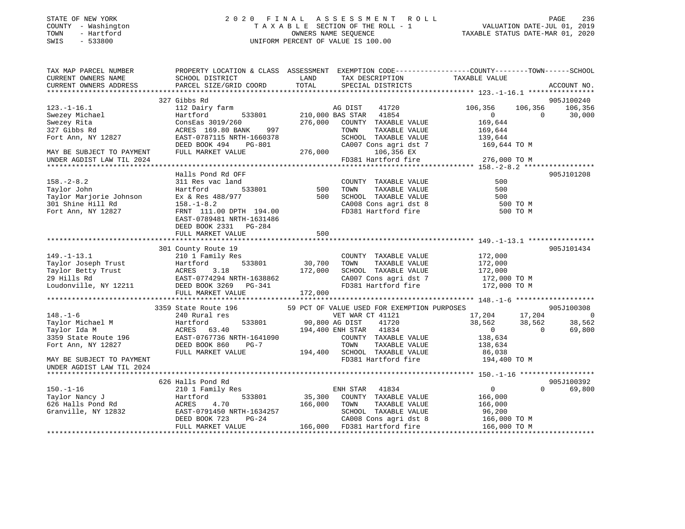| STATE OF NEW YORK |              |
|-------------------|--------------|
| COUNTY            | - Washington |
| TOWN              | - Hartford   |
| <b>CMTC</b>       | 533800       |

### STATE OF NEW YORK 2 0 2 0 F I N A L A S S E S S M E N T R O L L PAGE 236 COUNTY - Washington T A X A B L E SECTION OF THE ROLL - 1 VALUATION DATE-JUL 01, 2019 TOWN - Hartford OWNERS NAME SEQUENCE TAXABLE STATUS DATE-MAR 01, 2020 SWIS - 533800 UNIFORM PERCENT OF VALUE IS 100.00

| TAX MAP PARCEL NUMBER                                                                                                                                          | PROPERTY LOCATION & CLASS ASSESSMENT EXEMPTION CODE----------------COUNTY-------TOWN------SCHOOL                           |                        |                                                       |               |                                                                        |          |                 |
|----------------------------------------------------------------------------------------------------------------------------------------------------------------|----------------------------------------------------------------------------------------------------------------------------|------------------------|-------------------------------------------------------|---------------|------------------------------------------------------------------------|----------|-----------------|
| CURRENT OWNERS NAME                                                                                                                                            | SCHOOL DISTRICT                                                                                                            | LAND                   | TAX DESCRIPTION                                       |               | TAXABLE VALUE                                                          |          |                 |
| CURRENT OWNERS ADDRESS                                                                                                                                         | PARCEL SIZE/GRID COORD                                                                                                     | TOTAL                  | SPECIAL DISTRICTS                                     |               |                                                                        |          | ACCOUNT NO.     |
|                                                                                                                                                                |                                                                                                                            |                        |                                                       |               |                                                                        |          |                 |
|                                                                                                                                                                | 327 Gibbs Rd                                                                                                               |                        |                                                       |               |                                                                        |          | 905J100240      |
| $123. - 1 - 16.1$                                                                                                                                              | 112 Dairy farm MG DIST 41720<br>Hartford 533801 210,000 BAS STAR 41854                                                     |                        | AG DIST 41720                                         |               | 106,356                                                                |          | 106,356 106,356 |
| -<br>Swezey Michael<br>Swezey Rita                                                                                                                             |                                                                                                                            |                        |                                                       |               | $\overline{0}$                                                         |          | $0 \t 30,000$   |
|                                                                                                                                                                | $\texttt{ConsEas}$ 3019/260 $\texttt{276,000}$ $\texttt{COUNTY}$ TAXABLE VALUE<br>ACRES 169.80 BANK 997 TOWN TAXABLE VALUE |                        |                                                       |               | 169,644                                                                |          |                 |
| 327 Gibbs Rd                                                                                                                                                   |                                                                                                                            |                        |                                                       |               | 169,644                                                                |          |                 |
| Fort Ann, NY 12827                                                                                                                                             | EAST-0787115 NRTH-1660378                                                                                                  |                        |                                                       |               | SCHOOL TAXABLE VALUE 139,644                                           |          |                 |
|                                                                                                                                                                | DEED BOOK 494<br>PG-801                                                                                                    |                        | CA007 Cons agri dst 7                                 |               | 169,644 TO M                                                           |          |                 |
| MAY BE SUBJECT TO PAYMENT                                                                                                                                      | FULL MARKET VALUE                                                                                                          | $-801$ CA00<br>276,000 | 106,356 EX                                            |               |                                                                        |          |                 |
| UNDER AGDIST LAW TIL 2024                                                                                                                                      |                                                                                                                            |                        | FD381 Hartford fire                                   |               | 276,000 TO M                                                           |          |                 |
|                                                                                                                                                                |                                                                                                                            |                        |                                                       |               |                                                                        |          |                 |
|                                                                                                                                                                | Halls Pond Rd OFF                                                                                                          |                        |                                                       |               |                                                                        |          | 905J101208      |
| $158. - 2 - 8.2$                                                                                                                                               | 311 Res vac land                                                                                                           |                        | COUNTY TAXABLE VALUE                                  |               | 500                                                                    |          |                 |
| Taylor John<br>Taylor Marjorie Johnson                                                                                                                         | 533801<br>Hartford                                                                                                         | 500                    | TOWN                                                  | TAXABLE VALUE | 500                                                                    |          |                 |
|                                                                                                                                                                | Ex & Res 488/977                                                                                                           | 500                    | SCHOOL TAXABLE VALUE                                  |               | 500                                                                    |          |                 |
|                                                                                                                                                                |                                                                                                                            |                        | CA008 Cons agri dst 8<br>FD381 Hartford fire          |               | 500 TO M<br>500 TO M                                                   |          |                 |
| 301 Shine Hill Rd<br>Fort Ann, NY 12827 FRNT 111.00 DPTH 194.00                                                                                                |                                                                                                                            |                        |                                                       |               |                                                                        |          |                 |
|                                                                                                                                                                | EAST-0789481 NRTH-1631486                                                                                                  |                        |                                                       |               |                                                                        |          |                 |
|                                                                                                                                                                | DEED BOOK 2331 PG-284                                                                                                      |                        |                                                       |               |                                                                        |          |                 |
|                                                                                                                                                                | FULL MARKET VALUE                                                                                                          | 500                    |                                                       |               |                                                                        |          |                 |
|                                                                                                                                                                |                                                                                                                            |                        |                                                       |               |                                                                        |          |                 |
|                                                                                                                                                                | 301 County Route 19                                                                                                        |                        |                                                       |               |                                                                        |          | 905J101434      |
| $149. - 1 - 13.1$                                                                                                                                              | 210 1 Family Res                                                                                                           |                        |                                                       |               | COUNTY TAXABLE VALUE 172,000                                           |          |                 |
| Taylor Joseph Trust<br>Taylor Joseph Trust<br>Taylor Betty Trust<br>29 Hills Rd<br>EAST-0774294 NRTH-1638862<br>Loudonville, NY 12211<br>DEED BOOK 3269 PG-341 |                                                                                                                            |                        | TOWN TAXABLE VALUE                                    |               | 172,000                                                                |          |                 |
|                                                                                                                                                                |                                                                                                                            |                        | SCHOOL TAXABLE VALUE                                  |               | $\frac{1}{2}$ , 000                                                    |          |                 |
|                                                                                                                                                                |                                                                                                                            |                        |                                                       |               | CA007 Cons agri dst 7 172,000 TO M<br>FD381 Hartford fire 172,000 TO M |          |                 |
|                                                                                                                                                                |                                                                                                                            |                        |                                                       |               |                                                                        |          |                 |
|                                                                                                                                                                | FULL MARKET VALUE                                                                                                          | 172,000                |                                                       |               |                                                                        |          |                 |
|                                                                                                                                                                |                                                                                                                            |                        |                                                       |               |                                                                        |          | 905J100308      |
| $148. - 1 - 6$                                                                                                                                                 | 3359 State Route 196 59 PCT OF VALUE USED FOR EXEMPTION PURPOSES 240 Rural res 60 17,204                                   |                        |                                                       |               |                                                                        |          |                 |
|                                                                                                                                                                |                                                                                                                            |                        |                                                       |               | $17,204$ $17,204$ 0<br>38,562 38,562 38,562<br>0 69,800                |          |                 |
| Taylor Michael M<br>Taylor Ida M<br>Taylor Ida M                                                                                                               |                                                                                                                            |                        | 533801 90,800 AG DIST 41720<br>194,400 ENH STAR 41834 |               |                                                                        |          |                 |
| $3359$ State Route 196                                                                                                                                         | EAST-0767736 NRTH-1641090                                                                                                  |                        | COUNTY TAXABLE VALUE                                  |               |                                                                        |          |                 |
| Fort Ann, NY 12827                                                                                                                                             | Hartford<br>ACRES 63.40<br>EAST-0767736 N<br>DEED BOOK 860<br>$PG-7$                                                       |                        | TOWN                                                  | TAXABLE VALUE | 138,634<br>138,634                                                     |          |                 |
|                                                                                                                                                                | FULL MARKET VALUE                                                                                                          |                        |                                                       |               |                                                                        |          |                 |
| MAY BE SUBJECT TO PAYMENT                                                                                                                                      |                                                                                                                            |                        | 194,400 SCHOOL TAXABLE VALUE<br>FD381 Hartford fire   |               | 86,038<br>194,400 TO M                                                 |          |                 |
| UNDER AGDIST LAW TIL 2024                                                                                                                                      |                                                                                                                            |                        |                                                       |               |                                                                        |          |                 |
|                                                                                                                                                                |                                                                                                                            |                        |                                                       |               |                                                                        |          |                 |
|                                                                                                                                                                |                                                                                                                            |                        |                                                       |               |                                                                        |          | 905J100392      |
|                                                                                                                                                                |                                                                                                                            |                        |                                                       |               |                                                                        | $\Omega$ | 69,800          |
|                                                                                                                                                                |                                                                                                                            |                        |                                                       |               |                                                                        |          |                 |
|                                                                                                                                                                |                                                                                                                            |                        |                                                       |               |                                                                        |          |                 |
|                                                                                                                                                                |                                                                                                                            |                        |                                                       |               |                                                                        |          |                 |
|                                                                                                                                                                |                                                                                                                            |                        |                                                       |               |                                                                        |          |                 |
|                                                                                                                                                                |                                                                                                                            |                        |                                                       |               |                                                                        |          |                 |
|                                                                                                                                                                |                                                                                                                            |                        |                                                       |               |                                                                        |          |                 |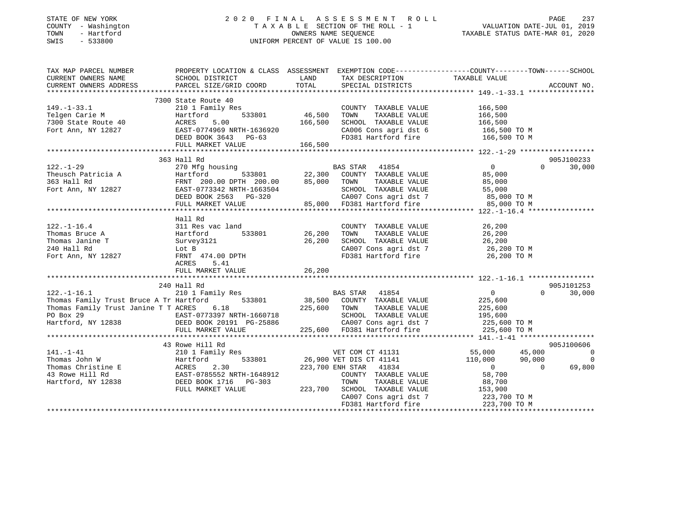### STATE OF NEW YORK 2 0 2 0 F I N A L A S S E S S M E N T R O L L PAGE 237 COUNTY - Washington T A X A B L E SECTION OF THE ROLL - 1 VALUATION DATE-JUL 01, 2019 TOWN - Hartford OWNERS NAME SEQUENCE TAXABLE STATUS DATE-MAR 01, 2020 SWIS - 533800 UNIFORM PERCENT OF VALUE IS 100.00

| TAX MAP PARCEL NUMBER                                                                                                                                                                                                                                                                                                                                                                                                    | PROPERTY LOCATION & CLASS ASSESSMENT EXEMPTION CODE-----------------COUNTY--------TOWN------SCHOOL |                                  |                    |
|--------------------------------------------------------------------------------------------------------------------------------------------------------------------------------------------------------------------------------------------------------------------------------------------------------------------------------------------------------------------------------------------------------------------------|----------------------------------------------------------------------------------------------------|----------------------------------|--------------------|
| CURRENT OWNERS NAME SCHOOL DISTRICT WE LAND TAX DESCRIPTION TAXABLE VALUE                                                                                                                                                                                                                                                                                                                                                |                                                                                                    |                                  |                    |
|                                                                                                                                                                                                                                                                                                                                                                                                                          |                                                                                                    |                                  |                    |
|                                                                                                                                                                                                                                                                                                                                                                                                                          |                                                                                                    |                                  |                    |
| 33.1 7300 State Route 40<br>Telgen Carie M<br>210 1 Family Res<br>Telgen Carie M<br>210 1 Family Res<br>210 1 Family Res<br>210 1 Family Res<br>210 1 Family Res<br>2166,500 TOWN TAXABLE VALUE<br>266,500 166,500 166,500<br>2000 2000 2000 2000                                                                                                                                                                        |                                                                                                    |                                  |                    |
|                                                                                                                                                                                                                                                                                                                                                                                                                          |                                                                                                    |                                  |                    |
|                                                                                                                                                                                                                                                                                                                                                                                                                          |                                                                                                    |                                  |                    |
|                                                                                                                                                                                                                                                                                                                                                                                                                          |                                                                                                    |                                  |                    |
|                                                                                                                                                                                                                                                                                                                                                                                                                          |                                                                                                    |                                  |                    |
|                                                                                                                                                                                                                                                                                                                                                                                                                          |                                                                                                    |                                  |                    |
|                                                                                                                                                                                                                                                                                                                                                                                                                          |                                                                                                    |                                  |                    |
|                                                                                                                                                                                                                                                                                                                                                                                                                          |                                                                                                    |                                  |                    |
|                                                                                                                                                                                                                                                                                                                                                                                                                          | 363 Hall Rd                                                                                        |                                  | 905J100233         |
|                                                                                                                                                                                                                                                                                                                                                                                                                          |                                                                                                    |                                  | 30,000<br>$\Omega$ |
|                                                                                                                                                                                                                                                                                                                                                                                                                          |                                                                                                    |                                  |                    |
|                                                                                                                                                                                                                                                                                                                                                                                                                          |                                                                                                    |                                  |                    |
|                                                                                                                                                                                                                                                                                                                                                                                                                          |                                                                                                    |                                  |                    |
|                                                                                                                                                                                                                                                                                                                                                                                                                          |                                                                                                    |                                  |                    |
|                                                                                                                                                                                                                                                                                                                                                                                                                          |                                                                                                    |                                  |                    |
|                                                                                                                                                                                                                                                                                                                                                                                                                          |                                                                                                    |                                  |                    |
|                                                                                                                                                                                                                                                                                                                                                                                                                          | Hall Rd                                                                                            |                                  |                    |
|                                                                                                                                                                                                                                                                                                                                                                                                                          |                                                                                                    |                                  |                    |
|                                                                                                                                                                                                                                                                                                                                                                                                                          |                                                                                                    |                                  |                    |
|                                                                                                                                                                                                                                                                                                                                                                                                                          |                                                                                                    |                                  |                    |
| 122.-1-16.4<br>Thomas Bruce A<br>Thomas Janine T<br>26,200<br>Thomas Janine T<br>26,200<br>26,200<br>26,200<br>26,200<br>26,200<br>26,200<br>26,200<br>26,200<br>26,200<br>26,200<br>26,200<br>26,200<br>26,200<br>26,200<br>26,200<br>26,200<br>26,200<br>26,200<br>26,200<br>                                                                                                                                          |                                                                                                    |                                  |                    |
|                                                                                                                                                                                                                                                                                                                                                                                                                          |                                                                                                    |                                  |                    |
|                                                                                                                                                                                                                                                                                                                                                                                                                          | ACRES<br>5.41                                                                                      |                                  |                    |
|                                                                                                                                                                                                                                                                                                                                                                                                                          |                                                                                                    |                                  |                    |
|                                                                                                                                                                                                                                                                                                                                                                                                                          |                                                                                                    |                                  |                    |
|                                                                                                                                                                                                                                                                                                                                                                                                                          |                                                                                                    |                                  |                    |
|                                                                                                                                                                                                                                                                                                                                                                                                                          | 240 Hall Rd                                                                                        |                                  | 905J101253         |
|                                                                                                                                                                                                                                                                                                                                                                                                                          |                                                                                                    |                                  | $\Omega$<br>30,000 |
|                                                                                                                                                                                                                                                                                                                                                                                                                          |                                                                                                    |                                  |                    |
|                                                                                                                                                                                                                                                                                                                                                                                                                          |                                                                                                    |                                  |                    |
|                                                                                                                                                                                                                                                                                                                                                                                                                          |                                                                                                    |                                  |                    |
|                                                                                                                                                                                                                                                                                                                                                                                                                          |                                                                                                    |                                  |                    |
| $\begin{tabular}{lllllllllllll} \bf{122.-1-16.1} & \tt 240\ \tt Hall\ \tt Rd & \tt 210\ 1\ \tt Family\ \tt Res & \tt BAS\ \tt STR & \tt 41854 & \tt 0 \\ \tt Thomas\ \tt Family\ \tt Trust\ \tt Bruce\ \tt A\ \tt Tr\ \tt Active & \tt 533801 & \tt 38,500\ \tt COUNTY\ \tt TAXABLE\ \tt VALUE & \tt 225,600\ \tt TOMN & \tt TAXABLE\ \tt VALUE & \tt 225,600\ \tt TOBN\ \tt 225,600\ \tt TQNN & \tt TAXABLE\ \tt VALUE$ |                                                                                                    |                                  |                    |
|                                                                                                                                                                                                                                                                                                                                                                                                                          |                                                                                                    |                                  |                    |
|                                                                                                                                                                                                                                                                                                                                                                                                                          | 43 Rowe Hill Rd                                                                                    |                                  | 905J100606         |
|                                                                                                                                                                                                                                                                                                                                                                                                                          |                                                                                                    |                                  |                    |
|                                                                                                                                                                                                                                                                                                                                                                                                                          |                                                                                                    |                                  |                    |
|                                                                                                                                                                                                                                                                                                                                                                                                                          |                                                                                                    |                                  |                    |
|                                                                                                                                                                                                                                                                                                                                                                                                                          |                                                                                                    |                                  |                    |
|                                                                                                                                                                                                                                                                                                                                                                                                                          |                                                                                                    |                                  |                    |
|                                                                                                                                                                                                                                                                                                                                                                                                                          |                                                                                                    |                                  |                    |
|                                                                                                                                                                                                                                                                                                                                                                                                                          |                                                                                                    |                                  |                    |
|                                                                                                                                                                                                                                                                                                                                                                                                                          |                                                                                                    | FD381 Hartford fire 223,700 TO M |                    |
|                                                                                                                                                                                                                                                                                                                                                                                                                          |                                                                                                    |                                  |                    |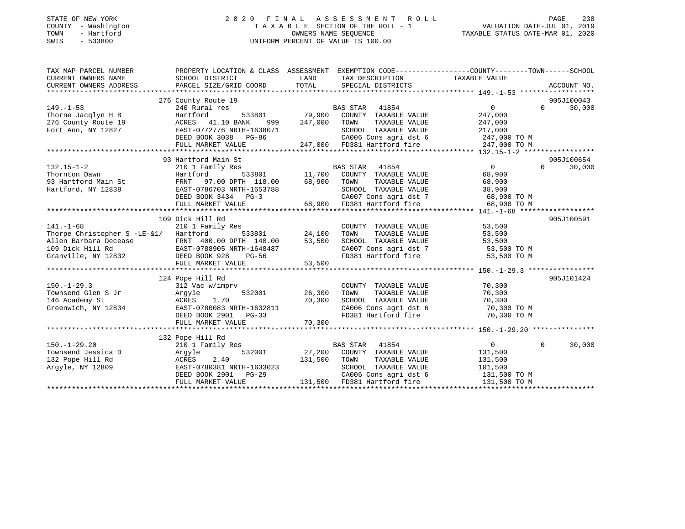### STATE OF NEW YORK 2 0 2 0 F I N A L A S S E S S M E N T R O L L PAGE 238 COUNTY - Washington T A X A B L E SECTION OF THE ROLL - 1 VALUATION DATE-JUL 01, 2019 TOWN - Hartford OWNERS NAME SEQUENCE TAXABLE STATUS DATE-MAR 01, 2020 SWIS - 533800 UNIFORM PERCENT OF VALUE IS 100.00

| SCHOOL DISTRICT<br>TAXABLE VALUE<br>CURRENT OWNERS NAME<br>LAND<br>TAX DESCRIPTION<br>CURRENT OWNERS ADDRESS<br>TOTAL<br>PARCEL SIZE/GRID COORD<br>SPECIAL DISTRICTS<br>ACCOUNT NO.<br>276 County Route 19<br>905J100043<br>$149. - 1 - 53$<br>$0 \qquad \qquad$<br>30,000<br>240 Rural res<br>BAS STAR 41854<br>$\Omega$<br>533801 79,900 COUNTY TAXABLE VALUE<br>Thorne Jacqlyn H B<br>Hartford<br>247,000<br>276 County Route 19<br>ACRES 41.10 BANK<br>999 247,000<br>TOWN<br>TAXABLE VALUE<br>247,000<br>Fort Ann, NY 12827<br>EAST-0772776 NRTH-1638071<br>SCHOOL TAXABLE VALUE<br>217,000<br>CA006 Cons agri dst 6 247,000 TO M<br>DEED BOOK 3038 PG-86<br>247,000 FD381 Hartford fire<br>FULL MARKET VALUE<br>247,000 TO M<br>93 Hartford Main St<br>905J100654<br>$\overline{0}$<br>BAS STAR 41854<br>$132.15 - 1 - 2$<br>210 1 Family Res<br>$\Omega$<br>$\begin{tabular}{lcccccc} Hartford & 533801 & 11,700 & COUNTY & TAXABLE VALUE & FRNT & 97.00 DPTH & 118.00 & 68,900 & TOWN & TAXABLE VALUE \end{tabular}$<br>Thornton Dawn<br>68,900<br>1101110011 Dawii<br>93 Hartford Main St<br>TAXABLE VALUE<br>68,900<br>SCHOOL TAXABLE VALUE | TAX MAP PARCEL NUMBER | PROPERTY LOCATION & CLASS ASSESSMENT EXEMPTION CODE---------------COUNTY-------TOWN-----SCHOOL |  |        |        |
|-------------------------------------------------------------------------------------------------------------------------------------------------------------------------------------------------------------------------------------------------------------------------------------------------------------------------------------------------------------------------------------------------------------------------------------------------------------------------------------------------------------------------------------------------------------------------------------------------------------------------------------------------------------------------------------------------------------------------------------------------------------------------------------------------------------------------------------------------------------------------------------------------------------------------------------------------------------------------------------------------------------------------------------------------------------------------------------------------------------------------------------------------------|-----------------------|------------------------------------------------------------------------------------------------|--|--------|--------|
|                                                                                                                                                                                                                                                                                                                                                                                                                                                                                                                                                                                                                                                                                                                                                                                                                                                                                                                                                                                                                                                                                                                                                       |                       |                                                                                                |  |        |        |
|                                                                                                                                                                                                                                                                                                                                                                                                                                                                                                                                                                                                                                                                                                                                                                                                                                                                                                                                                                                                                                                                                                                                                       |                       |                                                                                                |  |        |        |
|                                                                                                                                                                                                                                                                                                                                                                                                                                                                                                                                                                                                                                                                                                                                                                                                                                                                                                                                                                                                                                                                                                                                                       |                       |                                                                                                |  |        |        |
|                                                                                                                                                                                                                                                                                                                                                                                                                                                                                                                                                                                                                                                                                                                                                                                                                                                                                                                                                                                                                                                                                                                                                       |                       |                                                                                                |  |        |        |
|                                                                                                                                                                                                                                                                                                                                                                                                                                                                                                                                                                                                                                                                                                                                                                                                                                                                                                                                                                                                                                                                                                                                                       |                       |                                                                                                |  |        |        |
|                                                                                                                                                                                                                                                                                                                                                                                                                                                                                                                                                                                                                                                                                                                                                                                                                                                                                                                                                                                                                                                                                                                                                       |                       |                                                                                                |  |        |        |
|                                                                                                                                                                                                                                                                                                                                                                                                                                                                                                                                                                                                                                                                                                                                                                                                                                                                                                                                                                                                                                                                                                                                                       |                       |                                                                                                |  |        |        |
|                                                                                                                                                                                                                                                                                                                                                                                                                                                                                                                                                                                                                                                                                                                                                                                                                                                                                                                                                                                                                                                                                                                                                       |                       |                                                                                                |  |        |        |
|                                                                                                                                                                                                                                                                                                                                                                                                                                                                                                                                                                                                                                                                                                                                                                                                                                                                                                                                                                                                                                                                                                                                                       |                       |                                                                                                |  |        |        |
|                                                                                                                                                                                                                                                                                                                                                                                                                                                                                                                                                                                                                                                                                                                                                                                                                                                                                                                                                                                                                                                                                                                                                       |                       |                                                                                                |  |        |        |
|                                                                                                                                                                                                                                                                                                                                                                                                                                                                                                                                                                                                                                                                                                                                                                                                                                                                                                                                                                                                                                                                                                                                                       |                       |                                                                                                |  |        |        |
|                                                                                                                                                                                                                                                                                                                                                                                                                                                                                                                                                                                                                                                                                                                                                                                                                                                                                                                                                                                                                                                                                                                                                       |                       |                                                                                                |  |        | 30,000 |
|                                                                                                                                                                                                                                                                                                                                                                                                                                                                                                                                                                                                                                                                                                                                                                                                                                                                                                                                                                                                                                                                                                                                                       |                       |                                                                                                |  |        |        |
|                                                                                                                                                                                                                                                                                                                                                                                                                                                                                                                                                                                                                                                                                                                                                                                                                                                                                                                                                                                                                                                                                                                                                       |                       |                                                                                                |  |        |        |
|                                                                                                                                                                                                                                                                                                                                                                                                                                                                                                                                                                                                                                                                                                                                                                                                                                                                                                                                                                                                                                                                                                                                                       | Hartford, NY 12838    |                                                                                                |  | 38,900 |        |
|                                                                                                                                                                                                                                                                                                                                                                                                                                                                                                                                                                                                                                                                                                                                                                                                                                                                                                                                                                                                                                                                                                                                                       |                       |                                                                                                |  |        |        |
| CA007 Cons agri dst 7 68,900 TO M<br>68,900 FD381 Hartford fire 68,900 TO M                                                                                                                                                                                                                                                                                                                                                                                                                                                                                                                                                                                                                                                                                                                                                                                                                                                                                                                                                                                                                                                                           |                       |                                                                                                |  |        |        |
|                                                                                                                                                                                                                                                                                                                                                                                                                                                                                                                                                                                                                                                                                                                                                                                                                                                                                                                                                                                                                                                                                                                                                       |                       |                                                                                                |  |        |        |
| 905J100591<br>109 Dick Hill Rd                                                                                                                                                                                                                                                                                                                                                                                                                                                                                                                                                                                                                                                                                                                                                                                                                                                                                                                                                                                                                                                                                                                        |                       |                                                                                                |  |        |        |
| $141. - 1 - 68$<br>COUNTY TAXABLE VALUE 53,500<br>210 1 Family Res                                                                                                                                                                                                                                                                                                                                                                                                                                                                                                                                                                                                                                                                                                                                                                                                                                                                                                                                                                                                                                                                                    |                       |                                                                                                |  |        |        |
| 533801 24,100<br>TAXABLE VALUE<br>Thorpe Christopher S -LE-&1/ Hartford<br>TOWN<br>53,500                                                                                                                                                                                                                                                                                                                                                                                                                                                                                                                                                                                                                                                                                                                                                                                                                                                                                                                                                                                                                                                             |                       |                                                                                                |  |        |        |
| SCHOOL TAXABLE VALUE<br>53,500                                                                                                                                                                                                                                                                                                                                                                                                                                                                                                                                                                                                                                                                                                                                                                                                                                                                                                                                                                                                                                                                                                                        |                       |                                                                                                |  |        |        |
| CA007 Cons agri dst 7 53,500 TO M<br>FD381 Hartford fire 53,500 TO M                                                                                                                                                                                                                                                                                                                                                                                                                                                                                                                                                                                                                                                                                                                                                                                                                                                                                                                                                                                                                                                                                  |                       |                                                                                                |  |        |        |
|                                                                                                                                                                                                                                                                                                                                                                                                                                                                                                                                                                                                                                                                                                                                                                                                                                                                                                                                                                                                                                                                                                                                                       |                       |                                                                                                |  |        |        |
| FULL MARKET VALUE<br>53,500                                                                                                                                                                                                                                                                                                                                                                                                                                                                                                                                                                                                                                                                                                                                                                                                                                                                                                                                                                                                                                                                                                                           |                       |                                                                                                |  |        |        |
|                                                                                                                                                                                                                                                                                                                                                                                                                                                                                                                                                                                                                                                                                                                                                                                                                                                                                                                                                                                                                                                                                                                                                       |                       |                                                                                                |  |        |        |
| 905J101424<br>124 Pope Hill Rd                                                                                                                                                                                                                                                                                                                                                                                                                                                                                                                                                                                                                                                                                                                                                                                                                                                                                                                                                                                                                                                                                                                        |                       |                                                                                                |  |        |        |
| COUNTY TAXABLE VALUE 70,300                                                                                                                                                                                                                                                                                                                                                                                                                                                                                                                                                                                                                                                                                                                                                                                                                                                                                                                                                                                                                                                                                                                           |                       |                                                                                                |  |        |        |
| TAXABLE VALUE<br>TOWN<br>70,300                                                                                                                                                                                                                                                                                                                                                                                                                                                                                                                                                                                                                                                                                                                                                                                                                                                                                                                                                                                                                                                                                                                       |                       |                                                                                                |  |        |        |
| SCHOOL TAXABLE VALUE 70,300<br>CA006 Cons agri dst 6 70,300 TO M<br>FD381 Hartford fire 70,300 TO M                                                                                                                                                                                                                                                                                                                                                                                                                                                                                                                                                                                                                                                                                                                                                                                                                                                                                                                                                                                                                                                   |                       |                                                                                                |  |        |        |
|                                                                                                                                                                                                                                                                                                                                                                                                                                                                                                                                                                                                                                                                                                                                                                                                                                                                                                                                                                                                                                                                                                                                                       |                       |                                                                                                |  |        |        |
|                                                                                                                                                                                                                                                                                                                                                                                                                                                                                                                                                                                                                                                                                                                                                                                                                                                                                                                                                                                                                                                                                                                                                       |                       |                                                                                                |  |        |        |
| 70, 300<br>FULL MARKET VALUE                                                                                                                                                                                                                                                                                                                                                                                                                                                                                                                                                                                                                                                                                                                                                                                                                                                                                                                                                                                                                                                                                                                          |                       |                                                                                                |  |        |        |
|                                                                                                                                                                                                                                                                                                                                                                                                                                                                                                                                                                                                                                                                                                                                                                                                                                                                                                                                                                                                                                                                                                                                                       |                       |                                                                                                |  |        |        |
| 132 Pope Hill Rd                                                                                                                                                                                                                                                                                                                                                                                                                                                                                                                                                                                                                                                                                                                                                                                                                                                                                                                                                                                                                                                                                                                                      |                       |                                                                                                |  |        |        |
| $150. - 1 - 29.20$<br>210 1 Family Res<br>BAS STAR 41854<br>$\overline{0}$<br>$\overline{0}$                                                                                                                                                                                                                                                                                                                                                                                                                                                                                                                                                                                                                                                                                                                                                                                                                                                                                                                                                                                                                                                          |                       |                                                                                                |  |        | 30,000 |
| 532001<br>27,200 COUNTY TAXABLE VALUE<br>131,500<br>Townsend Jessica D                                                                                                                                                                                                                                                                                                                                                                                                                                                                                                                                                                                                                                                                                                                                                                                                                                                                                                                                                                                                                                                                                |                       |                                                                                                |  |        |        |
| TAXABLE VALUE<br>132 Pope Hill Rd<br>131,500<br>131,500<br>TOWN                                                                                                                                                                                                                                                                                                                                                                                                                                                                                                                                                                                                                                                                                                                                                                                                                                                                                                                                                                                                                                                                                       |                       |                                                                                                |  |        |        |
| EAST-0780381 NRTH-1633023<br>SCHOOL TAXABLE VALUE<br>Argyle, NY 12809<br>101,500                                                                                                                                                                                                                                                                                                                                                                                                                                                                                                                                                                                                                                                                                                                                                                                                                                                                                                                                                                                                                                                                      |                       |                                                                                                |  |        |        |
| DEED BOOK 2901 PG-29<br>CA006 Cons agri dst 6 131,500 TO M<br>FD381 Hartford fire 131,500 TO M<br>131,500 FD381 Hartford fire                                                                                                                                                                                                                                                                                                                                                                                                                                                                                                                                                                                                                                                                                                                                                                                                                                                                                                                                                                                                                         |                       |                                                                                                |  |        |        |
| FULL MARKET VALUE                                                                                                                                                                                                                                                                                                                                                                                                                                                                                                                                                                                                                                                                                                                                                                                                                                                                                                                                                                                                                                                                                                                                     |                       |                                                                                                |  |        |        |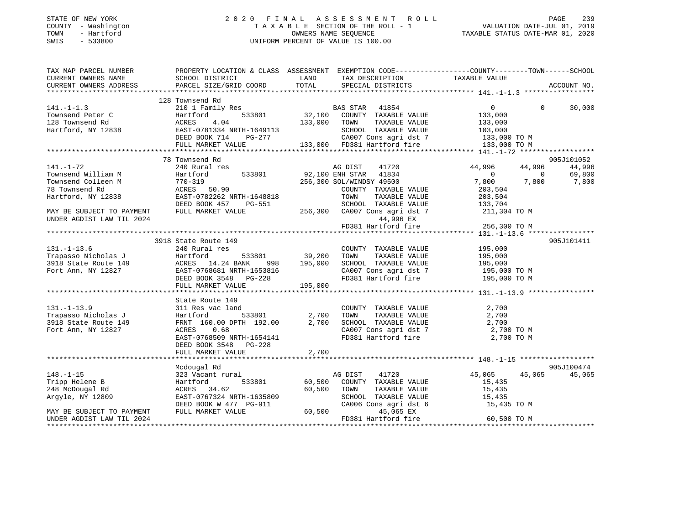### STATE OF NEW YORK 2 0 2 0 F I N A L A S S E S S M E N T R O L L PAGE 239 COUNTY - Washington T A X A B L E SECTION OF THE ROLL - 1 VALUATION DATE-JUL 01, 2019 TOWN - Hartford OWNERS NAME SEQUENCE TAXABLE STATUS DATE-MAR 01, 2020 SWIS - 533800 UNIFORM PERCENT OF VALUE IS 100.00

| TAX MAP PARCEL NUMBER<br>CURRENT OWNERS NAME | SCHOOL DISTRICT               | LAND<br>TAX DESCRIPTION                                                                                                                                                                                                                                                                                                         | PROPERTY LOCATION & CLASS ASSESSMENT EXEMPTION CODE---------------COUNTY-------TOWN-----SCHOOL<br>TAXABLE VALUE |
|----------------------------------------------|-------------------------------|---------------------------------------------------------------------------------------------------------------------------------------------------------------------------------------------------------------------------------------------------------------------------------------------------------------------------------|-----------------------------------------------------------------------------------------------------------------|
| CURRENT OWNERS ADDRESS                       | PARCEL SIZE/GRID COORD        | TOTAL<br>SPECIAL DISTRICTS                                                                                                                                                                                                                                                                                                      | ACCOUNT NO.                                                                                                     |
|                                              |                               |                                                                                                                                                                                                                                                                                                                                 |                                                                                                                 |
|                                              | 128 Townsend Rd               |                                                                                                                                                                                                                                                                                                                                 |                                                                                                                 |
| $141. -1 - 1.3$                              |                               | 210 1 Family Res BAS STAR 41854                                                                                                                                                                                                                                                                                                 | $\overline{0}$<br>$\Omega$<br>30,000                                                                            |
| Townsend Peter C                             | Hartford                      | 5<br>533801 32,100 COUNTY TAXABLE VALUE 133,000<br>133,000 TOWN TAXABLE VALUE 133,000                                                                                                                                                                                                                                           |                                                                                                                 |
| 128 Townsend Rd                              | 4.04<br>ACRES                 |                                                                                                                                                                                                                                                                                                                                 |                                                                                                                 |
| Hartford, NY 12838                           |                               |                                                                                                                                                                                                                                                                                                                                 |                                                                                                                 |
|                                              |                               | SCHOOL TAXABLE VALUE<br>SCHOOL TAXABLE VALUE 103,000<br>CAOOT Consaaridst 7 133,000 TO M                                                                                                                                                                                                                                        |                                                                                                                 |
|                                              |                               | EAST-0781334 NRTH-1649113<br>DEED BOOK 714 PG-277 CA007 Cons agri dst 7 133,000 TO M<br>FULL MARKET VALUE 133,000 FD381 Hartford fire 133,000 TO M                                                                                                                                                                              |                                                                                                                 |
|                                              |                               |                                                                                                                                                                                                                                                                                                                                 |                                                                                                                 |
|                                              | 78 Townsend Rd                |                                                                                                                                                                                                                                                                                                                                 | 905J101052                                                                                                      |
| 141.-1-72                                    | 240 Rural res                 | 41720<br>AG DIST                                                                                                                                                                                                                                                                                                                | 44,996<br>44,996<br>44,996                                                                                      |
| Townsend William M                           | Hartford                      | 533801 92,100 ENH STAR 41834                                                                                                                                                                                                                                                                                                    | $\overline{0}$<br>69,800<br>$\overline{0}$                                                                      |
| Townsend Colleen M                           | $ACRES$ 50.90                 | 256,300 SOL/WINDSY 49500                                                                                                                                                                                                                                                                                                        | 7,800<br>7,800<br>7,800                                                                                         |
| 78 Townsend Rd                               |                               | COUNTY TAXABLE VALUE                                                                                                                                                                                                                                                                                                            | 203,504                                                                                                         |
| Hartford, NY 12838                           | EAST-0782262 NRTH-1648818     | TOWN<br>TAXABLE VALUE                                                                                                                                                                                                                                                                                                           | 203,504                                                                                                         |
|                                              | DEED BOOK 457<br>PG-551       | FOWN TAXABLE VALUE 700 205,504<br>SCHOOL TAXABLE VALUE 700 133,704                                                                                                                                                                                                                                                              |                                                                                                                 |
| MAY BE SUBJECT TO PAYMENT                    | FULL MARKET VALUE             | 256,300 CA007 Cons agri dst 7 211,304 TO M                                                                                                                                                                                                                                                                                      |                                                                                                                 |
| UNDER AGDIST LAW TIL 2024                    |                               | 44,996 EX                                                                                                                                                                                                                                                                                                                       |                                                                                                                 |
|                                              |                               | FD381 Hartford fire                                                                                                                                                                                                                                                                                                             | 256,300 TO M                                                                                                    |
|                                              |                               |                                                                                                                                                                                                                                                                                                                                 |                                                                                                                 |
|                                              | 3918 State Route 149          |                                                                                                                                                                                                                                                                                                                                 | 905J101411                                                                                                      |
| $131. - 1 - 13.6$                            | 240 Rural res                 | COUNTY TAXABLE VALUE                                                                                                                                                                                                                                                                                                            | 195,000                                                                                                         |
|                                              |                               | TOWN<br>TAXABLE VALUE                                                                                                                                                                                                                                                                                                           | 195,000                                                                                                         |
|                                              |                               | SCHOOL TAXABLE VALUE                                                                                                                                                                                                                                                                                                            | 195,000                                                                                                         |
|                                              |                               |                                                                                                                                                                                                                                                                                                                                 | CA007 Cons agri dst 7 195,000 TO M                                                                              |
|                                              |                               | FD381 Hartford fire                                                                                                                                                                                                                                                                                                             | 195,000 TO M                                                                                                    |
|                                              | FULL MARKET VALUE             | 195,000                                                                                                                                                                                                                                                                                                                         |                                                                                                                 |
|                                              |                               |                                                                                                                                                                                                                                                                                                                                 |                                                                                                                 |
|                                              |                               |                                                                                                                                                                                                                                                                                                                                 |                                                                                                                 |
|                                              | State Route 149               |                                                                                                                                                                                                                                                                                                                                 |                                                                                                                 |
| $131. - 1 - 13.9$                            | 311 Res vac land              | COUNTY TAXABLE VALUE<br>TOWN TAXABLE VALUE                                                                                                                                                                                                                                                                                      | 2,700                                                                                                           |
| Trapasso Nicholas J                          | Hartford                      |                                                                                                                                                                                                                                                                                                                                 | 2,700                                                                                                           |
| 3918 State Route 149                         | FRNT 160.00 DPTH 192.00 2,700 | SCHOOL TAXABLE VALUE 2,700<br>CA007 Cons agri dst 7 2,700 TO M                                                                                                                                                                                                                                                                  |                                                                                                                 |
| Fort Ann, NY 12827                           | ACRES<br>0.68                 |                                                                                                                                                                                                                                                                                                                                 |                                                                                                                 |
|                                              | EAST-0768509 NRTH-1654141     |                                                                                                                                                                                                                                                                                                                                 | FD381 Hartford fire 2,700 TO M                                                                                  |
|                                              | DEED BOOK 3548 PG-228         |                                                                                                                                                                                                                                                                                                                                 |                                                                                                                 |
|                                              | FULL MARKET VALUE             | 2,700                                                                                                                                                                                                                                                                                                                           |                                                                                                                 |
|                                              |                               |                                                                                                                                                                                                                                                                                                                                 |                                                                                                                 |
|                                              | Mcdougal Rd                   |                                                                                                                                                                                                                                                                                                                                 | 905J100474                                                                                                      |
| $148. - 1 - 15$                              | 323 Vacant rural              | AG DIST 41720                                                                                                                                                                                                                                                                                                                   | 45,065<br>45,065<br>45,065                                                                                      |
| Tripp Helene B                               | Hartford                      | 533801 60,500 COUNTY TAXABLE VALUE                                                                                                                                                                                                                                                                                              | 15,435                                                                                                          |
| 248 McDougal Rd                              | ACRES 34.62                   | 60,500<br>TOWN<br>TAXABLE VALUE<br>$-911$<br>$-911$<br>$+31$<br>$+84$<br>$+84$<br>$+84$<br>$+84$<br>$+84$<br>$+84$<br>$+84$<br>$+84$<br>$+84$<br>$+84$<br>$+84$<br>$+84$<br>$+84$<br>$+84$<br>$+84$<br>$+84$<br>$+84$<br>$+84$<br>$+84$<br>$+84$<br>$+84$<br>$+84$<br>$+84$<br>$+84$<br>$+84$<br>$+84$<br>$+84$<br>$+84$<br>$+$ | 15,435                                                                                                          |
| Argyle, NY 12809                             | EAST-0767324 NRTH-1635809     | SCHOOL TAXABLE VALUE 15,435                                                                                                                                                                                                                                                                                                     |                                                                                                                 |
|                                              | DEED BOOK W 477 PG-911        | CA006 Cons agri dst 6                                                                                                                                                                                                                                                                                                           | 15,435 TO M                                                                                                     |
| MAY BE SUBJECT TO PAYMENT                    | FULL MARKET VALUE             | 60,500<br>45,065 EX                                                                                                                                                                                                                                                                                                             |                                                                                                                 |
| UNDER AGDIST LAW TIL 2024                    |                               | FD381 Hartford fire                                                                                                                                                                                                                                                                                                             | 60,500 TO M                                                                                                     |
|                                              |                               |                                                                                                                                                                                                                                                                                                                                 |                                                                                                                 |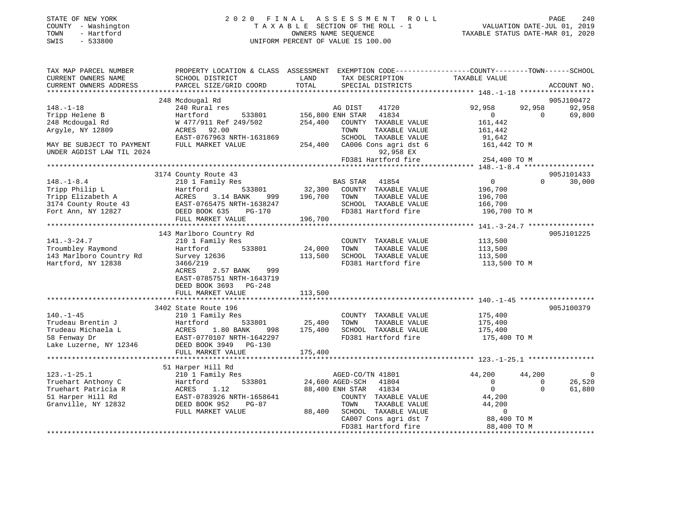| STATE OF NEW YORK<br>COUNTY - Washington<br>- Hartford<br>TOWN<br>$-533800$<br>SWIS |                                                                        |                             | 2020 FINAL ASSESSMENT ROLL<br>TAXABLE SECTION OF THE ROLL - 1<br>OWNERS NAME SEOUENCE<br>UNIFORM PERCENT OF VALUE IS 100.00 |                                                                               | 240<br>PAGE<br>VALUATION DATE-JUL 01, 2019<br>TAXABLE STATUS DATE-MAR 01, 2020 |
|-------------------------------------------------------------------------------------|------------------------------------------------------------------------|-----------------------------|-----------------------------------------------------------------------------------------------------------------------------|-------------------------------------------------------------------------------|--------------------------------------------------------------------------------|
| TAX MAP PARCEL NUMBER<br>CURRENT OWNERS NAME<br>CURRENT OWNERS ADDRESS              | PROPERTY LOCATION & CLASS<br>SCHOOL DISTRICT<br>PARCEL SIZE/GRID COORD | ASSESSMENT<br>LAND<br>TOTAL | TAX DESCRIPTION<br>SPECIAL DISTRICTS                                                                                        | EXEMPTION CODE-----------------COUNTY-------TOWN------SCHOOL<br>TAXABLE VALUE | ACCOUNT NO.                                                                    |
|                                                                                     | 248 Mcdougal Rd                                                        |                             |                                                                                                                             |                                                                               | 905J100472                                                                     |

148.-1-18 240 Rural res AG DIST 41720 92,958 92,958 92,958 Tripp Helene B Hartford 533801 156,800 ENH STAR 41834 0 0 69,800

EAST-0767963 NRTH-1631869 SCHOOL TAXABLE VALUE 91,642

3174 County Route 43 905J101433

143 Marlboro Country Rd 905J101225

3402 State Route 196 905J100379 905J100379

\*\*\*\*\*\*\*\*\*\*\*\*\*\*\*\*\*\*\*\*\*\*\*\*\*\*\*\*\*\*\*\*\*\*\*\*\*\*\*\*\*\*\*\*\*\*\*\*\*\*\*\*\*\*\*\*\*\*\*\*\*\*\*\*\*\*\*\*\*\*\*\*\*\*\*\*\*\*\*\*\*\*\*\*\*\*\*\*\*\*\*\*\*\*\*\*\*\*\*\*\*\*\* 148.-1-8.4 \*\*\*\*\*\*\*\*\*\*\*\*\*\*\*\*\*

148.-1-8.4 210 1 Family Res BAS STAR 41854 0 0 30,000

\*\*\*\*\*\*\*\*\*\*\*\*\*\*\*\*\*\*\*\*\*\*\*\*\*\*\*\*\*\*\*\*\*\*\*\*\*\*\*\*\*\*\*\*\*\*\*\*\*\*\*\*\*\*\*\*\*\*\*\*\*\*\*\*\*\*\*\*\*\*\*\*\*\*\*\*\*\*\*\*\*\*\*\*\*\*\*\*\*\*\*\*\*\*\*\*\*\*\*\*\*\*\* 141.-3-24.7 \*\*\*\*\*\*\*\*\*\*\*\*\*\*\*\*

\*\*\*\*\*\*\*\*\*\*\*\*\*\*\*\*\*\*\*\*\*\*\*\*\*\*\*\*\*\*\*\*\*\*\*\*\*\*\*\*\*\*\*\*\*\*\*\*\*\*\*\*\*\*\*\*\*\*\*\*\*\*\*\*\*\*\*\*\*\*\*\*\*\*\*\*\*\*\*\*\*\*\*\*\*\*\*\*\*\*\*\*\*\*\*\*\*\*\*\*\*\*\* 140.-1-45 \*\*\*\*\*\*\*\*\*\*\*\*\*\*\*\*\*\*

\*\*\*\*\*\*\*\*\*\*\*\*\*\*\*\*\*\*\*\*\*\*\*\*\*\*\*\*\*\*\*\*\*\*\*\*\*\*\*\*\*\*\*\*\*\*\*\*\*\*\*\*\*\*\*\*\*\*\*\*\*\*\*\*\*\*\*\*\*\*\*\*\*\*\*\*\*\*\*\*\*\*\*\*\*\*\*\*\*\*\*\*\*\*\*\*\*\*\*\*\*\*\* 123.-1-25.1 \*\*\*\*\*\*\*\*\*\*\*\*\*\*\*\*

123.-1-25.1 210 1 Family Res AGED-CO/TN 41801 44,200 44,200 0 Truehart Anthony C Hartford 533801 24,600 AGED-SCH 41804 0 0 26,520 Truehart Patricia R ACRES 1.12 88,400 ENH STAR 41834 0 0 61,880

FULL MARKET VALUE 88,400 SCHOOL TAXABLE VALUE 0

\*\*\*\*\*\*\*\*\*\*\*\*\*\*\*\*\*\*\*\*\*\*\*\*\*\*\*\*\*\*\*\*\*\*\*\*\*\*\*\*\*\*\*\*\*\*\*\*\*\*\*\*\*\*\*\*\*\*\*\*\*\*\*\*\*\*\*\*\*\*\*\*\*\*\*\*\*\*\*\*\*\*\*\*\*\*\*\*\*\*\*\*\*\*\*\*\*\*\*\*\*\*\*\*\*\*\*\*\*\*\*\*\*\*\*\*\*\*\*\*\*\*\*\*\*\*\*\*\*\*\*\*

92,958 EX<br>FD381 Hartford fire 254,400 TO M

 CA007 Cons agri dst 7 88,400 TO M FD381 Hartford fire 88,400 TO M

905.7101433

248 Mcdougal Rd W 477/911 Ref 249/502 254,400 COUNTY TAXABLE VALUE 161,442 Argyle, NY 12809 ACRES 92.00 TOWN TAXABLE VALUE 161,442

UNDER AGDIST LAW TIL 2024

MAY BE SUBJECT TO PAYMENT FULL MARKET VALUE 254,400 CA006 Cons agri dst 6 161,442 TO M

92,958 EX

Tripp Philip L Hartford 533801 32,300 COUNTY TAXABLE VALUE 196,700 Tripp Elizabeth A ACRES 3.14 BANK 999 196,700 TOWN TAXABLE VALUE 196,700 3174 County Route 43 EAST-0765475 NRTH-1638247 SCHOOL TAXABLE VALUE 166,700 Fort Ann, NY 12827 DEED BOOK 635 PG-170 FD381 Hartford fire 196,700 TO M

141.-3-24.7 210 1 Family Res COUNTY TAXABLE VALUE 113,500 Troumbley Raymond Hartford 533801 24,000 TOWN TAXABLE VALUE 113,500 143 Marlboro Country Rd Survey 12636 113,500 SCHOOL TAXABLE VALUE 113,500 Hartford, NY 12838 3466/219 FD381 Hartford fire 113,500 TO M ACRES 2.57 BANK 999

140.-1-45 210 1 Family Res COUNTY TAXABLE VALUE 175,400 Trudeau Brentin J Hartford 533801 25,400 TOWN TAXABLE VALUE 175,400 Trudeau Michaela L ACRES 1.80 BANK 998 175,400 SCHOOL TAXABLE VALUE 175,400 58 Fenway Dr EAST-0770107 NRTH-1642297 FD381 Hartford fire 175,400 TO M

51 Harper Hill Rd EAST-0783926 NRTH-1658641 COUNTY TAXABLE VALUE 44,200 Granville, NY 12832 DEED BOOK 952 PG-87 TOWN TAXABLE VALUE 44,200

FULL MARKET VALUE 196,700

EAST-0785751 NRTH-1643719

FULL MARKET VALUE 175,400

FULL MARKET VALUE 113,500

DEED BOOK 3693 PG-248

51 Harper Hill Rd

Lake Luzerne, NY 12346 DEED BOOK 3949 PG-130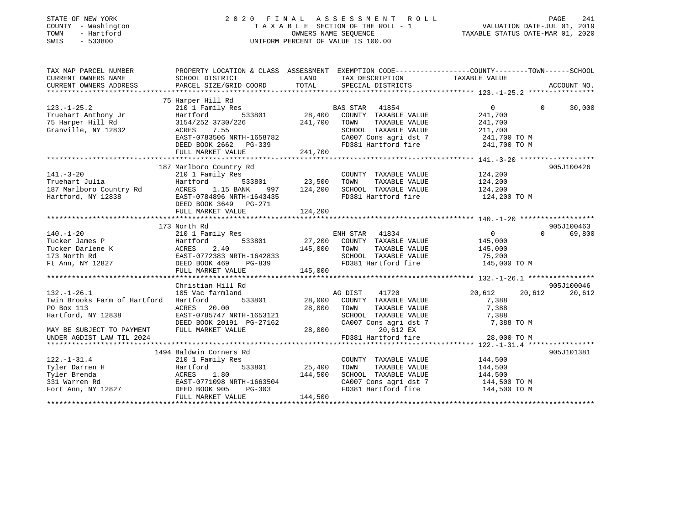| STATE OF NEW YORK<br>COUNTY - Washington<br>- Hartford<br>TOWN<br>$-533800$<br>SWIS |                                                                                                  |               | 2020 FINAL ASSESSMENT<br>R O L L<br>TAXABLE SECTION OF THE ROLL - 1<br>OWNERS NAME SEQUENCE<br>UNIFORM PERCENT OF VALUE IS 100.00 | VALUATION DATE-JUL 01, 2019<br>TAXABLE STATUS DATE-MAR 01, 2020 | PAGE<br>241 |
|-------------------------------------------------------------------------------------|--------------------------------------------------------------------------------------------------|---------------|-----------------------------------------------------------------------------------------------------------------------------------|-----------------------------------------------------------------|-------------|
| TAX MAP PARCEL NUMBER                                                               | PROPERTY LOCATION & CLASS ASSESSMENT EXEMPTION CODE----------------COUNTY-------TOWN------SCHOOL |               |                                                                                                                                   |                                                                 |             |
| CURRENT OWNERS NAME                                                                 | SCHOOL DISTRICT<br>PARCEL SIZE/GRID COORD                                                        | LAND<br>TOTAL | TAX DESCRIPTION<br>SPECIAL DISTRICTS                                                                                              | TAXABLE VALUE                                                   | ACCOUNT NO. |
| CURRENT OWNERS ADDRESS                                                              |                                                                                                  |               |                                                                                                                                   |                                                                 |             |
|                                                                                     | 75 Harper Hill Rd                                                                                |               |                                                                                                                                   |                                                                 |             |
| $123. - 1 - 25.2$                                                                   | 210 1 Family Res                                                                                 |               | BAS STAR 41854                                                                                                                    | $\mathbf{0}$<br>$\Omega$                                        | 30,000      |
| Truehart Anthony Jr                                                                 | Hartford<br>533801                                                                               | 28,400        | COUNTY TAXABLE VALUE                                                                                                              | 241,700                                                         |             |
| 75 Harper Hill Rd                                                                   | 3154/252 3730/226                                                                                | 241,700       | TOWN<br>TAXABLE VALUE                                                                                                             | 241,700                                                         |             |
| Granville, NY 12832                                                                 | 7.55<br>ACRES                                                                                    |               | SCHOOL TAXABLE VALUE                                                                                                              | 211,700                                                         |             |
|                                                                                     | EAST-0783506 NRTH-1658782                                                                        |               | CA007 Cons agri dst 7                                                                                                             | 241,700 TO M                                                    |             |
|                                                                                     | DEED BOOK 2662 PG-339                                                                            |               | FD381 Hartford fire                                                                                                               | 241,700 TO M                                                    |             |
|                                                                                     | FULL MARKET VALUE                                                                                | 241,700       |                                                                                                                                   |                                                                 |             |
|                                                                                     |                                                                                                  |               |                                                                                                                                   |                                                                 |             |
|                                                                                     | 187 Marlboro Country Rd                                                                          |               |                                                                                                                                   |                                                                 | 905J100426  |
| $141. - 3 - 20$                                                                     | 210 1 Family Res                                                                                 |               | COUNTY TAXABLE VALUE                                                                                                              | 124,200                                                         |             |
| Truehart Julia                                                                      | 533801<br>Hartford                                                                               | 23,500        | TOWN<br>TAXABLE VALUE                                                                                                             | 124,200                                                         |             |
| 187 Marlboro Country Rd                                                             | ACRES<br>1.15 BANK<br>997                                                                        | 124,200       | SCHOOL TAXABLE VALUE                                                                                                              | 124,200                                                         |             |
| Hartford, NY 12838                                                                  | EAST-0784896 NRTH-1643435<br>DEED BOOK 3649 PG-271<br>FULL MARKET VALUE                          | 124,200       | FD381 Hartford fire                                                                                                               | 124,200 TO M                                                    |             |
|                                                                                     | **************************                                                                       | ***********   |                                                                                                                                   |                                                                 |             |
|                                                                                     | 173 North Rd                                                                                     |               |                                                                                                                                   |                                                                 | 905J100463  |
| $140. - 1 - 20$                                                                     | 210 1 Family Res                                                                                 |               | ENH STAR<br>41834                                                                                                                 | $\overline{0}$<br>$\Omega$                                      | 69,800      |
| Tucker James P                                                                      | 533801<br>Hartford                                                                               | 27,200        | COUNTY TAXABLE VALUE                                                                                                              | 145,000                                                         |             |
| Tucker Darlene K                                                                    | ACRES<br>2.40                                                                                    | 145,000       | TAXABLE VALUE<br>TOWN                                                                                                             | 145,000                                                         |             |
| 173 North Rd                                                                        | EAST-0772383 NRTH-1642833                                                                        |               | SCHOOL TAXABLE VALUE                                                                                                              | 75,200                                                          |             |
| Ft Ann, NY 12827                                                                    | DEED BOOK 469<br>PG-839                                                                          |               | FD381 Hartford fire                                                                                                               | 145,000 TO M                                                    |             |
|                                                                                     | FULL MARKET VALUE                                                                                | 145,000       |                                                                                                                                   |                                                                 |             |
|                                                                                     |                                                                                                  |               |                                                                                                                                   |                                                                 |             |
|                                                                                     | Christian Hill Rd                                                                                |               |                                                                                                                                   |                                                                 | 905J100046  |
| $132. - 1 - 26.1$                                                                   | 105 Vac farmland                                                                                 |               | AG DIST<br>41720                                                                                                                  | 20,612<br>20,612                                                | 20,612      |
| Twin Brooks Farm of Hartford                                                        | Hartford<br>533801                                                                               | 28,000        | COUNTY TAXABLE VALUE                                                                                                              | 7,388                                                           |             |
| PO Box 113                                                                          | ACRES<br>20.00                                                                                   | 28,000        | TOWN<br>TAXABLE VALUE                                                                                                             | 7,388                                                           |             |
| Hartford, NY 12838                                                                  | EAST-0785747 NRTH-1653121                                                                        |               | SCHOOL TAXABLE VALUE                                                                                                              | 7,388                                                           |             |
|                                                                                     | DEED BOOK 20191 PG-27162                                                                         |               | CA007 Cons agri dst 7                                                                                                             | 7,388 TO M                                                      |             |
| MAY BE SUBJECT TO PAYMENT                                                           | FULL MARKET VALUE                                                                                | 28,000        | 20,612 EX                                                                                                                         |                                                                 |             |
| UNDER AGDIST LAW TIL 2024                                                           |                                                                                                  |               | FD381 Hartford fire                                                                                                               | 28,000 TO M                                                     |             |
|                                                                                     |                                                                                                  |               |                                                                                                                                   |                                                                 |             |
|                                                                                     | 1494 Baldwin Corners Rd                                                                          |               |                                                                                                                                   |                                                                 | 905J101381  |
| $122. - 1 - 31.4$                                                                   | 210 1 Family Res                                                                                 |               | COUNTY TAXABLE VALUE                                                                                                              | 144,500                                                         |             |
| Tyler Darren H                                                                      | Hartford<br>533801                                                                               | 25,400        | TOWN<br>TAXABLE VALUE                                                                                                             | 144,500                                                         |             |
| Tyler Brenda                                                                        | ACRES<br>1.80                                                                                    | 144,500       | SCHOOL TAXABLE VALUE                                                                                                              | 144,500                                                         |             |
| 331 Warren Rd                                                                       | EAST-0771098 NRTH-1663504                                                                        |               | CA007 Cons agri dst 7                                                                                                             | 144,500 TO M                                                    |             |
| Fort Ann, NY 12827                                                                  | DEED BOOK 905<br>$PG-303$<br>FULL MARKET VALUE                                                   | 144,500       | FD381 Hartford fire                                                                                                               | 144,500 TO M                                                    |             |
|                                                                                     |                                                                                                  |               |                                                                                                                                   |                                                                 |             |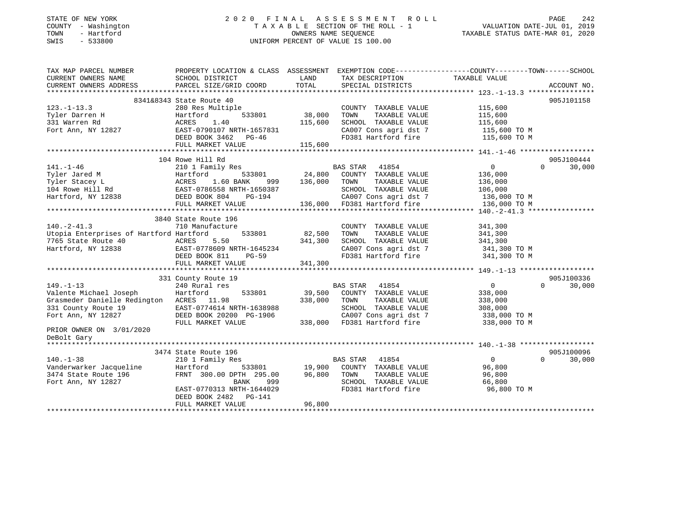### STATE OF NEW YORK 2 0 2 0 F I N A L A S S E S S M E N T R O L L PAGE 242 COUNTY - Washington T A X A B L E SECTION OF THE ROLL - 1 VALUATION DATE-JUL 01, 2019 TOWN - Hartford OWNERS NAME SEQUENCE TAXABLE STATUS DATE-MAR 01, 2020 SWIS - 533800 UNIFORM PERCENT OF VALUE IS 100.00UNIFORM PERCENT OF VALUE IS 100.00

| TAX MAP PARCEL NUMBER                                                                                                                                                                 | PROPERTY LOCATION & CLASS ASSESSMENT EXEMPTION CODE----------------COUNTY-------TOWN------SCHOOL                                                       |               |                                    |                                                                        |                    |
|---------------------------------------------------------------------------------------------------------------------------------------------------------------------------------------|--------------------------------------------------------------------------------------------------------------------------------------------------------|---------------|------------------------------------|------------------------------------------------------------------------|--------------------|
| CURRENT OWNERS NAME                                                                                                                                                                   | SCHOOL DISTRICT                                                                                                                                        | LAND          | TAX DESCRIPTION                    | TAXABLE VALUE                                                          |                    |
| CURRENT OWNERS ADDRESS                                                                                                                                                                | PARCEL SIZE/GRID COORD                                                                                                                                 | TOTAL         | SPECIAL DISTRICTS                  |                                                                        | ACCOUNT NO.        |
|                                                                                                                                                                                       |                                                                                                                                                        |               |                                    |                                                                        |                    |
|                                                                                                                                                                                       | 8341&8343 State Route 40                                                                                                                               |               |                                    |                                                                        | 905J101158         |
| $123. - 1 - 13.3$                                                                                                                                                                     | State Roule 40<br>280 Res Multiple 533801 38,000                                                                                                       |               | COUNTY TAXABLE VALUE               | 115,600<br>115,600                                                     |                    |
| Tyler Darren H                                                                                                                                                                        |                                                                                                                                                        |               | TOWN<br>TAXABLE VALUE              |                                                                        |                    |
| 331 Warren Rd                                                                                                                                                                         |                                                                                                                                                        |               | SCHOOL TAXABLE VALUE               |                                                                        |                    |
| Fort Ann, NY 12827                                                                                                                                                                    |                                                                                                                                                        |               |                                    | 115,600<br>115,600 TO M                                                |                    |
|                                                                                                                                                                                       |                                                                                                                                                        |               |                                    | CA007 Cons agri dst 7 115,600 TO M<br>FD381 Hartford fire 115,600 TO M |                    |
|                                                                                                                                                                                       |                                                                                                                                                        |               |                                    |                                                                        |                    |
|                                                                                                                                                                                       | 380 Res Multipic<br>Hartford 533801 38,000<br>ACRES 1.40 115,600<br>2827 EAST-0790107 NRTH-1657831<br>DEED BOOK 3462 PG-46<br>TIT MARKET VALUE 115,600 |               |                                    |                                                                        |                    |
|                                                                                                                                                                                       | 104 Rowe Hill Rd                                                                                                                                       |               |                                    |                                                                        | 905J100444         |
| $141. - 1 - 46$                                                                                                                                                                       | 210 1 Family Res                                                                                                                                       |               | BAS STAR 41854                     | $\overline{0}$                                                         | $\Omega$<br>30,000 |
|                                                                                                                                                                                       |                                                                                                                                                        | 533801 24,800 | COUNTY TAXABLE VALUE               | 136,000                                                                |                    |
|                                                                                                                                                                                       |                                                                                                                                                        | 999 136,000   | TOWN<br>TAXABLE VALUE              | 136,000                                                                |                    |
|                                                                                                                                                                                       |                                                                                                                                                        |               | SCHOOL TAXABLE VALUE               | 106,000                                                                |                    |
| Tri-T-T-0<br>Tyler Jared M (External Hartford 533801<br>Tyler Stacey L (EXES 1.60 BANK 999<br>104 Rowe Hill Rd (EAST-0786558 NRTH-1650387<br>Hartford, NY 12838 (DEED BOOK 804 PG-194 |                                                                                                                                                        |               |                                    | CA007 Cons agri dst 7 136,000 TO M                                     |                    |
|                                                                                                                                                                                       | FULL MARKET VALUE                                                                                                                                      |               | 136,000 FD381 Hartford fire        | 136,000 TO M                                                           |                    |
|                                                                                                                                                                                       |                                                                                                                                                        |               |                                    |                                                                        |                    |
|                                                                                                                                                                                       | 3840 State Route 196                                                                                                                                   |               |                                    |                                                                        |                    |
| $140. -2 - 41.3$                                                                                                                                                                      | 710 Manufacture                                                                                                                                        |               | COUNTY TAXABLE VALUE               | 341,300                                                                |                    |
|                                                                                                                                                                                       |                                                                                                                                                        |               | TOWN<br>TAXABLE VALUE              | 341,300                                                                |                    |
|                                                                                                                                                                                       |                                                                                                                                                        |               | SCHOOL TAXABLE VALUE               | 341,300                                                                |                    |
|                                                                                                                                                                                       |                                                                                                                                                        |               |                                    | CA007 Cons agri dst 7 341,300 TO M                                     |                    |
|                                                                                                                                                                                       |                                                                                                                                                        |               |                                    | FD381 Hartford fire 341,300 TO M                                       |                    |
| The complete of Hartloton (1997)<br>The State Route 40 (1997) ACRES 5.50<br>Hartford, NY 12838 (1998) EAST-0778609 NRTH-1645234<br>DEED BOOK 811 PG-59<br>1341,300                    |                                                                                                                                                        |               |                                    |                                                                        |                    |
|                                                                                                                                                                                       |                                                                                                                                                        |               |                                    |                                                                        |                    |
|                                                                                                                                                                                       | 331 County Route 19                                                                                                                                    |               |                                    |                                                                        | 905J100336         |
| $149. - 1 - 13$                                                                                                                                                                       | 240 Rural res                                                                                                                                          |               | BAS STAR 41854                     | $\overline{0}$                                                         | $\Omega$<br>30,000 |
| Valente Michael Joseph                                                                                                                                                                | 533801<br>Hartford                                                                                                                                     | 39,500        | COUNTY TAXABLE VALUE               | 338,000                                                                |                    |
| Grasmeder Danielle Redington ACRES 11.98                                                                                                                                              |                                                                                                                                                        | 338,000       | TOWN<br>TAXABLE VALUE              | 338,000                                                                |                    |
|                                                                                                                                                                                       |                                                                                                                                                        |               |                                    | 308,000                                                                |                    |
|                                                                                                                                                                                       |                                                                                                                                                        |               |                                    |                                                                        |                    |
| Grasmeder Danielle Redington<br>331 County Route 19<br>Fort Ann, NY 12827 DEED BOOK 20200 PG-1906 CA007 Cons agri dst 7<br>FILL MARKET VALUE 338,000 FD381 Hartford fire              |                                                                                                                                                        |               |                                    | 338,000 ТО М<br>338,000 ТО М                                           |                    |
| PRIOR OWNER ON 3/01/2020                                                                                                                                                              |                                                                                                                                                        |               |                                    |                                                                        |                    |
| DeBolt Gary                                                                                                                                                                           |                                                                                                                                                        |               |                                    |                                                                        |                    |
|                                                                                                                                                                                       |                                                                                                                                                        |               |                                    |                                                                        |                    |
|                                                                                                                                                                                       | 3474 State Route 196                                                                                                                                   |               |                                    |                                                                        | 905J100096         |
| $140. - 1 - 38$                                                                                                                                                                       | 210 1 Family Res                                                                                                                                       |               | BAS STAR 41854                     | $\overline{0}$                                                         | $\Omega$<br>30,000 |
| Vanderwarker Jacqueline                                                                                                                                                               | Hartford                                                                                                                                               |               | 533801 19,900 COUNTY TAXABLE VALUE | 96,800                                                                 |                    |
|                                                                                                                                                                                       |                                                                                                                                                        |               | TOWN<br>TAXABLE VALUE              | 96,800                                                                 |                    |
| 3474 State Route 196<br>Fort Ann, NY 12827<br>Fort Ann, NY 12827                                                                                                                      | FRNT 300.00 DPTH 295.00 96,800<br>BANK 999                                                                                                             |               | SCHOOL TAXABLE VALUE 66,800        |                                                                        |                    |
|                                                                                                                                                                                       | EAST-0770313 NRTH-1644029                                                                                                                              |               | FD381 Hartford fire                | 96,800 TO M                                                            |                    |
|                                                                                                                                                                                       | DEED BOOK 2482 PG-141                                                                                                                                  |               |                                    |                                                                        |                    |
|                                                                                                                                                                                       | FULL MARKET VALUE                                                                                                                                      | 96,800        |                                    |                                                                        |                    |
|                                                                                                                                                                                       |                                                                                                                                                        |               |                                    |                                                                        |                    |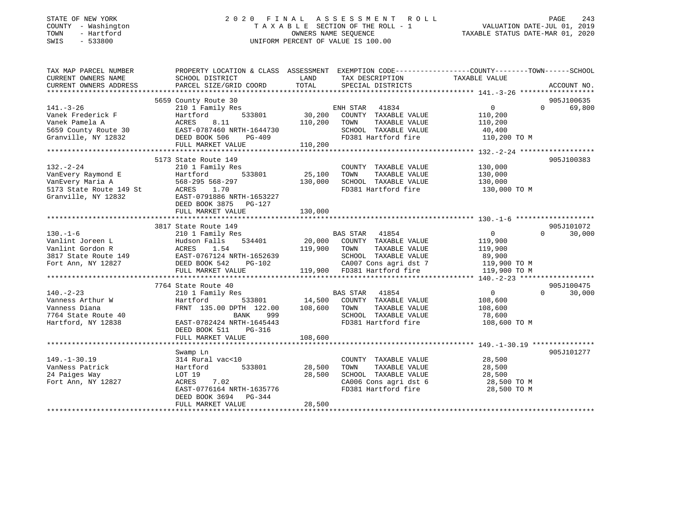| STATE OF NEW YORK |        |              |
|-------------------|--------|--------------|
| COUNTY            |        | - Washington |
| TOWN              |        | - Hartford   |
| <b>CMTC</b>       | $\sim$ | 533800       |

### STATE OF NEW YORK 2 0 2 0 F I N A L A S S E S S M E N T R O L L PAGE 243 COUNTY - Washington T A X A B L E SECTION OF THE ROLL - 1 VALUATION DATE-JUL 01, 2019 TOWN - Hartford OWNERS NAME SEQUENCE TAXABLE STATUS DATE-MAR 01, 2020 SWIS - 533800 UNIFORM PERCENT OF VALUE IS 100.00

| TAX MAP PARCEL NUMBER<br>CURRENT OWNERS NAME | PROPERTY LOCATION & CLASS ASSESSMENT EXEMPTION CODE----------------COUNTY-------TOWN------SCHOOL<br>SCHOOL DISTRICT | LAND     | TAX DESCRIPTION                          | TAXABLE VALUE          |                    |
|----------------------------------------------|---------------------------------------------------------------------------------------------------------------------|----------|------------------------------------------|------------------------|--------------------|
| CURRENT OWNERS ADDRESS                       | PARCEL SIZE/GRID COORD                                                                                              | TOTAL    | SPECIAL DISTRICTS                        |                        | ACCOUNT NO.        |
|                                              |                                                                                                                     |          |                                          |                        |                    |
|                                              | 5659 County Route 30                                                                                                |          |                                          |                        | 905J100635         |
| $141. - 3 - 26$                              | 210 1 Family Res                                                                                                    |          | ENH STAR 41834                           | 0                      | 69,800<br>$\Omega$ |
| Vanek Frederick F                            | Hartford<br>533801                                                                                                  | 30,200   | COUNTY TAXABLE VALUE                     | 110,200                |                    |
| Vanek Pamela A                               | ACRES<br>8.11                                                                                                       | 110,200  | TOWN<br>TAXABLE VALUE                    | 110,200                |                    |
| 5659 County Route 30                         | EAST-0787460 NRTH-1644730                                                                                           |          | SCHOOL TAXABLE VALUE                     | 40,400                 |                    |
| Granville, NY 12832                          | ACRES 8.11<br>EAST-0787460 N<br>DEED BOOK 506<br>PG-409                                                             |          | FD381 Hartford fire                      | 110,200 TO M           |                    |
|                                              | FULL MARKET VALUE                                                                                                   | 110, 200 |                                          |                        |                    |
|                                              |                                                                                                                     |          |                                          |                        |                    |
|                                              | 5173 State Route 149                                                                                                |          |                                          |                        | 905J100383         |
| $132. - 2 - 24$                              | 210 1 Family Res                                                                                                    |          | COUNTY TAXABLE VALUE                     | 130,000                |                    |
| VanEvery Raymond E                           | 533801<br>Hartford                                                                                                  | 25,100   | TAXABLE VALUE<br>TOWN                    | 130,000                |                    |
| VanEvery Maria A                             | 568-295 568-297                                                                                                     | 130,000  | SCHOOL TAXABLE VALUE                     | 130,000                |                    |
| 5173 State Route 149 St                      | ACRES 1.70                                                                                                          |          | FD381 Hartford fire                      | 130,000 TO M           |                    |
| Granville, NY 12832                          | EAST-0791886 NRTH-1653227                                                                                           |          |                                          |                        |                    |
|                                              | DEED BOOK 3875 PG-127                                                                                               |          |                                          |                        |                    |
|                                              | FULL MARKET VALUE                                                                                                   | 130,000  |                                          |                        |                    |
|                                              |                                                                                                                     |          |                                          |                        |                    |
|                                              | 3817 State Route 149                                                                                                |          |                                          |                        | 905J101072         |
| $130. - 1 - 6$                               | 210 1 Family Res                                                                                                    |          | BAS STAR 41854                           | $\overline{0}$         | $\Omega$<br>30,000 |
| Vanlint Joreen L                             | Hudson Falls<br>534401                                                                                              |          | 20,000 COUNTY TAXABLE VALUE              | 119,900                |                    |
| Vanlint Gordon R                             | ACRES<br>1.54                                                                                                       | 119,900  | TAXABLE VALUE<br>TOWN                    | 119,900                |                    |
| 3817 State Route 149                         | EAST-0767124 NRTH-1652639                                                                                           |          | SCHOOL TAXABLE VALUE                     |                        |                    |
| Fort Ann, NY 12827                           | DEED BOOK 542<br>PG-102                                                                                             |          | CA007 Cons agri dst 7                    | 89,900<br>119,900 TO M |                    |
|                                              | FULL MARKET VALUE                                                                                                   |          | 119,900 FD381 Hartford fire 319,900 TO M |                        |                    |
|                                              |                                                                                                                     |          |                                          |                        |                    |
|                                              | 7764 State Route 40                                                                                                 |          |                                          |                        | 905J100475         |
| $140. -2 - 23$                               | 210 1 Family Res                                                                                                    |          | BAS STAR 41854                           | 0                      | $\Omega$<br>30,000 |
| Vanness Arthur W                             | 533801<br>Hartford                                                                                                  | 14,500   | COUNTY TAXABLE VALUE                     | 108,600                |                    |
| Vanness Diana                                | FRNT 135.00 DPTH 122.00                                                                                             | 108,600  | TOWN<br>TAXABLE VALUE                    | 108,600                |                    |
| 7764 State Route 40                          | BANK<br>999                                                                                                         |          | SCHOOL TAXABLE VALUE                     | 78,600                 |                    |
| Hartford, NY 12838                           | EAST-0782424 NRTH-1645443                                                                                           |          | FD381 Hartford fire                      | 108,600 TO M           |                    |
|                                              | DEED BOOK 511<br>PG-316                                                                                             |          |                                          |                        |                    |
|                                              | FULL MARKET VALUE                                                                                                   | 108,600  |                                          |                        |                    |
|                                              |                                                                                                                     |          |                                          |                        |                    |
|                                              | Swamp Ln                                                                                                            |          |                                          |                        | 905J101277         |
| $149. - 1 - 30.19$                           | 314 Rural vac<10                                                                                                    |          | COUNTY TAXABLE VALUE                     | 28,500                 |                    |
| VanNess Patrick                              | 533801<br>Hartford                                                                                                  | 28,500   | TOWN<br>TAXABLE VALUE                    | 28,500                 |                    |
| 24 Paiges Way                                | LOT 19                                                                                                              | 28,500   | SCHOOL TAXABLE VALUE                     | 28,500                 |                    |
| Fort Ann, NY 12827                           | ACRES<br>7.02                                                                                                       |          | CA006 Cons agri dst 6                    | 28,500 TO M            |                    |
|                                              | EAST-0776164 NRTH-1635776                                                                                           |          | FD381 Hartford fire                      | 28,500 TO M            |                    |
|                                              | DEED BOOK 3694 PG-344                                                                                               |          |                                          |                        |                    |
|                                              | FULL MARKET VALUE                                                                                                   | 28,500   |                                          |                        |                    |
|                                              |                                                                                                                     |          |                                          |                        |                    |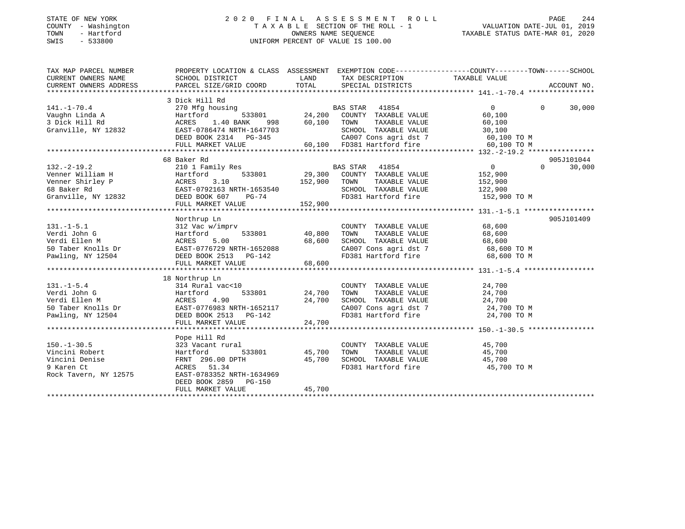### STATE OF NEW YORK 2 0 2 0 F I N A L A S S E S S M E N T R O L L PAGE 244 COUNTY - Washington T A X A B L E SECTION OF THE ROLL - 1 VALUATION DATE-JUL 01, 2019 TOWN - Hartford OWNERS NAME SEQUENCE TAXABLE STATUS DATE-MAR 01, 2020 SWIS - 533800 UNIFORM PERCENT OF VALUE IS 100.00

| PROPERTY LOCATION & CLASS ASSESSMENT EXEMPTION CODE---------------COUNTY-------TOWN-----SCHOOL<br>TAX MAP PARCEL NUMBER<br>CURRENT OWNERS NAME<br>CURRENT OWNERS ADDRESS                                                                                                                                                                                   |                             |
|------------------------------------------------------------------------------------------------------------------------------------------------------------------------------------------------------------------------------------------------------------------------------------------------------------------------------------------------------------|-----------------------------|
|                                                                                                                                                                                                                                                                                                                                                            |                             |
| 3 Dick Hill Rd                                                                                                                                                                                                                                                                                                                                             |                             |
| 141.-1-70.4<br>Vaughn Linda A<br>3 Dick Hill Rd<br>3 Dick Hill Rd<br>60,100<br>Granville, NY 12832<br>ERST-0786474 NRTH-1647703<br>EED BOOK 2314<br>PG-345<br>FULL MARKET VALUE<br>CA007 Cons agri dst 7<br>60,100 TOM CA007 Cons agri dst 7<br>60,10                                                                                                      | $\Omega$<br>30,000          |
|                                                                                                                                                                                                                                                                                                                                                            |                             |
|                                                                                                                                                                                                                                                                                                                                                            |                             |
|                                                                                                                                                                                                                                                                                                                                                            |                             |
|                                                                                                                                                                                                                                                                                                                                                            |                             |
|                                                                                                                                                                                                                                                                                                                                                            |                             |
|                                                                                                                                                                                                                                                                                                                                                            |                             |
| 68 Baker Rd                                                                                                                                                                                                                                                                                                                                                | 905J101044                  |
| 08 BAKER M<br>Venner William H 2010 I Family Res<br>Venner Shirley P (152,900 KCRES 3.10 152,900 TOWN TAXABLE VALUE 152,900<br>GB BAKer Rd EAST-0792163 NRTH-1653540 SCHOOL TAXABLE VALUE 152,900<br>Granville, NY 12832 DEED BOOK 607                                                                                                                     | $0 \qquad \qquad$<br>30,000 |
|                                                                                                                                                                                                                                                                                                                                                            |                             |
|                                                                                                                                                                                                                                                                                                                                                            |                             |
|                                                                                                                                                                                                                                                                                                                                                            |                             |
|                                                                                                                                                                                                                                                                                                                                                            |                             |
| FULL MARKET VALUE 152,900                                                                                                                                                                                                                                                                                                                                  |                             |
|                                                                                                                                                                                                                                                                                                                                                            |                             |
| Northrup Ln                                                                                                                                                                                                                                                                                                                                                | 905J101409                  |
|                                                                                                                                                                                                                                                                                                                                                            |                             |
|                                                                                                                                                                                                                                                                                                                                                            |                             |
| $[131.-1-5.1] \put(0,0) {\emph{131.1-1-5.1}} {\emph{131.1-1-5.1}} \put(0,0) {\emph{131.1-1-5.1}} {\emph{131.1-1-5.1}} \put(0,0) {\emph{131.1-1-5.1}} {\emph{131.1-1-5.1}} \put(0,0) {\emph{131.1-1-5.1}} {\emph{131.1-1-5.1}} \put(0,0) {\emph{131.1-1-5.1}} \put(0,0) {\emph{131.1-1-5.1}} {\emph{131$                                                    |                             |
|                                                                                                                                                                                                                                                                                                                                                            |                             |
|                                                                                                                                                                                                                                                                                                                                                            |                             |
|                                                                                                                                                                                                                                                                                                                                                            |                             |
|                                                                                                                                                                                                                                                                                                                                                            |                             |
| 18 Northrup Ln                                                                                                                                                                                                                                                                                                                                             |                             |
| 314 Rural vac<10                                                                                                                                                                                                                                                                                                                                           |                             |
|                                                                                                                                                                                                                                                                                                                                                            |                             |
|                                                                                                                                                                                                                                                                                                                                                            |                             |
| 131.-1-5.4<br>Verdi John G 314 Rural vac<10<br>Verdi Ellen M ACRES 4.90<br>50 Taber Knolls Dr EAST-0776983 NRTH-1652117<br>Pawling, NY 12504<br>Verdi Ellen M EAST-0776983 NRTH-1652117<br>Pawling, NY 12504<br>The CA007 Cons agri dst 7<br>2                                                                                                             |                             |
|                                                                                                                                                                                                                                                                                                                                                            |                             |
| 24,700<br>FULL MARKET VALUE                                                                                                                                                                                                                                                                                                                                |                             |
|                                                                                                                                                                                                                                                                                                                                                            |                             |
| Pope Hill Rd                                                                                                                                                                                                                                                                                                                                               |                             |
| $\begin{tabular}{lllllllll} \multicolumn{2}{c}{\textbf{COUNTY}} & \textbf{TXABLE} & \textbf{VALUE} & & \textbf{45,700} \\ \multicolumn{2}{c}{\textbf{TOWN}} & \textbf{TXABLE} & \textbf{VALUE} & & \textbf{45,700} \end{tabular}$                                                                                                                          |                             |
| 533801 45,700 TOWN                                                                                                                                                                                                                                                                                                                                         |                             |
| 150.-1-30.5<br>Vincini Robert<br>Vincini Denise<br>Vincini Denise<br>Sample South Part of Samples State State State State State State State State State State State State State State<br>Norms States State State State State State Stat<br>PTH 45,700 SCHOOL TAXABLE VALUE 45,700<br>PTH 45,700 SCHOOL TAXABLE VALUE 45,700<br>FD381 Hartford fire 45,700 |                             |
| 9 Karen Ct<br>Rock Tavern, NY 12575<br>ACRES 51.34<br>FD381 Hartford fire 45,700 TO M                                                                                                                                                                                                                                                                      |                             |
| EAST-0783352 NRTH-1634969                                                                                                                                                                                                                                                                                                                                  |                             |
| DEED BOOK 2859 PG-150                                                                                                                                                                                                                                                                                                                                      |                             |
| 45,700<br>FULL MARKET VALUE                                                                                                                                                                                                                                                                                                                                |                             |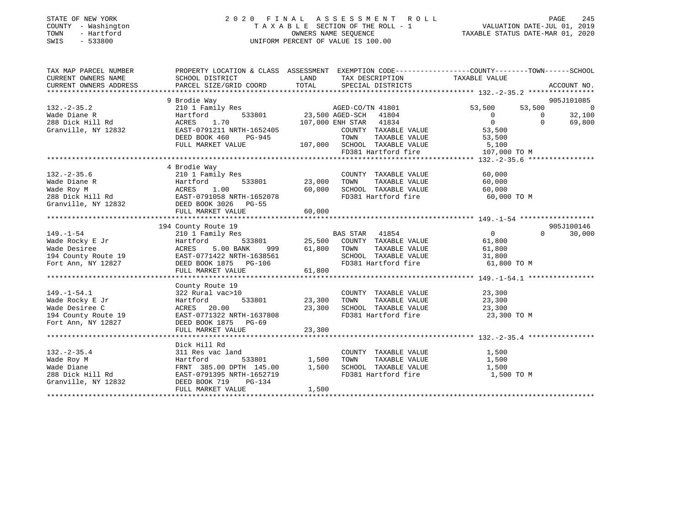| STATE OF NEW YORK<br>COUNTY<br>- Washington<br>- Hartford<br>TOWN<br>$-533800$<br>SWIS |                                                                                                                                                             |               | 2020 FINAL ASSESSMENT ROLL<br>U FINAL ASSESSMENT ROLL<br>TAXABLE SECTION OF THE ROLL - 1 VALUATION DATE-JUL 01, 2019<br>OWNERS NAME SEQUENCE TAXABLE STATUS DATE-MAR 01, 2020<br>UNIFORM PERCENT OF VALUE IS 100.00 |                  |                   | PAGE<br>245    |
|----------------------------------------------------------------------------------------|-------------------------------------------------------------------------------------------------------------------------------------------------------------|---------------|---------------------------------------------------------------------------------------------------------------------------------------------------------------------------------------------------------------------|------------------|-------------------|----------------|
| TAX MAP PARCEL NUMBER                                                                  | PROPERTY LOCATION & CLASS ASSESSMENT EXEMPTION CODE-----------------COUNTY-------TOWN------SCHOOL                                                           |               |                                                                                                                                                                                                                     |                  |                   |                |
| CURRENT OWNERS NAME                                                                    | SCHOOL DISTRICT                                                                                                                                             | LAND          | TAX DESCRIPTION TAXABLE VALUE                                                                                                                                                                                       |                  |                   |                |
|                                                                                        | CURRENT OWNERS ADDRESS DE DURCEL SIZE/GRID COORD TOTAL SPECIAL DISTRICTS AND ACCOUNT NO.<br>EXAMPLE SIZE/GRID COORD TOTAL SPECIAL DISTRICTS AND ACCOUNT NO. |               |                                                                                                                                                                                                                     |                  |                   |                |
|                                                                                        |                                                                                                                                                             |               |                                                                                                                                                                                                                     |                  |                   |                |
|                                                                                        | 9 Brodie Way                                                                                                                                                |               |                                                                                                                                                                                                                     |                  |                   | 905J101085     |
| $132 - 2 - 35.2$                                                                       | 210 1 Family Res                                                                                                                                            |               | AGED-CO/TN 41801                                                                                                                                                                                                    | 53,500           | 53,500            | $\overline{0}$ |
| Wade Diane R<br>Martford Hartford                                                      |                                                                                                                                                             |               | 533801 23,500 AGED-SCH 41804                                                                                                                                                                                        | $\overline{0}$   | $\overline{0}$    | 32,100         |
| 288 Dick Hill Rd                                                                       | ACRES 1.70                                                                                                                                                  |               | 107,000 ENH STAR 41834                                                                                                                                                                                              | $\overline{0}$   | $\Omega$          | 69,800         |
| Granville, NY 12832                                                                    | EAST-0791211 NRTH-1652405                                                                                                                                   |               | COUNTY TAXABLE VALUE                                                                                                                                                                                                | 53,500           |                   |                |
|                                                                                        | DEED BOOK 460<br>PG-945                                                                                                                                     |               | TAXABLE VALUE 53,500<br>TOWN                                                                                                                                                                                        |                  |                   |                |
|                                                                                        | FULL MARKET VALUE                                                                                                                                           |               | 107,000 SCHOOL TAXABLE VALUE<br>SCHOOL TAXABLE VALUE 5,100<br>FD381 Hartford fire 107,000 TO M                                                                                                                      |                  |                   |                |
|                                                                                        |                                                                                                                                                             |               |                                                                                                                                                                                                                     |                  |                   |                |
|                                                                                        |                                                                                                                                                             |               |                                                                                                                                                                                                                     |                  |                   |                |
| $132. - 2 - 35.6$                                                                      | 4 Brodie Way                                                                                                                                                |               | COUNTY TAXABLE VALUE                                                                                                                                                                                                |                  |                   |                |
| Hartford<br>Wade Diane R                                                               | 210 1 Family Res                                                                                                                                            | 533801 23,000 | TAXABLE VALUE<br>TOWN                                                                                                                                                                                               | 60,000<br>60,000 |                   |                |
|                                                                                        |                                                                                                                                                             | 60,000        | SCHOOL TAXABLE VALUE                                                                                                                                                                                                | 60,000           |                   |                |
|                                                                                        |                                                                                                                                                             |               | FD381 Hartford fire 60,000 TO M                                                                                                                                                                                     |                  |                   |                |
| Granville, NY 12832 DEED BOOK 3026                                                     | $PG-55$                                                                                                                                                     |               |                                                                                                                                                                                                                     |                  |                   |                |
|                                                                                        | FULL MARKET VALUE                                                                                                                                           | 60,000        |                                                                                                                                                                                                                     |                  |                   |                |
|                                                                                        |                                                                                                                                                             |               |                                                                                                                                                                                                                     |                  |                   |                |
|                                                                                        | 194 County Route 19                                                                                                                                         |               |                                                                                                                                                                                                                     |                  |                   | 905J100146     |
| $149. - 1 - 54$                                                                        | 210 1 Family Res                                                                                                                                            |               | 41854<br><b>BAS STAR</b>                                                                                                                                                                                            | $\overline{0}$   | $0 \qquad \qquad$ | 30,000         |
| Wade Rocky E Jr                                                                        | Hartford<br>ACRES                                                                                                                                           |               |                                                                                                                                                                                                                     | 61,800           |                   |                |
| Wade Desiree                                                                           | 5.00 BANK                                                                                                                                                   |               | 533801 25,500 COUNTY TAXABLE VALUE<br>ANK 999 61,800 TOWN TAXABLE VALUE                                                                                                                                             | 61,800           |                   |                |
|                                                                                        | 194 County Route 19 EAST-0771422 NRTH-1638561                                                                                                               |               | SCHOOL TAXABLE VALUE                                                                                                                                                                                                | 31,800           |                   |                |
|                                                                                        | Fort Ann, NY 12827 DEED BOOK 1875 PG-106                                                                                                                    |               | FD381 Hartford fire                                                                                                                                                                                                 | 61,800 TO M      |                   |                |
|                                                                                        | FULL MARKET VALUE                                                                                                                                           | 61,800        |                                                                                                                                                                                                                     |                  |                   |                |
|                                                                                        |                                                                                                                                                             |               |                                                                                                                                                                                                                     |                  |                   |                |
|                                                                                        | County Route 19                                                                                                                                             |               |                                                                                                                                                                                                                     |                  |                   |                |
| $149. - 1 - 54.1$                                                                      | 322 Rural vac>10                                                                                                                                            |               | COUNTY<br>TAXABLE VALUE                                                                                                                                                                                             | 23,300           |                   |                |
| Wade Rocky E Jr                                                                        | Hartford<br>533801                                                                                                                                          | 23,300        | TOWN<br>TAXABLE VALUE                                                                                                                                                                                               | 23,300           |                   |                |

\*\*\*\*\*\*\*\*\*\*\*\*\*\*\*\*\*\*\*\*\*\*\*\*\*\*\*\*\*\*\*\*\*\*\*\*\*\*\*\*\*\*\*\*\*\*\*\*\*\*\*\*\*\*\*\*\*\*\*\*\*\*\*\*\*\*\*\*\*\*\*\*\*\*\*\*\*\*\*\*\*\*\*\*\*\*\*\*\*\*\*\*\*\*\*\*\*\*\*\*\*\*\* 132.-2-35.4 \*\*\*\*\*\*\*\*\*\*\*\*\*\*\*\*

\*\*\*\*\*\*\*\*\*\*\*\*\*\*\*\*\*\*\*\*\*\*\*\*\*\*\*\*\*\*\*\*\*\*\*\*\*\*\*\*\*\*\*\*\*\*\*\*\*\*\*\*\*\*\*\*\*\*\*\*\*\*\*\*\*\*\*\*\*\*\*\*\*\*\*\*\*\*\*\*\*\*\*\*\*\*\*\*\*\*\*\*\*\*\*\*\*\*\*\*\*\*\*\*\*\*\*\*\*\*\*\*\*\*\*\*\*\*\*\*\*\*\*\*\*\*\*\*\*\*\*\*

Wade Desiree C ACRES 20.00 23,300 SCHOOL TAXABLE VALUE 23,300 194 County Route 19 EAST-0771322 NRTH-1637808 FD381 Hartford fire 23,300 TO M

 Dick Hill Rd 132.-2-35.4 311 Res vac land COUNTY TAXABLE VALUE 1,500 <code>Wade Roy M</code> Hartford 533801 1,500 TOWN TAXABLE VALUE 1,500 Wade Diane FRNT 385.00 DPTH 145.00 1,500 SCHOOL TAXABLE VALUE 1,500 288 Dick Hill Rd EAST-0791395 NRTH-1652719 FD381 Hartford fire 1,500 TO M

FULL MARKET VALUE 23,300

FULL MARKET VALUE 1,500

Fort Ann, NY 12827 DEED BOOK 1875 PG-69

Granville, NY 12832 DEED BOOK 719 PG-134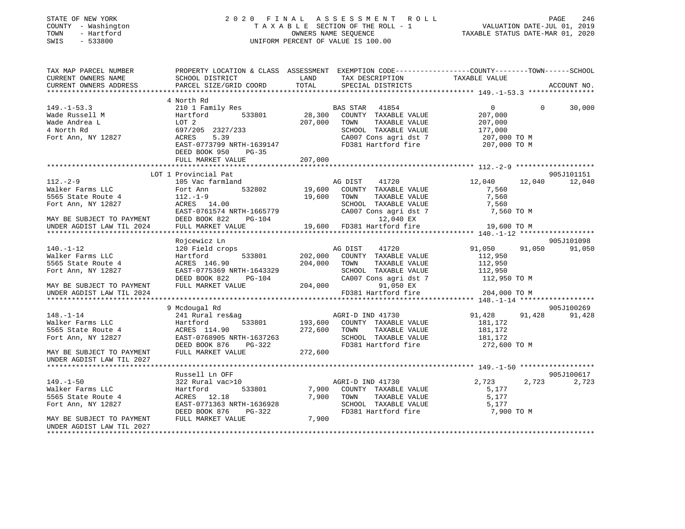| STATE OF NEW YORK |     |              |
|-------------------|-----|--------------|
| COUNTY            |     | - Washington |
| TOWN              | $-$ | Hartford     |
| C1T               |     | 533000       |

#### STATE OF NEW YORK CONTROLLER SERVICE OF THE RUN A S S E S S M E N T R O L L CONTROLLER SAGE 246 TA X A B L E SECTION OF THE ROLL - 1 OWNERS NAME SEQUENCE TAXABLE STATUS DATE-MAR 01, 2020 SWIS - 533800 UNIFORM PERCENT OF VALUE IS 100.00

VALUATION DATE-JUL 01, 2019

| CURRENT OWNERS NAME<br>SCHOOL DISTRICT<br>LAND<br>TAX DESCRIPTION<br>TAXABLE VALUE<br>TOTAL<br>CURRENT OWNERS ADDRESS<br>PARCEL SIZE/GRID COORD<br>SPECIAL DISTRICTS<br>ACCOUNT NO.<br>4 North Rd<br>$149. - 1 - 53.3$<br>210 1 Family Res<br>BAS STAR<br>41854<br>$\overline{0}$<br>$\Omega$<br>30,000<br>B)<br>28,300<br>Wade Russell M<br>533801<br>COUNTY TAXABLE VALUE<br>207,000<br>Hartford<br>207,000<br>TAXABLE VALUE<br>Wade Andrea L<br>LOT 2<br>TOWN<br>207,000<br>4 North Rd<br>697/205 2327/233<br>SCHOOL TAXABLE VALUE<br>177,000<br>Fort Ann, NY 12827<br><b>ACRES</b><br>5.39<br>CA007 Cons agri dst 7<br>207,000 TO M<br>EAST-0773799 NRTH-1639147<br>FD381 Hartford fire<br>207,000 TO M<br>DEED BOOK 950<br>PG-35<br>207,000<br>FULL MARKET VALUE<br>LOT 1 Provincial Pat<br>905J101151<br>$112. - 2 - 9$<br>105 Vac farmland<br>AG DIST<br>41720<br>12,040<br>12,040<br>12,040<br>Walker Farms LLC<br>532802<br>19,600<br>COUNTY TAXABLE VALUE<br>7,560<br>Fort Ann<br>19,600<br>7,560<br>5565 State Route 4<br>$112.-1-9$<br>TOWN<br>TAXABLE VALUE<br>Fort Ann, NY 12827<br>ACRES 14.00<br>SCHOOL TAXABLE VALUE<br>7,560<br>EAST-0761574 NRTH-1665779<br>CA007 Cons agri dst 7<br>7,560 TO M<br>DEED BOOK 822<br>12,040 EX<br>PG-104<br>MAY BE SUBJECT TO PAYMENT<br>19,600 FD381 Hartford fire<br>UNDER AGDIST LAW TIL 2024<br>FULL MARKET VALUE<br>19,600 TO M<br>905J101098<br>Rojcewicz Ln<br>91,050<br>$140. - 1 - 12$<br>120 Field crops<br>AG DIST<br>41720<br>91,050<br>91,050<br>Walker Farms LLC<br>533801<br>202,000<br>COUNTY TAXABLE VALUE<br>112,950<br>Hartford<br>5565 State Route 4<br>ACRES 146.90<br>204,000<br>TAXABLE VALUE<br>112,950<br>TOWN<br>EAST-0775369 NRTH-1643329<br>Fort Ann, NY 12827<br>SCHOOL TAXABLE VALUE<br>112,950<br>DEED BOOK 822<br>CA007 Cons agri dst 7<br>PG-104<br>112,950 TO M<br>91,050 EX<br>FULL MARKET VALUE<br>204,000<br>MAY BE SUBJECT TO PAYMENT<br>FD381 Hartford fire<br>204,000 TO M<br>UNDER AGDIST LAW TIL 2024<br>9 Mcdougal Rd<br>905J100269<br>AGRI-D IND 41730<br>91,428<br>91,428<br>$148. - 1 - 14$<br>241 Rural res&ag<br>91,428<br>533801<br>193,600 COUNTY TAXABLE VALUE<br>Walker Farms LLC<br>Hartford<br>181,172<br>5565 State Route 4<br>ACRES 114.90<br>272,600<br>TOWN<br>TAXABLE VALUE<br>181,172<br>EAST-0768905 NRTH-1637263<br>Fort Ann, NY 12827<br>SCHOOL TAXABLE VALUE<br>181,172<br>DEED BOOK 876<br>PG-322<br>FD381 Hartford fire<br>272,600 ТО М<br>FULL MARKET VALUE<br>272,600<br>MAY BE SUBJECT TO PAYMENT<br>UNDER AGDIST LAW TIL 2027<br>905J100617<br>Russell Ln OFF<br>$149. - 1 - 50$<br>322 Rural vac>10<br>AGRI-D IND 41730<br>2,723<br>2,723<br>2,723<br>7,900<br>Walker Farms LLC<br>Hartford<br>533801<br>COUNTY TAXABLE VALUE<br>5,177<br>5565 State Route 4<br>ACRES 12.18<br>7,900<br>TOWN<br>TAXABLE VALUE<br>5,177<br>EAST-0771363 NRTH-1636928<br>SCHOOL TAXABLE VALUE<br>Fort Ann, NY 12827<br>5,177<br>FD381 Hartford fire<br>DEED BOOK 876<br>PG-322<br>7,900 TO M<br>FULL MARKET VALUE<br>7,900<br>MAY BE SUBJECT TO PAYMENT<br>UNDER AGDIST LAW TIL 2027 | TAX MAP PARCEL NUMBER |  | PROPERTY LOCATION & CLASS ASSESSMENT EXEMPTION CODE----------------COUNTY-------TOWN------SCHOOL |  |  |
|---------------------------------------------------------------------------------------------------------------------------------------------------------------------------------------------------------------------------------------------------------------------------------------------------------------------------------------------------------------------------------------------------------------------------------------------------------------------------------------------------------------------------------------------------------------------------------------------------------------------------------------------------------------------------------------------------------------------------------------------------------------------------------------------------------------------------------------------------------------------------------------------------------------------------------------------------------------------------------------------------------------------------------------------------------------------------------------------------------------------------------------------------------------------------------------------------------------------------------------------------------------------------------------------------------------------------------------------------------------------------------------------------------------------------------------------------------------------------------------------------------------------------------------------------------------------------------------------------------------------------------------------------------------------------------------------------------------------------------------------------------------------------------------------------------------------------------------------------------------------------------------------------------------------------------------------------------------------------------------------------------------------------------------------------------------------------------------------------------------------------------------------------------------------------------------------------------------------------------------------------------------------------------------------------------------------------------------------------------------------------------------------------------------------------------------------------------------------------------------------------------------------------------------------------------------------------------------------------------------------------------------------------------------------------------------------------------------------------------------------------------------------------------------------------------------------------------------------------------------------------------------------------------------------------------------------------------------------------------------------------------------------------------------------------------------------------------------------|-----------------------|--|--------------------------------------------------------------------------------------------------|--|--|
|                                                                                                                                                                                                                                                                                                                                                                                                                                                                                                                                                                                                                                                                                                                                                                                                                                                                                                                                                                                                                                                                                                                                                                                                                                                                                                                                                                                                                                                                                                                                                                                                                                                                                                                                                                                                                                                                                                                                                                                                                                                                                                                                                                                                                                                                                                                                                                                                                                                                                                                                                                                                                                                                                                                                                                                                                                                                                                                                                                                                                                                                                             |                       |  |                                                                                                  |  |  |
|                                                                                                                                                                                                                                                                                                                                                                                                                                                                                                                                                                                                                                                                                                                                                                                                                                                                                                                                                                                                                                                                                                                                                                                                                                                                                                                                                                                                                                                                                                                                                                                                                                                                                                                                                                                                                                                                                                                                                                                                                                                                                                                                                                                                                                                                                                                                                                                                                                                                                                                                                                                                                                                                                                                                                                                                                                                                                                                                                                                                                                                                                             |                       |  |                                                                                                  |  |  |
|                                                                                                                                                                                                                                                                                                                                                                                                                                                                                                                                                                                                                                                                                                                                                                                                                                                                                                                                                                                                                                                                                                                                                                                                                                                                                                                                                                                                                                                                                                                                                                                                                                                                                                                                                                                                                                                                                                                                                                                                                                                                                                                                                                                                                                                                                                                                                                                                                                                                                                                                                                                                                                                                                                                                                                                                                                                                                                                                                                                                                                                                                             |                       |  |                                                                                                  |  |  |
|                                                                                                                                                                                                                                                                                                                                                                                                                                                                                                                                                                                                                                                                                                                                                                                                                                                                                                                                                                                                                                                                                                                                                                                                                                                                                                                                                                                                                                                                                                                                                                                                                                                                                                                                                                                                                                                                                                                                                                                                                                                                                                                                                                                                                                                                                                                                                                                                                                                                                                                                                                                                                                                                                                                                                                                                                                                                                                                                                                                                                                                                                             |                       |  |                                                                                                  |  |  |
|                                                                                                                                                                                                                                                                                                                                                                                                                                                                                                                                                                                                                                                                                                                                                                                                                                                                                                                                                                                                                                                                                                                                                                                                                                                                                                                                                                                                                                                                                                                                                                                                                                                                                                                                                                                                                                                                                                                                                                                                                                                                                                                                                                                                                                                                                                                                                                                                                                                                                                                                                                                                                                                                                                                                                                                                                                                                                                                                                                                                                                                                                             |                       |  |                                                                                                  |  |  |
|                                                                                                                                                                                                                                                                                                                                                                                                                                                                                                                                                                                                                                                                                                                                                                                                                                                                                                                                                                                                                                                                                                                                                                                                                                                                                                                                                                                                                                                                                                                                                                                                                                                                                                                                                                                                                                                                                                                                                                                                                                                                                                                                                                                                                                                                                                                                                                                                                                                                                                                                                                                                                                                                                                                                                                                                                                                                                                                                                                                                                                                                                             |                       |  |                                                                                                  |  |  |
|                                                                                                                                                                                                                                                                                                                                                                                                                                                                                                                                                                                                                                                                                                                                                                                                                                                                                                                                                                                                                                                                                                                                                                                                                                                                                                                                                                                                                                                                                                                                                                                                                                                                                                                                                                                                                                                                                                                                                                                                                                                                                                                                                                                                                                                                                                                                                                                                                                                                                                                                                                                                                                                                                                                                                                                                                                                                                                                                                                                                                                                                                             |                       |  |                                                                                                  |  |  |
|                                                                                                                                                                                                                                                                                                                                                                                                                                                                                                                                                                                                                                                                                                                                                                                                                                                                                                                                                                                                                                                                                                                                                                                                                                                                                                                                                                                                                                                                                                                                                                                                                                                                                                                                                                                                                                                                                                                                                                                                                                                                                                                                                                                                                                                                                                                                                                                                                                                                                                                                                                                                                                                                                                                                                                                                                                                                                                                                                                                                                                                                                             |                       |  |                                                                                                  |  |  |
|                                                                                                                                                                                                                                                                                                                                                                                                                                                                                                                                                                                                                                                                                                                                                                                                                                                                                                                                                                                                                                                                                                                                                                                                                                                                                                                                                                                                                                                                                                                                                                                                                                                                                                                                                                                                                                                                                                                                                                                                                                                                                                                                                                                                                                                                                                                                                                                                                                                                                                                                                                                                                                                                                                                                                                                                                                                                                                                                                                                                                                                                                             |                       |  |                                                                                                  |  |  |
|                                                                                                                                                                                                                                                                                                                                                                                                                                                                                                                                                                                                                                                                                                                                                                                                                                                                                                                                                                                                                                                                                                                                                                                                                                                                                                                                                                                                                                                                                                                                                                                                                                                                                                                                                                                                                                                                                                                                                                                                                                                                                                                                                                                                                                                                                                                                                                                                                                                                                                                                                                                                                                                                                                                                                                                                                                                                                                                                                                                                                                                                                             |                       |  |                                                                                                  |  |  |
|                                                                                                                                                                                                                                                                                                                                                                                                                                                                                                                                                                                                                                                                                                                                                                                                                                                                                                                                                                                                                                                                                                                                                                                                                                                                                                                                                                                                                                                                                                                                                                                                                                                                                                                                                                                                                                                                                                                                                                                                                                                                                                                                                                                                                                                                                                                                                                                                                                                                                                                                                                                                                                                                                                                                                                                                                                                                                                                                                                                                                                                                                             |                       |  |                                                                                                  |  |  |
|                                                                                                                                                                                                                                                                                                                                                                                                                                                                                                                                                                                                                                                                                                                                                                                                                                                                                                                                                                                                                                                                                                                                                                                                                                                                                                                                                                                                                                                                                                                                                                                                                                                                                                                                                                                                                                                                                                                                                                                                                                                                                                                                                                                                                                                                                                                                                                                                                                                                                                                                                                                                                                                                                                                                                                                                                                                                                                                                                                                                                                                                                             |                       |  |                                                                                                  |  |  |
|                                                                                                                                                                                                                                                                                                                                                                                                                                                                                                                                                                                                                                                                                                                                                                                                                                                                                                                                                                                                                                                                                                                                                                                                                                                                                                                                                                                                                                                                                                                                                                                                                                                                                                                                                                                                                                                                                                                                                                                                                                                                                                                                                                                                                                                                                                                                                                                                                                                                                                                                                                                                                                                                                                                                                                                                                                                                                                                                                                                                                                                                                             |                       |  |                                                                                                  |  |  |
|                                                                                                                                                                                                                                                                                                                                                                                                                                                                                                                                                                                                                                                                                                                                                                                                                                                                                                                                                                                                                                                                                                                                                                                                                                                                                                                                                                                                                                                                                                                                                                                                                                                                                                                                                                                                                                                                                                                                                                                                                                                                                                                                                                                                                                                                                                                                                                                                                                                                                                                                                                                                                                                                                                                                                                                                                                                                                                                                                                                                                                                                                             |                       |  |                                                                                                  |  |  |
|                                                                                                                                                                                                                                                                                                                                                                                                                                                                                                                                                                                                                                                                                                                                                                                                                                                                                                                                                                                                                                                                                                                                                                                                                                                                                                                                                                                                                                                                                                                                                                                                                                                                                                                                                                                                                                                                                                                                                                                                                                                                                                                                                                                                                                                                                                                                                                                                                                                                                                                                                                                                                                                                                                                                                                                                                                                                                                                                                                                                                                                                                             |                       |  |                                                                                                  |  |  |
|                                                                                                                                                                                                                                                                                                                                                                                                                                                                                                                                                                                                                                                                                                                                                                                                                                                                                                                                                                                                                                                                                                                                                                                                                                                                                                                                                                                                                                                                                                                                                                                                                                                                                                                                                                                                                                                                                                                                                                                                                                                                                                                                                                                                                                                                                                                                                                                                                                                                                                                                                                                                                                                                                                                                                                                                                                                                                                                                                                                                                                                                                             |                       |  |                                                                                                  |  |  |
|                                                                                                                                                                                                                                                                                                                                                                                                                                                                                                                                                                                                                                                                                                                                                                                                                                                                                                                                                                                                                                                                                                                                                                                                                                                                                                                                                                                                                                                                                                                                                                                                                                                                                                                                                                                                                                                                                                                                                                                                                                                                                                                                                                                                                                                                                                                                                                                                                                                                                                                                                                                                                                                                                                                                                                                                                                                                                                                                                                                                                                                                                             |                       |  |                                                                                                  |  |  |
|                                                                                                                                                                                                                                                                                                                                                                                                                                                                                                                                                                                                                                                                                                                                                                                                                                                                                                                                                                                                                                                                                                                                                                                                                                                                                                                                                                                                                                                                                                                                                                                                                                                                                                                                                                                                                                                                                                                                                                                                                                                                                                                                                                                                                                                                                                                                                                                                                                                                                                                                                                                                                                                                                                                                                                                                                                                                                                                                                                                                                                                                                             |                       |  |                                                                                                  |  |  |
|                                                                                                                                                                                                                                                                                                                                                                                                                                                                                                                                                                                                                                                                                                                                                                                                                                                                                                                                                                                                                                                                                                                                                                                                                                                                                                                                                                                                                                                                                                                                                                                                                                                                                                                                                                                                                                                                                                                                                                                                                                                                                                                                                                                                                                                                                                                                                                                                                                                                                                                                                                                                                                                                                                                                                                                                                                                                                                                                                                                                                                                                                             |                       |  |                                                                                                  |  |  |
|                                                                                                                                                                                                                                                                                                                                                                                                                                                                                                                                                                                                                                                                                                                                                                                                                                                                                                                                                                                                                                                                                                                                                                                                                                                                                                                                                                                                                                                                                                                                                                                                                                                                                                                                                                                                                                                                                                                                                                                                                                                                                                                                                                                                                                                                                                                                                                                                                                                                                                                                                                                                                                                                                                                                                                                                                                                                                                                                                                                                                                                                                             |                       |  |                                                                                                  |  |  |
|                                                                                                                                                                                                                                                                                                                                                                                                                                                                                                                                                                                                                                                                                                                                                                                                                                                                                                                                                                                                                                                                                                                                                                                                                                                                                                                                                                                                                                                                                                                                                                                                                                                                                                                                                                                                                                                                                                                                                                                                                                                                                                                                                                                                                                                                                                                                                                                                                                                                                                                                                                                                                                                                                                                                                                                                                                                                                                                                                                                                                                                                                             |                       |  |                                                                                                  |  |  |
|                                                                                                                                                                                                                                                                                                                                                                                                                                                                                                                                                                                                                                                                                                                                                                                                                                                                                                                                                                                                                                                                                                                                                                                                                                                                                                                                                                                                                                                                                                                                                                                                                                                                                                                                                                                                                                                                                                                                                                                                                                                                                                                                                                                                                                                                                                                                                                                                                                                                                                                                                                                                                                                                                                                                                                                                                                                                                                                                                                                                                                                                                             |                       |  |                                                                                                  |  |  |
|                                                                                                                                                                                                                                                                                                                                                                                                                                                                                                                                                                                                                                                                                                                                                                                                                                                                                                                                                                                                                                                                                                                                                                                                                                                                                                                                                                                                                                                                                                                                                                                                                                                                                                                                                                                                                                                                                                                                                                                                                                                                                                                                                                                                                                                                                                                                                                                                                                                                                                                                                                                                                                                                                                                                                                                                                                                                                                                                                                                                                                                                                             |                       |  |                                                                                                  |  |  |
|                                                                                                                                                                                                                                                                                                                                                                                                                                                                                                                                                                                                                                                                                                                                                                                                                                                                                                                                                                                                                                                                                                                                                                                                                                                                                                                                                                                                                                                                                                                                                                                                                                                                                                                                                                                                                                                                                                                                                                                                                                                                                                                                                                                                                                                                                                                                                                                                                                                                                                                                                                                                                                                                                                                                                                                                                                                                                                                                                                                                                                                                                             |                       |  |                                                                                                  |  |  |
|                                                                                                                                                                                                                                                                                                                                                                                                                                                                                                                                                                                                                                                                                                                                                                                                                                                                                                                                                                                                                                                                                                                                                                                                                                                                                                                                                                                                                                                                                                                                                                                                                                                                                                                                                                                                                                                                                                                                                                                                                                                                                                                                                                                                                                                                                                                                                                                                                                                                                                                                                                                                                                                                                                                                                                                                                                                                                                                                                                                                                                                                                             |                       |  |                                                                                                  |  |  |
|                                                                                                                                                                                                                                                                                                                                                                                                                                                                                                                                                                                                                                                                                                                                                                                                                                                                                                                                                                                                                                                                                                                                                                                                                                                                                                                                                                                                                                                                                                                                                                                                                                                                                                                                                                                                                                                                                                                                                                                                                                                                                                                                                                                                                                                                                                                                                                                                                                                                                                                                                                                                                                                                                                                                                                                                                                                                                                                                                                                                                                                                                             |                       |  |                                                                                                  |  |  |
|                                                                                                                                                                                                                                                                                                                                                                                                                                                                                                                                                                                                                                                                                                                                                                                                                                                                                                                                                                                                                                                                                                                                                                                                                                                                                                                                                                                                                                                                                                                                                                                                                                                                                                                                                                                                                                                                                                                                                                                                                                                                                                                                                                                                                                                                                                                                                                                                                                                                                                                                                                                                                                                                                                                                                                                                                                                                                                                                                                                                                                                                                             |                       |  |                                                                                                  |  |  |
|                                                                                                                                                                                                                                                                                                                                                                                                                                                                                                                                                                                                                                                                                                                                                                                                                                                                                                                                                                                                                                                                                                                                                                                                                                                                                                                                                                                                                                                                                                                                                                                                                                                                                                                                                                                                                                                                                                                                                                                                                                                                                                                                                                                                                                                                                                                                                                                                                                                                                                                                                                                                                                                                                                                                                                                                                                                                                                                                                                                                                                                                                             |                       |  |                                                                                                  |  |  |
|                                                                                                                                                                                                                                                                                                                                                                                                                                                                                                                                                                                                                                                                                                                                                                                                                                                                                                                                                                                                                                                                                                                                                                                                                                                                                                                                                                                                                                                                                                                                                                                                                                                                                                                                                                                                                                                                                                                                                                                                                                                                                                                                                                                                                                                                                                                                                                                                                                                                                                                                                                                                                                                                                                                                                                                                                                                                                                                                                                                                                                                                                             |                       |  |                                                                                                  |  |  |
|                                                                                                                                                                                                                                                                                                                                                                                                                                                                                                                                                                                                                                                                                                                                                                                                                                                                                                                                                                                                                                                                                                                                                                                                                                                                                                                                                                                                                                                                                                                                                                                                                                                                                                                                                                                                                                                                                                                                                                                                                                                                                                                                                                                                                                                                                                                                                                                                                                                                                                                                                                                                                                                                                                                                                                                                                                                                                                                                                                                                                                                                                             |                       |  |                                                                                                  |  |  |
|                                                                                                                                                                                                                                                                                                                                                                                                                                                                                                                                                                                                                                                                                                                                                                                                                                                                                                                                                                                                                                                                                                                                                                                                                                                                                                                                                                                                                                                                                                                                                                                                                                                                                                                                                                                                                                                                                                                                                                                                                                                                                                                                                                                                                                                                                                                                                                                                                                                                                                                                                                                                                                                                                                                                                                                                                                                                                                                                                                                                                                                                                             |                       |  |                                                                                                  |  |  |
|                                                                                                                                                                                                                                                                                                                                                                                                                                                                                                                                                                                                                                                                                                                                                                                                                                                                                                                                                                                                                                                                                                                                                                                                                                                                                                                                                                                                                                                                                                                                                                                                                                                                                                                                                                                                                                                                                                                                                                                                                                                                                                                                                                                                                                                                                                                                                                                                                                                                                                                                                                                                                                                                                                                                                                                                                                                                                                                                                                                                                                                                                             |                       |  |                                                                                                  |  |  |
|                                                                                                                                                                                                                                                                                                                                                                                                                                                                                                                                                                                                                                                                                                                                                                                                                                                                                                                                                                                                                                                                                                                                                                                                                                                                                                                                                                                                                                                                                                                                                                                                                                                                                                                                                                                                                                                                                                                                                                                                                                                                                                                                                                                                                                                                                                                                                                                                                                                                                                                                                                                                                                                                                                                                                                                                                                                                                                                                                                                                                                                                                             |                       |  |                                                                                                  |  |  |
|                                                                                                                                                                                                                                                                                                                                                                                                                                                                                                                                                                                                                                                                                                                                                                                                                                                                                                                                                                                                                                                                                                                                                                                                                                                                                                                                                                                                                                                                                                                                                                                                                                                                                                                                                                                                                                                                                                                                                                                                                                                                                                                                                                                                                                                                                                                                                                                                                                                                                                                                                                                                                                                                                                                                                                                                                                                                                                                                                                                                                                                                                             |                       |  |                                                                                                  |  |  |
|                                                                                                                                                                                                                                                                                                                                                                                                                                                                                                                                                                                                                                                                                                                                                                                                                                                                                                                                                                                                                                                                                                                                                                                                                                                                                                                                                                                                                                                                                                                                                                                                                                                                                                                                                                                                                                                                                                                                                                                                                                                                                                                                                                                                                                                                                                                                                                                                                                                                                                                                                                                                                                                                                                                                                                                                                                                                                                                                                                                                                                                                                             |                       |  |                                                                                                  |  |  |
|                                                                                                                                                                                                                                                                                                                                                                                                                                                                                                                                                                                                                                                                                                                                                                                                                                                                                                                                                                                                                                                                                                                                                                                                                                                                                                                                                                                                                                                                                                                                                                                                                                                                                                                                                                                                                                                                                                                                                                                                                                                                                                                                                                                                                                                                                                                                                                                                                                                                                                                                                                                                                                                                                                                                                                                                                                                                                                                                                                                                                                                                                             |                       |  |                                                                                                  |  |  |
|                                                                                                                                                                                                                                                                                                                                                                                                                                                                                                                                                                                                                                                                                                                                                                                                                                                                                                                                                                                                                                                                                                                                                                                                                                                                                                                                                                                                                                                                                                                                                                                                                                                                                                                                                                                                                                                                                                                                                                                                                                                                                                                                                                                                                                                                                                                                                                                                                                                                                                                                                                                                                                                                                                                                                                                                                                                                                                                                                                                                                                                                                             |                       |  |                                                                                                  |  |  |
|                                                                                                                                                                                                                                                                                                                                                                                                                                                                                                                                                                                                                                                                                                                                                                                                                                                                                                                                                                                                                                                                                                                                                                                                                                                                                                                                                                                                                                                                                                                                                                                                                                                                                                                                                                                                                                                                                                                                                                                                                                                                                                                                                                                                                                                                                                                                                                                                                                                                                                                                                                                                                                                                                                                                                                                                                                                                                                                                                                                                                                                                                             |                       |  |                                                                                                  |  |  |
|                                                                                                                                                                                                                                                                                                                                                                                                                                                                                                                                                                                                                                                                                                                                                                                                                                                                                                                                                                                                                                                                                                                                                                                                                                                                                                                                                                                                                                                                                                                                                                                                                                                                                                                                                                                                                                                                                                                                                                                                                                                                                                                                                                                                                                                                                                                                                                                                                                                                                                                                                                                                                                                                                                                                                                                                                                                                                                                                                                                                                                                                                             |                       |  |                                                                                                  |  |  |
|                                                                                                                                                                                                                                                                                                                                                                                                                                                                                                                                                                                                                                                                                                                                                                                                                                                                                                                                                                                                                                                                                                                                                                                                                                                                                                                                                                                                                                                                                                                                                                                                                                                                                                                                                                                                                                                                                                                                                                                                                                                                                                                                                                                                                                                                                                                                                                                                                                                                                                                                                                                                                                                                                                                                                                                                                                                                                                                                                                                                                                                                                             |                       |  |                                                                                                  |  |  |
|                                                                                                                                                                                                                                                                                                                                                                                                                                                                                                                                                                                                                                                                                                                                                                                                                                                                                                                                                                                                                                                                                                                                                                                                                                                                                                                                                                                                                                                                                                                                                                                                                                                                                                                                                                                                                                                                                                                                                                                                                                                                                                                                                                                                                                                                                                                                                                                                                                                                                                                                                                                                                                                                                                                                                                                                                                                                                                                                                                                                                                                                                             |                       |  |                                                                                                  |  |  |
|                                                                                                                                                                                                                                                                                                                                                                                                                                                                                                                                                                                                                                                                                                                                                                                                                                                                                                                                                                                                                                                                                                                                                                                                                                                                                                                                                                                                                                                                                                                                                                                                                                                                                                                                                                                                                                                                                                                                                                                                                                                                                                                                                                                                                                                                                                                                                                                                                                                                                                                                                                                                                                                                                                                                                                                                                                                                                                                                                                                                                                                                                             |                       |  |                                                                                                  |  |  |
|                                                                                                                                                                                                                                                                                                                                                                                                                                                                                                                                                                                                                                                                                                                                                                                                                                                                                                                                                                                                                                                                                                                                                                                                                                                                                                                                                                                                                                                                                                                                                                                                                                                                                                                                                                                                                                                                                                                                                                                                                                                                                                                                                                                                                                                                                                                                                                                                                                                                                                                                                                                                                                                                                                                                                                                                                                                                                                                                                                                                                                                                                             |                       |  |                                                                                                  |  |  |
|                                                                                                                                                                                                                                                                                                                                                                                                                                                                                                                                                                                                                                                                                                                                                                                                                                                                                                                                                                                                                                                                                                                                                                                                                                                                                                                                                                                                                                                                                                                                                                                                                                                                                                                                                                                                                                                                                                                                                                                                                                                                                                                                                                                                                                                                                                                                                                                                                                                                                                                                                                                                                                                                                                                                                                                                                                                                                                                                                                                                                                                                                             |                       |  |                                                                                                  |  |  |
|                                                                                                                                                                                                                                                                                                                                                                                                                                                                                                                                                                                                                                                                                                                                                                                                                                                                                                                                                                                                                                                                                                                                                                                                                                                                                                                                                                                                                                                                                                                                                                                                                                                                                                                                                                                                                                                                                                                                                                                                                                                                                                                                                                                                                                                                                                                                                                                                                                                                                                                                                                                                                                                                                                                                                                                                                                                                                                                                                                                                                                                                                             |                       |  |                                                                                                  |  |  |
|                                                                                                                                                                                                                                                                                                                                                                                                                                                                                                                                                                                                                                                                                                                                                                                                                                                                                                                                                                                                                                                                                                                                                                                                                                                                                                                                                                                                                                                                                                                                                                                                                                                                                                                                                                                                                                                                                                                                                                                                                                                                                                                                                                                                                                                                                                                                                                                                                                                                                                                                                                                                                                                                                                                                                                                                                                                                                                                                                                                                                                                                                             |                       |  |                                                                                                  |  |  |
|                                                                                                                                                                                                                                                                                                                                                                                                                                                                                                                                                                                                                                                                                                                                                                                                                                                                                                                                                                                                                                                                                                                                                                                                                                                                                                                                                                                                                                                                                                                                                                                                                                                                                                                                                                                                                                                                                                                                                                                                                                                                                                                                                                                                                                                                                                                                                                                                                                                                                                                                                                                                                                                                                                                                                                                                                                                                                                                                                                                                                                                                                             |                       |  |                                                                                                  |  |  |
|                                                                                                                                                                                                                                                                                                                                                                                                                                                                                                                                                                                                                                                                                                                                                                                                                                                                                                                                                                                                                                                                                                                                                                                                                                                                                                                                                                                                                                                                                                                                                                                                                                                                                                                                                                                                                                                                                                                                                                                                                                                                                                                                                                                                                                                                                                                                                                                                                                                                                                                                                                                                                                                                                                                                                                                                                                                                                                                                                                                                                                                                                             |                       |  |                                                                                                  |  |  |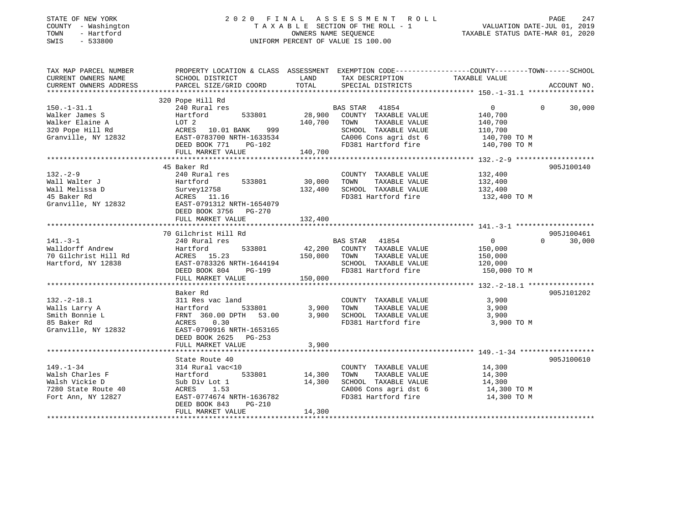| STATE OF NEW YORK |  |              |
|-------------------|--|--------------|
| <b>COUNTY</b>     |  | - Washington |
| TOWN              |  | - Hartford   |
| CM <sub>T</sub> C |  | $-$ 533800   |

# STATE OF NEW YORK 2 0 2 0 F I N A L A S S E S S M E N T R O L L PAGE 247T A X A B L E SECTION OF THE ROLL - 1<br>OWNERS NAME SEQUENCE SWIS - 533800 UNIFORM PERCENT OF VALUE IS 100.00

TAXABLE STATUS DATE-MAR 01, 2020

| TAX MAP PARCEL NUMBER  | PROPERTY LOCATION & CLASS ASSESSMENT EXEMPTION CODE---------------COUNTY-------TOWN------SCHOOL |         |                       |                   |                    |
|------------------------|-------------------------------------------------------------------------------------------------|---------|-----------------------|-------------------|--------------------|
| CURRENT OWNERS NAME    | SCHOOL DISTRICT                                                                                 | LAND    | TAX DESCRIPTION       | TAXABLE VALUE     |                    |
| CURRENT OWNERS ADDRESS | PARCEL SIZE/GRID COORD                                                                          | TOTAL   | SPECIAL DISTRICTS     |                   | ACCOUNT NO.        |
|                        |                                                                                                 |         |                       |                   |                    |
|                        | 320 Pope Hill Rd                                                                                |         |                       |                   |                    |
| $150. - 1 - 31.1$      | 240 Rural res                                                                                   |         | BAS STAR 41854        | $\overline{0}$    | $\Omega$<br>30,000 |
| Walker James S         | 533801<br>Hartford                                                                              | 28,900  | COUNTY TAXABLE VALUE  | 140,700           |                    |
| Walker Elaine A        | LOT 2                                                                                           | 140,700 | TAXABLE VALUE<br>TOWN | 140,700           |                    |
| 320 Pope Hill Rd       | 999<br>ACRES 10.01 BANK                                                                         |         | SCHOOL TAXABLE VALUE  | 110,700           |                    |
| Granville, NY 12832    | EAST-0783700 NRTH-1633534                                                                       |         | CA006 Cons agri dst 6 | 140,700 TO M      |                    |
|                        | DEED BOOK 771<br>PG-102                                                                         |         | FD381 Hartford fire   | 140,700 TO M      |                    |
|                        | FULL MARKET VALUE                                                                               | 140,700 |                       |                   |                    |
|                        |                                                                                                 |         |                       |                   |                    |
|                        | 45 Baker Rd                                                                                     |         |                       |                   | 905J100140         |
|                        |                                                                                                 |         |                       |                   |                    |
| $132. - 2 - 9$         | 240 Rural res                                                                                   |         | COUNTY TAXABLE VALUE  | 132,400           |                    |
| Wall Walter J          | 533801<br>Hartford                                                                              | 30,000  | TOWN<br>TAXABLE VALUE | 132,400           |                    |
| Wall Melissa D         | Survey12758                                                                                     | 132,400 | SCHOOL TAXABLE VALUE  | 132,400           |                    |
| 45 Baker Rd            | ACRES 11.16                                                                                     |         | FD381 Hartford fire   | 132,400 TO M      |                    |
| Granville, NY 12832    | EAST-0791312 NRTH-1654079                                                                       |         |                       |                   |                    |
|                        | DEED BOOK 3756 PG-270                                                                           |         |                       |                   |                    |
|                        | FULL MARKET VALUE                                                                               | 132,400 |                       |                   |                    |
|                        |                                                                                                 |         |                       |                   |                    |
|                        | 70 Gilchrist Hill Rd                                                                            |         |                       |                   | 905J100461         |
| $141. - 3 - 1$         | 240 Rural res                                                                                   |         | <b>BAS STAR 41854</b> | $0 \qquad \qquad$ | $\Omega$<br>30,000 |
| Walldorff Andrew       | 533801<br>Hartford                                                                              | 42,200  | COUNTY TAXABLE VALUE  | 150,000           |                    |
| 70 Gilchrist Hill Rd   | ACRES 15.23                                                                                     | 150,000 | TOWN<br>TAXABLE VALUE | 150,000           |                    |
| Hartford, NY 12838     | EAST-0783326 NRTH-1644194                                                                       |         | SCHOOL TAXABLE VALUE  | 120,000           |                    |
|                        | DEED BOOK 804<br>PG-199                                                                         |         | FD381 Hartford fire   | 150,000 TO M      |                    |
|                        | FULL MARKET VALUE                                                                               | 150,000 |                       |                   |                    |
|                        |                                                                                                 |         |                       |                   |                    |
|                        |                                                                                                 |         |                       |                   |                    |
|                        | Baker Rd                                                                                        |         |                       |                   | 905J101202         |
| $132 - 2 - 18.1$       | 311 Res vac land                                                                                |         | COUNTY TAXABLE VALUE  | 3,900             |                    |
| Walls Larry A          | 533801<br>Hartford                                                                              | 3,900   | TOWN<br>TAXABLE VALUE | 3,900             |                    |
| Smith Bonnie L         | FRNT 360.00 DPTH 53.00                                                                          | 3,900   | SCHOOL TAXABLE VALUE  | 3,900             |                    |
| 85 Baker Rd            | 0.30<br>ACRES                                                                                   |         | FD381 Hartford fire   | 3,900 TO M        |                    |
| Granville, NY 12832    | EAST-0790916 NRTH-1653165                                                                       |         |                       |                   |                    |
|                        | DEED BOOK 2625 PG-253                                                                           |         |                       |                   |                    |
|                        | FULL MARKET VALUE                                                                               | 3,900   |                       |                   |                    |
|                        |                                                                                                 |         |                       |                   |                    |
|                        | State Route 40                                                                                  |         |                       |                   | 905J100610         |
| $149. - 1 - 34$        | 314 Rural vac<10                                                                                |         | COUNTY TAXABLE VALUE  | 14,300            |                    |
| Walsh Charles F        | Hartford<br>533801                                                                              | 14,300  | TOWN<br>TAXABLE VALUE | 14,300            |                    |
| Walsh Vickie D         | Sub Div Lot 1                                                                                   | 14,300  | SCHOOL TAXABLE VALUE  | 14,300            |                    |
| 7280 State Route 40    | ACRES<br>1.53                                                                                   |         | CA006 Cons agri dst 6 | 14,300 TO M       |                    |
| Fort Ann, NY 12827     | EAST-0774674 NRTH-1636782                                                                       |         | FD381 Hartford fire   | 14,300 TO M       |                    |
|                        | $PG-210$<br>DEED BOOK 843                                                                       |         |                       |                   |                    |
|                        |                                                                                                 | 14,300  |                       |                   |                    |
|                        | FULL MARKET VALUE                                                                               |         |                       |                   |                    |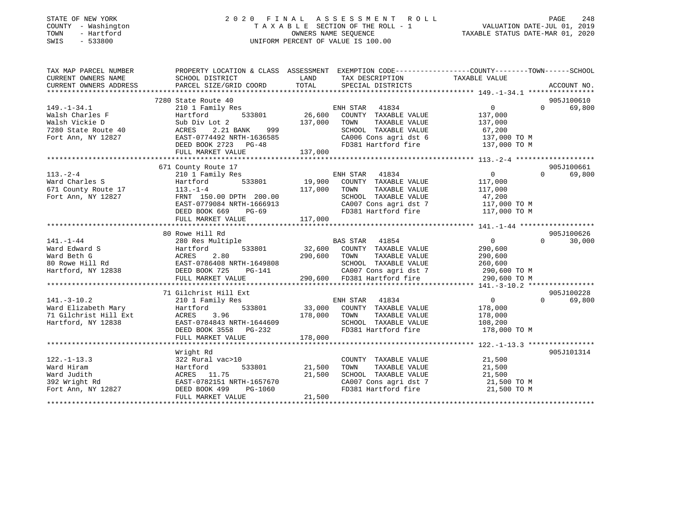| STATE OF NEW YORK      | 2020<br>FINAL                                 | A S S E S S M E N T<br>TAXABLE SECTION OF THE ROLL - 1                                           | R O L L                          | PAGE<br>248        |
|------------------------|-----------------------------------------------|--------------------------------------------------------------------------------------------------|----------------------------------|--------------------|
| COUNTY - Washington    |                                               | VALUATION DATE-JUL 01, 2019                                                                      |                                  |                    |
| - Hartford<br>TOWN     |                                               | OWNERS NAME SEOUENCE                                                                             | TAXABLE STATUS DATE-MAR 01, 2020 |                    |
| $-533800$<br>SWIS      |                                               | UNIFORM PERCENT OF VALUE IS 100.00                                                               |                                  |                    |
|                        |                                               |                                                                                                  |                                  |                    |
| TAX MAP PARCEL NUMBER  |                                               | PROPERTY LOCATION & CLASS ASSESSMENT EXEMPTION CODE----------------COUNTY-------TOWN------SCHOOL |                                  |                    |
| CURRENT OWNERS NAME    | SCHOOL DISTRICT                               | LAND<br>TAX DESCRIPTION                                                                          | TAXABLE VALUE                    |                    |
| CURRENT OWNERS ADDRESS | PARCEL SIZE/GRID COORD                        | TOTAL<br>SPECIAL DISTRICTS                                                                       |                                  | ACCOUNT NO.        |
|                        |                                               |                                                                                                  |                                  |                    |
|                        | 7280 State Route 40                           |                                                                                                  |                                  | 905J100610         |
| $149. - 1 - 34.1$      | 210 1 Family Res                              | 41834<br>ENH STAR                                                                                | $\overline{0}$                   | $\Omega$<br>69,800 |
| Walsh Charles F        | 533801<br>Hartford                            | 26,600<br>COUNTY TAXABLE VALUE                                                                   | 137,000                          |                    |
| Walsh Vickie D         | Sub Div Lot 2                                 | 137,000<br>TAXABLE VALUE<br>TOWN                                                                 | 137,000                          |                    |
| 7280 State Route 40    | ACRES<br>999<br>2.21 BANK                     | SCHOOL TAXABLE VALUE                                                                             | 67,200                           |                    |
| Fort Ann, NY 12827     | EAST-0774492 NRTH-1636585                     | CA006 Cons agri dst 6                                                                            | 137,000 TO M                     |                    |
|                        | DEED BOOK 2723 PG-48                          | FD381 Hartford fire                                                                              | 137,000 TO M                     |                    |
|                        | FULL MARKET VALUE                             | 137,000                                                                                          |                                  |                    |
|                        |                                               |                                                                                                  |                                  |                    |
|                        | 671 County Route 17                           |                                                                                                  |                                  | 905J100661         |
| $113. - 2 - 4$         | 210 1 Family Res                              | ENH STAR<br>41834                                                                                | $\overline{0}$                   | $\Omega$<br>69,800 |
| Ward Charles S         | Hartford<br>533801                            | 19,900<br>COUNTY TAXABLE VALUE                                                                   | 117,000                          |                    |
| 671 County Route 17    | $113. - 1 - 4$                                | 117,000<br>TOWN<br>TAXABLE VALUE                                                                 | 117,000                          |                    |
| Fort Ann, NY 12827     | FRNT 150.00 DPTH 200.00                       | SCHOOL TAXABLE VALUE                                                                             | 47,200                           |                    |
|                        | EAST-0779084 NRTH-1666913                     | CA007 Cons agri dst 7                                                                            | 117,000 TO M                     |                    |
|                        | DEED BOOK 669<br>$PG-69$                      | FD381 Hartford fire                                                                              | 117,000 TO M                     |                    |
|                        | FULL MARKET VALUE                             | 117,000                                                                                          |                                  |                    |
|                        |                                               |                                                                                                  |                                  |                    |
|                        | 80 Rowe Hill Rd                               |                                                                                                  |                                  | 905J100626         |
| $141. - 1 - 44$        | 280 Res Multiple                              | <b>BAS STAR</b><br>41854                                                                         | $\overline{0}$                   | $\Omega$<br>30,000 |
| Ward Edward S          | 533801<br>Hartford                            | 32,600<br>COUNTY TAXABLE VALUE                                                                   | 290,600                          |                    |
| Ward Beth G            | 2.80<br>ACRES                                 | 290,600<br>TOWN<br>TAXABLE VALUE                                                                 | 290,600                          |                    |
| 80 Rowe Hill Rd        | EAST-0786408 NRTH-1649808                     | SCHOOL TAXABLE VALUE                                                                             | 260,600                          |                    |
| Hartford, NY 12838     | DEED BOOK 725<br>PG-141                       | CA007 Cons agri dst 7                                                                            | 290,600 TO M                     |                    |
|                        | FULL MARKET VALUE                             | 290,600 FD381 Hartford fire                                                                      | 290,600 TO M                     |                    |
|                        |                                               |                                                                                                  |                                  |                    |
|                        | 71 Gilchrist Hill Ext                         |                                                                                                  |                                  | 905J100228         |
| $141. - 3 - 10.2$      | 210 1 Family Res                              | 41834<br>ENH STAR                                                                                | $\overline{0}$                   | $\Omega$<br>69,800 |
| Ward Elizabeth Mary    | 533801<br>Hartford                            | 33,000<br>COUNTY TAXABLE VALUE                                                                   | 178,000                          |                    |
| 71 Gilchrist Hill Ext  | ACRES<br>3.96                                 | 178,000<br>TOWN<br>TAXABLE VALUE                                                                 | 178,000                          |                    |
| Hartford, NY 12838     | EAST-0784843 NRTH-1644609                     | SCHOOL TAXABLE VALUE                                                                             | 108,200                          |                    |
|                        | DEED BOOK 3558 PG-232                         | FD381 Hartford fire                                                                              | 178,000 TO M                     |                    |
|                        | FULL MARKET VALUE<br>************************ | 178,000                                                                                          |                                  |                    |
|                        |                                               |                                                                                                  |                                  |                    |
|                        | Wright Rd                                     |                                                                                                  |                                  | 905J101314         |
| $122. - 1 - 13.3$      | 322 Rural vac>10                              | COUNTY TAXABLE VALUE                                                                             | 21,500                           |                    |
| Ward Hiram             | 533801<br>Hartford                            | 21,500<br>TOWN<br>TAXABLE VALUE                                                                  | 21,500                           |                    |
| Ward Judith            | ACRES 11.75                                   | 21,500<br>SCHOOL TAXABLE VALUE                                                                   | 21,500                           |                    |
| 392 Wright Rd          | EAST-0782151 NRTH-1657670                     | CA007 Cons agri dst 7                                                                            | 21,500 TO M                      |                    |
| Fort Ann, NY 12827     | DEED BOOK 499<br>PG-1060                      | FD381 Hartford fire                                                                              | 21,500 TO M                      |                    |
|                        | FULL MARKET VALUE                             | 21,500                                                                                           | *****************************    |                    |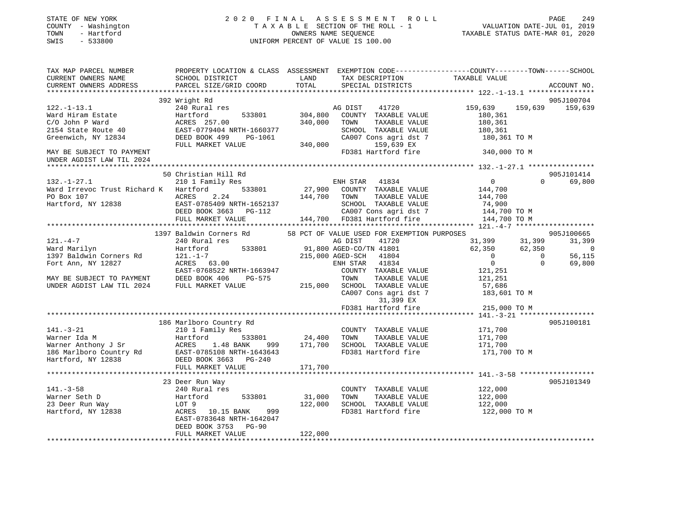| STATE OF NEW YORK<br>COUNTY - Washington<br>TOWN<br>- Hartford<br>$-533800$<br>SWIS                                                                                                                                                              |                                                                                                                                              |         | 2020 FINAL ASSESSMENT ROLL<br>TAXABLE SECTION OF THE ROLL - 1<br>OWNERS NAME SEQUENCE<br>UNIFORM PERCENT OF VALUE IS 100.00 | 745<br>2019 VALUATION DATE-JUL<br>2019 TAXABLE STATUS DATE-MAR 01, 2020 | PAGE<br>249                                           |
|--------------------------------------------------------------------------------------------------------------------------------------------------------------------------------------------------------------------------------------------------|----------------------------------------------------------------------------------------------------------------------------------------------|---------|-----------------------------------------------------------------------------------------------------------------------------|-------------------------------------------------------------------------|-------------------------------------------------------|
| TAX MAP PARCEL NUMBER<br>CURRENT OWNERS NAME<br>CURRENT OWNERS ADDRESS                                                                                                                                                                           | PROPERTY LOCATION & CLASS ASSESSMENT EXEMPTION CODE----------------COUNTY-------TOWN-----SCHOOL<br>SCHOOL DISTRICT<br>PARCEL SIZE/GRID COORD | TOTAL   | LAND TAX DESCRIPTION TAXABLE VALUE<br>SPECIAL DISTRICTS                                                                     |                                                                         | ACCOUNT NO.                                           |
|                                                                                                                                                                                                                                                  | 392 Wright Rd                                                                                                                                |         |                                                                                                                             |                                                                         | 905J100704                                            |
| $122. - 1 - 13.1$                                                                                                                                                                                                                                | 240 Rural res                                                                                                                                |         | 41720<br>AG DIST<br>533801 304,800 COUNTY TAXABLE VALUE<br>TAXABLE VALUE<br>SCHOOL TAXABLE VALUE<br>CA007 Cons agri dst 7   | 159,639<br>180,361<br>180,361<br>180,361<br>180,361 TO M                | 159,639 159,639                                       |
| MAY BE SUBJECT TO PAYMENT<br>UNDER AGDIST LAW TIL 2024                                                                                                                                                                                           |                                                                                                                                              |         | FD381 Hartford fire                                                                                                         | 340,000 TO M                                                            |                                                       |
| **********************                                                                                                                                                                                                                           |                                                                                                                                              |         |                                                                                                                             |                                                                         |                                                       |
|                                                                                                                                                                                                                                                  | 50 Christian Hill Rd                                                                                                                         |         |                                                                                                                             |                                                                         | 905J101414                                            |
| $132. - 1 - 27.1$<br>Ward Irrevoc Trust Richard K Hartford 533801                                                                                                                                                                                | 210 1 Family Res                                                                                                                             |         | ENH STAR 41834<br>27,900 COUNTY TAXABLE VALUE                                                                               | $\overline{0}$<br>144,700                                               | 0 69,800                                              |
|                                                                                                                                                                                                                                                  |                                                                                                                                              |         |                                                                                                                             |                                                                         |                                                       |
|                                                                                                                                                                                                                                                  |                                                                                                                                              |         |                                                                                                                             |                                                                         |                                                       |
|                                                                                                                                                                                                                                                  |                                                                                                                                              |         |                                                                                                                             |                                                                         |                                                       |
|                                                                                                                                                                                                                                                  | 1397 Baldwin Corners Rd                                                                                                                      |         | 58 PCT OF VALUE USED FOR EXEMPTION PURPOSES                                                                                 |                                                                         | 905J100665                                            |
| $121. -4 -7$                                                                                                                                                                                                                                     | 240 Rural res                                                                                                                                |         | AG DIST 41720                                                                                                               | 31,399 31,399<br>62,350                                                 | 31,399                                                |
|                                                                                                                                                                                                                                                  |                                                                                                                                              |         |                                                                                                                             |                                                                         | 62,350<br>$\overline{\phantom{0}}$<br>56,115          |
|                                                                                                                                                                                                                                                  |                                                                                                                                              |         | 533801 91,800 AGED-CO/TN 41801<br>215,000 AGED-SCH 41804<br>ENH STAR 41834<br>41834<br>211315 121315                        | $\begin{array}{c} 0 \\ 0 \end{array}$<br>121,251                        | $\begin{bmatrix} 0 \\ 0 \\ 0 \end{bmatrix}$<br>69,800 |
|                                                                                                                                                                                                                                                  |                                                                                                                                              |         |                                                                                                                             | 121,251                                                                 |                                                       |
|                                                                                                                                                                                                                                                  |                                                                                                                                              |         | CA007 Cons agri dst 7<br>31,399 EX                                                                                          | 57,686<br>183,601 TO M                                                  |                                                       |
|                                                                                                                                                                                                                                                  |                                                                                                                                              |         | FD381 Hartford fire                                                                                                         | 215,000 TO M                                                            |                                                       |
|                                                                                                                                                                                                                                                  |                                                                                                                                              |         |                                                                                                                             |                                                                         |                                                       |
| 141.-3-21                                                                                                                                                                                                                                        | 186 Marlboro Country Rd<br>210 1 Family Res                                                                                                  |         | COUNTY TAXABLE VALUE                                                                                                        | 171,700<br>171,700                                                      | 905J100181                                            |
| Varner Ida M<br>Warner Ida M<br>Warner Anthony J Sr<br>Warner Anthony J Sr<br>24,400 TOWN TAXABLE VALUE<br>24,400 TOWN TAXABLE VALUE<br>24,400 TOWN TAXABLE VALUE<br>24,400 TOWN TAXABLE VALUE<br>24,400 TOWN TAXABLE VALUE<br>24,400 TOWN TAXAB |                                                                                                                                              |         | FD381 Hartford fire 171,700 TO M                                                                                            | 171,700                                                                 |                                                       |
|                                                                                                                                                                                                                                                  | FULL MARKET VALUE                                                                                                                            | 171,700 |                                                                                                                             |                                                                         |                                                       |
|                                                                                                                                                                                                                                                  |                                                                                                                                              |         |                                                                                                                             |                                                                         |                                                       |
|                                                                                                                                                                                                                                                  |                                                                                                                                              |         |                                                                                                                             |                                                                         | 905J101349                                            |
|                                                                                                                                                                                                                                                  |                                                                                                                                              |         | COUNTY TAXABLE VALUE 122,000                                                                                                |                                                                         |                                                       |
|                                                                                                                                                                                                                                                  |                                                                                                                                              | 31,000  | TOWN<br>TAXABLE VALUE                                                                                                       | 122,000                                                                 |                                                       |
| Warner Seth D<br>23 Deer Run Way<br>23 Deer Run Way<br>Hartford, NY 12838<br>240 Rural res<br>240 Rural res<br>240 Rural res<br>240 Rural res<br>240 Rural res<br>2533801<br>23 Deer Run Way<br>20T 9<br>20T 9<br>20T 20.15 RANT                 | DEED BOOK 3753 PG-90                                                                                                                         |         | 122,000 SCHOOL TAXABLE VALUE<br>FD381 Hartford fire                                                                         | 122,000<br>122,000 TO M                                                 |                                                       |
|                                                                                                                                                                                                                                                  | FULL MARKET VALUE                                                                                                                            | 122,000 |                                                                                                                             |                                                                         |                                                       |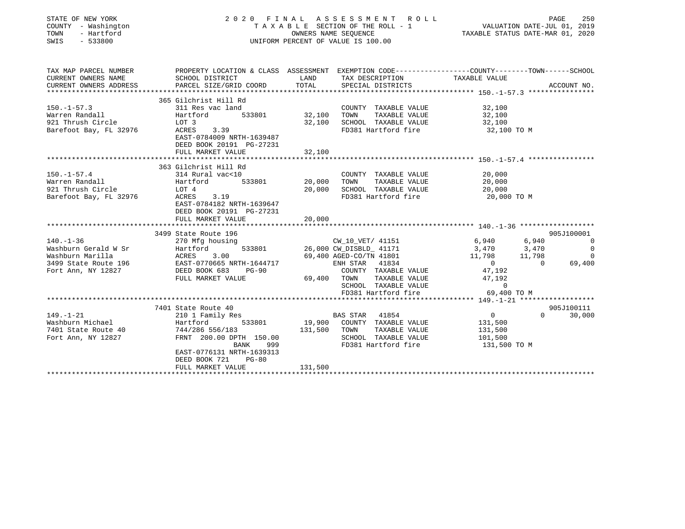| STATE OF NEW YORK<br>COUNTY - Washington<br>- Hartford<br>TOWN<br>$-533800$<br>SWIS | 2020 FINAL ASSESSMENT ROLL<br>TAXABLE SECTION OF THE ROLL - 1<br>UNIFORM PERCENT OF VALUE IS 100.00 | PAGE<br>250<br>VALUATION DATE-JUL 01, 2019<br>TAXABLE STATUS DATE-MAR 01, 2020 |                                                                                                |                                                    |                                       |
|-------------------------------------------------------------------------------------|-----------------------------------------------------------------------------------------------------|--------------------------------------------------------------------------------|------------------------------------------------------------------------------------------------|----------------------------------------------------|---------------------------------------|
| TAX MAP PARCEL NUMBER                                                               |                                                                                                     |                                                                                | PROPERTY LOCATION & CLASS ASSESSMENT EXEMPTION CODE---------------COUNTY-------TOWN-----SCHOOL |                                                    |                                       |
| CURRENT OWNERS NAME<br>CURRENT OWNERS ADDRESS                                       | SCHOOL DISTRICT<br>PARCEL SIZE/GRID COORD                                                           | LAND<br>TOTAL                                                                  | TAX DESCRIPTION<br>SPECIAL DISTRICTS                                                           | TAXABLE VALUE                                      | ACCOUNT NO.                           |
|                                                                                     | 365 Gilchrist Hill Rd                                                                               |                                                                                |                                                                                                |                                                    |                                       |
| $150. - 1 - 57.3$                                                                   | 311 Res vac land                                                                                    |                                                                                | COUNTY TAXABLE VALUE                                                                           | 32,100                                             |                                       |
| Warren Randall                                                                      | Hartford<br>533801                                                                                  | 32,100                                                                         | TAXABLE VALUE<br>TOWN                                                                          | 32,100                                             |                                       |
| 921 Thrush Circle                                                                   | LOT 3                                                                                               | 32,100                                                                         | SCHOOL TAXABLE VALUE                                                                           | 32,100                                             |                                       |
| Barefoot Bay, FL 32976                                                              | <b>ACRES</b><br>3.39<br>EAST-0784009 NRTH-1639487<br>DEED BOOK 20191 PG-27231<br>FULL MARKET VALUE  | 32,100                                                                         | FD381 Hartford fire                                                                            | 32,100 TO M                                        |                                       |
|                                                                                     |                                                                                                     |                                                                                |                                                                                                |                                                    |                                       |
|                                                                                     | 363 Gilchrist Hill Rd                                                                               |                                                                                |                                                                                                |                                                    |                                       |
| $150. - 1 - 57.4$                                                                   | 314 Rural vac<10                                                                                    |                                                                                | COUNTY TAXABLE VALUE                                                                           | 20,000                                             |                                       |
| Warren Randall                                                                      | 533801<br>Hartford                                                                                  | 20,000                                                                         | TAXABLE VALUE<br>TOWN                                                                          | 20,000                                             |                                       |
| 921 Thrush Circle                                                                   | LOT 4                                                                                               | 20,000                                                                         | SCHOOL TAXABLE VALUE                                                                           | 20,000                                             |                                       |
| Barefoot Bay, FL 32976                                                              | 3.19<br>ACRES<br>EAST-0784182 NRTH-1639647<br>DEED BOOK 20191 PG-27231                              |                                                                                | FD381 Hartford fire                                                                            | 20,000 TO M                                        |                                       |
|                                                                                     | FULL MARKET VALUE                                                                                   | 20,000                                                                         |                                                                                                |                                                    |                                       |
|                                                                                     |                                                                                                     |                                                                                |                                                                                                |                                                    |                                       |
| $140. - 1 - 36$                                                                     | 3499 State Route 196                                                                                |                                                                                | CW 10 VET/ 41151                                                                               |                                                    | 905J100001<br>6,940<br>$\overline{0}$ |
| Washburn Gerald W Sr                                                                | 270 Mfg housing<br>533801<br>Hartford                                                               |                                                                                | 26,000 CW_DISBLD_ 41171                                                                        | 6,940<br>3,470                                     | 3,470<br>$\Omega$                     |
| Washburn Marilla                                                                    | ACRES<br>3.00                                                                                       |                                                                                | 69,400 AGED-CO/TN 41801                                                                        | 11,798                                             | 11,798<br>$\Omega$                    |
| 3499 State Route 196                                                                | EAST-0770665 NRTH-1644717                                                                           |                                                                                | ENH STAR<br>41834                                                                              | $\overline{0}$                                     | 69,400<br>$\Omega$                    |
| Fort Ann, NY 12827                                                                  | DEED BOOK 683<br>$PG-90$                                                                            |                                                                                | COUNTY TAXABLE VALUE                                                                           | 47,192                                             |                                       |
|                                                                                     | FULL MARKET VALUE                                                                                   | 69,400                                                                         | TAXABLE VALUE<br>TOWN                                                                          | 47,192                                             |                                       |
|                                                                                     |                                                                                                     |                                                                                | SCHOOL TAXABLE VALUE                                                                           | $\Omega$                                           |                                       |
|                                                                                     |                                                                                                     |                                                                                | FD381 Hartford fire                                                                            | 69,400 TO M                                        |                                       |
|                                                                                     |                                                                                                     |                                                                                |                                                                                                | ******************* 149. -1-21 ******************* |                                       |
|                                                                                     | 7401 State Route 40                                                                                 |                                                                                |                                                                                                |                                                    | 905J100111                            |
| $149. - 1 - 21$                                                                     | 210 1 Family Res                                                                                    |                                                                                | BAS STAR 41854                                                                                 | $\overline{0}$                                     | $\Omega$<br>30,000                    |
| Washburn Michael                                                                    | Hartford<br>533801                                                                                  | 19,900                                                                         | COUNTY TAXABLE VALUE                                                                           | 131,500                                            |                                       |
| 7401 State Route 40                                                                 | 744/286 556/183                                                                                     | 131,500                                                                        | TOWN<br>TAXABLE VALUE                                                                          | 131,500                                            |                                       |
| Fort Ann, NY 12827                                                                  | FRNT 200.00 DPTH 150.00                                                                             |                                                                                | SCHOOL TAXABLE VALUE                                                                           | 101,500                                            |                                       |
|                                                                                     | 999<br>BANK<br>EAST-0776131 NRTH-1639313<br>DEED BOOK 721<br>$PG-80$                                |                                                                                | FD381 Hartford fire                                                                            | 131,500 TO M                                       |                                       |
|                                                                                     | FULL MARKET VALUE                                                                                   | 131,500                                                                        |                                                                                                |                                                    |                                       |
|                                                                                     |                                                                                                     |                                                                                |                                                                                                |                                                    |                                       |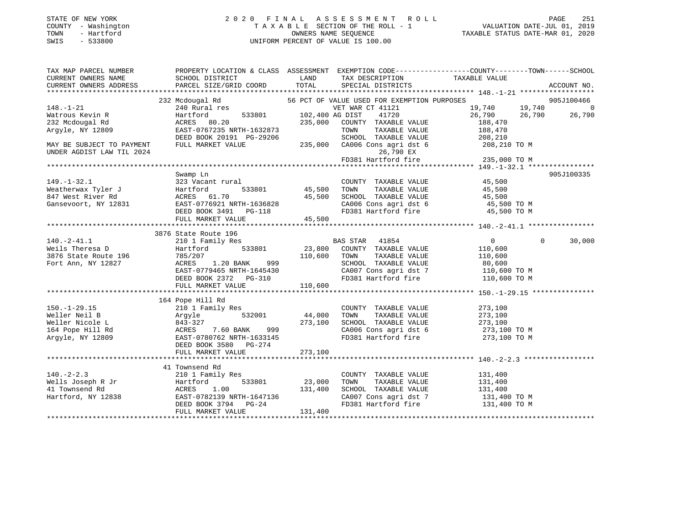### STATE OF NEW YORK 2 0 2 0 F I N A L A S S E S S M E N T R O L L PAGE 251 COUNTY - Washington T A X A B L E SECTION OF THE ROLL - 1 VALUATION DATE-JUL 01, 2019 TOWN - Hartford OWNERS NAME SEQUENCE TAXABLE STATUS DATE-MAR 01, 2020 SWIS - 533800 UNIFORM PERCENT OF VALUE IS 100.00

| TAXABLE VALUE<br><b>LAND</b><br>SCHOOL DISTRICT<br>TAX DESCRIPTION<br>PARCEL SIZE/GRID COORD<br>TOTAL<br>CURRENT OWNERS ADDRESS<br>SPECIAL DISTRICTS<br>ACCOUNT NO.<br>232 Mcdougal Rd<br>240 Rural res<br>56 PCT OF VALUE USED FOR EXEMPTION PURPOSES<br>905J100466<br>$19,740$ 19,740<br>$\overline{0}$<br>VET WAR CT 41121<br>533801 102,400 AG DIST<br>26,790 26,790<br>41720<br>26,790<br>Hartford<br>ACRES 80.20<br>235,000 COUNTY TAXABLE VALUE<br>188,470<br>EAST-0767235 NRTH-1632873<br>TAXABLE VALUE<br>188,470<br>TOWN<br>SCHOOL TAXABLE VALUE<br>DEED BOOK 20191 PG-29206<br>208,210<br>235,000 CA006 Cons agri dst 6<br>FULL MARKET VALUE<br>208,210 TO M<br>26,790 EX<br>FD381 Hartford fire 235,000 TO M<br>905J100335<br>Swamp Ln<br>COUNTY TAXABLE VALUE 45,500<br>323 Vacant rural<br>533801<br>45,500 TOWN<br>45,500 TOWN TAXABLE VALUE 45,500<br>45,500 SCHOOL TAXABLE VALUE 45,500<br>Gansevoort, NY 12831 EAST-0776921 NRTH-1636828<br>CA006 Cons agri dst 6 45,500 TO M<br>EAST-0776921 NRTH-1636828<br>DEED BOOK 3491 PG-118<br>FD381 Hartford fire<br>45,500 TO M<br>45,500<br>FULL MARKET VALUE<br>3876 State Route 196<br>$140.-2-41.1$<br>$\overline{0}$<br>$\overline{0}$<br>30,000<br>210 1 Family Res<br>Weils Theresa D<br>Hartford<br>110,600<br>110,600 TOWN<br>785/207<br>ACRES<br>3876 State Route 196<br>TAXABLE VALUE<br>110,600<br>ACRES 1.20 BANK 999<br>Fort Ann, NY 12827<br>SCHOOL TAXABLE VALUE<br>80,600<br>CA007 Cons agri dst 7<br>FD381 Hartford fire 110,600 TO M<br>FD381 Hartford fire 110,600 TO M<br>EAST-0779465 NRTH-1645430<br>DEED BOOK 2372 PG-310<br>110,600<br>FULL MARKET VALUE<br>164 Pope Hill Rd<br>$150. - 1 - 29.15$<br>210 1 Family Res<br>COUNTY TAXABLE VALUE<br>273,100<br>210 I Family Res<br>Argyle 632001 44,000<br>843-327 273,100<br>ACRES 7.60 BANK 999 273,100<br>EAST-0780762 NRTH-1633145<br>44,000 TOWN<br>Weller Neil B<br>TAXABLE VALUE<br>273,100<br>273,100<br>Weller Nicole L<br>SCHOOL TAXABLE VALUE<br>273,100<br>CA006 Cons agri dst 6<br>FD381 Hartford fire<br>164 Pope Hill Rd<br>273,100 TO M<br>273,100 TO M<br>Argyle, NY 12809<br>DEED BOOK 3580 PG-274<br>41 Townsend Rd | TAX MAP PARCEL NUMBER     |  | PROPERTY LOCATION & CLASS ASSESSMENT EXEMPTION CODE---------------COUNTY-------TOWN-----SCHOOL |  |
|---------------------------------------------------------------------------------------------------------------------------------------------------------------------------------------------------------------------------------------------------------------------------------------------------------------------------------------------------------------------------------------------------------------------------------------------------------------------------------------------------------------------------------------------------------------------------------------------------------------------------------------------------------------------------------------------------------------------------------------------------------------------------------------------------------------------------------------------------------------------------------------------------------------------------------------------------------------------------------------------------------------------------------------------------------------------------------------------------------------------------------------------------------------------------------------------------------------------------------------------------------------------------------------------------------------------------------------------------------------------------------------------------------------------------------------------------------------------------------------------------------------------------------------------------------------------------------------------------------------------------------------------------------------------------------------------------------------------------------------------------------------------------------------------------------------------------------------------------------------------------------------------------------------------------------------------------------------------------------------------------------------------------------------------------------------------------------------------------------------------------------------------------------------------------|---------------------------|--|------------------------------------------------------------------------------------------------|--|
|                                                                                                                                                                                                                                                                                                                                                                                                                                                                                                                                                                                                                                                                                                                                                                                                                                                                                                                                                                                                                                                                                                                                                                                                                                                                                                                                                                                                                                                                                                                                                                                                                                                                                                                                                                                                                                                                                                                                                                                                                                                                                                                                                                           | CURRENT OWNERS NAME       |  |                                                                                                |  |
|                                                                                                                                                                                                                                                                                                                                                                                                                                                                                                                                                                                                                                                                                                                                                                                                                                                                                                                                                                                                                                                                                                                                                                                                                                                                                                                                                                                                                                                                                                                                                                                                                                                                                                                                                                                                                                                                                                                                                                                                                                                                                                                                                                           |                           |  |                                                                                                |  |
|                                                                                                                                                                                                                                                                                                                                                                                                                                                                                                                                                                                                                                                                                                                                                                                                                                                                                                                                                                                                                                                                                                                                                                                                                                                                                                                                                                                                                                                                                                                                                                                                                                                                                                                                                                                                                                                                                                                                                                                                                                                                                                                                                                           |                           |  |                                                                                                |  |
|                                                                                                                                                                                                                                                                                                                                                                                                                                                                                                                                                                                                                                                                                                                                                                                                                                                                                                                                                                                                                                                                                                                                                                                                                                                                                                                                                                                                                                                                                                                                                                                                                                                                                                                                                                                                                                                                                                                                                                                                                                                                                                                                                                           |                           |  |                                                                                                |  |
|                                                                                                                                                                                                                                                                                                                                                                                                                                                                                                                                                                                                                                                                                                                                                                                                                                                                                                                                                                                                                                                                                                                                                                                                                                                                                                                                                                                                                                                                                                                                                                                                                                                                                                                                                                                                                                                                                                                                                                                                                                                                                                                                                                           | $148. - 1 - 21$           |  |                                                                                                |  |
|                                                                                                                                                                                                                                                                                                                                                                                                                                                                                                                                                                                                                                                                                                                                                                                                                                                                                                                                                                                                                                                                                                                                                                                                                                                                                                                                                                                                                                                                                                                                                                                                                                                                                                                                                                                                                                                                                                                                                                                                                                                                                                                                                                           | Watrous Kevin R           |  |                                                                                                |  |
|                                                                                                                                                                                                                                                                                                                                                                                                                                                                                                                                                                                                                                                                                                                                                                                                                                                                                                                                                                                                                                                                                                                                                                                                                                                                                                                                                                                                                                                                                                                                                                                                                                                                                                                                                                                                                                                                                                                                                                                                                                                                                                                                                                           | 232 Mcdougal Rd           |  |                                                                                                |  |
|                                                                                                                                                                                                                                                                                                                                                                                                                                                                                                                                                                                                                                                                                                                                                                                                                                                                                                                                                                                                                                                                                                                                                                                                                                                                                                                                                                                                                                                                                                                                                                                                                                                                                                                                                                                                                                                                                                                                                                                                                                                                                                                                                                           | Argyle, NY 12809          |  |                                                                                                |  |
|                                                                                                                                                                                                                                                                                                                                                                                                                                                                                                                                                                                                                                                                                                                                                                                                                                                                                                                                                                                                                                                                                                                                                                                                                                                                                                                                                                                                                                                                                                                                                                                                                                                                                                                                                                                                                                                                                                                                                                                                                                                                                                                                                                           |                           |  |                                                                                                |  |
|                                                                                                                                                                                                                                                                                                                                                                                                                                                                                                                                                                                                                                                                                                                                                                                                                                                                                                                                                                                                                                                                                                                                                                                                                                                                                                                                                                                                                                                                                                                                                                                                                                                                                                                                                                                                                                                                                                                                                                                                                                                                                                                                                                           | MAY BE SUBJECT TO PAYMENT |  |                                                                                                |  |
|                                                                                                                                                                                                                                                                                                                                                                                                                                                                                                                                                                                                                                                                                                                                                                                                                                                                                                                                                                                                                                                                                                                                                                                                                                                                                                                                                                                                                                                                                                                                                                                                                                                                                                                                                                                                                                                                                                                                                                                                                                                                                                                                                                           | UNDER AGDIST LAW TIL 2024 |  |                                                                                                |  |
|                                                                                                                                                                                                                                                                                                                                                                                                                                                                                                                                                                                                                                                                                                                                                                                                                                                                                                                                                                                                                                                                                                                                                                                                                                                                                                                                                                                                                                                                                                                                                                                                                                                                                                                                                                                                                                                                                                                                                                                                                                                                                                                                                                           |                           |  |                                                                                                |  |
|                                                                                                                                                                                                                                                                                                                                                                                                                                                                                                                                                                                                                                                                                                                                                                                                                                                                                                                                                                                                                                                                                                                                                                                                                                                                                                                                                                                                                                                                                                                                                                                                                                                                                                                                                                                                                                                                                                                                                                                                                                                                                                                                                                           |                           |  |                                                                                                |  |
|                                                                                                                                                                                                                                                                                                                                                                                                                                                                                                                                                                                                                                                                                                                                                                                                                                                                                                                                                                                                                                                                                                                                                                                                                                                                                                                                                                                                                                                                                                                                                                                                                                                                                                                                                                                                                                                                                                                                                                                                                                                                                                                                                                           |                           |  |                                                                                                |  |
|                                                                                                                                                                                                                                                                                                                                                                                                                                                                                                                                                                                                                                                                                                                                                                                                                                                                                                                                                                                                                                                                                                                                                                                                                                                                                                                                                                                                                                                                                                                                                                                                                                                                                                                                                                                                                                                                                                                                                                                                                                                                                                                                                                           | $149. - 1 - 32.1$         |  |                                                                                                |  |
|                                                                                                                                                                                                                                                                                                                                                                                                                                                                                                                                                                                                                                                                                                                                                                                                                                                                                                                                                                                                                                                                                                                                                                                                                                                                                                                                                                                                                                                                                                                                                                                                                                                                                                                                                                                                                                                                                                                                                                                                                                                                                                                                                                           |                           |  |                                                                                                |  |
|                                                                                                                                                                                                                                                                                                                                                                                                                                                                                                                                                                                                                                                                                                                                                                                                                                                                                                                                                                                                                                                                                                                                                                                                                                                                                                                                                                                                                                                                                                                                                                                                                                                                                                                                                                                                                                                                                                                                                                                                                                                                                                                                                                           |                           |  |                                                                                                |  |
|                                                                                                                                                                                                                                                                                                                                                                                                                                                                                                                                                                                                                                                                                                                                                                                                                                                                                                                                                                                                                                                                                                                                                                                                                                                                                                                                                                                                                                                                                                                                                                                                                                                                                                                                                                                                                                                                                                                                                                                                                                                                                                                                                                           |                           |  |                                                                                                |  |
|                                                                                                                                                                                                                                                                                                                                                                                                                                                                                                                                                                                                                                                                                                                                                                                                                                                                                                                                                                                                                                                                                                                                                                                                                                                                                                                                                                                                                                                                                                                                                                                                                                                                                                                                                                                                                                                                                                                                                                                                                                                                                                                                                                           |                           |  |                                                                                                |  |
|                                                                                                                                                                                                                                                                                                                                                                                                                                                                                                                                                                                                                                                                                                                                                                                                                                                                                                                                                                                                                                                                                                                                                                                                                                                                                                                                                                                                                                                                                                                                                                                                                                                                                                                                                                                                                                                                                                                                                                                                                                                                                                                                                                           |                           |  |                                                                                                |  |
|                                                                                                                                                                                                                                                                                                                                                                                                                                                                                                                                                                                                                                                                                                                                                                                                                                                                                                                                                                                                                                                                                                                                                                                                                                                                                                                                                                                                                                                                                                                                                                                                                                                                                                                                                                                                                                                                                                                                                                                                                                                                                                                                                                           |                           |  |                                                                                                |  |
|                                                                                                                                                                                                                                                                                                                                                                                                                                                                                                                                                                                                                                                                                                                                                                                                                                                                                                                                                                                                                                                                                                                                                                                                                                                                                                                                                                                                                                                                                                                                                                                                                                                                                                                                                                                                                                                                                                                                                                                                                                                                                                                                                                           |                           |  |                                                                                                |  |
|                                                                                                                                                                                                                                                                                                                                                                                                                                                                                                                                                                                                                                                                                                                                                                                                                                                                                                                                                                                                                                                                                                                                                                                                                                                                                                                                                                                                                                                                                                                                                                                                                                                                                                                                                                                                                                                                                                                                                                                                                                                                                                                                                                           |                           |  |                                                                                                |  |
|                                                                                                                                                                                                                                                                                                                                                                                                                                                                                                                                                                                                                                                                                                                                                                                                                                                                                                                                                                                                                                                                                                                                                                                                                                                                                                                                                                                                                                                                                                                                                                                                                                                                                                                                                                                                                                                                                                                                                                                                                                                                                                                                                                           |                           |  |                                                                                                |  |
|                                                                                                                                                                                                                                                                                                                                                                                                                                                                                                                                                                                                                                                                                                                                                                                                                                                                                                                                                                                                                                                                                                                                                                                                                                                                                                                                                                                                                                                                                                                                                                                                                                                                                                                                                                                                                                                                                                                                                                                                                                                                                                                                                                           |                           |  |                                                                                                |  |
|                                                                                                                                                                                                                                                                                                                                                                                                                                                                                                                                                                                                                                                                                                                                                                                                                                                                                                                                                                                                                                                                                                                                                                                                                                                                                                                                                                                                                                                                                                                                                                                                                                                                                                                                                                                                                                                                                                                                                                                                                                                                                                                                                                           |                           |  |                                                                                                |  |
|                                                                                                                                                                                                                                                                                                                                                                                                                                                                                                                                                                                                                                                                                                                                                                                                                                                                                                                                                                                                                                                                                                                                                                                                                                                                                                                                                                                                                                                                                                                                                                                                                                                                                                                                                                                                                                                                                                                                                                                                                                                                                                                                                                           |                           |  |                                                                                                |  |
|                                                                                                                                                                                                                                                                                                                                                                                                                                                                                                                                                                                                                                                                                                                                                                                                                                                                                                                                                                                                                                                                                                                                                                                                                                                                                                                                                                                                                                                                                                                                                                                                                                                                                                                                                                                                                                                                                                                                                                                                                                                                                                                                                                           |                           |  |                                                                                                |  |
|                                                                                                                                                                                                                                                                                                                                                                                                                                                                                                                                                                                                                                                                                                                                                                                                                                                                                                                                                                                                                                                                                                                                                                                                                                                                                                                                                                                                                                                                                                                                                                                                                                                                                                                                                                                                                                                                                                                                                                                                                                                                                                                                                                           |                           |  |                                                                                                |  |
|                                                                                                                                                                                                                                                                                                                                                                                                                                                                                                                                                                                                                                                                                                                                                                                                                                                                                                                                                                                                                                                                                                                                                                                                                                                                                                                                                                                                                                                                                                                                                                                                                                                                                                                                                                                                                                                                                                                                                                                                                                                                                                                                                                           |                           |  |                                                                                                |  |
|                                                                                                                                                                                                                                                                                                                                                                                                                                                                                                                                                                                                                                                                                                                                                                                                                                                                                                                                                                                                                                                                                                                                                                                                                                                                                                                                                                                                                                                                                                                                                                                                                                                                                                                                                                                                                                                                                                                                                                                                                                                                                                                                                                           |                           |  |                                                                                                |  |
|                                                                                                                                                                                                                                                                                                                                                                                                                                                                                                                                                                                                                                                                                                                                                                                                                                                                                                                                                                                                                                                                                                                                                                                                                                                                                                                                                                                                                                                                                                                                                                                                                                                                                                                                                                                                                                                                                                                                                                                                                                                                                                                                                                           |                           |  |                                                                                                |  |
|                                                                                                                                                                                                                                                                                                                                                                                                                                                                                                                                                                                                                                                                                                                                                                                                                                                                                                                                                                                                                                                                                                                                                                                                                                                                                                                                                                                                                                                                                                                                                                                                                                                                                                                                                                                                                                                                                                                                                                                                                                                                                                                                                                           |                           |  |                                                                                                |  |
|                                                                                                                                                                                                                                                                                                                                                                                                                                                                                                                                                                                                                                                                                                                                                                                                                                                                                                                                                                                                                                                                                                                                                                                                                                                                                                                                                                                                                                                                                                                                                                                                                                                                                                                                                                                                                                                                                                                                                                                                                                                                                                                                                                           |                           |  |                                                                                                |  |
|                                                                                                                                                                                                                                                                                                                                                                                                                                                                                                                                                                                                                                                                                                                                                                                                                                                                                                                                                                                                                                                                                                                                                                                                                                                                                                                                                                                                                                                                                                                                                                                                                                                                                                                                                                                                                                                                                                                                                                                                                                                                                                                                                                           |                           |  |                                                                                                |  |
|                                                                                                                                                                                                                                                                                                                                                                                                                                                                                                                                                                                                                                                                                                                                                                                                                                                                                                                                                                                                                                                                                                                                                                                                                                                                                                                                                                                                                                                                                                                                                                                                                                                                                                                                                                                                                                                                                                                                                                                                                                                                                                                                                                           |                           |  |                                                                                                |  |
|                                                                                                                                                                                                                                                                                                                                                                                                                                                                                                                                                                                                                                                                                                                                                                                                                                                                                                                                                                                                                                                                                                                                                                                                                                                                                                                                                                                                                                                                                                                                                                                                                                                                                                                                                                                                                                                                                                                                                                                                                                                                                                                                                                           |                           |  |                                                                                                |  |
|                                                                                                                                                                                                                                                                                                                                                                                                                                                                                                                                                                                                                                                                                                                                                                                                                                                                                                                                                                                                                                                                                                                                                                                                                                                                                                                                                                                                                                                                                                                                                                                                                                                                                                                                                                                                                                                                                                                                                                                                                                                                                                                                                                           |                           |  |                                                                                                |  |
|                                                                                                                                                                                                                                                                                                                                                                                                                                                                                                                                                                                                                                                                                                                                                                                                                                                                                                                                                                                                                                                                                                                                                                                                                                                                                                                                                                                                                                                                                                                                                                                                                                                                                                                                                                                                                                                                                                                                                                                                                                                                                                                                                                           |                           |  |                                                                                                |  |
|                                                                                                                                                                                                                                                                                                                                                                                                                                                                                                                                                                                                                                                                                                                                                                                                                                                                                                                                                                                                                                                                                                                                                                                                                                                                                                                                                                                                                                                                                                                                                                                                                                                                                                                                                                                                                                                                                                                                                                                                                                                                                                                                                                           |                           |  |                                                                                                |  |
|                                                                                                                                                                                                                                                                                                                                                                                                                                                                                                                                                                                                                                                                                                                                                                                                                                                                                                                                                                                                                                                                                                                                                                                                                                                                                                                                                                                                                                                                                                                                                                                                                                                                                                                                                                                                                                                                                                                                                                                                                                                                                                                                                                           |                           |  |                                                                                                |  |
| 210 1 Family Res<br>COUNTY TAXABLE VALUE<br>131,400<br>140.-2-2.3<br>Wells Joseph R Jr<br>41 Townsend Rd<br>Hartford, NY 12838                                                                                                                                                                                                                                                                                                                                                                                                                                                                                                                                                                                                                                                                                                                                                                                                                                                                                                                                                                                                                                                                                                                                                                                                                                                                                                                                                                                                                                                                                                                                                                                                                                                                                                                                                                                                                                                                                                                                                                                                                                            | $140. -2 - 2.3$           |  |                                                                                                |  |
| 533801 23,000<br>TAXABLE VALUE<br>Hartford<br>TOWN<br>131,400                                                                                                                                                                                                                                                                                                                                                                                                                                                                                                                                                                                                                                                                                                                                                                                                                                                                                                                                                                                                                                                                                                                                                                                                                                                                                                                                                                                                                                                                                                                                                                                                                                                                                                                                                                                                                                                                                                                                                                                                                                                                                                             |                           |  |                                                                                                |  |
| 131,400<br>131,400<br>1.00<br>SCHOOL TAXABLE VALUE<br>ACRES                                                                                                                                                                                                                                                                                                                                                                                                                                                                                                                                                                                                                                                                                                                                                                                                                                                                                                                                                                                                                                                                                                                                                                                                                                                                                                                                                                                                                                                                                                                                                                                                                                                                                                                                                                                                                                                                                                                                                                                                                                                                                                               |                           |  |                                                                                                |  |
| EAST-0782139 NRTH-1647136<br>DEED BOOK 3794 PG-24<br>CA007 Cons agri dst 7<br>131,400 TO M<br>131,400 TO M                                                                                                                                                                                                                                                                                                                                                                                                                                                                                                                                                                                                                                                                                                                                                                                                                                                                                                                                                                                                                                                                                                                                                                                                                                                                                                                                                                                                                                                                                                                                                                                                                                                                                                                                                                                                                                                                                                                                                                                                                                                                |                           |  |                                                                                                |  |
| FD381 Hartford fire                                                                                                                                                                                                                                                                                                                                                                                                                                                                                                                                                                                                                                                                                                                                                                                                                                                                                                                                                                                                                                                                                                                                                                                                                                                                                                                                                                                                                                                                                                                                                                                                                                                                                                                                                                                                                                                                                                                                                                                                                                                                                                                                                       |                           |  |                                                                                                |  |
| 131,400<br>FULL MARKET VALUE                                                                                                                                                                                                                                                                                                                                                                                                                                                                                                                                                                                                                                                                                                                                                                                                                                                                                                                                                                                                                                                                                                                                                                                                                                                                                                                                                                                                                                                                                                                                                                                                                                                                                                                                                                                                                                                                                                                                                                                                                                                                                                                                              |                           |  |                                                                                                |  |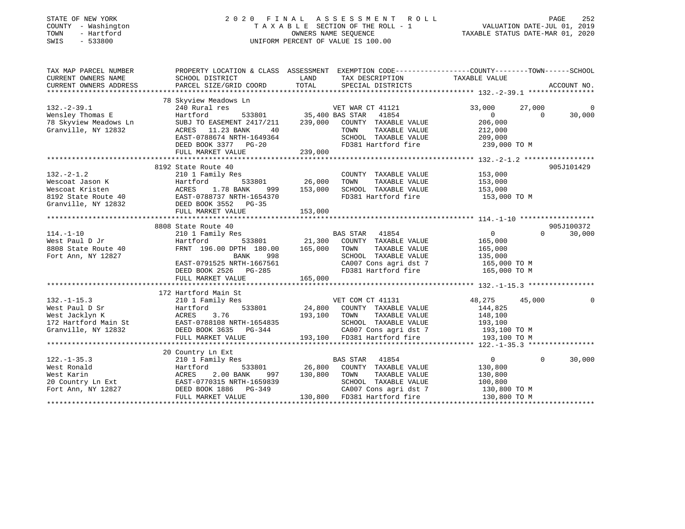| STATE OF NEW YORK<br>COUNTY - Washington<br>TOWN<br>- Hartford<br>SWIS<br>$-533800$ | 2020 FINAL ASSESSMENT<br>R O L L<br>TAXABLE SECTION OF THE ROLL - 1<br>OWNERS NAME SEQUENCE<br>UNIFORM PERCENT OF VALUE IS 100.00              |                 |                                              |                | PAGE<br>252<br>VALUATION DATE-JUL 01, 2019<br>TAXABLE STATUS DATE-MAR 01, 2020 |             |  |
|-------------------------------------------------------------------------------------|------------------------------------------------------------------------------------------------------------------------------------------------|-----------------|----------------------------------------------|----------------|--------------------------------------------------------------------------------|-------------|--|
| TAX MAP PARCEL NUMBER<br>CURRENT OWNERS NAME<br>CURRENT OWNERS ADDRESS              | PROPERTY LOCATION & CLASS ASSESSMENT EXEMPTION CODE----------------COUNTY--------TOWN------SCHOOL<br>SCHOOL DISTRICT<br>PARCEL SIZE/GRID COORD | LAND<br>TOTAL   | TAX DESCRIPTION<br>SPECIAL DISTRICTS         | TAXABLE VALUE  |                                                                                | ACCOUNT NO. |  |
|                                                                                     |                                                                                                                                                |                 |                                              |                |                                                                                |             |  |
|                                                                                     | 78 Skyview Meadows Ln                                                                                                                          |                 |                                              |                |                                                                                |             |  |
| $132. - 2 - 39.1$                                                                   | 240 Rural res                                                                                                                                  |                 | VET WAR CT 41121                             | 33,000         | 27,000                                                                         |             |  |
| Wensley Thomas E                                                                    | Hartford<br>533801                                                                                                                             | 35,400 BAS STAR | 41854                                        | $\circ$        | $\Omega$                                                                       | 30,000      |  |
| 78 Skyview Meadows Ln                                                               | SUBJ TO EASEMENT 2417/211                                                                                                                      | 239,000         | COUNTY TAXABLE VALUE                         | 206,000        |                                                                                |             |  |
| Granville, NY 12832                                                                 | ACRES 11.23 BANK<br>40                                                                                                                         |                 | TOWN<br>TAXABLE VALUE                        | 212,000        |                                                                                |             |  |
|                                                                                     | EAST-0788674 NRTH-1649364                                                                                                                      |                 | SCHOOL TAXABLE VALUE                         | 209,000        |                                                                                |             |  |
|                                                                                     | DEED BOOK 3377 PG-20                                                                                                                           | 239,000         | FD381 Hartford fire                          | 239,000 TO M   |                                                                                |             |  |
|                                                                                     | FULL MARKET VALUE                                                                                                                              |                 |                                              |                |                                                                                |             |  |
|                                                                                     | 8192 State Route 40                                                                                                                            |                 |                                              |                |                                                                                | 905J101429  |  |
| $132 - 2 - 1.2$                                                                     | 210 1 Family Res                                                                                                                               |                 | COUNTY TAXABLE VALUE                         | 153,000        |                                                                                |             |  |
| Wescoat Jason K                                                                     | 533801<br>Hartford                                                                                                                             | 26,000          | TOWN<br>TAXABLE VALUE                        | 153,000        |                                                                                |             |  |
| Wescoat Kristen                                                                     | 1.78 BANK<br>ACRES<br>999                                                                                                                      | 153,000         | SCHOOL TAXABLE VALUE                         | 153,000        |                                                                                |             |  |
| 8192 State Route 40                                                                 | EAST-0788737 NRTH-1654370<br>DEED BOOK 3552 DG-35                                                                                              |                 | FD381 Hartford fire                          | 153,000 TO M   |                                                                                |             |  |
| Granville, NY 12832                                                                 |                                                                                                                                                |                 |                                              |                |                                                                                |             |  |
|                                                                                     | FULL MARKET VALUE                                                                                                                              | 153,000         |                                              |                |                                                                                |             |  |
|                                                                                     |                                                                                                                                                |                 |                                              |                |                                                                                |             |  |
|                                                                                     | 8808 State Route 40                                                                                                                            |                 |                                              |                |                                                                                | 905J100372  |  |
| $114. - 1 - 10$                                                                     | 210 1 Family Res                                                                                                                               |                 | <b>BAS STAR</b><br>41854                     | $\overline{0}$ | $\Omega$                                                                       | 30,000      |  |
| West Paul D Jr                                                                      | Hartford<br>533801                                                                                                                             | 21,300          | COUNTY TAXABLE VALUE                         | 165,000        |                                                                                |             |  |
| 8808 State Route 40                                                                 | FRNT 196.00 DPTH 180.00                                                                                                                        | 165,000         | TAXABLE VALUE<br>TOWN                        | 165,000        |                                                                                |             |  |
| Fort Ann, NY 12827                                                                  | BANK<br>998                                                                                                                                    |                 | SCHOOL TAXABLE VALUE                         | 135,000        |                                                                                |             |  |
|                                                                                     | EAST-0791525 NRTH-1667561                                                                                                                      |                 | CA007 Cons agri dst 7<br>FD381 Hartford fire | 165,000 TO M   |                                                                                |             |  |
|                                                                                     | DEED BOOK 2526 PG-285<br>FULL MARKET VALUE                                                                                                     | 165,000         |                                              | 165,000 TO M   |                                                                                |             |  |
|                                                                                     |                                                                                                                                                |                 |                                              |                |                                                                                |             |  |
|                                                                                     | 172 Hartford Main St                                                                                                                           |                 |                                              |                |                                                                                |             |  |
| $132. - 1 - 15.3$                                                                   | 210 1 Family Res                                                                                                                               |                 | VET COM CT 41131                             | 48,275         | 45,000                                                                         | $\Omega$    |  |
| West Paul D Sr                                                                      | Hartford<br>533801                                                                                                                             | 24,800          | COUNTY TAXABLE VALUE                         | 144,825        |                                                                                |             |  |
| West Jacklyn K                                                                      | 3.76<br>ACRES                                                                                                                                  | 193,100         | TOWN<br>TAXABLE VALUE                        | 148,100        |                                                                                |             |  |
| 172 Hartford Main St                                                                | EAST-0788108 NRTH-1654835                                                                                                                      |                 | SCHOOL TAXABLE VALUE                         | 193,100        |                                                                                |             |  |
| Granville, NY 12832                                                                 | DEED BOOK 3635 PG-344                                                                                                                          |                 | CA007 Cons agri dst 7                        | 193,100 TO M   |                                                                                |             |  |
|                                                                                     | FULL MARKET VALUE                                                                                                                              | 193,100         | FD381 Hartford fire                          | 193,100 TO M   |                                                                                |             |  |
|                                                                                     |                                                                                                                                                |                 |                                              |                |                                                                                |             |  |
|                                                                                     | 20 Country Ln Ext                                                                                                                              |                 |                                              |                |                                                                                |             |  |
| $122. - 1 - 35.3$                                                                   | 210 1 Family Res                                                                                                                               |                 | <b>BAS STAR</b><br>41854                     | $\overline{0}$ | $\Omega$                                                                       | 30,000      |  |
| West Ronald                                                                         | Hartford<br>533801                                                                                                                             | 26,800          | COUNTY TAXABLE VALUE                         | 130,800        |                                                                                |             |  |
| West Karin                                                                          | ACRES<br>2.00 BANK<br>997                                                                                                                      | 130,800         | TOWN<br>TAXABLE VALUE                        | 130,800        |                                                                                |             |  |
| 20 Country Ln Ext                                                                   | EAST-0770315 NRTH-1659839                                                                                                                      |                 | SCHOOL TAXABLE VALUE                         | 100,800        |                                                                                |             |  |
| Fort Ann, NY 12827                                                                  | DEED BOOK 1886<br>PG-349                                                                                                                       |                 | CA007 Cons agri dst 7                        | 130,800 TO M   |                                                                                |             |  |
|                                                                                     | FULL MARKET VALUE                                                                                                                              |                 | 130,800 FD381 Hartford fire                  | 130,800 TO M   |                                                                                |             |  |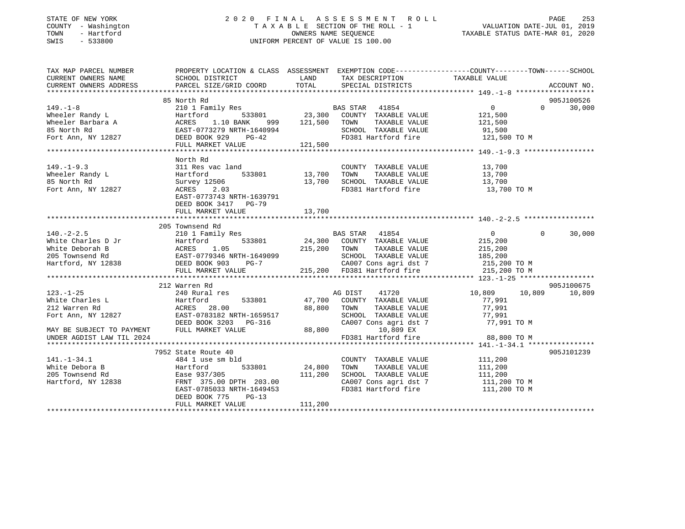# STATE OF NEW YORK 2 0 2 0 F I N A L A S S E S S M E N T R O L L PAGE 253 COUNTY - Washington T A X A B L E SECTION OF THE ROLL - 1 VALUATION DATE-JUL 01, 2019 TOWN - Hartford OWNERS NAME SEQUENCE TAXABLE STATUS DATE-MAR 01, 2020 SWIS - 533800 UNIFORM PERCENT OF VALUE IS 100.00

| TAX MAP PARCEL NUMBER                                                                                   | PROPERTY LOCATION & CLASS ASSESSMENT EXEMPTION CODE---------------COUNTY-------TOWN-----SCHOOL                                                                                                                                                                         |         |                                                                                               |                      |                    |
|---------------------------------------------------------------------------------------------------------|------------------------------------------------------------------------------------------------------------------------------------------------------------------------------------------------------------------------------------------------------------------------|---------|-----------------------------------------------------------------------------------------------|----------------------|--------------------|
| CURRENT OWNERS NAME                                                                                     | SCHOOL DISTRICT                                                                                                                                                                                                                                                        |         | LAND TAX DESCRIPTION                                                                          | TAXABLE VALUE        |                    |
| CURRENT OWNERS ADDRESS                                                                                  | PARCEL SIZE/GRID COORD TOTAL SPECIAL DISTRICTS                                                                                                                                                                                                                         |         |                                                                                               |                      | ACCOUNT NO.        |
|                                                                                                         |                                                                                                                                                                                                                                                                        |         |                                                                                               |                      |                    |
|                                                                                                         | 85 North Rd                                                                                                                                                                                                                                                            |         |                                                                                               |                      | 905J100526         |
| $149. - 1 - 8$                                                                                          | NUCLO NO USA BAS STAR 41854 (1995)<br>210 1 Family Res (23,300 COUNTY TAXABLE VALUE 121,500 (2001)                                                                                                                                                                     |         |                                                                                               |                      | $0 \t 0 \t 30,000$ |
|                                                                                                         |                                                                                                                                                                                                                                                                        |         |                                                                                               |                      |                    |
|                                                                                                         |                                                                                                                                                                                                                                                                        |         |                                                                                               |                      |                    |
|                                                                                                         |                                                                                                                                                                                                                                                                        |         |                                                                                               |                      |                    |
|                                                                                                         |                                                                                                                                                                                                                                                                        |         |                                                                                               |                      |                    |
|                                                                                                         |                                                                                                                                                                                                                                                                        |         |                                                                                               |                      |                    |
|                                                                                                         |                                                                                                                                                                                                                                                                        |         |                                                                                               |                      |                    |
|                                                                                                         | North Rd                                                                                                                                                                                                                                                               |         |                                                                                               |                      |                    |
| $149. - 1 - 9.3$                                                                                        | c land COUNT<br>533801 13,700 TOWN<br>311 Res vac land                                                                                                                                                                                                                 |         |                                                                                               |                      |                    |
|                                                                                                         | Hartford                                                                                                                                                                                                                                                               |         |                                                                                               |                      |                    |
|                                                                                                         |                                                                                                                                                                                                                                                                        |         |                                                                                               |                      |                    |
| 149.-1-9.3<br>Wheeler Randy L<br>85 North Rd<br>Fort Ann, NY 12827                                      | Survey 12506<br>ACRES 2.03<br>BORES 2.03<br>BORES 2.03<br>BORES 2.03<br>BORES<br>BORES<br>BORES 2.03<br>BORES<br>BORES<br>BORES 2.03<br>BORES<br>BORES 2.03<br>DORES<br>BORES 2.03<br>DORES<br>DORES 13,700<br>DORES 19.04<br>DORES 19.04<br>DORES 19.04<br>DORES 19.0 |         |                                                                                               |                      |                    |
|                                                                                                         | EAST-0773743 NRTH-1639791                                                                                                                                                                                                                                              |         |                                                                                               |                      |                    |
|                                                                                                         | DEED BOOK 3417 PG-79                                                                                                                                                                                                                                                   |         |                                                                                               |                      |                    |
|                                                                                                         | FULL MARKET VALUE                                                                                                                                                                                                                                                      | 13,700  |                                                                                               |                      |                    |
|                                                                                                         |                                                                                                                                                                                                                                                                        |         |                                                                                               |                      |                    |
|                                                                                                         | 205 Townsend Rd                                                                                                                                                                                                                                                        |         |                                                                                               |                      |                    |
|                                                                                                         |                                                                                                                                                                                                                                                                        |         |                                                                                               |                      | $\Omega$<br>30,000 |
|                                                                                                         |                                                                                                                                                                                                                                                                        |         |                                                                                               |                      |                    |
|                                                                                                         |                                                                                                                                                                                                                                                                        |         |                                                                                               |                      |                    |
|                                                                                                         |                                                                                                                                                                                                                                                                        |         |                                                                                               |                      |                    |
|                                                                                                         |                                                                                                                                                                                                                                                                        |         |                                                                                               |                      |                    |
|                                                                                                         |                                                                                                                                                                                                                                                                        |         |                                                                                               |                      |                    |
|                                                                                                         |                                                                                                                                                                                                                                                                        |         |                                                                                               |                      |                    |
|                                                                                                         | 212 Warren Rd                                                                                                                                                                                                                                                          |         |                                                                                               |                      | 905J100675         |
| $123. - 1 - 25$                                                                                         | 240 Rural res                                                                                                                                                                                                                                                          |         | AG DIST 41720                                                                                 | 10,809 10,809 10,809 |                    |
|                                                                                                         |                                                                                                                                                                                                                                                                        |         | 533801 47,700 COUNTY TAXABLE VALUE                                                            | 77,991               |                    |
|                                                                                                         |                                                                                                                                                                                                                                                                        |         |                                                                                               |                      |                    |
|                                                                                                         |                                                                                                                                                                                                                                                                        |         |                                                                                               |                      |                    |
|                                                                                                         |                                                                                                                                                                                                                                                                        |         | TOWN TAXABLE VALUE 77,991<br>SCHOOL TAXABLE VALUE 77,991<br>CA007 Cons agri dst 7 77,991 TO M |                      |                    |
|                                                                                                         |                                                                                                                                                                                                                                                                        |         |                                                                                               |                      |                    |
| UNDER AGDIST LAW TIL 2024                                                                               |                                                                                                                                                                                                                                                                        |         | $10,809$ EX<br>FD381 Hartford fire $88,800$ TO M                                              |                      |                    |
|                                                                                                         |                                                                                                                                                                                                                                                                        |         |                                                                                               |                      |                    |
|                                                                                                         | 7952 State Route 40                                                                                                                                                                                                                                                    |         |                                                                                               |                      | 905J101239         |
| 141.-1-34.1<br>White Debora B (Martford Hartford Ease 937/305<br>205 Townsend Rd (Martford Ease 937/305 | 484 1 use sm bld                                                                                                                                                                                                                                                       |         | COUNTY TAXABLE VALUE 111,200                                                                  |                      |                    |
|                                                                                                         |                                                                                                                                                                                                                                                                        |         |                                                                                               |                      |                    |
|                                                                                                         |                                                                                                                                                                                                                                                                        |         |                                                                                               |                      |                    |
| Hartford, NY 12838                                                                                      |                                                                                                                                                                                                                                                                        |         |                                                                                               |                      |                    |
|                                                                                                         | Hartford 533801 24,800 TOWN<br>Ease 937/305 111,200 SCHOOL<br>FRNT 375.00 DPTH 203.00 CA007 CC<br>EAST-0785033 NRTH-1649453 FD381 Hz                                                                                                                                   |         | CA007 Cons agri dst 7 111,200 TO M<br>FD381 Hartford fire                                     | 111,200 TO M         |                    |
|                                                                                                         | DEED BOOK 775<br>$PG-13$                                                                                                                                                                                                                                               |         |                                                                                               |                      |                    |
|                                                                                                         | FULL MARKET VALUE                                                                                                                                                                                                                                                      | 111,200 |                                                                                               |                      |                    |
|                                                                                                         |                                                                                                                                                                                                                                                                        |         |                                                                                               |                      |                    |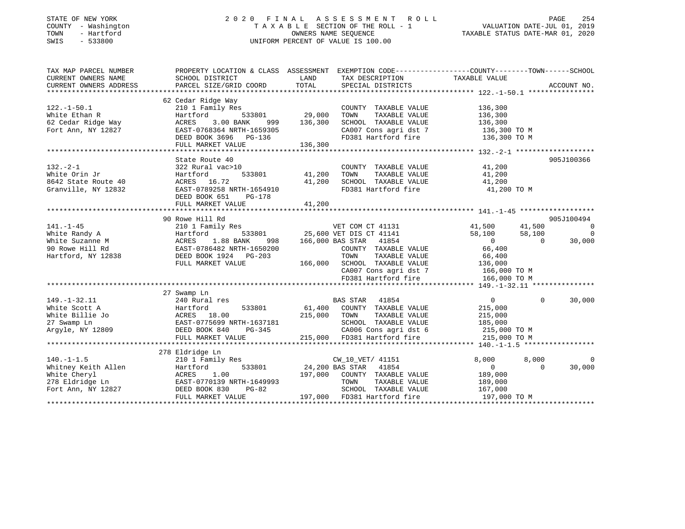## STATE OF NEW YORK 2 0 2 0 F I N A L A S S E S S M E N T R O L L PAGE 254COUNTY - Washington  $T A X A B L E$  SECTION OF THE ROLL - 1<br>TOWN - Hartford TOWN - Hartford **Taxable STATUS DATE-MAR 01, 2020** OWNERS NAME SEQUENCE TAXABLE STATUS DATE-MAR 01, 2020 SWIS - 533800 UNIFORM PERCENT OF VALUE IS 100.00

VALUATION DATE-JUL 01, 2019

| TAX MAP PARCEL NUMBER<br>CURRENT OWNERS NAME | PROPERTY LOCATION & CLASS ASSESSMENT EXEMPTION CODE---------------COUNTY-------TOWN------SCHOOL<br>SCHOOL DISTRICT | LAND            | TAX DESCRIPTION                                                    | TAXABLE VALUE  |           |                |
|----------------------------------------------|--------------------------------------------------------------------------------------------------------------------|-----------------|--------------------------------------------------------------------|----------------|-----------|----------------|
| CURRENT OWNERS ADDRESS                       | PARCEL SIZE/GRID COORD                                                                                             | TOTAL           | SPECIAL DISTRICTS                                                  |                |           | ACCOUNT NO.    |
|                                              |                                                                                                                    |                 |                                                                    |                |           |                |
|                                              | 62 Cedar Ridge Way                                                                                                 |                 |                                                                    |                |           |                |
| $122. - 1 - 50.1$                            | 210 1 Family Res                                                                                                   |                 | COUNTY TAXABLE VALUE                                               | 136,300        |           |                |
| White Ethan R                                | Hartford<br>533801                                                                                                 | 29,000          | TAXABLE VALUE<br>TOWN                                              | 136,300        |           |                |
| 62 Cedar Ridge Way                           | ACRES<br>3.00 BANK<br>999                                                                                          | 136,300         | SCHOOL TAXABLE VALUE                                               | 136,300        |           |                |
| Fort Ann, NY 12827                           | EAST-0768364 NRTH-1659305                                                                                          |                 | CA007 Cons agri dst 7                                              | 136,300 TO M   |           |                |
|                                              | DEED BOOK 3696 PG-136                                                                                              |                 | FD381 Hartford fire                                                | 136,300 TO M   |           |                |
|                                              | FULL MARKET VALUE                                                                                                  | 136,300         |                                                                    |                |           |                |
|                                              |                                                                                                                    |                 |                                                                    |                |           |                |
|                                              | State Route 40                                                                                                     |                 |                                                                    |                |           | 905J100366     |
| $132 - 2 - 1$                                | 322 Rural vac>10                                                                                                   |                 | COUNTY TAXABLE VALUE                                               | 41,200         |           |                |
| White Orin Jr                                | 533801<br>Hartford                                                                                                 | 41,200          | TOWN<br>TAXABLE VALUE                                              | 41,200         |           |                |
| 8642 State Route 40                          | ACRES 16.72                                                                                                        | 41,200          | SCHOOL TAXABLE VALUE                                               | 41,200         |           |                |
| Granville, NY 12832                          | EAST-0789258 NRTH-1654910                                                                                          |                 | FD381 Hartford fire                                                | 41,200 TO M    |           |                |
|                                              | DEED BOOK 651<br>PG-178                                                                                            |                 |                                                                    |                |           |                |
|                                              | FULL MARKET VALUE                                                                                                  | 41,200          |                                                                    |                |           |                |
|                                              |                                                                                                                    |                 |                                                                    |                |           |                |
|                                              | 90 Rowe Hill Rd                                                                                                    |                 |                                                                    |                |           | 905J100494     |
| $141. - 1 - 45$                              | 210 1 Family Res                                                                                                   |                 | VET COM CT 41131                                                   | 41,500         | 41,500    | $\overline{0}$ |
| White Randy A                                | Hartford                                                                                                           |                 | 533801 25,600 VET DIS CT 41141                                     | 58,100         | 58,100    | $\overline{0}$ |
| White Suzanne M                              | ACRES<br>1.88 BANK<br>998                                                                                          |                 | 166,000 BAS STAR 41854                                             | $\overline{0}$ | $\bigcap$ | 30,000         |
| 90 Rowe Hill Rd                              | EAST-0786482 NRTH-1650200                                                                                          |                 | COUNTY TAXABLE VALUE                                               | 66,400         |           |                |
| Hartford, NY 12838                           | DEED BOOK 1924 PG-203                                                                                              |                 |                                                                    | 66,400         |           |                |
|                                              | FULL MARKET VALUE                                                                                                  |                 |                                                                    | 136,000        |           |                |
|                                              |                                                                                                                    |                 | 166,000 SCHOOL TAXABLE VALUE<br>CA007 Cons agri dst 7 166,000 TO M |                |           |                |
|                                              |                                                                                                                    |                 | FD381 Hartford fire                                                | 166,000 TO M   |           |                |
|                                              |                                                                                                                    |                 |                                                                    |                |           |                |
|                                              | 27 Swamp Ln                                                                                                        |                 |                                                                    |                |           |                |
| $149. - 1 - 32.11$                           | 240 Rural res                                                                                                      |                 | BAS STAR 41854                                                     | 0              | $\Omega$  | 30,000         |
| White Scott A                                | Hartford<br>533801                                                                                                 | 61,400          | COUNTY TAXABLE VALUE                                               | 215,000        |           |                |
| White Billie Jo                              | ACRES 18.00                                                                                                        | 215,000         | TOWN<br>TAXABLE VALUE                                              | 215,000        |           |                |
| 27 Swamp Ln                                  | EAST-0775699 NRTH-1637181                                                                                          |                 | SCHOOL TAXABLE VALUE                                               | 185,000        |           |                |
| Argyle, NY 12809                             | DEED BOOK 840<br>PG-345                                                                                            | $\mathbf{r}$    | CA006 Cons agri dst 6                                              | 215,000 TO M   |           |                |
|                                              | FULL MARKET VALUE                                                                                                  |                 | 215,000 FD381 Hartford fire                                        | 215,000 TO M   |           |                |
|                                              |                                                                                                                    |                 |                                                                    |                |           |                |
|                                              | 278 Eldridge Ln                                                                                                    |                 |                                                                    |                |           |                |
| $140. - 1 - 1.5$                             | 210 1 Family Res                                                                                                   |                 | CW 10 VET/ 41151                                                   | 8.000          | 8,000     | $\Omega$       |
| Whitney Keith Allen                          | 533801<br>Hartford                                                                                                 | 24,200 BAS STAR | 41854                                                              | $\overline{0}$ | $\Omega$  | 30,000         |
| White Cheryl                                 | ACRES<br>1.00                                                                                                      | 197,000         | COUNTY TAXABLE VALUE                                               | 189,000        |           |                |
| 278 Eldridge Ln                              | EAST-0770139 NRTH-1649993                                                                                          |                 | TOWN<br>TAXABLE VALUE                                              | 189,000        |           |                |
| Fort Ann, NY 12827                           | DEED BOOK 830<br>$PG-82$                                                                                           |                 | SCHOOL TAXABLE VALUE                                               | 167,000        |           |                |
|                                              | FULL MARKET VALUE                                                                                                  | 197,000         | FD381 Hartford fire                                                | 197,000 TO M   |           |                |
|                                              |                                                                                                                    |                 |                                                                    |                |           |                |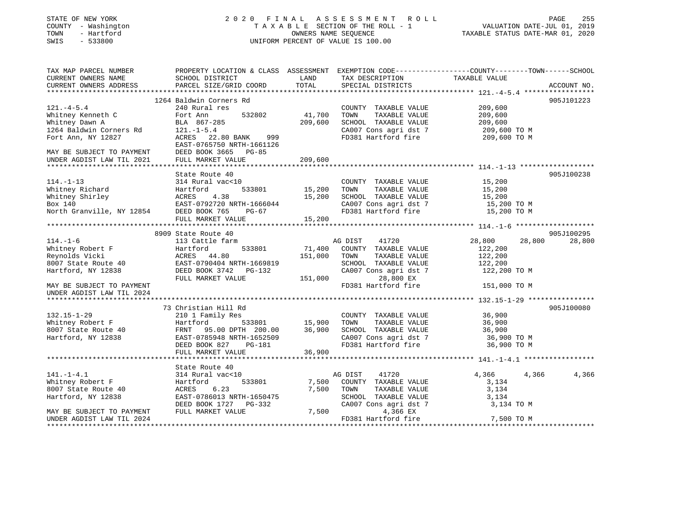# STATE OF NEW YORK 2 0 2 0 F I N A L A S S E S S M E N T R O L L PAGE 255 COUNTY - Washington T A X A B L E SECTION OF THE ROLL - 1 VALUATION DATE-JUL 01, 2019 TOWN - Hartford OWNERS NAME SEQUENCE TAXABLE STATUS DATE-MAR 01, 2020 SWIS - 533800 UNIFORM PERCENT OF VALUE IS 100.00UNIFORM PERCENT OF VALUE IS 100.00

| TAX MAP PARCEL NUMBER<br>CURRENT OWNERS NAME<br>CURRENT OWNERS ADDRESS | PROPERTY LOCATION & CLASS ASSESSMENT EXEMPTION CODE---------------COUNTY-------TOWN-----SCHOOL<br>SCHOOL DISTRICT<br>PARCEL SIZE/GRID COORD | LAND<br>TOTAL | TAX DESCRIPTION<br>SPECIAL DISTRICTS | TAXABLE VALUE    | ACCOUNT NO. |
|------------------------------------------------------------------------|---------------------------------------------------------------------------------------------------------------------------------------------|---------------|--------------------------------------|------------------|-------------|
|                                                                        |                                                                                                                                             |               |                                      |                  |             |
|                                                                        | 1264 Baldwin Corners Rd                                                                                                                     |               |                                      |                  | 905J101223  |
| $121. -4-5.4$                                                          | 240 Rural res                                                                                                                               |               | COUNTY TAXABLE VALUE                 | 209,600          |             |
| Whitney Kenneth C                                                      | 532802<br>Fort Ann                                                                                                                          | 41,700        | TOWN<br>TAXABLE VALUE                | 209,600          |             |
| Whitney Dawn A                                                         | BLA 867-285                                                                                                                                 | 209,600       | SCHOOL TAXABLE VALUE                 | 209,600          |             |
| 1264 Baldwin Corners Rd                                                | $121. - 1 - 5.4$                                                                                                                            |               | CA007 Cons agri dst 7                | 209,600 TO M     |             |
| Fort Ann, NY 12827                                                     | ACRES 22.80 BANK<br>999                                                                                                                     |               | FD381 Hartford fire                  | 209,600 TO M     |             |
|                                                                        | EAST-0765750 NRTH-1661126                                                                                                                   |               |                                      |                  |             |
| MAY BE SUBJECT TO PAYMENT                                              | DEED BOOK 3665 PG-85                                                                                                                        |               |                                      |                  |             |
| UNDER AGDIST LAW TIL 2021                                              | FULL MARKET VALUE                                                                                                                           | 209,600       |                                      |                  |             |
|                                                                        |                                                                                                                                             |               |                                      |                  |             |
|                                                                        | State Route 40                                                                                                                              |               |                                      |                  | 905J100238  |
| $114. - 1 - 13$                                                        | 314 Rural vac<10                                                                                                                            |               | COUNTY TAXABLE VALUE                 | 15,200           |             |
| Whitney Richard                                                        | 533801<br>Hartford                                                                                                                          | 15,200        | TOWN<br>TAXABLE VALUE                | 15,200           |             |
| Whitney Shirley                                                        | 4.38<br>ACRES                                                                                                                               | 15,200        | SCHOOL TAXABLE VALUE                 | 15,200           |             |
| Box 140                                                                | EAST-0792720 NRTH-1666044                                                                                                                   |               | CA007 Cons agri dst 7                | 15,200 TO M      |             |
| North Granville, NY 12854 DEED BOOK 765                                | PG-67                                                                                                                                       |               | FD381 Hartford fire                  | 15,200 TO M      |             |
|                                                                        | FULL MARKET VALUE                                                                                                                           | 15,200        |                                      |                  |             |
|                                                                        |                                                                                                                                             |               |                                      |                  |             |
|                                                                        | 8909 State Route 40                                                                                                                         |               |                                      |                  | 905J100295  |
| $114. - 1 - 6$                                                         | 113 Cattle farm                                                                                                                             |               | AG DIST<br>41720                     | 28,800<br>28,800 | 28,800      |
| Whitney Robert F                                                       | 533801<br>Hartford                                                                                                                          |               | 71,400 COUNTY TAXABLE VALUE          | 122,200          |             |
| Reynolds Vicki                                                         | ACRES 44.80                                                                                                                                 | 151,000       | TOWN<br>TAXABLE VALUE                | 122,200          |             |
| 8007 State Route 40                                                    | EAST-0790404 NRTH-1669819                                                                                                                   |               | SCHOOL TAXABLE VALUE                 | 122,200          |             |
| Hartford, NY 12838                                                     | DEED BOOK 3742 PG-132                                                                                                                       |               | CA007 Cons agri dst 7                | 122,200 TO M     |             |
|                                                                        | FULL MARKET VALUE                                                                                                                           | 151,000       | 28,800 EX                            |                  |             |
| MAY BE SUBJECT TO PAYMENT                                              |                                                                                                                                             |               | FD381 Hartford fire                  | 151,000 TO M     |             |
| UNDER AGDIST LAW TIL 2024                                              |                                                                                                                                             |               |                                      |                  |             |
|                                                                        |                                                                                                                                             |               |                                      |                  |             |
|                                                                        | 73 Christian Hill Rd                                                                                                                        |               |                                      |                  | 905J100080  |
| $132.15 - 1 - 29$                                                      | 210 1 Family Res                                                                                                                            |               | COUNTY TAXABLE VALUE                 | 36,900           |             |
| Whitney Robert F                                                       | Hartford<br>533801                                                                                                                          | 15,900        | TAXABLE VALUE<br>TOWN                | 36,900           |             |
| 8007 State Route 40                                                    | FRNT 95.00 DPTH 200.00                                                                                                                      | 36,900        | SCHOOL TAXABLE VALUE                 | 36,900           |             |
| Hartford, NY 12838                                                     | EAST-0785948 NRTH-1652509                                                                                                                   |               | CA007 Cons agri dst 7                | 36,900 TO M      |             |
|                                                                        |                                                                                                                                             |               | FD381 Hartford fire                  | 36,900 TO M      |             |
|                                                                        | DEED BOOK 827 PG-181                                                                                                                        |               |                                      |                  |             |
|                                                                        | FULL MARKET VALUE                                                                                                                           | 36,900        |                                      |                  |             |
|                                                                        |                                                                                                                                             |               |                                      |                  |             |
|                                                                        | State Route 40                                                                                                                              |               |                                      |                  |             |
| $141. - 1 - 4.1$                                                       | 314 Rural vac<10                                                                                                                            |               | AG DIST<br>41720                     | 4,366<br>4,366   | 4,366       |
| Whitney Robert F                                                       | 533801<br>Hartford                                                                                                                          | 7,500         | COUNTY TAXABLE VALUE                 | 3,134            |             |
| 8007 State Route 40                                                    | 6.23<br>ACRES                                                                                                                               | 7,500         | TOWN<br>TAXABLE VALUE                | 3,134            |             |
| Hartford, NY 12838                                                     | EAST-0786013 NRTH-1650475                                                                                                                   |               | SCHOOL TAXABLE VALUE                 | 3,134            |             |
|                                                                        | DEED BOOK 1727 PG-332                                                                                                                       |               | CA007 Cons agri dst 7                | 3,134 TO M       |             |
| MAY BE SUBJECT TO PAYMENT                                              | FULL MARKET VALUE                                                                                                                           | 7,500         | 4,366 EX                             |                  |             |
| UNDER AGDIST LAW TIL 2024                                              |                                                                                                                                             |               | FD381 Hartford fire                  | 7,500 TO M       |             |
|                                                                        |                                                                                                                                             |               |                                      |                  |             |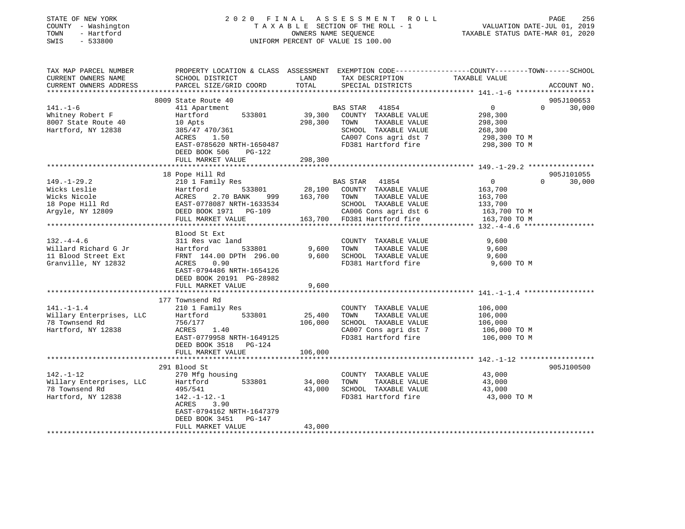| STATE OF NEW YORK<br>COUNTY - Washington<br>- Hartford<br>TOWN<br>$-533800$<br>SWIS | 2020 FINAL<br>TAXABLE SECTION OF THE ROLL - 1<br>UNIFORM PERCENT OF VALUE IS 100.00 | PAGE<br>256<br>VALUATION DATE-JUL 01, 2019<br>TAXABLE STATUS DATE-MAR 01, 2020 |                                               |                                                                                                                                 |
|-------------------------------------------------------------------------------------|-------------------------------------------------------------------------------------|--------------------------------------------------------------------------------|-----------------------------------------------|---------------------------------------------------------------------------------------------------------------------------------|
| TAX MAP PARCEL NUMBER<br>CURRENT OWNERS NAME<br>CURRENT OWNERS ADDRESS              | SCHOOL DISTRICT<br>PARCEL SIZE/GRID COORD                                           | LAND<br>TOTAL                                                                  | TAX DESCRIPTION<br>SPECIAL DISTRICTS          | PROPERTY LOCATION & CLASS ASSESSMENT EXEMPTION CODE----------------COUNTY-------TOWN-----SCHOOL<br>TAXABLE VALUE<br>ACCOUNT NO. |
| ***********************                                                             |                                                                                     |                                                                                |                                               |                                                                                                                                 |
|                                                                                     | 8009 State Route 40                                                                 |                                                                                |                                               | 905J100653                                                                                                                      |
| $141. - 1 - 6$<br>Whitney Robert F                                                  | 411 Apartment<br>Hartford<br>533801                                                 | 39,300                                                                         | 41854<br>BAS STAR<br>COUNTY TAXABLE VALUE     | $\mathbf{0}$<br>30,000<br>$\mathbf{0}$<br>298,300                                                                               |
| 8007 State Route 40                                                                 | 10 Apts                                                                             | 298,300                                                                        | TOWN<br>TAXABLE VALUE                         | 298,300                                                                                                                         |
| Hartford, NY 12838                                                                  | 385/47 470/361                                                                      |                                                                                | SCHOOL TAXABLE VALUE                          | 268,300                                                                                                                         |
|                                                                                     | ACRES<br>1.50                                                                       |                                                                                | CA007 Cons agri dst 7                         | 298,300 TO M                                                                                                                    |
|                                                                                     | EAST-0785620 NRTH-1650487                                                           |                                                                                | FD381 Hartford fire                           | 298,300 TO M                                                                                                                    |
|                                                                                     | DEED BOOK 506<br>PG-122                                                             |                                                                                |                                               |                                                                                                                                 |
|                                                                                     | FULL MARKET VALUE                                                                   | 298,300                                                                        |                                               |                                                                                                                                 |
|                                                                                     |                                                                                     |                                                                                |                                               |                                                                                                                                 |
| $149. - 1 - 29.2$                                                                   | 18 Pope Hill Rd<br>210 1 Family Res                                                 |                                                                                | BAS STAR<br>41854                             | 905J101055<br>$\mathbf 0$<br>30,000<br>$\Omega$                                                                                 |
| Wicks Leslie                                                                        | Hartford<br>533801                                                                  | 28,100                                                                         | COUNTY TAXABLE VALUE                          | 163,700                                                                                                                         |
| Wicks Nicole                                                                        | ACRES<br>2.70 BANK<br>999                                                           | 163,700                                                                        | TOWN<br>TAXABLE VALUE                         | 163,700                                                                                                                         |
| 18 Pope Hill Rd                                                                     | EAST-0778087 NRTH-1633534                                                           |                                                                                | SCHOOL TAXABLE VALUE                          | 133,700                                                                                                                         |
| Argyle, NY 12809                                                                    | DEED BOOK 1971<br>PG-109                                                            |                                                                                | CA006 Cons agri dst 6                         | 163,700 TO M                                                                                                                    |
|                                                                                     | FULL MARKET VALUE                                                                   | 163,700                                                                        | FD381 Hartford fire                           | 163,700 TO M                                                                                                                    |
|                                                                                     |                                                                                     |                                                                                |                                               |                                                                                                                                 |
| $132. -4 - 4.6$                                                                     | Blood St Ext                                                                        |                                                                                |                                               | 9,600                                                                                                                           |
| Willard Richard G Jr                                                                | 311 Res vac land<br>Hartford<br>533801                                              | 9,600                                                                          | COUNTY TAXABLE VALUE<br>TOWN<br>TAXABLE VALUE | 9,600                                                                                                                           |
| 11 Blood Street Ext                                                                 | FRNT 144.00 DPTH 296.00                                                             | 9,600                                                                          | SCHOOL TAXABLE VALUE                          | 9,600                                                                                                                           |
| Granville, NY 12832                                                                 | ACRES<br>0.90                                                                       |                                                                                | FD381 Hartford fire                           | 9,600 TO M                                                                                                                      |
|                                                                                     | EAST-0794486 NRTH-1654126                                                           |                                                                                |                                               |                                                                                                                                 |
|                                                                                     | DEED BOOK 20191 PG-28982                                                            |                                                                                |                                               |                                                                                                                                 |
|                                                                                     | FULL MARKET VALUE                                                                   | 9,600                                                                          |                                               |                                                                                                                                 |
|                                                                                     | **********************                                                              |                                                                                |                                               | ********************* 141.-1-1.4 ******************                                                                             |
| $141. - 1 - 1.4$                                                                    | 177 Townsend Rd<br>210 1 Family Res                                                 |                                                                                | COUNTY TAXABLE VALUE                          | 106,000                                                                                                                         |
| Willary Enterprises, LLC                                                            | 533801<br>Hartford                                                                  | 25,400                                                                         | TOWN<br>TAXABLE VALUE                         | 106,000                                                                                                                         |
| 78 Townsend Rd                                                                      | 756/177                                                                             | 106,000                                                                        | SCHOOL TAXABLE VALUE                          | 106,000                                                                                                                         |
| Hartford, NY 12838                                                                  | ACRES<br>1.40                                                                       |                                                                                | CA007 Cons agri dst 7                         | 106,000 TO M                                                                                                                    |
|                                                                                     | EAST-0779958 NRTH-1649125                                                           |                                                                                | FD381 Hartford fire                           | 106,000 TO M                                                                                                                    |
|                                                                                     | DEED BOOK 3518 PG-124                                                               |                                                                                |                                               |                                                                                                                                 |
|                                                                                     | FULL MARKET VALUE                                                                   | 106,000                                                                        |                                               |                                                                                                                                 |
|                                                                                     | ************************                                                            |                                                                                |                                               | 905J100500                                                                                                                      |
| $142. - 1 - 12$                                                                     | 291 Blood St<br>270 Mfg housing                                                     |                                                                                | COUNTY TAXABLE VALUE                          | 43,000                                                                                                                          |
| Willary Enterprises, LLC                                                            | 533801<br>Hartford                                                                  | 34,000                                                                         | TOWN<br>TAXABLE VALUE                         | 43,000                                                                                                                          |
| 78 Townsend Rd                                                                      | 495/541                                                                             | 43,000                                                                         | SCHOOL TAXABLE VALUE                          | 43,000                                                                                                                          |
| Hartford, NY 12838                                                                  | $142. - 1 - 12. - 1$                                                                |                                                                                | FD381 Hartford fire                           | 43,000 TO M                                                                                                                     |
|                                                                                     | ACRES<br>3.90                                                                       |                                                                                |                                               |                                                                                                                                 |
|                                                                                     | EAST-0794162 NRTH-1647379                                                           |                                                                                |                                               |                                                                                                                                 |
|                                                                                     | DEED BOOK 3451<br>PG-147                                                            |                                                                                |                                               |                                                                                                                                 |
|                                                                                     | FULL MARKET VALUE                                                                   | 43,000                                                                         |                                               |                                                                                                                                 |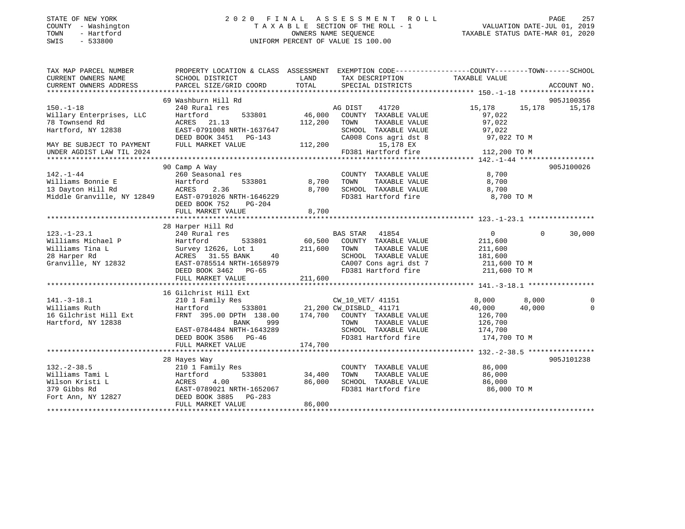| STATE OF NEW YORK     |              |
|-----------------------|--------------|
| COUNTY                | - Washington |
| TOWN                  | - Hartford   |
| <b>CMTC</b><br>$\sim$ | 533800       |

# STATE OF NEW YORK 2 0 2 0 F I N A L A S S E S S M E N T R O L L PAGE 257 COUNTY - Washington T A X A B L E SECTION OF THE ROLL - 1 VALUATION DATE-JUL 01, 2019 TOWN - Hartford OWNERS NAME SEQUENCE TAXABLE STATUS DATE-MAR 01, 2020 SWIS - 533800 UNIFORM PERCENT OF VALUE IS 100.00

| TAX MAP PARCEL NUMBER                                                                   | PROPERTY LOCATION & CLASS ASSESSMENT EXEMPTION CODE---------------COUNTY-------TOWN------SCHOOL |                        |                                   |                   |                    |
|-----------------------------------------------------------------------------------------|-------------------------------------------------------------------------------------------------|------------------------|-----------------------------------|-------------------|--------------------|
| CURRENT OWNERS NAME                                                                     | SCHOOL DISTRICT                                                                                 | LAND                   | TAX DESCRIPTION                   | TAXABLE VALUE     |                    |
| CURRENT OWNERS ADDRESS                                                                  | PARCEL SIZE/GRID COORD                                                                          | TOTAL                  | SPECIAL DISTRICTS                 |                   | ACCOUNT NO.        |
|                                                                                         |                                                                                                 |                        |                                   |                   |                    |
|                                                                                         | 69 Washburn Hill Rd                                                                             |                        |                                   |                   | 905J100356         |
| $150. - 1 - 18$                                                                         | 240 Rural res                                                                                   |                        | AG DIST<br>41720                  | 15,178            | 15,178 15,178      |
| Willary Enterprises, LLC                                                                | 533801<br>Hartford                                                                              | 46,000                 | COUNTY TAXABLE VALUE              | 97,022            |                    |
| 78 Townsend Rd                                                                          | ACRES 21.13                                                                                     | 112,200                | TOWN<br>TAXABLE VALUE             | 97,022            |                    |
| Hartford, NY 12838                                                                      | EAST-0791008 NRTH-1637647                                                                       |                        | SCHOOL TAXABLE VALUE              | 97,022            |                    |
|                                                                                         | DEED BOOK 3451 PG-143                                                                           |                        | CA008 Cons agri dst 8 97,022 TO M |                   |                    |
| MAY BE SUBJECT TO PAYMENT                                                               | FULL MARKET VALUE                                                                               | 112,200                | 15,178 EX                         |                   |                    |
| UNDER AGDIST LAW TIL 2024                                                               |                                                                                                 |                        | FD381 Hartford fire 112,200 TO M  |                   |                    |
|                                                                                         |                                                                                                 |                        |                                   |                   |                    |
|                                                                                         | 90 Camp A Way                                                                                   |                        |                                   |                   | 905J100026         |
| $142. - 1 - 44$                                                                         | 260 Seasonal res                                                                                |                        | COUNTY TAXABLE VALUE              | 8,700             |                    |
| ---.<br>Williams Bonnie E               Hartto<br>13 Davton Hill Rd               ACRES | 533801<br>Hartford                                                                              | 8,700                  | TOWN<br>TAXABLE VALUE             | 8,700             |                    |
|                                                                                         | 2.36                                                                                            | 8,700                  | SCHOOL TAXABLE VALUE              | 8,700             |                    |
| Middle Granville, NY 12849                                                              | EAST-0791026 NRTH-1646229                                                                       |                        | FD381 Hartford fire               | 8,700 TO M        |                    |
|                                                                                         | DEED BOOK 752<br>PG-204                                                                         |                        |                                   |                   |                    |
|                                                                                         | FULL MARKET VALUE                                                                               | 8,700                  |                                   |                   |                    |
|                                                                                         |                                                                                                 |                        |                                   |                   |                    |
|                                                                                         | 28 Harper Hill Rd                                                                               |                        |                                   |                   |                    |
| $123. - 1 - 23.1$                                                                       | 240 Rural res                                                                                   | $60,500$ <sup>BZ</sup> | BAS STAR 41854                    | $0 \qquad \qquad$ | 30,000<br>$\Omega$ |
| Williams Michael P                                                                      | 533801<br>Hartford                                                                              |                        | COUNTY TAXABLE VALUE              | 211,600           |                    |
| Williams Tina L                                                                         | Survey 12626, Lot 1                                                                             | 211,600                | TOWN<br>TAXABLE VALUE             | 211,600           |                    |
| 28 Harper Rd                                                                            | ACRES 31.55 BANK<br>40                                                                          |                        | SCHOOL TAXABLE VALUE              | 181,600           |                    |
| Granville, NY 12832                                                                     | EAST-0785514 NRTH-1658979                                                                       |                        | CA007 Cons agri dst 7             | 211,600 TO M      |                    |
|                                                                                         | DEED BOOK 3462 PG-65                                                                            |                        | FD381 Hartford fire 211,600 TO M  |                   |                    |
|                                                                                         | FULL MARKET VALUE                                                                               | 211,600                |                                   |                   |                    |
|                                                                                         |                                                                                                 |                        |                                   |                   |                    |
|                                                                                         | 16 Gilchrist Hill Ext                                                                           |                        |                                   |                   |                    |
| $141. - 3 - 18.1$                                                                       | 210 1 Family Res                                                                                |                        | -<br>CW_10_VET/ 41151             | 8,000 8,000       | $\Omega$           |
| Williams Ruth                                                                           | Hartford 533801 21,200 CW_DISBLD_ 41171<br>FRNT 395.00 DPTH 138.00 174,700 COUNTY TAXABLE VALUE |                        |                                   | 40,000            | 40,000<br>$\Omega$ |
| 16 Gilchrist Hill Ext                                                                   |                                                                                                 |                        |                                   | 126,700           |                    |
| Hartford, NY 12838                                                                      | BANK<br>999                                                                                     |                        | TOWN<br>TAXABLE VALUE             | 126,700           |                    |
|                                                                                         | EAST-0784484 NRTH-1643289                                                                       |                        | SCHOOL TAXABLE VALUE              | 174,700           |                    |
|                                                                                         | DEED BOOK 3586 PG-46                                                                            |                        | FD381 Hartford fire               | 174,700 TO M      |                    |
|                                                                                         | FULL MARKET VALUE                                                                               | 174,700                |                                   |                   |                    |
|                                                                                         |                                                                                                 |                        |                                   |                   |                    |
|                                                                                         | 28 Hayes Way                                                                                    |                        |                                   |                   | 905J101238         |
| $132 - 2 - 38.5$                                                                        | 210 1 Family Res                                                                                |                        | COUNTY TAXABLE VALUE              | 86,000            |                    |
| Williams Tami L                                                                         | Hartford                                                                                        | 533801 34,400          | TOWN<br>TAXABLE VALUE             | 86,000            |                    |
| Wilson Kristi L                                                                         | 4.00<br>ACRES                                                                                   | 86,000                 | SCHOOL TAXABLE VALUE              | 86,000            |                    |
| 379 Gibbs Rd                                                                            | EAST-0789021 NRTH-1652067                                                                       |                        | FD381 Hartford fire               | 86,000 TO M       |                    |
| Fort Ann, NY 12827 DEED BOOK 3885 PG-283                                                |                                                                                                 |                        |                                   |                   |                    |
|                                                                                         | FULL MARKET VALUE                                                                               | 86,000                 |                                   |                   |                    |
|                                                                                         |                                                                                                 |                        |                                   |                   |                    |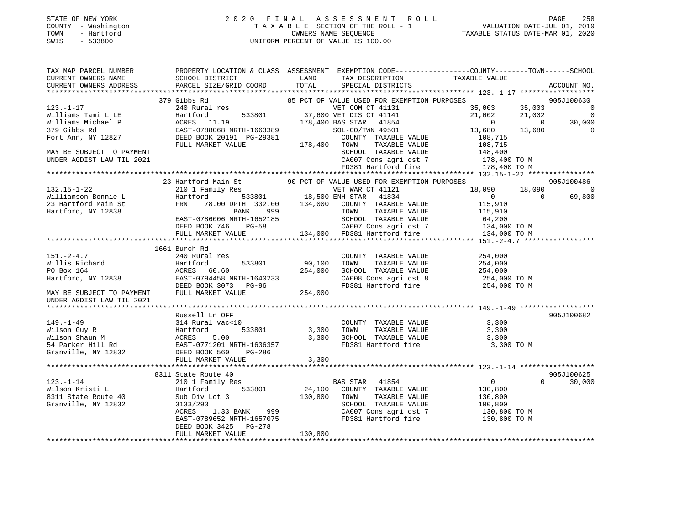# STATE OF NEW YORK 2 0 2 0 F I N A L A S S E S S M E N T R O L L PAGE 258 COUNTY - Washington T A X A B L E SECTION OF THE ROLL - 1 VALUATION DATE-JUL 01, 2019 TOWN - Hartford OWNERS NAME SEQUENCE TAXABLE STATUS DATE-MAR 01, 2020 SWIS - 533800 UNIFORM PERCENT OF VALUE IS 100.00

| TAX MAP PARCEL NUMBER<br>CURRENT OWNERS NAME | PROPERTY LOCATION & CLASS ASSESSMENT EXEMPTION CODE----------------COUNTY-------TOWN------SCHOOL |               |                                                                                                                             | TAXABLE VALUE          |                |                |
|----------------------------------------------|--------------------------------------------------------------------------------------------------|---------------|-----------------------------------------------------------------------------------------------------------------------------|------------------------|----------------|----------------|
| CURRENT OWNERS ADDRESS                       | SCHOOL DISTRICT<br>PARCEL SIZE/GRID COORD                                                        | LAND<br>TOTAL | TAX DESCRIPTION<br>SPECIAL DISTRICTS                                                                                        |                        |                | ACCOUNT NO.    |
|                                              |                                                                                                  |               |                                                                                                                             |                        |                |                |
|                                              | 379 Gibbs Rd                                                                                     |               | 85 PCT OF VALUE USED FOR EXEMPTION PURPOSES<br>VET COM U1 11101<br>533801 37,600 VET DIS CT 41141<br>178,400 BAS STAR 41854 |                        |                | 905J100630     |
| $123. - 1 - 17$                              | 240 Rural res                                                                                    |               |                                                                                                                             | 35,003                 | 35,003         | $\overline{0}$ |
| Williams Tami L LE                           | Hartford                                                                                         |               |                                                                                                                             | 21,002                 | 21,002         | $\overline{0}$ |
| Williams Michael P                           | ACRES 11.19                                                                                      |               |                                                                                                                             | $\overline{0}$         | $\overline{0}$ | 30,000         |
| 379 Gibbs Rd                                 | EAST-0788068 NRTH-1663389<br>DREP BOOK 20191 PG-29381                                            |               | SOL-CO/TWN 49501                                                                                                            | 13,680                 | 13,680         | $\mathbf 0$    |
| Fort Ann, NY 12827                           | DEED BOOK 20191 PG-29381 COUNT COUNT                                                             |               | COUNTY TAXABLE VALUE                                                                                                        | 108,715                |                |                |
|                                              |                                                                                                  |               | TAXABLE VALUE                                                                                                               | 108,715                |                |                |
| MAY BE SUBJECT TO PAYMENT                    |                                                                                                  |               | SCHOOL TAXABLE VALUE 148,400<br>CA007 Cons agri dst 7 178,400 TO M                                                          |                        |                |                |
| UNDER AGDIST LAW TIL 2021                    |                                                                                                  |               |                                                                                                                             |                        |                |                |
|                                              |                                                                                                  |               | FD381 Hartford fire                                                                                                         | 178,400 TO M           |                |                |
|                                              |                                                                                                  |               |                                                                                                                             |                        |                |                |
|                                              | 23 Hartford Main St                                                                              |               | 90 PCT OF VALUE USED FOR EXEMPTION PURPOSES                                                                                 |                        |                | 905J100486     |
| $132.15 - 1 - 22$                            | 210 1 Family Res                                                                                 |               | ly Res<br>533801 18,500 ENH STAR 41834                                                                                      | 18,090                 | 18,090         | $\Omega$       |
| Williamson Bonnie L                          | Hartford                                                                                         |               |                                                                                                                             | $\overline{0}$         | $\Omega$       | 69,800         |
| 23 Hartford Main St                          | FRNT                                                                                             |               | 78.00 DPTH 332.00 134,000 COUNTY TAXABLE VALUE                                                                              | 115,910                |                |                |
| Hartford, NY 12838                           | BANK 999                                                                                         |               | TAXABLE VALUE<br>TOWN                                                                                                       | 115,910                |                |                |
|                                              | EAST-0786006 NRTH-1652185<br>DEED BOOK 746 PG-58                                                 |               | SCHOOL TAXABLE VALUE                                                                                                        | 64,200<br>134,000 TO M |                |                |
|                                              |                                                                                                  |               | 5-58 CA007 Cons agri dst 7<br>134,000 FD381 Hartford fire                                                                   |                        |                |                |
|                                              | FULL MARKET VALUE                                                                                |               |                                                                                                                             | 134,000 TO M           |                |                |
|                                              |                                                                                                  |               |                                                                                                                             |                        |                |                |
| $151. - 2 - 4.7$                             | 1661 Burch Rd<br>240 Rural res                                                                   |               | COUNTY TAXABLE VALUE                                                                                                        | 254,000                |                |                |
|                                              | 533801<br>Hartford                                                                               | 90,100        | TAXABLE VALUE<br>TOWN                                                                                                       |                        |                |                |
| Willis Richard<br>PO Box 164                 | ACRES 60.60                                                                                      | 254,000       | SCHOOL TAXABLE VALUE                                                                                                        | 254,000<br>254,000     |                |                |
| Hartford, NY 12838                           | EAST-0794458 NRTH-1640233                                                                        |               |                                                                                                                             | 254,000 TO M           |                |                |
|                                              | DEED BOOK 3073 PG-96                                                                             |               | CA008 Cons agri dst 8<br>FD381 Hartford fire                                                                                | 254,000 TO M           |                |                |
| MAY BE SUBJECT TO PAYMENT                    | FULL MARKET VALUE                                                                                | 254,000       |                                                                                                                             |                        |                |                |
| UNDER AGDIST LAW TIL 2021                    |                                                                                                  |               |                                                                                                                             |                        |                |                |
|                                              |                                                                                                  |               |                                                                                                                             |                        |                |                |
|                                              | Russell Ln OFF                                                                                   |               |                                                                                                                             |                        |                | 905J100682     |
| $149. - 1 - 49$                              | 314 Rural vac<10                                                                                 |               | COUNTY TAXABLE VALUE                                                                                                        | 3,300                  |                |                |
|                                              |                                                                                                  | 3,300         | TAXABLE VALUE<br>TOWN                                                                                                       | 3,300                  |                |                |
|                                              |                                                                                                  | 3,300         | SCHOOL TAXABLE VALUE                                                                                                        | 3,300                  |                |                |
|                                              |                                                                                                  |               | FD381 Hartford fire 3,300 TO M                                                                                              |                        |                |                |
|                                              |                                                                                                  |               |                                                                                                                             |                        |                |                |
|                                              | FULL MARKET VALUE                                                                                | 3,300         |                                                                                                                             |                        |                |                |
|                                              |                                                                                                  |               |                                                                                                                             |                        |                |                |
|                                              | 8311 State Route 40                                                                              |               |                                                                                                                             |                        |                | 905J100625     |
| $123. - 1 - 14$                              | 210 1 Family Res                                                                                 |               | <b>BAS STAR</b><br>41854                                                                                                    | $\overline{0}$         | $\Omega$       | 30,000         |
| Wilson Kristi L                              | 533801<br>Hartford                                                                               |               | 24,100 COUNTY TAXABLE VALUE                                                                                                 | 130,800                |                |                |
| 8311 State Route 40                          | Sub Div Lot 3                                                                                    | 130,800       | TAXABLE VALUE<br>TOWN                                                                                                       | 130,800                |                |                |
| Granville, NY 12832                          | 3133/293                                                                                         |               | SCHOOL TAXABLE VALUE                                                                                                        | 100,800                |                |                |
|                                              | ACRES<br>1.33 BANK 999                                                                           |               | CA007 Cons agri dst 7                                                                                                       | 130,800 TO M           |                |                |
|                                              | EAST-0789652 NRTH-1657075                                                                        |               | FD381 Hartford fire                                                                                                         | 130,800 TO M           |                |                |
|                                              | DEED BOOK 3425 PG-278                                                                            |               |                                                                                                                             |                        |                |                |
|                                              | FULL MARKET VALUE                                                                                | 130,800       |                                                                                                                             |                        |                |                |
|                                              |                                                                                                  |               |                                                                                                                             |                        |                |                |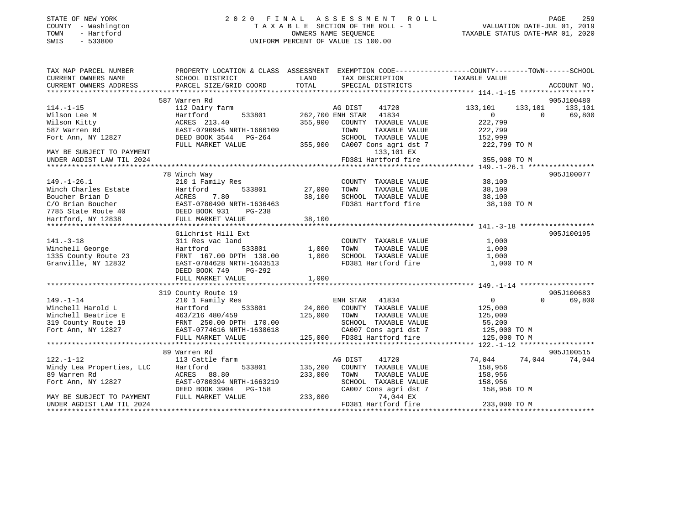| STATE OF NEW YORK |  |              |  |
|-------------------|--|--------------|--|
| COUNTY            |  | - Washington |  |
| TOWN              |  | - Hartford   |  |
| CM <sub>T</sub> C |  | $-$ 533800   |  |

# STATE OF NEW YORK 2 0 2 0 F I N A L A S S E S S M E N T R O L L PAGE 259 COUNTY - Washington T A X A B L E SECTION OF THE ROLL - 1 VALUATION DATE-JUL 01, 2019 OWNERS NAME SEQUENCE TAXABLE STATUS DATE-MAR 01, 2020 SWIS - 533800 UNIFORM PERCENT OF VALUE IS 100.00

| TAX MAP PARCEL NUMBER<br>CURRENT OWNERS NAME | PROPERTY LOCATION & CLASS ASSESSMENT EXEMPTION CODE---------------COUNTY-------TOWN-----SCHOOL<br>SCHOOL DISTRICT | LAND         | TAX DESCRIPTION             | TAXABLE VALUE  |          |             |
|----------------------------------------------|-------------------------------------------------------------------------------------------------------------------|--------------|-----------------------------|----------------|----------|-------------|
| CURRENT OWNERS ADDRESS                       | PARCEL SIZE/GRID COORD                                                                                            | TOTAL        | SPECIAL DISTRICTS           |                |          | ACCOUNT NO. |
|                                              |                                                                                                                   |              |                             |                |          |             |
|                                              | 587 Warren Rd                                                                                                     |              |                             |                |          | 905J100480  |
| $114. - 1 - 15$                              | 112 Dairy farm                                                                                                    |              | AG DIST<br>41720            | 133,101        | 133,101  | 133,101     |
| Wilson Lee M                                 | Hartford<br>533801                                                                                                |              | 262,700 ENH STAR<br>41834   | $\Omega$       | $\Omega$ | 69,800      |
| Wilson Kitty                                 | ACRES 213.40                                                                                                      | 355,900      | COUNTY TAXABLE VALUE        | 222,799        |          |             |
| 587 Warren Rd                                | EAST-0790945 NRTH-1666109                                                                                         |              | TAXABLE VALUE<br>TOWN       | 222,799        |          |             |
| Fort Ann, NY 12827                           | DEED BOOK 3544 PG-264                                                                                             |              | SCHOOL TAXABLE VALUE        | 152,999        |          |             |
|                                              | FULL MARKET VALUE                                                                                                 | 355,900      | CA007 Cons agri dst 7       | 222,799 TO M   |          |             |
| MAY BE SUBJECT TO PAYMENT                    |                                                                                                                   |              | 133,101 EX                  |                |          |             |
| UNDER AGDIST LAW TIL 2024                    |                                                                                                                   |              | FD381 Hartford fire         | 355,900 TO M   |          |             |
|                                              |                                                                                                                   |              |                             |                |          |             |
|                                              | 78 Winch Way                                                                                                      |              |                             |                |          | 905J100077  |
| $149. - 1 - 26.1$                            | 210 1 Family Res                                                                                                  |              | COUNTY TAXABLE VALUE        | 38,100         |          |             |
| Winch Charles Estate                         | 533801<br>Hartford                                                                                                | 27,000       | TAXABLE VALUE<br>TOWN       | 38,100         |          |             |
| Boucher Brian D                              | 7.80<br>ACRES                                                                                                     | 38,100       | SCHOOL TAXABLE VALUE        | 38,100         |          |             |
| C/O Brian Boucher                            | EAST-0780490 NRTH-1636463                                                                                         |              | FD381 Hartford fire         | 38,100 TO M    |          |             |
| 7785 State Route 40                          | DEED BOOK 931<br>PG-238                                                                                           |              |                             |                |          |             |
| Hartford, NY 12838                           | FULL MARKET VALUE                                                                                                 | 38,100       |                             |                |          |             |
|                                              |                                                                                                                   |              |                             |                |          |             |
|                                              | Gilchrist Hill Ext                                                                                                |              |                             |                |          | 905J100195  |
| $141. - 3 - 18$                              | 311 Res vac land                                                                                                  |              | COUNTY TAXABLE VALUE        | 1,000          |          |             |
| Winchell George                              | 533801<br>Hartford                                                                                                | 1,000        | TOWN<br>TAXABLE VALUE       | 1,000          |          |             |
| 1335 County Route 23                         | FRNT 167.00 DPTH 138.00                                                                                           | 1,000        | SCHOOL TAXABLE VALUE        | 1,000          |          |             |
| Granville, NY 12832                          | EAST-0784628 NRTH-1643513                                                                                         |              | FD381 Hartford fire         | 1,000 TO M     |          |             |
|                                              | DEED BOOK 749<br>PG-292                                                                                           |              |                             |                |          |             |
|                                              | FULL MARKET VALUE                                                                                                 | 1,000        |                             |                |          |             |
|                                              |                                                                                                                   |              |                             |                |          |             |
|                                              | 319 County Route 19                                                                                               |              |                             |                |          | 905J100683  |
| $149. - 1 - 14$                              | 210 1 Family Res                                                                                                  |              | ENH STAR 41834              | $\overline{0}$ | $\Omega$ | 69,800      |
| Winchell Harold L                            | 533801<br>Hartford                                                                                                |              | 24,000 COUNTY TAXABLE VALUE | 125,000        |          |             |
| Winchell Beatrice E                          | 463/216 480/459                                                                                                   | 125,000 TOWN | TAXABLE VALUE               | 125,000        |          |             |
| 319 County Route 19                          | FRNT 250.00 DPTH 170.00                                                                                           |              | SCHOOL TAXABLE VALUE        | 55,200         |          |             |
| Fort Ann, NY 12827                           | EAST-0774616 NRTH-1638618                                                                                         |              | CA007 Cons agri dst 7       | 125,000 TO M   |          |             |
|                                              | FULL MARKET VALUE                                                                                                 |              | 125,000 FD381 Hartford fire | 125,000 TO M   |          |             |
|                                              |                                                                                                                   |              |                             |                |          |             |
|                                              | 89 Warren Rd                                                                                                      |              |                             |                |          | 905J100515  |
| $122. - 1 - 12$                              | 113 Cattle farm                                                                                                   |              | AG DIST<br>41720            | 74,044         | 74,044   | 74,044      |
| Windy Lea Properties, LLC                    | 533801<br>Hartford                                                                                                | 135,200      | COUNTY TAXABLE VALUE        | 158,956        |          |             |
| 89 Warren Rd                                 | ACRES 88.80                                                                                                       | 233,000      | TAXABLE VALUE<br>TOWN       | 158,956        |          |             |
| Fort Ann, NY 12827                           | EAST-0780394 NRTH-1663219                                                                                         |              | SCHOOL TAXABLE VALUE        | 158,956        |          |             |
|                                              | DEED BOOK 3904 PG-158                                                                                             |              | CA007 Cons agri dst 7       | 158,956 TO M   |          |             |
| MAY BE SUBJECT TO PAYMENT                    | FULL MARKET VALUE                                                                                                 | 233,000      | 74,044 EX                   |                |          |             |
| UNDER AGDIST LAW TIL 2024                    |                                                                                                                   |              | FD381 Hartford fire         | 233,000 TO M   |          |             |
|                                              |                                                                                                                   |              |                             |                |          |             |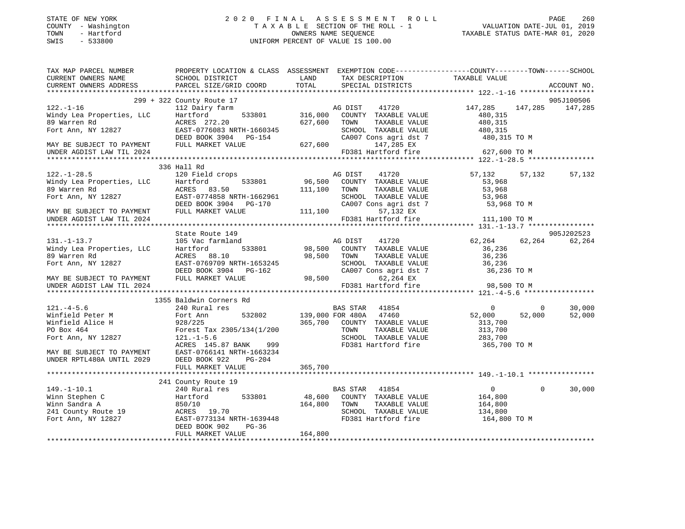| STATE OF NEW YORK |            |
|-------------------|------------|
| COUNTY            | Washington |
| TOWN              | - Hartford |
| <b>CMTC</b>       | 522800     |

# STATE OF NEW YORK 2 0 2 0 F I N A L A S S E S S M E N T R O L L PAGE 260 COUNTY - Washington T A X A B L E SECTION OF THE ROLL - 1 VALUATION DATE-JUL 01, 2019 TOWN - Hartford OWNERS NAME SEQUENCE TAXABLE STATUS DATE-MAR 01, 2020 SWIS - 533800 UNIFORM PERCENT OF VALUE IS 100.00

|                                                        | TAX MAP PARCEL NUMBER PROPERTY LOCATION & CLASS ASSESSMENT EXEMPTION CODE---------------COUNTY-------TOWN------SCHOOL                                                                                                                                                                                                                                                                                                                                                                                                                                     |               |                                                                        |                                                |                          |
|--------------------------------------------------------|-----------------------------------------------------------------------------------------------------------------------------------------------------------------------------------------------------------------------------------------------------------------------------------------------------------------------------------------------------------------------------------------------------------------------------------------------------------------------------------------------------------------------------------------------------------|---------------|------------------------------------------------------------------------|------------------------------------------------|--------------------------|
|                                                        | CURRENT OWNERS NAME<br>CURRENT OWNERS ADDRESS<br>PARCEL SIZE/GRID COORD                                                                                                                                                                                                                                                                                                                                                                                                                                                                                   | LAND<br>TOTAL | TAX DESCRIPTION<br>SPECIAL DISTRICTS                                   | TAXABLE VALUE                                  | ACCOUNT NO.              |
|                                                        |                                                                                                                                                                                                                                                                                                                                                                                                                                                                                                                                                           |               |                                                                        |                                                |                          |
|                                                        |                                                                                                                                                                                                                                                                                                                                                                                                                                                                                                                                                           |               |                                                                        |                                                | 905J100506               |
|                                                        | $\begin{tabular}{lllllllllllll} \rule{0pt}{0pt} \hline & 299 + 322 County Route 17 & & & & & & & 147,285 & 147,285 & 147,285 & 147,285 & 147,285 & 147,285 & 147,285 & 147,285 & 147,285 & 147,285 & 147,285 & 147,285 & 147,285 & 147,285 & 147,285 & 147,285 & 147,285 & 147,285 & 147,285 & $                                                                                                                                                                                                                                                          |               |                                                                        | 147,285 147,285 147,285                        |                          |
|                                                        |                                                                                                                                                                                                                                                                                                                                                                                                                                                                                                                                                           |               |                                                                        |                                                |                          |
|                                                        |                                                                                                                                                                                                                                                                                                                                                                                                                                                                                                                                                           |               |                                                                        |                                                |                          |
|                                                        |                                                                                                                                                                                                                                                                                                                                                                                                                                                                                                                                                           |               |                                                                        |                                                |                          |
|                                                        |                                                                                                                                                                                                                                                                                                                                                                                                                                                                                                                                                           |               |                                                                        |                                                |                          |
|                                                        |                                                                                                                                                                                                                                                                                                                                                                                                                                                                                                                                                           |               |                                                                        |                                                |                          |
|                                                        |                                                                                                                                                                                                                                                                                                                                                                                                                                                                                                                                                           |               |                                                                        |                                                |                          |
|                                                        |                                                                                                                                                                                                                                                                                                                                                                                                                                                                                                                                                           |               |                                                                        |                                                |                          |
|                                                        | 336 Hall Rd                                                                                                                                                                                                                                                                                                                                                                                                                                                                                                                                               |               |                                                                        |                                                |                          |
|                                                        | $[122,-1-28.5\text{Mindy Lea Properties, LLC}\footnote{http://www.nndy Lea Properties, LLC}\footnote{http://www.nndy Lea Properties, LLC}\footnote{http://www.nndy Lea Properties, LLC}\footnote{http://www.nndy Lea Properties, LLC}\footnote{http://www.nndy Lea Properties, LLC}\footnote{http://www.nndy Lea Properties, LLC}\footnote{http://www.nndy Lea 20079}\footnote{http://www.nndy Lea 20079}\footnote{http://www.nndy Lea 20079}\footnote{http://www.nndy Lea 20079}\footnote{http://www.nndy Lea 20079}\footnote{http://www.nndy Lea 20079$ |               | 41720                                                                  | 57,132                                         | 57,132<br>57,132         |
|                                                        |                                                                                                                                                                                                                                                                                                                                                                                                                                                                                                                                                           |               | 533801 96,500 COUNTY TAXABLE VALUE<br>33.50 111,100 TOWN TAXABLE VALUE | 53,968                                         |                          |
|                                                        |                                                                                                                                                                                                                                                                                                                                                                                                                                                                                                                                                           |               | TAXABLE VALUE                                                          | 53,968                                         |                          |
|                                                        |                                                                                                                                                                                                                                                                                                                                                                                                                                                                                                                                                           |               | SCHOOL TAXABLE VALUE 53,968<br>CA007 Cons agri dst 7 53,968 TO M       |                                                |                          |
|                                                        |                                                                                                                                                                                                                                                                                                                                                                                                                                                                                                                                                           |               |                                                                        |                                                |                          |
|                                                        |                                                                                                                                                                                                                                                                                                                                                                                                                                                                                                                                                           |               |                                                                        |                                                |                          |
| UNDER AGDIST LAW TIL 2024                              |                                                                                                                                                                                                                                                                                                                                                                                                                                                                                                                                                           |               |                                                                        | 57,132 EX<br>FD381 Hartford fire 111,100 TO M  |                          |
|                                                        |                                                                                                                                                                                                                                                                                                                                                                                                                                                                                                                                                           |               |                                                                        |                                                |                          |
|                                                        | State Route 149                                                                                                                                                                                                                                                                                                                                                                                                                                                                                                                                           |               |                                                                        |                                                | 905J202523               |
|                                                        |                                                                                                                                                                                                                                                                                                                                                                                                                                                                                                                                                           |               |                                                                        | 62,264 62,264 62,264                           |                          |
|                                                        |                                                                                                                                                                                                                                                                                                                                                                                                                                                                                                                                                           |               |                                                                        |                                                |                          |
|                                                        |                                                                                                                                                                                                                                                                                                                                                                                                                                                                                                                                                           |               |                                                                        |                                                |                          |
|                                                        |                                                                                                                                                                                                                                                                                                                                                                                                                                                                                                                                                           |               |                                                                        |                                                |                          |
|                                                        |                                                                                                                                                                                                                                                                                                                                                                                                                                                                                                                                                           |               |                                                                        |                                                |                          |
|                                                        |                                                                                                                                                                                                                                                                                                                                                                                                                                                                                                                                                           |               |                                                                        |                                                |                          |
|                                                        |                                                                                                                                                                                                                                                                                                                                                                                                                                                                                                                                                           |               |                                                                        |                                                |                          |
|                                                        | 131.-1-13.7<br>Windy Lea Properties, LLC Hartford 533801 98,500 COUNT TAXABLE VALUE<br>89 Warren Rd ACRES 88.10<br>Fort Ann, NY 12827 EAST-0769709 NRTH-1653245<br>DEED BOOK 3904 PG-162 CA007 Cons agri dst 7 36,236 TO M<br>TEXABLE VA                                                                                                                                                                                                                                                                                                                  |               |                                                                        |                                                |                          |
|                                                        | 1355 Baldwin Corners Rd<br>340 Rural res<br>Winfield Peter M Fort Ann 532802 139,000 FOR 480A 47460<br>Winfield Alice H 928/225<br>PO Box 464 Fortst Tax 2305/134(1/200 TOR 9700 COUNTY TAXABLE<br>Fort Ann, NY 12827<br>Fort Ann, NY 12827<br>PO Box 464 Fortst Tax                                                                                                                                                                                                                                                                                      |               |                                                                        |                                                | 30,000<br>$\overline{0}$ |
|                                                        |                                                                                                                                                                                                                                                                                                                                                                                                                                                                                                                                                           |               | BAS STAR 41854 0<br>FOR 480A 47460 52,000                              |                                                | 52,000<br>52,000         |
|                                                        |                                                                                                                                                                                                                                                                                                                                                                                                                                                                                                                                                           |               | 365,700 COUNTY TAXABLE VALUE                                           | 313,700                                        |                          |
|                                                        |                                                                                                                                                                                                                                                                                                                                                                                                                                                                                                                                                           |               | TAXABLE VALUE                                                          | 313,700<br>313,700                             |                          |
|                                                        |                                                                                                                                                                                                                                                                                                                                                                                                                                                                                                                                                           |               |                                                                        |                                                |                          |
|                                                        | 999<br>ACRES 145.87 BANK                                                                                                                                                                                                                                                                                                                                                                                                                                                                                                                                  |               |                                                                        |                                                |                          |
|                                                        | EAST-0766141 NRTH-1663234                                                                                                                                                                                                                                                                                                                                                                                                                                                                                                                                 |               |                                                                        |                                                |                          |
| MAY BE SUBJECT TO PAYMENT<br>UNDER RPTL480A UNTIL 2029 | DEED BOOK 922<br>PG-204                                                                                                                                                                                                                                                                                                                                                                                                                                                                                                                                   |               |                                                                        |                                                |                          |
|                                                        | FULL MARKET VALUE                                                                                                                                                                                                                                                                                                                                                                                                                                                                                                                                         | 365,700       |                                                                        |                                                |                          |
|                                                        |                                                                                                                                                                                                                                                                                                                                                                                                                                                                                                                                                           |               |                                                                        |                                                |                          |
|                                                        | 241 County Route 19                                                                                                                                                                                                                                                                                                                                                                                                                                                                                                                                       |               |                                                                        |                                                |                          |
|                                                        |                                                                                                                                                                                                                                                                                                                                                                                                                                                                                                                                                           |               |                                                                        |                                                | 30,000<br>$\Omega$       |
|                                                        | 149.-1-10.1<br>Winn Stephen C<br>Winn Sandra A<br>Winn Sandra A<br>240 Rutford 533801<br>241 County Route 19<br>241 County Route 19<br>241 County Route 19<br>241 County Route 19<br>241 County Route 19<br>2421 County Route 19<br>2421 County Rou                                                                                                                                                                                                                                                                                                       |               |                                                                        | $\begin{array}{c}0\\164,800\end{array}$        |                          |
|                                                        |                                                                                                                                                                                                                                                                                                                                                                                                                                                                                                                                                           |               |                                                                        | TAXABLE VALUE 164,800<br>TAXABLE VALUE 134,800 |                          |
|                                                        |                                                                                                                                                                                                                                                                                                                                                                                                                                                                                                                                                           |               |                                                                        |                                                |                          |
|                                                        |                                                                                                                                                                                                                                                                                                                                                                                                                                                                                                                                                           |               |                                                                        | FD381 Hartford fire 164,800 TO M               |                          |
|                                                        |                                                                                                                                                                                                                                                                                                                                                                                                                                                                                                                                                           |               |                                                                        |                                                |                          |
|                                                        | FULL MARKET VALUE                                                                                                                                                                                                                                                                                                                                                                                                                                                                                                                                         | 164,800       |                                                                        |                                                |                          |
|                                                        |                                                                                                                                                                                                                                                                                                                                                                                                                                                                                                                                                           |               |                                                                        |                                                |                          |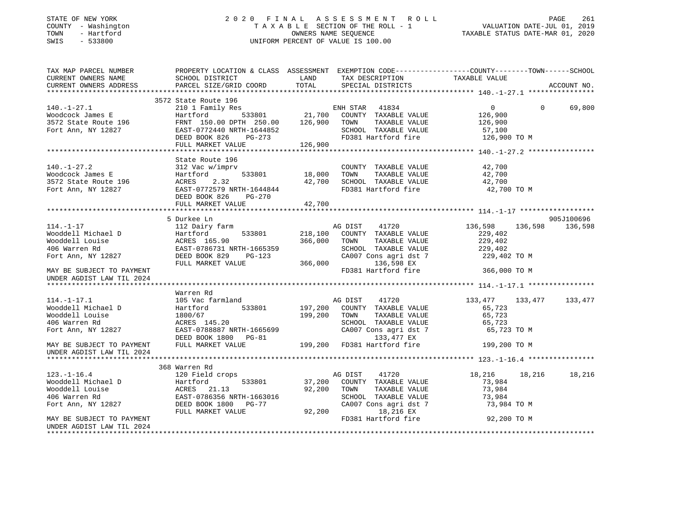# STATE OF NEW YORK 2 0 2 0 F I N A L A S S E S S M E N T R O L L PAGE 261 COUNTY - Washington T A X A B L E SECTION OF THE ROLL - 1 VALUATION DATE-JUL 01, 2019 TOWN - Hartford OWNERS NAME SEQUENCE TAXABLE STATUS DATE-MAR 01, 2020 SWIS - 533800 UNIFORM PERCENT OF VALUE IS 100.00

| TAX MAP PARCEL NUMBER                                                                                                                                                                                                                                | PROPERTY LOCATION & CLASS ASSESSMENT EXEMPTION CODE----------------COUNTY-------TOWN------SCHOOL |              |                                                                        |                       |                    |
|------------------------------------------------------------------------------------------------------------------------------------------------------------------------------------------------------------------------------------------------------|--------------------------------------------------------------------------------------------------|--------------|------------------------------------------------------------------------|-----------------------|--------------------|
| CURRENT OWNERS NAME                                                                                                                                                                                                                                  | SCHOOL DISTRICT                                                                                  | <b>LAND</b>  | TAX DESCRIPTION                                                        | TAXABLE VALUE         |                    |
|                                                                                                                                                                                                                                                      |                                                                                                  |              |                                                                        |                       |                    |
| 140.-1-27.1<br>Woodcock James E<br>Moodcock James E<br>Moodcock James E<br>Moodcock James E<br>Hartford 533801<br>FRNT 153.00 DPTH 250.00<br>FRNT 153.00 DPTH 250.00<br>21,700 COUNTY TAXABLE VALUE<br>TAXABLE VALUE<br>Fort Ann, NY 12827<br>DEED B |                                                                                                  |              |                                                                        |                       |                    |
|                                                                                                                                                                                                                                                      |                                                                                                  |              |                                                                        |                       |                    |
|                                                                                                                                                                                                                                                      |                                                                                                  |              |                                                                        | $\overline{0}$        | $\Omega$<br>69,800 |
|                                                                                                                                                                                                                                                      |                                                                                                  |              |                                                                        | 126,900               |                    |
|                                                                                                                                                                                                                                                      |                                                                                                  |              | TAXABLE VALUE                                                          | 126,900               |                    |
|                                                                                                                                                                                                                                                      |                                                                                                  |              |                                                                        | 57,100                |                    |
|                                                                                                                                                                                                                                                      |                                                                                                  |              | FD381 Hartford fire 126,900 TO M                                       |                       |                    |
|                                                                                                                                                                                                                                                      | FULL MARKET VALUE                                                                                | 126,900      |                                                                        |                       |                    |
|                                                                                                                                                                                                                                                      |                                                                                                  |              |                                                                        |                       |                    |
|                                                                                                                                                                                                                                                      | State Route 196                                                                                  |              |                                                                        |                       |                    |
|                                                                                                                                                                                                                                                      |                                                                                                  |              | COUNTY TAXABLE VALUE 42,700                                            |                       |                    |
|                                                                                                                                                                                                                                                      |                                                                                                  |              | 18,000 TOWN TAXABLE VALUE 42,700<br>42,700 SCHOOL TAXABLE VALUE 42,700 |                       |                    |
|                                                                                                                                                                                                                                                      |                                                                                                  |              |                                                                        |                       |                    |
|                                                                                                                                                                                                                                                      | EAST-0772579 NRTH-1644844                                                                        |              | FD381 Hartford fire                                                    | 42,700 TO M           |                    |
|                                                                                                                                                                                                                                                      | PG-270                                                                                           |              |                                                                        |                       |                    |
|                                                                                                                                                                                                                                                      | FULL MARKET VALUE                                                                                | 42,700       |                                                                        |                       |                    |
|                                                                                                                                                                                                                                                      |                                                                                                  |              |                                                                        |                       |                    |
|                                                                                                                                                                                                                                                      | 5 Durkee Ln                                                                                      |              |                                                                        |                       | 905J100696         |
| $114. - 1 - 17$                                                                                                                                                                                                                                      | 112 Dairy farm                                                                                   |              | AG DIST 41720                                                          | 136,598<br>136,598    | 136,598            |
| Wooddell Michael D                                                                                                                                                                                                                                   | Hartford<br>Hartford<br>ACRES 165.90<br>EAST-0786731 N                                           |              | 533801 218,100 COUNTY TAXABLE VALUE                                    | 229,402               |                    |
| Wooddell Louise                                                                                                                                                                                                                                      |                                                                                                  | 366,000 TOWN | TAXABLE VALUE                                                          | 229,402               |                    |
| 406 Warren Rd                                                                                                                                                                                                                                        | EAST-0786731 NRTH-1665359                                                                        |              | SCHOOL TAXABLE VALUE<br>SCHOOL TAXABLE VALUE<br>CA007 Cons agri dst 7  | 229,402               |                    |
| Fort Ann, NY 12827                                                                                                                                                                                                                                   | DEED BOOK 829 PG-123                                                                             |              |                                                                        | 229,402 TO M          |                    |
|                                                                                                                                                                                                                                                      | FULL MARKET VALUE                                                                                | 366,000      | 136,598 EX                                                             |                       |                    |
| MAY BE SUBJECT TO PAYMENT                                                                                                                                                                                                                            |                                                                                                  |              | FD381 Hartford fire                                                    | 366,000 TO M          |                    |
| UNDER AGDIST LAW TIL 2024                                                                                                                                                                                                                            |                                                                                                  |              |                                                                        |                       |                    |
|                                                                                                                                                                                                                                                      |                                                                                                  |              |                                                                        |                       |                    |
| $114. - 1 - 17.1$                                                                                                                                                                                                                                    | Warren Rd                                                                                        |              |                                                                        |                       |                    |
| Wooddell Michael D                                                                                                                                                                                                                                   | 105 Vac farmland                                                                                 |              | 41720<br>AG DIST                                                       | 133,477<br>133,477    | 133,477            |
|                                                                                                                                                                                                                                                      | Hartford                                                                                         | 199,200 TOWN | 533801 197,200 COUNTY TAXABLE VALUE                                    | 65,723                |                    |
| Wooddell Louise<br>406 Warren Rd                                                                                                                                                                                                                     | 1800/67<br>ACRES 145.20                                                                          |              | TAXABLE VALUE                                                          | 65,723                |                    |
| Fort Ann, NY 12827                                                                                                                                                                                                                                   | EAST-0788887 NRTH-1665699                                                                        |              | SCHOOL TAXABLE VALUE<br>CA007 Cons agri dst 7                          | 65,723                |                    |
|                                                                                                                                                                                                                                                      | DEED BOOK 1800 PG-81                                                                             |              |                                                                        | 65,723 TO M           |                    |
|                                                                                                                                                                                                                                                      |                                                                                                  |              | $133,\overline{4}77 \text{ EX}$ 199,200 FD381 Hartford fire            |                       |                    |
| MAY BE SUBJECT TO PAYMENT                                                                                                                                                                                                                            | FULL MARKET VALUE                                                                                |              |                                                                        | 199,200 TO M          |                    |
| UNDER AGDIST LAW TIL 2024                                                                                                                                                                                                                            |                                                                                                  |              |                                                                        |                       |                    |
|                                                                                                                                                                                                                                                      | 368 Warren Rd                                                                                    |              |                                                                        |                       |                    |
| $123. - 1 - 16.4$                                                                                                                                                                                                                                    | 120 Field crops                                                                                  |              | AG DIST<br>41720                                                       | 18,216 18,216         | 18,216             |
|                                                                                                                                                                                                                                                      |                                                                                                  |              | 37,200 COUNTY TAXABLE VALUE                                            | 73,984                |                    |
|                                                                                                                                                                                                                                                      |                                                                                                  |              | 92,200 TOWN<br>TAXABLE VALUE                                           | 73,984                |                    |
|                                                                                                                                                                                                                                                      |                                                                                                  |              |                                                                        |                       |                    |
| 12.1.1<br>Wooddell Michael D (Martford 533801<br>Wooddell Louise (MCRES 21.13<br>406 Warren Rd (MCRES 21.13)<br>Fort Ann, NY 12827<br>DEED BOOK 1800 (MCRES 21.19)<br>DEED BOOK 1800 (MCRES 21.19)                                                   |                                                                                                  |              | SCHOOL TAXABLE VALUE                                                   | 73,984<br>73,984 TO M |                    |
|                                                                                                                                                                                                                                                      | FULL MARKET VALUE                                                                                | 92,200       | CA007 Cons agri dst 7<br>18,216 EX                                     |                       |                    |
| MAY BE SUBJECT TO PAYMENT                                                                                                                                                                                                                            |                                                                                                  |              | FD381 Hartford fire                                                    | 92,200 TO M           |                    |
| UNDER AGDIST LAW TIL 2024                                                                                                                                                                                                                            |                                                                                                  |              |                                                                        |                       |                    |
|                                                                                                                                                                                                                                                      |                                                                                                  |              |                                                                        |                       |                    |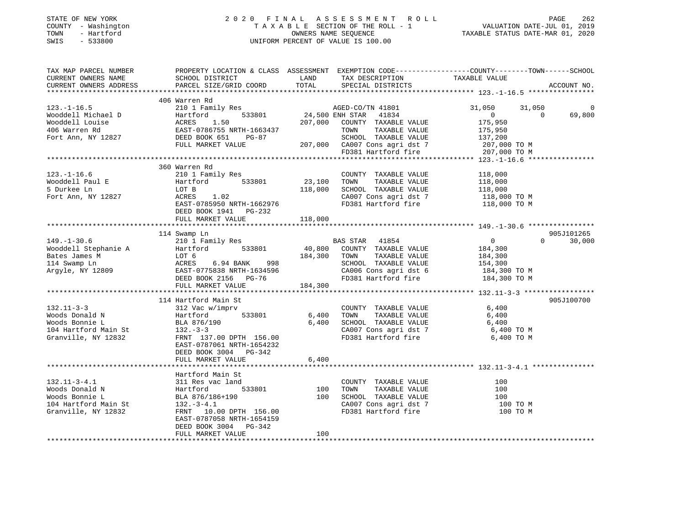# STATE OF NEW YORK 2 0 2 0 F I N A L A S S E S S M E N T R O L L PAGE 262 COUNTY - Washington T A X A B L E SECTION OF THE ROLL - 1 VALUATION DATE-JUL 01, 2019 TOWN - Hartford OWNERS NAME SEQUENCE TAXABLE STATUS DATE-MAR 01, 2020 SWIS - 533800 UNIFORM PERCENT OF VALUE IS 100.00

| TAX MAP PARCEL NUMBER<br>CURRENT OWNERS NAME                                                          | PROPERTY LOCATION & CLASS ASSESSMENT EXEMPTION CODE----------------COUNTY-------TOWN-----SCHOOL<br>SCHOOL DISTRICT                                                            | LAND                         | TAX DESCRIPTION                                                                                                                                     | TAXABLE VALUE                                                                       |                                  |
|-------------------------------------------------------------------------------------------------------|-------------------------------------------------------------------------------------------------------------------------------------------------------------------------------|------------------------------|-----------------------------------------------------------------------------------------------------------------------------------------------------|-------------------------------------------------------------------------------------|----------------------------------|
| CURRENT OWNERS ADDRESS                                                                                | PARCEL SIZE/GRID COORD                                                                                                                                                        | TOTAL                        | SPECIAL DISTRICTS                                                                                                                                   |                                                                                     | ACCOUNT NO.                      |
|                                                                                                       | 406 Warren Rd                                                                                                                                                                 |                              |                                                                                                                                                     |                                                                                     |                                  |
| $123. - 1 - 16.5$<br>Wooddell Michael D<br>Wooddell Louise<br>406 Warren Rd<br>Fort Ann, NY 12827     | 210 1 Family Res<br>533801<br>Hartford<br>ACRES<br>1.50<br>EAST-0786755 NRTH-1663437<br>DEED BOOK 651<br>PG-87<br>FULL MARKET VALUE                                           | 24,500 ENH STAR              | AGED-CO/TN 41801<br>41834<br>207,000 COUNTY TAXABLE VALUE<br>TOWN<br>TAXABLE VALUE<br>SCHOOL TAXABLE VALUE<br>207,000 CA007 Cons agri dst 7         | 31,050<br>31,050<br>$\overline{0}$<br>175,950<br>175,950<br>137,200<br>207,000 TO M | 69,800<br>$\Omega$               |
|                                                                                                       |                                                                                                                                                                               |                              | FD381 Hartford fire                                                                                                                                 | 207,000 TO M                                                                        |                                  |
|                                                                                                       |                                                                                                                                                                               |                              |                                                                                                                                                     |                                                                                     |                                  |
| $123. - 1 - 16.6$<br>Wooddell Paul E<br>5 Durkee Ln<br>Fort Ann, NY 12827                             | 360 Warren Rd<br>210 1 Family Res<br>533801<br>Hartford<br>LOT B<br>ACRES<br>1.02<br>EAST-0785950 NRTH-1662976<br>DEED BOOK 1941 PG-232<br>FULL MARKET VALUE                  | 23,100<br>118,000<br>118,000 | COUNTY TAXABLE VALUE<br>TAXABLE VALUE<br>TOWN<br>SCHOOL TAXABLE VALUE<br>CA007 Cons agri dst 7<br>FD381 Hartford fire                               | 118,000<br>118,000<br>118,000<br>118,000 TO M<br>118,000 TO M                       |                                  |
|                                                                                                       |                                                                                                                                                                               |                              |                                                                                                                                                     |                                                                                     |                                  |
| $149. - 1 - 30.6$<br>Wooddell Stephanie A<br>Bates James M<br>114 Swamp Ln<br>Argyle, NY 12809        | 114 Swamp Ln<br>210 1 Family Res<br>533801<br>Hartford<br>LOT 6<br>998<br>ACRES<br>6.94 BANK<br>EAST-0775838 NRTH-1634596<br>DEED BOOK 2156 PG-76<br>FULL MARKET VALUE        | 184,300 TOWN<br>184,300      | BAS STAR 41854<br>40,800 COUNTY TAXABLE VALUE<br>TAXABLE VALUE<br>SCHOOL TAXABLE VALUE<br>CA006 Cons agri dst 6<br>FD381 Hartford fire 184,300 TO M | $\overline{0}$<br>184,300<br>184,300<br>154,300<br>184,300 TO M                     | 905J101265<br>30,000<br>$\Omega$ |
|                                                                                                       |                                                                                                                                                                               | * * * * * * * * * * * * * *  |                                                                                                                                                     |                                                                                     |                                  |
| $132.11 - 3 - 3$<br>Woods Donald N<br>Woods Bonnie L<br>104 Hartford Main St<br>Granville, NY 12832   | 114 Hartford Main St<br>312 Vac w/imprv<br>533801<br>Hartford<br>BLA 876/190<br>$132 - 3 - 3$<br>FRNT 137.00 DPTH 156.00<br>EAST-0787061 NRTH-1654232                         | 6,400<br>6,400               | COUNTY TAXABLE VALUE<br>TOWN<br>TAXABLE VALUE<br>SCHOOL TAXABLE VALUE<br>CA007 Cons agri dst 7<br>FD381 Hartford fire                               | 6,400<br>6,400<br>6,400<br>6,400 TO M<br>6,400 TO M                                 | 905J100700                       |
|                                                                                                       | DEED BOOK 3004 PG-342<br>FULL MARKET VALUE                                                                                                                                    | 6,400                        |                                                                                                                                                     |                                                                                     |                                  |
|                                                                                                       |                                                                                                                                                                               |                              |                                                                                                                                                     |                                                                                     |                                  |
| $132.11 - 3 - 4.1$<br>Woods Donald N<br>Woods Bonnie L<br>104 Hartford Main St<br>Granville, NY 12832 | Hartford Main St<br>311 Res vac land<br>533801<br>Hartford<br>BLA 876/186+190<br>$132.-3-4.1$<br>FRNT 10.00 DPTH 156.00<br>EAST-0787058 NRTH-1654159<br>DEED BOOK 3004 PG-342 | 100<br>100                   | COUNTY TAXABLE VALUE<br>TOWN<br>TAXABLE VALUE<br>SCHOOL TAXABLE VALUE<br>SCHOOL TAXABLE VALUE<br>CA007 Cons agri dst 7<br>FD381 Hartford fire       | 100<br>100<br>100<br>100 TO M<br>100 TO M                                           |                                  |
|                                                                                                       | FULL MARKET VALUE                                                                                                                                                             | 100                          |                                                                                                                                                     |                                                                                     |                                  |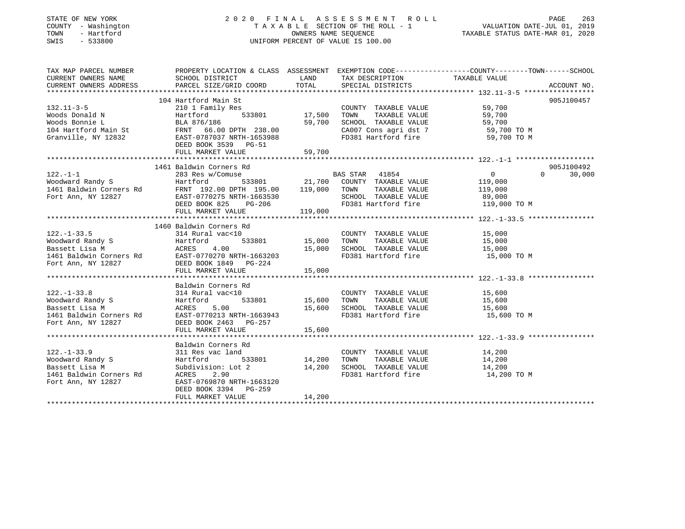# STATE OF NEW YORK 2 0 2 0 F I N A L A S S E S S M E N T R O L L PAGE 263 COUNTY - Washington T A X A B L E SECTION OF THE ROLL - 1 VALUATION DATE-JUL 01, 2019 TOWN - Hartford OWNERS NAME SEQUENCE TAXABLE STATUS DATE-MAR 01, 2020 SWIS - 533800 UNIFORM PERCENT OF VALUE IS 100.00

| TAX MAP PARCEL NUMBER                                                                                                                  | PROPERTY LOCATION & CLASS ASSESSMENT EXEMPTION CODE---------------COUNTY-------TOWN-----SCHOOL                                                                                                                                                             |        |                                                                                                                                                                                                   |             |            |
|----------------------------------------------------------------------------------------------------------------------------------------|------------------------------------------------------------------------------------------------------------------------------------------------------------------------------------------------------------------------------------------------------------|--------|---------------------------------------------------------------------------------------------------------------------------------------------------------------------------------------------------|-------------|------------|
| CURRENT OWNERS NAME                                                                                                                    | SCHOOL DISTRICT                        LAND        TAX DESCRIPTION                   TAXABLE VALUE                                                                                                                                                         |        |                                                                                                                                                                                                   |             |            |
|                                                                                                                                        |                                                                                                                                                                                                                                                            |        |                                                                                                                                                                                                   |             |            |
|                                                                                                                                        | 132.11-3-5<br>Voods Donald N<br>Woods Donald N<br>Woods Bonnie L<br>14 Hartford Main St<br>210 1 Family Res<br>59,700<br>Hartford 533801<br>210 1 Family Res<br>59,700<br>210 1 Family Res<br>210 1 Family Res<br>210 1 Family Res<br>210 17,500<br>200NTY |        |                                                                                                                                                                                                   |             | 905J100457 |
|                                                                                                                                        |                                                                                                                                                                                                                                                            |        |                                                                                                                                                                                                   |             |            |
|                                                                                                                                        |                                                                                                                                                                                                                                                            |        |                                                                                                                                                                                                   |             |            |
|                                                                                                                                        |                                                                                                                                                                                                                                                            |        |                                                                                                                                                                                                   |             |            |
|                                                                                                                                        |                                                                                                                                                                                                                                                            |        |                                                                                                                                                                                                   |             |            |
|                                                                                                                                        |                                                                                                                                                                                                                                                            |        |                                                                                                                                                                                                   |             |            |
|                                                                                                                                        | DEED BOOK 3539 PG-51                                                                                                                                                                                                                                       |        |                                                                                                                                                                                                   |             |            |
|                                                                                                                                        |                                                                                                                                                                                                                                                            |        |                                                                                                                                                                                                   |             |            |
|                                                                                                                                        |                                                                                                                                                                                                                                                            |        |                                                                                                                                                                                                   |             |            |
|                                                                                                                                        | 1461 Baldwin Corners Rd                                                                                                                                                                                                                                    |        |                                                                                                                                                                                                   |             | 905J100492 |
|                                                                                                                                        |                                                                                                                                                                                                                                                            |        |                                                                                                                                                                                                   |             | $0$ 30,000 |
|                                                                                                                                        |                                                                                                                                                                                                                                                            |        |                                                                                                                                                                                                   |             |            |
|                                                                                                                                        |                                                                                                                                                                                                                                                            |        |                                                                                                                                                                                                   |             |            |
|                                                                                                                                        |                                                                                                                                                                                                                                                            |        |                                                                                                                                                                                                   |             |            |
|                                                                                                                                        |                                                                                                                                                                                                                                                            |        |                                                                                                                                                                                                   |             |            |
|                                                                                                                                        |                                                                                                                                                                                                                                                            |        |                                                                                                                                                                                                   |             |            |
|                                                                                                                                        |                                                                                                                                                                                                                                                            |        |                                                                                                                                                                                                   |             |            |
|                                                                                                                                        |                                                                                                                                                                                                                                                            |        |                                                                                                                                                                                                   |             |            |
|                                                                                                                                        |                                                                                                                                                                                                                                                            |        |                                                                                                                                                                                                   |             |            |
|                                                                                                                                        |                                                                                                                                                                                                                                                            |        |                                                                                                                                                                                                   |             |            |
|                                                                                                                                        |                                                                                                                                                                                                                                                            |        |                                                                                                                                                                                                   |             |            |
|                                                                                                                                        |                                                                                                                                                                                                                                                            |        |                                                                                                                                                                                                   |             |            |
|                                                                                                                                        |                                                                                                                                                                                                                                                            |        |                                                                                                                                                                                                   |             |            |
|                                                                                                                                        |                                                                                                                                                                                                                                                            |        |                                                                                                                                                                                                   |             |            |
|                                                                                                                                        |                                                                                                                                                                                                                                                            |        |                                                                                                                                                                                                   |             |            |
|                                                                                                                                        | Baldwin Corners Rd                                                                                                                                                                                                                                         |        |                                                                                                                                                                                                   |             |            |
|                                                                                                                                        |                                                                                                                                                                                                                                                            |        |                                                                                                                                                                                                   |             |            |
|                                                                                                                                        |                                                                                                                                                                                                                                                            |        |                                                                                                                                                                                                   |             |            |
|                                                                                                                                        |                                                                                                                                                                                                                                                            |        |                                                                                                                                                                                                   |             |            |
|                                                                                                                                        | ACRES 5.00 15,600 SCHOOL TAXABLE VALUE 15,600<br>EAST-0770213 NRTH-1663943 FD381 Hartford fire 15,600 TO M<br>DEED BOOK 2463 DC-257                                                                                                                        |        |                                                                                                                                                                                                   |             |            |
|                                                                                                                                        | 122.-1-33.8<br>Woodward Randy S<br>Moodward Randy S<br>Bassett Lisa M<br>15,600<br>1461 Baldwin Corners Rd<br>15,600<br>1461 Baldwin Corners Rd<br>15,600<br>1461 Baldwin Corners Rd<br>15,600<br>161 Baldwin Corners Rd<br>15,600<br>161 Baldwin Corner   |        |                                                                                                                                                                                                   |             |            |
|                                                                                                                                        |                                                                                                                                                                                                                                                            |        |                                                                                                                                                                                                   |             |            |
|                                                                                                                                        |                                                                                                                                                                                                                                                            |        |                                                                                                                                                                                                   |             |            |
|                                                                                                                                        | Baldwin Corners Rd                                                                                                                                                                                                                                         |        |                                                                                                                                                                                                   |             |            |
|                                                                                                                                        | 311 Res vac land<br>C Lanu 533801 14,200 TOWN                                                                                                                                                                                                              |        | $\begin{tabular}{lllllllllllll} \multicolumn{2}{c}{\textbf{COUNTY}} & \textbf{TAXABLE VALUE} & & & 14,200 \\ \multicolumn{2}{c}{\textbf{TOWN}} & \textbf{TAXABLE VALUE} & & 14,200 \end{tabular}$ |             |            |
| 122.-1-33.9<br>Woodward Randy S<br>Bassett Lisa M<br>1461 Baldwin Corners Rd<br>Fort Ann, NY 12827<br>Fort Ann, NY 12827<br>FAST-07698 |                                                                                                                                                                                                                                                            |        |                                                                                                                                                                                                   |             |            |
|                                                                                                                                        | Subdivision: Lot 2 14, 200 SCHOOL TAXABLE VALUE 14, 200<br>ACRES 2.90 FD381 Hartford fire 14, 200<br>TRABLE VALUE 14, 200                                                                                                                                  |        |                                                                                                                                                                                                   |             |            |
|                                                                                                                                        |                                                                                                                                                                                                                                                            |        |                                                                                                                                                                                                   | 14,200 TO M |            |
|                                                                                                                                        | EAST-0769870 NRTH-1663120                                                                                                                                                                                                                                  |        |                                                                                                                                                                                                   |             |            |
|                                                                                                                                        | DEED BOOK 3394 PG-259                                                                                                                                                                                                                                      | 14,200 |                                                                                                                                                                                                   |             |            |
|                                                                                                                                        | FULL MARKET VALUE                                                                                                                                                                                                                                          |        |                                                                                                                                                                                                   |             |            |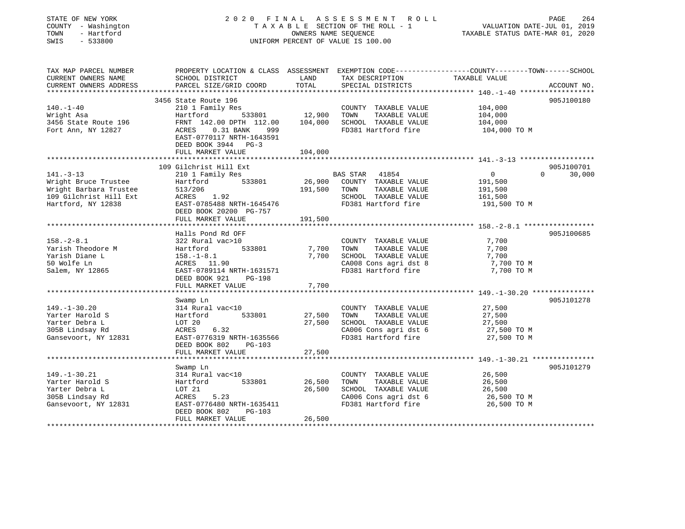| STATE OF NEW YORK<br>COUNTY - Washington<br>- Hartford<br>TOWN<br>SWIS<br>$-533800$ |                                                                                                                                                                                | OWNERS NAME SEQUENCE | 2020 FINAL ASSESSMENT ROLL<br>TAXABLE SECTION OF THE ROLL - 1<br>UNIFORM PERCENT OF VALUE IS 100.00 | PAGE<br>264<br>VALUATION DATE-JUL 01, 2019<br>TAXABLE STATUS DATE-MAR 01, 2020 |                             |  |
|-------------------------------------------------------------------------------------|--------------------------------------------------------------------------------------------------------------------------------------------------------------------------------|----------------------|-----------------------------------------------------------------------------------------------------|--------------------------------------------------------------------------------|-----------------------------|--|
| TAX MAP PARCEL NUMBER<br>CURRENT OWNERS NAME<br>CURRENT OWNERS ADDRESS              | PROPERTY LOCATION & CLASS ASSESSMENT EXEMPTION CODE-----------------COUNTY-------TOWN------SCHOOL SCHOOL DISTRICT LAND TAX DESCRIPTION TAXABLE VALUE<br>PARCEL SIZE/GRID COORD | TOTAL                | SPECIAL DISTRICTS                                                                                   |                                                                                | ACCOUNT NO.                 |  |
|                                                                                     |                                                                                                                                                                                |                      |                                                                                                     |                                                                                |                             |  |
|                                                                                     | 3456 State Route 196                                                                                                                                                           |                      |                                                                                                     |                                                                                | 905J100180                  |  |
| $140. - 1 - 40$                                                                     | 210 1 Family Res                                                                                                                                                               |                      | COUNTY TAXABLE VALUE                                                                                | 104,000                                                                        |                             |  |
| Wright Asa                                                                          | 533801 12,900<br>Hartford<br>FRNT 142.00 DPTH 112.00 104,000                                                                                                                   |                      | TOWN<br>TAXABLE VALUE                                                                               | 104,000                                                                        |                             |  |
| 3456 State Route 196<br>Fort Ann, NY 12827                                          | ACRES   0.31 BANK   999<br>EAST-0770117 NRTH-1643591<br>DEED BOOK 3944 PG-3                                                                                                    |                      | SCHOOL TAXABLE VALUE<br>FD381 Hartford fire                                                         | 104,000<br>104,000 TO M                                                        |                             |  |
|                                                                                     | FULL MARKET VALUE                                                                                                                                                              | 104,000              |                                                                                                     |                                                                                |                             |  |
|                                                                                     |                                                                                                                                                                                |                      |                                                                                                     |                                                                                |                             |  |
|                                                                                     | 109 Gilchrist Hill Ext                                                                                                                                                         |                      |                                                                                                     |                                                                                | 905J100701<br>$0 \t 30,000$ |  |
| $141. - 3 - 13$<br>Wright Bruce Trustee                                             | 210 1 Family Res<br>533801                                                                                                                                                     |                      | BAS STAR 41854<br>26,900 COUNTY TAXABLE VALUE                                                       | $\overline{0}$<br>191,500                                                      |                             |  |
| Wright Barbara Trustee                                                              | Hartford<br>513/206<br>ACRES 1                                                                                                                                                 | 191,500 TOWN         | TAXABLE VALUE                                                                                       | 191,500                                                                        |                             |  |
| 109 Gilchrist Hill Ext                                                              | ACRES 1.92                                                                                                                                                                     |                      | SCHOOL TAXABLE VALUE                                                                                | 161,500                                                                        |                             |  |
| Hartford, NY 12838                                                                  | EAST-0785488 NRTH-1645476                                                                                                                                                      |                      | FD381 Hartford fire                                                                                 | 191,500 TO M                                                                   |                             |  |
|                                                                                     | DEED BOOK 20200 PG-757                                                                                                                                                         |                      |                                                                                                     |                                                                                |                             |  |
|                                                                                     | FULL MARKET VALUE                                                                                                                                                              | 191,500              |                                                                                                     |                                                                                |                             |  |
|                                                                                     |                                                                                                                                                                                |                      |                                                                                                     |                                                                                |                             |  |
|                                                                                     | Halls Pond Rd OFF                                                                                                                                                              |                      |                                                                                                     |                                                                                | 905J100685                  |  |
| $158. - 2 - 8.1$                                                                    | 322 Rural vac>10                                                                                                                                                               |                      | COUNTY TAXABLE VALUE                                                                                | 7,700                                                                          |                             |  |
| Yarish Theodore M                                                                   | Hartford<br>533801                                                                                                                                                             | 7,700                | TAXABLE VALUE<br>TOWN                                                                               | 7,700                                                                          |                             |  |
| Yarish Diane L<br>50 Wolfe Ln                                                       | $158. - 1 - 8.1$<br>ACRES 11.90                                                                                                                                                |                      | 7,700 SCHOOL TAXABLE VALUE<br>CA008 Cons agri dst 8                                                 | 7,700                                                                          |                             |  |
| Salem, NY 12865                                                                     | EAST-0789114 NRTH-1631571                                                                                                                                                      |                      | FD381 Hartford fire                                                                                 | 7,700 TO M<br>7,700 TO M                                                       |                             |  |
|                                                                                     | DEED BOOK 921<br>PG-198                                                                                                                                                        |                      |                                                                                                     |                                                                                |                             |  |
|                                                                                     | FULL MARKET VALUE                                                                                                                                                              | 7,700                |                                                                                                     |                                                                                |                             |  |
|                                                                                     |                                                                                                                                                                                |                      |                                                                                                     |                                                                                |                             |  |
|                                                                                     | Swamp Ln                                                                                                                                                                       |                      |                                                                                                     |                                                                                | 905J101278                  |  |
| $149. - 1 - 30.20$                                                                  | 314 Rural vac<10                                                                                                                                                               |                      | COUNTY TAXABLE VALUE                                                                                | 27,500                                                                         |                             |  |
| Yarter Harold S                                                                     | Hartford<br>533801                                                                                                                                                             | 27,500               | TAXABLE VALUE<br>TOWN                                                                               | 27,500                                                                         |                             |  |
| Yarter Debra L                                                                      | LOT 20                                                                                                                                                                         |                      | 27,500 SCHOOL TAXABLE VALUE                                                                         | 27,500                                                                         |                             |  |
| 305B Lindsay Rd                                                                     | ACRES 6.32                                                                                                                                                                     |                      | CA006 Cons agri dst 6                                                                               | 27,500 TO M                                                                    |                             |  |
| Gansevoort, NY 12831                                                                | EAST-0776319 NRTH-1635566                                                                                                                                                      |                      | FD381 Hartford fire                                                                                 | 27,500 TO M                                                                    |                             |  |
|                                                                                     | DEED BOOK 802<br>$PG-103$<br>FULL MARKET VALUE                                                                                                                                 | 27,500               |                                                                                                     |                                                                                |                             |  |
|                                                                                     | *****************                                                                                                                                                              |                      |                                                                                                     |                                                                                |                             |  |
|                                                                                     | Swamp Ln                                                                                                                                                                       |                      |                                                                                                     |                                                                                | 905J101279                  |  |
| $149. - 1 - 30.21$                                                                  | 314 Rural vac<10                                                                                                                                                               |                      | COUNTY TAXABLE VALUE                                                                                | 26,500                                                                         |                             |  |
| Yarter Harold S                                                                     | Hartford<br>533801                                                                                                                                                             | 26,500               | TAXABLE VALUE<br>TOWN                                                                               | 26,500                                                                         |                             |  |
| Yarter Debra L                                                                      | LOT 21                                                                                                                                                                         |                      | 26,500 SCHOOL TAXABLE VALUE                                                                         | 26,500                                                                         |                             |  |
| 305B Lindsay Rd                                                                     | ACRES<br>5.23                                                                                                                                                                  |                      | CA006 Cons agri dst 6                                                                               | 26,500 TO M                                                                    |                             |  |
| Gansevoort, NY 12831                                                                | EAST-0776480 NRTH-1635411                                                                                                                                                      |                      | FD381 Hartford fire                                                                                 | 26,500 TO M                                                                    |                             |  |
|                                                                                     | DEED BOOK 802<br>PG-103                                                                                                                                                        |                      |                                                                                                     |                                                                                |                             |  |
|                                                                                     | FULL MARKET VALUE                                                                                                                                                              | 26,500               |                                                                                                     |                                                                                |                             |  |
|                                                                                     |                                                                                                                                                                                |                      |                                                                                                     |                                                                                |                             |  |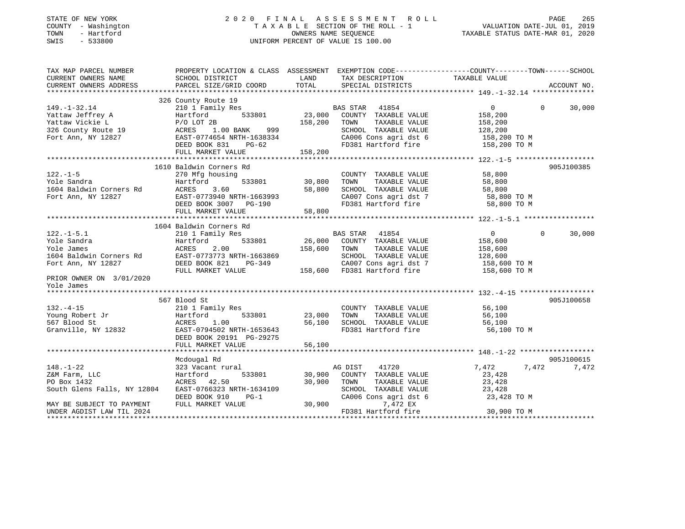| STATE OF NEW YORK<br>COUNTY - Washington<br>- Hartford<br>TOWN<br>SWIS<br>$-533800$ | ASSESSMENT<br>2020 FINAL<br>ROLL<br>TAXABLE SECTION OF THE ROLL - 1<br>OWNERS NAME SEQUENCE<br>UNIFORM PERCENT OF VALUE IS 100.00 |         |                                              | PAGE<br>265<br>VALUATION DATE-JUL 01, 2019<br>TAXABLE STATUS DATE-MAR 01, 2020 |                    |  |  |
|-------------------------------------------------------------------------------------|-----------------------------------------------------------------------------------------------------------------------------------|---------|----------------------------------------------|--------------------------------------------------------------------------------|--------------------|--|--|
| TAX MAP PARCEL NUMBER<br>CURRENT OWNERS NAME                                        | PROPERTY LOCATION & CLASS ASSESSMENT EXEMPTION CODE----------------COUNTY-------TOWN-----SCHOOL                                   | LAND    |                                              |                                                                                |                    |  |  |
| CURRENT OWNERS ADDRESS<br>**********************                                    | SCHOOL DISTRICT<br>PARCEL SIZE/GRID COORD                                                                                         | TOTAL   | TAX DESCRIPTION<br>SPECIAL DISTRICTS         | TAXABLE VALUE                                                                  | ACCOUNT NO.        |  |  |
|                                                                                     | 326 County Route 19                                                                                                               |         |                                              |                                                                                |                    |  |  |
| $149. - 1 - 32.14$                                                                  | 210 1 Family Res                                                                                                                  |         | 41854<br>BAS STAR                            | $\overline{0}$                                                                 | $\Omega$<br>30,000 |  |  |
| Yattaw Jeffrey A                                                                    | 533801<br>Hartford                                                                                                                | 23,000  | COUNTY TAXABLE VALUE                         | 158,200                                                                        |                    |  |  |
| Yattaw Vickie L                                                                     | $P/O$ LOT 2B                                                                                                                      | 158,200 | TOWN<br>TAXABLE VALUE                        | 158,200                                                                        |                    |  |  |
| 326 County Route 19                                                                 | 1.00 BANK<br>999<br>ACRES                                                                                                         |         | SCHOOL TAXABLE VALUE                         | 128,200                                                                        |                    |  |  |
| Fort Ann, NY 12827                                                                  | EAST-0774654 NRTH-1638334                                                                                                         |         | CA006 Cons agri dst 6                        | 158,200 TO M                                                                   |                    |  |  |
|                                                                                     | DEED BOOK 831<br>$PG-62$                                                                                                          |         | FD381 Hartford fire                          | 158,200 TO M                                                                   |                    |  |  |
|                                                                                     | FULL MARKET VALUE                                                                                                                 | 158,200 |                                              |                                                                                |                    |  |  |
|                                                                                     |                                                                                                                                   |         |                                              |                                                                                |                    |  |  |
|                                                                                     | 1610 Baldwin Corners Rd                                                                                                           |         |                                              |                                                                                | 905J100385         |  |  |
| $122. - 1 - 5$                                                                      | 270 Mfg housing                                                                                                                   |         | COUNTY TAXABLE VALUE                         | 58,800                                                                         |                    |  |  |
| Yole Sandra                                                                         | Hartford<br>533801                                                                                                                | 30,800  | TOWN<br>TAXABLE VALUE                        | 58,800                                                                         |                    |  |  |
| 1604 Baldwin Corners Rd                                                             | 3.60<br>ACRES                                                                                                                     | 58,800  | SCHOOL TAXABLE VALUE                         | 58,800                                                                         |                    |  |  |
| Fort Ann, NY 12827                                                                  | EAST-0773940 NRTH-1663993<br>DEED BOOK 3007<br>PG-190                                                                             |         | CA007 Cons agri dst 7<br>FD381 Hartford fire | 58,800 TO M<br>58,800 TO M                                                     |                    |  |  |
|                                                                                     | FULL MARKET VALUE                                                                                                                 | 58,800  |                                              |                                                                                |                    |  |  |
|                                                                                     |                                                                                                                                   |         |                                              |                                                                                |                    |  |  |
|                                                                                     | 1604 Baldwin Corners Rd                                                                                                           |         |                                              |                                                                                |                    |  |  |
| $122. - 1 - 5.1$                                                                    | 210 1 Family Res                                                                                                                  |         | <b>BAS STAR</b><br>41854                     | $\overline{0}$                                                                 | $\Omega$<br>30,000 |  |  |
| Yole Sandra                                                                         | 533801<br>Hartford                                                                                                                | 26,000  | COUNTY TAXABLE VALUE                         | 158,600                                                                        |                    |  |  |
| Yole James                                                                          | ACRES<br>2.00                                                                                                                     | 158,600 | TOWN<br>TAXABLE VALUE                        | 158,600                                                                        |                    |  |  |
| 1604 Baldwin Corners Rd                                                             | EAST-0773773 NRTH-1663869                                                                                                         |         | SCHOOL TAXABLE VALUE                         | 128,600                                                                        |                    |  |  |
| Fort Ann, NY 12827                                                                  | DEED BOOK 821<br>PG-349                                                                                                           |         | CA007 Cons agri dst 7                        | 158,600 TO M                                                                   |                    |  |  |
|                                                                                     | FULL MARKET VALUE                                                                                                                 | 158,600 | FD381 Hartford fire                          | 158,600 TO M                                                                   |                    |  |  |
| PRIOR OWNER ON 3/01/2020<br>Yole James                                              |                                                                                                                                   |         |                                              |                                                                                |                    |  |  |
|                                                                                     |                                                                                                                                   |         |                                              |                                                                                |                    |  |  |
|                                                                                     | 567 Blood St                                                                                                                      |         |                                              |                                                                                | 905J100658         |  |  |
| $132. -4 - 15$                                                                      | 210 1 Family Res                                                                                                                  |         | COUNTY TAXABLE VALUE                         | 56,100                                                                         |                    |  |  |
| Young Robert Jr                                                                     | 533801<br>Hartford                                                                                                                | 23,000  | TAXABLE VALUE<br>TOWN                        | 56,100                                                                         |                    |  |  |
| 567 Blood St                                                                        | ACRES<br>1.00                                                                                                                     | 56,100  | SCHOOL TAXABLE VALUE                         | 56,100                                                                         |                    |  |  |
| Granville, NY 12832                                                                 | EAST-0794502 NRTH-1653643                                                                                                         |         | FD381 Hartford fire                          | 56,100 TO M                                                                    |                    |  |  |
|                                                                                     | DEED BOOK 20191 PG-29275                                                                                                          |         |                                              |                                                                                |                    |  |  |
|                                                                                     | FULL MARKET VALUE                                                                                                                 | 56,100  |                                              |                                                                                |                    |  |  |
|                                                                                     |                                                                                                                                   |         |                                              |                                                                                |                    |  |  |
|                                                                                     | Mcdougal Rd                                                                                                                       |         |                                              |                                                                                | 905J100615         |  |  |
| $148. - 1 - 22$                                                                     | 323 Vacant rural                                                                                                                  |         | 41720<br>AG DIST                             | 7,472<br>7,472                                                                 | 7,472              |  |  |
| Z&M Farm, LLC                                                                       | Hartford<br>533801                                                                                                                | 30,900  | COUNTY TAXABLE VALUE                         | 23,428                                                                         |                    |  |  |
| PO Box 1432                                                                         | ACRES<br>42.50                                                                                                                    | 30,900  | TOWN<br>TAXABLE VALUE                        | 23,428                                                                         |                    |  |  |
| South Glens Falls, NY 12804                                                         | EAST-0766323 NRTH-1634109                                                                                                         |         | SCHOOL TAXABLE VALUE                         | 23,428                                                                         |                    |  |  |
|                                                                                     | DEED BOOK 910<br>$PG-1$                                                                                                           |         | CA006 Cons agri dst 6                        | 23,428 TO M                                                                    |                    |  |  |

MAY BE SUBJECT TO PAYMENT FULL MARKET VALUE 30,900 7,472 EX

UNDER AGDIST LAW TIL 2024 FD381 Hartford fire 30,900 TO M \*\*\*\*\*\*\*\*\*\*\*\*\*\*\*\*\*\*\*\*\*\*\*\*\*\*\*\*\*\*\*\*\*\*\*\*\*\*\*\*\*\*\*\*\*\*\*\*\*\*\*\*\*\*\*\*\*\*\*\*\*\*\*\*\*\*\*\*\*\*\*\*\*\*\*\*\*\*\*\*\*\*\*\*\*\*\*\*\*\*\*\*\*\*\*\*\*\*\*\*\*\*\*\*\*\*\*\*\*\*\*\*\*\*\*\*\*\*\*\*\*\*\*\*\*\*\*\*\*\*\*\*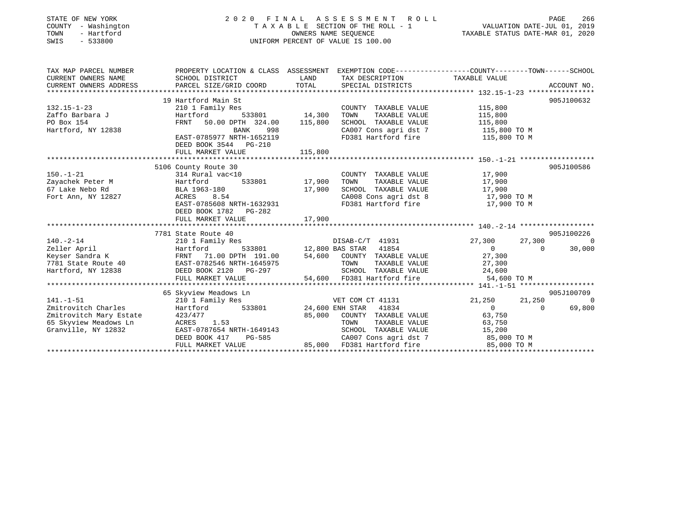| STATE OF NEW YORK<br>- Washington<br>COUNTY<br>- Hartford<br>TOWN<br>$-533800$<br>SWIS          | 2020 FINAL ASSESSMENT ROLL<br>TAXABLE SECTION OF THE ROLL - 1<br>UNIFORM PERCENT OF VALUE IS 100.00                                                                                  | 266<br>PAGE<br>VALUATION DATE-JUL 01, 2019<br>TAXABLE STATUS DATE-MAR 01, 2020 |                                                                                                                                            |                                                                                        |                                        |
|-------------------------------------------------------------------------------------------------|--------------------------------------------------------------------------------------------------------------------------------------------------------------------------------------|--------------------------------------------------------------------------------|--------------------------------------------------------------------------------------------------------------------------------------------|----------------------------------------------------------------------------------------|----------------------------------------|
| TAX MAP PARCEL NUMBER<br>CURRENT OWNERS NAME<br>CURRENT OWNERS ADDRESS                          | PROPERTY LOCATION & CLASS ASSESSMENT EXEMPTION CODE----------------COUNTY-------TOWN-----SCHOOL<br>SCHOOL DISTRICT<br>PARCEL SIZE/GRID COORD                                         | LAND<br>TOTAL                                                                  | TAX DESCRIPTION<br>SPECIAL DISTRICTS                                                                                                       | TAXABLE VALUE                                                                          | ACCOUNT NO.                            |
| $132.15 - 1 - 23$<br>Isz.is I 25<br>Zaffo Barbara J<br>PO Box 154<br>Hartford, NY 12838         | 19 Hartford Main St<br>210 1 Family Res<br>Hartford<br>50.00 DPTH 324.00 115,800<br>FRNT<br>BANK<br>998<br>EAST-0785977 NRTH-1652119<br>DEED BOOK 3544 PG-210<br>FULL MARKET VALUE   | 533801 14,300 TOWN<br>115,800                                                  | COUNTY TAXABLE VALUE<br>TAXABLE VALUE<br>SCHOOL TAXABLE VALUE<br>CA007 Cons agri dst 7 115,800 TO M<br>FD381 Hartford fire                 | 115,800<br>115,800<br>115,800<br>115,800 TO M                                          | 905J100632                             |
| $150. - 1 - 21$<br>Zayachek Peter M<br>67 Lake Nebo Rd<br>Fort Ann, NY 12827                    | 5106 County Route 30<br>314 Rural vac<10<br>533801<br>Hartford<br>BLA 1963-180<br>8.54<br><b>ACRES</b><br>EAST-0785608 NRTH-1632931<br>DEED BOOK 1782 PG-282<br>FULL MARKET VALUE    | 17,900 TOWN<br>17,900<br>17,900                                                | COUNTY TAXABLE VALUE 17,900<br>SCHOOL TAXABLE VALUE 17,900<br>CA008 Cons agri dst 8 17,900 TO M<br>FD381 Hartford fire                     | TAXABLE VALUE 17,900<br>17,900 TO M                                                    | 905J100586                             |
| $140. - 2 - 14$<br>Zeller April<br>Keyser Sandra K<br>7781 State Route 40<br>Hartford, NY 12838 | 7781 State Route 40<br>210 1 Family Res<br>Hartford<br>FRNT 71.00 DPTH 191.00 54,600 COUNTY TAXABLE VALUE<br>EAST-0782546 NRTH-1645975<br>DEED BOOK 2120 PG-297<br>FULL MARKET VALUE |                                                                                | DISAB-C/T 41931<br>533801 12,800 BAS STAR 41854<br>TAXABLE VALUE<br>TOWN<br>SCHOOL TAXABLE VALUE<br>54,600 FD381 Hartford fire 54,600 TO M | 27,300<br>27,300<br>$\overline{0}$<br>$\Omega$<br>27,300<br>27,300<br>27,300<br>24,600 | 905J100226<br>$\overline{0}$<br>30,000 |
| $141. - 1 - 51$<br>Zmitrovitch Charles                                                          | 65 Skyview Meadows Ln<br>210 1 Family Res<br>Hartford<br>533801                                                                                                                      |                                                                                | VET COM CT 41131<br>24,600 ENH STAR<br>41834                                                                                               | 21,250<br>21,250<br>$\Omega$<br>$\Omega$                                               | 905J100709<br>$\Omega$<br>69,800       |

Granville, NY 12832 EAST-0787654 NRTH-1649143 SCHOOL TAXABLE VALUE 15,200

SCHOOD IAAADDE VADOE<br>CA007 Cons agri dst 7 85,000 TO M<br>85,000 FD381 Hartford fire 85,000 TO M

Zmitrovitch Mary Estate  $423/477$  85,000 COUNTY TAXABLE VALUE 63,750 65 Skyview Meadows Ln ACRES 1.53 TOWN TAXABLE VALUE 63,750

FULL MARKET VALUE 85,000 FD381 Hartford fire

\*\*\*\*\*\*\*\*\*\*\*\*\*\*\*\*\*\*\*\*\*\*\*\*\*\*\*\*\*\*\*\*\*\*\*\*\*\*\*\*\*\*\*\*\*\*\*\*\*\*\*\*\*\*\*\*\*\*\*\*\*\*\*\*\*\*\*\*\*\*\*\*\*\*\*\*\*\*\*\*\*\*\*\*\*\*\*\*\*\*\*\*\*\*\*\*\*\*\*\*\*\*\*\*\*\*\*\*\*\*\*\*\*\*\*\*\*\*\*\*\*\*\*\*\*\*\*\*\*\*\*\*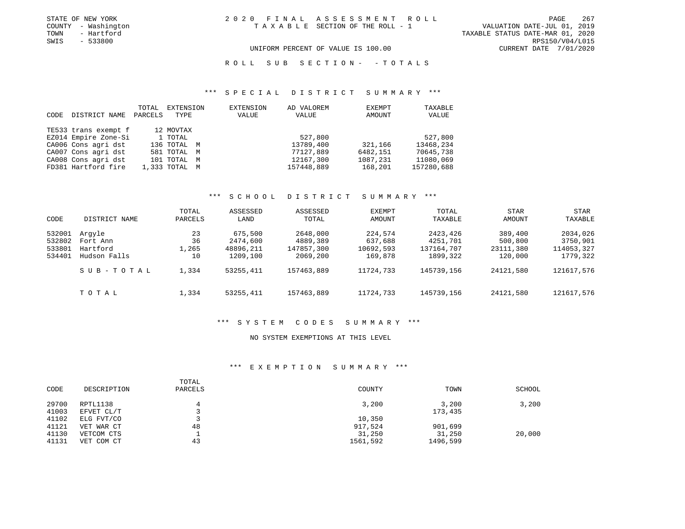TOWN - Hartford TAXABLE STATUS DATE-MAR 01, 2020 UNIFORM PERCENT OF VALUE IS 100.00 CURRENT DATE 7/01/2020

R O L L S U B S E C T I O N - - T O T A L S

#### \*\*\* S P E C I A L D I S T R I C T S U M M A R Y \*\*\*

| CODE | DISTRICT NAME        | TOTAL<br>PARCELS | EXTENSION<br>TYPE | EXTENSION<br>VALUE | AD VALOREM<br>VALUE | EXEMPT<br>AMOUNT | TAXABLE<br>VALUE |
|------|----------------------|------------------|-------------------|--------------------|---------------------|------------------|------------------|
|      | TE533 trans exempt f |                  | 12 MOVTAX         |                    |                     |                  |                  |
|      | EZ014 Empire Zone-Si |                  | 1 TOTAL           |                    | 527,800             |                  | 527,800          |
|      | CA006 Cons agri dst  |                  | 136 TOTAL M       |                    | 13789,400           | 321,166          | 13468,234        |
|      | CA007 Cons agri dst  |                  | 581 TOTAL M       |                    | 77127,889           | 6482,151         | 70645,738        |
|      | CA008 Cons agri dst  |                  | 101 TOTAL         | M                  | 12167,300           | 1087,231         | 11080,069        |
|      | FD381 Hartford fire  |                  | 1,333 TOTAL M     |                    | 157448,889          | 168,201          | 157280,688       |

# \*\*\* S C H O O L D I S T R I C T S U M M A R Y \*\*\*

| CODE                                 | DISTRICT NAME                                  | TOTAL<br>PARCELS        | ASSESSED<br>LAND                             | ASSESSED<br>TOTAL                              | <b>EXEMPT</b><br>AMOUNT                    | TOTAL<br>TAXABLE                               | <b>STAR</b><br>AMOUNT                      | STAR<br>TAXABLE                                |
|--------------------------------------|------------------------------------------------|-------------------------|----------------------------------------------|------------------------------------------------|--------------------------------------------|------------------------------------------------|--------------------------------------------|------------------------------------------------|
| 532001<br>532802<br>533801<br>534401 | Arqyle<br>Fort Ann<br>Hartford<br>Hudson Falls | 23<br>36<br>1,265<br>10 | 675,500<br>2474,600<br>48896,211<br>1209,100 | 2648,000<br>4889,389<br>147857,300<br>2069,200 | 224,574<br>637,688<br>10692,593<br>169,878 | 2423,426<br>4251,701<br>137164,707<br>1899,322 | 389,400<br>500,800<br>23111,380<br>120,000 | 2034,026<br>3750,901<br>114053,327<br>1779,322 |
|                                      | SUB-TOTAL                                      | 1,334                   | 53255,411                                    | 157463,889                                     | 11724,733                                  | 145739,156                                     | 24121,580                                  | 121617,576                                     |
|                                      | TOTAL                                          | 1,334                   | 53255,411                                    | 157463,889                                     | 11724,733                                  | 145739,156                                     | 24121,580                                  | 121617,576                                     |

#### \*\*\* S Y S T E M C O D E S S U M M A R Y \*\*\*

# NO SYSTEM EXEMPTIONS AT THIS LEVEL

# \*\*\* E X E M P T I O N S U M M A R Y \*\*\*

| CODE                    | DESCRIPTION                            | TOTAL<br>PARCELS | COUNTY                        | TOWN                          | SCHOOL |
|-------------------------|----------------------------------------|------------------|-------------------------------|-------------------------------|--------|
| 29700<br>41003          | RPTL1138<br>EFVET CL/T                 | 4                | 3,200                         | 3,200<br>173,435              | 3,200  |
| 41102                   | ELG FVT/CO                             |                  | 10,350                        |                               |        |
| 41121<br>41130<br>41131 | VET WAR CT<br>VETCOM CTS<br>VET COM CT | 48<br>43         | 917,524<br>31,250<br>1561,592 | 901,699<br>31,250<br>1496,599 | 20,000 |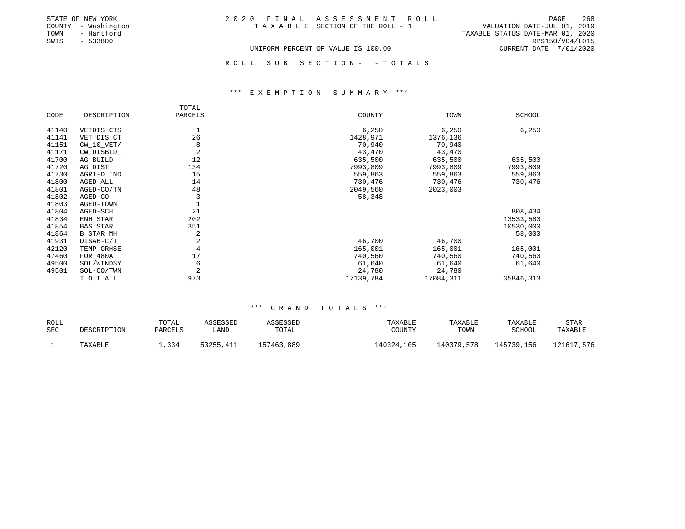| STATE OF NEW YORK   | 2020 FINAL ASSESSMENT ROLL         |                                  | PAGE                   | 268 |
|---------------------|------------------------------------|----------------------------------|------------------------|-----|
| COUNTY - Washington | TAXABLE SECTION OF THE ROLL - 1    | VALUATION DATE-JUL 01, 2019      |                        |     |
| TOWN<br>- Hartford  |                                    | TAXABLE STATUS DATE-MAR 01, 2020 |                        |     |
| SWIS<br>- 533800    |                                    |                                  | RPS150/V04/L015        |     |
|                     | UNIFORM PERCENT OF VALUE IS 100.00 |                                  | CURRENT DATE 7/01/2020 |     |

ROLL SUB SECTION - - TOTALS

#### \*\*\* E X E M P T I O N S U M M A R Y \*\*\*

|       |                  | TOTAL          |           |           |           |
|-------|------------------|----------------|-----------|-----------|-----------|
| CODE  | DESCRIPTION      | PARCELS        | COUNTY    | TOWN      | SCHOOL    |
| 41140 | VETDIS CTS       | 1              | 6,250     | 6,250     | 6,250     |
| 41141 | VET DIS CT       | 26             | 1428,971  | 1376,136  |           |
| 41151 | $CW_10_VET/$     | 8              | 70,940    | 70,940    |           |
| 41171 | CW_DISBLD_       | $\overline{2}$ | 43,470    | 43,470    |           |
| 41700 | AG BUILD         | 12             | 635,500   | 635,500   | 635,500   |
| 41720 | AG DIST          | 134            | 7993,809  | 7993,809  | 7993,809  |
| 41730 | AGRI-D IND       | 15             | 559,863   | 559,863   | 559,863   |
| 41800 | AGED-ALL         | 14             | 730,476   | 730,476   | 730,476   |
| 41801 | AGED-CO/TN       | 48             | 2049,560  | 2023,003  |           |
| 41802 | AGED-CO          | 3              | 58,348    |           |           |
| 41803 | AGED-TOWN        |                |           |           |           |
| 41804 | AGED-SCH         | 21             |           |           | 808,434   |
| 41834 | ENH STAR         | 202            |           |           | 13533,580 |
| 41854 | <b>BAS STAR</b>  | 351            |           |           | 10530,000 |
| 41864 | <b>B STAR MH</b> | 2              |           |           | 58,000    |
| 41931 | DISAB-C/T        | $\overline{a}$ | 46,700    | 46,700    |           |
| 42120 | TEMP GRHSE       | $\overline{4}$ | 165,001   | 165,001   | 165,001   |
| 47460 | FOR 480A         | 17             | 740,560   | 740,560   | 740,560   |
| 49500 | SOL/WINDSY       | 6              | 61,640    | 61,640    | 61,640    |
| 49501 | SOL-CO/TWN       | $\overline{2}$ | 24,780    | 24,780    |           |
|       | TOTAL            | 973            | 17139,784 | 17084,311 | 35846,313 |

| ROLL |             | TOTAL   | ASSESSED  | ASSESSED   | TAXABLE    | TAXABLE    | TAXABLE    | STAR       |
|------|-------------|---------|-----------|------------|------------|------------|------------|------------|
| SEC  | DESCRIPTION | PARCELS | ∟AND      | TOTAL      | COUNTY     | TOWN       | SCHOOL     | TAXABLE    |
|      | TAXABLE     | 1,334   | 53255,411 | 157463,889 | 140324,105 | 140379,578 | 145739,156 | 121617,576 |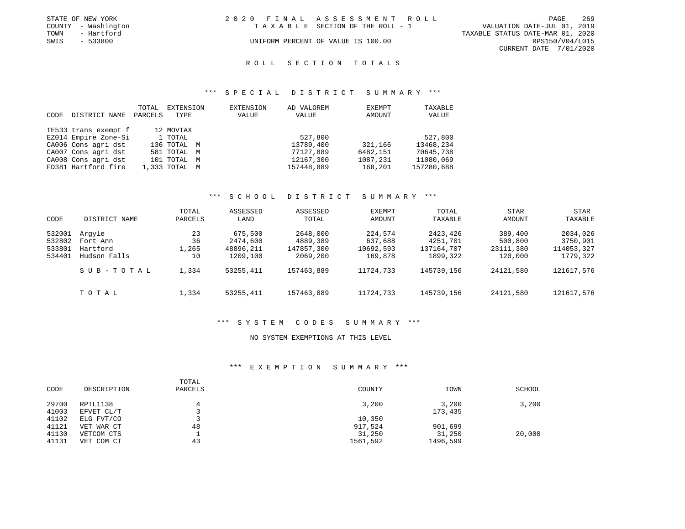|      | STATE OF NEW YORK   | 2020 FINAL ASSESSMENT ROLL         |                                  |                        | PAGE | 269 |
|------|---------------------|------------------------------------|----------------------------------|------------------------|------|-----|
|      | COUNTY - Washington | TAXABLE SECTION OF THE ROLL - 1    | VALUATION DATE-JUL 01, 2019      |                        |      |     |
| TOWN | - Hartford          |                                    | TAXABLE STATUS DATE-MAR 01, 2020 |                        |      |     |
| SWIS | - 533800            | UNIFORM PERCENT OF VALUE IS 100.00 |                                  | RPS150/V04/L015        |      |     |
|      |                     |                                    |                                  | CURRENT DATE 7/01/2020 |      |     |

# ROLL SECTION TOTALS

#### \*\*\* S P E C I A L D I S T R I C T S U M M A R Y \*\*\*

|      |                      | TOTAL   | EXTENSION     | EXTENSION | AD VALOREM | EXEMPT   | TAXABLE    |
|------|----------------------|---------|---------------|-----------|------------|----------|------------|
| CODE | DISTRICT NAME        | PARCELS | TYPE          | VALUE     | VALUE      | AMOUNT   | VALUE      |
|      |                      |         |               |           |            |          |            |
|      | TE533 trans exempt f |         | 12 MOVTAX     |           |            |          |            |
|      | EZ014 Empire Zone-Si |         | 1 TOTAL       |           | 527,800    |          | 527,800    |
|      | CA006 Cons agri dst  |         | 136 TOTAL M   |           | 13789,400  | 321,166  | 13468,234  |
|      | CA007 Cons agri dst  |         | 581 TOTAL M   |           | 77127,889  | 6482,151 | 70645,738  |
|      | CA008 Cons agri dst  |         | 101 TOTAL M   |           | 12167,300  | 1087,231 | 11080,069  |
|      | FD381 Hartford fire  |         | 1,333 TOTAL M |           | 157448,889 | 168,201  | 157280,688 |

# \*\*\* S C H O O L D I S T R I C T S U M M A R Y \*\*\*

| CODE                                 | DISTRICT NAME                                  | TOTAL<br>PARCELS        | ASSESSED<br>LAND                             | ASSESSED<br>TOTAL                              | EXEMPT<br>AMOUNT                           | <b>TOTAL</b><br>TAXABLE                        | <b>STAR</b><br>AMOUNT                      | STAR<br>TAXABLE                                |
|--------------------------------------|------------------------------------------------|-------------------------|----------------------------------------------|------------------------------------------------|--------------------------------------------|------------------------------------------------|--------------------------------------------|------------------------------------------------|
| 532001<br>532802<br>533801<br>534401 | Arqyle<br>Fort Ann<br>Hartford<br>Hudson Falls | 23<br>36<br>1,265<br>10 | 675,500<br>2474,600<br>48896,211<br>1209,100 | 2648,000<br>4889,389<br>147857,300<br>2069,200 | 224,574<br>637,688<br>10692,593<br>169,878 | 2423,426<br>4251,701<br>137164,707<br>1899,322 | 389,400<br>500,800<br>23111,380<br>120,000 | 2034,026<br>3750,901<br>114053,327<br>1779,322 |
|                                      | SUB-TOTAL                                      | 1,334                   | 53255,411                                    | 157463,889                                     | 11724,733                                  | 145739,156                                     | 24121,580                                  | 121617,576                                     |
|                                      | TOTAL                                          | 1,334                   | 53255,411                                    | 157463,889                                     | 11724,733                                  | 145739,156                                     | 24121,580                                  | 121617,576                                     |

#### \*\*\* S Y S T E M C O D E S S U M M A R Y \*\*\*

#### NO SYSTEM EXEMPTIONS AT THIS LEVEL

#### \*\*\* E X E M P T I O N S U M M A R Y \*\*\*

| CODE           | DESCRIPTION            | TOTAL<br>PARCELS | COUNTY   | TOWN             | SCHOOL |
|----------------|------------------------|------------------|----------|------------------|--------|
| 29700<br>41003 | RPTL1138<br>EFVET CL/T | 4                | 3,200    | 3,200<br>173,435 | 3,200  |
| 41102          | ELG FVT/CO             |                  | 10,350   |                  |        |
| 41121          | VET WAR CT             | 48               | 917,524  | 901,699          |        |
| 41130          | VETCOM CTS             |                  | 31,250   | 31,250           | 20,000 |
| 41131          | VET COM CT             | 43               | 1561,592 | 1496,599         |        |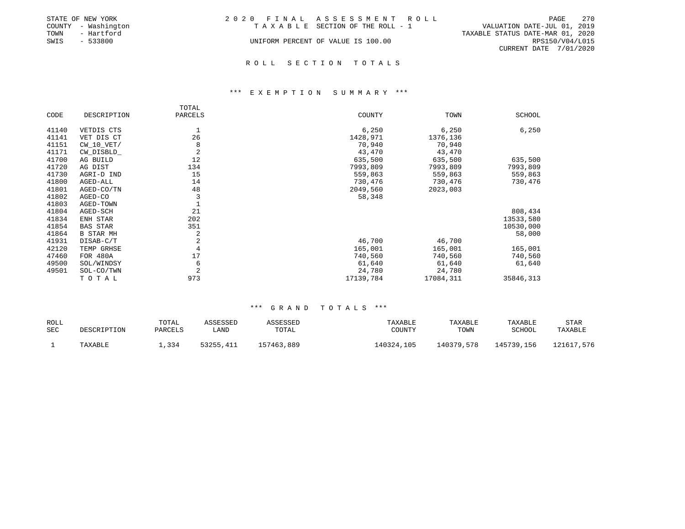|      | STATE OF NEW YORK   | 2020 FINAL ASSESSMENT ROLL         |                                  | PAGE            | 270 |
|------|---------------------|------------------------------------|----------------------------------|-----------------|-----|
|      | COUNTY - Washington | TAXABLE SECTION OF THE ROLL - 1    | VALUATION DATE-JUL 01, 2019      |                 |     |
| TOWN | - Hartford          |                                    | TAXABLE STATUS DATE-MAR 01, 2020 |                 |     |
| SWIS | $-533800$           | UNIFORM PERCENT OF VALUE IS 100.00 |                                  | RPS150/V04/L015 |     |
|      |                     |                                    | CURRENT DATE 7/01/2020           |                 |     |
|      |                     |                                    |                                  |                 |     |

# ROLL SECTION TOTALS

#### \*\*\* E X E M P T I O N S U M M A R Y \*\*\*

|       |                 | TOTAL          |           |           |           |
|-------|-----------------|----------------|-----------|-----------|-----------|
| CODE  | DESCRIPTION     | PARCELS        | COUNTY    | TOWN      | SCHOOL    |
| 41140 | VETDIS CTS      |                | 6,250     | 6,250     | 6,250     |
| 41141 | VET DIS CT      | 26             | 1428,971  | 1376,136  |           |
| 41151 | $CW_10_VET/$    | 8              | 70,940    | 70,940    |           |
| 41171 | CW_DISBLD_      | $\overline{2}$ | 43,470    | 43,470    |           |
| 41700 | AG BUILD        | 12             | 635,500   | 635,500   | 635,500   |
| 41720 | AG DIST         | 134            | 7993,809  | 7993,809  | 7993,809  |
| 41730 | AGRI-D IND      | 15             | 559,863   | 559,863   | 559,863   |
| 41800 | AGED-ALL        | 14             | 730,476   | 730,476   | 730,476   |
| 41801 | AGED-CO/TN      | 48             | 2049,560  | 2023,003  |           |
| 41802 | AGED-CO         | 3              | 58,348    |           |           |
| 41803 | AGED-TOWN       |                |           |           |           |
| 41804 | AGED-SCH        | 21             |           |           | 808,434   |
| 41834 | ENH STAR        | 202            |           |           | 13533,580 |
| 41854 | <b>BAS STAR</b> | 351            |           |           | 10530,000 |
| 41864 | B STAR MH       | 2              |           |           | 58,000    |
| 41931 | DISAB-C/T       | 2              | 46,700    | 46,700    |           |
| 42120 | TEMP GRHSE      | $\overline{4}$ | 165,001   | 165,001   | 165,001   |
| 47460 | FOR 480A        | 17             | 740,560   | 740,560   | 740,560   |
| 49500 | SOL/WINDSY      | 6              | 61,640    | 61,640    | 61,640    |
| 49501 | SOL-CO/TWN      | $\overline{2}$ | 24,780    | 24,780    |           |
|       | TOTAL           | 973            | 17139,784 | 17084,311 | 35846,313 |

| ROLL |             | TOTAL   | ASSESSED  | ASSESSED   | TAXABLE    | TAXABLE    | TAXABLE    | STAR       |
|------|-------------|---------|-----------|------------|------------|------------|------------|------------|
| SEC  | DESCRIPTION | PARCELS | ∟AND      | TOTAL      | COUNTY     | TOWN       | SCHOOL     | TAXABLE    |
|      | TAXABLE     | 1,334   | 53255,411 | 157463,889 | 140324,105 | 140379,578 | 145739,156 | 121617,576 |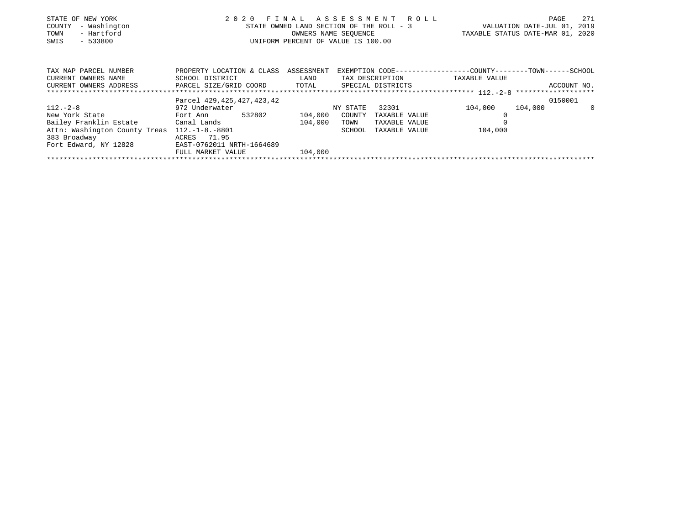|      | STATE OF NEW YORK   |  | 2020 FINAL ASSESSMENT ROLL               |                                  | PAGE | 271 |
|------|---------------------|--|------------------------------------------|----------------------------------|------|-----|
|      | COUNTY - Washington |  | STATE OWNED LAND SECTION OF THE ROLL - 3 | VALUATION DATE-JUL 01, 2019      |      |     |
| TOWN | - Hartford          |  | OWNERS NAME SEOUENCE                     | TAXABLE STATUS DATE-MAR 01, 2020 |      |     |
| SWIS | $-533800$           |  | UNIFORM PERCENT OF VALUE IS 100.00       |                                  |      |     |
|      |                     |  |                                          |                                  |      |     |
|      |                     |  |                                          |                                  |      |     |

| TAX MAP PARCEL NUMBER         | PROPERTY LOCATION & CLASS ASSESSMENT |         |          |                   | EXEMPTION CODE-----------------COUNTY-------TOWN------SCHOOL |             |          |
|-------------------------------|--------------------------------------|---------|----------|-------------------|--------------------------------------------------------------|-------------|----------|
| CURRENT OWNERS NAME           | SCHOOL DISTRICT                      | LAND    |          | TAX DESCRIPTION   | TAXABLE VALUE                                                |             |          |
| CURRENT OWNERS ADDRESS        | PARCEL SIZE/GRID COORD               | TOTAL   |          | SPECIAL DISTRICTS |                                                              | ACCOUNT NO. |          |
|                               |                                      |         |          |                   |                                                              |             |          |
|                               | Parcel 429, 425, 427, 423, 42        |         |          |                   |                                                              | 0150001     |          |
| $112. - 2 - 8$                | 972 Underwater                       |         | NY STATE | 32301             | 104,000                                                      | 104,000     | $\Omega$ |
| New York State                | 532802<br>Fort Ann                   | 104,000 | COUNTY   | TAXABLE VALUE     |                                                              |             |          |
| Bailey Franklin Estate        | Canal Lands                          | 104,000 | TOWN     | TAXABLE VALUE     |                                                              |             |          |
| Attn: Washington County Treas | $112. - 1 - 8. - 8801$               |         | SCHOOL   | TAXABLE VALUE     | 104,000                                                      |             |          |
| 383 Broadway                  | ACRES 71.95                          |         |          |                   |                                                              |             |          |
| Fort Edward, NY 12828         | EAST-0762011 NRTH-1664689            |         |          |                   |                                                              |             |          |
|                               | FULL MARKET VALUE                    | 104,000 |          |                   |                                                              |             |          |
|                               |                                      |         |          |                   |                                                              |             |          |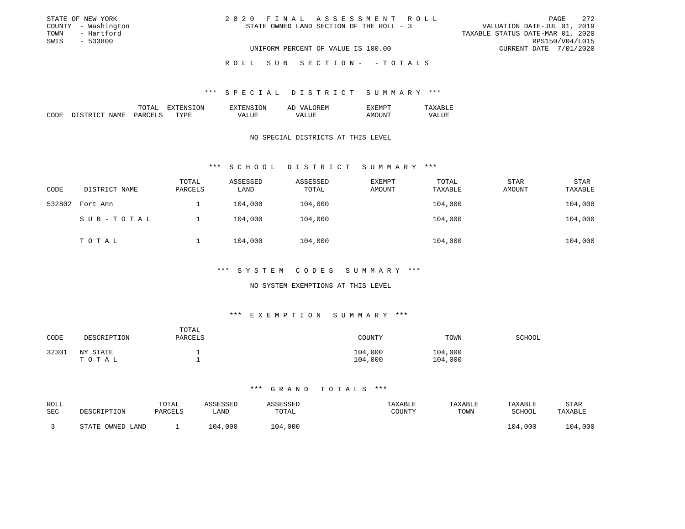| STATE OF NEW YORK   | 2020 FINAL ASSESSMENT ROLL               |                                  | PAGE                   | 2.72 |
|---------------------|------------------------------------------|----------------------------------|------------------------|------|
| COUNTY - Washington | STATE OWNED LAND SECTION OF THE ROLL - 3 | VALUATION DATE-JUL 01, 2019      |                        |      |
| TOWN<br>- Hartford  |                                          | TAXABLE STATUS DATE-MAR 01, 2020 |                        |      |
| SWIS<br>- 533800    |                                          |                                  | RPS150/V04/L015        |      |
|                     | UNIFORM PERCENT OF VALUE IS 100.00       |                                  | CURRENT DATE 7/01/2020 |      |
|                     |                                          |                                  |                        |      |

ROLL SUB SECTION - - TOTALS

#### \*\*\* S P E C I A L D I S T R I C T S U M M A R Y \*\*\*

|                                                                                                                            |    | . )NL | - | . . IVI |  |
|----------------------------------------------------------------------------------------------------------------------------|----|-------|---|---------|--|
| - -<br><br>the contract of the contract of the contract of the contract of the contract of the contract of the contract of | ┱┱ |       |   |         |  |

#### NO SPECIAL DISTRICTS AT THIS LEVEL

# \*\*\* S C H O O L D I S T R I C T S U M M A R Y \*\*\*

| CODE   | DISTRICT NAME | TOTAL<br>PARCELS | ASSESSED<br>LAND | ASSESSED<br>TOTAL | EXEMPT<br>AMOUNT | TOTAL<br>TAXABLE | <b>STAR</b><br>AMOUNT | <b>STAR</b><br>TAXABLE |
|--------|---------------|------------------|------------------|-------------------|------------------|------------------|-----------------------|------------------------|
| 532802 | Fort Ann      |                  | 104,000          | 104,000           |                  | 104,000          |                       | 104,000                |
|        | SUB-TOTAL     |                  | 104,000          | 104,000           |                  | 104,000          |                       | 104,000                |
|        | ТОТАЬ         |                  | 104,000          | 104,000           |                  | 104,000          |                       | 104,000                |

## \*\*\* S Y S T E M C O D E S S U M M A R Y \*\*\*

# NO SYSTEM EXEMPTIONS AT THIS LEVEL

#### \*\*\* E X E M P T I O N S U M M A R Y \*\*\*

| CODE  | DESCRIPTION       | TOTAL<br>PARCELS | COUNTY             | TOWN               | SCHOOL |
|-------|-------------------|------------------|--------------------|--------------------|--------|
| 32301 | NY STATE<br>TOTAL |                  | 104,000<br>104,000 | 104,000<br>104,000 |        |

| ROLL<br>SEC | DESCRIPTION          | TOTAL<br>PARCELS | ∖SSESSED<br>. AND | TOTAL   | TAXABLE<br>COUNTY | TAXABLE<br>TOWN | TAXABLE<br>SCHOOL | STAR<br>TAXABLE |
|-------------|----------------------|------------------|-------------------|---------|-------------------|-----------------|-------------------|-----------------|
|             | OWNED LAND<br>STATE. |                  | 104,000           | 104,000 |                   |                 | 104,000           | 1,00C<br>04 ا   |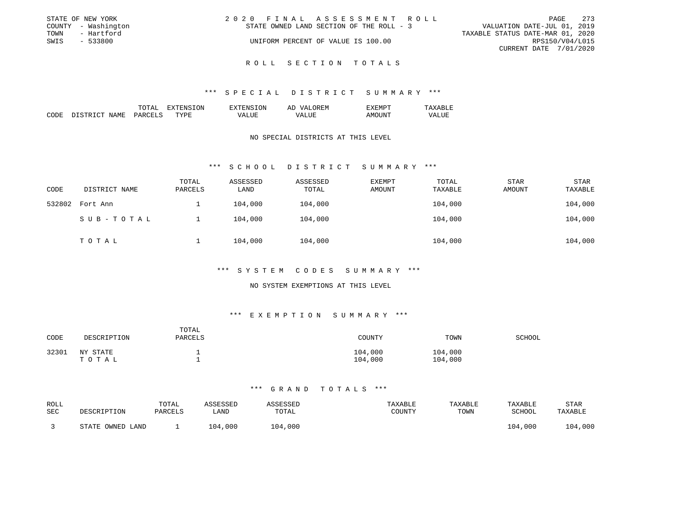| STATE OF NEW YORK   |            | 2020 FINAL ASSESSMENT ROLL |                                          |                                  |                        | PAGE | 2.73 |
|---------------------|------------|----------------------------|------------------------------------------|----------------------------------|------------------------|------|------|
| COUNTY - Washington |            |                            | STATE OWNED LAND SECTION OF THE ROLL - 3 | VALUATION DATE-JUL 01, 2019      |                        |      |      |
| TOWN                | - Hartford |                            |                                          | TAXABLE STATUS DATE-MAR 01, 2020 |                        |      |      |
| SWIS                | $-533800$  |                            | UNIFORM PERCENT OF VALUE IS 100.00       |                                  | RPS150/V04/L015        |      |      |
|                     |            |                            |                                          |                                  | CURRENT DATE 7/01/2020 |      |      |
|                     |            |                            |                                          |                                  |                        |      |      |

# ROLL SECTION TOTALS

#### \*\*\* S P E C I A L D I S T R I C T S U M M A R Y \*\*\*

|  | . А | эN | -- |  |
|--|-----|----|----|--|
|  |     |    |    |  |
|  |     |    |    |  |

# NO SPECIAL DISTRICTS AT THIS LEVEL

# \*\*\* S C H O O L D I S T R I C T S U M M A R Y \*\*\*

| CODE   | DISTRICT NAME | TOTAL<br>PARCELS | ASSESSED<br>LAND | ASSESSED<br>TOTAL | EXEMPT<br>AMOUNT | TOTAL<br>TAXABLE | <b>STAR</b><br>AMOUNT | <b>STAR</b><br>TAXABLE |
|--------|---------------|------------------|------------------|-------------------|------------------|------------------|-----------------------|------------------------|
| 532802 | Fort Ann      |                  | 104,000          | 104,000           |                  | 104,000          |                       | 104,000                |
|        | SUB-TOTAL     |                  | 104,000          | 104,000           |                  | 104,000          |                       | 104,000                |
|        | TOTAL         |                  | 104,000          | 104,000           |                  | 104,000          |                       | 104,000                |

#### \*\*\* S Y S T E M C O D E S S U M M A R Y \*\*\*

# NO SYSTEM EXEMPTIONS AT THIS LEVEL

#### \*\*\* E X E M P T I O N S U M M A R Y \*\*\*

| CODE  | DESCRIPTION       | TOTAL<br>PARCELS | COUNTY             | TOWN               | SCHOOL |
|-------|-------------------|------------------|--------------------|--------------------|--------|
| 32301 | NY STATE<br>ТОТАЬ |                  | 104,000<br>104,000 | 104,000<br>104,000 |        |

| ROLL<br>SEC | DESCRIPTION          | TOTAL<br>PARCELS | ∖SSESSED<br>AND | TOTAL   | TAXABLE<br>COUNTY | TAXABLE<br>TOWN | TAXABLE<br>SCHOOL | STAR<br>TAXABLE |
|-------------|----------------------|------------------|-----------------|---------|-------------------|-----------------|-------------------|-----------------|
|             | OWNED LAND<br>STATE. |                  | 104,000         | 104,000 |                   |                 | 104,000           | 1,00C<br>04 ا   |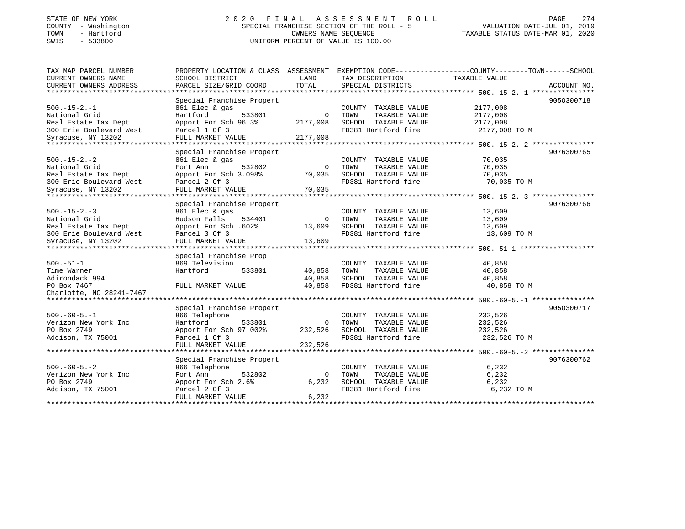## STATE OF NEW YORK 2 0 2 0 F I N A L A S S E S S M E N T R O L L PAGE 274COUNTY - Washington SPECIAL FRANCHISE SECTION OF THE ROLL - 5 TOWN - Hartford OWNERS NAME SEQUENCE TAXABLE STATUS DATE-MAR 01, 2020 SWIS - 533800 UNIFORM PERCENT OF VALUE IS 100.00

# VALUATION DATE-JUL 01, 2019

| TAX MAP PARCEL NUMBER                                      | PROPERTY LOCATION & CLASS ASSESSMENT EXEMPTION CODE----------------COUNTY-------TOWN-----SCHOOL |                |                       |               |             |
|------------------------------------------------------------|-------------------------------------------------------------------------------------------------|----------------|-----------------------|---------------|-------------|
| CURRENT OWNERS NAME                                        | SCHOOL DISTRICT                                                                                 | LAND           | TAX DESCRIPTION       | TAXABLE VALUE |             |
| CURRENT OWNERS ADDRESS                                     | PARCEL SIZE/GRID COORD                                                                          | TOTAL          | SPECIAL DISTRICTS     |               | ACCOUNT NO. |
|                                                            |                                                                                                 |                |                       |               |             |
|                                                            | Special Franchise Propert                                                                       |                |                       |               | 9050300718  |
| $500. -15 - 2. -1$                                         | 861 Elec & gas                                                                                  |                | COUNTY TAXABLE VALUE  | 2177,008      |             |
| National Grid                                              | Hartford<br>533801                                                                              | $\Omega$       | TOWN<br>TAXABLE VALUE | 2177,008      |             |
| Real Estate Tax Dept                                       | Apport For Sch 96.3%                                                                            | 2177,008       | SCHOOL TAXABLE VALUE  | 2177,008      |             |
| 300 Erie Boulevard West                                    | Parcel 1 Of 3                                                                                   |                | FD381 Hartford fire   | 2177,008 TO M |             |
| Syracuse, NY 13202                                         | FULL MARKET VALUE                                                                               | 2177,008       |                       |               |             |
| ********************                                       |                                                                                                 |                |                       |               |             |
|                                                            | Special Franchise Propert                                                                       |                |                       |               | 9076300765  |
| $500. -15 - 2. -2$                                         | 861 Elec & gas                                                                                  |                | COUNTY TAXABLE VALUE  | 70,035        |             |
| National Grid                                              | 532802<br>Fort Ann                                                                              | $\Omega$       | TAXABLE VALUE<br>TOWN | 70,035        |             |
| Real Estate Tax Dept                                       | Apport For Sch 3.098%                                                                           | 70,035         | SCHOOL TAXABLE VALUE  | 70,035        |             |
| 300 Erie Boulevard West                                    | Parcel 2 Of 3                                                                                   |                | FD381 Hartford fire   | 70,035 TO M   |             |
| Syracuse, NY 13202                                         | FULL MARKET VALUE                                                                               | 70,035         |                       |               |             |
|                                                            |                                                                                                 |                |                       |               |             |
|                                                            | Special Franchise Propert                                                                       |                |                       |               | 9076300766  |
| $500. -15 - 2. -3$                                         | 861 Elec & gas                                                                                  |                | COUNTY TAXABLE VALUE  | 13,609        |             |
| National Grid                                              | Hudson Falls<br>534401                                                                          | $\overline{0}$ | TAXABLE VALUE<br>TOWN | 13,609        |             |
| Real Estate Tax Dept                                       | Apport For Sch. 602%                                                                            | 13,609         | SCHOOL TAXABLE VALUE  | 13,609        |             |
| 300 Erie Boulevard West                                    | Parcel 3 Of 3                                                                                   |                | FD381 Hartford fire   | 13,609 TO M   |             |
| Syracuse, NY 13202                                         | FULL MARKET VALUE                                                                               | 13,609         |                       |               |             |
|                                                            |                                                                                                 |                |                       |               |             |
|                                                            | Special Franchise Prop                                                                          |                |                       |               |             |
| $500. - 51 - 1$                                            | 869 Television                                                                                  |                | COUNTY TAXABLE VALUE  | 40,858        |             |
| Time Warner                                                | Hartford<br>533801                                                                              | 40,858         | TOWN<br>TAXABLE VALUE | 40,858        |             |
| Adirondack 994                                             |                                                                                                 | 40,858         | SCHOOL TAXABLE VALUE  | 40,858        |             |
| PO Box 7467                                                | FULL MARKET VALUE                                                                               | 40,858         | FD381 Hartford fire   | 40,858 TO M   |             |
| Charlotte, NC 28241-7467<br>****************************** |                                                                                                 |                |                       |               |             |
|                                                            |                                                                                                 |                |                       |               |             |
|                                                            | Special Franchise Propert                                                                       |                |                       |               | 9050300717  |
| $500. -60 - 5. -1$                                         | 866 Telephone                                                                                   |                | COUNTY TAXABLE VALUE  | 232,526       |             |
| Verizon New York Inc                                       | Hartford<br>533801                                                                              | $\Omega$       | TOWN<br>TAXABLE VALUE | 232,526       |             |
| PO Box 2749                                                | Apport For Sch 97.002%                                                                          | 232,526        | SCHOOL TAXABLE VALUE  | 232,526       |             |
| Addison, TX 75001                                          | Parcel 1 Of 3                                                                                   |                | FD381 Hartford fire   | 232,526 TO M  |             |
|                                                            | FULL MARKET VALUE                                                                               | 232,526        |                       |               |             |
|                                                            |                                                                                                 |                |                       |               |             |
|                                                            | Special Franchise Propert                                                                       |                |                       |               | 9076300762  |
| $500. -60 - 5. -2$                                         | 866 Telephone                                                                                   |                | COUNTY TAXABLE VALUE  | 6,232         |             |
| Verizon New York Inc                                       | 532802<br>Fort Ann                                                                              | $\Omega$       | TOWN<br>TAXABLE VALUE | 6,232         |             |
| PO Box 2749                                                | Apport For Sch 2.6%                                                                             | 6,232          | SCHOOL TAXABLE VALUE  | 6,232         |             |
| Addison, TX 75001                                          | Parcel 2 Of 3                                                                                   |                | FD381 Hartford fire   | 6,232 TO M    |             |
|                                                            | FULL MARKET VALUE                                                                               | 6,232          |                       |               |             |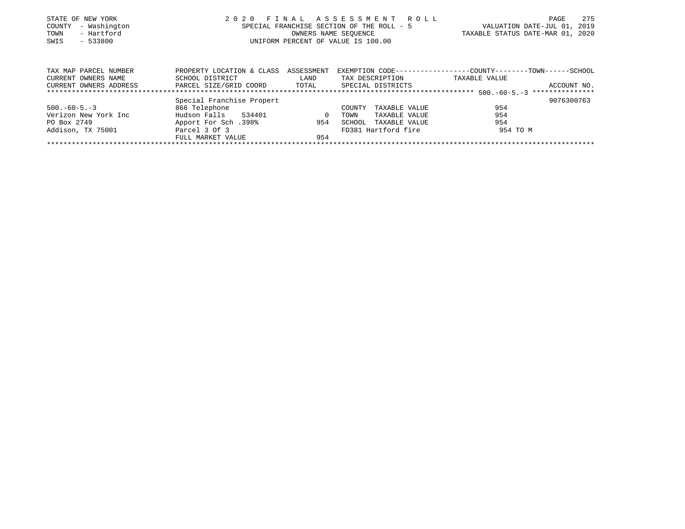| STATE OF NEW YORK   | 2020 FINAL ASSESSMENT ROLL                | 275<br>PAGE                      |
|---------------------|-------------------------------------------|----------------------------------|
| COUNTY - Washington | SPECIAL FRANCHISE SECTION OF THE ROLL - 5 | VALUATION DATE-JUL 01, 2019      |
| - Hartford<br>TOWN  | OWNERS NAME SEOUENCE                      | TAXABLE STATUS DATE-MAR 01, 2020 |
| $-533800$<br>SWIS   | UNIFORM PERCENT OF VALUE IS 100.00        |                                  |
|                     |                                           |                                  |
|                     |                                           |                                  |

| TAX MAP PARCEL NUMBER  | PROPERTY LOCATION & CLASS ASSESSMENT |          |                         |               |             |
|------------------------|--------------------------------------|----------|-------------------------|---------------|-------------|
| CURRENT OWNERS NAME    | SCHOOL DISTRICT                      | LAND     | TAX DESCRIPTION         | TAXABLE VALUE |             |
| CURRENT OWNERS ADDRESS | PARCEL SIZE/GRID COORD               | TOTAL    | SPECIAL DISTRICTS       |               | ACCOUNT NO. |
|                        |                                      |          |                         |               |             |
|                        | Special Franchise Propert            |          |                         |               | 9076300763  |
| $500. -60 - 5. -3$     | 866 Telephone                        |          | TAXABLE VALUE<br>COUNTY | 954           |             |
| Verizon New York Inc   | Hudson Falls<br>534401               | $\Omega$ | TAXABLE VALUE<br>TOWN   | 954           |             |
| PO Box 2749            | 198%, Apport For Sch                 | 954      | TAXABLE VALUE<br>SCHOOL | 954           |             |
| Addison, TX 75001      | Parcel 3 Of 3                        |          | FD381 Hartford fire     | 954 TO M      |             |
|                        | FULL MARKET VALUE                    | 954      |                         |               |             |
|                        |                                      |          |                         |               |             |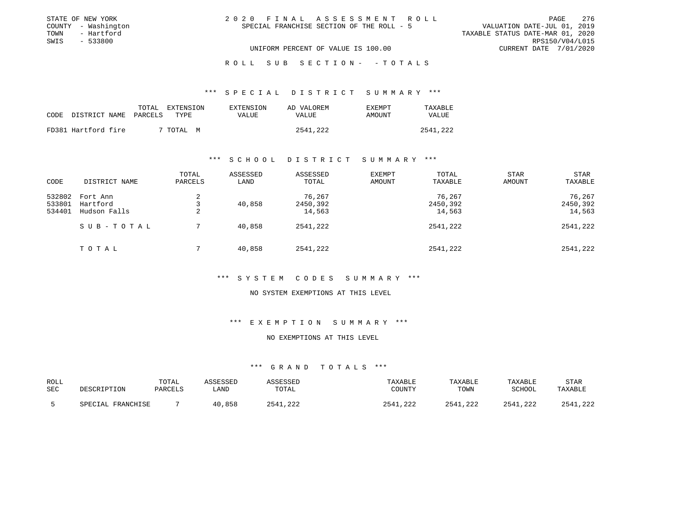| STATE OF NEW YORK   |  | 2020 FINAL ASSESSMENT ROLL                |                                  | 276<br>PAGE     |
|---------------------|--|-------------------------------------------|----------------------------------|-----------------|
| COUNTY - Washington |  | SPECIAL FRANCHISE SECTION OF THE ROLL - 5 | VALUATION DATE-JUL 01, 2019      |                 |
| TOWN<br>- Hartford  |  |                                           | TAXABLE STATUS DATE-MAR 01, 2020 |                 |
| SWIS<br>$-533800$   |  |                                           |                                  | RPS150/V04/L015 |
|                     |  | UNIFORM PERCENT OF VALUE IS 100.00        | CURRENT DATE 7/01/2020           |                 |
|                     |  |                                           |                                  |                 |

ROLL SUB SECTION - - TOTALS

#### \*\*\* S P E C I A L D I S T R I C T S U M M A R Y \*\*\*

|                            | TOTAL | EXTENSION      | EXTENSION | AD VALOREM | <b>EXEMPT</b> | TAXABLE      |
|----------------------------|-------|----------------|-----------|------------|---------------|--------------|
| CODE DISTRICT NAME PARCELS |       | TYPE.          | VALUE     | VALUE      | AMOUNT        | <b>VALUE</b> |
| FD381 Hartford fire        |       | 7 TOTAL .<br>M |           | 2541,222   |               | 2541,222     |

#### \*\*\* S C H O O L D I S T R I C T S U M M A R Y \*\*\*

| CODE                       | DISTRICT NAME                        | TOTAL<br>PARCELS | ASSESSED<br>LAND | ASSESSED<br>TOTAL            | EXEMPT<br>AMOUNT | TOTAL<br>TAXABLE             | <b>STAR</b><br>AMOUNT | <b>STAR</b><br>TAXABLE       |
|----------------------------|--------------------------------------|------------------|------------------|------------------------------|------------------|------------------------------|-----------------------|------------------------------|
| 532802<br>533801<br>534401 | Fort Ann<br>Hartford<br>Hudson Falls | 2<br>2           | 40,858           | 76,267<br>2450,392<br>14,563 |                  | 76,267<br>2450,392<br>14,563 |                       | 76,267<br>2450,392<br>14,563 |
|                            | SUB-TOTAL                            |                  | 40,858           | 2541,222                     |                  | 2541,222                     |                       | 2541,222                     |
|                            | TOTAL                                |                  | 40,858           | 2541,222                     |                  | 2541,222                     |                       | 2541,222                     |

#### \*\*\* S Y S T E M C O D E S S U M M A R Y \*\*\*

#### NO SYSTEM EXEMPTIONS AT THIS LEVEL

#### \*\*\* E X E M P T I O N S U M M A R Y \*\*\*

#### NO EXEMPTIONS AT THIS LEVEL

| ROLL<br>SEC | DESCRIPTION            | TOTAL<br>PARCELS | \SSESSED<br>LAND | SSESSED<br>TOTAL     | TAXABLE<br>COUNTY      | TAXABLE<br>TOWN | TAXABLE<br>SCHOOL | STAR<br>TAXABLE |
|-------------|------------------------|------------------|------------------|----------------------|------------------------|-----------------|-------------------|-----------------|
|             | . FRANCHISE<br>SPECIAL |                  | , 858<br>4 ∩     | ່າາາ<br>つら4<br>, 444 | 254<br>$\cap$<br>. 444 | 2541<br>.222    | 2541,222          | . 222<br>つちA1   |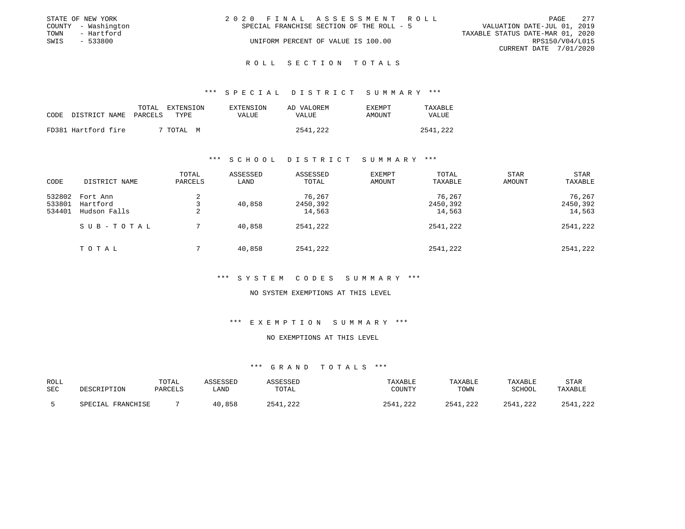| - 277                            |
|----------------------------------|
| VALUATION DATE-JUL 01, 2019      |
| TAXABLE STATUS DATE-MAR 01, 2020 |
| RPS150/V04/L015                  |
| CURRENT DATE 7/01/2020           |
|                                  |

#### R O L L S E C T I O N T O T A L S

#### \*\*\* S P E C I A L D I S T R I C T S U M M A R Y \*\*\*

| CODE DISTRICT NAME PARCELS | TOTAL<br>EXTENSION<br>TYPE. | EXTENSION<br><b>VALUE</b> | AD VALOREM<br>VALUE | EXEMPT<br>AMOUNT | TAXABLE<br>VALUE |
|----------------------------|-----------------------------|---------------------------|---------------------|------------------|------------------|
| FD381 Hartford fire        | ' TOTAL M                   |                           | 2541,222            |                  | 2541,222         |

#### \*\*\* S C H O O L D I S T R I C T S U M M A R Y \*\*\*

| CODE                       | DISTRICT NAME                        | TOTAL<br>PARCELS | ASSESSED<br>LAND | ASSESSED<br>TOTAL            | EXEMPT<br>AMOUNT | TOTAL<br>TAXABLE             | <b>STAR</b><br>AMOUNT | <b>STAR</b><br>TAXABLE       |
|----------------------------|--------------------------------------|------------------|------------------|------------------------------|------------------|------------------------------|-----------------------|------------------------------|
| 532802<br>533801<br>534401 | Fort Ann<br>Hartford<br>Hudson Falls | 2<br>2           | 40,858           | 76,267<br>2450,392<br>14,563 |                  | 76,267<br>2450,392<br>14,563 |                       | 76,267<br>2450,392<br>14,563 |
|                            | SUB-TOTAL                            |                  | 40,858           | 2541,222                     |                  | 2541,222                     |                       | 2541,222                     |
|                            | TOTAL                                |                  | 40,858           | 2541,222                     |                  | 2541,222                     |                       | 2541,222                     |

#### \*\*\* S Y S T E M C O D E S S U M M A R Y \*\*\*

#### NO SYSTEM EXEMPTIONS AT THIS LEVEL

#### \*\*\* E X E M P T I O N S U M M A R Y \*\*\*

#### NO EXEMPTIONS AT THIS LEVEL

| ROLL<br>SEC | DESCRIPTION                 | TOTAL<br>PARCELS | <i><b>\SSESSED</b></i><br>LAND | TOTAL                | TAXABLE<br>COUNTY  | TAXABLE<br>TOWN      | TAXABLE<br><b>RCHOOL</b> | STAF<br>TAXABLE |
|-------------|-----------------------------|------------------|--------------------------------|----------------------|--------------------|----------------------|--------------------------|-----------------|
|             | <b>FRANCHISE</b><br>SPECTAL |                  | , 858<br>4 ∩                   | ່າາາ<br>つらん<br>. 444 | 254<br>$\cap$<br>. | 2541<br>າາ^<br>. 222 | 2541,222<br>2541         | , 222           |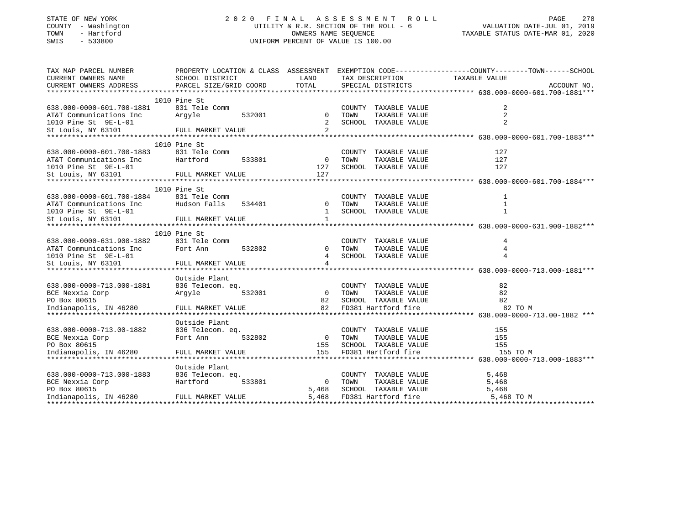| COUNTY - Washington<br>TOWN<br>- Hartford<br>SWIS<br>$-533800$ |                                                                                                                     | UTILITY & R.R. SECTION OF THE ROLL - 6<br>OWNERS NAME SEQUENCE<br>UNIFORM PERCENT OF VALUE IS 100.00 | VALUATION DATE-JUL 01, 2019<br>TAXABLE STATUS DATE-MAR 01, 2020 |                                       |               |             |
|----------------------------------------------------------------|---------------------------------------------------------------------------------------------------------------------|------------------------------------------------------------------------------------------------------|-----------------------------------------------------------------|---------------------------------------|---------------|-------------|
| TAX MAP PARCEL NUMBER<br>CURRENT OWNERS NAME                   | PROPERTY LOCATION & CLASS ASSESSMENT EXEMPTION CODE----------------COUNTY-------TOWN------SCHOOL<br>SCHOOL DISTRICT | LAND                                                                                                 |                                                                 | TAX DESCRIPTION                       | TAXABLE VALUE |             |
| CURRENT OWNERS ADDRESS                                         | PARCEL SIZE/GRID COORD                                                                                              | TOTAL                                                                                                |                                                                 | SPECIAL DISTRICTS                     |               | ACCOUNT NO. |
|                                                                |                                                                                                                     |                                                                                                      |                                                                 |                                       |               |             |
|                                                                | 1010 Pine St                                                                                                        |                                                                                                      |                                                                 |                                       |               |             |
| 638.000-0000-601.700-1881<br>AT&T Communications Inc           | 831 Tele Comm<br>532001<br>Arqyle                                                                                   | $\mathbf{0}$                                                                                         | TOWN                                                            | COUNTY TAXABLE VALUE<br>TAXABLE VALUE | 2<br>2        |             |
| 1010 Pine St 9E-L-01                                           |                                                                                                                     | 2                                                                                                    |                                                                 | SCHOOL TAXABLE VALUE                  | 2             |             |
| St Louis, NY 63101                                             | FULL MARKET VALUE                                                                                                   | 2                                                                                                    |                                                                 |                                       |               |             |
|                                                                |                                                                                                                     |                                                                                                      |                                                                 |                                       |               |             |
|                                                                | 1010 Pine St                                                                                                        |                                                                                                      |                                                                 |                                       |               |             |
| 638.000-0000-601.700-1883                                      | 831 Tele Comm                                                                                                       |                                                                                                      | COUNTY                                                          | TAXABLE VALUE                         | 127           |             |
| AT&T Communications Inc                                        | Hartford<br>533801                                                                                                  | $\overline{0}$                                                                                       | TOWN                                                            | TAXABLE VALUE                         | 127           |             |
| 1010 Pine St 9E-L-01                                           |                                                                                                                     | 127                                                                                                  |                                                                 | SCHOOL TAXABLE VALUE                  | 127           |             |
| St Louis, NY 63101                                             | FULL MARKET VALUE                                                                                                   | 127                                                                                                  |                                                                 |                                       |               |             |
|                                                                | 1010 Pine St                                                                                                        |                                                                                                      |                                                                 |                                       |               |             |
| 638.000-0000-601.700-1884                                      | 831 Tele Comm                                                                                                       |                                                                                                      |                                                                 | COUNTY TAXABLE VALUE                  | 1             |             |
| AT&T Communications Inc                                        | Hudson Falls<br>534401                                                                                              | $\mathbf 0$                                                                                          | TOWN                                                            | TAXABLE VALUE                         | 1             |             |
| 1010 Pine St 9E-L-01                                           |                                                                                                                     | 1                                                                                                    |                                                                 | SCHOOL TAXABLE VALUE                  | 1             |             |
| St Louis, NY 63101                                             | FULL MARKET VALUE                                                                                                   | $\mathbf{1}$                                                                                         |                                                                 |                                       |               |             |
|                                                                |                                                                                                                     |                                                                                                      |                                                                 |                                       |               |             |
|                                                                | 1010 Pine St                                                                                                        |                                                                                                      |                                                                 |                                       |               |             |
| 638.000-0000-631.900-1882<br>AT&T Communications Inc           | 831 Tele Comm<br>Fort Ann<br>532802                                                                                 | $\Omega$                                                                                             | COUNTY<br>TOWN                                                  | TAXABLE VALUE<br>TAXABLE VALUE        | 4<br>4        |             |
| 1010 Pine St 9E-L-01                                           |                                                                                                                     |                                                                                                      |                                                                 | SCHOOL TAXABLE VALUE                  |               |             |
| St Louis, NY 63101                                             | FULL MARKET VALUE                                                                                                   | 4                                                                                                    |                                                                 |                                       |               |             |
|                                                                |                                                                                                                     |                                                                                                      |                                                                 |                                       |               |             |
|                                                                | Outside Plant                                                                                                       |                                                                                                      |                                                                 |                                       |               |             |
| 638.000-0000-713.000-1881                                      | 836 Telecom. eq.                                                                                                    |                                                                                                      |                                                                 | COUNTY TAXABLE VALUE                  | 82            |             |
| BCE Nexxia Corp                                                | Arqyle<br>532001                                                                                                    | $\overline{0}$                                                                                       | TOWN                                                            | TAXABLE VALUE                         | 82            |             |
| PO Box 80615                                                   |                                                                                                                     | 82                                                                                                   |                                                                 | SCHOOL TAXABLE VALUE                  | 82            |             |
| Indianapolis, IN 46280<br>**************************           | FULL MARKET VALUE<br>*********************                                                                          | 82                                                                                                   |                                                                 | FD381 Hartford fire                   | 82 TO M       |             |
|                                                                | Outside Plant                                                                                                       |                                                                                                      |                                                                 |                                       |               |             |
| 638.000-0000-713.00-1882                                       | 836 Telecom. eq.                                                                                                    |                                                                                                      | COUNTY                                                          | TAXABLE VALUE                         | 155           |             |
| BCE Nexxia Corp                                                | Fort Ann<br>532802                                                                                                  | $\overline{0}$                                                                                       | TOWN                                                            | TAXABLE VALUE                         | 155           |             |
| PO Box 80615                                                   |                                                                                                                     | 155                                                                                                  |                                                                 | SCHOOL TAXABLE VALUE                  | 155           |             |
| Indianapolis, IN 46280                                         | FULL MARKET VALUE                                                                                                   | 155                                                                                                  |                                                                 | FD381 Hartford fire                   | 155 TO M      |             |
|                                                                |                                                                                                                     |                                                                                                      |                                                                 |                                       |               |             |
|                                                                | Outside Plant                                                                                                       |                                                                                                      |                                                                 |                                       |               |             |
| 638.000-0000-713.000-1883                                      | 836 Telecom. eq.                                                                                                    |                                                                                                      | COUNTY                                                          | TAXABLE VALUE                         | 5,468         |             |
| BCE Nexxia Corp                                                | Hartford<br>533801                                                                                                  | 0                                                                                                    | TOWN                                                            | TAXABLE VALUE                         | 5,468         |             |
| PO Box 80615                                                   |                                                                                                                     | 5,468                                                                                                |                                                                 | SCHOOL TAXABLE VALUE                  | 5,468         |             |
| Indianapolis, IN 46280                                         | FULL MARKET VALUE                                                                                                   | 5,468                                                                                                |                                                                 | FD381 Hartford fire                   | 5,468 TO M    |             |

PAGE 278

STATE OF NEW YORK 2020 FINAL ASSESSMENT ROLL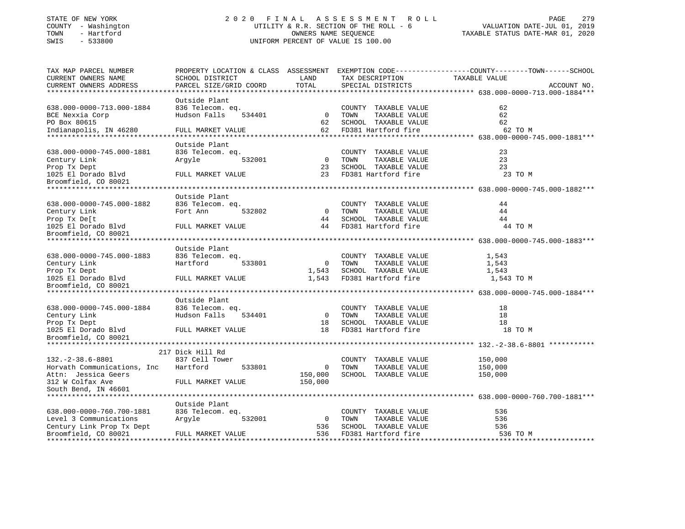# STATE OF NEW YORK 2 0 2 0 F I N A L A S S E S S M E N T R O L L PAGE 279 COUNTY - Washington UTILITY & R.R. SECTION OF THE ROLL - 6 VALUATION DATE-JUL 01, 2019 TOWN - Hartford OWNERS NAME SEQUENCE TAXABLE STATUS DATE-MAR 01, 2020 SWIS - 533800 UNIFORM PERCENT OF VALUE IS 100.00UNIFORM PERCENT OF VALUE IS 100.00

| CURRENT OWNERS NAME<br>SCHOOL DISTRICT<br>LAND<br>TAX DESCRIPTION<br>TAXABLE VALUE<br>TOTAL<br>CURRENT OWNERS ADDRESS<br>PARCEL SIZE/GRID COORD<br>SPECIAL DISTRICTS<br>ACCOUNT NO.<br>**************************<br>Outside Plant<br>638.000-0000-713.000-1884<br>62<br>836 Telecom. eq.<br>COUNTY TAXABLE VALUE<br>$\Omega$<br>62<br>BCE Nexxia Corp<br>Hudson Falls<br>534401<br>TOWN<br>TAXABLE VALUE<br>PO Box 80615<br>SCHOOL TAXABLE VALUE<br>62<br>62<br>Indianapolis, IN 46280<br>FULL MARKET VALUE<br>62<br>FD381 Hartford fire<br>62 TO M<br>Outside Plant<br>638.000-0000-745.000-1881<br>836 Telecom. eq.<br>23<br>COUNTY TAXABLE VALUE<br>$\overline{0}$<br>TAXABLE VALUE<br>23<br>Century Link<br>Argyle<br>532001<br>TOWN<br>23<br>SCHOOL TAXABLE VALUE<br>23<br>Prop Tx Dept<br>23<br>1025 El Dorado Blvd<br>FULL MARKET VALUE<br>FD381 Hartford fire<br>23 TO M<br>Broomfield, CO 80021<br>Outside Plant<br>638.000-0000-745.000-1882<br>836 Telecom. eq.<br>COUNTY TAXABLE VALUE<br>44<br>Fort Ann<br>$\overline{0}$<br>TAXABLE VALUE<br>Century Link<br>532802<br>TOWN<br>44<br>44<br>SCHOOL TAXABLE VALUE<br>Prop Tx De[t<br>44<br>FD381 Hartford fire<br>1025 El Dorado Blvd<br>FULL MARKET VALUE<br>44<br>44 TO M<br>Broomfield, CO 80021<br>Outside Plant<br>638.000-0000-745.000-1883<br>836 Telecom. eq.<br>COUNTY TAXABLE VALUE<br>1,543<br>$\overline{0}$<br>TOWN<br>TAXABLE VALUE<br>Hartford<br>533801<br>1,543<br>Century Link<br>SCHOOL TAXABLE VALUE<br>Prop Tx Dept<br>1,543<br>1,543<br>1025 El Dorado Blvd<br>FULL MARKET VALUE<br>1,543 FD381 Hartford fire<br>1,543 TO M<br>Broomfield, CO 80021<br>*****************************<br>Outside Plant<br>638.000-0000-745.000-1884<br>836 Telecom. eq.<br>COUNTY TAXABLE VALUE<br>18<br>Hudson Falls<br>$\overline{0}$<br>TOWN<br>TAXABLE VALUE<br>18<br>Century Link<br>534401<br>18<br>SCHOOL TAXABLE VALUE<br>18<br>Prop Tx Dept<br>18<br>FD381 Hartford fire<br>1025 El Dorado Blvd<br>FULL MARKET VALUE<br>18 TO M<br>Broomfield, CO 80021<br>217 Dick Hill Rd<br>$132. -2 - 38.6 - 8801$<br>837 Cell Tower<br>COUNTY TAXABLE VALUE<br>150,000<br>Horvath Communications, Inc<br>150,000<br>Hartford<br>533801<br>$\mathbf 0$<br>TOWN<br>TAXABLE VALUE<br>Attn: Jessica Geers<br>150,000<br>SCHOOL TAXABLE VALUE<br>150,000<br>150,000<br>312 W Colfax Ave<br>FULL MARKET VALUE<br>South Bend, IN 46601<br>Outside Plant<br>638.000-0000-760.700-1881<br>836 Telecom. eq.<br>COUNTY TAXABLE VALUE<br>536<br>Level 3 Communications<br>$\overline{0}$<br>536<br>Arqyle<br>532001<br>TOWN<br>TAXABLE VALUE<br>536<br>SCHOOL TAXABLE VALUE<br>536<br>Century Link Prop Tx Dept<br>Broomfield, CO 80021<br>536<br>FD381 Hartford fire<br>536 TO M<br>FULL MARKET VALUE | TAX MAP PARCEL NUMBER |  | PROPERTY LOCATION & CLASS ASSESSMENT EXEMPTION CODE----------------COUNTY-------TOWN------SCHOOL |  |
|------------------------------------------------------------------------------------------------------------------------------------------------------------------------------------------------------------------------------------------------------------------------------------------------------------------------------------------------------------------------------------------------------------------------------------------------------------------------------------------------------------------------------------------------------------------------------------------------------------------------------------------------------------------------------------------------------------------------------------------------------------------------------------------------------------------------------------------------------------------------------------------------------------------------------------------------------------------------------------------------------------------------------------------------------------------------------------------------------------------------------------------------------------------------------------------------------------------------------------------------------------------------------------------------------------------------------------------------------------------------------------------------------------------------------------------------------------------------------------------------------------------------------------------------------------------------------------------------------------------------------------------------------------------------------------------------------------------------------------------------------------------------------------------------------------------------------------------------------------------------------------------------------------------------------------------------------------------------------------------------------------------------------------------------------------------------------------------------------------------------------------------------------------------------------------------------------------------------------------------------------------------------------------------------------------------------------------------------------------------------------------------------------------------------------------------------------------------------------------------------------------------------------------------------------------------------------------------------------------------------------------------------------------------------------------------------------------------------------------------------------------|-----------------------|--|--------------------------------------------------------------------------------------------------|--|
|                                                                                                                                                                                                                                                                                                                                                                                                                                                                                                                                                                                                                                                                                                                                                                                                                                                                                                                                                                                                                                                                                                                                                                                                                                                                                                                                                                                                                                                                                                                                                                                                                                                                                                                                                                                                                                                                                                                                                                                                                                                                                                                                                                                                                                                                                                                                                                                                                                                                                                                                                                                                                                                                                                                                                            |                       |  |                                                                                                  |  |
|                                                                                                                                                                                                                                                                                                                                                                                                                                                                                                                                                                                                                                                                                                                                                                                                                                                                                                                                                                                                                                                                                                                                                                                                                                                                                                                                                                                                                                                                                                                                                                                                                                                                                                                                                                                                                                                                                                                                                                                                                                                                                                                                                                                                                                                                                                                                                                                                                                                                                                                                                                                                                                                                                                                                                            |                       |  |                                                                                                  |  |
|                                                                                                                                                                                                                                                                                                                                                                                                                                                                                                                                                                                                                                                                                                                                                                                                                                                                                                                                                                                                                                                                                                                                                                                                                                                                                                                                                                                                                                                                                                                                                                                                                                                                                                                                                                                                                                                                                                                                                                                                                                                                                                                                                                                                                                                                                                                                                                                                                                                                                                                                                                                                                                                                                                                                                            |                       |  |                                                                                                  |  |
|                                                                                                                                                                                                                                                                                                                                                                                                                                                                                                                                                                                                                                                                                                                                                                                                                                                                                                                                                                                                                                                                                                                                                                                                                                                                                                                                                                                                                                                                                                                                                                                                                                                                                                                                                                                                                                                                                                                                                                                                                                                                                                                                                                                                                                                                                                                                                                                                                                                                                                                                                                                                                                                                                                                                                            |                       |  |                                                                                                  |  |
|                                                                                                                                                                                                                                                                                                                                                                                                                                                                                                                                                                                                                                                                                                                                                                                                                                                                                                                                                                                                                                                                                                                                                                                                                                                                                                                                                                                                                                                                                                                                                                                                                                                                                                                                                                                                                                                                                                                                                                                                                                                                                                                                                                                                                                                                                                                                                                                                                                                                                                                                                                                                                                                                                                                                                            |                       |  |                                                                                                  |  |
|                                                                                                                                                                                                                                                                                                                                                                                                                                                                                                                                                                                                                                                                                                                                                                                                                                                                                                                                                                                                                                                                                                                                                                                                                                                                                                                                                                                                                                                                                                                                                                                                                                                                                                                                                                                                                                                                                                                                                                                                                                                                                                                                                                                                                                                                                                                                                                                                                                                                                                                                                                                                                                                                                                                                                            |                       |  |                                                                                                  |  |
|                                                                                                                                                                                                                                                                                                                                                                                                                                                                                                                                                                                                                                                                                                                                                                                                                                                                                                                                                                                                                                                                                                                                                                                                                                                                                                                                                                                                                                                                                                                                                                                                                                                                                                                                                                                                                                                                                                                                                                                                                                                                                                                                                                                                                                                                                                                                                                                                                                                                                                                                                                                                                                                                                                                                                            |                       |  |                                                                                                  |  |
|                                                                                                                                                                                                                                                                                                                                                                                                                                                                                                                                                                                                                                                                                                                                                                                                                                                                                                                                                                                                                                                                                                                                                                                                                                                                                                                                                                                                                                                                                                                                                                                                                                                                                                                                                                                                                                                                                                                                                                                                                                                                                                                                                                                                                                                                                                                                                                                                                                                                                                                                                                                                                                                                                                                                                            |                       |  |                                                                                                  |  |
|                                                                                                                                                                                                                                                                                                                                                                                                                                                                                                                                                                                                                                                                                                                                                                                                                                                                                                                                                                                                                                                                                                                                                                                                                                                                                                                                                                                                                                                                                                                                                                                                                                                                                                                                                                                                                                                                                                                                                                                                                                                                                                                                                                                                                                                                                                                                                                                                                                                                                                                                                                                                                                                                                                                                                            |                       |  |                                                                                                  |  |
|                                                                                                                                                                                                                                                                                                                                                                                                                                                                                                                                                                                                                                                                                                                                                                                                                                                                                                                                                                                                                                                                                                                                                                                                                                                                                                                                                                                                                                                                                                                                                                                                                                                                                                                                                                                                                                                                                                                                                                                                                                                                                                                                                                                                                                                                                                                                                                                                                                                                                                                                                                                                                                                                                                                                                            |                       |  |                                                                                                  |  |
|                                                                                                                                                                                                                                                                                                                                                                                                                                                                                                                                                                                                                                                                                                                                                                                                                                                                                                                                                                                                                                                                                                                                                                                                                                                                                                                                                                                                                                                                                                                                                                                                                                                                                                                                                                                                                                                                                                                                                                                                                                                                                                                                                                                                                                                                                                                                                                                                                                                                                                                                                                                                                                                                                                                                                            |                       |  |                                                                                                  |  |
|                                                                                                                                                                                                                                                                                                                                                                                                                                                                                                                                                                                                                                                                                                                                                                                                                                                                                                                                                                                                                                                                                                                                                                                                                                                                                                                                                                                                                                                                                                                                                                                                                                                                                                                                                                                                                                                                                                                                                                                                                                                                                                                                                                                                                                                                                                                                                                                                                                                                                                                                                                                                                                                                                                                                                            |                       |  |                                                                                                  |  |
|                                                                                                                                                                                                                                                                                                                                                                                                                                                                                                                                                                                                                                                                                                                                                                                                                                                                                                                                                                                                                                                                                                                                                                                                                                                                                                                                                                                                                                                                                                                                                                                                                                                                                                                                                                                                                                                                                                                                                                                                                                                                                                                                                                                                                                                                                                                                                                                                                                                                                                                                                                                                                                                                                                                                                            |                       |  |                                                                                                  |  |
|                                                                                                                                                                                                                                                                                                                                                                                                                                                                                                                                                                                                                                                                                                                                                                                                                                                                                                                                                                                                                                                                                                                                                                                                                                                                                                                                                                                                                                                                                                                                                                                                                                                                                                                                                                                                                                                                                                                                                                                                                                                                                                                                                                                                                                                                                                                                                                                                                                                                                                                                                                                                                                                                                                                                                            |                       |  |                                                                                                  |  |
|                                                                                                                                                                                                                                                                                                                                                                                                                                                                                                                                                                                                                                                                                                                                                                                                                                                                                                                                                                                                                                                                                                                                                                                                                                                                                                                                                                                                                                                                                                                                                                                                                                                                                                                                                                                                                                                                                                                                                                                                                                                                                                                                                                                                                                                                                                                                                                                                                                                                                                                                                                                                                                                                                                                                                            |                       |  |                                                                                                  |  |
|                                                                                                                                                                                                                                                                                                                                                                                                                                                                                                                                                                                                                                                                                                                                                                                                                                                                                                                                                                                                                                                                                                                                                                                                                                                                                                                                                                                                                                                                                                                                                                                                                                                                                                                                                                                                                                                                                                                                                                                                                                                                                                                                                                                                                                                                                                                                                                                                                                                                                                                                                                                                                                                                                                                                                            |                       |  |                                                                                                  |  |
|                                                                                                                                                                                                                                                                                                                                                                                                                                                                                                                                                                                                                                                                                                                                                                                                                                                                                                                                                                                                                                                                                                                                                                                                                                                                                                                                                                                                                                                                                                                                                                                                                                                                                                                                                                                                                                                                                                                                                                                                                                                                                                                                                                                                                                                                                                                                                                                                                                                                                                                                                                                                                                                                                                                                                            |                       |  |                                                                                                  |  |
|                                                                                                                                                                                                                                                                                                                                                                                                                                                                                                                                                                                                                                                                                                                                                                                                                                                                                                                                                                                                                                                                                                                                                                                                                                                                                                                                                                                                                                                                                                                                                                                                                                                                                                                                                                                                                                                                                                                                                                                                                                                                                                                                                                                                                                                                                                                                                                                                                                                                                                                                                                                                                                                                                                                                                            |                       |  |                                                                                                  |  |
|                                                                                                                                                                                                                                                                                                                                                                                                                                                                                                                                                                                                                                                                                                                                                                                                                                                                                                                                                                                                                                                                                                                                                                                                                                                                                                                                                                                                                                                                                                                                                                                                                                                                                                                                                                                                                                                                                                                                                                                                                                                                                                                                                                                                                                                                                                                                                                                                                                                                                                                                                                                                                                                                                                                                                            |                       |  |                                                                                                  |  |
|                                                                                                                                                                                                                                                                                                                                                                                                                                                                                                                                                                                                                                                                                                                                                                                                                                                                                                                                                                                                                                                                                                                                                                                                                                                                                                                                                                                                                                                                                                                                                                                                                                                                                                                                                                                                                                                                                                                                                                                                                                                                                                                                                                                                                                                                                                                                                                                                                                                                                                                                                                                                                                                                                                                                                            |                       |  |                                                                                                  |  |
|                                                                                                                                                                                                                                                                                                                                                                                                                                                                                                                                                                                                                                                                                                                                                                                                                                                                                                                                                                                                                                                                                                                                                                                                                                                                                                                                                                                                                                                                                                                                                                                                                                                                                                                                                                                                                                                                                                                                                                                                                                                                                                                                                                                                                                                                                                                                                                                                                                                                                                                                                                                                                                                                                                                                                            |                       |  |                                                                                                  |  |
|                                                                                                                                                                                                                                                                                                                                                                                                                                                                                                                                                                                                                                                                                                                                                                                                                                                                                                                                                                                                                                                                                                                                                                                                                                                                                                                                                                                                                                                                                                                                                                                                                                                                                                                                                                                                                                                                                                                                                                                                                                                                                                                                                                                                                                                                                                                                                                                                                                                                                                                                                                                                                                                                                                                                                            |                       |  |                                                                                                  |  |
|                                                                                                                                                                                                                                                                                                                                                                                                                                                                                                                                                                                                                                                                                                                                                                                                                                                                                                                                                                                                                                                                                                                                                                                                                                                                                                                                                                                                                                                                                                                                                                                                                                                                                                                                                                                                                                                                                                                                                                                                                                                                                                                                                                                                                                                                                                                                                                                                                                                                                                                                                                                                                                                                                                                                                            |                       |  |                                                                                                  |  |
|                                                                                                                                                                                                                                                                                                                                                                                                                                                                                                                                                                                                                                                                                                                                                                                                                                                                                                                                                                                                                                                                                                                                                                                                                                                                                                                                                                                                                                                                                                                                                                                                                                                                                                                                                                                                                                                                                                                                                                                                                                                                                                                                                                                                                                                                                                                                                                                                                                                                                                                                                                                                                                                                                                                                                            |                       |  |                                                                                                  |  |
|                                                                                                                                                                                                                                                                                                                                                                                                                                                                                                                                                                                                                                                                                                                                                                                                                                                                                                                                                                                                                                                                                                                                                                                                                                                                                                                                                                                                                                                                                                                                                                                                                                                                                                                                                                                                                                                                                                                                                                                                                                                                                                                                                                                                                                                                                                                                                                                                                                                                                                                                                                                                                                                                                                                                                            |                       |  |                                                                                                  |  |
|                                                                                                                                                                                                                                                                                                                                                                                                                                                                                                                                                                                                                                                                                                                                                                                                                                                                                                                                                                                                                                                                                                                                                                                                                                                                                                                                                                                                                                                                                                                                                                                                                                                                                                                                                                                                                                                                                                                                                                                                                                                                                                                                                                                                                                                                                                                                                                                                                                                                                                                                                                                                                                                                                                                                                            |                       |  |                                                                                                  |  |
|                                                                                                                                                                                                                                                                                                                                                                                                                                                                                                                                                                                                                                                                                                                                                                                                                                                                                                                                                                                                                                                                                                                                                                                                                                                                                                                                                                                                                                                                                                                                                                                                                                                                                                                                                                                                                                                                                                                                                                                                                                                                                                                                                                                                                                                                                                                                                                                                                                                                                                                                                                                                                                                                                                                                                            |                       |  |                                                                                                  |  |
|                                                                                                                                                                                                                                                                                                                                                                                                                                                                                                                                                                                                                                                                                                                                                                                                                                                                                                                                                                                                                                                                                                                                                                                                                                                                                                                                                                                                                                                                                                                                                                                                                                                                                                                                                                                                                                                                                                                                                                                                                                                                                                                                                                                                                                                                                                                                                                                                                                                                                                                                                                                                                                                                                                                                                            |                       |  |                                                                                                  |  |
|                                                                                                                                                                                                                                                                                                                                                                                                                                                                                                                                                                                                                                                                                                                                                                                                                                                                                                                                                                                                                                                                                                                                                                                                                                                                                                                                                                                                                                                                                                                                                                                                                                                                                                                                                                                                                                                                                                                                                                                                                                                                                                                                                                                                                                                                                                                                                                                                                                                                                                                                                                                                                                                                                                                                                            |                       |  |                                                                                                  |  |
|                                                                                                                                                                                                                                                                                                                                                                                                                                                                                                                                                                                                                                                                                                                                                                                                                                                                                                                                                                                                                                                                                                                                                                                                                                                                                                                                                                                                                                                                                                                                                                                                                                                                                                                                                                                                                                                                                                                                                                                                                                                                                                                                                                                                                                                                                                                                                                                                                                                                                                                                                                                                                                                                                                                                                            |                       |  |                                                                                                  |  |
|                                                                                                                                                                                                                                                                                                                                                                                                                                                                                                                                                                                                                                                                                                                                                                                                                                                                                                                                                                                                                                                                                                                                                                                                                                                                                                                                                                                                                                                                                                                                                                                                                                                                                                                                                                                                                                                                                                                                                                                                                                                                                                                                                                                                                                                                                                                                                                                                                                                                                                                                                                                                                                                                                                                                                            |                       |  |                                                                                                  |  |
|                                                                                                                                                                                                                                                                                                                                                                                                                                                                                                                                                                                                                                                                                                                                                                                                                                                                                                                                                                                                                                                                                                                                                                                                                                                                                                                                                                                                                                                                                                                                                                                                                                                                                                                                                                                                                                                                                                                                                                                                                                                                                                                                                                                                                                                                                                                                                                                                                                                                                                                                                                                                                                                                                                                                                            |                       |  |                                                                                                  |  |
|                                                                                                                                                                                                                                                                                                                                                                                                                                                                                                                                                                                                                                                                                                                                                                                                                                                                                                                                                                                                                                                                                                                                                                                                                                                                                                                                                                                                                                                                                                                                                                                                                                                                                                                                                                                                                                                                                                                                                                                                                                                                                                                                                                                                                                                                                                                                                                                                                                                                                                                                                                                                                                                                                                                                                            |                       |  |                                                                                                  |  |
|                                                                                                                                                                                                                                                                                                                                                                                                                                                                                                                                                                                                                                                                                                                                                                                                                                                                                                                                                                                                                                                                                                                                                                                                                                                                                                                                                                                                                                                                                                                                                                                                                                                                                                                                                                                                                                                                                                                                                                                                                                                                                                                                                                                                                                                                                                                                                                                                                                                                                                                                                                                                                                                                                                                                                            |                       |  |                                                                                                  |  |
|                                                                                                                                                                                                                                                                                                                                                                                                                                                                                                                                                                                                                                                                                                                                                                                                                                                                                                                                                                                                                                                                                                                                                                                                                                                                                                                                                                                                                                                                                                                                                                                                                                                                                                                                                                                                                                                                                                                                                                                                                                                                                                                                                                                                                                                                                                                                                                                                                                                                                                                                                                                                                                                                                                                                                            |                       |  |                                                                                                  |  |
|                                                                                                                                                                                                                                                                                                                                                                                                                                                                                                                                                                                                                                                                                                                                                                                                                                                                                                                                                                                                                                                                                                                                                                                                                                                                                                                                                                                                                                                                                                                                                                                                                                                                                                                                                                                                                                                                                                                                                                                                                                                                                                                                                                                                                                                                                                                                                                                                                                                                                                                                                                                                                                                                                                                                                            |                       |  |                                                                                                  |  |
|                                                                                                                                                                                                                                                                                                                                                                                                                                                                                                                                                                                                                                                                                                                                                                                                                                                                                                                                                                                                                                                                                                                                                                                                                                                                                                                                                                                                                                                                                                                                                                                                                                                                                                                                                                                                                                                                                                                                                                                                                                                                                                                                                                                                                                                                                                                                                                                                                                                                                                                                                                                                                                                                                                                                                            |                       |  |                                                                                                  |  |
|                                                                                                                                                                                                                                                                                                                                                                                                                                                                                                                                                                                                                                                                                                                                                                                                                                                                                                                                                                                                                                                                                                                                                                                                                                                                                                                                                                                                                                                                                                                                                                                                                                                                                                                                                                                                                                                                                                                                                                                                                                                                                                                                                                                                                                                                                                                                                                                                                                                                                                                                                                                                                                                                                                                                                            |                       |  |                                                                                                  |  |
|                                                                                                                                                                                                                                                                                                                                                                                                                                                                                                                                                                                                                                                                                                                                                                                                                                                                                                                                                                                                                                                                                                                                                                                                                                                                                                                                                                                                                                                                                                                                                                                                                                                                                                                                                                                                                                                                                                                                                                                                                                                                                                                                                                                                                                                                                                                                                                                                                                                                                                                                                                                                                                                                                                                                                            |                       |  |                                                                                                  |  |
|                                                                                                                                                                                                                                                                                                                                                                                                                                                                                                                                                                                                                                                                                                                                                                                                                                                                                                                                                                                                                                                                                                                                                                                                                                                                                                                                                                                                                                                                                                                                                                                                                                                                                                                                                                                                                                                                                                                                                                                                                                                                                                                                                                                                                                                                                                                                                                                                                                                                                                                                                                                                                                                                                                                                                            |                       |  |                                                                                                  |  |
|                                                                                                                                                                                                                                                                                                                                                                                                                                                                                                                                                                                                                                                                                                                                                                                                                                                                                                                                                                                                                                                                                                                                                                                                                                                                                                                                                                                                                                                                                                                                                                                                                                                                                                                                                                                                                                                                                                                                                                                                                                                                                                                                                                                                                                                                                                                                                                                                                                                                                                                                                                                                                                                                                                                                                            |                       |  |                                                                                                  |  |
|                                                                                                                                                                                                                                                                                                                                                                                                                                                                                                                                                                                                                                                                                                                                                                                                                                                                                                                                                                                                                                                                                                                                                                                                                                                                                                                                                                                                                                                                                                                                                                                                                                                                                                                                                                                                                                                                                                                                                                                                                                                                                                                                                                                                                                                                                                                                                                                                                                                                                                                                                                                                                                                                                                                                                            |                       |  |                                                                                                  |  |
|                                                                                                                                                                                                                                                                                                                                                                                                                                                                                                                                                                                                                                                                                                                                                                                                                                                                                                                                                                                                                                                                                                                                                                                                                                                                                                                                                                                                                                                                                                                                                                                                                                                                                                                                                                                                                                                                                                                                                                                                                                                                                                                                                                                                                                                                                                                                                                                                                                                                                                                                                                                                                                                                                                                                                            |                       |  |                                                                                                  |  |
|                                                                                                                                                                                                                                                                                                                                                                                                                                                                                                                                                                                                                                                                                                                                                                                                                                                                                                                                                                                                                                                                                                                                                                                                                                                                                                                                                                                                                                                                                                                                                                                                                                                                                                                                                                                                                                                                                                                                                                                                                                                                                                                                                                                                                                                                                                                                                                                                                                                                                                                                                                                                                                                                                                                                                            |                       |  |                                                                                                  |  |
|                                                                                                                                                                                                                                                                                                                                                                                                                                                                                                                                                                                                                                                                                                                                                                                                                                                                                                                                                                                                                                                                                                                                                                                                                                                                                                                                                                                                                                                                                                                                                                                                                                                                                                                                                                                                                                                                                                                                                                                                                                                                                                                                                                                                                                                                                                                                                                                                                                                                                                                                                                                                                                                                                                                                                            |                       |  |                                                                                                  |  |
|                                                                                                                                                                                                                                                                                                                                                                                                                                                                                                                                                                                                                                                                                                                                                                                                                                                                                                                                                                                                                                                                                                                                                                                                                                                                                                                                                                                                                                                                                                                                                                                                                                                                                                                                                                                                                                                                                                                                                                                                                                                                                                                                                                                                                                                                                                                                                                                                                                                                                                                                                                                                                                                                                                                                                            |                       |  |                                                                                                  |  |
|                                                                                                                                                                                                                                                                                                                                                                                                                                                                                                                                                                                                                                                                                                                                                                                                                                                                                                                                                                                                                                                                                                                                                                                                                                                                                                                                                                                                                                                                                                                                                                                                                                                                                                                                                                                                                                                                                                                                                                                                                                                                                                                                                                                                                                                                                                                                                                                                                                                                                                                                                                                                                                                                                                                                                            |                       |  |                                                                                                  |  |
|                                                                                                                                                                                                                                                                                                                                                                                                                                                                                                                                                                                                                                                                                                                                                                                                                                                                                                                                                                                                                                                                                                                                                                                                                                                                                                                                                                                                                                                                                                                                                                                                                                                                                                                                                                                                                                                                                                                                                                                                                                                                                                                                                                                                                                                                                                                                                                                                                                                                                                                                                                                                                                                                                                                                                            |                       |  |                                                                                                  |  |
|                                                                                                                                                                                                                                                                                                                                                                                                                                                                                                                                                                                                                                                                                                                                                                                                                                                                                                                                                                                                                                                                                                                                                                                                                                                                                                                                                                                                                                                                                                                                                                                                                                                                                                                                                                                                                                                                                                                                                                                                                                                                                                                                                                                                                                                                                                                                                                                                                                                                                                                                                                                                                                                                                                                                                            |                       |  |                                                                                                  |  |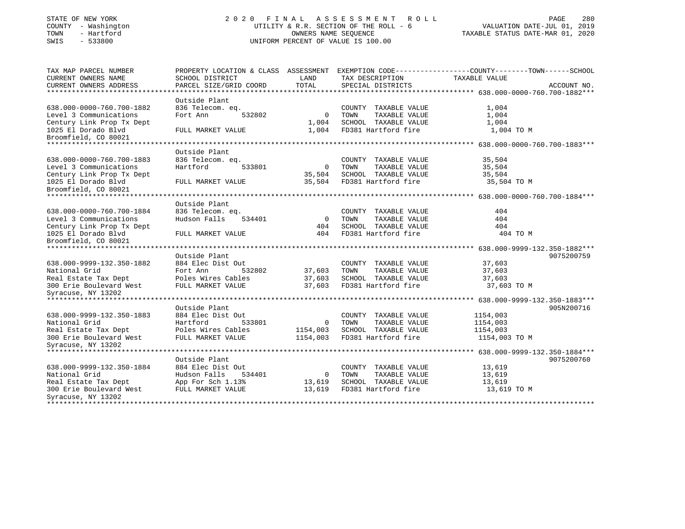# STATE OF NEW YORK 2 0 2 0 F I N A L A S S E S S M E N T R O L L PAGE 280 COUNTY - Washington UTILITY & R.R. SECTION OF THE ROLL - 6 VALUATION DATE-JUL 01, 2019 TOWN - Hartford OWNERS NAME SEQUENCE TAXABLE STATUS DATE-MAR 01, 2020 SWIS - 533800 UNIFORM PERCENT OF VALUE IS 100.00

| TAX MAP PARCEL NUMBER      | PROPERTY LOCATION & CLASS ASSESSMENT EXEMPTION CODE---------------COUNTY-------TOWN-----SCHOOL |                |                       |               |             |
|----------------------------|------------------------------------------------------------------------------------------------|----------------|-----------------------|---------------|-------------|
| <b>CURRENT OWNERS NAME</b> | SCHOOL DISTRICT                                                                                | LAND           | TAX DESCRIPTION       | TAXABLE VALUE |             |
| CURRENT OWNERS ADDRESS     | PARCEL SIZE/GRID COORD                                                                         | TOTAL          | SPECIAL DISTRICTS     |               | ACCOUNT NO. |
|                            |                                                                                                |                |                       |               |             |
|                            | Outside Plant                                                                                  |                |                       |               |             |
| 638.000-0000-760.700-1882  | 836 Telecom. eq.                                                                               |                | COUNTY TAXABLE VALUE  | 1,004         |             |
| Level 3 Communications     | 532802<br>Fort Ann                                                                             | $\mathbf 0$    | TAXABLE VALUE<br>TOWN | 1,004         |             |
| Century Link Prop Tx Dept  |                                                                                                | 1,004          | SCHOOL TAXABLE VALUE  | 1,004         |             |
| 1025 El Dorado Blvd        | FULL MARKET VALUE                                                                              | 1,004          | FD381 Hartford fire   | 1,004 TO M    |             |
| Broomfield, CO 80021       |                                                                                                |                |                       |               |             |
|                            |                                                                                                |                |                       |               |             |
|                            | Outside Plant                                                                                  |                |                       |               |             |
| 638.000-0000-760.700-1883  | 836 Telecom. eq.                                                                               |                | COUNTY TAXABLE VALUE  | 35,504        |             |
| Level 3 Communications     | Hartford<br>533801                                                                             | $\overline{0}$ | TAXABLE VALUE<br>TOWN | 35,504        |             |
| Century Link Prop Tx Dept  |                                                                                                | 35,504         | SCHOOL TAXABLE VALUE  | 35,504        |             |
| 1025 El Dorado Blvd        | FULL MARKET VALUE                                                                              | 35,504         | FD381 Hartford fire   | 35,504 TO M   |             |
| Broomfield, CO 80021       |                                                                                                |                |                       |               |             |
|                            |                                                                                                |                |                       |               |             |
|                            | Outside Plant                                                                                  |                |                       |               |             |
| 638.000-0000-760.700-1884  | 836 Telecom. eq.                                                                               |                | COUNTY TAXABLE VALUE  | 404           |             |
| Level 3 Communications     | Hudson Falls<br>534401                                                                         | $\Omega$       | TOWN<br>TAXABLE VALUE | 404           |             |
| Century Link Prop Tx Dept  |                                                                                                | 404            | SCHOOL TAXABLE VALUE  | 404           |             |
| 1025 El Dorado Blvd        | FULL MARKET VALUE                                                                              | 404            | FD381 Hartford fire   | 404 TO M      |             |
| Broomfield, CO 80021       |                                                                                                |                |                       |               |             |
|                            |                                                                                                |                |                       |               |             |
|                            | Outside Plant                                                                                  |                |                       |               | 9075200759  |
| 638.000-9999-132.350-1882  | 884 Elec Dist Out                                                                              |                | COUNTY TAXABLE VALUE  | 37,603        |             |
| National Grid              | Fort Ann<br>532802                                                                             | 37,603         | TOWN<br>TAXABLE VALUE | 37,603        |             |
| Real Estate Tax Dept       | Poles Wires Cables                                                                             | 37,603         | SCHOOL TAXABLE VALUE  | 37,603        |             |
| 300 Erie Boulevard West    | FULL MARKET VALUE                                                                              | 37,603         | FD381 Hartford fire   | 37,603 TO M   |             |
| Syracuse, NY 13202         |                                                                                                |                |                       |               |             |
|                            |                                                                                                |                |                       |               |             |
|                            | Outside Plant                                                                                  |                |                       |               | 905N200716  |
| 638.000-9999-132.350-1883  | 884 Elec Dist Out                                                                              |                | COUNTY TAXABLE VALUE  | 1154,003      |             |
| National Grid              | Hartford<br>533801                                                                             | $\Omega$       | TOWN<br>TAXABLE VALUE | 1154,003      |             |
| Real Estate Tax Dept       | Poles Wires Cables                                                                             | 1154,003       | SCHOOL TAXABLE VALUE  | 1154,003      |             |
| 300 Erie Boulevard West    | FULL MARKET VALUE                                                                              | 1154,003       | FD381 Hartford fire   | 1154,003 TO M |             |
| Syracuse, NY 13202         |                                                                                                |                |                       |               |             |
|                            |                                                                                                |                |                       |               |             |
|                            | Outside Plant                                                                                  |                |                       |               | 9075200760  |
| 638.000-9999-132.350-1884  | 884 Elec Dist Out                                                                              |                | COUNTY TAXABLE VALUE  | 13,619        |             |
| National Grid              | Hudson Falls<br>534401                                                                         | $\mathbf 0$    | TOWN<br>TAXABLE VALUE | 13,619        |             |
| Real Estate Tax Dept       | App For Sch 1.13%                                                                              | 13,619         | SCHOOL TAXABLE VALUE  | 13,619        |             |
| 300 Erie Boulevard West    | FULL MARKET VALUE                                                                              | 13,619         | FD381 Hartford fire   | 13,619 TO M   |             |
| Syracuse, NY 13202         |                                                                                                |                |                       |               |             |
|                            |                                                                                                |                |                       |               |             |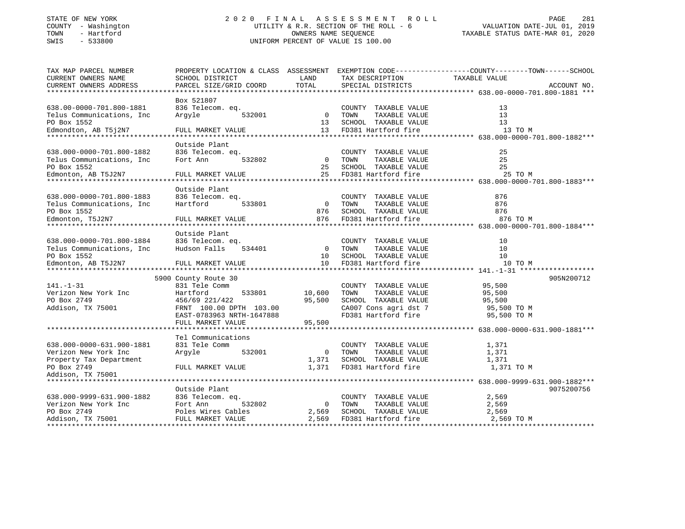# STATE OF NEW YORK 2 0 2 0 F I N A L A S S E S S M E N T R O L L PAGE 281 COUNTY - Washington UTILITY & R.R. SECTION OF THE ROLL - 6 VALUATION DATE-JUL 01, 2019 TOWN - Hartford OWNERS NAME SEQUENCE TAXABLE STATUS DATE-MAR 01, 2020 SWIS - 533800 UNIFORM PERCENT OF VALUE IS 100.00

| TAX MAP PARCEL NUMBER     |                           |                |                       | PROPERTY LOCATION & CLASS ASSESSMENT EXEMPTION CODE----------------COUNTY-------TOWN------SCHOOL |             |
|---------------------------|---------------------------|----------------|-----------------------|--------------------------------------------------------------------------------------------------|-------------|
| CURRENT OWNERS NAME       | SCHOOL DISTRICT           | LAND           | TAX DESCRIPTION       | TAXABLE VALUE                                                                                    |             |
| CURRENT OWNERS ADDRESS    | PARCEL SIZE/GRID COORD    | TOTAL          | SPECIAL DISTRICTS     |                                                                                                  | ACCOUNT NO. |
| *******************       |                           |                |                       |                                                                                                  |             |
|                           | Box 521807                |                |                       |                                                                                                  |             |
| 638.00-0000-701.800-1881  | 836 Telecom. eq.          |                | COUNTY TAXABLE VALUE  | 13                                                                                               |             |
| Telus Communications, Inc | 532001<br>Argyle          | $\overline{0}$ | TAXABLE VALUE<br>TOWN | 13                                                                                               |             |
| PO Box 1552               |                           | 13             | SCHOOL TAXABLE VALUE  | 13                                                                                               |             |
| Edmondton, AB T5j2N7      | FULL MARKET VALUE         | 13             | FD381 Hartford fire   | 13 TO M                                                                                          |             |
|                           |                           |                |                       |                                                                                                  |             |
|                           | Outside Plant             |                |                       |                                                                                                  |             |
| 638.000-0000-701.800-1882 | 836 Telecom. eq.          |                | COUNTY TAXABLE VALUE  | 25                                                                                               |             |
| Telus Communications, Inc | 532802<br>Fort Ann        | $\overline{0}$ | TAXABLE VALUE<br>TOWN | 25                                                                                               |             |
| PO Box 1552               |                           | 25             | SCHOOL TAXABLE VALUE  | 25                                                                                               |             |
| Edmonton, AB T5J2N7       | FULL MARKET VALUE         | 25             | FD381 Hartford fire   | 25 TO M                                                                                          |             |
|                           |                           |                |                       |                                                                                                  |             |
|                           | Outside Plant             |                |                       |                                                                                                  |             |
|                           |                           |                |                       |                                                                                                  |             |
| 638.000-0000-701.800-1883 | 836 Telecom. eq.          |                | COUNTY TAXABLE VALUE  | 876                                                                                              |             |
| Telus Communications, Inc | Hartford<br>533801        | $\overline{0}$ | TAXABLE VALUE<br>TOWN | 876                                                                                              |             |
| PO Box 1552               |                           | 876            | SCHOOL TAXABLE VALUE  | 876                                                                                              |             |
| Edmonton, T5J2N7          | FULL MARKET VALUE         | 876            | FD381 Hartford fire   | 876 TO M                                                                                         |             |
|                           |                           |                |                       |                                                                                                  |             |
|                           | Outside Plant             |                |                       |                                                                                                  |             |
| 638.000-0000-701.800-1884 | 836 Telecom. eq.          |                | COUNTY TAXABLE VALUE  | 10                                                                                               |             |
| Telus Communications, Inc | Hudson Falls<br>534401    | $\overline{0}$ | TAXABLE VALUE<br>TOWN | 10                                                                                               |             |
| PO Box 1552               |                           | 10             | SCHOOL TAXABLE VALUE  | 10                                                                                               |             |
| Edmonton, AB T5J2N7       | FULL MARKET VALUE         | 10             | FD381 Hartford fire   | 10 TO M                                                                                          |             |
|                           |                           |                |                       |                                                                                                  |             |
|                           | 5900 County Route 30      |                |                       |                                                                                                  | 905N200712  |
| $141. - 1 - 31$           | 831 Tele Comm             |                | COUNTY TAXABLE VALUE  | 95,500                                                                                           |             |
| Verizon New York Inc      | Hartford<br>533801        | 10,600         | TAXABLE VALUE<br>TOWN | 95,500                                                                                           |             |
| PO Box 2749               | 456/69 221/422            | 95,500         | SCHOOL TAXABLE VALUE  | 95,500                                                                                           |             |
| Addison, TX 75001         | FRNT 100.00 DPTH 103.00   |                | CA007 Cons agri dst 7 | 95,500 TO M                                                                                      |             |
|                           | EAST-0783963 NRTH-1647888 |                | FD381 Hartford fire   | 95,500 TO M                                                                                      |             |
|                           | FULL MARKET VALUE         | 95,500         |                       |                                                                                                  |             |
|                           |                           |                |                       |                                                                                                  |             |
|                           | Tel Communications        |                |                       |                                                                                                  |             |
| 638.000-0000-631.900-1881 | 831 Tele Comm             |                | COUNTY TAXABLE VALUE  | 1,371                                                                                            |             |
| Verizon New York Inc      | 532001<br>Argyle          | 0              | TOWN<br>TAXABLE VALUE | 1,371                                                                                            |             |
| Property Tax Department   |                           | 1,371          | SCHOOL TAXABLE VALUE  | 1,371                                                                                            |             |
| PO Box 2749               | FULL MARKET VALUE         | 1,371          | FD381 Hartford fire   | 1,371 TO M                                                                                       |             |
| Addison, TX 75001         |                           |                |                       |                                                                                                  |             |
|                           |                           |                |                       |                                                                                                  |             |
|                           |                           |                |                       |                                                                                                  |             |
|                           | Outside Plant             |                |                       |                                                                                                  | 9075200756  |
| 638.000-9999-631.900-1882 | 836 Telecom. eq.          |                | COUNTY TAXABLE VALUE  | 2,569                                                                                            |             |
| Verizon New York Inc      | 532802<br>Fort Ann        | $\overline{0}$ | TOWN<br>TAXABLE VALUE | 2,569                                                                                            |             |
| PO Box 2749               | Poles Wires Cables        | 2,569          | SCHOOL TAXABLE VALUE  | 2,569                                                                                            |             |
| Addison, TX 75001         | FULL MARKET VALUE         | 2,569          | FD381 Hartford fire   | 2,569 TO M                                                                                       |             |
|                           |                           |                |                       | ****************                                                                                 |             |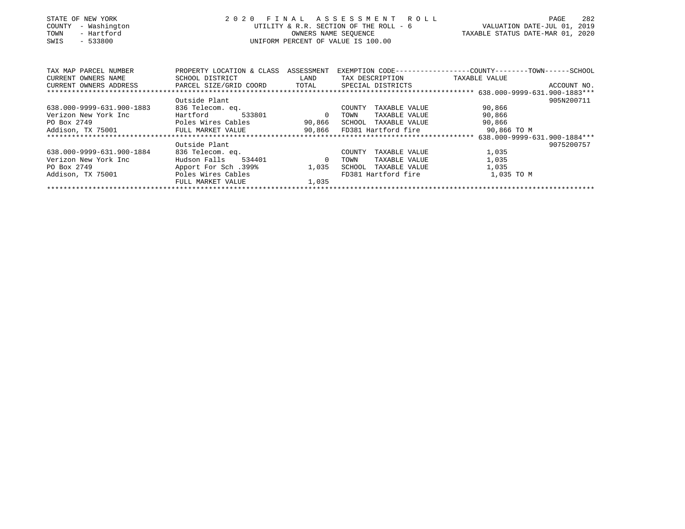| STATE OF NEW YORK<br>- Washington<br>COUNTY<br>- Hartford<br>TOWN<br>$-533800$<br>SWIS | 2 0 2 0                              | OWNERS NAME SEOUENCE | FINAL ASSESSMENT ROLL<br>UNIFORM PERCENT OF VALUE IS 100.00 | 282<br>PAGE<br>UTILITY & R.R. SECTION OF THE ROLL - 6 WALUATION DATE-JUL 01, 2019<br>TAXABLE STATUS DATE-MAR 01, 2020 |
|----------------------------------------------------------------------------------------|--------------------------------------|----------------------|-------------------------------------------------------------|-----------------------------------------------------------------------------------------------------------------------|
| TAX MAP PARCEL NUMBER                                                                  | PROPERTY LOCATION & CLASS ASSESSMENT |                      |                                                             | EXEMPTION CODE-----------------COUNTY-------TOWN------SCHOOL                                                          |
| CURRENT OWNERS NAME                                                                    | SCHOOL DISTRICT                      | LAND                 | TAX DESCRIPTION                                             | TAXABLE VALUE                                                                                                         |
| CURRENT OWNERS ADDRESS TRARCEL SIZE/GRID COORD TOTAL                                   |                                      |                      | SPECIAL DISTRICTS                                           | ACCOUNT NO.                                                                                                           |
|                                                                                        |                                      |                      |                                                             |                                                                                                                       |
|                                                                                        | Outside Plant                        |                      |                                                             | 905N200711                                                                                                            |
| 638.000-9999-631.900-1883                                                              | 836 Telecom. eq.                     |                      | COUNTY<br>TAXABLE VALUE                                     | 90,866                                                                                                                |
| Verizon New York Inc                                                                   | Hartford                             | 533801 0             | TOWN<br>TAXABLE VALUE                                       | 90,866                                                                                                                |
| PO Box 2749                                                                            | Poles Wires Cables                   | 90,866               | SCHOOL TAXABLE VALUE                                        | 90,866                                                                                                                |
| Addison, TX 75001 FULL MARKET VALUE                                                    |                                      |                      | 90,866 FD381 Hartford fire                                  | 90,866 TO M                                                                                                           |
|                                                                                        |                                      |                      |                                                             | 638.000-9999-631.900-1884***                                                                                          |
|                                                                                        | Outside Plant                        |                      |                                                             | 9075200757                                                                                                            |
| 638.000-9999-631.900-1884                                                              | 836 Telecom. eq.                     |                      | TAXABLE VALUE<br>COUNTY                                     | 1,035                                                                                                                 |
| Verizon New York Inc                                                                   | Hudson Falls<br>534401 0             |                      | TOWN<br>TAXABLE VALUE                                       | 1,035                                                                                                                 |
| PO Box 2749                                                                            | 199%. Apport For Sch                 | 1,035                | TAXABLE VALUE<br>SCHOOL                                     | 1,035                                                                                                                 |
| Addison, TX 75001                                                                      | Poles Wires Cables                   |                      | FD381 Hartford fire                                         | 1,035 TO M                                                                                                            |
|                                                                                        | FULL MARKET VALUE                    | 1,035                |                                                             |                                                                                                                       |
|                                                                                        |                                      |                      |                                                             |                                                                                                                       |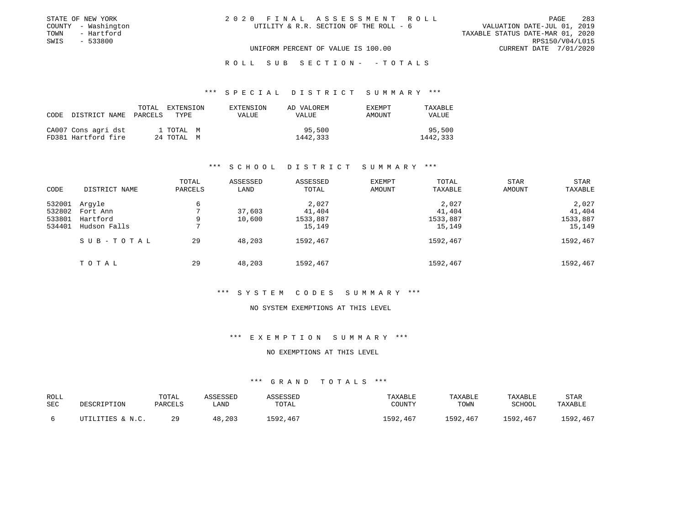| STATE OF NEW YORK   | 2020 FINAL ASSESSMENT ROLL             | 283<br>PAGE                      |
|---------------------|----------------------------------------|----------------------------------|
| COUNTY - Washington | UTILITY & R.R. SECTION OF THE ROLL - 6 | VALUATION DATE-JUL 01, 2019      |
| TOWN<br>- Hartford  |                                        | TAXABLE STATUS DATE-MAR 01, 2020 |
| SWIS<br>- 533800    |                                        | RPS150/V04/L015                  |
|                     | UNIFORM PERCENT OF VALUE IS 100.00     | CURRENT DATE 7/01/2020           |

# ROLL SUB SECTION - - TOTALS

#### \*\*\* S P E C I A L D I S T R I C T S U M M A R Y \*\*\*

| CODE DISTRICT NAME                         | TOTAL<br>PARCELS | EXTENSION<br>TYPE       | EXTENSION<br><b>VALUE</b> | AD VALOREM<br>VALUE | <b>EXEMPT</b><br>AMOUNT | TAXABLE<br><b>VALUE</b> |
|--------------------------------------------|------------------|-------------------------|---------------------------|---------------------|-------------------------|-------------------------|
| CA007 Cons agri dst<br>FD381 Hartford fire |                  | 1 TOTAL M<br>24 TOTAL M |                           | 95,500<br>1442,333  |                         | 95,500<br>1442,333      |

# \*\*\* S C H O O L D I S T R I C T S U M M A R Y \*\*\*

| CODE   | DISTRICT NAME | TOTAL<br>PARCELS | ASSESSED<br>LAND | ASSESSED<br>TOTAL | EXEMPT<br>AMOUNT | TOTAL<br>TAXABLE | <b>STAR</b><br>AMOUNT | <b>STAR</b><br>TAXABLE |
|--------|---------------|------------------|------------------|-------------------|------------------|------------------|-----------------------|------------------------|
| 532001 | Arqyle        | 6                |                  | 2,027             |                  | 2,027            |                       | 2,027                  |
| 532802 | Fort Ann      |                  | 37,603           | 41,404            |                  | 41,404           |                       | 41,404                 |
| 533801 | Hartford      | 9                | 10,600           | 1533,887          |                  | 1533,887         |                       | 1533,887               |
| 534401 | Hudson Falls  | 7                |                  | 15,149            |                  | 15,149           |                       | 15,149                 |
|        | SUB-TOTAL     | 29               | 48,203           | 1592,467          |                  | 1592,467         |                       | 1592,467               |
|        | TOTAL         | 29               | 48,203           | 1592,467          |                  | 1592,467         |                       | 1592,467               |

#### \*\*\* S Y S T E M C O D E S S U M M A R Y \*\*\*

#### NO SYSTEM EXEMPTIONS AT THIS LEVEL

#### \*\*\* E X E M P T I O N S U M M A R Y \*\*\*

#### NO EXEMPTIONS AT THIS LEVEL

| ROLL<br>SEC | DESCRIPTION      | TOTAL<br>PARCELS | ASSESSED<br>LAND | <i><b>\SSESSED</b></i><br>TOTAL | TAXABLE<br>COUNTY | TAXABLE<br>TOWN | TAXABLE<br>SCHOOL | STAF<br>TAXABLE |
|-------------|------------------|------------------|------------------|---------------------------------|-------------------|-----------------|-------------------|-----------------|
|             | UTILITIES & N.C. | 29               | 48,203           | 1592,467                        | 1592,467          | 1592,467        | 1592,467          | 1592,467        |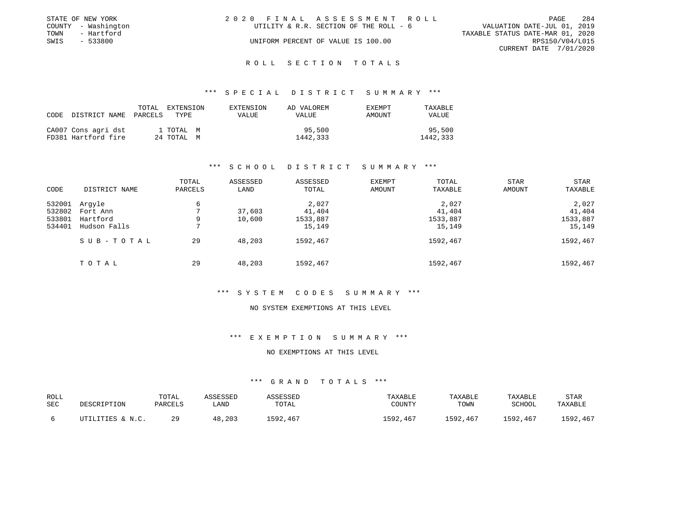|      | STATE OF NEW YORK   | 2020 FINAL ASSESSMENT ROLL |                                        |                                  |                        | PAGE | - 284 |
|------|---------------------|----------------------------|----------------------------------------|----------------------------------|------------------------|------|-------|
|      | COUNTY - Washington |                            | UTILITY & R.R. SECTION OF THE ROLL - 6 | VALUATION DATE-JUL 01, 2019      |                        |      |       |
| TOWN | - Hartford          |                            |                                        | TAXABLE STATUS DATE-MAR 01, 2020 |                        |      |       |
| SWIS | - 533800            |                            | UNIFORM PERCENT OF VALUE IS 100.00     |                                  | RPS150/V04/L015        |      |       |
|      |                     |                            |                                        |                                  | CURRENT DATE 7/01/2020 |      |       |
|      |                     |                            |                                        |                                  |                        |      |       |

#### R O L L S E C T I O N T O T A L S

#### \*\*\* S P E C I A L D I S T R I C T S U M M A R Y \*\*\*

| CODE | DISTRICT NAME PARCELS                      | TOTAL | EXTENSION<br>TYPE       | EXTENSION<br>VALUE | AD VALOREM<br>VALUE | <b>EXEMPT</b><br>AMOUNT | TAXABLE<br><b>VALUE</b> |
|------|--------------------------------------------|-------|-------------------------|--------------------|---------------------|-------------------------|-------------------------|
|      | CA007 Cons agri dst<br>FD381 Hartford fire |       | 1 TOTAL M<br>24 TOTAL M |                    | 95,500<br>1442,333  |                         | 95,500<br>1442,333      |

# \*\*\* S C H O O L D I S T R I C T S U M M A R Y \*\*\*

| CODE   | DISTRICT NAME | TOTAL<br>PARCELS | ASSESSED<br>LAND | ASSESSED<br>TOTAL | EXEMPT<br>AMOUNT | TOTAL<br>TAXABLE | <b>STAR</b><br>AMOUNT | <b>STAR</b><br>TAXABLE |
|--------|---------------|------------------|------------------|-------------------|------------------|------------------|-----------------------|------------------------|
| 532001 | Arqyle        | 6                |                  | 2,027             |                  | 2,027            |                       | 2,027                  |
| 532802 | Fort Ann      |                  | 37,603           | 41,404            |                  | 41,404           |                       | 41,404                 |
| 533801 | Hartford      | 9                | 10,600           | 1533,887          |                  | 1533,887         |                       | 1533,887               |
| 534401 | Hudson Falls  | 7                |                  | 15,149            |                  | 15,149           |                       | 15,149                 |
|        | SUB-TOTAL     | 29               | 48,203           | 1592,467          |                  | 1592,467         |                       | 1592,467               |
|        | TOTAL         | 29               | 48,203           | 1592,467          |                  | 1592,467         |                       | 1592,467               |

#### \*\*\* S Y S T E M C O D E S S U M M A R Y \*\*\*

#### NO SYSTEM EXEMPTIONS AT THIS LEVEL

#### \*\*\* E X E M P T I O N S U M M A R Y \*\*\*

## NO EXEMPTIONS AT THIS LEVEL

| ROLL<br>SEC | DESCRIPTION      | TOTAL<br>PARCELS | ASSESSED<br>LAND | <i><b>\SSESSED</b></i><br>TOTAL | TAXABLE<br>COUNTY | TAXABLE<br>TOWN | TAXABLE<br>SCHOOL | STAF<br>TAXABLE |
|-------------|------------------|------------------|------------------|---------------------------------|-------------------|-----------------|-------------------|-----------------|
|             | UTILITIES & N.C. | 29               | 48,203           | 1592,467                        | 1592,467          | 1592,467        | 1592,467          | 1592,467        |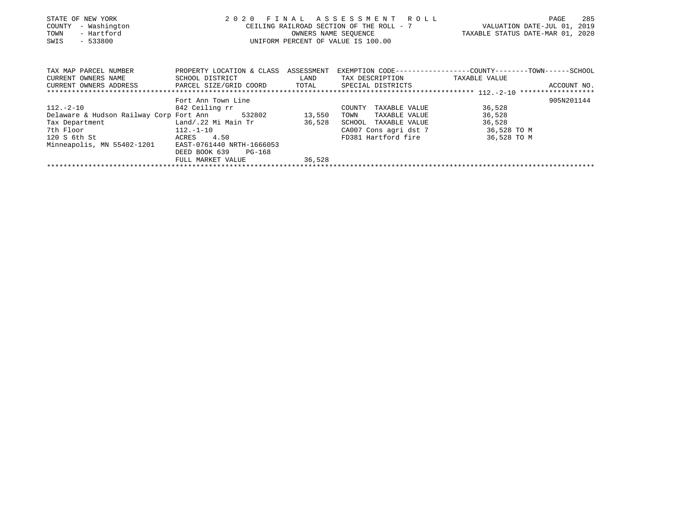| STATE OF NEW YORK<br>- Washington<br>COUNTY                                       | FINAL ASSESSMENT ROLL<br>2020                                                                                                             | 285<br>PAGE<br>CEILING RAILROAD SECTION OF THE ROLL - 7 VALUATION DATE-JUL 01, 2019 |                                    |                                                              |
|-----------------------------------------------------------------------------------|-------------------------------------------------------------------------------------------------------------------------------------------|-------------------------------------------------------------------------------------|------------------------------------|--------------------------------------------------------------|
| - Hartford<br>TOWN                                                                |                                                                                                                                           |                                                                                     | OWNERS NAME SEQUENCE               | TAXABLE STATUS DATE-MAR 01, 2020                             |
| $-533800$<br>SWIS                                                                 |                                                                                                                                           |                                                                                     | UNIFORM PERCENT OF VALUE IS 100.00 |                                                              |
|                                                                                   |                                                                                                                                           |                                                                                     |                                    |                                                              |
| TAX MAP PARCEL NUMBER                                                             | PROPERTY LOCATION & CLASS ASSESSMENT                                                                                                      |                                                                                     |                                    | EXEMPTION CODE-----------------COUNTY-------TOWN------SCHOOL |
| CURRENT OWNERS NAME                                                               | SCHOOL DISTRICT<br><b>EXAMPLE SERVICE SERVICE SERVICE SERVICE SERVICE SERVICE SERVICE SERVICE SERVICE SERVICE SERVICE SERVICE SERVICE</b> |                                                                                     | TAX DESCRIPTION TAXABLE VALUE      |                                                              |
| CURRENT OWNERS ADDRESS     PARCEL SIZE/GRID COORD     TOTAL     SPECIAL DISTRICTS |                                                                                                                                           |                                                                                     |                                    | ACCOUNT NO.                                                  |
|                                                                                   |                                                                                                                                           |                                                                                     |                                    |                                                              |
|                                                                                   | Fort Ann Town Line                                                                                                                        |                                                                                     |                                    | 905N201144                                                   |
| $112.-2-10$ 842 Ceiling rr                                                        |                                                                                                                                           |                                                                                     | COUNTY TAXABLE VALUE               | 36,528                                                       |
| Delaware & Hudson Railway Corp Fort Ann 532802 13,550                             |                                                                                                                                           |                                                                                     | TOWN<br>TAXABLE VALUE              | 36,528                                                       |
| Tax Department Land/.22 Mi Main Tr 36,528                                         |                                                                                                                                           |                                                                                     | SCHOOL TAXABLE VALUE               | 36,528                                                       |
| 7th Floor<br>$112. -1 - 10$                                                       |                                                                                                                                           |                                                                                     | CA007 Cons agri dst 7 36,528 TO M  |                                                              |
| 120 S 6th St                                                                      | ACRES 4.50                                                                                                                                |                                                                                     | FD381 Hartford fire                | 36,528 TO M                                                  |
| Minneapolis, MN 55402-1201                                                        | EAST-0761440 NRTH-1666053                                                                                                                 |                                                                                     |                                    |                                                              |
|                                                                                   | DEED BOOK 639<br>PG-168                                                                                                                   |                                                                                     |                                    |                                                              |
|                                                                                   | FULL MARKET VALUE                                                                                                                         | 36,528                                                                              |                                    |                                                              |
|                                                                                   |                                                                                                                                           |                                                                                     |                                    |                                                              |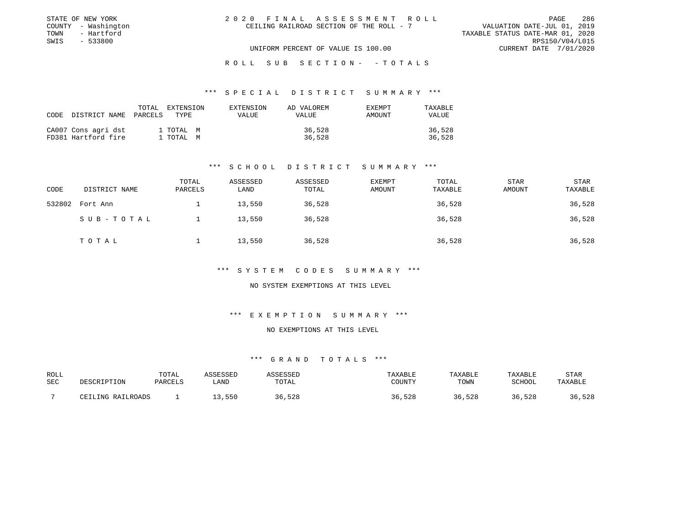| STATE OF NEW YORK   | 2020 FINAL ASSESSMENT ROLL               | 286<br>PAGE                      |
|---------------------|------------------------------------------|----------------------------------|
| COUNTY - Washington | CEILING RAILROAD SECTION OF THE ROLL - 7 | VALUATION DATE-JUL 01, 2019      |
| TOWN<br>- Hartford  |                                          | TAXABLE STATUS DATE-MAR 01, 2020 |
| SWIS<br>- 533800    |                                          | RPS150/V04/L015                  |
|                     | UNIFORM PERCENT OF VALUE IS 100.00       | CURRENT DATE 7/01/2020           |

ROLL SUB SECTION - - TOTALS

#### \*\*\* S P E C I A L D I S T R I C T S U M M A R Y \*\*\*

| CODE DISTRICT NAME                         | TOTAL<br>PARCELS | <b>EXTENSION</b><br>TYPE. | EXTENSION<br>VALUE | AD VALOREM<br>VALUE | EXEMPT<br>AMOUNT | TAXABLE<br><b>VALUE</b> |
|--------------------------------------------|------------------|---------------------------|--------------------|---------------------|------------------|-------------------------|
| CA007 Cons agri dst<br>FD381 Hartford fire |                  | 1 TOTAL M<br>1 TOTAL M    |                    | 36,528<br>36,528    |                  | 36,528<br>36,528        |

# \*\*\* S C H O O L D I S T R I C T S U M M A R Y \*\*\*

| CODE   | DISTRICT NAME | TOTAL<br>PARCELS | ASSESSED<br>LAND | ASSESSED<br>TOTAL | EXEMPT<br>AMOUNT | TOTAL<br>TAXABLE | <b>STAR</b><br>AMOUNT | STAR<br>TAXABLE |
|--------|---------------|------------------|------------------|-------------------|------------------|------------------|-----------------------|-----------------|
| 532802 | Fort Ann      |                  | 13,550           | 36,528            |                  | 36,528           |                       | 36,528          |
|        | SUB-TOTAL     |                  | 13,550           | 36,528            |                  | 36,528           |                       | 36,528          |
|        | TOTAL         |                  | 13,550           | 36,528            |                  | 36,528           |                       | 36,528          |

\*\*\* S Y S T E M C O D E S S U M M A R Y \*\*\*

NO SYSTEM EXEMPTIONS AT THIS LEVEL

\*\*\* E X E M P T I O N S U M M A R Y \*\*\*

#### NO EXEMPTIONS AT THIS LEVEL

| ROLL |                   | TOTAL   | ASSESSED  | ASSESSED | TAXABLE | TAXABLE | TAXABLE       | STAR    |
|------|-------------------|---------|-----------|----------|---------|---------|---------------|---------|
| SEC  | DESCRIPTION       | PARCELS | LAND      | TOTAL    | COUNTY  | TOWN    | <b>SCHOOL</b> | TAXABLE |
|      | CEILING RAILROADS |         | 550 . د . | 36,528   | 36,528  | 36,528  | 36,528        | 36,528  |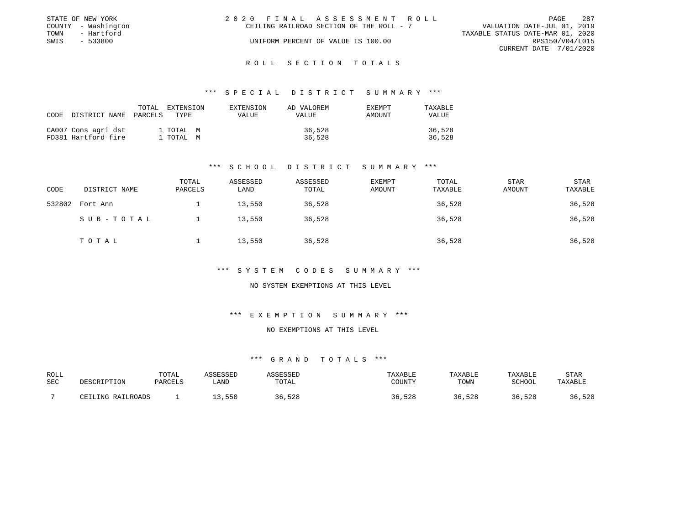|      | STATE OF NEW YORK   | 2020 FINAL ASSESSMENT ROLL |                                          |                                  | PAGE                   | - 287 |
|------|---------------------|----------------------------|------------------------------------------|----------------------------------|------------------------|-------|
|      | COUNTY - Washington |                            | CEILING RAILROAD SECTION OF THE ROLL - 7 | VALUATION DATE-JUL 01, 2019      |                        |       |
| TOWN | - Hartford          |                            |                                          | TAXABLE STATUS DATE-MAR 01, 2020 |                        |       |
| SWIS | - 533800            |                            | UNIFORM PERCENT OF VALUE IS 100.00       |                                  | RPS150/V04/L015        |       |
|      |                     |                            |                                          |                                  | CURRENT DATE 7/01/2020 |       |
|      |                     |                            |                                          |                                  |                        |       |

# ROLL SECTION TOTALS

#### \*\*\* S P E C I A L D I S T R I C T S U M M A R Y \*\*\*

| CODE | DISTRICT NAME                              | TOTAL<br>PARCELS | EXTENSION<br>TYPE.     | EXTENSION<br>VALUE | AD VALOREM<br>VALUE | <b>EXEMPT</b><br>AMOUNT | TAXABLE<br><b>VALUE</b> |
|------|--------------------------------------------|------------------|------------------------|--------------------|---------------------|-------------------------|-------------------------|
|      | CA007 Cons agri dst<br>FD381 Hartford fire |                  | 1 TOTAL M<br>1 TOTAL M |                    | 36,528<br>36,528    |                         | 36,528<br>36,528        |

# \*\*\* S C H O O L D I S T R I C T S U M M A R Y \*\*\*

| CODE   | DISTRICT NAME | TOTAL<br>PARCELS | ASSESSED<br>LAND | ASSESSED<br>TOTAL | EXEMPT<br>AMOUNT | TOTAL<br>TAXABLE | <b>STAR</b><br>AMOUNT | STAR<br>TAXABLE |
|--------|---------------|------------------|------------------|-------------------|------------------|------------------|-----------------------|-----------------|
| 532802 | Fort Ann      |                  | 13,550           | 36,528            |                  | 36,528           |                       | 36,528          |
|        | SUB-TOTAL     |                  | 13,550           | 36,528            |                  | 36,528           |                       | 36,528          |
|        | TOTAL         |                  | 13,550           | 36,528            |                  | 36,528           |                       | 36,528          |

#### \*\*\* S Y S T E M C O D E S S U M M A R Y \*\*\*

#### NO SYSTEM EXEMPTIONS AT THIS LEVEL

# \*\*\* E X E M P T I O N S U M M A R Y \*\*\*

#### NO EXEMPTIONS AT THIS LEVEL

| ROLL |                   | TOTAL   | ASSESSED | <i><b>\SSESSED</b></i> | TAXABLE | TAXABLE | TAXABLE | STAR    |
|------|-------------------|---------|----------|------------------------|---------|---------|---------|---------|
| SEC  | DESCRIPTION       | PARCELS | LAND     | TOTAL                  | COUNTY  | TOWN    | SCHOOL  | TAXABLF |
|      | CEILING RAILROADS |         | 13,550   | 36,528                 | 36,528  | 36,528  | 36,528  | 36,528  |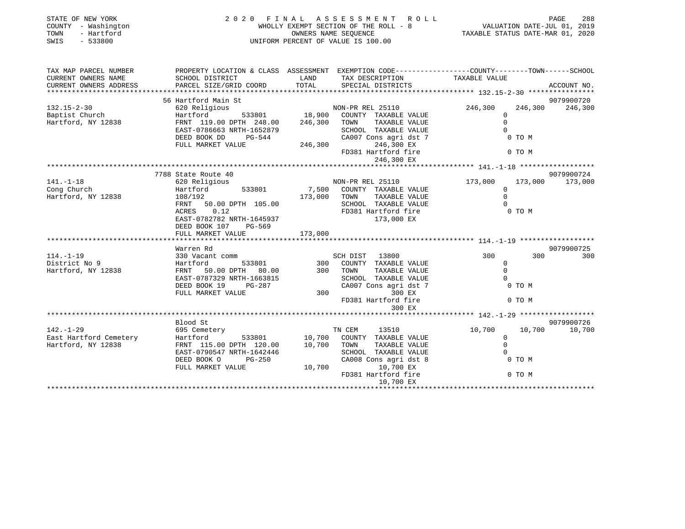| STATE OF NEW YORK<br>COUNTY - Washington<br>- Hartford<br>TOWN<br>SWIS<br>$-533800$                                                                                                                                                                    | 2020 FINAL ASSESSMENT ROLL                                                                                                                                                                                                           | PAGE 288<br>WHOLLY EXEMPT SECTION OF THE ROLL - 8<br>OWNERS NAME SEQUENCE<br>UNIFORM PERCENT OF VALUE IS 100.00<br>UNIFORM PERCENT OF VALUE IS 100.00 |                                                                                                                                                                                                                                |                      |                 |  |
|--------------------------------------------------------------------------------------------------------------------------------------------------------------------------------------------------------------------------------------------------------|--------------------------------------------------------------------------------------------------------------------------------------------------------------------------------------------------------------------------------------|-------------------------------------------------------------------------------------------------------------------------------------------------------|--------------------------------------------------------------------------------------------------------------------------------------------------------------------------------------------------------------------------------|----------------------|-----------------|--|
| CURRENT OWNERS NAME                                                                                                                                                                                                                                    | TAX MAP PARCEL NUMBER PROPERTY LOCATION & CLASS ASSESSMENT EXEMPTION CODE----------------COUNTY--------TOWN------SCHOOL                                                                                                              |                                                                                                                                                       |                                                                                                                                                                                                                                |                      |                 |  |
| CURRENT OWNERS ADDRESS                                                                                                                                                                                                                                 | LAND TAX DESCRIPTION TAXABLE VALUE<br>SCHOOL DISTRICT<br>PARCEL SIZE/GRID COORD TOTAL SPECIAL DISTRICTS                                                                                                                              |                                                                                                                                                       |                                                                                                                                                                                                                                |                      |                 |  |
|                                                                                                                                                                                                                                                        |                                                                                                                                                                                                                                      |                                                                                                                                                       |                                                                                                                                                                                                                                |                      | 9079900720      |  |
| $132.15 - 2 - 30$                                                                                                                                                                                                                                      | 56 Hartford Main St<br>620 Religious 18,900 COUNTY TAXABLE VALUE<br>FRNT 119.00 DPTH 248.00 246,300 TOWN TAXABLE VALUE<br>FRNT 119.00 DPTH 248.00 246,300 TOWN TAXABLE VALUE                                                         |                                                                                                                                                       |                                                                                                                                                                                                                                | 246,300              | 246,300 246,300 |  |
|                                                                                                                                                                                                                                                        |                                                                                                                                                                                                                                      |                                                                                                                                                       |                                                                                                                                                                                                                                | $\overline{0}$       |                 |  |
| Baptist Church<br>Hartford, NY 12838                                                                                                                                                                                                                   | FRNT 119.00 DPTH 248.00 246,300 TOWN TAXABLE VALUE ON THE CAST-0786663 NRTH-1652879 SCHOOL TAXABLE VALUE ON TO M<br>DEED BOOK DD PG-544 CA007 Cons agri dst 7 0 TO M<br>FULL MARKET VALUE 246,300 FD PS81 Hartford fire 0 TO M<br>FU |                                                                                                                                                       |                                                                                                                                                                                                                                |                      |                 |  |
|                                                                                                                                                                                                                                                        |                                                                                                                                                                                                                                      |                                                                                                                                                       |                                                                                                                                                                                                                                |                      |                 |  |
|                                                                                                                                                                                                                                                        |                                                                                                                                                                                                                                      |                                                                                                                                                       |                                                                                                                                                                                                                                |                      |                 |  |
|                                                                                                                                                                                                                                                        |                                                                                                                                                                                                                                      |                                                                                                                                                       |                                                                                                                                                                                                                                |                      |                 |  |
|                                                                                                                                                                                                                                                        |                                                                                                                                                                                                                                      |                                                                                                                                                       |                                                                                                                                                                                                                                |                      |                 |  |
|                                                                                                                                                                                                                                                        |                                                                                                                                                                                                                                      |                                                                                                                                                       |                                                                                                                                                                                                                                |                      |                 |  |
|                                                                                                                                                                                                                                                        |                                                                                                                                                                                                                                      |                                                                                                                                                       |                                                                                                                                                                                                                                |                      |                 |  |
|                                                                                                                                                                                                                                                        | 7788 State Route 40                                                                                                                                                                                                                  |                                                                                                                                                       |                                                                                                                                                                                                                                |                      | 9079900724      |  |
|                                                                                                                                                                                                                                                        |                                                                                                                                                                                                                                      |                                                                                                                                                       | NON-PR REL 25110                                                                                                                                                                                                               | 173,000              | 173,000 173,000 |  |
|                                                                                                                                                                                                                                                        |                                                                                                                                                                                                                                      |                                                                                                                                                       |                                                                                                                                                                                                                                | $\Omega$             |                 |  |
| 1.1.1.0<br>Cong Church 620 Religious<br>Hartford, NY 12838 108/192<br>108/192                                                                                                                                                                          | Hartford 533801 7,500 COUNTY TAXABLE VALUE<br>108/192 173,000 TOWN TAXABLE VALUE<br>FRNT 50.00 DPTH 105.00 SCHOOL TAXABLE VALUE<br>ACRES 0.12 FD381 Hartford fire<br>FD381 Hartford 173,000 FV                                       |                                                                                                                                                       |                                                                                                                                                                                                                                | $\Omega$             |                 |  |
|                                                                                                                                                                                                                                                        |                                                                                                                                                                                                                                      |                                                                                                                                                       |                                                                                                                                                                                                                                |                      |                 |  |
|                                                                                                                                                                                                                                                        |                                                                                                                                                                                                                                      |                                                                                                                                                       |                                                                                                                                                                                                                                |                      |                 |  |
|                                                                                                                                                                                                                                                        | EAST-0782782 NRTH-1645937                                                                                                                                                                                                            |                                                                                                                                                       | $173,000$ EX                                                                                                                                                                                                                   |                      |                 |  |
|                                                                                                                                                                                                                                                        | DEED BOOK 107<br>PG-569                                                                                                                                                                                                              |                                                                                                                                                       |                                                                                                                                                                                                                                |                      |                 |  |
|                                                                                                                                                                                                                                                        | FULL MARKET VALUE                                                                                                                                                                                                                    | 173,000                                                                                                                                               |                                                                                                                                                                                                                                |                      |                 |  |
|                                                                                                                                                                                                                                                        |                                                                                                                                                                                                                                      |                                                                                                                                                       |                                                                                                                                                                                                                                |                      |                 |  |
|                                                                                                                                                                                                                                                        | Warren Rd                                                                                                                                                                                                                            |                                                                                                                                                       |                                                                                                                                                                                                                                |                      | 9079900725      |  |
|                                                                                                                                                                                                                                                        |                                                                                                                                                                                                                                      |                                                                                                                                                       | SCH DIST 13800 300                                                                                                                                                                                                             |                      | 300<br>300      |  |
|                                                                                                                                                                                                                                                        |                                                                                                                                                                                                                                      |                                                                                                                                                       |                                                                                                                                                                                                                                |                      |                 |  |
|                                                                                                                                                                                                                                                        |                                                                                                                                                                                                                                      |                                                                                                                                                       |                                                                                                                                                                                                                                |                      |                 |  |
|                                                                                                                                                                                                                                                        |                                                                                                                                                                                                                                      |                                                                                                                                                       |                                                                                                                                                                                                                                |                      |                 |  |
| 114.-1-19<br>Martiord 330 Vacant comm<br>District No 9<br>Hartford, NY 12838<br>Hartford, NY 12838<br>EAST-0787329 NRTH-1663815<br>DEED BOOK 19<br>PG-287<br>FULL MARKET VALUE<br>THE SCHOOL TAXABLE VALUE<br>DEED BOOK 19<br>PG-287<br>2007 CONS agri |                                                                                                                                                                                                                                      |                                                                                                                                                       | COUNTRE TRANSPORT TO THE TRANSPORT OF TRANSPORT OF TRANSPORT OF TRANSPORT OF THE CALL OF THE CALL OF THE CALL OF THE CALL OF THE CALL OF THE CALL OF THE CALL OF THE CALL OF THE CALL OF THE CALL OF THE CALL OF THE CALL OF T |                      |                 |  |
|                                                                                                                                                                                                                                                        |                                                                                                                                                                                                                                      |                                                                                                                                                       |                                                                                                                                                                                                                                |                      |                 |  |
|                                                                                                                                                                                                                                                        |                                                                                                                                                                                                                                      |                                                                                                                                                       | FD381 Hartford fire                                                                                                                                                                                                            | 0 TO M               |                 |  |
|                                                                                                                                                                                                                                                        |                                                                                                                                                                                                                                      |                                                                                                                                                       |                                                                                                                                                                                                                                |                      |                 |  |
|                                                                                                                                                                                                                                                        | Blood St                                                                                                                                                                                                                             |                                                                                                                                                       |                                                                                                                                                                                                                                |                      | 9079900726      |  |
| $142. - 1 - 29$                                                                                                                                                                                                                                        | 695 Cemetery                                                                                                                                                                                                                         |                                                                                                                                                       | TN CEM 13510                                                                                                                                                                                                                   | 10,700 10,700 10,700 |                 |  |
|                                                                                                                                                                                                                                                        | Hartford 533801 10,700 COUNTY TAXABLE VALUE                                                                                                                                                                                          |                                                                                                                                                       |                                                                                                                                                                                                                                |                      |                 |  |
| East Hartford Cemetery<br>Hartford, NY 12838                                                                                                                                                                                                           |                                                                                                                                                                                                                                      |                                                                                                                                                       |                                                                                                                                                                                                                                |                      |                 |  |
|                                                                                                                                                                                                                                                        |                                                                                                                                                                                                                                      |                                                                                                                                                       |                                                                                                                                                                                                                                |                      |                 |  |
|                                                                                                                                                                                                                                                        | DEED BOOK O<br>$PG-250$                                                                                                                                                                                                              |                                                                                                                                                       |                                                                                                                                                                                                                                |                      |                 |  |
|                                                                                                                                                                                                                                                        | FULL MARKET VALUE                                                                                                                                                                                                                    |                                                                                                                                                       |                                                                                                                                                                                                                                |                      |                 |  |
|                                                                                                                                                                                                                                                        |                                                                                                                                                                                                                                      |                                                                                                                                                       |                                                                                                                                                                                                                                |                      |                 |  |
|                                                                                                                                                                                                                                                        |                                                                                                                                                                                                                                      |                                                                                                                                                       | 10,700 EX                                                                                                                                                                                                                      |                      |                 |  |
|                                                                                                                                                                                                                                                        |                                                                                                                                                                                                                                      |                                                                                                                                                       |                                                                                                                                                                                                                                |                      |                 |  |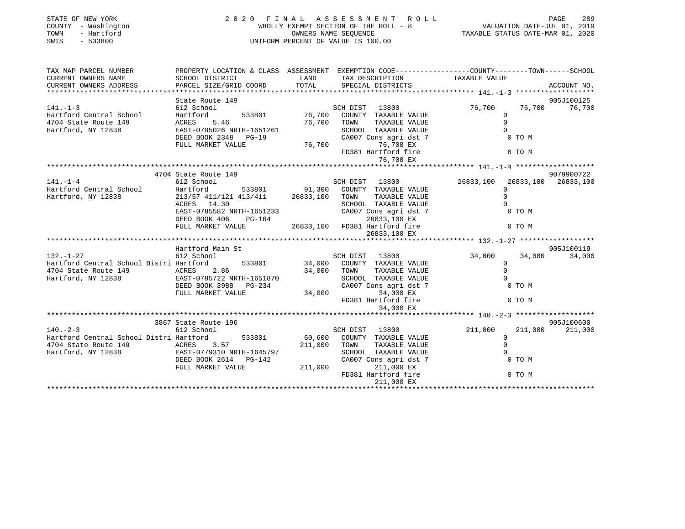| STATE OF NEW YORK<br>COUNTY - Washington<br>TOWN<br>- Hartford<br>SWIS<br>$-533800$                                                                           |                                                                                                                                                                                                          |                      | PAGE 289<br>WHOLLY EXEMPT SECTION OF THE ROLL - 8<br>WALUATION DATE-JUL 01, 2019<br>OWNERS NAME SEQUENCE<br>UNIFORM PERCENT OF VALUE IS 100.00<br>UNIFORM PERCENT OF VALUE IS 100.00<br>2020 FINAL ASSESSMENT ROLL |                                                                                                                |        |                     |
|---------------------------------------------------------------------------------------------------------------------------------------------------------------|----------------------------------------------------------------------------------------------------------------------------------------------------------------------------------------------------------|----------------------|--------------------------------------------------------------------------------------------------------------------------------------------------------------------------------------------------------------------|----------------------------------------------------------------------------------------------------------------|--------|---------------------|
| TAX MAP PARCEL NUMBER PROPERTY LOCATION & CLASS ASSESSMENT EXEMPTION CODE----------------COUNTY--------TOWN------SCHOOL                                       |                                                                                                                                                                                                          |                      |                                                                                                                                                                                                                    |                                                                                                                |        |                     |
| CURRENT OWNERS NAME<br>CURRENT OWNERS ADDRESS                                                                                                                 | SCHOOL DISTRICT<br>PARCEL SIZE/GRID COORD                                                                                                                                                                | <b>LAND</b><br>TOTAL | TAX DESCRIPTION<br>SERCIAL DISTRICTS<br>SPECIAL DISTRICTS                                                                                                                                                          |                                                                                                                |        | ACCOUNT NO.         |
|                                                                                                                                                               |                                                                                                                                                                                                          |                      |                                                                                                                                                                                                                    |                                                                                                                |        |                     |
|                                                                                                                                                               | State Route 149                                                                                                                                                                                          |                      |                                                                                                                                                                                                                    |                                                                                                                |        | 905J100125          |
| $141. - 1 - 3$                                                                                                                                                | 612 School                                                                                                                                                                                               |                      | SCH DIST 13800                                                                                                                                                                                                     | 76,700                                                                                                         |        | 76,700 76,700       |
| Hartford Central School Hartford 533801 76,700<br>4704 State Route 149 ACRES 5.46 76,700<br>Hartford, NY 12838 EAST-0785026 NRTH-1651261 DEED BOOK 2348 PG-19 |                                                                                                                                                                                                          |                      | 533801 76,700 COUNTY TAXABLE VALUE<br>76,700 TOWN TAXABLE VALUE                                                                                                                                                    | $\overline{0}$                                                                                                 |        |                     |
|                                                                                                                                                               |                                                                                                                                                                                                          |                      |                                                                                                                                                                                                                    | $\Omega$                                                                                                       |        |                     |
|                                                                                                                                                               |                                                                                                                                                                                                          |                      | CHOOL TAXABLE VALUE<br>CA007 Cons agri dst 7 0 TO M<br>76,700 EX<br>FD381 Hartford fire 0 TO M                                                                                                                     |                                                                                                                |        |                     |
|                                                                                                                                                               |                                                                                                                                                                                                          |                      |                                                                                                                                                                                                                    |                                                                                                                |        |                     |
|                                                                                                                                                               | FULL MARKET VALUE 76,700                                                                                                                                                                                 |                      |                                                                                                                                                                                                                    |                                                                                                                |        |                     |
|                                                                                                                                                               |                                                                                                                                                                                                          |                      |                                                                                                                                                                                                                    |                                                                                                                |        |                     |
|                                                                                                                                                               |                                                                                                                                                                                                          |                      |                                                                                                                                                                                                                    |                                                                                                                |        |                     |
|                                                                                                                                                               | 4704 State Route 149                                                                                                                                                                                     |                      |                                                                                                                                                                                                                    |                                                                                                                |        | 9079900722          |
| $141. - 1 - 4$                                                                                                                                                | 612 School                                                                                                                                                                                               |                      | SCH DIST 13800                                                                                                                                                                                                     | 26833,100                                                                                                      |        | 26833,100 26833,100 |
|                                                                                                                                                               |                                                                                                                                                                                                          |                      |                                                                                                                                                                                                                    | $\Omega$                                                                                                       |        |                     |
|                                                                                                                                                               |                                                                                                                                                                                                          |                      |                                                                                                                                                                                                                    | $\Omega$                                                                                                       |        |                     |
|                                                                                                                                                               |                                                                                                                                                                                                          |                      | SCHOOL TAXABLE VALUE                                                                                                                                                                                               | $\Omega$                                                                                                       |        |                     |
|                                                                                                                                                               | 213/5/ $411/121$ 11.<br>ACRES 14.30<br>EAST-0785582 NRTH-1651233<br>$22.121$ nd 164<br>EAST-0785582 NRTH-1651233<br>DEED BOOK 406 PG-164 26833,100 EX<br>FULL MARKET VALUE 26833,100 FD381 Hartford fire |                      |                                                                                                                                                                                                                    | $0$ TO M                                                                                                       |        |                     |
|                                                                                                                                                               |                                                                                                                                                                                                          |                      |                                                                                                                                                                                                                    |                                                                                                                |        |                     |
|                                                                                                                                                               |                                                                                                                                                                                                          |                      |                                                                                                                                                                                                                    |                                                                                                                | 0 TO M |                     |
|                                                                                                                                                               |                                                                                                                                                                                                          |                      | 26833,100 EX                                                                                                                                                                                                       |                                                                                                                |        |                     |
|                                                                                                                                                               | Hartford Main St                                                                                                                                                                                         |                      |                                                                                                                                                                                                                    |                                                                                                                |        | 905J100119          |
| $132. - 1 - 27$                                                                                                                                               |                                                                                                                                                                                                          |                      | SCH DIST 13800                                                                                                                                                                                                     | 34,000                                                                                                         | 34,000 | 34,000              |
| 132.-1-27 612 School 612 School SCH DIST 13800<br>Hartford Central School Distri Hartford 533801 34,000 COUNTY TAXABLE VALUE                                  |                                                                                                                                                                                                          |                      |                                                                                                                                                                                                                    | $\Omega$                                                                                                       |        |                     |
|                                                                                                                                                               |                                                                                                                                                                                                          | 34,000 TOWN          | TAXABLE VALUE                                                                                                                                                                                                      | $\circ$                                                                                                        |        |                     |
|                                                                                                                                                               |                                                                                                                                                                                                          |                      | SCHOOL TAXABLE VALUE                                                                                                                                                                                               |                                                                                                                |        |                     |
|                                                                                                                                                               | EAST-0785722 NRTH-1651870 SCHOOL<br>DEED BOOK 3988 PG-234 CA007 CONTRACT VALUE 34,000                                                                                                                    |                      | CA007 Cons agri dst 7<br>34,000 EX<br>FD381 Hartford fire 0 TO M                                                                                                                                                   |                                                                                                                |        |                     |
|                                                                                                                                                               |                                                                                                                                                                                                          |                      |                                                                                                                                                                                                                    |                                                                                                                |        |                     |
|                                                                                                                                                               |                                                                                                                                                                                                          |                      |                                                                                                                                                                                                                    |                                                                                                                |        |                     |
|                                                                                                                                                               |                                                                                                                                                                                                          |                      | 34,000 EX                                                                                                                                                                                                          |                                                                                                                |        |                     |
|                                                                                                                                                               | 3867 State Route 196                                                                                                                                                                                     |                      |                                                                                                                                                                                                                    |                                                                                                                |        | 905J100600          |
| $140. -2-3$                                                                                                                                                   | 612 School                                                                                                                                                                                               |                      | SCH DIST 13800                                                                                                                                                                                                     | 211,000                                                                                                        |        | 211,000 211,000     |
| Hartford Central School Distri Hartford 533801 60,600 COUNTY TAXABLE VALUE                                                                                    |                                                                                                                                                                                                          |                      |                                                                                                                                                                                                                    | $\Omega$                                                                                                       |        |                     |
|                                                                                                                                                               |                                                                                                                                                                                                          |                      |                                                                                                                                                                                                                    |                                                                                                                |        |                     |
| 4704 State Route 149 $ACRES$ 3.57 211,000 TOWN<br>Hartford, NY 12838 EAST-0779310 NRTH-1645797 211,000 TOWN<br>DEED BOOK 2614 PG-142 CA007 C                  |                                                                                                                                                                                                          |                      | SCHOOL TAXABLE VALUE                                                                                                                                                                                               | TAXABLE VALUE<br>TAXABLE VALUE<br>TAXABLE VALUE<br>ons agri dst 7 0 TO M<br>211,000 EX<br>Taxtford fire 0 TO M |        |                     |
|                                                                                                                                                               | DEED BOOK 2614    PG-142                                                                                                                                                                                 |                      | CA007 Cons agri dst 7                                                                                                                                                                                              |                                                                                                                |        |                     |
|                                                                                                                                                               | FULL MARKET VALUE                                                                                                                                                                                        | 211,000              |                                                                                                                                                                                                                    |                                                                                                                |        |                     |
|                                                                                                                                                               |                                                                                                                                                                                                          |                      | FD381 Hartford fire                                                                                                                                                                                                |                                                                                                                |        |                     |
|                                                                                                                                                               |                                                                                                                                                                                                          |                      | 211,000 EX                                                                                                                                                                                                         |                                                                                                                |        |                     |
|                                                                                                                                                               |                                                                                                                                                                                                          |                      |                                                                                                                                                                                                                    |                                                                                                                |        |                     |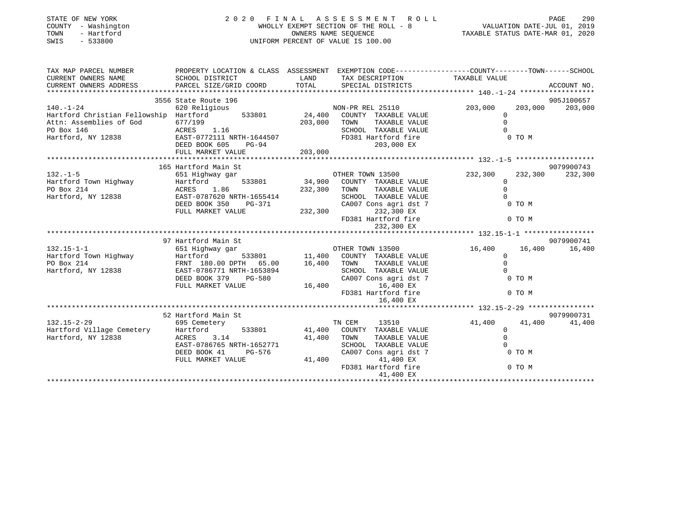| STATE OF NEW YORK<br>COUNTY - Washington<br>TOWN<br>- Hartford<br>SWIS<br>$-533800$                                                                                                                                                        |                                                                                                                      |             | 2020 FINAL ASSESSMENT ROLL<br>UNIFORM PERCENT OF VALUE IS 100.00 | PAGE 290<br>WHOLLY EXEMPT SECTION OF THE ROLL - 8<br>WHOLLY EXEMPT SECTION OF THE ROLL - 8<br>TAXABLE STATUS DATE-MAR 01, 2020<br>TAXABLE STATUS DATE-MAR 01, 2020 | PAGE<br>290     |
|--------------------------------------------------------------------------------------------------------------------------------------------------------------------------------------------------------------------------------------------|----------------------------------------------------------------------------------------------------------------------|-------------|------------------------------------------------------------------|--------------------------------------------------------------------------------------------------------------------------------------------------------------------|-----------------|
| TAX MAP PARCEL NUMBER<br>CURRENT OWNERS NAME                                                                                                                                                                                               | PROPERTY LOCATION & CLASS ASSESSMENT EXEMPTION CODE-----------------COUNTY-------TOWN------SCHOOL<br>SCHOOL DISTRICT | LAND        | TAX DESCRIPTION TAXABLE VALUE                                    |                                                                                                                                                                    |                 |
| CURRENT OWNERS ADDRESS                                                                                                                                                                                                                     | PARCEL SIZE/GRID COORD                                                                                               | TOTAL       | SPECIAL DISTRICTS                                                |                                                                                                                                                                    | ACCOUNT NO.     |
|                                                                                                                                                                                                                                            | 3556 State Route 196                                                                                                 |             |                                                                  |                                                                                                                                                                    | 905J100657      |
| $140. - 1 - 24$                                                                                                                                                                                                                            | 620 Religious                                                                                                        |             | NON-PR REL 25110                                                 | 203,000                                                                                                                                                            | 203,000 203,000 |
| Hartford Christian Fellowship Hartford<br>Attn: Assemblies of God 677/199 533801 24,400 COUNTY TAXABLE VALUE<br>203,000 TOWN TAXABLE VALUE                                                                                                 |                                                                                                                      |             |                                                                  | $\Omega$                                                                                                                                                           |                 |
| Attn: Assemblies of God                                                                                                                                                                                                                    | 677/199<br>ACRES 1.16                                                                                                |             |                                                                  | $\Omega$                                                                                                                                                           |                 |
| PO Box 146                                                                                                                                                                                                                                 | ACRES 1.16<br>EAST-0772111 NRTH-1644507<br>COLOREY DO-94                                                             |             | SCHOOL TAXABLE VALUE                                             |                                                                                                                                                                    |                 |
| Hartford, NY 12838                                                                                                                                                                                                                         |                                                                                                                      |             | FD381 Hartford fire                                              | 0 TO M                                                                                                                                                             |                 |
|                                                                                                                                                                                                                                            |                                                                                                                      |             | 203,000 EX                                                       |                                                                                                                                                                    |                 |
|                                                                                                                                                                                                                                            | FULL MARKET VALUE                                                                                                    | 203,000     |                                                                  |                                                                                                                                                                    |                 |
|                                                                                                                                                                                                                                            |                                                                                                                      |             |                                                                  |                                                                                                                                                                    |                 |
|                                                                                                                                                                                                                                            | 165 Hartford Main St                                                                                                 |             |                                                                  |                                                                                                                                                                    | 9079900743      |
| $132. - 1 - 5$                                                                                                                                                                                                                             |                                                                                                                      |             |                                                                  | $232,300$<br>0<br>0                                                                                                                                                | 232,300 232,300 |
|                                                                                                                                                                                                                                            |                                                                                                                      |             |                                                                  | $\overline{0}$                                                                                                                                                     |                 |
|                                                                                                                                                                                                                                            |                                                                                                                      |             |                                                                  |                                                                                                                                                                    |                 |
|                                                                                                                                                                                                                                            |                                                                                                                      |             |                                                                  |                                                                                                                                                                    |                 |
|                                                                                                                                                                                                                                            |                                                                                                                      |             |                                                                  | 0 TO M                                                                                                                                                             |                 |
| 132.-1-5<br>Hartford Town Highway Hartford 533801 34,900 COUNTY TAAABLE VALUE<br>PO Box 214<br>Hartford, NY 12838 EAST-0787620 NRTH-1655414 SCHOOL TAXABLE VALUE<br>DEED BOOK 350 PG-371 CA007 Cons agri dst 7<br>FULL MARKET VALUE<br>PUL |                                                                                                                      |             |                                                                  |                                                                                                                                                                    |                 |
|                                                                                                                                                                                                                                            |                                                                                                                      |             |                                                                  | 0 TO M                                                                                                                                                             |                 |
|                                                                                                                                                                                                                                            |                                                                                                                      |             | 232,300 EX                                                       |                                                                                                                                                                    |                 |
|                                                                                                                                                                                                                                            |                                                                                                                      |             |                                                                  |                                                                                                                                                                    | 9079900741      |
|                                                                                                                                                                                                                                            |                                                                                                                      |             |                                                                  | 16,400                                                                                                                                                             | 16,400 16,400   |
|                                                                                                                                                                                                                                            |                                                                                                                      |             |                                                                  | $\mathbf{0}$                                                                                                                                                       |                 |
|                                                                                                                                                                                                                                            |                                                                                                                      |             |                                                                  | $\Omega$                                                                                                                                                           |                 |
|                                                                                                                                                                                                                                            |                                                                                                                      |             |                                                                  |                                                                                                                                                                    |                 |
|                                                                                                                                                                                                                                            |                                                                                                                      |             |                                                                  | 0 TO M                                                                                                                                                             |                 |
|                                                                                                                                                                                                                                            | FULL MARKET VALUE                                                                                                    | 16,400      | $\frac{0.0007}{0.0007}$ Cons agri dst 7<br>16,400 EX             |                                                                                                                                                                    |                 |
|                                                                                                                                                                                                                                            |                                                                                                                      |             | FD381 Hartford fire                                              | 0 TO M                                                                                                                                                             |                 |
|                                                                                                                                                                                                                                            |                                                                                                                      |             | 16,400 EX                                                        |                                                                                                                                                                    |                 |
|                                                                                                                                                                                                                                            |                                                                                                                      |             |                                                                  |                                                                                                                                                                    |                 |
|                                                                                                                                                                                                                                            | 52 Hartford Main St                                                                                                  |             |                                                                  |                                                                                                                                                                    | 9079900731      |
| $132.15 - 2 - 29$                                                                                                                                                                                                                          | 695 Cemetery                                                                                                         |             | TN CEM<br>13510                                                  | 41,400 41,400 41,400                                                                                                                                               |                 |
|                                                                                                                                                                                                                                            |                                                                                                                      |             | 533801 41,400 COUNTY TAXABLE VALUE                               | $\overline{0}$                                                                                                                                                     |                 |
| Hartford Village Cemetery Hartford<br>Hartford, NY 12838 ACRES 3                                                                                                                                                                           | ACRES 3.14                                                                                                           | 41,400 TOWN | TAXABLE VALUE                                                    | $\Omega$                                                                                                                                                           |                 |
|                                                                                                                                                                                                                                            | EAST-0786765 NRTH-1652771                                                                                            |             | SCHOOL TAXABLE VALUE                                             |                                                                                                                                                                    |                 |
|                                                                                                                                                                                                                                            | DEED BOOK 41<br>PG-576                                                                                               |             | CA007 Cons agri dst 7                                            | $0 \tT0 M$ $0 \tT0 M$                                                                                                                                              |                 |
|                                                                                                                                                                                                                                            | FULL MARKET VALUE                                                                                                    | 41,400      | 41,400 EX                                                        |                                                                                                                                                                    |                 |
|                                                                                                                                                                                                                                            |                                                                                                                      |             | FD381 Hartford fire                                              |                                                                                                                                                                    |                 |
|                                                                                                                                                                                                                                            |                                                                                                                      |             | 41,400 EX                                                        |                                                                                                                                                                    |                 |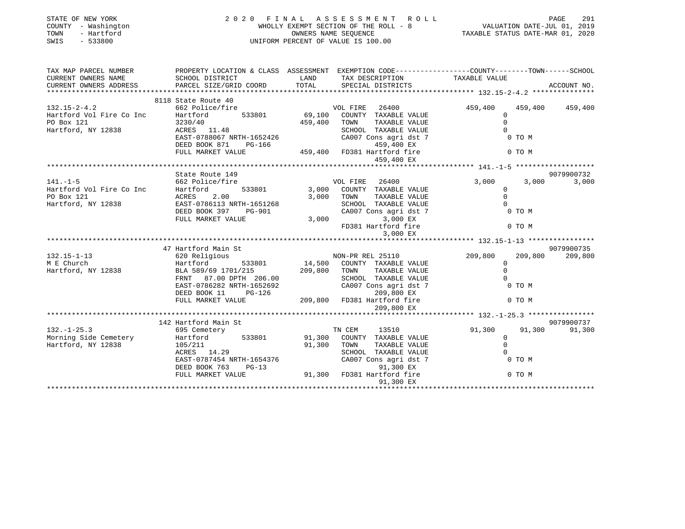| STATE OF NEW YORK<br>COUNTY - Washington<br>- Hartford<br>TOWN<br>SWIS<br>$-533800$                                                               |                                                                                                                                               |                         | FINAL ASSESSMENT ROLL<br>WHOLLY EXEMPT SECTION OF THE ROLL - 8<br>OWNERS NAME SEQUENCE<br>TAXABLE STATUS DATE-MAR 01, 2019<br>TAXABLE STATUS DATE-MAR 01, 2020<br>2020 FINAL ASSESSMENT ROLL<br>UNIFORM PERCENT OF VALUE IS 100.00 |                                                          |                 |
|---------------------------------------------------------------------------------------------------------------------------------------------------|-----------------------------------------------------------------------------------------------------------------------------------------------|-------------------------|------------------------------------------------------------------------------------------------------------------------------------------------------------------------------------------------------------------------------------|----------------------------------------------------------|-----------------|
| TAX MAP PARCEL NUMBER THE PROPERTY LOCATION & CLASS ASSESSMENT EXEMPTION CODE---------------COUNTY--------TOWN------SCHOOL<br>CURRENT OWNERS NAME | SCHOOL DISTRICT                                                                                                                               | LAND                    | TAX DESCRIPTION                                                                                                                                                                                                                    | TAXABLE VALUE                                            |                 |
| CURRENT OWNERS ADDRESS                                                                                                                            | PARCEL SIZE/GRID COORD                                                                                                                        | TOTAL                   | SPECIAL DISTRICTS                                                                                                                                                                                                                  |                                                          | ACCOUNT NO.     |
|                                                                                                                                                   | 8118 State Route 40                                                                                                                           |                         |                                                                                                                                                                                                                                    |                                                          |                 |
| $132.15 - 2 - 4.2$<br>Hartford Vol Fire Co Inc<br>PO Box 121                                                                                      | state noute 40<br>662 Police/fire<br>Hartford 533801<br>3230/40                                                                               | 459,400                 | VOL FIRE 26400<br>69,100 COUNTY TAXABLE VALUE<br>TOWN<br>TAXABLE VALUE                                                                                                                                                             | 459,400<br>$\overline{0}$<br>$\Omega$                    | 459,400 459,400 |
| Hartford, NY 12838                                                                                                                                | ACRES 11.48<br>EAST-0788067 NRTH-1652426<br>DEED BOOK 871 PG-166 459,400 FD381 Hartford fire<br>FULL MARKET VALUE 459,400 FD381 Hartford fire |                         | SCHOOL TAXABLE VALUE<br>CA007 Cons agri dst 7                                                                                                                                                                                      | $\Omega$<br>$0$ TO M                                     |                 |
|                                                                                                                                                   |                                                                                                                                               |                         | 459,400 EX                                                                                                                                                                                                                         | 0 TO M                                                   |                 |
|                                                                                                                                                   |                                                                                                                                               |                         |                                                                                                                                                                                                                                    |                                                          |                 |
|                                                                                                                                                   | State Route 149                                                                                                                               |                         |                                                                                                                                                                                                                                    |                                                          | 9079900732      |
| $141. - 1 - 5$<br>Hartford Vol Fire Co Inc<br>PO Box 121<br>Hartford, NY 12838                                                                    | 662 Police/fire<br>Hartford 533801<br>ACRES<br>2.00                                                                                           |                         | VOL FIRE 26400<br>3,000 COUNTY TAXABLE VALUE<br>3,000 TOWN<br>TAXABLE VALUE                                                                                                                                                        | 3,000<br>3,000<br>$\mathbf{0}$<br>$\Omega$               | 3,000           |
| Hartford, NY 12838                                                                                                                                | EAST-0786113 NRTH-1651268<br>DEED BOOK 397 PG-901                                                                                             | $\frac{1}{3}$ or        | SCHOOL TAXABLE VALUE<br>CA007 Cons agri dst 7                                                                                                                                                                                      | $\Omega$<br>0 TO M                                       |                 |
|                                                                                                                                                   | FULL MARKET VALUE                                                                                                                             |                         | 3,000 EX<br>3,000<br>FD381 Hartford fire<br>3,000 EX                                                                                                                                                                               | 0 TO M                                                   |                 |
|                                                                                                                                                   |                                                                                                                                               |                         |                                                                                                                                                                                                                                    |                                                          |                 |
|                                                                                                                                                   | 47 Hartford Main St                                                                                                                           |                         |                                                                                                                                                                                                                                    |                                                          | 9079900735      |
| $132.15 - 1 - 13$<br>M E Church                                                                                                                   | 620 Religious<br>Hartford<br>533801                                                                                                           |                         | NON-PR REL 25110<br>14,500 COUNTY TAXABLE VALUE                                                                                                                                                                                    | 209,800<br>209,800<br>$\Omega$                           | 209,800         |
| Hartford, NY 12838                                                                                                                                | BLA 589/69 1701/215 209,800 TOWN<br>FRNT 87.00 DPTH 206.00 SCHOC                                                                              |                         | TAXABLE VALUE<br>SCHOOL TAXABLE VALUE                                                                                                                                                                                              | $\mathbf{0}$<br>$\Omega$                                 |                 |
|                                                                                                                                                   | EAST-0786282 NRTH-1652692<br>DEED BOOK 11<br>PG-126                                                                                           |                         | CA007 Cons agri dst 7<br>209,800 EX                                                                                                                                                                                                | $0$ TO M                                                 |                 |
|                                                                                                                                                   | FULL MARKET VALUE                                                                                                                             |                         | 209,800 FD381 Hartford fire<br>209,800 EX                                                                                                                                                                                          | 0 TO M                                                   |                 |
|                                                                                                                                                   |                                                                                                                                               |                         |                                                                                                                                                                                                                                    |                                                          |                 |
|                                                                                                                                                   | 142 Hartford Main St                                                                                                                          |                         |                                                                                                                                                                                                                                    |                                                          | 9079900737      |
| $132. - 1 - 25.3$<br>Morning Side Cemetery<br>Hartford, NY 12838                                                                                  | 695 Cemetery<br>Hartford<br>105/211<br>ACRES 14.29                                                                                            | 533801 91,300<br>91,300 | TN CEM<br>13510<br>COUNTY TAXABLE VALUE<br>TOWN<br>TAXABLE VALUE<br>SCHOOL TAXABLE VALUE                                                                                                                                           | 91,300<br>91,300<br>$\Omega$<br>$\mathbf{0}$<br>$\Omega$ | 91,300          |
|                                                                                                                                                   | EAST-0787454 NRTH-1654376 CA007 Cons agri dst 7<br>DEED BOOK 763 PG-13 91,300 EX<br>FULL MARKET VALUE 91,300 FD381 Hartford fire              |                         |                                                                                                                                                                                                                                    | 0 TO M<br>$7$ $$\tt 0~TO~M$$ $$\tt 0~TO~M$$              |                 |
|                                                                                                                                                   |                                                                                                                                               |                         | 91,300 EX                                                                                                                                                                                                                          |                                                          |                 |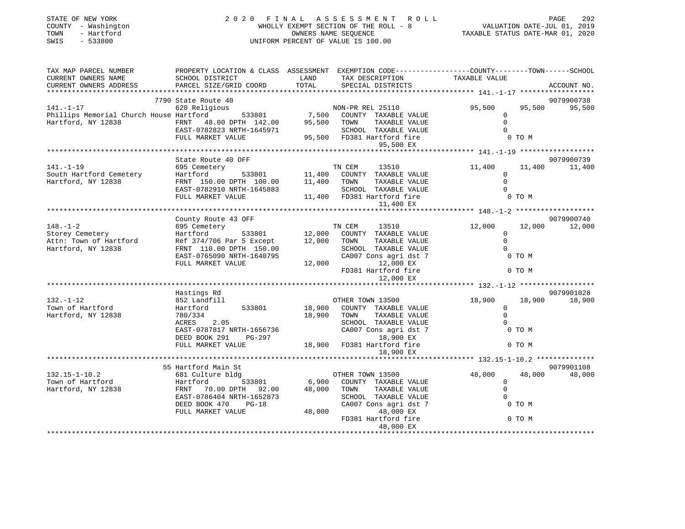| STATE OF NEW YORK<br>COUNTY - Washington<br>- Hartford<br>TOWN<br>SWIS<br>$-533800$                                                                                                                                             | 2020 FINAL ASSESSMENT ROLL<br>UNIFORM PERCENT OF VALUE IS 100.00 |                             |                                                                                                                                        | PAGE<br>292<br>rAGE<br>1, 2019 VALUATION DATE-JUL<br>2020 TAXABLE STATUS DATE-MAR<br>WHOLLY EXEMPT SECTION OF THE ROLL - 8<br>OWNERS NAME SEQUENCE |                             |  |  |
|---------------------------------------------------------------------------------------------------------------------------------------------------------------------------------------------------------------------------------|------------------------------------------------------------------|-----------------------------|----------------------------------------------------------------------------------------------------------------------------------------|----------------------------------------------------------------------------------------------------------------------------------------------------|-----------------------------|--|--|
| TAX MAP PARCEL NUMBER<br>CURRENT OWNERS NAME<br>CURRENT OWNERS ADDRESS                                                                                                                                                          | SCHOOL DISTRICT<br>PARCEL SIZE/GRID COORD                        | LAND<br>TOTAL               | PROPERTY LOCATION & CLASS ASSESSMENT EXEMPTION CODE---------------COUNTY-------TOWN-----SCHOOL<br>TAX DESCRIPTION<br>SPECIAL DISTRICTS | TAXABLE VALUE                                                                                                                                      | ACCOUNT NO.                 |  |  |
| ***********************                                                                                                                                                                                                         |                                                                  |                             |                                                                                                                                        |                                                                                                                                                    |                             |  |  |
|                                                                                                                                                                                                                                 | 7790 State Route 40                                              |                             |                                                                                                                                        |                                                                                                                                                    | 9079900738                  |  |  |
|                                                                                                                                                                                                                                 |                                                                  |                             |                                                                                                                                        | 95,500<br>$\Omega$                                                                                                                                 | 95,500<br>95,500            |  |  |
| 141.-1-17<br>FRI 25110<br>Phillips Memorial Church House Hartford<br>FRNT 48.00 DPTH 142.00<br>FRNT 48.00 DPTH 142.00<br>FRNT 48.00 DPTH 142.00<br>FRNT 48.00 DPTH 142.00<br>FRNT 142.00<br>FRNT 142.00<br>COUNTY TAXABLE VALUE | EAST-0782823 NRTH-1645971                                        |                             | TAXABLE VALUE<br>SCHOOL TAXABLE VALUE                                                                                                  | $\mathbf 0$<br>$\Omega$                                                                                                                            |                             |  |  |
|                                                                                                                                                                                                                                 | FULL MARKET VALUE                                                |                             | 95,500 FD381 Hartford fire                                                                                                             | $0$ TO M                                                                                                                                           |                             |  |  |
|                                                                                                                                                                                                                                 |                                                                  |                             | 95,500 EX                                                                                                                              |                                                                                                                                                    |                             |  |  |
|                                                                                                                                                                                                                                 | State Route 40 OFF                                               |                             |                                                                                                                                        |                                                                                                                                                    | 9079900739                  |  |  |
| $141. - 1 - 19$                                                                                                                                                                                                                 | 695 Cemetery                                                     |                             | TN CEM 13510                                                                                                                           | 11,400                                                                                                                                             | 11,400 11,400               |  |  |
| South Hartford Cemetery                                                                                                                                                                                                         | 11,400 COUNTY<br>FRNT 150.00 DPTH 100.00 11,400 TOWN             |                             | COUNTY TAXABLE VALUE                                                                                                                   | $\overline{0}$                                                                                                                                     |                             |  |  |
| Hartford, NY 12838                                                                                                                                                                                                              |                                                                  |                             | TAXABLE VALUE                                                                                                                          | $\mathbf 0$                                                                                                                                        |                             |  |  |
|                                                                                                                                                                                                                                 | EAST-0782910 NRTH-1645883                                        |                             | SCHOOL TAXABLE VALUE<br>11,400 FD381 Hartford fire                                                                                     | $\Omega$                                                                                                                                           |                             |  |  |
|                                                                                                                                                                                                                                 | FULL MARKET VALUE                                                |                             | 11,400 EX                                                                                                                              | 0 TO M                                                                                                                                             |                             |  |  |
|                                                                                                                                                                                                                                 |                                                                  |                             |                                                                                                                                        |                                                                                                                                                    |                             |  |  |
|                                                                                                                                                                                                                                 | County Route 43 OFF                                              |                             |                                                                                                                                        |                                                                                                                                                    | 9079900740                  |  |  |
| $148. - 1 - 2$                                                                                                                                                                                                                  | 695 Cemetery                                                     |                             | TN CEM<br>13510                                                                                                                        | 12,000<br>12,000                                                                                                                                   | 12,000                      |  |  |
| Storey Cemetery                                                                                                                                                                                                                 | 533801<br>Hartford                                               | 12,000 COUNT<br>12,000 TOWN | COUNTY TAXABLE VALUE                                                                                                                   | $\overline{0}$                                                                                                                                     |                             |  |  |
| Attn: Town of Hartford<br>Hartford, NY 12838                                                                                                                                                                                    | Ref 374/706 Par 5 Except<br>FRNT 110.00 DPTH 150.00              |                             | TAXABLE VALUE<br>SCHOOL TAXABLE VALUE                                                                                                  | $\Omega$<br>$\Omega$                                                                                                                               |                             |  |  |
|                                                                                                                                                                                                                                 | EAST-0765090 NRTH-1640795                                        |                             | CA007 Cons agri dst 7                                                                                                                  | 0 TO M                                                                                                                                             |                             |  |  |
|                                                                                                                                                                                                                                 | FULL MARKET VALUE                                                |                             | 12,000 12,000 EX                                                                                                                       |                                                                                                                                                    |                             |  |  |
|                                                                                                                                                                                                                                 |                                                                  |                             | FD381 Hartford fire                                                                                                                    | 0 TO M                                                                                                                                             |                             |  |  |
|                                                                                                                                                                                                                                 |                                                                  |                             | 12,000 EX                                                                                                                              |                                                                                                                                                    |                             |  |  |
|                                                                                                                                                                                                                                 |                                                                  |                             |                                                                                                                                        |                                                                                                                                                    |                             |  |  |
| $132. - 1 - 12$                                                                                                                                                                                                                 | Hastings Rd<br>852 Landfill                                      |                             | OTHER TOWN 13500                                                                                                                       | 18,900                                                                                                                                             | 9079901028<br>18,900 18,900 |  |  |
| Town of Hartford                                                                                                                                                                                                                | 533801<br>Hartford                                               | 18,900                      | COUNTY TAXABLE VALUE                                                                                                                   | $\overline{0}$                                                                                                                                     |                             |  |  |
| Hartford, NY 12838                                                                                                                                                                                                              | 780/334                                                          | 18,900                      | TAXABLE VALUE<br>TOWN                                                                                                                  | $\mathbf 0$                                                                                                                                        |                             |  |  |
|                                                                                                                                                                                                                                 | ACRES 2.05                                                       |                             | SCHOOL TAXABLE VALUE                                                                                                                   | $\Omega$                                                                                                                                           |                             |  |  |
|                                                                                                                                                                                                                                 | EAST-0787817 NRTH-1656736                                        |                             | CA007 Cons agri dst 7                                                                                                                  | 0 TO M                                                                                                                                             |                             |  |  |
|                                                                                                                                                                                                                                 | DEED BOOK 291 PG-297                                             |                             | 18,900 EX                                                                                                                              |                                                                                                                                                    |                             |  |  |
|                                                                                                                                                                                                                                 | FULL MARKET VALUE                                                |                             | 18,900 FD381 Hartford fire<br>18,900 EX                                                                                                | 0 TO M                                                                                                                                             |                             |  |  |
|                                                                                                                                                                                                                                 |                                                                  |                             |                                                                                                                                        |                                                                                                                                                    |                             |  |  |
|                                                                                                                                                                                                                                 | 55 Hartford Main St                                              |                             |                                                                                                                                        |                                                                                                                                                    | 9079901108                  |  |  |
| $132.15 - 1 - 10.2$                                                                                                                                                                                                             | 681 Culture bldg                                                 |                             | OTHER TOWN 13500                                                                                                                       | 48,000<br>48,000                                                                                                                                   | 48,000                      |  |  |
| Town of Hartford                                                                                                                                                                                                                | Hartford<br>Hartford<br>FRNT 70                                  | $533801$ 6,900              | COUNTY TAXABLE VALUE                                                                                                                   | $\overline{0}$                                                                                                                                     |                             |  |  |
| Hartford, NY 12838                                                                                                                                                                                                              | FRNT 70.00 DPTH 92.00                                            | 48,000                      | TAXABLE VALUE<br>TOWN                                                                                                                  | $\mathbf 0$                                                                                                                                        |                             |  |  |
|                                                                                                                                                                                                                                 | EAST-0786404 NRTH-1652873<br>DEED BOOK 470<br>$PG-18$            |                             | SCHOOL TAXABLE VALUE<br>CA007 Cons agri dst 7                                                                                          | 0 TO M                                                                                                                                             |                             |  |  |
|                                                                                                                                                                                                                                 | FULL MARKET VALUE                                                |                             | 48,000<br>48,000 EX                                                                                                                    |                                                                                                                                                    |                             |  |  |
|                                                                                                                                                                                                                                 |                                                                  |                             | FD381 Hartford fire                                                                                                                    | 0 TO M                                                                                                                                             |                             |  |  |
|                                                                                                                                                                                                                                 |                                                                  |                             | 48,000 EX                                                                                                                              |                                                                                                                                                    |                             |  |  |
|                                                                                                                                                                                                                                 |                                                                  |                             |                                                                                                                                        |                                                                                                                                                    |                             |  |  |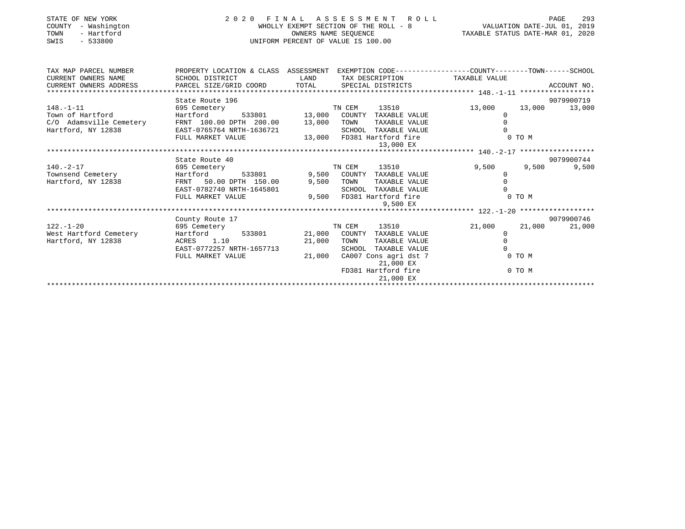| STATE OF NEW YORK<br>COUNTY<br>- Washington<br>- Hartford<br>TOWN<br>$-533800$<br>SWIS | 2020 FINAL ASSESSMENT ROLL<br>UNIFORM PERCENT OF VALUE IS 100.00                                        | FINAL ASSESSMENT ROLL<br>WHOLLY EXEMPT SECTION OF THE ROLL - 8<br>OWNERS NAME SEQUENCE TAXABLE STATUS DATE-MAR 01, 2020 | PAGE<br>293                           |                  |                |  |  |
|----------------------------------------------------------------------------------------|---------------------------------------------------------------------------------------------------------|-------------------------------------------------------------------------------------------------------------------------|---------------------------------------|------------------|----------------|--|--|
| TAX MAP PARCEL NUMBER                                                                  | PROPERTY LOCATION & CLASS ASSESSMENT EXEMPTION CODE----------------COUNTY-------TOWN------SCHOOL        |                                                                                                                         |                                       |                  |                |  |  |
| CURRENT OWNERS NAME                                                                    | SCHOOL DISTRICT                                                                                         | <b>LAND</b>                                                                                                             | TAX DESCRIPTION TAXABLE VALUE         |                  |                |  |  |
| CURRENT OWNERS ADDRESS                                                                 | PARCEL SIZE/GRID COORD TOTAL SPECIAL DISTRICTS                                                          |                                                                                                                         |                                       |                  | ACCOUNT NO.    |  |  |
|                                                                                        | State Route 196                                                                                         |                                                                                                                         |                                       |                  | 9079900719     |  |  |
| $148. - 1 - 11$                                                                        | 695 Cemetery                                                                                            |                                                                                                                         | TN CEM<br>13510                       | 13,000           | 13,000 13,000  |  |  |
| Town of Hartford                                                                       | Hartford                                                                                                |                                                                                                                         | 533801 13,000 COUNTY TAXABLE VALUE    | 0                |                |  |  |
| Town of Hartford<br>C/O Adamsville Cemetery                                            | FRNT 100.00 DPTH 200.00 13,000                                                                          |                                                                                                                         | TAXABLE VALUE<br>TOWN                 | $\Omega$         |                |  |  |
| Hartford, NY 12838                                                                     | EAST-0765764 NRTH-1636721<br>EAST-0765764 NRTH-1636721<br>FIILL MARKET VALUE 13,000 FD381 Hartford fire |                                                                                                                         |                                       |                  |                |  |  |
|                                                                                        |                                                                                                         |                                                                                                                         |                                       | $0$ TO M         |                |  |  |
|                                                                                        |                                                                                                         |                                                                                                                         | 13,000 EX                             |                  |                |  |  |
|                                                                                        |                                                                                                         |                                                                                                                         |                                       |                  |                |  |  |
|                                                                                        | State Route 40                                                                                          |                                                                                                                         |                                       |                  | 9079900744     |  |  |
| $140. -2 - 17$<br>695 Cemetery                                                         |                                                                                                         |                                                                                                                         | TN CEM<br>13510                       | 9,500            | 9,500<br>9,500 |  |  |
| Townsend Cemetery                                                                      | Hartford 533801 9,500 COUNTY TAXABLE VALUE                                                              |                                                                                                                         |                                       | $\Omega$         |                |  |  |
| Hartford, NY 12838                                                                     | FRNT 50.00 DPTH 150.00                                                                                  | 9,500 TOWN                                                                                                              | TAXABLE VALUE                         | $\Omega$         |                |  |  |
|                                                                                        | EAST-0782740 NRTH-1645801                                                                               |                                                                                                                         | SCHOOL TAXABLE VALUE                  |                  |                |  |  |
|                                                                                        | FULL MARKET VALUE                                                                                       |                                                                                                                         | 9,500 FD381 Hartford fire<br>9,500 EX | 0 TO M           |                |  |  |
|                                                                                        |                                                                                                         |                                                                                                                         |                                       |                  |                |  |  |
|                                                                                        | County Route 17                                                                                         |                                                                                                                         |                                       |                  | 9079900746     |  |  |
| $122. - 1 - 20$                                                                        | 695 Cemetery                                                                                            |                                                                                                                         | 13510<br>TN CEM                       | 21,000<br>21,000 | 21,000         |  |  |
| West Hartford Cemetery                                                                 | Hartford 533801 21,000 COUNTY TAXABLE VALUE                                                             |                                                                                                                         |                                       | $\Omega$         |                |  |  |
| Hartford, NY 12838                                                                     | ACRES 1.10                                                                                              | 21,000                                                                                                                  | TOWN<br>TAXABLE VALUE                 | $\Omega$         |                |  |  |
|                                                                                        | EAST-0772257 NRTH-1657713                                                                               |                                                                                                                         | SCHOOL TAXABLE VALUE                  |                  |                |  |  |
|                                                                                        | FULL MARKET VALUE                                                                                       | 21,000                                                                                                                  | CA007 Cons agri dst 7<br>21,000 EX    | 0 TO M           |                |  |  |
|                                                                                        |                                                                                                         |                                                                                                                         | FD381 Hartford fire<br>21,000 EX      | 0 TO M           |                |  |  |
|                                                                                        |                                                                                                         |                                                                                                                         |                                       |                  |                |  |  |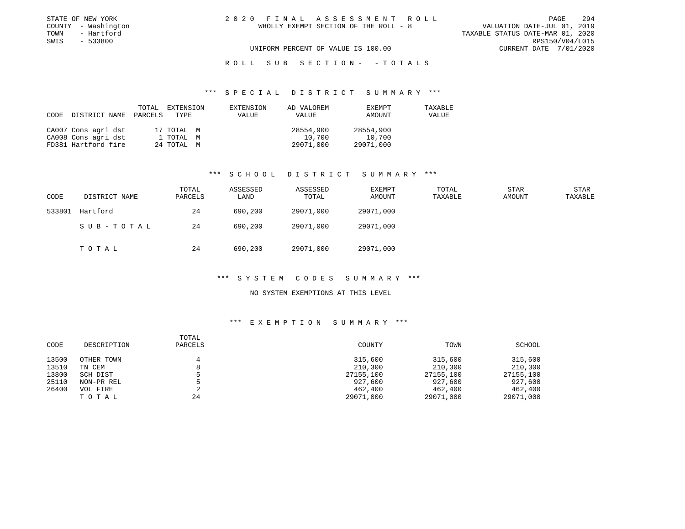|  | 0 FINAL ASSESSMENT ROLL               |  |                                  |                        | PAGE | 294 |
|--|---------------------------------------|--|----------------------------------|------------------------|------|-----|
|  | WHOLLY EXEMPT SECTION OF THE ROLL - 8 |  | VALUATION DATE-JUL 01, 2019      |                        |      |     |
|  |                                       |  | TAXABLE STATUS DATE-MAR 01, 2020 |                        |      |     |
|  |                                       |  |                                  | RPS150/V04/L015        |      |     |
|  | UNIFORM PERCENT OF VALUE IS 100.00    |  |                                  | CURRENT DATE 7/01/2020 |      |     |

ROLL SUB SECTION - - TOTALS

## \*\*\* S P E C I A L D I S T R I C T S U M M A R Y \*\*\*

| CODE DISTRICT NAME PARCELS TYPE | TOTAL | EXTENSION  | EXTENSION<br><b>VALUE</b> | AD VALOREM<br>VALUE | EXEMPT<br>AMOUNT | TAXABLE<br>VALUE |
|---------------------------------|-------|------------|---------------------------|---------------------|------------------|------------------|
| CA007 Cons agri dst             |       | 17 TOTAL M |                           | 28554,900           | 28554,900        |                  |
| CA008 Cons agri dst             |       | 1 TOTAL M  |                           | 10,700              | 10,700           |                  |
| FD381 Hartford fire             |       | 24 TOTAL M |                           | 29071,000           | 29071,000        |                  |

## \*\*\* S C H O O L D I S T R I C T S U M M A R Y \*\*\*

| CODE   | DISTRICT NAME | TOTAL<br>PARCELS | ASSESSED<br>LAND | ASSESSED<br>TOTAL | EXEMPT<br>AMOUNT | TOTAL<br>TAXABLE | <b>STAR</b><br>AMOUNT | STAR<br>TAXABLE |
|--------|---------------|------------------|------------------|-------------------|------------------|------------------|-----------------------|-----------------|
| 533801 | Hartford      | 24               | 690,200          | 29071,000         | 29071,000        |                  |                       |                 |
|        | SUB-TOTAL     | 24               | 690,200          | 29071,000         | 29071,000        |                  |                       |                 |
|        | TOTAL         | 24               | 690,200          | 29071,000         | 29071,000        |                  |                       |                 |

## \*\*\* S Y S T E M C O D E S S U M M A R Y \*\*\*

## NO SYSTEM EXEMPTIONS AT THIS LEVEL

| CODE  | DESCRIPTION | TOTAL<br>PARCELS | COUNTY    | TOWN      | SCHOOL    |
|-------|-------------|------------------|-----------|-----------|-----------|
| 13500 | OTHER TOWN  | 4                | 315,600   | 315,600   | 315,600   |
| 13510 | TN CEM      | 8                | 210,300   | 210,300   | 210,300   |
| 13800 | SCH DIST    |                  | 27155,100 | 27155,100 | 27155,100 |
| 25110 | NON-PR REL  |                  | 927,600   | 927,600   | 927,600   |
| 26400 | VOL FIRE    |                  | 462,400   | 462,400   | 462,400   |
|       | TOTAL       | 24               | 29071,000 | 29071,000 | 29071,000 |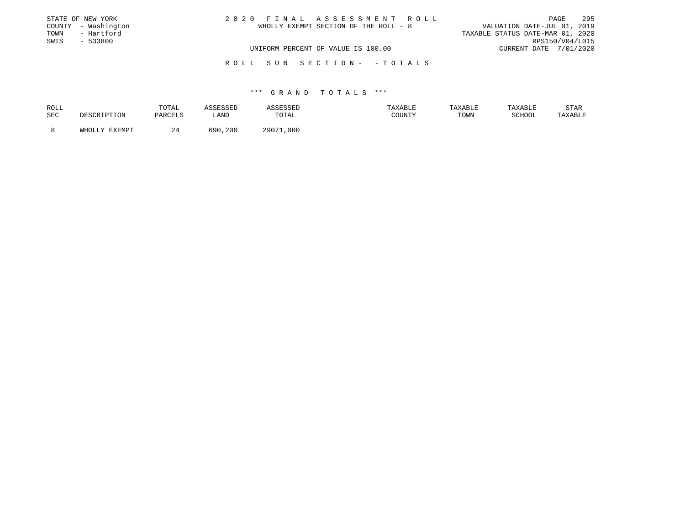|      | STATE OF NEW YORK   | 2020 FINAL ASSESSMENT ROLL            | 295<br>PAGE                      |
|------|---------------------|---------------------------------------|----------------------------------|
|      | COUNTY - Washington | WHOLLY EXEMPT SECTION OF THE ROLL - 8 | VALUATION DATE-JUL 01, 2019      |
| TOWN | - Hartford          |                                       | TAXABLE STATUS DATE-MAR 01, 2020 |
| SWIS | $-533800$           |                                       | RPS150/V04/L015                  |
|      |                     | UNIFORM PERCENT OF VALUE IS 100.00    | CURRENT DATE 7/01/2020           |
|      |                     |                                       |                                  |

R O L L S U B S E C T I O N - - T O T A L S

## \*\*\* G R A N D T O T A L S \*\*\*

| ROLL | TOTAL    |               |             | <b>AXABLF</b> | TAXABLE | TAXABLE         | STAR    |
|------|----------|---------------|-------------|---------------|---------|-----------------|---------|
| SEC  | DARCFI.S | ∟AND          | TOTAL       | COUNTY        | TOWN    | COTTOOT<br>LUUL | 'AXABLE |
|      |          | 5 Q ∩<br>.200 | つののワ<br>000 |               |         |                 |         |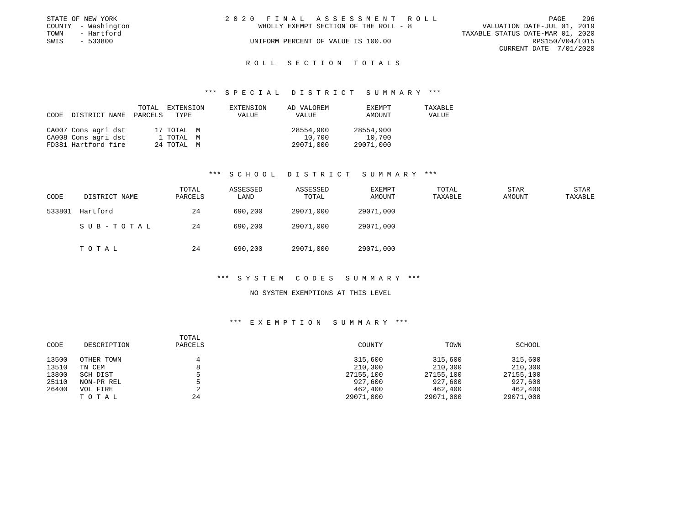|      | STATE OF NEW YORK   | 2020 FINAL ASSESSMENT ROLL            | 296<br><b>PAGE</b>               |
|------|---------------------|---------------------------------------|----------------------------------|
|      | COUNTY - Washington | WHOLLY EXEMPT SECTION OF THE ROLL - 8 | VALUATION DATE-JUL 01, 2019      |
| TOWN | - Hartford          |                                       | TAXABLE STATUS DATE-MAR 01, 2020 |
| SWIS | $-533800$           | UNIFORM PERCENT OF VALUE IS 100.00    | RPS150/V04/L015                  |
|      |                     |                                       | CURRENT DATE 7/01/2020           |

# ROLL SECTION TOTALS

## \*\*\* S P E C I A L D I S T R I C T S U M M A R Y \*\*\*

| CODE | DISTRICT NAME       | TOTAL<br>PARCELS | EXTENSION<br>TYPE | EXTENSION<br>VALUE | AD VALOREM<br>VALUE | EXEMPT<br>AMOUNT | TAXABLE<br>VALUE |
|------|---------------------|------------------|-------------------|--------------------|---------------------|------------------|------------------|
|      | CA007 Cons agri dst |                  | 17 TOTAL M        |                    | 28554,900           | 28554,900        |                  |
|      | CA008 Cons agri dst |                  | 1 TOTAL M         |                    | 10,700              | 10,700           |                  |
|      | FD381 Hartford fire |                  | 24 TOTAL M        |                    | 29071,000           | 29071,000        |                  |

## \*\*\* S C H O O L D I S T R I C T S U M M A R Y \*\*\*

| CODE   | DISTRICT NAME | TOTAL<br>PARCELS | ASSESSED<br>LAND | ASSESSED<br>TOTAL | EXEMPT<br>AMOUNT | TOTAL<br>TAXABLE | STAR<br>AMOUNT | STAR<br>TAXABLE |
|--------|---------------|------------------|------------------|-------------------|------------------|------------------|----------------|-----------------|
| 533801 | Hartford      | 24               | 690,200          | 29071,000         | 29071,000        |                  |                |                 |
|        | SUB-TOTAL     | 24               | 690,200          | 29071,000         | 29071,000        |                  |                |                 |
|        | TOTAL         | 24               | 690,200          | 29071,000         | 29071,000        |                  |                |                 |

## \*\*\* S Y S T E M C O D E S S U M M A R Y \*\*\*

## NO SYSTEM EXEMPTIONS AT THIS LEVEL

| CODE  | DESCRIPTION | TOTAL<br>PARCELS | COUNTY    | TOWN      | SCHOOL    |
|-------|-------------|------------------|-----------|-----------|-----------|
| 13500 | OTHER TOWN  | 4                | 315,600   | 315,600   | 315,600   |
| 13510 | TN CEM      | 8                | 210,300   | 210,300   | 210,300   |
| 13800 | SCH DIST    |                  | 27155,100 | 27155,100 | 27155,100 |
| 25110 | NON-PR REL  |                  | 927,600   | 927,600   | 927,600   |
| 26400 | VOL FIRE    | 2                | 462,400   | 462,400   | 462,400   |
|       | тотаь       | 24               | 29071,000 | 29071,000 | 29071,000 |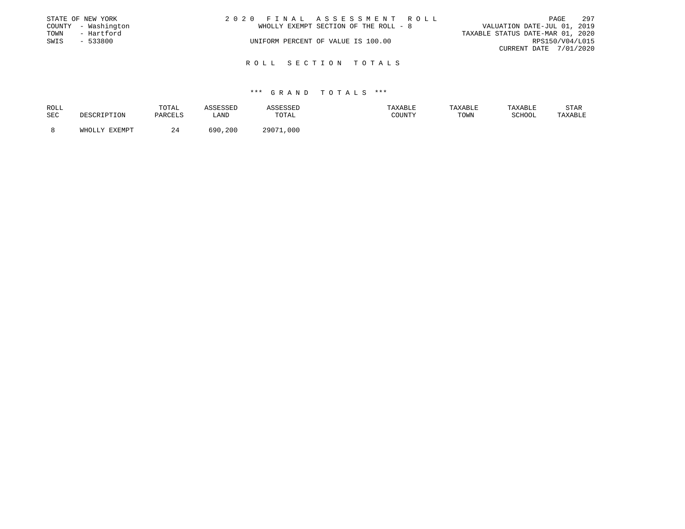|      | STATE OF NEW YORK   | 2020 FINAL ASSESSMENT ROLL |                                       |                                  |                        | PAGE | - 297 |
|------|---------------------|----------------------------|---------------------------------------|----------------------------------|------------------------|------|-------|
|      | COUNTY - Washington |                            | WHOLLY EXEMPT SECTION OF THE ROLL - 8 | VALUATION DATE-JUL 01, 2019      |                        |      |       |
| TOWN | - Hartford          |                            |                                       | TAXABLE STATUS DATE-MAR 01, 2020 |                        |      |       |
| SWIS | - 533800            |                            | UNIFORM PERCENT OF VALUE IS 100.00    |                                  | RPS150/V04/L015        |      |       |
|      |                     |                            |                                       |                                  | CURRENT DATE 7/01/2020 |      |       |
|      |                     |                            |                                       |                                  |                        |      |       |

## R O L L S E C T I O N T O T A L S

## \*\*\* G R A N D T O T A L S \*\*\*

| ROLL |                  | TOTAL       |            |                | AXABLE                    | דם ה־עיר | דם רד איח. | STAR    |
|------|------------------|-------------|------------|----------------|---------------------------|----------|------------|---------|
| SEC  |                  | דסראם ה     | LAND       | TOTAL          | CCTINTEM<br>- - - - - - - | TOWN     | COTTOO"    | 'AXABLE |
|      |                  |             |            |                |                           |          |            |         |
|      | TTT <sub>0</sub> | <u>. . </u> | 690<br>200 | ר ה ה ר<br>000 |                           |          |            |         |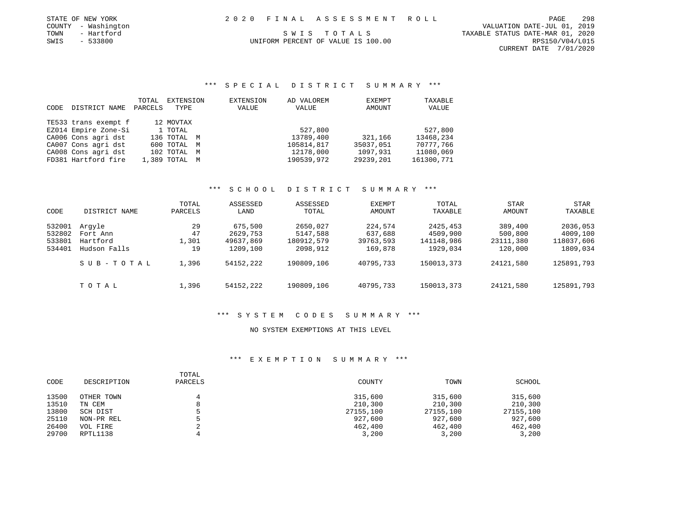|      | STATE OF NEW YORK   |  | 2020 FINAL ASSESSMENT ROLL         | PAGE                             | 298 |
|------|---------------------|--|------------------------------------|----------------------------------|-----|
|      | COUNTY - Washington |  |                                    | VALUATION DATE-JUL 01, 2019      |     |
| TOWN | - Hartford          |  | SWIS TOTALS                        | TAXABLE STATUS DATE-MAR 01, 2020 |     |
| SWIS | $-533800$           |  | UNIFORM PERCENT OF VALUE IS 100.00 | RPS150/V04/L015                  |     |

CURRENT DATE 7/01/2020

# \*\*\* S P E C I A L D I S T R I C T S U M M A R Y \*\*\*

| <b>CODE</b> | DISTRICT NAME        | TOTAL<br>PARCELS | EXTENSION<br>TYPE | <b>EXTENSION</b><br>VALUE | AD VALOREM<br>VALUE | EXEMPT<br>AMOUNT | TAXABLE<br>VALUE |
|-------------|----------------------|------------------|-------------------|---------------------------|---------------------|------------------|------------------|
|             | TE533 trans exempt f |                  | 12 MOVTAX         |                           |                     |                  |                  |
|             | EZ014 Empire Zone-Si |                  | 1 TOTAL           |                           | 527,800             |                  | 527,800          |
|             | CA006 Cons agri dst  |                  | 136 TOTAL M       |                           | 13789,400           | 321,166          | 13468,234        |
|             | CA007 Cons agri dst  |                  | 600 TOTAL M       |                           | 105814,817          | 35037,051        | 70777,766        |
|             | CA008 Cons agri dst  |                  | 102 TOTAL M       |                           | 12178,000           | 1097,931         | 11080,069        |
|             | FD381 Hartford fire  |                  | 1,389 TOTAL M     |                           | 190539,972          | 29239,201        | 161300,771       |

# \*\*\* S C H O O L D I S T R I C T S U M M A R Y \*\*\*

| CODE   | DISTRICT NAME | TOTAL<br>PARCELS | ASSESSED<br>LAND | ASSESSED<br>TOTAL | EXEMPT<br>AMOUNT | TOTAL<br>TAXABLE | STAR<br>AMOUNT | STAR<br>TAXABLE |
|--------|---------------|------------------|------------------|-------------------|------------------|------------------|----------------|-----------------|
| 532001 | Arqyle        | 29               | 675,500          | 2650,027          | 224,574          | 2425,453         | 389,400        | 2036,053        |
| 532802 | Fort Ann      | 47               | 2629,753         | 5147,588          | 637,688          | 4509,900         | 500,800        | 4009,100        |
| 533801 | Hartford      | 1,301            | 49637,869        | 180912,579        | 39763,593        | 141148,986       | 23111,380      | 118037,606      |
| 534401 | Hudson Falls  | 19               | 1209,100         | 2098,912          | 169,878          | 1929,034         | 120,000        | 1809,034        |
|        | SUB-TOTAL     | 1,396            | 54152,222        | 190809,106        | 40795,733        | 150013,373       | 24121,580      | 125891,793      |
|        | TOTAL         | 1,396            | 54152,222        | 190809,106        | 40795,733        | 150013,373       | 24121,580      | 125891,793      |

# \*\*\* S Y S T E M C O D E S S U M M A R Y \*\*\*

## NO SYSTEM EXEMPTIONS AT THIS LEVEL

| CODE  | DESCRIPTION | TOTAL<br>PARCELS | COUNTY    | TOWN      | SCHOOL    |
|-------|-------------|------------------|-----------|-----------|-----------|
| 13500 | OTHER TOWN  |                  | 315,600   | 315,600   | 315,600   |
| 13510 | TN CEM      |                  | 210,300   | 210,300   | 210,300   |
| 13800 | SCH DIST    |                  | 27155,100 | 27155,100 | 27155,100 |
| 25110 | NON-PR REL  |                  | 927,600   | 927,600   | 927,600   |
| 26400 | VOL FIRE    |                  | 462,400   | 462,400   | 462,400   |
| 29700 | RPTL1138    |                  | 3,200     | 3,200     | 3,200     |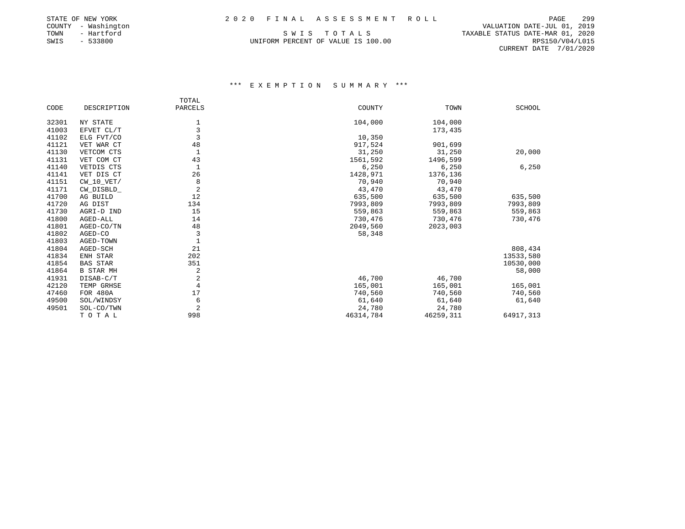# STATE OF NEW YORK 2 0 2 0 F I N A L A S S E S S M E N T R O L L PAGE 299

|        | STATE OF NEW YORK |  |
|--------|-------------------|--|
| COUNTY | - Washington      |  |
| TOWN   | - Hartford        |  |
| SWIS   | $-533800$         |  |

PAGE 299 ר בעס אינאפייס בא באמן ב-VALUATION DATE-JUL 01, 2019<br>COUNTS TO TALS TRAVABLE STATUS DATE-MAR 01, 2020 TAXABLE STATUS DATE-MAR 01, 2020 UNIFORM PERCENT OF VALUE IS 100.00 RPS150/V04/L015 CURRENT DATE 7/01/2020

|       |                  | TOTAL          |           |           |               |
|-------|------------------|----------------|-----------|-----------|---------------|
| CODE  | DESCRIPTION      | PARCELS        | COUNTY    | TOWN      | <b>SCHOOL</b> |
| 32301 | NY STATE         | 1              | 104,000   | 104,000   |               |
| 41003 | EFVET CL/T       | 3              |           | 173,435   |               |
| 41102 | ELG FVT/CO       | 3              | 10,350    |           |               |
| 41121 | VET WAR CT       | 48             | 917,524   | 901,699   |               |
| 41130 | VETCOM CTS       | $\mathbf{1}$   | 31,250    | 31,250    | 20,000        |
| 41131 | VET COM CT       | 43             | 1561,592  | 1496,599  |               |
| 41140 | VETDIS CTS       | 1              | 6,250     | 6,250     | 6,250         |
| 41141 | VET DIS CT       | 26             | 1428,971  | 1376,136  |               |
| 41151 | $CW_10_VET/$     | 8              | 70,940    | 70,940    |               |
| 41171 | CW_DISBLD_       | $\overline{2}$ | 43,470    | 43,470    |               |
| 41700 | AG BUILD         | 12             | 635,500   | 635,500   | 635,500       |
| 41720 | AG DIST          | 134            | 7993,809  | 7993,809  | 7993,809      |
| 41730 | AGRI-D IND       | 15             | 559,863   | 559,863   | 559,863       |
| 41800 | AGED-ALL         | 14             | 730,476   | 730,476   | 730,476       |
| 41801 | AGED-CO/TN       | 48             | 2049,560  | 2023,003  |               |
| 41802 | AGED-CO          | 3              | 58,348    |           |               |
| 41803 | AGED-TOWN        | $\mathbf{1}$   |           |           |               |
| 41804 | AGED-SCH         | 21             |           |           | 808,434       |
| 41834 | ENH STAR         | 202            |           |           | 13533,580     |
| 41854 | <b>BAS STAR</b>  | 351            |           |           | 10530,000     |
| 41864 | <b>B STAR MH</b> | 2              |           |           | 58,000        |
| 41931 | DISAB-C/T        | $\sqrt{2}$     | 46,700    | 46,700    |               |
| 42120 | TEMP GRHSE       | 4              | 165,001   | 165,001   | 165,001       |
| 47460 | <b>FOR 480A</b>  | 17             | 740,560   | 740,560   | 740,560       |
| 49500 | SOL/WINDSY       | 6              | 61,640    | 61,640    | 61,640        |
| 49501 | SOL-CO/TWN       | $\overline{2}$ | 24,780    | 24,780    |               |
|       | TOTAL            | 998            | 46314,784 | 46259,311 | 64917,313     |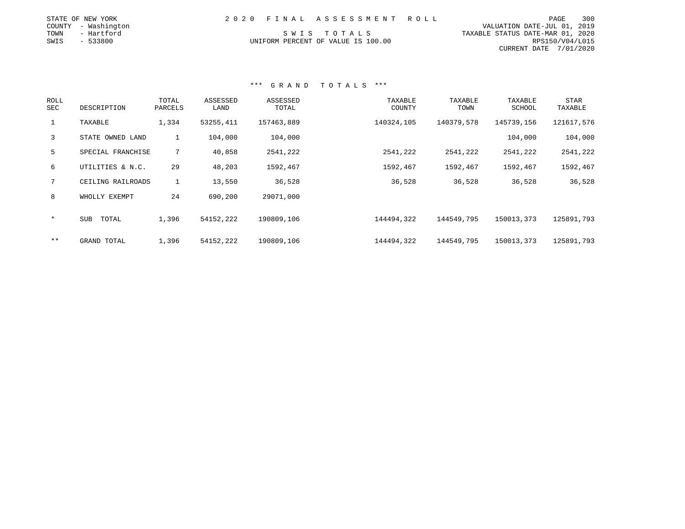| STATE OF NEW YORK   | 2020 FINAL ASSESSMENT ROLL         | 300<br>PAGE                      |
|---------------------|------------------------------------|----------------------------------|
| COUNTY - Washington |                                    | VALUATION DATE-JUL 01, 2019      |
| TOWN<br>- Hartford  | SWIS TOTALS                        | TAXABLE STATUS DATE-MAR 01, 2020 |
| SWIS<br>- 533800    | UNIFORM PERCENT OF VALUE IS 100.00 | RPS150/V04/L015                  |

CURRENT DATE 7/01/2020

# \*\*\* G R A N D T O T A L S \*\*\*

| ROLL<br>SEC  | DESCRIPTION       | TOTAL<br>PARCELS | ASSESSED<br>LAND | ASSESSED<br>TOTAL | TAXABLE<br>COUNTY | TAXABLE<br>TOWN | TAXABLE<br>SCHOOL | <b>STAR</b><br>TAXABLE |
|--------------|-------------------|------------------|------------------|-------------------|-------------------|-----------------|-------------------|------------------------|
| $\mathbf{1}$ | TAXABLE           | 1,334            | 53255,411        | 157463,889        | 140324,105        | 140379,578      | 145739,156        | 121617,576             |
| $\mathbf{3}$ | STATE OWNED LAND  | 1                | 104,000          | 104,000           |                   |                 | 104,000           | 104,000                |
| 5            | SPECIAL FRANCHISE | $7^{\circ}$      | 40,858           | 2541,222          | 2541,222          | 2541,222        | 2541,222          | 2541,222               |
| 6            | UTILITIES & N.C.  | 29               | 48,203           | 1592,467          | 1592,467          | 1592,467        | 1592,467          | 1592,467               |
| $7^{\circ}$  | CEILING RAILROADS | $\mathbf{1}$     | 13,550           | 36,528            | 36,528            | 36,528          | 36,528            | 36,528                 |
| 8            | WHOLLY EXEMPT     | 24               | 690,200          | 29071,000         |                   |                 |                   |                        |
| $\ast$       | SUB<br>TOTAL      | 1,396            | 54152,222        | 190809,106        | 144494,322        | 144549,795      | 150013,373        | 125891,793             |
| $***$        | GRAND TOTAL       | 1,396            | 54152,222        | 190809,106        | 144494,322        | 144549,795      | 150013,373        | 125891,793             |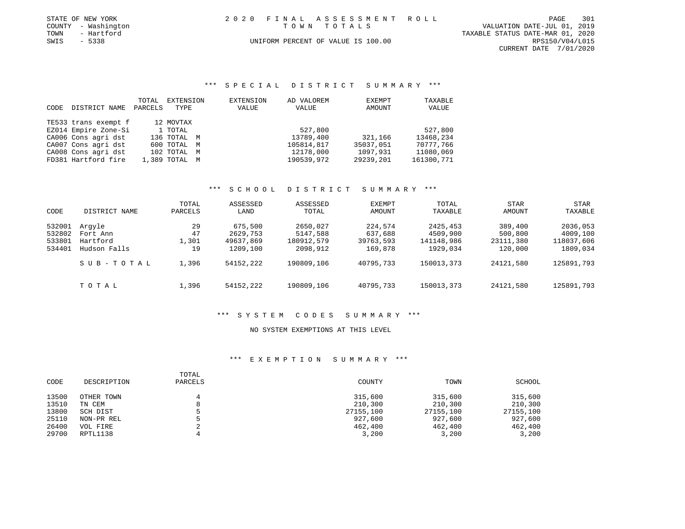|      | STATE OF NEW YORK   | 2020 FINAL ASSESSMENT ROLL         | PAGE                        | 301 |
|------|---------------------|------------------------------------|-----------------------------|-----|
|      | COUNTY - Washington | TOWN TOTALS                        | VALUATION DATE-JUL 01, 2019 |     |
| TOWN | - Hartford          | TAXABLE STATUS DATE-MAR 01, 2020   |                             |     |
| SWIS | $-5338$             | UNIFORM PERCENT OF VALUE IS 100.00 | RPS150/V04/L015             |     |
|      |                     |                                    | CURRENT DATE 7/01/2020      |     |

## \*\*\* S P E C I A L D I S T R I C T S U M M A R Y \*\*\*

|       |                      | TOTAL   | EXTENSION     | EXTENSION | AD VALOREM | EXEMPT    | TAXABLE    |
|-------|----------------------|---------|---------------|-----------|------------|-----------|------------|
| CODE. | DISTRICT NAME        | PARCELS | TYPE          | VALUE     | VALUE      | AMOUNT    | VALUE      |
|       | TE533 trans exempt f |         | 12 MOVTAX     |           |            |           |            |
|       | EZ014 Empire Zone-Si |         | 1 TOTAL       |           | 527,800    |           | 527,800    |
|       | CA006 Cons agri dst  |         | 136 TOTAL M   |           | 13789,400  | 321,166   | 13468,234  |
|       | CA007 Cons agri dst  |         | 600 TOTAL M   |           | 105814,817 | 35037,051 | 70777,766  |
|       | CA008 Cons agri dst  |         | 102 TOTAL M   |           | 12178,000  | 1097,931  | 11080,069  |
|       | FD381 Hartford fire  |         | 1,389 TOTAL M |           | 190539,972 | 29239,201 | 161300,771 |

## \*\*\* S C H O O L D I S T R I C T S U M M A R Y \*\*\*

| CODE   | DISTRICT NAME | TOTAL<br>PARCELS | ASSESSED<br>LAND | ASSESSED<br>TOTAL | EXEMPT<br>AMOUNT | TOTAL<br>TAXABLE | <b>STAR</b><br>AMOUNT | STAR<br>TAXABLE |
|--------|---------------|------------------|------------------|-------------------|------------------|------------------|-----------------------|-----------------|
| 532001 | Arqyle        | 29               | 675,500          | 2650,027          | 224,574          | 2425,453         | 389,400               | 2036,053        |
| 532802 | Fort Ann      | 47               | 2629,753         | 5147,588          | 637,688          | 4509,900         | 500,800               | 4009,100        |
| 533801 | Hartford      | 1,301            | 49637,869        | 180912,579        | 39763,593        | 141148,986       | 23111,380             | 118037,606      |
| 534401 | Hudson Falls  | 19               | 1209,100         | 2098,912          | 169,878          | 1929,034         | 120,000               | 1809,034        |
|        | SUB-TOTAL     | 1,396            | 54152,222        | 190809,106        | 40795,733        | 150013,373       | 24121,580             | 125891,793      |
|        | TOTAL         | 1,396            | 54152,222        | 190809,106        | 40795,733        | 150013,373       | 24121,580             | 125891,793      |

# \*\*\* S Y S T E M C O D E S S U M M A R Y \*\*\*

## NO SYSTEM EXEMPTIONS AT THIS LEVEL

| CODE  | DESCRIPTION | TOTAL<br>PARCELS | COUNTY    | TOWN      | SCHOOL    |
|-------|-------------|------------------|-----------|-----------|-----------|
| 13500 | OTHER TOWN  |                  | 315,600   | 315,600   | 315,600   |
| 13510 | TN CEM      |                  | 210,300   | 210,300   | 210,300   |
| 13800 | SCH DIST    |                  | 27155,100 | 27155,100 | 27155,100 |
| 25110 | NON-PR REL  |                  | 927,600   | 927,600   | 927,600   |
| 26400 | VOL FIRE    |                  | 462,400   | 462,400   | 462,400   |
| 29700 | RPTL1138    |                  | 3,200     | 3,200     | 3,200     |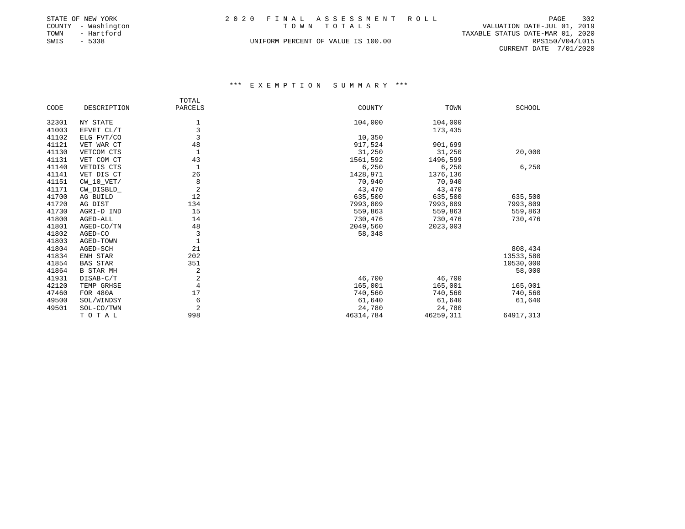|      | STATE OF NEW YORK   | 2020 FINAL ASSESSMENT ROLL         | 302<br>PAGE                      |
|------|---------------------|------------------------------------|----------------------------------|
|      | COUNTY - Washington | TOWN TOTALS                        | VALUATION DATE-JUL 01, 2019      |
| TOWN | - Hartford          |                                    | TAXABLE STATUS DATE-MAR 01, 2020 |
| SWIS | $-5338$             | UNIFORM PERCENT OF VALUE IS 100.00 | RPS150/V04/L015                  |
|      |                     |                                    | CURRENT DATE 7/01/2020           |

|       |                  | TOTAL          |           |           |           |
|-------|------------------|----------------|-----------|-----------|-----------|
| CODE  | DESCRIPTION      | PARCELS        | COUNTY    | TOWN      | SCHOOL    |
| 32301 | NY STATE         | $\mathbf{1}$   | 104,000   | 104,000   |           |
| 41003 | EFVET CL/T       | 3              |           | 173,435   |           |
| 41102 | ELG FVT/CO       |                | 10,350    |           |           |
| 41121 | VET WAR CT       | 48             | 917,524   | 901,699   |           |
| 41130 | VETCOM CTS       | $\mathbf{1}$   | 31,250    | 31,250    | 20,000    |
| 41131 | VET COM CT       | 43             | 1561,592  | 1496,599  |           |
| 41140 | VETDIS CTS       | 1              | 6,250     | 6,250     | 6,250     |
| 41141 | VET DIS CT       | 26             | 1428,971  | 1376,136  |           |
| 41151 | $CW_10_VET/$     | 8              | 70,940    | 70,940    |           |
| 41171 | CW_DISBLD_       | 2              | 43,470    | 43,470    |           |
| 41700 | AG BUILD         | 12             | 635,500   | 635,500   | 635,500   |
| 41720 | AG DIST          | 134            | 7993,809  | 7993,809  | 7993,809  |
| 41730 | AGRI-D IND       | 15             | 559,863   | 559,863   | 559,863   |
| 41800 | AGED-ALL         | 14             | 730,476   | 730,476   | 730,476   |
| 41801 | AGED-CO/TN       | 48             | 2049,560  | 2023,003  |           |
| 41802 | AGED-CO          | 3              | 58,348    |           |           |
| 41803 | AGED-TOWN        | 1              |           |           |           |
| 41804 | AGED-SCH         | 21             |           |           | 808,434   |
| 41834 | ENH STAR         | 202            |           |           | 13533,580 |
| 41854 | <b>BAS STAR</b>  | 351            |           |           | 10530,000 |
| 41864 | <b>B STAR MH</b> | 2              |           |           | 58,000    |
| 41931 | DISAB-C/T        | 2              | 46,700    | 46,700    |           |
| 42120 | TEMP GRHSE       | 4              | 165,001   | 165,001   | 165,001   |
| 47460 | FOR 480A         | 17             | 740,560   | 740,560   | 740,560   |
| 49500 | SOL/WINDSY       | 6              | 61,640    | 61,640    | 61,640    |
| 49501 | SOL-CO/TWN       | $\overline{2}$ | 24,780    | 24,780    |           |
|       | TOTAL            | 998            | 46314,784 | 46259,311 | 64917,313 |